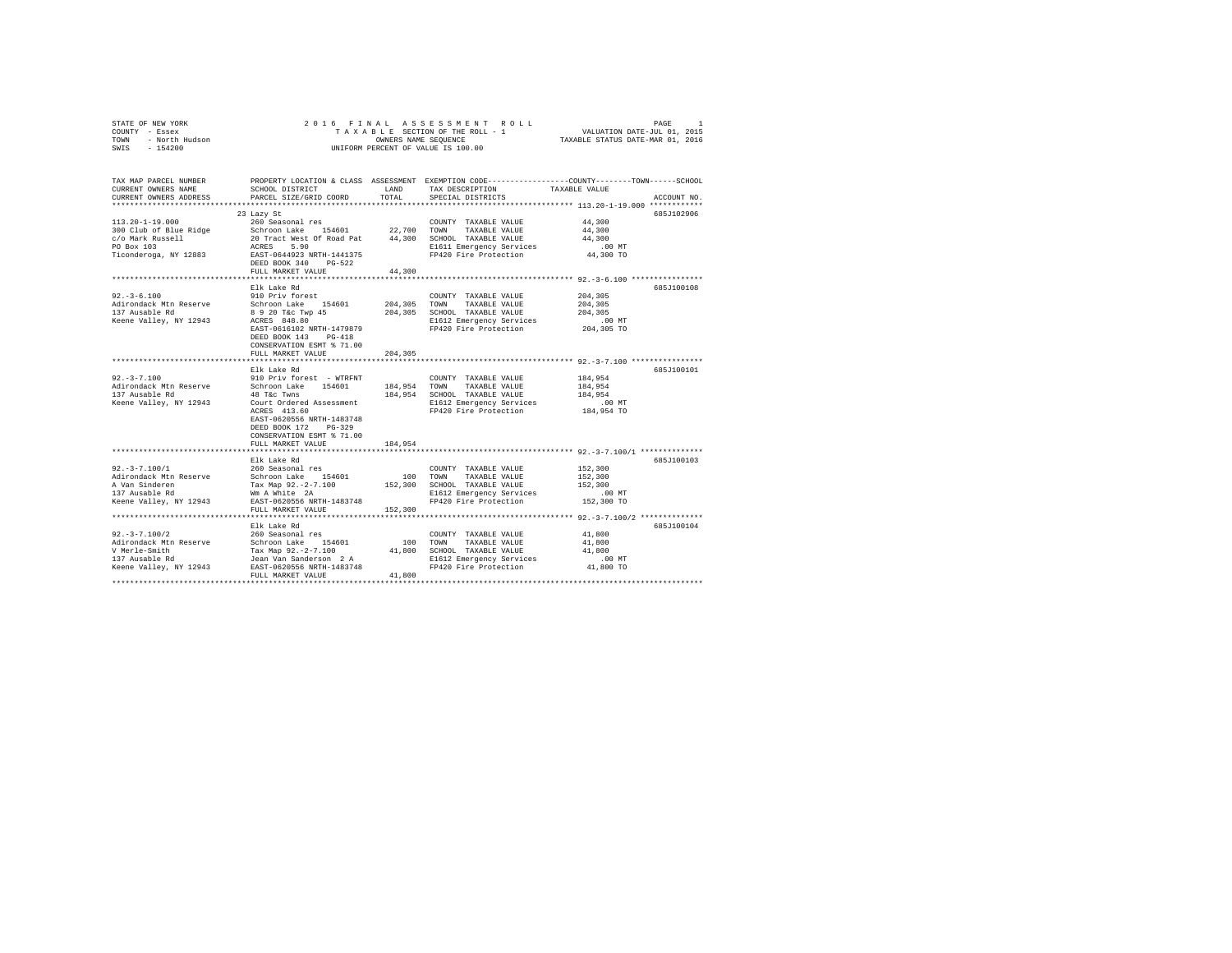| COUNTY - Essex<br>TOWN<br>- North Hudson<br>SWIS<br>$-154200$                                     |                                                   | OWNERS NAME SEOUENCE | TAXABLE SECTION OF THE ROLL - 1<br>UNIFORM PERCENT OF VALUE IS 100.00                                                                   | VALUATION DATE-JUL 01, 2015<br>TAXABLE STATUS DATE-MAR 01, 2016        |             |
|---------------------------------------------------------------------------------------------------|---------------------------------------------------|----------------------|-----------------------------------------------------------------------------------------------------------------------------------------|------------------------------------------------------------------------|-------------|
| TAX MAP PARCEL NUMBER<br>CURRENT OWNERS NAME<br>CURRENT OWNERS ADDRESS<br>*********************** | SCHOOL DISTRICT<br>PARCEL SIZE/GRID COORD         | LAND<br>TOTAL        | PROPERTY LOCATION & CLASS ASSESSMENT EXEMPTION CODE---------------COUNTY-------TOWN------SCHOOL<br>TAX DESCRIPTION<br>SPECIAL DISTRICTS | TAXABLE VALUE<br>************************ 113.20-1-19.000 ************ | ACCOUNT NO. |
|                                                                                                   | 23 Lazy St                                        |                      |                                                                                                                                         |                                                                        | 685J102906  |
| $113.20 - 1 - 19.000$                                                                             | 260 Seasonal res                                  |                      | COUNTY TAXABLE VALUE                                                                                                                    | 44,300                                                                 |             |
| 300 Club of Blue Ridge                                                                            | Schroon Lake 154601                               | 22,700               | TOWN<br>TAXABLE VALUE                                                                                                                   | 44,300                                                                 |             |
| c/o Mark Russell                                                                                  | 20 Tract West Of Road Pat                         |                      | 44,300 SCHOOL TAXABLE VALUE                                                                                                             | 44,300                                                                 |             |
| PO Box 103<br>Ticonderoga, NY 12883                                                               | ACRES<br>5.90<br>EAST-0644923 NRTH-1441375        |                      | E1611 Emergency Services<br>FP420 Fire Protection                                                                                       | $.00$ MT<br>44,300 TO                                                  |             |
|                                                                                                   | DEED BOOK 340 PG-522<br>FULL MARKET VALUE         | 44,300               |                                                                                                                                         |                                                                        |             |
|                                                                                                   |                                                   |                      |                                                                                                                                         |                                                                        |             |
|                                                                                                   | Elk Lake Rd                                       |                      |                                                                                                                                         |                                                                        | 685J100108  |
| $92. - 3 - 6.100$                                                                                 | 910 Priv forest                                   |                      | COUNTY TAXABLE VALUE                                                                                                                    | 204,305                                                                |             |
| Adirondack Mtn Reserve                                                                            | Schroon Lake 154601                               | 204,305              | TAXABLE VALUE<br>TOWN                                                                                                                   | 204,305                                                                |             |
| 137 Ausable Rd                                                                                    | 8 9 20 T&c Twp 45                                 | 204,305              | SCHOOL TAXABLE VALUE                                                                                                                    | 204,305                                                                |             |
| Keene Valley, NY 12943                                                                            | ACRES 848.80<br>EAST-0616102 NRTH-1479879         |                      | E1612 Emergency Services<br>FP420 Fire Protection                                                                                       | $.00$ MT<br>204,305 TO                                                 |             |
|                                                                                                   | DEED BOOK 143 PG-418<br>CONSERVATION ESMT % 71.00 |                      |                                                                                                                                         |                                                                        |             |
|                                                                                                   | FULL MARKET VALUE                                 | 204,305              |                                                                                                                                         |                                                                        |             |
|                                                                                                   |                                                   |                      |                                                                                                                                         |                                                                        |             |
|                                                                                                   | Elk Lake Rd                                       |                      |                                                                                                                                         |                                                                        | 685J100101  |
| $92. -3 - 7.100$<br>Adirondack Mtn Reserve                                                        | 910 Priv forest - WTRFNT<br>Schroon Lake 154601   | 184,954 TOWN         | COUNTY TAXABLE VALUE                                                                                                                    | 184,954<br>184,954                                                     |             |
| 137 Ausable Rd                                                                                    | 48 T&c Twns                                       |                      | TAXABLE VALUE<br>184,954 SCHOOL TAXABLE VALUE                                                                                           | 184,954                                                                |             |
| Keene Valley, NY 12943                                                                            | Court Ordered Assessment                          |                      | E1612 Emergency Services                                                                                                                | $.00$ MT                                                               |             |
|                                                                                                   | ACRES 413.60                                      |                      | FP420 Fire Protection                                                                                                                   | 184,954 TO                                                             |             |
|                                                                                                   | EAST-0620556 NRTH-1483748                         |                      |                                                                                                                                         |                                                                        |             |
|                                                                                                   | DEED BOOK 172 PG-329                              |                      |                                                                                                                                         |                                                                        |             |
|                                                                                                   | CONSERVATION ESMT % 71.00                         |                      |                                                                                                                                         |                                                                        |             |
|                                                                                                   | FULL MARKET VALUE                                 | 184,954              |                                                                                                                                         |                                                                        |             |
|                                                                                                   | Elk Lake Rd                                       |                      |                                                                                                                                         |                                                                        | 685J100103  |
| $92. -3 - 7.100/1$                                                                                | 260 Seasonal res                                  |                      | COUNTY TAXABLE VALUE                                                                                                                    | 152,300                                                                |             |
| Adirondack Mtn Reserve                                                                            | Schroon Lake 154601                               | 100                  | TOWN TAXABLE VALUE                                                                                                                      | 152,300                                                                |             |
| A Van Sinderen                                                                                    | Tax Map 92.-2-7.100                               | 152,300              | SCHOOL TAXABLE VALUE                                                                                                                    | 152,300                                                                |             |
| 137 Ausable Rd                                                                                    | Wm A White 2A                                     |                      | E1612 Emergency Services                                                                                                                | $.00$ MT                                                               |             |
| Keene Valley, NY 12943                                                                            | EAST-0620556 NRTH-1483748<br>FULL MARKET VALUE    | 152,300              | FP420 Fire Protection                                                                                                                   | 152,300 TO                                                             |             |
|                                                                                                   |                                                   |                      |                                                                                                                                         |                                                                        |             |
|                                                                                                   | Elk Lake Rd                                       |                      |                                                                                                                                         |                                                                        | 685J100104  |
| $92. -3 - 7.100/2$<br>Adirondack Mtn Reserve                                                      | 260 Seasonal res<br>Schroon Lake 154601           | 100                  | COUNTY TAXABLE VALUE<br>TOWN<br>TAXABLE VALUE                                                                                           | 41,800<br>41,800                                                       |             |
| V Merle-Smith                                                                                     | Tax Map 92.-2-7.100                               |                      | 41,800 SCHOOL TAXABLE VALUE                                                                                                             | 41,800                                                                 |             |
| 137 Ausable Rd                                                                                    | Jean Van Sanderson 2 A                            |                      | E1612 Emergency Services                                                                                                                | .00MT                                                                  |             |
| Keene Valley, NY 12943                                                                            | EAST-0620556 NRTH-1483748                         |                      | FP420 Fire Protection                                                                                                                   | 41,800 TO                                                              |             |
|                                                                                                   | FULL MARKET VALUE                                 | 41,800               |                                                                                                                                         |                                                                        |             |
|                                                                                                   |                                                   |                      |                                                                                                                                         |                                                                        |             |

STATE OF NEW YORK 2016 FINAL ASSESSMENT ROLL PAGE 1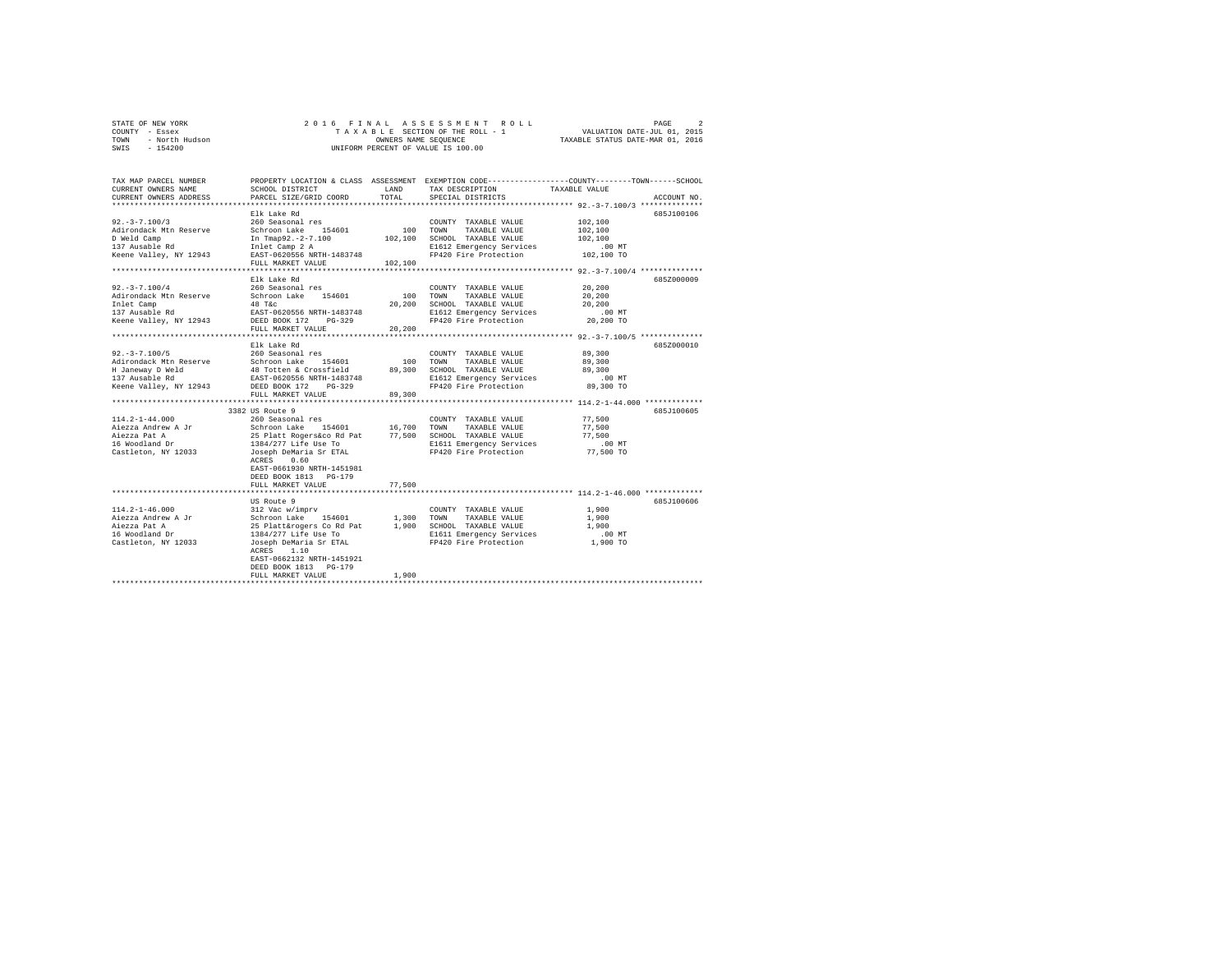| STATE OF NEW YORK      | 2016 FINAL ASSESSMENT ROLL         | PAGE                             |
|------------------------|------------------------------------|----------------------------------|
| COUNTY - Essex         | TAXABLE SECTION OF THE ROLL - 1    | VALUATION DATE-JUL 01, 2015      |
| TOWN<br>- North Hudson | OWNERS NAME SEOUENCE               | TAXABLE STATUS DATE-MAR 01, 2016 |
| SWIS - 154200          | UNIFORM PERCENT OF VALUE IS 100.00 |                                  |

| TAX MAP PARCEL NUMBER<br>CURRENT OWNERS NAME<br>CURRENT OWNERS ADDRESS | SCHOOL DISTRICT<br>PARCEL SIZE/GRID COORD           | <b>T.AND</b><br>TOTAL | PROPERTY LOCATION & CLASS ASSESSMENT EXEMPTION CODE---------------COUNTY-------TOWN-----SCHOOL<br>TAX DESCRIPTION<br>SPECIAL DISTRICTS | TAXABLE VALUE                                        | ACCOUNT NO. |
|------------------------------------------------------------------------|-----------------------------------------------------|-----------------------|----------------------------------------------------------------------------------------------------------------------------------------|------------------------------------------------------|-------------|
|                                                                        | Elk Lake Rd                                         |                       |                                                                                                                                        |                                                      | 685J100106  |
| $92. - 3 - 7.100/3$                                                    | 260 Seasonal res                                    |                       | COUNTY TAXABLE VALUE                                                                                                                   | 102,100                                              |             |
| Adirondack Mtn Reserve                                                 | Schroon Lake<br>154601                              | 100                   | TOWN<br>TAXABLE VALUE                                                                                                                  | 102,100                                              |             |
| D Weld Camp                                                            | In Tmap92.-2-7.100                                  | 102,100               | SCHOOL TAXABLE VALUE                                                                                                                   | 102,100                                              |             |
| 137 Ausable Rd                                                         | Inlet Camp 2 A                                      |                       | E1612 Emergency Services                                                                                                               | .00MT                                                |             |
| Keene Valley, NY 12943                                                 | EAST-0620556 NRTH-1483748                           |                       | FP420 Fire Protection                                                                                                                  | 102,100 TO                                           |             |
|                                                                        | FULL MARKET VALUE                                   | 102,100               |                                                                                                                                        |                                                      |             |
|                                                                        | ******************                                  |                       |                                                                                                                                        |                                                      |             |
|                                                                        | Elk Lake Rd                                         |                       |                                                                                                                                        |                                                      | 685Z000009  |
| $92. -3 - 7.100/4$                                                     | 260 Seasonal res                                    |                       | COUNTY TAXABLE VALUE                                                                                                                   | 20,200                                               |             |
| Adirondack Mtn Reserve                                                 | 154601<br>Schroon Lake                              | 100                   | TOWN<br>TAXABLE VALUE                                                                                                                  | 20,200                                               |             |
| Inlet Camp                                                             | 48 T&C                                              | 20,200                | SCHOOL TAXABLE VALUE                                                                                                                   | 20,200                                               |             |
| 137 Ausable Rd                                                         | EAST-0620556 NRTH-1483748                           |                       | E1612 Emergency Services                                                                                                               | $.00$ $MT$                                           |             |
| Keene Valley, NY 12943                                                 | DEED BOOK 172<br>$PG-329$                           |                       | FP420 Fire Protection                                                                                                                  | 20,200 TO                                            |             |
|                                                                        | FULL MARKET VALUE<br>****************************** | 20,200                |                                                                                                                                        |                                                      |             |
|                                                                        | Elk Lake Rd                                         |                       |                                                                                                                                        |                                                      | 685Z000010  |
| $92. - 3 - 7.100/5$                                                    | 260 Seasonal res                                    |                       | COUNTY TAXABLE VALUE                                                                                                                   | 89,300                                               |             |
| Adirondack Mtn Reserve                                                 | 154601<br>Schroon Lake                              | 100                   | TOWN<br>TAXABLE VALUE                                                                                                                  | 89,300                                               |             |
| H Janeway D Weld                                                       | 48 Totten & Crossfield                              | 89,300                | SCHOOL TAXABLE VALUE                                                                                                                   | 89,300                                               |             |
| 137 Ausable Rd                                                         | EAST-0620556 NRTH-1483748                           |                       | E1612 Emergency Services                                                                                                               | $.00$ MT                                             |             |
| Keene Valley, NY 12943                                                 | DEED BOOK 172<br>$PG-329$                           |                       | FP420 Fire Protection                                                                                                                  | 89,300 TO                                            |             |
|                                                                        | FULL MARKET VALUE                                   | 89,300                |                                                                                                                                        |                                                      |             |
|                                                                        | ************************                            |                       |                                                                                                                                        | *********************** 114.2-1-44.000 ************* |             |
|                                                                        | 3382 US Route 9                                     |                       |                                                                                                                                        |                                                      | 685J100605  |
| $114.2 - 1 - 44.000$                                                   | 260 Seasonal res                                    |                       | COUNTY TAXABLE VALUE                                                                                                                   | 77.500                                               |             |
| Aiezza Andrew A Jr                                                     | Schroon Lake 154601                                 | 16,700                | TOWN<br>TAXABLE VALUE                                                                                                                  | 77,500                                               |             |
| Aiezza Pat A                                                           | 25 Platt Rogers&co Rd Pat                           | 77,500                | SCHOOL TAXABLE VALUE                                                                                                                   | 77.500                                               |             |
| 16 Woodland Dr                                                         | 1384/277 Life Use To                                |                       | E1611 Emergency Services                                                                                                               | .00MT                                                |             |
| Castleton, NY 12033                                                    | Joseph DeMaria Sr ETAL                              |                       | FP420 Fire Protection                                                                                                                  | 77,500 TO                                            |             |
|                                                                        | 0.60<br>ACRES                                       |                       |                                                                                                                                        |                                                      |             |
|                                                                        | EAST-0661930 NRTH-1451981                           |                       |                                                                                                                                        |                                                      |             |
|                                                                        | DEED BOOK 1813 PG-179                               |                       |                                                                                                                                        |                                                      |             |
|                                                                        | FULL MARKET VALUE                                   | 77.500                |                                                                                                                                        |                                                      |             |
|                                                                        | ************************                            |                       |                                                                                                                                        |                                                      |             |
|                                                                        | US Route 9                                          |                       |                                                                                                                                        |                                                      | 685J100606  |
| $114.2 - 1 - 46.000$                                                   | 312 Vac w/imprv                                     |                       | COUNTY TAXABLE VALUE                                                                                                                   | 1,900                                                |             |
| Aiezza Andrew A Jr                                                     | Schroon Lake<br>154601                              | 1,300                 | TAXABLE VALUE<br>TOWN                                                                                                                  | 1,900                                                |             |
| Aiezza Pat A                                                           | 25 Platt&rogers Co Rd Pat                           | 1,900                 | SCHOOL TAXABLE VALUE                                                                                                                   | 1,900                                                |             |
| 16 Woodland Dr                                                         | 1384/277 Life Use To                                |                       | E1611 Emergency Services                                                                                                               | $.00$ MT                                             |             |
| Castleton, NY 12033                                                    | Joseph DeMaria Sr ETAL                              |                       | FP420 Fire Protection                                                                                                                  | 1,900 TO                                             |             |
|                                                                        | ACRES<br>1.10                                       |                       |                                                                                                                                        |                                                      |             |
|                                                                        | EAST-0662132 NRTH-1451921                           |                       |                                                                                                                                        |                                                      |             |
|                                                                        | DEED BOOK 1813    PG-179                            |                       |                                                                                                                                        |                                                      |             |
|                                                                        | FULL MARKET VALUE                                   | 1,900                 |                                                                                                                                        |                                                      |             |
|                                                                        |                                                     |                       |                                                                                                                                        |                                                      |             |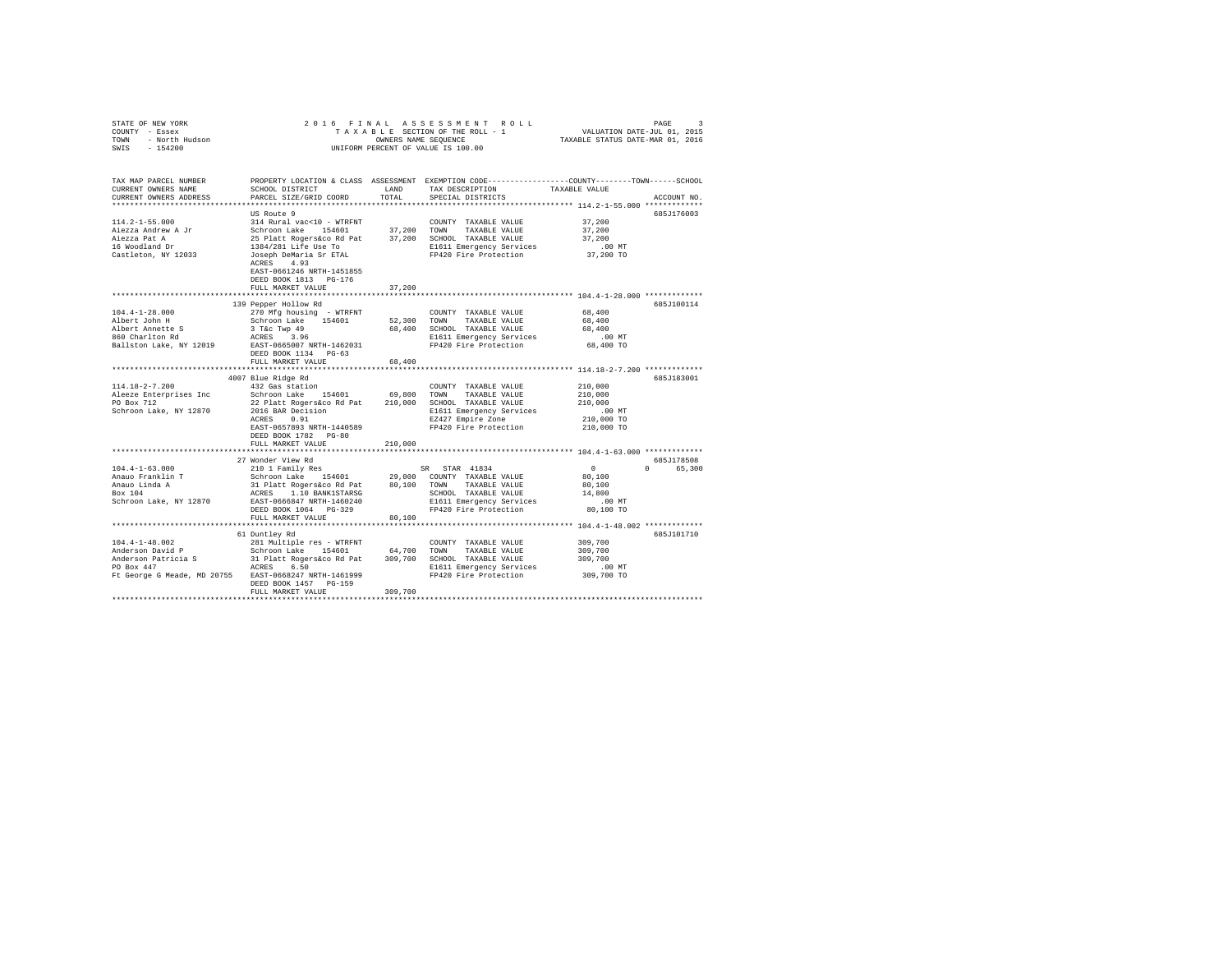| COUNTY - Essex<br>TOWN - North Hudson<br>SWIS - 154200                                                                                                                                                                                                    | UNIFORM PERCENT OF VALUE IS 100.00                                                         |         |                                                                                                                                  |                                                   |                        |  |  |  |  |
|-----------------------------------------------------------------------------------------------------------------------------------------------------------------------------------------------------------------------------------------------------------|--------------------------------------------------------------------------------------------|---------|----------------------------------------------------------------------------------------------------------------------------------|---------------------------------------------------|------------------------|--|--|--|--|
| CURRENT OWNERS ADDRESS                                                                                                                                                                                                                                    | PARCEL SIZE/GRID COORD                                                                     | TOTAL   | SPECIAL DISTRICTS                                                                                                                |                                                   | ACCOUNT NO.            |  |  |  |  |
|                                                                                                                                                                                                                                                           |                                                                                            |         |                                                                                                                                  |                                                   |                        |  |  |  |  |
|                                                                                                                                                                                                                                                           | US Route 9<br>EAST-0661246 NRTH-1451855<br>DEED BOOK 1813 PG-176<br>FULL MARKET VALUE      | 37,200  |                                                                                                                                  | 37,200<br>37,200<br>37,200<br>.00 MT<br>37,200 TO | 685J176003             |  |  |  |  |
|                                                                                                                                                                                                                                                           |                                                                                            |         |                                                                                                                                  |                                                   |                        |  |  |  |  |
| $104.4 - 1 - 28.000$                                                                                                                                                                                                                                      | 139 Pepper Hollow Rd<br>270 Mfg housing - WTRFNT<br>FULL MARKET VALUE                      | 68,400  | COUNTY TAXABLE VALUE                                                                                                             | 68,400                                            | 685J100114             |  |  |  |  |
|                                                                                                                                                                                                                                                           |                                                                                            |         |                                                                                                                                  |                                                   |                        |  |  |  |  |
| $114.18 - 2 - 7.200$<br>Neeze Enterprises Inc Color Schroon Lake 154601 69,800 TOWN TAXABLE VALUE 210,000<br>2010 PO Box 712 22 Platt Rogerskoo Rd Pat 210,000 SCHOOL TAXABLE VALUE 210,000<br>2010 822 Platt Rogerskoo Rd Pat 210,000 SCHOOL TAXABLE VAL | 4007 Blue Ridge Rd<br>332 Gas station<br>EAST-0657893 NRTH-1440589<br>DEED BOOK 1782 PG-80 |         | $\texttt{COUNTY} \quad \texttt{TAXABLE} \quad \texttt{VALUE} \qquad \qquad \texttt{210,000}$<br>FP420 Fire Protection 210,000 TO |                                                   | 685J183001             |  |  |  |  |
|                                                                                                                                                                                                                                                           | FULL MARKET VALUE                                                                          | 210,000 |                                                                                                                                  |                                                   |                        |  |  |  |  |
|                                                                                                                                                                                                                                                           | 27 Wonder View Rd                                                                          |         |                                                                                                                                  |                                                   | 685J178508<br>0 65,300 |  |  |  |  |
|                                                                                                                                                                                                                                                           | FULL MARKET VALUE                                                                          | 80,100  |                                                                                                                                  |                                                   |                        |  |  |  |  |
|                                                                                                                                                                                                                                                           |                                                                                            |         |                                                                                                                                  |                                                   |                        |  |  |  |  |
| Ft George G Meade, MD 20755 EAST-0668247 NRTH-1461999                                                                                                                                                                                                     | 61 Duntley Rd<br>DEED BOOK 1457 PG-159<br>FULL MARKET VALUE                                | 309,700 | E1611 Emergency Services .00 MT<br>FP420 Fire Protection 309,700 TO                                                              | 309,700<br>309,700<br>309,700                     | 685J101710             |  |  |  |  |
|                                                                                                                                                                                                                                                           |                                                                                            |         |                                                                                                                                  |                                                   |                        |  |  |  |  |

STATE OF NEW YORK 2016 FINAL ASSESSMENT ROLL PAGE 3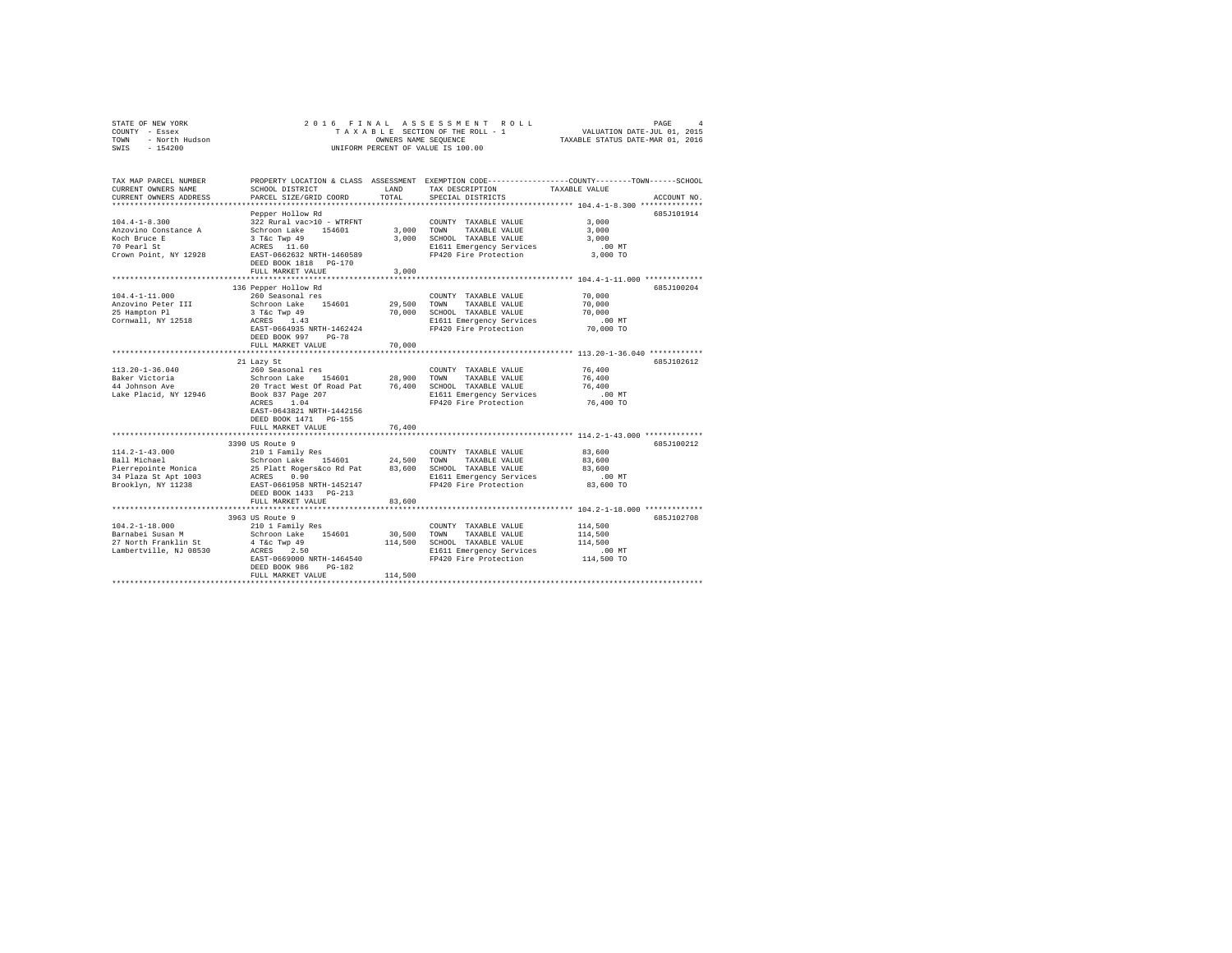| STATE OF NEW YORK<br>COUNTY<br>- Essex<br>- North Hudson<br>TOWN<br>SWIS - 154200 |                                                                                               |        | 2016 FINAL ASSESSMENT ROLL<br>OWNERS NAME SEQUENCE<br>INIFORM PERCENT OF VALUE IS 100.00 | PAGE<br>$\overline{4}$<br>TAXABLE SECTION OF THE ROLL - 1 VALUATION DATE-JUL 01, 2015<br>TAXABLE STATUS DATE-MAR 01, 2016 |
|-----------------------------------------------------------------------------------|-----------------------------------------------------------------------------------------------|--------|------------------------------------------------------------------------------------------|---------------------------------------------------------------------------------------------------------------------------|
| TAX MAP PARCEL NUMBER<br>CURRENT OWNERS NAME                                      | SCHOOL DISTRICT LAND<br>CURRENT OWNERS ADDRESS PARCEL SIZE/GRID COORD TOTAL SPECIAL DISTRICTS |        | TAX DESCRIPTION TAXABLE VALUE                                                            | PROPERTY LOCATION & CLASS ASSESSMENT EXEMPTION CODE---------------COUNTY-------TOWN------SCHOOL<br>ACCOUNT NO.            |
|                                                                                   |                                                                                               |        |                                                                                          |                                                                                                                           |
|                                                                                   | Pepper Hollow Rd                                                                              |        |                                                                                          | 685J101914                                                                                                                |
| $104.4 - 1 - 8.300$                                                               | 322 Rural vac>10 - WTRFNT                                                                     |        | COUNTY TAXABLE VALUE                                                                     | 3,000                                                                                                                     |
| Anzovino Constance A                                                              | Schroon Lake 154601 3,000                                                                     |        | TOWN<br>TAXABLE VALUE                                                                    | 3,000                                                                                                                     |
| Koch Bruce E                                                                      | 3 T&c Twp 49 3,000                                                                            |        | SCHOOL TAXABLE VALUE                                                                     | 3,000                                                                                                                     |
| 70 Pearl St                                                                       | ACRES 11.60                                                                                   |        | E1611 Emergency Services .00 MT                                                          |                                                                                                                           |
| Crown Point, NY 12928                                                             | EAST-0662632 NRTH-1460589                                                                     |        | FP420 Fire Protection 3,000 TO                                                           |                                                                                                                           |
|                                                                                   | DEED BOOK 1818 PG-170                                                                         |        |                                                                                          |                                                                                                                           |
|                                                                                   | FULL MARKET VALUE 3,000                                                                       |        |                                                                                          |                                                                                                                           |
|                                                                                   |                                                                                               |        |                                                                                          |                                                                                                                           |
|                                                                                   | 136 Pepper Hollow Rd                                                                          |        |                                                                                          | 685J100204                                                                                                                |
| $104.4 - 1 - 11.000$                                                              | 260 Seasonal res                                                                              |        | COUNTY TAXABLE VALUE                                                                     | 70,000                                                                                                                    |
| Anzovino Peter III                                                                | Schroon Lake 154601 29,500                                                                    |        | TOWN<br>TAXABLE VALUE                                                                    | 70,000                                                                                                                    |
| 25 Hampton Pl                                                                     | 3 T&C Twp 49                                                                                  | 70,000 | SCHOOL TAXABLE VALUE                                                                     | 70,000                                                                                                                    |
| Cornwall, NY 12518                                                                | ACRES 1.43                                                                                    |        | E1611 Emergency Services .00 MT                                                          |                                                                                                                           |
|                                                                                   |                                                                                               |        |                                                                                          |                                                                                                                           |

| Anzovino Peter III<br>25 Hampton Pl<br>Cornwall, NY 12518                                                     | Schroon Lake<br>154601<br>3 T&C Twp 49<br>ACRES 1.43<br>EAST-0664935 NRTH-1462424<br>DEED BOOK 997<br>$PG-78$<br>FULL MARKET VALUE                     | 29,500<br>70,000<br>70,000   | TAXABLE VALUE<br>TOWN<br>SCHOOL TAXABLE VALUE<br>E1611 Emergency Services<br>FP420 Fire Protection 70,000 TO                                       | 70,000<br>70,000<br>$.00$ MT    |            |
|---------------------------------------------------------------------------------------------------------------|--------------------------------------------------------------------------------------------------------------------------------------------------------|------------------------------|----------------------------------------------------------------------------------------------------------------------------------------------------|---------------------------------|------------|
| 113.20-1-36.040<br>Lake Placid, NY 12946 Book 837 Page 207                                                    | 21 Lazy St<br>260 Seasonal res<br>ACRES 1.04<br>EAST-0643821 NRTH-1442156<br>DEED BOOK 1471 PG-155<br>FULL MARKET VALUE                                | 76,400                       | COUNTY TAXABLE VALUE<br>TOWN<br>TAXABLE VALUE<br>SCHOOL TAXABLE VALUE 76,400<br>E1611 Emergency Services .00 MT<br>FP420 Fire Protection 76,400 TO | 76,400<br>76,400                | 685J102612 |
| $114.2 - 1 - 43.000$<br>Ball Michael<br>Brooklyn. NY 11238                                                    | 3390 US Route 9<br>210 1 Family Res<br>Schroon Lake 154601 24.500<br>EAST-0661958 NRTH-1452147<br>DEED BOOK 1433 PG-213<br>FULL MARKET VALUE<br>83.600 |                              | COUNTY TAXABLE VALUE 83,600<br>TAXABLE VALUE 83,600<br>TOWN<br>SCHOOL TAXABLE VALUE<br>E1611 Emergency Services<br>FP420 Fire Protection           | 83,600<br>$.00$ MT<br>83,600 TO | 685J100212 |
| $104.2 - 1 - 18.000$<br>Barnabei Susan M<br>27 North Franklin St 4 T&c Twp 49<br>Lambertville, NJ 08530 ACRES | 3963 US Route 9<br>210 1 Family Res<br>Schroon Lake 154601<br>2.50<br>EAST-0669000 NRTH-1464540<br>DEED BOOK 986<br>$PG-182$<br>FULL MARKET VALUE      | 30,500<br>114,500<br>114,500 | COUNTY TAXABLE VALUE<br>TAXABLE VALUE<br>TOWN<br>SCHOOL TAXABLE VALUE<br>E1611 Emergency Services .00 MT<br>FP420 Fire Protection 114,500 TO       | 114,500<br>114,500<br>114,500   | 685J102708 |
|                                                                                                               |                                                                                                                                                        |                              |                                                                                                                                                    |                                 |            |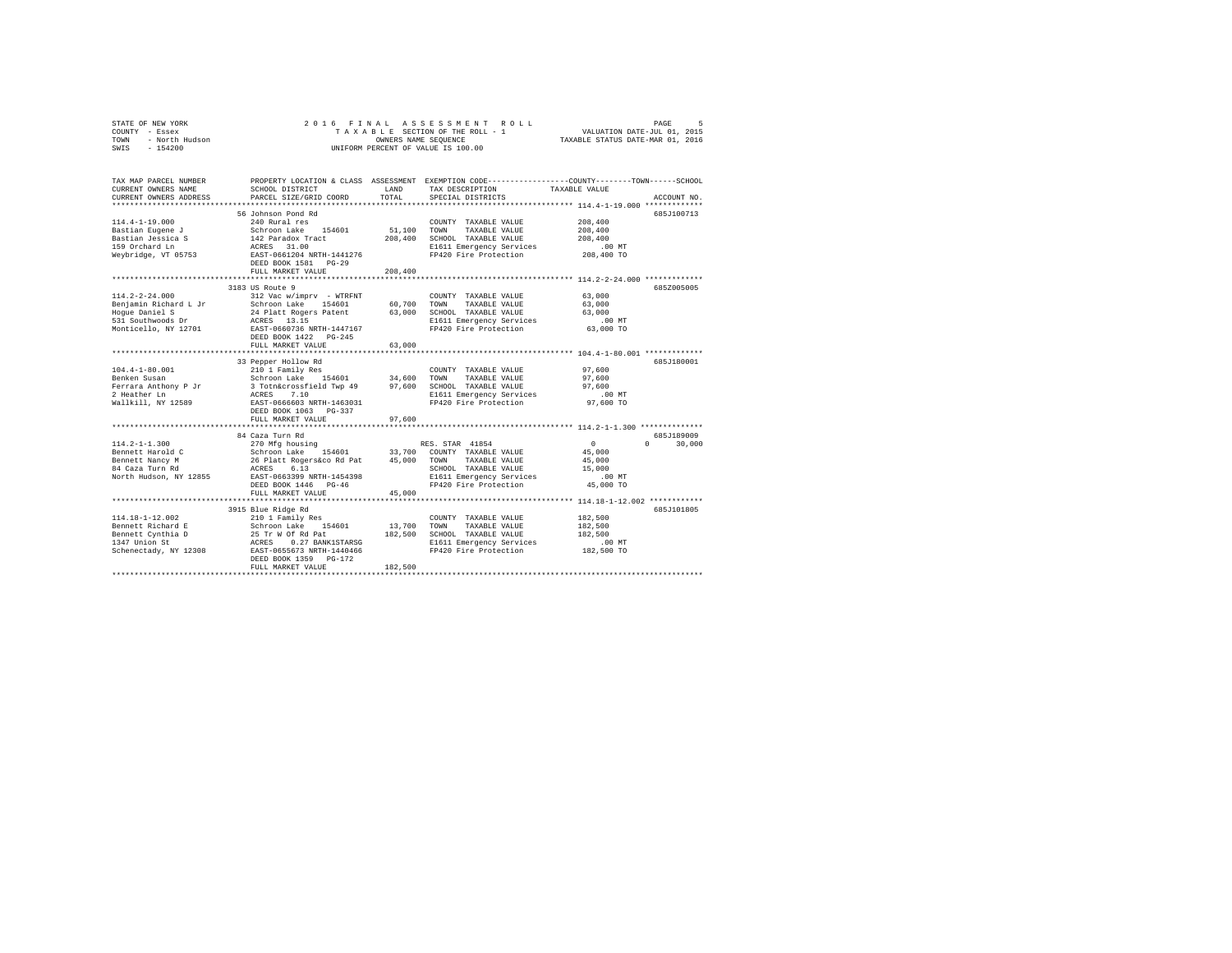|      | STATE OF NEW YORK |  |  |  | 2016 FINAL ASSESSMENT ROLL         |                                  | PAGE                        |  |
|------|-------------------|--|--|--|------------------------------------|----------------------------------|-----------------------------|--|
|      | COUNTY - Essex    |  |  |  | TAXABLE SECTION OF THE ROLL - 1    |                                  | VALUATION DATE-JUL 01, 2015 |  |
| TOWN | - North Hudson    |  |  |  | OWNERS NAME SEOUENCE               | TAXABLE STATUS DATE-MAR 01, 2016 |                             |  |
| SWIS | $-154200$         |  |  |  | UNIFORM PERCENT OF VALUE IS 100.00 |                                  |                             |  |
|      |                   |  |  |  |                                    |                                  |                             |  |

| TAX MAP PARCEL NUMBER<br>CURRENT OWNERS NAME                                                                                                                                               | SCHOOL DISTRICT                                                                                                                                                 | <b>T.AND</b> | TAX DESCRIPTION                                   | PROPERTY LOCATION & CLASS ASSESSMENT EXEMPTION CODE----------------COUNTY-------TOWN------SCHOOL<br>TAXABLE VALUE |
|--------------------------------------------------------------------------------------------------------------------------------------------------------------------------------------------|-----------------------------------------------------------------------------------------------------------------------------------------------------------------|--------------|---------------------------------------------------|-------------------------------------------------------------------------------------------------------------------|
| CURRENT OWNERS ADDRESS                                                                                                                                                                     | PARCEL SIZE/GRID COORD                                                                                                                                          | TOTAL        | SPECIAL DISTRICTS                                 | ACCOUNT NO.                                                                                                       |
|                                                                                                                                                                                            |                                                                                                                                                                 |              |                                                   |                                                                                                                   |
|                                                                                                                                                                                            | 56 Johnson Pond Rd                                                                                                                                              |              |                                                   | 685J100713                                                                                                        |
| $114.4 - 1 - 19.000$                                                                                                                                                                       | 240 Rural res                                                                                                                                                   |              | COUNTY TAXABLE VALUE                              | 208,400                                                                                                           |
| Bastian Eugene J                                                                                                                                                                           | Schroon Lake 154601                                                                                                                                             |              | 51,100 TOWN TAXABLE VALUE                         | 208,400                                                                                                           |
| Bastian Jessica S                                                                                                                                                                          | Schroon Lake 154601<br>142 Paradox Tract                                                                                                                        | 208,400      | SCHOOL TAXABLE VALUE                              | 208,400                                                                                                           |
| 159 Orchard Ln                                                                                                                                                                             |                                                                                                                                                                 |              | E1611 Emergency Services                          | $.00$ MT                                                                                                          |
| Weybridge, VT 05753                                                                                                                                                                        | ACRES 31.00<br>EAST-0661204 NRTH-1441276                                                                                                                        |              | FP420 Fire Protection                             | 00 MT.<br>208,400 TO                                                                                              |
|                                                                                                                                                                                            | DEED BOOK 1581    PG-29                                                                                                                                         |              |                                                   |                                                                                                                   |
|                                                                                                                                                                                            | FULL MARKET VALUE                                                                                                                                               | 208,400      |                                                   |                                                                                                                   |
|                                                                                                                                                                                            | **************************                                                                                                                                      | **********   |                                                   | ********* 114.2-2-24.000 *************                                                                            |
|                                                                                                                                                                                            | 3183 US Route 9                                                                                                                                                 |              |                                                   | 685Z005005                                                                                                        |
| $114.2 - 2 - 24.000$                                                                                                                                                                       | 312 Vac w/imprv - WTRFNT                                                                                                                                        |              | COUNTY TAXABLE VALUE                              | 63,000                                                                                                            |
|                                                                                                                                                                                            |                                                                                                                                                                 |              |                                                   | 63,000                                                                                                            |
|                                                                                                                                                                                            |                                                                                                                                                                 |              | 63,000 SCHOOL TAXABLE VALUE                       | 63,000                                                                                                            |
|                                                                                                                                                                                            |                                                                                                                                                                 |              | E1611 Emergency Services                          | $.00$ MT                                                                                                          |
|                                                                                                                                                                                            |                                                                                                                                                                 |              | FP420 Fire Protection                             | 63,000 TO                                                                                                         |
|                                                                                                                                                                                            |                                                                                                                                                                 |              |                                                   |                                                                                                                   |
|                                                                                                                                                                                            | FULL MARKET VALUE                                                                                                                                               | 63,000       |                                                   |                                                                                                                   |
|                                                                                                                                                                                            |                                                                                                                                                                 |              |                                                   |                                                                                                                   |
|                                                                                                                                                                                            | 33 Pepper Hollow Rd                                                                                                                                             |              |                                                   | 685J180001                                                                                                        |
| $104.4 - 1 - 80.001$                                                                                                                                                                       |                                                                                                                                                                 |              | COUNTY TAXABLE VALUE                              | 97,600                                                                                                            |
| Benken Susan                                                                                                                                                                               |                                                                                                                                                                 |              | TAXABLE VALUE                                     | 97,600                                                                                                            |
|                                                                                                                                                                                            |                                                                                                                                                                 |              |                                                   | 97,600                                                                                                            |
|                                                                                                                                                                                            |                                                                                                                                                                 |              |                                                   | $.00$ MT                                                                                                          |
| Wallkill, NY 12589 EAST-0666603 NRTH-1463031                                                                                                                                               |                                                                                                                                                                 |              | FP420 Fire Protection                             | 97,600 TO                                                                                                         |
|                                                                                                                                                                                            | DEED BOOK 1063 PG-337                                                                                                                                           |              |                                                   |                                                                                                                   |
|                                                                                                                                                                                            | FULL MARKET VALUE                                                                                                                                               | 97,600       |                                                   |                                                                                                                   |
|                                                                                                                                                                                            |                                                                                                                                                                 |              |                                                   |                                                                                                                   |
|                                                                                                                                                                                            | 84 Caza Turn Rd                                                                                                                                                 |              |                                                   | 685J189009                                                                                                        |
| $114.2 - 1 - 1.300$                                                                                                                                                                        | 270 Mfg housing                                                                                                                                                 |              | RES. STAR 41854                                   | $\sim$ 0<br>30,000<br>$\cap$                                                                                      |
| Bennett Harold C                                                                                                                                                                           |                                                                                                                                                                 |              |                                                   | 45,000                                                                                                            |
| Bennett Nancy M                                                                                                                                                                            |                                                                                                                                                                 |              |                                                   | 45,000                                                                                                            |
| 84 Caza Turn Rd                                                                                                                                                                            | % Arey nousing 154601 33,700 COUNTY TAXABLE VALUE<br>26 Platt Rogers&co Rd Pat 45,000 TOWN TAXABLE VALUE<br>26 Platt Rogers&co Rd Pat 45,000 TOWN TAXABLE VALUE |              | SCHOOL TAXABLE VALUE                              | 15,000                                                                                                            |
| North Hudson, NY 12855                                                                                                                                                                     | EAST-0663399 NRTH-1454398                                                                                                                                       |              | E1611 Emergency Services<br>FP420 Fire Protection | $.00$ MT                                                                                                          |
|                                                                                                                                                                                            | DEED BOOK 1446 PG-46                                                                                                                                            |              |                                                   | 45,000 TO                                                                                                         |
|                                                                                                                                                                                            | FULL MARKET VALUE                                                                                                                                               | 45,000       |                                                   |                                                                                                                   |
|                                                                                                                                                                                            |                                                                                                                                                                 |              |                                                   |                                                                                                                   |
|                                                                                                                                                                                            | 3915 Blue Ridge Rd                                                                                                                                              |              |                                                   | 685J101805                                                                                                        |
| 114.18-1-12.002                                                                                                                                                                            | 210 1 Family Res                                                                                                                                                |              | COUNTY TAXABLE VALUE                              | 182,500                                                                                                           |
|                                                                                                                                                                                            |                                                                                                                                                                 | 13,700       | TOWN<br>TAXABLE VALUE                             | 182,500                                                                                                           |
|                                                                                                                                                                                            |                                                                                                                                                                 |              | 182,500 SCHOOL TAXABLE VALUE                      | 182,500                                                                                                           |
|                                                                                                                                                                                            |                                                                                                                                                                 |              | E1611 Emergency Services                          | $.00$ MT                                                                                                          |
|                                                                                                                                                                                            |                                                                                                                                                                 |              | FP420 Fire Protection                             | 182,500 TO                                                                                                        |
| 114.18 -1-12.002<br>Bennett Richard E<br>Bennett Cynthia D<br>25 Tr W Of Rd Pat 182,500<br>1347 Union St<br>25 Tr W Of Rd Pat 182,500<br>26 Schenectady, NY 12308<br>ERED BOOK 1359 PG-172 |                                                                                                                                                                 |              |                                                   |                                                                                                                   |
|                                                                                                                                                                                            | FULL MARKET VALUE                                                                                                                                               | 182,500      |                                                   |                                                                                                                   |
|                                                                                                                                                                                            |                                                                                                                                                                 |              |                                                   |                                                                                                                   |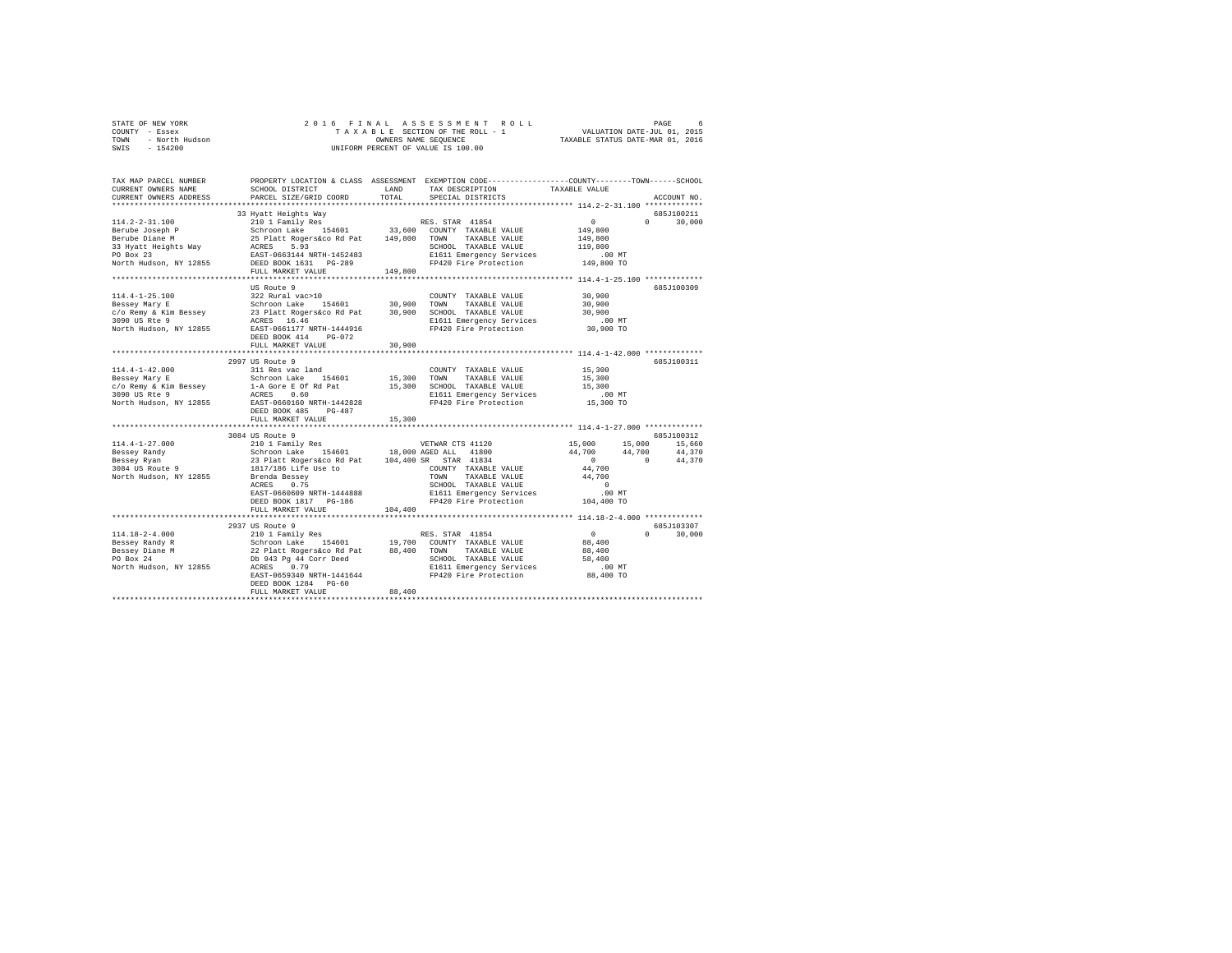|      | STATE OF NEW YORK |  |  |  | 2016 FINAL ASSESSMENT ROLL         |  |  |  |  |                                  |                             | PAGE |  |
|------|-------------------|--|--|--|------------------------------------|--|--|--|--|----------------------------------|-----------------------------|------|--|
|      | COUNTY - Essex    |  |  |  | TAXABLE SECTION OF THE ROLL - 1    |  |  |  |  |                                  | VALUATION DATE-JUL 01, 2015 |      |  |
| TOWN | - North Hudson    |  |  |  | OWNERS NAME SEOUENCE               |  |  |  |  | TAXABLE STATUS DATE-MAR 01, 2016 |                             |      |  |
| SWIS | - 154200          |  |  |  | UNIFORM PERCENT OF VALUE IS 100.00 |  |  |  |  |                                  |                             |      |  |
|      |                   |  |  |  |                                    |  |  |  |  |                                  |                             |      |  |

| TAX MAP PARCEL NUMBER<br>CURRENT OWNERS NAME | SCHOOL DISTRICT                                                                                                                  | LAND    | PROPERTY LOCATION & CLASS ASSESSMENT EXEMPTION CODE---------------COUNTY-------TOWN------SCHOOL<br>TAX DESCRIPTION | TAXABLE VALUE        |                             |
|----------------------------------------------|----------------------------------------------------------------------------------------------------------------------------------|---------|--------------------------------------------------------------------------------------------------------------------|----------------------|-----------------------------|
| CURRENT OWNERS ADDRESS                       | PARCEL SIZE/GRID COORD                                                                                                           | TOTAL   | SPECIAL DISTRICTS                                                                                                  |                      | ACCOUNT NO.                 |
|                                              | 33 Hyatt Heights Way                                                                                                             |         |                                                                                                                    |                      | 685J100211                  |
| 114.2-2-31.100                               | 210 1 Family Res                                                                                                                 |         | RES. STAR 41854                                                                                                    | 0<br>$\Omega$        | 30,000                      |
|                                              |                                                                                                                                  |         | 33,600 COUNTY TAXABLE VALUE                                                                                        | 149,800              |                             |
|                                              |                                                                                                                                  |         | TAXABLE VALUE<br>TOWN                                                                                              | 149,800              |                             |
|                                              |                                                                                                                                  |         | SCHOOL TAXABLE VALUE                                                                                               | 119,800              |                             |
|                                              |                                                                                                                                  |         | E1611 Emergency Services .00 MT<br>FP420 Fire Protection 149,800 TO                                                |                      |                             |
| North Hudson, NY 12855 DEED BOOK 1631 PG-289 |                                                                                                                                  |         |                                                                                                                    |                      |                             |
|                                              | FULL MARKET VALUE                                                                                                                | 149,800 |                                                                                                                    |                      |                             |
|                                              |                                                                                                                                  |         |                                                                                                                    |                      |                             |
|                                              | US Route 9                                                                                                                       |         |                                                                                                                    |                      | 685J100309                  |
| 114.4-1-25.100                               | 322 Rural vac>10                                                                                                                 |         | COUNTY TAXABLE VALUE                                                                                               | 30,900               |                             |
| Bessey Mary E                                | Schroon Lake 154601 30,900                                                                                                       |         | TOWN<br>TAXABLE VALUE                                                                                              | 30,900               |                             |
| c/o Remy & Kim Bessey                        | 23 Platt Rogers&co Rd Pat<br>ACRES 16.46                                                                                         |         | 30,900 SCHOOL TAXABLE VALUE                                                                                        | 30,900               |                             |
| 3090 US Rte 9                                |                                                                                                                                  |         | E1611 Emergency Services                                                                                           | .00MT                |                             |
| North Hudson, NY 12855                       | EAST-0661177 NRTH-1444916                                                                                                        |         | FP420 Fire Protection                                                                                              | 30,900 TO            |                             |
|                                              | DEED BOOK 414<br>$PG-072$                                                                                                        |         |                                                                                                                    |                      |                             |
|                                              | FULL MARKET VALUE                                                                                                                | 30,900  |                                                                                                                    |                      |                             |
|                                              | 2997 US Route 9                                                                                                                  |         |                                                                                                                    |                      | 685J100311                  |
| $114.4 - 1 - 42.000$                         | 311 Res vac land                                                                                                                 |         | COUNTY TAXABLE VALUE                                                                                               | 15,300               |                             |
| Bessey Mary E                                |                                                                                                                                  | 15,300  | TAXABLE VALUE<br>TOWN                                                                                              | 15,300               |                             |
| c/o Remy & Kim Bessey                        |                                                                                                                                  |         | 15,300 SCHOOL TAXABLE VALUE                                                                                        | 15,300               |                             |
| 3090 US Rte 9                                |                                                                                                                                  |         | E1611 Emergency Services                                                                                           | .00 MT               |                             |
| North Hudson, NY 12855                       | Schroon Lake 154601<br>1-A Gore E Of Rd Pat<br>ACRES 0.60<br>EAST-0660160 NRTH-1442828                                           |         | FP420 Fire Protection                                                                                              | 15,300 TO            |                             |
|                                              | DEED BOOK 485<br>$PG-487$                                                                                                        |         |                                                                                                                    |                      |                             |
|                                              | FULL MARKET VALUE                                                                                                                | 15,300  |                                                                                                                    |                      |                             |
|                                              |                                                                                                                                  |         |                                                                                                                    |                      |                             |
|                                              | 3084 US Route 9                                                                                                                  |         |                                                                                                                    |                      | 685J100312                  |
| $114.4 - 1 - 27.000$                         | 210 1 Family Res                                                                                                                 |         | VETWAR CTS 41120                                                                                                   | 15,000<br>15,000     | 15,660                      |
| Bessey Randy                                 | Schroon Lake 154601 18,000 AGED ALL 41800<br>23 Platt Rogers&co Rd Pat 104,400 SR STAR 41834                                     |         | 41800                                                                                                              | 44,700               | 44,700 44,370               |
| Bessey Ryan                                  |                                                                                                                                  |         |                                                                                                                    | $\sim$ 0<br>$\sim$ 0 | 44,370                      |
| $3084$ US Route 9                            | 1817/186 Life Use to                                                                                                             |         | COUNTY TAXABLE VALUE                                                                                               | 44,700               |                             |
| North Hudson, NY 12855                       | Brenda Bessey                                                                                                                    |         | TOWN<br>TAXABLE VALUE                                                                                              | 44,700               |                             |
|                                              | 0.75<br>ACRES                                                                                                                    |         | SCHOOL TAXABLE VALUE                                                                                               | $\sim$ 0             |                             |
|                                              | EAST-0660609 NRTH-1444888                                                                                                        |         | E1611 Emergency Services<br>FP420 Fire Protection                                                                  | $.00$ MT             |                             |
|                                              | DEED BOOK 1817 PG-186<br>FULL MARKET VALUE                                                                                       | 104,400 |                                                                                                                    | 104,400 TO           |                             |
|                                              |                                                                                                                                  |         |                                                                                                                    |                      |                             |
|                                              | 2937 US Route 9                                                                                                                  |         |                                                                                                                    |                      | 685J103307                  |
| $114.18 - 2 - 4.000$                         | 210 1 Family Res                                                                                                                 |         | RES. STAR 41854                                                                                                    | $\sim$ 0             | $0 \qquad \qquad$<br>30,000 |
| Bessey Randy R                               |                                                                                                                                  |         |                                                                                                                    | 88,400               |                             |
| $Bessey$ Diane M<br>$\sim$                   | Schroon Lake 154601 19,700 COUNTY TAXABLE VALUE<br>22 Platt Rogersáco Rd Pat 88,400 TOWN TAXABLE VALUE<br>Db 943 Pg 44 Corr Deed |         |                                                                                                                    | 88,400               |                             |
|                                              |                                                                                                                                  |         |                                                                                                                    | 58,400               |                             |
| North Hudson, NY 12855                       | ACRES<br>0.79                                                                                                                    |         | SCHOOL TAXABLE VALUE<br>E1611 Emergency Services                                                                   | $.00$ MT             |                             |
|                                              | EAST-0659340 NRTH-1441644                                                                                                        |         | FP420 Fire Protection                                                                                              | 88,400 TO            |                             |
|                                              | DEED BOOK 1284 PG-60                                                                                                             |         |                                                                                                                    |                      |                             |
|                                              | FULL MARKET VALUE                                                                                                                | 88,400  |                                                                                                                    |                      |                             |
|                                              |                                                                                                                                  |         |                                                                                                                    |                      |                             |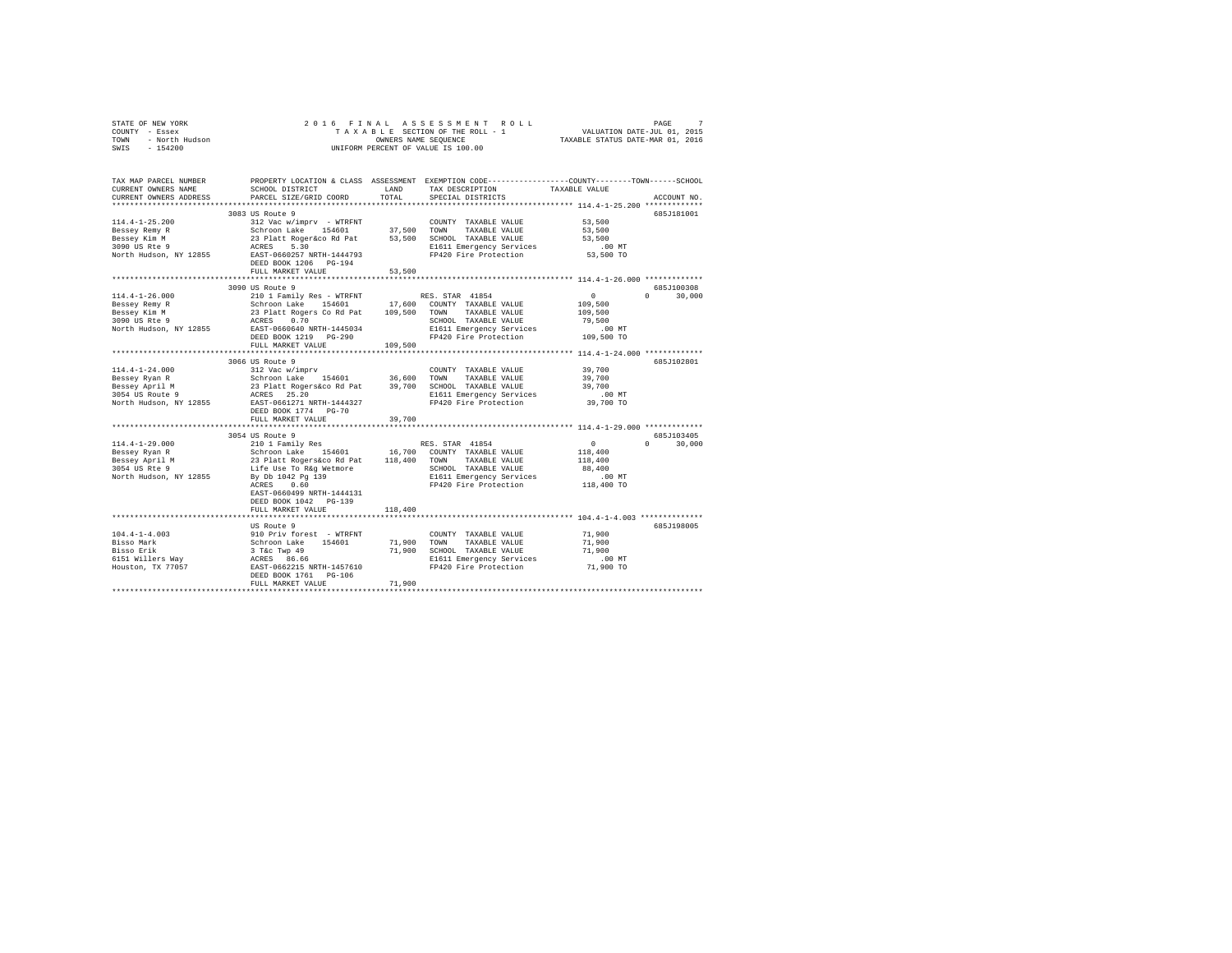| STATE OF NEW YORK |                |  |  | 2016 FINAL ASSESSMENT ROLL         |                                  | PAGE                        | $\sim$ |
|-------------------|----------------|--|--|------------------------------------|----------------------------------|-----------------------------|--------|
| COUNTY - Essex    |                |  |  | TAXABLE SECTION OF THE ROLL - 1    |                                  | VALUATION DATE-JUL 01, 2015 |        |
| TOWN              | - North Hudson |  |  | OWNERS NAME SEOUENCE               | TAXABLE STATUS DATE-MAR 01, 2016 |                             |        |
| $-154200$<br>SWIS |                |  |  | UNIFORM PERCENT OF VALUE IS 100.00 |                                  |                             |        |

| TAX MAP PARCEL NUMBER<br>CURRENT OWNERS NAME                                                                                                                                                                                               | SCHOOL DISTRICT                                                                                                                                                                                                                                            | LAND        | PROPERTY LOCATION & CLASS ASSESSMENT EXEMPTION CODE---------------COUNTY-------TOWN-----SCHOOL<br>TAX DESCRIPTION                                                                                                     | TAXABLE VALUE       |                      |
|--------------------------------------------------------------------------------------------------------------------------------------------------------------------------------------------------------------------------------------------|------------------------------------------------------------------------------------------------------------------------------------------------------------------------------------------------------------------------------------------------------------|-------------|-----------------------------------------------------------------------------------------------------------------------------------------------------------------------------------------------------------------------|---------------------|----------------------|
| CURRENT OWNERS ADDRESS                                                                                                                                                                                                                     | PARCEL SIZE/GRID COORD                                                                                                                                                                                                                                     | TOTAL       | SPECIAL DISTRICTS                                                                                                                                                                                                     |                     | ACCOUNT NO.          |
| *************************                                                                                                                                                                                                                  |                                                                                                                                                                                                                                                            |             |                                                                                                                                                                                                                       |                     |                      |
|                                                                                                                                                                                                                                            | 3083 US Route 9                                                                                                                                                                                                                                            |             |                                                                                                                                                                                                                       |                     | 685J181001           |
| $114.4 - 1 - 25.200$                                                                                                                                                                                                                       | 312 Vac w/imprv - WTRFNT                                                                                                                                                                                                                                   |             | COUNTY TAXABLE VALUE                                                                                                                                                                                                  | 53,500              |                      |
|                                                                                                                                                                                                                                            |                                                                                                                                                                                                                                                            |             |                                                                                                                                                                                                                       | 53,500              |                      |
|                                                                                                                                                                                                                                            |                                                                                                                                                                                                                                                            |             |                                                                                                                                                                                                                       | 53,500              |                      |
|                                                                                                                                                                                                                                            |                                                                                                                                                                                                                                                            |             | E1611 Emergency Services<br>FP420 Fire Protection                                                                                                                                                                     | $.00$ MT            |                      |
| Eessey Remy R<br>MacAlex Ram MacAlex (1946)<br>23 Platt Rogersco Rd Pat 53,500 SCMM TAXABLE VALUE<br>23 Platt Rogersco Rd Pat 53,500 SCHOL TAXABLE VALUE<br>2090 US Rte 9<br>2000 US REM MacAlex Strategies<br>2000 US REM MacAlex Strateg | DEED BOOK 1206    PG-194                                                                                                                                                                                                                                   |             |                                                                                                                                                                                                                       | 53,500 TO           |                      |
|                                                                                                                                                                                                                                            | FULL MARKET VALUE                                                                                                                                                                                                                                          | 53,500      |                                                                                                                                                                                                                       |                     |                      |
|                                                                                                                                                                                                                                            | 3090 US Route 9                                                                                                                                                                                                                                            |             |                                                                                                                                                                                                                       |                     | 685J100308           |
| $114.4 - 1 - 26.000$                                                                                                                                                                                                                       | 210 1 Family Res - WTRFNT                                                                                                                                                                                                                                  |             | RES. STAR 41854                                                                                                                                                                                                       | $\overline{0}$      | $0 \t 30,000$        |
| Bessey Remy R                                                                                                                                                                                                                              |                                                                                                                                                                                                                                                            |             |                                                                                                                                                                                                                       | 109,500             |                      |
| Bessey Kim M                                                                                                                                                                                                                               |                                                                                                                                                                                                                                                            |             |                                                                                                                                                                                                                       | 109,500             |                      |
|                                                                                                                                                                                                                                            |                                                                                                                                                                                                                                                            |             | SCHOOL TAXABLE VALUE                                                                                                                                                                                                  | 79,500              |                      |
| 3090 US Rte 9<br>North Hudson, NY 12855                                                                                                                                                                                                    | Extraction Lake 154601 17,600 COUNTY TAXABLE VALUE<br>23 Platt Rogers Co Rd Pat 109,500 TOWN TAXABLE VALUE<br>RCRS 0.70 SCHOOL TAXABLE VALUE<br>REST-0660640 NRTH-1445034 E1611 Emergency Services                                                         |             |                                                                                                                                                                                                                       |                     |                      |
|                                                                                                                                                                                                                                            | DEED BOOK 1219 PG-290                                                                                                                                                                                                                                      |             | E1611 Emergency Services .00 MT<br>FP420 Fire Protection .00 MT                                                                                                                                                       |                     |                      |
|                                                                                                                                                                                                                                            | FULL MARKET VALUE                                                                                                                                                                                                                                          | 109,500     |                                                                                                                                                                                                                       |                     |                      |
|                                                                                                                                                                                                                                            |                                                                                                                                                                                                                                                            |             |                                                                                                                                                                                                                       |                     |                      |
|                                                                                                                                                                                                                                            | 3066 US Route 9                                                                                                                                                                                                                                            |             |                                                                                                                                                                                                                       |                     | 685J102801           |
| $114.4 - 1 - 24.000$                                                                                                                                                                                                                       | 312 Vac w/imprv                                                                                                                                                                                                                                            |             | COUNTY TAXABLE VALUE                                                                                                                                                                                                  | 39,700              |                      |
| Bessey Ryan R                                                                                                                                                                                                                              |                                                                                                                                                                                                                                                            |             |                                                                                                                                                                                                                       | 39,700<br>39,700    |                      |
| Bessey April M                                                                                                                                                                                                                             |                                                                                                                                                                                                                                                            |             |                                                                                                                                                                                                                       |                     |                      |
| 3054 US Route 9<br>North Hudson, NY 12855                                                                                                                                                                                                  |                                                                                                                                                                                                                                                            |             | E1611 Emergency Services .00 MT<br>FP420 Fire Protection 39,700 TO                                                                                                                                                    |                     |                      |
|                                                                                                                                                                                                                                            |                                                                                                                                                                                                                                                            |             | Schroon Lake 154601 36,600 TOWN TAXABLE VALUE<br>23 Platt Rogerskoo Rd Pat 39,700 SCHOOL TAXABLE VALUE<br>23 Platt Rogerskoo Rd Pat 15,700 SCHOOL TAXABLE VALUE<br>25 RAST-0661271 NRTH-1444327 PP420 Fire Protection |                     |                      |
|                                                                                                                                                                                                                                            | DEED BOOK 1774 PG-70                                                                                                                                                                                                                                       |             |                                                                                                                                                                                                                       |                     |                      |
|                                                                                                                                                                                                                                            | FULL MARKET VALUE                                                                                                                                                                                                                                          | 39,700      |                                                                                                                                                                                                                       |                     |                      |
|                                                                                                                                                                                                                                            |                                                                                                                                                                                                                                                            |             |                                                                                                                                                                                                                       |                     |                      |
|                                                                                                                                                                                                                                            | 3054 US Route 9<br>3054 US RES. STAR 4.1824<br>210 1 Family Res<br>Schroon Lake 154601 16,700 COUNTY TAXABLE VALUE<br>23 Platt Rogers&co Rd Pat 118,400 TOWN TAXABLE VALUE<br>Life Use To R&g Wetmore 5CHOL TAXABLE VALUE<br>The Martgard SCHOOL TAXABLE V |             |                                                                                                                                                                                                                       |                     | 685J103405<br>$\cap$ |
| 114.4-1-29.000                                                                                                                                                                                                                             |                                                                                                                                                                                                                                                            |             |                                                                                                                                                                                                                       | $\sim$ 0<br>118,400 | 30,000               |
| Bessey Ryan R                                                                                                                                                                                                                              |                                                                                                                                                                                                                                                            |             |                                                                                                                                                                                                                       |                     |                      |
| Bessey April M<br>3054 US Rte 9                                                                                                                                                                                                            |                                                                                                                                                                                                                                                            |             | SCHOOL TAXABLE VALUE                                                                                                                                                                                                  | 118,400<br>88,400   |                      |
| North Hudson, NY 12855                                                                                                                                                                                                                     |                                                                                                                                                                                                                                                            |             |                                                                                                                                                                                                                       |                     |                      |
|                                                                                                                                                                                                                                            |                                                                                                                                                                                                                                                            |             | E1611 Emergency Services .00 MT<br>FP420 Fire Protection  118,400 TO                                                                                                                                                  |                     |                      |
|                                                                                                                                                                                                                                            | EAST-0660499 NRTH-1444131                                                                                                                                                                                                                                  |             |                                                                                                                                                                                                                       |                     |                      |
|                                                                                                                                                                                                                                            | DEED BOOK 1042 PG-139                                                                                                                                                                                                                                      |             |                                                                                                                                                                                                                       |                     |                      |
|                                                                                                                                                                                                                                            | FULL MARKET VALUE                                                                                                                                                                                                                                          | 118,400     |                                                                                                                                                                                                                       |                     |                      |
|                                                                                                                                                                                                                                            |                                                                                                                                                                                                                                                            |             |                                                                                                                                                                                                                       |                     |                      |
|                                                                                                                                                                                                                                            | US Route 9                                                                                                                                                                                                                                                 |             |                                                                                                                                                                                                                       |                     | 685J198005           |
|                                                                                                                                                                                                                                            |                                                                                                                                                                                                                                                            |             | COUNTY TAXABLE VALUE                                                                                                                                                                                                  | 71,900              |                      |
|                                                                                                                                                                                                                                            |                                                                                                                                                                                                                                                            | 71,900 TOWN | TAXABLE VALUE                                                                                                                                                                                                         | 71,900              |                      |
|                                                                                                                                                                                                                                            |                                                                                                                                                                                                                                                            |             | 71,900 SCHOOL TAXABLE VALUE                                                                                                                                                                                           | 71,900              |                      |
|                                                                                                                                                                                                                                            |                                                                                                                                                                                                                                                            |             | SCHOOL TAXABLE VALUE<br>E1611 Emergency Services                                                                                                                                                                      | $.00$ MT            |                      |
|                                                                                                                                                                                                                                            |                                                                                                                                                                                                                                                            |             | FP420 Fire Protection                                                                                                                                                                                                 | 71,900 TO           |                      |
|                                                                                                                                                                                                                                            |                                                                                                                                                                                                                                                            |             |                                                                                                                                                                                                                       |                     |                      |
|                                                                                                                                                                                                                                            | FULL MARKET VALUE                                                                                                                                                                                                                                          | 71,900      |                                                                                                                                                                                                                       |                     |                      |
|                                                                                                                                                                                                                                            |                                                                                                                                                                                                                                                            |             |                                                                                                                                                                                                                       |                     |                      |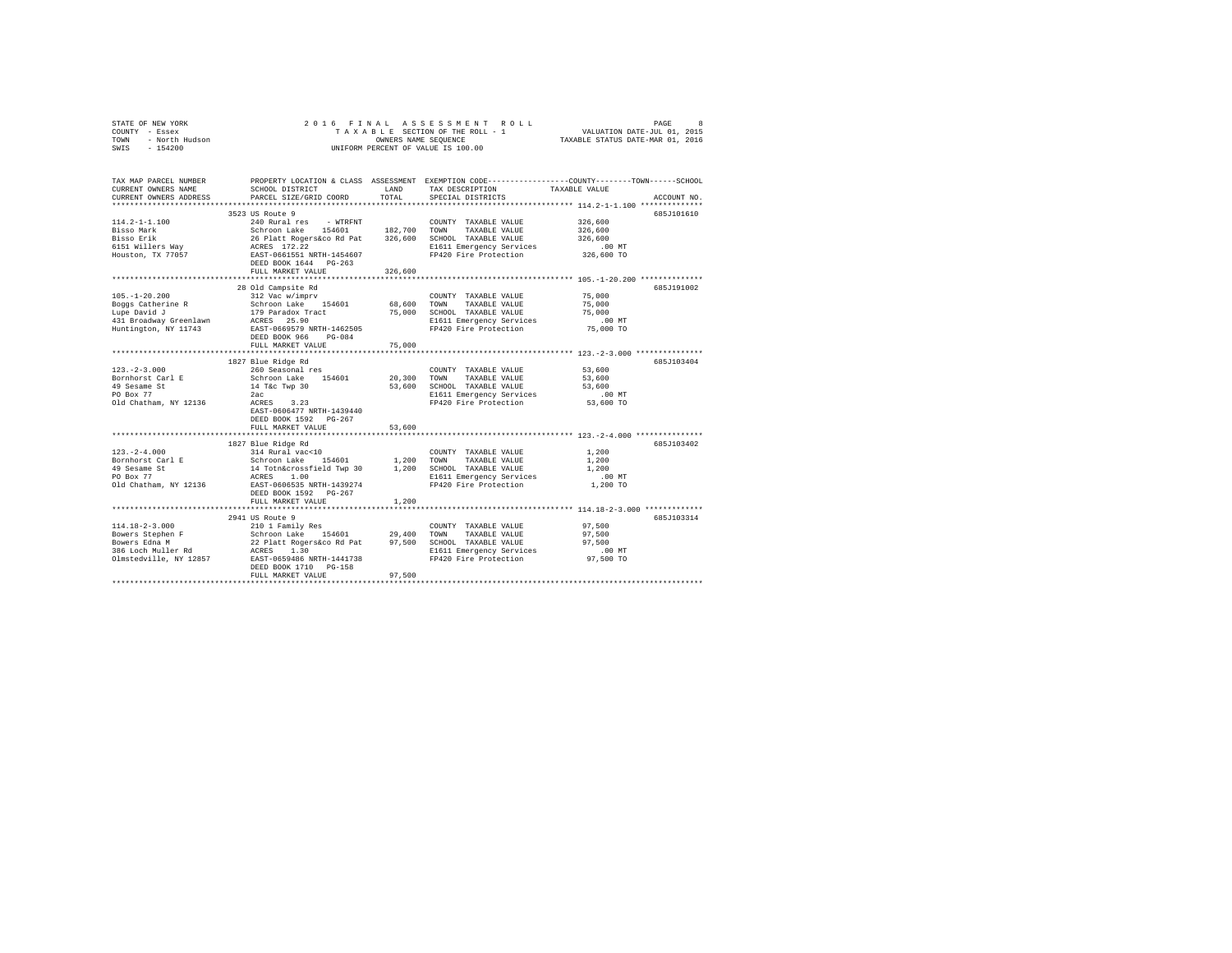| STATE OF NEW YORK<br>COUNTY - Essex           | ASSESSMENT ROLL<br>8<br>2016 FINAL<br>PAGE<br>VALUATION DATE-JUL 01, 2015<br>TAXABLE SECTION OF THE ROLL - 1 |               |                                                                                                |                                                              |             |
|-----------------------------------------------|--------------------------------------------------------------------------------------------------------------|---------------|------------------------------------------------------------------------------------------------|--------------------------------------------------------------|-------------|
| - North Hudson<br>TOWN                        | TAXABLE STATUS DATE-MAR 01, 2016<br>OWNERS NAME SEQUENCE                                                     |               |                                                                                                |                                                              |             |
| SWIS<br>$-154200$                             |                                                                                                              |               | UNIFORM PERCENT OF VALUE IS 100.00                                                             |                                                              |             |
|                                               |                                                                                                              |               |                                                                                                |                                                              |             |
| TAX MAP PARCEL NUMBER                         |                                                                                                              |               | PROPERTY LOCATION & CLASS ASSESSMENT EXEMPTION CODE---------------COUNTY-------TOWN-----SCHOOL |                                                              |             |
| CURRENT OWNERS NAME<br>CURRENT OWNERS ADDRESS | SCHOOL DISTRICT<br>PARCEL SIZE/GRID COORD                                                                    | LAND<br>TOTAL | TAX DESCRIPTION<br>SPECIAL DISTRICTS                                                           | TAXABLE VALUE                                                | ACCOUNT NO. |
|                                               |                                                                                                              |               |                                                                                                |                                                              |             |
|                                               | 3523 US Route 9                                                                                              |               |                                                                                                |                                                              | 685J101610  |
| $114.2 - 1 - 1.100$                           | 240 Rural res<br>- WTRFNT                                                                                    |               | COUNTY TAXABLE VALUE                                                                           | 326,600                                                      |             |
| Bisso Mark                                    |                                                                                                              |               | TOWN<br>TAXABLE VALUE                                                                          | 326,600                                                      |             |
| Bisso Erik                                    | Schroon Lake 154601 182,700<br>26 Platt Rogers&co Rd Pat 326,600                                             |               | SCHOOL TAXABLE VALUE                                                                           | 326,600                                                      |             |
| 6151 Willers Way                              | ACRES 172.22                                                                                                 |               | E1611 Emergency Services                                                                       | .00MT                                                        |             |
| Houston, TX 77057                             | EAST-0661551 NRTH-1454607                                                                                    |               | FP420 Fire Protection                                                                          | 326,600 TO                                                   |             |
|                                               | DEED BOOK 1644 PG-263                                                                                        |               |                                                                                                |                                                              |             |
|                                               | FULL MARKET VALUE                                                                                            | 326,600       |                                                                                                |                                                              |             |
|                                               |                                                                                                              | ************* |                                                                                                | ******************************* 105.-1-20.200 ************** |             |
|                                               | 28 Old Campsite Rd                                                                                           |               |                                                                                                |                                                              | 685J191002  |
| $105. - 1 - 20.200$                           | 312 Vac w/imprv                                                                                              |               | COUNTY TAXABLE VALUE                                                                           | 75,000                                                       |             |
| Boggs Catherine R                             | Schroon Lake 154601                                                                                          | 68,600        | TOWN<br>TAXABLE VALUE                                                                          | 75,000                                                       |             |
| Lupe David J                                  | 179 Paradox Tract                                                                                            | 75,000        | SCHOOL TAXABLE VALUE                                                                           | 75,000                                                       |             |
| 431 Broadway Greenlawn                        | ACRES 25.90                                                                                                  |               | E1611 Emergency Services                                                                       | $.00$ MT                                                     |             |
| Huntington, NY 11743                          | EAST-0669579 NRTH-1462505                                                                                    |               | FP420 Fire Protection                                                                          | 75,000 TO                                                    |             |
|                                               | DEED BOOK 966<br>$PG-084$                                                                                    |               |                                                                                                |                                                              |             |
|                                               | FULL MARKET VALUE                                                                                            | 75,000        |                                                                                                |                                                              |             |
|                                               |                                                                                                              |               |                                                                                                |                                                              |             |
|                                               | 1827 Blue Ridge Rd                                                                                           |               |                                                                                                |                                                              | 685J103404  |
| $123. - 2 - 3.000$                            | 260 Seasonal res                                                                                             |               | COUNTY TAXABLE VALUE                                                                           | 53,600                                                       |             |
| Bornhorst Carl E                              | Schroon Lake 154601                                                                                          | 20,300        | TAXABLE VALUE<br>TOWN                                                                          | 53,600                                                       |             |
| 49 Sesame St                                  | 14 T&c Twp 30                                                                                                | 53,600        | SCHOOL TAXABLE VALUE                                                                           | 53,600                                                       |             |
| PO Box 77                                     | 2ac                                                                                                          |               | E1611 Emergency Services                                                                       | $.00$ MT                                                     |             |
| Old Chatham, NY 12136                         | ACRES 3.23                                                                                                   |               | FP420 Fire Protection                                                                          | 53,600 TO                                                    |             |
|                                               | EAST-0606477 NRTH-1439440                                                                                    |               |                                                                                                |                                                              |             |
|                                               | DEED BOOK 1592 PG-267                                                                                        |               |                                                                                                |                                                              |             |
|                                               | FULL MARKET VALUE                                                                                            | 53,600        |                                                                                                |                                                              |             |
|                                               |                                                                                                              |               |                                                                                                |                                                              |             |
|                                               | 1827 Blue Ridge Rd                                                                                           |               |                                                                                                |                                                              | 685J103402  |
| $123. - 2 - 4.000$                            | 314 Rural vac<10                                                                                             |               | COUNTY TAXABLE VALUE                                                                           | 1,200                                                        |             |
| Bornhorst Carl E                              | 154601<br>Schroon Lake                                                                                       | 1,200         | TAXABLE VALUE<br>TOWN                                                                          | 1,200                                                        |             |
| 49 Sesame St<br>PO Box 77                     | 14 Totn&crossfield Twp 30<br>ACRES 1.00                                                                      | 1,200         | SCHOOL TAXABLE VALUE                                                                           | 1,200                                                        |             |
| Old Chatham, NY 12136                         | EAST-0606535 NRTH-1439274                                                                                    |               | E1611 Emergency Services<br>FP420 Fire Protection                                              | .00 MT<br>1,200 TO                                           |             |
|                                               | DEED BOOK 1592 PG-267                                                                                        |               |                                                                                                |                                                              |             |
|                                               | FULL MARKET VALUE                                                                                            | 1,200         |                                                                                                |                                                              |             |
|                                               |                                                                                                              |               | ************************************ 114.18-2-3.000 *************                              |                                                              |             |
|                                               | 2941 US Route 9                                                                                              |               |                                                                                                |                                                              | 685J103314  |
| $114.18 - 2 - 3.000$                          | 210 1 Family Res                                                                                             |               | COUNTY TAXABLE VALUE                                                                           | 97,500                                                       |             |
| Bowers Stephen F                              | 154601 29,400<br>Schroon Lake                                                                                |               | TOWN<br>TAXABLE VALUE                                                                          | 97.500                                                       |             |
| Bowers Edna M                                 | 22 Platt Rogers&co Rd Pat 97,500                                                                             |               | SCHOOL TAXABLE VALUE                                                                           | 97.500                                                       |             |
| 386 Loch Muller Rd                            | ACRES 1.30                                                                                                   |               | E1611 Emergency Services                                                                       | $.00$ MT                                                     |             |
| Olmstedville, NY 12857                        | EAST-0659486 NRTH-1441738                                                                                    |               | FP420 Fire Protection                                                                          | 97,500 TO                                                    |             |
|                                               | DEED BOOK 1710 PG-158                                                                                        |               |                                                                                                |                                                              |             |
|                                               | FULL MARKET VALUE                                                                                            | 97.500        |                                                                                                |                                                              |             |
|                                               |                                                                                                              |               |                                                                                                |                                                              |             |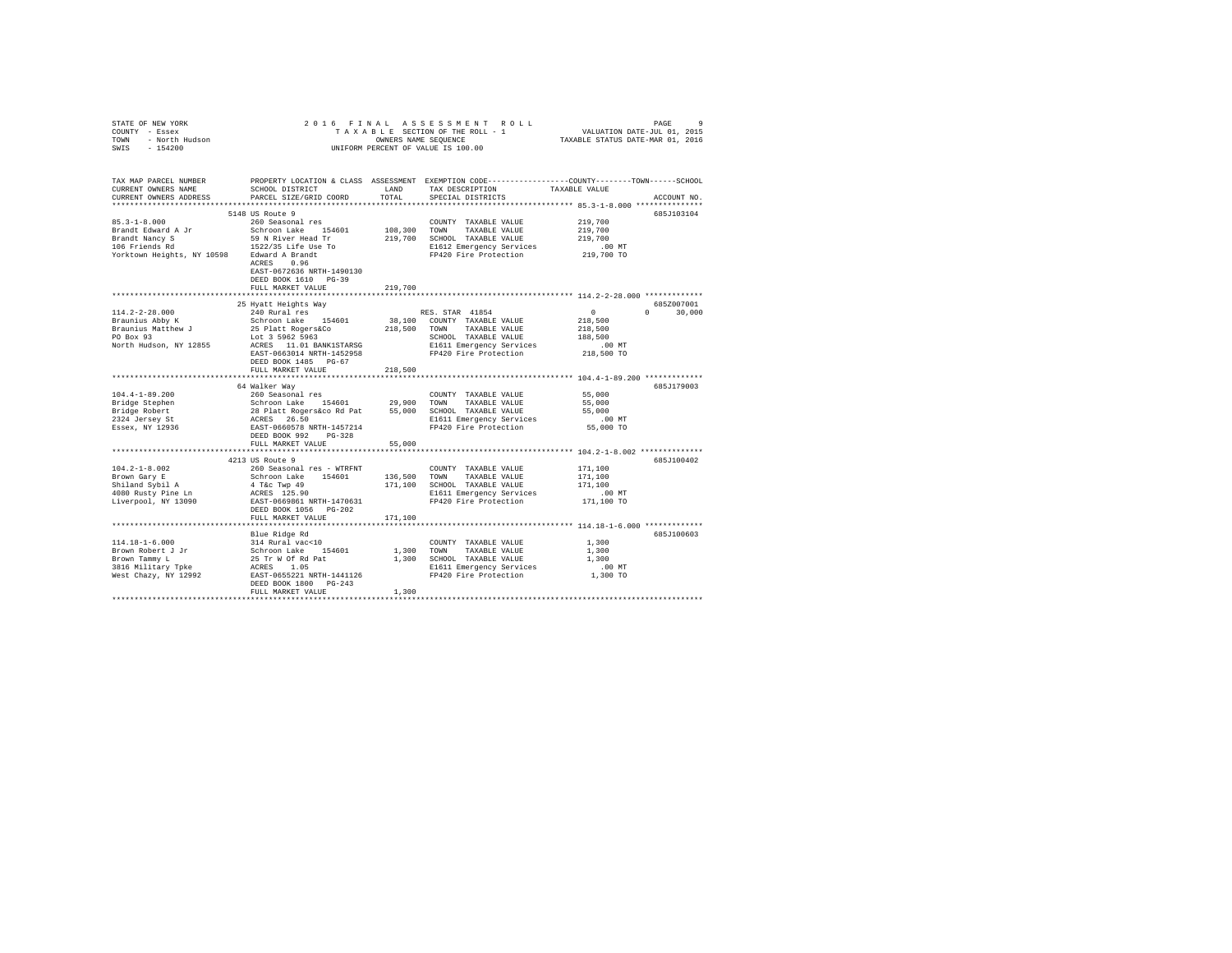| STATE OF NEW YORK<br>COUNTY - Essex<br>TOWN - North Hudson<br>SWIS - 154200 |                                                                                                                                               |               | 2016 FINAL ASSESSMENT ROLL<br>UNIFORM PERCENT OF VALUE IS 100.00 |                       | PAGE               |
|-----------------------------------------------------------------------------|-----------------------------------------------------------------------------------------------------------------------------------------------|---------------|------------------------------------------------------------------|-----------------------|--------------------|
| TAX MAP PARCEL NUMBER<br>CURRENT OWNERS NAME<br>CURRENT OWNERS ADDRESS      | PROPERTY LOCATION & CLASS ASSESSMENT EXEMPTION CODE----------------COUNTY-------TOWN------SCHOOL<br>SCHOOL DISTRICT<br>PARCEL SIZE/GRID COORD | LAND<br>TOTAL | TAX DESCRIPTION TAXABLE VALUE<br>SPECIAL DISTRICTS               |                       | ACCOUNT NO.        |
|                                                                             |                                                                                                                                               |               |                                                                  |                       |                    |
|                                                                             | 5148 US Route 9                                                                                                                               |               |                                                                  |                       | 685J103104         |
| $85.3 - 1 - 8.000$                                                          | 260 Seasonal res                                                                                                                              | 108,300 TOWN  | COUNTY TAXABLE VALUE                                             | 219,700<br>219,700    |                    |
|                                                                             |                                                                                                                                               |               | TAXABLE VALUE<br>219,700 SCHOOL TAXABLE VALUE                    | 219,700               |                    |
|                                                                             |                                                                                                                                               |               | E1612 Emergency Services<br>FP420 Fire Protection                |                       |                    |
|                                                                             |                                                                                                                                               |               |                                                                  | 00 MT.<br>219,700 TO  |                    |
|                                                                             | EAST-0672636 NRTH-1490130<br>DEED BOOK 1610 PG-39                                                                                             |               |                                                                  |                       |                    |
|                                                                             | FULL MARKET VALUE                                                                                                                             | 219,700       |                                                                  |                       |                    |
|                                                                             | ***************************                                                                                                                   |               |                                                                  |                       |                    |
|                                                                             | 25 Hyatt Heights Way                                                                                                                          |               |                                                                  |                       | 685Z007001         |
| 114.2-2-28.000                                                              | 240 Rural res                                                                                                                                 |               | RES. STAR 41854                                                  | $\sim$ 0              | 30,000<br>$\Omega$ |
| Braunius Abby K                                                             |                                                                                                                                               |               |                                                                  | 218,500               |                    |
| Braunius Matthew J<br>PO Box 93                                             |                                                                                                                                               |               |                                                                  | 218,500               |                    |
|                                                                             |                                                                                                                                               |               |                                                                  | 188,500               |                    |
| North Hudson, NY 12855                                                      |                                                                                                                                               |               |                                                                  | .00 MT.<br>218,500 TO |                    |
|                                                                             |                                                                                                                                               |               |                                                                  |                       |                    |
|                                                                             | FULL MARKET VALUE                                                                                                                             | 218,500       |                                                                  |                       |                    |
|                                                                             |                                                                                                                                               |               |                                                                  |                       |                    |
|                                                                             | 64 Walker Way                                                                                                                                 |               |                                                                  |                       | 685J179003         |
| $104.4 - 1 - 89.200$                                                        | 260 Seasonal res                                                                                                                              |               | COUNTY TAXABLE VALUE                                             | 55,000                |                    |
|                                                                             |                                                                                                                                               |               |                                                                  | 55,000                |                    |
| Bridge Stephen<br>Bridge Robert<br>2324 Jersey St                           |                                                                                                                                               |               |                                                                  | 55,000                |                    |
|                                                                             |                                                                                                                                               |               |                                                                  | $.00$ MT              |                    |
| Essex, NY 12936                                                             |                                                                                                                                               |               |                                                                  | 55,000 TO             |                    |
|                                                                             | DEED BOOK 992 PG-328                                                                                                                          |               |                                                                  |                       |                    |
|                                                                             | FULL MARKET VALUE                                                                                                                             | 55,000        |                                                                  |                       |                    |
|                                                                             |                                                                                                                                               |               |                                                                  |                       |                    |
|                                                                             | 4213 US Route 9                                                                                                                               |               |                                                                  |                       | 685J100402         |
| $104.2 - 1 - 8.002$                                                         | 260 Seasonal res - WTRFNT                                                                                                                     |               | COUNTY TAXABLE VALUE                                             | 171,100               |                    |
|                                                                             | Schroon Lake 154601 136,500 TOWN<br>4 T&c Twp 49 171,100 SCHOC<br>ACRES 125.90 B1611                                                          |               | TAXABLE VALUE                                                    | 171,100<br>171,100    |                    |
|                                                                             |                                                                                                                                               |               | 171,100 SCHOOL TAXABLE VALUE                                     | .00 MT                |                    |
|                                                                             | EAST-0669861 NRTH-1470631                                                                                                                     |               | E1611 Emergency Services<br>FP420 Fire Protection                | 171,100 TO            |                    |
|                                                                             | DEED BOOK 1056 PG-202                                                                                                                         |               |                                                                  |                       |                    |
|                                                                             | FULL MARKET VALUE                                                                                                                             | 171,100       |                                                                  |                       |                    |
|                                                                             |                                                                                                                                               |               |                                                                  |                       |                    |
|                                                                             | Blue Ridge Rd                                                                                                                                 |               |                                                                  |                       | 685J100603         |
|                                                                             |                                                                                                                                               |               | COUNTY TAXABLE VALUE                                             | 1,300                 |                    |
|                                                                             |                                                                                                                                               | 1,300 TOWN    | TAXABLE VALUE                                                    | 1,300                 |                    |
|                                                                             |                                                                                                                                               |               | 1,300 SCHOOL TAXABLE VALUE                                       | 1,300                 |                    |
|                                                                             |                                                                                                                                               |               | E1611 Emergency Services<br>FP420 Fire Protection                | .00 MT.<br>1,300 TO   |                    |
|                                                                             |                                                                                                                                               |               |                                                                  |                       |                    |
|                                                                             | DEED BOOK 1800 PG-243                                                                                                                         |               |                                                                  |                       |                    |
|                                                                             | FULL MARKET VALUE                                                                                                                             | 1,300         |                                                                  |                       |                    |
|                                                                             |                                                                                                                                               |               |                                                                  |                       |                    |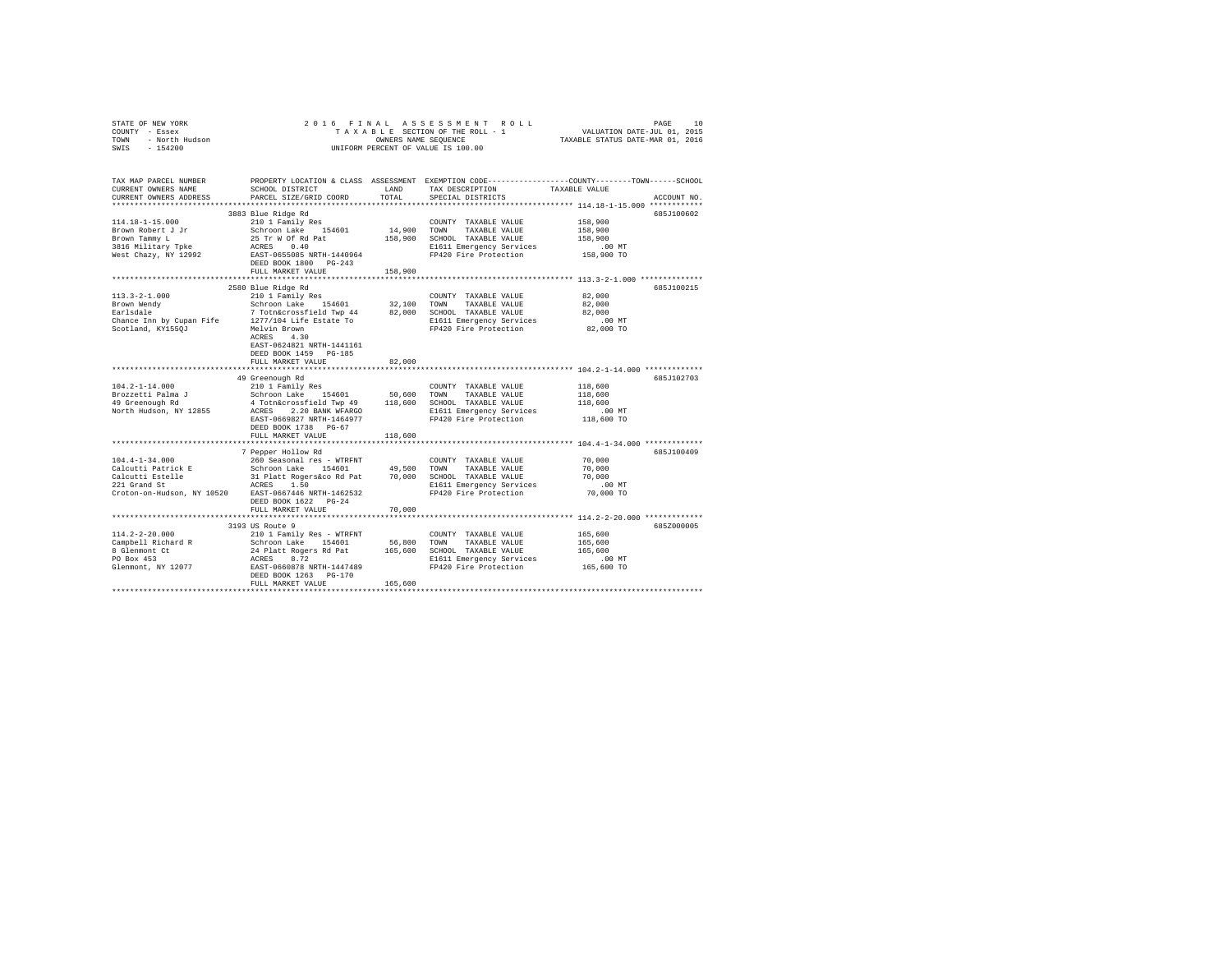| STATE OF NEW YORK<br>COUNTY - Essex<br>TOWN - North Hudson<br>SWIS - 154200                                                                                                                               |                                                                                                                                                                                                                               |               | 2016 FINAL ASSESSMENT ROLL<br>TAXABLE SECTION OF THE ROLL - 1<br>OWNERS NAME SEQUENCE<br>UNIFORM PERCENT OF VALUE IS 100.00 | 10<br>PAGE<br>VALUATION DATE-JUL 01, 2015<br>TAXABLE STATUS DATE-MAR 01, 2016                                                   |  |
|-----------------------------------------------------------------------------------------------------------------------------------------------------------------------------------------------------------|-------------------------------------------------------------------------------------------------------------------------------------------------------------------------------------------------------------------------------|---------------|-----------------------------------------------------------------------------------------------------------------------------|---------------------------------------------------------------------------------------------------------------------------------|--|
| TAX MAP PARCEL NUMBER<br>CURRENT OWNERS NAME<br>CURRENT OWNERS ADDRESS                                                                                                                                    | SCHOOL DISTRICT<br>PARCEL SIZE/GRID COORD                                                                                                                                                                                     | LAND<br>TOTAL | TAX DESCRIPTION<br>SPECIAL DISTRICTS                                                                                        | PROPERTY LOCATION & CLASS ASSESSMENT EXEMPTION CODE---------------COUNTY-------TOWN------SCHOOL<br>TAXABLE VALUE<br>ACCOUNT NO. |  |
| **********************                                                                                                                                                                                    |                                                                                                                                                                                                                               |               |                                                                                                                             |                                                                                                                                 |  |
|                                                                                                                                                                                                           | 3883 Blue Ridge Rd                                                                                                                                                                                                            |               |                                                                                                                             | 685J100602                                                                                                                      |  |
| 114.18-1-15.000                                                                                                                                                                                           | 210 1 Family Res                                                                                                                                                                                                              |               | COUNTY TAXABLE VALUE                                                                                                        | 158,900                                                                                                                         |  |
| Brown Robert J Jr                                                                                                                                                                                         | Schroon Lake 154601                                                                                                                                                                                                           | 14,900 TOWN   | TAXABLE VALUE                                                                                                               | 158,900                                                                                                                         |  |
| Brown Tammy L                                                                                                                                                                                             | 25 Tr W Of Rd Pat<br>ACRES 0.40                                                                                                                                                                                               |               | 158,900 SCHOOL TAXABLE VALUE                                                                                                | 158,900                                                                                                                         |  |
| 3816 Military Tpke<br>West Chazy, NY 12992                                                                                                                                                                | EAST-0655085 NRTH-1440964                                                                                                                                                                                                     |               | E1611 Emergency Services<br>FP420 Fire Protection                                                                           | $.00$ MT<br>158,900 TO                                                                                                          |  |
|                                                                                                                                                                                                           | DEED BOOK 1800 PG-243                                                                                                                                                                                                         |               |                                                                                                                             |                                                                                                                                 |  |
|                                                                                                                                                                                                           | FULL MARKET VALUE                                                                                                                                                                                                             | 158,900       |                                                                                                                             |                                                                                                                                 |  |
|                                                                                                                                                                                                           |                                                                                                                                                                                                                               |               |                                                                                                                             |                                                                                                                                 |  |
|                                                                                                                                                                                                           | 2580 Blue Ridge Rd                                                                                                                                                                                                            |               |                                                                                                                             | 685J100215                                                                                                                      |  |
| $113.3 - 2 - 1.000$                                                                                                                                                                                       | 210 1 Family Res                                                                                                                                                                                                              |               | COUNTY TAXABLE VALUE                                                                                                        | 82,000                                                                                                                          |  |
| Brown Wendy                                                                                                                                                                                               | Schroon Lake 154601                                                                                                                                                                                                           |               | 32,100 TOWN TAXABLE VALUE                                                                                                   | 82,000                                                                                                                          |  |
| $\verb Earlsdale  @ 7 Toth\&crossfield\; \verb Twp 44  82,000 \; SCHOOL \; \verb TAXABLE VALUE \\ \verb Chance Inn by Cupan File  1277/104 Life \; \verb Estate To  11501 \; \verb Emergency Services \\$ |                                                                                                                                                                                                                               |               |                                                                                                                             | 82,000                                                                                                                          |  |
|                                                                                                                                                                                                           |                                                                                                                                                                                                                               |               |                                                                                                                             | $.00$ MT                                                                                                                        |  |
| Scotland, KY1550J                                                                                                                                                                                         | Melvin Brown                                                                                                                                                                                                                  |               | FP420 Fire Protection                                                                                                       | 82,000 TO                                                                                                                       |  |
|                                                                                                                                                                                                           | $ACRES$ 4.30<br>EAST-0624821 NRTH-1441161                                                                                                                                                                                     |               |                                                                                                                             |                                                                                                                                 |  |
|                                                                                                                                                                                                           | DEED BOOK 1459 PG-185                                                                                                                                                                                                         |               |                                                                                                                             |                                                                                                                                 |  |
|                                                                                                                                                                                                           | FULL MARKET VALUE                                                                                                                                                                                                             | 82,000        |                                                                                                                             |                                                                                                                                 |  |
|                                                                                                                                                                                                           |                                                                                                                                                                                                                               |               |                                                                                                                             |                                                                                                                                 |  |
|                                                                                                                                                                                                           | 49 Greenough Rd                                                                                                                                                                                                               |               |                                                                                                                             | 685J102703                                                                                                                      |  |
| $104.2 - 1 - 14.000$                                                                                                                                                                                      | 210 1 Family Res                                                                                                                                                                                                              |               | COUNTY TAXABLE VALUE                                                                                                        | 118,600                                                                                                                         |  |
| Brozzetti Palma J                                                                                                                                                                                         | Schroon Lake 154601                                                                                                                                                                                                           |               | 50,600 TOWN TAXABLE VALUE                                                                                                   | 118,600                                                                                                                         |  |
| 49 Greenough Rd                                                                                                                                                                                           | 4 Totn&crossfield Twp 49 118,600 SCHOOL TAXABLE VALUE                                                                                                                                                                         |               |                                                                                                                             | 118,600                                                                                                                         |  |
| North Hudson, NY 12855                                                                                                                                                                                    | ACRES 2.20 BANK WFARGO                                                                                                                                                                                                        |               | E1611 Emergency Services                                                                                                    | $.00$ MT                                                                                                                        |  |
|                                                                                                                                                                                                           | EAST-0669827 NRTH-1464977                                                                                                                                                                                                     |               | FP420 Fire Protection                                                                                                       | 118,600 TO                                                                                                                      |  |
|                                                                                                                                                                                                           | DEED BOOK 1738 PG-67                                                                                                                                                                                                          |               |                                                                                                                             |                                                                                                                                 |  |
|                                                                                                                                                                                                           | FULL MARKET VALUE                                                                                                                                                                                                             | 118,600       |                                                                                                                             |                                                                                                                                 |  |
|                                                                                                                                                                                                           | 7 Pepper Hollow Rd                                                                                                                                                                                                            |               |                                                                                                                             | 685J100409                                                                                                                      |  |
| $104.4 - 1 - 34.000$                                                                                                                                                                                      | 260 Seasonal res - WTRFNT                                                                                                                                                                                                     |               | COUNTY TAXABLE VALUE                                                                                                        | 70,000                                                                                                                          |  |
| Calcutti Patrick E                                                                                                                                                                                        |                                                                                                                                                                                                                               |               |                                                                                                                             | 70,000                                                                                                                          |  |
|                                                                                                                                                                                                           | Schroon Lake 154601 49,500 TOWN TAXABLE VALUE<br>31 Platt Rogers&co Rd Pat 70,000 SCHOOL TAXABLE VALUE                                                                                                                        |               |                                                                                                                             | 70,000                                                                                                                          |  |
| Calcutti Estelle<br>221 Grand St                                                                                                                                                                          | ACRES 1.50                                                                                                                                                                                                                    |               | E1611 Emergency Services                                                                                                    | $.00$ MT                                                                                                                        |  |
| Croton-on-Hudson, NY 10520 EAST-0667446 NRTH-1462532                                                                                                                                                      |                                                                                                                                                                                                                               |               | FP420 Fire Protection                                                                                                       | 70,000 TO                                                                                                                       |  |
|                                                                                                                                                                                                           | DEED BOOK 1622 PG-24                                                                                                                                                                                                          |               |                                                                                                                             |                                                                                                                                 |  |
|                                                                                                                                                                                                           | FULL MARKET VALUE                                                                                                                                                                                                             | 70,000        |                                                                                                                             |                                                                                                                                 |  |
|                                                                                                                                                                                                           |                                                                                                                                                                                                                               |               |                                                                                                                             |                                                                                                                                 |  |
|                                                                                                                                                                                                           | 3193 US Route 9                                                                                                                                                                                                               |               |                                                                                                                             | 685Z000005                                                                                                                      |  |
| $114.2 - 2 - 20.000$                                                                                                                                                                                      | 31930 NO AUGUST 21930 NORTH COUNTY TAXABLE VALUE 310 1 Family Res - WTRFNT 56,800 TOWN TAXABLE VALUE 3210 1 Path 21 AUGUST 3120 101 105,600 SCHOOL TAXABLE VALUE 31 PART 31 AUGUST 21 AUGUST 21 AUGUST 21 AUGUST 21 AUGUST 21 |               |                                                                                                                             | 165,600                                                                                                                         |  |
| Campbell Richard R                                                                                                                                                                                        |                                                                                                                                                                                                                               |               |                                                                                                                             | 165,600                                                                                                                         |  |
| 8 Glenmont Ct                                                                                                                                                                                             |                                                                                                                                                                                                                               |               |                                                                                                                             | 165,600                                                                                                                         |  |
| PO Box 453<br>Glenmont, NY 12077                                                                                                                                                                          | ACRES 8.72<br>EAST-0660878 NRTH-1447489                                                                                                                                                                                       |               | E1611 Emergency Services<br>FP420 Fire Protection                                                                           | $.00$ MT<br>165,600 TO                                                                                                          |  |
|                                                                                                                                                                                                           | DEED BOOK 1263 PG-170                                                                                                                                                                                                         |               |                                                                                                                             |                                                                                                                                 |  |
|                                                                                                                                                                                                           | FULL MARKET VALUE                                                                                                                                                                                                             | 165,600       |                                                                                                                             |                                                                                                                                 |  |
|                                                                                                                                                                                                           |                                                                                                                                                                                                                               |               |                                                                                                                             |                                                                                                                                 |  |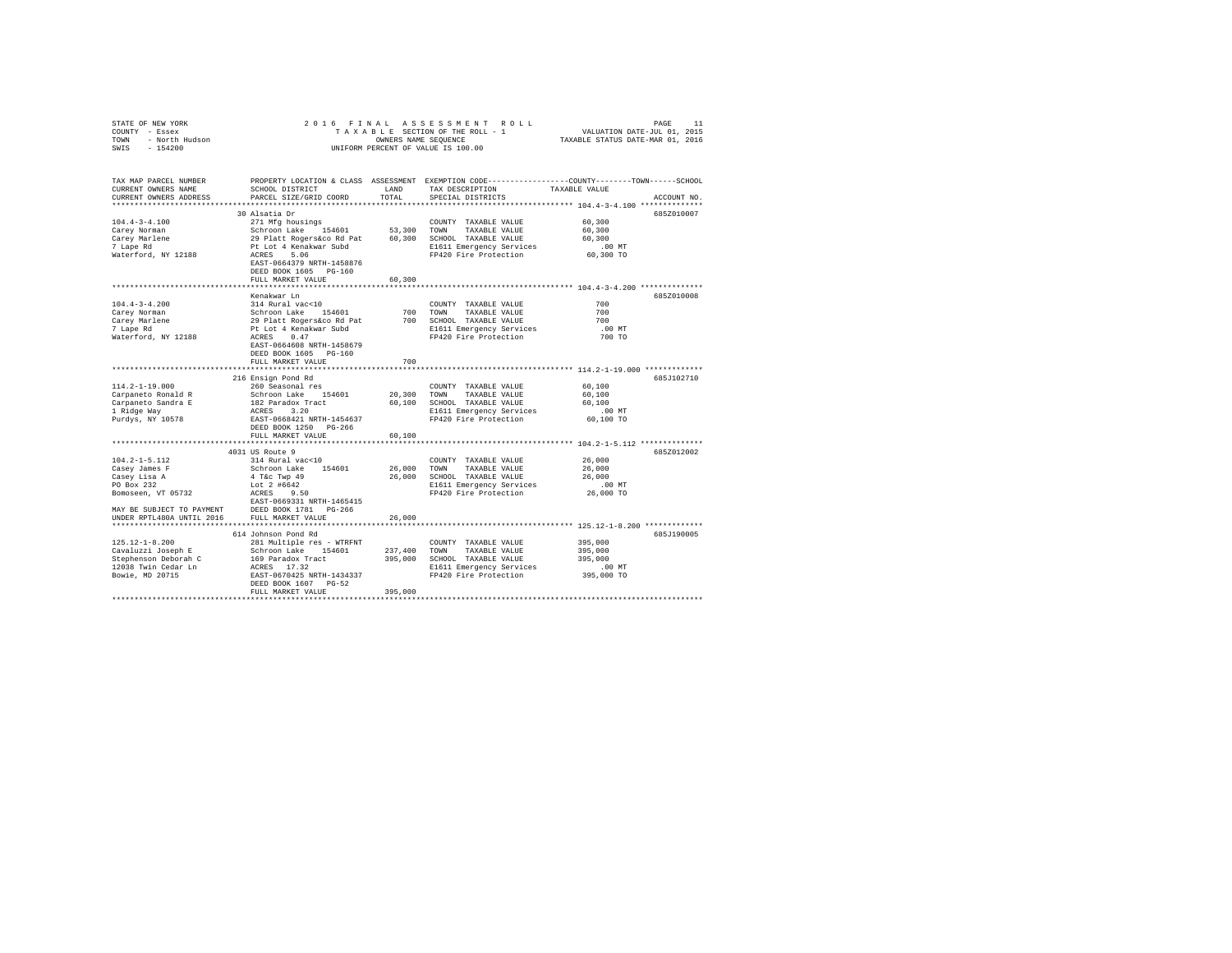| STATE OF NEW YORK<br>COUNTY - Essex<br>TOWN<br>- North Hudson<br>SWIS<br>$-154200$ |                                                                                                                                               | OWNERS NAME SEOUENCE | 2016 FINAL ASSESSMENT ROLL<br>TAXABLE SECTION OF THE ROLL - 1<br>UNIFORM PERCENT OF VALUE IS 100.00 | VALUATION DATE-JUL 01, 2015<br>TAXABLE STATUS DATE-MAR 01, 2016 | PAGE<br>11  |
|------------------------------------------------------------------------------------|-----------------------------------------------------------------------------------------------------------------------------------------------|----------------------|-----------------------------------------------------------------------------------------------------|-----------------------------------------------------------------|-------------|
| TAX MAP PARCEL NUMBER<br>CURRENT OWNERS NAME<br>CURRENT OWNERS ADDRESS             | PROPERTY LOCATION & CLASS ASSESSMENT EXEMPTION CODE----------------COUNTY-------TOWN------SCHOOL<br>SCHOOL DISTRICT<br>PARCEL SIZE/GRID COORD | LAND<br>TOTAL        | TAX DESCRIPTION<br>SPECIAL DISTRICTS                                                                | TAXABLE VALUE                                                   | ACCOUNT NO. |
|                                                                                    |                                                                                                                                               |                      |                                                                                                     |                                                                 |             |
|                                                                                    | 30 Alsatia Dr                                                                                                                                 |                      |                                                                                                     |                                                                 | 685Z010007  |
| $104.4 - 3 - 4.100$                                                                | 271 Mfg housings                                                                                                                              |                      | COUNTY TAXABLE VALUE                                                                                | 60,300                                                          |             |
| Carey Norman                                                                       | Schroon Lake 154601                                                                                                                           |                      | 53,300 TOWN<br>TAXABLE VALUE                                                                        | 60,300                                                          |             |
| Carey Marlene                                                                      | 29 Platt Rogers&co Rd Pat                                                                                                                     |                      | 60,300 SCHOOL TAXABLE VALUE                                                                         | 60,300                                                          |             |
| 7 Lape Rd                                                                          | Pt Lot 4 Kenakwar Subd                                                                                                                        |                      | E1611 Emergency Services                                                                            | $.00$ MT                                                        |             |
| Waterford, NY 12188                                                                | ACRES 5.06                                                                                                                                    |                      | FP420 Fire Protection                                                                               | 60,300 TO                                                       |             |
|                                                                                    | EAST-0664379 NRTH-1458876<br>DEED BOOK 1605 PG-160                                                                                            |                      |                                                                                                     |                                                                 |             |
|                                                                                    | FULL MARKET VALUE                                                                                                                             | 60,300               |                                                                                                     |                                                                 |             |
|                                                                                    | **************************                                                                                                                    |                      | ******************************* 104.4-3-4.200 **************                                        |                                                                 |             |
|                                                                                    | Kenakwar Ln                                                                                                                                   |                      |                                                                                                     |                                                                 | 685Z010008  |
| $104.4 - 3 - 4.200$                                                                | 314 Rural vac<10                                                                                                                              |                      | COUNTY TAXABLE VALUE                                                                                | 700                                                             |             |
| Carey Norman                                                                       | Schroon Lake 154601                                                                                                                           |                      | 700 TOWN<br>TAXABLE VALUE                                                                           | 700                                                             |             |
| Carey Marlene                                                                      | 29 Platt Rogers&co Rd Pat                                                                                                                     |                      | 700 SCHOOL TAXABLE VALUE                                                                            | 700                                                             |             |
| 7 Lape Rd                                                                          | Pt Lot 4 Kenakwar Subd                                                                                                                        |                      | E1611 Emergency Services                                                                            | .00MT                                                           |             |
| Waterford, NY 12188                                                                | ACRES 0.47                                                                                                                                    |                      | FP420 Fire Protection                                                                               | 700 TO                                                          |             |
|                                                                                    | EAST-0664608 NRTH-1458679                                                                                                                     |                      |                                                                                                     |                                                                 |             |
|                                                                                    | DEED BOOK 1605 PG-160                                                                                                                         |                      |                                                                                                     |                                                                 |             |
|                                                                                    | FULL MARKET VALUE                                                                                                                             | 700                  |                                                                                                     |                                                                 |             |
|                                                                                    |                                                                                                                                               |                      |                                                                                                     |                                                                 |             |
| $114.2 - 1 - 19.000$                                                               | 216 Ensign Pond Rd<br>260 Seasonal res                                                                                                        |                      |                                                                                                     |                                                                 | 685J102710  |
| Carpaneto Ronald R                                                                 | Schroon Lake 154601                                                                                                                           | 20,300 TOWN          | COUNTY TAXABLE VALUE<br>TAXABLE VALUE                                                               | 60,100<br>60,100                                                |             |
| Carpaneto Sandra E                                                                 | 182 Paradox Tract                                                                                                                             |                      | 60,100 SCHOOL TAXABLE VALUE                                                                         | 60,100                                                          |             |
| 1 Ridge Way                                                                        | ACRES 3.20                                                                                                                                    |                      | E1611 Emergency Services                                                                            | $.00$ MT                                                        |             |
| Purdys, NY 10578                                                                   | EAST-0668421 NRTH-1454637                                                                                                                     |                      | FP420 Fire Protection                                                                               | 60,100 TO                                                       |             |
|                                                                                    | DEED BOOK 1250 PG-266                                                                                                                         |                      |                                                                                                     |                                                                 |             |
|                                                                                    | FULL MARKET VALUE                                                                                                                             | 60,100               |                                                                                                     |                                                                 |             |
|                                                                                    |                                                                                                                                               |                      |                                                                                                     |                                                                 |             |
|                                                                                    | 4031 US Route 9                                                                                                                               |                      |                                                                                                     |                                                                 | 685Z012002  |
| $104.2 - 1 - 5.112$                                                                | 314 Rural vac<10                                                                                                                              |                      | COUNTY TAXABLE VALUE                                                                                | 26,000                                                          |             |
| Casey James F                                                                      | Schroon Lake 154601                                                                                                                           | 26,000 TOWN          | TAXABLE VALUE                                                                                       | 26,000                                                          |             |
| Casey Lisa A                                                                       | 4 T&c Twp 49                                                                                                                                  |                      | 26,000 SCHOOL TAXABLE VALUE                                                                         | 26,000                                                          |             |
| PO Box 232                                                                         | Lot 2 #6642                                                                                                                                   |                      | E1611 Emergency Services                                                                            | $.00$ MT                                                        |             |
| Bomoseen, VT 05732                                                                 | ACRES 9.50                                                                                                                                    |                      | FP420 Fire Protection                                                                               | 26,000 TO                                                       |             |
|                                                                                    | EAST-0669331 NRTH-1465415                                                                                                                     |                      |                                                                                                     |                                                                 |             |
| MAY BE SUBJECT TO PAYMENT DEED BOOK 1781 PG-266                                    |                                                                                                                                               |                      |                                                                                                     |                                                                 |             |
| UNDER RPTL480A UNTIL 2016                                                          | FULL MARKET VALUE                                                                                                                             | 26,000               |                                                                                                     |                                                                 |             |
|                                                                                    | 614 Johnson Pond Rd                                                                                                                           |                      |                                                                                                     |                                                                 | 685J190005  |
| $125.12 - 1 - 8.200$                                                               | 281 Multiple res - WTRFNT                                                                                                                     |                      | COUNTY TAXABLE VALUE                                                                                | 395,000                                                         |             |
| Cavaluzzi Joseph E                                                                 | Schroon Lake 154601                                                                                                                           | 237,400 TOWN         | TAXABLE VALUE                                                                                       | 395,000                                                         |             |
| Stephenson Deborah C                                                               | 169 Paradox Tract                                                                                                                             |                      | 395,000 SCHOOL TAXABLE VALUE                                                                        | 395,000                                                         |             |
| 12038 Twin Cedar Ln                                                                | ACRES 17.32                                                                                                                                   |                      | E1611 Emergency Services                                                                            | $.00$ MT                                                        |             |
| Bowie, MD 20715                                                                    | EAST-0670425 NRTH-1434337                                                                                                                     |                      | FP420 Fire Protection                                                                               | 395,000 TO                                                      |             |
|                                                                                    | DEED BOOK 1607 PG-52                                                                                                                          |                      |                                                                                                     |                                                                 |             |
|                                                                                    | FULL MARKET VALUE                                                                                                                             | 395,000              |                                                                                                     |                                                                 |             |
|                                                                                    |                                                                                                                                               |                      |                                                                                                     |                                                                 |             |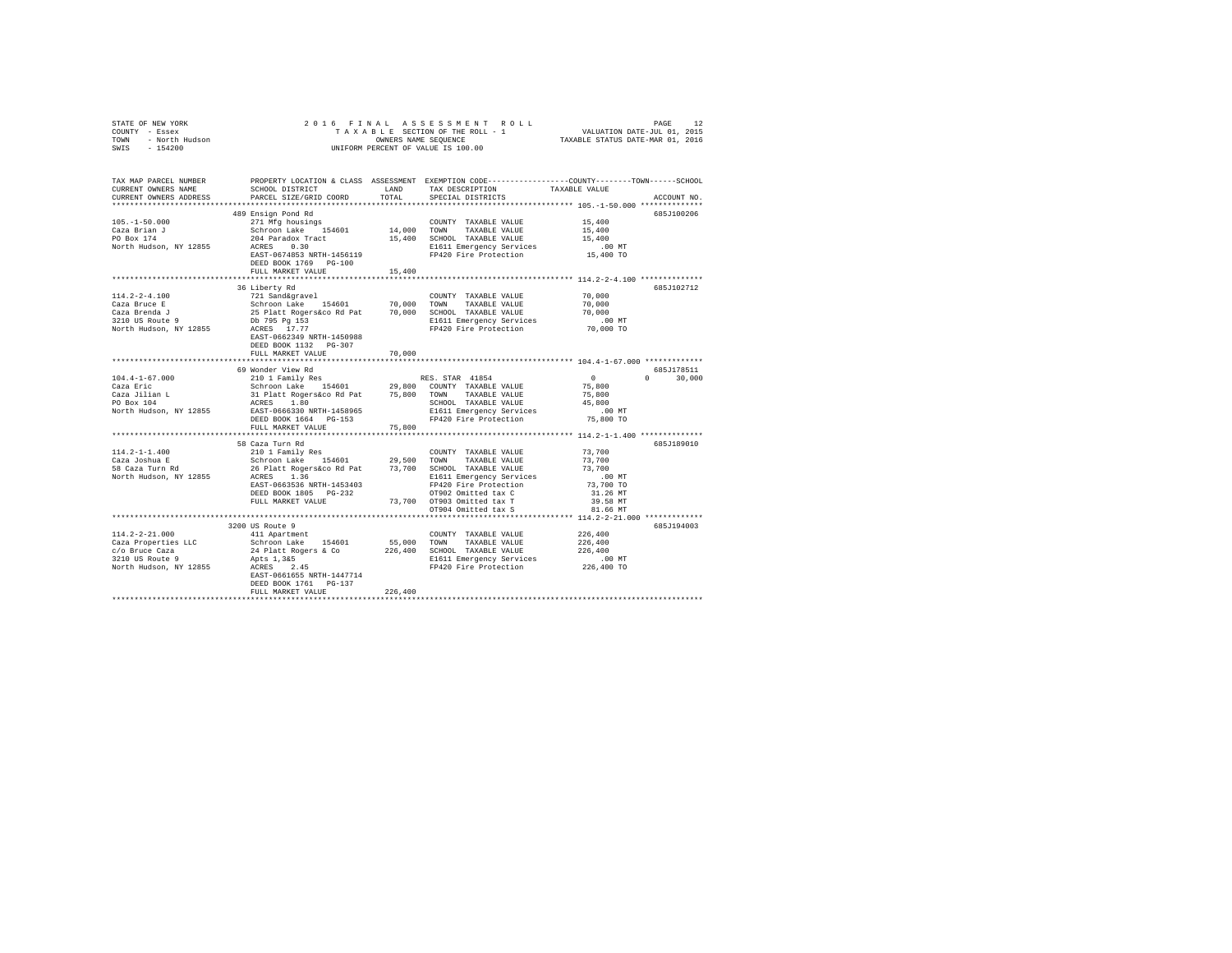| COUNTY - Essex<br>TOWN - North Hudson | UNIFORM PERCENT OF VALUE IS 100.00                                                                                                                                                                                                                                                                                                                                                                                                                                                                                |         |  |                                                                 |               |
|---------------------------------------|-------------------------------------------------------------------------------------------------------------------------------------------------------------------------------------------------------------------------------------------------------------------------------------------------------------------------------------------------------------------------------------------------------------------------------------------------------------------------------------------------------------------|---------|--|-----------------------------------------------------------------|---------------|
| SWIS - 154200                         |                                                                                                                                                                                                                                                                                                                                                                                                                                                                                                                   |         |  |                                                                 |               |
|                                       |                                                                                                                                                                                                                                                                                                                                                                                                                                                                                                                   |         |  |                                                                 | ACCOUNT NO.   |
|                                       |                                                                                                                                                                                                                                                                                                                                                                                                                                                                                                                   |         |  |                                                                 |               |
|                                       | 489 Ensign Pond Rd                                                                                                                                                                                                                                                                                                                                                                                                                                                                                                |         |  |                                                                 | 685J100206    |
|                                       |                                                                                                                                                                                                                                                                                                                                                                                                                                                                                                                   |         |  |                                                                 |               |
|                                       |                                                                                                                                                                                                                                                                                                                                                                                                                                                                                                                   |         |  |                                                                 |               |
|                                       |                                                                                                                                                                                                                                                                                                                                                                                                                                                                                                                   |         |  |                                                                 |               |
|                                       |                                                                                                                                                                                                                                                                                                                                                                                                                                                                                                                   |         |  |                                                                 |               |
|                                       | $\texttt{105. -1-50.000} \begin{minipage}{0.93\textwidth} \begin{minipage}{0.93\textwidth} \begin{minipage}{0.93\textwidth} \begin{minipage}{0.93\textwidth} \begin{minipage}{0.93\textwidth} \begin{minipage}{0.93\textwidth} \begin{minipage}{0.93\textwidth} \begin{minipage}{0.93\textwidth} \begin{minipage}{0.93\textwidth} \begin{minipage}{0.93\textwidth} \begin{minipage}{0.93\textwidth} \begin{minipage}{0.93\textwidth} \begin{minipage}{0.93\textwidth} \begin{minipage}{$<br>DEED BOOK 1769 PG-100 |         |  |                                                                 |               |
|                                       | FULL MARKET VALUE                                                                                                                                                                                                                                                                                                                                                                                                                                                                                                 | 15,400  |  |                                                                 |               |
|                                       |                                                                                                                                                                                                                                                                                                                                                                                                                                                                                                                   |         |  | ******************************** 114.2-2-4.100 **************** |               |
|                                       | 36 Liberty Rd                                                                                                                                                                                                                                                                                                                                                                                                                                                                                                     |         |  |                                                                 | 685J102712    |
|                                       |                                                                                                                                                                                                                                                                                                                                                                                                                                                                                                                   |         |  |                                                                 |               |
|                                       |                                                                                                                                                                                                                                                                                                                                                                                                                                                                                                                   |         |  |                                                                 |               |
|                                       |                                                                                                                                                                                                                                                                                                                                                                                                                                                                                                                   |         |  |                                                                 |               |
|                                       |                                                                                                                                                                                                                                                                                                                                                                                                                                                                                                                   |         |  |                                                                 |               |
|                                       | $(2.2-4.100 \put(0.20000)(0.20000) \put(0.200000)(0.20000) \put(0.200000)(0.20000) \put(0.200000)(0.20000) \put(0.200000)(0.20000) \put(0.200000)(0.20000) \put(0.200000)(0.20000) \put(0.200000)(0.20000) \put(0.200000)(0.20000) \put(0.200000)(0.20000) \put(0.200000$                                                                                                                                                                                                                                         |         |  |                                                                 |               |
|                                       | DEED BOOK 1132 PG-307                                                                                                                                                                                                                                                                                                                                                                                                                                                                                             |         |  |                                                                 |               |
|                                       | FULL MARKET VALUE                                                                                                                                                                                                                                                                                                                                                                                                                                                                                                 | 70,000  |  |                                                                 |               |
|                                       |                                                                                                                                                                                                                                                                                                                                                                                                                                                                                                                   |         |  |                                                                 |               |
|                                       | 69 Wonder View Rd                                                                                                                                                                                                                                                                                                                                                                                                                                                                                                 |         |  |                                                                 | 685J178511    |
|                                       |                                                                                                                                                                                                                                                                                                                                                                                                                                                                                                                   |         |  |                                                                 | $0 \t 30,000$ |
|                                       |                                                                                                                                                                                                                                                                                                                                                                                                                                                                                                                   |         |  |                                                                 |               |
|                                       |                                                                                                                                                                                                                                                                                                                                                                                                                                                                                                                   |         |  |                                                                 |               |
|                                       |                                                                                                                                                                                                                                                                                                                                                                                                                                                                                                                   |         |  |                                                                 |               |
|                                       |                                                                                                                                                                                                                                                                                                                                                                                                                                                                                                                   |         |  |                                                                 |               |
|                                       | FULL MARKET VALUE 75,800                                                                                                                                                                                                                                                                                                                                                                                                                                                                                          |         |  |                                                                 |               |
|                                       |                                                                                                                                                                                                                                                                                                                                                                                                                                                                                                                   |         |  |                                                                 |               |
|                                       | 58 Caza Turn Rd                                                                                                                                                                                                                                                                                                                                                                                                                                                                                                   |         |  |                                                                 | 685J189010    |
|                                       |                                                                                                                                                                                                                                                                                                                                                                                                                                                                                                                   |         |  |                                                                 |               |
|                                       |                                                                                                                                                                                                                                                                                                                                                                                                                                                                                                                   |         |  |                                                                 |               |
|                                       |                                                                                                                                                                                                                                                                                                                                                                                                                                                                                                                   |         |  |                                                                 |               |
|                                       |                                                                                                                                                                                                                                                                                                                                                                                                                                                                                                                   |         |  | .00 MT                                                          |               |
|                                       |                                                                                                                                                                                                                                                                                                                                                                                                                                                                                                                   |         |  | 73,700 TO                                                       |               |
|                                       |                                                                                                                                                                                                                                                                                                                                                                                                                                                                                                                   |         |  | 31.26 MT                                                        |               |
|                                       |                                                                                                                                                                                                                                                                                                                                                                                                                                                                                                                   |         |  | 39.58 MT<br>81.66 MT                                            |               |
|                                       |                                                                                                                                                                                                                                                                                                                                                                                                                                                                                                                   |         |  |                                                                 |               |
|                                       | 3200 US Route 9                                                                                                                                                                                                                                                                                                                                                                                                                                                                                                   |         |  |                                                                 | 685.7194003   |
|                                       |                                                                                                                                                                                                                                                                                                                                                                                                                                                                                                                   |         |  |                                                                 |               |
|                                       |                                                                                                                                                                                                                                                                                                                                                                                                                                                                                                                   |         |  |                                                                 |               |
|                                       |                                                                                                                                                                                                                                                                                                                                                                                                                                                                                                                   |         |  |                                                                 |               |
|                                       |                                                                                                                                                                                                                                                                                                                                                                                                                                                                                                                   |         |  |                                                                 |               |
|                                       |                                                                                                                                                                                                                                                                                                                                                                                                                                                                                                                   |         |  |                                                                 |               |
|                                       | EAST-0661655 NRTH-1447714                                                                                                                                                                                                                                                                                                                                                                                                                                                                                         |         |  |                                                                 |               |
|                                       | DEED BOOK 1761 PG-137                                                                                                                                                                                                                                                                                                                                                                                                                                                                                             |         |  |                                                                 |               |
|                                       | FULL MARKET VALUE                                                                                                                                                                                                                                                                                                                                                                                                                                                                                                 | 226,400 |  |                                                                 |               |
|                                       |                                                                                                                                                                                                                                                                                                                                                                                                                                                                                                                   |         |  |                                                                 |               |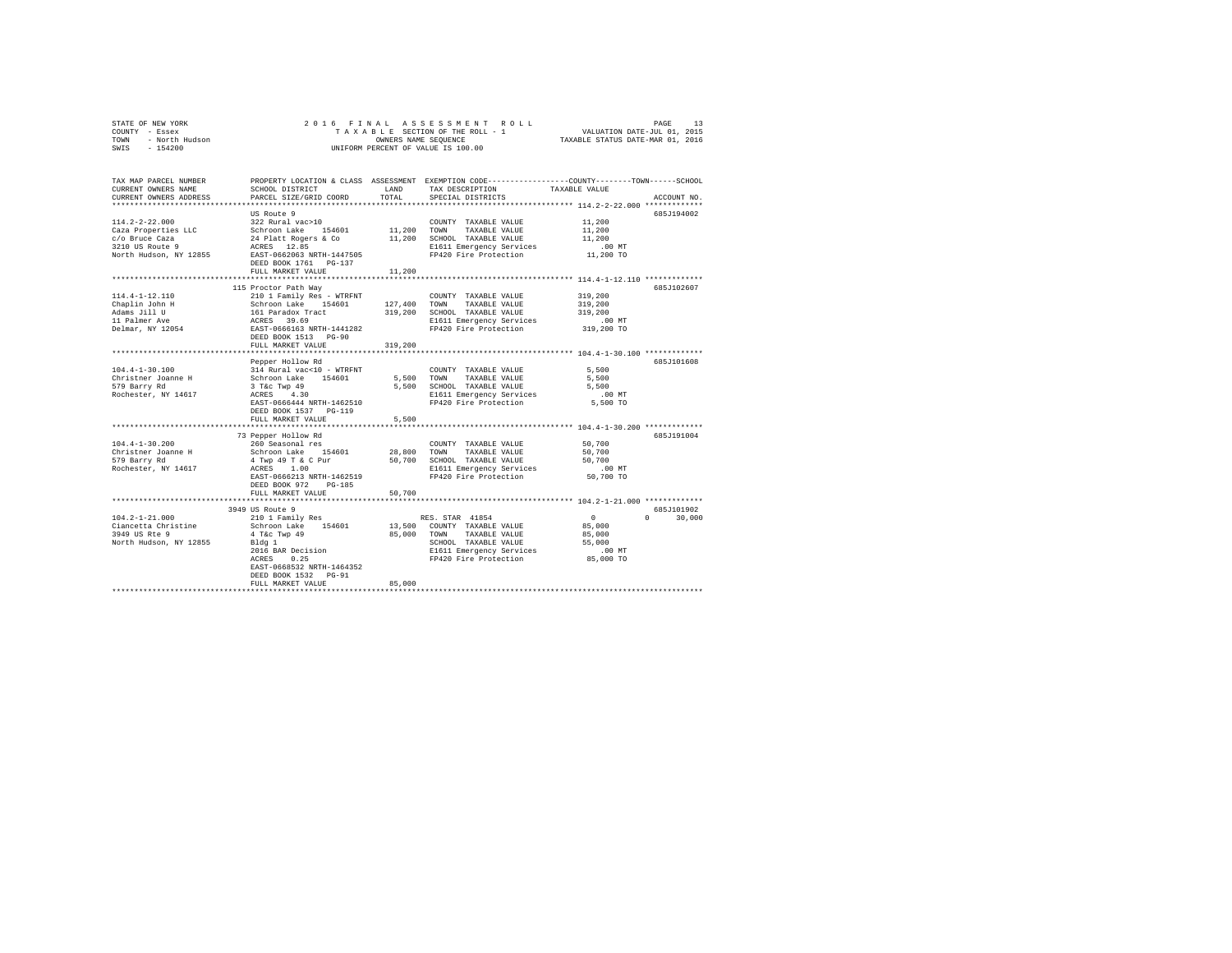| STATE OF NEW YORK      | 2016 FINAL ASSESSMENT ROLL         | 13<br>PAGE                       |
|------------------------|------------------------------------|----------------------------------|
| COUNTY - Essex         | TAXABLE SECTION OF THE ROLL - 1    | VALUATION DATE-JUL 01, 2015      |
| - North Hudson<br>TOWN | OWNERS NAME SEOUENCE               | TAXABLE STATUS DATE-MAR 01, 2016 |
| $-154200$<br>SWIS      | UNIFORM PERCENT OF VALUE IS 100.00 |                                  |

| TAX MAP PARCEL NUMBER<br>CURRENT OWNERS NAME<br>CURRENT OWNERS ADDRESS | SCHOOL DISTRICT<br>PARCEL SIZE/GRID COORD                                            | LAND<br>TOTAL | TAX DESCRIPTION<br>SPECIAL DISTRICTS                        | PROPERTY LOCATION & CLASS ASSESSMENT EXEMPTION CODE----------------COUNTY-------TOWN-----SCHOOL<br>TAXABLE VALUE<br>ACCOUNT NO. |        |
|------------------------------------------------------------------------|--------------------------------------------------------------------------------------|---------------|-------------------------------------------------------------|---------------------------------------------------------------------------------------------------------------------------------|--------|
|                                                                        |                                                                                      |               |                                                             |                                                                                                                                 |        |
|                                                                        | US Route 9                                                                           |               |                                                             | 685J194002                                                                                                                      |        |
| $114.2 - 2 - 22.000$                                                   | 322 Rural vac>10                                                                     |               | COUNTY TAXABLE VALUE                                        | 11,200                                                                                                                          |        |
| Caza Properties LLC                                                    | Schroon Lake 154601<br>24 Platt Rogers & Co<br>ACRES 12.85                           | 11,200 TOWN   | TAXABLE VALUE                                               | 11,200                                                                                                                          |        |
| c/o Bruce Caza                                                         |                                                                                      |               | 11,200 SCHOOL TAXABLE VALUE                                 | 11,200                                                                                                                          |        |
| 3210 US Route 9                                                        |                                                                                      |               | E1611 Emergency Services                                    | $.00$ MT                                                                                                                        |        |
|                                                                        | North Hudson, NY 12855 EAST-0662063 NRTH-1447505<br>DEED BOOK 1761 PG-137            |               | FP420 Fire Protection                                       | 11,200 TO                                                                                                                       |        |
|                                                                        | FULL MARKET VALUE                                                                    | 11,200        |                                                             |                                                                                                                                 |        |
|                                                                        |                                                                                      |               |                                                             | *********************** 114.4-1-12.110 *************                                                                            |        |
|                                                                        | 115 Proctor Path Way                                                                 |               |                                                             | 685J102607                                                                                                                      |        |
| 114.4-1-12.110                                                         | 210 1 Family Res - WTRFNT                                                            |               | COUNTY TAXABLE VALUE                                        | 319,200                                                                                                                         |        |
| Chaplin John H                                                         |                                                                                      | 127,400       | TOWN<br>TAXABLE VALUE                                       | 319,200                                                                                                                         |        |
| Adams Jill U                                                           |                                                                                      | 319,200       | SCHOOL TAXABLE VALUE                                        | 319,200                                                                                                                         |        |
| 11 Palmer Ave                                                          | Schroon Lake 154601<br>161 Paradox Tract<br>ACRES 39.69<br>EAST-0666163 NRTH-1441282 |               | E1611 Emergency Services                                    | $.00$ MT                                                                                                                        |        |
| Delmar, NY 12054                                                       |                                                                                      |               | FP420 Fire Protection                                       | 319,200 TO                                                                                                                      |        |
|                                                                        | DEED BOOK 1513 PG-90                                                                 |               |                                                             |                                                                                                                                 |        |
|                                                                        | FULL MARKET VALUE                                                                    | 319,200       |                                                             |                                                                                                                                 |        |
|                                                                        |                                                                                      |               |                                                             |                                                                                                                                 |        |
|                                                                        | Pepper Hollow Rd                                                                     |               |                                                             | 685J101608                                                                                                                      |        |
| $104.4 - 1 - 30.100$                                                   | 314 Rural vac<10 - WTRFNT                                                            |               | COUNTY TAXABLE VALUE                                        | 5,500                                                                                                                           |        |
| Christner Joanne H                                                     |                                                                                      |               | 5,500 TOWN TAXABLE VALUE                                    | 5,500                                                                                                                           |        |
| 579 Barry Rd                                                           |                                                                                      |               | 5,500 SCHOOL TAXABLE VALUE                                  | 5,500                                                                                                                           |        |
| Rochester, NY 14617                                                    | Schroon Lake 154601<br>3 Tác Twp 49<br>ACRES 4.30                                    |               | E1611 Emergency Services                                    | $.00$ MT                                                                                                                        |        |
|                                                                        | EAST-0666444 NRTH-1462510                                                            |               | FP420 Fire Protection                                       | 5,500 TO                                                                                                                        |        |
|                                                                        | DEED BOOK 1537 PG-119                                                                |               |                                                             |                                                                                                                                 |        |
|                                                                        | FULL MARKET VALUE                                                                    | 5,500         |                                                             |                                                                                                                                 |        |
|                                                                        |                                                                                      |               |                                                             |                                                                                                                                 |        |
|                                                                        | 73 Pepper Hollow Rd                                                                  |               |                                                             | 685J191004                                                                                                                      |        |
| $104.4 - 1 - 30.200$                                                   | 260 Seasonal res                                                                     |               | COUNTY TAXABLE VALUE                                        | 50,700                                                                                                                          |        |
| Christner Joanne H                                                     | Schroon Lake 154601                                                                  | 28,800 TOWN   | TAXABLE VALUE                                               | 50,700                                                                                                                          |        |
| 579 Barry Rd                                                           | 4 Twp 49 T & C Pur                                                                   |               | 50,700 SCHOOL TAXABLE VALUE                                 | 50,700                                                                                                                          |        |
| Rochester, NY 14617                                                    | ACRES<br>1.00                                                                        |               | E1611 Emergency Services                                    | .00MT                                                                                                                           |        |
|                                                                        | EAST-0666213 NRTH-1462519                                                            |               | FP420 Fire Protection                                       | 50,700 TO                                                                                                                       |        |
|                                                                        | DEED BOOK 972<br>PG-185                                                              |               |                                                             |                                                                                                                                 |        |
|                                                                        | FULL MARKET VALUE                                                                    | 50,700        |                                                             |                                                                                                                                 |        |
|                                                                        |                                                                                      |               |                                                             |                                                                                                                                 |        |
|                                                                        | 3949 US Route 9                                                                      |               |                                                             | 685J101902                                                                                                                      |        |
| $104.2 - 1 - 21.000$                                                   |                                                                                      |               | RES. STAR 41854                                             | $\Omega$<br>$\Omega$                                                                                                            | 30,000 |
| Ciancetta Christine                                                    | 210 1 Family Res<br>Schroon Lake 154601                                              |               | 13,500 COUNTY TAXABLE VALUE                                 | 85,000                                                                                                                          |        |
|                                                                        |                                                                                      |               |                                                             |                                                                                                                                 |        |
| 3949 US Rte 9                                                          | 4 T&c Twp 49                                                                         |               | 85,000 TOWN TAXABLE VALUE                                   | 85,000                                                                                                                          |        |
| North Hudson, NY 12855                                                 | Bldg 1                                                                               |               | SCHOOL TAXABLE VALUE                                        | 55,000                                                                                                                          |        |
|                                                                        | 2016 BAR Decision<br>ACRES 0.25<br>0.25                                              |               | E1611 Emergency Services<br>FP420 Fire Protection 85,000 TO | .00 MT                                                                                                                          |        |
|                                                                        | ACRES                                                                                |               |                                                             |                                                                                                                                 |        |
|                                                                        | EAST-0668532 NRTH-1464352                                                            |               |                                                             |                                                                                                                                 |        |
|                                                                        | DEED BOOK 1532 PG-91                                                                 |               |                                                             |                                                                                                                                 |        |
|                                                                        | FULL MARKET VALUE                                                                    | 85,000        |                                                             |                                                                                                                                 |        |
|                                                                        |                                                                                      |               |                                                             |                                                                                                                                 |        |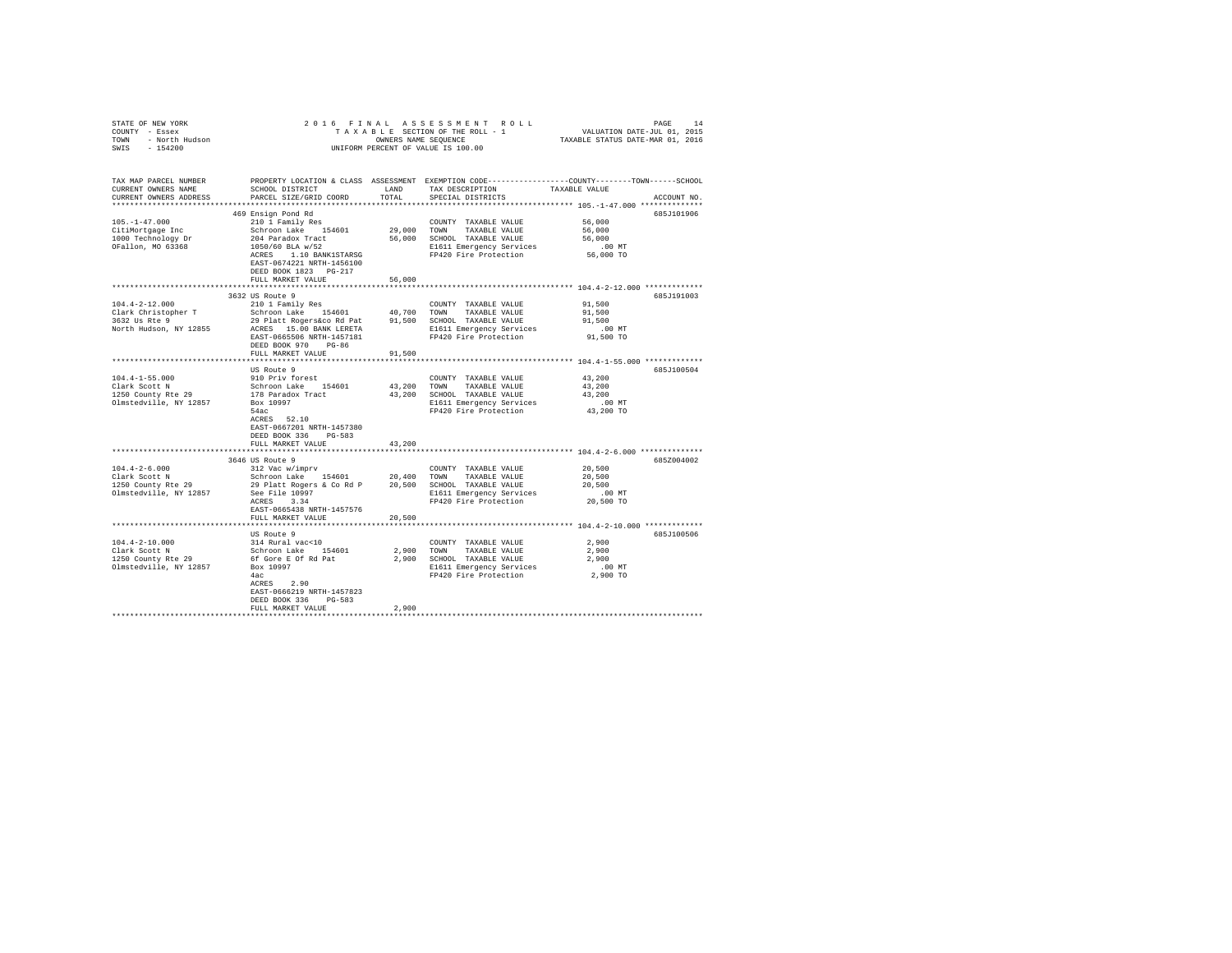|                                                                                                                                                                                                                                                                               |                                                                                                                                                                                                                            |            |                                                                                                   | $\begin{array}{cccccccccccc} \texttt{STATE OF NEW YORK} & \texttt{ORNEW} & \texttt{ORNEW} & \texttt{ORNEW} & \texttt{ORNEW} & \texttt{ORNEW} & \texttt{ORNEW} & \texttt{ORNEW} & \texttt{ORNEW} & \texttt{ORNEW} & \texttt{ORNEW} & \texttt{ORNEW} & \texttt{ORNEW} & \texttt{ORNEW} & \texttt{ORNEW} & \texttt{ORNEW} & \texttt{ORNEW} & \texttt{ORNEW} & \texttt{ORNEW} & \texttt{ORNEW} & \texttt{ORNEW} & \texttt{ORNEW} & \texttt{ORNEW} & \texttt{ORNEW} & \texttt{ORNEW} & \texttt{ORNEW} & \$ |
|-------------------------------------------------------------------------------------------------------------------------------------------------------------------------------------------------------------------------------------------------------------------------------|----------------------------------------------------------------------------------------------------------------------------------------------------------------------------------------------------------------------------|------------|---------------------------------------------------------------------------------------------------|-------------------------------------------------------------------------------------------------------------------------------------------------------------------------------------------------------------------------------------------------------------------------------------------------------------------------------------------------------------------------------------------------------------------------------------------------------------------------------------------------------|
| CURRENT OWNERS NAME<br>CURRENT OWNERS ADDRESS                                                                                                                                                                                                                                 | SCHOOL DISTRICT                        LAND         TAX DESCRIPTION                   TAXABLE VALUE<br>PARCEL SIZE/GRID COORD                                                                                              | TOTAL      | SPECIAL DISTRICTS                                                                                 | TAX MAP PARCEL NUMBER THE PROPERTY LOCATION & CLASS ASSESSMENT EXEMPTION CODE-------------COUNTY-------TOWN------SCHOOL<br>ACCOUNT NO.                                                                                                                                                                                                                                                                                                                                                                |
|                                                                                                                                                                                                                                                                               |                                                                                                                                                                                                                            |            |                                                                                                   |                                                                                                                                                                                                                                                                                                                                                                                                                                                                                                       |
|                                                                                                                                                                                                                                                                               | 469 Ensign Pond Rd<br>% ADSISER WORD TO A MARIE VALUE COUNTY TAXABLE VALUE<br>Schroon Lake 154601 29,000 TONN TAXABLE VALUE<br>2004 Paradox Tract 56,000 SCHOOL TAXABLE VALUE<br>1050/60 BLA w/52 2008 SCHOL TAXABLE VALUE |            |                                                                                                   | 685J101906                                                                                                                                                                                                                                                                                                                                                                                                                                                                                            |
| $105. - 1 - 47.000$                                                                                                                                                                                                                                                           |                                                                                                                                                                                                                            |            | COUNTY TAXABLE VALUE 56,000                                                                       |                                                                                                                                                                                                                                                                                                                                                                                                                                                                                                       |
| CitiMortgage Inc                                                                                                                                                                                                                                                              |                                                                                                                                                                                                                            |            |                                                                                                   | 56,000                                                                                                                                                                                                                                                                                                                                                                                                                                                                                                |
| 1000 Technology Dr<br>OFallon, MO 63368                                                                                                                                                                                                                                       |                                                                                                                                                                                                                            |            |                                                                                                   | 56,000                                                                                                                                                                                                                                                                                                                                                                                                                                                                                                |
|                                                                                                                                                                                                                                                                               |                                                                                                                                                                                                                            |            | 56,000 SCHOOL TRAABLE VALUE<br>21611 Engregency Services<br>21611 FP420 Fire Protection 56,000 TO |                                                                                                                                                                                                                                                                                                                                                                                                                                                                                                       |
|                                                                                                                                                                                                                                                                               | ACRES 1.10 BANK1STARSG                                                                                                                                                                                                     |            |                                                                                                   |                                                                                                                                                                                                                                                                                                                                                                                                                                                                                                       |
|                                                                                                                                                                                                                                                                               | EAST-0674221 NRTH-1456100                                                                                                                                                                                                  |            |                                                                                                   |                                                                                                                                                                                                                                                                                                                                                                                                                                                                                                       |
|                                                                                                                                                                                                                                                                               | DEED BOOK 1823 PG-217<br>FULL MARKET VALUE                                                                                                                                                                                 | 56,000     |                                                                                                   |                                                                                                                                                                                                                                                                                                                                                                                                                                                                                                       |
|                                                                                                                                                                                                                                                                               |                                                                                                                                                                                                                            |            |                                                                                                   |                                                                                                                                                                                                                                                                                                                                                                                                                                                                                                       |
|                                                                                                                                                                                                                                                                               | 3632 US Route 9                                                                                                                                                                                                            |            |                                                                                                   | 685J191003                                                                                                                                                                                                                                                                                                                                                                                                                                                                                            |
|                                                                                                                                                                                                                                                                               |                                                                                                                                                                                                                            |            |                                                                                                   |                                                                                                                                                                                                                                                                                                                                                                                                                                                                                                       |
|                                                                                                                                                                                                                                                                               |                                                                                                                                                                                                                            |            |                                                                                                   |                                                                                                                                                                                                                                                                                                                                                                                                                                                                                                       |
|                                                                                                                                                                                                                                                                               |                                                                                                                                                                                                                            |            |                                                                                                   |                                                                                                                                                                                                                                                                                                                                                                                                                                                                                                       |
|                                                                                                                                                                                                                                                                               |                                                                                                                                                                                                                            |            |                                                                                                   |                                                                                                                                                                                                                                                                                                                                                                                                                                                                                                       |
|                                                                                                                                                                                                                                                                               |                                                                                                                                                                                                                            |            |                                                                                                   |                                                                                                                                                                                                                                                                                                                                                                                                                                                                                                       |
|                                                                                                                                                                                                                                                                               | DEED BOOK 970 PG-86                                                                                                                                                                                                        |            |                                                                                                   |                                                                                                                                                                                                                                                                                                                                                                                                                                                                                                       |
|                                                                                                                                                                                                                                                                               | FULL MARKET VALUE                                                                                                                                                                                                          | 91,500     |                                                                                                   |                                                                                                                                                                                                                                                                                                                                                                                                                                                                                                       |
|                                                                                                                                                                                                                                                                               |                                                                                                                                                                                                                            |            |                                                                                                   |                                                                                                                                                                                                                                                                                                                                                                                                                                                                                                       |
|                                                                                                                                                                                                                                                                               | US Route 9                                                                                                                                                                                                                 |            |                                                                                                   | 685J100504                                                                                                                                                                                                                                                                                                                                                                                                                                                                                            |
| 104.4-1-55.000<br>Clark Scott N<br>1250 County Rte 29                                                                                                                                                                                                                         | 910 Priv forest                                                                                                                                                                                                            |            | COUNTY TAXABLE VALUE 43,200                                                                       |                                                                                                                                                                                                                                                                                                                                                                                                                                                                                                       |
|                                                                                                                                                                                                                                                                               | 910 Friv forest (200 COUNT TAXABLE VALUE Schroon Lake 154601 43,200 TOWN TAXABLE VALUE<br>Schroon Lake 154601 43,200 TOWN TAXABLE VALUE                                                                                    |            |                                                                                                   | 43,200                                                                                                                                                                                                                                                                                                                                                                                                                                                                                                |
|                                                                                                                                                                                                                                                                               |                                                                                                                                                                                                                            |            | 43,200 SCHOOL TAXABLE VALUE                                                                       | 43,200                                                                                                                                                                                                                                                                                                                                                                                                                                                                                                |
| Olmstedville, NY 12857                                                                                                                                                                                                                                                        | Box 10997                                                                                                                                                                                                                  |            | E1611 Emergency Services 00 MT<br>FP420 Fire Protection 43,200 TO                                 |                                                                                                                                                                                                                                                                                                                                                                                                                                                                                                       |
|                                                                                                                                                                                                                                                                               | 54ac                                                                                                                                                                                                                       |            |                                                                                                   |                                                                                                                                                                                                                                                                                                                                                                                                                                                                                                       |
|                                                                                                                                                                                                                                                                               | ACRES 52.10                                                                                                                                                                                                                |            |                                                                                                   |                                                                                                                                                                                                                                                                                                                                                                                                                                                                                                       |
|                                                                                                                                                                                                                                                                               | EAST-0667201 NRTH-1457380                                                                                                                                                                                                  |            |                                                                                                   |                                                                                                                                                                                                                                                                                                                                                                                                                                                                                                       |
|                                                                                                                                                                                                                                                                               | DEED BOOK 336 PG-583                                                                                                                                                                                                       |            |                                                                                                   |                                                                                                                                                                                                                                                                                                                                                                                                                                                                                                       |
|                                                                                                                                                                                                                                                                               | FULL MARKET VALUE                                                                                                                                                                                                          | 43,200     |                                                                                                   | *************************** 104.4-2-6.000 **************                                                                                                                                                                                                                                                                                                                                                                                                                                              |
|                                                                                                                                                                                                                                                                               | 3646 US Route 9                                                                                                                                                                                                            |            |                                                                                                   | 685Z004002                                                                                                                                                                                                                                                                                                                                                                                                                                                                                            |
|                                                                                                                                                                                                                                                                               |                                                                                                                                                                                                                            |            |                                                                                                   |                                                                                                                                                                                                                                                                                                                                                                                                                                                                                                       |
| $104.4-2-6.000$ $108.4-2-6.000$ $108.4-2-6.000$ $108.4-2-6.000$ $108.4-2.000$ $108.4-2.000$ $108.4-2.000$ $108.4-2.000$ $108.4-2.000$ $108.4-2.000$ $108.4-2.000$ $108.4-2.000$ $108.4-2.000$ $108.4-2.000$ $108.4-2.000$ $10$                                                |                                                                                                                                                                                                                            |            |                                                                                                   |                                                                                                                                                                                                                                                                                                                                                                                                                                                                                                       |
|                                                                                                                                                                                                                                                                               |                                                                                                                                                                                                                            |            |                                                                                                   |                                                                                                                                                                                                                                                                                                                                                                                                                                                                                                       |
|                                                                                                                                                                                                                                                                               |                                                                                                                                                                                                                            |            |                                                                                                   |                                                                                                                                                                                                                                                                                                                                                                                                                                                                                                       |
|                                                                                                                                                                                                                                                                               |                                                                                                                                                                                                                            |            |                                                                                                   |                                                                                                                                                                                                                                                                                                                                                                                                                                                                                                       |
|                                                                                                                                                                                                                                                                               | EAST-0665438 NRTH-1457576                                                                                                                                                                                                  |            |                                                                                                   |                                                                                                                                                                                                                                                                                                                                                                                                                                                                                                       |
|                                                                                                                                                                                                                                                                               | FULL MARKET VALUE                                                                                                                                                                                                          | 20,500     |                                                                                                   |                                                                                                                                                                                                                                                                                                                                                                                                                                                                                                       |
|                                                                                                                                                                                                                                                                               |                                                                                                                                                                                                                            |            |                                                                                                   |                                                                                                                                                                                                                                                                                                                                                                                                                                                                                                       |
|                                                                                                                                                                                                                                                                               | US Route 9                                                                                                                                                                                                                 |            |                                                                                                   | 685J100506                                                                                                                                                                                                                                                                                                                                                                                                                                                                                            |
| $104.4 - 2 - 10.000$                                                                                                                                                                                                                                                          | 314 Rural vac<10                                                                                                                                                                                                           |            | COUNTY TAXABLE VALUE                                                                              | 2.900                                                                                                                                                                                                                                                                                                                                                                                                                                                                                                 |
|                                                                                                                                                                                                                                                                               |                                                                                                                                                                                                                            | 2,900 TOWN | TAXABLE VALUE                                                                                     | 2,900                                                                                                                                                                                                                                                                                                                                                                                                                                                                                                 |
| 104.4-2-10.000<br>Clark Scott N<br>1250 County Rte 29<br>5chroon Lake 154601<br>1250 County Rte 29<br>5chroone Box 10997<br>1087<br>1087<br>1087<br>1087<br>1087<br>1087<br>1087<br>1087<br>1087<br>1087<br>1087<br>1087<br>1087<br>1087<br>1087<br>1087<br>1087<br>1087<br>1 |                                                                                                                                                                                                                            |            | 2,900 SCHOOL TAXABLE VALUE                                                                        | 2,900                                                                                                                                                                                                                                                                                                                                                                                                                                                                                                 |
|                                                                                                                                                                                                                                                                               |                                                                                                                                                                                                                            |            | E1611 Emergency Services 6.00 MT<br>FP420 Fire Protection 2,900 TO                                |                                                                                                                                                                                                                                                                                                                                                                                                                                                                                                       |
|                                                                                                                                                                                                                                                                               | 4ac                                                                                                                                                                                                                        |            |                                                                                                   |                                                                                                                                                                                                                                                                                                                                                                                                                                                                                                       |
|                                                                                                                                                                                                                                                                               |                                                                                                                                                                                                                            |            |                                                                                                   |                                                                                                                                                                                                                                                                                                                                                                                                                                                                                                       |
|                                                                                                                                                                                                                                                                               | ACRES 2.90                                                                                                                                                                                                                 |            |                                                                                                   |                                                                                                                                                                                                                                                                                                                                                                                                                                                                                                       |
|                                                                                                                                                                                                                                                                               | EAST-0666219 NRTH-1457823                                                                                                                                                                                                  |            |                                                                                                   |                                                                                                                                                                                                                                                                                                                                                                                                                                                                                                       |
|                                                                                                                                                                                                                                                                               | DEED BOOK 336 PG-583<br>FULL MARKET VALUE                                                                                                                                                                                  | 2,900      |                                                                                                   |                                                                                                                                                                                                                                                                                                                                                                                                                                                                                                       |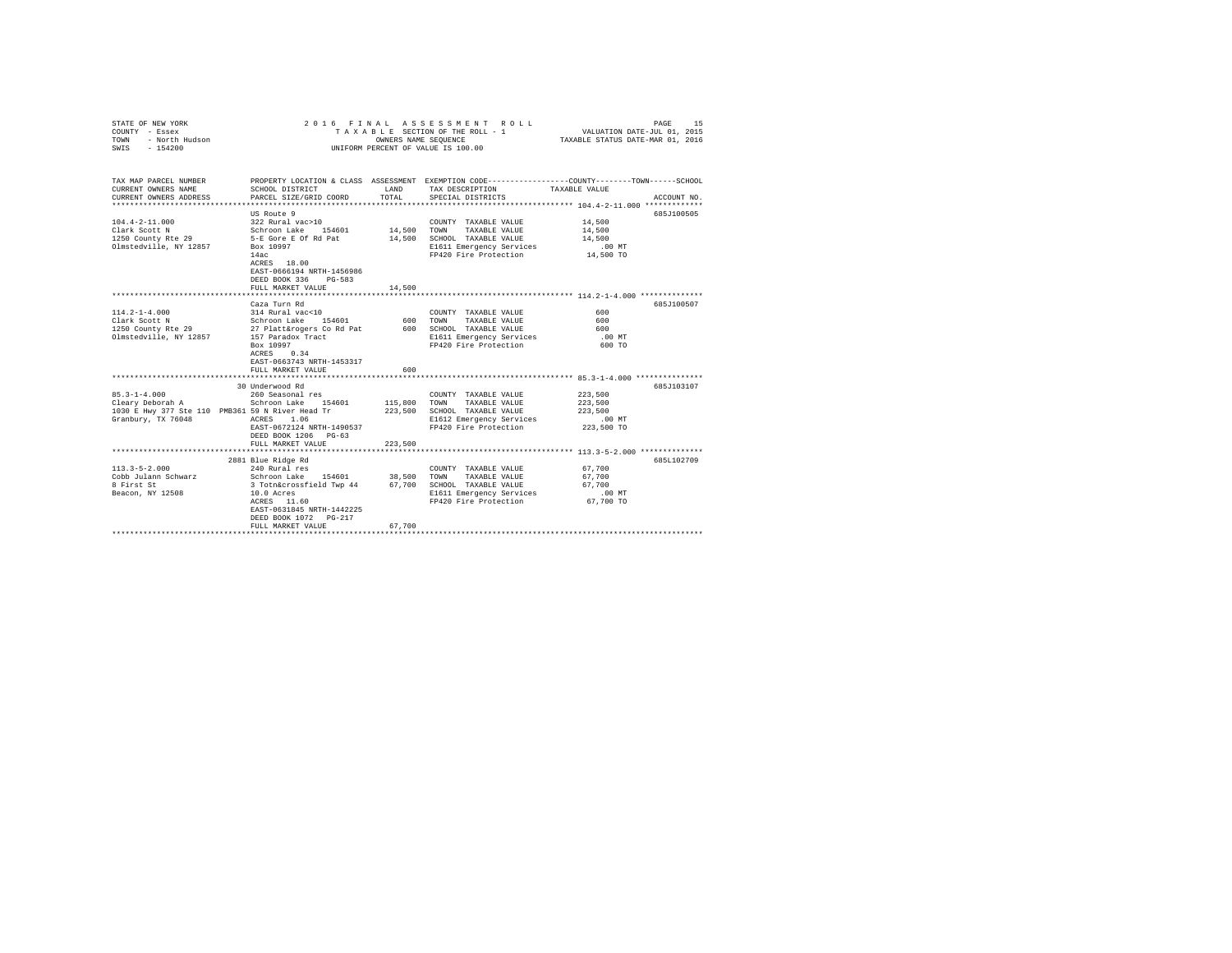| STATE OF NEW YORK<br>COUNTY - Essex<br>- North Hudson<br>TOWN<br>$-154200$<br>SWIS                               |                                                                                                                                                                                                                    |                         | 2016 FINAL ASSESSMENT ROLL<br>TAXABLE SECTION OF THE ROLL - 1<br>OWNERS NAME SEQUENCE<br>UNIFORM PERCENT OF VALUE IS 100.00           | PAGE<br>-15<br>VALUATION DATE-JUL 01, 2015<br>TAXABLE STATUS DATE-MAR 01, 2016                                                                                                               |  |
|------------------------------------------------------------------------------------------------------------------|--------------------------------------------------------------------------------------------------------------------------------------------------------------------------------------------------------------------|-------------------------|---------------------------------------------------------------------------------------------------------------------------------------|----------------------------------------------------------------------------------------------------------------------------------------------------------------------------------------------|--|
| TAX MAP PARCEL NUMBER<br>CURRENT OWNERS NAME<br>CURRENT OWNERS ADDRESS                                           | SCHOOL DISTRICT<br>PARCEL SIZE/GRID COORD                                                                                                                                                                          | LAND<br>TOTAL           | TAX DESCRIPTION<br>SPECIAL DISTRICTS                                                                                                  | PROPERTY LOCATION & CLASS ASSESSMENT EXEMPTION CODE---------------COUNTY-------TOWN------SCHOOL<br>TAXABLE VALUE<br>ACCOUNT NO.<br>**************************** 104.4-2-11.000 ************* |  |
| $104.4 - 2 - 11.000$<br>Clark Scott N<br>1250 County Rte 29<br>Olmstedville, NY 12857                            | US Route 9<br>322 Rural vac>10<br>Schroon Lake 154601<br>5-E Gore E Of Rd Pat<br>Box 10997<br>14ac<br>ACRES 18.00<br>EAST-0666194 NRTH-1456986<br>DEED BOOK 336<br>PG-583<br>FULL MARKET VALUE                     | 14,500 TOWN<br>14,500   | COUNTY TAXABLE VALUE<br>TAXABLE VALUE<br>14,500 SCHOOL TAXABLE VALUE<br>E1611 Emergency Services<br>FP420 Fire Protection             | 685J100505<br>14,500<br>14,500<br>14,500<br>.00 MT<br>14,500 TO                                                                                                                              |  |
| $114.2 - 1 - 4.000$<br>Clark Scott N<br>1250 County Rte 29<br>Olmstedville, NY 12857                             | Caza Turn Rd<br>314 Rural vac<10<br>Schroon Lake 154601<br>27 Platt&rogers Co Rd Pat 600 SCHOOL TAXABLE VALUE<br>157 Paradox Tract<br>Box 10997<br>0.34<br>ACRES<br>EAST-0663743 NRTH-1453317<br>FULL MARKET VALUE | 600                     | COUNTY TAXABLE VALUE<br>600 TOWN<br>TAXABLE VALUE<br>E1611 Emergency Services<br>FP420 Fire Protection                                | 685J100507<br>600<br>600<br>600<br>$.00$ MT<br>600 TO                                                                                                                                        |  |
|                                                                                                                  |                                                                                                                                                                                                                    |                         |                                                                                                                                       |                                                                                                                                                                                              |  |
| $85.3 - 1 - 4.000$<br>Cleary Deborah A<br>1030 E Hwy 377 Ste 110 PMB361 59 N River Head Tr<br>Granbury, TX 76048 | 30 Underwood Rd<br>260 Seasonal res<br>Schroon Lake 154601<br>ACRES 1.06<br>EAST-0672124 NRTH-1490537<br>DEED BOOK 1206 PG-63<br>FULL MARKET VALUE                                                                 | 115,800 TOWN<br>223,500 | COUNTY TAXABLE VALUE<br>TAXABLE VALUE<br>223,500 SCHOOL TAXABLE VALUE<br>E1612 Emergency Services<br>FP420 Fire Protection            | 685J103107<br>223,500<br>223,500<br>223,500<br>$.00$ MT<br>223,500 TO                                                                                                                        |  |
|                                                                                                                  | ***************************                                                                                                                                                                                        |                         |                                                                                                                                       |                                                                                                                                                                                              |  |
| $113.3 - 5 - 2.000$<br>Cobb Julann Schwarz<br>8 First St<br>Beacon, NY 12508                                     | 2881 Blue Ridge Rd<br>240 Rural res<br>Schroon Lake 154601<br>3 Totn&crossfield Twp 44<br>10.0 Acres<br>ACRES 11.60<br>EAST-0631845 NRTH-1442225<br>DEED BOOK 1072 PG-217<br>FULL MARKET VALUE                     | 67,700                  | COUNTY TAXABLE VALUE<br>38,500 TOWN TAXABLE VALUE<br>67,700 SCHOOL TAXABLE VALUE<br>E1611 Emergency Services<br>FP420 Fire Protection | 6851102709<br>67,700<br>67.700<br>67.700<br>.00 MT<br>67,700 TO                                                                                                                              |  |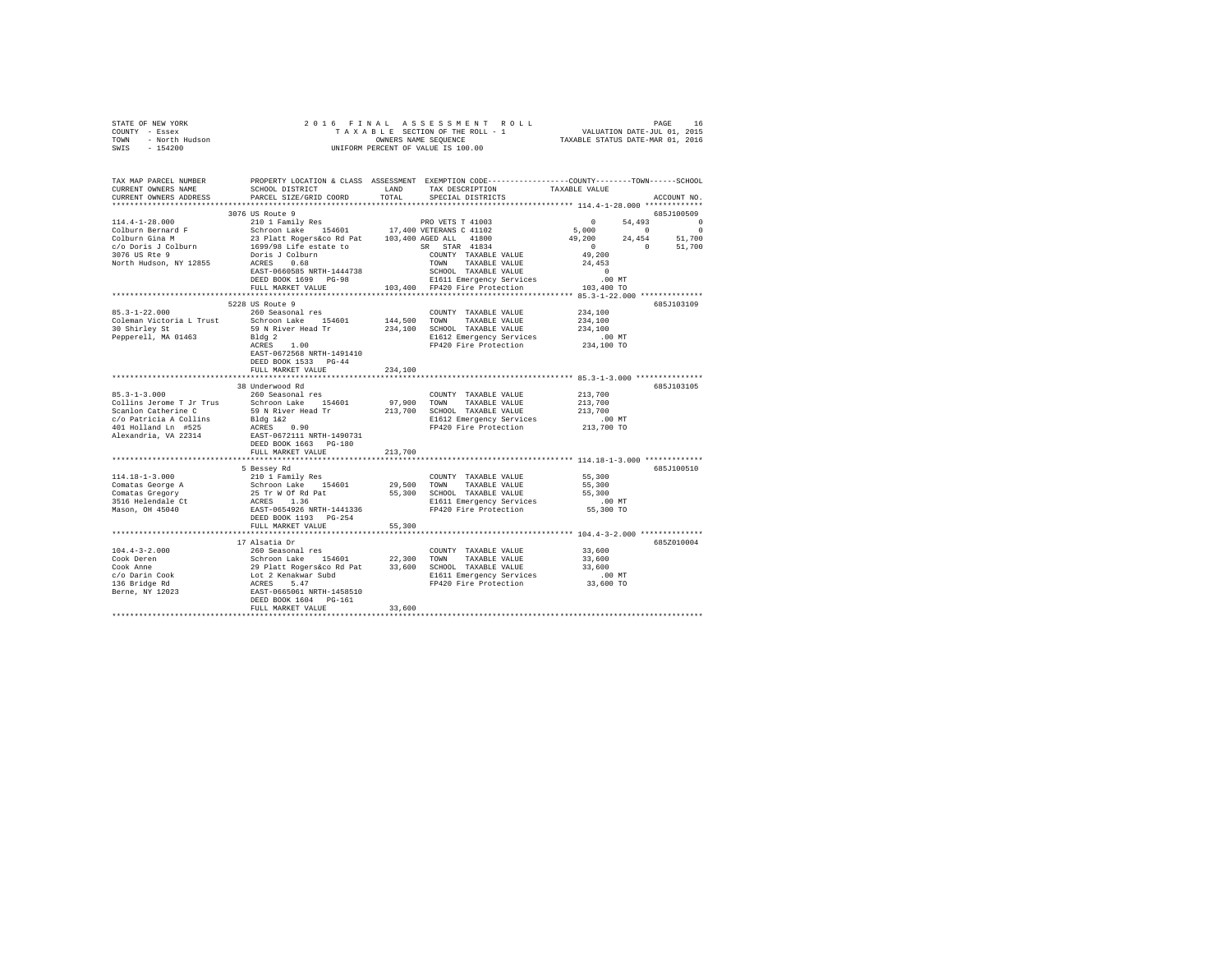| CURRENT OWNERS ADDRESS PARCEL SIZE/GRID COORD                                                                                                                                                                                                                                                                                                                                                                                                                                                                         |                                                                                                                                                                                                                                     | TOTAL   | SPECIAL DISTRICTS           |                                                                                                                                       |            | ACCOUNT NO. |
|-----------------------------------------------------------------------------------------------------------------------------------------------------------------------------------------------------------------------------------------------------------------------------------------------------------------------------------------------------------------------------------------------------------------------------------------------------------------------------------------------------------------------|-------------------------------------------------------------------------------------------------------------------------------------------------------------------------------------------------------------------------------------|---------|-----------------------------|---------------------------------------------------------------------------------------------------------------------------------------|------------|-------------|
|                                                                                                                                                                                                                                                                                                                                                                                                                                                                                                                       |                                                                                                                                                                                                                                     |         |                             |                                                                                                                                       |            |             |
|                                                                                                                                                                                                                                                                                                                                                                                                                                                                                                                       | 3076 US Route 9                                                                                                                                                                                                                     |         |                             |                                                                                                                                       | 685J100509 |             |
|                                                                                                                                                                                                                                                                                                                                                                                                                                                                                                                       |                                                                                                                                                                                                                                     |         |                             |                                                                                                                                       |            |             |
|                                                                                                                                                                                                                                                                                                                                                                                                                                                                                                                       |                                                                                                                                                                                                                                     |         |                             |                                                                                                                                       |            |             |
|                                                                                                                                                                                                                                                                                                                                                                                                                                                                                                                       |                                                                                                                                                                                                                                     |         |                             |                                                                                                                                       |            |             |
|                                                                                                                                                                                                                                                                                                                                                                                                                                                                                                                       |                                                                                                                                                                                                                                     |         |                             | $\begin{array}{cccc} & 0 & 54,493 & 0 & 0\\ 5,000 & 0 & 0 & 0\\ 49,200 & 24,454 & 51,700 & 0\\ 49,200 & 0 & 51,700 & 0\\ \end{array}$ |            |             |
|                                                                                                                                                                                                                                                                                                                                                                                                                                                                                                                       |                                                                                                                                                                                                                                     |         |                             |                                                                                                                                       |            |             |
|                                                                                                                                                                                                                                                                                                                                                                                                                                                                                                                       |                                                                                                                                                                                                                                     |         |                             |                                                                                                                                       |            |             |
|                                                                                                                                                                                                                                                                                                                                                                                                                                                                                                                       | ACRES 0.68<br>EAST-0660585 NRTH-1444738 70MN TAXABLE VALUE 24,453<br>DER BOOK 12 SCHOOL TAXABLE VALUE 24,453<br>DER BOOK 139 PG-98 E1611 Emergency Services 10.00 MT<br>EVILL MARKET VALUE 103,400 FP420 Fire Protection 103,400 TO |         |                             |                                                                                                                                       |            |             |
|                                                                                                                                                                                                                                                                                                                                                                                                                                                                                                                       |                                                                                                                                                                                                                                     |         |                             |                                                                                                                                       |            |             |
|                                                                                                                                                                                                                                                                                                                                                                                                                                                                                                                       | 5228 US Route 9                                                                                                                                                                                                                     |         |                             |                                                                                                                                       |            | 685J103109  |
| $85.3 - 1 - 22.000$                                                                                                                                                                                                                                                                                                                                                                                                                                                                                                   | 260 Seasonal res                                                                                                                                                                                                                    |         | COUNTY TAXABLE VALUE        | 234,100                                                                                                                               |            |             |
|                                                                                                                                                                                                                                                                                                                                                                                                                                                                                                                       |                                                                                                                                                                                                                                     |         |                             |                                                                                                                                       |            |             |
|                                                                                                                                                                                                                                                                                                                                                                                                                                                                                                                       |                                                                                                                                                                                                                                     |         |                             |                                                                                                                                       |            |             |
| Soliton Lake 194601 144,500 TOWN TAXABLE VALUE 234,100<br>Coleman Victoria L Trust Schroon Lake 154601 144,500 TOWN TAXABLE VALUE 234,100<br>30 Shirley St 59 N River Head Tr 234,100 SCHOOL TAXABLE VALUE 234,100<br>Pepperell, MA                                                                                                                                                                                                                                                                                   |                                                                                                                                                                                                                                     |         |                             |                                                                                                                                       |            |             |
|                                                                                                                                                                                                                                                                                                                                                                                                                                                                                                                       | EAST-0672568 NRTH-1491410                                                                                                                                                                                                           |         |                             |                                                                                                                                       |            |             |
|                                                                                                                                                                                                                                                                                                                                                                                                                                                                                                                       | DEED BOOK 1533 PG-44<br>FULL MARKET VALUE                                                                                                                                                                                           | 234,100 |                             |                                                                                                                                       |            |             |
|                                                                                                                                                                                                                                                                                                                                                                                                                                                                                                                       |                                                                                                                                                                                                                                     |         |                             |                                                                                                                                       |            |             |
|                                                                                                                                                                                                                                                                                                                                                                                                                                                                                                                       | 38 Underwood Rd                                                                                                                                                                                                                     |         |                             |                                                                                                                                       |            | 685J103105  |
| $85.3 - 1 - 3.000$                                                                                                                                                                                                                                                                                                                                                                                                                                                                                                    | 260 Seasonal res                                                                                                                                                                                                                    |         | COUNTY TAXABLE VALUE        | 213,700                                                                                                                               |            |             |
|                                                                                                                                                                                                                                                                                                                                                                                                                                                                                                                       |                                                                                                                                                                                                                                     |         |                             |                                                                                                                                       |            |             |
| $\verb Collins Jevone TJr Trus} \end{min} \begin{minipage}{.35\textwidth} \begin{minipage}{.35\textwidth} \begin{minipage}{.35\textwidth} \begin{minipage}{.35\textwidth} \begin{minipage}{.35\textwidth} \begin{minipage}{.35\textwidth} \begin{minipage}{.35\textwidth} \begin{minipage}{.35\textwidth} \begin{minipage}{.35\textwidth} \begin{minipage}{.35\textwidth} \begin{minipage}{.35\textwidth} \begin{minipage}{.35\textwidth} \begin{minipage}{.35\textwidth} \begin{minipage}{.35\textwidth} \begin{min$ |                                                                                                                                                                                                                                     |         |                             |                                                                                                                                       |            |             |
|                                                                                                                                                                                                                                                                                                                                                                                                                                                                                                                       |                                                                                                                                                                                                                                     |         |                             |                                                                                                                                       |            |             |
|                                                                                                                                                                                                                                                                                                                                                                                                                                                                                                                       |                                                                                                                                                                                                                                     |         |                             |                                                                                                                                       |            |             |
| $\begin{tabular}{lllllllllllll} c/o\ \texttt{Patricia}\ \texttt{A}\ \texttt{Collins} & \texttt{Bldg}\ 1\&2 & \texttt{--} \\ \texttt{401}\ \texttt{Holland}\ \texttt{Ln} & \texttt{\#525} & \texttt{ACES}\ & \texttt{ACES}\ & \texttt{MRT--0490731} \\ \texttt{Alexanderia}\,,\ \texttt{VA}\ 22314 & \texttt{DEED}\ \texttt{BOOK}\ 1663 & \texttt{PG-180} \\ \end{tabular}$                                                                                                                                            |                                                                                                                                                                                                                                     |         |                             |                                                                                                                                       |            |             |
|                                                                                                                                                                                                                                                                                                                                                                                                                                                                                                                       | FULL MARKET VALUE                                                                                                                                                                                                                   | 213,700 |                             |                                                                                                                                       |            |             |
|                                                                                                                                                                                                                                                                                                                                                                                                                                                                                                                       | 5 Bessey Rd                                                                                                                                                                                                                         |         |                             |                                                                                                                                       |            | 685J100510  |
| $114.18 - 1 - 3.000$                                                                                                                                                                                                                                                                                                                                                                                                                                                                                                  | 210 1 Family Res                                                                                                                                                                                                                    |         | COUNTY TAXABLE VALUE 55,300 |                                                                                                                                       |            |             |
|                                                                                                                                                                                                                                                                                                                                                                                                                                                                                                                       |                                                                                                                                                                                                                                     |         |                             |                                                                                                                                       |            |             |
|                                                                                                                                                                                                                                                                                                                                                                                                                                                                                                                       |                                                                                                                                                                                                                                     |         |                             |                                                                                                                                       |            |             |
|                                                                                                                                                                                                                                                                                                                                                                                                                                                                                                                       |                                                                                                                                                                                                                                     |         |                             |                                                                                                                                       |            |             |
|                                                                                                                                                                                                                                                                                                                                                                                                                                                                                                                       |                                                                                                                                                                                                                                     |         |                             |                                                                                                                                       |            |             |
|                                                                                                                                                                                                                                                                                                                                                                                                                                                                                                                       | FULL MARKET VALUE                                                                                                                                                                                                                   | 55,300  |                             |                                                                                                                                       |            |             |
|                                                                                                                                                                                                                                                                                                                                                                                                                                                                                                                       |                                                                                                                                                                                                                                     |         |                             |                                                                                                                                       |            |             |
|                                                                                                                                                                                                                                                                                                                                                                                                                                                                                                                       |                                                                                                                                                                                                                                     |         |                             |                                                                                                                                       |            | 685Z010004  |
|                                                                                                                                                                                                                                                                                                                                                                                                                                                                                                                       |                                                                                                                                                                                                                                     |         |                             |                                                                                                                                       |            |             |
| $\begin{tabular}{cccccccc} 104.4-3-2.000 & 17 & 134.4-3-2.000 & 17 & 134.4-3-2.000 & 17 & 134.4-3-2.000 & 17 & 134.4-3-2.000 & 17 & 134.4-3-2.000 & 17 & 134.4-3-2.000 & 17 & 134.4-3-2.000 & 17 & 134.4-3-2.000 & 17 & 134.4-3-2.000 & 17 & 134.4-3-2.000 & 17 & 1$                                                                                                                                                                                                                                                  |                                                                                                                                                                                                                                     |         |                             |                                                                                                                                       |            |             |
|                                                                                                                                                                                                                                                                                                                                                                                                                                                                                                                       |                                                                                                                                                                                                                                     |         |                             |                                                                                                                                       |            |             |
|                                                                                                                                                                                                                                                                                                                                                                                                                                                                                                                       |                                                                                                                                                                                                                                     |         |                             |                                                                                                                                       |            |             |
|                                                                                                                                                                                                                                                                                                                                                                                                                                                                                                                       |                                                                                                                                                                                                                                     |         |                             |                                                                                                                                       |            |             |
|                                                                                                                                                                                                                                                                                                                                                                                                                                                                                                                       |                                                                                                                                                                                                                                     |         |                             |                                                                                                                                       |            |             |
|                                                                                                                                                                                                                                                                                                                                                                                                                                                                                                                       |                                                                                                                                                                                                                                     |         |                             |                                                                                                                                       |            |             |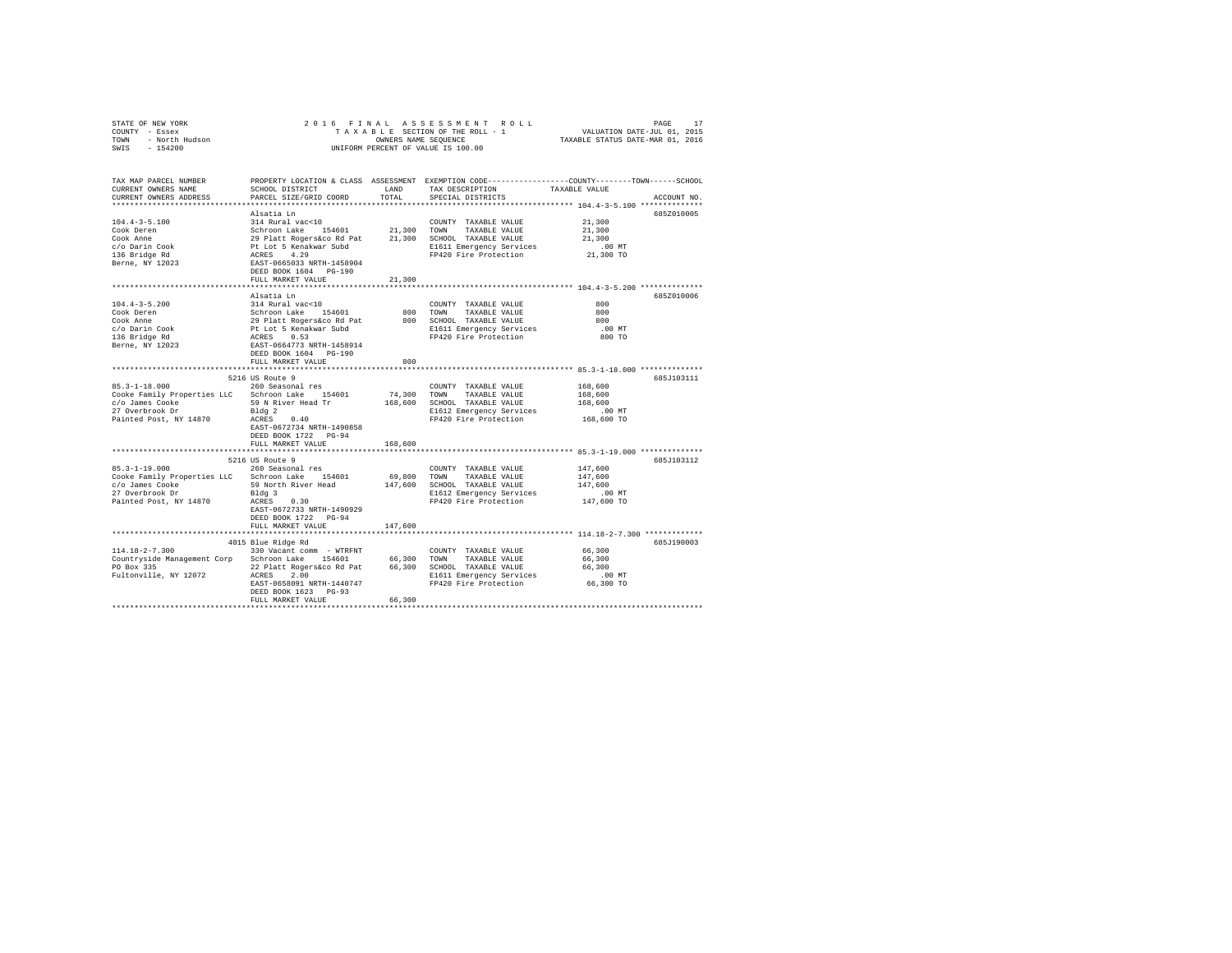| COUNTY - Essex<br>TOWN - North Hudson<br>SWIS - 154200                                                                                                                                                         |                                                                                                                                                                                                                                                                                                                            | OWNERS NAME SEQUENCE | UNIFORM PERCENT OF VALUE IS 100.00                                                                                                     |                                                                                                                |
|----------------------------------------------------------------------------------------------------------------------------------------------------------------------------------------------------------------|----------------------------------------------------------------------------------------------------------------------------------------------------------------------------------------------------------------------------------------------------------------------------------------------------------------------------|----------------------|----------------------------------------------------------------------------------------------------------------------------------------|----------------------------------------------------------------------------------------------------------------|
| TAX MAP PARCEL NUMBER<br>CURRENT OWNERS NAME<br>CURRENT OWNERS ADDRESS                                                                                                                                         | SCHOOL DISTRICT<br>PARCEL SIZE/GRID COORD                                                                                                                                                                                                                                                                                  | LAND<br>TOTAL        | TAX DESCRIPTION TAXABLE VALUE<br>SPECIAL DISTRICTS                                                                                     | PROPERTY LOCATION & CLASS ASSESSMENT EXEMPTION CODE---------------COUNTY-------TOWN------SCHOOL<br>ACCOUNT NO. |
| $104.4 - 3 - 5.100$<br>Cook Deren<br>Cook Anne<br>c/o Darin Cook<br>136 Bridge Rd<br>136 Bridge<br>Berne, NY 12023                                                                                             | Alsatia Ln<br>314 Rural vac<10<br>Schroon Lake 154601 21,300 TOWN TAXABLE VALUE<br>29 Platt Rogers and 21,300 TOWN TAXABLE VALUE<br>29 Platt Rogers and 21,300 SCHOOL TAXABLE VALUE<br>PLACES 4.29 EAST-1458904<br>EAST-0665033 NETH-1458904<br>PP420 Fire Protection<br>PPF<br>DEED BOOK 1604 PG-190<br>FULL MARKET VALUE | 21,300               | COUNTY TAXABLE VALUE<br>E1611 Emergency Services<br>FP420 Fire Protection                                                              | 685Z010005<br>21,300<br>21,300<br>21,300<br>$.00$ MT<br>21,300 TO                                              |
|                                                                                                                                                                                                                | Alsatia Ln                                                                                                                                                                                                                                                                                                                 |                      |                                                                                                                                        | 685Z010006                                                                                                     |
| $104.4 - 3 - 5.200$<br>Cook Deren<br>Cook Anne<br>Cook Anne<br>c/o Darin Cook<br>136 Bridge Rd<br>Berne, NY 12023                                                                                              | 314 Rural vac<10<br>Schroon Lake 154601<br>29 Platt Rogers&co Rd Pat<br>Pt Lot 5 Kenakwar Subd<br>RCRES 0.53<br>RAST-0664773 NRTH-1458914<br>DEED BOOK 1604 PG-190<br>FULL MARKET VALUE                                                                                                                                    | 800                  | COUNTY TAXABLE VALUE<br>800 TOWN TAXABLE VALUE<br>800 SCHOOL TAXABLE VALUE<br>E1611 Emergency Services<br>FP420 Fire Protection        | 800<br>800<br>800<br>$.00$ MT<br>800 TO                                                                        |
|                                                                                                                                                                                                                |                                                                                                                                                                                                                                                                                                                            |                      |                                                                                                                                        |                                                                                                                |
| 85.3-1-18.000 260 Seasonal res<br>Cooke Family Properties LLC Schroon Lake 154601<br>Painted Post, NY 14870                                                                                                    | 5216 US Route 9<br>Bldg 2<br>ACRES 0.40<br>EAST-0672734 NRTH-1490858<br>DEED BOOK 1722 PG-94<br>FULL MARKET VALUE                                                                                                                                                                                                          | 168,600              | COUNTY TAXABLE VALUE<br>74,300 TOWN TAXABLE VALUE<br>168,600 SCHOOL TAXABLE VALUE<br>E1612 Emergency Services<br>FP420 Fire Protection | 685J103111<br>168,600<br>168,600<br>168,600<br>$.00$ MT<br>168,600 TO                                          |
|                                                                                                                                                                                                                |                                                                                                                                                                                                                                                                                                                            |                      |                                                                                                                                        |                                                                                                                |
| $85.3 - 1 - 19.000$<br>Cooke Family Properties LLC Schroon Lake 154601<br>CONTRABLE VALUE<br>CO James Cooke 51 S9 North River Head<br>27 Overbrook Dr Bldg 3 Blfd Emergency Services<br>Painted Post, NY 14870 | 5216 US Route 9<br>260 Seasonal res<br>Bldg 3<br>ACRES 0.30<br>EAST-0672733 NRTH-1490929<br>DEED BOOK 1722 PG-94<br>FULL MARKET VALUE                                                                                                                                                                                      | 147,600              | COUNTY TAXABLE VALUE<br>69,800 TOWN TAXABLE VALUE<br>FP420 Fire Protection                                                             | 685J103112<br>147,600<br>147.600<br>147,600<br>.00 MT<br>147,600 TO                                            |
|                                                                                                                                                                                                                |                                                                                                                                                                                                                                                                                                                            |                      |                                                                                                                                        |                                                                                                                |
| $114.18 - 2 - 7.300$<br>Countryside Management Corp Schroon Lake 154601 66,300 TOWN TAXABLE VALUE<br>PO Box 335<br>Fultonville, NY 12072 ACRES 2.00                                                            | 4015 Blue Ridge Rd<br>330 Vacant comm - WTRFNT<br>22 Platt Rogers&co Rd Pat 66,300 SCHOOL TAXABLE VALUE<br>EAST-0658091 NRTH-1440747<br>DEED BOOK 1623 PG-93<br>FULL MARKET VALUE                                                                                                                                          | 66,300               | COUNTY TAXABLE VALUE<br>E1611 Emergency Services<br>FP420 Fire Protection                                                              | 685J190003<br>66,300<br>66,300<br>66,300<br>$.00$ MT<br>66,300 TO                                              |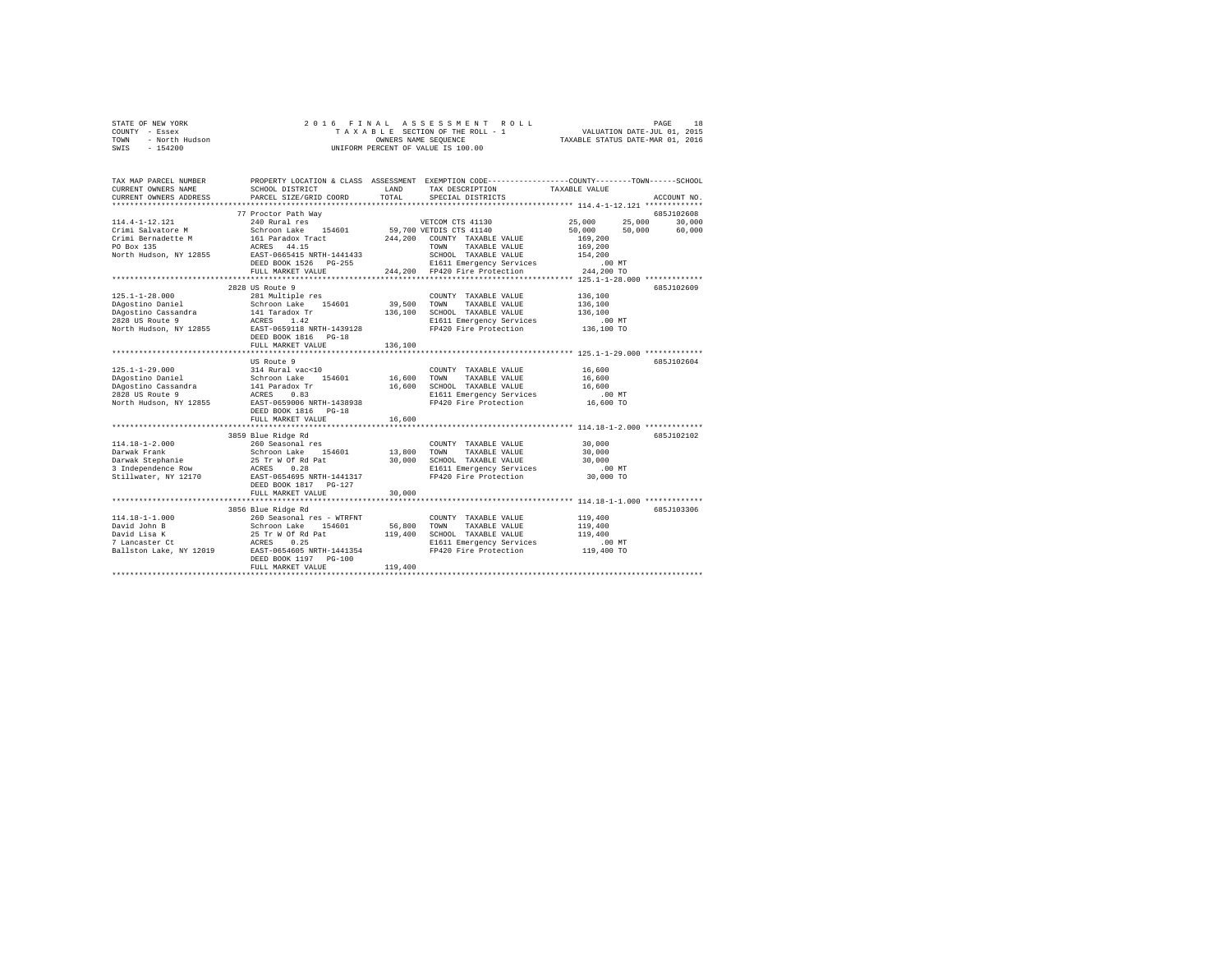| STATE OF NEW YORK      | 2016 FINAL ASSESSMENT ROLL         | 18<br>PAGE                       |
|------------------------|------------------------------------|----------------------------------|
| COUNTY - Essex         | TAXABLE SECTION OF THE ROLL - 1    | VALUATION DATE-JUL 01, 2015      |
| TOWN<br>- North Hudson | OWNERS NAME SEOUENCE               | TAXABLE STATUS DATE-MAR 01, 2016 |
| $-154200$<br>SWIS      | UNIFORM PERCENT OF VALUE IS 100.00 |                                  |

| TAX MAP PARCEL NUMBER  |                                                                                                                                                                                                                                       |             | PROPERTY LOCATION & CLASS ASSESSMENT EXEMPTION CODE---------------COUNTY-------TOWN-----SCHOOL |                                |             |
|------------------------|---------------------------------------------------------------------------------------------------------------------------------------------------------------------------------------------------------------------------------------|-------------|------------------------------------------------------------------------------------------------|--------------------------------|-------------|
| CURRENT OWNERS NAME    | SCHOOL DISTRICT                                                                                                                                                                                                                       | LAND        | TAX DESCRIPTION TAXABLE VALUE                                                                  |                                |             |
| CURRENT OWNERS ADDRESS | PARCEL SIZE/GRID COORD                                                                                                                                                                                                                | TOTAL       | SPECIAL DISTRICTS                                                                              |                                | ACCOUNT NO. |
|                        |                                                                                                                                                                                                                                       |             |                                                                                                |                                |             |
|                        | 77 Proctor Path Way                                                                                                                                                                                                                   |             |                                                                                                |                                | 685J102608  |
| $114.4 - 1 - 12.121$   | 240 Rural res                                                                                                                                                                                                                         |             | VETCOM CTS 41130                                                                               | 25,000 25,000                  | 30,000      |
| Crimi Salvatore M      | Schroon Lake 154601 59,700 VETDIS CTS 41140                                                                                                                                                                                           |             |                                                                                                | $50,000$ $50,000$ $60,000$     |             |
| Crimi Bernadette M     |                                                                                                                                                                                                                                       |             | 244,200 COUNTY TAXABLE VALUE                                                                   | 169,200                        |             |
| PO Box 135             | 161 Paradox Tract<br>ACRES 44.15                                                                                                                                                                                                      |             | TOWN<br>TAXABLE VALUE                                                                          | 169,200                        |             |
|                        |                                                                                                                                                                                                                                       |             |                                                                                                | 154,200                        |             |
|                        |                                                                                                                                                                                                                                       |             |                                                                                                | $194, 100 \, \text{MT}$ .00 MT |             |
|                        | FULL MARKET VALUE                                                                                                                                                                                                                     |             | 244,200 FP420 Fire Protection                                                                  | 244,200 TO                     |             |
|                        |                                                                                                                                                                                                                                       |             |                                                                                                |                                |             |
|                        | 2828 US Route 9                                                                                                                                                                                                                       |             |                                                                                                |                                | 685J102609  |
| $125.1 - 1 - 28.000$   | 281 Multiple res                                                                                                                                                                                                                      |             | COUNTY TAXABLE VALUE                                                                           | 136,100                        |             |
| DAgostino Daniel       |                                                                                                                                                                                                                                       | 39,500 TOWN | TAXABLE VALUE                                                                                  | 136,100                        |             |
| DAgostino Cassandra    |                                                                                                                                                                                                                                       |             | 136,100 SCHOOL TAXABLE VALUE                                                                   | 136,100                        |             |
| 2828 US Route 9        |                                                                                                                                                                                                                                       |             |                                                                                                |                                |             |
|                        |                                                                                                                                                                                                                                       |             | E1611 Emergency Services                                                                       | 00 MT.<br>136,100 TO           |             |
| North Hudson, NY 12855 | Schroon Lake 154601<br>141 142 142<br>142 142<br>12855 1.42<br>12855 1.42<br>12855 118.2011 1271 1439128                                                                                                                              |             | FP420 Fire Protection                                                                          |                                |             |
|                        | DEED BOOK 1816 PG-18                                                                                                                                                                                                                  |             |                                                                                                |                                |             |
|                        | FULL MARKET VALUE                                                                                                                                                                                                                     | 136,100     |                                                                                                |                                |             |
|                        |                                                                                                                                                                                                                                       |             |                                                                                                |                                |             |
|                        | US Route 9                                                                                                                                                                                                                            |             |                                                                                                |                                | 6857102604  |
|                        |                                                                                                                                                                                                                                       |             | COUNTY TAXABLE VALUE 16,600                                                                    |                                |             |
|                        |                                                                                                                                                                                                                                       |             | 16,600 TOWN TAXABLE VALUE                                                                      | 16,600                         |             |
|                        |                                                                                                                                                                                                                                       |             | 16,600 SCHOOL TAXABLE VALUE 16,600                                                             |                                |             |
|                        | 125.1-1-29.000<br>DAgostino Daniel State (194601 15)<br>DAgostino Cassandra 14 14 Paradox Tr<br>2628 US Route 9 14 Paradox Tr<br>North Hudson, NY 12855 RAET-0659006 NRTH-1438938<br>North Hudson, NY 12855 RAET-0659006 NRTH-1438938 |             | E1611 Emergency Services                                                                       | $.00$ MT                       |             |
|                        |                                                                                                                                                                                                                                       |             | FP420 Fire Protection 16,600 TO                                                                |                                |             |
|                        | DEED BOOK 1816 PG-18                                                                                                                                                                                                                  |             |                                                                                                |                                |             |
|                        | FULL MARKET VALUE                                                                                                                                                                                                                     | 16,600      |                                                                                                |                                |             |
|                        |                                                                                                                                                                                                                                       |             |                                                                                                |                                |             |
|                        | 3859 Blue Ridge Rd                                                                                                                                                                                                                    |             |                                                                                                |                                | 6857102102  |
|                        |                                                                                                                                                                                                                                       |             |                                                                                                |                                |             |
|                        |                                                                                                                                                                                                                                       |             |                                                                                                |                                |             |
|                        |                                                                                                                                                                                                                                       |             |                                                                                                |                                |             |
|                        |                                                                                                                                                                                                                                       |             |                                                                                                | .00MT                          |             |
|                        |                                                                                                                                                                                                                                       |             | FP420 Fire Protection 30,000 TO                                                                |                                |             |
|                        | DEED BOOK 1817 PG-127                                                                                                                                                                                                                 |             |                                                                                                |                                |             |
|                        | FULL MARKET VALUE                                                                                                                                                                                                                     | 30,000      |                                                                                                |                                |             |
|                        |                                                                                                                                                                                                                                       |             |                                                                                                |                                |             |
|                        | 3856 Blue Ridge Rd                                                                                                                                                                                                                    |             |                                                                                                |                                | 685J103306  |
|                        |                                                                                                                                                                                                                                       |             | COUNTY TAXABLE VALUE                                                                           | 119,400                        |             |
|                        |                                                                                                                                                                                                                                       |             |                                                                                                |                                |             |
|                        |                                                                                                                                                                                                                                       |             |                                                                                                | 119,400                        |             |
|                        |                                                                                                                                                                                                                                       |             |                                                                                                | 119,400                        |             |
|                        |                                                                                                                                                                                                                                       |             | E1611 Emergency Services                                                                       | $.00$ MT                       |             |
|                        |                                                                                                                                                                                                                                       |             | FP420 Fire Protection                                                                          | 119,400 TO                     |             |
|                        |                                                                                                                                                                                                                                       |             |                                                                                                |                                |             |
|                        | FULL MARKET VALUE                                                                                                                                                                                                                     | 119,400     |                                                                                                |                                |             |
|                        |                                                                                                                                                                                                                                       |             |                                                                                                |                                |             |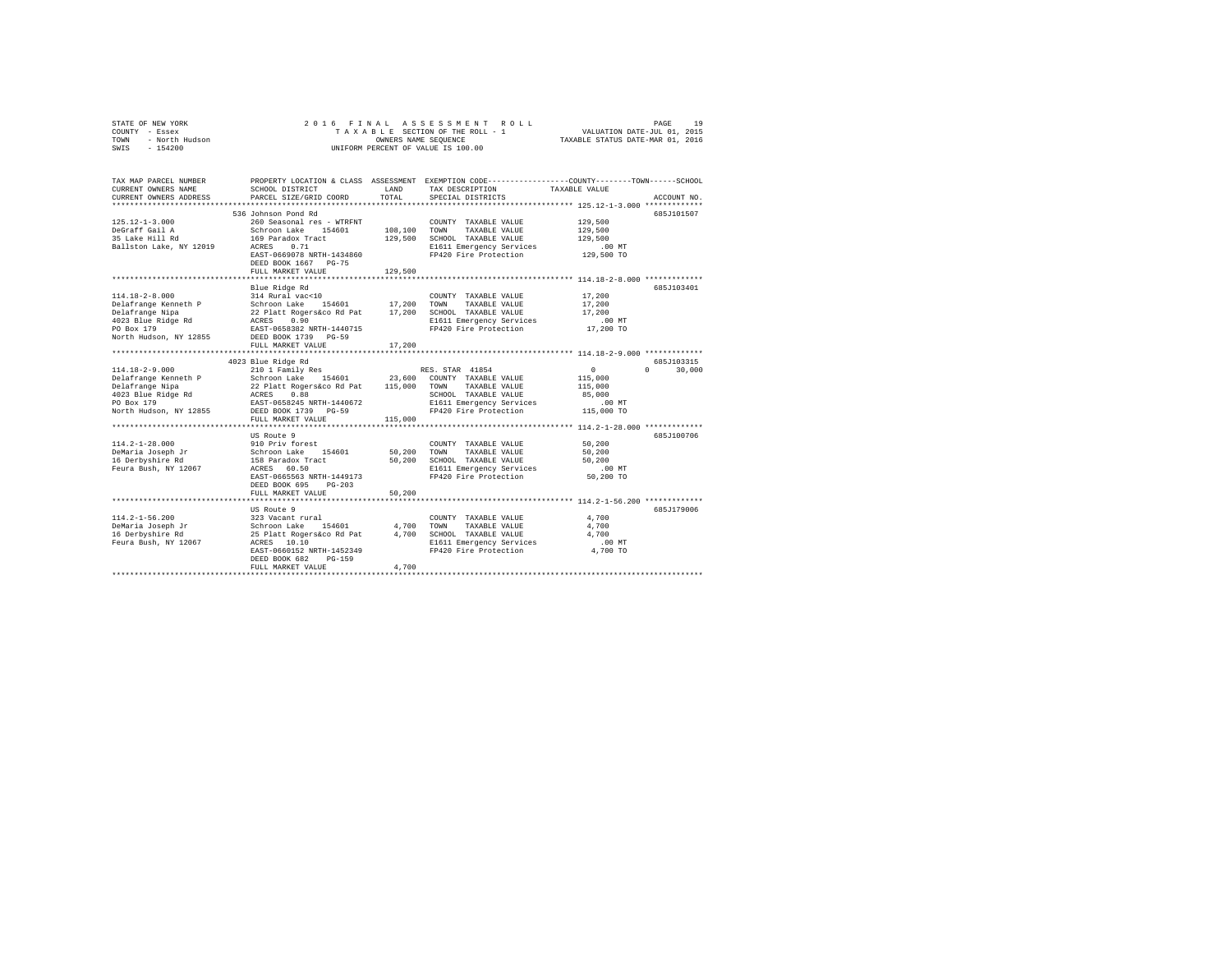| COUNTY - Essex<br>TOWN<br>- North Hudson<br>SWIS<br>$-154200$                                                                 |                                                                                                                                                                                                                                        |                         | UNIFORM PERCENT OF VALUE IS 100.00                                                                                                     |                                                                         |                    |
|-------------------------------------------------------------------------------------------------------------------------------|----------------------------------------------------------------------------------------------------------------------------------------------------------------------------------------------------------------------------------------|-------------------------|----------------------------------------------------------------------------------------------------------------------------------------|-------------------------------------------------------------------------|--------------------|
| TAX MAP PARCEL NUMBER<br>CURRENT OWNERS NAME<br>CURRENT OWNERS ADDRESS                                                        | PROPERTY LOCATION & CLASS ASSESSMENT EXEMPTION CODE---------------COUNTY-------TOWN-----SCHOOL<br>SCHOOL DISTRICT<br>PARCEL SIZE/GRID COORD                                                                                            | LAND<br>TOTAL           | TAX DESCRIPTION<br>SPECIAL DISTRICTS                                                                                                   | TAXABLE VALUE<br>************************* 125.12-1-3.000 ************* | ACCOUNT NO.        |
| $125.12 - 1 - 3.000$<br>DeGraff Gail A<br>35 Lake Hill Rd<br>Ballston Lake, NY 12019                                          | 536 Johnson Pond Rd<br>260 Seasonal res - WTRFNT<br>Schroon Lake 154601<br>169 Paradox Tract<br>ACRES 0.71<br>EAST-0669078 NRTH-1434860<br>DEED BOOK 1667 PG-75<br>FULL MARKET VALUE                                                   | 108,100 TOWN<br>129,500 | COUNTY TAXABLE VALUE<br>TAXABLE VALUE<br>129,500 SCHOOL TAXABLE VALUE<br>E1611 Emergency Services<br>FP420 Fire Protection             | 129,500<br>129,500<br>129,500<br>$.00$ MT<br>129,500 TO                 | 685J101507         |
| $114.18 - 2 - 8.000$<br>Delafrange Kenneth P<br>Delafrange Nipa<br>4023 Blue Ridge Rd<br>PO Box 179<br>North Hudson, NY 12855 | Blue Ridge Rd<br>314 Rural vac<10<br>Schroon Lake 154601 17,200 TOWN TAXABLE VALUE<br>22 Platt Rogers&co Rd Pat 17,200 SCHOOL TAXABLE VALUE<br>ACRES 0.90 CRESS ROBERT RESERVICES<br>EAST-0658382 NRTH-1440715<br>DEED BOOK 1739 PG-59 |                         | COUNTY TAXABLE VALUE<br>E1611 Emergency Services<br>FP420 Fire Protection                                                              | 17,200<br>17,200<br>17,200<br>$.00$ MT<br>17,200 TO                     | 685J103401         |
|                                                                                                                               | FULL MARKET VALUE<br>4023 Blue Ridge Rd                                                                                                                                                                                                | 17,200                  |                                                                                                                                        |                                                                         | 685J103315         |
| $114.18 - 2 - 9.000$<br>Delafrange Kenneth P<br>Delafrange Nipa<br>4023 Blue Ridge Rd<br>PO Box 179<br>North Hudson, NY 12855 | 210 1 Family Res<br>Schroon Lake 154601 23,600 COUNTY TAXABLE VALUE<br>22 Platt Rogers&co Rd Pat 115,000 TOWN TAXABLE VALUE<br>ACRES 0.88<br>EAST-0658245 NRTH-1440672<br>DEED BOOK 1739 PG-59                                         |                         | RES. STAR 41854<br>SCHOOL TAXABLE VALUE<br>E1611 Emergency Services<br>FP420 Fire Protection                                           | $\sim$ 0<br>115,000<br>115,000<br>85,000<br>$.00$ MT<br>115,000 TO      | $\Omega$<br>30,000 |
|                                                                                                                               | FULL MARKET VALUE                                                                                                                                                                                                                      | 115,000                 |                                                                                                                                        |                                                                         |                    |
| $114.2 - 1 - 28.000$<br>DeMaria Joseph Jr<br>16 Derbyshire Rd<br>Feura Bush, NY 12067                                         | US Route 9<br>910 Priv forest<br>Schroon Lake 154601<br>158 Paradox Tract<br>ACRES 60.50<br>EAST-0665563 NRTH-1449173<br>DEED BOOK 695 PG-203<br>FULL MARKET VALUE                                                                     | 50,200<br>50,200        | COUNTY TAXABLE VALUE<br>TOWN TAXABLE VALUE<br>50,200 SCHOOL TAXABLE VALUE<br>E1611 Emergency Services<br>FP420 Fire Protection         | 50,200<br>50,200<br>50,200<br>.00 MT<br>50,200 TO                       | 685J100706         |
|                                                                                                                               |                                                                                                                                                                                                                                        |                         |                                                                                                                                        |                                                                         |                    |
| 114.2-1-56.200<br>DeMaria Joseph Jr<br>16 Derbyshire Rd<br>Feura Bush, NY 12067                                               | US Route 9<br>323 Vacant rural<br>Schroon Lake 154601<br>25 Platt Rogers&co Rd Pat<br>ACRES 10.10<br>EAST-0660152 NRTH-1452349<br>DEED BOOK 682<br>PG-159<br>FULL MARKET VALUE                                                         | 4,700                   | COUNTY TAXABLE VALUE<br>4,700 TOWN<br>TAXABLE VALUE<br>4,700 SCHOOL TAXABLE VALUE<br>E1611 Emergency Services<br>FP420 Fire Protection | 4,700<br>4,700<br>4,700<br>$.00$ MT<br>4,700 TO                         | 685J179006         |
|                                                                                                                               |                                                                                                                                                                                                                                        |                         |                                                                                                                                        |                                                                         |                    |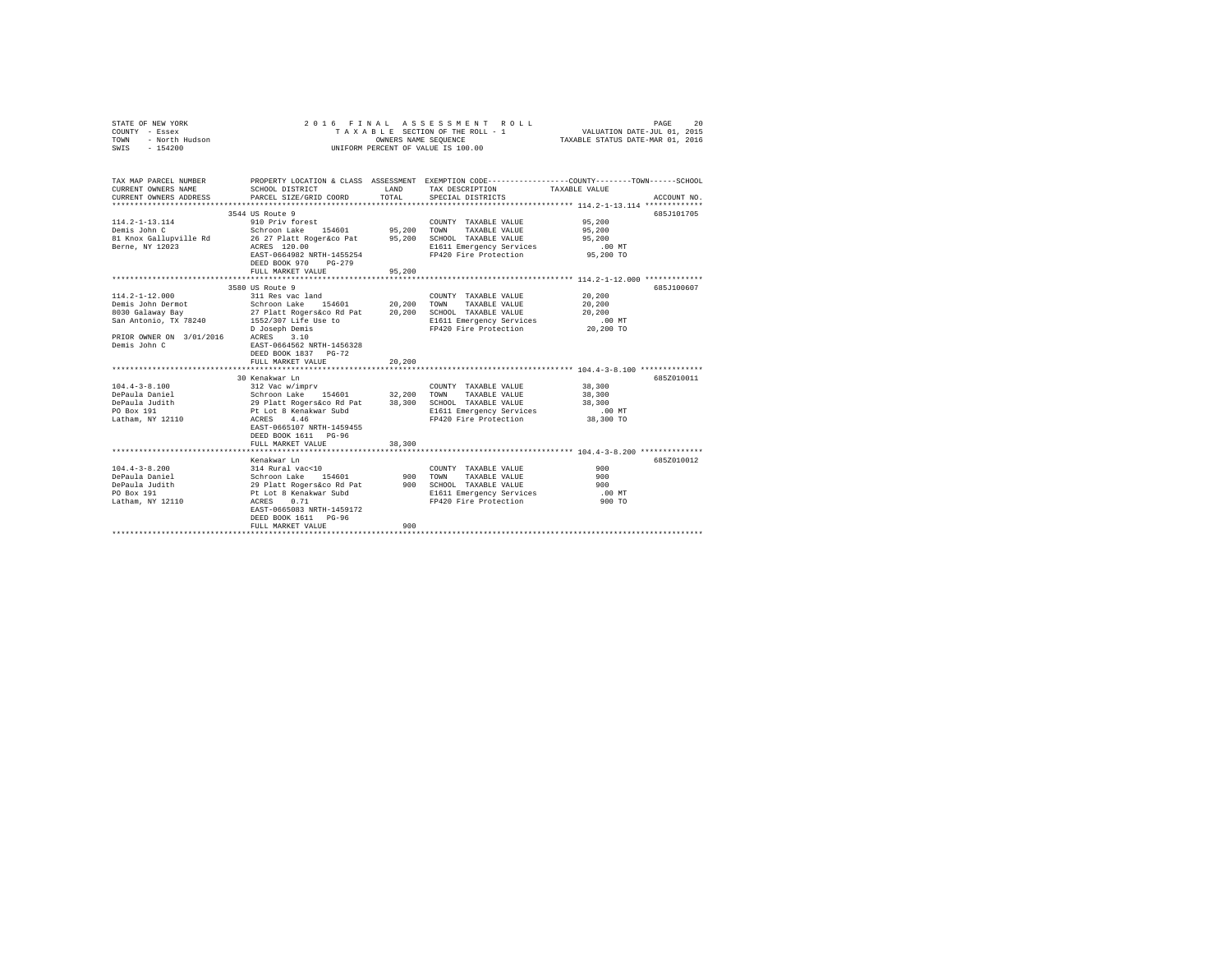| STATE OF NEW YORK<br>COUNTY - Essex<br>TOWN - North Hudson<br>SWIS - 154200                                                                                                                                                                                                                                                                      |                                                                                                                                                                                                                       |               | 2016 FINAL ASSESSMENT ROLL<br>UNIFORM PERCENT OF VALUE IS 100.00                                                               | 20<br>PAGE<br>TAXABLE SECTION OF THE ROLL - 1 VALUATION DATE-JUL 01, 2015<br>OWNERS NAME SEQUENCE TAXABLE STATUS DATE-MAR 01, 2016     |
|--------------------------------------------------------------------------------------------------------------------------------------------------------------------------------------------------------------------------------------------------------------------------------------------------------------------------------------------------|-----------------------------------------------------------------------------------------------------------------------------------------------------------------------------------------------------------------------|---------------|--------------------------------------------------------------------------------------------------------------------------------|----------------------------------------------------------------------------------------------------------------------------------------|
| TAX MAP PARCEL NUMBER<br>CURRENT OWNERS NAME<br>CURRENT OWNERS ADDRESS                                                                                                                                                                                                                                                                           | SCHOOL DISTRICT<br>PARCEL SIZE/GRID COORD                                                                                                                                                                             | LAND<br>TOTAL | TAX DESCRIPTION TAXABLE VALUE<br>SPECIAL DISTRICTS                                                                             | PROPERTY LOCATION & CLASS ASSESSMENT EXEMPTION CODE---------------COUNTY-------TOWN-----SCHOOL<br>ACCOUNT NO.                          |
| $114.2 - 1 - 13.114$<br>$\mathbf{r}$<br>Demis John C<br>81 Knox Gallupville Rd<br>Berne, NY 12023                                                                                                                                                                                                                                                | 3544 US Route 9<br>910 Priv forest<br>Schroon Lake 154601 95,200 TOWN TAXABLE VALUE<br>26 27 Platt Roger&co Pat 95,200 SCHOOL TAXABLE VALUE<br>ACRES 120.00<br>EAST-0664982 NRTH-1455254<br>DEED BOOK 970<br>$PG-279$ |               | COUNTY TAXABLE VALUE<br>E1611 Emergency Services<br>FP420 Fire Protection                                                      | 685J101705<br>95,200<br>95,200<br>95,200<br>$.00$ MT<br>$95,200$ TO                                                                    |
|                                                                                                                                                                                                                                                                                                                                                  | FULL MARKET VALUE                                                                                                                                                                                                     | 95,200        |                                                                                                                                |                                                                                                                                        |
| $114.2 - 1 - 12.000$<br>Demis John Dermot<br>% 8030 Galaway Bay 27 Platt Rogers&co Rd Pat 20,200 SCHOOL TAXABLE VALUE<br>San Antonio, TX 78240 1552/307 Life Use to E1611 Emergency Services<br>PRIOR OWNER ON 3/01/2016 ACRES 3.10<br>Demis John C<br>$104.4 - 3 - 8.100$<br>DePaula Daniel<br>DePaula Judith<br>PO Box 191<br>Latham, NY 12110 | 3580 US Route 9<br>311 Res vac land<br>Schroon Lake 154601 20,200 TOWN TAXABLE VALUE<br>D Joseph Demis<br>EAST-0664562 NRTH-1456328<br>DEED BOOK 1837 PG-72<br>FULL MARKET VALUE<br>30 Kenakwar Ln<br>ACRES 4.46      | 20,200        | COUNTY TAXABLE VALUE<br>E1611 Emergency Services<br>FP420 Fire Protection<br>E1611 Emergency Services<br>FP420 Fire Protection | 685J100607<br>20,200<br>20,200<br>20,200<br>$.00$ MT<br>20,200 TO<br>685Z010011<br>38,300<br>38,300<br>38,300<br>$.00$ MT<br>38,300 TO |
|                                                                                                                                                                                                                                                                                                                                                  | EAST-0665107 NRTH-1459455<br>DEED BOOK 1611 PG-96<br>FULL MARKET VALUE                                                                                                                                                | 38,300        |                                                                                                                                |                                                                                                                                        |
| $104.4 - 3 - 8.200$<br>Collaboration of the Schroom Lake 154601 900 TOWN TAXABLE VALUE<br>1992 DePaula Judith 29 Platt Rogers & Collaboration PC Box 191<br>PE Lot 8 Renakwar Subd PL 10 PL 10 R101 Energency Services<br>PE Lot 8 Renakwar Subd PL 11 PE P                                                                                      | Kenakwar Ln<br>$314$ Rural vac<10<br>EAST-0665083 NRTH-1459172<br>DEED BOOK 1611 PG-96<br>FULL MARKET VALUE                                                                                                           | 900           | COUNTY TAXABLE VALUE<br>FP420 Fire Protection                                                                                  | 685Z010012<br>900<br>900<br>900<br>$.00$ MT<br>900 TO                                                                                  |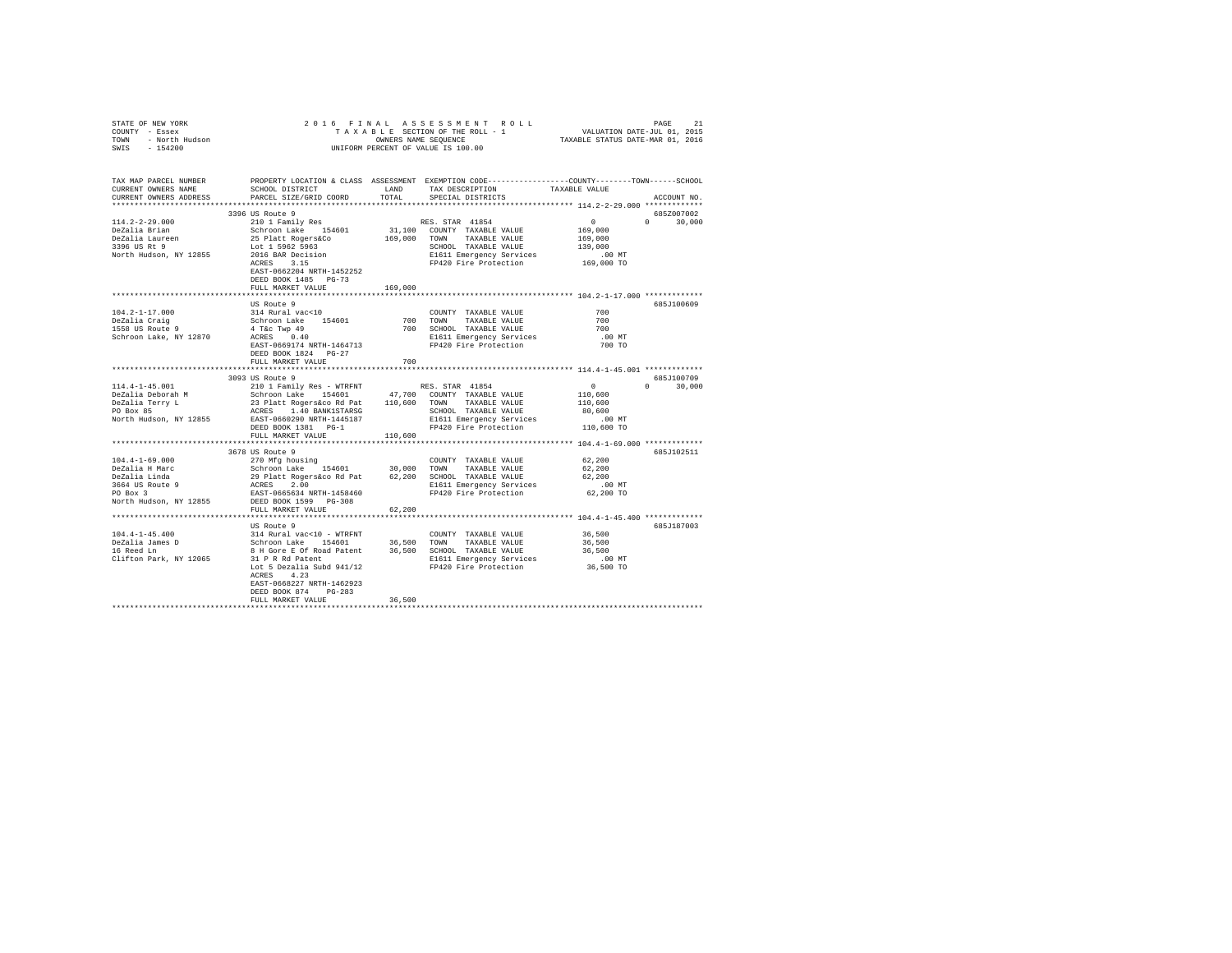| COUNTY - Essex                                                                                                                                                                                                                                                                                                                                                            |                                    |         |                                                                                                |                                                                  |               |
|---------------------------------------------------------------------------------------------------------------------------------------------------------------------------------------------------------------------------------------------------------------------------------------------------------------------------------------------------------------------------|------------------------------------|---------|------------------------------------------------------------------------------------------------|------------------------------------------------------------------|---------------|
| TOWN - North Hudson                                                                                                                                                                                                                                                                                                                                                       |                                    |         |                                                                                                |                                                                  |               |
| SWIS - 154200                                                                                                                                                                                                                                                                                                                                                             | UNIFORM PERCENT OF VALUE IS 100.00 |         |                                                                                                |                                                                  |               |
|                                                                                                                                                                                                                                                                                                                                                                           |                                    |         |                                                                                                |                                                                  |               |
|                                                                                                                                                                                                                                                                                                                                                                           |                                    |         |                                                                                                |                                                                  |               |
|                                                                                                                                                                                                                                                                                                                                                                           |                                    |         |                                                                                                |                                                                  |               |
| TAX MAP PARCEL NUMBER                                                                                                                                                                                                                                                                                                                                                     |                                    |         | PROPERTY LOCATION & CLASS ASSESSMENT EXEMPTION CODE---------------COUNTY-------TOWN-----SCHOOL |                                                                  |               |
|                                                                                                                                                                                                                                                                                                                                                                           |                                    |         |                                                                                                |                                                                  |               |
|                                                                                                                                                                                                                                                                                                                                                                           |                                    |         |                                                                                                |                                                                  |               |
|                                                                                                                                                                                                                                                                                                                                                                           |                                    |         |                                                                                                |                                                                  | ACCOUNT NO.   |
|                                                                                                                                                                                                                                                                                                                                                                           |                                    |         |                                                                                                |                                                                  |               |
|                                                                                                                                                                                                                                                                                                                                                                           | 3396 US Route 9                    |         |                                                                                                |                                                                  | 685Z007002    |
|                                                                                                                                                                                                                                                                                                                                                                           |                                    |         |                                                                                                |                                                                  |               |
|                                                                                                                                                                                                                                                                                                                                                                           |                                    |         |                                                                                                |                                                                  |               |
|                                                                                                                                                                                                                                                                                                                                                                           |                                    |         |                                                                                                |                                                                  |               |
|                                                                                                                                                                                                                                                                                                                                                                           |                                    |         |                                                                                                |                                                                  |               |
|                                                                                                                                                                                                                                                                                                                                                                           |                                    |         |                                                                                                |                                                                  |               |
|                                                                                                                                                                                                                                                                                                                                                                           |                                    |         |                                                                                                |                                                                  |               |
|                                                                                                                                                                                                                                                                                                                                                                           | EAST-0662204 NRTH-1452252          |         |                                                                                                |                                                                  |               |
|                                                                                                                                                                                                                                                                                                                                                                           | DEED BOOK 1485 PG-73               |         |                                                                                                |                                                                  |               |
|                                                                                                                                                                                                                                                                                                                                                                           |                                    |         |                                                                                                |                                                                  |               |
|                                                                                                                                                                                                                                                                                                                                                                           | FULL MARKET VALUE                  | 169,000 |                                                                                                |                                                                  |               |
|                                                                                                                                                                                                                                                                                                                                                                           |                                    |         |                                                                                                |                                                                  |               |
| $\begin{tabular}{lcccccc} \texttt{18.13} & \texttt{19.13} & \texttt{19.14} & \texttt{0.15} & \texttt{0.15} & \texttt{0.15} & \texttt{0.15} & \texttt{0.15} & \texttt{0.15} & \texttt{0.15} & \texttt{0.15} & \texttt{0.15} & \texttt{0.15} & \texttt{0.15} & \texttt{0.15} & \texttt{0.15} & \texttt{0.15} & \texttt{0.15} & \texttt{0.15} & \texttt{0.15} & \texttt{0.1$ |                                    |         |                                                                                                |                                                                  | 685J100609    |
|                                                                                                                                                                                                                                                                                                                                                                           |                                    |         |                                                                                                |                                                                  |               |
|                                                                                                                                                                                                                                                                                                                                                                           |                                    |         |                                                                                                | $700$<br>$700$<br>$700$                                          |               |
|                                                                                                                                                                                                                                                                                                                                                                           |                                    |         |                                                                                                |                                                                  |               |
|                                                                                                                                                                                                                                                                                                                                                                           |                                    |         |                                                                                                |                                                                  |               |
|                                                                                                                                                                                                                                                                                                                                                                           |                                    |         |                                                                                                | .00 MT<br>700 TO                                                 |               |
|                                                                                                                                                                                                                                                                                                                                                                           | DEED BOOK 1824 PG-27               |         |                                                                                                |                                                                  |               |
|                                                                                                                                                                                                                                                                                                                                                                           | FULL MARKET VALUE                  | 700     |                                                                                                |                                                                  |               |
|                                                                                                                                                                                                                                                                                                                                                                           |                                    |         |                                                                                                |                                                                  |               |
|                                                                                                                                                                                                                                                                                                                                                                           |                                    |         |                                                                                                | $\begin{array}{c} 0 \\ 0 \\ 110,600 \\ 110,600 \\ 0 \end{array}$ |               |
|                                                                                                                                                                                                                                                                                                                                                                           | 3093 US Route 9                    |         |                                                                                                |                                                                  | 685J100709    |
|                                                                                                                                                                                                                                                                                                                                                                           |                                    |         |                                                                                                |                                                                  | $0 \t 30,000$ |
|                                                                                                                                                                                                                                                                                                                                                                           |                                    |         |                                                                                                |                                                                  |               |
|                                                                                                                                                                                                                                                                                                                                                                           |                                    |         |                                                                                                |                                                                  |               |
|                                                                                                                                                                                                                                                                                                                                                                           |                                    |         |                                                                                                |                                                                  |               |
|                                                                                                                                                                                                                                                                                                                                                                           |                                    |         |                                                                                                |                                                                  |               |
|                                                                                                                                                                                                                                                                                                                                                                           |                                    |         |                                                                                                |                                                                  |               |
|                                                                                                                                                                                                                                                                                                                                                                           |                                    |         |                                                                                                |                                                                  |               |
|                                                                                                                                                                                                                                                                                                                                                                           |                                    |         |                                                                                                |                                                                  |               |
|                                                                                                                                                                                                                                                                                                                                                                           | 3678 US Route 9                    |         |                                                                                                |                                                                  | 685J102511    |
|                                                                                                                                                                                                                                                                                                                                                                           |                                    |         |                                                                                                |                                                                  |               |
|                                                                                                                                                                                                                                                                                                                                                                           |                                    |         |                                                                                                |                                                                  |               |
|                                                                                                                                                                                                                                                                                                                                                                           |                                    |         |                                                                                                |                                                                  |               |
|                                                                                                                                                                                                                                                                                                                                                                           |                                    |         |                                                                                                |                                                                  |               |
|                                                                                                                                                                                                                                                                                                                                                                           |                                    |         |                                                                                                |                                                                  |               |
|                                                                                                                                                                                                                                                                                                                                                                           |                                    |         |                                                                                                |                                                                  |               |
|                                                                                                                                                                                                                                                                                                                                                                           |                                    |         |                                                                                                |                                                                  |               |
|                                                                                                                                                                                                                                                                                                                                                                           | FULL MARKET VALUE                  | 62,200  |                                                                                                |                                                                  |               |
|                                                                                                                                                                                                                                                                                                                                                                           |                                    |         |                                                                                                |                                                                  |               |
|                                                                                                                                                                                                                                                                                                                                                                           |                                    |         |                                                                                                |                                                                  | 685J187003    |
|                                                                                                                                                                                                                                                                                                                                                                           |                                    |         |                                                                                                |                                                                  |               |
| US Route 9<br>104.4-1-45.4000 US Route 9<br>104.4000 US Route 10 - WTRFNT COUNTY TAXABLE VALUE 36,500<br>16 Reed Ln 26,500 Schroon Lake 154601 36,500 TOWN TAXABLE VALUE 36,500<br>16 Reed Ln 26,500 Schroon Lake 154601 36,500 TOWN T                                                                                                                                    |                                    |         |                                                                                                |                                                                  |               |
|                                                                                                                                                                                                                                                                                                                                                                           |                                    |         |                                                                                                |                                                                  |               |
|                                                                                                                                                                                                                                                                                                                                                                           |                                    |         |                                                                                                |                                                                  |               |
|                                                                                                                                                                                                                                                                                                                                                                           |                                    |         |                                                                                                |                                                                  |               |
|                                                                                                                                                                                                                                                                                                                                                                           |                                    |         |                                                                                                |                                                                  |               |
|                                                                                                                                                                                                                                                                                                                                                                           | ACRES 4.23                         |         |                                                                                                |                                                                  |               |
|                                                                                                                                                                                                                                                                                                                                                                           | EAST-0668227 NRTH-1462923          |         |                                                                                                |                                                                  |               |
|                                                                                                                                                                                                                                                                                                                                                                           | DEED BOOK 874 PG-283               |         |                                                                                                |                                                                  |               |
|                                                                                                                                                                                                                                                                                                                                                                           | FULL MARKET VALUE                  | 36,500  |                                                                                                |                                                                  |               |
|                                                                                                                                                                                                                                                                                                                                                                           |                                    |         |                                                                                                |                                                                  |               |

STATE OF NEW YORK 2016 FINAL ASSESSMENT ROLL PAGE 21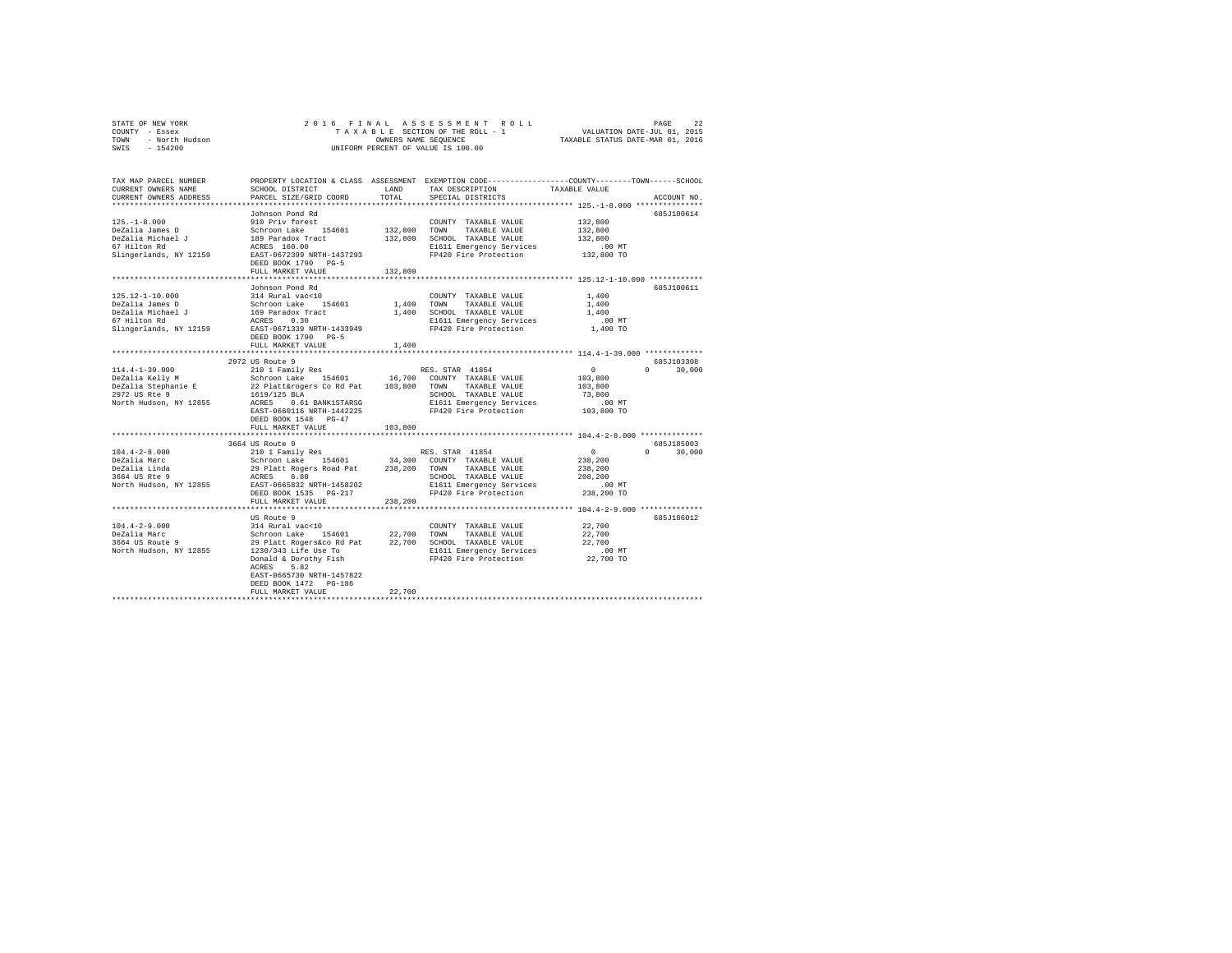| STATE OF NEW YORK<br>- Essex<br>COUNTY      | 2016 FINAL ASSESSMENT ROLL<br>TAXABLE SECTION OF THE ROLL - 1                       | 22<br>PAGE<br>VALUATION DATE-JUL 01, 2015 |
|---------------------------------------------|-------------------------------------------------------------------------------------|-------------------------------------------|
| - North Hudson<br>TOWN<br>$-154200$<br>SWIS | OWNERS NAME SEOUENCE<br>UNIFORM PERCENT OF VALUE IS 100.00                          | TAXABLE STATUS DATE-MAR 01, 2016          |
|                                             |                                                                                     |                                           |
|                                             |                                                                                     |                                           |
|                                             |                                                                                     |                                           |
| TAX MAP PARCEL NUMBER                       | EXEMPTION CODE-----------------COUNTY------<br>PROPERTY LOCATION & CLASS ASSESSMENT | $-TOWN-$<br>-SCHOOL                       |

| CURRENT OWNERS NAME                                                                                                                                                                                                                    | SCHOOL DISTRICT                                                                     | LAND       | TAX DESCRIPTION                                           | TAXABLE VALUE                               |
|----------------------------------------------------------------------------------------------------------------------------------------------------------------------------------------------------------------------------------------|-------------------------------------------------------------------------------------|------------|-----------------------------------------------------------|---------------------------------------------|
| CURRENT OWNERS ADDRESS                                                                                                                                                                                                                 | PARCEL SIZE/GRID COORD                                                              | TOTAL      | SPECIAL DISTRICTS                                         | ACCOUNT NO.                                 |
|                                                                                                                                                                                                                                        |                                                                                     |            |                                                           |                                             |
|                                                                                                                                                                                                                                        | Johnson Pond Rd                                                                     |            |                                                           | 685J100614                                  |
| $125. - 1 - 8.000$                                                                                                                                                                                                                     | 910 Priv forest                                                                     |            | COUNTY TAXABLE VALUE                                      | 132,800                                     |
| DeZalia James D                                                                                                                                                                                                                        | Schroon Lake 154601                                                                 |            | 132,800 TOWN TAXABLE VALUE                                | 132,800                                     |
|                                                                                                                                                                                                                                        |                                                                                     |            | 132,800 SCHOOL TAXABLE VALUE                              | 132,800                                     |
| DeZalia Journes De March (1898)<br>DeZalia Michael Journess (1898)<br>ACRES 160.00                                                                                                                                                     |                                                                                     |            | E1611 Emergency Services                                  | .00 MT                                      |
| Slingerlands, NY 12159 EAST-0672399 NRTH-1437293                                                                                                                                                                                       |                                                                                     |            | FP420 Fire Protection                                     | 132,800 TO                                  |
|                                                                                                                                                                                                                                        | DEED BOOK 1790 PG-5                                                                 |            |                                                           |                                             |
|                                                                                                                                                                                                                                        | FULL MARKET VALUE                                                                   | 132,800    |                                                           |                                             |
|                                                                                                                                                                                                                                        |                                                                                     |            |                                                           |                                             |
|                                                                                                                                                                                                                                        | Johnson Pond Rd                                                                     |            |                                                           | 685J100611                                  |
| 125.12-1-10.000                                                                                                                                                                                                                        | 314 Rural vac<10                                                                    |            | COUNTY TAXABLE VALUE                                      | 1,400                                       |
| DeZalia James D                                                                                                                                                                                                                        |                                                                                     | 1,400 TOWN | TAXABLE VALUE                                             | 1,400                                       |
| DeZalia Michael J                                                                                                                                                                                                                      | Schroon Lake 154601<br>169 Paradox Tract<br>ACRES 0.30<br>EAST-0671339 NRTH-1433949 | 1,400      | SCHOOL TAXABLE VALUE                                      | 1,400                                       |
| 67 Hilton Rd                                                                                                                                                                                                                           |                                                                                     |            | E1611 Emergency Services                                  | $.00$ MT                                    |
| Slingerlands, NY 12159                                                                                                                                                                                                                 |                                                                                     |            | FP420 Fire Protection                                     | 1,400 TO                                    |
|                                                                                                                                                                                                                                        | DEED BOOK 1790 PG-5                                                                 |            |                                                           |                                             |
|                                                                                                                                                                                                                                        | FULL MARKET VALUE                                                                   | 1,400      |                                                           |                                             |
|                                                                                                                                                                                                                                        |                                                                                     |            |                                                           |                                             |
|                                                                                                                                                                                                                                        | 2972 US Route 9                                                                     |            |                                                           | 685J103308                                  |
| $114.4 - 1 - 39.000$                                                                                                                                                                                                                   | 210 1 Family Res                                                                    |            | RES. STAR 41854                                           | $\sim$ 0<br>$\Omega$ and $\Omega$<br>30,000 |
|                                                                                                                                                                                                                                        |                                                                                     |            |                                                           | 103,800                                     |
|                                                                                                                                                                                                                                        |                                                                                     |            |                                                           | 103,800                                     |
| 2011<br>16.117 M 2022 - 1 - 1000 116601 16,700 COUNTY TAXABLE VALUE<br>1922 US Rte 9 22 Platt&rogers Co Rd Pat 103,800 TOWN TAXABLE VALUE<br>2972 US Rte 9 1019/125 BLA 61 BANK1STARSG SCHOOL TAXABLE VALUE<br>2972 US RCRES 0.61 BANK |                                                                                     |            | SCHOOL TAXABLE VALUE                                      | 73,800                                      |
|                                                                                                                                                                                                                                        |                                                                                     |            | E1611 Emergency Services                                  | .00 MT                                      |
|                                                                                                                                                                                                                                        | EAST-0660116 NRTH-1442225                                                           |            | FP420 Fire Protection 103,800 TO                          |                                             |
|                                                                                                                                                                                                                                        | DEED BOOK 1548 PG-47                                                                |            |                                                           |                                             |
|                                                                                                                                                                                                                                        | FULL MARKET VALUE                                                                   | 103,800    |                                                           |                                             |
|                                                                                                                                                                                                                                        | ****************************                                                        |            |                                                           |                                             |
|                                                                                                                                                                                                                                        | 3664 US Route 9                                                                     |            |                                                           | 685J185003                                  |
|                                                                                                                                                                                                                                        |                                                                                     |            | RES. STAR 41854                                           | $\sim$ 0<br>$\mathbf{a}$<br>30,000          |
|                                                                                                                                                                                                                                        |                                                                                     |            |                                                           | 238,200                                     |
|                                                                                                                                                                                                                                        |                                                                                     |            | 34,300 COUNTY TAXABLE VALUE<br>238,200 TOWN TAXABLE VALUE | 238,200                                     |
|                                                                                                                                                                                                                                        |                                                                                     |            | SCHOOL TAXABLE VALUE                                      | 208,200                                     |
|                                                                                                                                                                                                                                        |                                                                                     |            | E1611 Emergency Services                                  | .00 MT                                      |
|                                                                                                                                                                                                                                        | DEED BOOK 1535 PG-217                                                               |            |                                                           | 238,200 TO                                  |
|                                                                                                                                                                                                                                        | FULL MARKET VALUE                                                                   | 238,200    | FP420 Fire Protection                                     |                                             |
|                                                                                                                                                                                                                                        |                                                                                     |            |                                                           |                                             |
|                                                                                                                                                                                                                                        |                                                                                     |            |                                                           | 685J186012                                  |
|                                                                                                                                                                                                                                        | US Route 9<br>314 Rural vac<10<br>Schroon Lake 15<br>29 Platt Persons               |            |                                                           |                                             |
| $104.4 - 2 - 9.000$                                                                                                                                                                                                                    |                                                                                     |            | COUNTY TAXABLE VALUE                                      | 22,700                                      |
| DeZalia Marc                                                                                                                                                                                                                           | 154601 22,700 TOWN                                                                  |            | TAXABLE VALUE                                             | 22,700                                      |
| 3664 US Route 9                                                                                                                                                                                                                        | 29 Platt Rogers&co Rd Pat 22,700 SCHOOL TAXABLE VALUE                               |            |                                                           | 22,700                                      |
| North Hudson, NY 12855                                                                                                                                                                                                                 | 1230/343 Life Use To                                                                |            | E1611 Emergency Services                                  | .00MT                                       |
|                                                                                                                                                                                                                                        | Donald & Dorothy Fish                                                               |            | FP420 Fire Protection                                     | 22,700 TO                                   |
|                                                                                                                                                                                                                                        | ACRES<br>5.82                                                                       |            |                                                           |                                             |
|                                                                                                                                                                                                                                        | EAST-0665730 NRTH-1457822                                                           |            |                                                           |                                             |
|                                                                                                                                                                                                                                        | DEED BOOK 1472 PG-186                                                               |            |                                                           |                                             |
|                                                                                                                                                                                                                                        | FULL MARKET VALUE                                                                   | 22,700     |                                                           |                                             |
|                                                                                                                                                                                                                                        |                                                                                     |            |                                                           |                                             |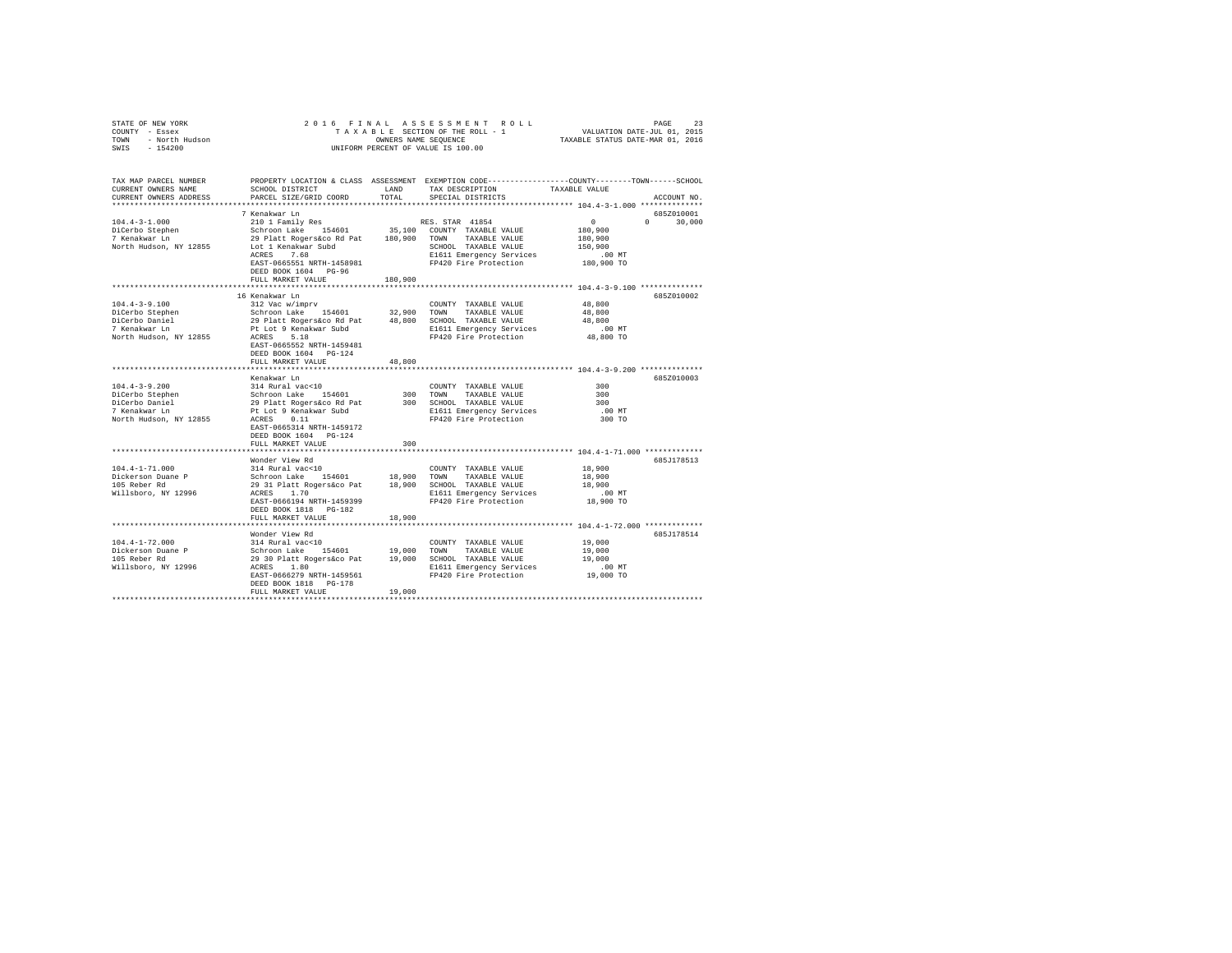| COUNTY - Essex<br>TOWN - North Hudson                                                                                                                                                                                          |                                                                                                                                                                                                                                     |         |                                                                                                 |                     |               |  |
|--------------------------------------------------------------------------------------------------------------------------------------------------------------------------------------------------------------------------------|-------------------------------------------------------------------------------------------------------------------------------------------------------------------------------------------------------------------------------------|---------|-------------------------------------------------------------------------------------------------|---------------------|---------------|--|
| SWIS - 154200                                                                                                                                                                                                                  | UNIFORM PERCENT OF VALUE IS 100.00                                                                                                                                                                                                  |         |                                                                                                 |                     |               |  |
|                                                                                                                                                                                                                                |                                                                                                                                                                                                                                     |         |                                                                                                 |                     |               |  |
| TAX MAP PARCEL NUMBER                                                                                                                                                                                                          |                                                                                                                                                                                                                                     |         | PROPERTY LOCATION & CLASS ASSESSMENT EXEMPTION CODE---------------COUNTY-------TOWN------SCHOOL |                     |               |  |
| CURRENT OWNERS NAME<br>CURRENT OWNERS ADDRESS                                                                                                                                                                                  | SCHOOL DISTRICT<br>PARCEL SIZE/GRID COORD                                                                                                                                                                                           | TOTAL   | LAND TAX DESCRIPTION TAXABLE VALUE<br>SPECIAL DISTRICTS                                         |                     | ACCOUNT NO.   |  |
|                                                                                                                                                                                                                                |                                                                                                                                                                                                                                     |         |                                                                                                 |                     |               |  |
|                                                                                                                                                                                                                                | 7 Kenakwar Ln                                                                                                                                                                                                                       |         |                                                                                                 |                     | 685Z010001    |  |
| $104.4 - 3 - 1.000$                                                                                                                                                                                                            | Xenawar Lun<br>210 1 Family Res RES. STAR 41854<br>29 Platt Rogerskoo Rd Pat 180,900 TOWNTY TAXABLE VALUE<br>29 Platt Rogerskoo Rd Pat 180,900 TOWN TAXABLE VALUE<br>29 Platt Rogerskoo Rd Pat 180,900 TOWNT TAXABLE VALUE          |         |                                                                                                 | $\sim$ 0            | $0 \t 30,000$ |  |
|                                                                                                                                                                                                                                |                                                                                                                                                                                                                                     |         |                                                                                                 | 180,900             |               |  |
| DiCerbo Stephen<br>7 Kenakwar Ln                                                                                                                                                                                               |                                                                                                                                                                                                                                     |         |                                                                                                 | 180,900             |               |  |
| North Hudson, NY 12855                                                                                                                                                                                                         | Lot 1 Kenakwar Subd<br>ACRES 7.68                                                                                                                                                                                                   |         | SCHOOL TAXABLE VALUE                                                                            | 150,900             |               |  |
|                                                                                                                                                                                                                                |                                                                                                                                                                                                                                     |         |                                                                                                 |                     |               |  |
|                                                                                                                                                                                                                                | EAST-0665551 NRTH-1458981                                                                                                                                                                                                           |         |                                                                                                 |                     |               |  |
|                                                                                                                                                                                                                                | DEED BOOK 1604 PG-96                                                                                                                                                                                                                |         |                                                                                                 |                     |               |  |
|                                                                                                                                                                                                                                | FULL MARKET VALUE                                                                                                                                                                                                                   | 180,900 |                                                                                                 |                     |               |  |
|                                                                                                                                                                                                                                | 16 Kenakwar Ln                                                                                                                                                                                                                      |         |                                                                                                 |                     | 685Z010002    |  |
| $104.4 - 3 - 9.100$                                                                                                                                                                                                            | 312 Vac w/imprv                                                                                                                                                                                                                     |         | COUNTY TAXABLE VALUE                                                                            | 48,800              |               |  |
|                                                                                                                                                                                                                                |                                                                                                                                                                                                                                     |         |                                                                                                 | 48,800              |               |  |
|                                                                                                                                                                                                                                |                                                                                                                                                                                                                                     |         |                                                                                                 | 48,800              |               |  |
| Noterbo Stephen Machine - Schroon Lake 154601 32,900 TOWN TAXABLE VALUE<br>DiCerbo Daniel 29 Platt Rogersáco Rd Pat 48,800 SCHOOL TAXABLE VALUE<br>7 Kenakwar Ln Pt Lot 9 Kenakwar Subd S1611 Emergency Services               |                                                                                                                                                                                                                                     |         |                                                                                                 | .00 MT              |               |  |
| North Hudson, NY 12855                                                                                                                                                                                                         | ACRES 5.18                                                                                                                                                                                                                          |         | FP420 Fire Protection                                                                           | 48,800 TO           |               |  |
|                                                                                                                                                                                                                                | EAST-0665552 NRTH-1459481                                                                                                                                                                                                           |         |                                                                                                 |                     |               |  |
|                                                                                                                                                                                                                                | DEED BOOK 1604 PG-124                                                                                                                                                                                                               |         |                                                                                                 |                     |               |  |
|                                                                                                                                                                                                                                | FULL MARKET VALUE                                                                                                                                                                                                                   | 48,800  |                                                                                                 |                     |               |  |
|                                                                                                                                                                                                                                |                                                                                                                                                                                                                                     |         |                                                                                                 |                     | 685Z010003    |  |
| $[104.4-3-9.200$ $[104.4-3-9.200$ $[104.8-3.90]$ $[104.8-3.90]$ $[104.8-3.90]$ $[104.8-3.90]$ $[104.8-3.90]$ $[104.8-3.90]$ $[104.8-3.90]$ $[104.8-3.90]$ $[104.8-3.90]$ $[104.8-3.90]$ $[104.8-3.90]$ $[104.8-3.90]$ $[104.8$ | Kenakwar Ln                                                                                                                                                                                                                         |         | COUNTY TAXABLE VALUE                                                                            | 300                 |               |  |
|                                                                                                                                                                                                                                |                                                                                                                                                                                                                                     |         | 300 TOWN TAXABLE VALUE                                                                          | 300                 |               |  |
|                                                                                                                                                                                                                                |                                                                                                                                                                                                                                     |         |                                                                                                 | 300                 |               |  |
|                                                                                                                                                                                                                                |                                                                                                                                                                                                                                     |         | 300 SCHOOL TAXABLE VALUE<br>E1611 Emergency Services                                            | $.00$ MT            |               |  |
|                                                                                                                                                                                                                                |                                                                                                                                                                                                                                     |         | FP420 Fire Protection                                                                           | 300 TO              |               |  |
|                                                                                                                                                                                                                                | EAST-0665314 NRTH-1459172                                                                                                                                                                                                           |         |                                                                                                 |                     |               |  |
|                                                                                                                                                                                                                                | DEED BOOK 1604 PG-124                                                                                                                                                                                                               |         |                                                                                                 |                     |               |  |
|                                                                                                                                                                                                                                | FULL MARKET VALUE                                                                                                                                                                                                                   | 300     |                                                                                                 |                     |               |  |
|                                                                                                                                                                                                                                |                                                                                                                                                                                                                                     |         |                                                                                                 |                     |               |  |
| $104.4 - 1 - 71.000$                                                                                                                                                                                                           | Wonder View Rd                                                                                                                                                                                                                      |         |                                                                                                 |                     | 685J178513    |  |
|                                                                                                                                                                                                                                |                                                                                                                                                                                                                                     |         |                                                                                                 | 18,900<br>18,900    |               |  |
| Dickerson Duane P<br>105 Reber Rd                                                                                                                                                                                              |                                                                                                                                                                                                                                     |         |                                                                                                 | 18,900              |               |  |
| Willsboro, NY 12996                                                                                                                                                                                                            |                                                                                                                                                                                                                                     |         |                                                                                                 |                     |               |  |
|                                                                                                                                                                                                                                | EAST-0666194 NRTH-1459399                                                                                                                                                                                                           |         | FP420 Fire Protection                                                                           | 00 MT.<br>18,900 TO |               |  |
|                                                                                                                                                                                                                                | DEED BOOK 1818 PG-182                                                                                                                                                                                                               |         |                                                                                                 |                     |               |  |
|                                                                                                                                                                                                                                | FULL MARKET VALUE                                                                                                                                                                                                                   | 18,900  |                                                                                                 |                     |               |  |
|                                                                                                                                                                                                                                |                                                                                                                                                                                                                                     |         |                                                                                                 |                     |               |  |
|                                                                                                                                                                                                                                | Wonder View Rd                                                                                                                                                                                                                      |         |                                                                                                 |                     | 685J178514    |  |
| 104.4-1-72.000<br>Dickerson Duane P                                                                                                                                                                                            | 214 Rural vac<10<br>Schroon Lake 154601 19,000 TOWN TAXABLE VALUE<br>29 30 Platt Rogerskco Pat 19,000 SCHOOL TAXABLE VALUE<br>29 30 Platt Rogerskco Pat 19,000 SCHOOL TAXABLE VALUE<br>28 20 PLATE 1080<br>20 FP420 Fire Protection |         |                                                                                                 | 19,000              |               |  |
|                                                                                                                                                                                                                                |                                                                                                                                                                                                                                     |         |                                                                                                 | 19,000              |               |  |
| 105 Reber Rd<br>Willsboro, NY 12996                                                                                                                                                                                            |                                                                                                                                                                                                                                     |         |                                                                                                 | 19,000              |               |  |
|                                                                                                                                                                                                                                |                                                                                                                                                                                                                                     |         | E1611 Emergency Services .00 MT<br>FP420 Fire Protection .00 TO                                 |                     |               |  |
|                                                                                                                                                                                                                                | DEED BOOK 1818 PG-178                                                                                                                                                                                                               |         |                                                                                                 |                     |               |  |
|                                                                                                                                                                                                                                | FULL MARKET VALUE                                                                                                                                                                                                                   | 19,000  |                                                                                                 |                     |               |  |
|                                                                                                                                                                                                                                |                                                                                                                                                                                                                                     |         |                                                                                                 |                     |               |  |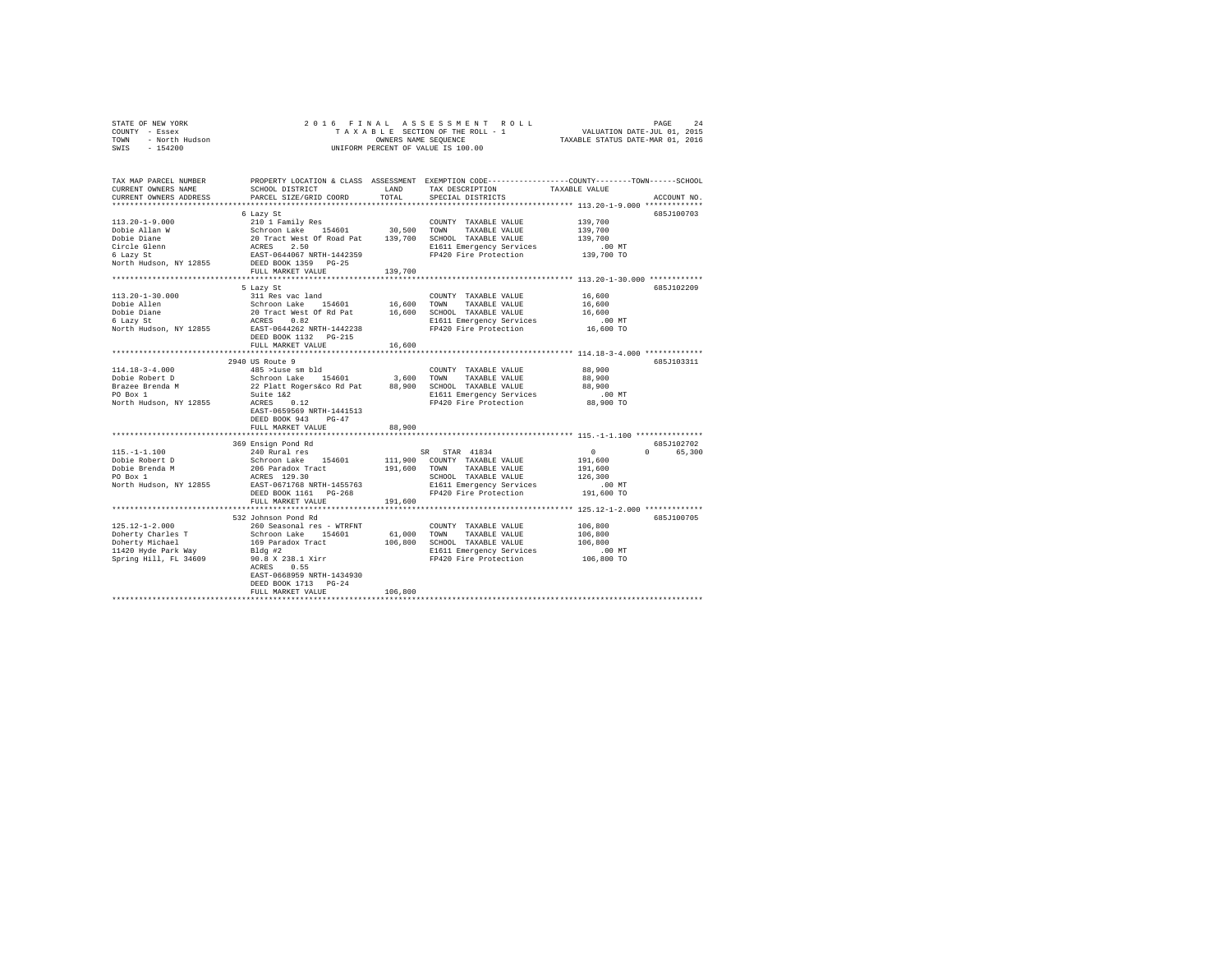| STATE OF NEW YORK      | 2016 FINAL ASSESSMENT ROLL         | 24<br>PAGE                       |  |
|------------------------|------------------------------------|----------------------------------|--|
| COUNTY - Essex         | TAXABLE SECTION OF THE ROLL - 1    | VALUATION DATE-JUL 01, 2015      |  |
| TOWN<br>- North Hudson | OWNERS NAME SEOUENCE               | TAXABLE STATUS DATE-MAR 01, 2016 |  |
| $-154200$<br>SWIS      | UNIFORM PERCENT OF VALUE IS 100.00 |                                  |  |

| 685J100703<br>6 Lazy St<br>210 1 Family Res<br>$113.20 - 1 - 9.000$<br>139,700<br>COUNTY TAXABLE VALUE<br>Schroon Lake 154601 30,500 TOWN TAXABLE VALUE 20 Tract West Of Road Pat 139,700 SCHOOL TAXABLE VALUE ACRES 2.50<br>ACRES 2.50 SCHOOL RESP-064067 RESP. TO SCHOOL TAXABLE VALUE RAST-0644067 NRTH-1442359 FP420 Fire Protection<br>139,700<br>139,700<br>E1611 Emergency Services<br>.00 MT<br>139,700 TO<br>FP420 Fire Protection<br>6 Lazy St<br>North Hudson, NY 12855<br>139,700<br>FULL MARKET VALUE<br>685J102209<br>5 Lazy St<br>311 Res vac land<br>COUNTY TAXABLE VALUE<br>16,600<br>Schroon Lake 154601<br>16,600 TOWN<br>TAXABLE VALUE<br>16,600<br>20 Tract West Of Rd Pat $16,600$<br>ACRES 0.82<br>SCHOOL TAXABLE VALUE<br>16,600<br>E1611 Emergency Services<br>.00 MT<br>FP420 Fire Protection<br>EAST-0644262 NRTH-1442238<br>16,600 TO<br>DEED BOOK 1132 PG-215<br>16,600<br>FULL MARKET VALUE<br>********************************** 114.18-3-4.000 **************<br>*************************<br>**********<br>685J103311<br>2940 US Route 9<br>$114.18 - 3 - 4.000$<br>88,900<br>485 >luse sm bld<br>COUNTY TAXABLE VALUE<br>485 >1use sm pid<br>Schroon Lake 154601<br>22 Platt Rogers&co Rd Pat<br>Suite 1&2<br>3,600 TOWN<br>Dobie Robert D<br>88,900<br>TAXABLE VALUE<br>88,900 SCHOOL TAXABLE VALUE<br>88,900<br>nda M<br>E1611 Emergency Services<br>$.00$ MT<br>$ACRES$ 0.12<br>$R2CSE$ 0.12<br>North Hudson, NY 12855<br>FP420 Fire Protection<br>88,900 TO<br>EAST-0659569 NRTH-1441513<br>DEED BOOK 943<br>$PG-47$<br>88,900<br>FULL MARKET VALUE<br>685J102702<br>369 Ensign Pond Rd<br>240 Rural res<br>SR STAR 41834<br>$115. - 1 - 1.100$<br>$\sim$ 0<br>$\Omega$<br>65,300<br>Schroon Lake 154601<br>206 Paradox Tract<br>ACRES 129.30<br>Dobie Robert D<br>111,900 COUNTY TAXABLE VALUE<br>191,600<br>Dobie Brenda M<br>191,600<br>TOWN<br>TAXABLE VALUE<br>191,600<br>SCHOOL TAXABLE VALUE<br>PO Box 1<br>126,300<br>North Hudson, NY 12855<br>EAST-0671768 NRTH-1455763<br>E1611 Emergency Services<br>.00MT<br>FP420 Fire Protection<br>DEED BOOK 1161 PG-268<br>191,600 TO<br>FULL MARKET VALUE<br>191,600<br>532 Johnson Pond Rd<br>685J100705<br>$125.12 - 1 - 2.000$<br>260 Seasonal res - WTRFNT<br>Schroon Lake 154601<br>169 Paradox Tract<br>Bldg #2<br>106,800<br>COUNTY TAXABLE VALUE<br>61,000 TOWN<br>Doherty Charles T<br>TAXABLE VALUE<br>106,800<br>Doherty Michael<br>11420 Hyde Park Way<br>Spring Will<br>106,800 SCHOOL TAXABLE VALUE<br>106,800<br>E1611 Emergency Services<br>.00 MT<br>FP420 Fire Protection<br>90.8 X 238.1 Xirr<br>ACRES 0.55<br>Spring Hill, FL 34609<br>106,800 TO<br>0.55<br>ACRES<br>EAST-0668959 NRTH-1434930<br>DEED BOOK 1713 PG-24<br>106,800<br>FULL MARKET VALUE | TAX MAP PARCEL NUMBER<br>CURRENT OWNERS NAME<br>CURRENT OWNERS ADDRESS | SCHOOL DISTRICT<br>PARCEL SIZE/GRID COORD | LAND<br>TOTAL | TAX DESCRIPTION<br>SPECIAL DISTRICTS | PROPERTY LOCATION & CLASS ASSESSMENT EXEMPTION CODE---------------COUNTY-------TOWN-----SCHOOL<br>TAXABLE VALUE<br>ACCOUNT NO. |
|---------------------------------------------------------------------------------------------------------------------------------------------------------------------------------------------------------------------------------------------------------------------------------------------------------------------------------------------------------------------------------------------------------------------------------------------------------------------------------------------------------------------------------------------------------------------------------------------------------------------------------------------------------------------------------------------------------------------------------------------------------------------------------------------------------------------------------------------------------------------------------------------------------------------------------------------------------------------------------------------------------------------------------------------------------------------------------------------------------------------------------------------------------------------------------------------------------------------------------------------------------------------------------------------------------------------------------------------------------------------------------------------------------------------------------------------------------------------------------------------------------------------------------------------------------------------------------------------------------------------------------------------------------------------------------------------------------------------------------------------------------------------------------------------------------------------------------------------------------------------------------------------------------------------------------------------------------------------------------------------------------------------------------------------------------------------------------------------------------------------------------------------------------------------------------------------------------------------------------------------------------------------------------------------------------------------------------------------------------------------------------------------------------------------------------------------------------------------------------------------------------------------------------------------------------------------------------------------------------------------------------------------------------------------------------------------------------------------------------------------------------------------|------------------------------------------------------------------------|-------------------------------------------|---------------|--------------------------------------|--------------------------------------------------------------------------------------------------------------------------------|
|                                                                                                                                                                                                                                                                                                                                                                                                                                                                                                                                                                                                                                                                                                                                                                                                                                                                                                                                                                                                                                                                                                                                                                                                                                                                                                                                                                                                                                                                                                                                                                                                                                                                                                                                                                                                                                                                                                                                                                                                                                                                                                                                                                                                                                                                                                                                                                                                                                                                                                                                                                                                                                                                                                                                                                     | ***********************                                                |                                           |               |                                      |                                                                                                                                |
|                                                                                                                                                                                                                                                                                                                                                                                                                                                                                                                                                                                                                                                                                                                                                                                                                                                                                                                                                                                                                                                                                                                                                                                                                                                                                                                                                                                                                                                                                                                                                                                                                                                                                                                                                                                                                                                                                                                                                                                                                                                                                                                                                                                                                                                                                                                                                                                                                                                                                                                                                                                                                                                                                                                                                                     |                                                                        |                                           |               |                                      |                                                                                                                                |
|                                                                                                                                                                                                                                                                                                                                                                                                                                                                                                                                                                                                                                                                                                                                                                                                                                                                                                                                                                                                                                                                                                                                                                                                                                                                                                                                                                                                                                                                                                                                                                                                                                                                                                                                                                                                                                                                                                                                                                                                                                                                                                                                                                                                                                                                                                                                                                                                                                                                                                                                                                                                                                                                                                                                                                     |                                                                        |                                           |               |                                      |                                                                                                                                |
|                                                                                                                                                                                                                                                                                                                                                                                                                                                                                                                                                                                                                                                                                                                                                                                                                                                                                                                                                                                                                                                                                                                                                                                                                                                                                                                                                                                                                                                                                                                                                                                                                                                                                                                                                                                                                                                                                                                                                                                                                                                                                                                                                                                                                                                                                                                                                                                                                                                                                                                                                                                                                                                                                                                                                                     | Dobie Allan W                                                          |                                           |               |                                      |                                                                                                                                |
|                                                                                                                                                                                                                                                                                                                                                                                                                                                                                                                                                                                                                                                                                                                                                                                                                                                                                                                                                                                                                                                                                                                                                                                                                                                                                                                                                                                                                                                                                                                                                                                                                                                                                                                                                                                                                                                                                                                                                                                                                                                                                                                                                                                                                                                                                                                                                                                                                                                                                                                                                                                                                                                                                                                                                                     | Dobie Diane                                                            |                                           |               |                                      |                                                                                                                                |
|                                                                                                                                                                                                                                                                                                                                                                                                                                                                                                                                                                                                                                                                                                                                                                                                                                                                                                                                                                                                                                                                                                                                                                                                                                                                                                                                                                                                                                                                                                                                                                                                                                                                                                                                                                                                                                                                                                                                                                                                                                                                                                                                                                                                                                                                                                                                                                                                                                                                                                                                                                                                                                                                                                                                                                     | Circle Glenn                                                           |                                           |               |                                      |                                                                                                                                |
|                                                                                                                                                                                                                                                                                                                                                                                                                                                                                                                                                                                                                                                                                                                                                                                                                                                                                                                                                                                                                                                                                                                                                                                                                                                                                                                                                                                                                                                                                                                                                                                                                                                                                                                                                                                                                                                                                                                                                                                                                                                                                                                                                                                                                                                                                                                                                                                                                                                                                                                                                                                                                                                                                                                                                                     |                                                                        |                                           |               |                                      |                                                                                                                                |
|                                                                                                                                                                                                                                                                                                                                                                                                                                                                                                                                                                                                                                                                                                                                                                                                                                                                                                                                                                                                                                                                                                                                                                                                                                                                                                                                                                                                                                                                                                                                                                                                                                                                                                                                                                                                                                                                                                                                                                                                                                                                                                                                                                                                                                                                                                                                                                                                                                                                                                                                                                                                                                                                                                                                                                     |                                                                        |                                           |               |                                      |                                                                                                                                |
|                                                                                                                                                                                                                                                                                                                                                                                                                                                                                                                                                                                                                                                                                                                                                                                                                                                                                                                                                                                                                                                                                                                                                                                                                                                                                                                                                                                                                                                                                                                                                                                                                                                                                                                                                                                                                                                                                                                                                                                                                                                                                                                                                                                                                                                                                                                                                                                                                                                                                                                                                                                                                                                                                                                                                                     |                                                                        |                                           |               |                                      |                                                                                                                                |
|                                                                                                                                                                                                                                                                                                                                                                                                                                                                                                                                                                                                                                                                                                                                                                                                                                                                                                                                                                                                                                                                                                                                                                                                                                                                                                                                                                                                                                                                                                                                                                                                                                                                                                                                                                                                                                                                                                                                                                                                                                                                                                                                                                                                                                                                                                                                                                                                                                                                                                                                                                                                                                                                                                                                                                     |                                                                        |                                           |               |                                      |                                                                                                                                |
|                                                                                                                                                                                                                                                                                                                                                                                                                                                                                                                                                                                                                                                                                                                                                                                                                                                                                                                                                                                                                                                                                                                                                                                                                                                                                                                                                                                                                                                                                                                                                                                                                                                                                                                                                                                                                                                                                                                                                                                                                                                                                                                                                                                                                                                                                                                                                                                                                                                                                                                                                                                                                                                                                                                                                                     |                                                                        |                                           |               |                                      |                                                                                                                                |
|                                                                                                                                                                                                                                                                                                                                                                                                                                                                                                                                                                                                                                                                                                                                                                                                                                                                                                                                                                                                                                                                                                                                                                                                                                                                                                                                                                                                                                                                                                                                                                                                                                                                                                                                                                                                                                                                                                                                                                                                                                                                                                                                                                                                                                                                                                                                                                                                                                                                                                                                                                                                                                                                                                                                                                     | $113.20 - 1 - 30.000$                                                  |                                           |               |                                      |                                                                                                                                |
|                                                                                                                                                                                                                                                                                                                                                                                                                                                                                                                                                                                                                                                                                                                                                                                                                                                                                                                                                                                                                                                                                                                                                                                                                                                                                                                                                                                                                                                                                                                                                                                                                                                                                                                                                                                                                                                                                                                                                                                                                                                                                                                                                                                                                                                                                                                                                                                                                                                                                                                                                                                                                                                                                                                                                                     | Dobie Allen                                                            |                                           |               |                                      |                                                                                                                                |
|                                                                                                                                                                                                                                                                                                                                                                                                                                                                                                                                                                                                                                                                                                                                                                                                                                                                                                                                                                                                                                                                                                                                                                                                                                                                                                                                                                                                                                                                                                                                                                                                                                                                                                                                                                                                                                                                                                                                                                                                                                                                                                                                                                                                                                                                                                                                                                                                                                                                                                                                                                                                                                                                                                                                                                     | Dobie Diane                                                            |                                           |               |                                      |                                                                                                                                |
|                                                                                                                                                                                                                                                                                                                                                                                                                                                                                                                                                                                                                                                                                                                                                                                                                                                                                                                                                                                                                                                                                                                                                                                                                                                                                                                                                                                                                                                                                                                                                                                                                                                                                                                                                                                                                                                                                                                                                                                                                                                                                                                                                                                                                                                                                                                                                                                                                                                                                                                                                                                                                                                                                                                                                                     | 6 Lazy St                                                              |                                           |               |                                      |                                                                                                                                |
|                                                                                                                                                                                                                                                                                                                                                                                                                                                                                                                                                                                                                                                                                                                                                                                                                                                                                                                                                                                                                                                                                                                                                                                                                                                                                                                                                                                                                                                                                                                                                                                                                                                                                                                                                                                                                                                                                                                                                                                                                                                                                                                                                                                                                                                                                                                                                                                                                                                                                                                                                                                                                                                                                                                                                                     | North Hudson, NY 12855                                                 |                                           |               |                                      |                                                                                                                                |
|                                                                                                                                                                                                                                                                                                                                                                                                                                                                                                                                                                                                                                                                                                                                                                                                                                                                                                                                                                                                                                                                                                                                                                                                                                                                                                                                                                                                                                                                                                                                                                                                                                                                                                                                                                                                                                                                                                                                                                                                                                                                                                                                                                                                                                                                                                                                                                                                                                                                                                                                                                                                                                                                                                                                                                     |                                                                        |                                           |               |                                      |                                                                                                                                |
|                                                                                                                                                                                                                                                                                                                                                                                                                                                                                                                                                                                                                                                                                                                                                                                                                                                                                                                                                                                                                                                                                                                                                                                                                                                                                                                                                                                                                                                                                                                                                                                                                                                                                                                                                                                                                                                                                                                                                                                                                                                                                                                                                                                                                                                                                                                                                                                                                                                                                                                                                                                                                                                                                                                                                                     |                                                                        |                                           |               |                                      |                                                                                                                                |
|                                                                                                                                                                                                                                                                                                                                                                                                                                                                                                                                                                                                                                                                                                                                                                                                                                                                                                                                                                                                                                                                                                                                                                                                                                                                                                                                                                                                                                                                                                                                                                                                                                                                                                                                                                                                                                                                                                                                                                                                                                                                                                                                                                                                                                                                                                                                                                                                                                                                                                                                                                                                                                                                                                                                                                     |                                                                        |                                           |               |                                      |                                                                                                                                |
|                                                                                                                                                                                                                                                                                                                                                                                                                                                                                                                                                                                                                                                                                                                                                                                                                                                                                                                                                                                                                                                                                                                                                                                                                                                                                                                                                                                                                                                                                                                                                                                                                                                                                                                                                                                                                                                                                                                                                                                                                                                                                                                                                                                                                                                                                                                                                                                                                                                                                                                                                                                                                                                                                                                                                                     |                                                                        |                                           |               |                                      |                                                                                                                                |
|                                                                                                                                                                                                                                                                                                                                                                                                                                                                                                                                                                                                                                                                                                                                                                                                                                                                                                                                                                                                                                                                                                                                                                                                                                                                                                                                                                                                                                                                                                                                                                                                                                                                                                                                                                                                                                                                                                                                                                                                                                                                                                                                                                                                                                                                                                                                                                                                                                                                                                                                                                                                                                                                                                                                                                     |                                                                        |                                           |               |                                      |                                                                                                                                |
|                                                                                                                                                                                                                                                                                                                                                                                                                                                                                                                                                                                                                                                                                                                                                                                                                                                                                                                                                                                                                                                                                                                                                                                                                                                                                                                                                                                                                                                                                                                                                                                                                                                                                                                                                                                                                                                                                                                                                                                                                                                                                                                                                                                                                                                                                                                                                                                                                                                                                                                                                                                                                                                                                                                                                                     |                                                                        |                                           |               |                                      |                                                                                                                                |
|                                                                                                                                                                                                                                                                                                                                                                                                                                                                                                                                                                                                                                                                                                                                                                                                                                                                                                                                                                                                                                                                                                                                                                                                                                                                                                                                                                                                                                                                                                                                                                                                                                                                                                                                                                                                                                                                                                                                                                                                                                                                                                                                                                                                                                                                                                                                                                                                                                                                                                                                                                                                                                                                                                                                                                     | Brazee Brenda M                                                        |                                           |               |                                      |                                                                                                                                |
|                                                                                                                                                                                                                                                                                                                                                                                                                                                                                                                                                                                                                                                                                                                                                                                                                                                                                                                                                                                                                                                                                                                                                                                                                                                                                                                                                                                                                                                                                                                                                                                                                                                                                                                                                                                                                                                                                                                                                                                                                                                                                                                                                                                                                                                                                                                                                                                                                                                                                                                                                                                                                                                                                                                                                                     | PO Box 1                                                               |                                           |               |                                      |                                                                                                                                |
|                                                                                                                                                                                                                                                                                                                                                                                                                                                                                                                                                                                                                                                                                                                                                                                                                                                                                                                                                                                                                                                                                                                                                                                                                                                                                                                                                                                                                                                                                                                                                                                                                                                                                                                                                                                                                                                                                                                                                                                                                                                                                                                                                                                                                                                                                                                                                                                                                                                                                                                                                                                                                                                                                                                                                                     |                                                                        |                                           |               |                                      |                                                                                                                                |
|                                                                                                                                                                                                                                                                                                                                                                                                                                                                                                                                                                                                                                                                                                                                                                                                                                                                                                                                                                                                                                                                                                                                                                                                                                                                                                                                                                                                                                                                                                                                                                                                                                                                                                                                                                                                                                                                                                                                                                                                                                                                                                                                                                                                                                                                                                                                                                                                                                                                                                                                                                                                                                                                                                                                                                     |                                                                        |                                           |               |                                      |                                                                                                                                |
|                                                                                                                                                                                                                                                                                                                                                                                                                                                                                                                                                                                                                                                                                                                                                                                                                                                                                                                                                                                                                                                                                                                                                                                                                                                                                                                                                                                                                                                                                                                                                                                                                                                                                                                                                                                                                                                                                                                                                                                                                                                                                                                                                                                                                                                                                                                                                                                                                                                                                                                                                                                                                                                                                                                                                                     |                                                                        |                                           |               |                                      |                                                                                                                                |
|                                                                                                                                                                                                                                                                                                                                                                                                                                                                                                                                                                                                                                                                                                                                                                                                                                                                                                                                                                                                                                                                                                                                                                                                                                                                                                                                                                                                                                                                                                                                                                                                                                                                                                                                                                                                                                                                                                                                                                                                                                                                                                                                                                                                                                                                                                                                                                                                                                                                                                                                                                                                                                                                                                                                                                     |                                                                        |                                           |               |                                      |                                                                                                                                |
|                                                                                                                                                                                                                                                                                                                                                                                                                                                                                                                                                                                                                                                                                                                                                                                                                                                                                                                                                                                                                                                                                                                                                                                                                                                                                                                                                                                                                                                                                                                                                                                                                                                                                                                                                                                                                                                                                                                                                                                                                                                                                                                                                                                                                                                                                                                                                                                                                                                                                                                                                                                                                                                                                                                                                                     |                                                                        |                                           |               |                                      |                                                                                                                                |
|                                                                                                                                                                                                                                                                                                                                                                                                                                                                                                                                                                                                                                                                                                                                                                                                                                                                                                                                                                                                                                                                                                                                                                                                                                                                                                                                                                                                                                                                                                                                                                                                                                                                                                                                                                                                                                                                                                                                                                                                                                                                                                                                                                                                                                                                                                                                                                                                                                                                                                                                                                                                                                                                                                                                                                     |                                                                        |                                           |               |                                      |                                                                                                                                |
|                                                                                                                                                                                                                                                                                                                                                                                                                                                                                                                                                                                                                                                                                                                                                                                                                                                                                                                                                                                                                                                                                                                                                                                                                                                                                                                                                                                                                                                                                                                                                                                                                                                                                                                                                                                                                                                                                                                                                                                                                                                                                                                                                                                                                                                                                                                                                                                                                                                                                                                                                                                                                                                                                                                                                                     |                                                                        |                                           |               |                                      |                                                                                                                                |
|                                                                                                                                                                                                                                                                                                                                                                                                                                                                                                                                                                                                                                                                                                                                                                                                                                                                                                                                                                                                                                                                                                                                                                                                                                                                                                                                                                                                                                                                                                                                                                                                                                                                                                                                                                                                                                                                                                                                                                                                                                                                                                                                                                                                                                                                                                                                                                                                                                                                                                                                                                                                                                                                                                                                                                     |                                                                        |                                           |               |                                      |                                                                                                                                |
|                                                                                                                                                                                                                                                                                                                                                                                                                                                                                                                                                                                                                                                                                                                                                                                                                                                                                                                                                                                                                                                                                                                                                                                                                                                                                                                                                                                                                                                                                                                                                                                                                                                                                                                                                                                                                                                                                                                                                                                                                                                                                                                                                                                                                                                                                                                                                                                                                                                                                                                                                                                                                                                                                                                                                                     |                                                                        |                                           |               |                                      |                                                                                                                                |
|                                                                                                                                                                                                                                                                                                                                                                                                                                                                                                                                                                                                                                                                                                                                                                                                                                                                                                                                                                                                                                                                                                                                                                                                                                                                                                                                                                                                                                                                                                                                                                                                                                                                                                                                                                                                                                                                                                                                                                                                                                                                                                                                                                                                                                                                                                                                                                                                                                                                                                                                                                                                                                                                                                                                                                     |                                                                        |                                           |               |                                      |                                                                                                                                |
|                                                                                                                                                                                                                                                                                                                                                                                                                                                                                                                                                                                                                                                                                                                                                                                                                                                                                                                                                                                                                                                                                                                                                                                                                                                                                                                                                                                                                                                                                                                                                                                                                                                                                                                                                                                                                                                                                                                                                                                                                                                                                                                                                                                                                                                                                                                                                                                                                                                                                                                                                                                                                                                                                                                                                                     |                                                                        |                                           |               |                                      |                                                                                                                                |
|                                                                                                                                                                                                                                                                                                                                                                                                                                                                                                                                                                                                                                                                                                                                                                                                                                                                                                                                                                                                                                                                                                                                                                                                                                                                                                                                                                                                                                                                                                                                                                                                                                                                                                                                                                                                                                                                                                                                                                                                                                                                                                                                                                                                                                                                                                                                                                                                                                                                                                                                                                                                                                                                                                                                                                     |                                                                        |                                           |               |                                      |                                                                                                                                |
|                                                                                                                                                                                                                                                                                                                                                                                                                                                                                                                                                                                                                                                                                                                                                                                                                                                                                                                                                                                                                                                                                                                                                                                                                                                                                                                                                                                                                                                                                                                                                                                                                                                                                                                                                                                                                                                                                                                                                                                                                                                                                                                                                                                                                                                                                                                                                                                                                                                                                                                                                                                                                                                                                                                                                                     |                                                                        |                                           |               |                                      |                                                                                                                                |
|                                                                                                                                                                                                                                                                                                                                                                                                                                                                                                                                                                                                                                                                                                                                                                                                                                                                                                                                                                                                                                                                                                                                                                                                                                                                                                                                                                                                                                                                                                                                                                                                                                                                                                                                                                                                                                                                                                                                                                                                                                                                                                                                                                                                                                                                                                                                                                                                                                                                                                                                                                                                                                                                                                                                                                     |                                                                        |                                           |               |                                      |                                                                                                                                |
|                                                                                                                                                                                                                                                                                                                                                                                                                                                                                                                                                                                                                                                                                                                                                                                                                                                                                                                                                                                                                                                                                                                                                                                                                                                                                                                                                                                                                                                                                                                                                                                                                                                                                                                                                                                                                                                                                                                                                                                                                                                                                                                                                                                                                                                                                                                                                                                                                                                                                                                                                                                                                                                                                                                                                                     |                                                                        |                                           |               |                                      |                                                                                                                                |
|                                                                                                                                                                                                                                                                                                                                                                                                                                                                                                                                                                                                                                                                                                                                                                                                                                                                                                                                                                                                                                                                                                                                                                                                                                                                                                                                                                                                                                                                                                                                                                                                                                                                                                                                                                                                                                                                                                                                                                                                                                                                                                                                                                                                                                                                                                                                                                                                                                                                                                                                                                                                                                                                                                                                                                     |                                                                        |                                           |               |                                      |                                                                                                                                |
|                                                                                                                                                                                                                                                                                                                                                                                                                                                                                                                                                                                                                                                                                                                                                                                                                                                                                                                                                                                                                                                                                                                                                                                                                                                                                                                                                                                                                                                                                                                                                                                                                                                                                                                                                                                                                                                                                                                                                                                                                                                                                                                                                                                                                                                                                                                                                                                                                                                                                                                                                                                                                                                                                                                                                                     |                                                                        |                                           |               |                                      |                                                                                                                                |
|                                                                                                                                                                                                                                                                                                                                                                                                                                                                                                                                                                                                                                                                                                                                                                                                                                                                                                                                                                                                                                                                                                                                                                                                                                                                                                                                                                                                                                                                                                                                                                                                                                                                                                                                                                                                                                                                                                                                                                                                                                                                                                                                                                                                                                                                                                                                                                                                                                                                                                                                                                                                                                                                                                                                                                     |                                                                        |                                           |               |                                      |                                                                                                                                |
|                                                                                                                                                                                                                                                                                                                                                                                                                                                                                                                                                                                                                                                                                                                                                                                                                                                                                                                                                                                                                                                                                                                                                                                                                                                                                                                                                                                                                                                                                                                                                                                                                                                                                                                                                                                                                                                                                                                                                                                                                                                                                                                                                                                                                                                                                                                                                                                                                                                                                                                                                                                                                                                                                                                                                                     |                                                                        |                                           |               |                                      |                                                                                                                                |
|                                                                                                                                                                                                                                                                                                                                                                                                                                                                                                                                                                                                                                                                                                                                                                                                                                                                                                                                                                                                                                                                                                                                                                                                                                                                                                                                                                                                                                                                                                                                                                                                                                                                                                                                                                                                                                                                                                                                                                                                                                                                                                                                                                                                                                                                                                                                                                                                                                                                                                                                                                                                                                                                                                                                                                     |                                                                        |                                           |               |                                      |                                                                                                                                |
|                                                                                                                                                                                                                                                                                                                                                                                                                                                                                                                                                                                                                                                                                                                                                                                                                                                                                                                                                                                                                                                                                                                                                                                                                                                                                                                                                                                                                                                                                                                                                                                                                                                                                                                                                                                                                                                                                                                                                                                                                                                                                                                                                                                                                                                                                                                                                                                                                                                                                                                                                                                                                                                                                                                                                                     |                                                                        |                                           |               |                                      |                                                                                                                                |
|                                                                                                                                                                                                                                                                                                                                                                                                                                                                                                                                                                                                                                                                                                                                                                                                                                                                                                                                                                                                                                                                                                                                                                                                                                                                                                                                                                                                                                                                                                                                                                                                                                                                                                                                                                                                                                                                                                                                                                                                                                                                                                                                                                                                                                                                                                                                                                                                                                                                                                                                                                                                                                                                                                                                                                     |                                                                        |                                           |               |                                      |                                                                                                                                |
|                                                                                                                                                                                                                                                                                                                                                                                                                                                                                                                                                                                                                                                                                                                                                                                                                                                                                                                                                                                                                                                                                                                                                                                                                                                                                                                                                                                                                                                                                                                                                                                                                                                                                                                                                                                                                                                                                                                                                                                                                                                                                                                                                                                                                                                                                                                                                                                                                                                                                                                                                                                                                                                                                                                                                                     |                                                                        |                                           |               |                                      |                                                                                                                                |
|                                                                                                                                                                                                                                                                                                                                                                                                                                                                                                                                                                                                                                                                                                                                                                                                                                                                                                                                                                                                                                                                                                                                                                                                                                                                                                                                                                                                                                                                                                                                                                                                                                                                                                                                                                                                                                                                                                                                                                                                                                                                                                                                                                                                                                                                                                                                                                                                                                                                                                                                                                                                                                                                                                                                                                     |                                                                        |                                           |               |                                      |                                                                                                                                |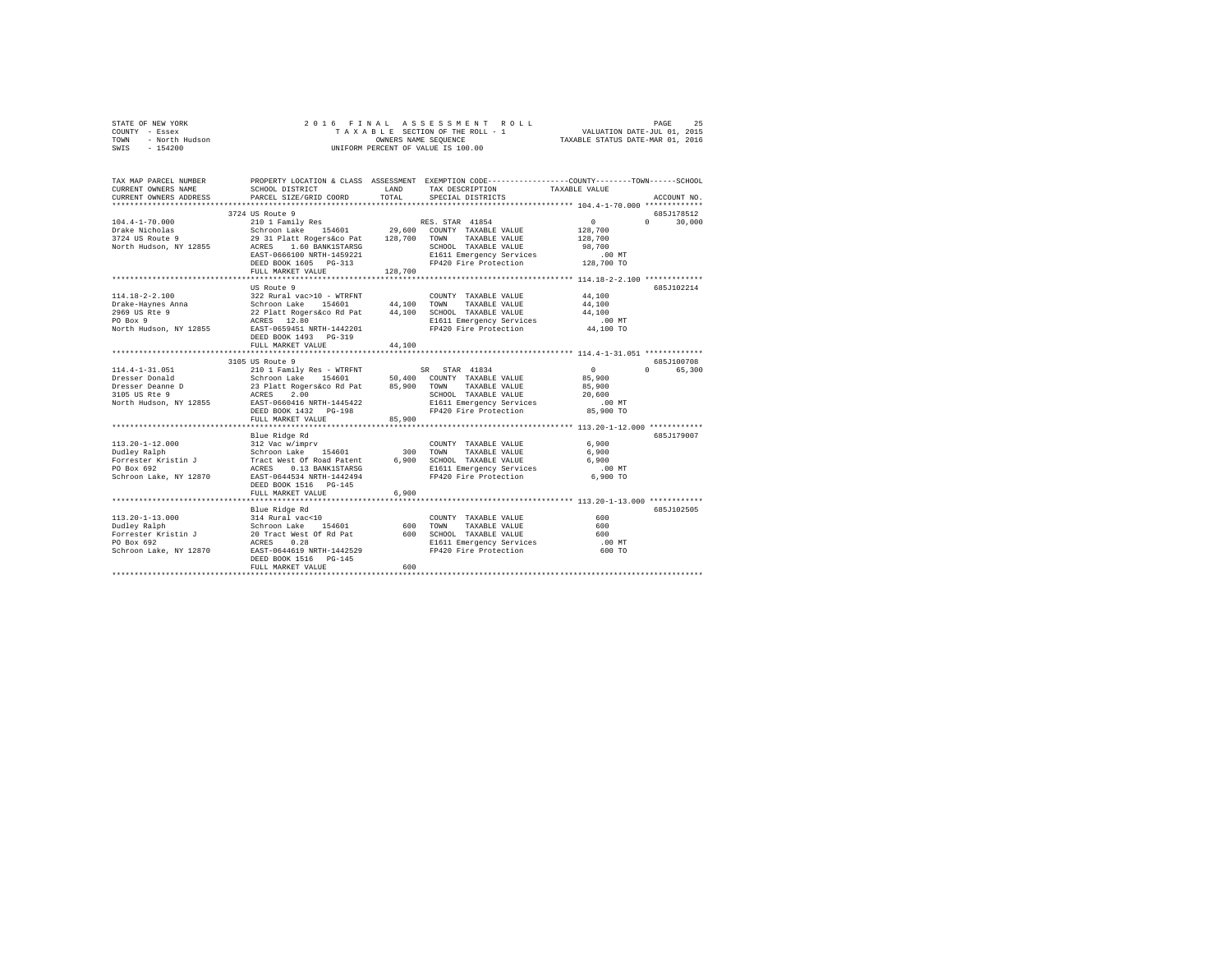|      | STATE OF NEW YORK |  | 2016 FINAL ASSESSMENT ROLL         | PAGE                             | 25 |
|------|-------------------|--|------------------------------------|----------------------------------|----|
|      | COUNTY - Essex    |  | TAXABLE SECTION OF THE ROLL - 1    | VALUATION DATE-JUL 01, 2015      |    |
| TOWN | - North Hudson    |  | OWNERS NAME SEOUENCE               | TAXABLE STATUS DATE-MAR 01, 2016 |    |
| SWIS | $-154200$         |  | UNIFORM PERCENT OF VALUE IS 100.00 |                                  |    |

| TAX MAP PARCEL NUMBER<br>CURRENT OWNERS NAME<br>CURRENT OWNERS ADDRESS | SCHOOL DISTRICT<br>PARCEL SIZE/GRID COORD                                                                                                                        | LAND<br>TOTAL | TAX DESCRIPTION<br>SPECIAL DISTRICTS              | PROPERTY LOCATION & CLASS ASSESSMENT EXEMPTION CODE---------------COUNTY-------TOWN-----SCHOOL<br>TAXABLE VALUE<br>ACCOUNT NO. |
|------------------------------------------------------------------------|------------------------------------------------------------------------------------------------------------------------------------------------------------------|---------------|---------------------------------------------------|--------------------------------------------------------------------------------------------------------------------------------|
|                                                                        |                                                                                                                                                                  |               |                                                   |                                                                                                                                |
|                                                                        | 3724 US Route 9                                                                                                                                                  |               |                                                   | 685J178512                                                                                                                     |
| $104.4 - 1 - 70.000$                                                   | 2001 - 2010 Page 194601<br>2010 - 2010 Page 194601 29,600 COUNTY TAXABLE VALUE<br>29 31 Platt Rogers&co Pat 128,700 TOWN TAXABLE VALUE                           |               |                                                   | $\sim$ 0<br>$0 \t 30,000$                                                                                                      |
| Drake Nicholas                                                         |                                                                                                                                                                  |               |                                                   | 128,700                                                                                                                        |
| 3724 US Route 9                                                        |                                                                                                                                                                  |               |                                                   | 128,700                                                                                                                        |
|                                                                        | North Hudson, NY 12855 ACRES 1.60 BANK1STARSG                                                                                                                    |               | SCHOOL TAXABLE VALUE                              | 98,700                                                                                                                         |
|                                                                        | EAST-0666100 NRTH-1459221                                                                                                                                        |               | E1611 Emergency Services                          | $.00$ MT                                                                                                                       |
|                                                                        | DEED BOOK 1605 PG-313<br>FULL MARKET VALUE                                                                                                                       | 128,700       | FP420 Fire Protection 128,700 TO                  |                                                                                                                                |
|                                                                        |                                                                                                                                                                  |               |                                                   |                                                                                                                                |
|                                                                        | US Route 9                                                                                                                                                       |               |                                                   | 685J102214                                                                                                                     |
| $114.18 - 2 - 2.100$                                                   | 322 Rural vac>10 - WTRFNT                                                                                                                                        |               | COUNTY TAXABLE VALUE                              | 44,100                                                                                                                         |
| --<br>Drake-Haynes Anna<br>^^^^ "IS Rte 9                              |                                                                                                                                                                  |               | 44.100 TOWN<br>TAXABLE VALUE                      | 44,100                                                                                                                         |
|                                                                        |                                                                                                                                                                  |               | 44,100 SCHOOL TAXABLE VALUE                       | 44,100                                                                                                                         |
|                                                                        |                                                                                                                                                                  |               | E1611 Emergency Services<br>FP420 Fire Protection | .00 MT<br>44,100 TO                                                                                                            |
|                                                                        | DEED BOOK 1493 PG-319                                                                                                                                            |               |                                                   |                                                                                                                                |
|                                                                        | FULL MARKET VALUE                                                                                                                                                | 44,100        |                                                   |                                                                                                                                |
|                                                                        | 3105 US Route 9                                                                                                                                                  |               |                                                   | 685.T100708                                                                                                                    |
| 114.4-1-31.051                                                         |                                                                                                                                                                  |               |                                                   | $\sim$ 0<br>$\cap$<br>65,300                                                                                                   |
| Dresser Donald                                                         |                                                                                                                                                                  |               |                                                   | 85,900                                                                                                                         |
| Dresser Deanne D                                                       |                                                                                                                                                                  |               |                                                   | 85,900                                                                                                                         |
| 3105 US Rte 9                                                          | 110 1 Family Res - WTRFNT 158 STAR 41834<br>Schroon Lake 154601 50,400 COUNTY TAXABLE VALUE<br>23 Platt Rogers&co Rd Pat 85,900 TOWN TAXABLE VALUE<br>ACRES 2.00 |               |                                                   | 20,600                                                                                                                         |
|                                                                        | North Hudson, NY 12855 EAST-0660416 NRTH-1445422                                                                                                                 |               | E1611 Emergency Services                          | .00 MT                                                                                                                         |
|                                                                        | DEED BOOK 1432    PG-198                                                                                                                                         |               | FP420 Fire Protection                             | 85,900 TO                                                                                                                      |
|                                                                        | FULL MARKET VALUE                                                                                                                                                | 85,900        |                                                   |                                                                                                                                |
|                                                                        |                                                                                                                                                                  |               |                                                   |                                                                                                                                |
|                                                                        | Blue Ridge Rd                                                                                                                                                    |               |                                                   | 685J179007                                                                                                                     |
| $113.20 - 1 - 12.000$                                                  | 312 Vac w/imprv<br>Schroon Lake 154601                                                                                                                           |               | COUNTY TAXABLE VALUE                              | 6,900                                                                                                                          |
| Dudley Ralph                                                           |                                                                                                                                                                  | 300 TOWN      | TAXABLE VALUE                                     | 6,900                                                                                                                          |
| Forrester Kristin J                                                    |                                                                                                                                                                  | 6,900         | SCHOOL TAXABLE VALUE                              | 6,900                                                                                                                          |
| PO Box 692                                                             |                                                                                                                                                                  |               | E1611 Emergency Services                          | $.00$ MT                                                                                                                       |
| Schroon Lake, NY 12870                                                 | EAST-0644534 NRTH-1442494<br>DEED BOOK 1516 PG-145                                                                                                               |               | FP420 Fire Protection                             | 6,900 TO                                                                                                                       |
|                                                                        | FULL MARKET VALUE                                                                                                                                                | 6,900         |                                                   |                                                                                                                                |
|                                                                        |                                                                                                                                                                  |               |                                                   |                                                                                                                                |
|                                                                        | Blue Ridge Rd                                                                                                                                                    |               |                                                   | 685J102505                                                                                                                     |
|                                                                        |                                                                                                                                                                  |               | COUNTY TAXABLE VALUE                              | 600                                                                                                                            |
|                                                                        |                                                                                                                                                                  | 600           | TOWN<br>TAXABLE VALUE                             | 600                                                                                                                            |
|                                                                        |                                                                                                                                                                  | 600           | SCHOOL TAXABLE VALUE                              | 600                                                                                                                            |
|                                                                        |                                                                                                                                                                  |               | E1611 Emergency Services                          | $.00$ MT                                                                                                                       |
|                                                                        |                                                                                                                                                                  |               | FP420 Fire Protection                             | 600 TO                                                                                                                         |
|                                                                        | DEED BOOK 1516 PG-145                                                                                                                                            |               |                                                   |                                                                                                                                |
|                                                                        | FULL MARKET VALUE                                                                                                                                                | 600           |                                                   |                                                                                                                                |
|                                                                        |                                                                                                                                                                  |               |                                                   |                                                                                                                                |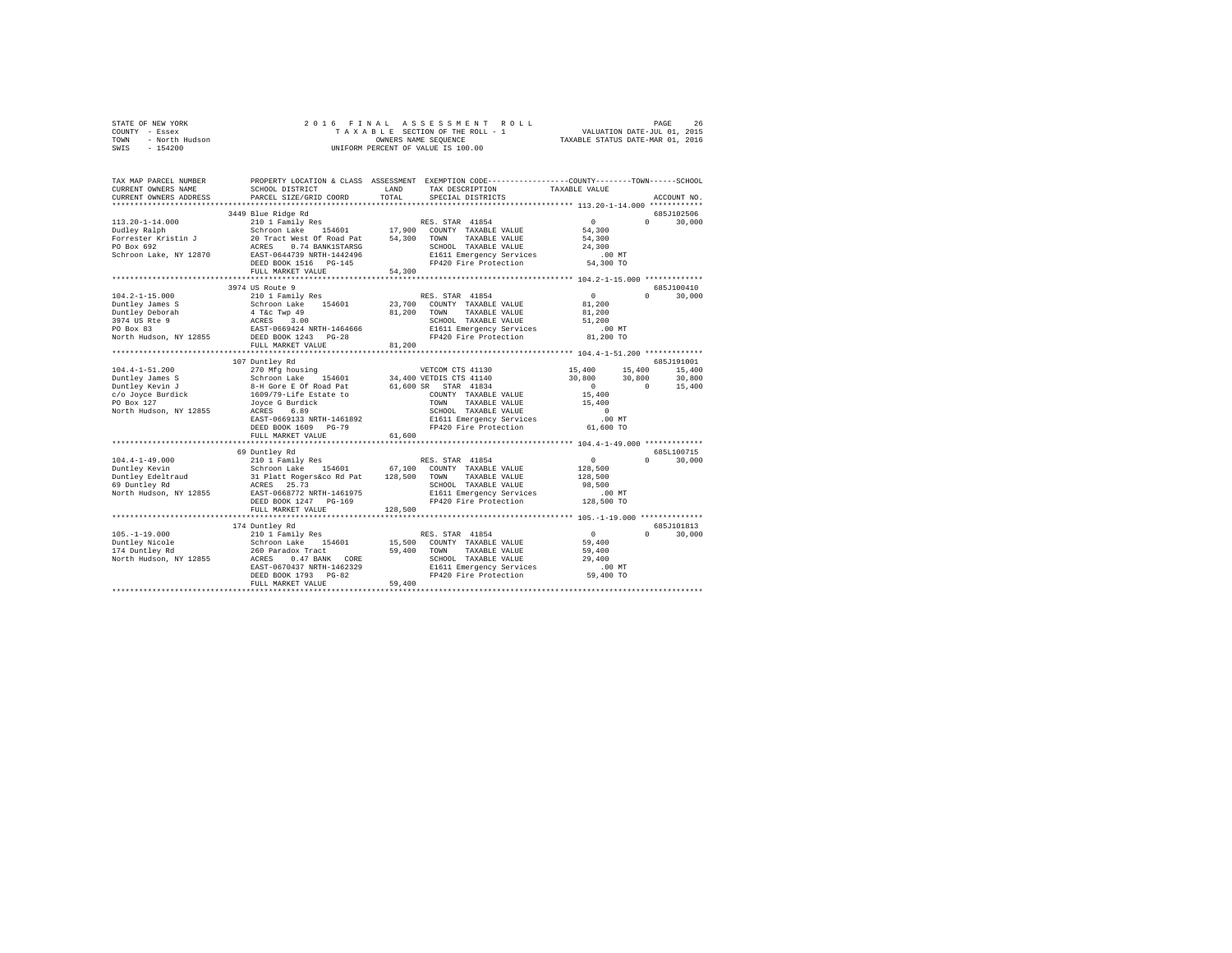| STATE OF NEW YORK      | 2016 FINAL ASSESSMENT ROLL         | 26<br>PAGE                       |
|------------------------|------------------------------------|----------------------------------|
| COUNTY - Essex         | TAXABLE SECTION OF THE ROLL - 1    | VALUATION DATE-JUL 01, 2015      |
| TOWN<br>- North Hudson | OWNERS NAME SEOUENCE               | TAXABLE STATUS DATE-MAR 01, 2016 |
| $-154200$<br>SWIS      | UNIFORM PERCENT OF VALUE IS 100.00 |                                  |

| TAX MAP PARCEL NUMBER<br>CURRENT OWNERS NAME<br>CURRENT OWNERS ADDRESS | SCHOOL DISTRICT<br>PARCEL SIZE/GRID COORD                                                    | LAND<br>TOTAL | PROPERTY LOCATION & CLASS ASSESSMENT EXEMPTION CODE---------------COUNTY-------TOWN-----SCHOOL<br>TAX DESCRIPTION<br>SPECIAL DISTRICTS | TAXABLE VALUE                | ACCOUNT NO.                          |
|------------------------------------------------------------------------|----------------------------------------------------------------------------------------------|---------------|----------------------------------------------------------------------------------------------------------------------------------------|------------------------------|--------------------------------------|
|                                                                        |                                                                                              |               |                                                                                                                                        |                              |                                      |
|                                                                        | 3449 Blue Ridge Rd                                                                           |               |                                                                                                                                        |                              | 685J102506                           |
| $113.20 - 1 - 14.000$<br>Dudley Ralph<br>Forrester Kristin J           | 210 1 Family Res<br>Schroon Lake 154601<br>20 Tract West Of Road Pat                         | 54,300 TOWN   | RES. STAR 41854<br>17,900 COUNTY TAXABLE VALUE<br>TAXABLE VALUE                                                                        | $\sim$ 0<br>54,300<br>54,300 | $\Omega$<br>30,000                   |
| PO Box 692<br>Schroon Lake, NY 12870                                   | ACRES<br>0.74 BANK1STARSG<br>EAST-0644739 NRTH-1442496                                       |               | SCHOOL TAXABLE VALUE<br>E1611 Emergency Services                                                                                       | 24,300<br>$.00$ MT           |                                      |
|                                                                        | DEED BOOK 1516 PG-145<br>FULL MARKET VALUE                                                   | 54,300        | FP420 Fire Protection                                                                                                                  | 54,300 TO                    |                                      |
|                                                                        | ***********************                                                                      |               |                                                                                                                                        |                              |                                      |
| $104.2 - 1 - 15.000$                                                   | 3974 US Route 9<br>210 1 Family Res                                                          |               | RES. STAR 41854                                                                                                                        | $^{\circ}$                   | 685J100410<br>$\mathbf{a}$<br>30,000 |
| Duntley James S                                                        |                                                                                              | 23,700        | COUNTY TAXABLE VALUE                                                                                                                   | 81,200                       |                                      |
| Duntley Deborah                                                        | Schroon Lake 154601<br>4 T&c Twp 49<br>ACRES 3.00<br>EAST-0669424 NRTH-1464666               | 81,200        | TAXABLE VALUE<br>TOWN                                                                                                                  | 81,200                       |                                      |
| 3974 US Rte 9                                                          |                                                                                              |               | SCHOOL TAXABLE VALUE                                                                                                                   | 51,200                       |                                      |
| PO Box 83                                                              |                                                                                              |               | E1611 Emergency Services                                                                                                               | .00MT                        |                                      |
| North Hudson, NY 12855 DEED BOOK 1243 PG-28                            |                                                                                              |               | FP420 Fire Protection                                                                                                                  | 81,200 TO                    |                                      |
|                                                                        | FULL MARKET VALUE                                                                            | 81,200        |                                                                                                                                        |                              |                                      |
|                                                                        |                                                                                              |               |                                                                                                                                        |                              |                                      |
|                                                                        | 107 Duntley Rd                                                                               |               |                                                                                                                                        |                              | 685J191001                           |
| $104.4 - 1 - 51.200$                                                   | 270 Mfg housing                                                                              |               | VETCOM CTS 41130                                                                                                                       | 15,400                       | 15,400<br>15,400                     |
| Duntley James S                                                        | Schroon Lake                                                                                 |               | 154601 34,400 VETDIS CTS 41140                                                                                                         | 30,800                       | 30,800<br>30,800                     |
| Duntley Kevin J                                                        | 8-H Gore E Of Road Pat                                                                       |               | 61,600 SR STAR 41834                                                                                                                   | $\sim$ 0                     | $\sim$ 0<br>15,400                   |
| c/o Joyce Burdick                                                      | 1609/79-Life Estate to<br>Joyce G Burdick                                                    |               | COUNTY TAXABLE VALUE                                                                                                                   | 15,400                       |                                      |
| PO Box 127                                                             |                                                                                              |               | TOWN<br>TAXABLE VALUE                                                                                                                  | 15,400                       |                                      |
| North Hudson, NY 12855                                                 | ACRES<br>6.89                                                                                |               | SCHOOL TAXABLE VALUE                                                                                                                   | $\Omega$                     |                                      |
|                                                                        | EAST-0669133 NRTH-1461892                                                                    |               | E1611 Emergency Services                                                                                                               | .00MT                        |                                      |
|                                                                        | DEED BOOK 1609 PG-79                                                                         |               | FP420 Fire Protection                                                                                                                  | 61,600 TO                    |                                      |
|                                                                        | FULL MARKET VALUE                                                                            | 61,600        |                                                                                                                                        |                              |                                      |
|                                                                        | 69 Duntley Rd                                                                                |               |                                                                                                                                        |                              | 685L100715                           |
| $104.4 - 1 - 49.000$                                                   | 210 1 Family Res                                                                             |               | RES. STAR 41854                                                                                                                        | $\sim$                       | $\cap$<br>30,000                     |
| Duntley Kevin                                                          | 154601 67,100                                                                                |               | COUNTY TAXABLE VALUE                                                                                                                   | 128,500                      |                                      |
| Duntley Edeltraud<br>- Allen Pd                                        |                                                                                              | 128,500       | TAXABLE VALUE<br>TOWN                                                                                                                  | 128,500                      |                                      |
|                                                                        |                                                                                              |               | SCHOOL TAXABLE VALUE                                                                                                                   | 98,500                       |                                      |
| North Hudson, NY 12855                                                 | Schroon Lake 154601<br>31 Platt Rogers&co Rd Pat<br>ACRES 25.73<br>EAST-0668772 NRTH-1461975 |               | E1611 Emergency Services                                                                                                               | $.00$ MT                     |                                      |
|                                                                        | DEED BOOK 1247 PG-169                                                                        |               | FP420 Fire Protection 128,500 TO                                                                                                       |                              |                                      |
|                                                                        | FULL MARKET VALUE                                                                            | 128,500       |                                                                                                                                        |                              |                                      |
|                                                                        |                                                                                              |               |                                                                                                                                        |                              |                                      |
| $105. - 1 - 19.000$                                                    | 174 Duntley Rd                                                                               |               | RES. STAR 41854                                                                                                                        | $\sim$ 0                     | 685J101813<br>$\Omega$<br>30,000     |
| Duntley Nicole                                                         | 210 1 Family Res<br>154601                                                                   | 15,500        | COUNTY TAXABLE VALUE                                                                                                                   | 59,400                       |                                      |
| 174 Duntley Rd                                                         | Schroon Lake 15<br>260 Paradox Tract                                                         | 59,400        | TAXABLE VALUE<br>TOWN                                                                                                                  | 59,400                       |                                      |
| North Hudson, NY 12855                                                 | ACRES<br>0.47 BANK CORE                                                                      |               | SCHOOL TAXABLE VALUE                                                                                                                   | 29,400                       |                                      |
|                                                                        | EAST-0670437 NRTH-1462329                                                                    |               |                                                                                                                                        |                              |                                      |
|                                                                        | DEED BOOK 1793 PG-82                                                                         |               | E1611 Emergency Services .00 MT<br>FP420 Fire Protection  59,400 TO                                                                    |                              |                                      |
|                                                                        | FULL MARKET VALUE                                                                            | 59,400        |                                                                                                                                        |                              |                                      |
|                                                                        |                                                                                              |               |                                                                                                                                        |                              |                                      |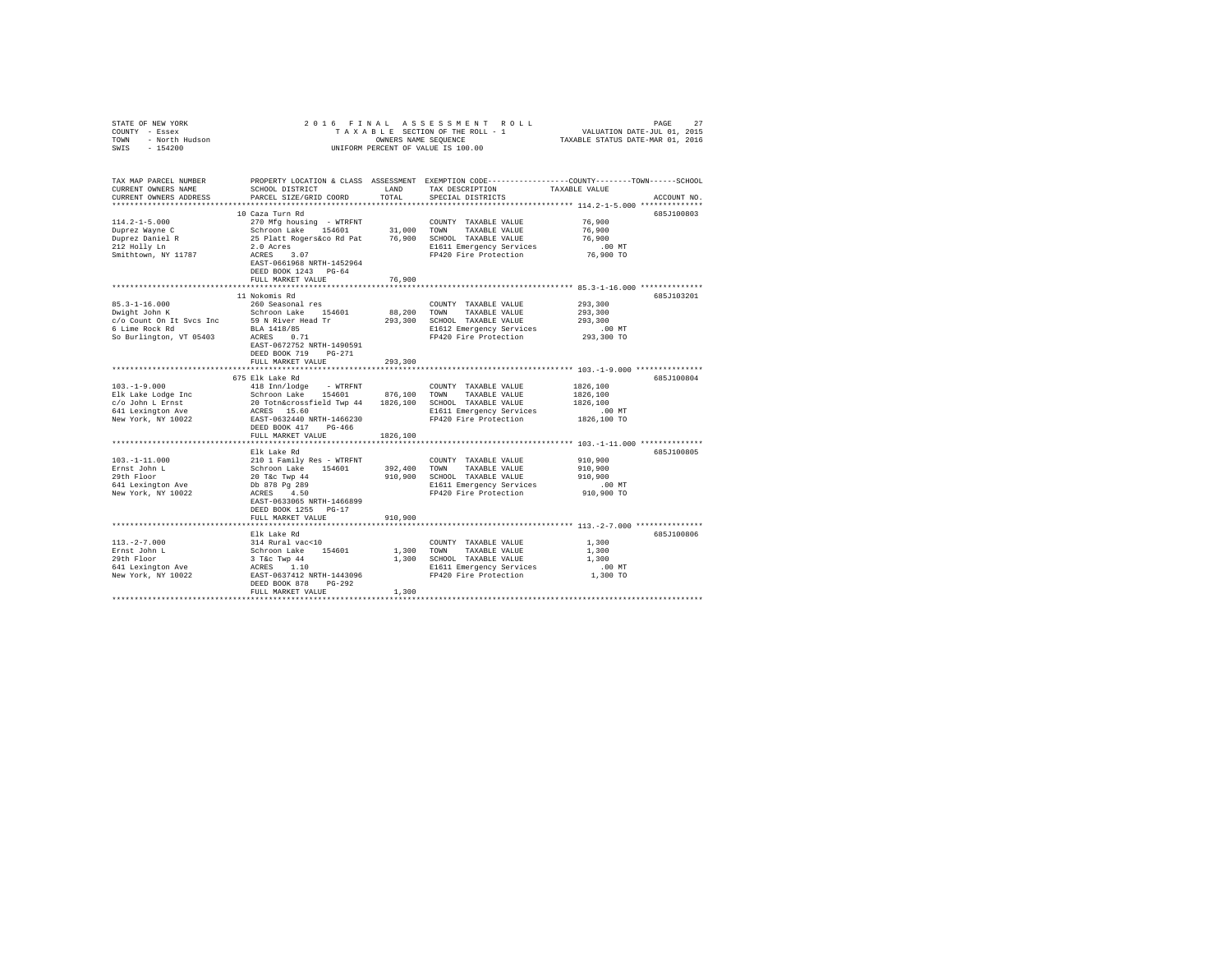| STATE OF NEW YORK<br>COUNTY - Essex<br>- North Hudson<br>TOWN<br>SWIS<br>$-154200$                                                                                                                                                                                            |                                                                                                                                                                |                        | 2016 FINAL ASSESSMENT ROLL<br>UNIFORM PERCENT OF VALUE IS 100.00                                                                                      | PAGE                                                      | 27          |
|-------------------------------------------------------------------------------------------------------------------------------------------------------------------------------------------------------------------------------------------------------------------------------|----------------------------------------------------------------------------------------------------------------------------------------------------------------|------------------------|-------------------------------------------------------------------------------------------------------------------------------------------------------|-----------------------------------------------------------|-------------|
| TAX MAP PARCEL NUMBER<br>CURRENT OWNERS NAME<br>CURRENT OWNERS ADDRESS                                                                                                                                                                                                        | SCHOOL DISTRICT<br>PARCEL SIZE/GRID COORD TOTAL                                                                                                                | LAND                   | PROPERTY LOCATION & CLASS ASSESSMENT EXEMPTION CODE---------------COUNTY-------TOWN------SCHOOL<br>TAX DESCRIPTION TAXABLE VALUE<br>SPECIAL DISTRICTS |                                                           | ACCOUNT NO. |
|                                                                                                                                                                                                                                                                               |                                                                                                                                                                |                        |                                                                                                                                                       |                                                           |             |
| $114.2 - 1 - 5.000$<br>Duprez Wayne C<br>Duprez Daniel R<br>212 Holly Ln<br>Smithtown, NY 11787                                                                                                                                                                               | 10 Caza Turn Rd<br>EAST-0661968 NRTH-1452964<br>DEED BOOK 1243 PG-64                                                                                           |                        | E1611 Emergency Services<br>FP420 Fire Protection                                                                                                     | 76,900<br>76,900<br>76,900<br>$.00$ MT<br>76,900 TO       | 685J100803  |
|                                                                                                                                                                                                                                                                               | FULL MARKET VALUE                                                                                                                                              | 76,900                 |                                                                                                                                                       |                                                           |             |
| $85.3 - 1 - 16.000$<br>$\begin{array}{ccc}\n\text{Schroon Lake} & \text{Schroon Lake} \\ \text{Dwight John K} & \text{Schroon Lake} & \text{154601} \\ \text{c/o Count On It Svcs Inc} & \text{59 N River Head Tr}\n\end{array}$<br>6 Lime Rock Rd<br>So Burlington, VT 05403 | 11 Nokomis Rd<br>260 Seasonal res<br>BLA 1418/85<br>ACRES 0.71<br>EAST-0672752 NRTH-1490591<br>DEED BOOK 719 PG-271<br>FULL MARKET VALUE                       | 88,200 TOWN<br>293,300 | COUNTY TAXABLE VALUE<br>TAXABLE VALUE<br>293,300 SCHOOL TAXABLE VALUE<br>E1612 Emergency Services<br>FP420 Fire Protection                            | 293,300<br>293,300<br>293,300<br>$293,300$ TO             | 685J103201  |
|                                                                                                                                                                                                                                                                               |                                                                                                                                                                |                        |                                                                                                                                                       |                                                           |             |
| $103, -1 - 9, 000$                                                                                                                                                                                                                                                            | 675 Elk Lake Rd<br>418 Inn/lodge - WTRFNT                                                                                                                      |                        | COUNTY TAXABLE VALUE                                                                                                                                  | 1826,100<br>1826,100<br>1826,100<br>00 MT.<br>1826,100 TO | 685J100804  |
|                                                                                                                                                                                                                                                                               | FULL MARKET VALUE                                                                                                                                              | 1826,100               |                                                                                                                                                       |                                                           |             |
| $103. -1 - 11.000$<br>Ernst John L<br>29th Floor<br>641 Lexington Ave<br>New York, NY 10022                                                                                                                                                                                   | Elk Lake Rd<br>---- ----- --- ---<br>210 1 Family Res - WTRFNT<br>Schroon Lake 154601<br>20 Tac Twp 44<br>Db 878 Pg 289<br>ACRES 4.50                          | 392,400 TOWN           | COUNTY TAXABLE VALUE<br>TAXABLE VALUE<br>910,900 SCHOOL TAXABLE VALUE<br>E1611 Emergency Services<br>FP420 Fire Protection                            | 910,900<br>910,900<br>910,900<br>$.00$ MT<br>910,900 TO   | 685J100805  |
|                                                                                                                                                                                                                                                                               | EAST-0633065 NRTH-1466899<br>DEED BOOK 1255 PG-17<br>FULL MARKET VALUE                                                                                         | 910,900                |                                                                                                                                                       |                                                           |             |
| $113. -2 - 7.000$<br>Ernst John L<br>29th Floor<br>641 Lexington Ave<br>New York, NY 10022                                                                                                                                                                                    | Elk Lake Rd<br>314 Rural vac<10<br>Schroon Lake 154601<br>3 T&C Twp 44<br>ACRES 1.10<br>EAST-0637412 NRTH-1443096<br>DEED BOOK 878 PG-292<br>FULL MARKET VALUE | 1,300 TOWN<br>1,300    | COUNTY TAXABLE VALUE<br>TAXABLE VALUE<br>1,300 SCHOOL TAXABLE VALUE<br>E1611 Emergency Services<br>FP420 Fire Protection                              | 1,300<br>1,300<br>1,300<br>.00MT<br>$1,300$ TO            | 685J100806  |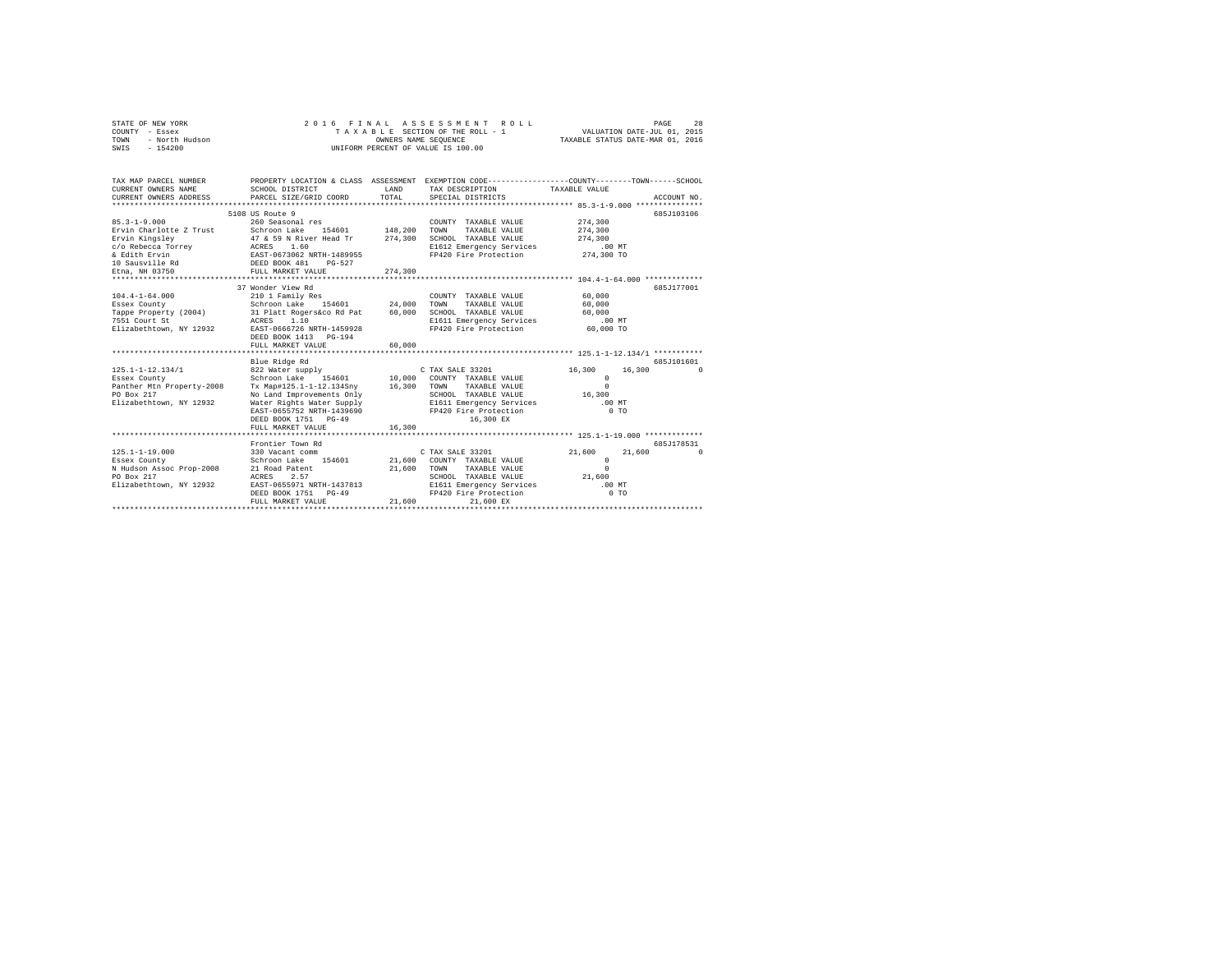|      | STATE OF NEW YORK | 2016 FINAL ASSESSMENT ROLL         | 28<br>PAGE                       |
|------|-------------------|------------------------------------|----------------------------------|
|      | COUNTY - Essex    | TAXABLE SECTION OF THE ROLL - 1    | VALUATION DATE-JUL 01, 2015      |
| TOWN | - North Hudson    | OWNERS NAME SEOUENCE               | TAXABLE STATUS DATE-MAR 01, 2016 |
|      | SWIS - 154200     | UNIFORM PERCENT OF VALUE IS 100.00 |                                  |

| TAX MAP PARCEL NUMBER<br>CURRENT OWNERS NAME<br>CURRENT OWNERS ADDRESS PARCEL SIZE/GRID COORD                | SCHOOL DISTRICT                                                                                                                                                                                                                                                                   | LAND<br>TOTAL    | PROPERTY LOCATION & CLASS ASSESSMENT EXEMPTION CODE---------------COUNTY-------TOWN------SCHOOL<br>TAX DESCRIPTION TAXABLE VALUE<br>SPECIAL DISTRICTS      |                                                                          | ACCOUNT NO.            |
|--------------------------------------------------------------------------------------------------------------|-----------------------------------------------------------------------------------------------------------------------------------------------------------------------------------------------------------------------------------------------------------------------------------|------------------|------------------------------------------------------------------------------------------------------------------------------------------------------------|--------------------------------------------------------------------------|------------------------|
| $85.3 - 1 - 9.000$<br>Ervin Charlotte Z Trust Schroon Lake 154601 148.200                                    | 5108 US Route 9<br>260 Seasonal res                                                                                                                                                                                                                                               |                  | COUNTY TAXABLE VALUE 274,300<br>TOWN TAXABLE VALUE<br>SCHOOL TAXABLE VALUE 274,300<br>E1612 Emergency Services .00 MT<br>FP420 Fire Protection  274,300 TO | 274,300                                                                  | 685J103106             |
| Elizabethtown, NY 12932                                                                                      | 37 Wonder View Rd<br>210 1 Family Res<br>EAST-0666726 NRTH-1459928<br>DEED BOOK 1413 PG-194<br>FULL MARKET VALUE                                                                                                                                                                  | 60.000           | COUNTY TAXABLE VALUE<br>TOWN<br>TAXABLE VALUE<br>SCHOOL TAXABLE VALUE<br>E1611 Emergency Services .00 MT<br>FP420 Fire Protection 60,000 TO                | 60,000<br>60,000<br>60,000                                               | 685J177001             |
| $125.1 - 1 - 12.134/1$<br>Essex County<br>Panther Mtn Property-2008<br>PO Box 217<br>Elizabethtown, NY 12932 | Blue Ridge Rd<br>822 Water supply C TAX SALE 33201<br>Schroon Lake 154601 10,000 COUNTY TAXABLE VALUE<br>Tx Map#125.1-1-12.134Sny 16,300 TOWN<br>No Land Improvements Only<br>Water Rights Water Supply<br>EAST-0655752 NRTH-1439690<br>DEED BOOK 1751 PG-49<br>FULL MARKET VALUE | 16,300           | TAXABLE VALUE<br>SCHOOL TAXABLE VALUE<br>E1611 Emergency Services<br>FP420 Fire Protection<br>16,300 EX                                                    | 16,300<br>16,300<br>$^{\circ}$<br>$\Omega$<br>16,300<br>$.00$ MT<br>0.70 | 685J101601<br>$\Omega$ |
| $125.1 - 1 - 19.000$<br>Essex County<br>N Hudson Assoc Prop-2008<br>PO Box 217<br>Elizabethtown, NY 12932    | Frontier Town Rd<br>330 Vacant comm<br>Schroon Lake 154601 21,600 COUNTY TAXABLE VALUE<br>21 Road Patent<br>2.57<br>ACRES<br>EAST-0655971 NRTH-1437813<br>DEED BOOK 1751 PG-49<br>FULL MARKET VALUE                                                                               | 21,600<br>21,600 | C TAX SALE 33201<br>TOWN<br>TAXABLE VALUE<br>SCHOOL TAXABLE VALUE<br>E1611 Emergency Services .00 MT<br>FP420 Fire Protection  0 TO<br>21,600 EX           | 21,600<br>21,600<br>$\Omega$<br>$\Omega$<br>21,600                       | 685J178531<br>$\Omega$ |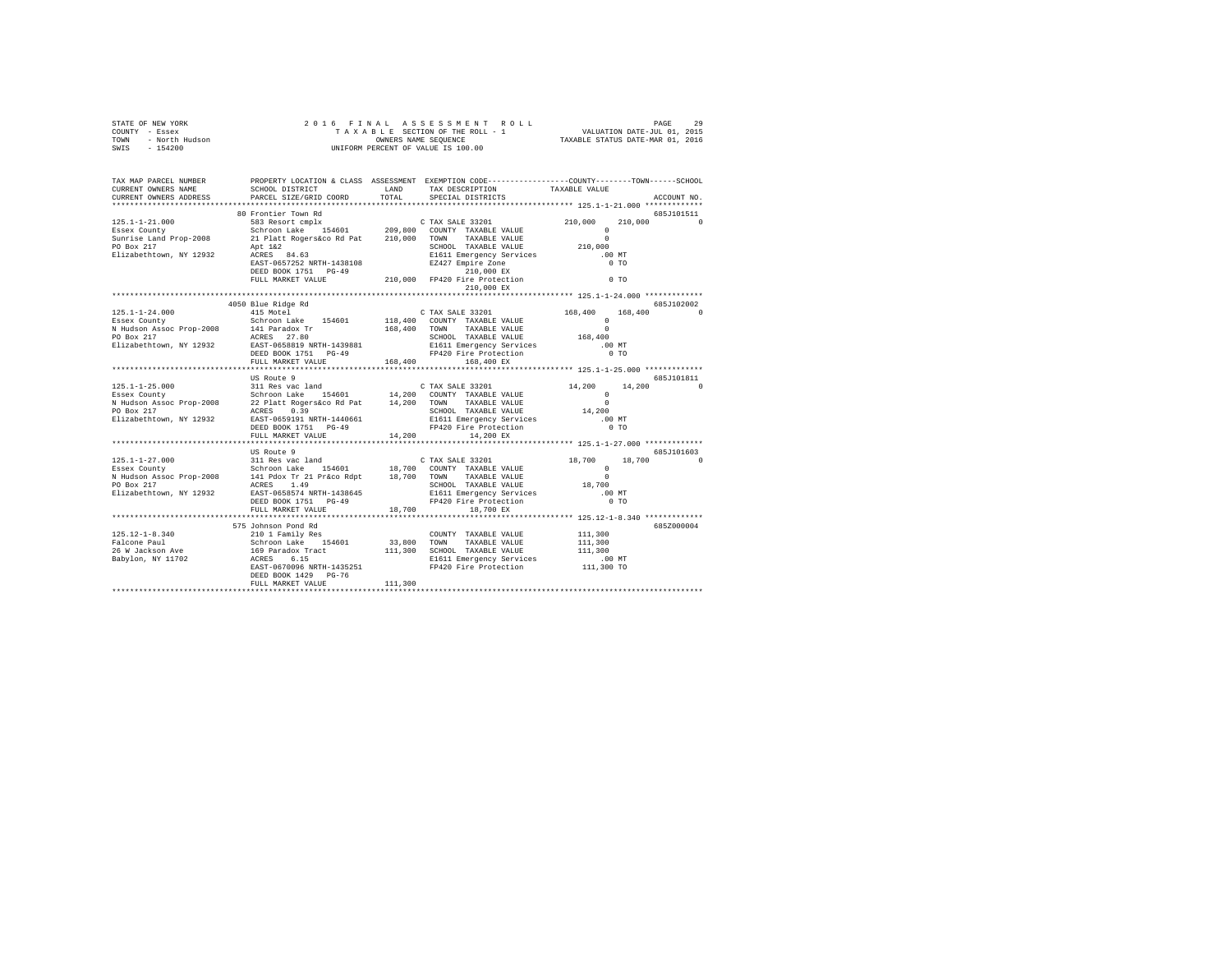| STATE OF NEW YORK                                                                                                                                                                                                                                                                                                                                                                         |                                                                                                                                                                                                                    |       | 2016 FINAL ASSESSMENT ROLL |                          | PAGE       | 29          |
|-------------------------------------------------------------------------------------------------------------------------------------------------------------------------------------------------------------------------------------------------------------------------------------------------------------------------------------------------------------------------------------------|--------------------------------------------------------------------------------------------------------------------------------------------------------------------------------------------------------------------|-------|----------------------------|--------------------------|------------|-------------|
| TAX MAP PARCEL NUMBER<br>CURRENT OWNERS NAME<br>CURRENT OWNERS ADDRESS                                                                                                                                                                                                                                                                                                                    | PROPERTY LOCATION & CLASS ASSESSMENT EXEMPTION CODE----------------COUNTY-------TOWN------SCHOOL<br>SCHOOL DISTRICT $\hfill\textsc{LAND}$ TAX DESCRIPTION $\hfill\textsc{TAXABLE}$ VALUE<br>PARCEL SIZE/GRID COORD | TOTAL | SPECIAL DISTRICTS          |                          |            | ACCOUNT NO. |
|                                                                                                                                                                                                                                                                                                                                                                                           | 80 Frontier Town Rd                                                                                                                                                                                                |       |                            |                          |            | 685J101511  |
|                                                                                                                                                                                                                                                                                                                                                                                           |                                                                                                                                                                                                                    |       |                            |                          |            |             |
|                                                                                                                                                                                                                                                                                                                                                                                           |                                                                                                                                                                                                                    |       |                            |                          |            |             |
|                                                                                                                                                                                                                                                                                                                                                                                           | US Route 9                                                                                                                                                                                                         |       |                            | $14,200$ $14,200$ 0<br>0 | 685J101811 |             |
| *************************                                                                                                                                                                                                                                                                                                                                                                 | US Route 9                                                                                                                                                                                                         |       |                            |                          |            | 685J101603  |
| $\begin{tabular}{l c c c c c} \hline 125.12--1-8.340 & 21011 Fami1y Res & 111.300 \\ \hline \hline \texttt{Palcone Paul} & 21011 Fami1y Res & 154601 & 33,800 TONNTY TAXABLE VALUE & 111.300 \\ \hline \texttt{Edcone Paul} & 159 Farardox Tract & 111.300 TONB & 111.300 \\ \hline \texttt{26 W adckson Ave & 169 Farardox Tract & 111.300 SCHODL TAXABLE VALUE & 111.300 MT \\ \texttt$ | 575 Johnson Pond Rd<br>DEED BOOK 1429 PG-76<br>FULL MARKET VALUE 111,300                                                                                                                                           |       |                            |                          |            | 685Z000004  |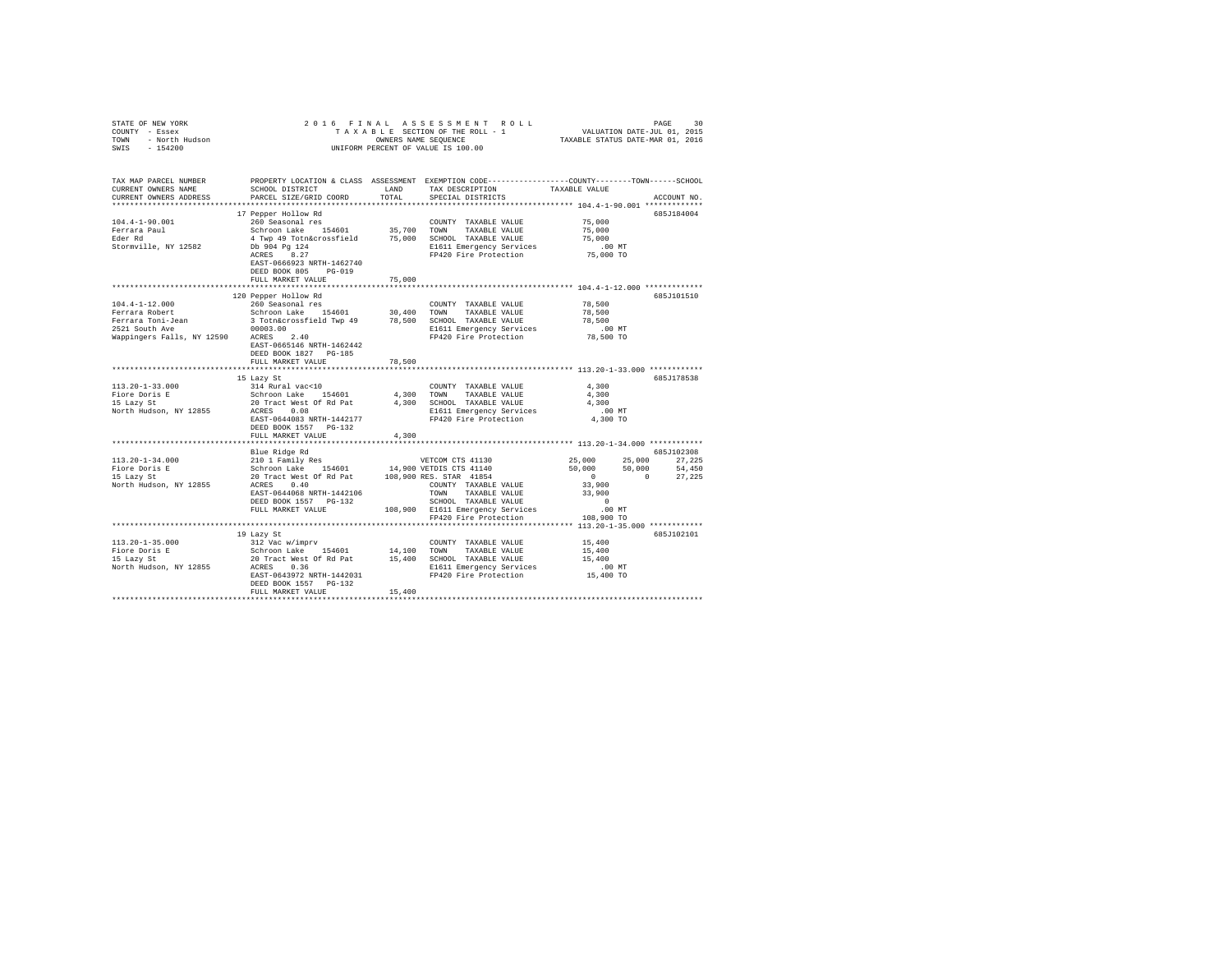| COUNTY - Essex         |                                                                                                                                                                                                                                                                                                                                                                                                                                       |        |                                                                      |                     |             |
|------------------------|---------------------------------------------------------------------------------------------------------------------------------------------------------------------------------------------------------------------------------------------------------------------------------------------------------------------------------------------------------------------------------------------------------------------------------------|--------|----------------------------------------------------------------------|---------------------|-------------|
| TOWN - North Hudson    |                                                                                                                                                                                                                                                                                                                                                                                                                                       |        |                                                                      |                     |             |
| SWIS - 154200          |                                                                                                                                                                                                                                                                                                                                                                                                                                       |        | UNIFORM PERCENT OF VALUE IS 100.00                                   |                     |             |
|                        |                                                                                                                                                                                                                                                                                                                                                                                                                                       |        |                                                                      |                     |             |
|                        |                                                                                                                                                                                                                                                                                                                                                                                                                                       |        |                                                                      |                     |             |
|                        |                                                                                                                                                                                                                                                                                                                                                                                                                                       |        |                                                                      |                     |             |
| TAX MAP PARCEL NUMBER  | PROPERTY LOCATION & CLASS ASSESSMENT EXEMPTION CODE----------------COUNTY--------TOWN-----SCHOOL                                                                                                                                                                                                                                                                                                                                      |        | LAND TAX DESCRIPTION TAXABLE VALUE                                   |                     |             |
| CURRENT OWNERS NAME    | SCHOOL DISTRICT                                                                                                                                                                                                                                                                                                                                                                                                                       |        |                                                                      |                     |             |
| CURRENT OWNERS ADDRESS | PARCEL SIZE/GRID COORD                                                                                                                                                                                                                                                                                                                                                                                                                | TOTAL  | SPECIAL DISTRICTS                                                    |                     | ACCOUNT NO. |
|                        |                                                                                                                                                                                                                                                                                                                                                                                                                                       |        |                                                                      |                     |             |
|                        | 17 Pepper Hollow Rd                                                                                                                                                                                                                                                                                                                                                                                                                   |        |                                                                      |                     | 685J184004  |
|                        |                                                                                                                                                                                                                                                                                                                                                                                                                                       |        |                                                                      |                     |             |
|                        |                                                                                                                                                                                                                                                                                                                                                                                                                                       |        |                                                                      |                     |             |
|                        |                                                                                                                                                                                                                                                                                                                                                                                                                                       |        |                                                                      |                     |             |
|                        |                                                                                                                                                                                                                                                                                                                                                                                                                                       |        |                                                                      |                     |             |
|                        |                                                                                                                                                                                                                                                                                                                                                                                                                                       |        |                                                                      |                     |             |
|                        | EAST-0666923 NRTH-1462740                                                                                                                                                                                                                                                                                                                                                                                                             |        |                                                                      |                     |             |
|                        | DEED BOOK 805 PG-019                                                                                                                                                                                                                                                                                                                                                                                                                  |        |                                                                      |                     |             |
|                        | FULL MARKET VALUE                                                                                                                                                                                                                                                                                                                                                                                                                     | 75,000 |                                                                      |                     |             |
|                        |                                                                                                                                                                                                                                                                                                                                                                                                                                       |        |                                                                      |                     |             |
|                        | 120 Pepper Hollow Rd                                                                                                                                                                                                                                                                                                                                                                                                                  |        |                                                                      |                     | 685J101510  |
| $104.4 - 1 - 12.000$   | 260 Seasonal res                                                                                                                                                                                                                                                                                                                                                                                                                      |        | COUNTY TAXABLE VALUE                                                 | 78,500              |             |
|                        |                                                                                                                                                                                                                                                                                                                                                                                                                                       |        |                                                                      | 78,500              |             |
|                        |                                                                                                                                                                                                                                                                                                                                                                                                                                       |        |                                                                      | 78,500              |             |
|                        |                                                                                                                                                                                                                                                                                                                                                                                                                                       |        |                                                                      |                     |             |
|                        |                                                                                                                                                                                                                                                                                                                                                                                                                                       |        | FP420 Fire Protection                                                | 00 MT.<br>78,500 TO |             |
|                        | EAST-0665146 NRTH-1462442                                                                                                                                                                                                                                                                                                                                                                                                             |        |                                                                      |                     |             |
|                        | DEED BOOK 1827 PG-185                                                                                                                                                                                                                                                                                                                                                                                                                 |        |                                                                      |                     |             |
|                        | FULL MARKET VALUE                                                                                                                                                                                                                                                                                                                                                                                                                     | 78,500 |                                                                      |                     |             |
|                        |                                                                                                                                                                                                                                                                                                                                                                                                                                       |        |                                                                      |                     |             |
|                        | 15 Lazy St                                                                                                                                                                                                                                                                                                                                                                                                                            |        |                                                                      |                     | 685J178538  |
|                        | 113.20-1-33.000<br>$10 = 124$ and $10 = 14$ and $10 = 14$ and $10 = 14$ and $10 = 14$ and $15 = 14$ and $15 = 14$ and $15 = 14$ and $15 = 14$ and $15 = 14$ and $15 = 14$ and $15 = 14$ and $15 = 14$ and $15 = 14$ and $15 = 14$ and $15 = 14$                                                                                                                                                                                       |        | COUNTY TAXABLE VALUE 4,300                                           |                     |             |
|                        |                                                                                                                                                                                                                                                                                                                                                                                                                                       |        |                                                                      | 4,300               |             |
|                        |                                                                                                                                                                                                                                                                                                                                                                                                                                       |        |                                                                      | 4,300               |             |
|                        |                                                                                                                                                                                                                                                                                                                                                                                                                                       |        |                                                                      | $.00$ MT            |             |
|                        | EAST-0644083 NRTH-1442177                                                                                                                                                                                                                                                                                                                                                                                                             |        | FP420 Fire Protection                                                | 4,300 TO            |             |
|                        | DEED BOOK 1557 PG-132                                                                                                                                                                                                                                                                                                                                                                                                                 |        |                                                                      |                     |             |
|                        | FULL MARKET VALUE                                                                                                                                                                                                                                                                                                                                                                                                                     | 4,300  |                                                                      |                     |             |
|                        |                                                                                                                                                                                                                                                                                                                                                                                                                                       |        |                                                                      |                     |             |
|                        | 113.20-1-34.000<br>113.20-1-34.000<br>113.20-1-34.000<br>21011 Family Res<br>Exirce Dock Life and Markov CDI (1990) NESS STAR 41854<br>16 Lazy State 20 Tract West Of Rd Pat<br>108,900 RES. STAR 41854<br>108,900 RES. STAR 41854<br>North Hu                                                                                                                                                                                        |        |                                                                      |                     |             |
|                        |                                                                                                                                                                                                                                                                                                                                                                                                                                       |        |                                                                      |                     |             |
|                        |                                                                                                                                                                                                                                                                                                                                                                                                                                       |        |                                                                      |                     |             |
|                        |                                                                                                                                                                                                                                                                                                                                                                                                                                       |        |                                                                      |                     |             |
|                        |                                                                                                                                                                                                                                                                                                                                                                                                                                       |        |                                                                      |                     |             |
|                        |                                                                                                                                                                                                                                                                                                                                                                                                                                       |        |                                                                      |                     |             |
|                        |                                                                                                                                                                                                                                                                                                                                                                                                                                       |        |                                                                      |                     |             |
|                        |                                                                                                                                                                                                                                                                                                                                                                                                                                       |        |                                                                      |                     |             |
|                        | FULL MARKET VALUE                                                                                                                                                                                                                                                                                                                                                                                                                     |        | 108,900 E1611 Emergency Services<br>FP420 Fire Protection 108,900 TO | $.00$ MT            |             |
|                        |                                                                                                                                                                                                                                                                                                                                                                                                                                       |        |                                                                      |                     |             |
|                        |                                                                                                                                                                                                                                                                                                                                                                                                                                       |        |                                                                      |                     |             |
|                        | 19 Lazy St                                                                                                                                                                                                                                                                                                                                                                                                                            |        |                                                                      |                     | 685J102101  |
|                        |                                                                                                                                                                                                                                                                                                                                                                                                                                       |        |                                                                      |                     |             |
|                        |                                                                                                                                                                                                                                                                                                                                                                                                                                       |        |                                                                      |                     |             |
|                        |                                                                                                                                                                                                                                                                                                                                                                                                                                       |        |                                                                      |                     |             |
|                        |                                                                                                                                                                                                                                                                                                                                                                                                                                       |        |                                                                      |                     |             |
|                        | $\begin{tabular}{lcccc} 113.20-1-35.000 & & 3312 \text{ Vac w/imprv} & & & & \text{COUNT} & \text{TAABLE VALUE} & 15,400 \\ \text{Five Dories E} & & & \text{Schronic make} & 154601 & & 14,100 & \text{TOMN} & \text{TAXABLE VALUE} & 15,400 \\ \text{To Eazy St} & & & \text{20 Tract West Of Rd Pat} & 15,400 & \text{SCHOM} & \text{TAXABLE VALUE} & 15,400 \\ \text{To Eary St} & & & \text{20 Tract West of Rd Pat} & 15,400 &$ |        |                                                                      |                     |             |
|                        | DEED BOOK 1557 PG-132                                                                                                                                                                                                                                                                                                                                                                                                                 |        |                                                                      |                     |             |
|                        | FULL MARKET VALUE                                                                                                                                                                                                                                                                                                                                                                                                                     | 15,400 |                                                                      |                     |             |
|                        |                                                                                                                                                                                                                                                                                                                                                                                                                                       |        |                                                                      |                     |             |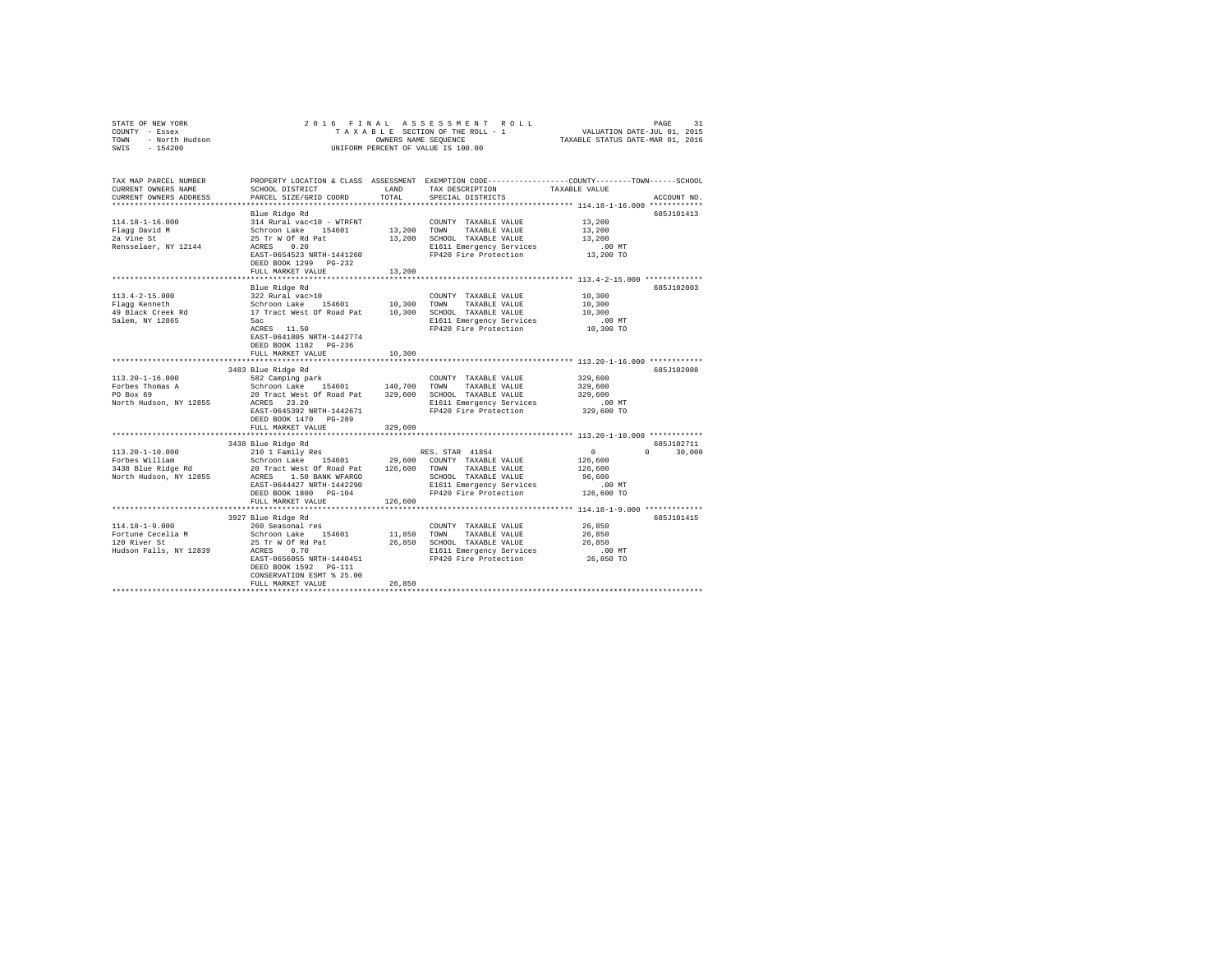| COUNTY - Essex<br>TOWN - North Hudson<br>SWIS - 154200                                                                                                                                                                                                                                                                                                                                                                                                |                                                                                                                                                                                                                                                                     |                       | UNIFORM PERCENT OF VALUE IS 100.00                                            |                                                                          |                             |
|-------------------------------------------------------------------------------------------------------------------------------------------------------------------------------------------------------------------------------------------------------------------------------------------------------------------------------------------------------------------------------------------------------------------------------------------------------|---------------------------------------------------------------------------------------------------------------------------------------------------------------------------------------------------------------------------------------------------------------------|-----------------------|-------------------------------------------------------------------------------|--------------------------------------------------------------------------|-----------------------------|
| TAX MAP PARCEL NUMBER PROPERTY LOCATION & CLASS ASSESSMENT EXEMPTION CODE---------------COUNTY-------TOWN------SCHOOL<br>CURRENT OWNERS NAME<br>CURRENT OWNERS ADDRESS                                                                                                                                                                                                                                                                                | SCHOOL DISTRICT TAND TAX DESCRIPTION<br>PARCEL SIZE/GRID COORD                                                                                                                                                                                                      | TOTAL                 | SPECIAL DISTRICTS                                                             | TAXABLE VALUE<br>************************** 114.18-1-16.000 ************ | ACCOUNT NO.                 |
|                                                                                                                                                                                                                                                                                                                                                                                                                                                       | Blue Ridge Rd<br>FULL MARKET VALUE                                                                                                                                                                                                                                  | 13,200                |                                                                               |                                                                          | 685J101413                  |
|                                                                                                                                                                                                                                                                                                                                                                                                                                                       |                                                                                                                                                                                                                                                                     |                       |                                                                               |                                                                          |                             |
| $\begin{array}{cccccccc} \texttt{113.4-2-15.000} & \texttt{blue range} & \texttt{KQ} & \texttt{C} & \texttt{C} & \texttt{C} & \texttt{C} & \texttt{C} & \texttt{N} & \texttt{N} & \texttt{R} & \texttt{R} & \texttt{S} & \texttt{S} & \texttt{S} & \texttt{S} & \texttt{S} & \texttt{S} & \texttt{S} & \texttt{S} & \texttt{S} & \texttt{S} & \texttt{S} & \texttt{S} & \texttt{S} & \texttt{S} & \texttt{S} & \texttt{S} & \text$<br>Salem, NY 12865 | Blue Ridge Rd<br>5ac<br>5ac<br>ACRES 11.50<br>EAST-0641805 NRTH-1442774<br>DEED BOOK 1182 PG-236<br>FULL MARKET VALUE                                                                                                                                               | 10,300                | E1611 Emergency Services .00 MT<br>FP420 Fire Protection .00 TO 10,300 TO     |                                                                          | 685J102003                  |
|                                                                                                                                                                                                                                                                                                                                                                                                                                                       |                                                                                                                                                                                                                                                                     |                       |                                                                               |                                                                          |                             |
| 113.20-1-16.000<br>Forbes Thomas A<br>PO Box 69<br>North Hudson, NY 12855                                                                                                                                                                                                                                                                                                                                                                             | 3483 Blue Ridge Rd<br>SB2 Camping park<br>SB2 Camping park<br>Schroon Lake 154601 140,700 TOWN TAXABLE VALUE<br>20 Tract Mest Of Road Pat<br>239,600 SCHOOL TAXABLE VALUE<br>ACRES 23.20<br>EAST-0645392 NRTH-1442671<br>DEED BOOK 1470 PG-289<br>FULL MARKET VALUE | 329,600               | TAXABLE VALUE<br>E1611 Emergency Services<br>FP420 Fire Protection 329,600 TO | 329,600<br>329,600<br>329,600                                            | 685J102008                  |
|                                                                                                                                                                                                                                                                                                                                                                                                                                                       | ***************************                                                                                                                                                                                                                                         | ********************* |                                                                               | ******************* 113.20-1-10.000 ************                         |                             |
|                                                                                                                                                                                                                                                                                                                                                                                                                                                       | 3438 Blue Ridge Rd<br>FULL MARKET VALUE                                                                                                                                                                                                                             | 126,600               |                                                                               |                                                                          | 685J102711<br>$0 \t 30,000$ |
|                                                                                                                                                                                                                                                                                                                                                                                                                                                       |                                                                                                                                                                                                                                                                     |                       |                                                                               |                                                                          |                             |
| 114.18-1-9.000<br>Fortune Cecelia M 260 Seasonal res<br>Fortune Cecelia M 260 Seasonal res<br>12.0 River St<br>12.0 River St<br>25 Tr W Of Rd Pat<br>26,850 SCHOOL TAXABLE VALUE<br>Fludson Falls, NY 12839 ACESS 0.7<br>RESS 20.000L TAXABLE                                                                                                                                                                                                         | 3927 Blue Ridge Rd<br>EAST-0656055 NRTH-1440451<br>DEED BOOK 1592    PG-111<br>CONSERVATION ESMT % 25.00<br>FULL MARKET VALUE                                                                                                                                       | 26,850                | E1611 Emergency Services .00 MT<br>FP420 Fire Protection 26,850 TO            | 26,850<br>26,850<br>26,850                                               | 685J101415                  |
|                                                                                                                                                                                                                                                                                                                                                                                                                                                       |                                                                                                                                                                                                                                                                     |                       |                                                                               |                                                                          |                             |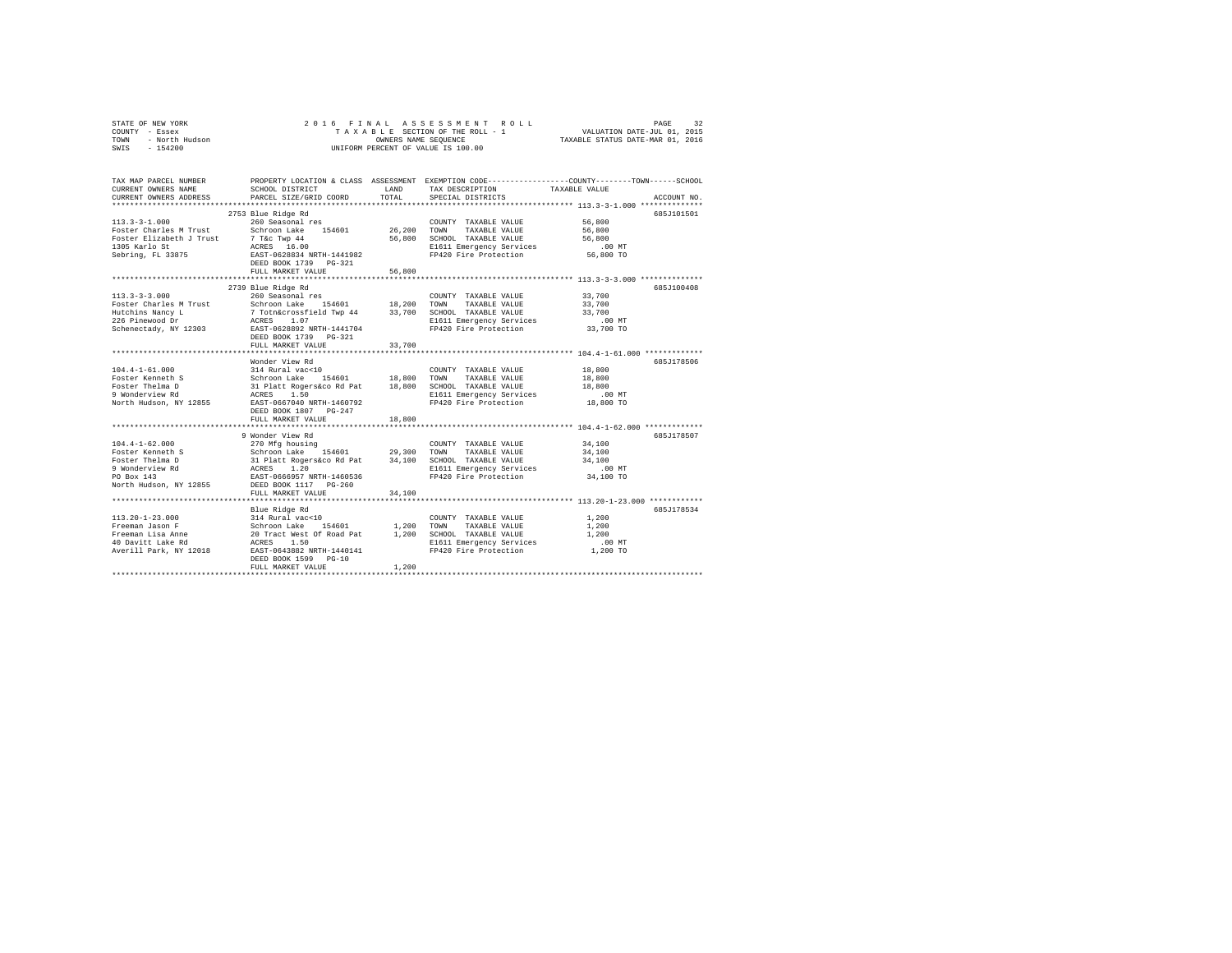| STATE OF NEW YORK      | 2016 FINAL ASSESSMENT ROLL         | 32<br>PAGE                       |
|------------------------|------------------------------------|----------------------------------|
| COUNTY - Essex         | TAXABLE SECTION OF THE ROLL - 1    | VALUATION DATE-JUL 01, 2015      |
| TOWN<br>- North Hudson | OWNERS NAME SEOUENCE               | TAXABLE STATUS DATE-MAR 01, 2016 |
| $-154200$<br>SWIS      | UNIFORM PERCENT OF VALUE IS 100.00 |                                  |

| TAX MAP PARCEL NUMBER<br>CURRENT OWNERS NAME<br>CURRENT OWNERS ADDRESS                                                                    | SCHOOL DISTRICT<br>PARCEL SIZE/GRID COORD<br>**************************                                                                                                                                                                                                                                                                                                                                                                             | LAND<br>TOTAL        | TAX DESCRIPTION<br>SPECIAL DISTRICTS                                                                     | PROPERTY LOCATION & CLASS ASSESSMENT EXEMPTION CODE----------------COUNTY-------TOWN-----SCHOOL<br>TAXABLE VALUE<br>ACCOUNT NO. |
|-------------------------------------------------------------------------------------------------------------------------------------------|-----------------------------------------------------------------------------------------------------------------------------------------------------------------------------------------------------------------------------------------------------------------------------------------------------------------------------------------------------------------------------------------------------------------------------------------------------|----------------------|----------------------------------------------------------------------------------------------------------|---------------------------------------------------------------------------------------------------------------------------------|
| $113.3 - 3 - 1.000$                                                                                                                       | 2753 Blue Ridge Rd<br>260 Seasonal res<br>Foster Charles M Trust Schroon Lake 154601 26,200 TOWN TAXABLE VALUE 56,800<br>Foster Cuaries Wilson Common Common Control (1988)<br>Foster Elizabeth J Trust (1988) 16.00<br>1905 Karlo St (1988) 2008 12391 1241982<br>Sebring, FL 33875 (1988) 1988 1988 1988 1989 1989 1989<br>FULL MARKET VALUE                                                                                                      | 56,800               | COUNTY TAXABLE VALUE<br>56,800 SCHOOL TAXABLE VALUE<br>E1611 Emergency Services<br>FP420 Fire Protection | 685J101501<br>56,800<br>56,800<br>0.<br>$.00$ MT<br>56,800 TO                                                                   |
|                                                                                                                                           | 2739 Blue Ridge Rd<br>113.3-3-3.000 260 Seasonal res<br>DEED BOOK 1739 PG-321<br>FULL MARKET VALUE                                                                                                                                                                                                                                                                                                                                                  | 33,700<br>********** | COUNTY TAXABLE VALUE 33,700<br>E1611 Emergency Services .00 MT<br>FP420 Fire Protection 33,700 TO        | 685J100408<br>33,700<br>33,700<br>************** 104.4-1-61.000 ************                                                    |
|                                                                                                                                           | Wonder View Rd<br>DEED BOOK 1807 PG-247<br>FULL MARKET VALUE                                                                                                                                                                                                                                                                                                                                                                                        | 18,800               | FP420 Fire Protection 18,800 TO                                                                          | 685.T178506<br>$.00$ MT                                                                                                         |
| $104.4 - 1 - 62.000$<br>Foster Kenneth S<br>Foster Thelma D<br>9 Wonderview Rd<br>9 Wonderview Rd<br>PO Box 143<br>North Hudson, NY 12855 | 9 Wonder View Rd<br>$\begin{tabular}{lllllllllllll} & & & & & & & & & & 34,100\\ & & 270\text{ Mg}\ & \text{bolusing} & & 29,300 & \text{TOVM} & \text{TAXABLE VALUE} & & 34,100\\ & & & 290\text{ Mg}\ & \text{S} & \text{124} & 29,300 & \text{TONN} & \text{TAXABLE VALUE} & & 34,100\\ & & 31\text{ PlatL Rogers} & 1.20 & & 34,100 & \text{SCHODC} & \text{TAXABLE VALUE} & & 34,100\\ & & & 34\text{ RART} & 666957 & \$<br>FULL MARKET VALUE | 34,100               | $\begin{minipage}{0.9\linewidth} \textbf{COUNTY} & \textbf{TAXABLE} & \textbf{VALUE} \end{minipage}$     | 685J178507                                                                                                                      |
|                                                                                                                                           | Blue Ridge Rd<br>FULL MARKET VALUE                                                                                                                                                                                                                                                                                                                                                                                                                  | 1,200                | E1611 Emergency Services<br>FP420 Fire Protection                                                        | 685J178534<br>1,200<br>1,200<br>1,200<br>$.00$ MT<br>1,200 TO                                                                   |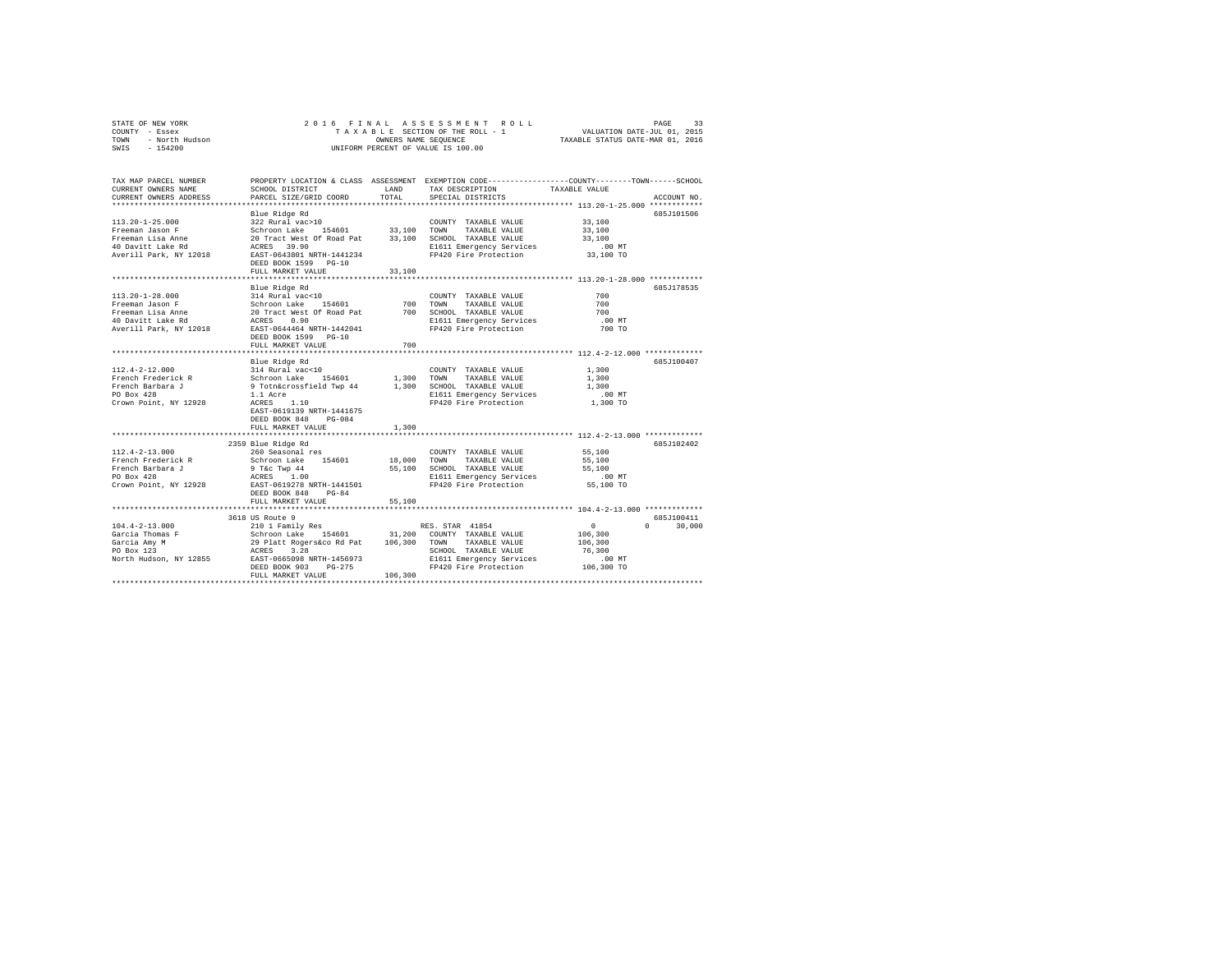|      | STATE OF NEW YORK |  |  | 2016 FINAL ASSESSMENT ROLL         | PAGE                             | 33 |
|------|-------------------|--|--|------------------------------------|----------------------------------|----|
|      | COUNTY - Essex    |  |  | TAXABLE SECTION OF THE ROLL - 1    | VALUATION DATE-JUL 01, 2015      |    |
| TOWN | - North Hudson    |  |  | OWNERS NAME SEOUENCE               | TAXABLE STATUS DATE-MAR 01, 2016 |    |
| SWIS | - 154200          |  |  | UNIFORM PERCENT OF VALUE IS 100.00 |                                  |    |

| TAX MAP PARCEL NUMBER<br>CURRENT OWNERS NAME<br>CURRENT OWNERS ADDRESS | SCHOOL DISTRICT<br>PARCEL SIZE/GRID COORD                                                                                                                                                                                                                                                                                                                                                                                                                                          | LAND<br>TOTAL           | TAX DESCRIPTION<br>SPECIAL DISTRICTS                                       | PROPERTY LOCATION & CLASS ASSESSMENT EXEMPTION CODE----------------COUNTY-------TOWN-----SCHOOL<br>TAXABLE VALUE<br>ACCOUNT NO. |
|------------------------------------------------------------------------|------------------------------------------------------------------------------------------------------------------------------------------------------------------------------------------------------------------------------------------------------------------------------------------------------------------------------------------------------------------------------------------------------------------------------------------------------------------------------------|-------------------------|----------------------------------------------------------------------------|---------------------------------------------------------------------------------------------------------------------------------|
|                                                                        |                                                                                                                                                                                                                                                                                                                                                                                                                                                                                    |                         |                                                                            |                                                                                                                                 |
|                                                                        | Blue Ridge Rd                                                                                                                                                                                                                                                                                                                                                                                                                                                                      |                         |                                                                            | 685J101506                                                                                                                      |
| 113.20-1-25.000                                                        | $322$ Rural vac $>10$                                                                                                                                                                                                                                                                                                                                                                                                                                                              |                         | COUNTY TAXABLE VALUE                                                       | 33,100                                                                                                                          |
| Freeman Jason F                                                        |                                                                                                                                                                                                                                                                                                                                                                                                                                                                                    |                         |                                                                            | 33,100                                                                                                                          |
| Freeman Lisa Anne                                                      |                                                                                                                                                                                                                                                                                                                                                                                                                                                                                    |                         |                                                                            | 33,100                                                                                                                          |
| 40 Davitt Lake Rd                                                      | Schroon Lake 154601 33,100 TOWN TAXABLE VALUE<br>20 Tract West Of Road Pat 33,100 SCHOOL TAXABLE VALUE<br>ACRES 39.90 E1611 Emergency Services<br>EAST-0643801 NRTH-1441234 EP420 Fire Protection                                                                                                                                                                                                                                                                                  |                         | E1611 Emergency Services                                                   | .00 MT                                                                                                                          |
| Averill Park, NY 12018                                                 |                                                                                                                                                                                                                                                                                                                                                                                                                                                                                    |                         | FP420 Fire Protection                                                      | 33,100 TO                                                                                                                       |
|                                                                        | DEED BOOK 1599 PG-10                                                                                                                                                                                                                                                                                                                                                                                                                                                               |                         |                                                                            |                                                                                                                                 |
|                                                                        | FULL MARKET VALUE                                                                                                                                                                                                                                                                                                                                                                                                                                                                  | 33,100                  |                                                                            |                                                                                                                                 |
|                                                                        |                                                                                                                                                                                                                                                                                                                                                                                                                                                                                    |                         |                                                                            |                                                                                                                                 |
|                                                                        | Blue Ridge Rd<br>$\begin{tabular}{lcccc} 113.20-1-28.000 & & & 14 & \text{Rural vac10} & & & 100 \text{ITY} & \text{TAXABLE VALUE} \\ \text{Freeman Jason F} & & & & & & 201 \text{ract Web:} & & & & & 700 & \text{TONNY} & \text{TAXABLE VALUE} \\ \text{Freeman Lids Anne} & & & & & & 20 \text{ Tract West Of Road Pat} & & & 700 & \text{TONNY} & \text{TAXABLE VALUE} \\ \text{Freeman Lids Anne} & & & & & 20 \text{ Tract West} & \text{S4464} & & & & 700 & \text{SCHOL}$ |                         |                                                                            | 685J178535                                                                                                                      |
|                                                                        |                                                                                                                                                                                                                                                                                                                                                                                                                                                                                    |                         |                                                                            | 700                                                                                                                             |
|                                                                        |                                                                                                                                                                                                                                                                                                                                                                                                                                                                                    |                         | TAXABLE VALUE                                                              | 700                                                                                                                             |
|                                                                        |                                                                                                                                                                                                                                                                                                                                                                                                                                                                                    |                         |                                                                            | 700                                                                                                                             |
|                                                                        |                                                                                                                                                                                                                                                                                                                                                                                                                                                                                    |                         | E1611 Emergency Services                                                   | $.00$ MT                                                                                                                        |
|                                                                        |                                                                                                                                                                                                                                                                                                                                                                                                                                                                                    |                         | FP420 Fire Protection                                                      | 700 TO                                                                                                                          |
|                                                                        | DEED BOOK 1599 PG-10                                                                                                                                                                                                                                                                                                                                                                                                                                                               |                         |                                                                            |                                                                                                                                 |
|                                                                        | FULL MARKET VALUE                                                                                                                                                                                                                                                                                                                                                                                                                                                                  | 700                     |                                                                            |                                                                                                                                 |
|                                                                        |                                                                                                                                                                                                                                                                                                                                                                                                                                                                                    |                         |                                                                            |                                                                                                                                 |
|                                                                        | Blue Ridge Rd                                                                                                                                                                                                                                                                                                                                                                                                                                                                      |                         |                                                                            | 685J100407                                                                                                                      |
| 112.4-2-12.000                                                         |                                                                                                                                                                                                                                                                                                                                                                                                                                                                                    |                         |                                                                            | 1,300                                                                                                                           |
| French Frederick R                                                     |                                                                                                                                                                                                                                                                                                                                                                                                                                                                                    |                         |                                                                            | 1,300                                                                                                                           |
| French Barbara J                                                       |                                                                                                                                                                                                                                                                                                                                                                                                                                                                                    |                         |                                                                            | 1,300                                                                                                                           |
| PO Box 428                                                             |                                                                                                                                                                                                                                                                                                                                                                                                                                                                                    |                         | E1611 Emergency Services<br>FP420 Fire Protection                          | .00 MT                                                                                                                          |
| Crown Point, NY 12928                                                  | ACRES<br>1.10                                                                                                                                                                                                                                                                                                                                                                                                                                                                      |                         |                                                                            | 1,300 TO                                                                                                                        |
|                                                                        | EAST-0619139 NRTH-1441675                                                                                                                                                                                                                                                                                                                                                                                                                                                          |                         |                                                                            |                                                                                                                                 |
|                                                                        | DEED BOOK 848<br>$PG-0.84$                                                                                                                                                                                                                                                                                                                                                                                                                                                         |                         |                                                                            |                                                                                                                                 |
|                                                                        | FULL MARKET VALUE                                                                                                                                                                                                                                                                                                                                                                                                                                                                  | 1,300<br>************** |                                                                            |                                                                                                                                 |
|                                                                        |                                                                                                                                                                                                                                                                                                                                                                                                                                                                                    |                         |                                                                            |                                                                                                                                 |
|                                                                        | 2359 Blue Ridge Rd                                                                                                                                                                                                                                                                                                                                                                                                                                                                 |                         |                                                                            | 6857102402                                                                                                                      |
| $112.4 - 2 - 13.000$                                                   |                                                                                                                                                                                                                                                                                                                                                                                                                                                                                    |                         | COUNTY TAXABLE VALUE                                                       | 55,100                                                                                                                          |
| French Frederick R                                                     |                                                                                                                                                                                                                                                                                                                                                                                                                                                                                    |                         | 18,000 TOWN TAXABLE VALUE                                                  | 55,100                                                                                                                          |
| French Barbara J                                                       | 260 Seasonal res<br>Schroon Lake 154601<br>9 T&c Twp 44<br>ACRES 1.00                                                                                                                                                                                                                                                                                                                                                                                                              |                         | 55,100 SCHOOL TAXABLE VALUE                                                | 55,100                                                                                                                          |
| PO Box 428                                                             |                                                                                                                                                                                                                                                                                                                                                                                                                                                                                    |                         | E1611 Emergency Services                                                   | .00 MT                                                                                                                          |
|                                                                        | Crown Point, NY 12928 EAST-0619278 NRTH-1441501                                                                                                                                                                                                                                                                                                                                                                                                                                    |                         | FP420 Fire Protection                                                      | 55,100 TO                                                                                                                       |
|                                                                        | DEED BOOK 848 PG-84                                                                                                                                                                                                                                                                                                                                                                                                                                                                |                         |                                                                            |                                                                                                                                 |
|                                                                        | FULL MARKET VALUE<br>**************************                                                                                                                                                                                                                                                                                                                                                                                                                                    | 55,100                  |                                                                            |                                                                                                                                 |
|                                                                        |                                                                                                                                                                                                                                                                                                                                                                                                                                                                                    |                         |                                                                            |                                                                                                                                 |
|                                                                        | 3618 US Route 9                                                                                                                                                                                                                                                                                                                                                                                                                                                                    |                         |                                                                            | 685J100411<br>$\mathbf{0}$                                                                                                      |
| $104.4 - 2 - 13.000$<br>Garcia Thomas F                                |                                                                                                                                                                                                                                                                                                                                                                                                                                                                                    |                         |                                                                            | $\sim$ 0<br>30,000                                                                                                              |
|                                                                        |                                                                                                                                                                                                                                                                                                                                                                                                                                                                                    |                         |                                                                            | 106,300                                                                                                                         |
| Garcia Amy M<br>PO Box 123                                             | $\begin{tabular}{ccccc} \texttt{3101} & \texttt{Family} & \texttt{Res} & \texttt{RES. STAR} & 41854 \\ \texttt{521} & \texttt{S} & \texttt{S} & \texttt{S} & \texttt{S} & \texttt{S} & \texttt{C} & \texttt{C} & \texttt{C} & \texttt{C} & \texttt{N} & \texttt{TABLE} & \texttt{VALUE} \\ \texttt{S} & \texttt{Short} & \texttt{Log} & 154601 & 31,200 & \texttt{C} & \texttt{T} & \texttt{TXABLE} & \texttt{VALUE} \\ \texttt{29} & \texttt{$                                    |                         | SCHOOL TAXABLE VALUE                                                       | 106,300<br>76,300                                                                                                               |
| North Hudson, NY 12855                                                 |                                                                                                                                                                                                                                                                                                                                                                                                                                                                                    |                         |                                                                            |                                                                                                                                 |
|                                                                        | DEED BOOK 903<br>$PG-275$                                                                                                                                                                                                                                                                                                                                                                                                                                                          |                         | E1611 Emergency Services .00 MT<br>FP420 Fire Protection .00 TO 106,300 TO |                                                                                                                                 |
|                                                                        | FULL MARKET VALUE                                                                                                                                                                                                                                                                                                                                                                                                                                                                  | 106,300                 |                                                                            |                                                                                                                                 |
|                                                                        |                                                                                                                                                                                                                                                                                                                                                                                                                                                                                    |                         |                                                                            |                                                                                                                                 |
|                                                                        |                                                                                                                                                                                                                                                                                                                                                                                                                                                                                    |                         |                                                                            |                                                                                                                                 |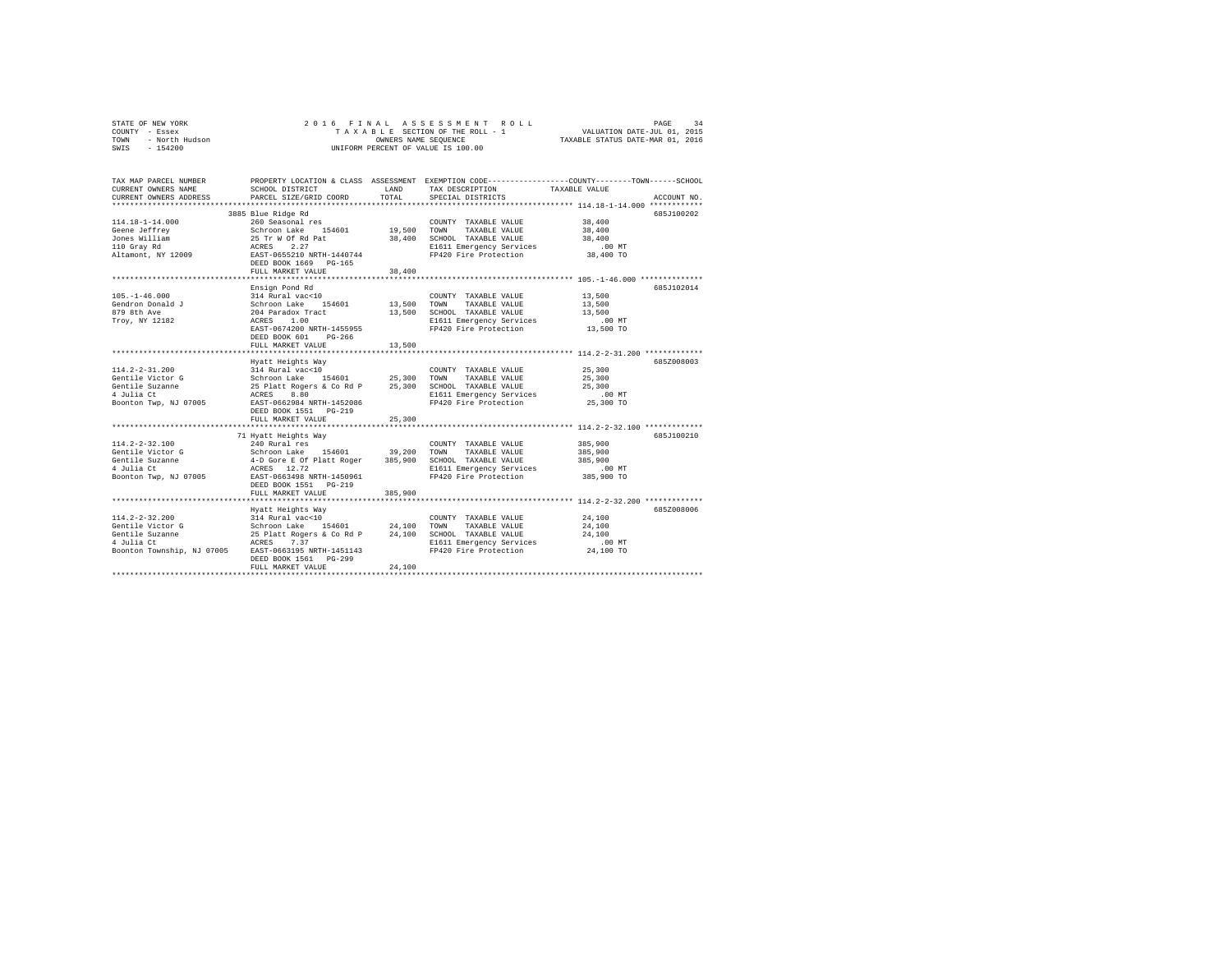|                | STATE OF NEW YORK |  |  |  |  | 2016 FINAL ASSESSMENT ROLL         | PAGE                             | 34 |
|----------------|-------------------|--|--|--|--|------------------------------------|----------------------------------|----|
| COUNTY - Essex |                   |  |  |  |  | TAXABLE SECTION OF THE ROLL - 1    | VALUATION DATE-JUL 01, 2015      |    |
| TOWN           | - North Hudson    |  |  |  |  | OWNERS NAME SEOUENCE               | TAXABLE STATUS DATE-MAR 01, 2016 |    |
| SWIS           | - 154200          |  |  |  |  | UNIFORM PERCENT OF VALUE IS 100.00 |                                  |    |

| TAX MAP PARCEL NUMBER<br>CURRENT OWNERS NAME<br>CURRENT OWNERS ADDRESS                                                                                                                                                                                            | SCHOOL DISTRICT<br>PARCEL SIZE/GRID COORD                                                                                                                                                                                                                                                                                                                                                                                                                                                                                              | LAND<br>TOTAL | TAX DESCRIPTION<br>SPECIAL DISTRICTS                                                                                                | PROPERTY LOCATION & CLASS ASSESSMENT EXEMPTION CODE---------------COUNTY-------TOWN-----SCHOOL<br>TAXABLE VALUE<br>ACCOUNT NO. |
|-------------------------------------------------------------------------------------------------------------------------------------------------------------------------------------------------------------------------------------------------------------------|----------------------------------------------------------------------------------------------------------------------------------------------------------------------------------------------------------------------------------------------------------------------------------------------------------------------------------------------------------------------------------------------------------------------------------------------------------------------------------------------------------------------------------------|---------------|-------------------------------------------------------------------------------------------------------------------------------------|--------------------------------------------------------------------------------------------------------------------------------|
| $114.18 - 1 - 14.000$<br>11-1.1e-1-1.1.000 MM 200 MM 200 MM 200 MM 2010<br>10 Grap Jeffrey Schroon Lake 154601 19,500 TOWN<br>110 Grap Rilliam 25 Tr W 07 Rd part<br>110 Grap Rd 2010 RCRSS 2.27<br>227 Matamont, NY 12009 BSST-0655200 NRTH-1440744<br>DEED BOOK | 3885 Blue Ridge Rd<br>260 Seasonal res<br>FULL MARKET VALUE                                                                                                                                                                                                                                                                                                                                                                                                                                                                            | 38,400        | COUNTY TAXABLE VALUE<br>TAXABLE VALUE<br>38,400 SCHOOL TAXABLE VALUE<br>E1611 Emergency Services<br>FP420 Fire Protection 38,400 TO | 685J100202<br>38,400<br>38,400<br>38,400<br>.00MT                                                                              |
| $105. - 1 - 46.000$                                                                                                                                                                                                                                               | Ensign Pond Rd<br>314 Rural vac<10<br>EAST-0674200 NRTH-1455955<br>$PG-266$<br>DEED BOOK 601<br>FULL MARKET VALUE                                                                                                                                                                                                                                                                                                                                                                                                                      | 13,500        | COUNTY TAXABLE VALUE 13,500<br>E1611 Emergency Services .00 MT<br>FP420 Fire Protection  13,500 TO<br>FP420 Fire Protection         | 685J102014<br>13,500<br>13,500                                                                                                 |
| $114.2 - 2 - 31.200$<br>Gentile Victor G<br>Gentile Suzanne<br>4 Julia Ct<br>Boonton Twp, NJ 07005 EAST-0662984 NRTH-1452086                                                                                                                                      | $\begin{tabular}{lcccc} \multicolumn{4}{c}{\begin{tabular}{lcccc} \multicolumn{4}{c}{\begin{tabular}{lcccc} \multicolumn{4}{c}{\multicolumn{4}{c}{\textbf{0}}\\ \multicolumn{4}{c}{\begin{tabular}{c}{\textbf{0}}\\ \multicolumn{4}{c}{\textbf{0}}\\ \multicolumn{4}{c}{\textbf{0}}\\ \multicolumn{4}{c}{\textbf{0}}\\ \multicolumn{4}{c}{\textbf{0}}\\ \multicolumn{4}{c}{\textbf{0}}\\ \multicolumn{4}{c}{\textbf{0}}\\ \multicolumn{4}{c}{\textbf{0}}\\ \multicolumn{4}{c}{\textbf{0$<br>DEED BOOK 1551 PG-219<br>FULL MARKET VALUE | 25,300        | FP420 Fire Protection 25,300 TO                                                                                                     | 6857008003<br>$.00$ MT                                                                                                         |
| $114.2 - 2 - 32.100$<br>Gentile Victor G<br>Gentile Suzanne<br>4 Julia Ct<br>Boonton Twp, NJ 07005 EAST-0663498 NRTH-1450961                                                                                                                                      | 71 Hyatt Heights Way<br>$\begin{tabular}{lcccc} 240 \text{ Rural res} & \multicolumn{2}{c}{\text{COUNTY}} \text{ TAXABLE VALUE} & 385,900 \\ \text{Schrson and xke} & 154601 & 39,200 \text{ TOX} & \text{TAXABLE VALUE} & 385,900 \\ \text{A-D Gore E of Platt Roger} & 385,900 \text{ SCHOOL TAXABLE VALUE} & 385,900 \\ \text{ACRES} & 12.72 & \multicolumn{2}{c}{\text{EICHOL TAYE}} & 385,900 \\ \end{tabular}$<br>DEED BOOK 1551    PG-219<br>FULL MARKET VALUE                                                                  | 385,900       | FP420 Fire Protection 385,900 TO                                                                                                    | 6857100210<br>385,900                                                                                                          |
| $114.2 - 2 - 32.200$<br>Gentile Victor G<br>Gentile Suzanne<br>4 Julia Ct<br>Boonton Township, NJ 07005 EAST-0663195 NRTH-1451143                                                                                                                                 | Hyatt Heights Way<br>DEED BOOK 1561    PG-299<br>FULL MARKET VALUE                                                                                                                                                                                                                                                                                                                                                                                                                                                                     | 24,100        | FP420 Fire Protection                                                                                                               | 685Z008006<br>24,100 TO                                                                                                        |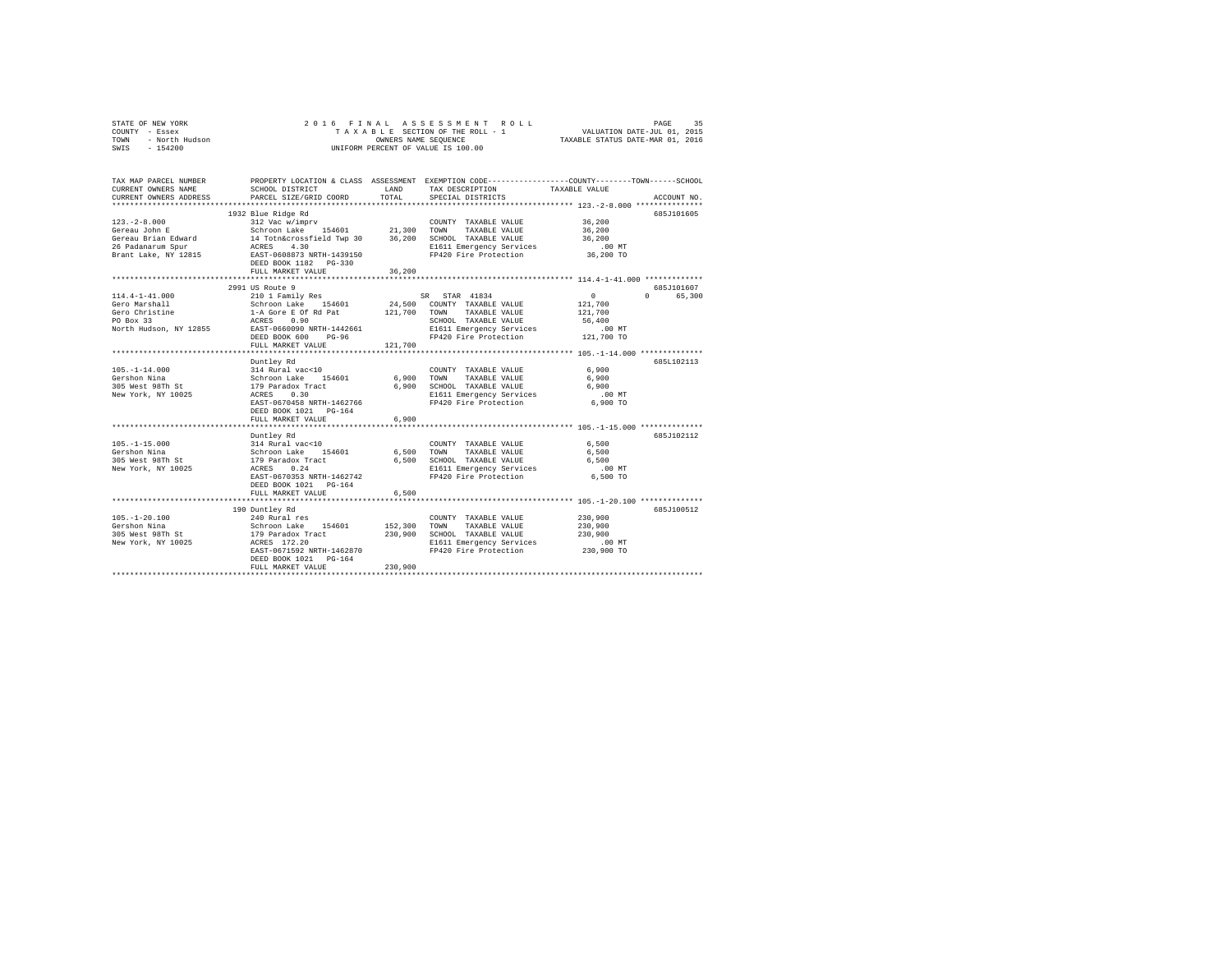|      | STATE OF NEW YORK | 2016 FINAL ASSESSMENT ROLL         | 35<br>PAGE                       |
|------|-------------------|------------------------------------|----------------------------------|
|      | COUNTY - Essex    | TAXABLE SECTION OF THE ROLL - 1    | VALUATION DATE-JUL 01, 2015      |
| TOWN | - North Hudson    | OWNERS NAME SEOUENCE               | TAXABLE STATUS DATE-MAR 01, 2016 |
|      | SWIS - 154200     | UNIFORM PERCENT OF VALUE IS 100.00 |                                  |

| TAX MAP PARCEL NUMBER<br>CURRENT OWNERS NAME<br>CURRENT OWNERS ADDRESS            | SCHOOL DISTRICT<br>PARCEL SIZE/GRID COORD                                                                                                                                                                                                                                                                                       | LAND<br>TOTAL | PROPERTY LOCATION & CLASS ASSESSMENT EXEMPTION CODE----------------COUNTY-------TOWN-----SCHOOL<br>TAX DESCRIPTION<br>SPECIAL DISTRICTS | TAXABLE VALUE | ACCOUNT NO.                                   |
|-----------------------------------------------------------------------------------|---------------------------------------------------------------------------------------------------------------------------------------------------------------------------------------------------------------------------------------------------------------------------------------------------------------------------------|---------------|-----------------------------------------------------------------------------------------------------------------------------------------|---------------|-----------------------------------------------|
|                                                                                   | 1932 Blue Ridge Rd<br>FULL MARKET VALUE<br>********************************                                                                                                                                                                                                                                                     | 36,200        |                                                                                                                                         |               | 685J101605                                    |
| $114.4 - 1 - 41.000$<br>Gero Marshall<br>Gero Christine<br>North Hudson, NY 12855 | 2991 US Route 9<br>20001 2010 1 Pamily Res 2000 2010 1 Pamily Res 3000 210 1 Pamily Res 3000 24,5000 2010 24,5000 24,5000 24,5000 24,5000 24,5000 24,5000 24,5000 24,5000 24,5000 24,5000 24,5000 24,5000 24,5000 24,5000 24,5000 24,5000 24,5000<br>DEED BOOK 600<br>$PG-96$<br>FULL MARKET VALUE<br>************************* | 121,700       | SCHOOL TAXABLE VALUE 56,400<br>E1611 Emergency Services .00 MT<br>FP420 Fire Protection 121,700 TO                                      |               | 685J101607<br>$\Omega$ and $\Omega$<br>65,300 |
|                                                                                   | Duntley Rd<br>105.-1-14.000 105.-1-14.000 105.-1-14.000 314 Rural vac<10 2000<br>Gershon Nina Schroon Lake 154601 6,900 TOWN TAXABLE VALUE 6,900 2016<br>305 West 98Th St 179 Paradox Tract 6,900 SCHOOL TAXABLE VALUE 6,900 2016<br>New York, NY<br>EAST-0670458 NRTH-1462766<br>DEED BOOK 1021    PG-164<br>FULL MARKET VALUE | 6,900         | FP420 Fire Protection 6,900 TO                                                                                                          | $.00$ MT      | 685L102113                                    |
| $105. -1 - 15.000$<br>Gershon Nina<br>305 West 98Th St<br>New York, NY 10025      | Duntley Rd<br>114 Rural vac<10<br>Schroon Lake 154601 6,500 TOWN TAXABLE VALUE 6,500<br>179 Paradox Tract 6,500 TOWN TAXABLE VALUE 6,500<br>179 Paradox Tract 6,500 SCHOOL TAXABLE VALUE 6,500<br>ACRES 0.24 SIG11 Emergency Services .00 MT<br>EAST-0670353 NRTH-1462742<br>DEED BOOK 1021 PG-164<br>FULL MARKET VALUE         | 6,500         | FP420 Fire Protection 6,500 TO                                                                                                          |               | 685J102112                                    |
|                                                                                   | 190 Duntley Rd<br>FULL MARKET VALUE                                                                                                                                                                                                                                                                                             | 230,900       |                                                                                                                                         |               | 685J100512                                    |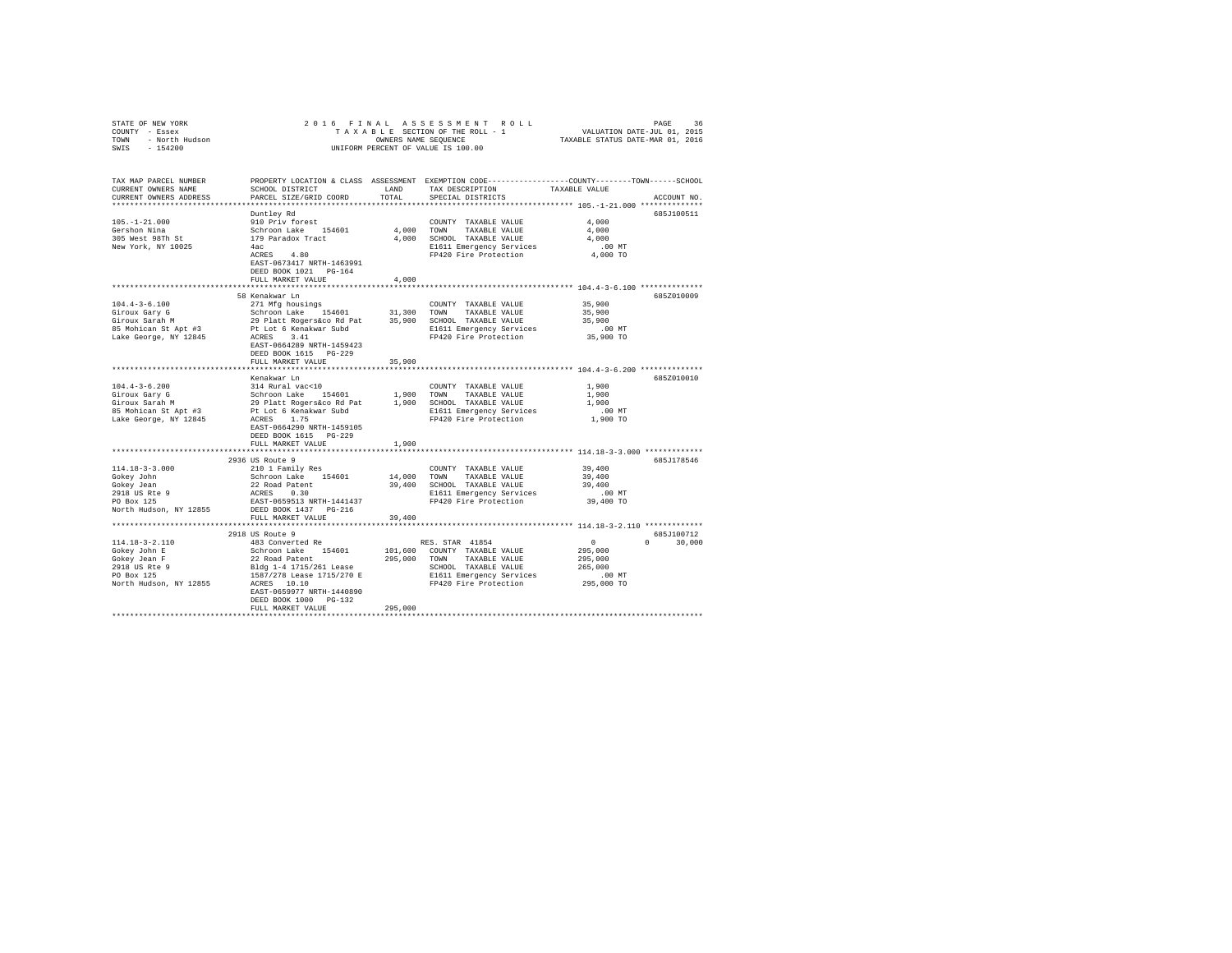| STATE OF NEW YORK<br>COUNTY - Essex<br>TOWN - North Hudson<br>SWIS - 154200 | 2016 FINAL ASSESSMENT ROLL<br>PAGE<br>36<br>TAXABLE SECTION OF THE ROLL - 1<br>WALUATION DATE-JUL 01, 2015<br>ONNERS NAME SEQUENCE - 1<br>ONIFORM PERCENT OF VALUE IS 100.00                                                               |         |                                                   |                                                        |               |
|-----------------------------------------------------------------------------|--------------------------------------------------------------------------------------------------------------------------------------------------------------------------------------------------------------------------------------------|---------|---------------------------------------------------|--------------------------------------------------------|---------------|
| TAX MAP PARCEL NUMBER                                                       | PROPERTY LOCATION & CLASS ASSESSMENT EXEMPTION CODE----------------COUNTY-------TOWN------SCHOOL                                                                                                                                           |         |                                                   |                                                        | ACCOUNT NO.   |
|                                                                             |                                                                                                                                                                                                                                            |         |                                                   |                                                        |               |
|                                                                             | Duntley Rd                                                                                                                                                                                                                                 |         |                                                   |                                                        | 685J100511    |
| $105. - 1 - 21.000$                                                         | sionary (Windows 10 COUNTY TAXABLE VALUE<br>Schroon Lake 154601 4,000 TOWN TAXABLE VALUE<br>179 Paradox Tract 4,000 SCHOOL TAXABLE VALUE                                                                                                   |         | COUNTY TAXABLE VALUE                              | 4,000<br>4,000                                         |               |
| Gershon Nina<br>305 West 98Th St                                            |                                                                                                                                                                                                                                            |         | TAXABLE VALUE                                     |                                                        |               |
|                                                                             | 4ac                                                                                                                                                                                                                                        |         |                                                   | 4,000                                                  |               |
| New York, NY 10025                                                          | 4ac<br>ACRES 4.80                                                                                                                                                                                                                          |         | E1611 Emergency Services<br>FP420 Fire Protection | 00 MT.<br>4,000 TO                                     |               |
|                                                                             | EAST-0673417 NRTH-1463991                                                                                                                                                                                                                  |         |                                                   |                                                        |               |
|                                                                             | DEED BOOK 1021    PG-164                                                                                                                                                                                                                   |         |                                                   |                                                        |               |
|                                                                             | FULL MARKET VALUE                                                                                                                                                                                                                          | 4,000   |                                                   |                                                        |               |
|                                                                             |                                                                                                                                                                                                                                            |         |                                                   |                                                        |               |
|                                                                             | 58 Kenakwar Ln                                                                                                                                                                                                                             |         |                                                   |                                                        | 685Z010009    |
|                                                                             |                                                                                                                                                                                                                                            |         |                                                   |                                                        |               |
|                                                                             |                                                                                                                                                                                                                                            |         |                                                   |                                                        |               |
|                                                                             |                                                                                                                                                                                                                                            |         |                                                   |                                                        |               |
|                                                                             |                                                                                                                                                                                                                                            |         |                                                   |                                                        |               |
|                                                                             |                                                                                                                                                                                                                                            |         |                                                   |                                                        |               |
|                                                                             | EAST-0664289 NRTH-1459423                                                                                                                                                                                                                  |         |                                                   |                                                        |               |
|                                                                             | DEED BOOK 1615 PG-229                                                                                                                                                                                                                      |         |                                                   |                                                        |               |
|                                                                             | FULL MARKET VALUE                                                                                                                                                                                                                          | 35,900  |                                                   |                                                        |               |
|                                                                             |                                                                                                                                                                                                                                            |         |                                                   |                                                        |               |
|                                                                             | Kenakwar Ln                                                                                                                                                                                                                                |         |                                                   |                                                        | 685Z010010    |
| $104.4 - 3 - 6.200$                                                         |                                                                                                                                                                                                                                            |         |                                                   |                                                        |               |
|                                                                             |                                                                                                                                                                                                                                            |         |                                                   |                                                        |               |
| Giroux Gary G<br>Giroux Sarah M<br>85 Mohican St Apt #3                     |                                                                                                                                                                                                                                            |         |                                                   |                                                        |               |
|                                                                             | Renatwar In<br>1,900<br>Schroon Lake 154601 1,900 TOWN TAXABLE VALUE 1,900<br>SCHROON LARE 154601 1,900 TOWN TAXABLE VALUE 1,900<br>29 Platt Rogersáco Rd Pat 1,900 SCHOOL TAXABLE VALUE<br>FP420 Fire Protection 1,900 TO<br>RCRES 1.75 F |         |                                                   |                                                        |               |
| Lake George, NY 12845                                                       |                                                                                                                                                                                                                                            |         |                                                   |                                                        |               |
|                                                                             | EAST-0664290 NRTH-1459105                                                                                                                                                                                                                  |         |                                                   |                                                        |               |
|                                                                             | DEED BOOK 1615 PG-229<br>FULL MARKET VALUE                                                                                                                                                                                                 |         |                                                   |                                                        |               |
|                                                                             |                                                                                                                                                                                                                                            | 1,900   |                                                   |                                                        |               |
|                                                                             | 2936 US Route 9                                                                                                                                                                                                                            |         |                                                   |                                                        | 685J178546    |
| 114.18-3-3.000                                                              |                                                                                                                                                                                                                                            |         |                                                   |                                                        |               |
| Gokey John                                                                  |                                                                                                                                                                                                                                            |         |                                                   |                                                        |               |
| Cookey Jean<br>2918 US Rte 9<br>PO Box 125                                  |                                                                                                                                                                                                                                            |         |                                                   |                                                        |               |
|                                                                             |                                                                                                                                                                                                                                            |         |                                                   |                                                        |               |
|                                                                             |                                                                                                                                                                                                                                            |         |                                                   |                                                        |               |
| North Hudson, NY 12855 DEED BOOK 1437 PG-216                                |                                                                                                                                                                                                                                            |         |                                                   |                                                        |               |
|                                                                             | FULL MARKET VALUE                                                                                                                                                                                                                          | 39,400  |                                                   |                                                        |               |
|                                                                             |                                                                                                                                                                                                                                            |         |                                                   |                                                        |               |
|                                                                             | 2918 US Route 9                                                                                                                                                                                                                            |         |                                                   |                                                        | 685J100712    |
|                                                                             |                                                                                                                                                                                                                                            |         |                                                   | $\begin{array}{c} 0 \\ 295,000 \\ 295,000 \end{array}$ | $0 \t 30,000$ |
|                                                                             |                                                                                                                                                                                                                                            |         |                                                   |                                                        |               |
|                                                                             |                                                                                                                                                                                                                                            |         |                                                   |                                                        |               |
|                                                                             |                                                                                                                                                                                                                                            |         |                                                   |                                                        |               |
|                                                                             |                                                                                                                                                                                                                                            |         |                                                   |                                                        |               |
|                                                                             |                                                                                                                                                                                                                                            |         |                                                   |                                                        |               |
|                                                                             | EAST-0659977 NRTH-1440890                                                                                                                                                                                                                  |         |                                                   |                                                        |               |
|                                                                             | DEED BOOK 1000 PG-132                                                                                                                                                                                                                      |         |                                                   |                                                        |               |
|                                                                             | FULL MARKET VALUE                                                                                                                                                                                                                          | 295,000 |                                                   |                                                        |               |
|                                                                             |                                                                                                                                                                                                                                            |         |                                                   |                                                        |               |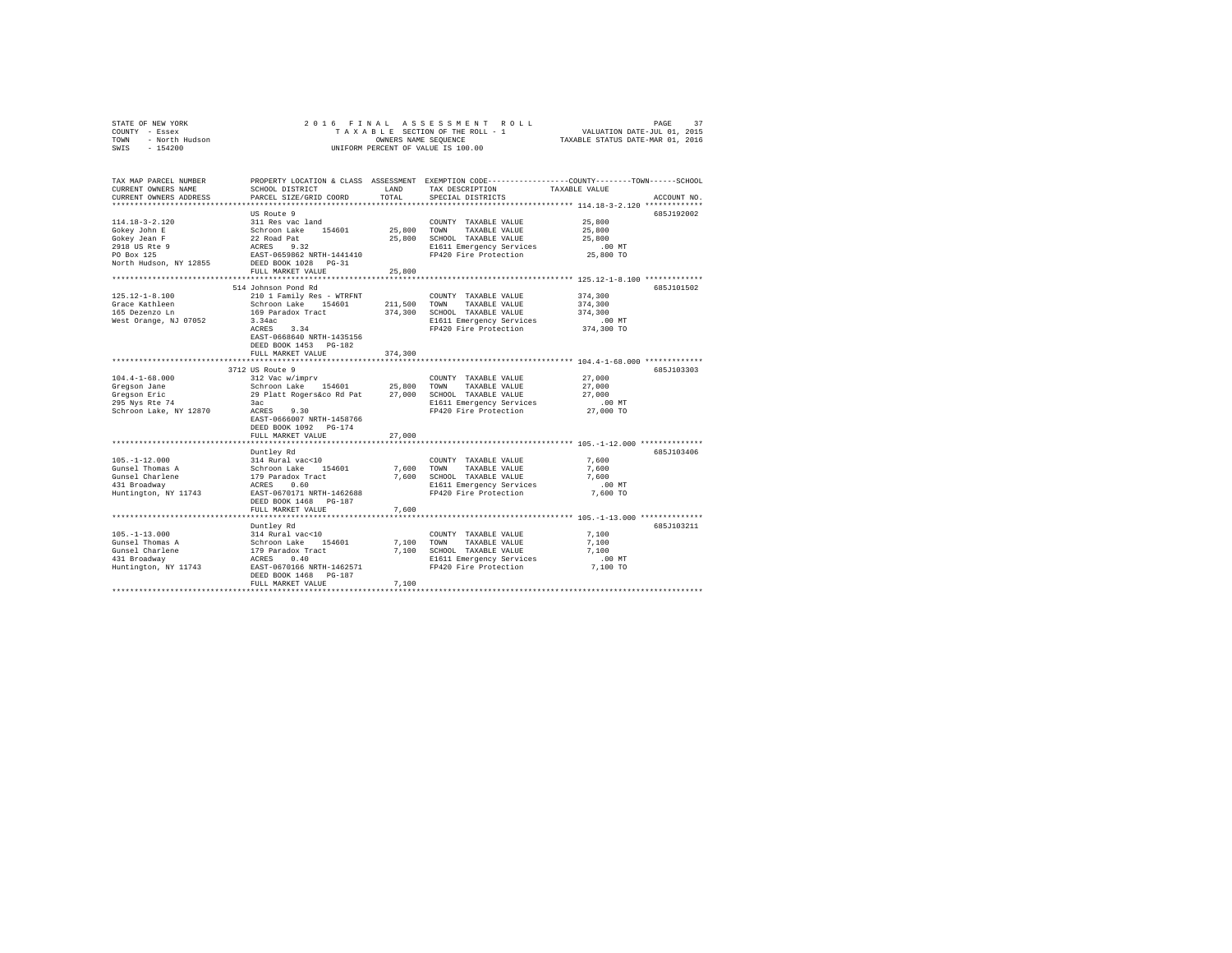|                | STATE OF NEW YORK |  |  |  |  | 2016 FINAL ASSESSMENT ROLL         |                                  | PAGE |  |
|----------------|-------------------|--|--|--|--|------------------------------------|----------------------------------|------|--|
| COUNTY - Essex |                   |  |  |  |  | TAXABLE SECTION OF THE ROLL - 1    | VALUATION DATE-JUL 01, 2015      |      |  |
| TOWN           | - North Hudson    |  |  |  |  | OWNERS NAME SEOUENCE               | TAXABLE STATUS DATE-MAR 01, 2016 |      |  |
| SWIS           | - 154200          |  |  |  |  | UNIFORM PERCENT OF VALUE IS 100.00 |                                  |      |  |

| TAX MAP PARCEL NUMBER<br>CURRENT OWNERS NAME<br>CURRENT OWNERS ADDRESS | SCHOOL DISTRICT<br>PARCEL SIZE/GRID COORD          | LAND<br>TOTAL | TAX DESCRIPTION<br>SPECIAL DISTRICTS              | PROPERTY LOCATION & CLASS ASSESSMENT EXEMPTION CODE---------------COUNTY-------TOWN-----SCHOOL<br>TAXABLE VALUE<br>ACCOUNT NO. |
|------------------------------------------------------------------------|----------------------------------------------------|---------------|---------------------------------------------------|--------------------------------------------------------------------------------------------------------------------------------|
| ************************                                               |                                                    |               |                                                   |                                                                                                                                |
|                                                                        | US Route 9                                         |               |                                                   | 685J192002                                                                                                                     |
| $114.18 - 3 - 2.120$                                                   | 311 Res vac land                                   |               | COUNTY TAXABLE VALUE                              | 25,800                                                                                                                         |
| Gokey John E                                                           | Schroon Lake 154601                                | 25,800 TOWN   | TAXABLE VALUE                                     | 25,800                                                                                                                         |
| Gokey Jean F                                                           | 22 Road Pat                                        | 25,800        | SCHOOL TAXABLE VALUE                              | 25,800                                                                                                                         |
| 2918 US Rte 9                                                          | 9.32<br>ACRES                                      |               | E1611 Emergency Services                          | .00MT                                                                                                                          |
| PO Box 125                                                             | EAST-0659862 NRTH-1441410                          |               | FP420 Fire Protection                             | 25,800 TO                                                                                                                      |
| North Hudson, NY 12855                                                 | DEED BOOK 1028 PG-31                               |               |                                                   |                                                                                                                                |
|                                                                        | FULL MARKET VALUE                                  | 25,800        |                                                   |                                                                                                                                |
|                                                                        |                                                    |               |                                                   |                                                                                                                                |
|                                                                        | 514 Johnson Pond Rd                                |               |                                                   | 685J101502                                                                                                                     |
| $125.12 - 1 - 8.100$                                                   | 210 1 Family Res - WTRFNT                          |               | COUNTY TAXABLE VALUE                              | 374,300                                                                                                                        |
| Grace Kathleen                                                         | Schroon Lake 154601                                | 211,500       | TOWN<br>TAXABLE VALUE                             | 374,300                                                                                                                        |
| 165 Dezenzo Ln                                                         | 169 Paradox Tract                                  | 374,300       | SCHOOL TAXABLE VALUE                              | 374,300                                                                                                                        |
| West Orange, NJ 07052                                                  | 3.34ac                                             |               | E1611 Emergency Services                          | $.00$ MT                                                                                                                       |
|                                                                        | 3.34<br>ACRES                                      |               | FP420 Fire Protection                             | 374,300 TO                                                                                                                     |
|                                                                        | EAST-0668640 NRTH-1435156                          |               |                                                   |                                                                                                                                |
|                                                                        | DEED BOOK 1453 PG-182                              |               |                                                   |                                                                                                                                |
|                                                                        | FULL MARKET VALUE                                  | 374,300       |                                                   |                                                                                                                                |
|                                                                        | ***********************                            | *******       |                                                   | *********************** 104.4-1-68.000 *************                                                                           |
|                                                                        | 3712 US Route 9                                    |               |                                                   | 685J103303                                                                                                                     |
| $104.4 - 1 - 68.000$                                                   | 312 Vac w/imprv                                    |               | COUNTY TAXABLE VALUE                              | 27,000                                                                                                                         |
| Gregson Jane                                                           | Schroon Lake 154601                                | 25,800        | TOWN<br>TAXABLE VALUE                             | 27,000                                                                                                                         |
| Gregson Eric                                                           | 29 Platt Rogers&co Rd Pat                          | 27,000        | SCHOOL TAXABLE VALUE                              | 27,000                                                                                                                         |
| 295 Nys Rte 74                                                         | 3ac<br>ACRES<br>9.30                               |               | E1611 Emergency Services<br>FP420 Fire Protection | .00 MT                                                                                                                         |
| Schroon Lake, NY 12870                                                 |                                                    |               |                                                   | 27,000 TO                                                                                                                      |
|                                                                        | EAST-0666007 NRTH-1458766<br>DEED BOOK 1092 PG-174 |               |                                                   |                                                                                                                                |
|                                                                        | FULL MARKET VALUE                                  | 27,000        |                                                   |                                                                                                                                |
|                                                                        |                                                    |               |                                                   |                                                                                                                                |
|                                                                        | Duntley Rd                                         |               |                                                   | 685J103406                                                                                                                     |
| $105. - 1 - 12.000$                                                    | 314 Rural vac<10                                   |               | COUNTY TAXABLE VALUE                              | 7.600                                                                                                                          |
| Gunsel Thomas A                                                        | Schroon Lake<br>154601                             | 7.600         | TOWN<br>TAXABLE VALUE                             | 7.600                                                                                                                          |
| Gunsel Charlene                                                        | 179 Paradox Tract                                  | 7,600         | SCHOOL TAXABLE VALUE                              | 7.600                                                                                                                          |
| 431 Broadway                                                           | ACRES<br>0.60                                      |               | E1611 Emergency Services                          | .00 MT                                                                                                                         |
| Huntington, NY 11743                                                   | EAST-0670171 NRTH-1462688                          |               | FP420 Fire Protection                             | 7,600 TO                                                                                                                       |
|                                                                        | DEED BOOK 1468 PG-187                              |               |                                                   |                                                                                                                                |
|                                                                        | FULL MARKET VALUE                                  | 7.600         |                                                   |                                                                                                                                |
|                                                                        |                                                    |               |                                                   |                                                                                                                                |
|                                                                        | Duntley Rd                                         |               |                                                   | 685J103211                                                                                                                     |
| $105. - 1 - 13.000$                                                    | 314 Rural vac<10                                   |               | COUNTY TAXABLE VALUE                              | 7,100                                                                                                                          |
| Gunsel Thomas A                                                        | Schroon Lake<br>154601                             | 7.100         | TOWN<br>TAXABLE VALUE                             | 7.100                                                                                                                          |
| Gunsel Charlene                                                        | 179 Paradox Tract                                  | 7,100         | SCHOOL TAXABLE VALUE                              | 7,100                                                                                                                          |
| 431 Broadway                                                           | 0.40<br>ACRES                                      |               | E1611 Emergency Services                          | $.00$ MT                                                                                                                       |
| Huntington, NY 11743                                                   | EAST-0670166 NRTH-1462571                          |               | FP420 Fire Protection                             | 7,100 TO                                                                                                                       |
|                                                                        | DEED BOOK 1468<br>PG-187                           |               |                                                   |                                                                                                                                |
|                                                                        | FULL MARKET VALUE                                  | 7.100         |                                                   |                                                                                                                                |
|                                                                        |                                                    |               |                                                   |                                                                                                                                |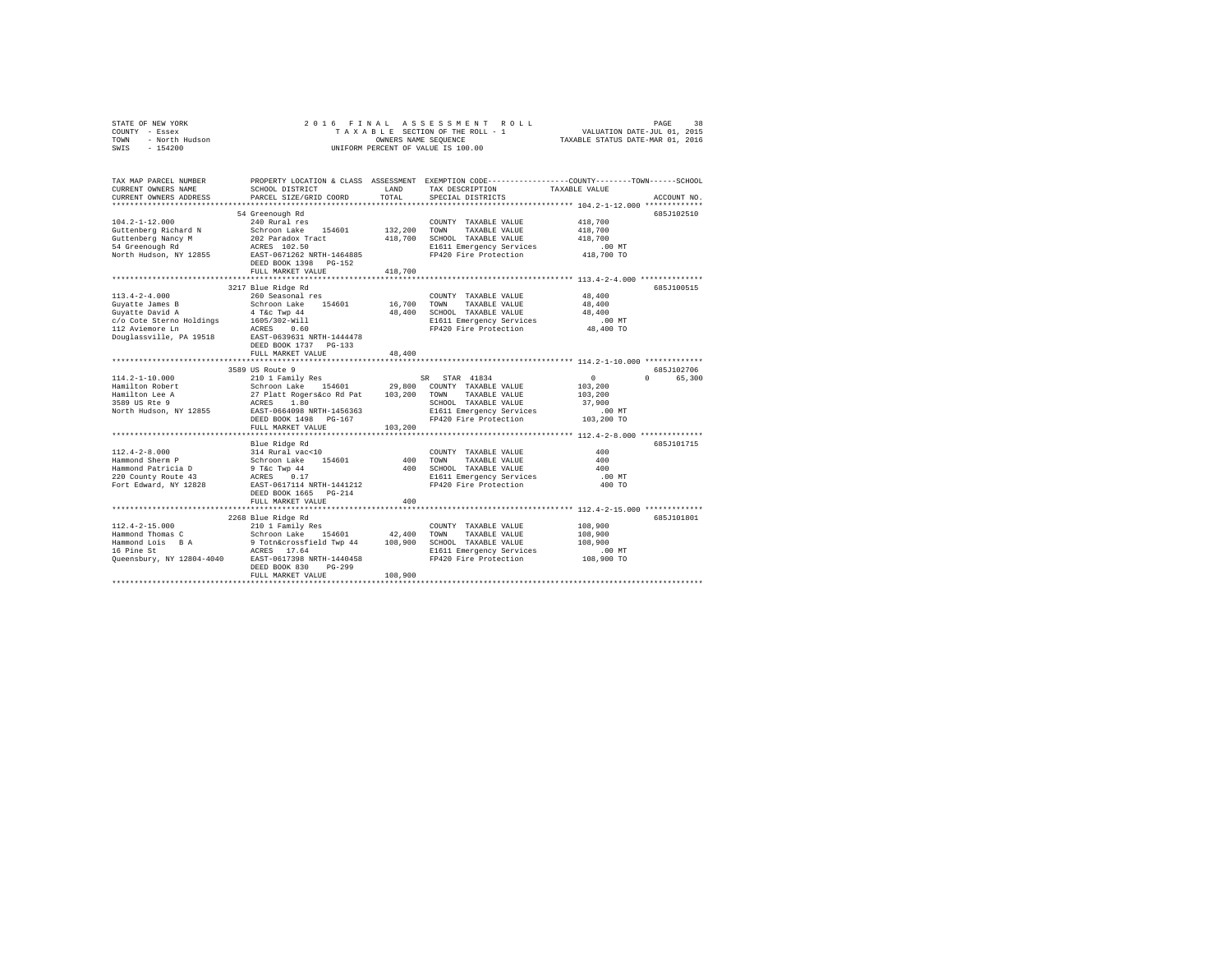|      | STATE OF NEW YORK | 2016 FINAL ASSESSMENT ROLL         | 38<br>PAGE                       |
|------|-------------------|------------------------------------|----------------------------------|
|      | COUNTY - Essex    | TAXABLE SECTION OF THE ROLL - 1    | VALUATION DATE-JUL 01, 2015      |
| TOWN | - North Hudson    | OWNERS NAME SEOUENCE               | TAXABLE STATUS DATE-MAR 01, 2016 |
|      | SWIS - 154200     | UNIFORM PERCENT OF VALUE IS 100.00 |                                  |

| TAX MAP PARCEL NUMBER<br>CURRENT OWNERS NAME<br>CURRENT OWNERS ADDRESS                              | SCHOOL DISTRICT<br>PARCEL SIZE/GRID COORD                                                                                                                                                    | LAND<br>TOTAL | TAX DESCRIPTION<br>SPECIAL DISTRICTS | PROPERTY LOCATION & CLASS ASSESSMENT EXEMPTION CODE---------------COUNTY-------TOWN-----SCHOOL<br>TAXABLE VALUE<br>ACCOUNT NO. |
|-----------------------------------------------------------------------------------------------------|----------------------------------------------------------------------------------------------------------------------------------------------------------------------------------------------|---------------|--------------------------------------|--------------------------------------------------------------------------------------------------------------------------------|
|                                                                                                     |                                                                                                                                                                                              |               |                                      |                                                                                                                                |
|                                                                                                     | 54 Greenough Rd                                                                                                                                                                              |               |                                      | 685J102510                                                                                                                     |
| $104.2 - 1 - 12.000$                                                                                | 240 Rural res                                                                                                                                                                                |               | COUNTY TAXABLE VALUE                 | 418,700                                                                                                                        |
| Guttenberg Richard N                                                                                | Schroon Lake 154601                                                                                                                                                                          | 132,200 TOWN  | TAXABLE VALUE                        | 418,700                                                                                                                        |
| Guttenberg Nancy M                                                                                  | 202 Paradox Tract                                                                                                                                                                            | 418,700       | SCHOOL TAXABLE VALUE                 | 418,700                                                                                                                        |
| 54 Greenough Rd                                                                                     | ACRES 102.50                                                                                                                                                                                 |               | E1611 Emergency Services             | $.00$ MT                                                                                                                       |
| North Hudson, NY 12855                                                                              | EAST-0671262 NRTH-1464885                                                                                                                                                                    |               | FP420 Fire Protection                | 418,700 TO                                                                                                                     |
|                                                                                                     | DEED BOOK 1398 PG-152                                                                                                                                                                        |               |                                      |                                                                                                                                |
|                                                                                                     | FULL MARKET VALUE                                                                                                                                                                            | 418,700       |                                      |                                                                                                                                |
|                                                                                                     |                                                                                                                                                                                              |               |                                      |                                                                                                                                |
|                                                                                                     | 3217 Blue Ridge Rd                                                                                                                                                                           |               |                                      | 685J100515                                                                                                                     |
| $113.4 - 2 - 4.000$                                                                                 | 260 Seasonal res                                                                                                                                                                             |               | COUNTY TAXABLE VALUE                 | 48,400                                                                                                                         |
| Guyatte James B                                                                                     | Schroon Lake 154601                                                                                                                                                                          | 16,700 TOWN   | TAXABLE VALUE                        | 48,400                                                                                                                         |
| Guyatte David A                       4 T&c Twp 44<br>c/o Cote Sterno Holdings        1605/302-Will |                                                                                                                                                                                              | 48,400        | SCHOOL TAXABLE VALUE                 | 48,400                                                                                                                         |
|                                                                                                     |                                                                                                                                                                                              |               | E1611 Emergency Services             | .00MT                                                                                                                          |
| 112 Aviemore Ln                                                                                     | 0.60<br>ACRES<br>EAST-0639631 NRTH-1444478                                                                                                                                                   |               | FP420 Fire Protection                | 48,400 TO                                                                                                                      |
| Douglassville, PA 19518                                                                             |                                                                                                                                                                                              |               |                                      |                                                                                                                                |
|                                                                                                     | DEED BOOK 1737 PG-133                                                                                                                                                                        | 48,400        |                                      |                                                                                                                                |
|                                                                                                     | FULL MARKET VALUE                                                                                                                                                                            |               |                                      |                                                                                                                                |
|                                                                                                     | 3589 US Route 9                                                                                                                                                                              |               |                                      | 685J102706                                                                                                                     |
| $114.2 - 1 - 10.000$                                                                                | 210 1 Family Res                                                                                                                                                                             |               | SR STAR 41834                        | $\circ$<br>$0 \qquad \qquad$<br>65,300                                                                                         |
| Hamilton Robert                                                                                     |                                                                                                                                                                                              |               |                                      | 103,200                                                                                                                        |
| Hamilton Lee A                                                                                      |                                                                                                                                                                                              |               |                                      | 103,200                                                                                                                        |
| 3589 US Rte 9                                                                                       |                                                                                                                                                                                              |               | SCHOOL TAXABLE VALUE                 | 37,900                                                                                                                         |
| North Hudson, NY 12855                                                                              | Schroon Lake 154601 29,800 COUNTY TAXABLE VALUE<br>27 Platt Rogers 60 Pat 103,200 TOWN TAXABLE VALUE<br>RCRS 1.80 SCHOOL TAXABLE VALUE<br>REST-0664098 NRTH-1456363 SI611 Emergency Services |               | E1611 Emergency Services             | $.00$ MT                                                                                                                       |
|                                                                                                     | DEED BOOK 1498<br>PG-167                                                                                                                                                                     |               | FP420 Fire Protection                | 103,200 TO                                                                                                                     |
|                                                                                                     | FULL MARKET VALUE                                                                                                                                                                            | 103,200       |                                      |                                                                                                                                |
|                                                                                                     |                                                                                                                                                                                              |               |                                      |                                                                                                                                |
|                                                                                                     | Blue Ridge Rd                                                                                                                                                                                |               |                                      | 685J101715                                                                                                                     |
| $112.4 - 2 - 8.000$                                                                                 | 314 Rural vac<10<br>Schroon Lake 154601                                                                                                                                                      |               | COUNTY TAXABLE VALUE                 | 400                                                                                                                            |
| Hammond Sherm P                                                                                     |                                                                                                                                                                                              |               | 400 TOWN<br>TAXABLE VALUE            | 400                                                                                                                            |
| Hammond Patricia D                                                                                  | 9 T&C Twp 44<br>ACRES 0.17                                                                                                                                                                   | 400           | SCHOOL TAXABLE VALUE                 | 400                                                                                                                            |
| 220 County Route 43                                                                                 |                                                                                                                                                                                              |               | E1611 Emergency Services             | $.00$ MT                                                                                                                       |
| Fort Edward, NY 12828                                                                               | EAST-0617114 NRTH-1441212                                                                                                                                                                    |               | FP420 Fire Protection                | 400 TO                                                                                                                         |
|                                                                                                     | DEED BOOK 1665 PG-214<br>FULL MARKET VALUE                                                                                                                                                   | 400           |                                      |                                                                                                                                |
|                                                                                                     |                                                                                                                                                                                              |               |                                      |                                                                                                                                |
|                                                                                                     | 2268 Blue Ridge Rd                                                                                                                                                                           |               |                                      | 685J101801                                                                                                                     |
| $112.4 - 2 - 15.000$                                                                                | 210 1 Family Res                                                                                                                                                                             |               | COUNTY TAXABLE VALUE                 | 108,900                                                                                                                        |
|                                                                                                     |                                                                                                                                                                                              | 42,400        | TOWN<br>TAXABLE VALUE                | 108,900                                                                                                                        |
|                                                                                                     |                                                                                                                                                                                              | 108,900       | SCHOOL TAXABLE VALUE                 | 108,900                                                                                                                        |
|                                                                                                     |                                                                                                                                                                                              |               | E1611 Emergency Services             | .00 MT                                                                                                                         |
|                                                                                                     | Hammond Thomas C<br>Hammond Lois B A 9 Toth&crossfield Twp 44<br>16 Pine St<br>2016 Pine St<br>2019 REES 1998 NRTH-1440458                                                                   |               | FP420 Fire Protection                | 108,900 TO                                                                                                                     |
|                                                                                                     | DEED BOOK 830<br>$PG-299$                                                                                                                                                                    |               |                                      |                                                                                                                                |
|                                                                                                     | FULL MARKET VALUE                                                                                                                                                                            | 108,900       |                                      |                                                                                                                                |
|                                                                                                     |                                                                                                                                                                                              |               |                                      |                                                                                                                                |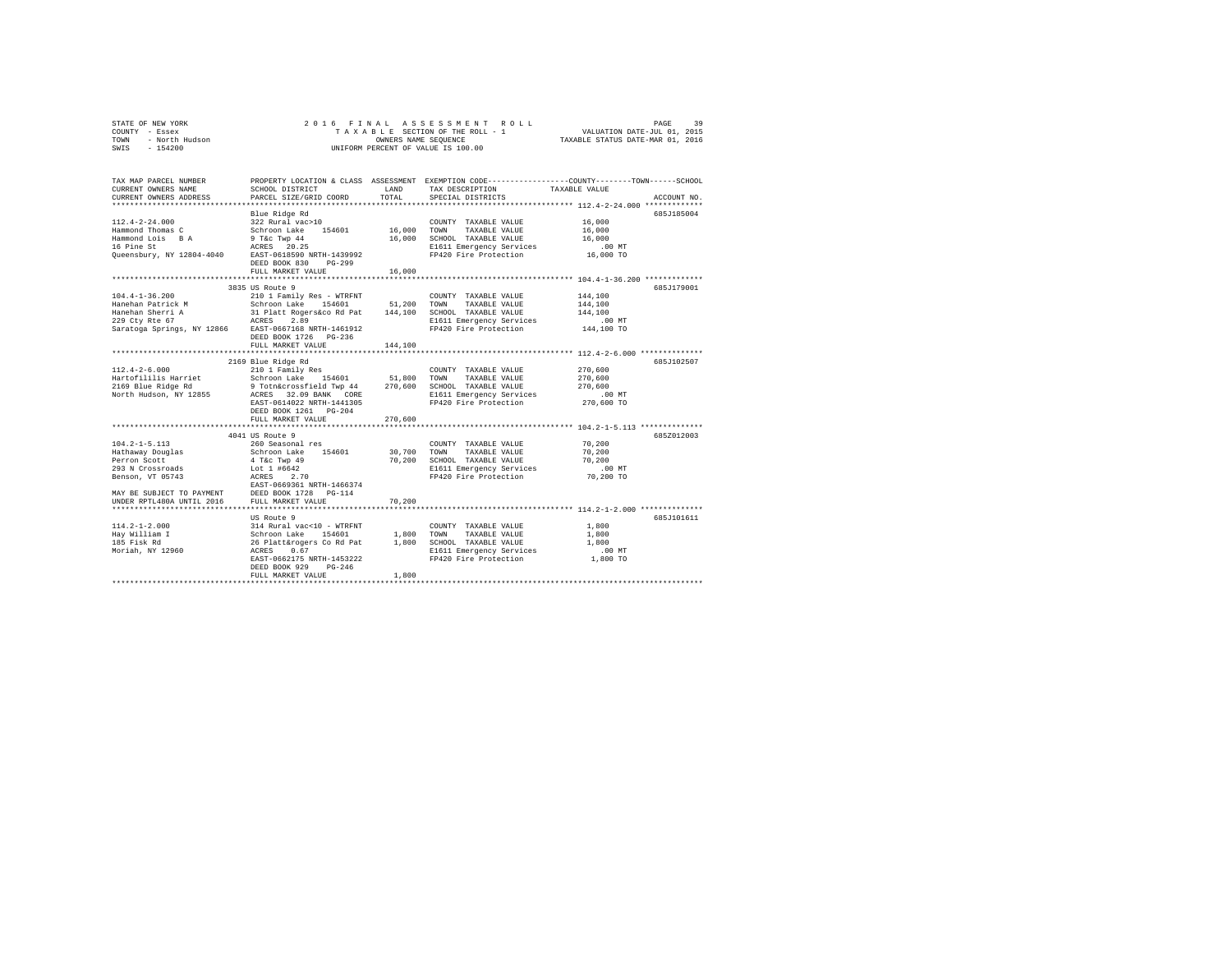|                | STATE OF NEW YORK |  |  |  |  | 2016 FINAL ASSESSMENT ROLL         |                                  | PAGE                        | 39 |
|----------------|-------------------|--|--|--|--|------------------------------------|----------------------------------|-----------------------------|----|
| COUNTY - Essex |                   |  |  |  |  | TAXABLE SECTION OF THE ROLL - 1    |                                  | VALUATION DATE-JUL 01, 2015 |    |
| TOWN           | - North Hudson    |  |  |  |  | OWNERS NAME SEOUENCE               | TAXABLE STATUS DATE-MAR 01, 2016 |                             |    |
| SWIS           | - 154200          |  |  |  |  | UNIFORM PERCENT OF VALUE IS 100.00 |                                  |                             |    |

| TAX MAP PARCEL NUMBER<br>CURRENT OWNERS NAME<br>CURRENT OWNERS ADDRESS                                                                                                                                                                                                                                                                                                                                                            | SCHOOL DISTRICT<br>PARCEL SIZE/GRID COORD                                            | LAND<br>TOTAL | TAX DESCRIPTION<br>SPECIAL DISTRICTS                                                          | PROPERTY LOCATION & CLASS ASSESSMENT EXEMPTION CODE----------------COUNTY-------TOWN-----SCHOOL<br>TAXABLE VALUE<br>ACCOUNT NO. |
|-----------------------------------------------------------------------------------------------------------------------------------------------------------------------------------------------------------------------------------------------------------------------------------------------------------------------------------------------------------------------------------------------------------------------------------|--------------------------------------------------------------------------------------|---------------|-----------------------------------------------------------------------------------------------|---------------------------------------------------------------------------------------------------------------------------------|
| $\begin{tabular}{lcccc} 112.4-2-24.000 & \texttt{Blue Ridge Rd} & \texttt{112.4-2-24.000} & \texttt{22.87mm} & \texttt{COMITY} & \texttt{TAXABLE VALUE} & \texttt{16,000} \\ \texttt{Hammond Thomas C} & 322 \texttt{Nural weak} & 156,000 & \texttt{TANABLE VALUE} & 16,000 \\ \texttt{Hammond and no} & 9 \texttt{Tcc Type 14} & 16,000 & \texttt{TONW} & \texttt{TAXABLE VALUE} & 16,000 \\ \texttt{Hammond and no} & 9 \text$ | FULL MARKET VALUE                                                                    | 16,000        | E1611 Emergency Services .00 MT<br>FP420 Fire Protection .06,000 TO                           | 685J185004                                                                                                                      |
|                                                                                                                                                                                                                                                                                                                                                                                                                                   | 3835 US Route 9<br>DEED BOOK 1726 PG-236<br>FULL MARKET VALUE                        | 144,100       |                                                                                               | 6857179001                                                                                                                      |
| $112.4 - 2 - 6.000$                                                                                                                                                                                                                                                                                                                                                                                                               | 2169 Blue Ridge Rd<br>210 1 Family Res<br>DEED BOOK 1261 PG-204<br>FULL MARKET VALUE | 270,600       | COUNTY TAXABLE VALUE                                                                          | 685J102507<br>270.600                                                                                                           |
| $104.2 - 1 - 5.113$                                                                                                                                                                                                                                                                                                                                                                                                               | 4041 US Route 9<br>260 Seasonal res                                                  |               | COUNTY TAXABLE VALUE<br>70,200 SCHOOL TAXABLE VALUE 70,200<br>E1611 Emergency Services .00 MT | 685Z012003<br>70,200<br>70,200<br>70,200 TO                                                                                     |
| US Route 9<br>Hay William I 314 Rural vac<10 - WTRFNT COUNTY TAXABLE VALUE<br>Hay William I 3chroon Lake 154601 1,800 TOWN TAXABLE VALUE<br>185 Fisk Rd 26 Platt&rogers Co Rd Pat 1,800 SCHOOL TAXABLE VALUE<br>Moriah, NY 12960 26CRS                                                                                                                                                                                            | DEED BOOK 929<br>$PG-246$<br>FULL MARKET VALUE                                       | 1,800         | E1611 Emergency Services .00 MT<br>FP420 Fire Protection .00 TO                               | 685J101611<br>1,800<br>1,800<br>1,800                                                                                           |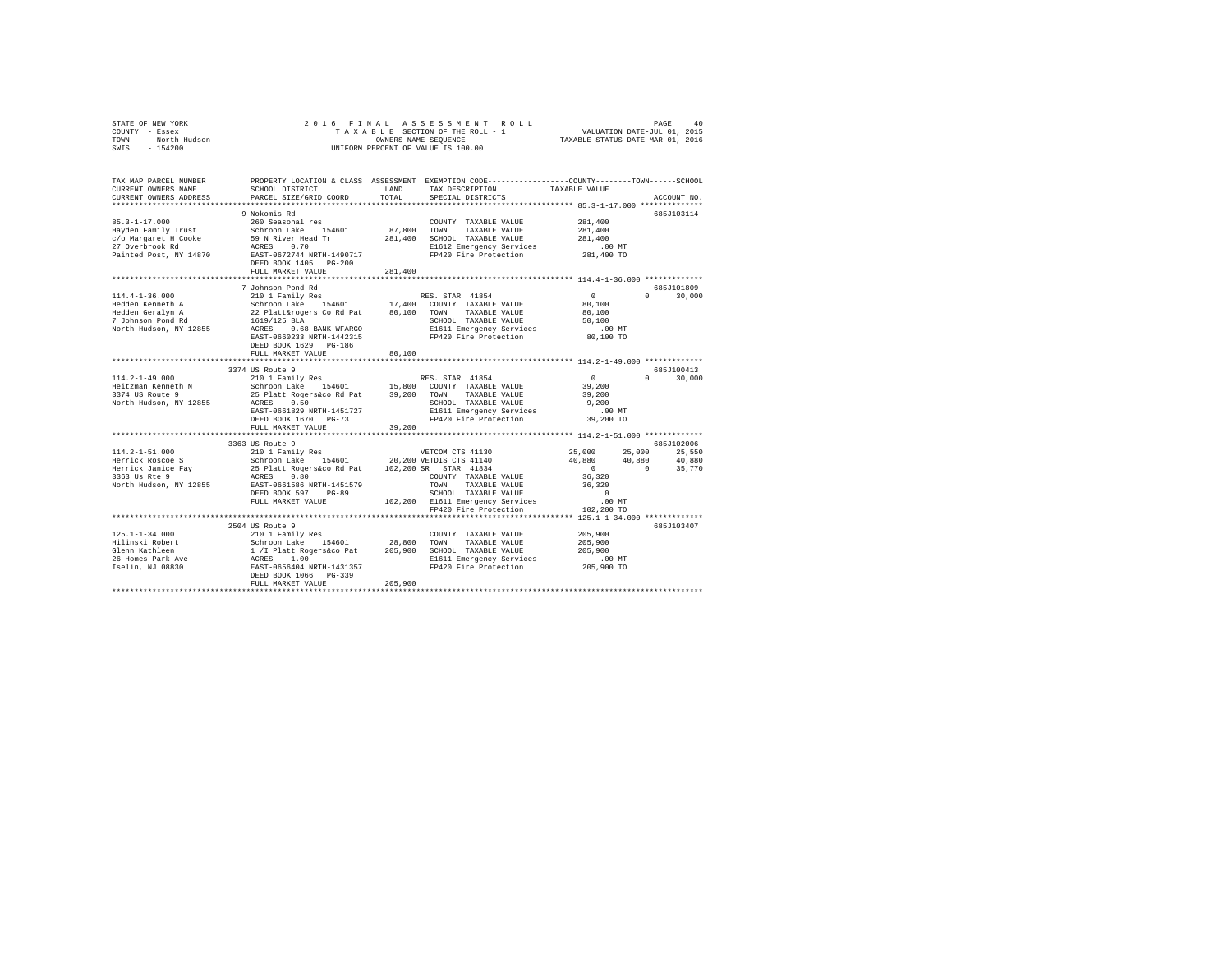|      | STATE OF NEW YORK | 2016 FINAL ASSESSMENT ROLL         | 40<br>PAGE                       |
|------|-------------------|------------------------------------|----------------------------------|
|      | COUNTY - Essex    | TAXABLE SECTION OF THE ROLL - 1    | VALUATION DATE-JUL 01, 2015      |
| TOWN | - North Hudson    | OWNERS NAME SEOUENCE               | TAXABLE STATUS DATE-MAR 01, 2016 |
| SWIS | - 154200          | UNIFORM PERCENT OF VALUE IS 100.00 |                                  |

| TAX MAP PARCEL NUMBER<br>CURRENT OWNERS NAME<br>CURRENT OWNERS ADDRESS | SCHOOL DISTRICT<br>PARCEL SIZE/GRID COORD                                                   | LAND<br>TOTAL | PROPERTY LOCATION & CLASS ASSESSMENT EXEMPTION CODE---------------COUNTY-------TOWN-----SCHOOL<br>TAX DESCRIPTION<br>SPECIAL DISTRICTS | TAXABLE VALUE                                        | ACCOUNT NO.                 |
|------------------------------------------------------------------------|---------------------------------------------------------------------------------------------|---------------|----------------------------------------------------------------------------------------------------------------------------------------|------------------------------------------------------|-----------------------------|
|                                                                        | **************************                                                                  |               |                                                                                                                                        |                                                      |                             |
|                                                                        | 9 Nokomis Rd                                                                                |               |                                                                                                                                        |                                                      | 685J103114                  |
| $85.3 - 1 - 17.000$                                                    | 260 Seasonal res                                                                            |               | COUNTY TAXABLE VALUE                                                                                                                   | 281,400                                              |                             |
| Hayden Family Trust                                                    | Schroon Lake 154601                                                                         | 87,800 TOWN   | TAXABLE VALUE                                                                                                                          | 281,400                                              |                             |
| c/o Margaret H Cooke                                                   | 59 N River Head Tr                                                                          | 281,400       | SCHOOL TAXABLE VALUE                                                                                                                   | 281,400                                              |                             |
| 27 Overbrook Rd                                                        | ACRES<br>0.70                                                                               |               | E1612 Emergency Services                                                                                                               | $.00$ MT                                             |                             |
| Painted Post, NY 14870                                                 | EAST-0672744 NRTH-1490717<br>DEED BOOK 1405 PG-200                                          |               | FP420 Fire Protection                                                                                                                  | 281,400 TO                                           |                             |
|                                                                        | FULL MARKET VALUE                                                                           | 281,400       |                                                                                                                                        |                                                      |                             |
|                                                                        |                                                                                             |               |                                                                                                                                        |                                                      |                             |
|                                                                        | 7 Johnson Pond Rd                                                                           |               |                                                                                                                                        |                                                      | 685J101809                  |
| $114.4 - 1 - 36.000$                                                   | 210 1 Family Res                                                                            |               | RES. STAR 41854                                                                                                                        | $\circ$                                              | $0 \qquad \qquad$<br>30,000 |
| Hedden Kenneth A                                                       |                                                                                             | 17,400        | COUNTY TAXABLE VALUE                                                                                                                   | 80,100                                               |                             |
| Hedden Geralyn A                                                       |                                                                                             | 80,100        | TOWN<br>TAXABLE VALUE                                                                                                                  | 80,100                                               |                             |
| 7 Johnson Pond Rd                                                      |                                                                                             |               | SCHOOL TAXABLE VALUE                                                                                                                   | 50,100                                               |                             |
| North Hudson, NY 12855                                                 | Schroon Lake 154601<br>22 Platt&rogers Co Rd Pat<br>1619/125 BLA<br>ACRES 0.68 BANK WFARGO  |               | E1611 Emergency Services                                                                                                               | $.00$ MT                                             |                             |
|                                                                        | EAST-0660233 NRTH-1442315                                                                   |               | FP420 Fire Protection                                                                                                                  | 80,100 TO                                            |                             |
|                                                                        | DEED BOOK 1629 PG-186                                                                       |               |                                                                                                                                        |                                                      |                             |
|                                                                        | FULL MARKET VALUE                                                                           | 80,100        |                                                                                                                                        |                                                      |                             |
|                                                                        | *************************                                                                   |               |                                                                                                                                        | *********************** 114.2-1-49.000 ************* |                             |
|                                                                        | 3374 US Route 9                                                                             |               |                                                                                                                                        |                                                      | 685J100413                  |
| $114.2 - 1 - 49.000$                                                   | 210 1 Family Res                                                                            |               | RES. STAR 41854                                                                                                                        | $\sim$ 0                                             | $\Omega$<br>30,000          |
| Heitzman Kenneth N                                                     | Schroon Lake 154601                                                                         | 15,800        | COUNTY TAXABLE VALUE                                                                                                                   | 39,200                                               |                             |
| 3374 US Route 9                                                        | 25 Platt Rogers&co Rd Pat 39,200                                                            |               | TOWN<br>TAXABLE VALUE                                                                                                                  | 39,200                                               |                             |
| North Hudson, NY 12855                                                 | ACRES<br>0.50                                                                               |               | SCHOOL TAXABLE VALUE                                                                                                                   | 9,200                                                |                             |
|                                                                        | EAST-0661829 NRTH-1451727                                                                   |               | E1611 Emergency Services                                                                                                               | $.00$ MT                                             |                             |
|                                                                        | DEED BOOK 1670 PG-73                                                                        |               | FP420 Fire Protection                                                                                                                  | 39,200 TO                                            |                             |
|                                                                        | FULL MARKET VALUE                                                                           | 39,200        | ********************************** 114.2-1-51.000 **************                                                                       |                                                      |                             |
|                                                                        | 3363 US Route 9                                                                             |               |                                                                                                                                        |                                                      | 685J102006                  |
| $114.2 - 1 - 51.000$                                                   | 210 1 Family Res                                                                            |               | VETCOM CTS 41130                                                                                                                       | 25,000<br>25,000                                     | 25,550                      |
|                                                                        |                                                                                             |               |                                                                                                                                        | 40,880<br>40,880                                     | 40,880                      |
|                                                                        |                                                                                             |               |                                                                                                                                        | $\sim$ 0 $\sim$                                      | $\Omega$<br>35,770          |
|                                                                        |                                                                                             |               | COUNTY TAXABLE VALUE                                                                                                                   | 36,320                                               |                             |
| North Hudson, NY 12855                                                 | EAST-0661586 NRTH-1451579                                                                   |               | TOWN<br>TAXABLE VALUE                                                                                                                  | 36,320                                               |                             |
|                                                                        | DEED BOOK 597<br>PG-89                                                                      |               | SCHOOL TAXABLE VALUE                                                                                                                   | $\Omega$                                             |                             |
|                                                                        | FULL MARKET VALUE                                                                           |               | 102,200 E1611 Emergency Services                                                                                                       | $.00$ MT                                             |                             |
|                                                                        |                                                                                             |               | FP420 Fire Protection                                                                                                                  | 102,200 TO                                           |                             |
|                                                                        |                                                                                             |               |                                                                                                                                        |                                                      |                             |
|                                                                        | 2504 US Route 9                                                                             |               |                                                                                                                                        |                                                      | 685J103407                  |
| $125.1 - 1 - 34.000$                                                   | 210 1 Family Res                                                                            |               | COUNTY TAXABLE VALUE                                                                                                                   | 205,900                                              |                             |
| Hilinski Robert                                                        |                                                                                             | 28,800 TOWN   | TAXABLE VALUE                                                                                                                          | 205,900                                              |                             |
| Glenn Kathleen                                                         | Schroon Lake 154601<br>1 / I Platt Rogers&co Pat<br>ACRES 1.00<br>EAST-0656404 NRTH-1431357 | 205,900       | SCHOOL TAXABLE VALUE                                                                                                                   | 205,900                                              |                             |
| 26 Homes Park Ave                                                      |                                                                                             |               | E1611 Emergency Services                                                                                                               | .00MT                                                |                             |
| Iselin, NJ 08830                                                       |                                                                                             |               | FP420 Fire Protection                                                                                                                  | 205,900 TO                                           |                             |
|                                                                        | DEED BOOK 1066 PG-339                                                                       |               |                                                                                                                                        |                                                      |                             |
|                                                                        | FULL MARKET VALUE                                                                           | 205,900       |                                                                                                                                        |                                                      |                             |
|                                                                        |                                                                                             |               |                                                                                                                                        |                                                      |                             |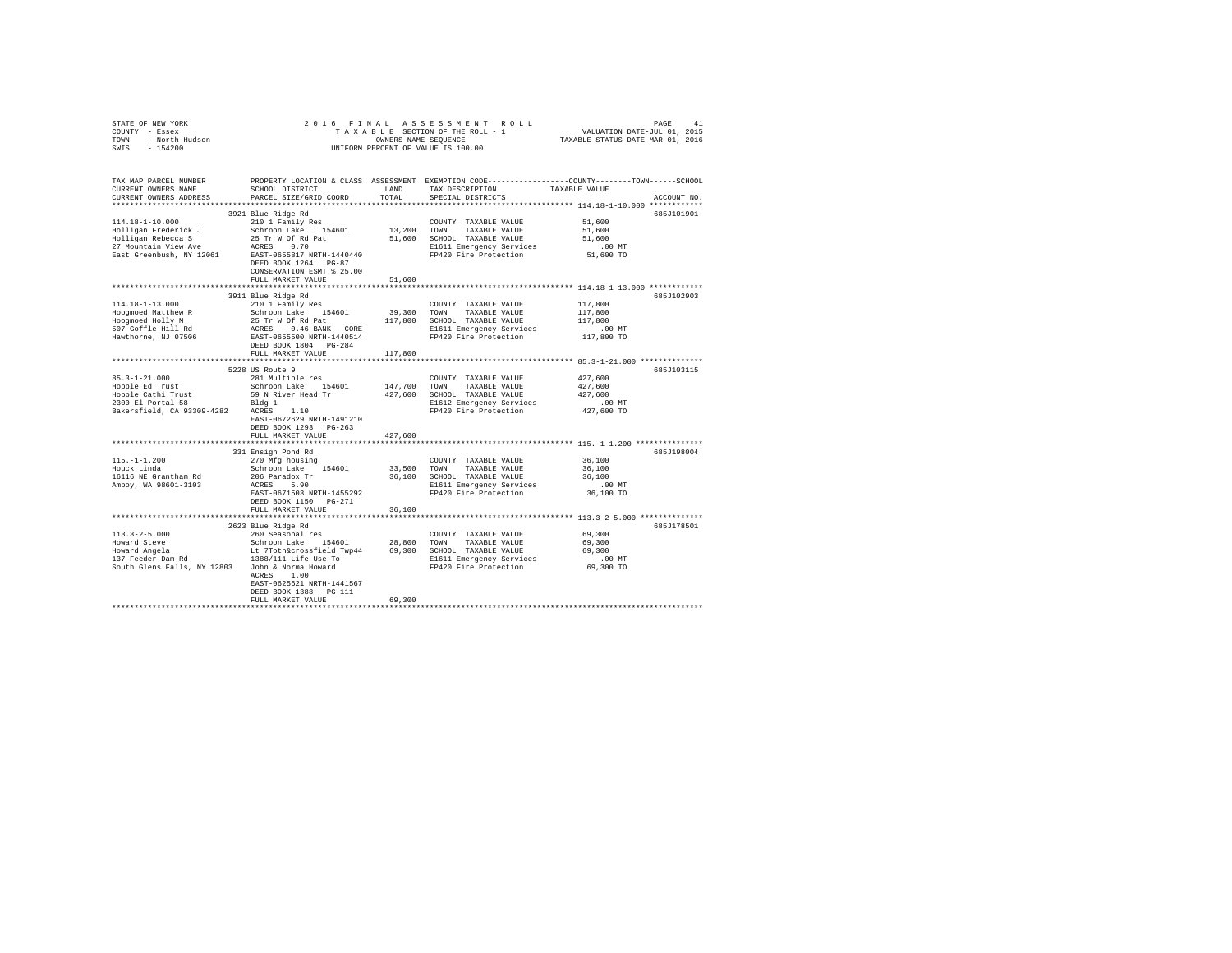| 2016 FINAL ASSESSMENT ROLL<br>STATE OF NEW YORK<br>COUNTY - Essex<br>TOWN - North Hudson<br>SWIS - 154200<br>UNIFORM PERCENT OF VALUE IS 100.00 |                                                                                                                                                                                                         |                       |                                                                                                                                       |                                                                                                                |  |  |  |  |
|-------------------------------------------------------------------------------------------------------------------------------------------------|---------------------------------------------------------------------------------------------------------------------------------------------------------------------------------------------------------|-----------------------|---------------------------------------------------------------------------------------------------------------------------------------|----------------------------------------------------------------------------------------------------------------|--|--|--|--|
| TAX MAP PARCEL NUMBER<br>CURRENT OWNERS NAME<br>CURRENT OWNERS ADDRESS                                                                          | PARCEL SIZE/GRID COORD TOTAL                                                                                                                                                                            |                       | SCHOOL DISTRICT LAND TAX DESCRIPTION TAXABLE VALUE<br>SPECIAL DISTRICTS                                                               | PROPERTY LOCATION & CLASS ASSESSMENT EXEMPTION CODE---------------COUNTY-------TOWN------SCHOOL<br>ACCOUNT NO. |  |  |  |  |
| 114.18-1-10.000<br>Holligan Frederick J<br>Holligan Rebecca S<br>27 Mountain View Ave<br>East Greenbush, NY 12061                               | 3921 Blue Ridge Rd<br>210 1 Family Res<br>Schroon Lake 154601<br>25 Tr W Of Rd Pat<br>ACRES 0.70<br>EAST-0655817 NRTH-1440440<br>DEED BOOK 1264 PG-87<br>CONSERVATION ESMT % 25.00<br>FULL MARKET VALUE | 13,200 TOWN<br>51,600 | COUNTY TAXABLE VALUE<br>TAXABLE VALUE<br>51,600 SCHOOL TAXABLE VALUE<br>E1611 Emergency Services<br>FP420 Fire Protection             | 685J101901<br>51,600<br>51,600<br>51,600<br>$.00$ MT<br>51,600 TO                                              |  |  |  |  |
| $114.18 - 1 - 13.000$                                                                                                                           | 3911 Blue Ridge Rd<br>210 1 Family Res                                                                                                                                                                  |                       | COUNTY TAXABLE VALUE                                                                                                                  | 685J102903<br>117,800                                                                                          |  |  |  |  |
|                                                                                                                                                 | DEED BOOK 1804 PG-284                                                                                                                                                                                   |                       |                                                                                                                                       | 117,800<br>117,800<br>.00 MT<br>117,800 TO                                                                     |  |  |  |  |
|                                                                                                                                                 | FULL MARKET VALUE                                                                                                                                                                                       | 117,800               |                                                                                                                                       |                                                                                                                |  |  |  |  |
|                                                                                                                                                 | FULL MARKET VALUE                                                                                                                                                                                       | 427.600               |                                                                                                                                       | 685J103115<br>427,600<br>427,600<br>427,600<br>00 MT.<br>427,600 TO                                            |  |  |  |  |
|                                                                                                                                                 |                                                                                                                                                                                                         |                       |                                                                                                                                       |                                                                                                                |  |  |  |  |
| $115. - 1 - 1.200$<br>Houck Linda<br>16116 NE Grantham Rd<br>Amboy, WA 98601-3103                                                               | 331 Ensign Pond Rd<br>270 Mfg housing<br>Schroon Lake 154601<br>206 Paradox Tr<br>ACRES 5.90<br>EAST-0671503 NRTH-1455292<br>DEED BOOK 1150 PG-271<br>FULL MARKET VALUE                                 | 36,100                | COUNTY TAXABLE VALUE<br>33,500 TOWN TAXABLE VALUE<br>36,100 SCHOOL TAXABLE VALUE<br>E1611 Emergency Services<br>FP420 Fire Protection | 685J198004<br>36,100<br>36,100<br>36,100<br>00 MT.<br>36,100 TO                                                |  |  |  |  |
|                                                                                                                                                 |                                                                                                                                                                                                         |                       |                                                                                                                                       |                                                                                                                |  |  |  |  |
|                                                                                                                                                 | 2623 Blue Ridge Rd<br>ACRES 1.00<br>EAST-0625621 NRTH-1441567<br>DEED BOOK 1388 PG-111                                                                                                                  |                       |                                                                                                                                       | 685J178501                                                                                                     |  |  |  |  |
|                                                                                                                                                 | FULL MARKET VALUE                                                                                                                                                                                       | 69,300                |                                                                                                                                       |                                                                                                                |  |  |  |  |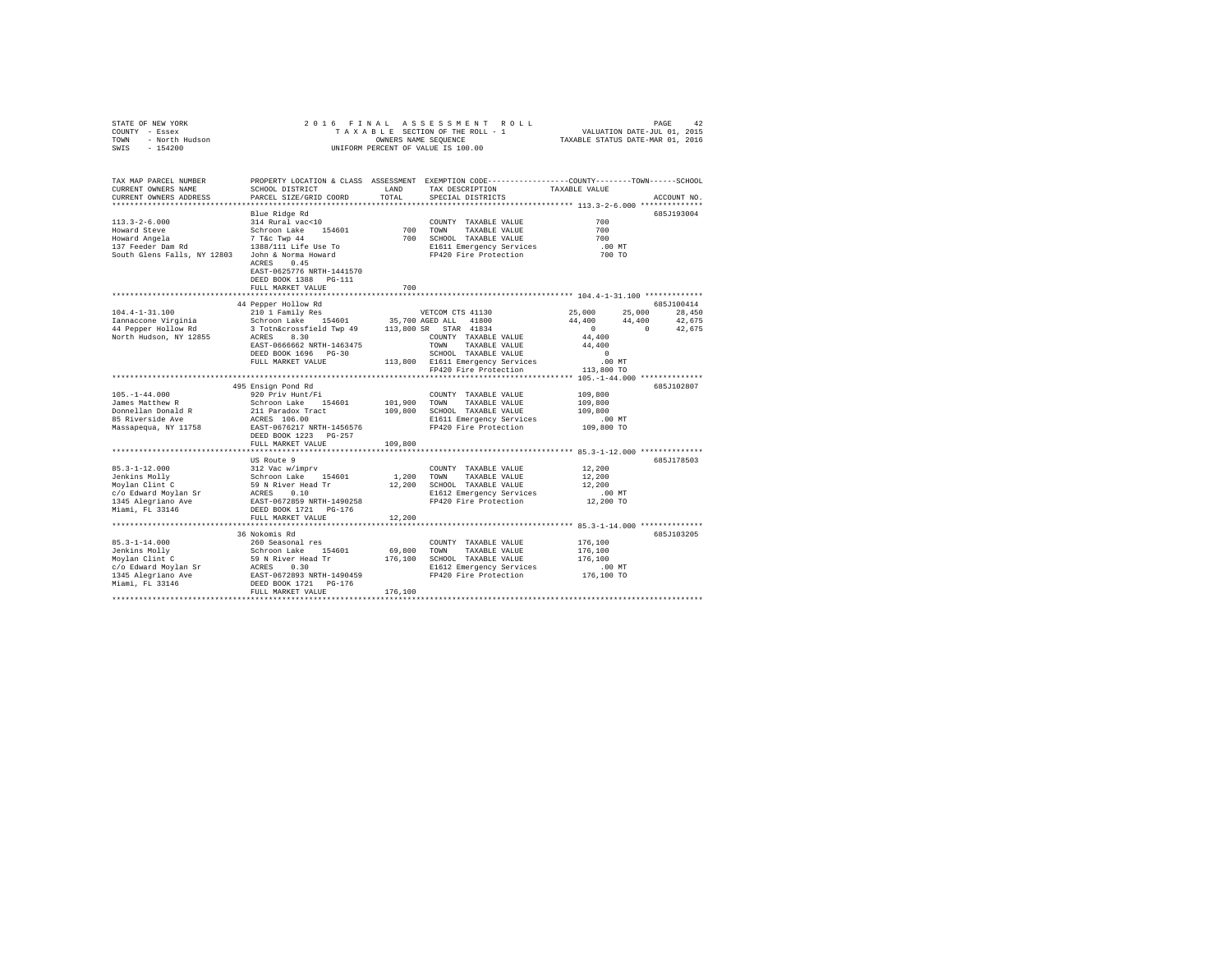| STATE OF NEW YORK<br>COUNTY - Essex<br>- North Hudson<br><b>TOWN</b><br>$-154200$<br>SWIS                                                   | 2016 FINAL ASSESSMENT ROLL<br>PAGE<br>TAXABLE SECTION OF THE ROLL - 1 VALUATION DATE-JUL 01, 2015<br>TAXABLE STATUS DATE-MAR 01, 2016<br>OWNERS NAME SEOUENCE<br>INIFORM PERCENT OF VALUE IS 100.00                  |                        |                                                                                                                                         |                                                                 |                                                                     |  |  |  |  |
|---------------------------------------------------------------------------------------------------------------------------------------------|----------------------------------------------------------------------------------------------------------------------------------------------------------------------------------------------------------------------|------------------------|-----------------------------------------------------------------------------------------------------------------------------------------|-----------------------------------------------------------------|---------------------------------------------------------------------|--|--|--|--|
| TAX MAP PARCEL NUMBER<br>CURRENT OWNERS NAME<br>CURRENT OWNERS ADDRESS PARCEL SIZE/GRID COORD                                               | SCHOOL DISTRICT                                                                                                                                                                                                      | <b>T.AND</b><br>TOTAL. | PROPERTY LOCATION & CLASS ASSESSMENT EXEMPTION CODE---------------COUNTY-------TOWN------SCHOOL<br>TAX DESCRIPTION<br>SPECIAL DISTRICTS | TAXABLE VALUE                                                   | ACCOUNT NO.                                                         |  |  |  |  |
| $113.3 - 2 - 6.000$<br>Howard Steve<br>Howard Angela<br>137 Feeder Dam Rd<br>South Glens Falls, NY 12803                                    | Blue Ridge Rd<br>314 Rural vac<10<br>Schroon Lake 154601 700<br>7 T&c Twp 44<br>1388/111 Life Use To<br>John & Norma Howard<br>ACRES 0.45<br>EAST-0625776 NRTH-1441570<br>DEED BOOK 1388 PG-111<br>FULL MARKET VALUE | 700<br>700             | COUNTY TAXABLE VALUE<br>TOWN<br>TAXABLE VALUE<br>TAXABLE VALUE<br>SCHOOL<br>E1611 Emergency Services<br>FP420 Fire Protection           | 700<br>700<br>700<br>$.00$ MT<br>700 TO                         | 685J193004                                                          |  |  |  |  |
| $104.4 - 1 - 31.100$<br>Iannaccone Virginia<br>44 Pepper Hollow Rd 3 Totn&crossfield Twp 49 113,800 SR STAR 41834<br>North Hudson, NY 12855 | 44 Pepper Hollow Rd<br>210 1 Family Res<br>Schroon Lake 154601 35,700 AGED ALL 41800<br>8.30<br>ACRES<br>EAST-0666662 NRTH-1463475<br>DEED BOOK 1696 PG-30                                                           |                        | VETCOM CTS 41130<br>COUNTY<br>TAXABLE VALUE<br>TOWN<br>TAXABLE VALUE<br>SCHOOL<br>TAXABLE VALUE                                         | 25,000 25,000<br>$\overline{0}$<br>44,400<br>44,400<br>$\Omega$ | 685.7100414<br>28,450<br>44.400 44.400 42.675<br>42.675<br>$\sim$ 0 |  |  |  |  |

|                      | DEED BOOK 1696 PG-30      |         | SCHOOL TAXABLE VALUE             | $\mathbf{r}$ |             |
|----------------------|---------------------------|---------|----------------------------------|--------------|-------------|
|                      | FULL MARKET VALUE         |         | 113,800 E1611 Emergency Services | $.00$ MT     |             |
|                      |                           |         | FP420 Fire Protection            | 113,800 TO   |             |
|                      |                           |         |                                  |              |             |
|                      | 495 Ensign Pond Rd        |         |                                  |              | 685J102807  |
| $105. - 1 - 44.000$  | 920 Priv Hunt/Fi          |         | TAXABLE VALUE<br>COUNTY          | 109,800      |             |
| James Matthew R      | Schroon Lake<br>154601    | 101,900 | TAXABLE VALUE<br>TOWN            | 109,800      |             |
| Donnellan Donald R   | 211 Paradox Tract         | 109,800 | SCHOOL TAXABLE VALUE             | 109,800      |             |
| 85 Riverside Ave     | ACRES 106.00              |         | E1611 Emergency Services         | $.00$ MT     |             |
| Massapequa, NY 11758 | EAST-0676217 NRTH-1456576 |         | FP420 Fire Protection            | 109,800 TO   |             |
|                      | DEED BOOK 1223 PG-257     |         |                                  |              |             |
|                      | FULL MARKET VALUE         | 109,800 |                                  |              |             |
|                      |                           |         |                                  |              |             |
|                      | US Route 9                |         |                                  |              | 685.T178503 |
| $85.3 - 1 - 12.000$  | 312 Vac w/imprv           |         | COUNTY<br>TAXABLE VALUE          | 12,200       |             |
| Jenkins Molly        | Schroon Lake<br>154601    | 1,200   | TAXABLE VALUE<br>TOWN            | 12,200       |             |
| Moylan Clint C       | 59 N River Head Tr        | 12,200  | SCHOOL TAXABLE VALUE             | 12,200       |             |
| c/o Edward Movlan Sr | 0.10<br>ACRES             |         | E1612 Emergency Services         | $.00$ MT     |             |
| 1345 Alegriano Ave   | EAST-0672859 NRTH-1490258 |         | FP420 Fire Protection            | 12,200 TO    |             |
| Miami, FL 33146      | DEED BOOK 1721 PG-176     |         |                                  |              |             |
|                      | FULL MARKET VALUE         | 12,200  |                                  |              |             |
|                      |                           |         |                                  |              |             |
|                      | 36 Nokomis Rd             |         |                                  |              | 685.T103205 |
| $85.3 - 1 - 14.000$  | 260 Seasonal res          |         | COUNTY TAXABLE VALUE             | 176,100      |             |
| Jenkins Molly        | Schroon Lake<br>154601    | 69,800  | TOWN<br>TAXABLE VALUE            | 176,100      |             |
| Moylan Clint C       | 59 N River Head Tr        | 176,100 | TAXABLE VALUE<br>SCHOOL          | 176,100      |             |
| c/o Edward Movlan Sr | 0.30<br>ACRES             |         | E1612 Emergency Services         | $.00$ MT     |             |
| 1345 Alegriano Ave   | EAST-0672893 NRTH-1490459 |         | FP420 Fire Protection            | 176,100 TO   |             |
| Miami, FL 33146      | DEED BOOK 1721 PG-176     |         |                                  |              |             |
|                      | FULL MARKET VALUE         | 176,100 |                                  |              |             |
|                      |                           |         |                                  |              |             |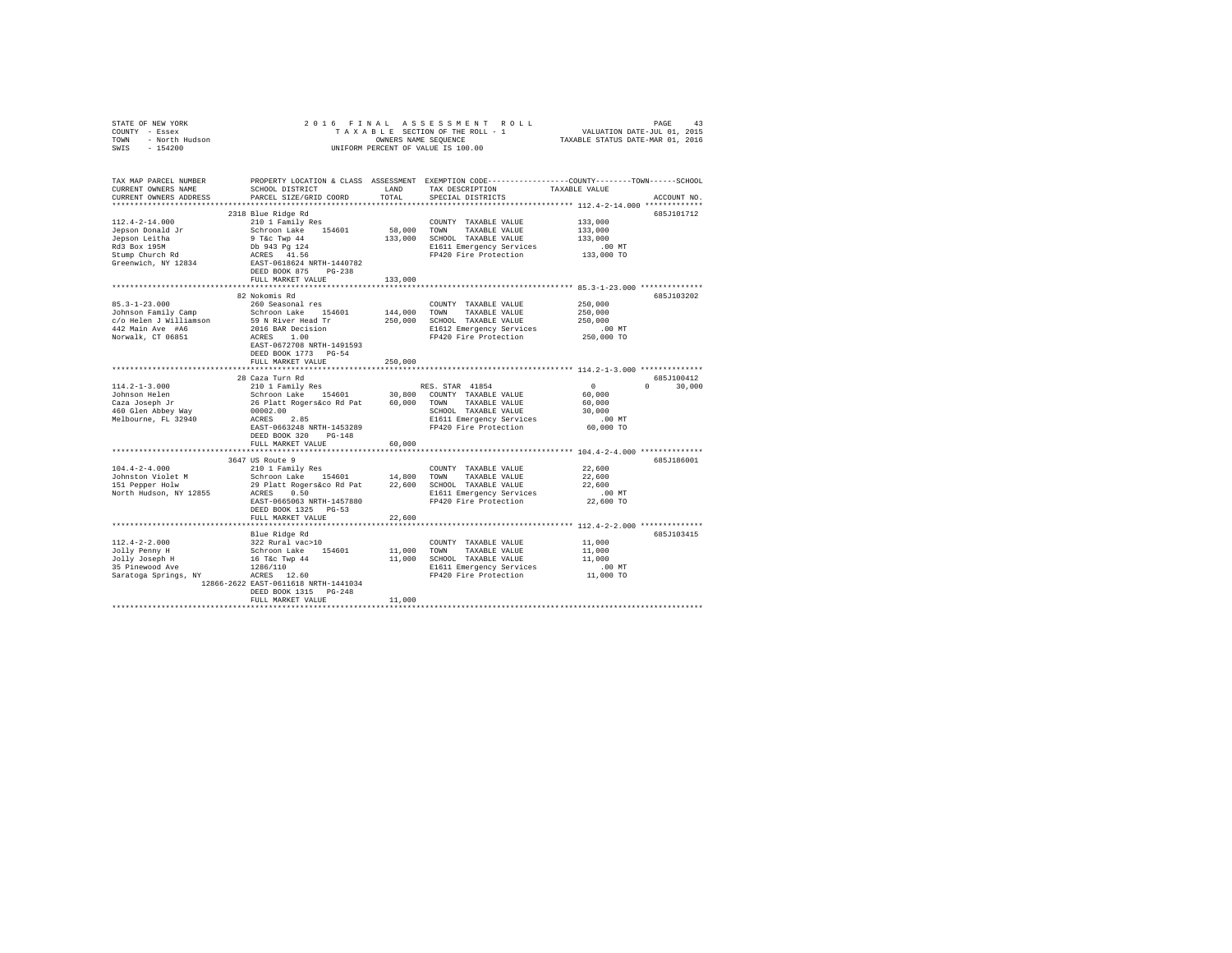| STATE OF NEW YORK<br>COUNTY - Essex<br>TOWN - North Hudson<br>SWIS - 154200                                                                                                                                                                                                                                                                                                                                                                                    | 2016 FINAL ASSESSMENT ROLL<br>PAGE<br>43<br>T A X A B L E SECTION OF THE ROLL - 1<br>TAXABLE STAME SEQUENCE THE ROLL - 1<br>ONNERS NAME SEQUENCE TAXABLE STATUS DATE-MAR 01, 2016<br>UNIFORM PERCENT OF VALUE IS 100.00 |         |                                                                                                                                               |                                                      |                             |  |  |  |  |  |
|----------------------------------------------------------------------------------------------------------------------------------------------------------------------------------------------------------------------------------------------------------------------------------------------------------------------------------------------------------------------------------------------------------------------------------------------------------------|-------------------------------------------------------------------------------------------------------------------------------------------------------------------------------------------------------------------------|---------|-----------------------------------------------------------------------------------------------------------------------------------------------|------------------------------------------------------|-----------------------------|--|--|--|--|--|
| TAX MAP PARCEL NUMBER<br>CURRENT OWNERS NAME<br>CURRENT OWNERS ADDRESS                                                                                                                                                                                                                                                                                                                                                                                         | SCHOOL DISTRICT<br>PARCEL SIZE/GRID COORD                                                                                                                                                                               | TOTAL   | PROPERTY LOCATION & CLASS ASSESSMENT EXEMPTION CODE----------------COUNTY-------TOWN------SCHOOL<br>LAND TAX DESCRIPTION<br>SPECIAL DISTRICTS | TAXABLE VALUE                                        | ACCOUNT NO.                 |  |  |  |  |  |
|                                                                                                                                                                                                                                                                                                                                                                                                                                                                | 2318 Blue Ridge Rd                                                                                                                                                                                                      |         |                                                                                                                                               |                                                      | 685J101712                  |  |  |  |  |  |
| $112.4 - 2 - 14.000$                                                                                                                                                                                                                                                                                                                                                                                                                                           | 210 1 Family Res                                                                                                                                                                                                        |         | COUNTY TAXABLE VALUE 133,000                                                                                                                  |                                                      |                             |  |  |  |  |  |
| Jepson Donald Jr                                                                                                                                                                                                                                                                                                                                                                                                                                               | Schroon Lake 154601                                                                                                                                                                                                     |         | 58,000 TOWN TAXABLE VALUE                                                                                                                     | 133,000                                              |                             |  |  |  |  |  |
| Jepson Leitha                                                                                                                                                                                                                                                                                                                                                                                                                                                  |                                                                                                                                                                                                                         |         | 133,000 SCHOOL TAXABLE VALUE                                                                                                                  | 133,000                                              |                             |  |  |  |  |  |
| Rd3 Box 195M                                                                                                                                                                                                                                                                                                                                                                                                                                                   | 9 T&C TWP 44<br>Db 943 Pg 124<br>ACRES 41.56                                                                                                                                                                            |         | E1611 Emergency Services 6.00 MT<br>FP420 Fire Protection 133,000 TO                                                                          |                                                      |                             |  |  |  |  |  |
| stump Church Rd                                                                                                                                                                                                                                                                                                                                                                                                                                                |                                                                                                                                                                                                                         |         |                                                                                                                                               | 133,000 TO                                           |                             |  |  |  |  |  |
| Greenwich, NY 12834                                                                                                                                                                                                                                                                                                                                                                                                                                            | EAST-0618624 NRTH-1440782                                                                                                                                                                                               |         |                                                                                                                                               |                                                      |                             |  |  |  |  |  |
|                                                                                                                                                                                                                                                                                                                                                                                                                                                                | DEED BOOK 875 PG-238<br>FULL MARKET VALUE                                                                                                                                                                               | 133,000 |                                                                                                                                               |                                                      |                             |  |  |  |  |  |
|                                                                                                                                                                                                                                                                                                                                                                                                                                                                |                                                                                                                                                                                                                         |         |                                                                                                                                               | *********************** 85.3-1-23.000 ************** |                             |  |  |  |  |  |
|                                                                                                                                                                                                                                                                                                                                                                                                                                                                | 82 Nokomis Rd                                                                                                                                                                                                           |         |                                                                                                                                               |                                                      | 685J103202                  |  |  |  |  |  |
| $85.3 - 1 - 23.000$                                                                                                                                                                                                                                                                                                                                                                                                                                            | 260 Seasonal res                                                                                                                                                                                                        |         | COUNTY TAXABLE VALUE                                                                                                                          | 250,000                                              |                             |  |  |  |  |  |
|                                                                                                                                                                                                                                                                                                                                                                                                                                                                |                                                                                                                                                                                                                         |         |                                                                                                                                               | 250,000                                              |                             |  |  |  |  |  |
|                                                                                                                                                                                                                                                                                                                                                                                                                                                                |                                                                                                                                                                                                                         |         |                                                                                                                                               | 250,000<br>00 MT.                                    |                             |  |  |  |  |  |
|                                                                                                                                                                                                                                                                                                                                                                                                                                                                |                                                                                                                                                                                                                         |         |                                                                                                                                               | 250,000 TO                                           |                             |  |  |  |  |  |
|                                                                                                                                                                                                                                                                                                                                                                                                                                                                | EAST-0672708 NRTH-1491593                                                                                                                                                                                               |         |                                                                                                                                               |                                                      |                             |  |  |  |  |  |
|                                                                                                                                                                                                                                                                                                                                                                                                                                                                | DEED BOOK 1773 PG-54                                                                                                                                                                                                    |         |                                                                                                                                               |                                                      |                             |  |  |  |  |  |
|                                                                                                                                                                                                                                                                                                                                                                                                                                                                | FULL MARKET VALUE                                                                                                                                                                                                       | 250,000 |                                                                                                                                               |                                                      |                             |  |  |  |  |  |
|                                                                                                                                                                                                                                                                                                                                                                                                                                                                |                                                                                                                                                                                                                         |         |                                                                                                                                               |                                                      |                             |  |  |  |  |  |
|                                                                                                                                                                                                                                                                                                                                                                                                                                                                | 28 Caza Turn Rd                                                                                                                                                                                                         |         |                                                                                                                                               | $\sim$ 0                                             | 685J100412<br>$0 \t 30.000$ |  |  |  |  |  |
| $114.2 - 1 - 3.000$<br>Johnson Helen                                                                                                                                                                                                                                                                                                                                                                                                                           | 210 1 Family Res                                                                                                                                                                                                        |         | RES. STAR 41854                                                                                                                               | 60,000                                               |                             |  |  |  |  |  |
| Caza Joseph Jr<br>460.01:                                                                                                                                                                                                                                                                                                                                                                                                                                      | 210 Family Res = 154601 30,800 COUNTY TAXABLE VALUE<br>26 Platt Rogers&co Rd Pat = 60,000 TOWN TAXABLE VALUE                                                                                                            |         |                                                                                                                                               | 60,000                                               |                             |  |  |  |  |  |
| 460 Glen Abbey Way                                                                                                                                                                                                                                                                                                                                                                                                                                             |                                                                                                                                                                                                                         |         | SCHOOL TAXABLE VALUE                                                                                                                          | 30,000                                               |                             |  |  |  |  |  |
| Melbourne, FL 32940                                                                                                                                                                                                                                                                                                                                                                                                                                            | 00002.00<br>ACRES 2.85                                                                                                                                                                                                  |         |                                                                                                                                               |                                                      |                             |  |  |  |  |  |
|                                                                                                                                                                                                                                                                                                                                                                                                                                                                | EAST-0663248 NRTH-1453289                                                                                                                                                                                               |         | E1611 Emergency Services .00 MT<br>FP420 Fire Protection .000 TO                                                                              |                                                      |                             |  |  |  |  |  |
|                                                                                                                                                                                                                                                                                                                                                                                                                                                                | DEED BOOK 320 PG-148                                                                                                                                                                                                    |         |                                                                                                                                               |                                                      |                             |  |  |  |  |  |
|                                                                                                                                                                                                                                                                                                                                                                                                                                                                | FULL MARKET VALUE                                                                                                                                                                                                       | 60,000  |                                                                                                                                               |                                                      |                             |  |  |  |  |  |
|                                                                                                                                                                                                                                                                                                                                                                                                                                                                | 3647 US Route 9                                                                                                                                                                                                         |         |                                                                                                                                               |                                                      | 685J186001                  |  |  |  |  |  |
| $104.4 - 2 - 4.000$                                                                                                                                                                                                                                                                                                                                                                                                                                            | 210 1 Family Res                                                                                                                                                                                                        |         | COUNTY TAXABLE VALUE                                                                                                                          | 22,600                                               |                             |  |  |  |  |  |
| $\begin{tabular}{lcccc} \texttt{--} & \texttt{--} & \texttt{--} & \texttt{--} & \texttt{--} & \texttt{--} & \texttt{--} & \texttt{--} & \texttt{--} & \texttt{--} & \texttt{--} & \texttt{--} & \texttt{--} & \texttt{--} & \texttt{--} & \texttt{--} & \texttt{--} & \texttt{--} & \texttt{--} & \texttt{--} & \texttt{--} & \texttt{--} & \texttt{--} & \texttt{--} & \texttt{--} & \texttt{--} & \texttt{--} & \texttt{--} & \texttt{--} & \texttt{--} & \$ |                                                                                                                                                                                                                         |         |                                                                                                                                               | 22,600                                               |                             |  |  |  |  |  |
|                                                                                                                                                                                                                                                                                                                                                                                                                                                                |                                                                                                                                                                                                                         |         |                                                                                                                                               | 22,600                                               |                             |  |  |  |  |  |
|                                                                                                                                                                                                                                                                                                                                                                                                                                                                |                                                                                                                                                                                                                         |         | E1611 Emergency Services                                                                                                                      | $.00$ MT                                             |                             |  |  |  |  |  |
|                                                                                                                                                                                                                                                                                                                                                                                                                                                                | EAST-0665063 NRTH-1457880<br>DEED BOOK 1325 PG-53                                                                                                                                                                       |         | FP420 Fire Protection 22,600 TO                                                                                                               |                                                      |                             |  |  |  |  |  |
|                                                                                                                                                                                                                                                                                                                                                                                                                                                                | FULL MARKET VALUE                                                                                                                                                                                                       | 22,600  |                                                                                                                                               |                                                      |                             |  |  |  |  |  |
|                                                                                                                                                                                                                                                                                                                                                                                                                                                                |                                                                                                                                                                                                                         |         |                                                                                                                                               |                                                      |                             |  |  |  |  |  |
|                                                                                                                                                                                                                                                                                                                                                                                                                                                                | Blue Ridge Rd                                                                                                                                                                                                           |         |                                                                                                                                               |                                                      | 685J103415                  |  |  |  |  |  |
| $112.4 - 2 - 2.000$                                                                                                                                                                                                                                                                                                                                                                                                                                            | 322 Rural vac>10                                                                                                                                                                                                        |         | COUNTY TAXABLE VALUE                                                                                                                          | 11,000                                               |                             |  |  |  |  |  |
| Jolly Penny H                                                                                                                                                                                                                                                                                                                                                                                                                                                  | Schroon Lake 154601<br>16 T&c Twp 44<br>1286/110                                                                                                                                                                        |         | 11,000 TOWN TAXABLE VALUE                                                                                                                     | 11,000                                               |                             |  |  |  |  |  |
| Jolly Joseph H<br>35 Pinewood Ave                                                                                                                                                                                                                                                                                                                                                                                                                              |                                                                                                                                                                                                                         |         | 11,000 SCHOOL TAXABLE VALUE                                                                                                                   | 11,000                                               |                             |  |  |  |  |  |
|                                                                                                                                                                                                                                                                                                                                                                                                                                                                | 1286/110                                                                                                                                                                                                                |         | E1611 HAABLE VALUE 1.1,000<br>E1611 Energency Services 1.00 MT<br>FP420 Fire Protection 11,000 TO                                             |                                                      |                             |  |  |  |  |  |
|                                                                                                                                                                                                                                                                                                                                                                                                                                                                | 12866-2622 EAST-0611618 NRTH-1441034                                                                                                                                                                                    |         |                                                                                                                                               |                                                      |                             |  |  |  |  |  |
|                                                                                                                                                                                                                                                                                                                                                                                                                                                                | DEED BOOK 1315 PG-248                                                                                                                                                                                                   |         |                                                                                                                                               |                                                      |                             |  |  |  |  |  |
|                                                                                                                                                                                                                                                                                                                                                                                                                                                                | FULL MARKET VALUE                                                                                                                                                                                                       | 11,000  |                                                                                                                                               |                                                      |                             |  |  |  |  |  |
|                                                                                                                                                                                                                                                                                                                                                                                                                                                                |                                                                                                                                                                                                                         |         |                                                                                                                                               |                                                      |                             |  |  |  |  |  |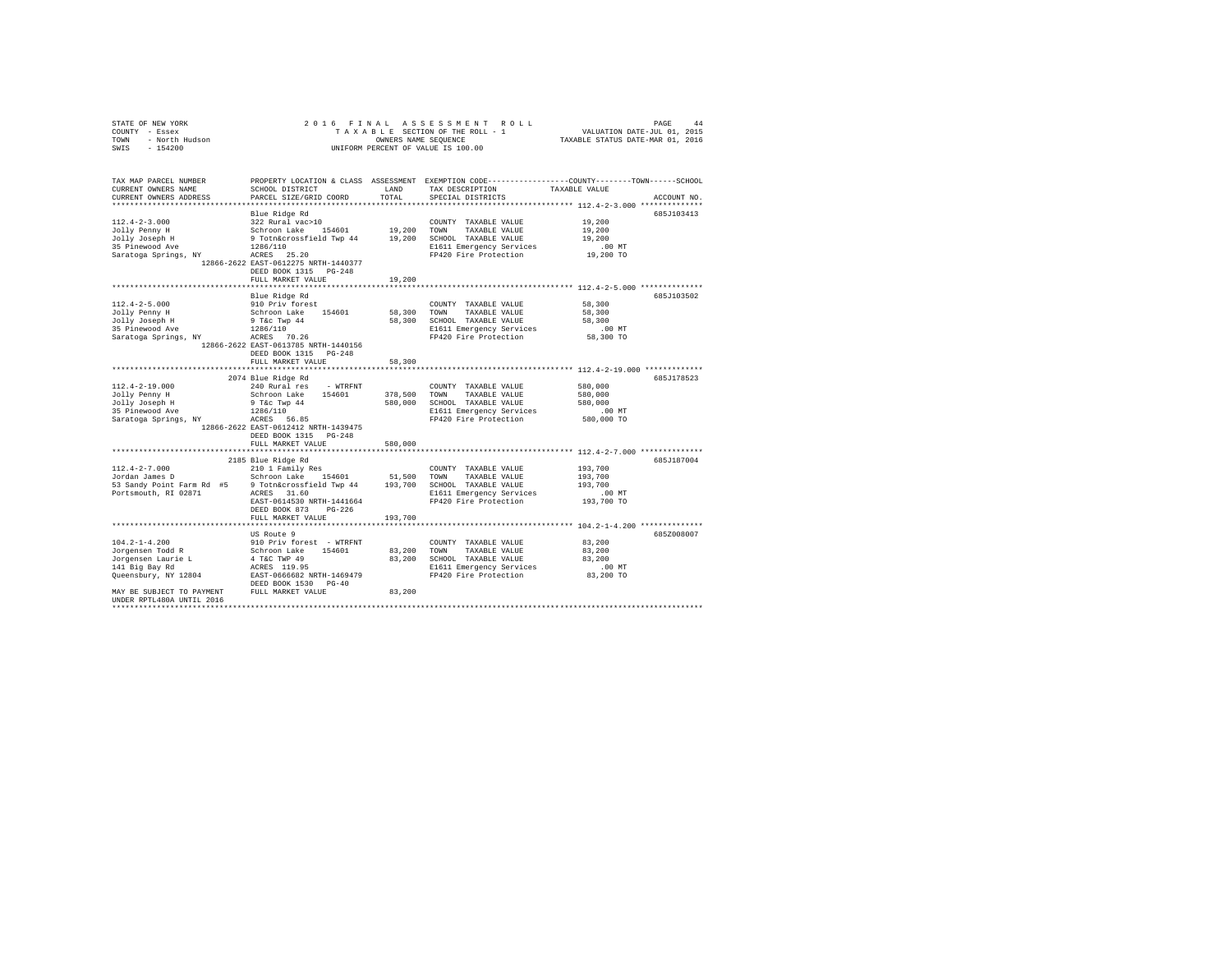| COUNTY - Essex<br>TOWN<br>- North Hudson<br>SWIS<br>$-154200$                                                                                                     |                                                                                                                                                                                                                                                             | OWNERS NAME SEQUENCE          | TAXABLE SECTION OF THE ROLL - 1<br>UNIFORM PERCENT OF VALUE IS 100.00                                                      | VALUATION DATE-JUL 01, 2015<br>TAXABLE STATUS DATE-MAR 01, 2016                                                                 |
|-------------------------------------------------------------------------------------------------------------------------------------------------------------------|-------------------------------------------------------------------------------------------------------------------------------------------------------------------------------------------------------------------------------------------------------------|-------------------------------|----------------------------------------------------------------------------------------------------------------------------|---------------------------------------------------------------------------------------------------------------------------------|
| TAX MAP PARCEL NUMBER<br>CURRENT OWNERS NAME<br>CURRENT OWNERS ADDRESS                                                                                            | SCHOOL DISTRICT<br>PARCEL SIZE/GRID COORD                                                                                                                                                                                                                   | LAND<br>TOTAL                 | TAX DESCRIPTION<br>SPECIAL DISTRICTS                                                                                       | PROPERTY LOCATION & CLASS ASSESSMENT EXEMPTION CODE----------------COUNTY-------TOWN-----SCHOOL<br>TAXABLE VALUE<br>ACCOUNT NO. |
| $112.4 - 2 - 3.000$<br>Jolly Penny H<br>Jolly Fenny .<br>Jolly Joseph H<br>Ave<br>Saratoga Springs, NY                                                            | Blue Ridge Rd<br>322 Rural vac>10<br>Schroon Lake 154601 19,200 TOWN TAXABLE VALUE<br>9 Totn&crossfield Twp 44 19,200 SCHOOL TAXABLE VALUE<br>1286/110<br>ACRES 25.20<br>12866-2622 EAST-0612275 NRTH-1440377<br>DEED BOOK 1315 PG-248<br>FULL MARKET VALUE | 19,200                        | COUNTY TAXABLE VALUE<br>E1611 Emergency Services<br>FP420 Fire Protection                                                  | 685J103413<br>19,200<br>19,200<br>19,200<br>$.00$ MT<br>19,200 TO                                                               |
|                                                                                                                                                                   |                                                                                                                                                                                                                                                             |                               |                                                                                                                            |                                                                                                                                 |
| $112.4 - 2 - 5.000$<br>Jolly Penny H<br>Jolly Joseph H<br>35 Pinewood Ave<br>Saratoga Springs, NY                                                                 | Blue Ridge Rd<br>910 Priv forest<br>Schroon Lake 154601<br>9 T&c Twp 44<br>1286/110<br>ACRES 70.26<br>12866-2622 EAST-0613785 NRTH-1440156<br>DEED BOOK 1315 PG-248                                                                                         | 58,300<br>58,300              | COUNTY TAXABLE VALUE<br>TOWN<br>TAXABLE VALUE<br>SCHOOL TAXABLE VALUE<br>E1611 Emergency Services<br>FP420 Fire Protection | 685J103502<br>58,300<br>58,300<br>58,300<br>$.00$ MT<br>58,300 TO                                                               |
|                                                                                                                                                                   | FULL MARKET VALUE                                                                                                                                                                                                                                           | 58,300                        |                                                                                                                            |                                                                                                                                 |
|                                                                                                                                                                   |                                                                                                                                                                                                                                                             |                               |                                                                                                                            | ********************************* 112.4-2-19.000 *************                                                                  |
| $112.4 - 2 - 19.000$<br>Jolly Penny H<br>Jolly Joseph H<br>35 Pinewood Ave<br>Saratoga Springs, NY                                                                | 2074 Blue Ridge Rd<br>240 Rural res - WTRFNT<br>Schroon Lake 154601<br>$9$ T&c Twp $44$<br>1286/110<br>ACRES 56.85<br>12866-2622 EAST-0612412 NRTH-1439475<br>DEED BOOK 1315 PG-248<br>FULL MARKET VALUE                                                    | 378,500<br>580,000<br>580,000 | COUNTY TAXABLE VALUE<br>TAXABLE VALUE<br>TOWN<br>SCHOOL TAXABLE VALUE<br>E1611 Emergency Services<br>FP420 Fire Protection | 685J178523<br>580,000<br>580,000<br>580,000<br>$.00$ MT<br>580,000 TO                                                           |
|                                                                                                                                                                   |                                                                                                                                                                                                                                                             |                               |                                                                                                                            |                                                                                                                                 |
| $112.4 - 2 - 7.000$<br>Jordan James D<br>53 Sandy Point Farm Rd #5<br>Portsmouth, RI 02871                                                                        | 2185 Blue Ridge Rd<br>210 1 Family Res<br>Schroon Lake 154601<br>9 Totn&crossfield Twp 44 193,700 SCHOOL TAXABLE VALUE<br>ACRES 31.60<br>EAST-0614530 NRTH-1441664<br>DEED BOOK 873<br>$PG-226$                                                             | 51,500                        | COUNTY TAXABLE VALUE<br>TAXABLE VALUE<br>TOWN<br>E1611 Emergency Services<br>FP420 Fire Protection                         | 685J187004<br>193,700<br>193,700<br>193,700<br>.00MT<br>193,700 TO                                                              |
|                                                                                                                                                                   | FULL MARKET VALUE                                                                                                                                                                                                                                           | 193,700                       |                                                                                                                            |                                                                                                                                 |
| $104.2 - 1 - 4.200$<br>Jorgensen Todd R<br>Jorgensen Laurie L<br>141 Big Bay Rd<br>Queensbury, NY 12804<br>MAY BE SUBJECT TO PAYMENT<br>UNDER RPTL480A UNTIL 2016 | US Route 9<br>910 Priv forest - WTRFNT<br>Schroon Lake 154601<br>4 T&C TWP 49<br>ACRES 119.95<br>EAST-0666682 NRTH-1469479<br>DEED BOOK 1530 PG-40<br>FULL MARKET VALUE                                                                                     | 83,200<br>83,200<br>83,200    | COUNTY TAXABLE VALUE<br>TOWN<br>TAXABLE VALUE<br>SCHOOL TAXABLE VALUE<br>E1611 Emergency Services<br>FP420 Fire Protection | 685Z008007<br>83,200<br>83,200<br>83,200<br>$.00$ MT<br>83,200 TO                                                               |
|                                                                                                                                                                   |                                                                                                                                                                                                                                                             |                               |                                                                                                                            |                                                                                                                                 |

STATE OF NEW YORK 2016 FINAL ASSESSMENT ROLL PAGE 44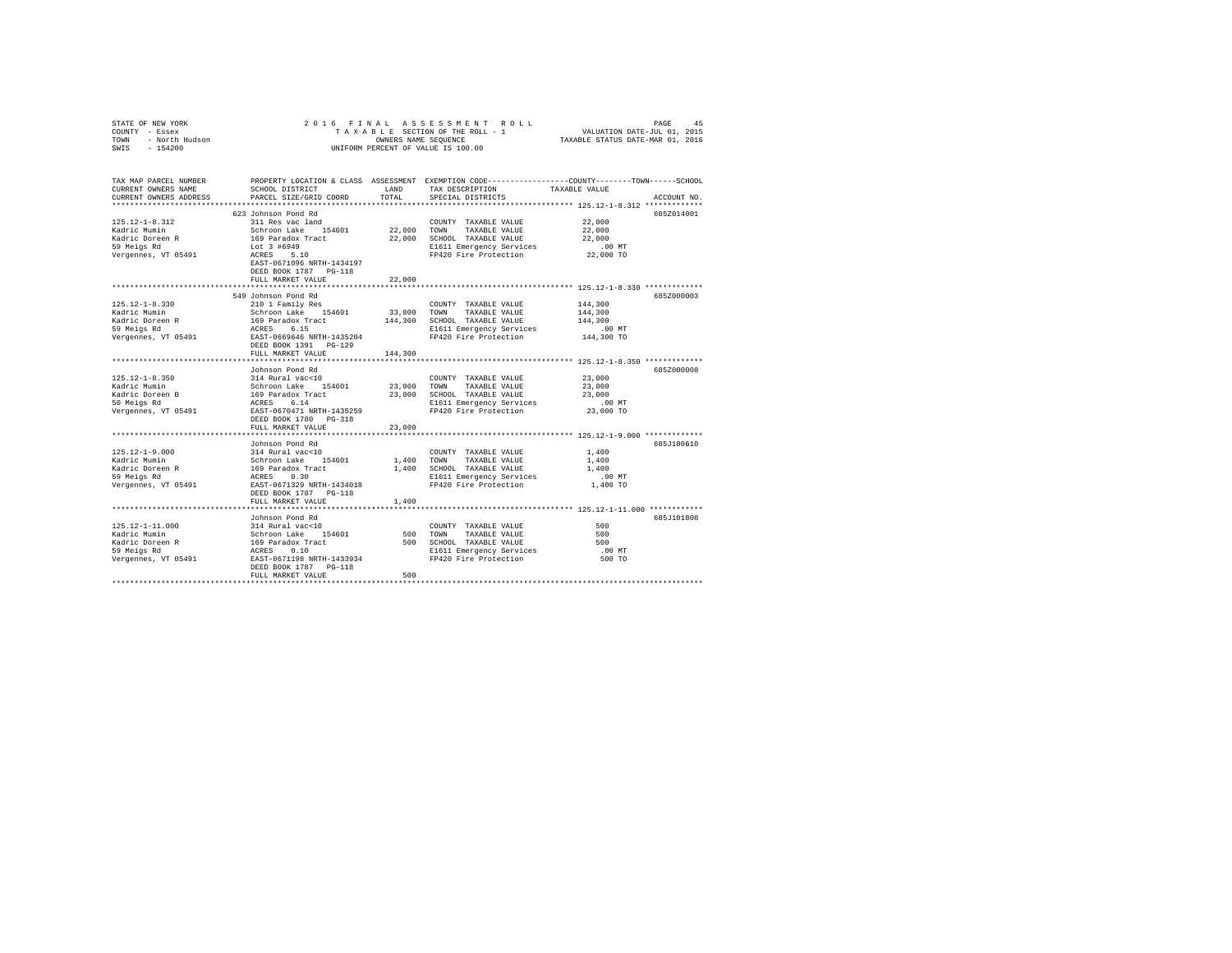| STATE OF NEW YORK<br>COUNII - ESSEX<br>TOWN - North Hudson<br>SWIS - 154000<br>SWIS - 154200   |                                                                                                                                                                          |               | 2016 FINAL ASSESSMENT ROLL<br>OWNERS NAME SEQUENCE<br>UNIFORM PERCENT OF VALUE IS 100.00                                                        | PAGE<br>45<br>TAXABLE STATUS DATE-MAR 01, 2016                                                                                                      |
|------------------------------------------------------------------------------------------------|--------------------------------------------------------------------------------------------------------------------------------------------------------------------------|---------------|-------------------------------------------------------------------------------------------------------------------------------------------------|-----------------------------------------------------------------------------------------------------------------------------------------------------|
| CURRENT OWNERS NAME<br>CURRENT OWNERS ADDRESS                                                  | SCHOOL DISTRICT<br>PARCEL SIZE/GRID COORD                                                                                                                                | LAND<br>TOTAL | TAX DESCRIPTION<br>SPECIAL DISTRICTS                                                                                                            | TAX MAP PARCEL NUMBER PROPERTY LOCATION & CLASS ASSESSMENT EXEMPTION CODE--------------COUNTY-------TOWN-----SCHOOL<br>TAXABLE VALUE<br>ACCOUNT NO. |
| $125.12 - 1 - 8.312$<br>Kadric Mumin<br>Kadric Doreen R<br>59 Meigs Rd<br>Vergennes, VT 05491  | 623 Johnson Pond Rd<br>311 Res vac land<br>Schroon Lake 154601<br>169 Paradox Tract<br>Lot 3 #6949<br>ACRES 5.10<br>EAST-0671096 NRTH-1434197<br>DEED BOOK 1787 PG-118   |               | COUNTY TAXABLE VALUE<br>22,000 TOWN TAXABLE VALUE<br>22,000 SCHOOL TAXABLE VALUE<br>E1611 Emergency Services<br>FP420 Fire Protection 22,000 TO | 685Z014001<br>22,000<br>22,000<br>22,000<br>$.00$ MT                                                                                                |
|                                                                                                | FULL MARKET VALUE                                                                                                                                                        | 22,000        |                                                                                                                                                 |                                                                                                                                                     |
| $125.12 - 1 - 8.330$<br>Kadric Mumin                                                           | 549 Johnson Pond Rd<br>210 1 Family Res<br>Schroon Lake 154601                                                                                                           |               | COUNTY TAXABLE VALUE<br>33,800 TOWN TAXABLE VALUE                                                                                               | 6857000003<br>144,300<br>144,300                                                                                                                    |
| Kadric Doreen R<br>59 Meigs Rd<br>Vergennes, VT 05491                                          | 169 Paradox Tract<br>ACRES 6.15<br>EAST-0669646 NRTH-1435204<br>DEED BOOK 1391    PG-129                                                                                 |               | 144,300 SCHOOL TAXABLE VALUE<br>E1611 Emergency Services .00 MT<br>FP420 Fire Protection .01 144,300 TO                                         | 144,300                                                                                                                                             |
|                                                                                                | FULL MARKET VALUE                                                                                                                                                        | 144,300       |                                                                                                                                                 |                                                                                                                                                     |
| $125.12 - 1 - 8.350$<br>Kadric Mumin<br>Kadric Doreen B<br>50 Meigs Rd<br>Vergennes, VT 05491  | Johnson Pond Rd<br>314 Rural vac<10<br>Schroon Lake 154601<br>169 Paradox Tract<br>ACRES 6.14<br>EAST-0670471 NRTH-1435259                                               |               | COUNTY TAXABLE VALUE<br>23,000 TOWN TAXABLE VALUE<br>23,000 SCHOOL TAXABLE VALUE<br>E1611 Emergency Services<br>FP420 Fire Protection           | 6857000008<br>23,000<br>23,000<br>23,000<br>.00 MT<br>23,000 TO                                                                                     |
|                                                                                                | DEED BOOK 1780 PG-318                                                                                                                                                    |               |                                                                                                                                                 |                                                                                                                                                     |
|                                                                                                | FULL MARKET VALUE<br>Johnson Pond Rd                                                                                                                                     | 23,000        |                                                                                                                                                 | 685J100610                                                                                                                                          |
| $125.12 - 1 - 9.000$<br>Kadric Mumin<br>Kadric Doreen R<br>59 Meigs Rd<br>Vergennes, VT 05491  | 314 Rural vac<10<br>314 Rural vac<10<br>Schroon Lake 154601<br>169 Paradox Tract<br>ACRES 0.30<br>EAST-0671329 NRTH-1434018<br>DEED BOOK 1787 PG-118                     |               | COUNTY TAXABLE VALUE<br>1,400 TOWN TAXABLE VALUE<br>1,400 SCHOOL TAXABLE VALUE<br>E1611 Emergency Services<br>FP420 Fire Protection             | 1,400<br>1,400<br>1,400<br>$.00$ MT<br>1,400 TO                                                                                                     |
|                                                                                                | FULL MARKET VALUE                                                                                                                                                        | 1,400         |                                                                                                                                                 |                                                                                                                                                     |
| $125.12 - 1 - 11.000$<br>Kadric Mumin<br>Kadric Doreen R<br>59 Meigs Rd<br>Vergennes, VT 05491 | Johnson Pond Rd<br>314 Rural vac<10<br>Schroon Lake 154601<br>169 Paradox Tract<br>ACRES 0.10<br>EAST-0671198 NRTH-1433934<br>DEED BOOK 1787 PG-118<br>FULL MARKET VALUE | 500           | COUNTY TAXABLE VALUE<br>500 TOWN TAXABLE VALUE<br>500 SCHOOL TAXABLE VALUE<br>E1611 Emergency Services<br>FP420 Fire Protection                 | 685J101808<br>500<br>500<br>500<br>.00 MT<br>500 TO                                                                                                 |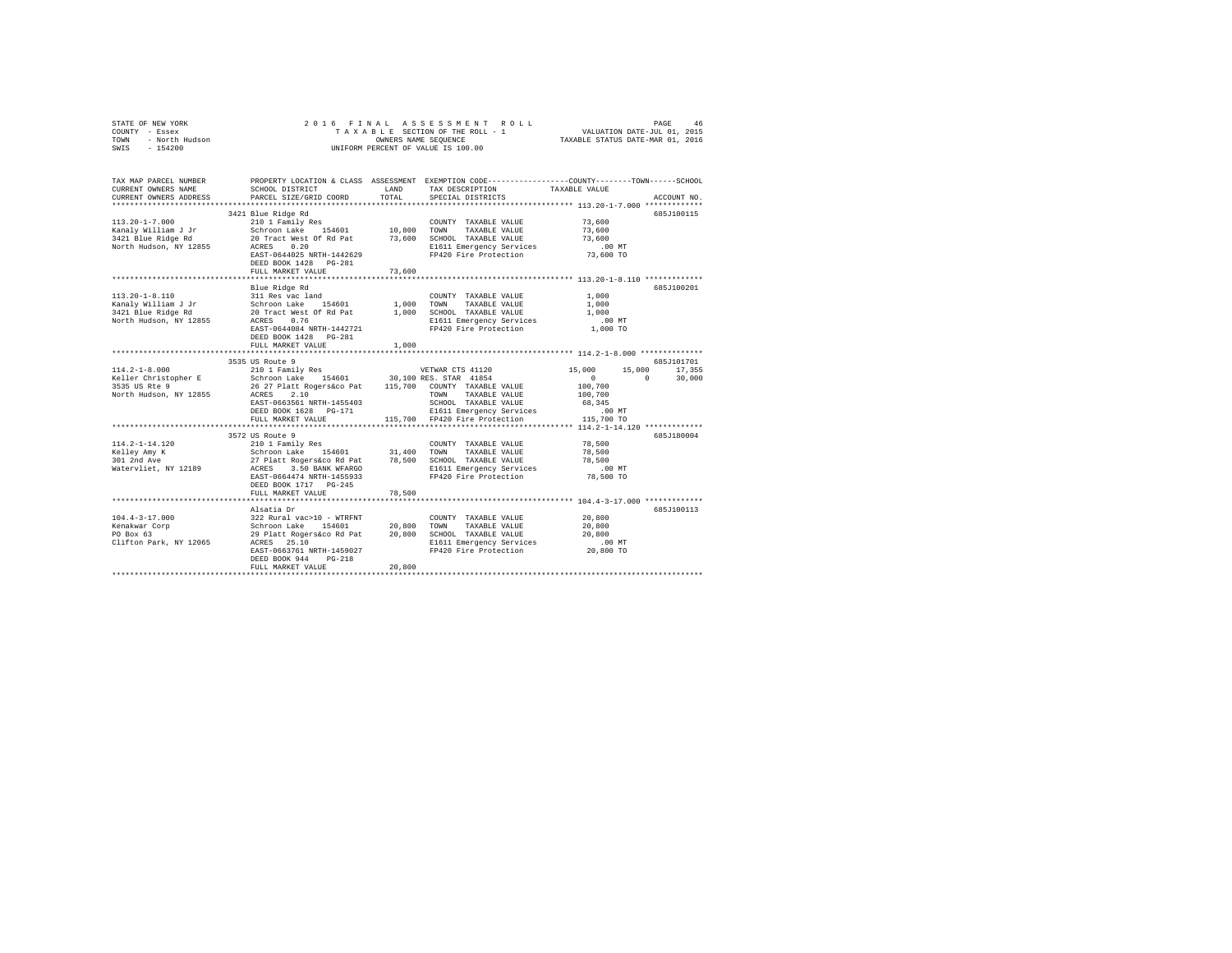| COUNTY - Essex<br>TOWN<br>- North Hudson<br>SWIS<br>$-154200$                               |                                                                                                                                                                                                                                                                                                                |               | UNIFORM PERCENT OF VALUE IS 100.00                                                                                                              |                                                                     |                                       |
|---------------------------------------------------------------------------------------------|----------------------------------------------------------------------------------------------------------------------------------------------------------------------------------------------------------------------------------------------------------------------------------------------------------------|---------------|-------------------------------------------------------------------------------------------------------------------------------------------------|---------------------------------------------------------------------|---------------------------------------|
| TAX MAP PARCEL NUMBER<br>CURRENT OWNERS NAME<br>CURRENT OWNERS ADDRESS                      | PROPERTY LOCATION & CLASS ASSESSMENT EXEMPTION CODE----------------COUNTY-------TOWN-----SCHOOL<br>SCHOOL DISTRICT<br>PARCEL SIZE/GRID COORD                                                                                                                                                                   | LAND<br>TOTAL | TAX DESCRIPTION<br>SPECIAL DISTRICTS                                                                                                            | TAXABLE VALUE<br>********************* 113.20-1-7.000 ************* | ACCOUNT NO.                           |
| $113.20 - 1 - 7.000$<br>Kanaly William J Jr<br>3421 Blue Ridge Rd<br>North Hudson, NY 12855 | 3421 Blue Ridge Rd<br>210 1 Family Res<br>Schroon Lake 154601<br>20 Tract West Of Rd Pat 73,600 SCHOOL TAXABLE VALUE<br>ACRES 0.20 0.20 E1611 Emergency Services<br>EAST-0644025 NRTH-1442629<br>DEED BOOK 1428   PG-281<br>FULL MARKET VALUE                                                                  | 73,600        | COUNTY TAXABLE VALUE<br>10,800 TOWN TAXABLE VALUE<br>E1611 Emergency Services<br>FP420 Fire Protection                                          | 73,600<br>73,600<br>73,600<br>$.00$ MT<br>73,600 TO                 | 685J100115                            |
|                                                                                             |                                                                                                                                                                                                                                                                                                                |               |                                                                                                                                                 |                                                                     |                                       |
| $113.20 - 1 - 8.110$<br>Kanaly William J Jr<br>3421 Blue Ridge Rd<br>North Hudson, NY 12855 | Blue Ridge Rd<br>311 Res vac land<br>Schroon Lake 154601<br>20 Tract West Of Rd Pat<br>ACRES 0.76<br>EAST-0644084 NRTH-1442721<br>DEED BOOK 1428 PG-281                                                                                                                                                        | 1,000 TOWN    | COUNTY TAXABLE VALUE<br>TAXABLE VALUE<br>1,000 SCHOOL TAXABLE VALUE<br>E1611 Emergency Services<br>FP420 Fire Protection                        | 1,000<br>1,000<br>1,000<br>$.00$ MT<br>1,000 TO                     | 685J100201                            |
|                                                                                             | FULL MARKET VALUE                                                                                                                                                                                                                                                                                              | 1,000         |                                                                                                                                                 |                                                                     |                                       |
| $114.2 - 1 - 8.000$<br>Keller Christopher E                                                 | 3535 US Route 9<br>210 1 Family Res<br>Schroon Lake 154601 30,100 RES. STAR 41854                                                                                                                                                                                                                              |               | VETWAR CTS 41120                                                                                                                                | 15,000<br>$\sim$ 0<br>$\sim$ 0                                      | 685J101701<br>15,000 17,355<br>30,000 |
| 3535 US Rte 9<br>North Hudson, NY 12855                                                     | 26 27 Platt Rogers&co Pat 115,700 COUNTY TAXABLE VALUE<br>ACRES 2.10<br>PAST-0663561 NRTH-1455403<br>EAST-0663561 NRTH-1455403<br>DEED BOOK 1628 PG-171<br>FULL MARKET VALUE                                                                                                                                   |               | TOWN TAXABLE VALUE<br>SCHOOL TAXABLE VALUE<br>E1611 Emergency Services<br>115,700 FP420 Fire Protection                                         | 100,700<br>100,700<br>68,345<br>$.00$ MT<br>115,700 TO              |                                       |
|                                                                                             |                                                                                                                                                                                                                                                                                                                |               |                                                                                                                                                 |                                                                     |                                       |
| 114.2-1-14.120<br>Kelley Amy K<br>301 2nd Ave<br>Watervliet, NY 12189                       | 3572 US Route 9<br>2001 - COUNTY TAXABLE VALUE<br>210 1 Family Res<br>21 - Platt Rogers&co Rd Pat 31,400 TORN TAXABLE VALUE<br>27 Platt Rogers&co Rd Pat 78,500 SCHOOL TAXABLE VALUE<br>27 Platt Rogers&co Rigil Emergency Services<br>EAST-0664474 NRTH-1455933<br>DEED BOOK 1717 PG-245<br>FULL MARKET VALUE | 78,500        | FP420 Fire Protection                                                                                                                           | 78,500<br>78,500<br>78,500<br>$.00$ MT<br>78,500 TO                 | 685J180004                            |
|                                                                                             |                                                                                                                                                                                                                                                                                                                |               |                                                                                                                                                 |                                                                     |                                       |
| $104.4 - 3 - 17.000$<br>Kenakwar Corp<br>PO Box 63<br>Clifton Park, NY 12065                | Alsatia Dr<br>322 Rural vac>10 - WTRFNT<br>Schroon Lake 154601<br>29 Platt Rogers&co Rd Pat<br>29 Platt Rogers&co Rd Pat<br>ACRES 25.10<br>EAST-0663761 NRTH-1459027<br>DEED BOOK 944 PG-218<br>FULL MARKET VALUE                                                                                              | 20,800        | COUNTY TAXABLE VALUE<br>20,800 TOWN TAXABLE VALUE<br>20,800 SCHOOL TAXABLE VALUE<br>E1611 Emergency Services<br>FP420 Fire Protection 20,800 TO | 20,800<br>20,800<br>20,800<br>$.00$ MT                              | 685J100113                            |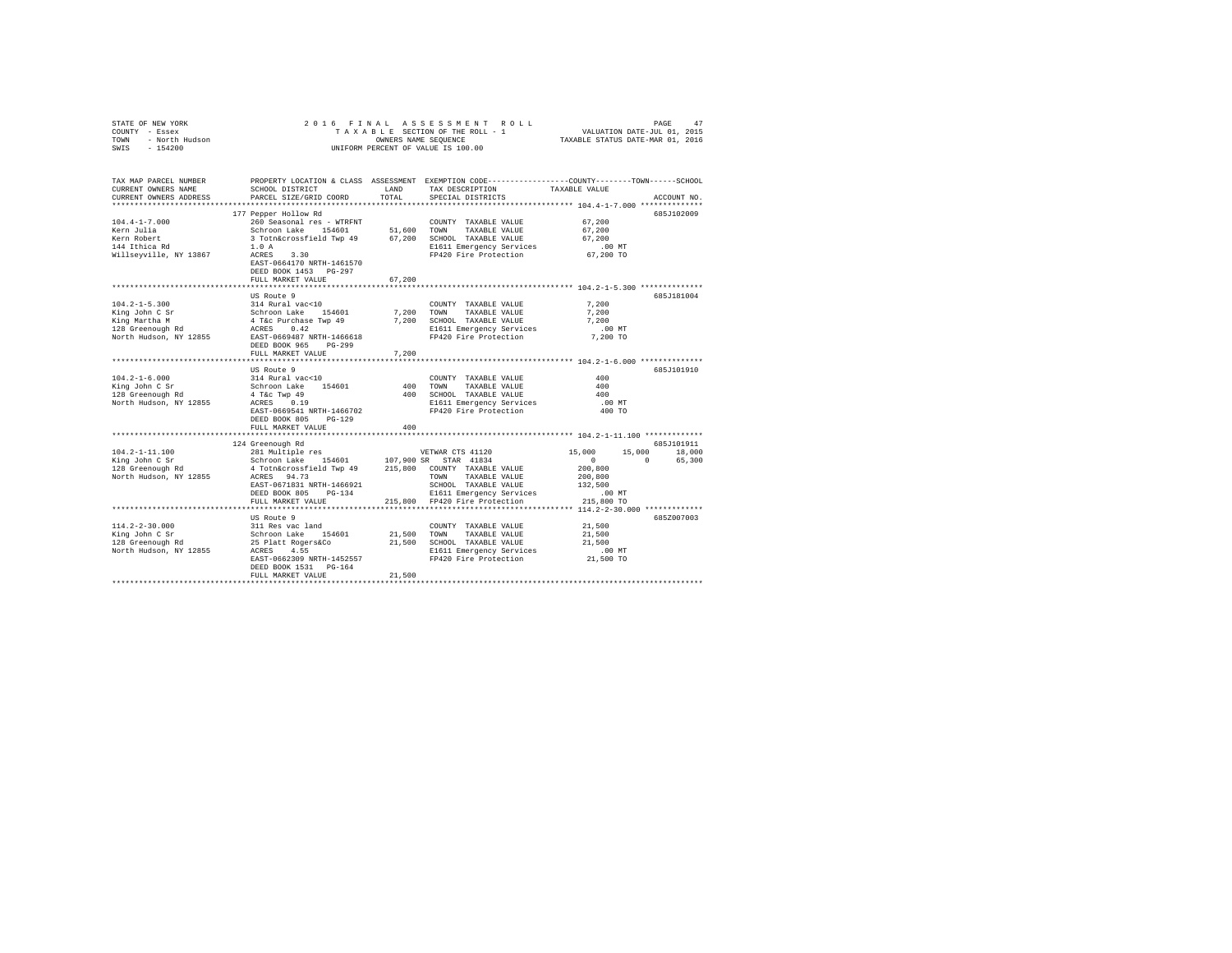| TAX MAP PARCEL NUMBER PROPERTY LOCATION & CLASS ASSESSMENT EXEMPTION CODE--------------COUNTY-------TOWN-----SCHOOL<br>CURRENT OWNERS NAME<br>LAND<br>TAXABLE VALUE<br>SCHOOL DISTRICT<br>TAX DESCRIPTION<br>CURRENT OWNERS ADDRESS<br>PARCEL SIZE/GRID COORD<br>TOTAL<br>SPECIAL DISTRICTS<br>ACCOUNT NO.<br>***********************<br>177 Pepper Hollow Rd<br>685J102009<br>$104.4 - 1 - 7.000$<br>260 Seasonal res - WTRFNT<br>67,200<br>COUNTY TAXABLE VALUE<br>Schroon Lake 154601 51,600 TOWN TAXABLE VALUE<br>3 Totn&crossfield Twp 49 67,200 SCHOOL TAXABLE VALUE<br>Kern Julia<br>67,200<br>TAXABLE VALUE<br>Kern Robert<br>67,200<br>144 Ithica Rd<br>1.0A<br>E1611 Emergency Services .00 MT<br>FP420 Fire Protection .07,200 TO<br>Willseyville, NY 13867<br>ACRES 3.30<br>EAST-0664170 NRTH-1461570<br>DEED BOOK 1453 PG-297<br>FULL MARKET VALUE<br>67.200<br>6857181004<br>US Route 9<br>$104.2 - 1 - 5.300$<br>314 Rural vac<10<br>7,200<br>COUNTY TAXABLE VALUE<br>Schroon Lake 154601<br>4 Tác Purchase Twp 49<br>ACRES 0.42<br>7,200 TOWN TAXABLE VALUE<br>7,200 SCHOOL TAXABLE VALUE<br>7,200<br>King John C Sr<br>TAXABLE VALUE<br>King Martha M<br>7,200<br>128 Greenough Rd<br>E1611 Emergency Services<br>FP420 Fire Protection<br>$.00$ MT<br>North Hudson, NY 12855 EAST-0669487 NRTH-1466618<br>7,200 TO<br>DEED BOOK 965 PG-299<br>7.200<br>FULL MARKET VALUE<br>US Route 9<br>685.T101910<br>$104.2 - 1 - 6.000$<br>314 Rural vac<10<br>400<br>COUNTY TAXABLE VALUE<br>Schroon Lake 154601<br>4 T&c Twp 49<br>ACRES 0.19<br>King John C Sr<br>400 TOWN TAXABLE VALUE<br>400 SCHOOL TAXABLE VALUE<br>400<br>128 Greenough Rd<br>400<br>North Hudson, NY 12855<br>E1611 Emergency Services<br>FP420 Fire Protection<br>$.00$ MT<br>EAST-0669541 NRTH-1466702<br>400 TO<br>DEED BOOK 805 PG-129<br>FULL MARKET VALUE<br>400<br>124 Greenough Rd<br>685J101911<br>281 Multiple res<br>$104.2 - 1 - 11.100$<br>15,000<br>15,000 18,000<br>VETWAR CTS 41120<br>Schroon Lake 154601<br>107,900 SR STAR 41834<br>$\sim$ 0<br>King John C Sr<br>$\Omega$<br>65,300<br>128 Greenough Rd<br>4 Totn&crossfield Twp 49 215,800 COUNTY TAXABLE VALUE<br>200,800<br>ACRES 94.73<br>North Hudson, NY 12855<br>200,800<br>TOWN<br>TAXABLE VALUE<br>EAST-0671831 NRTH-1466921<br>132,500<br>SCHOOL TAXABLE VALUE<br>DEED BOOK 805 PG-134<br>E1611 Emergency Services<br>$.00$ MT<br>215,800 TO<br>FULL MARKET VALUE<br>215,800 FP420 Fire Protection<br>US Route 9<br>685Z007003<br>$114.2 - 2 - 30.000$<br>311 Res vac land<br>Schroon Lake 154601<br>25 Platt Rogers&Co<br>21,500<br>COUNTY TAXABLE VALUE<br>21,500 TOWN<br>TAXABLE VALUE<br>21,500<br>21,500 SCHOOL TAXABLE VALUE<br>21,500<br>ACRES 4.55<br>North Hudson, NY 12855<br>E1611 Emergency Services<br>$.00$ MT<br>FP420 Fire Protection<br>21,500 TO<br>EAST-0662309 NRTH-1452557<br>DEED BOOK 1531 PG-164<br>21,500<br>FULL MARKET VALUE | STATE OF NEW YORK<br>COUNTY - Essex<br>COUNTY - Essex<br>TOWN - North Hudson<br>SWIS - 154200 |  | 2016 FINAL ASSESSMENT ROLL<br>UNIFORM PERCENT OF VALUE IS 100.00 | PAGE | 47 |
|-----------------------------------------------------------------------------------------------------------------------------------------------------------------------------------------------------------------------------------------------------------------------------------------------------------------------------------------------------------------------------------------------------------------------------------------------------------------------------------------------------------------------------------------------------------------------------------------------------------------------------------------------------------------------------------------------------------------------------------------------------------------------------------------------------------------------------------------------------------------------------------------------------------------------------------------------------------------------------------------------------------------------------------------------------------------------------------------------------------------------------------------------------------------------------------------------------------------------------------------------------------------------------------------------------------------------------------------------------------------------------------------------------------------------------------------------------------------------------------------------------------------------------------------------------------------------------------------------------------------------------------------------------------------------------------------------------------------------------------------------------------------------------------------------------------------------------------------------------------------------------------------------------------------------------------------------------------------------------------------------------------------------------------------------------------------------------------------------------------------------------------------------------------------------------------------------------------------------------------------------------------------------------------------------------------------------------------------------------------------------------------------------------------------------------------------------------------------------------------------------------------------------------------------------------------------------------------------------------------------------------------------------------------------------------------------------------------------------------------------------------------------------------------------------------------------------------------------------------------------------------------------------------------------------|-----------------------------------------------------------------------------------------------|--|------------------------------------------------------------------|------|----|
|                                                                                                                                                                                                                                                                                                                                                                                                                                                                                                                                                                                                                                                                                                                                                                                                                                                                                                                                                                                                                                                                                                                                                                                                                                                                                                                                                                                                                                                                                                                                                                                                                                                                                                                                                                                                                                                                                                                                                                                                                                                                                                                                                                                                                                                                                                                                                                                                                                                                                                                                                                                                                                                                                                                                                                                                                                                                                                                       |                                                                                               |  |                                                                  |      |    |
|                                                                                                                                                                                                                                                                                                                                                                                                                                                                                                                                                                                                                                                                                                                                                                                                                                                                                                                                                                                                                                                                                                                                                                                                                                                                                                                                                                                                                                                                                                                                                                                                                                                                                                                                                                                                                                                                                                                                                                                                                                                                                                                                                                                                                                                                                                                                                                                                                                                                                                                                                                                                                                                                                                                                                                                                                                                                                                                       |                                                                                               |  |                                                                  |      |    |
|                                                                                                                                                                                                                                                                                                                                                                                                                                                                                                                                                                                                                                                                                                                                                                                                                                                                                                                                                                                                                                                                                                                                                                                                                                                                                                                                                                                                                                                                                                                                                                                                                                                                                                                                                                                                                                                                                                                                                                                                                                                                                                                                                                                                                                                                                                                                                                                                                                                                                                                                                                                                                                                                                                                                                                                                                                                                                                                       |                                                                                               |  |                                                                  |      |    |
|                                                                                                                                                                                                                                                                                                                                                                                                                                                                                                                                                                                                                                                                                                                                                                                                                                                                                                                                                                                                                                                                                                                                                                                                                                                                                                                                                                                                                                                                                                                                                                                                                                                                                                                                                                                                                                                                                                                                                                                                                                                                                                                                                                                                                                                                                                                                                                                                                                                                                                                                                                                                                                                                                                                                                                                                                                                                                                                       |                                                                                               |  |                                                                  |      |    |
|                                                                                                                                                                                                                                                                                                                                                                                                                                                                                                                                                                                                                                                                                                                                                                                                                                                                                                                                                                                                                                                                                                                                                                                                                                                                                                                                                                                                                                                                                                                                                                                                                                                                                                                                                                                                                                                                                                                                                                                                                                                                                                                                                                                                                                                                                                                                                                                                                                                                                                                                                                                                                                                                                                                                                                                                                                                                                                                       |                                                                                               |  |                                                                  |      |    |
|                                                                                                                                                                                                                                                                                                                                                                                                                                                                                                                                                                                                                                                                                                                                                                                                                                                                                                                                                                                                                                                                                                                                                                                                                                                                                                                                                                                                                                                                                                                                                                                                                                                                                                                                                                                                                                                                                                                                                                                                                                                                                                                                                                                                                                                                                                                                                                                                                                                                                                                                                                                                                                                                                                                                                                                                                                                                                                                       |                                                                                               |  |                                                                  |      |    |
|                                                                                                                                                                                                                                                                                                                                                                                                                                                                                                                                                                                                                                                                                                                                                                                                                                                                                                                                                                                                                                                                                                                                                                                                                                                                                                                                                                                                                                                                                                                                                                                                                                                                                                                                                                                                                                                                                                                                                                                                                                                                                                                                                                                                                                                                                                                                                                                                                                                                                                                                                                                                                                                                                                                                                                                                                                                                                                                       |                                                                                               |  |                                                                  |      |    |
|                                                                                                                                                                                                                                                                                                                                                                                                                                                                                                                                                                                                                                                                                                                                                                                                                                                                                                                                                                                                                                                                                                                                                                                                                                                                                                                                                                                                                                                                                                                                                                                                                                                                                                                                                                                                                                                                                                                                                                                                                                                                                                                                                                                                                                                                                                                                                                                                                                                                                                                                                                                                                                                                                                                                                                                                                                                                                                                       |                                                                                               |  |                                                                  |      |    |
|                                                                                                                                                                                                                                                                                                                                                                                                                                                                                                                                                                                                                                                                                                                                                                                                                                                                                                                                                                                                                                                                                                                                                                                                                                                                                                                                                                                                                                                                                                                                                                                                                                                                                                                                                                                                                                                                                                                                                                                                                                                                                                                                                                                                                                                                                                                                                                                                                                                                                                                                                                                                                                                                                                                                                                                                                                                                                                                       |                                                                                               |  |                                                                  |      |    |
|                                                                                                                                                                                                                                                                                                                                                                                                                                                                                                                                                                                                                                                                                                                                                                                                                                                                                                                                                                                                                                                                                                                                                                                                                                                                                                                                                                                                                                                                                                                                                                                                                                                                                                                                                                                                                                                                                                                                                                                                                                                                                                                                                                                                                                                                                                                                                                                                                                                                                                                                                                                                                                                                                                                                                                                                                                                                                                                       |                                                                                               |  |                                                                  |      |    |
|                                                                                                                                                                                                                                                                                                                                                                                                                                                                                                                                                                                                                                                                                                                                                                                                                                                                                                                                                                                                                                                                                                                                                                                                                                                                                                                                                                                                                                                                                                                                                                                                                                                                                                                                                                                                                                                                                                                                                                                                                                                                                                                                                                                                                                                                                                                                                                                                                                                                                                                                                                                                                                                                                                                                                                                                                                                                                                                       |                                                                                               |  |                                                                  |      |    |
|                                                                                                                                                                                                                                                                                                                                                                                                                                                                                                                                                                                                                                                                                                                                                                                                                                                                                                                                                                                                                                                                                                                                                                                                                                                                                                                                                                                                                                                                                                                                                                                                                                                                                                                                                                                                                                                                                                                                                                                                                                                                                                                                                                                                                                                                                                                                                                                                                                                                                                                                                                                                                                                                                                                                                                                                                                                                                                                       |                                                                                               |  |                                                                  |      |    |
|                                                                                                                                                                                                                                                                                                                                                                                                                                                                                                                                                                                                                                                                                                                                                                                                                                                                                                                                                                                                                                                                                                                                                                                                                                                                                                                                                                                                                                                                                                                                                                                                                                                                                                                                                                                                                                                                                                                                                                                                                                                                                                                                                                                                                                                                                                                                                                                                                                                                                                                                                                                                                                                                                                                                                                                                                                                                                                                       |                                                                                               |  |                                                                  |      |    |
|                                                                                                                                                                                                                                                                                                                                                                                                                                                                                                                                                                                                                                                                                                                                                                                                                                                                                                                                                                                                                                                                                                                                                                                                                                                                                                                                                                                                                                                                                                                                                                                                                                                                                                                                                                                                                                                                                                                                                                                                                                                                                                                                                                                                                                                                                                                                                                                                                                                                                                                                                                                                                                                                                                                                                                                                                                                                                                                       | -------->∪.∪UU<br>King John C Sr<br>128 Greenough Rd<br>North Wid-                            |  |                                                                  |      |    |
|                                                                                                                                                                                                                                                                                                                                                                                                                                                                                                                                                                                                                                                                                                                                                                                                                                                                                                                                                                                                                                                                                                                                                                                                                                                                                                                                                                                                                                                                                                                                                                                                                                                                                                                                                                                                                                                                                                                                                                                                                                                                                                                                                                                                                                                                                                                                                                                                                                                                                                                                                                                                                                                                                                                                                                                                                                                                                                                       |                                                                                               |  |                                                                  |      |    |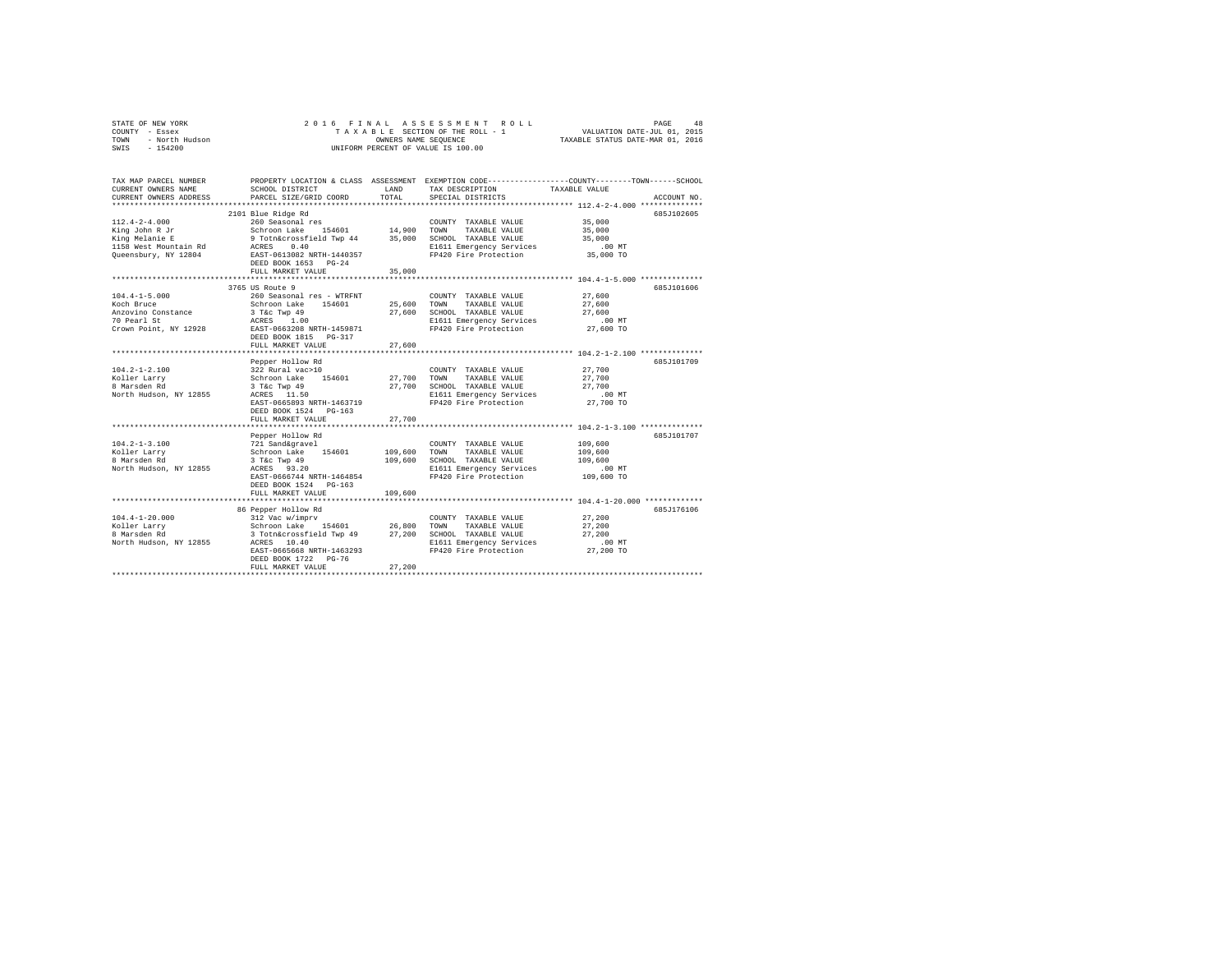|                | STATE OF NEW YORK |  |  |  |  | 2016 FINAL ASSESSMENT ROLL         | PAGE                             | 48 |
|----------------|-------------------|--|--|--|--|------------------------------------|----------------------------------|----|
| COUNTY - Essex |                   |  |  |  |  | TAXABLE SECTION OF THE ROLL - 1    | VALUATION DATE-JUL 01, 2015      |    |
| TOWN           | - North Hudson    |  |  |  |  | OWNERS NAME SEOUENCE               | TAXABLE STATUS DATE-MAR 01, 2016 |    |
| SWIS           | $-154200$         |  |  |  |  | UNIFORM PERCENT OF VALUE IS 100.00 |                                  |    |

| TAX MAP PARCEL NUMBER<br>CURRENT OWNERS NAME<br>CURRENT OWNERS ADDRESS                                   | SCHOOL DISTRICT<br>PARCEL SIZE/GRID COORD                                                                                                                                                                                       | LAND<br>TOTAL                      | PROPERTY LOCATION & CLASS ASSESSMENT EXEMPTION CODE---------------COUNTY-------TOWN-----SCHOOL<br>TAX DESCRIPTION<br>SPECIAL DISTRICTS                                                 | TAXABLE VALUE                                                                                | ACCOUNT NO. |
|----------------------------------------------------------------------------------------------------------|---------------------------------------------------------------------------------------------------------------------------------------------------------------------------------------------------------------------------------|------------------------------------|----------------------------------------------------------------------------------------------------------------------------------------------------------------------------------------|----------------------------------------------------------------------------------------------|-------------|
| $112.4 - 2 - 4.000$<br>King John R Jr<br>King Melanie E<br>1158 West Mountain Rd<br>Queensbury, NY 12804 | 2101 Blue Ridge Rd<br>260 Seasonal res<br>154601 14,900 TOWN<br>Schroon Lake<br>9 Totn&crossfield Twp 44 35,000 SCHOOL TAXABLE VALUE<br>ACRES<br>0.40<br>EAST-0613082 NRTH-1440357<br>DEED BOOK 1653 PG-24<br>FULL MARKET VALUE | 35,000                             | COUNTY TAXABLE VALUE<br>TAXABLE VALUE<br>E1611 Emergency Services<br>FP420 Fire Protection                                                                                             | 35,000<br>35,000<br>35,000<br>$.00$ MT<br>35,000 TO                                          | 685J102605  |
| $104.4 - 1 - 5.000$<br>Koch Bruce<br>Anzovino Constance<br>70 Pearl St<br>Crown Point, NY 12928          | 3765 US Route 9<br>260 Seasonal res - WTRFNT<br>Schroon Lake 154601<br>3 T&c Twp 49<br>ACRES<br>1.00<br>EAST-0663208 NRTH-1459871<br>DEED BOOK 1815 PG-317<br>FULL MARKET VALUE                                                 | 25,600 TOWN<br>27,600<br>********  | COUNTY TAXABLE VALUE<br>TAXABLE VALUE<br>27,600 SCHOOL TAXABLE VALUE<br>E1611 Emergency Services<br>FP420 Fire Protection                                                              | 27,600<br>27,600<br>27,600<br>$.00$ MT<br>27,600 TO<br>*********** 104.2-1-2.100 *********** | 685-7101606 |
| $104.2 - 1 - 2.100$<br>Koller Larry<br>8 Marsden Rd<br>North Hudson, NY 12855                            | Pepper Hollow Rd<br>322 Rural vac>10<br>Schroon Lake 154601<br>3 T&c Twp 49<br>ACRES 11.50<br>EAST-0665893 NRTH-1463719<br>DEED BOOK 1524 PG-163<br>FULL MARKET VALUE                                                           | 27,700<br>27,700                   | COUNTY TAXABLE VALUE<br>27,700 TOWN<br>TAXABLE VALUE<br>SCHOOL TAXABLE VALUE<br>E1611 Emergency Services<br>FP420 Fire Protection                                                      | 27,700<br>27,700<br>27,700<br>$.00$ MT<br>27,700 TO                                          | 685J101709  |
| $104.2 - 1 - 3.100$<br>Koller Larrv<br>8 Marsden Rd<br>North Hudson, NY 12855                            | Pepper Hollow Rd<br>721 Sand&gravel<br>Schroon Lake 154601<br>3 T&c Twp 49<br>ACRES 93.20<br>EAST-0666744 NRTH-1464854<br>DEED BOOK 1524 PG-163<br>FULL MARKET VALUE                                                            | 109,600 TOWN<br>109,600<br>109,600 | COUNTY TAXABLE VALUE<br>TAXABLE VALUE<br>SCHOOL TAXABLE VALUE<br>E1611 Emergency Services<br>FP420 Fire Protection<br>************************************ 104.4-1-20.000 ************ | 109,600<br>109,600<br>109,600<br>$.00$ MT<br>109,600 TO                                      | 685J101707  |
| $104.4 - 1 - 20.000$<br>Koller Larry<br>8 Marsden Rd<br>North Hudson, NY 12855                           | 86 Pepper Hollow Rd<br>312 Vac w/imprv<br>Schroon Lake 154601 26,800<br>3 Totn&crossfield Twp 49 27,200<br>ACRES 10.40<br>EAST-0665668 NRTH-1463293<br>DEED BOOK 1722 PG-76<br>FULL MARKET VALUE                                | 27,200                             | COUNTY TAXABLE VALUE<br>TAXABLE VALUE<br>TOWN<br>SCHOOL TAXABLE VALUE<br>E1611 Emergency Services<br>FP420 Fire Protection                                                             | 27,200<br>27,200<br>27,200<br>$.00$ MT<br>27,200 TO                                          | 685J176106  |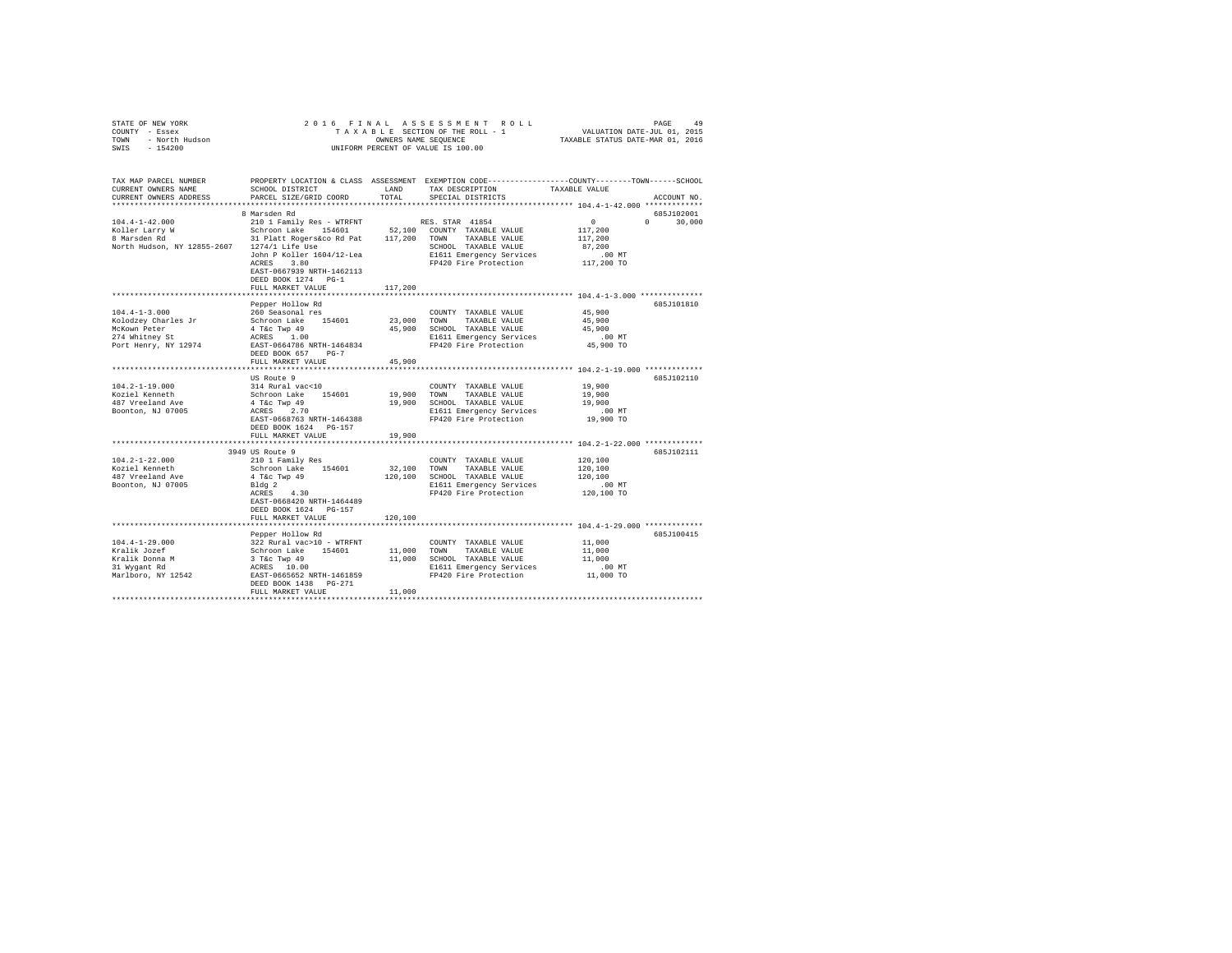|                | STATE OF NEW YORK |  |  |  |  | 2016 FINAL ASSESSMENT ROLL         | PAGE                             | 49 |
|----------------|-------------------|--|--|--|--|------------------------------------|----------------------------------|----|
| COUNTY - Essex |                   |  |  |  |  | TAXABLE SECTION OF THE ROLL - 1    | VALUATION DATE-JUL 01, 2015      |    |
| TOWN           | - North Hudson    |  |  |  |  | OWNERS NAME SEOUENCE               | TAXABLE STATUS DATE-MAR 01, 2016 |    |
| SWIS           | $-154200$         |  |  |  |  | UNIFORM PERCENT OF VALUE IS 100.00 |                                  |    |

| TAX MAP PARCEL NUMBER<br>CURRENT OWNERS NAME<br>CURRENT OWNERS ADDRESS                                                          | SCHOOL DISTRICT<br>PARCEL SIZE/GRID COORD                                                                                                                                                                                    | LAND<br>TOTAL.        | PROPERTY LOCATION & CLASS ASSESSMENT EXEMPTION CODE----------------COUNTY-------TOWN------SCHOOL<br>TAX DESCRIPTION<br>SPECIAL DISTRICTS             | TAXABLE VALUE                                                          | ACCOUNT NO.                      |
|---------------------------------------------------------------------------------------------------------------------------------|------------------------------------------------------------------------------------------------------------------------------------------------------------------------------------------------------------------------------|-----------------------|------------------------------------------------------------------------------------------------------------------------------------------------------|------------------------------------------------------------------------|----------------------------------|
| **********************<br>$104.4 - 1 - 42.000$<br>Koller Larry W<br>8 Marsden Rd<br>North Hudson, NY 12855-2607 1274/1 Life Use | 8 Marsden Rd<br>210 1 Family Res - WTRFNT<br>Schroon Lake 154601<br>31 Platt Rogers&co Rd Pat 117,200<br>John P Koller 1604/12-Lea<br>3.80<br>ACRES<br>EAST-0667939 NRTH-1462113<br>DEED BOOK 1274 PG-1<br>FULL MARKET VALUE | 117,200               | RES. STAR 41854<br>52,100 COUNTY TAXABLE VALUE<br>TAXABLE VALUE<br>TOWN<br>SCHOOL TAXABLE VALUE<br>E1611 Emergency Services<br>FP420 Fire Protection | $\mathbf{0}$<br>117,200<br>117,200<br>87,200<br>$.00$ MT<br>117,200 TO | 685J102001<br>$\Omega$<br>30,000 |
| $104.4 - 1 - 3.000$<br>Kolodzey Charles Jr<br>McKown Peter<br>274 Whitney St<br>Port Henry, NY 12974                            | Pepper Hollow Rd<br>260 Seasonal res<br>Schroon Lake 154601<br>4 T&C Twp 49<br>ACRES 1.00<br>EAST-0664786 NRTH-1464834<br>DEED BOOK 657<br>$PG-7$<br>FULL MARKET VALUE                                                       | 23,000 TOWN<br>45,900 | COUNTY TAXABLE VALUE<br>TAXABLE VALUE<br>45,900 SCHOOL TAXABLE VALUE<br>E1611 Emergency Services<br>FP420 Fire Protection                            | 45,900<br>45,900<br>45,900<br>$.00$ MT<br>45,900 TO                    | 685J101810                       |
| $104.2 - 1 - 19.000$<br>Koziel Kenneth<br>487 Vreeland Ave<br>Boonton, NJ 07005                                                 | US Route 9<br>314 Rural vac<10<br>Schroon Lake 154601<br>4 T&c Twp 49<br>ACRES 2.70<br>EAST-0668763 NRTH-1464388<br>DEED BOOK 1624 PG-157                                                                                    | 19,900                | COUNTY TAXABLE VALUE<br>TOWN<br>TAXABLE VALUE<br>19,900 SCHOOL TAXABLE VALUE<br>E1611 Emergency Services<br>FP420 Fire Protection                    | 19,900<br>19,900<br>19,900<br>$.00$ MT<br>19,900 TO                    | 685J102110                       |
|                                                                                                                                 | FULL MARKET VALUE<br>*************************                                                                                                                                                                               | 19,900                | *********************************** 104.2-1-22.000 **************                                                                                    |                                                                        |                                  |
| $104.2 - 1 - 22.000$<br>Koziel Kenneth<br>487 Vreeland Ave<br>Boonton, NJ 07005                                                 | 3949 US Route 9<br>210 1 Family Res<br>Schroon Lake 154601<br>4 T&c Twp 49<br>Bldg 2<br>ACRES 4.30<br>EAST-0668420 NRTH-1464489                                                                                              | 32,100<br>120,100     | COUNTY TAXABLE VALUE<br>TOWN<br>TAXABLE VALUE<br>SCHOOL TAXABLE VALUE<br>E1611 Emergency Services<br>FP420 Fire Protection                           | 120,100<br>120,100<br>120,100<br>.00 MT<br>120,100 TO                  | 685J102111                       |
|                                                                                                                                 | DEED BOOK 1624 PG-157<br>FULL MARKET VALUE                                                                                                                                                                                   | 120,100               | ******************************** 104.4-1-29.000 *************                                                                                        |                                                                        |                                  |
| $104.4 - 1 - 29.000$<br>Kralik Jozef<br>Kralik Donna M<br>31 Wygant Rd<br>Marlboro, NY 12542                                    | Pepper Hollow Rd<br>322 Rural vac>10 - WTRFNT<br>Schroon Lake 154601<br>3 T&C Twp 49<br>ACRES 10.00<br>EAST-0665652 NRTH-1461859<br>DEED BOOK 1438  PG-271<br>FULL MARKET VALUE                                              | 11,000<br>11,000      | COUNTY TAXABLE VALUE<br>TOWN<br>TAXABLE VALUE<br>11,000 SCHOOL TAXABLE VALUE<br>E1611 Emergency Services<br>FP420 Fire Protection                    | 11,000<br>11,000<br>11,000<br>$.00$ MT<br>11,000 TO                    | 685J100415                       |
|                                                                                                                                 |                                                                                                                                                                                                                              |                       |                                                                                                                                                      |                                                                        |                                  |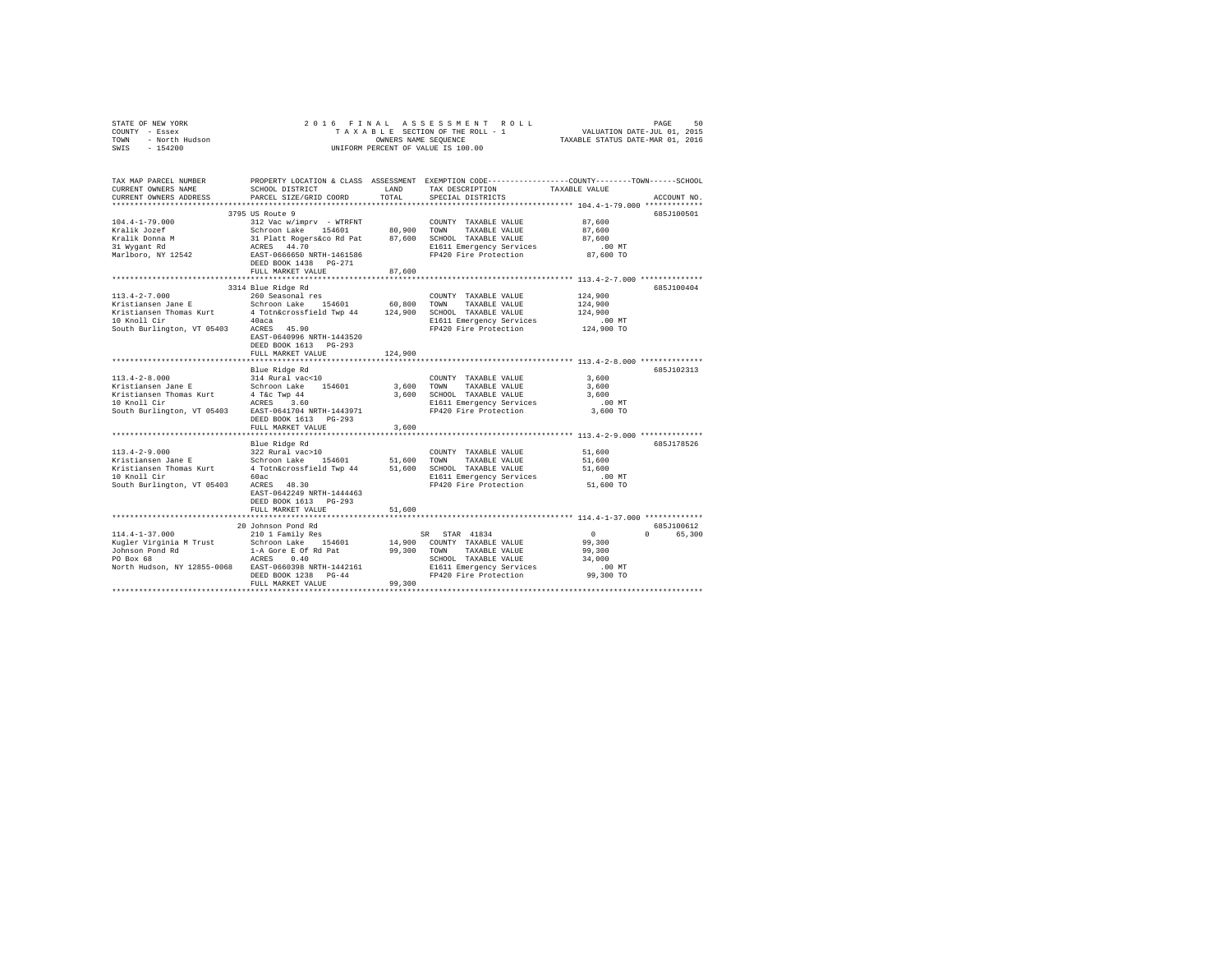|                                                                                                                                                                                                                           |                                                                          |         | 2016 FINAL ASSESSMENT ROLL<br>10 FINAL ASSESSMENT ROLL TAXABLE SCTION OF THE SALUATION DATE-JUL 01, 2015<br>TAXABLE SECTION OF THE ROLL - 1 VALUATION DATE-JUL 01, 2015<br>TAXABLE STATUS DATE-MAR 01, 2016 |                                                                                                     | PAGE<br>50  |
|---------------------------------------------------------------------------------------------------------------------------------------------------------------------------------------------------------------------------|--------------------------------------------------------------------------|---------|-------------------------------------------------------------------------------------------------------------------------------------------------------------------------------------------------------------|-----------------------------------------------------------------------------------------------------|-------------|
| TAX MAP PARCEL NUMBER PROPERTY LOCATION & CLASS ASSESSMENT EXEMPTION CODE---------------COUNTY-------TOWN------SCHOOL<br>CURRENT OWNERS NAME SCHOOL DISTRICT LAND TAX DESCRIPTION TAXABLE VALUE<br>CURRENT OWNERS ADDRESS | PARCEL SIZE/GRID COORD                                                   | TOTAL   | TAX DESCRIPTION TAXABLE VALUE<br>SPECIAL DISTRICTS                                                                                                                                                          |                                                                                                     | ACCOUNT NO. |
|                                                                                                                                                                                                                           | 3795 US Route 9                                                          |         |                                                                                                                                                                                                             |                                                                                                     | 685J100501  |
| $104.4 - 1 - 79.000$<br>Kralik Jozef<br>Kralik Donna M<br>31 Wygant Rd                                                                                                                                                    |                                                                          |         | ACRES 44.70 E1611 Emergency Services<br>EAST-0666650 NRTH-1461586 FP420 Fire Protection                                                                                                                     | 87,600<br>87,600<br>87,600<br>.00MT<br>87,600 TO                                                    |             |
| Marlboro, NY 12542                                                                                                                                                                                                        | DEED BOOK 1438 PG-271                                                    |         |                                                                                                                                                                                                             |                                                                                                     |             |
|                                                                                                                                                                                                                           | FULL MARKET VALUE                                                        | 87,600  |                                                                                                                                                                                                             |                                                                                                     |             |
| 10 Anoii Cir (40aca - 45.90)<br>South Burlington, VT 05403 - ACRES - 45.90                                                                                                                                                | 3314 Blue Ridge Rd<br>EAST-0640996 NRTH-1443520<br>DEED BOOK 1613 PG-293 |         | E1611 Emergency Services<br>FP420 Fire Protection                                                                                                                                                           | 124,900<br>124,900<br>124,900<br>00 MT.<br>124,900 TO                                               | 685J100404  |
|                                                                                                                                                                                                                           | FULL MARKET VALUE                                                        | 124,900 |                                                                                                                                                                                                             |                                                                                                     |             |
|                                                                                                                                                                                                                           |                                                                          |         |                                                                                                                                                                                                             |                                                                                                     |             |
| $113.4 - 2 - 8.000$<br>South Burlington, VT 05403 EAST-0641704 NRTH-1443971                                                                                                                                               | Blue Ridge Rd<br>314 Rural vac<10<br>DEED BOOK 1613 PG-293               |         | COUNTY TAXABLE VALUE<br>E1611 Emergency Services .00 MT<br>FP420 Fire Protection 3,600 TO                                                                                                                   | 3,600<br>3,600<br>3,600                                                                             | 685J102313  |
|                                                                                                                                                                                                                           | FULL MARKET VALUE                                                        | 3,600   |                                                                                                                                                                                                             |                                                                                                     |             |
|                                                                                                                                                                                                                           |                                                                          |         |                                                                                                                                                                                                             |                                                                                                     | 685J178526  |
|                                                                                                                                                                                                                           | EAST-0642249 NRTH-1444463<br>DEED BOOK 1613 PG-293                       |         |                                                                                                                                                                                                             |                                                                                                     |             |
|                                                                                                                                                                                                                           | FULL MARKET VALUE                                                        | 51,600  |                                                                                                                                                                                                             |                                                                                                     |             |
|                                                                                                                                                                                                                           |                                                                          |         |                                                                                                                                                                                                             |                                                                                                     | 685J100612  |
|                                                                                                                                                                                                                           | FULL MARKET VALUE 99.300                                                 |         | TOWN TAAABLE VALUE<br>SCHOOL TAXABLE VALUE                                                                                                                                                                  | $\sim$ 0<br>$\begin{array}{c}\n0 \\ 99,300\n\end{array}$<br>99,300<br>34,000<br>.00 MT<br>99,300 TO | 0 65.300    |
|                                                                                                                                                                                                                           |                                                                          |         |                                                                                                                                                                                                             |                                                                                                     |             |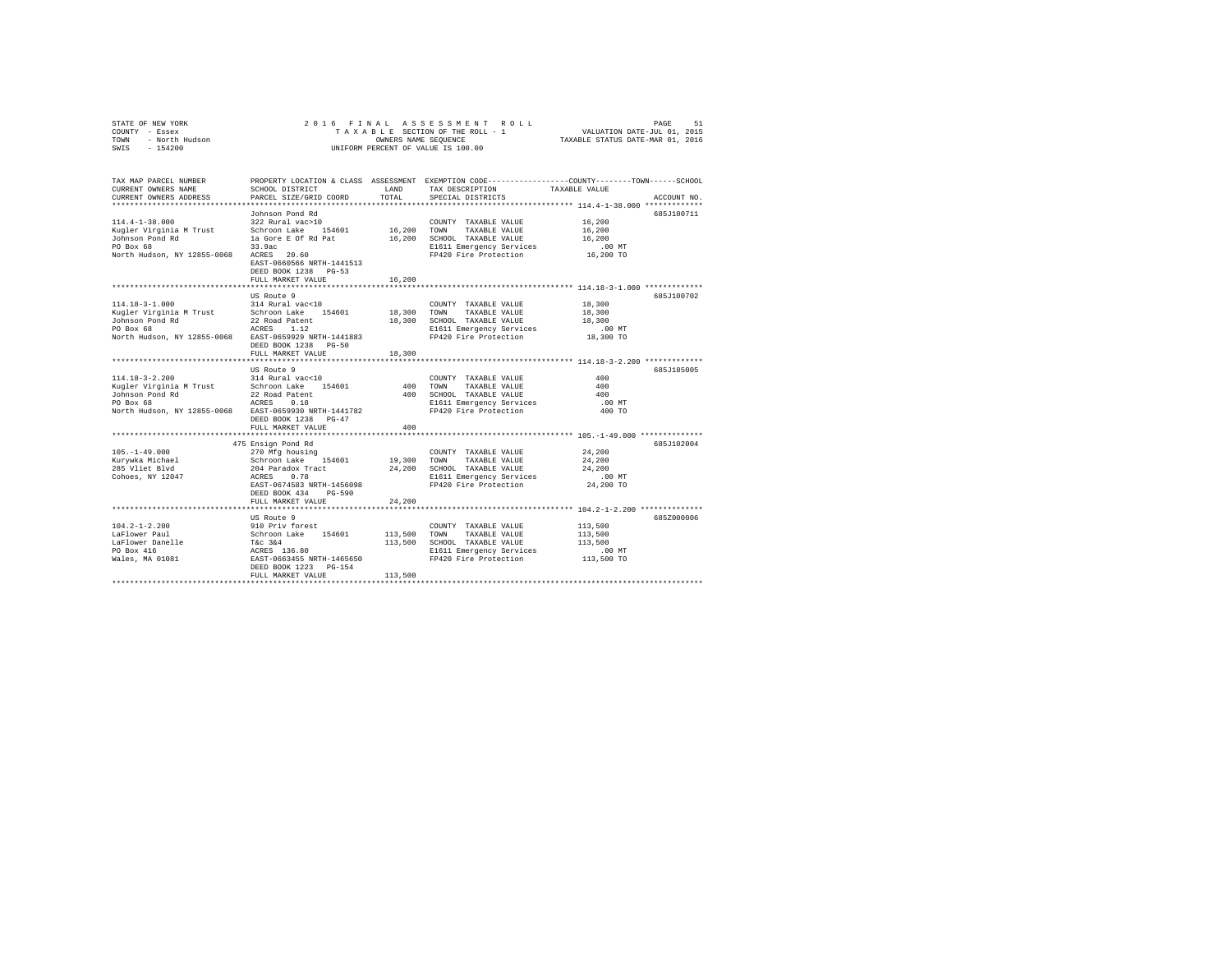| STATE OF NEW YORK |                |  | 2016 FINAL ASSESSMENT ROLL         |                                  | PAGE | 51 |
|-------------------|----------------|--|------------------------------------|----------------------------------|------|----|
| COUNTY - Essex    |                |  | TAXABLE SECTION OF THE ROLL - 1    | VALUATION DATE-JUL 01, 2015      |      |    |
| TOWN              | - North Hudson |  | OWNERS NAME SEOUENCE               | TAXABLE STATUS DATE-MAR 01, 2016 |      |    |
| $-154200$<br>SWIS |                |  | UNIFORM PERCENT OF VALUE IS 100.00 |                                  |      |    |
|                   |                |  |                                    |                                  |      |    |

| TAX MAP PARCEL NUMBER<br>CURRENT OWNERS NAME<br>CURRENT OWNERS ADDRESS                                                                                                | SCHOOL DISTRICT<br>PARCEL SIZE/GRID COORD                                                                                                                                                                | LAND<br>TOTAL | TAX DESCRIPTION<br>SPECIAL DISTRICTS                                                                                                 | PROPERTY LOCATION & CLASS ASSESSMENT EXEMPTION CODE---------------COUNTY-------TOWN------SCHOOL<br>TAXABLE VALUE<br>ACCOUNT NO. |
|-----------------------------------------------------------------------------------------------------------------------------------------------------------------------|----------------------------------------------------------------------------------------------------------------------------------------------------------------------------------------------------------|---------------|--------------------------------------------------------------------------------------------------------------------------------------|---------------------------------------------------------------------------------------------------------------------------------|
|                                                                                                                                                                       | Johnson Pond Rd                                                                                                                                                                                          |               |                                                                                                                                      | 685J100711                                                                                                                      |
| 114.4-1-38.000<br>Kugler Virginia M Trust         Schroon Lake     154601           16,200   TOWN     TAXABLE VALUE                                                   | $322$ Rural vac $>10$<br>EAST-0660566 NRTH-1441513                                                                                                                                                       |               | COUNTY TAXABLE VALUE 16,200<br>16,200 SCHOOL TAXABLE VALUE<br>E1611 Emergency Services<br>FP420 Fire Protection                      | 16,200<br>16,200<br>$.00$ MT<br>$16,200$ TO                                                                                     |
|                                                                                                                                                                       | DEED BOOK 1238 PG-53<br>FULL MARKET VALUE                                                                                                                                                                | 16,200        |                                                                                                                                      |                                                                                                                                 |
|                                                                                                                                                                       | US Route 9                                                                                                                                                                                               |               |                                                                                                                                      | 685J100702                                                                                                                      |
| 114.18-3-1.000                                                                                                                                                        | 314 Rural vac<10<br>DEED BOOK 1238 PG-50<br>FULL MARKET VALUE                                                                                                                                            | 18,300        | COUNTY TAXABLE VALUE<br>TAXABLE VALUE<br>SCHOOL TAXABLE VALUE<br>E1611 Emergency Services .00 MT<br>FP420 Fire Protection  18,300 TO | 18,300<br>18,300<br>18,300<br>$.00$ MT                                                                                          |
|                                                                                                                                                                       |                                                                                                                                                                                                          |               |                                                                                                                                      | 685J185005                                                                                                                      |
| $114.18 - 3 - 2.200$<br>Kugler Virginia M Trust Schroon Lake 154601 400 TOWN<br>Johnson Pond Rd<br>PO Box 68<br>North Hudson, NY 12855-0068 RAST-0659930 NRTH-1441782 | US Route 9<br>314 Rural vac<10<br>DEED BOOK 1238 PG-47                                                                                                                                                   |               | COUNTY TAXABLE VALUE<br>TAXABLE VALUE<br>400 SCHOOL TAXABLE VALUE<br>E1611 Emergency Services<br>FP420 Fire Protection               | 400<br>400<br>400<br>.00 MT<br>400 TO                                                                                           |
|                                                                                                                                                                       | FULL MARKET VALUE                                                                                                                                                                                        | 400           |                                                                                                                                      |                                                                                                                                 |
| 105. -1-49.000<br>Kurywka Michael<br>285 Vliet Blvd<br>Cohoes, NY 12047                                                                                               | EAST-0674583 NRTH-1456098<br>DEED BOOK 434 PG-590                                                                                                                                                        |               | COUNTY TAXABLE VALUE 24,200<br>FP420 Fire Protection                                                                                 | 685J102004<br>24,200<br>24,200<br>$.00$ MT<br>24,200 TO                                                                         |
|                                                                                                                                                                       | FULL MARKET VALUE                                                                                                                                                                                        | 24,200        |                                                                                                                                      |                                                                                                                                 |
| 104.2-1-2.200<br>LaFlower Paul<br>Baricum<br>LaFlower Danelle<br>PO Box 416<br>Wales, MA 01081                                                                        | US Route 9<br>910 Priv forest<br>Schroon Lake 154601 113,500 TOWN<br>T&c 3&4 154601 113,500 SCHOOD<br>ACRES 136.80 113,500 BAST-0663455 NRTH-1465650 PP420<br>DEED BOOK 1223 PG-154<br>FULL MARKET VALUE | 113,500       | COUNTY TAXABLE VALUE<br>TAXABLE VALUE<br>113,500 SCHOOL TAXABLE VALUE<br>E1611 Emergency Services<br>FP420 Fire Protection           | 685Z000006<br>113,500<br>113,500<br>113,500<br>00 MT.<br>113,500 TO                                                             |
|                                                                                                                                                                       |                                                                                                                                                                                                          |               |                                                                                                                                      |                                                                                                                                 |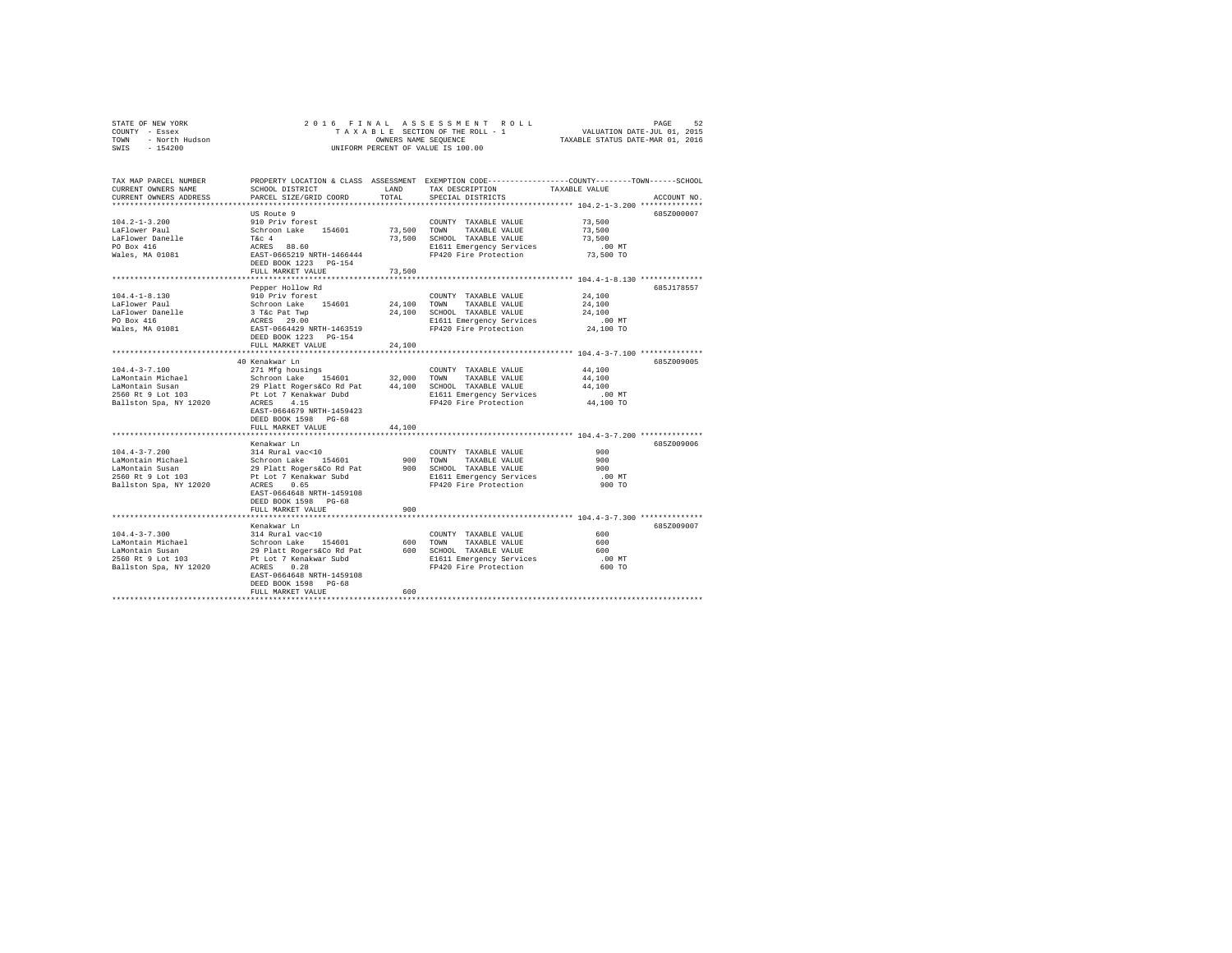|      | STATE OF NEW YORK | 2016 FINAL ASSESSMENT ROLL         | 52<br>PAGE                       |
|------|-------------------|------------------------------------|----------------------------------|
|      | COUNTY - Essex    | TAXABLE SECTION OF THE ROLL - 1    | VALUATION DATE-JUL 01, 2015      |
| TOWN | - North Hudson    | OWNERS NAME SEOUENCE               | TAXABLE STATUS DATE-MAR 01, 2016 |
| SWIS | $-154200$         | UNIFORM PERCENT OF VALUE IS 100.00 |                                  |

| TAX MAP PARCEL NUMBER<br>CURRENT OWNERS NAME<br>CURRENT OWNERS ADDRESS | SCHOOL DISTRICT<br>PARCEL SIZE/GRID COORD                 | LAND<br>TOTAL | PROPERTY LOCATION & CLASS ASSESSMENT EXEMPTION CODE----------------COUNTY-------TOWN------SCHOOL<br>TAX DESCRIPTION<br>SPECIAL DISTRICTS | TAXABLE VALUE                        | ACCOUNT NO. |
|------------------------------------------------------------------------|-----------------------------------------------------------|---------------|------------------------------------------------------------------------------------------------------------------------------------------|--------------------------------------|-------------|
| *************************                                              |                                                           |               |                                                                                                                                          |                                      |             |
|                                                                        | US Route 9                                                |               |                                                                                                                                          |                                      | 685Z000007  |
| $104.2 - 1 - 3.200$                                                    | 910 Priv forest                                           |               | COUNTY TAXABLE VALUE                                                                                                                     | 73,500                               |             |
| LaFlower Paul                                                          | Schroon Lake 154601                                       | 73.500 TOWN   | TAXABLE VALUE                                                                                                                            | 73,500                               |             |
| LaFlower Danelle                                                       | T&c 4                                                     |               | 73,500 SCHOOL TAXABLE VALUE                                                                                                              | 73,500                               |             |
| PO Box 416                                                             | ACRES 88.60                                               |               | E1611 Emergency Services                                                                                                                 | $.00$ MT                             |             |
| Wales, MA 01081                                                        | EAST-0665219 NRTH-1466444                                 |               | FP420 Fire Protection                                                                                                                    | 73,500 TO                            |             |
|                                                                        | DEED BOOK 1223 PG-154                                     |               |                                                                                                                                          |                                      |             |
|                                                                        | FULL MARKET VALUE                                         | 73,500        | ********************************** 104.4-1-8.130 ***************                                                                         |                                      |             |
|                                                                        | Pepper Hollow Rd                                          |               |                                                                                                                                          |                                      | 685J178557  |
| $104.4 - 1 - 8.130$                                                    | 910 Priv forest                                           |               | COUNTY TAXABLE VALUE                                                                                                                     | 24,100                               |             |
| LaFlower Paul                                                          | Schroon Lake 154601                                       | 24,100        | TAXABLE VALUE<br>TOWN                                                                                                                    | 24,100                               |             |
| LaFlower Danelle                                                       |                                                           | 24,100        | SCHOOL TAXABLE VALUE                                                                                                                     | 24,100                               |             |
| PO Box 416                                                             |                                                           |               | E1611 Emergency Services                                                                                                                 | $.00$ MT                             |             |
| Wales, MA 01081                                                        | 3 T&c Pat Twp<br>ACRES 29.00<br>EAST-0664429 NRTH-1463519 |               | FP420 Fire Protection                                                                                                                    | 24,100 TO                            |             |
|                                                                        | DEED BOOK 1223 PG-154                                     |               |                                                                                                                                          |                                      |             |
|                                                                        | FULL MARKET VALUE                                         | 24,100        |                                                                                                                                          |                                      |             |
|                                                                        |                                                           |               |                                                                                                                                          | ********* 104.4-3-7.100 ************ |             |
|                                                                        | 40 Kenakwar Ln                                            |               |                                                                                                                                          |                                      | 685Z009005  |
| $104.4 - 3 - 7.100$                                                    | 271 Mfg housings                                          |               | COUNTY TAXABLE VALUE                                                                                                                     | 44,100                               |             |
| LaMontain Michael                                                      | Schroon Lake 154601                                       | 32,000 TOWN   | TAXABLE VALUE                                                                                                                            | 44,100                               |             |
| LaMontain Susan                                                        | 29 Platt Rogers&Co Rd Pat                                 |               | 44,100 SCHOOL TAXABLE VALUE                                                                                                              | 44,100                               |             |
| 2560 Rt 9 Lot 103                                                      | Pt Lot 7 Kenakwar Dubd                                    |               | E1611 Emergency Services                                                                                                                 | $.00$ MT                             |             |
| Ballston Spa, NY 12020                                                 | ACRES 4.15                                                |               | FP420 Fire Protection                                                                                                                    | 44,100 TO                            |             |
|                                                                        | EAST-0664679 NRTH-1459423                                 |               |                                                                                                                                          |                                      |             |
|                                                                        | DEED BOOK 1598 PG-68                                      |               |                                                                                                                                          |                                      |             |
|                                                                        | FULL MARKET VALUE                                         | 44,100        |                                                                                                                                          |                                      |             |
|                                                                        | Kenakwar Ln                                               |               |                                                                                                                                          |                                      | 685Z009006  |
| $104.4 - 3 - 7.200$                                                    | 314 Rural vac<10                                          |               | COUNTY TAXABLE VALUE                                                                                                                     | 900                                  |             |
| LaMontain Michael                                                      | Schroon Lake 154601                                       | 900           | TOWN<br>TAXABLE VALUE                                                                                                                    | 900                                  |             |
| LaMontain Susan                                                        | 29 Platt Rogers&Co Rd Pat                                 |               | 900 SCHOOL TAXABLE VALUE                                                                                                                 | 900                                  |             |
| 2560 Rt 9 Lot 103                                                      | Pt Lot 7 Kenakwar Subd                                    |               | E1611 Emergency Services                                                                                                                 | $.00$ MT                             |             |
| Ballston Spa, NY 12020                                                 | ACRES 0.65                                                |               | FP420 Fire Protection                                                                                                                    | 900 TO                               |             |
|                                                                        | EAST-0664648 NRTH-1459108                                 |               |                                                                                                                                          |                                      |             |
|                                                                        | DEED BOOK 1598 PG-68                                      |               |                                                                                                                                          |                                      |             |
|                                                                        | FULL MARKET VALUE                                         | 900           |                                                                                                                                          |                                      |             |
|                                                                        |                                                           |               |                                                                                                                                          |                                      |             |
|                                                                        | Kenakwar Ln                                               |               |                                                                                                                                          |                                      | 685Z009007  |
| $104.4 - 3 - 7.300$                                                    | 314 Rural vac<10                                          |               | COUNTY TAXABLE VALUE                                                                                                                     | 600                                  |             |
| LaMontain Michael                                                      | Schroon Lake 154601                                       | 600           | TAXABLE VALUE<br>TOWN                                                                                                                    | 600                                  |             |
| LaMontain Susan                                                        | 29 Platt Rogers&Co Rd Pat                                 |               | 600 SCHOOL TAXABLE VALUE                                                                                                                 | 600                                  |             |
| 2560 Rt 9 Lot 103                                                      | Pt Lot 7 Kenakwar Subd                                    |               | E1611 Emergency Services                                                                                                                 | .00 MT                               |             |
| Ballston Spa, NY 12020                                                 | 0.28<br>ACRES<br>EAST-0664648 NRTH-1459108                |               | FP420 Fire Protection                                                                                                                    | 600 TO                               |             |
|                                                                        | DEED BOOK 1598 PG-68                                      |               |                                                                                                                                          |                                      |             |
|                                                                        | FULL MARKET VALUE                                         | 600           |                                                                                                                                          |                                      |             |
|                                                                        |                                                           |               |                                                                                                                                          |                                      |             |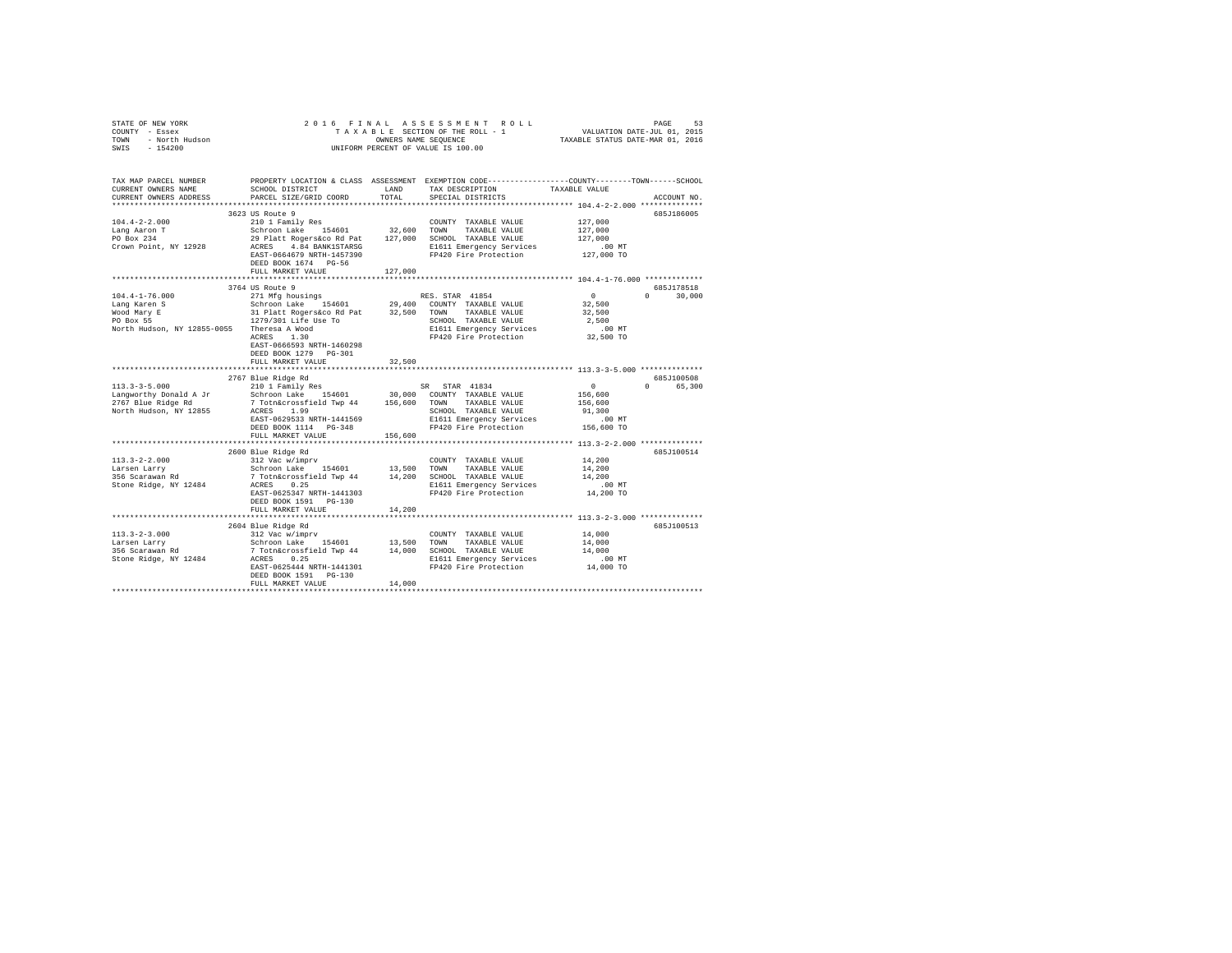| STATE OF NEW YORK<br>COUNTY - ESSEX<br>TOURY - RESEXTED AND SECTION OF THE ROLL - 1 WALUATION DATE-JUL 01, 2015<br>TOWN - NOTE - TO BE SECTION OF THE ROLL - 1 WARBLE STATUS DATE-MAR 01, 2016<br>SWIS - 154200<br>SWIS - 154200 |                                                                                                                                                        |               | 2016 FINAL ASSESSMENT ROLL                                                                                                              |                                   | PAGE<br>53             |
|----------------------------------------------------------------------------------------------------------------------------------------------------------------------------------------------------------------------------------|--------------------------------------------------------------------------------------------------------------------------------------------------------|---------------|-----------------------------------------------------------------------------------------------------------------------------------------|-----------------------------------|------------------------|
| TAX MAP PARCEL NUMBER<br>CURRENT OWNERS NAME<br>CURRENT OWNERS ADDRESS                                                                                                                                                           | SCHOOL DISTRICT<br>PARCEL SIZE/GRID COORD                                                                                                              | LAND<br>TOTAL | PROPERTY LOCATION & CLASS ASSESSMENT EXEMPTION CODE---------------COUNTY-------TOWN------SCHOOL<br>TAX DESCRIPTION<br>SPECIAL DISTRICTS | TAXABLE VALUE                     | ACCOUNT NO.            |
|                                                                                                                                                                                                                                  |                                                                                                                                                        |               | **************************** 104.4-2-2.000 *************                                                                                |                                   |                        |
|                                                                                                                                                                                                                                  | 3623 US Route 9                                                                                                                                        |               |                                                                                                                                         |                                   | 685J186005             |
| $104.4 - 2 - 2.000$                                                                                                                                                                                                              | 210 1 Family Res                                                                                                                                       |               | COUNTY TAXABLE VALUE                                                                                                                    | 127,000                           |                        |
| Lang Aaron T<br>PO Box 234                                                                                                                                                                                                       | Schroon Lake 154601 32,600 TOWN TAXABLE VALUE<br>29 Platt Rogers&co Rd Pat 127,000 SCHOOL TAXABLE VALUE                                                |               |                                                                                                                                         | 127,000                           |                        |
| Crown Point, NY 12928                                                                                                                                                                                                            | EAST-0664679 NRTH-1457390<br>DEED BOOK 1674 PG-56                                                                                                      |               | ACRES 4.84 BANK1STARSG E1611 Emergency Services<br>FP420 Fire Protection                                                                | 127,000<br>$.00$ MT<br>127,000 TO |                        |
|                                                                                                                                                                                                                                  | FULL MARKET VALUE                                                                                                                                      | 127,000       |                                                                                                                                         |                                   |                        |
|                                                                                                                                                                                                                                  |                                                                                                                                                        |               |                                                                                                                                         |                                   |                        |
|                                                                                                                                                                                                                                  | 3764 US Route 9                                                                                                                                        |               |                                                                                                                                         |                                   | 685J178518             |
| $104.4 - 1 - 76.000$                                                                                                                                                                                                             | 271 Mfg housings<br>$\begin{array}{ccccc}\n& & \dots & \dots & \dots & \dots \\ \text{Schroon Lake} & & 154601 \\ \hline\n& 31.51264 & 7\n\end{array}$ |               | RES. STAR 41854                                                                                                                         | $\sim$ 0                          | $0 \t 30.000$          |
| Lang Karen S<br>Wood Mary E                                                                                                                                                                                                      |                                                                                                                                                        |               | 29,400 COUNTY TAXABLE VALUE                                                                                                             | 32,500<br>32,500                  |                        |
| PO Box 55                                                                                                                                                                                                                        | 31 Platt Rogers&co Rd Pat 32,500 TOWN TAXABLE VALUE<br>1279/301 Life Use To SCHOOL TAXABLE VALUE                                                       |               | SCHOOL TAXABLE VALUE                                                                                                                    | 2,500                             |                        |
|                                                                                                                                                                                                                                  |                                                                                                                                                        |               | E1611 Emergency Services                                                                                                                | $.00$ MT                          |                        |
| North Hudson, NY 12855-0055 Theresa A Wood<br>ACRES 1.30                                                                                                                                                                         |                                                                                                                                                        |               | FP420 Fire Protection                                                                                                                   | 32,500 TO                         |                        |
|                                                                                                                                                                                                                                  | EAST-0666593 NRTH-1460298                                                                                                                              |               |                                                                                                                                         |                                   |                        |
|                                                                                                                                                                                                                                  | DEED BOOK 1279 PG-301                                                                                                                                  |               |                                                                                                                                         |                                   |                        |
|                                                                                                                                                                                                                                  | FULL MARKET VALUE                                                                                                                                      | 32,500        |                                                                                                                                         |                                   |                        |
|                                                                                                                                                                                                                                  |                                                                                                                                                        |               |                                                                                                                                         |                                   |                        |
| $113.3 - 3 - 5.000$                                                                                                                                                                                                              | 2767 Blue Ridge Rd                                                                                                                                     |               |                                                                                                                                         | $\mathbf{0}$                      | 685J100508<br>0 65,300 |
| Langworthy Donald A Jr                                                                                                                                                                                                           |                                                                                                                                                        |               |                                                                                                                                         | 156,600                           |                        |
| 2767 Blue Ridge Rd                                                                                                                                                                                                               |                                                                                                                                                        |               |                                                                                                                                         | 156,600                           |                        |
| North Hudson, NY 12855                                                                                                                                                                                                           | ACRES 1.99                                                                                                                                             |               | SCHOOL TAXABLE VALUE                                                                                                                    | 91,300                            |                        |
|                                                                                                                                                                                                                                  | EAST-0629533 NRTH-1441569                                                                                                                              |               | E1611 Emergency Services                                                                                                                | .00 MT                            |                        |
|                                                                                                                                                                                                                                  | DEED BOOK 1114 PG-348                                                                                                                                  |               | FP420 Fire Protection                                                                                                                   | 156,600 TO                        |                        |
|                                                                                                                                                                                                                                  | FULL MARKET VALUE                                                                                                                                      | 156,600       |                                                                                                                                         |                                   |                        |
|                                                                                                                                                                                                                                  |                                                                                                                                                        |               |                                                                                                                                         |                                   |                        |
|                                                                                                                                                                                                                                  | 2600 Blue Ridge Rd                                                                                                                                     |               | COUNTY TAXABLE VALUE                                                                                                                    | 14,200                            | 685J100514             |
| $113.3 - 2 - 2.000$<br>Larsen Larry                                                                                                                                                                                              | 312 Vac w/imprv                                                                                                                                        |               |                                                                                                                                         | 14,200                            |                        |
| 356 Scarawan Rd                                                                                                                                                                                                                  | Schroon Lake 154601 13,500 TOWN TAXABLE VALUE<br>7 Totn&crossfield Twp 44 14,200 SCHOOL TAXABLE VALUE                                                  |               |                                                                                                                                         | 14,200                            |                        |
| Stone Ridge, NY 12484                                                                                                                                                                                                            | ACRES 0.25                                                                                                                                             |               | E1611 Emergency Services                                                                                                                | $.00$ MT                          |                        |
|                                                                                                                                                                                                                                  | EAST-0625347 NRTH-1441303                                                                                                                              |               | FP420 Fire Protection                                                                                                                   | 14,200 TO                         |                        |
|                                                                                                                                                                                                                                  | DEED BOOK 1591 PG-130                                                                                                                                  |               |                                                                                                                                         |                                   |                        |
|                                                                                                                                                                                                                                  | FULL MARKET VALUE                                                                                                                                      | 14,200        |                                                                                                                                         |                                   |                        |
|                                                                                                                                                                                                                                  |                                                                                                                                                        |               |                                                                                                                                         |                                   |                        |
| $113.3 - 2 - 3.000$                                                                                                                                                                                                              | 2604 Blue Ridge Rd<br>312 Vac w/imprv                                                                                                                  |               | COUNTY TAXABLE VALUE                                                                                                                    | 14,000                            | 685J100513             |
| Larsen Larry                                                                                                                                                                                                                     |                                                                                                                                                        |               |                                                                                                                                         | 14,000                            |                        |
| 356 Scarawan Rd                                                                                                                                                                                                                  | Siz vac wismprv<br>Schroon Lake 154601 13,500 TOWN TAXABLE VALUE<br>7 Totn&crossfield Twp 44 14,000 SCHOOL TAXABLE VALUE                               |               |                                                                                                                                         | 14,000                            |                        |
| Stone Ridge, NY 12484                                                                                                                                                                                                            | ACRES 0.25                                                                                                                                             |               | E1611 Emergency Services                                                                                                                | $.00$ MT                          |                        |
|                                                                                                                                                                                                                                  | EAST-0625444 NRTH-1441301                                                                                                                              |               | FP420 Fire Protection                                                                                                                   | 14,000 TO                         |                        |
|                                                                                                                                                                                                                                  | DEED BOOK 1591   PG-130                                                                                                                                |               |                                                                                                                                         |                                   |                        |
|                                                                                                                                                                                                                                  | FULL MARKET VALUE                                                                                                                                      | 14,000        |                                                                                                                                         |                                   |                        |
|                                                                                                                                                                                                                                  |                                                                                                                                                        |               |                                                                                                                                         |                                   |                        |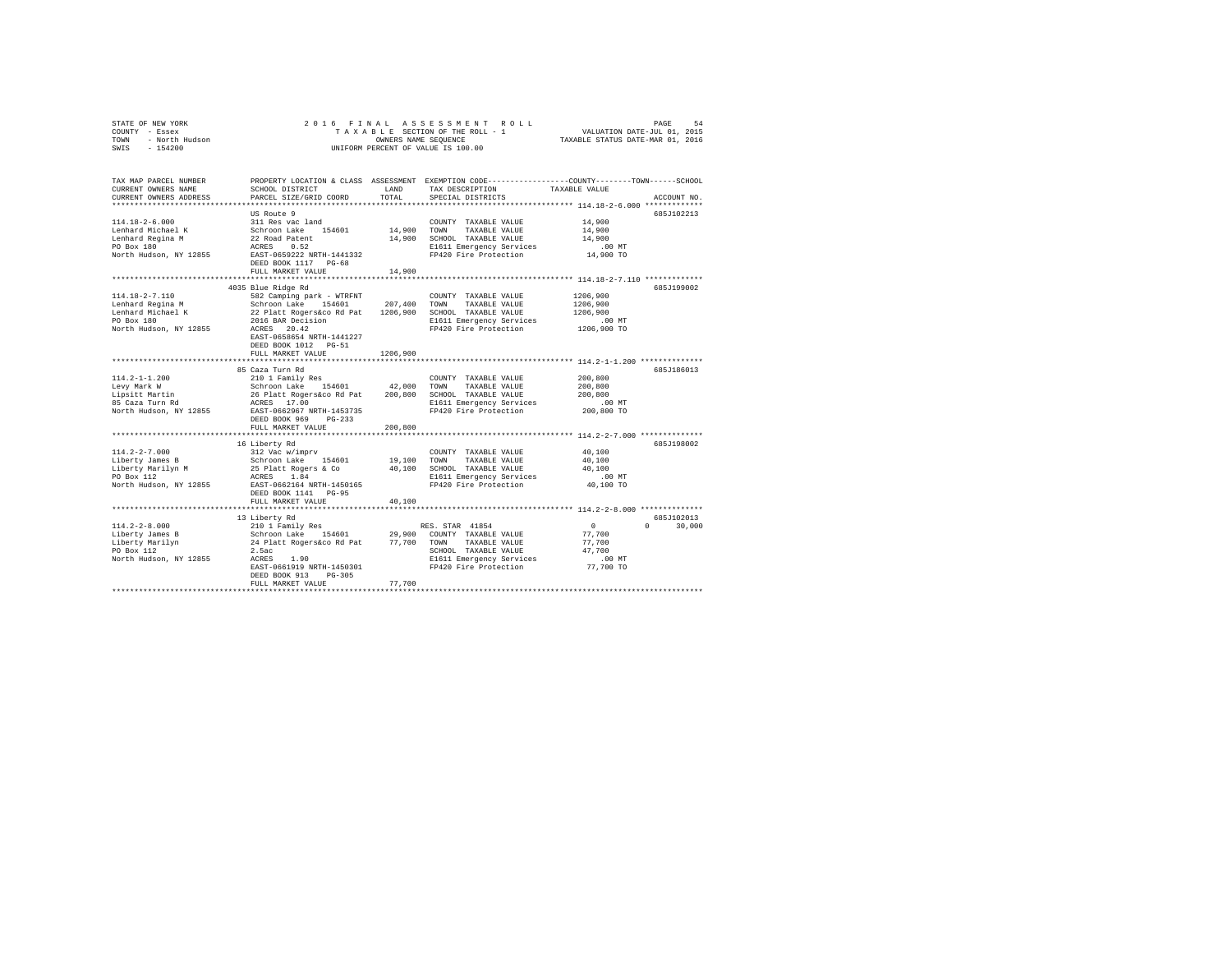|      | STATE OF NEW YORK | 2016 FINAL ASSESSMENT ROLL         | 54<br>PAGE                       |
|------|-------------------|------------------------------------|----------------------------------|
|      | COUNTY - Essex    | TAXABLE SECTION OF THE ROLL - 1    | VALUATION DATE-JUL 01, 2015      |
| TOWN | - North Hudson    | OWNERS NAME SEOUENCE               | TAXABLE STATUS DATE-MAR 01, 2016 |
| SWIS | $-154200$         | UNIFORM PERCENT OF VALUE IS 100.00 |                                  |

| TAX MAP PARCEL NUMBER<br>CURRENT OWNERS NAME     | SCHOOL DISTRICT                                                                                                               | LAND        | TAX DESCRIPTION                                   | PROPERTY LOCATION & CLASS ASSESSMENT EXEMPTION CODE---------------COUNTY-------TOWN-----SCHOOL<br>TAXABLE VALUE |
|--------------------------------------------------|-------------------------------------------------------------------------------------------------------------------------------|-------------|---------------------------------------------------|-----------------------------------------------------------------------------------------------------------------|
| CURRENT OWNERS ADDRESS                           | PARCEL SIZE/GRID COORD                                                                                                        | TOTAL       | SPECIAL DISTRICTS                                 | ACCOUNT NO.                                                                                                     |
|                                                  | US Route 9                                                                                                                    |             |                                                   | 685J102213                                                                                                      |
| $114.18 - 2 - 6.000$                             | 311 Res vac land                                                                                                              |             | COUNTY TAXABLE VALUE                              | 14,900                                                                                                          |
| Lenhard Michael K                                |                                                                                                                               | 14,900 TOWN | TAXABLE VALUE                                     | 14,900                                                                                                          |
| Lenhard Regina M                                 | Schroon Lake 154601<br>22 Road Patent<br>ACRES 0.52                                                                           |             | 14,900 SCHOOL TAXABLE VALUE                       | 14,900                                                                                                          |
| PO Box 180                                       |                                                                                                                               |             | E1611 Emergency Services                          | $.00$ MT                                                                                                        |
|                                                  | North Hudson, NY 12855 EAST-0659222 NRTH-1441332                                                                              |             | FP420 Fire Protection                             | 14,900 TO                                                                                                       |
|                                                  | DEED BOOK 1117 PG-68                                                                                                          |             |                                                   |                                                                                                                 |
|                                                  | FULL MARKET VALUE                                                                                                             | 14,900      |                                                   |                                                                                                                 |
|                                                  |                                                                                                                               |             |                                                   |                                                                                                                 |
|                                                  | 4035 Blue Ridge Rd                                                                                                            |             |                                                   | 685J199002                                                                                                      |
| $114.18 - 2 - 7.110$                             | 582 Camping park - WTRFNT                                                                                                     |             | COUNTY TAXABLE VALUE                              | 1206,900                                                                                                        |
| Lenhard Regina M                                 |                                                                                                                               |             | TOWN<br>TAXABLE VALUE                             | 1206,900                                                                                                        |
| Lenhard Michael K                                |                                                                                                                               |             | SCHOOL TAXABLE VALUE                              | 1206,900                                                                                                        |
| PO Box 180                                       |                                                                                                                               |             | E1611 Emergency Services                          | .00 MT                                                                                                          |
| North Hudson, NY 12855                           | Schroon Lake 154601 207,400<br>22 Platt Rogers and Pat 1206,900<br>2016 BAR Decision<br>ACRES 20.42                           |             | FP420 Fire Protection                             | 1206,900 TO                                                                                                     |
|                                                  | EAST-0658654 NRTH-1441227                                                                                                     |             |                                                   |                                                                                                                 |
|                                                  | DEED BOOK 1012 PG-51                                                                                                          |             |                                                   |                                                                                                                 |
|                                                  | FULL MARKET VALUE                                                                                                             | 1206,900    |                                                   |                                                                                                                 |
|                                                  |                                                                                                                               |             |                                                   |                                                                                                                 |
|                                                  | 85 Caza Turn Rd                                                                                                               |             |                                                   | 685J186013                                                                                                      |
| $114.2 - 1 - 1.200$                              | 210 1 Family Res                                                                                                              |             | COUNTY TAXABLE VALUE                              | 200,800                                                                                                         |
| Levy Mark W                                      | Schroon Lake 154601 42,000 TOWN                                                                                               |             | TAXABLE VALUE                                     | 200,800                                                                                                         |
| Levy maik w<br>Lipsitt Martin<br>85 Caza Turn Rd | 26 Platt Rogers&co Rd Pat 200,800<br>ACRES 17.00                                                                              |             | SCHOOL TAXABLE VALUE                              | 200,800                                                                                                         |
| 85 Caza Turn Rd                                  | North Hudson, NY 12855 EAST-0662967 NRTH-1453735                                                                              |             | E1611 Emergency Services<br>FP420 Fire Protection | $.00$ MT<br>200,800 TO                                                                                          |
|                                                  | $PG-233$                                                                                                                      |             |                                                   |                                                                                                                 |
|                                                  | DEED BOOK 969<br>FULL MARKET VALUE                                                                                            | 200,800     |                                                   |                                                                                                                 |
|                                                  |                                                                                                                               |             |                                                   |                                                                                                                 |
|                                                  | 16 Liberty Rd                                                                                                                 |             |                                                   | 685J198002                                                                                                      |
| $114.2 - 2 - 7.000$                              | -- ------ -- ---<br>312 Vac w/imprv<br>Schroon Lake 154601<br>25 Platt Rogers & Co<br>ACRES 1.84<br>EAST-0662164 NRTH-1450165 |             | COUNTY TAXABLE VALUE                              | 40,100                                                                                                          |
| Liberty James B                                  |                                                                                                                               | 19,100      | TOWN<br>TAXABLE VALUE                             | 40,100                                                                                                          |
|                                                  |                                                                                                                               | 40,100      | SCHOOL TAXABLE VALUE                              | 40,100                                                                                                          |
| Liberty Marilyn M<br>PO Box 112                  |                                                                                                                               |             | E1611 Emergency Services                          | .00 MT                                                                                                          |
| North Hudson, NY 12855                           |                                                                                                                               |             | FP420 Fire Protection                             | 40,100 TO                                                                                                       |
|                                                  | DEED BOOK 1141 PG-95                                                                                                          |             |                                                   |                                                                                                                 |
|                                                  | FULL MARKET VALUE                                                                                                             | 40,100      |                                                   |                                                                                                                 |
|                                                  |                                                                                                                               |             |                                                   |                                                                                                                 |
|                                                  | 13 Liberty Rd                                                                                                                 |             |                                                   | 685J102013                                                                                                      |
| $114.2 - 2 - 8.000$                              | 210 1 Family Res                                                                                                              |             | RES. STAR 41854                                   | $\Omega$<br>$\Omega$ and $\Omega$<br>30,000                                                                     |
| Liberty James B                                  | Schroon Lake                                                                                                                  |             | 154601 29,900 COUNTY TAXABLE VALUE                | 77,700                                                                                                          |
| Liberty Marilyn                                  | 24 Platt Rogers&co Rd Pat 77,700 TOWN TAXABLE VALUE                                                                           |             |                                                   | 77,700                                                                                                          |
| PO Box 112                                       | 2.5ac                                                                                                                         |             | SCHOOL TAXABLE VALUE                              | 47.700                                                                                                          |
| North Hudson, NY 12855                           | ACRES<br>1.90                                                                                                                 |             | E1611 Emergency Services                          | $.00$ MT                                                                                                        |
|                                                  | EAST-0661919 NRTH-1450301                                                                                                     |             | FP420 Fire Protection                             | 77,700 TO                                                                                                       |
|                                                  | DEED BOOK 913<br>$PG-305$                                                                                                     |             |                                                   |                                                                                                                 |
|                                                  | FULL MARKET VALUE                                                                                                             | 77,700      |                                                   |                                                                                                                 |
|                                                  |                                                                                                                               |             |                                                   |                                                                                                                 |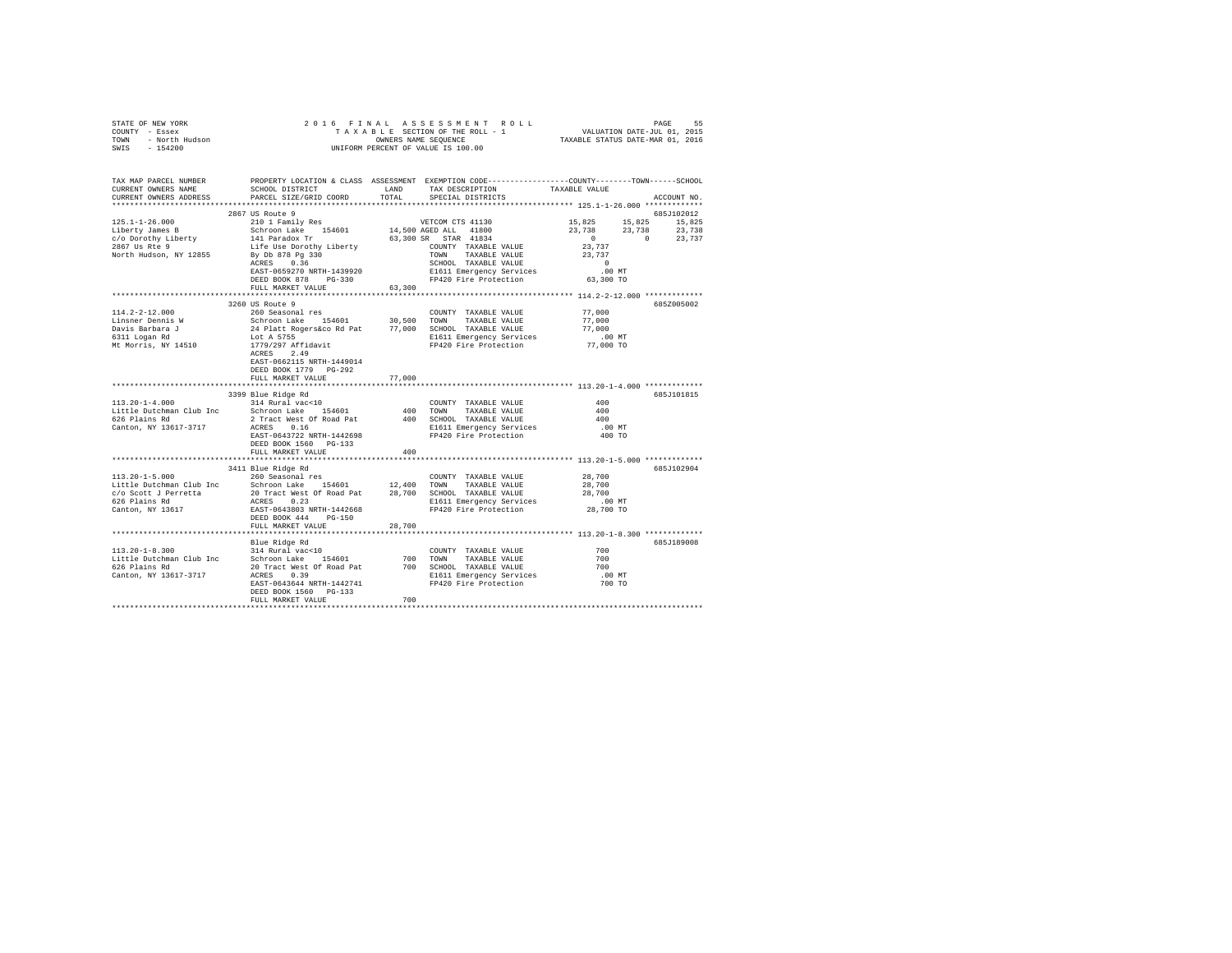|                | STATE OF NEW YORK |  |  |  |  | 2016 FINAL ASSESSMENT ROLL         | PAGE                             | 55 |
|----------------|-------------------|--|--|--|--|------------------------------------|----------------------------------|----|
| COUNTY - Essex |                   |  |  |  |  | TAXABLE SECTION OF THE ROLL - 1    | VALUATION DATE-JUL 01, 2015      |    |
| TOWN           | - North Hudson    |  |  |  |  | OWNERS NAME SEOUENCE               | TAXABLE STATUS DATE-MAR 01, 2016 |    |
| SWIS           | - 154200          |  |  |  |  | UNIFORM PERCENT OF VALUE IS 100.00 |                                  |    |

| TAX MAP PARCEL NUMBER<br>CURRENT OWNERS NAME<br>CURRENT OWNERS ADDRESS | SCHOOL DISTRICT<br>SCHOOL DISTRICT<br>PARCEL SIZE/GRID COORD                                                                                                                                                                                     | LAND<br>TOTAL | TAX DESCRIPTION<br>SPECIAL DISTRICTS                                 | PROPERTY LOCATION & CLASS ASSESSMENT EXEMPTION CODE---------------COUNTY-------TOWN------SCHOOL<br>TAXABLE VALUE<br>ACCOUNT NO. |  |
|------------------------------------------------------------------------|--------------------------------------------------------------------------------------------------------------------------------------------------------------------------------------------------------------------------------------------------|---------------|----------------------------------------------------------------------|---------------------------------------------------------------------------------------------------------------------------------|--|
|                                                                        |                                                                                                                                                                                                                                                  |               |                                                                      |                                                                                                                                 |  |
|                                                                        | 2867 US Route 9                                                                                                                                                                                                                                  |               |                                                                      | 685J102012                                                                                                                      |  |
| $125.1 - 1 - 26.000$                                                   | 2000 Nover 2010 1 Family Res<br>2010 1 Family Res<br>2010 1 Family Res<br>210 1 Family Res<br>210 1 Family Res<br>216 14,500 AGB B TAR 41834<br>216 By De 878 Pg 330<br>2010 120 TOWN TAXABLE VALUE<br>Ry De 878 Pg 330<br>2010 120 TOWN TAXABLE |               |                                                                      | 15,825 15,825 15,825                                                                                                            |  |
| Liberty James B                                                        |                                                                                                                                                                                                                                                  |               |                                                                      | 23,738 23,738 23,738                                                                                                            |  |
| c/o Dorothy Liberty                                                    |                                                                                                                                                                                                                                                  |               |                                                                      | $\sim$ 0<br>$0 \t 23,737$                                                                                                       |  |
| 2867 Us Rte 9                                                          |                                                                                                                                                                                                                                                  |               |                                                                      | 23,737                                                                                                                          |  |
| North Hudson, NY 12855                                                 |                                                                                                                                                                                                                                                  |               |                                                                      | 23,737                                                                                                                          |  |
|                                                                        |                                                                                                                                                                                                                                                  |               |                                                                      | $\sim$ 0                                                                                                                        |  |
|                                                                        | EAST-0659270 NRTH-1439920                                                                                                                                                                                                                        |               | E1611 Emergency Services                                             | .00 MT                                                                                                                          |  |
|                                                                        | DEED BOOK 878 PG-330                                                                                                                                                                                                                             |               | FP420 Fire Protection                                                | 63,300 TO                                                                                                                       |  |
|                                                                        | FULL MARKET VALUE 63,300                                                                                                                                                                                                                         |               |                                                                      |                                                                                                                                 |  |
|                                                                        |                                                                                                                                                                                                                                                  |               |                                                                      |                                                                                                                                 |  |
|                                                                        | 3260 US Route 9                                                                                                                                                                                                                                  |               |                                                                      | 685Z005002                                                                                                                      |  |
|                                                                        |                                                                                                                                                                                                                                                  |               |                                                                      | 77,000                                                                                                                          |  |
|                                                                        |                                                                                                                                                                                                                                                  |               |                                                                      | 77,000                                                                                                                          |  |
|                                                                        |                                                                                                                                                                                                                                                  |               |                                                                      | 77,000                                                                                                                          |  |
|                                                                        |                                                                                                                                                                                                                                                  |               | E1611 Emergency Services .00 MT<br>FP420 Fire Protection .077,000 TO |                                                                                                                                 |  |
|                                                                        |                                                                                                                                                                                                                                                  |               |                                                                      |                                                                                                                                 |  |
|                                                                        |                                                                                                                                                                                                                                                  |               |                                                                      |                                                                                                                                 |  |
|                                                                        | EAST-0662115 NRTH-1449014                                                                                                                                                                                                                        |               |                                                                      |                                                                                                                                 |  |
|                                                                        | DEED BOOK 1779 PG-292<br>FULL MARKET VALUE                                                                                                                                                                                                       |               |                                                                      |                                                                                                                                 |  |
|                                                                        |                                                                                                                                                                                                                                                  | 77,000        |                                                                      |                                                                                                                                 |  |
|                                                                        | 3399 Blue Ridge Rd                                                                                                                                                                                                                               |               |                                                                      | 685J101815                                                                                                                      |  |
| $113.20 - 1 - 4.000$                                                   | 314 Rural vac<10                                                                                                                                                                                                                                 |               | COUNTY TAXABLE VALUE                                                 | 400                                                                                                                             |  |
|                                                                        | Little Dutchman Club Inc Schroon Lake 154601 400 TOWN                                                                                                                                                                                            |               | TAXABLE VALUE                                                        | 400                                                                                                                             |  |
| 626 Plains Rd                                                          |                                                                                                                                                                                                                                                  |               | 400 SCHOOL TAXABLE VALUE                                             | 400                                                                                                                             |  |
| Canton, NY 13617-3717                                                  | 2 Tract West Of Road Pat<br>ACRES    0.16                                                                                                                                                                                                        |               | E1611 Emergency Services                                             | $.00$ MT                                                                                                                        |  |
|                                                                        | ACRES 0.16<br>EAST-0643722 NRTH-1442698                                                                                                                                                                                                          |               | FP420 Fire Protection                                                | 400 TO                                                                                                                          |  |
|                                                                        | DEED BOOK 1560 PG-133                                                                                                                                                                                                                            |               |                                                                      |                                                                                                                                 |  |
|                                                                        | FULL MARKET VALUE                                                                                                                                                                                                                                | 400           |                                                                      |                                                                                                                                 |  |
|                                                                        |                                                                                                                                                                                                                                                  |               |                                                                      |                                                                                                                                 |  |
|                                                                        | 3411 Blue Ridge Rd                                                                                                                                                                                                                               |               |                                                                      | 685J102904                                                                                                                      |  |
| $113.20 - 1 - 5.000$                                                   | 260 Seasonal res                                                                                                                                                                                                                                 |               | COUNTY TAXABLE VALUE                                                 | 28,700                                                                                                                          |  |
|                                                                        |                                                                                                                                                                                                                                                  |               |                                                                      | 28,700                                                                                                                          |  |
|                                                                        |                                                                                                                                                                                                                                                  |               |                                                                      | 28,700                                                                                                                          |  |
| 626 Plains Rd                                                          | ACRES 0.23                                                                                                                                                                                                                                       |               | E1611 Emergency Services<br>FP420 Fire Protection                    | $.00$ MT                                                                                                                        |  |
|                                                                        | 626 France National EAST-0643803 NRTH-1442668<br>Canton, NY 13617<br>DEED BOOK 444 PG-150                                                                                                                                                        |               |                                                                      | 28,700 TO                                                                                                                       |  |
|                                                                        |                                                                                                                                                                                                                                                  |               |                                                                      |                                                                                                                                 |  |
|                                                                        | FULL MARKET VALUE                                                                                                                                                                                                                                | 28,700        |                                                                      |                                                                                                                                 |  |
|                                                                        |                                                                                                                                                                                                                                                  |               |                                                                      |                                                                                                                                 |  |
|                                                                        |                                                                                                                                                                                                                                                  |               |                                                                      | 685J189008                                                                                                                      |  |
|                                                                        |                                                                                                                                                                                                                                                  |               | COUNTY TAXABLE VALUE                                                 | 700                                                                                                                             |  |
|                                                                        |                                                                                                                                                                                                                                                  |               |                                                                      | 700                                                                                                                             |  |
|                                                                        |                                                                                                                                                                                                                                                  |               |                                                                      | 700                                                                                                                             |  |
| Canton, NY 13617-3717                                                  | ACRES 0.39                                                                                                                                                                                                                                       |               | E1611 Emergency Services                                             | $.00$ MT                                                                                                                        |  |
|                                                                        | EAST-0643644 NRTH-1442741                                                                                                                                                                                                                        |               | FP420 Fire Protection                                                | 700 TO                                                                                                                          |  |
|                                                                        | DEED BOOK 1560 PG-133                                                                                                                                                                                                                            |               |                                                                      |                                                                                                                                 |  |
|                                                                        | FULL MARKET VALUE                                                                                                                                                                                                                                | 700           |                                                                      |                                                                                                                                 |  |
|                                                                        |                                                                                                                                                                                                                                                  |               |                                                                      |                                                                                                                                 |  |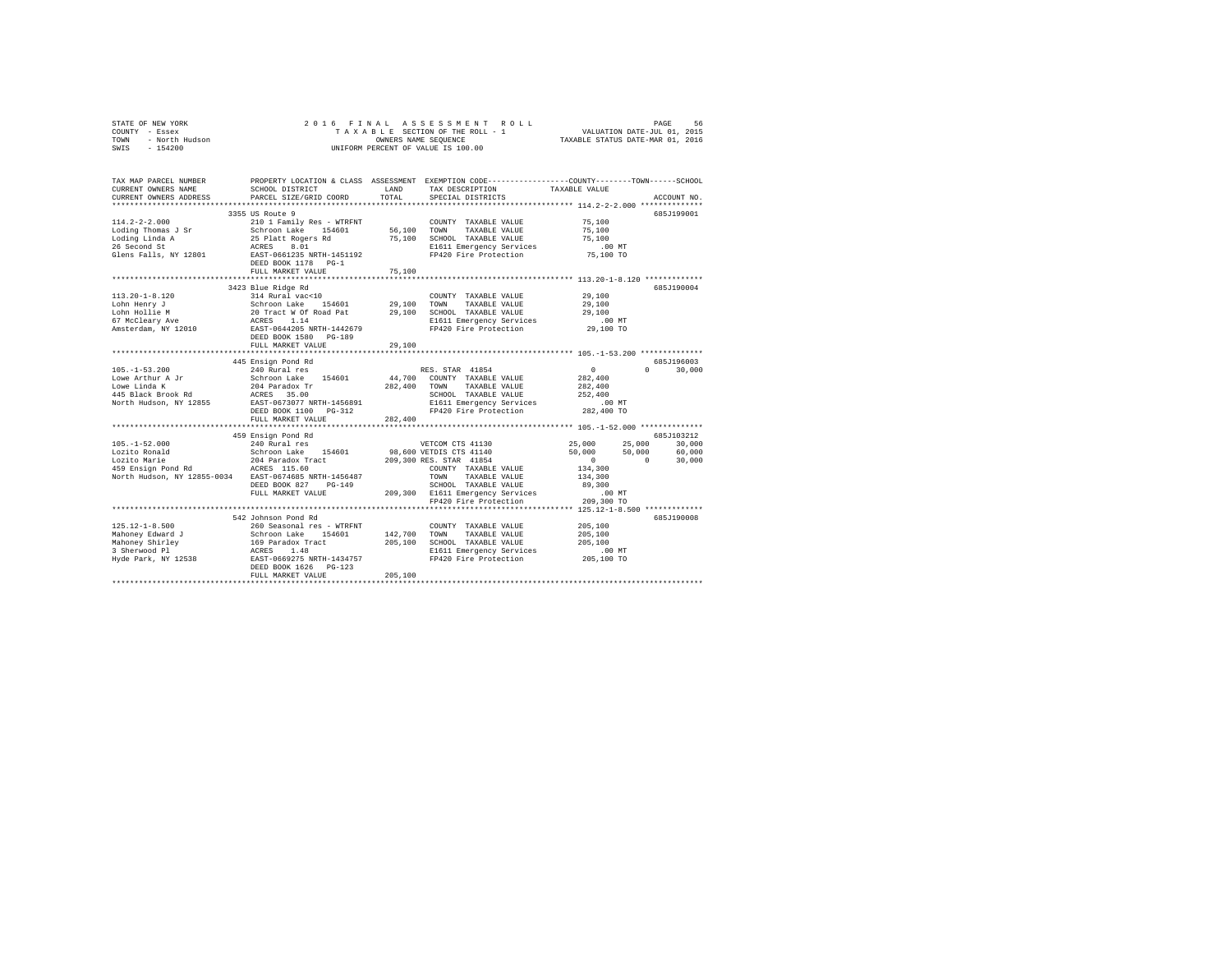| COUNTY - Essex<br>TOWN<br>- North Hudson<br>SWIS<br>$-154200$                                                                                                                                                                                                    |                                                                                          |               | UNIFORM PERCENT OF VALUE IS 100.00                                                                                                                                                                                                                                                                           |                                                     |                                       |
|------------------------------------------------------------------------------------------------------------------------------------------------------------------------------------------------------------------------------------------------------------------|------------------------------------------------------------------------------------------|---------------|--------------------------------------------------------------------------------------------------------------------------------------------------------------------------------------------------------------------------------------------------------------------------------------------------------------|-----------------------------------------------------|---------------------------------------|
| TAX MAP PARCEL NUMBER PROPERTY LOCATION & CLASS ASSESSMENT EXEMPTION CODE--------------COUNTY-------TOWN-----SCHOOL<br>CURRENT OWNERS NAME<br>CURRENT OWNERS ADDRESS PARCEL SIZE/GRID COORD                                                                      | SCHOOL DISTRICT                                                                          | LAND<br>TOTAL | TAX DESCRIPTION<br>SPECIAL DISTRICTS<br>************************* 114.2-2-2.000 **************                                                                                                                                                                                                               | TAXABLE VALUE                                       | ACCOUNT NO.                           |
| $114.2 - 2 - 2.000$                                                                                                                                                                                                                                              | 3355 US Route 9<br>210 1 Family Res - WTRFNT<br>DEED BOOK 1178 PG-1<br>FULL MARKET VALUE | 75,100        | COUNTY TAXABLE VALUE<br>E1611 Emergency Services<br>FP420 Fire Protection                                                                                                                                                                                                                                    | 75,100<br>75,100<br>75,100<br>00 MT.<br>75,100 TO   | 685J199001                            |
| $113.20 - 1 - 8.120$<br>Lohn Henry J<br>Lohn Hollie M<br>67 McCleary Ave<br>Amsterdam, NY 12010                                                                                                                                                                  | 3423 Blue Ridge Rd<br>314 Rural vac<10<br>FULL MARKET VALUE                              | 29,100        | COUNTY TAXABLE VALUE<br>COUNTY TAXABLE VALUE<br>Schroom Lake 154601 29,100 TOWN TAXABLE VALUE<br>20 Tract W Of Road Pat 29,100 SCROOL TAXABLE VALUE<br>ACRES 1.14 EMPIRE VALUE<br>EAST-0644205 NRTH-1442679 FP420 Fire Protection<br>DEED BOOK 1580 PG-189<br>DEED<br>FP420 Fire Protection                  | 29,100<br>29,100<br>29,100<br>00 MT.<br>29,100 TO   | 685J190004                            |
| $105. -1 - 53.200$<br>Note that a schroon Lake 154601<br>Lowe Linda K<br>16 Black Brook Rd<br>145 Black Brook Rd<br>16 Black Brook Rd<br>16 Black Brook Rd<br>16 BLACK BRD<br>16 BLACK BRD<br>16 BLACK BRD<br>16 BRD<br>16 BLACK PD BRD<br>16 BLACK 1100 PG-312  | 445 Ensign Pond Rd<br>240 Rural res<br>FULL MARKET VALUE                                 | 282,400       | RES. STAR 41854<br>44,700 COUNTY TAXABLE VALUE<br>282,400 TOWN TAXABLE VALUE<br>SCHOOL TAXABLE VALUE<br>SCHOOL TAXABLE VALUE<br>E1611 Emergency Services<br>FP420 Fire Protection<br>FP420 Fire Protection 282,400 TO                                                                                        | $\sim$ 0<br>282,400<br>282,400<br>252,400<br>.00 MT | 685J196003<br>$0 \t 30,000$           |
| $105. - 1 - 52.000$<br>North Hudson, NY 12855-0034 EAST-0674685 NRTH-1456487                                                                                                                                                                                     | 459 Ensign Pond Rd<br>240 Rural res                                                      |               | VETCOM CTS 41130 25,000 25,000 30,000<br>COUNTY TAXABLE VALUE<br>ACRES 115.00<br>EAST-0674685 NRTH-1456487 TOWN TAXABLE VALUE<br>DEED BOOK 827 PG-149 SCHOOL TAXABLE VALUE<br>PULL MARKET VALUE 209,300 E1611 Emergency Services<br>FP420 Fire Protection 209,300 TO<br>FP420 Fire Protection 209,300 TO<br> | $50,000$ $50,000$ 0<br>134,300                      | 685J103212<br>60,000<br>$0 \t 30,000$ |
| $125.12 - 1 - 8.500$<br>Albroad 205,100<br>Mahoney Edward 7 Schroon Lake 154601 142,700 TOWN TAXABLE VALUE 205,100<br>Mahoney Edward 7 159 Paradox Track 205,100<br>3 Sherwood P1 169 Paradox Track 205,100<br>3 Sherwood P1 205,100<br>205,100 NT<br>205,100 NT | 542 Johnson Pond Rd<br>260 Seasonal res - WTRFNT<br>FULL MARKET VALUE                    | 205,100       | COUNTY TAXABLE VALUE                                                                                                                                                                                                                                                                                         | 205,100                                             | 685J190008                            |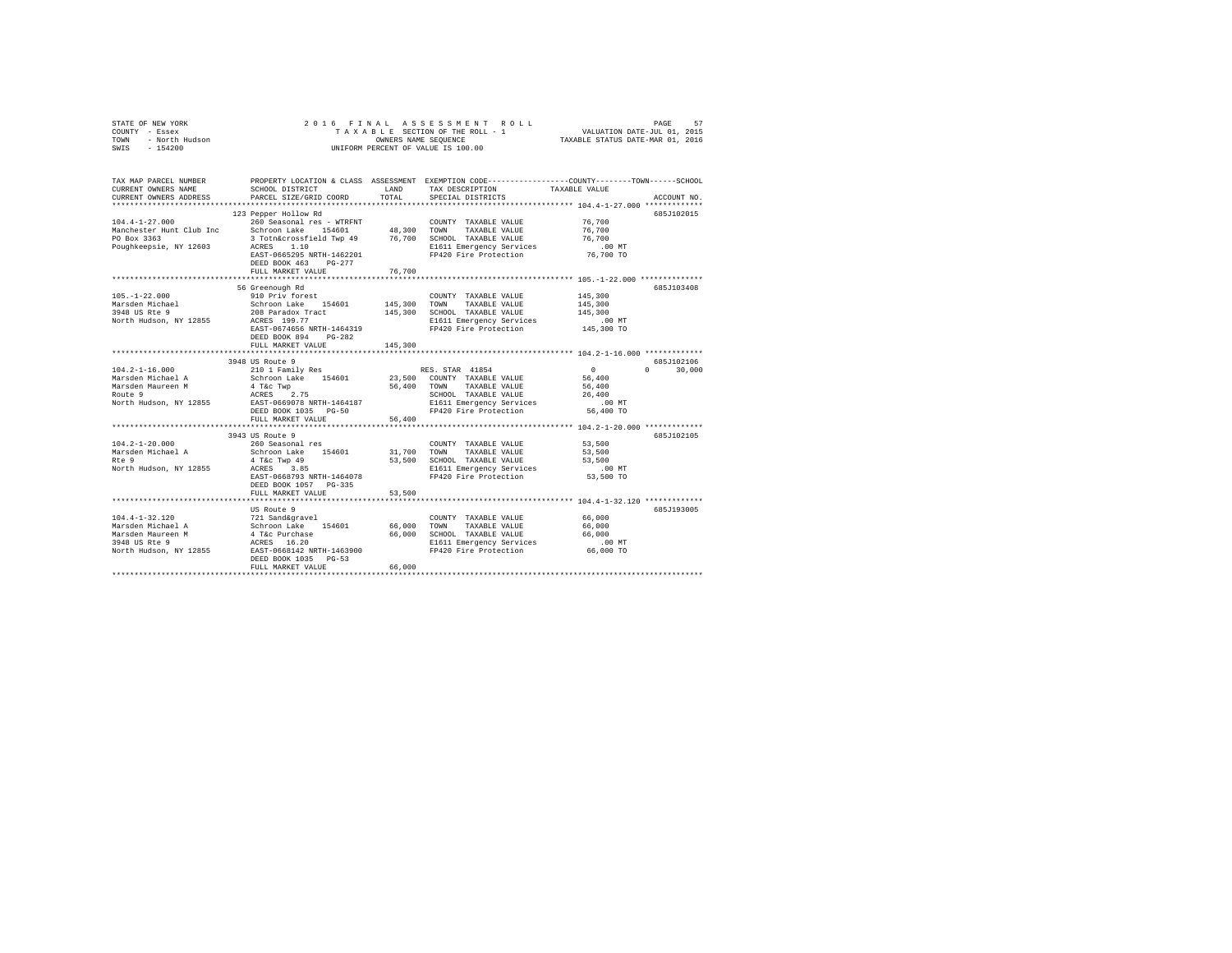| OF NEW YORK<br>Y - Essex<br>- North Hudson<br>- 154200<br>STATE OF NEW YORK<br>COUNTY - Essex<br>TOWN<br>SWIS | 2016 FINAL                                           |               | A S S E S S M E N T R O L L<br>SECTION OF THE ROLL - 1 VALUATION DATE-JUL 01, 2015<br>SS NAME SEQUENCE ROLL - 1 TAXABLE STATUS DATE-MAR 01, 2016<br>TAXABLE SECTION OF THE ROLL - 1<br>OWNERS NAME SEQUENCE<br>UNIFORM PERCENT OF VALUE IS 100.00 |                  |               |
|---------------------------------------------------------------------------------------------------------------|------------------------------------------------------|---------------|---------------------------------------------------------------------------------------------------------------------------------------------------------------------------------------------------------------------------------------------------|------------------|---------------|
| TAX MAP PARCEL NUMBER<br>CURRENT OWNERS NAME<br>CURRENT OWNERS ADDRESS                                        | SCHOOL DISTRICT<br>PARCEL SIZE/GRID COORD            | LAND<br>TOTAL | PROPERTY LOCATION & CLASS ASSESSMENT EXEMPTION CODE---------------COUNTY-------TOWN-----SCHOOL<br>TAX DESCRIPTION<br>SPECIAL DISTRICTS                                                                                                            | TAXABLE VALUE    | ACCOUNT NO.   |
|                                                                                                               | 123 Pepper Hollow Rd                                 |               |                                                                                                                                                                                                                                                   |                  | 685J102015    |
| $104.4 - 1 - 27.000$                                                                                          | 260 Seasonal res - WTRFNT                            |               | COUNTY TAXABLE VALUE                                                                                                                                                                                                                              | 76,700           |               |
| Manchester Hunt Club Inc                                                                                      | Schroon Lake 154601                                  | 48,300 TOWN   | TAXABLE VALUE                                                                                                                                                                                                                                     | 76,700           |               |
| PO Box 3363                                                                                                   | 3 Totn&crossfield Twp 49 76,700 SCHOOL TAXABLE VALUE |               |                                                                                                                                                                                                                                                   | 76,700           |               |
| Poughkeepsie, NY 12603                                                                                        | ACRES 1.10                                           |               | E1611 Emergency Services                                                                                                                                                                                                                          | .00 MT           |               |
|                                                                                                               | EAST-0665295 NRTH-1462201                            |               | FP420 Fire Protection                                                                                                                                                                                                                             | 76,700 TO        |               |
|                                                                                                               | DEED BOOK 463 PG-277<br>FULL MARKET VALUE            | 76,700        |                                                                                                                                                                                                                                                   |                  |               |
|                                                                                                               |                                                      |               |                                                                                                                                                                                                                                                   |                  |               |
|                                                                                                               | 56 Greenough Rd                                      |               |                                                                                                                                                                                                                                                   |                  | 685J103408    |
| $105. - 1 - 22.000$                                                                                           | 910 Priv forest                                      |               | COUNTY TAXABLE VALUE                                                                                                                                                                                                                              | 145,300          |               |
| Marsden Michael<br>3948 US Rte 9                                                                              | Schroon Lake 154601                                  | 145,300 TOWN  | TAXABLE VALUE                                                                                                                                                                                                                                     | 145,300          |               |
|                                                                                                               | 208 Paradox Tract                                    |               | 145,300 SCHOOL TAXABLE VALUE                                                                                                                                                                                                                      | 145,300          |               |
| North Hudson, NY 12855                                                                                        | ACRES 199.77                                         |               | E1611 Emergency Services                                                                                                                                                                                                                          | $.00$ MT         |               |
|                                                                                                               | EAST-0674656 NRTH-1464319<br>DEED BOOK 894 PG-282    |               | FP420 Fire Protection                                                                                                                                                                                                                             | 145,300 TO       |               |
|                                                                                                               | FULL MARKET VALUE                                    | 145,300       |                                                                                                                                                                                                                                                   |                  |               |
|                                                                                                               |                                                      |               |                                                                                                                                                                                                                                                   |                  |               |
|                                                                                                               | 3948 US Route 9                                      |               |                                                                                                                                                                                                                                                   |                  | 685J102106    |
| $104.2 - 1 - 16.000$                                                                                          | 210 1 Family Res                                     |               | RES. STAR 41854                                                                                                                                                                                                                                   | $\sim$ 0         | $0 \t 30.000$ |
| Marsden Michael A                                                                                             | Schroon Lake 154601                                  |               | 23,500 COUNTY TAXABLE VALUE                                                                                                                                                                                                                       | 56,400           |               |
| Marsden Maureen M<br>Route 9                                                                                  | 4 T&c Twp<br>4 T&C Twp<br>ACRES 2.75                 | 56,400        | TAXABLE VALUE<br>TOWN<br>SCHOOL TAXABLE VALUE                                                                                                                                                                                                     | 56,400<br>26,400 |               |
| North Hudson, NY 12855                                                                                        | EAST-0669078 NRTH-1464187                            |               |                                                                                                                                                                                                                                                   |                  |               |
|                                                                                                               | DEED BOOK 1035 PG-50                                 |               | E1611 Emergency Services .00 MT<br>FP420 Fire Protection 56,400 TO                                                                                                                                                                                |                  |               |
|                                                                                                               | FULL MARKET VALUE                                    | 56,400        |                                                                                                                                                                                                                                                   |                  |               |
|                                                                                                               |                                                      |               |                                                                                                                                                                                                                                                   |                  |               |
|                                                                                                               | 3943 US Route 9                                      |               |                                                                                                                                                                                                                                                   |                  | 685J102105    |
| $104.2 - 1 - 20.000$                                                                                          | 260 Seasonal res                                     |               | COUNTY TAXABLE VALUE                                                                                                                                                                                                                              | 53,500           |               |
| Marsden Michael A<br>Rte 9                                                                                    | Schroon Lake 154601                                  | 31,700        | TOWN<br>TAXABLE VALUE<br>53,500 SCHOOL TAXABLE VALUE                                                                                                                                                                                              | 53,500<br>53,500 |               |
| North Hudson, NY 12855                                                                                        | 4 T&C Twp 49<br>ACRES 3.85                           |               | E1611 Emergency Services                                                                                                                                                                                                                          | $.00$ MT         |               |
|                                                                                                               | EAST-0668793 NRTH-1464078                            |               | FP420 Fire Protection                                                                                                                                                                                                                             | 53,500 TO        |               |
|                                                                                                               | DEED BOOK 1057 PG-335                                |               |                                                                                                                                                                                                                                                   |                  |               |
|                                                                                                               | FULL MARKET VALUE                                    | 53,500        |                                                                                                                                                                                                                                                   |                  |               |
|                                                                                                               |                                                      |               |                                                                                                                                                                                                                                                   |                  |               |
|                                                                                                               | US Route 9                                           |               |                                                                                                                                                                                                                                                   |                  | 685J193005    |
| $104.4 - 1 - 32.120$<br>Marsden Michael A                                                                     | 721 Sand&gravel                                      | 66,000        | COUNTY TAXABLE VALUE<br>TOWN<br>TAXABLE VALUE                                                                                                                                                                                                     | 66,000<br>66,000 |               |
| Marsden Maureen M                                                                                             | Schroon Lake 154601<br>4 T&c Purchase                | 66,000        | SCHOOL TAXABLE VALUE                                                                                                                                                                                                                              | 66,000           |               |
| 3948 US Rte 9                                                                                                 | ACRES 16.20                                          |               | E1611 Emergency Services                                                                                                                                                                                                                          | .00 MT           |               |
| North Hudson, NY 12855                                                                                        | EAST-0668142 NRTH-1463900                            |               |                                                                                                                                                                                                                                                   |                  |               |
|                                                                                                               | DEED BOOK 1035 PG-53                                 |               |                                                                                                                                                                                                                                                   |                  |               |
|                                                                                                               | FULL MARKET VALUE                                    | 66,000        |                                                                                                                                                                                                                                                   |                  |               |
|                                                                                                               |                                                      |               |                                                                                                                                                                                                                                                   |                  |               |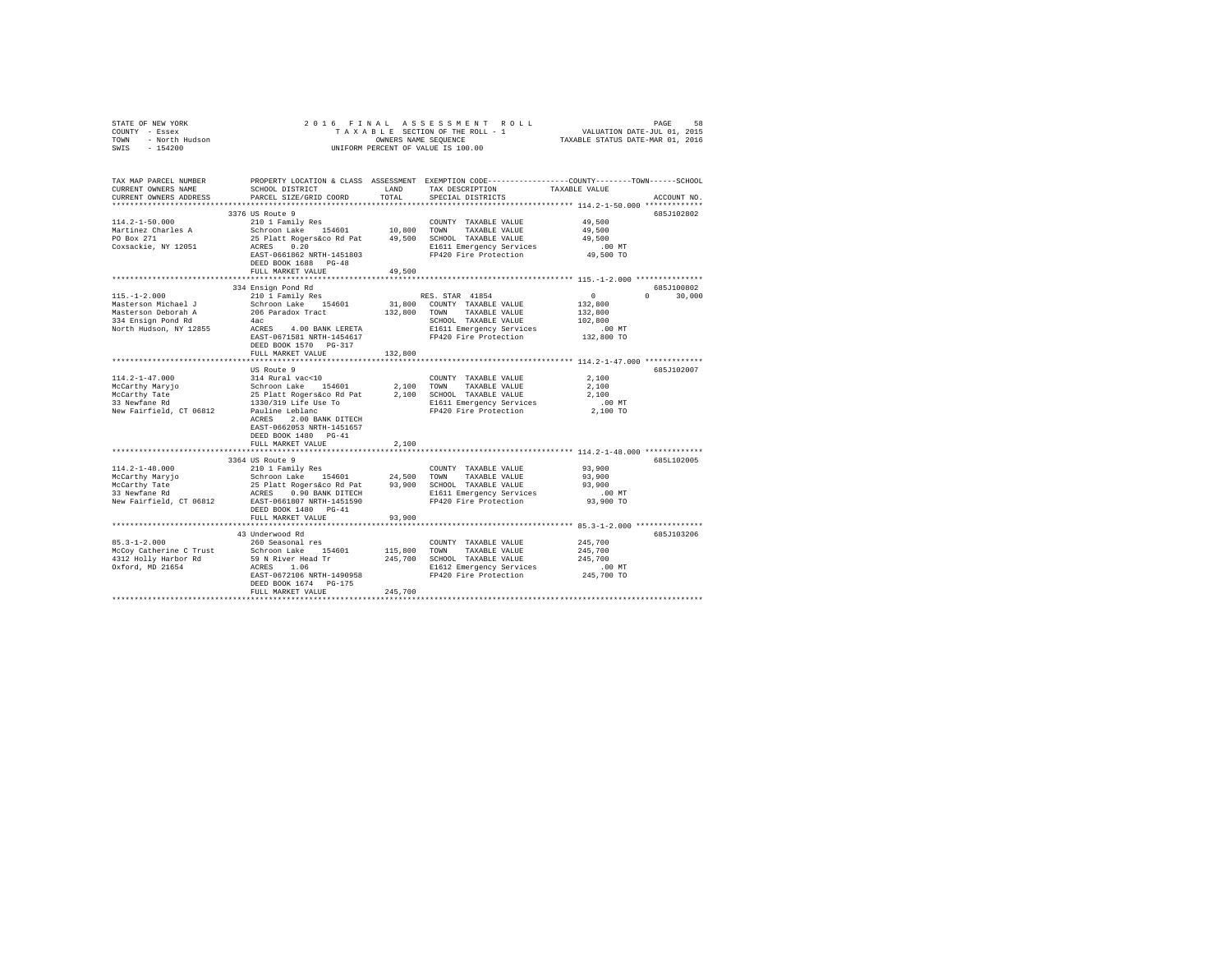| STATE OF NEW YORK<br>COUNTY - Essex<br>TOWN - North Hudson<br>SWIS - 154200                                                                                                                                                                                                                                                                                                                                                 | TAXABLE SEQUENCE<br>OWNERS NAME SEQUENCE<br>UNIFORM PERCENT OF VALUE IS 100.00 |               | 2016 FINAL ASSESSMENT ROLL<br>16 FINAL ASSESSMENT ROLL PAGE 58<br>TAXABLE SECTION OF THE ROLL - 1 VALUATION DATE-JUL 01, 2015<br>TAXABLE STATUS DATE-MAR 01, 2016 |                                                    | PAGE                        |
|-----------------------------------------------------------------------------------------------------------------------------------------------------------------------------------------------------------------------------------------------------------------------------------------------------------------------------------------------------------------------------------------------------------------------------|--------------------------------------------------------------------------------|---------------|-------------------------------------------------------------------------------------------------------------------------------------------------------------------|----------------------------------------------------|-----------------------------|
| TAX MAP PARCEL NUMBER                                                                                                                                                                                                                                                                                                                                                                                                       | SCHOOL DISTRICT                                                                | LAND<br>TOTAL | PROPERTY LOCATION & CLASS ASSESSMENT EXEMPTION CODE---------------COUNTY-------TOWN------SCHOOL<br>TAX DESCRIPTION TAXABLE VALUE<br>SPECIAL DISTRICTS             |                                                    | ACCOUNT NO.                 |
|                                                                                                                                                                                                                                                                                                                                                                                                                             |                                                                                |               |                                                                                                                                                                   |                                                    |                             |
| 114.2-1-50.000                                                                                                                                                                                                                                                                                                                                                                                                              | 3376 US Route 9                                                                |               |                                                                                                                                                                   |                                                    | 685J102802                  |
|                                                                                                                                                                                                                                                                                                                                                                                                                             |                                                                                |               |                                                                                                                                                                   |                                                    |                             |
| Martinez Charles A<br>PO Box 271                                                                                                                                                                                                                                                                                                                                                                                            |                                                                                |               |                                                                                                                                                                   |                                                    |                             |
| Coxsackie, NY 12051                                                                                                                                                                                                                                                                                                                                                                                                         |                                                                                |               |                                                                                                                                                                   |                                                    |                             |
|                                                                                                                                                                                                                                                                                                                                                                                                                             |                                                                                |               |                                                                                                                                                                   |                                                    |                             |
|                                                                                                                                                                                                                                                                                                                                                                                                                             | DEED BOOK 1688 PG-48                                                           |               |                                                                                                                                                                   |                                                    |                             |
|                                                                                                                                                                                                                                                                                                                                                                                                                             | FULL MARKET VALUE                                                              | 49,500        |                                                                                                                                                                   |                                                    |                             |
|                                                                                                                                                                                                                                                                                                                                                                                                                             |                                                                                |               |                                                                                                                                                                   | ******************** 115.-1-2.000 **************** |                             |
| $\begin{tabular}{ccccc} 115.-1-2.000 & 34 & \text{km} \, \text{mm} & \text{total} \, \text{m} \\ & 210 & 1 & \text{Family} \, \text{res} & \text{RES} & \text{STAR} & 41854 & 0 \\ & 210 & 1 & \text{Family} \, \text{res} & 134,800 & \text{COUNTY} & \text{TXABLE VALUE} & 132,800 \\ \text{Masterson Michael J} & 200 & \text{Paradox Tract} & 132,800 & \text{COUNTY} & \text{TXABLE VALUE} & 132,800 \\ & 334 & \text$ | 334 Ensign Pond Rd                                                             |               |                                                                                                                                                                   | $\overline{0}$                                     | 685J100802<br>$0 \t 30,000$ |
|                                                                                                                                                                                                                                                                                                                                                                                                                             |                                                                                |               |                                                                                                                                                                   |                                                    |                             |
|                                                                                                                                                                                                                                                                                                                                                                                                                             |                                                                                |               |                                                                                                                                                                   |                                                    |                             |
|                                                                                                                                                                                                                                                                                                                                                                                                                             |                                                                                |               |                                                                                                                                                                   |                                                    |                             |
|                                                                                                                                                                                                                                                                                                                                                                                                                             |                                                                                |               |                                                                                                                                                                   |                                                    |                             |
|                                                                                                                                                                                                                                                                                                                                                                                                                             |                                                                                |               |                                                                                                                                                                   |                                                    |                             |
|                                                                                                                                                                                                                                                                                                                                                                                                                             | DEED BOOK 1570 PG-317                                                          |               |                                                                                                                                                                   |                                                    |                             |
|                                                                                                                                                                                                                                                                                                                                                                                                                             | FULL MARKET VALUE                                                              | 132,800       |                                                                                                                                                                   |                                                    |                             |
|                                                                                                                                                                                                                                                                                                                                                                                                                             |                                                                                |               |                                                                                                                                                                   |                                                    |                             |
| $\begin{tabular}{lcccc} 114.2-1-47.000 & 334 Rural vac10 & 2,100McCarthy Maryjo & 314 Rural vac10 & 2,100 TORM & TAXABLE VALUE & 2,100McCarthy Maryio & 35 Platt Rogerséco Rd Pat & 2,100 TORM & TAXABLE VALUE & 2,10033 Newframe Red & 25 Platt Regerséco Rd Pat & 2,100 SCHOMBLES VALUE & 2,10033 Newframe Leblanc & 2,100 TOMM & 2,100New Fairfield, CT 06812 & Pauline Leblanc & 2,100new Fairfield, CT 0$              | US Route 9                                                                     |               |                                                                                                                                                                   |                                                    | 685J102007                  |
|                                                                                                                                                                                                                                                                                                                                                                                                                             |                                                                                |               |                                                                                                                                                                   |                                                    |                             |
|                                                                                                                                                                                                                                                                                                                                                                                                                             |                                                                                |               |                                                                                                                                                                   |                                                    |                             |
|                                                                                                                                                                                                                                                                                                                                                                                                                             |                                                                                |               |                                                                                                                                                                   |                                                    |                             |
|                                                                                                                                                                                                                                                                                                                                                                                                                             |                                                                                |               |                                                                                                                                                                   |                                                    |                             |
|                                                                                                                                                                                                                                                                                                                                                                                                                             | ACRES 2.00 BANK DITECH                                                         |               |                                                                                                                                                                   |                                                    |                             |
|                                                                                                                                                                                                                                                                                                                                                                                                                             | EAST-0662053 NRTH-1451657                                                      |               |                                                                                                                                                                   |                                                    |                             |
|                                                                                                                                                                                                                                                                                                                                                                                                                             | DEED BOOK 1480 PG-41                                                           |               |                                                                                                                                                                   |                                                    |                             |
|                                                                                                                                                                                                                                                                                                                                                                                                                             | FULL MARKET VALUE                                                              | 2,100         |                                                                                                                                                                   |                                                    |                             |
|                                                                                                                                                                                                                                                                                                                                                                                                                             |                                                                                |               |                                                                                                                                                                   |                                                    | 685L102005                  |
| $\begin{tabular}{lcccc} 114.2-1-48.000 & 3564553.900 & 12101 Finally Res & 24,500 TONNY TAXABLE VALUE & 93,900 \\ & & 2101 I family Res & 24,500 TONN TAXABLE VALUE & 93,900 \\ & & 251 at the Ggers Kco Rd Pat & 93,900 & STAOALD TAXABLE VALUE & 93,900 \\ & & 251 at the Ggers Kco Rd Pat & 93,900 & SCHOODT, TXABLE VALUE & 93,900 \\ & & 33 Newfane Rd & & 251 at the Ggers Kco S 190 BANT TEC$                        | 3364 US Route 9                                                                |               |                                                                                                                                                                   |                                                    |                             |
|                                                                                                                                                                                                                                                                                                                                                                                                                             |                                                                                |               |                                                                                                                                                                   |                                                    |                             |
|                                                                                                                                                                                                                                                                                                                                                                                                                             |                                                                                |               |                                                                                                                                                                   |                                                    |                             |
|                                                                                                                                                                                                                                                                                                                                                                                                                             |                                                                                |               |                                                                                                                                                                   |                                                    |                             |
|                                                                                                                                                                                                                                                                                                                                                                                                                             |                                                                                |               |                                                                                                                                                                   |                                                    |                             |
|                                                                                                                                                                                                                                                                                                                                                                                                                             | DEED BOOK 1480 PG-41                                                           |               |                                                                                                                                                                   |                                                    |                             |
|                                                                                                                                                                                                                                                                                                                                                                                                                             | FULL MARKET VALUE                                                              | 93,900        |                                                                                                                                                                   |                                                    |                             |
|                                                                                                                                                                                                                                                                                                                                                                                                                             |                                                                                |               |                                                                                                                                                                   |                                                    |                             |
|                                                                                                                                                                                                                                                                                                                                                                                                                             | 43 Underwood Rd                                                                |               |                                                                                                                                                                   |                                                    | 685J103206                  |
|                                                                                                                                                                                                                                                                                                                                                                                                                             |                                                                                |               |                                                                                                                                                                   |                                                    |                             |
|                                                                                                                                                                                                                                                                                                                                                                                                                             |                                                                                |               |                                                                                                                                                                   |                                                    |                             |
|                                                                                                                                                                                                                                                                                                                                                                                                                             |                                                                                |               |                                                                                                                                                                   |                                                    |                             |
|                                                                                                                                                                                                                                                                                                                                                                                                                             |                                                                                |               |                                                                                                                                                                   |                                                    |                             |
|                                                                                                                                                                                                                                                                                                                                                                                                                             | DEED BOOK 1674 PG-175                                                          |               |                                                                                                                                                                   |                                                    |                             |
|                                                                                                                                                                                                                                                                                                                                                                                                                             | FULL MARKET VALUE 245,700                                                      |               |                                                                                                                                                                   |                                                    |                             |
|                                                                                                                                                                                                                                                                                                                                                                                                                             |                                                                                |               |                                                                                                                                                                   |                                                    |                             |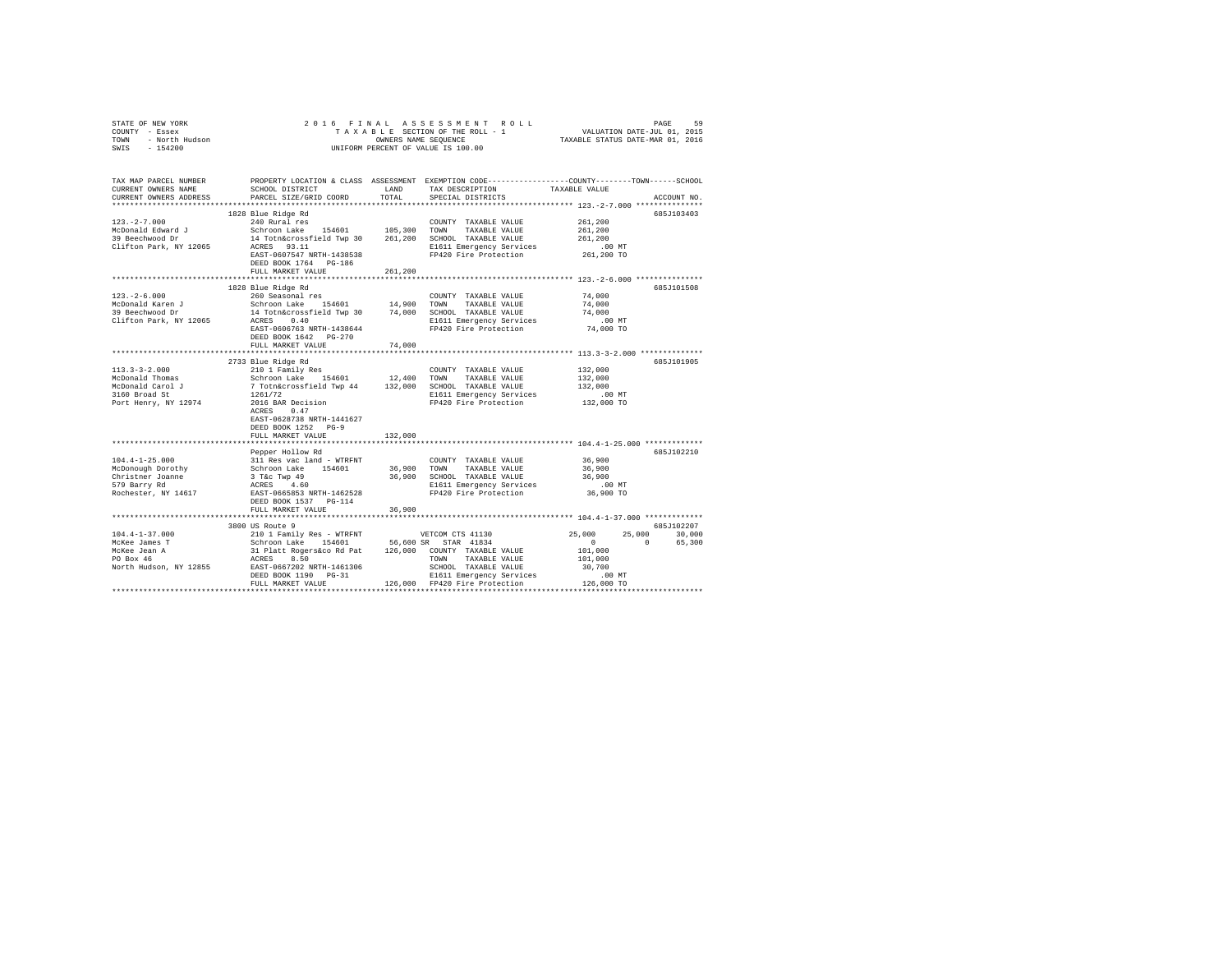| TAX MAP PARCEL NUMBER<br>CURRENT OWNERS NAME<br>CURRENT OWNERS ADDRESS | SCHOOL DISTRICT<br>PARCEL SIZE/GRID COORD                                                                                                                                                                                                                                                                                                                                                                                                                               | LAND<br>TOTAL          | PROPERTY LOCATION & CLASS ASSESSMENT EXEMPTION CODE---------------COUNTY-------TOWN------SCHOOL<br>TAX DESCRIPTION TAXABLE VALUE<br>SPECIAL DISTRICTS |                                                             | ACCOUNT NO.                             |
|------------------------------------------------------------------------|-------------------------------------------------------------------------------------------------------------------------------------------------------------------------------------------------------------------------------------------------------------------------------------------------------------------------------------------------------------------------------------------------------------------------------------------------------------------------|------------------------|-------------------------------------------------------------------------------------------------------------------------------------------------------|-------------------------------------------------------------|-----------------------------------------|
|                                                                        |                                                                                                                                                                                                                                                                                                                                                                                                                                                                         |                        |                                                                                                                                                       |                                                             | 685J103403                              |
|                                                                        |                                                                                                                                                                                                                                                                                                                                                                                                                                                                         |                        |                                                                                                                                                       |                                                             |                                         |
|                                                                        | DEED BOOK 1764 PG-186<br>FULL MARKET VALUE                                                                                                                                                                                                                                                                                                                                                                                                                              |                        |                                                                                                                                                       |                                                             |                                         |
|                                                                        |                                                                                                                                                                                                                                                                                                                                                                                                                                                                         | 261,200                |                                                                                                                                                       |                                                             | 685J101508                              |
|                                                                        | FULL MARKET VALUE                                                                                                                                                                                                                                                                                                                                                                                                                                                       | 74,000                 |                                                                                                                                                       |                                                             |                                         |
|                                                                        | 2733 Blue Ridge Rd                                                                                                                                                                                                                                                                                                                                                                                                                                                      |                        |                                                                                                                                                       |                                                             | 685J101905                              |
|                                                                        | EAST-0628738 NRTH-1441627<br>DEED BOOK 1252 PG-9                                                                                                                                                                                                                                                                                                                                                                                                                        |                        |                                                                                                                                                       | 132,000<br>132,000<br>132,000<br>.00 MT<br>132,000 TO       |                                         |
|                                                                        | FULL MARKET VALUE                                                                                                                                                                                                                                                                                                                                                                                                                                                       | 132,000                |                                                                                                                                                       |                                                             |                                         |
|                                                                        | ***************************<br>Pepper Hollow Rd<br>$\begin{tabular}{lcccc} 104.4-1-25.000 & & 311\mbox{ Res}\xe-1&\mbox{order} & -\mbox{WRFRPT} & & \mbox{COUNTY TXABLE VALUES} & 36,900 \\ & & 311\mbox{ Res}\xe-1& -\mbox{factor} & 36,900 & 36,900 & \mbox{TONNTY TXABLE VALUES} & 36,900 \\ & & 311\mbox{ Res}\xe-1& 154601 & 36,900 & \mbox{TOMN} & TAXABLE VALUES & 36,900 \\ & & 316.10\mbox{ TMABLE YALUE} & 36,$<br>DEED BOOK 1537 PG-114<br>FULL MARKET VALUE | ************<br>36,900 |                                                                                                                                                       | ***************************** 104.4-1-25.000 ************** | 685J102210                              |
|                                                                        |                                                                                                                                                                                                                                                                                                                                                                                                                                                                         |                        |                                                                                                                                                       |                                                             |                                         |
|                                                                        | 3800 US Route 9<br>$\begin{tabular}{cccccc} 104.4-1-37.000 & 38000 Koule 9 \\ \hline \texttt{McKee James T} & 2101 Fani1y Res & \texttt{WTRENT} & \texttt{VETCOM CTS 41130} & 25,000 & 25 \\ \texttt{McKee James T} & 2101 Fani1y Res & \texttt{WTRENT} & 56,600 S S & 57 R & 41834 \\ \texttt{McKee James T} & 31 P1att Reger 56: 81 P & 126,000 COMNT Y TXABLE VALUE & 101,000 \\ \texttt{PO Box 46} &$                                                               |                        |                                                                                                                                                       |                                                             | 685J102207<br>25,000 30,000<br>0 65,300 |
|                                                                        |                                                                                                                                                                                                                                                                                                                                                                                                                                                                         |                        |                                                                                                                                                       |                                                             |                                         |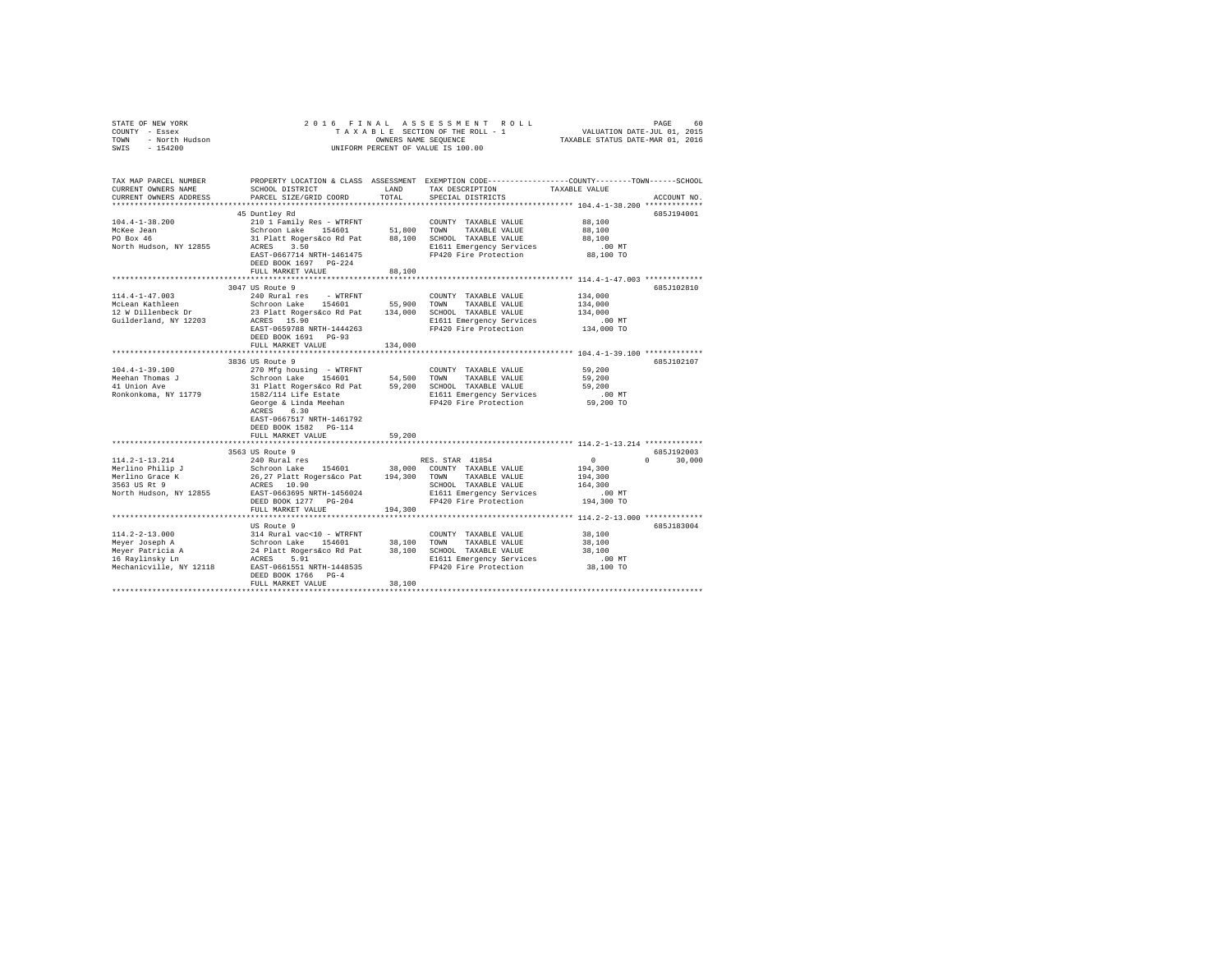| STATE OF NEW YORK<br>COUNNY - Essex<br>TOWN - North Hudson<br>SWIS - 154200<br>SWIS - 154200 | 2016 FINAL<br>UNIFORM PERCENT OF VALUE IS 100.00                                                                                                                                                                                                                                                                                                                                                                       | FRINAL ASSESSMENT ROLL (FRING PAGE 60)<br>TAXABLE SECTION OF THE ROLL - 1 VALUATION DATE-JUL 01, 2015<br>OWNERS NAME SEQUENCE (TAXABLE STATUS DATE-MAR 01, 2016 |                                                                     |                                                       |               |
|----------------------------------------------------------------------------------------------|------------------------------------------------------------------------------------------------------------------------------------------------------------------------------------------------------------------------------------------------------------------------------------------------------------------------------------------------------------------------------------------------------------------------|-----------------------------------------------------------------------------------------------------------------------------------------------------------------|---------------------------------------------------------------------|-------------------------------------------------------|---------------|
| CURRENT OWNERS NAME                                                                          | TAX MAP PARCEL NUMBER PROPERTY LOCATION & CLASS ASSESSMENT EXEMPTION CODE---------------COUNTY-------TOWN------SCHOOL<br>SCHOOL DISTRICT LAND                                                                                                                                                                                                                                                                          |                                                                                                                                                                 | TAX DESCRIPTION                                                     | TAXABLE VALUE                                         |               |
| CURRENT OWNERS ADDRESS                                                                       | PARCEL SIZE/GRID COORD                                                                                                                                                                                                                                                                                                                                                                                                 | TOTAL                                                                                                                                                           | SPECIAL DISTRICTS                                                   |                                                       | ACCOUNT NO.   |
|                                                                                              |                                                                                                                                                                                                                                                                                                                                                                                                                        |                                                                                                                                                                 |                                                                     |                                                       |               |
|                                                                                              | 45 Duntley Rd                                                                                                                                                                                                                                                                                                                                                                                                          |                                                                                                                                                                 |                                                                     |                                                       | 685J194001    |
| $104.4 - 1 - 38.200$                                                                         | 210 1 Family Res - WTRFNT                                                                                                                                                                                                                                                                                                                                                                                              |                                                                                                                                                                 | COUNTY TAXABLE VALUE<br>TAXABLE VALUE                               | 88,100<br>88,100                                      |               |
| McKee Jean<br>PO Box 46                                                                      | Schroon Lake 154601 51,800 TOWN TAXABLE VALUE<br>31 Platt Rogers&co Rd Pat 88,100 SCHOOL TAXABLE VALUE                                                                                                                                                                                                                                                                                                                 |                                                                                                                                                                 |                                                                     | 88,100                                                |               |
| North Hudson, NY 12855                                                                       | ACRES 3.50                                                                                                                                                                                                                                                                                                                                                                                                             |                                                                                                                                                                 |                                                                     |                                                       |               |
|                                                                                              | EAST-0667714 NRTH-1461475<br>DEED BOOK 1697 PG-224                                                                                                                                                                                                                                                                                                                                                                     |                                                                                                                                                                 | E1611 Emergency Services .00 MT<br>FP420 Fire Protection .08,100 TO |                                                       |               |
|                                                                                              | FULL MARKET VALUE                                                                                                                                                                                                                                                                                                                                                                                                      | 88,100                                                                                                                                                          |                                                                     |                                                       |               |
|                                                                                              | 3047 US Route 9                                                                                                                                                                                                                                                                                                                                                                                                        |                                                                                                                                                                 |                                                                     |                                                       | 685J102810    |
| $114.4 - 1 - 47.003$                                                                         | 240 Rural res - WTRFNT                                                                                                                                                                                                                                                                                                                                                                                                 |                                                                                                                                                                 | COUNTY TAXABLE VALUE                                                | 134,000                                               |               |
| McLean Kathleen                                                                              |                                                                                                                                                                                                                                                                                                                                                                                                                        |                                                                                                                                                                 |                                                                     | 134,000                                               |               |
| 12 W Dillenbeck Dr                                                                           |                                                                                                                                                                                                                                                                                                                                                                                                                        |                                                                                                                                                                 |                                                                     | 134,000                                               |               |
| Guilderland, NY 12203                                                                        |                                                                                                                                                                                                                                                                                                                                                                                                                        |                                                                                                                                                                 |                                                                     | .00 MT                                                |               |
|                                                                                              | EAST-0659788 NRTH-1444263<br>DEED BOOK 1691 PG-93                                                                                                                                                                                                                                                                                                                                                                      |                                                                                                                                                                 | FP420 Fire Protection                                               | 134,000 TO                                            |               |
|                                                                                              | FULL MARKET VALUE<br>***************************                                                                                                                                                                                                                                                                                                                                                                       | 134,000<br>*************                                                                                                                                        |                                                                     | ************************ 104.4-1-39.100 ************* |               |
|                                                                                              | 3836 US Route 9                                                                                                                                                                                                                                                                                                                                                                                                        |                                                                                                                                                                 |                                                                     |                                                       | 685J102107    |
| $104.4 - 1 - 39.100$                                                                         | 270 Mfg housing - WTRFNT                                                                                                                                                                                                                                                                                                                                                                                               |                                                                                                                                                                 | COUNTY TAXABLE VALUE                                                | 59,200                                                |               |
| Meehan Thomas J                                                                              | Schroon Lake 154601 54,500 TOWN TAXABLE VALUE                                                                                                                                                                                                                                                                                                                                                                          |                                                                                                                                                                 |                                                                     | 59,200                                                |               |
| 41 Union Ave                                                                                 | 31 Platt Rogers&co.Rd Pat 59,200 SCHOOL TAXABLE VALUE<br>1582/114 Life Estate 89,200 SCHOOL TAXABLE VALUE<br>1582/114 Life Estate 8 and FIGURE George & Linda Meehan                                                                                                                                                                                                                                                   |                                                                                                                                                                 |                                                                     | 59,200                                                |               |
| Ronkonkoma, NY 11779                                                                         |                                                                                                                                                                                                                                                                                                                                                                                                                        |                                                                                                                                                                 | E1611 Emergency Services<br>FP420 Fire Protection                   | $.00$ MT                                              |               |
|                                                                                              | ACRES 6.30                                                                                                                                                                                                                                                                                                                                                                                                             |                                                                                                                                                                 | FP420 Fire Protection                                               | 59,200 TO                                             |               |
|                                                                                              | EAST-0667517 NRTH-1461792                                                                                                                                                                                                                                                                                                                                                                                              |                                                                                                                                                                 |                                                                     |                                                       |               |
|                                                                                              | DEED BOOK 1582 PG-114<br>FULL MARKET VALUE                                                                                                                                                                                                                                                                                                                                                                             | 59,200                                                                                                                                                          |                                                                     |                                                       |               |
|                                                                                              |                                                                                                                                                                                                                                                                                                                                                                                                                        |                                                                                                                                                                 |                                                                     |                                                       |               |
|                                                                                              | 3563 US Route 9                                                                                                                                                                                                                                                                                                                                                                                                        |                                                                                                                                                                 |                                                                     |                                                       | 685J192003    |
| 114.2-1-13.214                                                                               | 240 Rural res                                                                                                                                                                                                                                                                                                                                                                                                          |                                                                                                                                                                 | RES. STAR 41854                                                     | $\sim$ 0                                              | $0 \t 30,000$ |
|                                                                                              |                                                                                                                                                                                                                                                                                                                                                                                                                        |                                                                                                                                                                 |                                                                     | 194,300                                               |               |
| Merlino Philip J<br>Merlino Grace K<br>3563 US Rt 9                                          | Schroon Lake 154601 38,000 COUNTY TAXABLE VALUE<br>26,27 Platt Rogers&co Pat 194,300 TOWN TAXABLE VALUE                                                                                                                                                                                                                                                                                                                |                                                                                                                                                                 | TAXABLE VALUE                                                       | 194,300                                               |               |
|                                                                                              | ACRES 10.90                                                                                                                                                                                                                                                                                                                                                                                                            |                                                                                                                                                                 | SCHOOL TAXABLE VALUE                                                | 164,300                                               |               |
| North Hudson, NY 12855                                                                       | EAST-0663695 NRTH-1456024                                                                                                                                                                                                                                                                                                                                                                                              |                                                                                                                                                                 | E1611 Emergency Services<br>FP420 Fire Protection                   | .00 MT<br>194,300 TO                                  |               |
|                                                                                              | DEED BOOK 1277 PG-204<br>FULL MARKET VALUE                                                                                                                                                                                                                                                                                                                                                                             | 194,300                                                                                                                                                         |                                                                     |                                                       |               |
|                                                                                              |                                                                                                                                                                                                                                                                                                                                                                                                                        |                                                                                                                                                                 |                                                                     |                                                       |               |
|                                                                                              | US Route 9                                                                                                                                                                                                                                                                                                                                                                                                             |                                                                                                                                                                 |                                                                     |                                                       | 685J183004    |
| $114.2 - 2 - 13.000$                                                                         |                                                                                                                                                                                                                                                                                                                                                                                                                        |                                                                                                                                                                 |                                                                     | 38,100                                                |               |
|                                                                                              | 314 Rural vac<10 - WTRFNT COUNTY TAXABLE VALUE<br>Schroon Lake 154601 38,100 TOWN TAXABLE VALUE<br>24 Platt Rogers Co Re at 38,100 SCHOOL TAXABLE VALUE<br>ACRES 5.91                                                                                                                                                                                                                                                  |                                                                                                                                                                 |                                                                     | 38,100                                                |               |
|                                                                                              |                                                                                                                                                                                                                                                                                                                                                                                                                        |                                                                                                                                                                 |                                                                     | 38,100                                                |               |
|                                                                                              |                                                                                                                                                                                                                                                                                                                                                                                                                        |                                                                                                                                                                 | E1611 Emergency Services                                            | $.00$ MT                                              |               |
|                                                                                              | $\begin{tabular}{lllllllllllll} \texttt{M14.2--13.000} & 314 \texttt{ Rural}\hspace{0.08cm} \texttt{M22--13.000} & 314 \texttt{Rural}\hspace{0.08cm} \texttt{Meyer}\hspace{0.08cm} \texttt{D4601} \\ \texttt{Meyer} \hspace{0.08cm} \texttt{Patriicia} \hspace{0.08cm} \texttt{A} & 24 \hspace{0.08cm} \texttt{Platt} \hspace{0.08cm} \texttt{Rogerskco} \hspace{0.08cm} \texttt{Rd} \hspace{0$<br>DEED BOOK 1766 PG-4 |                                                                                                                                                                 | FP420 Fire Protection                                               | 38,100 TO                                             |               |
|                                                                                              | FULL MARKET VALUE                                                                                                                                                                                                                                                                                                                                                                                                      | 38,100                                                                                                                                                          |                                                                     |                                                       |               |
|                                                                                              |                                                                                                                                                                                                                                                                                                                                                                                                                        |                                                                                                                                                                 |                                                                     |                                                       |               |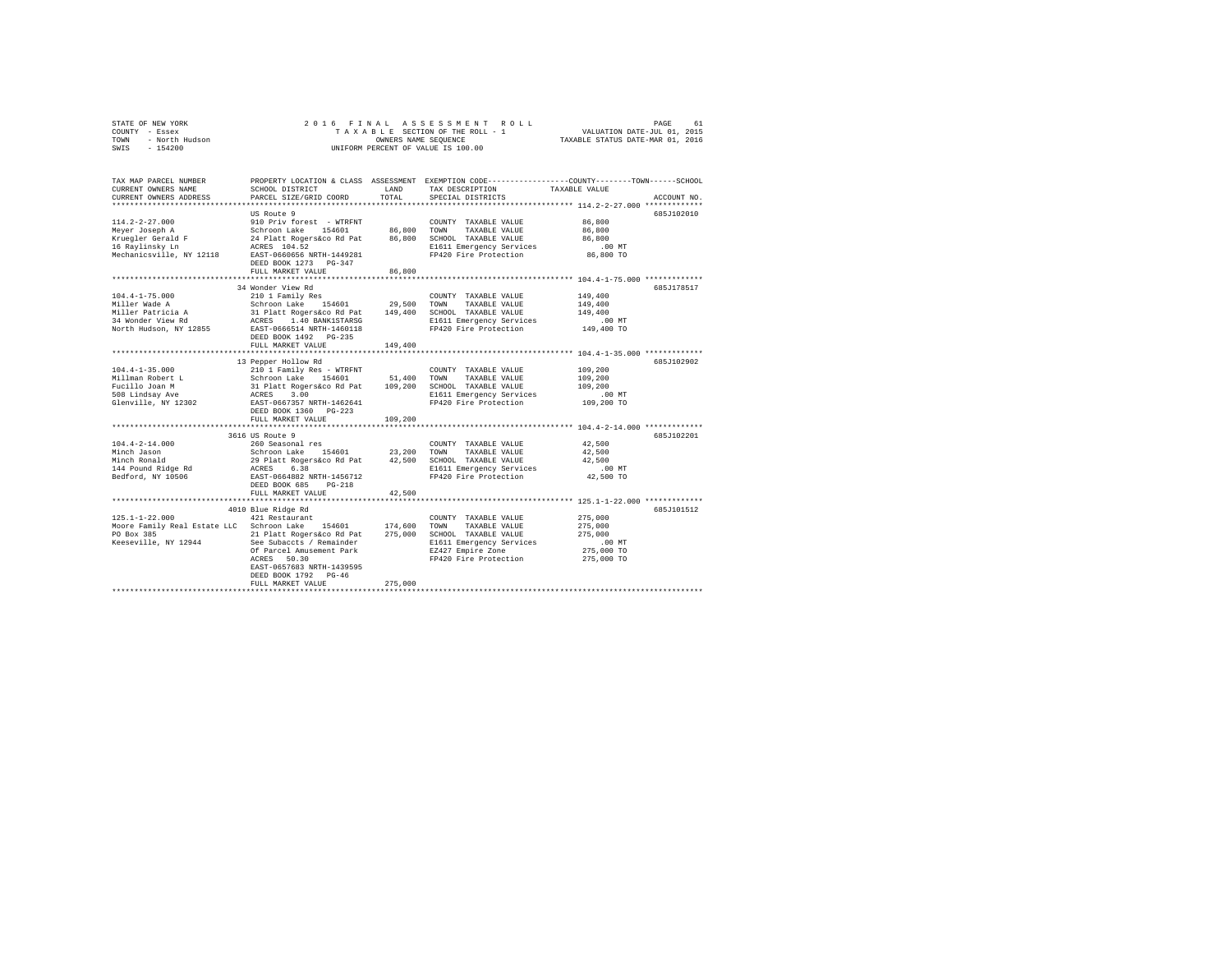|      | STATE OF NEW YORK | 2016 FINAL ASSESSMENT ROLL         | 61<br>PAGE                       |
|------|-------------------|------------------------------------|----------------------------------|
|      | COUNTY - Essex    | TAXABLE SECTION OF THE ROLL - 1    | VALUATION DATE-JUL 01, 2015      |
| TOWN | - North Hudson    | OWNERS NAME SEOUENCE               | TAXABLE STATUS DATE-MAR 01, 2016 |
| SWIS | $-154200$         | UNIFORM PERCENT OF VALUE IS 100.00 |                                  |

| TAX MAP PARCEL NUMBER<br>CURRENT OWNERS NAME<br>CURRENT OWNERS ADDRESS | SCHOOL DISTRICT<br>PARCEL SIZE/GRID COORD                                                               | LAND<br>TOTAL | TAX DESCRIPTION<br>SPECIAL DISTRICTS             | PROPERTY LOCATION & CLASS ASSESSMENT EXEMPTION CODE---------------COUNTY-------TOWN-----SCHOOL<br>TAXABLE VALUE<br>ACCOUNT NO. |
|------------------------------------------------------------------------|---------------------------------------------------------------------------------------------------------|---------------|--------------------------------------------------|--------------------------------------------------------------------------------------------------------------------------------|
|                                                                        |                                                                                                         |               |                                                  |                                                                                                                                |
|                                                                        | US Route 9                                                                                              |               |                                                  | 685J102010                                                                                                                     |
| $114.2 - 2 - 27.000$                                                   | 910 Priv forest - WTRFNT                                                                                |               | COUNTY TAXABLE VALUE                             | 86,800                                                                                                                         |
| Meyer Joseph A                                                         | Schroon Lake 154601                                                                                     | 86,800 TOWN   | TAXABLE VALUE                                    | 86,800                                                                                                                         |
| Kruegler Gerald F                                                      | 24 Platt Rogers&co Rd Pat                                                                               | 86,800        | SCHOOL TAXABLE VALUE                             | 86,800                                                                                                                         |
| 16 Raylinsky Ln                                                        | ACRES 104.52                                                                                            |               | E1611 Emergency Services                         | .00 MT                                                                                                                         |
| Mechanicsville, NY 12118                                               | EAST-0660656 NRTH-1449281                                                                               |               | FP420 Fire Protection                            | 86,800 TO                                                                                                                      |
|                                                                        | DEED BOOK 1273 PG-347                                                                                   |               |                                                  |                                                                                                                                |
|                                                                        | FULL MARKET VALUE                                                                                       | 86,800        |                                                  |                                                                                                                                |
|                                                                        | 34 Wonder View Rd                                                                                       |               |                                                  | 685J178517                                                                                                                     |
| $104.4 - 1 - 75.000$                                                   | 210 1 Family Res                                                                                        |               | COUNTY TAXABLE VALUE                             | 149,400                                                                                                                        |
| Miller Wade A                                                          | Schroon Lake 154601                                                                                     | 29,500        | TOWN<br>TAXABLE VALUE                            | 149,400                                                                                                                        |
| Miller Patricia A                                                      |                                                                                                         | 149,400       | SCHOOL TAXABLE VALUE                             | 149,400                                                                                                                        |
| 34 Wonder View Rd                                                      |                                                                                                         |               | E1611 Emergency Services                         | .00 MT                                                                                                                         |
| North Hudson, NY 12855                                                 | schroon Lake 194601<br>31 Platt Rogers&co Rd Pat<br>ACRES 1.40 BANK1STARSG<br>EAST-0666514 NRTH-1460118 |               | FP420 Fire Protection                            | 149,400 TO                                                                                                                     |
|                                                                        | DEED BOOK 1492 PG-235                                                                                   |               |                                                  |                                                                                                                                |
|                                                                        | FULL MARKET VALUE                                                                                       | 149,400       |                                                  |                                                                                                                                |
|                                                                        |                                                                                                         |               |                                                  |                                                                                                                                |
|                                                                        | 13 Pepper Hollow Rd                                                                                     |               |                                                  | 685J102902                                                                                                                     |
| $104.4 - 1 - 35.000$                                                   | 210 1 Family Res - WTRFNT                                                                               |               | COUNTY TAXABLE VALUE                             | 109,200                                                                                                                        |
| Millman Robert L                                                       | Schroon Lake 154601<br>31 Platt Rogers&co Rd Pat<br>ACRES 3.00<br>EAST-0667357 NRTH-1462641             | 51,400        | TOWN<br>TAXABLE VALUE                            | 109,200                                                                                                                        |
| Fucillo Joan M                                                         |                                                                                                         | 109,200       | SCHOOL TAXABLE VALUE                             | 109,200                                                                                                                        |
| 508 Lindsay Ave                                                        |                                                                                                         |               | E1611 Emergency Services                         | $.00$ MT                                                                                                                       |
| Glenville, NY 12302                                                    | DEED BOOK 1360 PG-223                                                                                   |               | FP420 Fire Protection                            | 109,200 TO                                                                                                                     |
|                                                                        | FULL MARKET VALUE                                                                                       | 109,200       |                                                  |                                                                                                                                |
|                                                                        | *******************************                                                                         |               |                                                  |                                                                                                                                |
|                                                                        | 3616 US Route 9                                                                                         |               |                                                  | 685J102201                                                                                                                     |
| $104.4 - 2 - 14.000$                                                   | 260 Seasonal res                                                                                        |               | COUNTY TAXABLE VALUE                             | 42,500                                                                                                                         |
| Minch Jason                                                            | 154601 23,200                                                                                           |               | TOWN<br>TAXABLE VALUE                            | 42,500                                                                                                                         |
| Minch Ronald                                                           | Schroon Lake 154601<br>29 Platt Rogers&co Rd Pat                                                        |               | 42,500 SCHOOL TAXABLE VALUE                      | 42,500                                                                                                                         |
| 144 Pound Ridge Rd                                                     |                                                                                                         |               | E1611 Emergency Services                         | $.00$ MT                                                                                                                       |
| Bedford, NY 10506                                                      | ACRES 6.38<br>EAST-0664882 NRTH-1456712                                                                 |               | FP420 Fire Protection                            | 42,500 TO                                                                                                                      |
|                                                                        | DEED BOOK 685<br>$PG-218$                                                                               |               |                                                  |                                                                                                                                |
|                                                                        | FULL MARKET VALUE                                                                                       | 42,500        |                                                  |                                                                                                                                |
|                                                                        |                                                                                                         |               |                                                  |                                                                                                                                |
|                                                                        | 4010 Blue Ridge Rd                                                                                      |               |                                                  | 685J101512                                                                                                                     |
| $125.1 - 1 - 22.000$                                                   | 421 Restaurant                                                                                          |               | COUNTY TAXABLE VALUE                             | 275,000                                                                                                                        |
| Moore Family Real Estate LLC Schroon Lake                              | 154601                                                                                                  | 174,600       | TOWN<br>TAXABLE VALUE                            | 275,000                                                                                                                        |
| PO Box 385<br>Keeseville, NY 12944                                     | 21 Platt Rogers&co Rd Pat<br>See Subaccts / Remainder                                                   | 275,000       | SCHOOL TAXABLE VALUE<br>E1611 Emergency Services | 275,000<br>$.00$ MT                                                                                                            |
|                                                                        | Of Parcel Amusement Park                                                                                |               | EZ427 Empire Zone                                | 275,000 TO                                                                                                                     |
|                                                                        | 50.30<br>ACRES                                                                                          |               | FP420 Fire Protection                            | 275,000 TO                                                                                                                     |
|                                                                        | EAST-0657683 NRTH-1439595                                                                               |               |                                                  |                                                                                                                                |
|                                                                        | DEED BOOK 1792 PG-46                                                                                    |               |                                                  |                                                                                                                                |
|                                                                        | FULL MARKET VALUE                                                                                       | 275,000       |                                                  |                                                                                                                                |
|                                                                        |                                                                                                         |               |                                                  |                                                                                                                                |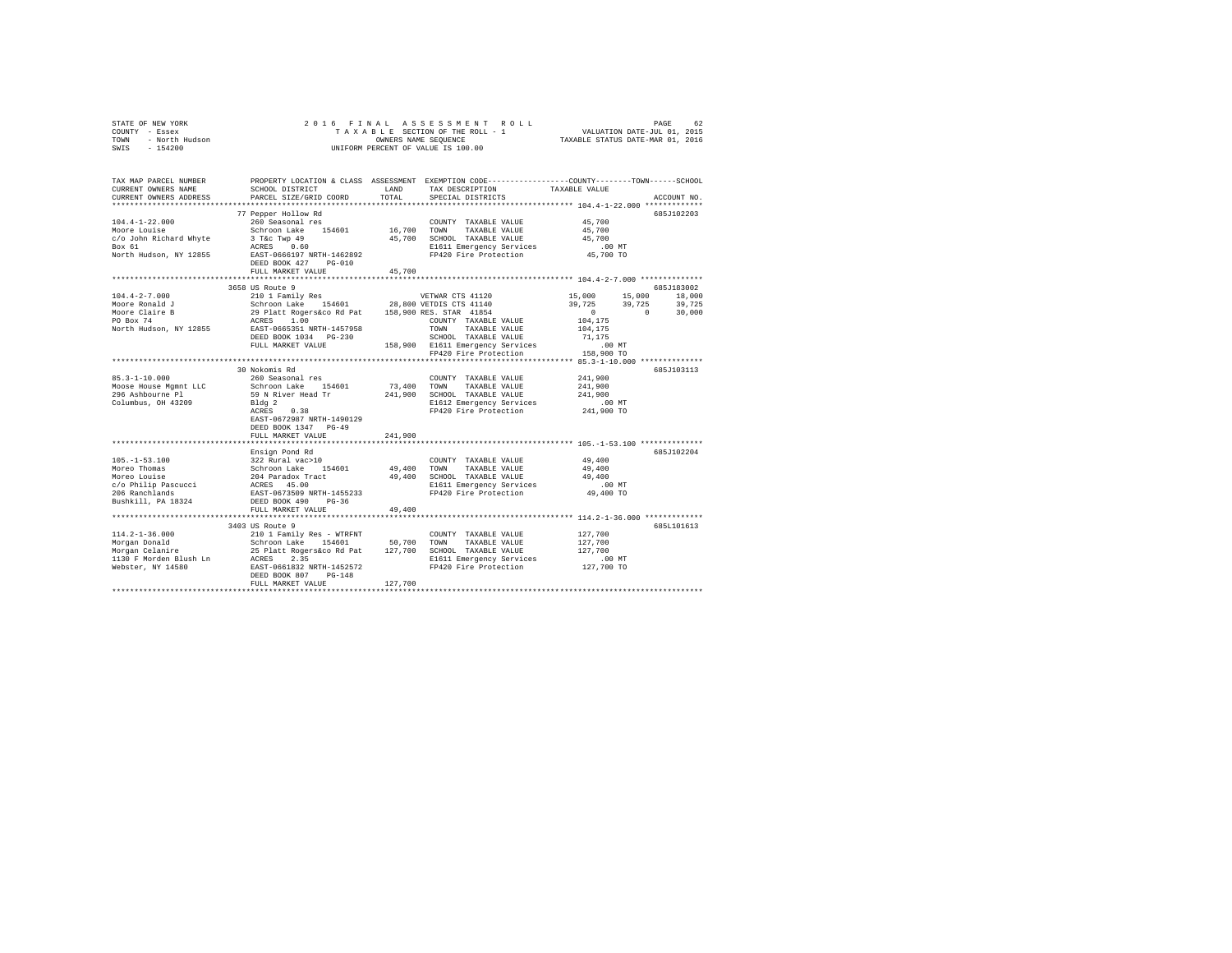| STATE OF NEW YORK      | 2016 FINAL ASSESSMENT ROLL         | 62<br>PAGE                       |
|------------------------|------------------------------------|----------------------------------|
| COUNTY - Essex         | TAXABLE SECTION OF THE ROLL - 1    | VALUATION DATE-JUL 01, 2015      |
| - North Hudson<br>TOWN | OWNERS NAME SEOUENCE               | TAXABLE STATUS DATE-MAR 01, 2016 |
| $-154200$<br>SWIS      | UNIFORM PERCENT OF VALUE IS 100.00 |                                  |

| TAX MAP PARCEL NUMBER                                                                                                                                                                                                                  | PROPERTY LOCATION & CLASS ASSESSMENT EXEMPTION CODE---------------COUNTY-------TOWN------SCHOOL |         |                                                                                                         |             |
|----------------------------------------------------------------------------------------------------------------------------------------------------------------------------------------------------------------------------------------|-------------------------------------------------------------------------------------------------|---------|---------------------------------------------------------------------------------------------------------|-------------|
| CURRENT OWNERS NAME<br>CURRENT OWNERS ADDRESS PARCEL SIZE/GRID COORD                                                                                                                                                                   | SCHOOL DISTRICT                                                                                 |         | LAND TAX DESCRIPTION TAXABLE VALUE TOTAL SPECIAL DISTRICTS                                              | ACCOUNT NO. |
|                                                                                                                                                                                                                                        |                                                                                                 |         |                                                                                                         |             |
|                                                                                                                                                                                                                                        |                                                                                                 |         |                                                                                                         | 685J102203  |
|                                                                                                                                                                                                                                        |                                                                                                 |         | COUNTY TAXABLE VALUE 45,700                                                                             |             |
|                                                                                                                                                                                                                                        |                                                                                                 |         |                                                                                                         |             |
|                                                                                                                                                                                                                                        |                                                                                                 |         |                                                                                                         |             |
|                                                                                                                                                                                                                                        |                                                                                                 |         | 700 SCHOOL TAXABLE VALUE 45,700<br>E1611 Emergency Services 10.00 MT<br>FP420 Fire Protection 45,700 TO |             |
|                                                                                                                                                                                                                                        |                                                                                                 |         |                                                                                                         |             |
|                                                                                                                                                                                                                                        |                                                                                                 |         |                                                                                                         |             |
|                                                                                                                                                                                                                                        |                                                                                                 |         |                                                                                                         |             |
|                                                                                                                                                                                                                                        | 3658 US Route 9                                                                                 |         |                                                                                                         | 685J183002  |
|                                                                                                                                                                                                                                        |                                                                                                 |         |                                                                                                         |             |
|                                                                                                                                                                                                                                        |                                                                                                 |         |                                                                                                         |             |
|                                                                                                                                                                                                                                        |                                                                                                 |         |                                                                                                         |             |
|                                                                                                                                                                                                                                        |                                                                                                 |         |                                                                                                         |             |
|                                                                                                                                                                                                                                        |                                                                                                 |         |                                                                                                         |             |
|                                                                                                                                                                                                                                        |                                                                                                 |         |                                                                                                         |             |
|                                                                                                                                                                                                                                        |                                                                                                 |         |                                                                                                         |             |
|                                                                                                                                                                                                                                        |                                                                                                 |         |                                                                                                         |             |
|                                                                                                                                                                                                                                        |                                                                                                 |         |                                                                                                         |             |
|                                                                                                                                                                                                                                        | 30 Nokomis Rd                                                                                   |         |                                                                                                         | 685J103113  |
|                                                                                                                                                                                                                                        |                                                                                                 |         |                                                                                                         |             |
| 85.3-1-10.000<br>85.3-1-10.000<br>Mooge House Montage 154601 73,400 TOWIY TAXABLE VALUE 241,900<br>296 Ashbourne P1 S9 N River Head Tr 241,900 SCHOOL TAXABLE VALUE 241,900<br>296 Ashbourne P1 59 N River Head Tr 241,900 SCHOOL TA   |                                                                                                 |         |                                                                                                         |             |
|                                                                                                                                                                                                                                        |                                                                                                 |         |                                                                                                         |             |
|                                                                                                                                                                                                                                        |                                                                                                 |         |                                                                                                         |             |
|                                                                                                                                                                                                                                        | EAST-0672987 NRTH-1490129                                                                       |         |                                                                                                         |             |
|                                                                                                                                                                                                                                        | DEED BOOK 1347 PG-49                                                                            |         |                                                                                                         |             |
|                                                                                                                                                                                                                                        | FULL MARKET VALUE                                                                               | 241,900 |                                                                                                         |             |
|                                                                                                                                                                                                                                        |                                                                                                 |         |                                                                                                         |             |
|                                                                                                                                                                                                                                        | Ensign Pond Rd                                                                                  |         |                                                                                                         | 685J102204  |
|                                                                                                                                                                                                                                        |                                                                                                 |         |                                                                                                         |             |
|                                                                                                                                                                                                                                        |                                                                                                 |         |                                                                                                         |             |
|                                                                                                                                                                                                                                        |                                                                                                 |         |                                                                                                         |             |
| 105.-1-53.100<br>Moreo Thomas Sachroon Lake 154601 49,400 TOUNTY TAXABLE VALUE 49,400<br>Moreo Louise 49,400 SCHOOL TAXABLE VALUE 49,400<br>Moreo Louise 45.00 AMPERING 2014 Paradox Tract 49,400 SCHOOL TAXABLE VALUE 49,400<br>206 R |                                                                                                 |         |                                                                                                         |             |
|                                                                                                                                                                                                                                        |                                                                                                 |         |                                                                                                         |             |
|                                                                                                                                                                                                                                        |                                                                                                 |         |                                                                                                         |             |
|                                                                                                                                                                                                                                        | FULL MARKET VALUE                                                                               | 49,400  |                                                                                                         |             |
|                                                                                                                                                                                                                                        |                                                                                                 |         |                                                                                                         |             |
|                                                                                                                                                                                                                                        | 3403 US Route 9                                                                                 |         |                                                                                                         | 685L101613  |
|                                                                                                                                                                                                                                        |                                                                                                 |         |                                                                                                         |             |
|                                                                                                                                                                                                                                        |                                                                                                 |         |                                                                                                         |             |
|                                                                                                                                                                                                                                        |                                                                                                 |         |                                                                                                         |             |
|                                                                                                                                                                                                                                        |                                                                                                 |         |                                                                                                         |             |
|                                                                                                                                                                                                                                        |                                                                                                 |         |                                                                                                         |             |
| 114.2-1-36.000<br>Morgan Donald Strom Lake 154601 COUNTY TAXABLE VALUE 127,700<br>Morgan Donald Schroon Lake 154601 50,700 TOWN TAXABLE VALUE 127,700<br>Morgan Celanire 25 Platt Rogers&co Rd Pat 127,700 SCHOOL TAXABLE VALUE 127,   |                                                                                                 |         |                                                                                                         |             |
|                                                                                                                                                                                                                                        |                                                                                                 |         |                                                                                                         |             |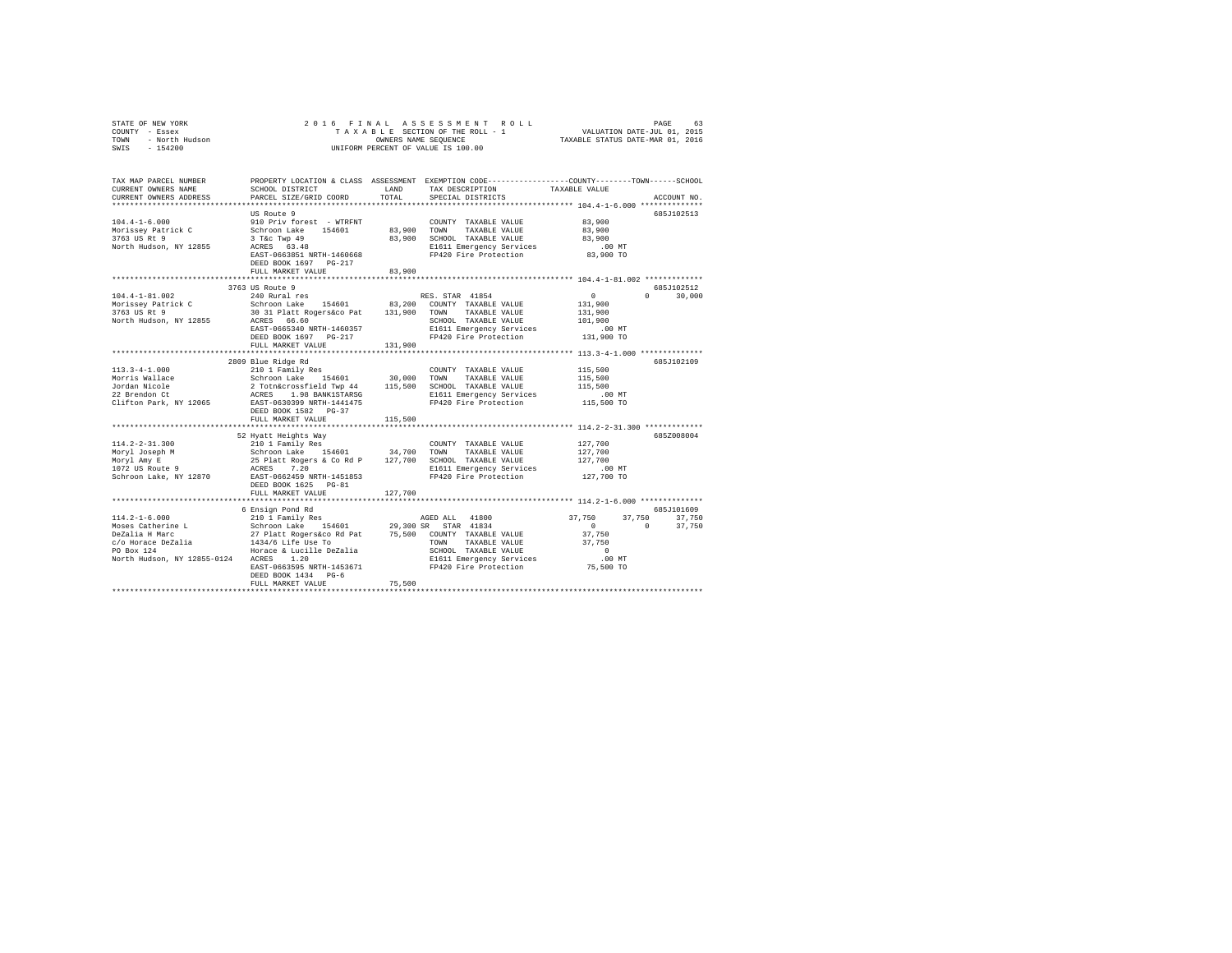| COUNTY - Essex<br>TOWN<br>- North Hudson<br>SWIS - 154200                                                                                                                                                                                                             |                                                                                                                                                                                                                                                              |         | UNIFORM PERCENT OF VALUE IS 100.00                                                           |                                                                                        |               |
|-----------------------------------------------------------------------------------------------------------------------------------------------------------------------------------------------------------------------------------------------------------------------|--------------------------------------------------------------------------------------------------------------------------------------------------------------------------------------------------------------------------------------------------------------|---------|----------------------------------------------------------------------------------------------|----------------------------------------------------------------------------------------|---------------|
| TAX MAP PARCEL NUMBER PROPERTY LOCATION & CLASS ASSESSMENT EXEMPTION CODE---------------COUNTY-------TOWN------SCHOOL<br>CURRENT OWNERS NAME<br>CURRENT OWNERS ADDRESS                                                                                                | SCHOOL DISTRICT<br>PARCEL SIZE/GRID COORD                                                                                                                                                                                                                    | TOTAL   | LAND TAX DESCRIPTION<br>SPECIAL DISTRICTS                                                    | TAXABLE VALUE<br>************************* 104.4-1-6.000 **************                | ACCOUNT NO.   |
| $104.4 - 1 - 6.000$<br>Morissey Patrick C<br>3763 US Rt 9<br>North Hudson, NY 12855                                                                                                                                                                                   | US Route 9<br>910 Priv forest - WTRFNT<br>Schroon Lake 154601<br>3 T&C Twp 49<br>ACRES 63.48<br>ACRES 63.48<br>EL611 Emergency Services .00 MT<br>EAST-0663851 NRTH-1460668<br>FP420 Fire Protection 83,900 TO<br>DEED BOOK 1697 PG-217<br>FULL MARKET VALUE | 83,900  | COUNTY TAXABLE VALUE<br>83,900 TOWN TAXABLE VALUE<br>83,900 SCHOOL TAXABLE VALUE             | 83,900<br>83,900<br>83,900                                                             | 685J102513    |
|                                                                                                                                                                                                                                                                       |                                                                                                                                                                                                                                                              |         |                                                                                              |                                                                                        |               |
|                                                                                                                                                                                                                                                                       | 3763 US Route 9                                                                                                                                                                                                                                              |         |                                                                                              |                                                                                        | 685J102512    |
| $104.4 - 1 - 81.002$<br>Morissey Patrick C<br>3763 US Rt 9<br>North Hudson, NY 12855                                                                                                                                                                                  | 3 US Route 9<br>240 Rural res<br>24 November 154601 83,200 COUNTY TAXABLE VALUE<br>30 31 Platt Rogers&co Pat 131,900 TOWN TAXABLE VALUE<br>ACRES 66.60<br>EAST-0665340 NRTH-1460357<br>DEED BOOK 1697 PG-217<br>FULL MARKET VALUE                            | 131,900 | RES. STAR 41854<br>SCHOOL TAXABLE VALUE<br>E1611 Emergency Services<br>FP420 Fire Protection | $\sim$ 0<br>131,900<br>131,900<br>101,900<br>.00 MT<br>131,900 TO                      | $0 \t 30,000$ |
|                                                                                                                                                                                                                                                                       |                                                                                                                                                                                                                                                              |         |                                                                                              |                                                                                        | 685J102109    |
| $113.3 - 4 - 1.000$<br>Morris Wallace 2<br>Morris Wallace 2<br>2 Totharcessfield Twp 44<br>2 TaxABLE VALUE<br>22 Brendon Ct 2 Totharcessfield Twp 44<br>22 Brendon Ct 2 TaxABLE VALUE<br>22 Brendon Ct 2 TaxABLE VALUE<br>22 Brendon Ct 2 CRES 1.98 BANK1STARSG<br>22 | 2809 Blue Ridge Rd<br>210 1 Family Res<br>DEED BOOK 1582 PG-37                                                                                                                                                                                               |         | COUNTY TAXABLE VALUE                                                                         | 115,500<br>115,500<br>115,500<br>.00 MT<br>115,500 TO                                  |               |
|                                                                                                                                                                                                                                                                       | FULL MARKET VALUE                                                                                                                                                                                                                                            | 115,500 |                                                                                              |                                                                                        |               |
| $114.2 - 2 - 31.300$<br>Moryl Joseph M<br>Moryl Amy E<br>1072 US Route 9<br>Schroon Lake, NY 12870                                                                                                                                                                    | EAST-0662459 NRTH-1451853<br>DEED BOOK 1625 PG-81                                                                                                                                                                                                            |         | FP420 Fire Protection                                                                        | 127,700<br>127,700<br>127,700<br>.00 MT<br>127,700 TO                                  | 685Z008004    |
|                                                                                                                                                                                                                                                                       | FULL MARKET VALUE                                                                                                                                                                                                                                            | 127,700 |                                                                                              |                                                                                        |               |
|                                                                                                                                                                                                                                                                       | ********************<br>6 Ensign Pond Rd                                                                                                                                                                                                                     |         |                                                                                              |                                                                                        | 685J101609    |
| $114.2 - 1 - 6.000$<br>North Hudson, NY 12855-0124 ACRES 1.20                                                                                                                                                                                                         | 210 1 Family Res<br>EAST-0663595 NRTH-1453671 FP420 Fire Protection 75,500 TO<br>DEED BOOK 1434 PG-6<br>FULL MARKET VALUE                                                                                                                                    | 75,500  | AGED ALL 41800<br>E1611 Emergency Services                                                   | 37,750 37,750 37,750<br>$\sim$ 0<br>$\sim$ 0<br>37,750<br>37,750<br>$\sim$ 0<br>.00 MT | 37,750        |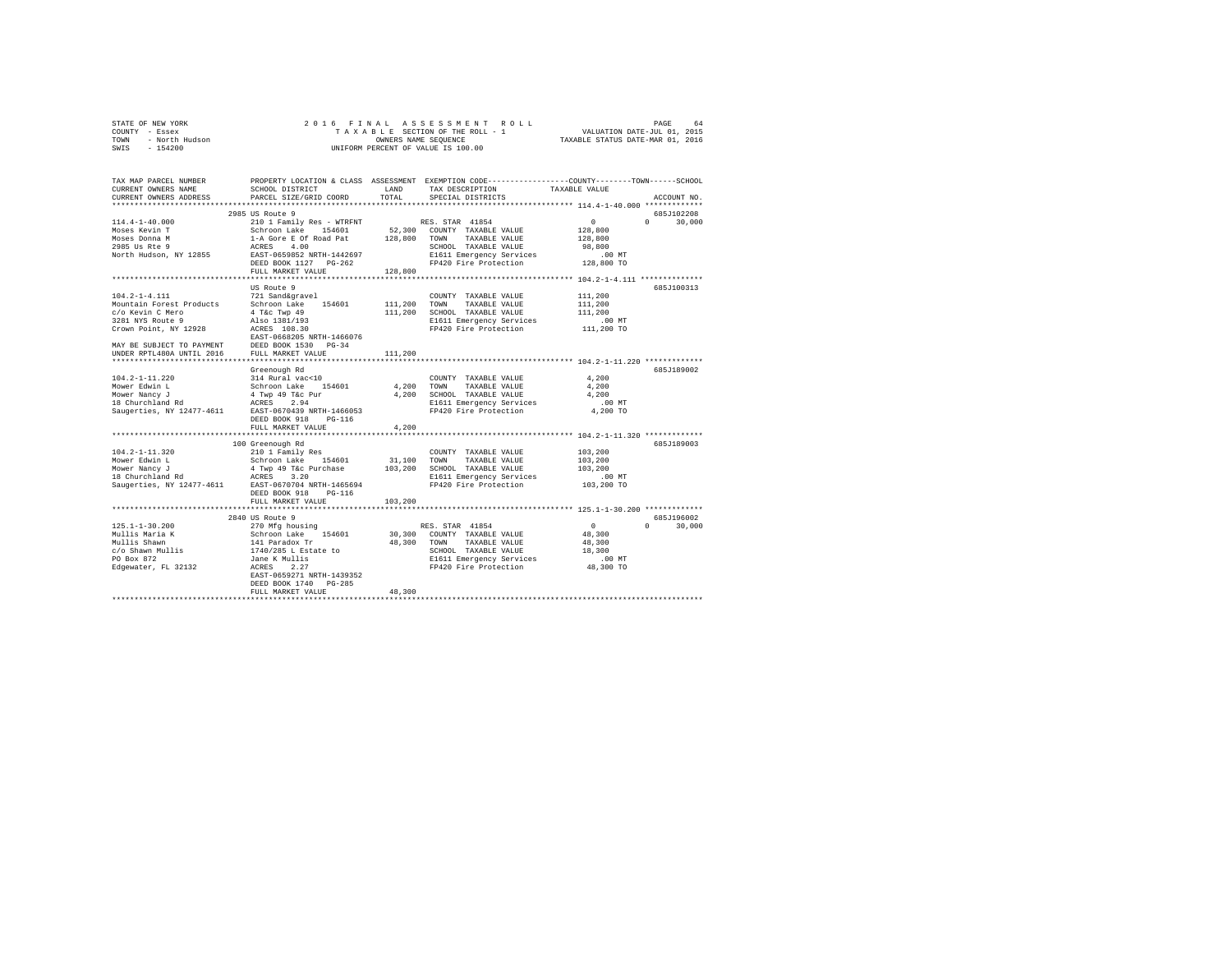|                | STATE OF NEW YORK |  |  | 2016 FINAL ASSESSMENT ROLL         | PAGE                             | 64 |
|----------------|-------------------|--|--|------------------------------------|----------------------------------|----|
| COUNTY - Essex |                   |  |  | TAXABLE SECTION OF THE ROLL - 1    | VALUATION DATE-JUL 01, 2015      |    |
| TOWN           | - North Hudson    |  |  | OWNERS NAME SEOUENCE               | TAXABLE STATUS DATE-MAR 01, 2016 |    |
| SWIS           | $-154200$         |  |  | UNIFORM PERCENT OF VALUE IS 100.00 |                                  |    |

| TAX MAP PARCEL NUMBER<br>CURRENT OWNERS NAME<br>CURRENT OWNERS ADDRESS | SCHOOL DISTRICT<br>PARCEL SIZE/GRID COORD | LAND<br>TOTAL | PROPERTY LOCATION & CLASS ASSESSMENT EXEMPTION CODE---------------COUNTY-------TOWN-----SCHOOL<br>TAX DESCRIPTION<br>SPECIAL DISTRICTS | TAXABLE VALUE    | ACCOUNT NO.        |
|------------------------------------------------------------------------|-------------------------------------------|---------------|----------------------------------------------------------------------------------------------------------------------------------------|------------------|--------------------|
|                                                                        |                                           |               |                                                                                                                                        |                  |                    |
|                                                                        | 2985 US Route 9                           |               |                                                                                                                                        |                  | 685J102208         |
| $114.4 - 1 - 40.000$                                                   | 210 1 Family Res - WTRFNT                 |               | RES. STAR 41854                                                                                                                        | 0                | $\Omega$<br>30,000 |
| Moses Kevin T                                                          | Schroon Lake 154601                       | 52,300        | COUNTY TAXABLE VALUE                                                                                                                   | 128,800          |                    |
| Moses Donna M                                                          | 1-A Gore E Of Road Pat                    | 128,800       | TOWN<br>TAXABLE VALUE                                                                                                                  | 128,800          |                    |
| 2985 Us Rte 9                                                          | 4.00<br>ACRES                             |               | SCHOOL TAXABLE VALUE                                                                                                                   | 98,800           |                    |
| North Hudson, NY 12855                                                 | EAST-0659852 NRTH-1442697                 |               | E1611 Emergency Services                                                                                                               | .00MT            |                    |
|                                                                        | DEED BOOK 1127 PG-262                     |               | FP420 Fire Protection                                                                                                                  | 128,800 TO       |                    |
|                                                                        | FULL MARKET VALUE                         | 128,800       |                                                                                                                                        |                  |                    |
|                                                                        |                                           |               |                                                                                                                                        |                  |                    |
|                                                                        | US Route 9                                |               |                                                                                                                                        |                  | 685J100313         |
| $104.2 - 1 - 4.111$                                                    | 721 Sand&gravel                           |               | COUNTY TAXABLE VALUE                                                                                                                   | 111,200          |                    |
| Mountain Forest Products                                               | Schroon Lake 154601                       | 111,200 TOWN  | TAXABLE VALUE                                                                                                                          |                  |                    |
|                                                                        |                                           |               |                                                                                                                                        | 111,200          |                    |
| c/o Kevin C Mero                                                       | $4$ T&c Twp $49$                          | 111,200       | SCHOOL TAXABLE VALUE                                                                                                                   | 111,200          |                    |
| 3281 NYS Route 9                                                       | Also 1381/193                             |               | E1611 Emergency Services                                                                                                               | $.00$ MT         |                    |
| Crown Point, NY 12928                                                  | ACRES 108.30                              |               | FP420 Fire Protection                                                                                                                  | 111,200 TO       |                    |
|                                                                        | EAST-0668205 NRTH-1466076                 |               |                                                                                                                                        |                  |                    |
| MAY BE SUBJECT TO PAYMENT                                              | DEED BOOK 1530 PG-34                      |               |                                                                                                                                        |                  |                    |
| UNDER RPTL480A UNTIL 2016                                              | FULL MARKET VALUE                         | 111,200       |                                                                                                                                        |                  |                    |
|                                                                        |                                           |               |                                                                                                                                        |                  |                    |
|                                                                        | Greenough Rd                              |               |                                                                                                                                        |                  | 685J189002         |
| $104.2 - 1 - 11.220$                                                   | 314 Rural vac<10                          |               | COUNTY TAXABLE VALUE                                                                                                                   | 4.200            |                    |
| Mower Edwin L                                                          | Schroon Lake<br>154601                    | 4,200         | TOWN<br>TAXABLE VALUE                                                                                                                  | 4,200            |                    |
| Mower Nancy J                                                          | 4 Twp 49 T&c Pur                          | 4,200         | SCHOOL TAXABLE VALUE                                                                                                                   | 4,200            |                    |
| 18 Churchland Rd                                                       | ACRES 2.94                                |               | E1611 Emergency Services                                                                                                               | .00 MT           |                    |
| Saugerties, NY 12477-4611                                              | EAST-0670439 NRTH-1466053                 |               | FP420 Fire Protection                                                                                                                  | 4,200 TO         |                    |
|                                                                        | DEED BOOK 918<br>$PG-116$                 |               |                                                                                                                                        |                  |                    |
|                                                                        | FULL MARKET VALUE                         | 4.200         |                                                                                                                                        |                  |                    |
|                                                                        |                                           |               |                                                                                                                                        |                  |                    |
|                                                                        | 100 Greenough Rd                          |               |                                                                                                                                        |                  | 685J189003         |
| $104.2 - 1 - 11.320$                                                   | 210 1 Family Res                          |               | COUNTY TAXABLE VALUE                                                                                                                   | 103,200          |                    |
| Mower Edwin L                                                          | Schroon Lake 154601                       | 31,100        | TOWN<br>TAXABLE VALUE                                                                                                                  | 103,200          |                    |
|                                                                        | 4 Twp 49 T&c Purchase                     | 103,200       | SCHOOL TAXABLE VALUE                                                                                                                   | 103,200          |                    |
| Hower Nancy J<br>18 Churchland Rd<br>Saugert'                          | ACRES<br>3.20                             |               | E1611 Emergency Services                                                                                                               | $.00$ MT         |                    |
| Saugerties, NY 12477-4611                                              | EAST-0670704 NRTH-1465694                 |               | FP420 Fire Protection                                                                                                                  | 103,200 TO       |                    |
|                                                                        | DEED BOOK 918<br>$PG-116$                 |               |                                                                                                                                        |                  |                    |
|                                                                        | FULL MARKET VALUE                         | 103,200       |                                                                                                                                        |                  |                    |
|                                                                        |                                           |               |                                                                                                                                        |                  |                    |
|                                                                        | 2840 US Route 9                           |               |                                                                                                                                        |                  | 685J196002         |
| $125.1 - 1 - 30.200$                                                   | 270 Mfg housing                           |               | RES. STAR 41854                                                                                                                        | $\circ$          | 30,000<br>$\Omega$ |
| Mullis Maria K                                                         | Schroon Lake 154601                       | 30,300        | COUNTY TAXABLE VALUE                                                                                                                   | 48,300           |                    |
| Mullis Shawn                                                           |                                           |               |                                                                                                                                        |                  |                    |
| c/o Shawn Mullis                                                       | 141 Paradox Tr<br>1740/285 L Estate to    | 48,300 TOWN   | TAXABLE VALUE                                                                                                                          | 48,300<br>18,300 |                    |
|                                                                        |                                           |               | SCHOOL TAXABLE VALUE                                                                                                                   |                  |                    |
| PO Box 872                                                             | Jane K Mullis                             |               | E1611 Emergency Services                                                                                                               | .00 MT           |                    |
| Edgewater, FL 32132                                                    | ACRES<br>2.27                             |               | FP420 Fire Protection                                                                                                                  | 48,300 TO        |                    |
|                                                                        | EAST-0659271 NRTH-1439352                 |               |                                                                                                                                        |                  |                    |
|                                                                        | DEED BOOK 1740<br>$PG-285$                |               |                                                                                                                                        |                  |                    |
|                                                                        | FULL MARKET VALUE                         | 48,300        |                                                                                                                                        |                  |                    |
|                                                                        |                                           |               |                                                                                                                                        |                  |                    |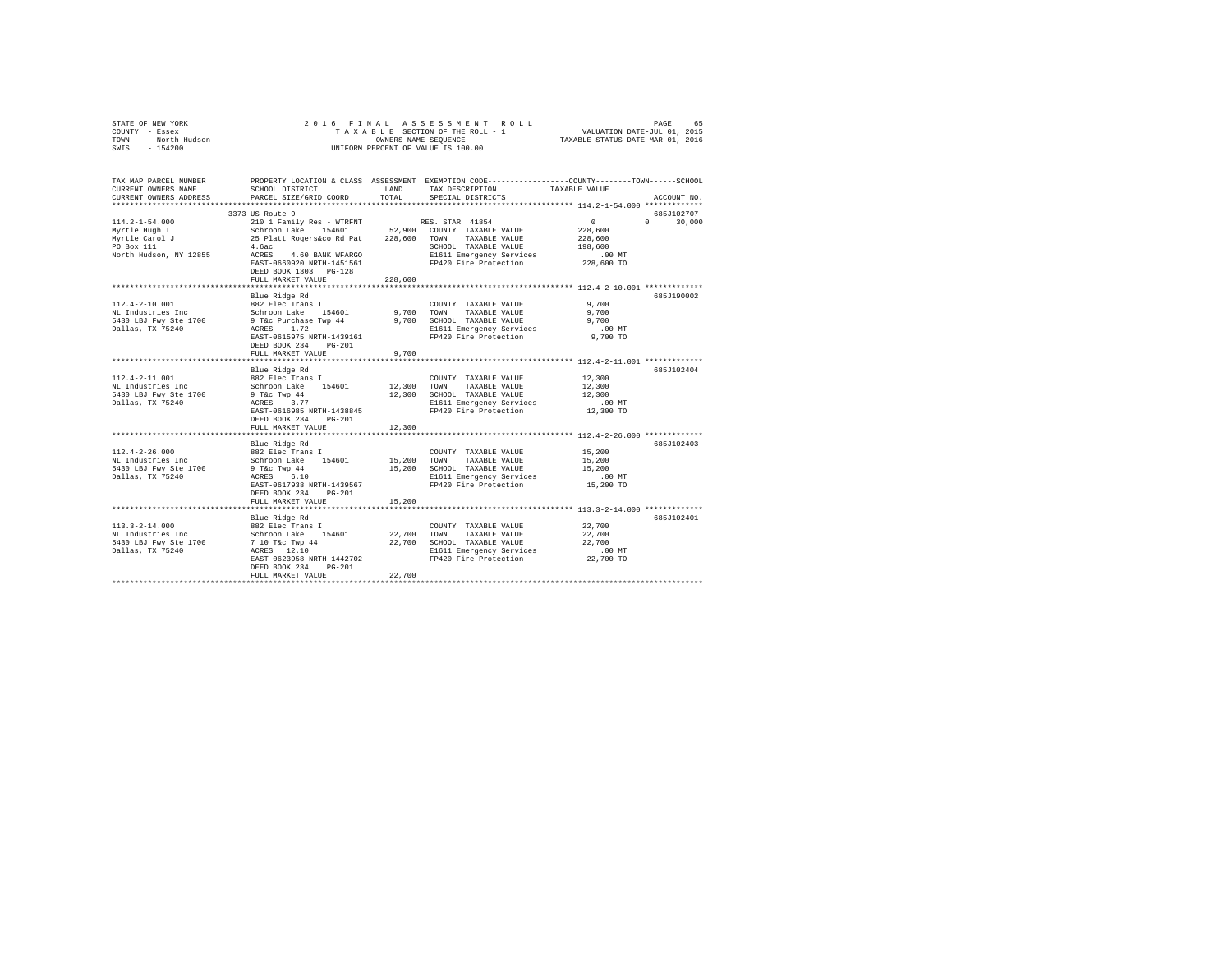| COUNTY - Essex<br>- North Hudson<br>TOWN<br>SWIS - 154200 |                                                                                                                    | OWNERS NAME SEOUENCE | TAXABLE SECTION OF THE ROLL - 1 VALUATION DATE-JUL 01, 2015<br>UNIFORM PERCENT OF VALUE IS 100.00 | TAXABLE STATUS DATE-MAR 01, 2016 |               |
|-----------------------------------------------------------|--------------------------------------------------------------------------------------------------------------------|----------------------|---------------------------------------------------------------------------------------------------|----------------------------------|---------------|
|                                                           |                                                                                                                    |                      |                                                                                                   |                                  |               |
| TAX MAP PARCEL NUMBER<br>CURRENT OWNERS NAME              | PROPERTY LOCATION & CLASS ASSESSMENT EXEMPTION CODE---------------COUNTY-------TOWN------SCHOOL<br>SCHOOL DISTRICT |                      | LAND TAX DESCRIPTION                                                                              | TAXABLE VALUE                    |               |
| CURRENT OWNERS ADDRESS PARCEL SIZE/GRID COORD             |                                                                                                                    | TOTAL                | SPECIAL DISTRICTS                                                                                 |                                  | ACCOUNT NO.   |
| *************************                                 |                                                                                                                    |                      |                                                                                                   |                                  |               |
|                                                           | 3373 US Route 9                                                                                                    |                      |                                                                                                   |                                  | 685J102707    |
| $114.2 - 1 - 54.000$                                      | 210 1 Family Res - WTRFNT                                                                                          |                      | RES. STAR 41854<br>52,900 COUNTY TAXABLE VALUE                                                    | $\sim$ 0                         | $0 \t 30.000$ |
| Myrtle Hugh T                                             | Schroon Lake 154601                                                                                                |                      |                                                                                                   | 228,600                          |               |
| Myrtle Carol J<br>PO Box 111                              | 25 Platt Rogers&co Rd Pat 228,600 TOWN<br>4.6ac                                                                    |                      | TAXABLE VALUE<br>SCHOOL TAXABLE VALUE                                                             | 228,600<br>198,600               |               |
| North Hudson, NY 12855                                    | ACRES 4.60 BANK WFARGO                                                                                             |                      | E1611 Emergency Services                                                                          | $.00$ MT                         |               |
|                                                           | EAST-0660920 NRTH-1451561                                                                                          |                      | FP420 Fire Protection                                                                             | 228,600 TO                       |               |
|                                                           | DEED BOOK 1303 PG-128                                                                                              |                      |                                                                                                   |                                  |               |
|                                                           | FULL MARKET VALUE                                                                                                  | 228,600              |                                                                                                   |                                  |               |
|                                                           |                                                                                                                    |                      |                                                                                                   |                                  |               |
|                                                           | Blue Ridge Rd                                                                                                      |                      |                                                                                                   |                                  | 685J190002    |
| $112.4 - 2 - 10.001$                                      | 882 Elec Trans I                                                                                                   |                      | COUNTY TAXABLE VALUE                                                                              | 9,700                            |               |
|                                                           |                                                                                                                    |                      |                                                                                                   | 9,700                            |               |
|                                                           |                                                                                                                    |                      |                                                                                                   | 9,700                            |               |
| Dallas, TX 75240                                          | ACRES 1.72                                                                                                         |                      | E1611 Emergency Services                                                                          | $.00$ MT                         |               |
|                                                           | EAST-0615975 NRTH-1439161                                                                                          |                      | FP420 Fire Protection                                                                             | 9,700 TO                         |               |
|                                                           | DEED BOOK 234 PG-201<br>FULL MARKET VALUE                                                                          | 9,700                |                                                                                                   |                                  |               |
|                                                           |                                                                                                                    |                      |                                                                                                   |                                  |               |
|                                                           | Blue Ridge Rd                                                                                                      |                      |                                                                                                   |                                  | 685J102404    |
| $112.4 - 2 - 11.001$                                      | 882 Elec Trans I                                                                                                   |                      | COUNTY TAXABLE VALUE                                                                              | 12,300                           |               |
|                                                           |                                                                                                                    |                      |                                                                                                   | 12,300                           |               |
|                                                           |                                                                                                                    |                      | 12,300 SCHOOL TAXABLE VALUE                                                                       | 12,300                           |               |
|                                                           |                                                                                                                    |                      | E1611 Emergency Services                                                                          | $.00$ MT                         |               |
|                                                           | EAST-0616985 NRTH-1438845                                                                                          |                      | FP420 Fire Protection                                                                             | 12,300 TO                        |               |
|                                                           | DEED BOOK 234 PG-201                                                                                               |                      |                                                                                                   |                                  |               |
|                                                           | FULL MARKET VALUE                                                                                                  | 12,300               |                                                                                                   |                                  |               |
|                                                           |                                                                                                                    |                      |                                                                                                   |                                  |               |
|                                                           | Blue Ridge Rd                                                                                                      |                      |                                                                                                   |                                  | 685J102403    |
| $112.4 - 2 - 26.000$<br>NL Industries Inc                 | 882 Elec Trans I                                                                                                   |                      | COUNTY TAXABLE VALUE<br>TOWN TAXABLE VALUE                                                        | 15,200<br>15,200                 |               |
| 5430 LBJ Fwy Ste 1700                                     | Schroon Lake 154601 15,200                                                                                         |                      | 15,200 SCHOOL TAXABLE VALUE                                                                       | 15,200                           |               |
| Dallas, TX 75240                                          | 9 T&C Twp 44<br>ACRES 6.10                                                                                         |                      | E1611 Emergency Services                                                                          | $.00$ MT                         |               |
|                                                           | EAST-0617938 NRTH-1439567                                                                                          |                      | FP420 Fire Protection                                                                             | 15,200 TO                        |               |
|                                                           | DEED BOOK 234 PG-201                                                                                               |                      |                                                                                                   |                                  |               |
|                                                           | FULL MARKET VALUE                                                                                                  | 15,200               |                                                                                                   |                                  |               |
|                                                           |                                                                                                                    |                      |                                                                                                   |                                  |               |
|                                                           | Blue Ridge Rd                                                                                                      |                      |                                                                                                   |                                  | 685J102401    |
| $113.3 - 2 - 14.000$                                      | 882 Elec Trans I                                                                                                   |                      | COUNTY TAXABLE VALUE                                                                              | 22,700                           |               |
| NL Industries Inc                                         | Schroon Lake 154601<br>7 10 T&c Twp 44<br>ACRES 12.10                                                              |                      | 22,700 TOWN TAXABLE VALUE                                                                         | 22,700                           |               |
| 5430 LBJ Fwy Ste 1700                                     |                                                                                                                    |                      | 22.700 SCHOOL TAXABLE VALUE                                                                       | 22,700                           |               |
| Dallas, TX 75240                                          |                                                                                                                    |                      | E1611 Emergency Services<br>FP420 Fire Protection 22,700 TO                                       | $.00$ MT                         |               |
|                                                           | EAST-0623958 NRTH-1442702<br>DEED BOOK 234 PG-201                                                                  |                      |                                                                                                   |                                  |               |
|                                                           | FULL MARKET VALUE                                                                                                  | 22,700               |                                                                                                   |                                  |               |
|                                                           |                                                                                                                    |                      |                                                                                                   |                                  |               |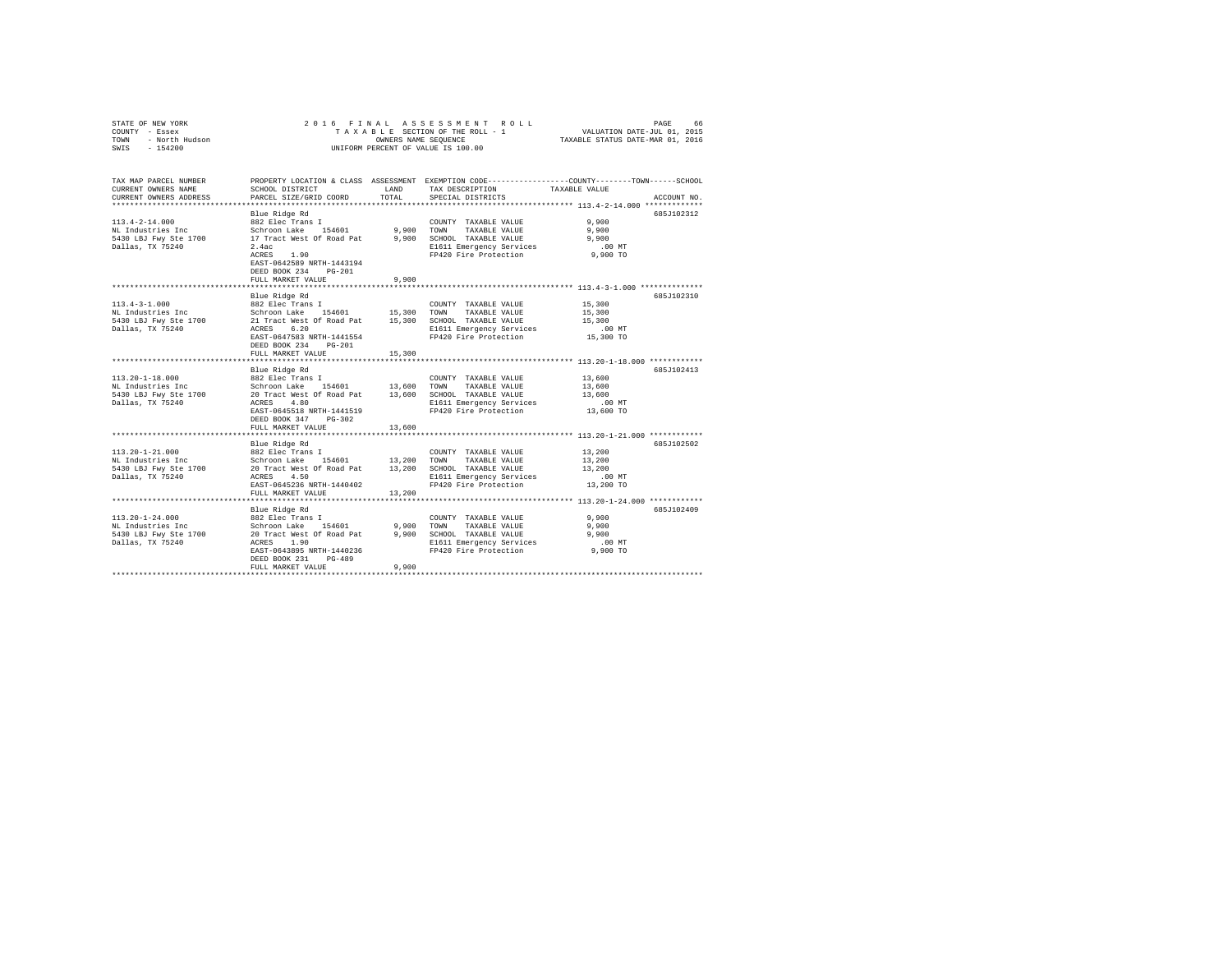| STATE OF NEW YORK<br>COUNTY - Essex<br>COUNTY - Essex<br>TOWN - North Hudson<br>SWIS - 154200                |                                                                                                                                                                                                                     |                | 2016 FINAL ASSESSMENT ROLL<br>UNIFORM PERCENT OF VALUE IS 100.00                                                                        | TAXABLE STATUS DATE-MAR 01, 2016                                                                            | PAGE<br>66  |
|--------------------------------------------------------------------------------------------------------------|---------------------------------------------------------------------------------------------------------------------------------------------------------------------------------------------------------------------|----------------|-----------------------------------------------------------------------------------------------------------------------------------------|-------------------------------------------------------------------------------------------------------------|-------------|
| TAX MAP PARCEL NUMBER<br>CURRENT OWNERS NAME<br>CURRENT OWNERS ADDRESS                                       | SCHOOL DISTRICT<br>PARCEL SIZE/GRID COORD                                                                                                                                                                           | LAND<br>TOTAL  | PROPERTY LOCATION & CLASS ASSESSMENT EXEMPTION CODE---------------COUNTY-------TOWN------SCHOOL<br>TAX DESCRIPTION<br>SPECIAL DISTRICTS | TAXABLE VALUE                                                                                               | ACCOUNT NO. |
| $113.4 - 2 - 14.000$<br>NL Industries Inc<br>5430 LBJ Fwy Ste 1700<br>Dallas, TX 75240                       | Blue Ridge Rd<br>882 Elec Trans I<br>Schroon Lake 154601<br>17 Tract West Of Road Pat 9,900 SCHOOL TAXABLE VALUE<br>2.4ac<br>$ACRES$ 1.90<br>EAST-0642589 NRTH-1443194<br>DEED BOOK 234 PG-201<br>FULL MARKET VALUE | 9,900          | COUNTY TAXABLE VALUE<br>9,900 TOWN TAXABLE VALUE<br>E1611 Emergency Services<br>FP420 Fire Protection                                   | 9,900<br>9,900<br>9,900<br>$.00$ MT<br>9,900 TO                                                             | 685J102312  |
|                                                                                                              |                                                                                                                                                                                                                     |                |                                                                                                                                         |                                                                                                             |             |
| $113.4 - 3 - 1.000$<br>Dallas, TX 75240                                                                      | Blue Ridge Rd<br>882 Elec Trans I<br>ACRES 6.20<br>EAST-0647583 NRTH-1441554<br>DEED BOOK 234 PG-201<br>FULL MARKET VALUE                                                                                           | 15,300         | COUNTY TAXABLE VALUE<br>E1611 Emergency Services<br>FP420 Fire Protection                                                               | 15,300<br>15,300<br>15,300<br>$.00$ MT<br>15,300 TO                                                         | 685J102310  |
|                                                                                                              |                                                                                                                                                                                                                     |                |                                                                                                                                         |                                                                                                             |             |
| $113.20 - 1 - 18.000$<br>NL Industries Inc<br>wh industries inc<br>5430 LBJ Fwy Ste 1700<br>Dallas, TX 75240 | Blue Ridge Rd<br>882 Elec Trans I<br>Schroon Lake 154601 13,600 TOWN TAXABLE VALUE<br>EAST-0645518 NRTH-1441519<br>DEED BOOK 347 PG-302<br>FULL MARKET VALUE<br>*************************                           | 13,600         | COUNTY TAXABLE VALUE<br>FP420 Fire Protection                                                                                           | 13,600<br>13,600<br>13,600<br>$.00$ MT<br>13,600 TO<br>*********************** 113.20-1-21.000 ************ | 685J102413  |
|                                                                                                              | Blue Ridge Rd                                                                                                                                                                                                       |                |                                                                                                                                         |                                                                                                             | 685J102502  |
| 113.20-1-21.000<br>NL Industries Inc<br>5430 LBJ Fwy Ste 1700<br>Dallas, TX 75240                            | 882 Elec Trans I<br>Schroon Lake 154601 13,200 TOWN TAXABLE VALUE<br>20 Tract West Of Road Pat 13,200 SCHOOL TAXABLE VALUE<br>ACRES 4.50<br>EAST-0645236 NRTH-1440402<br>FULL MARKET VALUE                          | 13,200         | COUNTY TAXABLE VALUE<br>E1611 Emergency Services<br>FP420 Fire Protection                                                               | 13,200<br>13,200<br>13,200<br>.00 MT<br>13,200 TO                                                           |             |
|                                                                                                              |                                                                                                                                                                                                                     |                | ************************************ 113.20-1-24.000 ************                                                                       |                                                                                                             |             |
| $113.20 - 1 - 24.000$<br>NL Industries Inc<br>5430 LBJ Fwy Ste 1700<br>Dallas, TX 75240                      | Blue Ridge Rd<br>882 Elec Trans I<br>Schroon Lake 154601<br>20 Tract West Of Road Pat<br>ACRES 1.90<br>EAST-0643895 NRTH-1440236<br>DEED BOOK 231 PG-489<br>FULL MARKET VALUE                                       | 9,900<br>9,900 | COUNTY TAXABLE VALUE<br>TOWN TAXABLE VALUE<br>9,900 SCHOOL TAXABLE VALUE<br>E1611 Emergency Services<br>FP420 Fire Protection           | 9,900<br>9.900<br>9.900<br>$.00$ MT<br>9,900 TO                                                             | 685J102409  |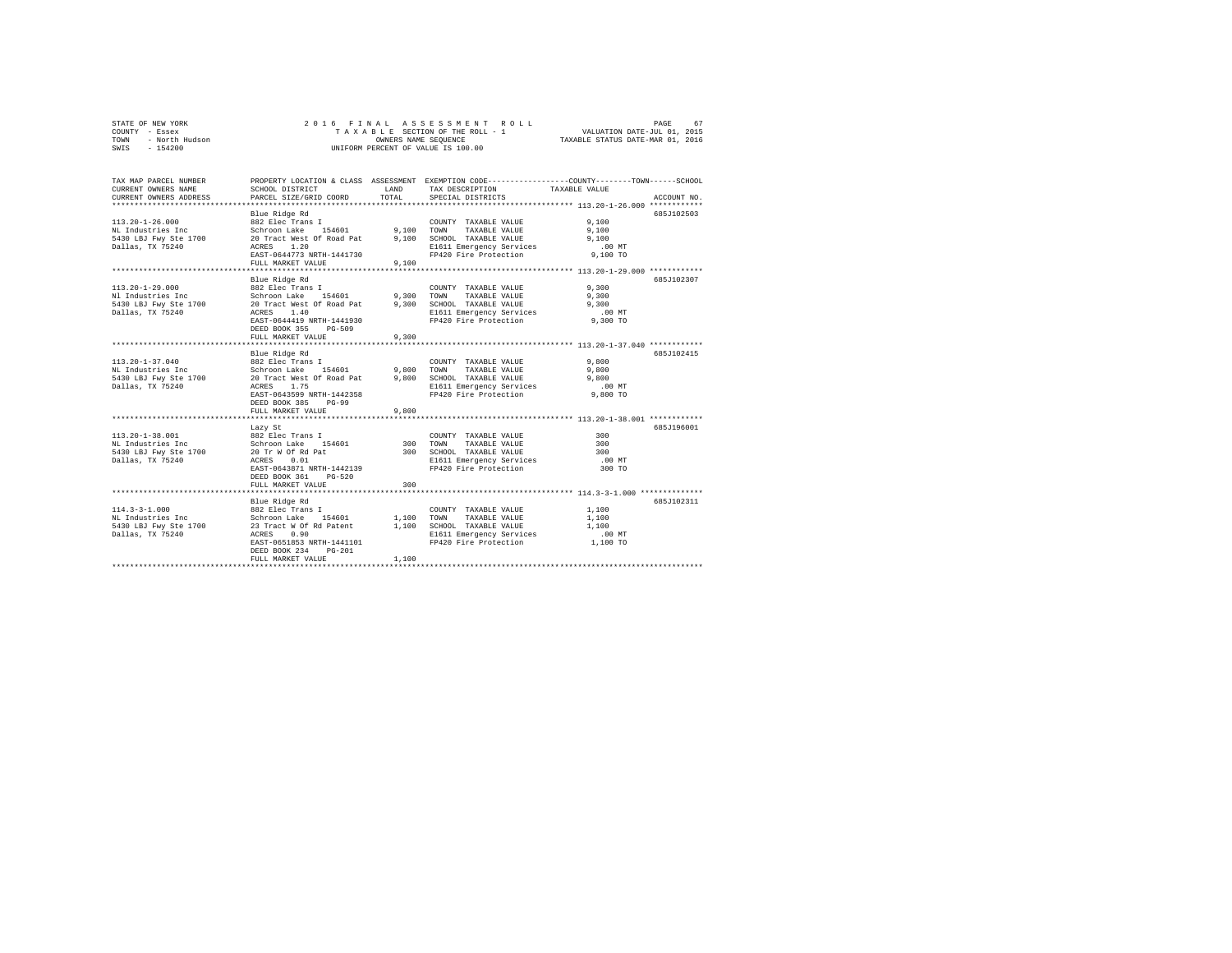| STATE OF NEW YORK<br>COUNTY - Essex<br>/ - Essex<br>- North Hudson<br>TOWN<br>$-154200$<br>SWIS | UNIFORM PERCENT OF VALUE IS 100.00                                                                                                                                            |                       | 2016 FINAL ASSESSMENT ROLL<br>T A X A B L E SECTION OF THE ROLL - 1<br>OWNERS NAME SEQUENCE                                             | VALUATION DATE-JUL 01, 2015<br>TAXABLE STATUS DATE-MAR 01, 2016 | PAGE<br>67  |
|-------------------------------------------------------------------------------------------------|-------------------------------------------------------------------------------------------------------------------------------------------------------------------------------|-----------------------|-----------------------------------------------------------------------------------------------------------------------------------------|-----------------------------------------------------------------|-------------|
| TAX MAP PARCEL NUMBER<br>CURRENT OWNERS NAME<br>CURRENT OWNERS ADDRESS                          | SCHOOL DISTRICT<br>PARCEL SIZE/GRID COORD                                                                                                                                     | <b>T.AND</b><br>TOTAL | PROPERTY LOCATION & CLASS ASSESSMENT EXEMPTION CODE---------------COUNTY-------TOWN------SCHOOL<br>TAX DESCRIPTION<br>SPECIAL DISTRICTS | TAXABLE VALUE                                                   | ACCOUNT NO. |
| $113.20 - 1 - 26.000$<br>NL Industries Inc<br>5430 LBJ Fwy Ste 1700<br>Dallas, TX 75240         | Blue Ridge Rd<br>882 Elec Trans I<br>Schroon Lake 154601<br>20 Tract West Of Road Pat<br>ACRES 1.20<br>EAST-0644773 NRTH-1441730<br>FULL MARKET VALUE                         | 9,100 TOWN<br>9.100   | COUNTY TAXABLE VALUE<br>TAXABLE VALUE<br>9,100 SCHOOL TAXABLE VALUE<br>E1611 Emergency Services<br>FP420 Fire Protection                | 9.100<br>9.100<br>9.100<br>.00 MT<br>9,100 TO                   | 685J102503  |
| $113.20 - 1 - 29.000$<br>Nl Industries Inc<br>5430 LBJ Fwy Ste 1700<br>Dallas, TX 75240         | Blue Ridge Rd<br>882 Elec Trans I<br>Schroon Lake 154601<br>20 Tract West Of Road Pat<br>ACRES 1.40<br>EAST-0644419 NRTH-1441930<br>DEED BOOK 355 PG-509<br>FULL MARKET VALUE | 9.300<br>9,300        | COUNTY TAXABLE VALUE<br>TOWN<br>TAXABLE VALUE<br>9,300 SCHOOL TAXABLE VALUE<br>E1611 Emergency Services<br>FP420 Fire Protection        | 9,300<br>9,300<br>9,300<br>$.00$ MT<br>9,300 TO                 | 685J102307  |
| $113.20 - 1 - 37.040$<br>NL Industries Inc<br>5430 LBJ Fwy Ste 1700<br>Dallas, TX 75240         | Blue Ridge Rd<br>882 Elec Trans I<br>Schroon Lake 154601<br>20 Tract West Of Road Pat<br>ACRES 1.75<br>EAST-0643599 NRTH-1442358<br>DEED BOOK 385 PG-99<br>FULL MARKET VALUE  | 9,800<br>9,800        | COUNTY TAXABLE VALUE<br>TOWN<br>TAXABLE VALUE<br>9,800 SCHOOL TAXABLE VALUE<br>E1611 Emergency Services<br>FP420 Fire Protection        | 9,800<br>9,800<br>9,800<br>$.00$ MT<br>9,800 TO                 | 685J102415  |
| 113.20-1-38.001<br>NL Industries Inc<br>5430 LBJ Fwy Ste 1700<br>Dallas, TX 75240               | Lazy St<br>882 Elec Trans I<br>Schroon Lake 154601<br>20 Tr W Of Rd Pat<br>ACRES 0.01<br>EAST-0643871 NRTH-1442139<br>DEED BOOK 361 PG-520<br>FULL MARKET VALUE               | 300 TOWN<br>300       | COUNTY TAXABLE VALUE<br>TAXABLE VALUE<br>300 SCHOOL TAXABLE VALUE<br>E1611 Emergency Services<br>FP420 Fire Protection                  | 300<br>300<br>300<br>$.00$ MT<br>300 TO                         | 685J196001  |
| $114.3 - 3 - 1.000$<br>NL Industries Inc<br>5430 LBJ Fwy Ste 1700<br>Dallas, TX 75240           | Blue Ridge Rd<br>882 Elec Trans I<br>Schroon Lake 154601<br>23 Tract W Of Rd Patent<br>ACRES 0.90<br>EAST-0651853 NRTH-1441101<br>DEED BOOK 234 PG-201<br>FULL MARKET VALUE   | 1,100<br>1,100        | COUNTY TAXABLE VALUE<br>TOWN<br>TAXABLE VALUE<br>1,100 SCHOOL TAXABLE VALUE<br>E1611 Emergency Services<br>FP420 Fire Protection        | 1,100<br>1,100<br>1,100<br>$.00$ MT<br>1,100 TO                 | 685J102311  |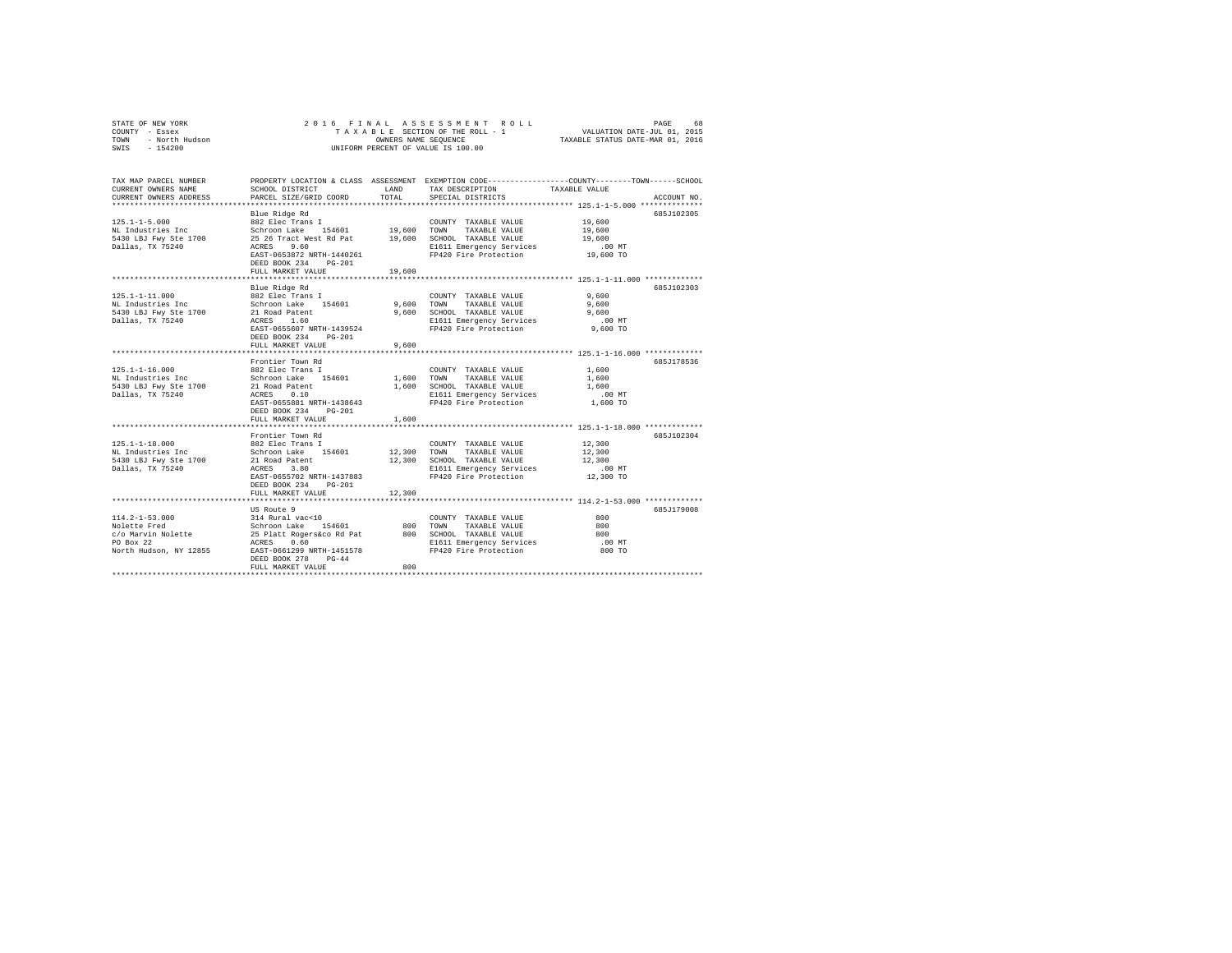| STATE OF NEW YORK<br>COUNTY - Essex<br>TOWN - North Hudson<br>SWIS - 154200 |                                                                                |        |                                                        |                                                                                                                  |  |
|-----------------------------------------------------------------------------|--------------------------------------------------------------------------------|--------|--------------------------------------------------------|------------------------------------------------------------------------------------------------------------------|--|
| TAX MAP PARCEL NUMBER<br>CURRENT OWNERS NAME                                | SCHOOL DISTRICT                                                                | LAND   | TAX DESCRIPTION                                        | PROPERTY LOCATION & CLASS ASSESSMENT EXEMPTION CODE---------------COUNTY-------TOWN------SCHOOL<br>TAXABLE VALUE |  |
| CURRENT OWNERS ADDRESS                                                      | PARCEL SIZE/GRID COORD                                                         | TOTAL  | SPECIAL DISTRICTS                                      | ACCOUNT NO.                                                                                                      |  |
|                                                                             | Blue Ridge Rd                                                                  |        |                                                        | 685J102305                                                                                                       |  |
| $125.1 - 1 - 5.000$                                                         | 882 Elec Trans I                                                               |        | COUNTY TAXABLE VALUE                                   | 19,600                                                                                                           |  |
| NL Industries Inc                                                           | Schroon Lake 154601                                                            |        | 19,600 TOWN TAXABLE VALUE                              | 19,600                                                                                                           |  |
| 5430 LBJ Fwy Ste 1700 25 26 Tract West Rd Pat 19,600 SCHOOL TAXABLE VALUE   |                                                                                |        |                                                        | 19,600                                                                                                           |  |
| Dallas, TX 75240                                                            | ACRES 9.60                                                                     |        | E1611 Emergency Services                               | $.00$ MT                                                                                                         |  |
|                                                                             | EAST-0653872 NRTH-1440261                                                      |        | FP420 Fire Protection                                  | 19,600 TO                                                                                                        |  |
|                                                                             | DEED BOOK 234 PG-201                                                           |        |                                                        |                                                                                                                  |  |
|                                                                             | FULL MARKET VALUE                                                              | 19,600 |                                                        |                                                                                                                  |  |
|                                                                             |                                                                                |        |                                                        |                                                                                                                  |  |
|                                                                             | Blue Ridge Rd<br>882 Elec Trans I                                              |        |                                                        | 685J102303                                                                                                       |  |
| $125.1 - 1 - 11.000$                                                        |                                                                                |        | COUNTY TAXABLE VALUE                                   | 9,600                                                                                                            |  |
| NL Industries Inc                                                           | Schroon Lake 154601                                                            |        | 9,600 TOWN TAXABLE VALUE<br>9,600 SCHOOL TAXABLE VALUE | 9,600<br>9.600                                                                                                   |  |
|                                                                             |                                                                                |        | E1611 Emergency Services                               | $.00$ MT                                                                                                         |  |
|                                                                             | EAST-0655607 NRTH-1439524                                                      |        | FP420 Fire Protection                                  | 9,600 TO                                                                                                         |  |
|                                                                             | DEED BOOK 234 PG-201                                                           |        |                                                        |                                                                                                                  |  |
|                                                                             | FULL MARKET VALUE                                                              | 9,600  |                                                        |                                                                                                                  |  |
|                                                                             |                                                                                |        |                                                        |                                                                                                                  |  |
|                                                                             | Frontier Town Rd                                                               |        |                                                        | 685J178536                                                                                                       |  |
| $125.1 - 1 - 16.000$                                                        | 882 Elec Trans I                                                               |        | COUNTY TAXABLE VALUE                                   | 1,600                                                                                                            |  |
|                                                                             |                                                                                |        | 1,600 TOWN TAXABLE VALUE                               | 1,600                                                                                                            |  |
|                                                                             |                                                                                |        | 1,600 SCHOOL TAXABLE VALUE                             | 1,600                                                                                                            |  |
| Dallas, TX 75240                                                            | ACRES 0.10                                                                     |        | E1611 Emergency Services                               | $.00$ MT                                                                                                         |  |
|                                                                             | EAST-0655881 NRTH-1438643<br>DEED BOOK 234 PG-201                              |        | FP420 Fire Protection                                  | 1,600 TO                                                                                                         |  |
|                                                                             | FULL MARKET VALUE                                                              | 1,600  |                                                        |                                                                                                                  |  |
|                                                                             |                                                                                |        |                                                        |                                                                                                                  |  |
|                                                                             | Frontier Town Rd                                                               |        |                                                        | 685J102304                                                                                                       |  |
| $125.1 - 1 - 18.000$                                                        | 882 Elec Trans I                                                               |        | COUNTY TAXABLE VALUE                                   | 12,300                                                                                                           |  |
| NL Industries Inc                                                           |                                                                                |        | 12,300 TOWN TAXABLE VALUE                              | 12,300                                                                                                           |  |
| 5430 LBJ Fwy Ste 1700                                                       | Schroon Lake 154601<br>21 Road Patent                                          |        | 12,300 SCHOOL TAXABLE VALUE                            | 12,300                                                                                                           |  |
| Dallas, TX 75240                                                            | ACRES 3.80                                                                     |        | E1611 Emergency Services                               | $.00$ MT                                                                                                         |  |
|                                                                             | EAST-0655702 NRTH-1437883                                                      |        | FP420 Fire Protection                                  | 12,300 TO                                                                                                        |  |
|                                                                             | DEED BOOK 234 PG-201                                                           |        |                                                        |                                                                                                                  |  |
|                                                                             | FULL MARKET VALUE                                                              | 12,300 |                                                        |                                                                                                                  |  |
|                                                                             | US Route 9                                                                     |        |                                                        | 685J179008                                                                                                       |  |
| $114.2 - 1 - 53.000$                                                        | 314 Rural vac<10                                                               |        | COUNTY TAXABLE VALUE                                   | 800                                                                                                              |  |
| Nolette Fred                                                                |                                                                                |        | 800 TOWN TAXABLE VALUE                                 | 800                                                                                                              |  |
| c/o Marvin Nolette                                                          |                                                                                |        | 800 SCHOOL TAXABLE VALUE                               | 800                                                                                                              |  |
| PO Box 22                                                                   | Schroon Lake<br>Schroon Lake 154601<br>25 Platt Rogers&co Rd Pat<br>ACRES 0.60 |        |                                                        | $.00$ MT                                                                                                         |  |
| North Hudson, NY 12855 EAST-0661299 NRTH-1451578                            |                                                                                |        | E1611 Emergency Services<br>FP420 Fire Protection      | 800 TO                                                                                                           |  |
|                                                                             | DEED BOOK 278 PG-44                                                            |        |                                                        |                                                                                                                  |  |
|                                                                             | FULL MARKET VALUE                                                              | 800    |                                                        |                                                                                                                  |  |
|                                                                             |                                                                                |        |                                                        |                                                                                                                  |  |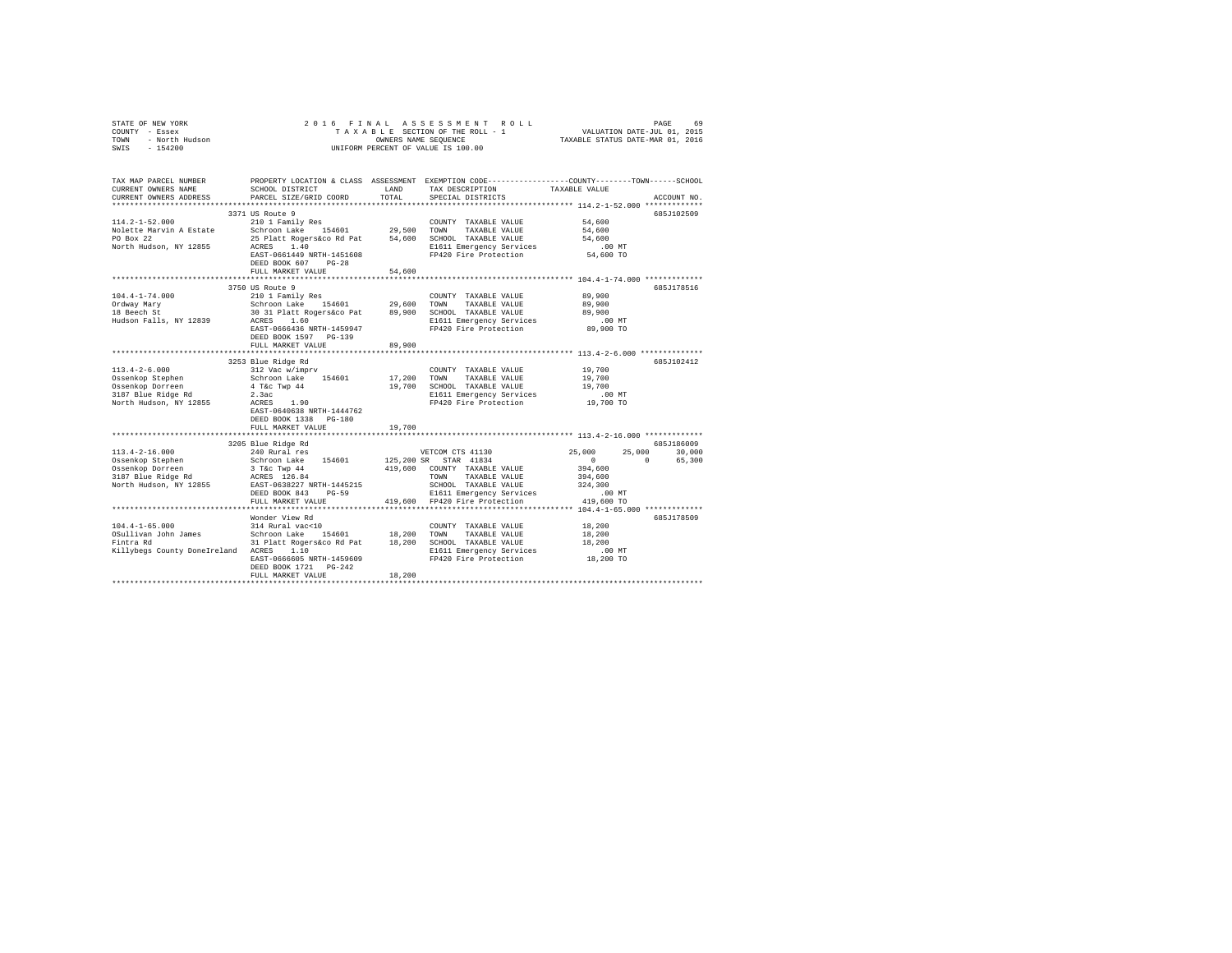| COUNTY - Essex<br>TOWN<br>- North Hudson<br>SWIS<br>$-154200$                                                                                                                                            |                                                                                                                                                                                                                   | OWNERS NAME SEOUENCE       | TAXABLE SECTION OF THE ROLL - 1<br>UNIFORM PERCENT OF VALUE IS 100.00                                                                                                                   | VALUATION DATE-JUL 01, 2015<br>TAXABLE STATUS DATE-MAR 01, 2016                         |                                       |
|----------------------------------------------------------------------------------------------------------------------------------------------------------------------------------------------------------|-------------------------------------------------------------------------------------------------------------------------------------------------------------------------------------------------------------------|----------------------------|-----------------------------------------------------------------------------------------------------------------------------------------------------------------------------------------|-----------------------------------------------------------------------------------------|---------------------------------------|
| TAX MAP PARCEL NUMBER<br>CURRENT OWNERS NAME<br>CURRENT OWNERS ADDRESS                                                                                                                                   | SCHOOL DISTRICT<br>PARCEL SIZE/GRID COORD                                                                                                                                                                         | LAND<br>TOTAL              | PROPERTY LOCATION & CLASS ASSESSMENT EXEMPTION CODE---------------COUNTY-------TOWN-----SCHOOL<br>TAX DESCRIPTION<br>SPECIAL DISTRICTS                                                  | TAXABLE VALUE<br>************************ 114.2-1-52.000 *************                  | ACCOUNT NO.                           |
| $114.2 - 1 - 52.000$<br>Nolette Marvin A Estate<br>PO Box 22<br>North Hudson, NY 12855                                                                                                                   | 3371 US Route 9<br>210 1 Family Res<br>Schroon Lake 154601 29,500<br>25 Platt Rogers&co Rd Pat 54,600 SCHOOL TAXABLE VALUE<br>ACRES 1.40<br>EAST-0661449 NRTH-1451608<br>DEED BOOK 607 PG-28<br>FULL MARKET VALUE | 54,600                     | COUNTY TAXABLE VALUE<br>TOWN<br>TAXABLE VALUE<br>E1611 Emergency Services<br>FP420 Fire Protection                                                                                      | 54,600<br>54,600<br>54,600<br>$.00$ MT<br>54,600 TO                                     | 685J102509                            |
|                                                                                                                                                                                                          | 3750 US Route 9                                                                                                                                                                                                   |                            |                                                                                                                                                                                         |                                                                                         | 685J178516                            |
| $104.4 - 1 - 74.000$<br>Ordway Mary<br>18 Beech St<br>Hudson Falls, NY 12839                                                                                                                             | 210 1 Family Res<br>Schroon Lake 154601<br>30 31 Platt Rogers&co Pat 89,900<br>ACRES 1.60<br>EAST-0666436 NRTH-1459947<br>DEED BOOK 1597 PG-139<br>FULL MARKET VALUE                                              | 29,600<br>89,900           | COUNTY TAXABLE VALUE<br>TAXABLE VALUE<br>TOWN<br>SCHOOL TAXABLE VALUE<br>E1611 Emergency Services<br>FP420 Fire Protection                                                              | 89,900<br>89,900<br>89,900<br>.00MT<br>89,900 TO                                        |                                       |
|                                                                                                                                                                                                          | ****************************                                                                                                                                                                                      |                            |                                                                                                                                                                                         |                                                                                         |                                       |
| $113.4 - 2 - 6.000$<br>Ossenkop Stephen<br>Ossenkop Dorreen<br>3187 Blue Ridge Rd<br>North Hudson, NY 12855                                                                                              | 3253 Blue Ridge Rd<br>312 Vac w/imprv<br>Schroon Lake 154601<br>4 T&c Twp 44<br>2.3ac<br>$ACRES$ 1.90<br>EAST-0640638 NRTH-1444762<br>DEED BOOK 1338 PG-180<br>FULL MARKET VALUE                                  | 17,200<br>19,700<br>19,700 | COUNTY TAXABLE VALUE<br>TOWN<br>TAXABLE VALUE<br>SCHOOL TAXABLE VALUE<br>E1611 Emergency Services<br>FP420 Fire Protection                                                              | 19,700<br>19,700<br>19,700<br>.00MT<br>19,700 TO                                        | 685J102412                            |
|                                                                                                                                                                                                          |                                                                                                                                                                                                                   |                            |                                                                                                                                                                                         |                                                                                         |                                       |
| $113.4 - 2 - 16.000$<br>Ossenkop Stephen<br>Ossenkop Dorreen<br>3187 Blue Ridge Rd<br>North Hudson, NY 12855                                                                                             | 3205 Blue Ridge Rd<br>240 Rural res<br>Schroon Lake 154601<br>3 T&C Twp 44<br>ACRES 126.84<br>EAST-0638227 NRTH-1445215<br>DEED BOOK 843 PG-59<br>FULL MARKET VALUE                                               |                            | VETCOM CTS 41130<br>125,200 SR STAR 41834<br>419,600 COUNTY TAXABLE VALUE<br>TOWN<br>TAXABLE VALUE<br>SCHOOL TAXABLE VALUE<br>E1611 Emergency Services<br>419,600 FP420 Fire Protection | 25,000<br>$\sim$<br>$\sim$ 0<br>394,600<br>394,600<br>324,300<br>$.00$ MT<br>419,600 TO | 685J186009<br>25,000 30,000<br>65,300 |
|                                                                                                                                                                                                          |                                                                                                                                                                                                                   |                            |                                                                                                                                                                                         |                                                                                         |                                       |
| $104.4 - 1 - 65.000$<br>OSullivan John James Schroon Lake 154601 18,200 TOWN TAXABLE VALUE<br>Fintra Rd 31 Platt Rogers&co Rd Pat 18,200 SCHOOL TAXABLE VALUE<br>Killybegs County DoneIreland ACRES 1.10 | Wonder View Rd<br>314 Rural vac<10<br>EAST-0666605 NRTH-1459609<br>DEED BOOK 1721 PG-242<br>FULL MARKET VALUE                                                                                                     | 18,200                     | COUNTY TAXABLE VALUE<br>E1611 Emergency Services<br>FP420 Fire Protection                                                                                                               | 18,200<br>18,200<br>18,200<br>$.00$ MT<br>18,200 TO                                     | 685J178509                            |
|                                                                                                                                                                                                          |                                                                                                                                                                                                                   |                            |                                                                                                                                                                                         |                                                                                         |                                       |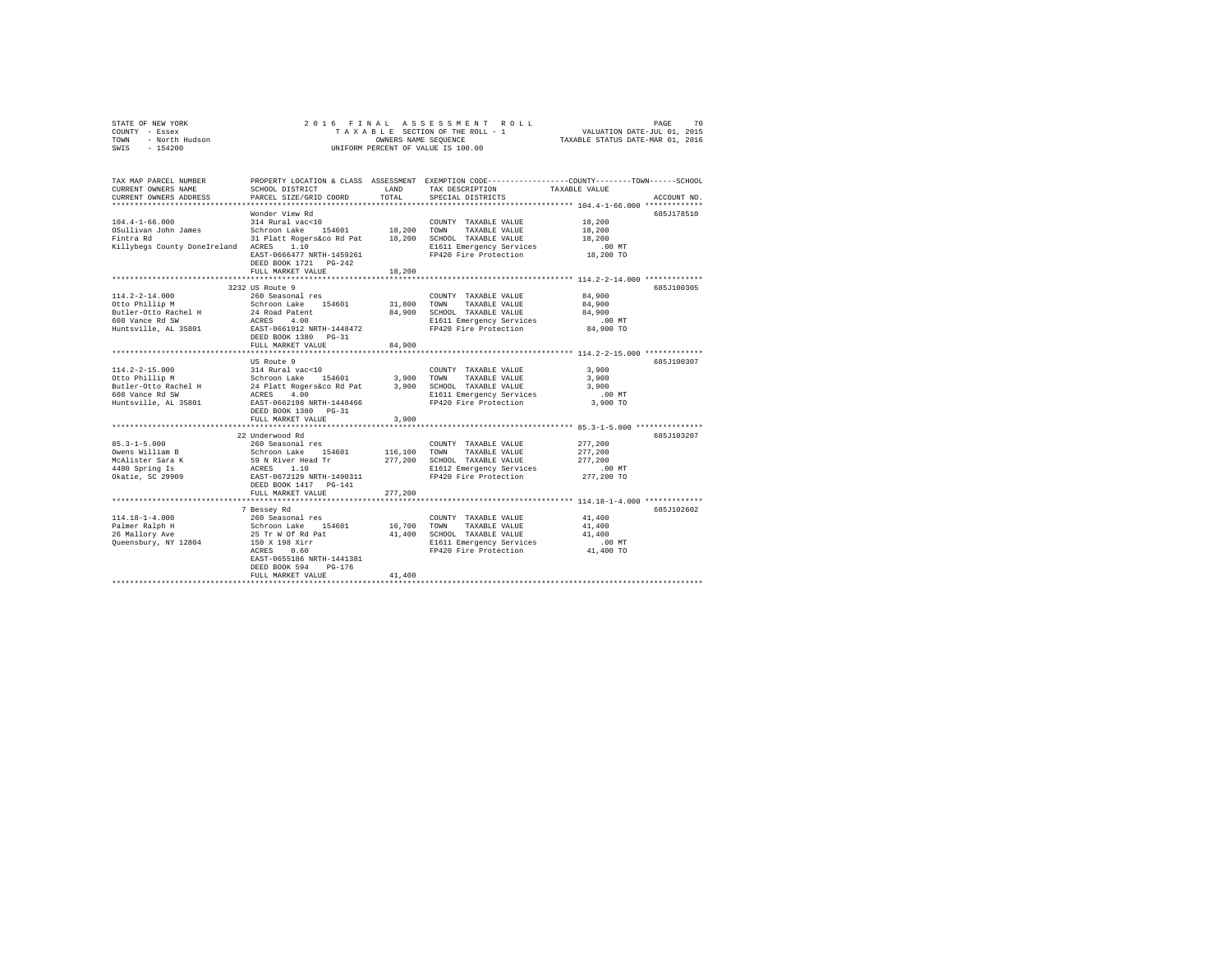| STATE OF NEW YORK      | 2016 FINAL ASSESSMENT ROLL         | 70<br>PAGE                       |
|------------------------|------------------------------------|----------------------------------|
| COUNTY<br>- Essex      | TAXABLE SECTION OF THE ROLL - 1    | VALUATION DATE-JUL 01, 2015      |
| - North Hudson<br>TOWN | OWNERS NAME SEOUENCE               | TAXABLE STATUS DATE-MAR 01, 2016 |
| $-154200$<br>SWIS      | UNIFORM PERCENT OF VALUE IS 100.00 |                                  |

| Wonder View Rd<br>685J178510<br>$104.4 - 1 - 66.000$<br>18,200<br>314 Rural vac<10<br>COUNTY TAXABLE VALUE<br>Schroon Lake 154601 18,200 TOWN<br>OSullivan John James<br>18,200<br>TAXABLE VALUE<br>Fintra Rd<br>31 Platt Rogers&co Rd Pat<br>18,200 SCHOOL TAXABLE VALUE<br>18,200<br>Killybegs County DoneIreland ACRES 1.10<br>E1611 Emergency Services<br>.00 MT<br>18,200 TO<br>FP420 Fire Protection<br>EAST-0666477 NRTH-1459261<br>DEED BOOK 1721 PG-242<br>18,200<br>FULL MARKET VALUE<br>3232 US Route 9<br>685J100305<br>84,900<br>$114.2 - 2 - 14.000$<br>260 Seasonal res<br>COUNTY TAXABLE VALUE<br>Schroon Lake 154601<br>31,800 TOWN<br>84,900<br>Otto Phillip M<br>TAXABLE VALUE<br>Butler-Otto Rachel H<br>84.900 SCHOOL TAXABLE VALUE<br>84,900<br>24 Road Patent<br>ACRES 4.00<br>608 Vance Rd SW<br>$.00$ MT<br>E1611 Emergency Services<br>84,900 TO<br>Huntsville, AL 35801<br>EAST-0661912 NRTH-1448472<br>FP420 Fire Protection<br>DEED BOOK 1380 PG-31<br>84,900<br>FULL MARKET VALUE<br>*********************************** 114.2-2-15.000 ******************************<br>********************************<br>US Route 9<br>685J100307<br>314 Rural vac<10<br>$114.2 - 2 - 15.000$<br>3,900<br>COUNTY TAXABLE VALUE<br>Schroon Lake 154601<br>3,900 TOWN<br>3,900<br>Otto Phillip M<br>TAXABLE VALUE<br>3,900 SCHOOL TAXABLE VALUE<br>3,900<br>E1611 Emergency Services<br>$.00$ MT<br>EAST-0662198 NRTH-1448466<br>FP420 Fire Protection<br>3,900 TO<br>DEED BOOK 1380 PG-31<br>3,900<br>FULL MARKET VALUE<br>22 Underwood Rd<br>685J103207<br>277,200<br>260 Seasonal res<br>COUNTY TAXABLE VALUE<br>Schroon Lake 154601<br>116,100<br>277,200<br>TOWN<br>TAXABLE VALUE<br>59 N River Head Tr<br>ACRES 1.10<br>EAST-0672129 NRTH-1490311<br>Owens William<br>McAlister Sara K<br>Alister Sara K<br>277,200<br>SCHOOL TAXABLE VALUE<br>277,200<br>E1612 Emergency Services<br>$.00$ MT<br>277,200 TO<br>Okatie, SC 29909<br>FP420 Fire Protection<br>DEED BOOK 1417 PG-141<br>277,200<br>FULL MARKET VALUE<br>*********** 114.18-1-4.000 ***********<br>685J102602<br>7 Bessey Rd<br>$114.18 - 1 - 4.000$<br>41,400<br>260 Seasonal res<br>COUNTY TAXABLE VALUE<br>Schroon Lake 154601<br>Palmer Ralph H<br>16,700<br>TOWN<br>41,400<br>TAXABLE VALUE<br>25 Tr W Of Rd Pat<br>150 X 198 Xirr<br>26 Mallory Ave<br>41,400<br>SCHOOL TAXABLE VALUE<br>41,400<br>Queensbury, NY 12804<br>E1611 Emergency Services<br>.00 MT<br>FP420 Fire Protection<br>41,400 TO<br>ACRES<br>0.60<br>EAST-0655186 NRTH-1441381<br>DEED BOOK 594<br>$PG-176$<br>41,400<br>FULL MARKET VALUE | TAX MAP PARCEL NUMBER<br>CURRENT OWNERS NAME<br>CURRENT OWNERS ADDRESS | SCHOOL DISTRICT<br>PARCEL SIZE/GRID COORD | LAND<br>TOTAL. | PROPERTY LOCATION & CLASS ASSESSMENT EXEMPTION CODE----------------COUNTY-------TOWN-----SCHOOL<br>TAX DESCRIPTION<br>SPECIAL DISTRICTS | TAXABLE VALUE | ACCOUNT NO. |
|---------------------------------------------------------------------------------------------------------------------------------------------------------------------------------------------------------------------------------------------------------------------------------------------------------------------------------------------------------------------------------------------------------------------------------------------------------------------------------------------------------------------------------------------------------------------------------------------------------------------------------------------------------------------------------------------------------------------------------------------------------------------------------------------------------------------------------------------------------------------------------------------------------------------------------------------------------------------------------------------------------------------------------------------------------------------------------------------------------------------------------------------------------------------------------------------------------------------------------------------------------------------------------------------------------------------------------------------------------------------------------------------------------------------------------------------------------------------------------------------------------------------------------------------------------------------------------------------------------------------------------------------------------------------------------------------------------------------------------------------------------------------------------------------------------------------------------------------------------------------------------------------------------------------------------------------------------------------------------------------------------------------------------------------------------------------------------------------------------------------------------------------------------------------------------------------------------------------------------------------------------------------------------------------------------------------------------------------------------------------------------------------------------------------------------------------------------------------------------------------------------------------------------------------------------------------------------------------------------|------------------------------------------------------------------------|-------------------------------------------|----------------|-----------------------------------------------------------------------------------------------------------------------------------------|---------------|-------------|
|                                                                                                                                                                                                                                                                                                                                                                                                                                                                                                                                                                                                                                                                                                                                                                                                                                                                                                                                                                                                                                                                                                                                                                                                                                                                                                                                                                                                                                                                                                                                                                                                                                                                                                                                                                                                                                                                                                                                                                                                                                                                                                                                                                                                                                                                                                                                                                                                                                                                                                                                                                                                         |                                                                        |                                           |                |                                                                                                                                         |               |             |
|                                                                                                                                                                                                                                                                                                                                                                                                                                                                                                                                                                                                                                                                                                                                                                                                                                                                                                                                                                                                                                                                                                                                                                                                                                                                                                                                                                                                                                                                                                                                                                                                                                                                                                                                                                                                                                                                                                                                                                                                                                                                                                                                                                                                                                                                                                                                                                                                                                                                                                                                                                                                         |                                                                        |                                           |                |                                                                                                                                         |               |             |
|                                                                                                                                                                                                                                                                                                                                                                                                                                                                                                                                                                                                                                                                                                                                                                                                                                                                                                                                                                                                                                                                                                                                                                                                                                                                                                                                                                                                                                                                                                                                                                                                                                                                                                                                                                                                                                                                                                                                                                                                                                                                                                                                                                                                                                                                                                                                                                                                                                                                                                                                                                                                         |                                                                        |                                           |                |                                                                                                                                         |               |             |
|                                                                                                                                                                                                                                                                                                                                                                                                                                                                                                                                                                                                                                                                                                                                                                                                                                                                                                                                                                                                                                                                                                                                                                                                                                                                                                                                                                                                                                                                                                                                                                                                                                                                                                                                                                                                                                                                                                                                                                                                                                                                                                                                                                                                                                                                                                                                                                                                                                                                                                                                                                                                         |                                                                        |                                           |                |                                                                                                                                         |               |             |
|                                                                                                                                                                                                                                                                                                                                                                                                                                                                                                                                                                                                                                                                                                                                                                                                                                                                                                                                                                                                                                                                                                                                                                                                                                                                                                                                                                                                                                                                                                                                                                                                                                                                                                                                                                                                                                                                                                                                                                                                                                                                                                                                                                                                                                                                                                                                                                                                                                                                                                                                                                                                         |                                                                        |                                           |                |                                                                                                                                         |               |             |
|                                                                                                                                                                                                                                                                                                                                                                                                                                                                                                                                                                                                                                                                                                                                                                                                                                                                                                                                                                                                                                                                                                                                                                                                                                                                                                                                                                                                                                                                                                                                                                                                                                                                                                                                                                                                                                                                                                                                                                                                                                                                                                                                                                                                                                                                                                                                                                                                                                                                                                                                                                                                         |                                                                        |                                           |                |                                                                                                                                         |               |             |
|                                                                                                                                                                                                                                                                                                                                                                                                                                                                                                                                                                                                                                                                                                                                                                                                                                                                                                                                                                                                                                                                                                                                                                                                                                                                                                                                                                                                                                                                                                                                                                                                                                                                                                                                                                                                                                                                                                                                                                                                                                                                                                                                                                                                                                                                                                                                                                                                                                                                                                                                                                                                         |                                                                        |                                           |                |                                                                                                                                         |               |             |
|                                                                                                                                                                                                                                                                                                                                                                                                                                                                                                                                                                                                                                                                                                                                                                                                                                                                                                                                                                                                                                                                                                                                                                                                                                                                                                                                                                                                                                                                                                                                                                                                                                                                                                                                                                                                                                                                                                                                                                                                                                                                                                                                                                                                                                                                                                                                                                                                                                                                                                                                                                                                         |                                                                        |                                           |                |                                                                                                                                         |               |             |
|                                                                                                                                                                                                                                                                                                                                                                                                                                                                                                                                                                                                                                                                                                                                                                                                                                                                                                                                                                                                                                                                                                                                                                                                                                                                                                                                                                                                                                                                                                                                                                                                                                                                                                                                                                                                                                                                                                                                                                                                                                                                                                                                                                                                                                                                                                                                                                                                                                                                                                                                                                                                         |                                                                        |                                           |                |                                                                                                                                         |               |             |
|                                                                                                                                                                                                                                                                                                                                                                                                                                                                                                                                                                                                                                                                                                                                                                                                                                                                                                                                                                                                                                                                                                                                                                                                                                                                                                                                                                                                                                                                                                                                                                                                                                                                                                                                                                                                                                                                                                                                                                                                                                                                                                                                                                                                                                                                                                                                                                                                                                                                                                                                                                                                         |                                                                        |                                           |                |                                                                                                                                         |               |             |
|                                                                                                                                                                                                                                                                                                                                                                                                                                                                                                                                                                                                                                                                                                                                                                                                                                                                                                                                                                                                                                                                                                                                                                                                                                                                                                                                                                                                                                                                                                                                                                                                                                                                                                                                                                                                                                                                                                                                                                                                                                                                                                                                                                                                                                                                                                                                                                                                                                                                                                                                                                                                         |                                                                        |                                           |                |                                                                                                                                         |               |             |
|                                                                                                                                                                                                                                                                                                                                                                                                                                                                                                                                                                                                                                                                                                                                                                                                                                                                                                                                                                                                                                                                                                                                                                                                                                                                                                                                                                                                                                                                                                                                                                                                                                                                                                                                                                                                                                                                                                                                                                                                                                                                                                                                                                                                                                                                                                                                                                                                                                                                                                                                                                                                         |                                                                        |                                           |                |                                                                                                                                         |               |             |
|                                                                                                                                                                                                                                                                                                                                                                                                                                                                                                                                                                                                                                                                                                                                                                                                                                                                                                                                                                                                                                                                                                                                                                                                                                                                                                                                                                                                                                                                                                                                                                                                                                                                                                                                                                                                                                                                                                                                                                                                                                                                                                                                                                                                                                                                                                                                                                                                                                                                                                                                                                                                         |                                                                        |                                           |                |                                                                                                                                         |               |             |
|                                                                                                                                                                                                                                                                                                                                                                                                                                                                                                                                                                                                                                                                                                                                                                                                                                                                                                                                                                                                                                                                                                                                                                                                                                                                                                                                                                                                                                                                                                                                                                                                                                                                                                                                                                                                                                                                                                                                                                                                                                                                                                                                                                                                                                                                                                                                                                                                                                                                                                                                                                                                         |                                                                        |                                           |                |                                                                                                                                         |               |             |
|                                                                                                                                                                                                                                                                                                                                                                                                                                                                                                                                                                                                                                                                                                                                                                                                                                                                                                                                                                                                                                                                                                                                                                                                                                                                                                                                                                                                                                                                                                                                                                                                                                                                                                                                                                                                                                                                                                                                                                                                                                                                                                                                                                                                                                                                                                                                                                                                                                                                                                                                                                                                         |                                                                        |                                           |                |                                                                                                                                         |               |             |
|                                                                                                                                                                                                                                                                                                                                                                                                                                                                                                                                                                                                                                                                                                                                                                                                                                                                                                                                                                                                                                                                                                                                                                                                                                                                                                                                                                                                                                                                                                                                                                                                                                                                                                                                                                                                                                                                                                                                                                                                                                                                                                                                                                                                                                                                                                                                                                                                                                                                                                                                                                                                         |                                                                        |                                           |                |                                                                                                                                         |               |             |
|                                                                                                                                                                                                                                                                                                                                                                                                                                                                                                                                                                                                                                                                                                                                                                                                                                                                                                                                                                                                                                                                                                                                                                                                                                                                                                                                                                                                                                                                                                                                                                                                                                                                                                                                                                                                                                                                                                                                                                                                                                                                                                                                                                                                                                                                                                                                                                                                                                                                                                                                                                                                         |                                                                        |                                           |                |                                                                                                                                         |               |             |
|                                                                                                                                                                                                                                                                                                                                                                                                                                                                                                                                                                                                                                                                                                                                                                                                                                                                                                                                                                                                                                                                                                                                                                                                                                                                                                                                                                                                                                                                                                                                                                                                                                                                                                                                                                                                                                                                                                                                                                                                                                                                                                                                                                                                                                                                                                                                                                                                                                                                                                                                                                                                         |                                                                        |                                           |                |                                                                                                                                         |               |             |
|                                                                                                                                                                                                                                                                                                                                                                                                                                                                                                                                                                                                                                                                                                                                                                                                                                                                                                                                                                                                                                                                                                                                                                                                                                                                                                                                                                                                                                                                                                                                                                                                                                                                                                                                                                                                                                                                                                                                                                                                                                                                                                                                                                                                                                                                                                                                                                                                                                                                                                                                                                                                         |                                                                        |                                           |                |                                                                                                                                         |               |             |
|                                                                                                                                                                                                                                                                                                                                                                                                                                                                                                                                                                                                                                                                                                                                                                                                                                                                                                                                                                                                                                                                                                                                                                                                                                                                                                                                                                                                                                                                                                                                                                                                                                                                                                                                                                                                                                                                                                                                                                                                                                                                                                                                                                                                                                                                                                                                                                                                                                                                                                                                                                                                         |                                                                        |                                           |                |                                                                                                                                         |               |             |
|                                                                                                                                                                                                                                                                                                                                                                                                                                                                                                                                                                                                                                                                                                                                                                                                                                                                                                                                                                                                                                                                                                                                                                                                                                                                                                                                                                                                                                                                                                                                                                                                                                                                                                                                                                                                                                                                                                                                                                                                                                                                                                                                                                                                                                                                                                                                                                                                                                                                                                                                                                                                         |                                                                        |                                           |                |                                                                                                                                         |               |             |
|                                                                                                                                                                                                                                                                                                                                                                                                                                                                                                                                                                                                                                                                                                                                                                                                                                                                                                                                                                                                                                                                                                                                                                                                                                                                                                                                                                                                                                                                                                                                                                                                                                                                                                                                                                                                                                                                                                                                                                                                                                                                                                                                                                                                                                                                                                                                                                                                                                                                                                                                                                                                         |                                                                        |                                           |                |                                                                                                                                         |               |             |
|                                                                                                                                                                                                                                                                                                                                                                                                                                                                                                                                                                                                                                                                                                                                                                                                                                                                                                                                                                                                                                                                                                                                                                                                                                                                                                                                                                                                                                                                                                                                                                                                                                                                                                                                                                                                                                                                                                                                                                                                                                                                                                                                                                                                                                                                                                                                                                                                                                                                                                                                                                                                         |                                                                        |                                           |                |                                                                                                                                         |               |             |
|                                                                                                                                                                                                                                                                                                                                                                                                                                                                                                                                                                                                                                                                                                                                                                                                                                                                                                                                                                                                                                                                                                                                                                                                                                                                                                                                                                                                                                                                                                                                                                                                                                                                                                                                                                                                                                                                                                                                                                                                                                                                                                                                                                                                                                                                                                                                                                                                                                                                                                                                                                                                         | Huntsville, AL 35801                                                   |                                           |                |                                                                                                                                         |               |             |
|                                                                                                                                                                                                                                                                                                                                                                                                                                                                                                                                                                                                                                                                                                                                                                                                                                                                                                                                                                                                                                                                                                                                                                                                                                                                                                                                                                                                                                                                                                                                                                                                                                                                                                                                                                                                                                                                                                                                                                                                                                                                                                                                                                                                                                                                                                                                                                                                                                                                                                                                                                                                         |                                                                        |                                           |                |                                                                                                                                         |               |             |
|                                                                                                                                                                                                                                                                                                                                                                                                                                                                                                                                                                                                                                                                                                                                                                                                                                                                                                                                                                                                                                                                                                                                                                                                                                                                                                                                                                                                                                                                                                                                                                                                                                                                                                                                                                                                                                                                                                                                                                                                                                                                                                                                                                                                                                                                                                                                                                                                                                                                                                                                                                                                         |                                                                        |                                           |                |                                                                                                                                         |               |             |
|                                                                                                                                                                                                                                                                                                                                                                                                                                                                                                                                                                                                                                                                                                                                                                                                                                                                                                                                                                                                                                                                                                                                                                                                                                                                                                                                                                                                                                                                                                                                                                                                                                                                                                                                                                                                                                                                                                                                                                                                                                                                                                                                                                                                                                                                                                                                                                                                                                                                                                                                                                                                         |                                                                        |                                           |                |                                                                                                                                         |               |             |
|                                                                                                                                                                                                                                                                                                                                                                                                                                                                                                                                                                                                                                                                                                                                                                                                                                                                                                                                                                                                                                                                                                                                                                                                                                                                                                                                                                                                                                                                                                                                                                                                                                                                                                                                                                                                                                                                                                                                                                                                                                                                                                                                                                                                                                                                                                                                                                                                                                                                                                                                                                                                         |                                                                        |                                           |                |                                                                                                                                         |               |             |
|                                                                                                                                                                                                                                                                                                                                                                                                                                                                                                                                                                                                                                                                                                                                                                                                                                                                                                                                                                                                                                                                                                                                                                                                                                                                                                                                                                                                                                                                                                                                                                                                                                                                                                                                                                                                                                                                                                                                                                                                                                                                                                                                                                                                                                                                                                                                                                                                                                                                                                                                                                                                         | $85.3 - 1 - 5.000$                                                     |                                           |                |                                                                                                                                         |               |             |
|                                                                                                                                                                                                                                                                                                                                                                                                                                                                                                                                                                                                                                                                                                                                                                                                                                                                                                                                                                                                                                                                                                                                                                                                                                                                                                                                                                                                                                                                                                                                                                                                                                                                                                                                                                                                                                                                                                                                                                                                                                                                                                                                                                                                                                                                                                                                                                                                                                                                                                                                                                                                         |                                                                        |                                           |                |                                                                                                                                         |               |             |
|                                                                                                                                                                                                                                                                                                                                                                                                                                                                                                                                                                                                                                                                                                                                                                                                                                                                                                                                                                                                                                                                                                                                                                                                                                                                                                                                                                                                                                                                                                                                                                                                                                                                                                                                                                                                                                                                                                                                                                                                                                                                                                                                                                                                                                                                                                                                                                                                                                                                                                                                                                                                         |                                                                        |                                           |                |                                                                                                                                         |               |             |
|                                                                                                                                                                                                                                                                                                                                                                                                                                                                                                                                                                                                                                                                                                                                                                                                                                                                                                                                                                                                                                                                                                                                                                                                                                                                                                                                                                                                                                                                                                                                                                                                                                                                                                                                                                                                                                                                                                                                                                                                                                                                                                                                                                                                                                                                                                                                                                                                                                                                                                                                                                                                         |                                                                        |                                           |                |                                                                                                                                         |               |             |
|                                                                                                                                                                                                                                                                                                                                                                                                                                                                                                                                                                                                                                                                                                                                                                                                                                                                                                                                                                                                                                                                                                                                                                                                                                                                                                                                                                                                                                                                                                                                                                                                                                                                                                                                                                                                                                                                                                                                                                                                                                                                                                                                                                                                                                                                                                                                                                                                                                                                                                                                                                                                         |                                                                        |                                           |                |                                                                                                                                         |               |             |
|                                                                                                                                                                                                                                                                                                                                                                                                                                                                                                                                                                                                                                                                                                                                                                                                                                                                                                                                                                                                                                                                                                                                                                                                                                                                                                                                                                                                                                                                                                                                                                                                                                                                                                                                                                                                                                                                                                                                                                                                                                                                                                                                                                                                                                                                                                                                                                                                                                                                                                                                                                                                         |                                                                        |                                           |                |                                                                                                                                         |               |             |
|                                                                                                                                                                                                                                                                                                                                                                                                                                                                                                                                                                                                                                                                                                                                                                                                                                                                                                                                                                                                                                                                                                                                                                                                                                                                                                                                                                                                                                                                                                                                                                                                                                                                                                                                                                                                                                                                                                                                                                                                                                                                                                                                                                                                                                                                                                                                                                                                                                                                                                                                                                                                         |                                                                        |                                           |                |                                                                                                                                         |               |             |
|                                                                                                                                                                                                                                                                                                                                                                                                                                                                                                                                                                                                                                                                                                                                                                                                                                                                                                                                                                                                                                                                                                                                                                                                                                                                                                                                                                                                                                                                                                                                                                                                                                                                                                                                                                                                                                                                                                                                                                                                                                                                                                                                                                                                                                                                                                                                                                                                                                                                                                                                                                                                         |                                                                        |                                           |                |                                                                                                                                         |               |             |
|                                                                                                                                                                                                                                                                                                                                                                                                                                                                                                                                                                                                                                                                                                                                                                                                                                                                                                                                                                                                                                                                                                                                                                                                                                                                                                                                                                                                                                                                                                                                                                                                                                                                                                                                                                                                                                                                                                                                                                                                                                                                                                                                                                                                                                                                                                                                                                                                                                                                                                                                                                                                         |                                                                        |                                           |                |                                                                                                                                         |               |             |
|                                                                                                                                                                                                                                                                                                                                                                                                                                                                                                                                                                                                                                                                                                                                                                                                                                                                                                                                                                                                                                                                                                                                                                                                                                                                                                                                                                                                                                                                                                                                                                                                                                                                                                                                                                                                                                                                                                                                                                                                                                                                                                                                                                                                                                                                                                                                                                                                                                                                                                                                                                                                         |                                                                        |                                           |                |                                                                                                                                         |               |             |
|                                                                                                                                                                                                                                                                                                                                                                                                                                                                                                                                                                                                                                                                                                                                                                                                                                                                                                                                                                                                                                                                                                                                                                                                                                                                                                                                                                                                                                                                                                                                                                                                                                                                                                                                                                                                                                                                                                                                                                                                                                                                                                                                                                                                                                                                                                                                                                                                                                                                                                                                                                                                         |                                                                        |                                           |                |                                                                                                                                         |               |             |
|                                                                                                                                                                                                                                                                                                                                                                                                                                                                                                                                                                                                                                                                                                                                                                                                                                                                                                                                                                                                                                                                                                                                                                                                                                                                                                                                                                                                                                                                                                                                                                                                                                                                                                                                                                                                                                                                                                                                                                                                                                                                                                                                                                                                                                                                                                                                                                                                                                                                                                                                                                                                         |                                                                        |                                           |                |                                                                                                                                         |               |             |
|                                                                                                                                                                                                                                                                                                                                                                                                                                                                                                                                                                                                                                                                                                                                                                                                                                                                                                                                                                                                                                                                                                                                                                                                                                                                                                                                                                                                                                                                                                                                                                                                                                                                                                                                                                                                                                                                                                                                                                                                                                                                                                                                                                                                                                                                                                                                                                                                                                                                                                                                                                                                         |                                                                        |                                           |                |                                                                                                                                         |               |             |
|                                                                                                                                                                                                                                                                                                                                                                                                                                                                                                                                                                                                                                                                                                                                                                                                                                                                                                                                                                                                                                                                                                                                                                                                                                                                                                                                                                                                                                                                                                                                                                                                                                                                                                                                                                                                                                                                                                                                                                                                                                                                                                                                                                                                                                                                                                                                                                                                                                                                                                                                                                                                         |                                                                        |                                           |                |                                                                                                                                         |               |             |
|                                                                                                                                                                                                                                                                                                                                                                                                                                                                                                                                                                                                                                                                                                                                                                                                                                                                                                                                                                                                                                                                                                                                                                                                                                                                                                                                                                                                                                                                                                                                                                                                                                                                                                                                                                                                                                                                                                                                                                                                                                                                                                                                                                                                                                                                                                                                                                                                                                                                                                                                                                                                         |                                                                        |                                           |                |                                                                                                                                         |               |             |
|                                                                                                                                                                                                                                                                                                                                                                                                                                                                                                                                                                                                                                                                                                                                                                                                                                                                                                                                                                                                                                                                                                                                                                                                                                                                                                                                                                                                                                                                                                                                                                                                                                                                                                                                                                                                                                                                                                                                                                                                                                                                                                                                                                                                                                                                                                                                                                                                                                                                                                                                                                                                         |                                                                        |                                           |                |                                                                                                                                         |               |             |
|                                                                                                                                                                                                                                                                                                                                                                                                                                                                                                                                                                                                                                                                                                                                                                                                                                                                                                                                                                                                                                                                                                                                                                                                                                                                                                                                                                                                                                                                                                                                                                                                                                                                                                                                                                                                                                                                                                                                                                                                                                                                                                                                                                                                                                                                                                                                                                                                                                                                                                                                                                                                         |                                                                        |                                           |                |                                                                                                                                         |               |             |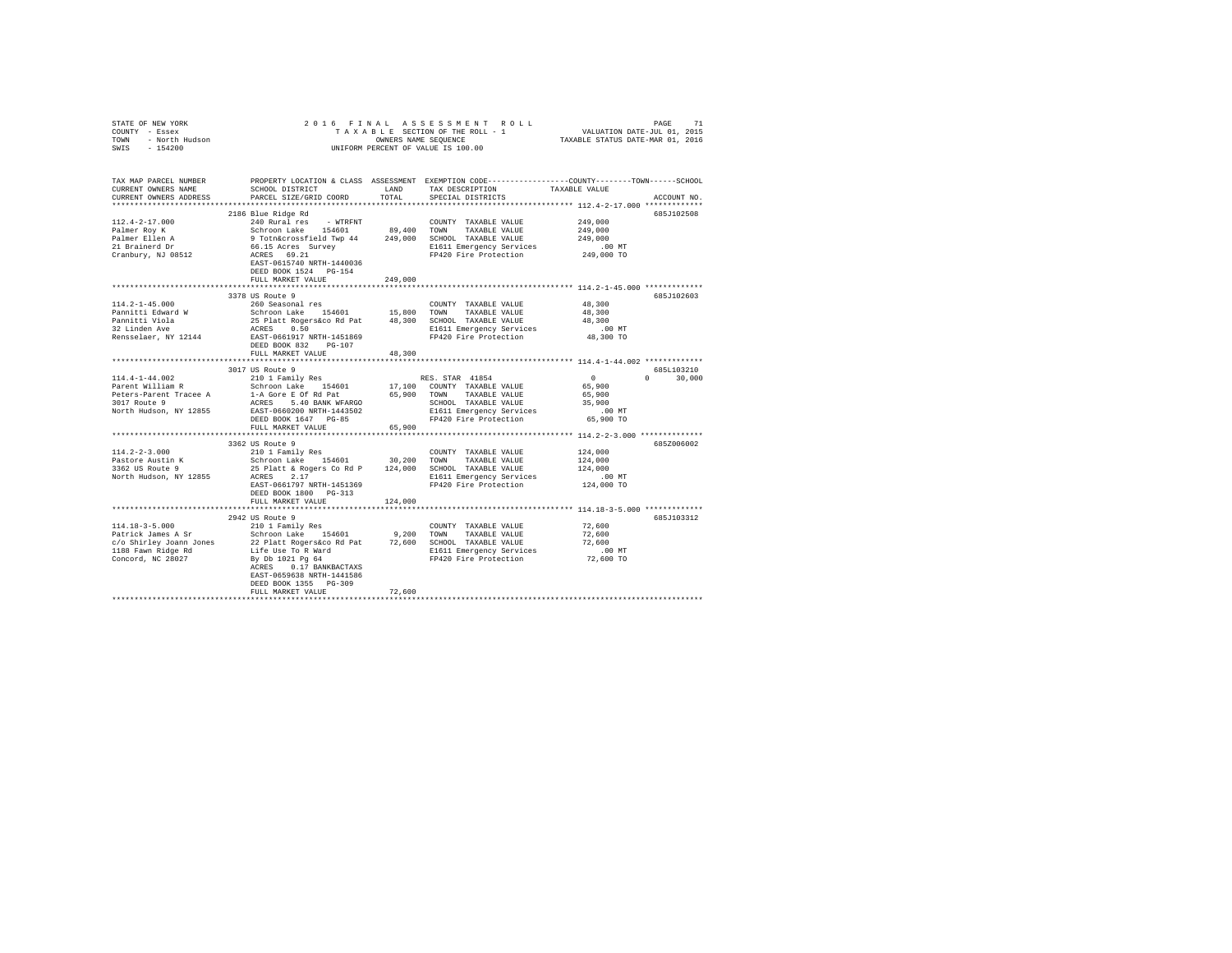| STATE OF NEW YORK $\begin{array}{rcl} \angle & \cup & \bot \\ \text{COUNT} & - & \text{ESSex} \\ \text{TOWM} & - & \text{North Hudson} \\ & & \downarrow \end{array}$                                                                                                |                                                                                                                                                                                                                                                                                                                  |         | 2016 FINAL ASSESSMENT ROLL<br>UNIFORM PERCENT OF VALUE IS 100.00                                                                                      |                                                                 |               |
|----------------------------------------------------------------------------------------------------------------------------------------------------------------------------------------------------------------------------------------------------------------------|------------------------------------------------------------------------------------------------------------------------------------------------------------------------------------------------------------------------------------------------------------------------------------------------------------------|---------|-------------------------------------------------------------------------------------------------------------------------------------------------------|-----------------------------------------------------------------|---------------|
| TAX MAP PARCEL NUMBER<br>CURRENT OWNERS NAME<br>CURRENT OWNERS ADDRESS                                                                                                                                                                                               | SCHOOL DISTRICT LAND<br>PARCEL SIZE/GRID COORD TOTAL                                                                                                                                                                                                                                                             |         | PROPERTY LOCATION & CLASS ASSESSMENT EXEMPTION CODE---------------COUNTY-------TOWN------SCHOOL<br>TAX DESCRIPTION TAXABLE VALUE<br>SPECIAL DISTRICTS |                                                                 | ACCOUNT NO.   |
|                                                                                                                                                                                                                                                                      |                                                                                                                                                                                                                                                                                                                  |         |                                                                                                                                                       |                                                                 |               |
| $112.4 - 2 - 17.000$<br>Palmer Roy K<br>Palmer Ellen A<br>21 Brainerd Dr<br>Cranbury, NJ 08512                                                                                                                                                                       | 2186 Blue Ridge Rd<br>240 Rural Pes - WTRFNT COUNTY TAXABLE VALUE 249,000<br>Schroon Lake 154601 199,400 TOWN TAXABLE VALUE 249,000<br>9 Tothacrossfield Twp 44 249,000 SCHOOL TAXABLE VALUE 249,000<br>66.15 Acres Survey 249,000 ECISIL Energency Servic<br>EAST-0615740 NRTH-1440036<br>DEED BOOK 1524 PG-154 |         |                                                                                                                                                       |                                                                 | 685J102508    |
|                                                                                                                                                                                                                                                                      | FULL MARKET VALUE                                                                                                                                                                                                                                                                                                | 249,000 |                                                                                                                                                       |                                                                 |               |
| $114.2 - 1 - 45.000$<br>Pannitti Edward W<br>Pannitti Viola<br>32 Linden Ave                                                                                                                                                                                         | 3378 US Route 9<br>260 Seasonal res<br>Notes and the 154601 15,800 TOWN TAXABLE VAUE<br>25 Platt Rogers of Alexandr 2018 100 SCHOOL TAXABLE VAUE<br>25 Platt Rogers 48,300 SCHOOL TAXABLE VAUE<br>26 RAST-0661917 NRTH-1451869 FP420 Fire Protection<br>26 RAST-0661917 NRTH-1451                                |         | COUNTY TAXABLE VALUE                                                                                                                                  | 48,300<br>48,300<br>48,300                                      | 685J102603    |
| Rensselaer, NY 12144                                                                                                                                                                                                                                                 | DEED BOOK 832 PG-107<br>FULL MARKET VALUE                                                                                                                                                                                                                                                                        | 48,300  |                                                                                                                                                       | $.00$ MT<br>48,300 TO                                           |               |
|                                                                                                                                                                                                                                                                      | 3017 US Route 9                                                                                                                                                                                                                                                                                                  |         |                                                                                                                                                       |                                                                 | 685L103210    |
| 114.4-1-44.002<br>Parent William R<br>Peters-Parent Tracee A 1-A Gore E Of Rd Pat 65,900 TOWN TAXABLE VALUE 3017 Route 9 ACRES 5.40 BANK WPRRGO SCHOOL TAXABLE VALUE 3017 Route 9 ACRES 5.40 BANK WPRESS 5.40 BANK WPRESS 5.40 BANK WPRESS 5.40 BANK WPRESS 2017 RMA | 210 1 Family Res<br>Schroon Lake 154601 17,100 COUNTY TAXABLE VALUE<br>FULL MARKET VALUE                                                                                                                                                                                                                         | 65,900  |                                                                                                                                                       | $\sim$ 0<br>65,900<br>65,900<br>35,900<br>$.00$ MT<br>65,900 TO | $0 \t 30.000$ |
|                                                                                                                                                                                                                                                                      |                                                                                                                                                                                                                                                                                                                  |         |                                                                                                                                                       |                                                                 |               |
| $114.2 - 2 - 3.000$<br>Pastore Austin K<br>3362 US Route 9<br>North Hudson, NY 12855                                                                                                                                                                                 | 3362 US Route 9<br>210 1 Family Res<br>EAST-0661797 NRTH-1451369<br>DEED BOOK 1800 PG-313                                                                                                                                                                                                                        |         | E1611 Emergency Services<br>FP420 Fire Protection                                                                                                     | 124,000<br>124,000<br>124,000<br>.00 MT<br>124,000 TO           | 685Z006002    |
|                                                                                                                                                                                                                                                                      | FULL MARKET VALUE                                                                                                                                                                                                                                                                                                | 124,000 |                                                                                                                                                       |                                                                 |               |
| $[114.18-3-5.000$ $[114.18-3-5.000$ $[116.18-3-5.000$ $[116.18-3-5.000$ $[116.18-3-5.000$ $[116.18-3-5.000$ $[116.18-3-5.000$ $[116.18-3-5.000$ $[116.18-3-5.000$ $[116.18-3-5.000$ $[116.18-3-5.000$ $[116.18-3-5.000$ $[116$                                       | 2942 US Route 9                                                                                                                                                                                                                                                                                                  |         |                                                                                                                                                       |                                                                 | 685J103312    |
|                                                                                                                                                                                                                                                                      | ACRES 0.17 BANKBACTAXS<br>EAST-0659638 NRTH-1441586<br>DEED BOOK 1355 PG-309<br>FULL MARKET VALUE                                                                                                                                                                                                                | 72,600  |                                                                                                                                                       |                                                                 |               |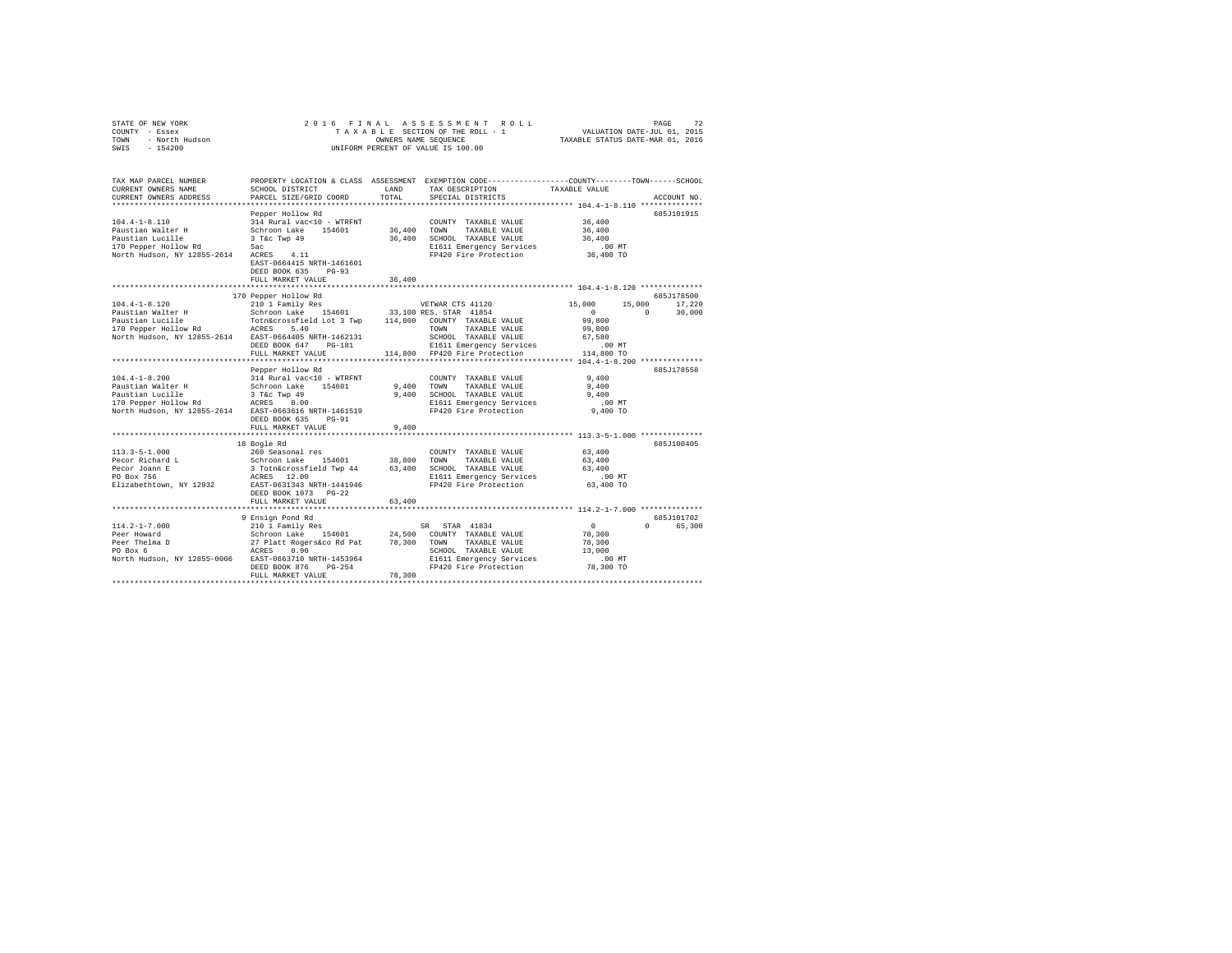|      | STATE OF NEW YORK |                |  |  |                                    |                                 | 2016 FINAL ASSESSMENT ROLL |                                  | PAGE | 72 |
|------|-------------------|----------------|--|--|------------------------------------|---------------------------------|----------------------------|----------------------------------|------|----|
|      | COUNTY - Essex    |                |  |  |                                    | TAXABLE SECTION OF THE ROLL - 1 |                            | VALUATION DATE-JUL 01, 2015      |      |    |
| TOWN |                   | - North Hudson |  |  | OWNERS NAME SEOUENCE               |                                 |                            | TAXABLE STATUS DATE-MAR 01, 2016 |      |    |
| SWIS | $-154200$         |                |  |  | UNIFORM PERCENT OF VALUE IS 100.00 |                                 |                            |                                  |      |    |

| TAX MAP PARCEL NUMBER<br>CURRENT OWNERS NAME<br>CURRENT OWNERS ADDRESS | SCHOOL DISTRICT<br>PARCEL SIZE/GRID COORD                                                                                                          | LAND<br>TOTAL | PROPERTY LOCATION & CLASS ASSESSMENT EXEMPTION CODE---------------COUNTY-------TOWN------SCHOOL<br>TAX DESCRIPTION TAXABLE VALUE<br>SPECIAL DISTRICTS |                       | ACCOUNT NO.          |
|------------------------------------------------------------------------|----------------------------------------------------------------------------------------------------------------------------------------------------|---------------|-------------------------------------------------------------------------------------------------------------------------------------------------------|-----------------------|----------------------|
|                                                                        |                                                                                                                                                    |               |                                                                                                                                                       |                       |                      |
|                                                                        | Pepper Hollow Rd                                                                                                                                   |               |                                                                                                                                                       |                       | 685J101915           |
| $104.4 - 1 - 8.110$                                                    | 314 Rural vac<10 - WTRFNT                                                                                                                          |               | COUNTY TAXABLE VALUE                                                                                                                                  | 36,400                |                      |
| Paustian Walter H                                                      | Schroon Lake 154601                                                                                                                                | 36,400 TOWN   | TAXABLE VALUE                                                                                                                                         | 36,400                |                      |
| Paustian Lucille                                                       | 3 T&c Twp 49                                                                                                                                       |               | 36,400 SCHOOL TAXABLE VALUE                                                                                                                           | 36,400                |                      |
| 170 Pepper Hollow Rd 5ac                                               |                                                                                                                                                    |               | E1611 Emergency Services                                                                                                                              | $.00$ MT              |                      |
| North Hudson, NY 12855-2614 ACRES                                      | 4.11<br>EAST-0664415 NRTH-1461601<br>DEED BOOK 635 PG-93<br>FULL MARKET VALUE                                                                      | 36,400        | FP420 Fire Protection                                                                                                                                 | 36,400 TO             |                      |
|                                                                        |                                                                                                                                                    |               |                                                                                                                                                       |                       |                      |
|                                                                        | 170 Pepper Hollow Rd                                                                                                                               |               |                                                                                                                                                       |                       | 685J178500           |
| $104.4 - 1 - 8.120$                                                    | 210 1 Family Res                                                                                                                                   |               | VETWAR CTS 41120                                                                                                                                      | 15,000<br>15,000      | 17,220               |
|                                                                        |                                                                                                                                                    |               |                                                                                                                                                       | $\sim$ 0              | $^{\circ}$<br>30,000 |
|                                                                        |                                                                                                                                                    |               |                                                                                                                                                       | 99,800                |                      |
|                                                                        |                                                                                                                                                    |               | TOWN TAXABLE VALUE                                                                                                                                    | 99,800                |                      |
| North Hudson, NY 12855-2614 EAST-0664405 NRTH-1462131                  |                                                                                                                                                    |               | SCHOOL TAXABLE VALUE                                                                                                                                  | 67.580                |                      |
|                                                                        | DEED BOOK 647 PG-181                                                                                                                               |               | E1611 Emergency Services                                                                                                                              | $.00$ MT              |                      |
|                                                                        | FULL MARKET VALUE                                                                                                                                  |               | 114,800 FP420 Fire Protection                                                                                                                         | ـس ∪∪ .<br>114,800 TO |                      |
|                                                                        |                                                                                                                                                    |               |                                                                                                                                                       |                       |                      |
|                                                                        | Pepper Hollow Rd                                                                                                                                   |               |                                                                                                                                                       |                       | 685J178558           |
| $104.4 - 1 - 8.200$                                                    |                                                                                                                                                    |               | COUNTY TAXABLE VALUE                                                                                                                                  | 9.400                 |                      |
| Paustian Walter H                                                      | 314 Rural vac<10 - WTRFNT<br>Schroon Lake 154601                                                                                                   |               | 9,400 TOWN<br>TAXABLE VALUE                                                                                                                           | 9,400                 |                      |
|                                                                        |                                                                                                                                                    |               | 9,400 SCHOOL TAXABLE VALUE                                                                                                                            | 9.400                 |                      |
|                                                                        |                                                                                                                                                    |               | E1611 Emergency Services                                                                                                                              | .00 MT                |                      |
| North Hudson, NY 12855-2614 EAST-0663616 NRTH-1461519                  |                                                                                                                                                    |               | FP420 Fire Protection                                                                                                                                 | 9,400 TO              |                      |
|                                                                        | DEED BOOK 635<br>$PG-91$                                                                                                                           |               |                                                                                                                                                       |                       |                      |
|                                                                        | FULL MARKET VALUE                                                                                                                                  | 9,400         |                                                                                                                                                       |                       |                      |
|                                                                        |                                                                                                                                                    |               |                                                                                                                                                       |                       |                      |
|                                                                        | 18 Bogle Rd                                                                                                                                        |               |                                                                                                                                                       |                       | 685J100405           |
| 113.3-5-1.000                                                          | 260 Seasonal res                                                                                                                                   |               | COUNTY TAXABLE VALUE                                                                                                                                  | 63,400                |                      |
| 113.3-5-1.000<br>Pecor Richard L<br>Pecor Joann E                      | Schroon Lake 154601 38,800 TOWN TAXABLE VALUE<br>3 Totn&crossfield Twp 44 63,400 SCHOOL TAXABLE VALUE<br>ACRES 12.00 NOLL ENGLI Emergency Services |               |                                                                                                                                                       | 63,400                |                      |
|                                                                        |                                                                                                                                                    |               |                                                                                                                                                       | 63,400                |                      |
|                                                                        |                                                                                                                                                    |               | E1611 Emergency Services                                                                                                                              | $.00$ MT              |                      |
| Elizabethtown, NY 12932 EAST-0631343 NRTH-1441946                      |                                                                                                                                                    |               | FP420 Fire Protection                                                                                                                                 | 63,400 TO             |                      |
|                                                                        | DEED BOOK 1073 PG-22                                                                                                                               |               |                                                                                                                                                       |                       |                      |
|                                                                        | FULL MARKET VALUE                                                                                                                                  | 63,400        |                                                                                                                                                       |                       |                      |
|                                                                        |                                                                                                                                                    |               |                                                                                                                                                       |                       |                      |
|                                                                        | 9 Ensign Pond Rd                                                                                                                                   |               |                                                                                                                                                       |                       | 685J101702           |
| $114.2 - 1 - 7.000$                                                    | 210 1 Family Res                                                                                                                                   |               | SR STAR 41834                                                                                                                                         | $\sim$ 0              | $\cap$<br>65,300     |
| Peer Howard                                                            |                                                                                                                                                    |               |                                                                                                                                                       | 78,300                |                      |
| Peer Thelma D                                                          | Schroon Lake 154601 24,500 COUNTY TAXABLE VALUE<br>27 Platt Rogersáco Rd Pat 78,300 TOWN TAXABLE VALUE<br>ACRES 0.90                               |               |                                                                                                                                                       | 78,300                |                      |
| PO Box 6                                                               |                                                                                                                                                    |               | SCHOOL TAXABLE VALUE                                                                                                                                  | 13,000                |                      |
| North Hudson, NY 12855-0006 EAST-0663710 NRTH-1453964                  |                                                                                                                                                    |               | E1611 Emergency Services .00 MT<br>FP420 Fire Protection  78,300 TO                                                                                   |                       |                      |
|                                                                        | DEED BOOK 876<br>$PG-254$                                                                                                                          |               |                                                                                                                                                       |                       |                      |
|                                                                        | FULL MARKET VALUE                                                                                                                                  | 78,300        |                                                                                                                                                       |                       |                      |
|                                                                        |                                                                                                                                                    |               |                                                                                                                                                       |                       |                      |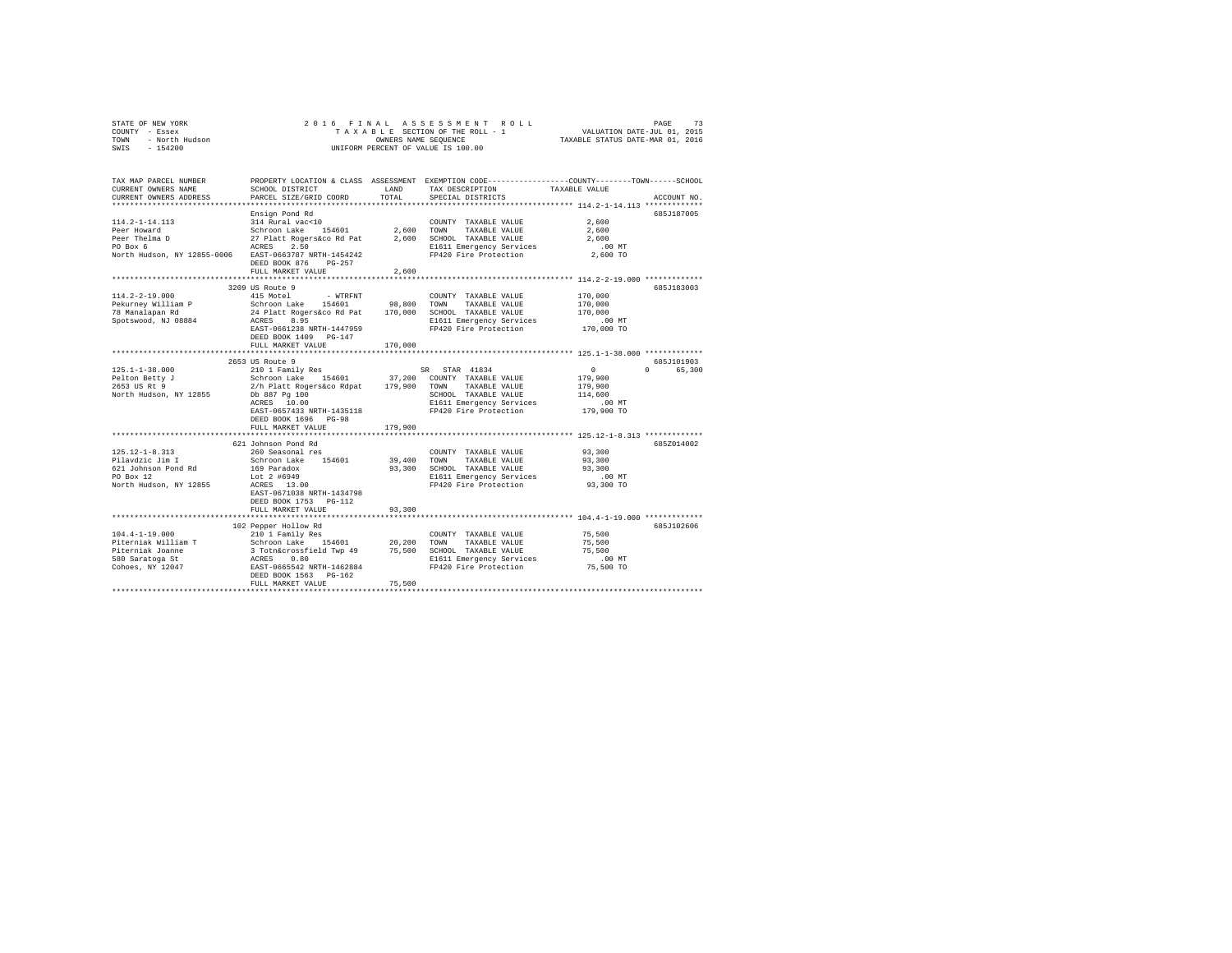| STATE OF NEW YORK      |  | 2016 FINAL ASSESSMENT ROLL         |                                  | PAGE                        | 73 |
|------------------------|--|------------------------------------|----------------------------------|-----------------------------|----|
| COUNTY - Essex         |  | TAXABLE SECTION OF THE ROLL - 1    |                                  | VALUATION DATE-JUL 01, 2015 |    |
| TOWN<br>- North Hudson |  | OWNERS NAME SEOUENCE               | TAXABLE STATUS DATE-MAR 01, 2016 |                             |    |
| SWIS<br>$-154200$      |  | UNIFORM PERCENT OF VALUE IS 100.00 |                                  |                             |    |

| TAX MAP PARCEL NUMBER<br>CURRENT OWNERS NAME<br>CURRENT OWNERS ADDRESS             | SCHOOL DISTRICT<br>PARCEL SIZE/GRID COORD                                                                                                         | LAND<br>TOTAL | PROPERTY LOCATION & CLASS ASSESSMENT EXEMPTION CODE---------------COUNTY-------TOWN------SCHOOL<br>TAX DESCRIPTION<br>SPECIAL DISTRICTS | TAXABLE VALUE                 | ACCOUNT NO. |
|------------------------------------------------------------------------------------|---------------------------------------------------------------------------------------------------------------------------------------------------|---------------|-----------------------------------------------------------------------------------------------------------------------------------------|-------------------------------|-------------|
| ***************************                                                        |                                                                                                                                                   |               |                                                                                                                                         |                               |             |
| $114.2 - 1 - 14.113$<br>Peer Howard                                                | Ensign Pond Rd<br>314 Rural vac<10<br>Schroon Lake 154601                                                                                         | 2,600 TOWN    | COUNTY TAXABLE VALUE<br>TAXABLE VALUE                                                                                                   | 2,600<br>2,600                | 685J187005  |
| Peer Thelma D<br>PO Box 6<br>North Hudson, NY 12855-0006 EAST-0663787 NRTH-1454242 | 27 Platt<br>ACRES<br>27 Platt Rogers&co Rd Pat<br>2.50                                                                                            |               | 2,600 SCHOOL TAXABLE VALUE<br>E1611 Emergency Services<br>FP420 Fire Protection                                                         | 2,600<br>$.00$ MT<br>2,600 TO |             |
|                                                                                    | DEED BOOK 876 PG-257<br>FULL MARKET VALUE                                                                                                         | 2,600         |                                                                                                                                         |                               |             |
|                                                                                    |                                                                                                                                                   |               |                                                                                                                                         |                               |             |
|                                                                                    | 3209 US Route 9                                                                                                                                   |               |                                                                                                                                         |                               | 685J183003  |
| $114.2 - 2 - 19.000$                                                               | 415 Motel<br>- WTRFNT                                                                                                                             |               | COUNTY TAXABLE VALUE                                                                                                                    | 170,000                       |             |
| Pekurney William P                                                                 | Schroon Lake 154601 98,800<br>24 Platt Rogers&co Rd Pat 170,000                                                                                   | 98,800        | TOWN<br>TAXABLE VALUE                                                                                                                   | 170,000                       |             |
| 78 Manalapan Rd                                                                    |                                                                                                                                                   |               | SCHOOL TAXABLE VALUE                                                                                                                    | 170,000                       |             |
| Spotswood, NJ 08884                                                                | ACRES<br>8.95                                                                                                                                     |               | E1611 Emergency Services                                                                                                                | $.00$ MT                      |             |
|                                                                                    | EAST-0661238 NRTH-1447959<br>DEED BOOK 1409 PG-147<br>FULL MARKET VALUE                                                                           | 170,000       | FP420 Fire Protection                                                                                                                   | 170,000 TO                    |             |
|                                                                                    |                                                                                                                                                   |               |                                                                                                                                         |                               |             |
|                                                                                    | 2653 US Route 9                                                                                                                                   |               |                                                                                                                                         |                               | 685J101903  |
| $125.1 - 1 - 38.000$                                                               | 210 1 Family Res                                                                                                                                  |               | SR STAR 41834                                                                                                                           | $^{\circ}$                    | 0 65,300    |
| Pelton Betty J                                                                     | Schroon Lake 154601 37,200 COUNTY TAXABLE VALUE<br>2/h Platt Rogers&co Rdpat 179,900 TOWN TAXABLE VALUE                                           |               |                                                                                                                                         | 179,900                       |             |
| 2653 US Rt 9                                                                       |                                                                                                                                                   |               |                                                                                                                                         | 179,900                       |             |
| North Hudson, NY 12855                                                             | Db 887 Pg 100                                                                                                                                     |               | SCHOOL TAXABLE VALUE                                                                                                                    | 114,600                       |             |
|                                                                                    | ACRES 10.00                                                                                                                                       |               | E1611 Emergency Services                                                                                                                | $.00$ MT                      |             |
|                                                                                    | EAST-0657433 NRTH-1435118                                                                                                                         |               | FP420 Fire Protection                                                                                                                   | 179,900 TO                    |             |
|                                                                                    | DEED BOOK 1696 PG-98                                                                                                                              |               |                                                                                                                                         |                               |             |
|                                                                                    | FULL MARKET VALUE                                                                                                                                 | 179,900       |                                                                                                                                         |                               |             |
|                                                                                    | 621 Johnson Pond Rd                                                                                                                               |               |                                                                                                                                         |                               | 685Z014002  |
| $125.12 - 1 - 8.313$                                                               | 260 Seasonal res                                                                                                                                  |               | COUNTY TAXABLE VALUE                                                                                                                    | 93,300                        |             |
| Pilavdzic Jim I                                                                    | Schroon Lake 154601                                                                                                                               | 39,400        | TOWN<br>TAXABLE VALUE                                                                                                                   | 93,300                        |             |
| 621 Johnson Pond Rd                                                                | 169 Paradox                                                                                                                                       | 93,300        | SCHOOL TAXABLE VALUE                                                                                                                    | 93,300                        |             |
| PO Box 12                                                                          | Lot 2 #6949                                                                                                                                       |               | E1611 Emergency Services<br>FP420 Fire Protection                                                                                       | $.00$ MT                      |             |
| North Hudson, NY 12855                                                             | ACRES 13.00<br>EAST-0671038 NRTH-1434798<br>DEED BOOK 1753 PG-112                                                                                 |               |                                                                                                                                         | 93,300 TO                     |             |
|                                                                                    | FULL MARKET VALUE                                                                                                                                 | 93,300        |                                                                                                                                         |                               |             |
|                                                                                    |                                                                                                                                                   |               |                                                                                                                                         |                               |             |
|                                                                                    | 102 Pepper Hollow Rd                                                                                                                              |               |                                                                                                                                         |                               | 6857102606  |
| $104.4 - 1 - 19.000$                                                               | 210 1 Family Res                                                                                                                                  |               | COUNTY TAXABLE VALUE                                                                                                                    | 75,500                        |             |
| Piterniak William T                                                                | 210 1 Family Res<br>2010 1 Family Res<br>Schroon Lake B54601 20,200<br>3 Tothácrossfield Twp 49 75,500<br>ACRES 0.60<br>RAST-0665542 RKTH-1462884 |               | TOWN<br>TAXABLE VALUE                                                                                                                   | 75,500                        |             |
| Piterniak Joanne                                                                   |                                                                                                                                                   |               | SCHOOL TAXABLE VALUE                                                                                                                    | 75,500                        |             |
| 580 Saratoga St                                                                    |                                                                                                                                                   |               | E1611 Emergency Services                                                                                                                | $.00$ MT                      |             |
| Cohoes, NY 12047                                                                   | DEED BOOK 1563 PG-162                                                                                                                             |               | FP420 Fire Protection                                                                                                                   | 75,500 TO                     |             |
|                                                                                    | FULL MARKET VALUE                                                                                                                                 | 75,500        |                                                                                                                                         |                               |             |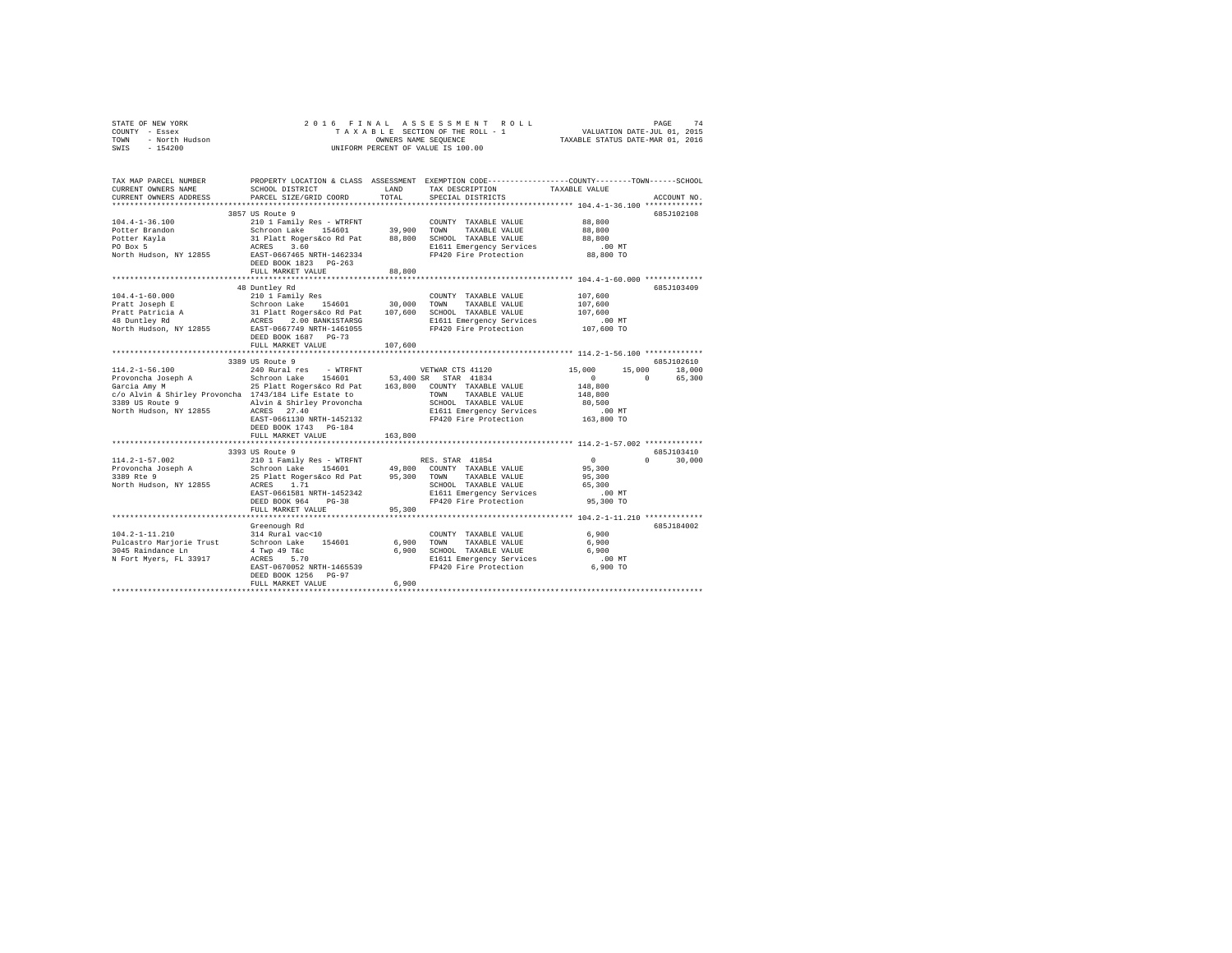| COUNTY - Essex<br>TOWN<br>- North Hudson<br>SWIS<br>$-154200$                                                                                                                                          | UNIFORM PERCENT OF VALUE IS 100.00                                                                                                                                                                                         |               |                                                                                                                                         |                                                                                          |                                       |
|--------------------------------------------------------------------------------------------------------------------------------------------------------------------------------------------------------|----------------------------------------------------------------------------------------------------------------------------------------------------------------------------------------------------------------------------|---------------|-----------------------------------------------------------------------------------------------------------------------------------------|------------------------------------------------------------------------------------------|---------------------------------------|
| TAX MAP PARCEL NUMBER<br>CURRENT OWNERS NAME<br>CURRENT OWNERS ADDRESS                                                                                                                                 | SCHOOL DISTRICT<br>PARCEL SIZE/GRID COORD                                                                                                                                                                                  | LAND<br>TOTAL | PROPERTY LOCATION & CLASS ASSESSMENT EXEMPTION CODE---------------COUNTY-------TOWN------SCHOOL<br>TAX DESCRIPTION<br>SPECIAL DISTRICTS | TAXABLE VALUE<br>************************** 104.4-1-36.100 *************                 | ACCOUNT NO.                           |
|                                                                                                                                                                                                        | 3857 US Route 9                                                                                                                                                                                                            |               |                                                                                                                                         |                                                                                          | 685J102108                            |
| $104.4 - 1 - 36.100$<br>Potter Brandon<br>Potter Kayla<br>PO Box 5<br>North Hudson, NY 12855                                                                                                           | 210 1 Family Res - WTRFNT<br>Schroon Lake 154601 39,900<br>31 Platt Rogers&co Rd Pat 88,800 SCHOOL TAXABLE VALUE<br>ACRES 3.60 CRESS<br>EAST-0667465 NRTH-1462334                                                          |               | COUNTY TAXABLE VALUE<br>TOWN<br>TAXABLE VALUE<br>E1611 Emergency Services<br>FP420 Fire Protection 88,800 TO                            | 88,800<br>88,800<br>88,800<br>$.00$ MT                                                   |                                       |
|                                                                                                                                                                                                        | DEED BOOK 1823 PG-263                                                                                                                                                                                                      |               |                                                                                                                                         |                                                                                          |                                       |
|                                                                                                                                                                                                        | FULL MARKET VALUE                                                                                                                                                                                                          | 88,800        |                                                                                                                                         |                                                                                          |                                       |
| $104.4 - 1 - 60.000$<br>Pratt Joseph E<br>Pratt Patricia A<br>48 Duntley Rd                                                                                                                            | 48 Duntley Rd<br>210 1 Family Res<br>Schroon Lake 154601 30,000 TOWN TAXABLE VALUE<br>31 Platt Rogerskoo Rd Pat 107,600 SCHOOL TAXABLE VALUE<br>ACRES 2.00 BANK1STARSG BI611 Emergency Services                            |               | COUNTY TAXABLE VALUE<br>E1611 Emergency Services                                                                                        | 107,600<br>107,600<br>107,600<br>$.00$ MT                                                | 685J103409                            |
| North Hudson, NY 12855                                                                                                                                                                                 | EAST-0667749 NRTH-1461055<br>DEED BOOK 1687 PG-73<br>FULL MARKET VALUE                                                                                                                                                     | 107,600       | FP420 Fire Protection                                                                                                                   | 107,600 TO                                                                               |                                       |
|                                                                                                                                                                                                        |                                                                                                                                                                                                                            |               |                                                                                                                                         |                                                                                          |                                       |
| $114.2 - 1 - 56.100$<br>Provoncha Joseph A<br>Garcia Amy M<br>c/o Alvin & Shirley Provoncha 1743/184 Life Estate to<br>3389 US Route 9 Alvin & Shirley Provoncha<br>North Hudson, NY 12855 ACRES 27.40 | 3389 US Route 9<br>240 Rural res - WTRFNT<br>Schroon Lake 154601 53,400 SR STAR 41834<br>25 Platt Rogers&co Rd Pat 163,800 COUNTY TAXABLE VALUE<br>EAST-0661130 NRTH-1452132                                               |               | VETWAR CTS 41120<br>TOWN TAXABLE VALUE<br>SCHOOL TAXABLE VALUE<br>E1611 Emergency Services<br>FP420 Fire Protection                     | 15,000<br>$\sim$ 0<br>$\sim$ 0<br>148,800<br>148,800<br>80,500<br>$.00$ MT<br>163,800 TO | 685J102610<br>15,000 18,000<br>65,300 |
|                                                                                                                                                                                                        | DEED BOOK 1743 PG-184                                                                                                                                                                                                      |               |                                                                                                                                         |                                                                                          |                                       |
|                                                                                                                                                                                                        | FULL MARKET VALUE<br>3393 US Route 9                                                                                                                                                                                       | 163,800       |                                                                                                                                         |                                                                                          | 685J103410                            |
| $114.2 - 1 - 57.002$<br>Provoncha Joseph A<br>3389 Rte 9<br>North Hudson, NY 12855                                                                                                                     | 210 1 Family Res - WTRFNT<br>Schroon Lake 154601 49,800 COUNTY TAXABLE VALUE<br>25 Platt Rogers&co Rd Pat 95,300 TOWN TAXABLE VALUE<br>ACRES 1.71<br>EAST-0661581 NRTH-1452342<br>DEED BOOK 964 PG-38<br>FULL MARKET VALUE | 95,300        | RES. STAR 41854<br>SCHOOL TAXABLE VALUE<br>E1611 Emergency Services<br>FP420 Fire Protection                                            | $\mathbf{0}$<br>95,300<br>95,300<br>65,300<br>$.00$ MT<br>95,300 TO                      | $0 \t 30,000$                         |
|                                                                                                                                                                                                        |                                                                                                                                                                                                                            |               |                                                                                                                                         |                                                                                          |                                       |
| $104.2 - 1 - 11.210$<br>Pulcastro Marjorie Trust Schroon Lake 154601<br>3045 Raindance Ln<br>N Fort Myers, FL 33917                                                                                    | Greenough Rd<br>314 Rural vac<10<br>4 Twp 49 T&c<br>ACRES 5.70<br>EAST-0670052 NRTH-1465539<br>DEED BOOK 1256 PG-97<br>FULL MARKET VALUE                                                                                   | 6,900         | COUNTY TAXABLE VALUE<br>6,900 TOWN<br>TAXABLE VALUE<br>6,900 SCHOOL TAXABLE VALUE<br>E1611 Emergency Services<br>FP420 Fire Protection  | 6,900<br>6,900<br>6,900<br>$.00$ MT<br>6,900 TO                                          | 685J184002                            |

STATE OF NEW YORK 2016 FINAL ASSESSMENT ROLL PAGE 74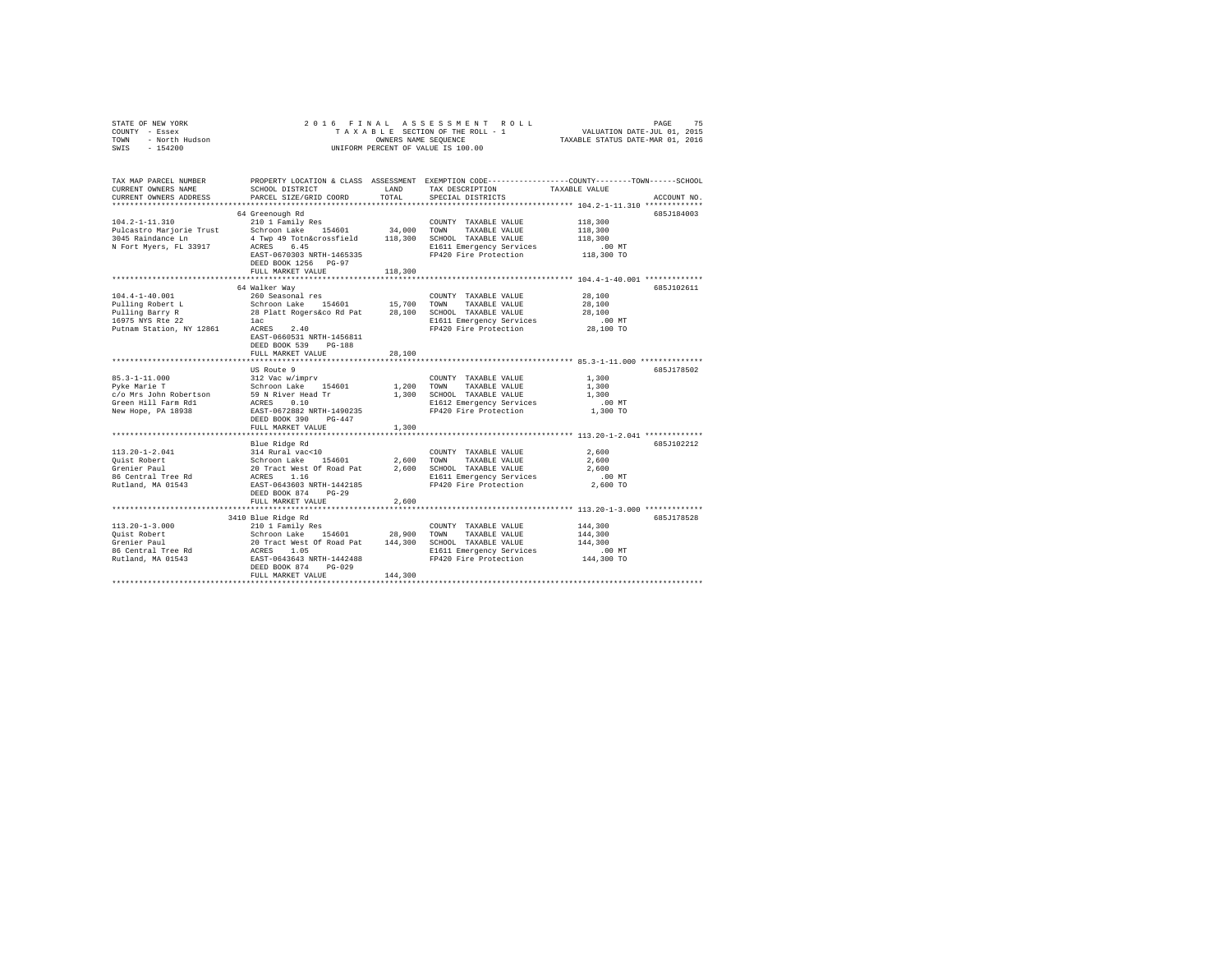| STATE OF NEW YORK<br>COUNTY - Essex<br>- North Hudson<br>TOWN<br>SWIS<br>$-154200$ | ASSESSMENT ROLL<br>75<br>2016 FINAL<br>PAGE<br>TAXABLE SECTION OF THE ROLL - 1<br>VALUATION DATE-JUL 01, 2015<br>TAXABLE STATUS DATE-MAR 01, 2016<br>OWNERS NAME SEQUENCE<br>UNIFORM PERCENT OF VALUE IS 100.00 |                |                                       |                                                                                                                 |  |
|------------------------------------------------------------------------------------|-----------------------------------------------------------------------------------------------------------------------------------------------------------------------------------------------------------------|----------------|---------------------------------------|-----------------------------------------------------------------------------------------------------------------|--|
|                                                                                    |                                                                                                                                                                                                                 |                |                                       |                                                                                                                 |  |
| TAX MAP PARCEL NUMBER<br>CURRENT OWNERS NAME                                       | SCHOOL DISTRICT                                                                                                                                                                                                 | LAND           | TAX DESCRIPTION                       | PROPERTY LOCATION & CLASS ASSESSMENT EXEMPTION CODE---------------COUNTY-------TOWN-----SCHOOL<br>TAXABLE VALUE |  |
| CURRENT OWNERS ADDRESS                                                             | PARCEL SIZE/GRID COORD                                                                                                                                                                                          | TOTAL          | SPECIAL DISTRICTS                     | ACCOUNT NO.                                                                                                     |  |
|                                                                                    |                                                                                                                                                                                                                 |                |                                       |                                                                                                                 |  |
|                                                                                    | 64 Greenough Rd                                                                                                                                                                                                 |                |                                       | 685J184003                                                                                                      |  |
| $104.2 - 1 - 11.310$                                                               | 210 1 Family Res                                                                                                                                                                                                |                | COUNTY TAXABLE VALUE                  | 118,300                                                                                                         |  |
| Pulcastro Marjorie Trust                                                           | Schroon Lake 154601                                                                                                                                                                                             | 34,000         | TOWN<br>TAXABLE VALUE                 | 118,300                                                                                                         |  |
| 3045 Raindance Ln                                                                  | 4 Twp 49 Totn&crossfield 118,300                                                                                                                                                                                |                | SCHOOL TAXABLE VALUE                  | 118,300                                                                                                         |  |
| N Fort Myers, FL 33917                                                             | ACRES 6.45                                                                                                                                                                                                      |                | E1611 Emergency Services              | .00MT                                                                                                           |  |
|                                                                                    | EAST-0670303 NRTH-1465335                                                                                                                                                                                       |                | FP420 Fire Protection                 | 118,300 TO                                                                                                      |  |
|                                                                                    | DEED BOOK 1256 PG-97                                                                                                                                                                                            |                |                                       |                                                                                                                 |  |
|                                                                                    | FULL MARKET VALUE<br>************************                                                                                                                                                                   | 118,300        |                                       |                                                                                                                 |  |
|                                                                                    | 64 Walker Way                                                                                                                                                                                                   |                |                                       | 685J102611                                                                                                      |  |
| $104.4 - 1 - 40.001$                                                               | 260 Seasonal res                                                                                                                                                                                                |                | COUNTY TAXABLE VALUE                  | 28,100                                                                                                          |  |
| Pulling Robert L                                                                   | Schroon Lake 154601                                                                                                                                                                                             | 15,700         | TOWN<br>TAXABLE VALUE                 | 28,100                                                                                                          |  |
| Pulling Barry R                                                                    | 28 Platt Rogers&co Rd Pat                                                                                                                                                                                       | 28,100         | SCHOOL TAXABLE VALUE                  | 28,100                                                                                                          |  |
| 16975 NYS Rte 22                                                                   | lac                                                                                                                                                                                                             |                | E1611 Emergency Services              | $.00$ MT                                                                                                        |  |
| Putnam Station, NY 12861                                                           | ACRES<br>2.40                                                                                                                                                                                                   |                | FP420 Fire Protection                 | 28,100 TO                                                                                                       |  |
|                                                                                    | EAST-0660531 NRTH-1456811                                                                                                                                                                                       |                |                                       |                                                                                                                 |  |
|                                                                                    | DEED BOOK 539 PG-188                                                                                                                                                                                            |                |                                       |                                                                                                                 |  |
|                                                                                    | FULL MARKET VALUE                                                                                                                                                                                               | 28,100         |                                       |                                                                                                                 |  |
|                                                                                    |                                                                                                                                                                                                                 |                |                                       |                                                                                                                 |  |
|                                                                                    | US Route 9                                                                                                                                                                                                      |                |                                       | 685J178502                                                                                                      |  |
| $85.3 - 1 - 11.000$                                                                | 312 Vac w/imprv                                                                                                                                                                                                 |                | COUNTY TAXABLE VALUE<br>TAXABLE VALUE | 1,300<br>1,300                                                                                                  |  |
| Pyke Marie T<br>c/o Mrs John Robertson                                             | Schroon Lake 154601<br>59 N River Head Tr                                                                                                                                                                       | 1,200<br>1,300 | TOWN<br>SCHOOL TAXABLE VALUE          | 1,300                                                                                                           |  |
| Green Hill Farm Rd1                                                                | ACRES 0.10                                                                                                                                                                                                      |                | E1612 Emergency Services              | $.00$ MT                                                                                                        |  |
| New Hope, PA 18938                                                                 | EAST-0672882 NRTH-1490235                                                                                                                                                                                       |                | FP420 Fire Protection                 | 1,300 TO                                                                                                        |  |
|                                                                                    | DEED BOOK 390<br>$PG-447$                                                                                                                                                                                       |                |                                       |                                                                                                                 |  |
|                                                                                    | FULL MARKET VALUE                                                                                                                                                                                               | 1,300          |                                       |                                                                                                                 |  |
|                                                                                    |                                                                                                                                                                                                                 |                |                                       |                                                                                                                 |  |
|                                                                                    | Blue Ridge Rd                                                                                                                                                                                                   |                |                                       | 685J102212                                                                                                      |  |
| $113.20 - 1 - 2.041$                                                               | 314 Rural vac<10                                                                                                                                                                                                |                | COUNTY TAXABLE VALUE                  | 2,600                                                                                                           |  |
| Quist Robert                                                                       | Sit Rufai vactio<br>Schroon Lake 154601<br>20 Tract West Of Road Pat                                                                                                                                            | 2,600          | TOWN<br>TAXABLE VALUE                 | 2,600                                                                                                           |  |
| Grenier Paul                                                                       |                                                                                                                                                                                                                 | 2,600          | SCHOOL TAXABLE VALUE                  | 2,600                                                                                                           |  |
| 86 Central Tree Rd                                                                 | ACRES 1.16                                                                                                                                                                                                      |                | E1611 Emergency Services              | .00 MT                                                                                                          |  |
| Rutland, MA 01543                                                                  | EAST-0643603 NRTH-1442185<br>$PG-29$                                                                                                                                                                            |                | FP420 Fire Protection                 | 2,600 TO                                                                                                        |  |
|                                                                                    | DEED BOOK 874<br>FULL MARKET VALUE                                                                                                                                                                              | 2,600          |                                       |                                                                                                                 |  |
|                                                                                    |                                                                                                                                                                                                                 |                |                                       |                                                                                                                 |  |
|                                                                                    | 3410 Blue Ridge Rd                                                                                                                                                                                              |                |                                       | 685J178528                                                                                                      |  |
| $113.20 - 1 - 3.000$                                                               | 210 1 Family Res                                                                                                                                                                                                |                | COUNTY TAXABLE VALUE                  | 144,300                                                                                                         |  |
| Quist Robert                                                                       | Schroon Lake 154601 28,900                                                                                                                                                                                      |                | TOWN<br>TAXABLE VALUE                 | 144,300                                                                                                         |  |
| Grenier Paul                                                                       |                                                                                                                                                                                                                 |                | SCHOOL TAXABLE VALUE                  | 144,300                                                                                                         |  |
| 86 Central Tree Rd                                                                 |                                                                                                                                                                                                                 |                | E1611 Emergency Services              | $.00$ MT                                                                                                        |  |
| Rutland, MA 01543                                                                  | 20 Tract West Of Road Pat 144,300<br>ACRES 1.05<br>EAST-0643643 NRTH-1442488                                                                                                                                    |                | FP420 Fire Protection                 | 144,300 TO                                                                                                      |  |
|                                                                                    | DEED BOOK 874 PG-029                                                                                                                                                                                            |                |                                       |                                                                                                                 |  |
|                                                                                    | FULL MARKET VALUE                                                                                                                                                                                               | 144,300        |                                       |                                                                                                                 |  |
|                                                                                    |                                                                                                                                                                                                                 |                |                                       |                                                                                                                 |  |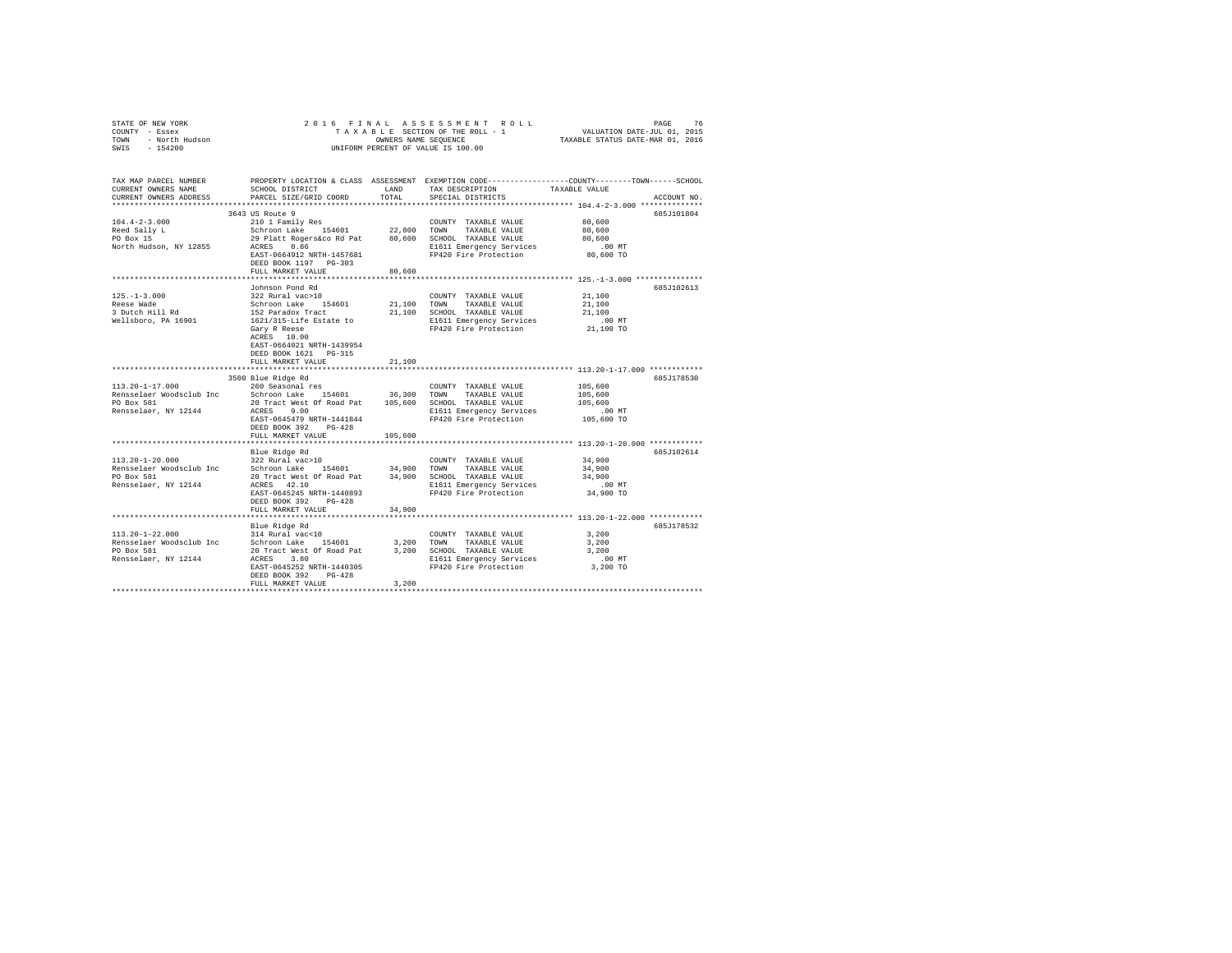| STATE OF NEW YORK      | 2016 FINAL ASSESSMENT ROLL         | 76<br>PAGE                       |
|------------------------|------------------------------------|----------------------------------|
| COUNTY - Essex         | TAXABLE SECTION OF THE ROLL - 1    | VALUATION DATE-JUL 01, 2015      |
| - North Hudson<br>TOWN | OWNERS NAME SEOUENCE               | TAXABLE STATUS DATE-MAR 01, 2016 |
| $-154200$<br>SWIS      | UNIFORM PERCENT OF VALUE IS 100.00 |                                  |
|                        |                                    |                                  |

| TAX MAP PARCEL NUMBER<br>CURRENT OWNERS NAME                                            | SCHOOL DISTRICT                                                                                                                                                                       | LAND                  | TAX DESCRIPTION                                                                                                                    | PROPERTY LOCATION & CLASS ASSESSMENT EXEMPTION CODE---------------COUNTY-------TOWN------SCHOOL<br>TAXABLE VALUE |
|-----------------------------------------------------------------------------------------|---------------------------------------------------------------------------------------------------------------------------------------------------------------------------------------|-----------------------|------------------------------------------------------------------------------------------------------------------------------------|------------------------------------------------------------------------------------------------------------------|
| CURRENT OWNERS ADDRESS<br>************************                                      | PARCEL SIZE/GRID COORD                                                                                                                                                                | TOTAL                 | SPECIAL DISTRICTS                                                                                                                  | ACCOUNT NO.                                                                                                      |
|                                                                                         | 3643 US Route 9                                                                                                                                                                       |                       |                                                                                                                                    | 685J101804                                                                                                       |
| $104.4 - 2 - 3.000$<br>Reed Sally L<br>PO Box 15                                        | 210 1 Family Res<br>Schroon Lake 154601<br>29 Platt Rogers&co Rd Pat 80,600 SCHOOL TAXABLE VALUE                                                                                      |                       | COUNTY TAXABLE VALUE<br>22,800 TOWN TAXABLE VALUE                                                                                  | 80,600<br>80,600<br>80,600                                                                                       |
| North Hudson, NY 12855                                                                  | ACRES 0.86<br>EAST-0664912 NRTH-1457681<br>DEED BOOK 1197 PG-303<br>FULL MARKET VALUE                                                                                                 | 80,600                | E1611 Emergency Services<br>FP420 Fire Protection                                                                                  | $.00$ MT<br>80,600 TO                                                                                            |
|                                                                                         |                                                                                                                                                                                       |                       |                                                                                                                                    |                                                                                                                  |
| $125. - 1 - 3.000$<br>Reese Wade<br>3 Dutch Hill Rd                                     | Johnson Pond Rd<br>322 Rural vac>10<br>Schroon Lake 154601<br>152 Paradox Tract                                                                                                       | 21,100 TOWN<br>21,100 | COUNTY TAXABLE VALUE<br>TAXABLE VALUE<br>SCHOOL TAXABLE VALUE                                                                      | 685J102613<br>21,100<br>21,100<br>21,100                                                                         |
| Wellsboro, PA 16901                                                                     | 1621/315-Life Estate to<br>Gary R Reese<br>ACRES 10.00<br>EAST-0664021 NRTH-1439954<br>DEED BOOK 1621 PG-315                                                                          |                       | E1611 Emergency Services<br>FP420 Fire Protection                                                                                  | $.00$ MT<br>21,100 TO                                                                                            |
|                                                                                         | FULL MARKET VALUE                                                                                                                                                                     | 21,100                |                                                                                                                                    |                                                                                                                  |
|                                                                                         | **************************<br>3500 Blue Ridge Rd                                                                                                                                      | ********************  |                                                                                                                                    | ******************** 113.20-1-17.000 ************<br>685J178530                                                  |
| $113.20 - 1 - 17.000$<br>Rensselaer Woodsclub Inc<br>PO Box 581<br>Rensselaer, NY 12144 | 260 Seasonal res<br>Schroon Lake 154601<br>20 Tract West Of Road Pat<br>ACRES 9.00<br>EAST-0645479 NRTH-1441844<br>DEED BOOK 392<br>$PG-428$                                          | 36,300                | COUNTY TAXABLE VALUE<br>TOWN<br>TAXABLE VALUE<br>105,600 SCHOOL TAXABLE VALUE<br>E1611 Emergency Services<br>FP420 Fire Protection | 105,600<br>105,600<br>105,600<br>$.00$ MT<br>105,600 TO                                                          |
|                                                                                         | FULL MARKET VALUE                                                                                                                                                                     | 105,600               |                                                                                                                                    |                                                                                                                  |
|                                                                                         | Blue Ridge Rd                                                                                                                                                                         |                       |                                                                                                                                    | 685J102614                                                                                                       |
| $113.20 - 1 - 20.000$<br>Rensselaer Woodsclub Inc<br>PO Box 581<br>Rensselaer, NY 12144 | 322 Rural vac>10<br>Schroon Lake 154601 34,900 TOWN<br>20 Tract West Of Road Pat<br>ACRES 42.10<br>EAST-0645245 NRTH-1440893<br>DEED BOOK 392<br>$PG-428$                             |                       | COUNTY TAXABLE VALUE<br>TAXABLE VALUE<br>34,900 SCHOOL TAXABLE VALUE<br>E1611 Emergency Services<br>FP420 Fire Protection          | 34,900<br>34,900<br>34,900<br>.00 MT<br>34,900 TO                                                                |
|                                                                                         | FULL MARKET VALUE                                                                                                                                                                     | 34,900                |                                                                                                                                    |                                                                                                                  |
|                                                                                         |                                                                                                                                                                                       |                       |                                                                                                                                    |                                                                                                                  |
| 113.20-1-22.000<br>Rensselaer Woodsclub Inc<br>PO Box 581<br>Rensselaer, NY 12144       | Blue Ridge Rd<br>314 Rural vac<10<br>Schroon Lake 154601<br>20 Tract West Of Road Pat<br>ACRES<br>3.80<br>EAST-0645252 NRTH-1440305<br>DEED BOOK 392<br>$PG-428$<br>FULL MARKET VALUE | 3.200 TOWN<br>3,200   | COUNTY TAXABLE VALUE<br>TAXABLE VALUE<br>3,200 SCHOOL TAXABLE VALUE<br>E1611 Emergency Services<br>FP420 Fire Protection           | 685J178532<br>3,200<br>3.200<br>3,200<br>$.00$ MT<br>3,200 TO                                                    |
|                                                                                         |                                                                                                                                                                                       |                       |                                                                                                                                    |                                                                                                                  |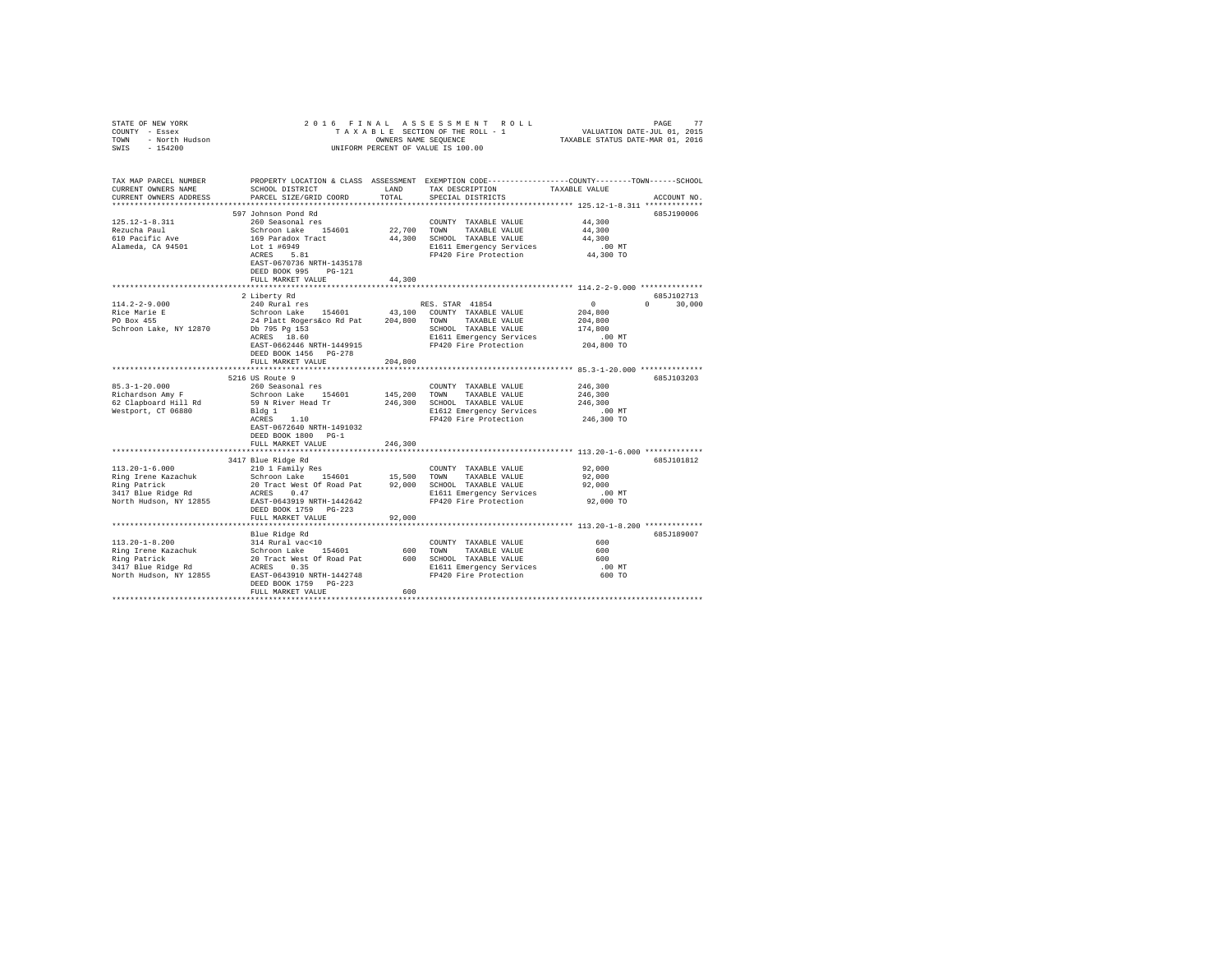| STATE OF NEW YORK<br>COUNTY - Essex<br>TOWN - North Hudson<br>SWIS - 154200  |                                                                                                                                               |               | 2016 FINAL ASSESSMENT ROLL<br>FINAL ASSESSMENT ROLL<br>TAXABLE SECTION OF THE ROLL - 1 VALUATION DATE-JUL 01, 2015<br>TAXABLE STATUS DATE-MAR 01, 2016<br>UNIFORM PERCENT OF VALUE IS 100.00 |                                                     | PAGE<br>77    |
|------------------------------------------------------------------------------|-----------------------------------------------------------------------------------------------------------------------------------------------|---------------|----------------------------------------------------------------------------------------------------------------------------------------------------------------------------------------------|-----------------------------------------------------|---------------|
| TAX MAP PARCEL NUMBER<br>CURRENT OWNERS NAME<br>CURRENT OWNERS ADDRESS       | PROPERTY LOCATION & CLASS ASSESSMENT EXEMPTION CODE----------------COUNTY-------TOWN------SCHOOL<br>SCHOOL DISTRICT<br>PARCEL SIZE/GRID COORD | LAND<br>TOTAL | TAX DESCRIPTION TAXABLE VALUE<br>SPECIAL DISTRICTS                                                                                                                                           |                                                     | ACCOUNT NO.   |
|                                                                              | 597 Johnson Pond Rd                                                                                                                           |               |                                                                                                                                                                                              |                                                     | 685J190006    |
| $125.12 - 1 - 8.311$<br>Rezucha Paul<br>610 Pacific Ave<br>Alameda, CA 94501 | 260 Seasonal res<br>Schroon Lake 154601<br>169 Paradox Tract<br>Lot 1 #6949<br>ACRES 5.81<br>EAST-0670736 NRTH-1435178                        | 22,700 TOWN   | COUNTY TAXABLE VALUE<br>TAXABLE VALUE<br>44,300 SCHOOL TAXABLE VALUE<br>E1611 Emergency Services<br>FP420 Fire Protection                                                                    | 44,300<br>44,300<br>44,300<br>$.00$ MT<br>44,300 TO |               |
|                                                                              | DEED BOOK 995 PG-121                                                                                                                          |               |                                                                                                                                                                                              |                                                     |               |
|                                                                              | FULL MARKET VALUE                                                                                                                             | 44,300        |                                                                                                                                                                                              |                                                     |               |
|                                                                              | 2 Liberty Rd                                                                                                                                  |               |                                                                                                                                                                                              |                                                     | 685J102713    |
| $114.2 - 2 - 9.000$                                                          | 240 Rural res                                                                                                                                 |               | RES. STAR 41854                                                                                                                                                                              | $\sim$ 0                                            | $0 \t 30,000$ |
|                                                                              |                                                                                                                                               |               |                                                                                                                                                                                              | 204,800                                             |               |
| Rice Marie E<br>PO Box 455                                                   |                                                                                                                                               |               |                                                                                                                                                                                              | 204,800                                             |               |
| Schroon Lake, NY 12870                                                       |                                                                                                                                               |               | SCHOOL TAXABLE VALUE                                                                                                                                                                         | 174,800                                             |               |
|                                                                              |                                                                                                                                               |               | E1611 Emergency Services<br>E1611 Emergency Services<br>FP420 Fire Protection 204,800 TO                                                                                                     |                                                     |               |
|                                                                              | EAST-0662446 NRTH-1449915<br>DEED BOOK 1456 PG-278                                                                                            |               |                                                                                                                                                                                              |                                                     |               |
|                                                                              | FULL MARKET VALUE                                                                                                                             | 204,800       |                                                                                                                                                                                              |                                                     |               |
|                                                                              | 5216 US Route 9                                                                                                                               |               |                                                                                                                                                                                              |                                                     | 685J103203    |
| $85.3 - 1 - 20.000$                                                          | 260 Seasonal res<br>Schroon Lake 154601                                                                                                       |               | COUNTY TAXABLE VALUE                                                                                                                                                                         | 246,300                                             |               |
| Richardson Amy F                                                             |                                                                                                                                               | 145,200 TOWN  | TAXABLE VALUE                                                                                                                                                                                | 246,300                                             |               |
| 62 Clapboard Hill Rd<br>Westport, CT 06880                                   | 59 N River Head Tr<br>Bldg 1<br>ACRES 1.10                                                                                                    |               | 246,300 SCHOOL TAXABLE VALUE                                                                                                                                                                 | 246,300                                             |               |
|                                                                              | Bldg 1                                                                                                                                        |               | E1612 Emergency Services                                                                                                                                                                     | 00 MT.<br>246,300 TO                                |               |
|                                                                              | EAST-0672640 NRTH-1491032<br>DEED BOOK 1800 PG-1<br>FULL MARKET VALUE                                                                         | 246,300       | FP420 Fire Protection                                                                                                                                                                        |                                                     |               |
|                                                                              |                                                                                                                                               |               |                                                                                                                                                                                              |                                                     |               |
|                                                                              | 3417 Blue Ridge Rd                                                                                                                            |               |                                                                                                                                                                                              |                                                     | 685J101812    |
|                                                                              |                                                                                                                                               |               |                                                                                                                                                                                              | 92,000                                              |               |
|                                                                              |                                                                                                                                               |               |                                                                                                                                                                                              | 92,000                                              |               |
|                                                                              |                                                                                                                                               |               |                                                                                                                                                                                              | 92,000                                              |               |
| North Hudson, NY 12855 EAST-0643919 NRTH-1442642                             |                                                                                                                                               |               | 22,000 MT<br>FP420 Fire Protection 92,000 TO<br>92,000 TO                                                                                                                                    |                                                     |               |
|                                                                              | DEED BOOK 1759 PG-223                                                                                                                         |               |                                                                                                                                                                                              |                                                     |               |
|                                                                              | FULL MARKET VALUE                                                                                                                             | 92,000        |                                                                                                                                                                                              |                                                     |               |
|                                                                              |                                                                                                                                               |               |                                                                                                                                                                                              |                                                     |               |
|                                                                              | Blue Ridge Rd                                                                                                                                 |               |                                                                                                                                                                                              |                                                     | 685J189007    |
|                                                                              |                                                                                                                                               |               |                                                                                                                                                                                              | 600                                                 |               |
|                                                                              |                                                                                                                                               |               |                                                                                                                                                                                              | 600<br>600                                          |               |
|                                                                              |                                                                                                                                               |               |                                                                                                                                                                                              |                                                     |               |
|                                                                              |                                                                                                                                               |               | E1611 Emergency Services<br>FP420 Fire Protection                                                                                                                                            | .00 MT<br>600 TO                                    |               |
|                                                                              | DEED BOOK 1759 PG-223                                                                                                                         |               |                                                                                                                                                                                              |                                                     |               |
|                                                                              | FULL MARKET VALUE                                                                                                                             | 600           |                                                                                                                                                                                              |                                                     |               |
|                                                                              |                                                                                                                                               |               |                                                                                                                                                                                              |                                                     |               |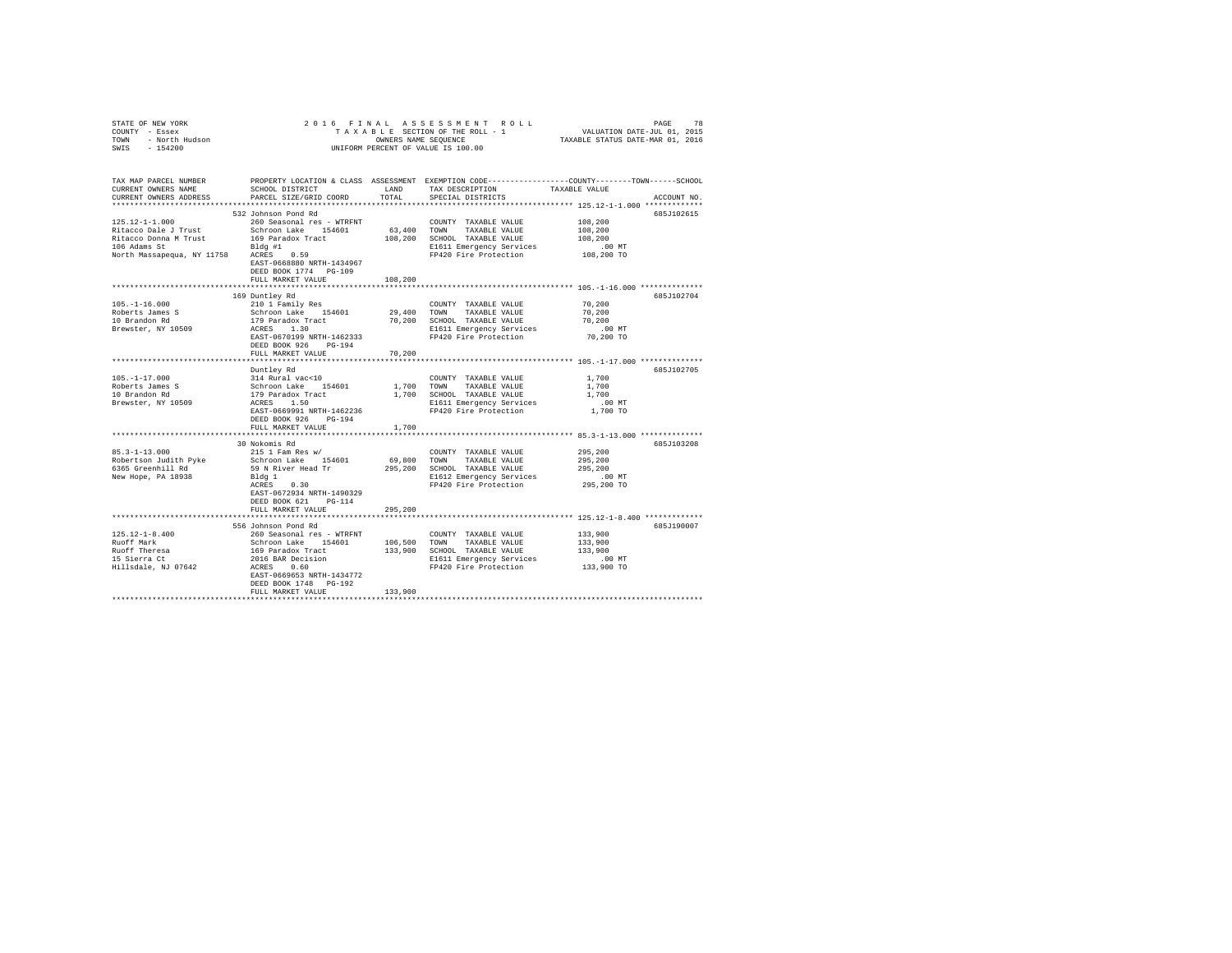| STATE OF NEW YORK<br>COUNTY - Essex<br>TOWN - North Hudson<br>SWIS - 154200                |                                                                                                                                                                                                                                                                                  |         | 2016 FINAL ASSESSMENT ROLL<br>UNIFORM PERCENT OF VALUE IS 100.00 | PAGE<br>78<br>16 FINAL ASSESSMENT ROLL (16 PAGE 78 PAGE 78 PAGE 79 PAGE 78 PAGE 78 PAGE 78 PAGE 78 PAGE 78 PAGE 78<br>TAXABLE SECTION OF THE ROLL - 1 VALUATION DATE-JUL 01, 2015 |
|--------------------------------------------------------------------------------------------|----------------------------------------------------------------------------------------------------------------------------------------------------------------------------------------------------------------------------------------------------------------------------------|---------|------------------------------------------------------------------|-----------------------------------------------------------------------------------------------------------------------------------------------------------------------------------|
| TAX MAP PARCEL NUMBER<br>CURRENT OWNERS NAME<br>CURRENT OWNERS ADDRESS                     | SCHOOL DISTRICT LAND<br>PARCEL SIZE/GRID COORD TOTAL                                                                                                                                                                                                                             |         | TAX DESCRIPTION TAXABLE VALUE<br>SPECIAL DISTRICTS               | PROPERTY LOCATION & CLASS ASSESSMENT EXEMPTION CODE---------------COUNTY-------TOWN------SCHOOL<br>ACCOUNT NO.                                                                    |
|                                                                                            | 532 Johnson Pond Rd<br>EAST-0668880 NRTH-1434967<br>DEED BOOK 1774 PG-109<br>FULL MARKET VALUE 108,200                                                                                                                                                                           |         |                                                                  | 685J102615                                                                                                                                                                        |
|                                                                                            |                                                                                                                                                                                                                                                                                  |         |                                                                  |                                                                                                                                                                                   |
| $105. - 1 - 16.000$                                                                        | 169 Duntley Rd<br>210 1 Family Res<br>DEED BOOK 926 PG-194                                                                                                                                                                                                                       |         | COUNTY TAXABLE VALUE                                             | 685J102704<br>70,200<br>70,200<br>70,200<br>$.00$ MT<br>70,200 TO                                                                                                                 |
|                                                                                            | FULL MARKET VALUE                                                                                                                                                                                                                                                                | 70,200  |                                                                  |                                                                                                                                                                                   |
| 105.-1-17.000<br>Roberts James S<br>10 Brandon Rd<br>Brewster, NY 10509                    | Duntley Rd<br>911 Nuriey May 1948<br>2011 Nuries (2018)<br>214 Rural vac<10 154601 1,700 TOWN TAXABLE VALUE 1,700<br>2019 Paradox Track Track 1,700 School TAXABLE VALUE 1,700<br>2019 Nuries (2018)<br>2019 Nuries (2018)<br>2019 2019 2019 2019 2019 2<br>DEED BOOK 926 PG-194 |         |                                                                  | 685J102705                                                                                                                                                                        |
|                                                                                            | FULL MARKET VALUE                                                                                                                                                                                                                                                                | 1,700   |                                                                  |                                                                                                                                                                                   |
|                                                                                            | 30 Nokomis Rd<br>EAST-0672934 NRTH-1490329<br>DEED BOOK 621 PG-114<br>FULL MARKET VALUE                                                                                                                                                                                          | 295,200 |                                                                  | 685J103208<br>295,200<br>295,200<br>295,200<br>00 MT.<br>295,200 TO                                                                                                               |
|                                                                                            |                                                                                                                                                                                                                                                                                  |         |                                                                  |                                                                                                                                                                                   |
| $125.12 - 1 - 8.400$<br>Ruoff Mark<br>Ruoff Theresa<br>15 Sierra Ct<br>Hillsdale, NJ 07642 | 556 Johnson Pond Rd<br>EAST-0669653 NRTH-1434772<br>DEED BOOK 1748 PG-192<br>FULL MARKET VALUE                                                                                                                                                                                   | 133,900 |                                                                  | ****************************** 125.12-1-8.400 *************<br>685J190007                                                                                                         |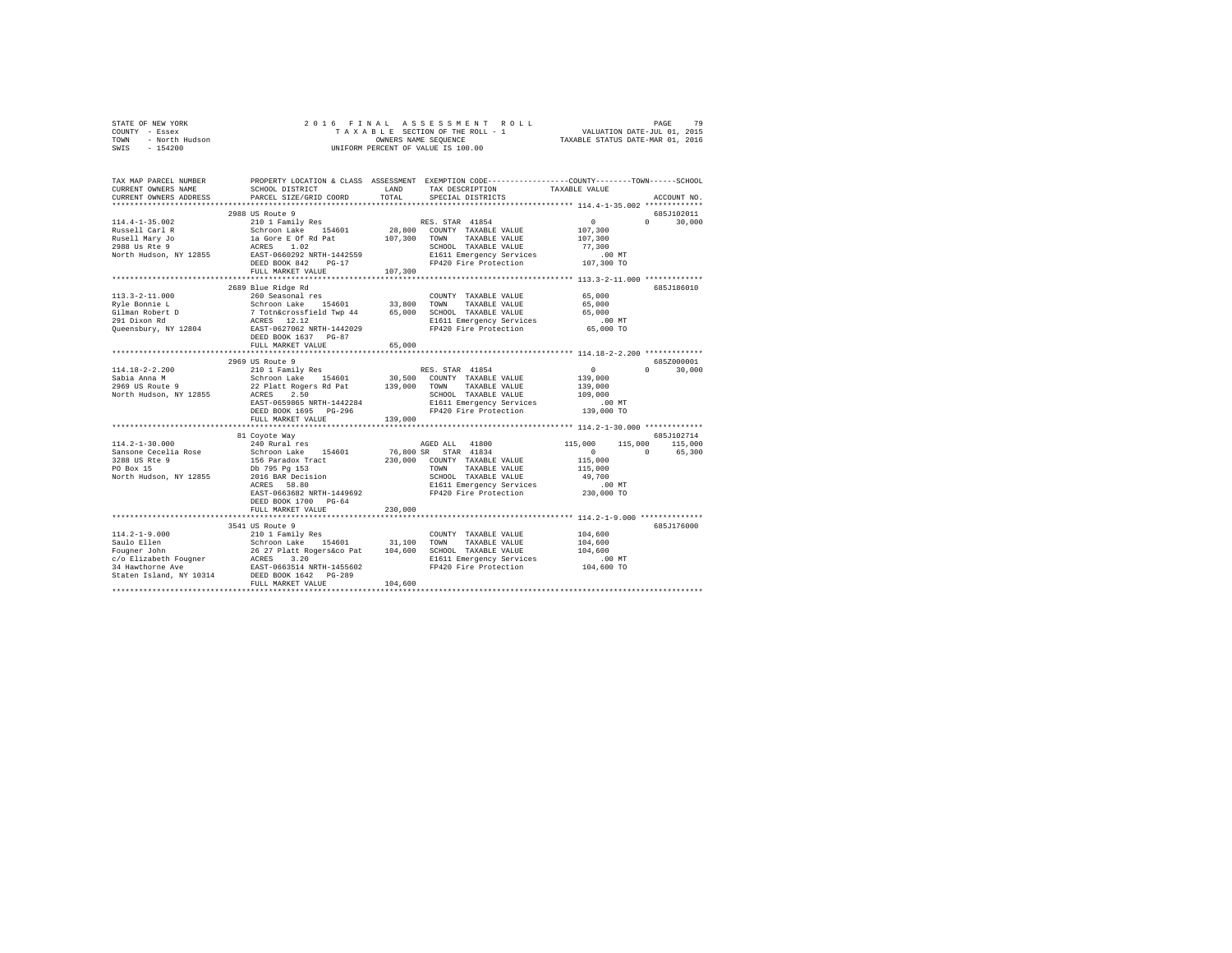| STATE OF NEW YORK      | 2016 FINAL ASSESSMENT ROLL         | 79<br>PAGE                       |
|------------------------|------------------------------------|----------------------------------|
| COUNTY - Essex         | TAXABLE SECTION OF THE ROLL - 1    | VALUATION DATE-JUL 01, 2015      |
| TOWN<br>- North Hudson | OWNERS NAME SEOUENCE               | TAXABLE STATUS DATE-MAR 01, 2016 |
| $-154200$<br>SWIS      | UNIFORM PERCENT OF VALUE IS 100.00 |                                  |

| TAX MAP PARCEL NUMBER<br>CURRENT OWNERS NAME<br>CURRENT OWNERS ADDRESS                                                                                                                         | SCHOOL DISTRICT<br>PARCEL SIZE/GRID COORD                                                                                                                     | LAND<br>TOTAL    | TAX DESCRIPTION<br>SPECIAL DISTRICTS                                                                                                                                         | PROPERTY LOCATION & CLASS ASSESSMENT EXEMPTION CODE----------------COUNTY-------TOWN-----SCHOOL<br>TAXABLE VALUE<br>ACCOUNT NO. |        |
|------------------------------------------------------------------------------------------------------------------------------------------------------------------------------------------------|---------------------------------------------------------------------------------------------------------------------------------------------------------------|------------------|------------------------------------------------------------------------------------------------------------------------------------------------------------------------------|---------------------------------------------------------------------------------------------------------------------------------|--------|
|                                                                                                                                                                                                |                                                                                                                                                               |                  |                                                                                                                                                                              |                                                                                                                                 |        |
| $114.4 - 1 - 35.002$<br>Russell Carl R<br>Rusell Mary Jo<br>2988 Us Rte 9<br>North Hudson, NY 12855 EAST-0660292 NRTH-1442559                                                                  | 2988 US Route 9<br>210 1 Family Res<br>Schroon Lake 154601<br>1a Gore E Of Rd Pat<br>ACRES 1.02                                                               |                  | RES. STAR 41854<br>28,800 COUNTY TAXABLE VALUE<br>107,300 TOWN TAXABLE VALUE<br>SCHOOL TAXABLE VALUE<br>E1611 Emergency Services                                             | 685J102011<br>$\sim$ 0<br>$0 \t 30,000$<br>107,300<br>107,300<br>77,300<br>$.00$ MT                                             |        |
|                                                                                                                                                                                                | DEED BOOK 842 PG-17                                                                                                                                           |                  | FP420 Fire Protection                                                                                                                                                        | 107,300 TO                                                                                                                      |        |
|                                                                                                                                                                                                | FULL MARKET VALUE                                                                                                                                             | 107,300          |                                                                                                                                                                              |                                                                                                                                 |        |
| $113.3 - 2 - 11.000$<br>Ryle Bonnie L<br>Gilman Robert D<br>291 Dixon Rd<br>Queensbury, NY 12804                                                                                               | 2689 Blue Ridge Rd<br>260 Seasonal res<br>Schroon Lake 154601<br>7 Totn&crossfield Twp 44<br>ACRES 12.12<br>EAST-0627062 NRTH-1442029<br>DEED BOOK 1637 PG-87 | 33,800<br>65,000 | COUNTY TAXABLE VALUE<br>TOWN<br>TAXABLE VALUE<br>SCHOOL TAXABLE VALUE<br>E1611 Emergency Services<br>FP420 Fire Protection                                                   | 685J186010<br>65,000<br>65,000<br>65,000<br>$.00$ MT<br>65,000 TO                                                               |        |
|                                                                                                                                                                                                | FULL MARKET VALUE                                                                                                                                             | 65,000           |                                                                                                                                                                              |                                                                                                                                 |        |
| $114.18 - 2 - 2.200$<br>Sabia Anna M<br>Schroon Lake 154601 30,500 COUNTY TAXABLE VALUE 2969 US Route 9 22 Platt Rogers Rd Pat 139,000 TOWN TAXABLE VALUE<br>North Hudson, NY 12855 ACRES 2.50 | 2969 US Route 9<br>210 1 Family Res<br>EAST-0659865 NRTH-1442284<br>DEED BOOK 1695 PG-296<br>FULL MARKET VALUE                                                | 139,000          | RES. STAR 41854<br>SCHOOL TAXABLE VALUE<br>E1611 Emergency Services<br>FP420 Fire Protection                                                                                 | 685Z000001<br>$\sim$ 0 $\sim$<br>$0 \t 30,000$<br>139,000<br>139,000<br>109,000<br>$.00$ MT<br>139,000 TO                       |        |
|                                                                                                                                                                                                | 81 Covote Way                                                                                                                                                 |                  |                                                                                                                                                                              | 685J102714                                                                                                                      |        |
| $114.2 - 1 - 30.000$<br>Sansone Cecelia Rose<br>3288 US Rte 9<br>PO Box 15<br>North Hudson, NY 12855                                                                                           | 240 Rural res<br>Schroon Lake 154601<br>156 Paradox Tract<br>Db 795 Pg 153<br>2016 BAR Decision<br>EAST-0663682 NRTH-1449692<br>DEED BOOK 1700 PG-64          |                  | AGED ALL 41800<br>76,800 SR STAR 41834<br>230,000 COUNTY TAXABLE VALUE<br>TOWN<br>TAXABLE VALUE<br>SCHOOL TAXABLE VALUE<br>E1611 Emergency Services<br>FP420 Fire Protection | 115,000<br>115,000<br>115,000<br>$\sim$ 0<br>$\Omega$<br>115,000<br>115,000<br>49,700<br>00 MT.<br>230,000 TO                   | 65,300 |
|                                                                                                                                                                                                | FULL MARKET VALUE                                                                                                                                             | 230,000          |                                                                                                                                                                              |                                                                                                                                 |        |
|                                                                                                                                                                                                |                                                                                                                                                               |                  |                                                                                                                                                                              |                                                                                                                                 |        |
| $114.2 - 1 - 9.000$<br>Staten Island, NY 10314                                                                                                                                                 | 3541 US Route 9<br>210 1 Family Res<br>DEED BOOK 1642 PG-289<br>FULL MARKET VALUE                                                                             | 104,600          | COUNTY TAXABLE VALUE<br>E1611 Emergency Services<br>FP420 Fire Protection                                                                                                    | 685J176000<br>104,600<br>104,600<br>104,600<br>$.00$ MT<br>104,600 TO                                                           |        |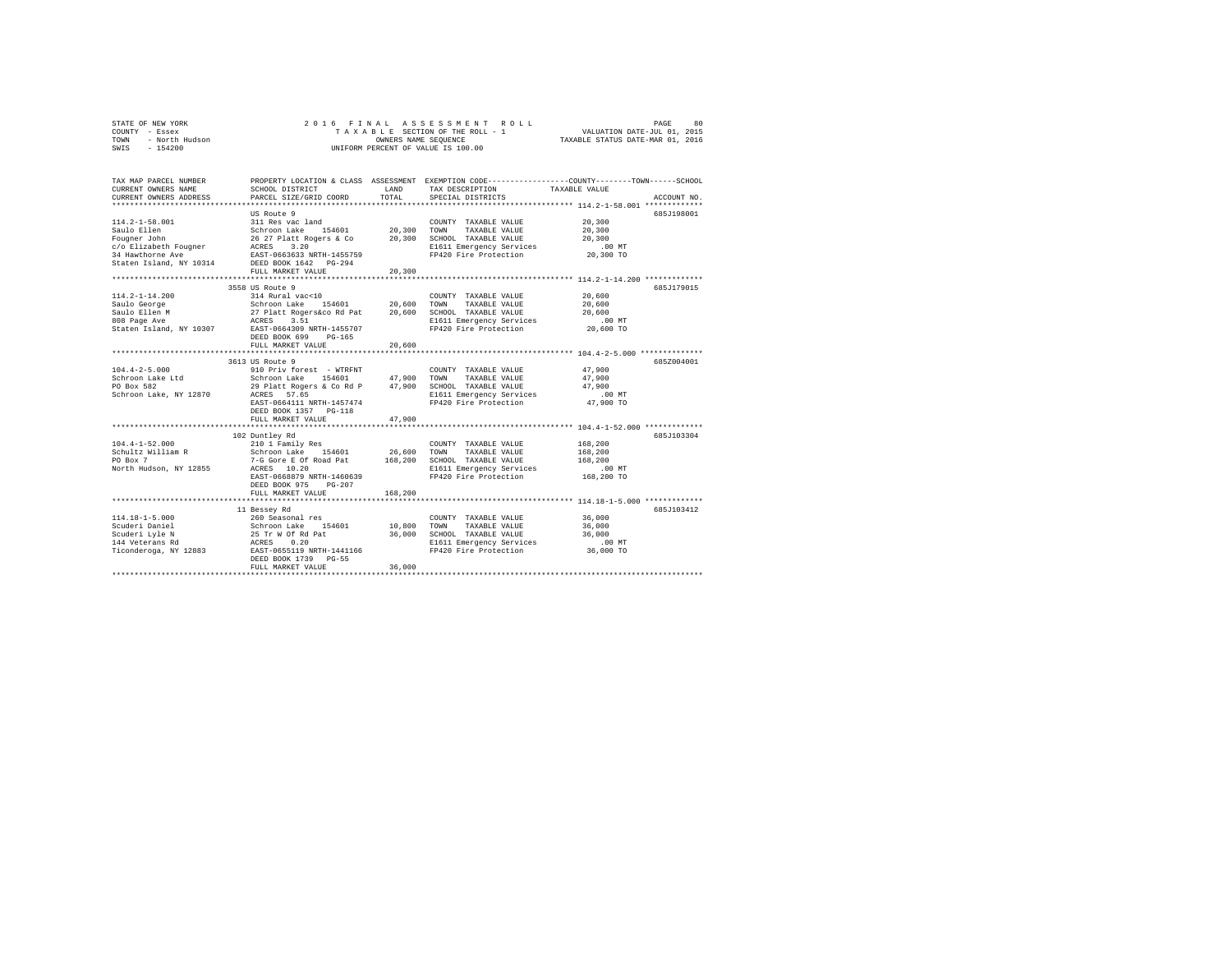|      | STATE OF NEW YORK | 2016 FINAL ASSESSMENT ROLL         | 80<br>PAGE                       |
|------|-------------------|------------------------------------|----------------------------------|
|      | COUNTY - Essex    | TAXABLE SECTION OF THE ROLL - 1    | VALUATION DATE-JUL 01, 2015      |
| TOWN | - North Hudson    | OWNERS NAME SEOUENCE               | TAXABLE STATUS DATE-MAR 01, 2016 |
| SWIS | $-154200$         | UNIFORM PERCENT OF VALUE IS 100.00 |                                  |

| TAX MAP PARCEL NUMBER<br>CURRENT OWNERS NAME<br>CURRENT OWNERS ADDRESS                               | SCHOOL DISTRICT<br>PARCEL SIZE/GRID COORD                                                                                                                                                                                                                                  | LAND<br>TOTAL                   | TAX DESCRIPTION<br>SPECIAL DISTRICTS                                                                                       | PROPERTY LOCATION & CLASS ASSESSMENT EXEMPTION CODE----------------COUNTY-------TOWN------SCHOOL<br>TAXABLE VALUE<br>ACCOUNT NO. |
|------------------------------------------------------------------------------------------------------|----------------------------------------------------------------------------------------------------------------------------------------------------------------------------------------------------------------------------------------------------------------------------|---------------------------------|----------------------------------------------------------------------------------------------------------------------------|----------------------------------------------------------------------------------------------------------------------------------|
| $114.2 - 1 - 58.001$<br>Saulo Ellen<br>Fougner John<br>c/o Elizabeth Fougner<br>34 Hawthorne Ave     | US Route 9<br>311 Res vac land<br>154601 20,300 TOWN<br>Schroon Lake<br>26 27 Platt Rogers & Co<br>20 27 FIACC ROSELS & CO<br>ACRES 3.20<br>EAST-0663633 NRTH-1455759<br>Staten Island, NY 10314 DEED BOOK 1642 PG-294<br>FULL MARKET VALUE<br>*************************** | 20,300                          | COUNTY TAXABLE VALUE<br>TAXABLE VALUE<br>20,300 SCHOOL TAXABLE VALUE<br>E1611 Emergency Services<br>FP420 Fire Protection  | 685J198001<br>20,300<br>20,300<br>20,300<br>$.00$ MT<br>20,300 TO<br>********************* 114.2-1-14.200 ***********            |
| $114.2 - 1 - 14.200$<br>Saulo George<br>Saulo Ellen M<br>808 Page Ave<br>Staten Island, NY 10307     | 3558 US Route 9<br>314 Rural vac<10<br>Schroon Lake 154601<br>27 Platt Rogers&co Rd Pat<br>ACRES<br>3.51<br>EAST-0664309 NRTH-1455707<br>DEED BOOK 699<br>PG-165<br>FULL MARKET VALUE                                                                                      | 20,600<br>20,600<br>20,600<br>. | COUNTY TAXABLE VALUE<br>TOWN<br>TAXABLE VALUE<br>SCHOOL TAXABLE VALUE<br>E1611 Emergency Services<br>FP420 Fire Protection | 685J179015<br>20,600<br>20,600<br>20,600<br>.00 MT<br>20,600 TO<br>**************************** 104.4-2-5.000 ***************    |
| $104.4 - 2 - 5.000$<br>Schroon Lake Ltd<br>PO Box 582<br>Schroon Lake, NY 12870                      | 3613 US Route 9<br>29 Platt Rogers & Co Rd P 47,900 SCHOOL TAXABLE VALUE<br>ACRES 57.65<br>EAST-0664111 NRTH-1457474<br>DEED BOOK 1357 PG-118<br>FULL MARKET VALUE                                                                                                         | 47.900                          | COUNTY TAXABLE VALUE<br>TAXABLE VALUE<br>E1611 Emergency Services<br>FP420 Fire Protection                                 | 685Z004001<br>47,900<br>47,900<br>47,900<br>$.00$ MT<br>47,900 TO                                                                |
| $104.4 - 1 - 52.000$<br>Schultz William R<br>PO Box 7<br>North Hudson, NY 12855                      | 102 Duntley Rd<br>210 1 Family Res<br>Schroon Lake 154601<br>7-G Gore E Of Road Pat<br>ACRES 10.20<br>EAST-0668879 NRTH-1460639<br>DEED BOOK 975<br>$PG-207$<br>FULL MARKET VALUE                                                                                          | 26,600<br>168,200<br>168,200    | COUNTY TAXABLE VALUE<br>TOWN<br>TAXABLE VALUE<br>SCHOOL TAXABLE VALUE<br>E1611 Emergency Services<br>FP420 Fire Protection | 685J103304<br>168,200<br>168,200<br>168,200<br>$.00$ MT<br>168,200 TO                                                            |
| $114.18 - 1 - 5.000$<br>Scuderi Daniel<br>Scuderi Lyle N<br>144 Veterans Rd<br>Ticonderoga, NY 12883 | 11 Bessey Rd<br>260 Seasonal res<br>Schroon Lake 154601<br>25 Tr W Of Rd Pat<br>ACRES 0.20<br>EAST-0655119 NRTH-1441166<br>DEED BOOK 1739 PG-55<br>FULL MARKET VALUE                                                                                                       | 10,800<br>36,000<br>36,000      | COUNTY TAXABLE VALUE<br>TOWN<br>TAXABLE VALUE<br>SCHOOL TAXABLE VALUE<br>E1611 Emergency Services<br>FP420 Fire Protection | 685J103412<br>36,000<br>36,000<br>36,000<br>.00 MT<br>36,000 TO                                                                  |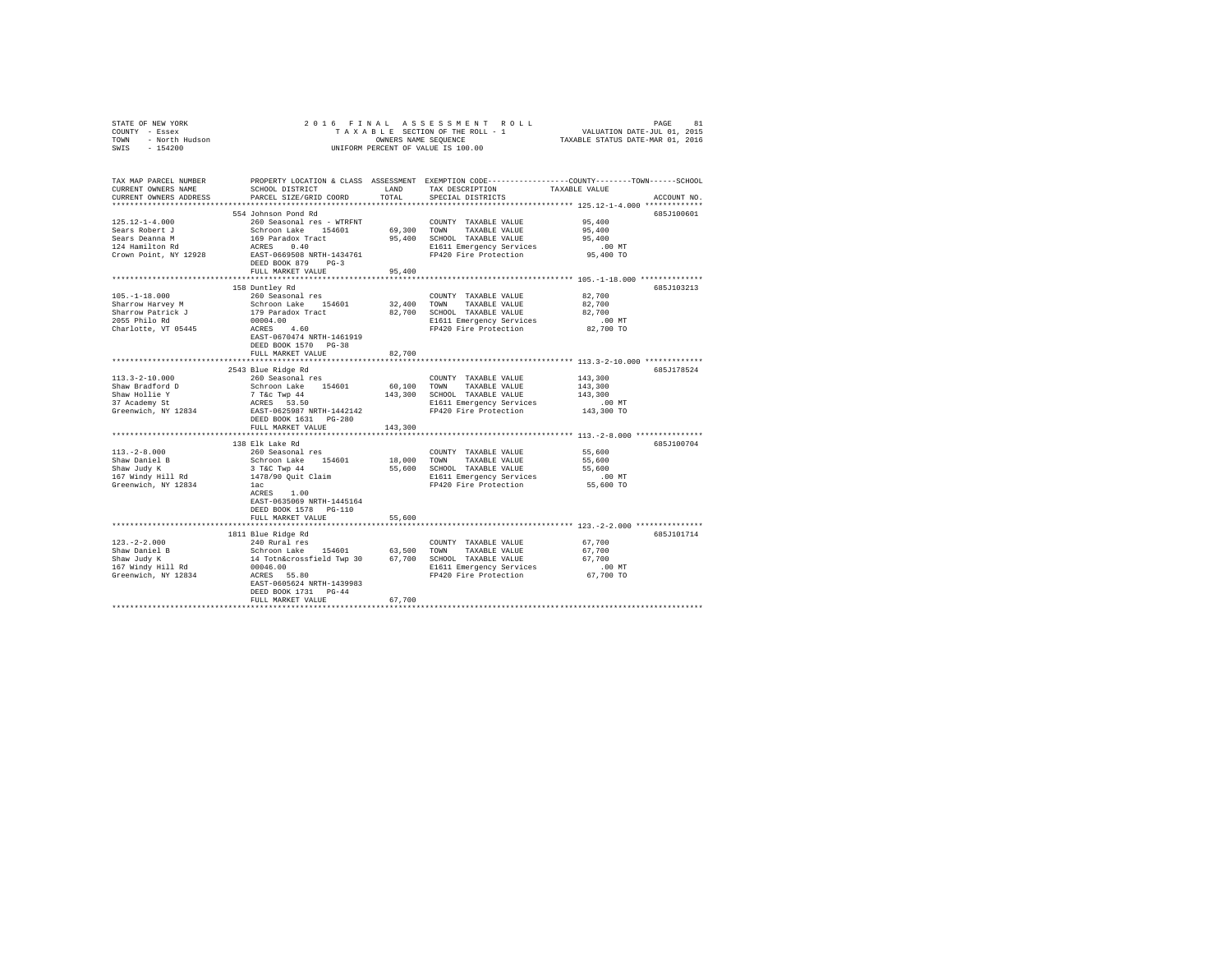| COUNTY - Essex<br>TOWN - North Hudson<br>SWIS<br>$-154200$                                                                                                                                                                                                                                                                                                                 | OWNERS NAME SEQUENCE                                                                                                                                                                                                       |               |                                                                      |                                                                                                                |
|----------------------------------------------------------------------------------------------------------------------------------------------------------------------------------------------------------------------------------------------------------------------------------------------------------------------------------------------------------------------------|----------------------------------------------------------------------------------------------------------------------------------------------------------------------------------------------------------------------------|---------------|----------------------------------------------------------------------|----------------------------------------------------------------------------------------------------------------|
|                                                                                                                                                                                                                                                                                                                                                                            |                                                                                                                                                                                                                            |               | UNIFORM PERCENT OF VALUE IS 100.00                                   |                                                                                                                |
| TAX MAP PARCEL NUMBER<br>CURRENT OWNERS NAME<br>CURRENT OWNERS ADDRESS                                                                                                                                                                                                                                                                                                     | SCHOOL DISTRICT<br>PARCEL SIZE/GRID COORD                                                                                                                                                                                  | LAND<br>TOTAL | TAX DESCRIPTION TAXABLE VALUE<br>SPECIAL DISTRICTS                   | PROPERTY LOCATION & CLASS ASSESSMENT EXEMPTION CODE---------------COUNTY-------TOWN------SCHOOL<br>ACCOUNT NO. |
|                                                                                                                                                                                                                                                                                                                                                                            |                                                                                                                                                                                                                            |               |                                                                      |                                                                                                                |
|                                                                                                                                                                                                                                                                                                                                                                            | 554 Johnson Pond Rd                                                                                                                                                                                                        |               |                                                                      | 685J100601                                                                                                     |
| $125.12 - 1 - 4.000$                                                                                                                                                                                                                                                                                                                                                       | 260 Seasonal res - WTRFNT                                                                                                                                                                                                  |               | COUNTY TAXABLE VALUE                                                 | 95,400                                                                                                         |
|                                                                                                                                                                                                                                                                                                                                                                            |                                                                                                                                                                                                                            |               | 69,300 TOWN TAXABLE VALUE<br>95,400 SCHOOL TAXABLE VALUE             | 95,400<br>95,400                                                                                               |
|                                                                                                                                                                                                                                                                                                                                                                            |                                                                                                                                                                                                                            |               | E1611 Emergency Services                                             | $.00$ MT                                                                                                       |
| $\begin{tabular}{lllllllllll} \texttt{1331} & \texttt{1432} & \texttt{1533} & \texttt{1533} & \texttt{1533} & \texttt{1533} & \texttt{1533} & \texttt{1533} & \texttt{1533} & \texttt{1533} & \texttt{1533} & \texttt{1533} & \texttt{1533} & \texttt{1533} & \texttt{1533} & \texttt{1533} & \texttt{1533} & \texttt{1533} & \texttt{1533} & \texttt{1533} & \texttt{153$ |                                                                                                                                                                                                                            |               | FP420 Fire Protection                                                | 95,400 TO                                                                                                      |
|                                                                                                                                                                                                                                                                                                                                                                            | FULL MARKET VALUE                                                                                                                                                                                                          | 95,400        |                                                                      |                                                                                                                |
|                                                                                                                                                                                                                                                                                                                                                                            |                                                                                                                                                                                                                            |               |                                                                      |                                                                                                                |
|                                                                                                                                                                                                                                                                                                                                                                            | 158 Duntley Rd                                                                                                                                                                                                             |               |                                                                      | 685J103213                                                                                                     |
| $105. - 1 - 18.000$<br>Sharrow Harvey M                                                                                                                                                                                                                                                                                                                                    | 260 Seasonal res                                                                                                                                                                                                           |               | COUNTY TAXABLE VALUE                                                 | 82,700<br>82,700                                                                                               |
| Sharrow Harvey M<br>Sharrow Patrick J                                                                                                                                                                                                                                                                                                                                      | Schroon Lake 154601<br>179 Paradox Tract<br>00004.00<br>ACRES ____ 4.60                                                                                                                                                    |               | 32,400 TOWN TAXABLE VALUE<br>82,700 SCHOOL TAXABLE VALUE             | 82,700                                                                                                         |
| 2055 Philo Rd                                                                                                                                                                                                                                                                                                                                                              |                                                                                                                                                                                                                            |               |                                                                      | $.00$ MT                                                                                                       |
| Charlotte, VT 05445                                                                                                                                                                                                                                                                                                                                                        |                                                                                                                                                                                                                            |               | E1611 Emergency Services<br>FP420 Fire Protection                    | 82,700 TO                                                                                                      |
|                                                                                                                                                                                                                                                                                                                                                                            | EAST-0670474 NRTH-1461919                                                                                                                                                                                                  |               |                                                                      |                                                                                                                |
|                                                                                                                                                                                                                                                                                                                                                                            | DEED BOOK 1570 PG-38                                                                                                                                                                                                       |               |                                                                      |                                                                                                                |
|                                                                                                                                                                                                                                                                                                                                                                            | FULL MARKET VALUE                                                                                                                                                                                                          | 82,700        |                                                                      |                                                                                                                |
|                                                                                                                                                                                                                                                                                                                                                                            |                                                                                                                                                                                                                            |               |                                                                      |                                                                                                                |
| $113.3 - 2 - 10.000$                                                                                                                                                                                                                                                                                                                                                       | 2543 Blue Ridge Rd<br>260 Seasonal res                                                                                                                                                                                     |               |                                                                      | 685J178524<br>143,300                                                                                          |
| Shaw Bradford D                                                                                                                                                                                                                                                                                                                                                            |                                                                                                                                                                                                                            |               |                                                                      | 143,300                                                                                                        |
|                                                                                                                                                                                                                                                                                                                                                                            |                                                                                                                                                                                                                            |               |                                                                      | 143,300                                                                                                        |
| Shaw Hollie Y<br>37 Academy St                                                                                                                                                                                                                                                                                                                                             |                                                                                                                                                                                                                            |               |                                                                      | .00 MT                                                                                                         |
| Greenwich, NY 12834                                                                                                                                                                                                                                                                                                                                                        | COUNTY TAXABLE VALUE<br>Schroon Lake 154601 60,100 TOWN TAXABLE VALUE<br>7 Tac Twp 44 13,300 SCHOOL TAXABLE VALUE<br>RCRES 53.50 EAST-0625989 NRTH-1442142 FP420 Fire Protection<br>PEP DOCESSER THE PRESS TREE PROTECTION |               |                                                                      | 143,300 TO                                                                                                     |
|                                                                                                                                                                                                                                                                                                                                                                            | DEED BOOK 1631   PG-280                                                                                                                                                                                                    |               |                                                                      |                                                                                                                |
|                                                                                                                                                                                                                                                                                                                                                                            | FULL MARKET VALUE                                                                                                                                                                                                          | 143,300       |                                                                      |                                                                                                                |
|                                                                                                                                                                                                                                                                                                                                                                            | 138 Elk Lake Rd                                                                                                                                                                                                            |               |                                                                      | 685J100704                                                                                                     |
| $113, -2 - 8,000$                                                                                                                                                                                                                                                                                                                                                          | 260 Seasonal res                                                                                                                                                                                                           |               | COUNTY TAXABLE VALUE                                                 | 55,600                                                                                                         |
|                                                                                                                                                                                                                                                                                                                                                                            |                                                                                                                                                                                                                            |               | TAXABLE VALUE                                                        | 55,600                                                                                                         |
| Shaw Daniel B<br>Shaw Judy K                                                                                                                                                                                                                                                                                                                                               |                                                                                                                                                                                                                            |               | 55,600 SCHOOL TAXABLE VALUE                                          | 55,600                                                                                                         |
| 167 Windy Hill Rd                                                                                                                                                                                                                                                                                                                                                          | Schroon Lake 154601 18,000 TOWN<br>3 T&C Twp 44 55,600 SCHOC<br>1478/90 Quit Claim 16,000 E1611<br>16,000 PON                                                                                                              |               | E1611 Emergency Services .00 MT<br>FP420 Fire Protection 55,600 TO   |                                                                                                                |
| Greenwich, NY 12834                                                                                                                                                                                                                                                                                                                                                        | lac                                                                                                                                                                                                                        |               |                                                                      |                                                                                                                |
|                                                                                                                                                                                                                                                                                                                                                                            | ACRES 1.00                                                                                                                                                                                                                 |               |                                                                      |                                                                                                                |
|                                                                                                                                                                                                                                                                                                                                                                            | EAST-0635069 NRTH-1445164<br>DEED BOOK 1578 PG-110                                                                                                                                                                         |               |                                                                      |                                                                                                                |
|                                                                                                                                                                                                                                                                                                                                                                            | FULL MARKET VALUE                                                                                                                                                                                                          | 55,600        |                                                                      |                                                                                                                |
|                                                                                                                                                                                                                                                                                                                                                                            |                                                                                                                                                                                                                            |               |                                                                      |                                                                                                                |
|                                                                                                                                                                                                                                                                                                                                                                            |                                                                                                                                                                                                                            |               |                                                                      | 685J101714                                                                                                     |
|                                                                                                                                                                                                                                                                                                                                                                            |                                                                                                                                                                                                                            |               |                                                                      | 67,700                                                                                                         |
|                                                                                                                                                                                                                                                                                                                                                                            |                                                                                                                                                                                                                            |               |                                                                      | 67,700                                                                                                         |
|                                                                                                                                                                                                                                                                                                                                                                            |                                                                                                                                                                                                                            |               |                                                                      | 67,700                                                                                                         |
|                                                                                                                                                                                                                                                                                                                                                                            |                                                                                                                                                                                                                            |               | E1611 Emergency Services 1611 - 162 CHA 20 Fire Protection 67,700 TO |                                                                                                                |
|                                                                                                                                                                                                                                                                                                                                                                            | EAST-0605624 NRTH-1439983                                                                                                                                                                                                  |               |                                                                      |                                                                                                                |
|                                                                                                                                                                                                                                                                                                                                                                            | DEED BOOK 1731 PG-44                                                                                                                                                                                                       |               |                                                                      |                                                                                                                |
|                                                                                                                                                                                                                                                                                                                                                                            | FULL MARKET VALUE                                                                                                                                                                                                          | 67,700        |                                                                      |                                                                                                                |
|                                                                                                                                                                                                                                                                                                                                                                            |                                                                                                                                                                                                                            |               |                                                                      |                                                                                                                |

STATE OF NEW YORK 2 0 1 6 F I N A L A S S E S S M E N T R O L L PAGE 81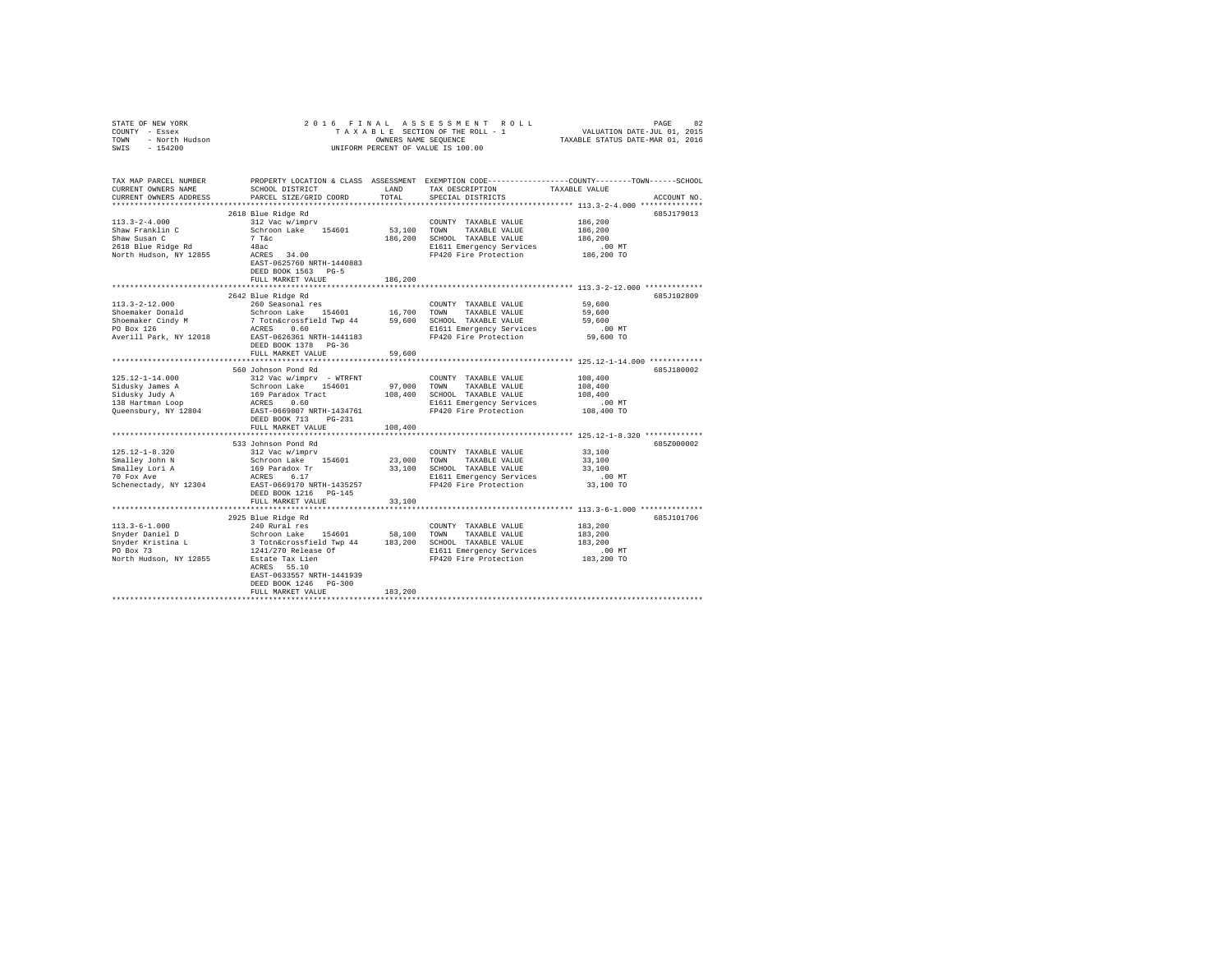| STATE OF NEW YORK<br>COUNTY - Essex<br>TOWN - North Hudson<br>SWIS - 154200 | 2016 FINAL ASSESSMENT ROLL<br>PAGE<br>82<br>VALUATION DATE-JUL 01, 2015<br>TAXABLE SECTION OF THE ROLL - 1<br>TAXABLE STATUS DATE-MAR 01, 2016<br>OWNERS NAME SEQUENCE<br>UNIFORM PERCENT OF VALUE IS 100.00 |               |                                                                                                                    |                                                                                                                                 |  |  |  |  |  |
|-----------------------------------------------------------------------------|--------------------------------------------------------------------------------------------------------------------------------------------------------------------------------------------------------------|---------------|--------------------------------------------------------------------------------------------------------------------|---------------------------------------------------------------------------------------------------------------------------------|--|--|--|--|--|
| TAX MAP PARCEL NUMBER<br>CURRENT OWNERS NAME<br>CURRENT OWNERS ADDRESS      | SCHOOL DISTRICT<br>PARCEL SIZE/GRID COORD                                                                                                                                                                    | LAND<br>TOTAL | TAX DESCRIPTION<br>SPECIAL DISTRICTS                                                                               | PROPERTY LOCATION & CLASS ASSESSMENT EXEMPTION CODE----------------COUNTY-------TOWN-----SCHOOL<br>TAXABLE VALUE<br>ACCOUNT NO. |  |  |  |  |  |
|                                                                             |                                                                                                                                                                                                              |               |                                                                                                                    | ******************************** 113.3-2-4.000 ***************                                                                  |  |  |  |  |  |
| $113.3 - 2 - 4.000$                                                         | 2618 Blue Ridge Rd<br>312 Vac w/imprv                                                                                                                                                                        |               | COUNTY TAXABLE VALUE                                                                                               | 685J179013<br>186,200                                                                                                           |  |  |  |  |  |
| Shaw Franklin C                                                             | Schroon Lake 154601                                                                                                                                                                                          | 53,100 TOWN   | TAXABLE VALUE                                                                                                      | 186,200                                                                                                                         |  |  |  |  |  |
| Shaw Susan C                                                                | $7 \text{ Tac}$                                                                                                                                                                                              |               | 186,200 SCHOOL TAXABLE VALUE                                                                                       | 186,200                                                                                                                         |  |  |  |  |  |
| 2618 Blue Ridge Rd                                                          | 48ac                                                                                                                                                                                                         |               | E1611 Emergency Services                                                                                           | $.00$ MT                                                                                                                        |  |  |  |  |  |
| North Hudson, NY 12855                                                      | ACRES 34.00                                                                                                                                                                                                  |               | FP420 Fire Protection                                                                                              | 186,200 TO                                                                                                                      |  |  |  |  |  |
|                                                                             | EAST-0625760 NRTH-1440883                                                                                                                                                                                    |               |                                                                                                                    |                                                                                                                                 |  |  |  |  |  |
|                                                                             | DEED BOOK 1563 PG-5                                                                                                                                                                                          |               |                                                                                                                    |                                                                                                                                 |  |  |  |  |  |
|                                                                             | FULL MARKET VALUE                                                                                                                                                                                            | 186,200       |                                                                                                                    |                                                                                                                                 |  |  |  |  |  |
|                                                                             | 2642 Blue Ridge Rd                                                                                                                                                                                           |               |                                                                                                                    | 685J102809                                                                                                                      |  |  |  |  |  |
| $113.3 - 2 - 12.000$                                                        | 260 Seasonal res                                                                                                                                                                                             |               | COUNTY TAXABLE VALUE                                                                                               | 59,600                                                                                                                          |  |  |  |  |  |
| Shoemaker Donald                                                            | Schroon Lake 154601 16,700 TOWN                                                                                                                                                                              |               | TAXABLE VALUE                                                                                                      | 59,600                                                                                                                          |  |  |  |  |  |
| Shoemaker Cindy M                                                           | 7 Totn&crossfield Twp 44 59,600 SCHOOL TAXABLE VALUE                                                                                                                                                         |               |                                                                                                                    | 59,600                                                                                                                          |  |  |  |  |  |
| PO Box 126                                                                  | ACRES 0.60                                                                                                                                                                                                   |               | E1611 Emergency Services                                                                                           | $.00$ MT                                                                                                                        |  |  |  |  |  |
| Averill Park, NY 12018                                                      | EAST-0626361 NRTH-1441183                                                                                                                                                                                    |               | FP420 Fire Protection                                                                                              | 59,600 TO                                                                                                                       |  |  |  |  |  |
|                                                                             | DEED BOOK 1378 PG-36                                                                                                                                                                                         |               |                                                                                                                    |                                                                                                                                 |  |  |  |  |  |
|                                                                             | FULL MARKET VALUE                                                                                                                                                                                            | 59,600        |                                                                                                                    |                                                                                                                                 |  |  |  |  |  |
|                                                                             |                                                                                                                                                                                                              |               |                                                                                                                    |                                                                                                                                 |  |  |  |  |  |
|                                                                             | 560 Johnson Pond Rd                                                                                                                                                                                          |               |                                                                                                                    | 685J180002                                                                                                                      |  |  |  |  |  |
| 125.12-1-14.000                                                             | 312 Vac w/imprv - WTRFNT                                                                                                                                                                                     |               | COUNTY TAXABLE VALUE                                                                                               | 108,400<br>108,400                                                                                                              |  |  |  |  |  |
| Sidusky James A<br>Sidusky Judy A                                           | Schroon Lake 154601<br>169 Paradox Tract                                                                                                                                                                     | 97,000 TOWN   | TAXABLE VALUE<br>108,400 SCHOOL TAXABLE VALUE                                                                      | 108,400                                                                                                                         |  |  |  |  |  |
| 138 Hartman Loop                                                            | ACRES 0.60                                                                                                                                                                                                   |               | E1611 Emergency Services                                                                                           | .00 MT                                                                                                                          |  |  |  |  |  |
| Queensbury, NY 12804                                                        | EAST-0669807 NRTH-1434761                                                                                                                                                                                    |               | FP420 Fire Protection                                                                                              | 108,400 TO                                                                                                                      |  |  |  |  |  |
|                                                                             | DEED BOOK 713 PG-231                                                                                                                                                                                         |               |                                                                                                                    |                                                                                                                                 |  |  |  |  |  |
|                                                                             | FULL MARKET VALUE                                                                                                                                                                                            | 108,400       |                                                                                                                    |                                                                                                                                 |  |  |  |  |  |
|                                                                             |                                                                                                                                                                                                              |               |                                                                                                                    |                                                                                                                                 |  |  |  |  |  |
|                                                                             | 533 Johnson Pond Rd                                                                                                                                                                                          |               |                                                                                                                    | 685Z000002                                                                                                                      |  |  |  |  |  |
| $125.12 - 1 - 8.320$                                                        | 312 Vac w/imprv                                                                                                                                                                                              |               | COUNTY TAXABLE VALUE                                                                                               | 33,100                                                                                                                          |  |  |  |  |  |
| Smalley John N                                                              | Schroon Lake 154601                                                                                                                                                                                          |               | $23,000 \qquad \text{TOWN} \qquad \text{TAXABLE VALUE} \\ 33,100 \qquad \text{SCHOOL} \qquad \text{TAXABLE VALUE}$ | 33,100                                                                                                                          |  |  |  |  |  |
| Smalley Lori A<br>70 Fox Ave                                                | 169 Paradox Tr<br>ACRES 6.17                                                                                                                                                                                 |               |                                                                                                                    | 33,100                                                                                                                          |  |  |  |  |  |
|                                                                             | ACRES 6.17                                                                                                                                                                                                   |               | E1611 Emergency Services                                                                                           | $.00$ MT                                                                                                                        |  |  |  |  |  |
| Schenectady, NY 12304                                                       | EAST-0669170 NRTH-1435257                                                                                                                                                                                    |               | FP420 Fire Protection                                                                                              | 33,100 TO                                                                                                                       |  |  |  |  |  |
|                                                                             | DEED BOOK 1216 PG-145<br>FULL MARKET VALUE                                                                                                                                                                   | 33,100        |                                                                                                                    |                                                                                                                                 |  |  |  |  |  |
|                                                                             |                                                                                                                                                                                                              |               |                                                                                                                    |                                                                                                                                 |  |  |  |  |  |
|                                                                             | 2925 Blue Ridge Rd                                                                                                                                                                                           |               |                                                                                                                    | 685J101706                                                                                                                      |  |  |  |  |  |
| $113.3 - 6 - 1.000$                                                         | 240 Rural res                                                                                                                                                                                                |               | COUNTY TAXABLE VALUE                                                                                               | 183,200                                                                                                                         |  |  |  |  |  |
| Snyder Daniel D                                                             | Schroon Lake 154601 58,100 TOWN                                                                                                                                                                              |               | TAXABLE VALUE                                                                                                      | 183,200                                                                                                                         |  |  |  |  |  |
| Snyder Kristina L                                                           | 3 Totn&crossfield Twp 44 183,200 SCHOOL TAXABLE VALUE                                                                                                                                                        |               |                                                                                                                    | 183,200                                                                                                                         |  |  |  |  |  |
| PO Box 73                                                                   | 1241/270 Release Of                                                                                                                                                                                          |               | E1611 Emergency Services                                                                                           | $.00$ MT                                                                                                                        |  |  |  |  |  |
| North Hudson, NY 12855                                                      | Estate Tax Lien                                                                                                                                                                                              |               | FP420 Fire Protection                                                                                              | 183,200 TO                                                                                                                      |  |  |  |  |  |
|                                                                             | ACRES 55.10                                                                                                                                                                                                  |               |                                                                                                                    |                                                                                                                                 |  |  |  |  |  |
|                                                                             | EAST-0633557 NRTH-1441939                                                                                                                                                                                    |               |                                                                                                                    |                                                                                                                                 |  |  |  |  |  |
|                                                                             | DEED BOOK 1246 PG-300                                                                                                                                                                                        |               |                                                                                                                    |                                                                                                                                 |  |  |  |  |  |
|                                                                             | FULL MARKET VALUE                                                                                                                                                                                            | 183,200       |                                                                                                                    |                                                                                                                                 |  |  |  |  |  |
|                                                                             |                                                                                                                                                                                                              |               |                                                                                                                    |                                                                                                                                 |  |  |  |  |  |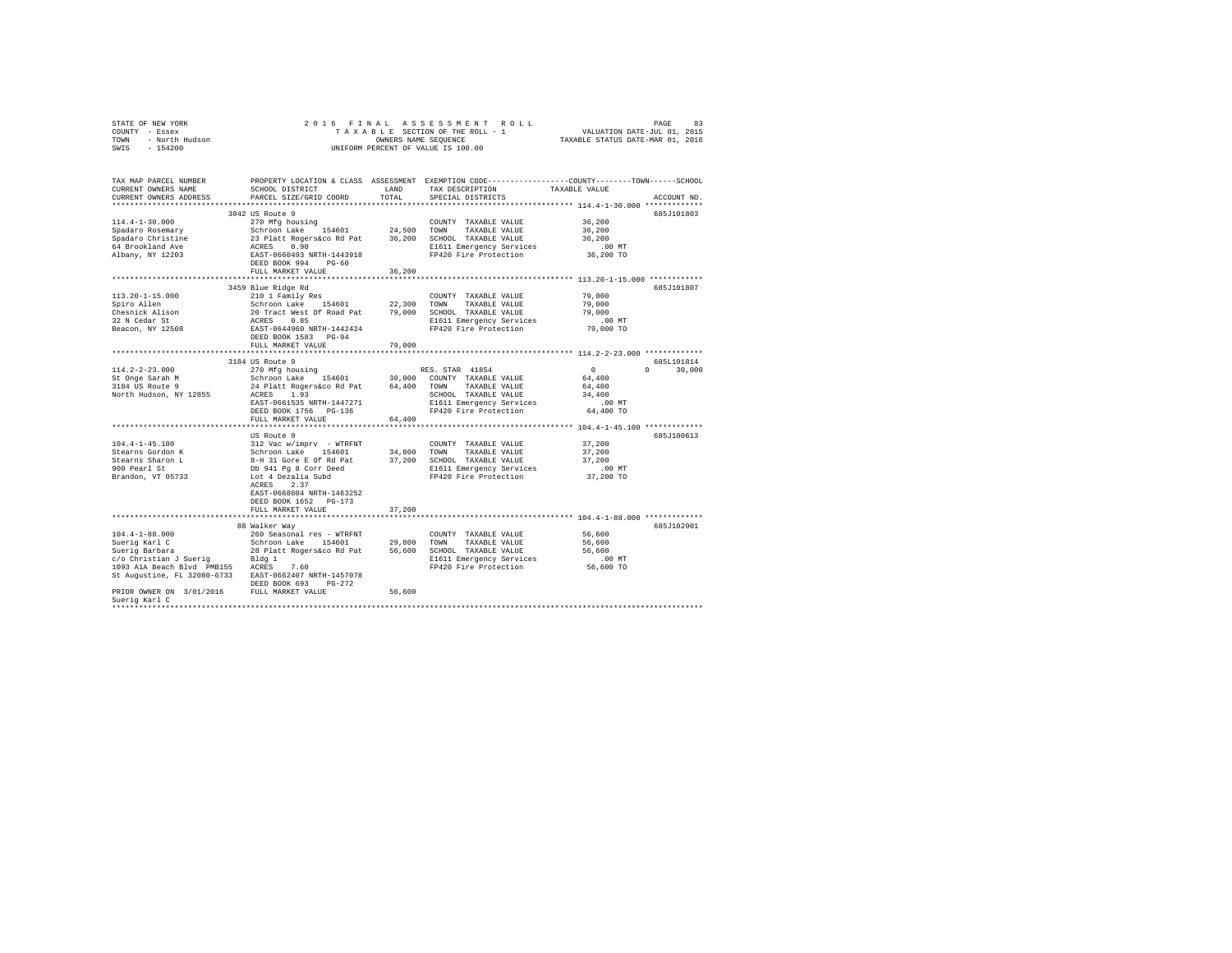| STATE OF NEW YORK<br>COUNTY - Essex<br>TOWN - North Hudson<br>SWIS - 154200 |                                                                                                                                                                                                                                         |        | 2016 FINAL ASSESSMENT ROLL<br>T A X A B L E SECTION OF THE ROLL - 1<br>OWNERS NAME SEQUENCE<br>UNIFORM PERCENT OF VALUE IS 100.00                                          | VALUATION DATE-JUL 01, 2015<br>TAXABLE STATUS DATE-MAR 01, 2016 | 83<br>PAGE    |
|-----------------------------------------------------------------------------|-----------------------------------------------------------------------------------------------------------------------------------------------------------------------------------------------------------------------------------------|--------|----------------------------------------------------------------------------------------------------------------------------------------------------------------------------|-----------------------------------------------------------------|---------------|
| TAX MAP PARCEL NUMBER<br>CURRENT OWNERS NAME<br>CURRENT OWNERS ADDRESS      | PARCEL SIZE/GRID COORD                                                                                                                                                                                                                  | TOTAL  | PROPERTY LOCATION & CLASS ASSESSMENT EXEMPTION CODE---------------COUNTY-------TOWN------SCHOOL<br>SCHOOL DISTRICT TAND TAX DESCRIPTION TAXABLE VALUE<br>SPECIAL DISTRICTS |                                                                 | ACCOUNT NO.   |
|                                                                             |                                                                                                                                                                                                                                         |        |                                                                                                                                                                            |                                                                 |               |
|                                                                             | 3042 US Route 9                                                                                                                                                                                                                         |        |                                                                                                                                                                            |                                                                 | 685J101803    |
| $114.4 - 1 - 30.000$                                                        | 270 Mfg housing                                                                                                                                                                                                                         |        | COUNTY TAXABLE VALUE                                                                                                                                                       | 36,200                                                          |               |
| Spadaro Rosemary                                                            | 200 min in the Schroom Lake 154601 24,500 TOWN TAXABLE VALUE<br>23 Platt Rogers&co Rd Pat 36,200 SCHOOL TAXABLE VALUE                                                                                                                   |        |                                                                                                                                                                            | 36,200                                                          |               |
| Spadaro Christine                                                           |                                                                                                                                                                                                                                         |        |                                                                                                                                                                            | 36,200                                                          |               |
| 64 Brookland Ave                                                            | ACRES 0.90                                                                                                                                                                                                                              |        | E1611 Emergency Services<br>FP420 Fire Protection                                                                                                                          | $.00$ MT                                                        |               |
| Albany, NY 12203                                                            | EAST-0660493 NRTH-1443918<br>DEED BOOK 994 PG-60                                                                                                                                                                                        |        |                                                                                                                                                                            | 36,200 TO                                                       |               |
|                                                                             | FULL MARKET VALUE                                                                                                                                                                                                                       | 36,200 |                                                                                                                                                                            |                                                                 |               |
|                                                                             |                                                                                                                                                                                                                                         |        |                                                                                                                                                                            |                                                                 |               |
|                                                                             | 3459 Blue Ridge Rd                                                                                                                                                                                                                      |        |                                                                                                                                                                            |                                                                 | 685J101807    |
| $113.20 - 1 - 15.000$                                                       | 210 1 Family Res                                                                                                                                                                                                                        |        | COUNTY TAXABLE VALUE                                                                                                                                                       | 79,000                                                          |               |
| Spiro Allen                                                                 |                                                                                                                                                                                                                                         |        |                                                                                                                                                                            | 79,000                                                          |               |
| Chesnick Alison                                                             | Schroon Lake 154601 22,300 TOWN TAXABLE VALUE<br>20 Tract West Of Road Pat 79,000 SCHOOL TAXABLE VALUE                                                                                                                                  |        |                                                                                                                                                                            | 79,000                                                          |               |
| 32 N Cedar St                                                               | ACRES 0.85                                                                                                                                                                                                                              |        |                                                                                                                                                                            |                                                                 |               |
| Beacon, NY 12508                                                            | EAST-0644960 NRTH-1442424<br>DEED BOOK 1583 PG-94                                                                                                                                                                                       |        | E1611 Emergency Services<br>FP420 Fire Protection                                                                                                                          | 00 MT.<br>79,000 TO                                             |               |
|                                                                             | FULL MARKET VALUE                                                                                                                                                                                                                       | 79,000 |                                                                                                                                                                            |                                                                 |               |
|                                                                             |                                                                                                                                                                                                                                         |        |                                                                                                                                                                            | *************************** 114.2-2-23.000 *************        |               |
|                                                                             | 3184 US Route 9                                                                                                                                                                                                                         |        |                                                                                                                                                                            |                                                                 | 6851101814    |
| $114.2 - 2 - 23.000$                                                        | 184 us koute > 9<br>270 Mfg housing > 88. STAR 41854<br>Schroon Lake 154601 30,000 COUNTY TAXABLE VALUE<br>24 Platt Rogerskoo Rd Pat + 64,400 TOWN TAXABLE VALUE                                                                        |        |                                                                                                                                                                            | $\sim$ 0                                                        | $0 \t 30.000$ |
| St Onge Sarah M                                                             |                                                                                                                                                                                                                                         |        |                                                                                                                                                                            | 64,400                                                          |               |
| 3184 US Route 9                                                             |                                                                                                                                                                                                                                         |        |                                                                                                                                                                            | 64,400                                                          |               |
| North Hudson, NY 12855                                                      | ACRES 1.93                                                                                                                                                                                                                              |        | SCHOOL TAXABLE VALUE                                                                                                                                                       | 34,400                                                          |               |
|                                                                             | EAST-0661535 NRTH-1447271                                                                                                                                                                                                               |        |                                                                                                                                                                            | $.00$ MT                                                        |               |
|                                                                             | DEED BOOK 1756 PG-136                                                                                                                                                                                                                   |        | E1611 Emergency Services<br>FP420 Fire Protection                                                                                                                          | 64,400 TO                                                       |               |
|                                                                             | FULL MARKET VALUE                                                                                                                                                                                                                       | 64,400 |                                                                                                                                                                            |                                                                 |               |
|                                                                             |                                                                                                                                                                                                                                         |        |                                                                                                                                                                            |                                                                 |               |
|                                                                             | US Route 9                                                                                                                                                                                                                              |        |                                                                                                                                                                            |                                                                 | 685J100613    |
| $104.4 - 1 - 45.100$                                                        | 312 Vac w/imprv - WTRFNT COUNTY TAXABLE VALUE<br>Schroon Lake 154601 34,800 TOWN TAXABLE VALUE<br>8-H 31 Gore E Of Rd Pat 37,200 SCHOOL TAXABLE VALUE<br>$\approx$ 1.641 N= 0.000 N= 0.000 N= 0.000 N= 0.000 N= 0.000 N= 0.000 N= 0.000 |        |                                                                                                                                                                            | 37,200                                                          |               |
| Stearns Gordon K                                                            |                                                                                                                                                                                                                                         |        |                                                                                                                                                                            | 37,200                                                          |               |
|                                                                             |                                                                                                                                                                                                                                         |        |                                                                                                                                                                            | 37,200                                                          |               |
| Stearns Sharon L<br>900 Pearl St                                            | Db 941 Pg 8 Corr Deed                                                                                                                                                                                                                   |        | E1611 Emergency Services<br>FP420 Fire Protection                                                                                                                          | .00 MT<br>37,200 TO                                             |               |
| Brandon, VT 05733                                                           | Lot 4 Dezalia Subd                                                                                                                                                                                                                      |        |                                                                                                                                                                            |                                                                 |               |
|                                                                             | ACRES 2.37                                                                                                                                                                                                                              |        |                                                                                                                                                                            |                                                                 |               |
|                                                                             | EAST-0668604 NRTH-1463252                                                                                                                                                                                                               |        |                                                                                                                                                                            |                                                                 |               |
|                                                                             | DEED BOOK 1652 PG-173                                                                                                                                                                                                                   |        |                                                                                                                                                                            |                                                                 |               |
|                                                                             | FULL MARKET VALUE                                                                                                                                                                                                                       | 37,200 |                                                                                                                                                                            |                                                                 |               |
|                                                                             |                                                                                                                                                                                                                                         |        |                                                                                                                                                                            |                                                                 |               |
|                                                                             | 88 Walker Way                                                                                                                                                                                                                           |        |                                                                                                                                                                            |                                                                 | 685J102901    |
| $104.4 - 1 - 88.000$                                                        |                                                                                                                                                                                                                                         |        | COUNTY TAXABLE VALUE                                                                                                                                                       | 56,600                                                          |               |
| Suerig Karl C<br>Suerig Barbara                                             |                                                                                                                                                                                                                                         |        | TAXABLE VALUE                                                                                                                                                              | 56,600                                                          |               |
|                                                                             | 28 Platt Rogers&co Rd Pat 56,600 SCHOOL TAXABLE VALUE                                                                                                                                                                                   |        |                                                                                                                                                                            | 56,600                                                          |               |
| c/o Christian J Suerig Bldg 1<br>1093 AlA Beach Blvd PMB155 ACRES 7.60      |                                                                                                                                                                                                                                         |        | E1611 Emergency Services                                                                                                                                                   | $.00$ MT                                                        |               |
|                                                                             |                                                                                                                                                                                                                                         |        | FP420 Fire Protection 56,600 TO                                                                                                                                            |                                                                 |               |
| St Augustine, FL 32080-6733 EAST-0662407 NRTH-1457078                       | DEED BOOK 693 PG-272                                                                                                                                                                                                                    |        |                                                                                                                                                                            |                                                                 |               |
| PRIOR OWNER ON 3/01/2016 FULL MARKET VALUE                                  |                                                                                                                                                                                                                                         | 56,600 |                                                                                                                                                                            |                                                                 |               |
| Suerig Karl C                                                               |                                                                                                                                                                                                                                         |        |                                                                                                                                                                            |                                                                 |               |
|                                                                             |                                                                                                                                                                                                                                         |        |                                                                                                                                                                            |                                                                 |               |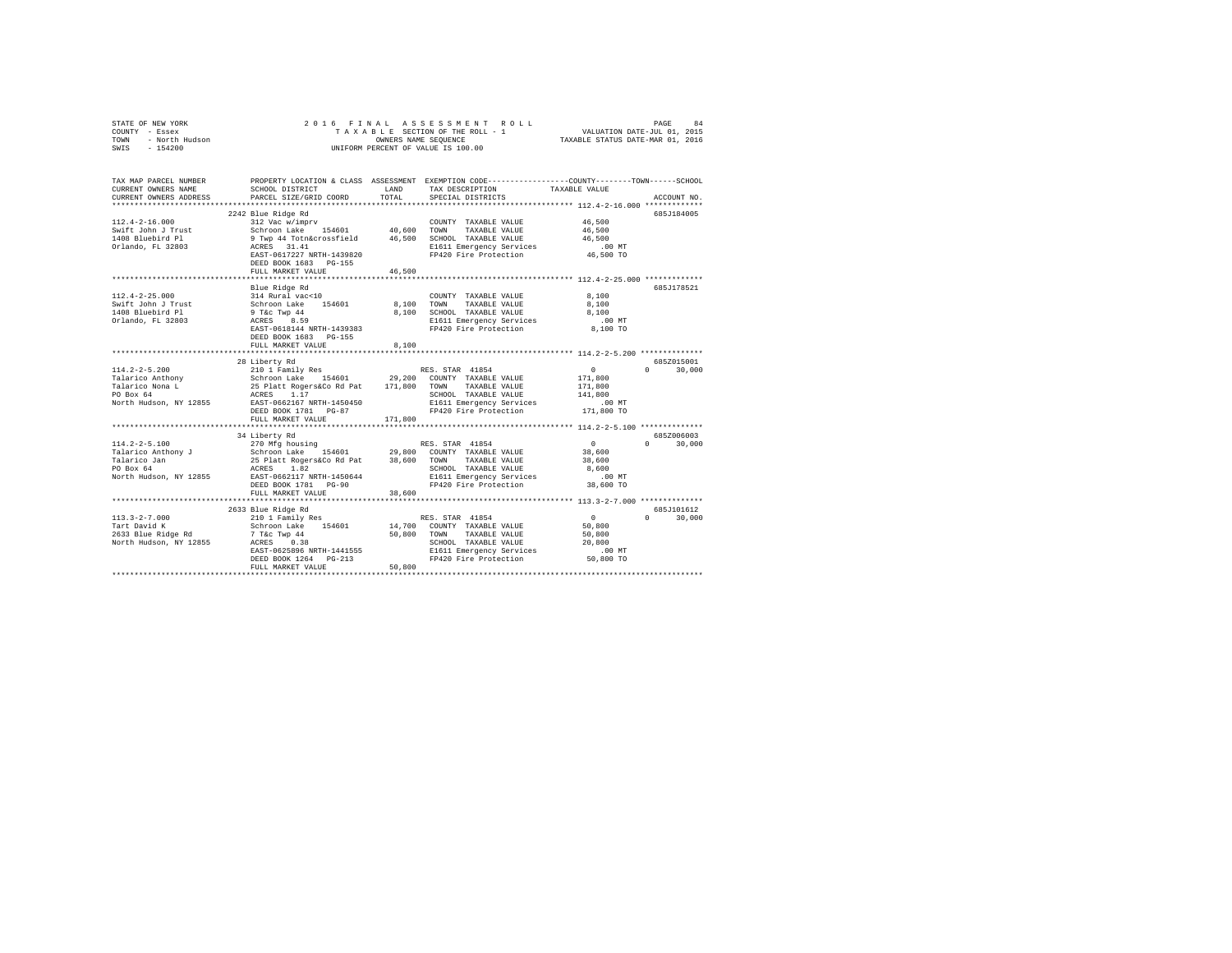| COUNTY - Essex<br>TOWN<br>- North Hudson<br>SWIS - 154200                                        |                                                                                                                                                                                                                                              |                       | UNIFORM PERCENT OF VALUE IS 100.00                                                                                              |                                                                        |                                  |
|--------------------------------------------------------------------------------------------------|----------------------------------------------------------------------------------------------------------------------------------------------------------------------------------------------------------------------------------------------|-----------------------|---------------------------------------------------------------------------------------------------------------------------------|------------------------------------------------------------------------|----------------------------------|
| TAX MAP PARCEL NUMBER<br>CURRENT OWNERS NAME<br>CURRENT OWNERS ADDRESS                           | PROPERTY LOCATION & CLASS ASSESSMENT EXEMPTION CODE----------------COUNTY-------TOWN------SCHOOL<br>SCHOOL DISTRICT<br>PARCEL SIZE/GRID COORD                                                                                                | LAND<br>TOTAL         | TAX DESCRIPTION<br>SPECIAL DISTRICTS                                                                                            | TAXABLE VALUE<br>******************** 112.4-2-16.000 *************     | ACCOUNT NO.                      |
| $112.4 - 2 - 16.000$<br>Swift John J Trust<br>1408 Bluebird Pl<br>Orlando, FL 32803              | 2242 Blue Ridge Rd<br>312 Vac w/imprv<br>Schroon Lake 154601<br>9 Twp 44 Totn&crossfield<br>ACRES 31.41<br>B1611 Emergency Services<br>EAST-0617227 NRTH-1439820<br>DEED BOOK 1683 PG-155<br>FULL MARKET VALUE                               | 40,600 TOWN<br>46,500 | COUNTY TAXABLE VALUE<br>TAXABLE VALUE<br>E1611 Emergency Services<br>FP420 Fire Protection                                      | 46,500<br>46,500<br>46,500<br>$.00$ MT<br>46,500 TO                    | 685J184005                       |
|                                                                                                  |                                                                                                                                                                                                                                              |                       |                                                                                                                                 |                                                                        |                                  |
| $112.4 - 2 - 25.000$<br>Swift John J Trust<br>1408 Bluebird Pl<br>Orlando, FL 32803              | Blue Ridge Rd<br>314 Rural vac<10<br>Schroon Lake 154601<br>9 T&c Twp 44<br>ACRES 8.59<br>EAST-0618144 NRTH-1439383<br>DEED BOOK 1683 PG-155                                                                                                 | 8,100 TOWN            | COUNTY TAXABLE VALUE<br>TAXABLE VALUE<br>8,100 SCHOOL TAXABLE VALUE<br>E1611 Emergency Services<br>FP420 Fire Protection        | 8,100<br>8,100<br>8,100<br>$.00$ MT<br>8,100 TO                        | 685.T178521                      |
|                                                                                                  | FULL MARKET VALUE                                                                                                                                                                                                                            | 8,100                 |                                                                                                                                 |                                                                        |                                  |
|                                                                                                  | 28 Liberty Rd<br>DEED BOOK 1781 PG-87<br>FULL MARKET VALUE                                                                                                                                                                                   | 171,800               | SCHOOL TAXABLE VALUE<br>E1611 Emergency Services<br>FP420 Fire Protection                                                       | $\sim$ 0<br>171,800<br>171,800<br>141,800<br>.00 MT<br>171,800 TO      | 685Z015001<br>$0 \t 30.000$      |
|                                                                                                  |                                                                                                                                                                                                                                              |                       |                                                                                                                                 |                                                                        |                                  |
| $114.2 - 2 - 5.100$<br>Talarico Anthony J<br>Talarico Jan<br>PO Box 64<br>North Hudson, NY 12855 | 34 Liberty Rd<br>270 Mfg housing<br>Schroon Lake 154601 29,800 COUNTY TAXABLE VALUE<br>25 Platt Rogers&Co Rd Pat 38,600 TOWN<br>ACRES 1.82<br>EAST-0662117 NRTH-1450644<br>DEED BOOK 1781 PG-90<br>FULL MARKET VALUE                         | 38,600                | RES. STAR 41854<br>TAXABLE VALUE<br>SCHOOL TAXABLE VALUE<br>E1611 Emergency Services 6.00 MT<br>FP420 Fire Protection 38,600 TO | $\sim$ 0<br>38,600<br>38,600<br>8,600                                  | 685Z006003<br>$\Omega$<br>30,000 |
|                                                                                                  |                                                                                                                                                                                                                                              |                       |                                                                                                                                 |                                                                        |                                  |
| $113.3 - 2 - 7.000$<br>Tart David K<br>2633 Blue Ridge Rd<br>North Hudson, NY 12855              | 2633 Blue Ridge Rd<br>210 1 Family Res<br>Schroon Lake 154601 14,700 COUNTY TAXABLE VALUE<br>7 T&C Twp 44 50,800 TOWN TAXABLE VALUE<br>7 T&C Twp 44<br>ACRES 0.38<br>EAST-0625896 NRTH-1441555<br>DEED BOOK 1264 PG-213<br>FULL MARKET VALUE | 50,800                | RES. STAR 41854<br>SCHOOL TAXABLE VALUE<br>E1611 Emergency Services<br>FP420 Fire Protection                                    | $\sim$ 0 $\sim$<br>50,800<br>50,800<br>20,800<br>$.00$ MT<br>50,800 TO | 685J101612<br>$0 \t 30,000$      |
|                                                                                                  |                                                                                                                                                                                                                                              |                       |                                                                                                                                 |                                                                        |                                  |

STATE OF NEW YORK 2 0 1 6 F I N A L A S S E S S M E N T R O L L PAGE 84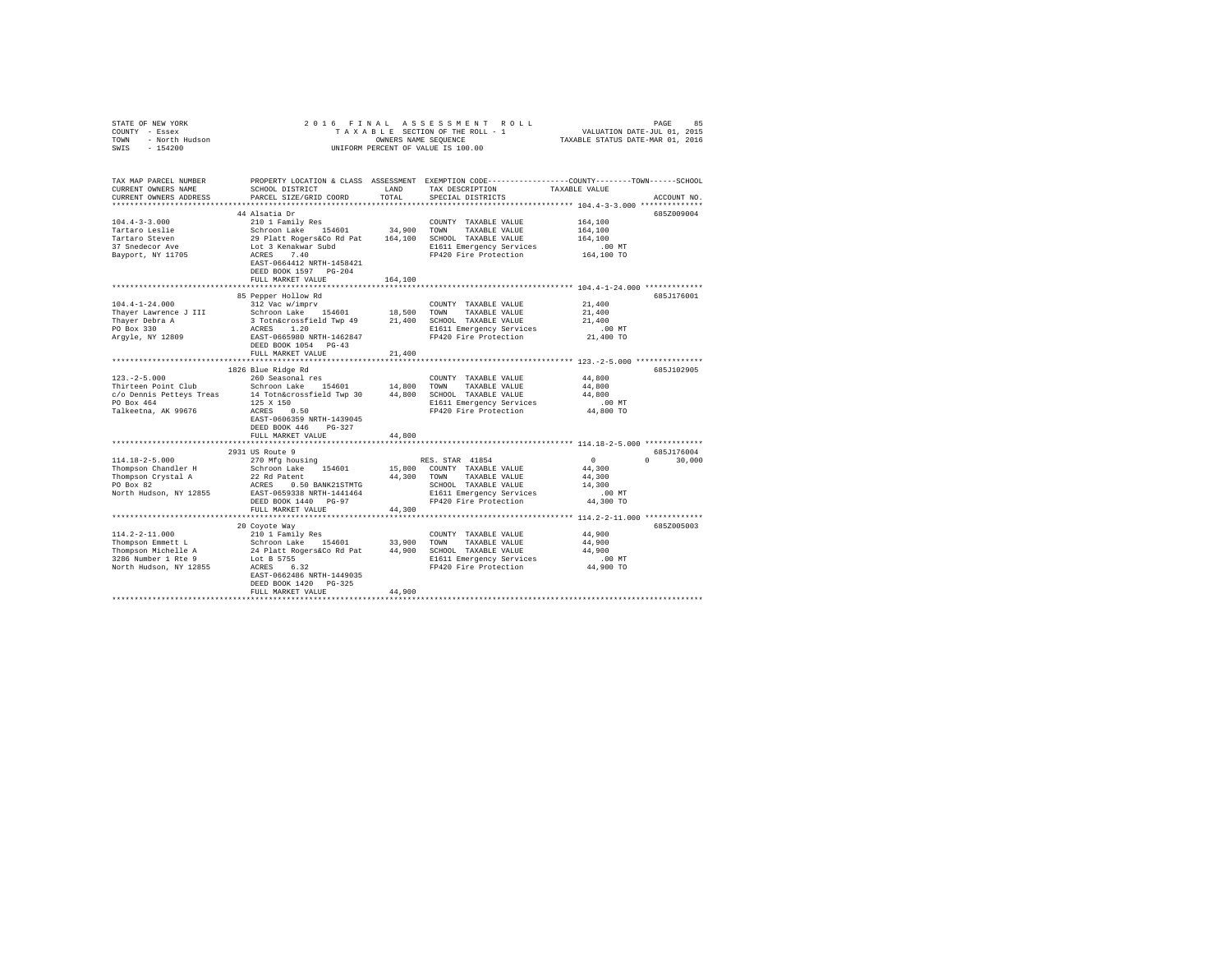| COUNTY - Essex<br>- North Hudson<br>TOWN                                                                                                                                                                                                                     |                                                                                                                                                                                                |             |                                                                                                 |                                                                 |             |
|--------------------------------------------------------------------------------------------------------------------------------------------------------------------------------------------------------------------------------------------------------------|------------------------------------------------------------------------------------------------------------------------------------------------------------------------------------------------|-------------|-------------------------------------------------------------------------------------------------|-----------------------------------------------------------------|-------------|
| SWIS<br>$-154200$                                                                                                                                                                                                                                            |                                                                                                                                                                                                |             | UNIFORM PERCENT OF VALUE IS 100.00                                                              |                                                                 |             |
|                                                                                                                                                                                                                                                              |                                                                                                                                                                                                |             |                                                                                                 |                                                                 |             |
|                                                                                                                                                                                                                                                              |                                                                                                                                                                                                |             |                                                                                                 |                                                                 |             |
| TAX MAP PARCEL NUMBER                                                                                                                                                                                                                                        |                                                                                                                                                                                                |             | PROPERTY LOCATION & CLASS ASSESSMENT EXEMPTION CODE---------------COUNTY-------TOWN------SCHOOL |                                                                 |             |
| CURRENT OWNERS NAME                                                                                                                                                                                                                                          | SCHOOL DISTRICT                                                                                                                                                                                | LAND        | TAX DESCRIPTION TAXABLE VALUE                                                                   |                                                                 |             |
| CURRENT OWNERS ADDRESS                                                                                                                                                                                                                                       | PARCEL SIZE/GRID COORD                                                                                                                                                                         | TOTAL       | SPECIAL DISTRICTS                                                                               |                                                                 | ACCOUNT NO. |
|                                                                                                                                                                                                                                                              | 44 Alsatia Dr                                                                                                                                                                                  |             |                                                                                                 |                                                                 | 685Z009004  |
| $104.4 - 3 - 3.000$                                                                                                                                                                                                                                          | 210 1 Family Res                                                                                                                                                                               |             | COUNTY TAXABLE VALUE                                                                            | 164,100                                                         |             |
| Tartaro Leslie                                                                                                                                                                                                                                               | Schroon Lake 154601 34,900 TOWN TAXABLE VALUE<br>29 Platt Rogers&Co Rd Pat 164,100 SCHOOL TAXABLE VALUE<br>Lot 3 Renakwar Subd B1611 Emergency Services<br>8CRES 7.40 E1611 Emergency Services |             |                                                                                                 | 164,100                                                         |             |
| Tartaro Steven                                                                                                                                                                                                                                               |                                                                                                                                                                                                |             |                                                                                                 | 164,100                                                         |             |
| 37 Snedecor Ave                                                                                                                                                                                                                                              |                                                                                                                                                                                                |             | E1611 Emergency Services                                                                        | .00 MT                                                          |             |
| Bayport, NY 11705                                                                                                                                                                                                                                            |                                                                                                                                                                                                |             | FP420 Fire Protection                                                                           | 164,100 TO                                                      |             |
|                                                                                                                                                                                                                                                              | EAST-0664412 NRTH-1458421                                                                                                                                                                      |             |                                                                                                 |                                                                 |             |
|                                                                                                                                                                                                                                                              | DEED BOOK 1597 PG-204<br>FULL MARKET VALUE                                                                                                                                                     | 164,100     |                                                                                                 |                                                                 |             |
|                                                                                                                                                                                                                                                              |                                                                                                                                                                                                |             |                                                                                                 |                                                                 |             |
|                                                                                                                                                                                                                                                              | 85 Pepper Hollow Rd                                                                                                                                                                            |             |                                                                                                 |                                                                 | 685J176001  |
| $104.4 - 1 - 24.000$                                                                                                                                                                                                                                         | 312 Vac w/imprv                                                                                                                                                                                |             | COUNTY TAXABLE VALUE                                                                            | 21,400                                                          |             |
| Thayer Lawrence J III                                                                                                                                                                                                                                        |                                                                                                                                                                                                |             |                                                                                                 | 21,400                                                          |             |
| Thayer Debra A                                                                                                                                                                                                                                               | Schroon Lake 154601 18,500 TOWN TAXABLE VALUE<br>3 Totn&crossfield Twp 49 21,400 SCHOOL TAXABLE VALUE                                                                                          |             |                                                                                                 | 21,400                                                          |             |
| PO Box 330                                                                                                                                                                                                                                                   | ACRES 1.20<br>EAST-0665980 NRTH-1462847                                                                                                                                                        |             | E1611 Emergency Services                                                                        | $.00$ MT                                                        |             |
| Argyle, NY 12809                                                                                                                                                                                                                                             |                                                                                                                                                                                                |             | FP420 Fire Protection                                                                           | 21,400 TO                                                       |             |
|                                                                                                                                                                                                                                                              | DEED BOOK 1054 PG-43                                                                                                                                                                           |             |                                                                                                 |                                                                 |             |
|                                                                                                                                                                                                                                                              | FULL MARKET VALUE                                                                                                                                                                              | 21,400      |                                                                                                 | ********************************* 123.-2-5.000 **************** |             |
|                                                                                                                                                                                                                                                              | 1826 Blue Ridge Rd                                                                                                                                                                             |             |                                                                                                 |                                                                 | 685J102905  |
| $123. -2 - 5.000$                                                                                                                                                                                                                                            | 260 Seasonal res                                                                                                                                                                               |             | COUNTY TAXABLE VALUE                                                                            | 44,800                                                          |             |
|                                                                                                                                                                                                                                                              |                                                                                                                                                                                                |             |                                                                                                 | 44,800                                                          |             |
| $c/o$ $c/o$ $c/o$ $D' = 0.020125$ $c/O = 0.020125$ $c/O = 0.020125$ $c/O = 0.020125$ $c/O = 0.020125$ $d/O = 0.020125$ $d/O = 0.020125$ $d/O = 0.020125$ $d/O = 0.020125$ $d/O = 0.020125$ $d/O = 0.020125$ $e/O = 0.020125$ $e/O = 0.020125$ $e/O = 0.0201$ |                                                                                                                                                                                                |             |                                                                                                 | 44,800                                                          |             |
|                                                                                                                                                                                                                                                              |                                                                                                                                                                                                |             | E1611 Emergency Services                                                                        | $.00$ MT                                                        |             |
| Talkeetna, AK 99676                                                                                                                                                                                                                                          | ACRES 0.50                                                                                                                                                                                     |             | FP420 Fire Protection                                                                           | 44,800 TO                                                       |             |
|                                                                                                                                                                                                                                                              | EAST-0606359 NRTH-1439045                                                                                                                                                                      |             |                                                                                                 |                                                                 |             |
|                                                                                                                                                                                                                                                              | DEED BOOK 446 PG-327<br>FULL MARKET VALUE                                                                                                                                                      | 44,800      |                                                                                                 |                                                                 |             |
|                                                                                                                                                                                                                                                              |                                                                                                                                                                                                |             |                                                                                                 |                                                                 |             |
|                                                                                                                                                                                                                                                              | 2931 US Route 9                                                                                                                                                                                |             |                                                                                                 |                                                                 | 685J176004  |
| $114.18 - 2 - 5.000$                                                                                                                                                                                                                                         | 270 Mfg housing                                                                                                                                                                                |             | RES. STAR 41854                                                                                 | $\sim$ 0<br>$\Omega$                                            | 30,000      |
| Thompson Chandler H                                                                                                                                                                                                                                          | Schroon Lake 154601                                                                                                                                                                            |             | 15,800 COUNTY TAXABLE VALUE                                                                     | 44,300                                                          |             |
| Thompson Crystal A<br>PO Box 82                                                                                                                                                                                                                              | 22 Rd Patent                                                                                                                                                                                   | 44.300 TOWN | TAXABLE VALUE                                                                                   | 44,300                                                          |             |
|                                                                                                                                                                                                                                                              | ACRES 0.50 BANK21STMTG                                                                                                                                                                         |             |                                                                                                 | 14,300                                                          |             |
| North Hudson, NY 12855 EAST-0659338 NRTH-1441464                                                                                                                                                                                                             | DEED BOOK 1440 PG-97                                                                                                                                                                           |             |                                                                                                 | $.00$ MT<br>44,300 TO                                           |             |
|                                                                                                                                                                                                                                                              | FULL MARKET VALUE                                                                                                                                                                              |             | SCHOOL TAAADDE<br>E1611 Emergency Services<br>FP420 Fire Protection                             |                                                                 |             |
|                                                                                                                                                                                                                                                              |                                                                                                                                                                                                |             |                                                                                                 |                                                                 |             |
|                                                                                                                                                                                                                                                              | 20 Coyote Way                                                                                                                                                                                  |             |                                                                                                 |                                                                 | 6857005003  |
| $114.2 - 2 - 11.000$                                                                                                                                                                                                                                         | 210 1 Family Res                                                                                                                                                                               |             | COUNTY TAXABLE VALUE                                                                            | 44,900                                                          |             |
|                                                                                                                                                                                                                                                              | Schroon Lake 154601 33,900 TOWN TAXABLE VALUE<br>24 Platt Rogers&Co Rd Pat 44,900 SCHOOL TAXABLE VALUE                                                                                         |             |                                                                                                 | 44,900                                                          |             |
| Thompson Emmett L<br>Thompson Michelle A<br>3286 Number 1 Rte 9                                                                                                                                                                                              |                                                                                                                                                                                                |             |                                                                                                 | 44,900                                                          |             |
|                                                                                                                                                                                                                                                              | Lot B 5755                                                                                                                                                                                     |             | E1611 Emergency Services<br>FP420 Fire Protection                                               | $.00$ MT                                                        |             |
| North Hudson, NY 12855                                                                                                                                                                                                                                       | ACRES 6.32                                                                                                                                                                                     |             |                                                                                                 | 44,900 TO                                                       |             |
|                                                                                                                                                                                                                                                              | EAST-0662486 NRTH-1449035<br>DEED BOOK 1420 PG-325                                                                                                                                             |             |                                                                                                 |                                                                 |             |
|                                                                                                                                                                                                                                                              | FULL MARKET VALUE                                                                                                                                                                              | 44,900      |                                                                                                 |                                                                 |             |
|                                                                                                                                                                                                                                                              |                                                                                                                                                                                                |             |                                                                                                 |                                                                 |             |

STATE OF NEW YORK 2 0 1 6 F I N A L A S S E S S M E N T R O L L PAGE 85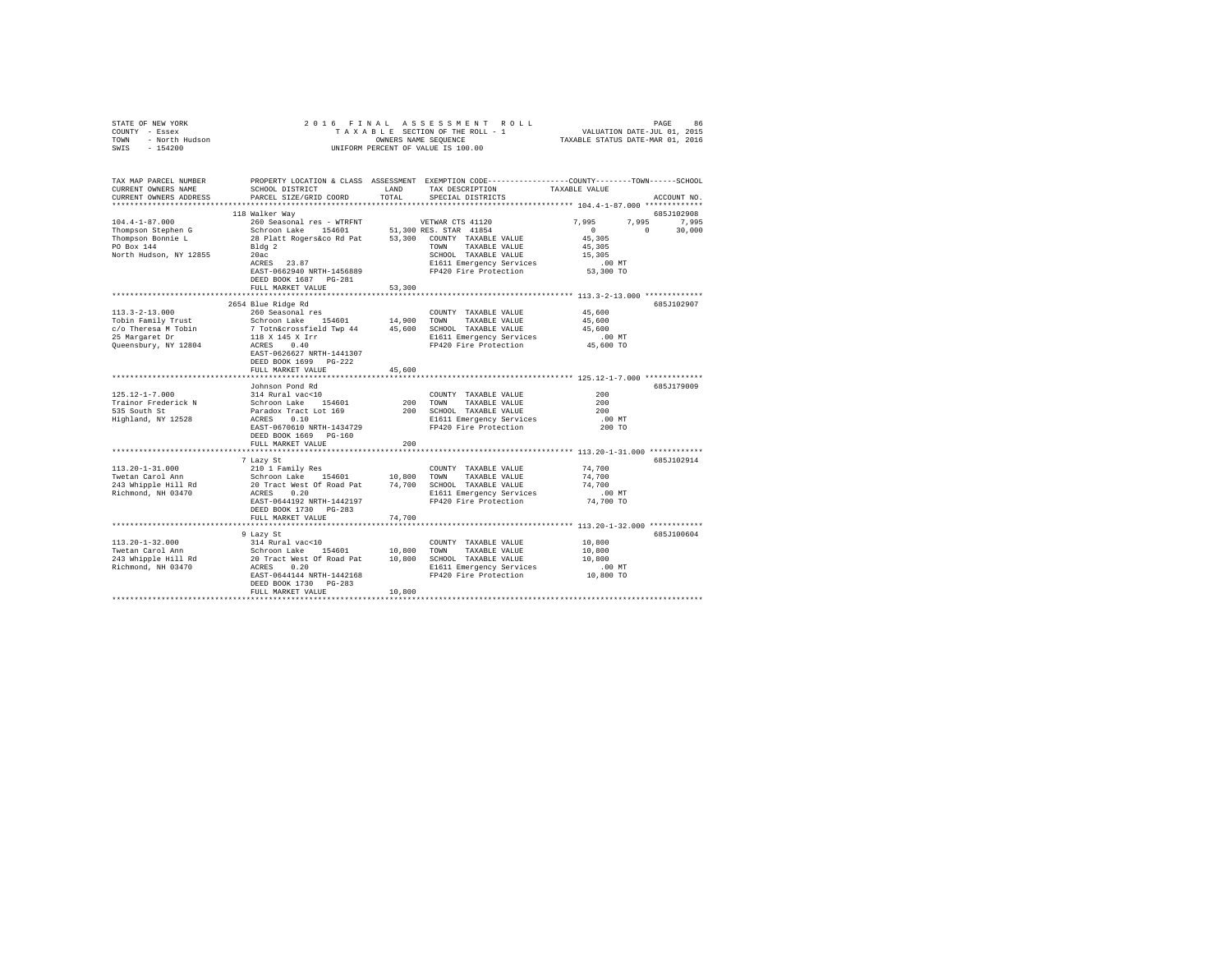|                                                                             | 2016 FINAL                                                                                                                                                                                                                     |        |                                                                                                                                                                           |                      |             |
|-----------------------------------------------------------------------------|--------------------------------------------------------------------------------------------------------------------------------------------------------------------------------------------------------------------------------|--------|---------------------------------------------------------------------------------------------------------------------------------------------------------------------------|----------------------|-------------|
| STATE OF NEW YORK<br>COUNTY - Essex<br>TOWN - North Hudson<br>SWIS - 154200 |                                                                                                                                                                                                                                |        | A S S E S S M E N T R O L L<br>SECTION OF THE ROLL - 1 VALUATION DATE-JUL 01, 2015<br>S NAME SEQUENCE TRIABLE STATUS DATE-MAR 01, 2016<br>TAXABLE SECTION OF THE ROLL - 1 |                      |             |
|                                                                             |                                                                                                                                                                                                                                |        | OWNERS NAME SEQUENCE                                                                                                                                                      |                      |             |
| SWIS - 154200                                                               |                                                                                                                                                                                                                                |        | UNIFORM PERCENT OF VALUE IS 100.00                                                                                                                                        |                      |             |
|                                                                             |                                                                                                                                                                                                                                |        |                                                                                                                                                                           |                      |             |
|                                                                             |                                                                                                                                                                                                                                |        |                                                                                                                                                                           |                      |             |
|                                                                             | TAX MAP PARCEL NUMBER PROPERTY LOCATION & CLASS ASSESSMENT EXEMPTION CODE---------------COUNTY-------TOWN------SCHOOL                                                                                                          |        |                                                                                                                                                                           |                      |             |
| CURRENT OWNERS NAME                                                         | SCHOOL DISTRICT                                                                                                                                                                                                                | LAND   | TAX DESCRIPTION                                                                                                                                                           | TAXABLE VALUE        |             |
| CURRENT OWNERS ADDRESS                                                      | PARCEL SIZE/GRID COORD                                                                                                                                                                                                         | TOTAL  | SPECIAL DISTRICTS                                                                                                                                                         |                      | ACCOUNT NO. |
|                                                                             |                                                                                                                                                                                                                                |        |                                                                                                                                                                           |                      |             |
|                                                                             | 118 Walker Way                                                                                                                                                                                                                 |        |                                                                                                                                                                           |                      | 685J102908  |
| $104.4 - 1 - 87.000$                                                        | 260 Seasonal res - WTRFNT                                                                                                                                                                                                      |        | VETWAR CTS 41120                                                                                                                                                          | 7.995                | 7,995 7,995 |
|                                                                             | Schroon Lake 154601 51,300 RES. STAR 41854                                                                                                                                                                                     |        |                                                                                                                                                                           | $\sim$ 0<br>$\sim$ 0 | 30,000      |
| Thompson Stephen G                                                          | 28 Platt Rogers&co Rd Pat 53,300 COUNTY TAXABLE VALUE                                                                                                                                                                          |        |                                                                                                                                                                           | 45,305               |             |
| Thompson Bonnie L<br>PO Box 144                                             |                                                                                                                                                                                                                                |        |                                                                                                                                                                           |                      |             |
|                                                                             | Bldg 2                                                                                                                                                                                                                         |        | TAXABLE VALUE<br>TOWN                                                                                                                                                     | 45,305               |             |
| North Hudson, NY 12855                                                      | 20ac                                                                                                                                                                                                                           |        | SCHOOL TAXABLE VALUE                                                                                                                                                      | 15,305               |             |
|                                                                             | ACRES 23.87                                                                                                                                                                                                                    |        | E1611 Emergency Services<br>FP420 Fire Protection                                                                                                                         | $.00$ MT             |             |
|                                                                             | EAST-0662940 NRTH-1456889                                                                                                                                                                                                      |        |                                                                                                                                                                           | 53,300 TO            |             |
|                                                                             | DEED BOOK 1687    PG-281                                                                                                                                                                                                       |        |                                                                                                                                                                           |                      |             |
|                                                                             | FULL MARKET VALUE                                                                                                                                                                                                              | 53,300 |                                                                                                                                                                           |                      |             |
|                                                                             |                                                                                                                                                                                                                                |        |                                                                                                                                                                           |                      |             |
|                                                                             | 2654 Blue Ridge Rd                                                                                                                                                                                                             |        |                                                                                                                                                                           |                      | 685J102907  |
| $113.3 - 2 - 13.000$                                                        | 260 Seasonal res                                                                                                                                                                                                               |        | COUNTY TAXABLE VALUE                                                                                                                                                      | 45,600               |             |
| Tobin Family Trust                                                          | Schroon Lake 154601                                                                                                                                                                                                            | 14,900 | TOWN<br>TAXABLE VALUE                                                                                                                                                     | 45,600               |             |
| c/o Theresa M Tobin                                                         |                                                                                                                                                                                                                                |        | SCHOOL TAXABLE VALUE                                                                                                                                                      | 45,600               |             |
| 25 Margaret Dr                                                              | our sources and the contract of the contract of the contract of the contract of the contract of the contract of the contract of the contract of the contract of the contract of the contract of the contract of the contract o |        | E1611 Emergency Services                                                                                                                                                  | $.00$ MT             |             |
| Queensbury, NY 12804                                                        |                                                                                                                                                                                                                                |        | FP420 Fire Protection                                                                                                                                                     | 45,600 TO            |             |
|                                                                             | EAST-0626627 NRTH-1441307                                                                                                                                                                                                      |        |                                                                                                                                                                           |                      |             |
|                                                                             | DEED BOOK 1699 PG-222                                                                                                                                                                                                          |        |                                                                                                                                                                           |                      |             |
|                                                                             | FULL MARKET VALUE                                                                                                                                                                                                              | 45,600 |                                                                                                                                                                           |                      |             |
|                                                                             |                                                                                                                                                                                                                                |        |                                                                                                                                                                           |                      |             |
|                                                                             | Johnson Pond Rd                                                                                                                                                                                                                |        |                                                                                                                                                                           |                      | 685J179009  |
| $125.12 - 1 - 7.000$                                                        | 314 Rural vac<10                                                                                                                                                                                                               |        |                                                                                                                                                                           | 200                  |             |
|                                                                             |                                                                                                                                                                                                                                |        | COUNTY TAXABLE VALUE                                                                                                                                                      | 200                  |             |
| Trainor Frederick N                                                         | Schroon Lake 154601<br>Paradox Tract Lot 169<br>ACRES 0.10                                                                                                                                                                     | 200    | TOWN<br>TAXABLE VALUE                                                                                                                                                     |                      |             |
| 535 South St                                                                |                                                                                                                                                                                                                                |        | 200 SCHOOL TAXABLE VALUE                                                                                                                                                  | 200                  |             |
| Highland, NY 12528                                                          |                                                                                                                                                                                                                                |        | E1611 Emergency Services                                                                                                                                                  | .00MT                |             |
|                                                                             | EAST-0670610 NRTH-1434729                                                                                                                                                                                                      |        | FP420 Fire Protection                                                                                                                                                     | 200 TO               |             |
|                                                                             | DEED BOOK 1669 PG-160                                                                                                                                                                                                          |        |                                                                                                                                                                           |                      |             |
|                                                                             | FULL MARKET VALUE                                                                                                                                                                                                              | 200    |                                                                                                                                                                           |                      |             |
|                                                                             |                                                                                                                                                                                                                                |        |                                                                                                                                                                           |                      |             |
|                                                                             | 7 Lazy St                                                                                                                                                                                                                      |        |                                                                                                                                                                           |                      | 685J102914  |
| $113.20 - 1 - 31.000$                                                       | 210 1 Family Res                                                                                                                                                                                                               |        | COUNTY TAXABLE VALUE                                                                                                                                                      | 74,700               |             |
| Twetan Carol Ann                                                            | Schroon Lake 154601 10,800<br>20 Tract West Of Road Pat 74,700                                                                                                                                                                 |        | TOWN<br>TAXABLE VALUE                                                                                                                                                     | 74,700               |             |
| 243 Whipple Hill Rd                                                         |                                                                                                                                                                                                                                |        | SCHOOL TAXABLE VALUE                                                                                                                                                      | 74,700               |             |
| Richmond, NH 03470                                                          | ACRES 0.20                                                                                                                                                                                                                     |        | E1611 Emergency Services                                                                                                                                                  | $.00$ MT             |             |
|                                                                             | EAST-0644192 NRTH-1442197                                                                                                                                                                                                      |        | FP420 Fire Protection                                                                                                                                                     | 74,700 TO            |             |
|                                                                             | DEED BOOK 1730 PG-283                                                                                                                                                                                                          |        |                                                                                                                                                                           |                      |             |
|                                                                             | FULL MARKET VALUE                                                                                                                                                                                                              | 74,700 |                                                                                                                                                                           |                      |             |
|                                                                             |                                                                                                                                                                                                                                |        |                                                                                                                                                                           |                      |             |
|                                                                             |                                                                                                                                                                                                                                |        |                                                                                                                                                                           |                      |             |
|                                                                             | 9 Lazy St                                                                                                                                                                                                                      |        |                                                                                                                                                                           |                      | 685J100604  |
| $113.20 - 1 - 32.000$                                                       | 314 Rural vac<10                                                                                                                                                                                                               |        | COUNTY TAXABLE VALUE                                                                                                                                                      | 10,800               |             |
| Twetan Carol Ann                                                            | Schroon Lake 154601                                                                                                                                                                                                            | 10,800 | TOWN<br>TAXABLE VALUE                                                                                                                                                     | 10,800               |             |
| 243 Whipple Hill Rd<br>Richmond, NH 03470                                   | 20 Tract West Of Road Pat 10,800<br>ACRES 0.20                                                                                                                                                                                 |        | SCHOOL TAXABLE VALUE                                                                                                                                                      | 10,800               |             |
|                                                                             |                                                                                                                                                                                                                                |        | E1611 Emergency Services                                                                                                                                                  | $.00$ MT             |             |
|                                                                             | EAST-0644144 NRTH-1442168                                                                                                                                                                                                      |        | FP420 Fire Protection                                                                                                                                                     | 10,800 TO            |             |
|                                                                             | DEED BOOK 1730 PG-283                                                                                                                                                                                                          |        |                                                                                                                                                                           |                      |             |
|                                                                             | FULL MARKET VALUE                                                                                                                                                                                                              | 10,800 |                                                                                                                                                                           |                      |             |
|                                                                             |                                                                                                                                                                                                                                |        |                                                                                                                                                                           |                      |             |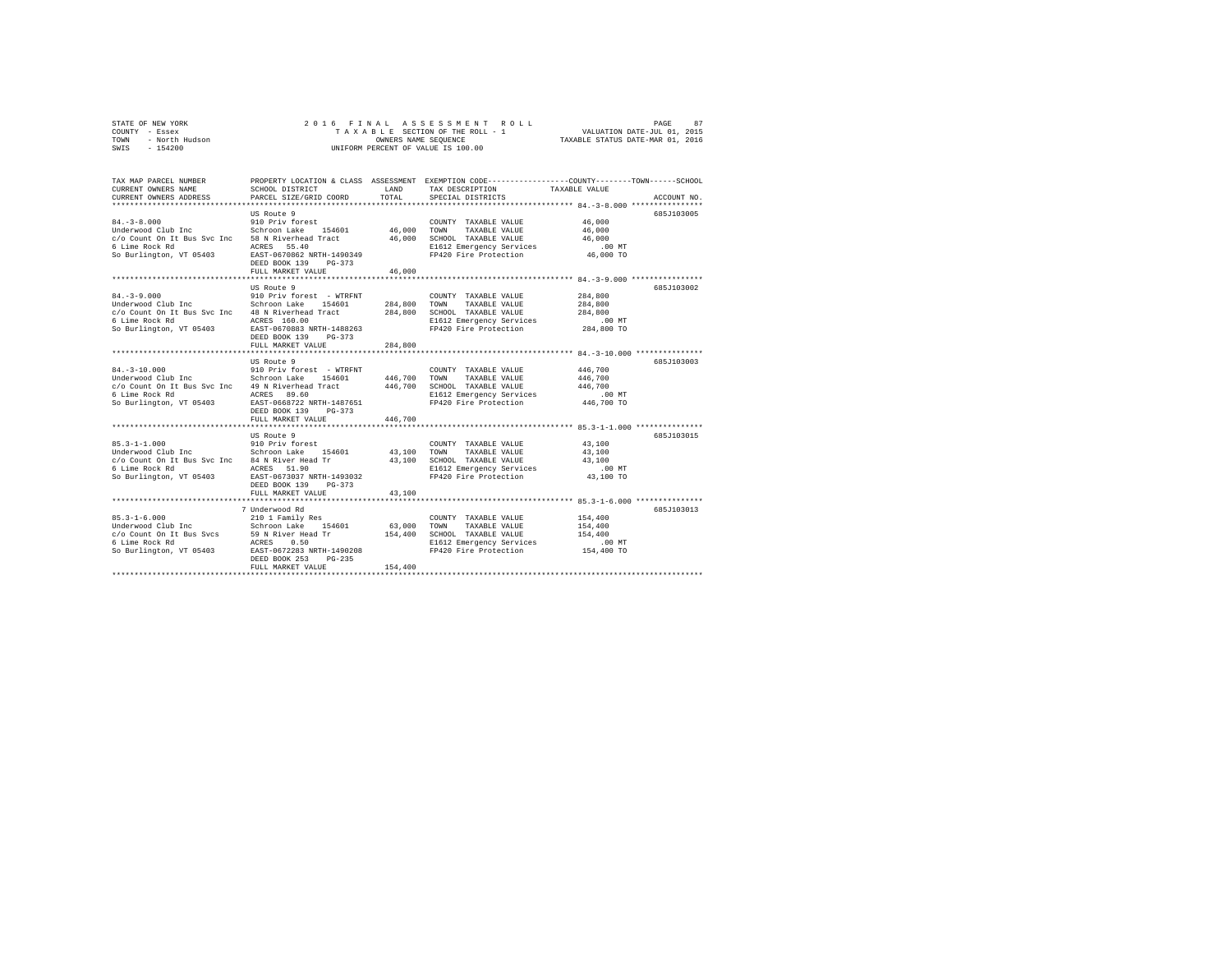|                | STATE OF NEW YORK |  |  |  |  | 2016 FINAL ASSESSMENT ROLL                               | PAGE                        | 87 |
|----------------|-------------------|--|--|--|--|----------------------------------------------------------|-----------------------------|----|
| COUNTY - Essex |                   |  |  |  |  | TAXABLE SECTION OF THE ROLL - 1                          | VALUATION DATE-JUL 01, 2015 |    |
| TOWN           | - North Hudson    |  |  |  |  | TAXABLE STATUS DATE-MAR 01, 2016<br>OWNERS NAME SEOUENCE |                             |    |
| SWIS           | $-154200$         |  |  |  |  | UNIFORM PERCENT OF VALUE IS 100.00                       |                             |    |

| TAX MAP PARCEL NUMBER<br>CURRENT OWNERS NAME                                  | SCHOOL DISTRICT                                 | LAND        | PROPERTY LOCATION & CLASS ASSESSMENT EXEMPTION CODE---------------COUNTY-------TOWN------SCHOOL<br>TAX DESCRIPTION TAXABLE VALUE |                                                   |             |
|-------------------------------------------------------------------------------|-------------------------------------------------|-------------|----------------------------------------------------------------------------------------------------------------------------------|---------------------------------------------------|-------------|
| CURRENT OWNERS ADDRESS                                                        | PARCEL SIZE/GRID COORD                          | TOTAL       | SPECIAL DISTRICTS                                                                                                                |                                                   | ACCOUNT NO. |
|                                                                               |                                                 |             |                                                                                                                                  |                                                   |             |
|                                                                               | US Route 9                                      |             |                                                                                                                                  |                                                   | 685J103005  |
| $84. - 3 - 8.000$<br>Underwood Club Inc 5chroon Lake 154601 46,000 TOWN       | 910 Priv forest                                 |             | COUNTY TAXABLE VALUE                                                                                                             | 46,000                                            |             |
|                                                                               |                                                 |             | TAXABLE VALUE                                                                                                                    | 46,000                                            |             |
| c/o Count On It Bus Svc Inc 58 N Riverhead Tract                              |                                                 |             | 46,000 SCHOOL TAXABLE VALUE                                                                                                      | 46,000                                            |             |
| 6 Lime Rock Rd                                                                | ACRES 55.40                                     |             | E1612 Emergency Services<br>FP420 Fire Protection 46,000 TO                                                                      | $.00$ MT                                          |             |
| So Burlington, VT 05403 EAST-0670862 NRTH-1490349                             | DEED BOOK 139<br>$PG-373$                       |             |                                                                                                                                  |                                                   |             |
|                                                                               | FULL MARKET VALUE                               | 46,000      |                                                                                                                                  |                                                   |             |
|                                                                               |                                                 |             |                                                                                                                                  |                                                   |             |
|                                                                               | US Route 9                                      |             |                                                                                                                                  |                                                   | 6857103002  |
| $84. - 3 - 9.000$                                                             | 910 Priv forest - WTRFNT                        |             | COUNTY TAXABLE VALUE                                                                                                             | 284,800                                           |             |
| Underwood Club Inc Schroon Lake 154601                                        |                                                 |             | 284,800 TOWN TAXABLE VALUE                                                                                                       | 284,800                                           |             |
| c/o Count On It Bus Svc Inc 48 N Riverhead Tract                              |                                                 | 284,800     | SCHOOL TAXABLE VALUE                                                                                                             | 284,800                                           |             |
| 6 Lime Rock Rd                                                                | ACRES 160.00                                    |             | E1612 Emergency Services                                                                                                         | $.00$ MT                                          |             |
| So Burlington, VT 05403                                                       | EAST-0670883 NRTH-1488263                       |             | FP420 Fire Protection                                                                                                            | $284,800$ TO                                      |             |
|                                                                               | DEED BOOK 139<br>PG-373                         |             |                                                                                                                                  |                                                   |             |
|                                                                               | FULL MARKET VALUE                               | 284,800     |                                                                                                                                  |                                                   |             |
|                                                                               | **********************                          | *********** |                                                                                                                                  | ********************* 84.-3-10.000 ************** |             |
|                                                                               | US Route 9                                      |             |                                                                                                                                  |                                                   | 685J103003  |
| $84. - 3 - 10.000$                                                            |                                                 |             | COUNTY TAXABLE VALUE                                                                                                             | 446,700                                           |             |
| Underwood Club Inc                                                            | 910 Priv forest - WTRFNT<br>Schroon Lake 154601 |             | 446,700 TOWN TAXABLE VALUE                                                                                                       | 446,700                                           |             |
| c/o Count On It Bus Svc Inc 49 N Riverhead Tract 446,700 SCHOOL TAXABLE VALUE |                                                 |             |                                                                                                                                  | 446,700                                           |             |
| 6 Lime Rock Rd                                                                | ACRES 89.60                                     |             | E1612 Emergency Services                                                                                                         | $.00$ MT                                          |             |
| So Burlington, VT 05403 EAST-0668722 NRTH-1487651                             |                                                 |             | FP420 Fire Protection 446,700 TO                                                                                                 |                                                   |             |
|                                                                               | DEED BOOK 139 PG-373                            |             |                                                                                                                                  |                                                   |             |
|                                                                               | FULL MARKET VALUE                               | 446,700     |                                                                                                                                  |                                                   |             |
|                                                                               |                                                 |             |                                                                                                                                  |                                                   |             |
|                                                                               | US Route 9                                      |             |                                                                                                                                  |                                                   | 685J103015  |
| $85.3 - 1 - 1.000$                                                            | 910 Priv forest                                 |             | COUNTY TAXABLE VALUE                                                                                                             | 43,100                                            |             |
| Underwood Club Inc 5chroon Lake 154601 43,100 TOWN                            |                                                 |             | TAXABLE VALUE                                                                                                                    | 43,100                                            |             |
|                                                                               |                                                 |             | 43,100 SCHOOL TAXABLE VALUE<br>E1612 Emergency Services                                                                          | 43,100                                            |             |
| 6 Lime Rock Rd                                                                | ACRES 51.90                                     |             |                                                                                                                                  | $.00$ MT                                          |             |
| So Burlington, VT 05403                                                       | EAST-0673037 NRTH-1493032                       |             | FP420 Fire Protection                                                                                                            | 43,100 TO                                         |             |
|                                                                               | DEED BOOK 139<br>$PG-373$                       |             |                                                                                                                                  |                                                   |             |
|                                                                               | FULL MARKET VALUE                               | 43,100      |                                                                                                                                  |                                                   |             |
|                                                                               |                                                 |             |                                                                                                                                  |                                                   |             |
|                                                                               | 7 Underwood Rd                                  |             |                                                                                                                                  |                                                   | 685J103013  |
| $85.3 - 1 - 6.000$                                                            | 210 1 Family Res                                |             | COUNTY TAXABLE VALUE                                                                                                             | 154,400                                           |             |
|                                                                               |                                                 | 63,000      | TOWN<br>TAXABLE VALUE                                                                                                            | 154,400                                           |             |
|                                                                               |                                                 | 154,400     | SCHOOL TAXABLE VALUE                                                                                                             | 154,400                                           |             |
| 6 Lime Rock Rd                                                                | ACRES 0.50<br>EAST-0672283 NRTH-1490208         |             | E1612 Emergency Services                                                                                                         | $.00$ MT                                          |             |
| So Burlington, VT 05403                                                       |                                                 |             | FP420 Fire Protection                                                                                                            | 154,400 TO                                        |             |
|                                                                               | DEED BOOK 253<br>$PG-235$                       |             |                                                                                                                                  |                                                   |             |
|                                                                               | FULL MARKET VALUE                               | 154,400     |                                                                                                                                  |                                                   |             |
|                                                                               |                                                 |             |                                                                                                                                  |                                                   |             |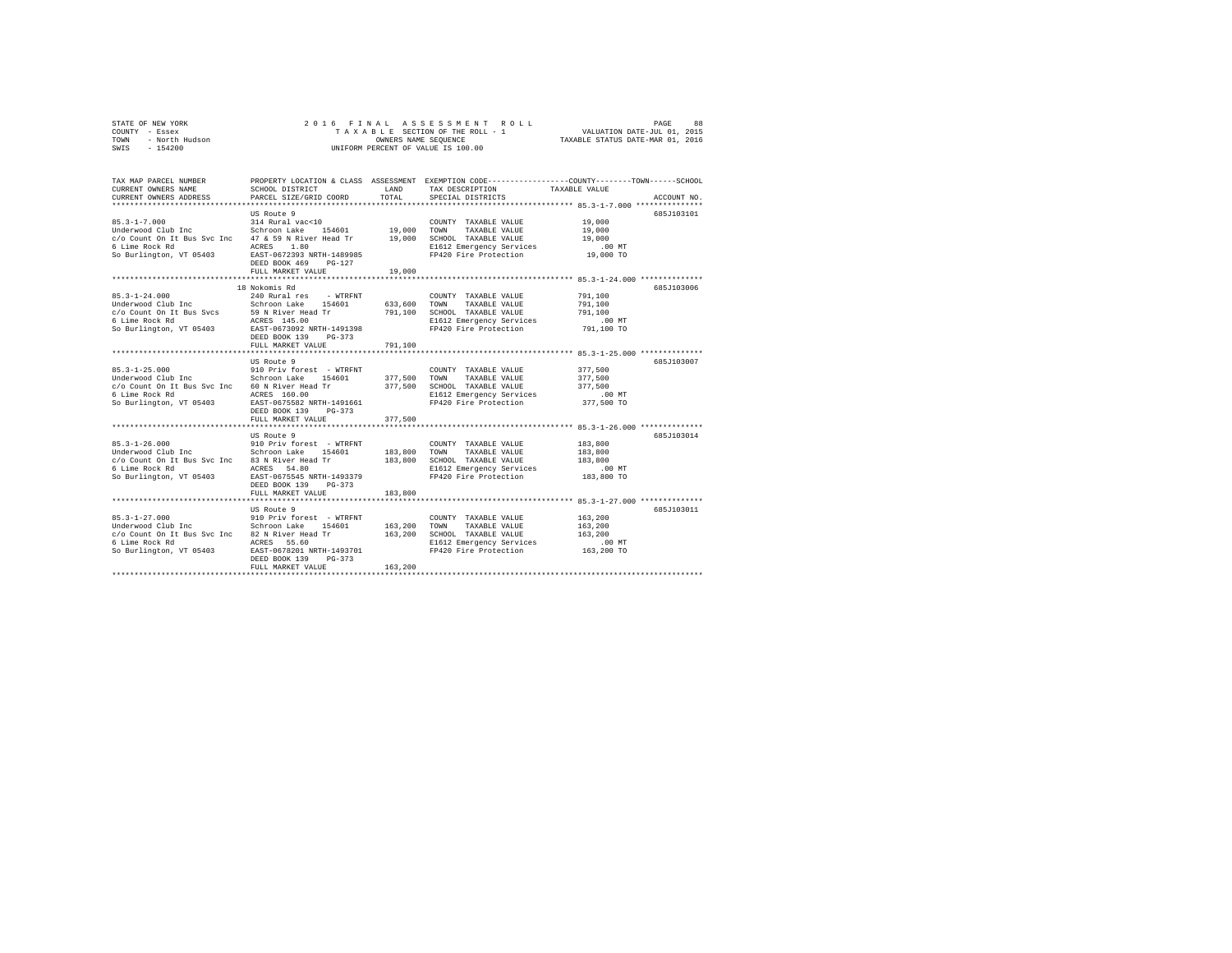|                | STATE OF NEW YORK |  |  |  |  | 2016 FINAL ASSESSMENT ROLL         |                                  | PAGE                        | 88 |
|----------------|-------------------|--|--|--|--|------------------------------------|----------------------------------|-----------------------------|----|
| COUNTY - Essex |                   |  |  |  |  | TAXABLE SECTION OF THE ROLL - 1    |                                  | VALUATION DATE-JUL 01, 2015 |    |
| TOWN           | - North Hudson    |  |  |  |  | OWNERS NAME SEOUENCE               | TAXABLE STATUS DATE-MAR 01, 2016 |                             |    |
| SWIS           | $-154200$         |  |  |  |  | UNIFORM PERCENT OF VALUE IS 100.00 |                                  |                             |    |

| TAX MAP PARCEL NUMBER<br>CURRENT OWNERS NAME<br>CURRENT OWNERS ADDRESS                                             | SCHOOL DISTRICT<br>PARCEL SIZE/GRID COORD | LAND<br>TOTAL | PROPERTY LOCATION & CLASS ASSESSMENT EXEMPTION CODE---------------COUNTY-------TOWN-----SCHOOL<br>TAX DESCRIPTION TAXABLE VALUE<br>SPECIAL DISTRICTS |                      | ACCOUNT NO. |
|--------------------------------------------------------------------------------------------------------------------|-------------------------------------------|---------------|------------------------------------------------------------------------------------------------------------------------------------------------------|----------------------|-------------|
|                                                                                                                    |                                           |               |                                                                                                                                                      |                      |             |
|                                                                                                                    | US Route 9                                |               |                                                                                                                                                      |                      | 685J103101  |
|                                                                                                                    |                                           |               | COUNTY TAXABLE VALUE                                                                                                                                 | 19,000               |             |
|                                                                                                                    |                                           |               | TAXABLE VALUE                                                                                                                                        | 19,000               |             |
| c/o Count On It Bus Svc Inc 47 & 59 N River Head Tr 19,000 SCHOOL TAXABLE VALUE                                    |                                           |               |                                                                                                                                                      | 19,000               |             |
| 6 Lime Rock Rd                                                                                                     | 1.80<br>ACRES                             |               |                                                                                                                                                      |                      |             |
| So Burlington, VT 05403 EAST-0672393 NRTH-1489985                                                                  |                                           |               | E1612 Emergency Services .00 MT<br>FP420 Fire Protection .09,000 TO                                                                                  |                      |             |
|                                                                                                                    | DEED BOOK 469 PG-127                      |               |                                                                                                                                                      |                      |             |
|                                                                                                                    | FULL MARKET VALUE                         | 19,000        |                                                                                                                                                      |                      |             |
|                                                                                                                    |                                           |               |                                                                                                                                                      |                      |             |
|                                                                                                                    | 18 Nokomis Rd                             |               |                                                                                                                                                      |                      | 685J103006  |
| $85.3 - 1 - 24.000$                                                                                                | 240 Rural res - WTRFNT                    |               | COUNTY TAXABLE VALUE                                                                                                                                 | 791,100              |             |
|                                                                                                                    |                                           |               | 633,600 TOWN TAXABLE VALUE                                                                                                                           | 791,100              |             |
|                                                                                                                    |                                           |               | 791,100 SCHOOL TAXABLE VALUE                                                                                                                         | 791,100              |             |
|                                                                                                                    |                                           |               | E1612 Emergency Services                                                                                                                             | $.00$ MT             |             |
|                                                                                                                    |                                           |               | FP420 Fire Protection                                                                                                                                | 791,100 TO           |             |
|                                                                                                                    | DEED BOOK 139<br>PG-373                   |               |                                                                                                                                                      |                      |             |
|                                                                                                                    | FULL MARKET VALUE                         | 791,100       |                                                                                                                                                      |                      |             |
|                                                                                                                    |                                           |               |                                                                                                                                                      |                      |             |
|                                                                                                                    | US Route 9                                |               |                                                                                                                                                      |                      | 685J103007  |
| $85.3 - 1 - 25.000$                                                                                                |                                           |               | COUNTY TAXABLE VALUE                                                                                                                                 | 377,500              |             |
| Underwood Club Inc                                                                                                 |                                           |               | 377,500 TOWN TAXABLE VALUE                                                                                                                           | 377,500              |             |
| c/o Count On It Bus Svc Inc 60 N River Head Tr                                                                     |                                           |               | 377,500 SCHOOL TAXABLE VALUE                                                                                                                         | 377.500              |             |
| 6 Lime Rock Rd                                                                                                     | ACRES 160.00                              |               | E1612 Emergency Services                                                                                                                             | $.00$ MT             |             |
| So Burlington, VT 05403 EAST-0675582 NRTH-1491661                                                                  |                                           |               | FP420 Fire Protection 377,500 TO                                                                                                                     |                      |             |
|                                                                                                                    | DEED BOOK 139 PG-373                      |               |                                                                                                                                                      |                      |             |
|                                                                                                                    | FULL MARKET VALUE                         | 377,500       |                                                                                                                                                      |                      |             |
|                                                                                                                    |                                           |               |                                                                                                                                                      |                      |             |
|                                                                                                                    | US Route 9                                |               |                                                                                                                                                      |                      | 685J103014  |
| $85.3 - 1 - 26.000$                                                                                                | 910 Priv forest - WTRFNT                  |               | COUNTY TAXABLE VALUE                                                                                                                                 | 183,800              |             |
|                                                                                                                    |                                           |               | 183,800 SCHOOL TAXABLE VALUE                                                                                                                         | 183,800              |             |
| c/o Count On It Bus Svc Inc 33 N River Head Tr<br>c/o Count On It Bus Svc Inc 33 N River Head Tr<br>6 Lime Rock Rd | ACRES 54.80                               |               |                                                                                                                                                      | 183,800              |             |
| So Burlington, VT 05403                                                                                            | EAST-0675545 NRTH-1493379                 |               | E1612 Emergency Services                                                                                                                             | .00 MT<br>183,800 TO |             |
|                                                                                                                    | DEED BOOK 139 PG-373                      |               | FP420 Fire Protection                                                                                                                                |                      |             |
|                                                                                                                    | FULL MARKET VALUE                         | 183,800       |                                                                                                                                                      |                      |             |
|                                                                                                                    |                                           |               |                                                                                                                                                      |                      |             |
|                                                                                                                    | US Route 9                                |               |                                                                                                                                                      |                      | 685J103011  |
|                                                                                                                    |                                           |               | COUNTY TAXABLE VALUE                                                                                                                                 | 163,200              |             |
|                                                                                                                    |                                           | 163,200 TOWN  | TAXABLE VALUE                                                                                                                                        | 163,200              |             |
| c/o Count On It Bus Svc Inc 82 N River Head Tr                                                                     |                                           | 163,200       | SCHOOL TAXABLE VALUE                                                                                                                                 | 163,200              |             |
| 6 Lime Rock Rd                                                                                                     | ACRES 55.60                               |               |                                                                                                                                                      | $.00$ MT             |             |
| So Burlington, VT 05403                                                                                            | EAST-0678201 NRTH-1493701                 |               | E1612 Emergency Services<br>FP420 Fire Protection                                                                                                    | 163,200 TO           |             |
|                                                                                                                    | DEED BOOK 139<br>PG-373                   |               |                                                                                                                                                      |                      |             |
|                                                                                                                    | FULL MARKET VALUE                         | 163,200       |                                                                                                                                                      |                      |             |
|                                                                                                                    |                                           |               |                                                                                                                                                      |                      |             |
|                                                                                                                    |                                           |               |                                                                                                                                                      |                      |             |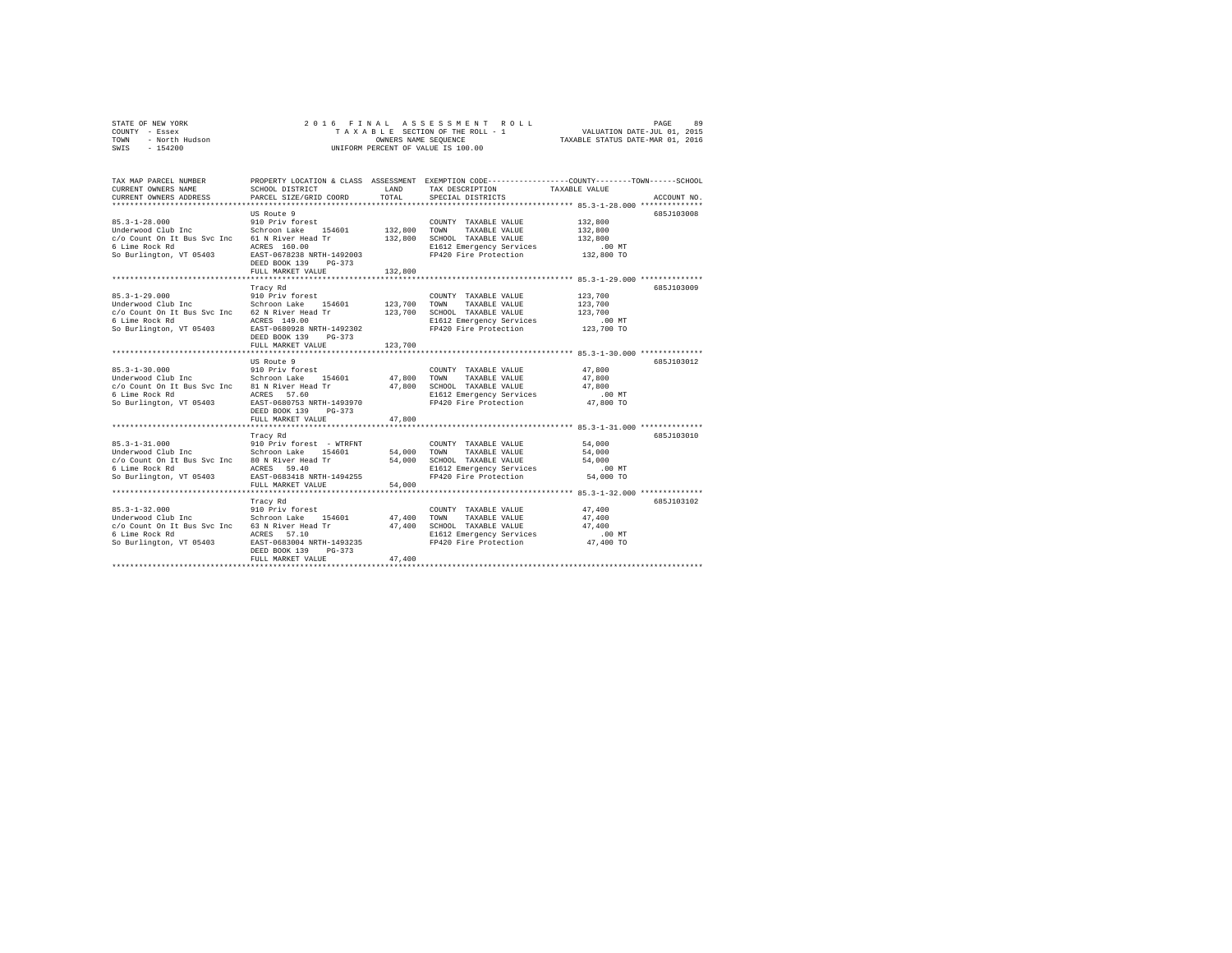| STATE OF NEW YORK      | 2016 FINAL ASSESSMENT ROLL         | 89<br>PAGE                       |
|------------------------|------------------------------------|----------------------------------|
| COUNTY - Essex         | TAXABLE SECTION OF THE ROLL - 1    | VALUATION DATE-JUL 01, 2015      |
| TOWN<br>- North Hudson | OWNERS NAME SEOUENCE               | TAXABLE STATUS DATE-MAR 01, 2016 |
| SWIS - 154200          | UNIFORM PERCENT OF VALUE IS 100.00 |                                  |

| TAX MAP PARCEL NUMBER<br>CURRENT OWNERS NAME<br>CURRENT OWNERS ADDRESS                                                                   | SCHOOL DISTRICT<br>PARCEL SIZE/GRID COORD                                                                                                                                    | LAND<br>TOTAL                 | PROPERTY LOCATION & CLASS ASSESSMENT EXEMPTION CODE---------------COUNTY-------TOWN-----SCHOOL<br>TAX DESCRIPTION<br>SPECIAL DISTRICTS | TAXABLE VALUE                                        | ACCOUNT NO. |
|------------------------------------------------------------------------------------------------------------------------------------------|------------------------------------------------------------------------------------------------------------------------------------------------------------------------------|-------------------------------|----------------------------------------------------------------------------------------------------------------------------------------|------------------------------------------------------|-------------|
| $85.3 - 1 - 28.000$<br>Underwood Club Inc<br>c/o Count On It Bus Svc Inc<br>6 Lime Rock Rd<br>So Burlington, VT 05403                    | US Route 9<br>910 Priv forest<br>154601<br>Schroon Lake<br>61 N River Head Tr<br>ACRES 160.00<br>EAST-0678238 NRTH-1492003<br>DEED BOOK 139<br>$PG-373$<br>FULL MARKET VALUE | 132,800<br>132,800<br>132,800 | COUNTY TAXABLE VALUE<br>TOWN<br>TAXABLE VALUE<br>SCHOOL TAXABLE VALUE<br>E1612 Emergency Services<br>FP420 Fire Protection             | 132,800<br>132,800<br>132,800<br>.00MT<br>132,800 TO | 685J103008  |
| $85.3 - 1 - 29.000$<br>Underwood Club Inc<br>c/o Count On It Bus Svc Inc 62 N River Head Tr<br>6 Lime Rock Rd<br>So Burlington, VT 05403 | Tracy Rd<br>910 Priv forest<br>154601<br>Schroon Lake<br>ACRES 149.00<br>EAST-0680928 NRTH-1492302<br>DEED BOOK 139<br>$PG-373$<br>FULL MARKET VALUE                         | 123,700<br>123,700<br>123,700 | COUNTY TAXABLE VALUE<br>TOWN<br>TAXABLE VALUE<br>SCHOOL TAXABLE VALUE<br>E1612 Emergency Services<br>FP420 Fire Protection             | 123,700<br>123,700<br>123,700<br>.00MT<br>123,700 TO | 685J103009  |
| $85.3 - 1 - 30.000$<br>Underwood Club Inc<br>c/o Count On It Bus Svc Inc 81 N River Head Tr<br>6 Lime Rock Rd<br>So Burlington, VT 05403 | US Route 9<br>910 Priv forest<br>Schroon Lake<br>154601<br>57.60<br>ACRES<br>EAST-0680753 NRTH-1493970<br>DEED BOOK 139<br>$PG-373$<br>FULL MARKET VALUE                     | 47,800<br>47,800<br>47.800    | COUNTY TAXABLE VALUE<br>TOWN<br>TAXABLE VALUE<br>SCHOOL TAXABLE VALUE<br>E1612 Emergency Services<br>FP420 Fire Protection             | 47,800<br>47,800<br>47.800<br>$.00$ MT<br>47,800 TO  | 685J103012  |
| $85.3 - 1 - 31.000$<br>Underwood Club Inc<br>c/o Count On It Bus Svc Inc 80 N River Head Tr<br>6 Lime Rock Rd<br>So Burlington, VT 05403 | Tracy Rd<br>910 Priv forest - WTRFNT<br>Schroon Lake<br>154601<br>59.40<br>ACRES<br>EAST-0683418 NRTH-1494255<br>FULL MARKET VALUE                                           | 54,000<br>54,000<br>54,000    | COUNTY TAXABLE VALUE<br>TOWN<br>TAXABLE VALUE<br>SCHOOL TAXABLE VALUE<br>E1612 Emergency Services<br>FP420 Fire Protection             | 54,000<br>54,000<br>54,000<br>$.00$ MT<br>54,000 TO  | 685J103010  |
| $85.3 - 1 - 32.000$<br>Underwood Club Inc<br>c/o Count On It Bus Svc Inc<br>6 Lime Rock Rd<br>So Burlington, VT 05403                    | Tracy Rd<br>910 Priv forest<br>Schroon Lake<br>154601<br>63 N River Head Tr<br>ACRES 57.10<br>EAST-0683004 NRTH-1493235<br>DEED BOOK 139<br>$PG-373$<br>FULL MARKET VALUE    | 47,400<br>47.400<br>47.400    | COUNTY TAXABLE VALUE<br>TOWN<br>TAXABLE VALUE<br>SCHOOL TAXABLE VALUE<br>E1612 Emergency Services<br>FP420 Fire Protection             | 47.400<br>47,400<br>47.400<br>.00 MT<br>47,400 TO    | 685J103102  |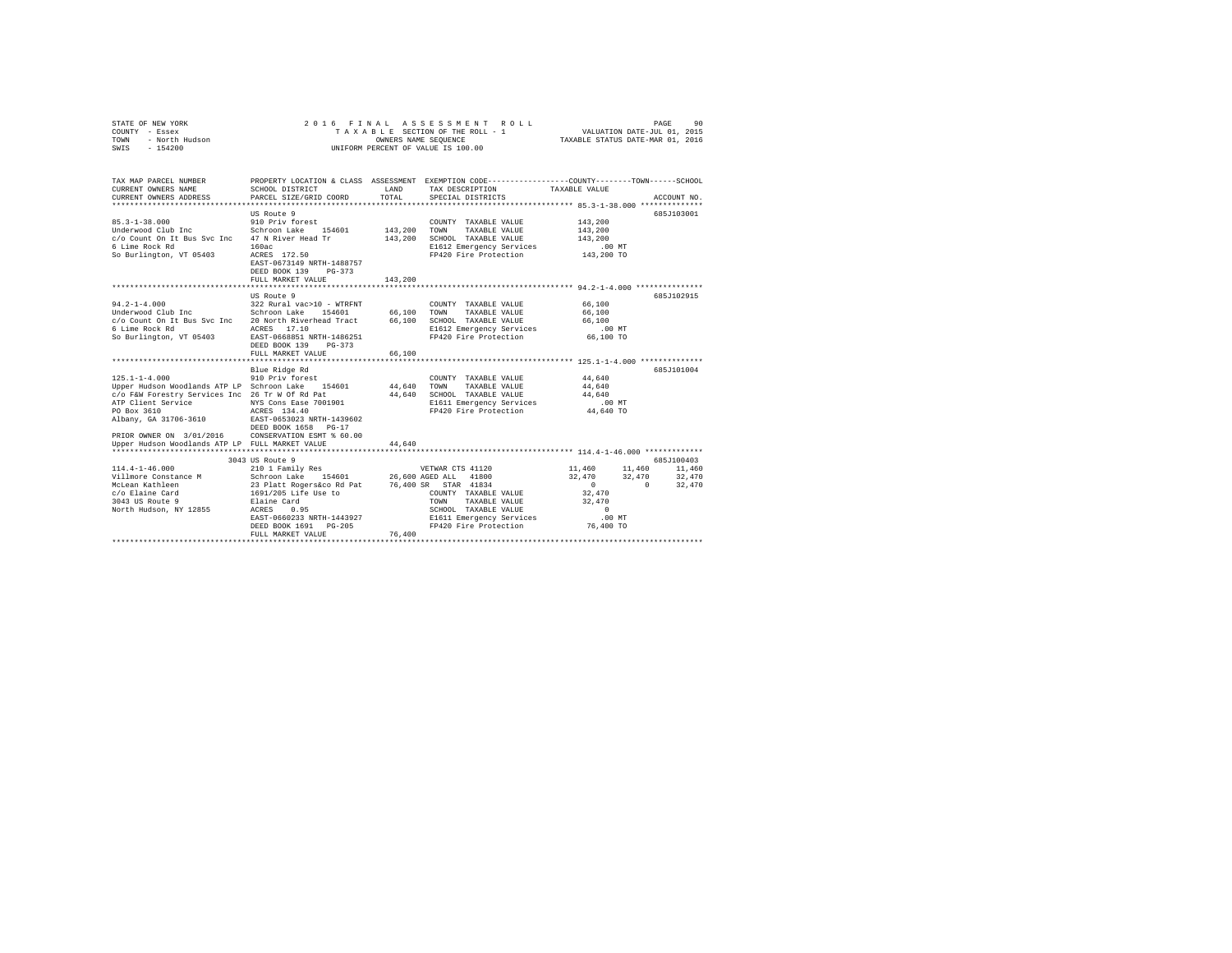| STATE OF NEW YORK<br>COUNTY - Essex<br>TOWN<br>- North Hudson<br>SWIS - 154200                                                                                                                                                                                                                     | 2016 FINAL ASSESSMENT ROLL<br>PAGE<br>90<br>VALUATION DATE-JUL 01, 2015<br>TAXABLE SECTION OF THE ROLL - 1<br>OWNERS NAME SEQUENCE<br>TAXABLE STATUS DATE-MAR 01, 2016<br>UNIFORM PERCENT OF VALUE IS 100.00                                                             |                               |                                                                                                                                                                         |                                                                                  |                                        |                  |  |  |
|----------------------------------------------------------------------------------------------------------------------------------------------------------------------------------------------------------------------------------------------------------------------------------------------------|--------------------------------------------------------------------------------------------------------------------------------------------------------------------------------------------------------------------------------------------------------------------------|-------------------------------|-------------------------------------------------------------------------------------------------------------------------------------------------------------------------|----------------------------------------------------------------------------------|----------------------------------------|------------------|--|--|
| TAX MAP PARCEL NUMBER<br>CURRENT OWNERS NAME<br>CURRENT OWNERS ADDRESS                                                                                                                                                                                                                             | SCHOOL DISTRICT<br>PARCEL SIZE/GRID COORD                                                                                                                                                                                                                                | LAND<br>TOTAL.                | PROPERTY LOCATION & CLASS ASSESSMENT EXEMPTION CODE---------------COUNTY-------TOWN-----SCHOOL<br>TAX DESCRIPTION<br>SPECIAL DISTRICTS                                  | TAXABLE VALUE                                                                    | ACCOUNT NO.                            |                  |  |  |
| $85.3 - 1 - 38.000$<br>Underwood Club Inc<br>c/o Count On It Bus Svc Inc 47 N River Head Tr<br>6 Lime Rock Rd<br>So Burlington, VT 05403                                                                                                                                                           | US Route 9<br>910 Priv forest<br>Schroon Lake 154601<br>160ac<br>ACRES 172.50<br>EAST-0673149 NRTH-1488757<br>DEED BOOK 139 PG-373<br>FULL MARKET VALUE                                                                                                                  | 143,200<br>143,200<br>143,200 | COUNTY TAXABLE VALUE<br>TOWN<br>TAXABLE VALUE<br>SCHOOL TAXABLE VALUE<br>E1612 Emergency Services<br>FP420 Fire Protection                                              | 143,200<br>143,200<br>143,200<br>.00MT<br>143,200 TO                             | 685J103001                             |                  |  |  |
|                                                                                                                                                                                                                                                                                                    |                                                                                                                                                                                                                                                                          |                               |                                                                                                                                                                         |                                                                                  |                                        |                  |  |  |
| $94.2 - 1 - 4.000$<br>Underwood Club Inc<br>c/o Count On It Bus Svc Inc 20 North Riverhead Tract<br>6 Lime Rock Rd<br>So Burlington, VT 05403                                                                                                                                                      | US Route 9<br>322 Rural vac>10 - WTRFNT<br>Schroon Lake 154601<br>ACRES 17.10<br>EAST-0668851 NRTH-1486251<br>DEED BOOK 139<br>$PG-373$<br>FULL MARKET VALUE                                                                                                             | 66,100<br>66,100<br>66,100    | COUNTY TAXABLE VALUE<br>TOWN<br>TAXABLE VALUE<br>SCHOOL TAXABLE VALUE<br>E1612 Emergency Services<br>FP420 Fire Protection                                              | 66,100<br>66,100<br>66,100<br>.00MT<br>66,100 TO                                 | 685J102915                             |                  |  |  |
| $125.1 - 1 - 4.000$<br>Upper Hudson Woodlands ATP LP Schroon Lake 154601<br>c/o F&W Forestry Services Inc 26 Tr W Of Rd Pat<br>ATP Client Service<br>PO Box 3610<br>Albany, GA 31706-3610<br>PRIOR OWNER ON 3/01/2016 CONSERVATION ESMT % 60.00<br>Upper Hudson Woodlands ATP LP FULL MARKET VALUE | Blue Ridge Rd<br>910 Priv forest<br>NYS Cons Ease 7001901<br>ACRES 134.40<br>EAST-0653023 NRTH-1439602<br>DEED BOOK 1658 PG-17                                                                                                                                           | 44,640<br>44.640<br>44,640    | COUNTY TAXABLE VALUE<br>TOWN<br>TAXABLE VALUE<br>SCHOOL TAXABLE VALUE<br>E1611 Emergency Services<br>FP420 Fire Protection                                              | 44,640<br>44,640<br>44.640<br>.00MT<br>44,640 TO                                 | 685J101004                             |                  |  |  |
|                                                                                                                                                                                                                                                                                                    | 3043 US Route 9                                                                                                                                                                                                                                                          |                               |                                                                                                                                                                         |                                                                                  | 685J100403                             |                  |  |  |
| $114.4 - 1 - 46.000$<br>Villmore Constance M<br>McLean Kathleen<br>c/o Elaine Card<br>3043 US Route 9<br>North Hudson, NY 12855                                                                                                                                                                    | 210 1 Family Res<br>Schroon Lake 154601<br>23 Platt Rogers&co Rd Pat 76,400 SR STAR 41834<br>1691/205 Life Use to COUNTY TAXABLE<br>Elaine Card<br>ACRES 0.95<br>EAST-0660233 NRTH-1443927<br>DEED BOOK 1691 PG-205<br>FULL MARKET VALUE<br>**************************** | 76,400                        | VETWAR CTS 41120<br>26,600 AGED ALL 41800<br>COUNTY TAXABLE VALUE<br>TOWN<br>TAXABLE VALUE<br>SCHOOL TAXABLE VALUE<br>E1611 Emergency Services<br>FP420 Fire Protection | 11,460<br>32,470<br>$\sim$<br>32,470<br>32,470<br>$\Omega$<br>.00MT<br>76,400 TO | 11,460<br>11,460<br>32,470<br>$\Omega$ | 32,470<br>32,470 |  |  |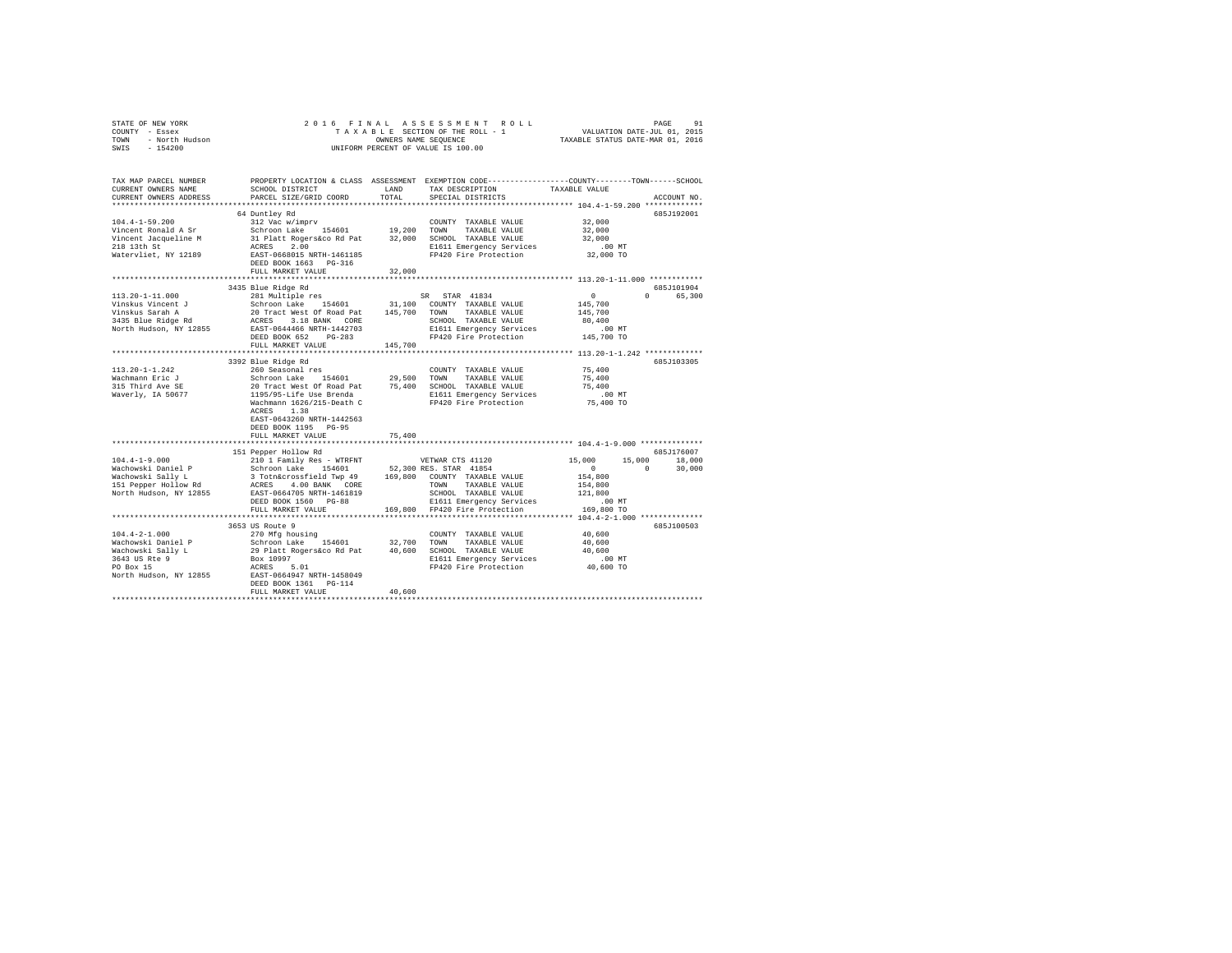|        | STATE OF NEW YORK      |                                      |       | 2016 FINAL ASSESSMENT ROLL                                   |                                  | PAGE                        | 91 |
|--------|------------------------|--------------------------------------|-------|--------------------------------------------------------------|----------------------------------|-----------------------------|----|
| COUNTY | - Essex                |                                      |       | TAXABLE SECTION OF THE ROLL - 1                              |                                  | VALUATION DATE-JUL 01, 2015 |    |
| TOWN   | - North Hudson         |                                      |       | OWNERS NAME SEOUENCE                                         | TAXABLE STATUS DATE-MAR 01, 2016 |                             |    |
| SWIS   | $-154200$              |                                      |       | UNIFORM PERCENT OF VALUE IS 100.00                           |                                  |                             |    |
|        |                        |                                      |       |                                                              |                                  |                             |    |
|        | TAX MAP PARCEL NUMBER  | PROPERTY LOCATION & CLASS ASSESSMENT |       | EXEMPTION CODE-----------------COUNTY-------TOWN------SCHOOL |                                  |                             |    |
|        | CURRENT OWNERS NAME    | SCHOOL DISTRICT                      | LAND  | TAX DESCRIPTION                                              | TAXABLE VALUE                    |                             |    |
|        | CURRENT OWNERS ADDRESS | PARCEL SIZE/GRID COORD               | TOTAL | SPECIAL DISTRICTS                                            |                                  | ACCOUNT NO.                 |    |

|                        | ************************                                                                                                                                                                                                              |        |                                                                     |                      |                                 |
|------------------------|---------------------------------------------------------------------------------------------------------------------------------------------------------------------------------------------------------------------------------------|--------|---------------------------------------------------------------------|----------------------|---------------------------------|
|                        | 64 Duntley Rd                                                                                                                                                                                                                         |        |                                                                     |                      | 685J192001                      |
| $104.4 - 1 - 59.200$   | 312 Vac w/imprv                                                                                                                                                                                                                       |        | COUNTY TAXABLE VALUE                                                | 32,000               |                                 |
|                        | Vincent Ronald A Sr 3/000<br>Vincent Ronald A Sr 36 Schroom Lake 154601 19,200 TOWN TAXABLE VALUE 32,000<br>19.100 TOWN TAXABLE VALUE 32,000<br>218 13th St 32,000 SCHOOL TAXABLE VALUE 32,000<br>218 13th St 32,000 RAEES 2.00 ECLOL |        |                                                                     |                      |                                 |
|                        |                                                                                                                                                                                                                                       |        |                                                                     |                      |                                 |
|                        |                                                                                                                                                                                                                                       |        |                                                                     |                      |                                 |
|                        |                                                                                                                                                                                                                                       |        |                                                                     |                      |                                 |
|                        | DEED BOOK 1663 PG-316                                                                                                                                                                                                                 |        |                                                                     |                      |                                 |
|                        | FULL MARKET VALUE                                                                                                                                                                                                                     | 32,000 |                                                                     |                      |                                 |
|                        |                                                                                                                                                                                                                                       |        |                                                                     |                      |                                 |
|                        | 3435 Blue Ridge Rd                                                                                                                                                                                                                    |        |                                                                     |                      | 685J101904                      |
| $113.20 - 1 - 11.000$  | 281 Multiple res                                                                                                                                                                                                                      |        | SR STAR 41834                                                       | $\Omega$             | $\Omega$ and $\Omega$<br>65,300 |
|                        |                                                                                                                                                                                                                                       |        |                                                                     | 145,700              |                                 |
|                        |                                                                                                                                                                                                                                       |        |                                                                     | 145,700              |                                 |
|                        |                                                                                                                                                                                                                                       |        | SCHOOL TAXABLE VALUE                                                | 80,400               |                                 |
|                        |                                                                                                                                                                                                                                       |        |                                                                     |                      |                                 |
|                        | DEED BOOK 652 PG-283                                                                                                                                                                                                                  |        | E1611 Emergency Services .00 MT<br>FP420 Fire Protection 145,700 TO |                      |                                 |
|                        |                                                                                                                                                                                                                                       |        |                                                                     |                      |                                 |
|                        |                                                                                                                                                                                                                                       |        |                                                                     |                      |                                 |
|                        | 3392 Blue Ridge Rd                                                                                                                                                                                                                    |        |                                                                     |                      | 685J103305                      |
| $113.20 - 1 - 1.242$   | 260 Seasonal res                                                                                                                                                                                                                      |        | COUNTY TAXABLE VALUE 75,400                                         |                      |                                 |
|                        |                                                                                                                                                                                                                                       |        |                                                                     | 75,400               |                                 |
|                        |                                                                                                                                                                                                                                       |        |                                                                     | 75,400               |                                 |
|                        |                                                                                                                                                                                                                                       |        |                                                                     |                      |                                 |
|                        |                                                                                                                                                                                                                                       |        | E1611 Emergency Services .00 MT<br>FP420 Fire Protection  75,400 TO |                      |                                 |
|                        | ACRES 1.38                                                                                                                                                                                                                            |        |                                                                     |                      |                                 |
|                        | EAST-0643260 NRTH-1442563                                                                                                                                                                                                             |        |                                                                     |                      |                                 |
|                        | DEED BOOK 1195 PG-95                                                                                                                                                                                                                  |        |                                                                     |                      |                                 |
|                        | FULL MARKET VALUE                                                                                                                                                                                                                     | 75,400 |                                                                     |                      |                                 |
|                        |                                                                                                                                                                                                                                       |        |                                                                     |                      |                                 |
|                        | 151 Pepper Hollow Rd                                                                                                                                                                                                                  |        |                                                                     |                      | 685J176007                      |
|                        |                                                                                                                                                                                                                                       |        |                                                                     | 15,000 15,000        | 18,000                          |
|                        |                                                                                                                                                                                                                                       |        |                                                                     | $\sim$ 0<br>$\sim$ 0 | 30,000                          |
|                        |                                                                                                                                                                                                                                       |        |                                                                     | 154,800              |                                 |
|                        |                                                                                                                                                                                                                                       |        |                                                                     | 154,800              |                                 |
| North Hudson, NY 12855 | EAST-0664705 NRTH-1461819                                                                                                                                                                                                             |        | SCHOOL TAXABLE VALUE 121,800                                        |                      |                                 |
|                        | DEED BOOK 1560 PG-88                                                                                                                                                                                                                  |        |                                                                     |                      |                                 |
|                        | FULL MARKET VALUE                                                                                                                                                                                                                     |        |                                                                     |                      |                                 |
|                        |                                                                                                                                                                                                                                       |        |                                                                     |                      |                                 |
|                        | 3653 US Route 9                                                                                                                                                                                                                       |        |                                                                     |                      | 685J100503                      |
|                        |                                                                                                                                                                                                                                       |        |                                                                     |                      |                                 |
|                        |                                                                                                                                                                                                                                       |        |                                                                     |                      |                                 |
|                        |                                                                                                                                                                                                                                       |        |                                                                     |                      |                                 |
|                        |                                                                                                                                                                                                                                       |        |                                                                     |                      |                                 |
|                        |                                                                                                                                                                                                                                       |        |                                                                     |                      |                                 |
|                        |                                                                                                                                                                                                                                       |        |                                                                     |                      |                                 |
|                        | DEED BOOK 1361    PG-114                                                                                                                                                                                                              |        |                                                                     |                      |                                 |
|                        | FULL MARKET VALUE                                                                                                                                                                                                                     | 40,600 |                                                                     |                      |                                 |
|                        |                                                                                                                                                                                                                                       |        |                                                                     |                      |                                 |
|                        |                                                                                                                                                                                                                                       |        |                                                                     |                      |                                 |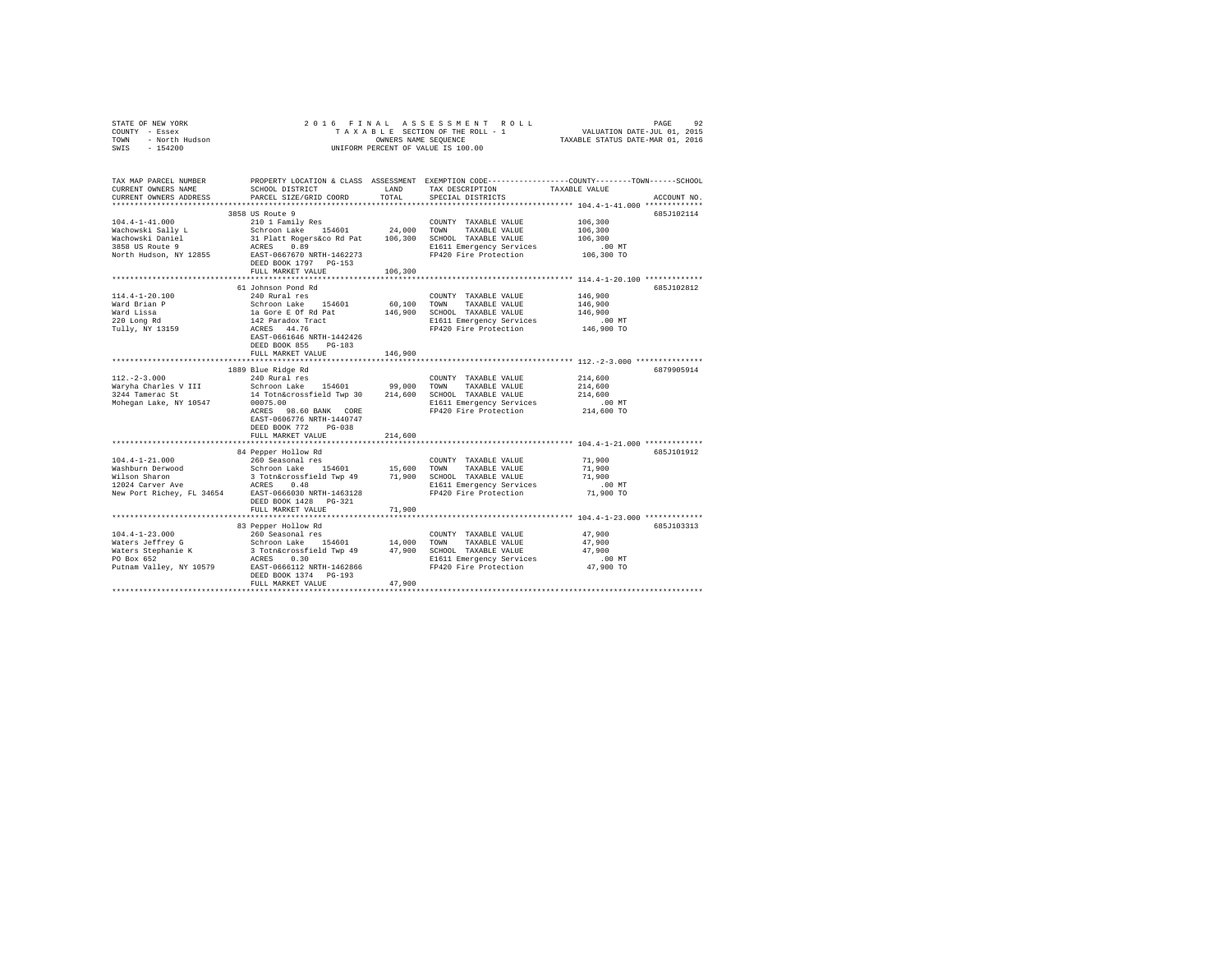|      | STATE OF NEW YORK |  | 2016 FINAL ASSESSMENT ROLL         | PAGE                             | 92 |
|------|-------------------|--|------------------------------------|----------------------------------|----|
|      | COUNTY - Essex    |  | TAXABLE SECTION OF THE ROLL - 1    | VALUATION DATE-JUL 01, 2015      |    |
| TOWN | - North Hudson    |  | OWNERS NAME SEOUENCE               | TAXABLE STATUS DATE-MAR 01, 2016 |    |
| SWIS | $-154200$         |  | UNIFORM PERCENT OF VALUE IS 100.00 |                                  |    |

| TAX MAP PARCEL NUMBER<br>CURRENT OWNERS NAME      | SCHOOL DISTRICT                                                                                                                                                                    | LAND        | TAX DESCRIPTION             | PROPERTY LOCATION & CLASS ASSESSMENT EXEMPTION CODE---------------COUNTY-------TOWN-----SCHOOL<br>TAXABLE VALUE |
|---------------------------------------------------|------------------------------------------------------------------------------------------------------------------------------------------------------------------------------------|-------------|-----------------------------|-----------------------------------------------------------------------------------------------------------------|
| CURRENT OWNERS ADDRESS<br>*********************** | PARCEL SIZE/GRID COORD                                                                                                                                                             | TOTAL       | SPECIAL DISTRICTS           | ACCOUNT NO.                                                                                                     |
|                                                   | 3858 US Route 9                                                                                                                                                                    |             |                             | 6857102114                                                                                                      |
| $104.4 - 1 - 41.000$                              |                                                                                                                                                                                    |             |                             | 106,300                                                                                                         |
| Wachowski Sally L                                 |                                                                                                                                                                                    |             |                             | 106,300                                                                                                         |
| Wachowski Daniel                                  |                                                                                                                                                                                    |             |                             | 106,300                                                                                                         |
| 3858 US Route 9                                   |                                                                                                                                                                                    |             | E1611 Emergency Services    | $.00$ MT                                                                                                        |
|                                                   | North Hudson, NY 12855 EAST-0667670 NRTH-1462273                                                                                                                                   |             | FP420 Fire Protection       | 106,300 TO                                                                                                      |
|                                                   | DEED BOOK 1797 PG-153                                                                                                                                                              |             |                             |                                                                                                                 |
|                                                   | FULL MARKET VALUE                                                                                                                                                                  | 106,300     |                             |                                                                                                                 |
|                                                   |                                                                                                                                                                                    |             |                             |                                                                                                                 |
|                                                   | 61 Johnson Pond Rd                                                                                                                                                                 |             |                             | 685J102812                                                                                                      |
| $114.4 - 1 - 20.100$                              | 240 Rural res                                                                                                                                                                      |             | COUNTY TAXABLE VALUE        | 146,900                                                                                                         |
| Ward Brian P                                      | Schroon Lake 154601                                                                                                                                                                | 60,100 TOWN | TAXABLE VALUE               | 146,900                                                                                                         |
| Ward Lissa                                        | la Gore E Of Rd Pat                                                                                                                                                                | 146,900     | SCHOOL TAXABLE VALUE        | 146,900                                                                                                         |
|                                                   | 142 Paradox Tract<br>ACRES 44.76                                                                                                                                                   |             | E1611 Emergency Services    | .00MT                                                                                                           |
| 220 Long Rd<br>Tully, NY 13159                    |                                                                                                                                                                                    |             | FP420 Fire Protection       | 146,900 TO                                                                                                      |
|                                                   | EAST-0661646 NRTH-1442426                                                                                                                                                          |             |                             |                                                                                                                 |
|                                                   | DEED BOOK 855<br>$PG-183$                                                                                                                                                          |             |                             |                                                                                                                 |
|                                                   | FULL MARKET VALUE                                                                                                                                                                  | 146,900     |                             |                                                                                                                 |
|                                                   | **************************                                                                                                                                                         | *********** |                             | ********************************** 112.-2-3.000 ********************************                                |
|                                                   | 1889 Blue Ridge Rd                                                                                                                                                                 |             |                             | 6879905914                                                                                                      |
| $112. - 2 - 3.000$                                | 240 Rural res                                                                                                                                                                      |             | COUNTY TAXABLE VALUE        | 214,600                                                                                                         |
| Waryha Charles V III                              | Schroon Lake 154601 99,000 TOWN TAXABLE VALUE<br>14 Totn&crossfield Twp 30 214,600 SCHOOL TAXABLE VALUE                                                                            |             |                             | 214,600                                                                                                         |
| 3244 Tamerac St<br>Mohegan Lake, NY 10547         | 00075.00                                                                                                                                                                           |             | E1611 Emergency Services    | 214,600<br>.00 MT                                                                                               |
|                                                   | ACRES 98.60 BANK CORE                                                                                                                                                              |             | FP420 Fire Protection       | 214,600 TO                                                                                                      |
|                                                   | EAST-0606776 NRTH-1440747                                                                                                                                                          |             |                             |                                                                                                                 |
|                                                   | DEED BOOK 772<br>$PG-038$                                                                                                                                                          |             |                             |                                                                                                                 |
|                                                   | FULL MARKET VALUE                                                                                                                                                                  | 214,600     |                             |                                                                                                                 |
|                                                   |                                                                                                                                                                                    |             |                             |                                                                                                                 |
|                                                   | 84 Pepper Hollow Rd                                                                                                                                                                |             |                             | 685J101912                                                                                                      |
| $104.4 - 1 - 21.000$                              | 260 Seasonal res                                                                                                                                                                   |             | COUNTY TAXABLE VALUE        | 71,900                                                                                                          |
|                                                   |                                                                                                                                                                                    |             | TAXABLE VALUE               | 71,900                                                                                                          |
|                                                   |                                                                                                                                                                                    |             | 71,900 SCHOOL TAXABLE VALUE | 71,900                                                                                                          |
|                                                   |                                                                                                                                                                                    |             | E1611 Emergency Services    | $.00$ MT                                                                                                        |
|                                                   | %Washburn Derwood Schroon Lake 154601 15,600 TOMN<br>1980 Saron Sarona 3 Totnacrossfield Twp 49 71,900 SCHOOL<br>12024 Carver Ave ARCRES 0.48 ACRES 0.49 B1611 En<br>1200 FP420 Fi |             | FP420 Fire Protection       | 71,900 TO                                                                                                       |
|                                                   | DEED BOOK 1428 PG-321                                                                                                                                                              |             |                             |                                                                                                                 |
|                                                   | FULL MARKET VALUE                                                                                                                                                                  | 71,900      |                             |                                                                                                                 |
|                                                   |                                                                                                                                                                                    |             |                             |                                                                                                                 |
|                                                   | 83 Pepper Hollow Rd                                                                                                                                                                |             |                             | 685J103313                                                                                                      |
|                                                   |                                                                                                                                                                                    |             | COUNTY TAXABLE VALUE        | 47,900                                                                                                          |
|                                                   |                                                                                                                                                                                    |             |                             | 47,900                                                                                                          |
|                                                   |                                                                                                                                                                                    |             |                             | 47.900                                                                                                          |
|                                                   |                                                                                                                                                                                    |             | E1611 Emergency Services    | $.00$ MT                                                                                                        |
|                                                   |                                                                                                                                                                                    |             | FP420 Fire Protection       | 47,900 TO                                                                                                       |
|                                                   | DEED BOOK 1374    PG-193<br>FULL MARKET VALUE                                                                                                                                      | 47,900      |                             |                                                                                                                 |
|                                                   |                                                                                                                                                                                    |             |                             |                                                                                                                 |
|                                                   |                                                                                                                                                                                    |             |                             |                                                                                                                 |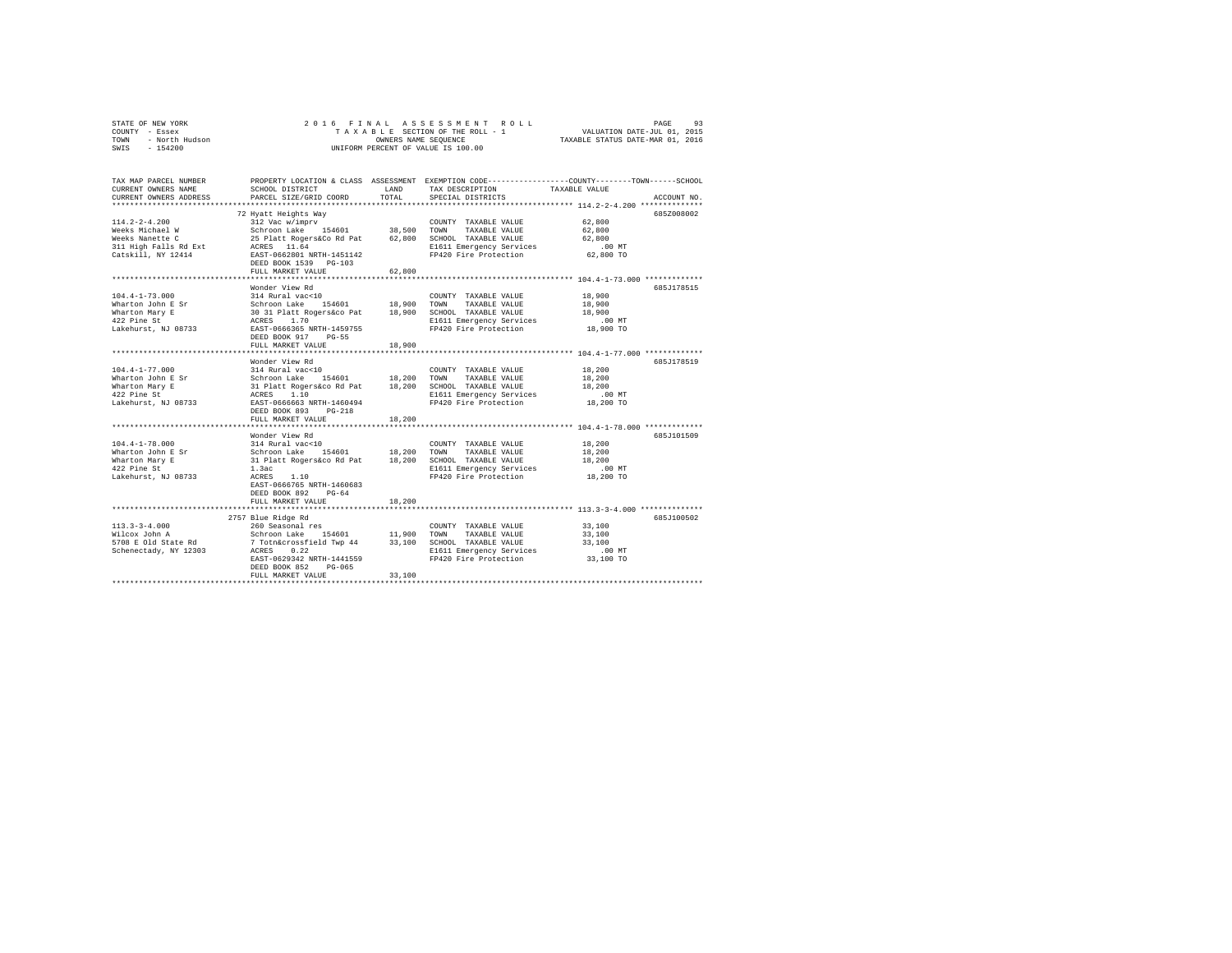|                | STATE OF NEW YORK |  | 2016 FINAL ASSESSMENT ROLL         | 93<br>PAGE                       |
|----------------|-------------------|--|------------------------------------|----------------------------------|
| COUNTY - Essex |                   |  | TAXABLE SECTION OF THE ROLL - 1    | VALUATION DATE-JUL 01, 2015      |
| TOWN           | - North Hudson    |  | OWNERS NAME SEOUENCE               | TAXABLE STATUS DATE-MAR 01, 2016 |
| SWIS           | $-154200$         |  | UNIFORM PERCENT OF VALUE IS 100.00 |                                  |

| TAX MAP PARCEL NUMBER<br>CURRENT OWNERS NAME<br>CURRENT OWNERS ADDRESS                                   | SCHOOL DISTRICT<br>PARCEL SIZE/GRID COORD                                                                                                                                                                                               | <b>T.AND</b><br>TOTAL | PROPERTY LOCATION & CLASS ASSESSMENT EXEMPTION CODE---------------COUNTY-------TOWN-----SCHOOL<br>TAX DESCRIPTION<br>SPECIAL DISTRICTS | TAXABLE VALUE                                                                                                         | ACCOUNT NO. |
|----------------------------------------------------------------------------------------------------------|-----------------------------------------------------------------------------------------------------------------------------------------------------------------------------------------------------------------------------------------|-----------------------|----------------------------------------------------------------------------------------------------------------------------------------|-----------------------------------------------------------------------------------------------------------------------|-------------|
| $114.2 - 2 - 4.200$<br>Weeks Michael W<br>Weeks Nanette C<br>311 High Falls Rd Ext<br>Catskill, NY 12414 | 72 Hyatt Heights Way<br>312 Vac w/imprv<br>154601 38,500<br>Schroon Lake<br>25 Platt Rogers&Co Rd Pat<br>ACRES 11.64<br>EAST-0662801 NRTH-1451142<br>DEED BOOK 1539 PG-103<br>FULL MARKET VALUE<br>                                     | 62,800<br>.           | COUNTY TAXABLE VALUE<br>TOWN<br>TAXABLE VALUE<br>62,800 SCHOOL TAXABLE VALUE<br>E1611 Emergency Services<br>FP420 Fire Protection      | 62,800<br>62,800<br>62,800<br>.00 MT<br>62,800 TO<br>*********************** 104.4-1-73.000 **************            | 685Z008002  |
| $104.4 - 1 - 73.000$<br>Wharton John E Sr<br>Wharton Mary E<br>422 Pine St<br>Lakehurst, NJ 08733        | Wonder View Rd<br>314 Rural vac<10<br>Schroon Lake 154601<br>30 31 Platt Rogers&co Pat 18,900 SCHOOL TAXABLE VALUE<br>ACRES 1.70 1.70 E1611 Emergency Services<br>EAST-0666365 NRTH-1459755<br>DEED BOOK 917 PG-55<br>FULL MARKET VALUE | 18,900 TOWN<br>18,900 | COUNTY TAXABLE VALUE<br>TAXABLE VALUE<br>FP420 Fire Protection                                                                         | 18,900<br>18,900<br>18,900<br>$.00$ MT<br>18,900 TO                                                                   | 685J178515  |
| $104.4 - 1 - 77.000$<br>Wharton John E Sr<br>Wharton Mary E<br>422 Pine St<br>Lakehurst, NJ 08733        | Wonder View Rd<br>314 Rural vac<10<br>Schroon Lake 154601 18,200<br>31 Platt Rogers&co Rd Pat 18,200<br>ACRES 1.10<br>EAST-0666663 NRTH-1460494<br>DEED BOOK 893<br>$PG-218$<br>FULL MARKET VALUE                                       | 18,200                | COUNTY TAXABLE VALUE<br>TOWN<br>TAXABLE VALUE<br>SCHOOL TAXABLE VALUE<br>E1611 Emergency Services<br>FP420 Fire Protection             | 18,200<br>18,200<br>18,200<br>.00 MT<br>18,200 TO                                                                     | 685J178519  |
| $104.4 - 1 - 78.000$<br>Wharton John E Sr<br>Wharton Mary E<br>422 Pine St<br>Lakehurst, NJ 08733        | Wonder View Rd<br>314 Rural vac<10<br>Schroon Lake<br>154601 18,200<br>31 Platt Rogers&co Rd Pat 18,200 SCHOOL TAXABLE VALUE<br>1.3ac<br>ACRES<br>1.10<br>EAST-0666765 NRTH-1460683<br>DEED BOOK 892<br>$PG-64$<br>FULL MARKET VALUE    | 18,200                | COUNTY TAXABLE VALUE<br>TOWN<br>TAXABLE VALUE<br>E1611 Emergency Services<br>FP420 Fire Protection                                     | 18,200<br>18,200<br>18,200<br>.00 MT<br>18,200 TO                                                                     | 685J101509  |
| $113.3 - 3 - 4.000$<br>Wilcox John A<br>5708 E Old State Rd<br>Schenectady, NY 12303                     | 2757 Blue Ridge Rd<br>260 Seasonal res<br>Schroon Lake 154601<br>7 Totn&crossfield Twp 44<br>ACRES 0.22<br>154601 11,900<br>EAST-0629342 NRTH-1441559<br>DEED BOOK 852<br>$PG-065$<br>FULL MARKET VALUE                                 | 33,100                | COUNTY TAXABLE VALUE<br>TOWN<br>TAXABLE VALUE<br>33,100 SCHOOL TAXABLE VALUE<br>E1611 Emergency Services<br>FP420 Fire Protection      | ********************************** 113.3-3-4.000 *************<br>33,100<br>33,100<br>33,100<br>$.00$ MT<br>33,100 TO | 685J100502  |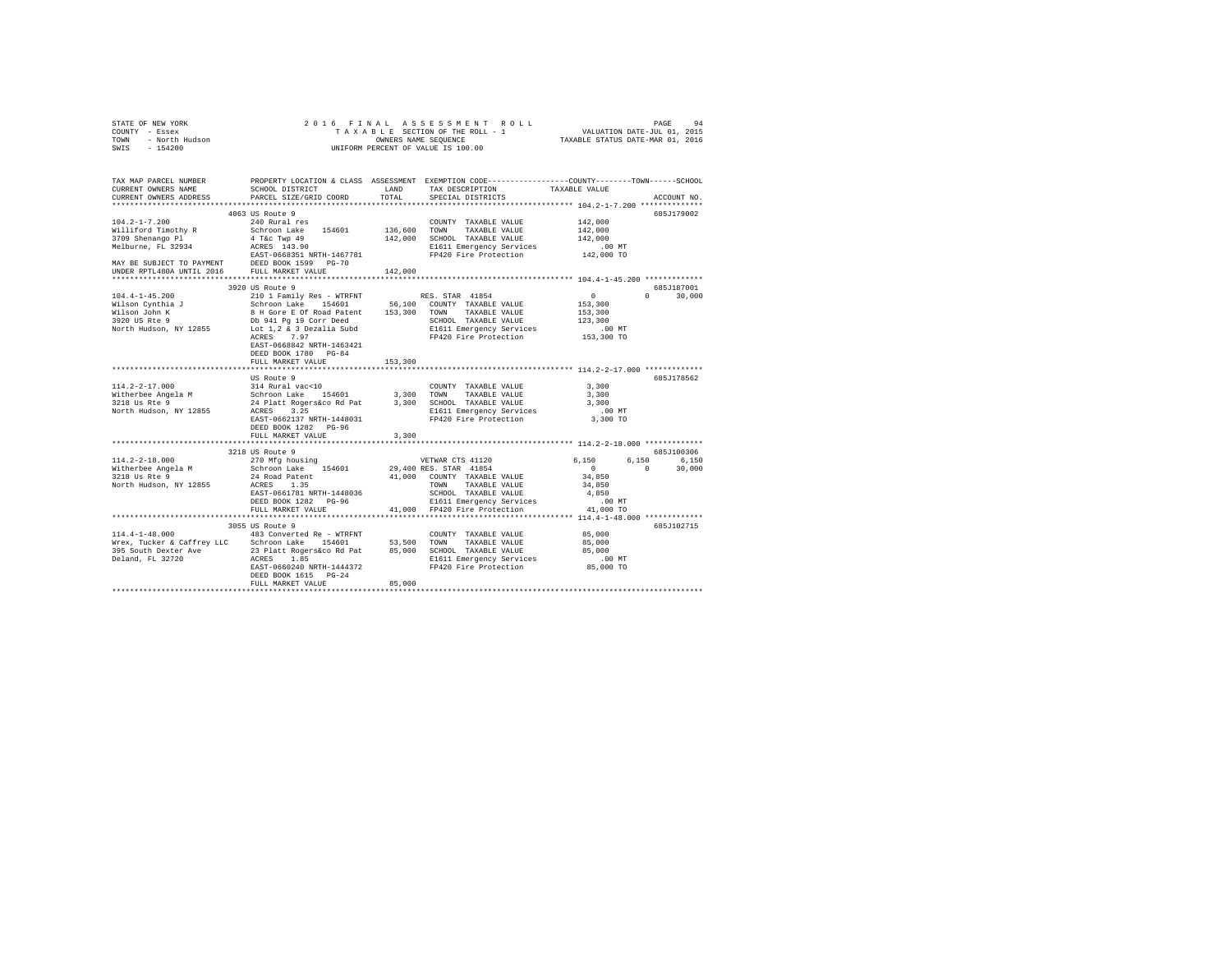|                                                                                                                                                                                                                                                                 |                                                                                                         |         | $\begin{tabular}{ccccc} 2 & 0 & 1 & 6 & $\texttt{F} \texttt{ I} \texttt{ M} \texttt{ A} & \texttt{A} \texttt{ S} \texttt{ S} \texttt{ S} \texttt{ S} \texttt{ S} \texttt{ M} \texttt{ R} \texttt{ S} \texttt{ D} \texttt{ L} \texttt{ D} \texttt{ A} \texttt{ S} \texttt{ S} \texttt{ R} \texttt{ S} \texttt{ D} \texttt{ A} \texttt{ T} \texttt{ A} \texttt{ A} \texttt{ S} \texttt{ R} \texttt{ A} \texttt{ S} \texttt{ R} \texttt{ A} \texttt{ S}$ |                                                                                                                                 |                             |
|-----------------------------------------------------------------------------------------------------------------------------------------------------------------------------------------------------------------------------------------------------------------|---------------------------------------------------------------------------------------------------------|---------|-------------------------------------------------------------------------------------------------------------------------------------------------------------------------------------------------------------------------------------------------------------------------------------------------------------------------------------------------------------------------------------------------------------------------------------------------------|---------------------------------------------------------------------------------------------------------------------------------|-----------------------------|
| TAX MAP PARCEL NUMBER PROPERTY LOCATION & CLASS ASSESSMENT EXEMPTION CODE---------------COUNTY-------TOWN------SCHOOL<br>CURRENT OWNERS NAME SCHOOL DISTRICT LAND TAX DESCRIPTION TAXABLE VALUE<br>CURRENT OWNERS ADDRESS                                       | PARCEL SIZE/GRID COORD                                                                                  | TOTAL   | ${\tt LAND} \hspace{20pt} {\tt TAX} \hspace{20pt} {\tt PESCRIPTION} \hspace{20pt} {\tt TAXABLE} \hspace{20pt} {\tt VALUE}$<br>SPECIAL DISTRICTS                                                                                                                                                                                                                                                                                                       |                                                                                                                                 | ACCOUNT NO.                 |
| $\begin{tabular}{cccc} 104.2-1-7.200 & 240.7544 & 240.8644 & 240.8644 & 240.8644 & 240.8644 & 240.8644 & 240.8644 & 240.8644 & 240.8644 & 240.8644 & 240.8644 & 240.8644 & 240.8644 & 240.8644 & 240.8644 & 240.8644 & 240.8644 & 240.8644 & 240.8644 & 240.86$ | 4063 US Route 9                                                                                         |         |                                                                                                                                                                                                                                                                                                                                                                                                                                                       |                                                                                                                                 | 685J179002                  |
|                                                                                                                                                                                                                                                                 | 3920 US Route 9<br>ACRES 7.97<br>EAST-0668842 NRTH-1463421<br>DEED BOOK 1780 PG-84<br>FULL MARKET VALUE | 153,300 | FP420 Fire Protection<br>**************************** 114.2-2-17.000 *************                                                                                                                                                                                                                                                                                                                                                                    | $\sim$ 0<br>153,300<br>123,300<br>.00 MT<br>153,300 TO                                                                          | 685J187001<br>$0 \t 30.000$ |
|                                                                                                                                                                                                                                                                 | US Route 9<br>DEED BOOK 1282 PG-96<br>FULL MARKET VALUE                                                 | 3,300   | $\begin{tabular}{lllllllllllll} \multicolumn{2}{c}{\text{COUNTY}} & \text{TAXABLE VALUE} & & & & 3\,,300 \\ \multicolumn{2}{c}{\text{TOWN}} & \text{TAXABLE VALUE} & & & 3\,,300 \\ \end{tabular}$                                                                                                                                                                                                                                                    | 3,300<br>$.00$ MT<br>3,300 TO                                                                                                   | 685J178562                  |
| **************************                                                                                                                                                                                                                                      | **************************<br>3218 US Route 9                                                           |         |                                                                                                                                                                                                                                                                                                                                                                                                                                                       |                                                                                                                                 | 685J100306                  |
| 114.2-2-18.000<br>270 MFg housing<br>270 MFg housing<br>270 MFg housing<br>270 MFg housing<br>270 MFg housing<br>290 ME 154601<br>29,400 COUNTY TAXABLE VALUE<br>24 Road Patent<br>29,000 COUNTY TAXABLE VALUE<br>29,000 COUNTY TAXABLE VALUE<br>29             |                                                                                                         |         |                                                                                                                                                                                                                                                                                                                                                                                                                                                       | $\begin{array}{cccc} 6\,, 150 & \quad & 6\,, 150 & \quad & 6\,, 150 \\ 0 & \quad & 0 & \quad & 30\,, 000 \end{array}$<br>34,850 |                             |
|                                                                                                                                                                                                                                                                 | 3055 US Route 9                                                                                         |         |                                                                                                                                                                                                                                                                                                                                                                                                                                                       |                                                                                                                                 | 685J102715                  |
| 114.4-1-48.000 483 Converted Re - WTRFNT                                                                                                                                                                                                                        | DEED BOOK 1615 PG-24<br>FULL MARKET VALUE                                                               | 85,000  | COUNTY TAXABLE VALUE                                                                                                                                                                                                                                                                                                                                                                                                                                  | 85,000                                                                                                                          |                             |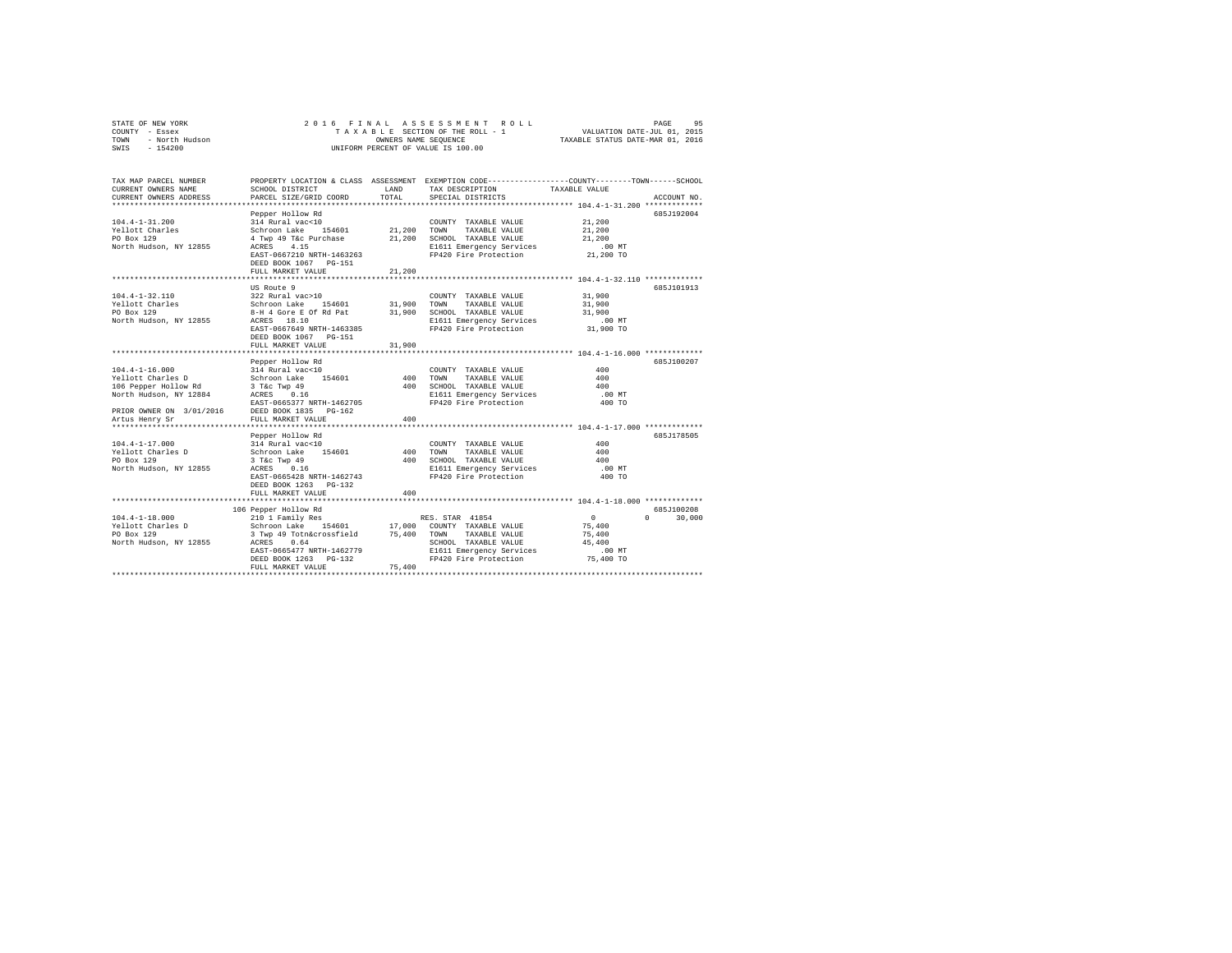| STATE OF NEW YORK<br>COUNTY - Essex<br>TOWN - North Hudson<br>SWIS - 154200                 | 2016 FINAL ASSESSMENT ROLL<br>PAGE<br>95<br>T A X A B L E SECTION OF THE ROLL - 1<br>OWNERS NAME SEQUENCE<br>VALUATION DATE-JUL 01, 2015<br>TAXABLE STATUS DATE-MAR 01, 2016<br>OWNERS NAME SEQUENCE<br>UNIFORM PERCENT OF VALUE IS 100.00 |                            |                                                                                                                                                   |                                                                 |                             |  |  |  |
|---------------------------------------------------------------------------------------------|--------------------------------------------------------------------------------------------------------------------------------------------------------------------------------------------------------------------------------------------|----------------------------|---------------------------------------------------------------------------------------------------------------------------------------------------|-----------------------------------------------------------------|-----------------------------|--|--|--|
| TAX MAP PARCEL NUMBER<br>CURRENT OWNERS NAME<br>CURRENT OWNERS ADDRESS                      | SCHOOL DISTRICT<br>PARCEL SIZE/GRID COORD                                                                                                                                                                                                  | LAND<br>TOTAL              | PROPERTY LOCATION & CLASS ASSESSMENT EXEMPTION CODE---------------COUNTY-------TOWN-----SCHOOL<br>TAX DESCRIPTION<br>SPECIAL DISTRICTS            | TAXABLE VALUE                                                   | ACCOUNT NO.                 |  |  |  |
| $104.4 - 1 - 31.200$<br>Yellott Charles<br>PO Box 129<br>North Hudson, NY 12855             | Pepper Hollow Rd<br>314 Rural vac<10<br>Schroon Lake 154601<br>4 Twp 49 T&c Purchase<br>ACRES 4.15<br>EAST-0667210 NRTH-1463263<br>DEED BOOK 1067 PG-151<br>FULL MARKET VALUE                                                              | 21,200<br>21,200<br>21,200 | COUNTY TAXABLE VALUE<br>TOWN<br>TAXABLE VALUE<br>SCHOOL TAXABLE VALUE<br>E1611 Emergency Services<br>FP420 Fire Protection                        | 21,200<br>21,200<br>21,200<br>$.00$ MT<br>21,200 TO             | 685J192004                  |  |  |  |
|                                                                                             |                                                                                                                                                                                                                                            |                            |                                                                                                                                                   |                                                                 |                             |  |  |  |
| $104.4 - 1 - 32.110$<br>Yellott Charles<br>PO Box 129<br>North Hudson, NY 12855             | US Route 9<br>322 Rural vac>10<br>Schroon Lake 154601<br>8-H 4 Gore E Of Rd Pat<br>ACRES 18.10<br>EAST-0667649 NRTH-1463385<br>DEED BOOK 1067 PG-151                                                                                       | 31,900<br>31,900           | COUNTY TAXABLE VALUE<br>TOWN<br>TAXABLE VALUE<br>SCHOOL TAXABLE VALUE<br>E1611 Emergency Services<br>FP420 Fire Protection                        | 31,900<br>31,900<br>31,900<br>$.00$ MT<br>31,900 TO             | 685J101913                  |  |  |  |
|                                                                                             | FULL MARKET VALUE                                                                                                                                                                                                                          | 31,900                     |                                                                                                                                                   |                                                                 |                             |  |  |  |
| $104.4 - 1 - 16.000$<br>Yellott Charles D<br>106 Pepper Hollow Rd<br>North Hudson, NY 12884 | Pepper Hollow Rd<br>314 Rural vac<10<br>Schroon Lake 154601<br>3 T&c Twp 49<br>ACRES 0.16<br>EAST-0665377 NRTH-1462705                                                                                                                     | 400                        | COUNTY TAXABLE VALUE<br>TOWN<br>TAXABLE VALUE<br>400 SCHOOL TAXABLE VALUE<br>E1611 Emergency Services<br>FP420 Fire Protection                    | 400<br>400<br>400<br>.00 MT<br>400 TO                           | 685J100207                  |  |  |  |
| PRIOR OWNER ON 3/01/2016<br>Artus Henry Sr                                                  | DEED BOOK 1835 PG-162<br>FULL MARKET VALUE                                                                                                                                                                                                 | 400                        |                                                                                                                                                   |                                                                 |                             |  |  |  |
| $104.4 - 1 - 17.000$<br>Yellott Charles D<br>PO Box 129<br>North Hudson, NY 12855           | Pepper Hollow Rd<br>314 Rural vac<10<br>Schroon Lake 154601<br>$3$ T&c Twp $49$<br>ACRES 0.16<br>EAST-0665428 NRTH-1462743<br>DEED BOOK 1263 PG-132<br>FULL MARKET VALUE                                                                   | 400<br>400                 | COUNTY TAXABLE VALUE<br>TOWN<br>TAXABLE VALUE<br>400 SCHOOL TAXABLE VALUE<br>E1611 Emergency Services<br>FP420 Fire Protection                    | 400<br>400<br>400<br>.00 MT<br>400 TO                           | 685J178505                  |  |  |  |
|                                                                                             |                                                                                                                                                                                                                                            |                            | ************************************** 104.4-1-18.000 *************                                                                               |                                                                 |                             |  |  |  |
| $104.4 - 1 - 18.000$<br>Yellott Charles D<br>PO Box 129<br>North Hudson, NY 12855           | 106 Pepper Hollow Rd<br>210 1 Family Res<br>Schroon Lake 154601<br>3 Twp 49 Totn&crossfield<br>ACRES 0.64<br>EAST-0665477 NRTH-1462779<br>DEED BOOK 1263 PG-132<br>FULL MARKET VALUE                                                       | 17,000<br>75,400           | RES. STAR 41854<br>COUNTY TAXABLE VALUE<br>75,400 TOWN TAXABLE VALUE<br>SCHOOL TAXABLE VALUE<br>E1611 Emergency Services<br>FP420 Fire Protection | $\sim$ 0<br>75,400<br>75,400<br>45,400<br>$.00$ MT<br>75,400 TO | 685J100208<br>$0 \t 30.000$ |  |  |  |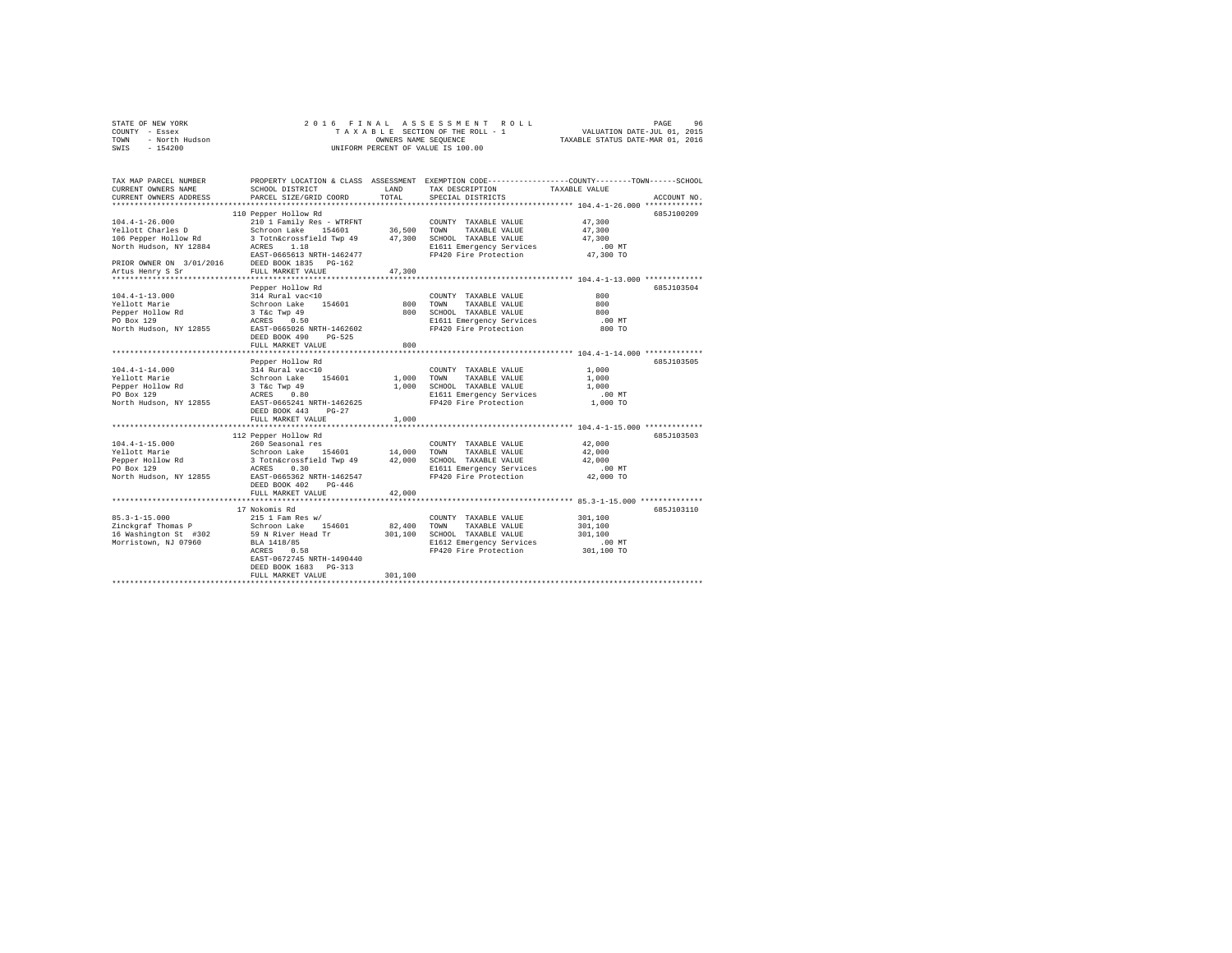|                | STATE OF NEW YORK |  |  |  |  | 2016 FINAL ASSESSMENT ROLL         | PAGE                             | 96 |
|----------------|-------------------|--|--|--|--|------------------------------------|----------------------------------|----|
| COUNTY - Essex |                   |  |  |  |  | TAXABLE SECTION OF THE ROLL - 1    | VALUATION DATE-JUL 01, 2015      |    |
| TOWN           | - North Hudson    |  |  |  |  | OWNERS NAME SEOUENCE               | TAXABLE STATUS DATE-MAR 01, 2016 |    |
| SWIS           | $-154200$         |  |  |  |  | UNIFORM PERCENT OF VALUE IS 100.00 |                                  |    |

| TAX MAP PARCEL NUMBER<br>CURRENT OWNERS NAME<br>CURRENT OWNERS ADDRESS | SCHOOL DISTRICT<br>PARCEL SIZE/GRID COORD | <b>T.AND</b><br>TOTAL | TAX DESCRIPTION<br>SPECIAL DISTRICTS | PROPERTY LOCATION & CLASS ASSESSMENT EXEMPTION CODE---------------COUNTY-------TOWN-----SCHOOL<br>TAXABLE VALUE<br>ACCOUNT NO. |
|------------------------------------------------------------------------|-------------------------------------------|-----------------------|--------------------------------------|--------------------------------------------------------------------------------------------------------------------------------|
| ***********************                                                |                                           |                       |                                      |                                                                                                                                |
|                                                                        | 110 Pepper Hollow Rd                      |                       |                                      | 685J100209                                                                                                                     |
| $104.4 - 1 - 26.000$                                                   | 210 1 Family Res - WTRFNT                 |                       | COUNTY TAXABLE VALUE                 | 47,300                                                                                                                         |
| Yellott Charles D                                                      | Schroon Lake<br>154601                    | 36,500                | TOWN<br>TAXABLE VALUE                | 47,300                                                                                                                         |
| 106 Pepper Hollow Rd                                                   | 3 Totn&crossfield Twp 49                  | 47,300                | SCHOOL TAXABLE VALUE                 | 47,300                                                                                                                         |
| North Hudson, NY 12884                                                 | 1.18<br>ACRES                             |                       | E1611 Emergency Services             | $.00$ MT                                                                                                                       |
|                                                                        | EAST-0665613 NRTH-1462477                 |                       | FP420 Fire Protection                | 47,300 TO                                                                                                                      |
| PRIOR OWNER ON 3/01/2016 DEED BOOK 1835                                | $PG-162$                                  |                       |                                      |                                                                                                                                |
| Artus Henry S Sr                                                       | FULL MARKET VALUE                         | 47.300                |                                      |                                                                                                                                |
|                                                                        | .                                         |                       |                                      | *********************** 104.4-1-13.000 ************                                                                            |
|                                                                        | Pepper Hollow Rd                          |                       |                                      | 685.7103504                                                                                                                    |
| $104.4 - 1 - 13.000$                                                   | 314 Rural vac<10                          |                       | COUNTY TAXABLE VALUE                 | 800                                                                                                                            |
| Yellott Marie                                                          | Schroon Lake<br>154601                    | 800                   | TOWN<br>TAXABLE VALUE                | 800                                                                                                                            |
| Pepper Hollow Rd                                                       | 3 T&c Twp 49                              | 800                   | SCHOOL TAXABLE VALUE                 | 800                                                                                                                            |
| PO Box 129                                                             | ACRES<br>0.50                             |                       | E1611 Emergency Services             | .00 MT                                                                                                                         |
| North Hudson, NY 12855                                                 | EAST-0665026 NRTH-1462602                 |                       | FP420 Fire Protection                | 800 TO                                                                                                                         |
|                                                                        | $PG-525$<br>DEED BOOK 490                 |                       |                                      |                                                                                                                                |
|                                                                        | FULL MARKET VALUE                         | 800                   |                                      |                                                                                                                                |
|                                                                        |                                           |                       |                                      |                                                                                                                                |
|                                                                        | Pepper Hollow Rd                          |                       |                                      | 685J103505                                                                                                                     |
| $104.4 - 1 - 14.000$                                                   | 314 Rural vac<10                          |                       | COUNTY TAXABLE VALUE                 | 1,000                                                                                                                          |
| Yellott Marie                                                          | Schroon Lake<br>154601                    | 1,000                 | TOWN<br>TAXABLE VALUE                | 1,000                                                                                                                          |
| Pepper Hollow Rd                                                       | 3 T&C Twp 49                              | 1,000                 | SCHOOL TAXABLE VALUE                 | 1,000                                                                                                                          |
| PO Box 129                                                             | ACRES<br>0.80                             |                       | E1611 Emergency Services             | $.00$ MT                                                                                                                       |
| North Hudson, NY 12855                                                 | EAST-0665241 NRTH-1462625                 |                       | FP420 Fire Protection                | 1,000 TO                                                                                                                       |
|                                                                        | DEED BOOK 443<br>$PG-27$                  |                       |                                      |                                                                                                                                |
|                                                                        | FULL MARKET VALUE                         | 1,000                 |                                      |                                                                                                                                |
|                                                                        | **************************                |                       |                                      | ********************* 104.4-1-15.000 *************                                                                             |
|                                                                        | 112 Pepper Hollow Rd                      |                       |                                      | 685J103503                                                                                                                     |
| $104.4 - 1 - 15.000$                                                   | 260 Seasonal res                          |                       | COUNTY TAXABLE VALUE                 | 42,000                                                                                                                         |
| Yellott Marie                                                          | Schroon Lake<br>154601                    | 14,000                | TOWN<br>TAXABLE VALUE                | 42,000                                                                                                                         |
| Pepper Hollow Rd                                                       | 3 Totn&crossfield Twp 49                  | 42,000                | SCHOOL TAXABLE VALUE                 | 42,000                                                                                                                         |
| PO Box 129                                                             | 0.30<br>ACRES                             |                       | E1611 Emergency Services             | .00 MT                                                                                                                         |
| North Hudson, NY 12855                                                 | EAST-0665362 NRTH-1462547                 |                       | FP420 Fire Protection                | 42,000 TO                                                                                                                      |
|                                                                        | DEED BOOK 402<br>$PG-446$                 |                       |                                      |                                                                                                                                |
|                                                                        | FULL MARKET VALUE                         | 42,000                |                                      |                                                                                                                                |
|                                                                        | **********************                    |                       |                                      | ********* 85.3-1-15.000 **************                                                                                         |
|                                                                        | 17 Nokomis Rd                             |                       |                                      | 685J103110                                                                                                                     |
| $85.3 - 1 - 15.000$                                                    | 215 1 Fam Res w/                          |                       | COUNTY TAXABLE VALUE                 | 301,100                                                                                                                        |
| Zinckgraf Thomas P                                                     | Schroon Lake 154601                       | 82,400                | TOWN<br>TAXABLE VALUE                | 301,100                                                                                                                        |
| 16 Washington St #302                                                  | 59 N River Head Tr                        | 301,100               | SCHOOL TAXABLE VALUE                 | 301,100                                                                                                                        |
| Morristown, NJ 07960                                                   | BLA 1418/85                               |                       | E1612 Emergency Services             | $.00$ MT                                                                                                                       |
|                                                                        | ACRES<br>0.58                             |                       | FP420 Fire Protection                | 301,100 TO                                                                                                                     |
|                                                                        | EAST-0672745 NRTH-1490440                 |                       |                                      |                                                                                                                                |
|                                                                        | DEED BOOK 1683 PG-313                     |                       |                                      |                                                                                                                                |
|                                                                        | FULL MARKET VALUE                         | 301,100               |                                      |                                                                                                                                |
|                                                                        |                                           |                       |                                      |                                                                                                                                |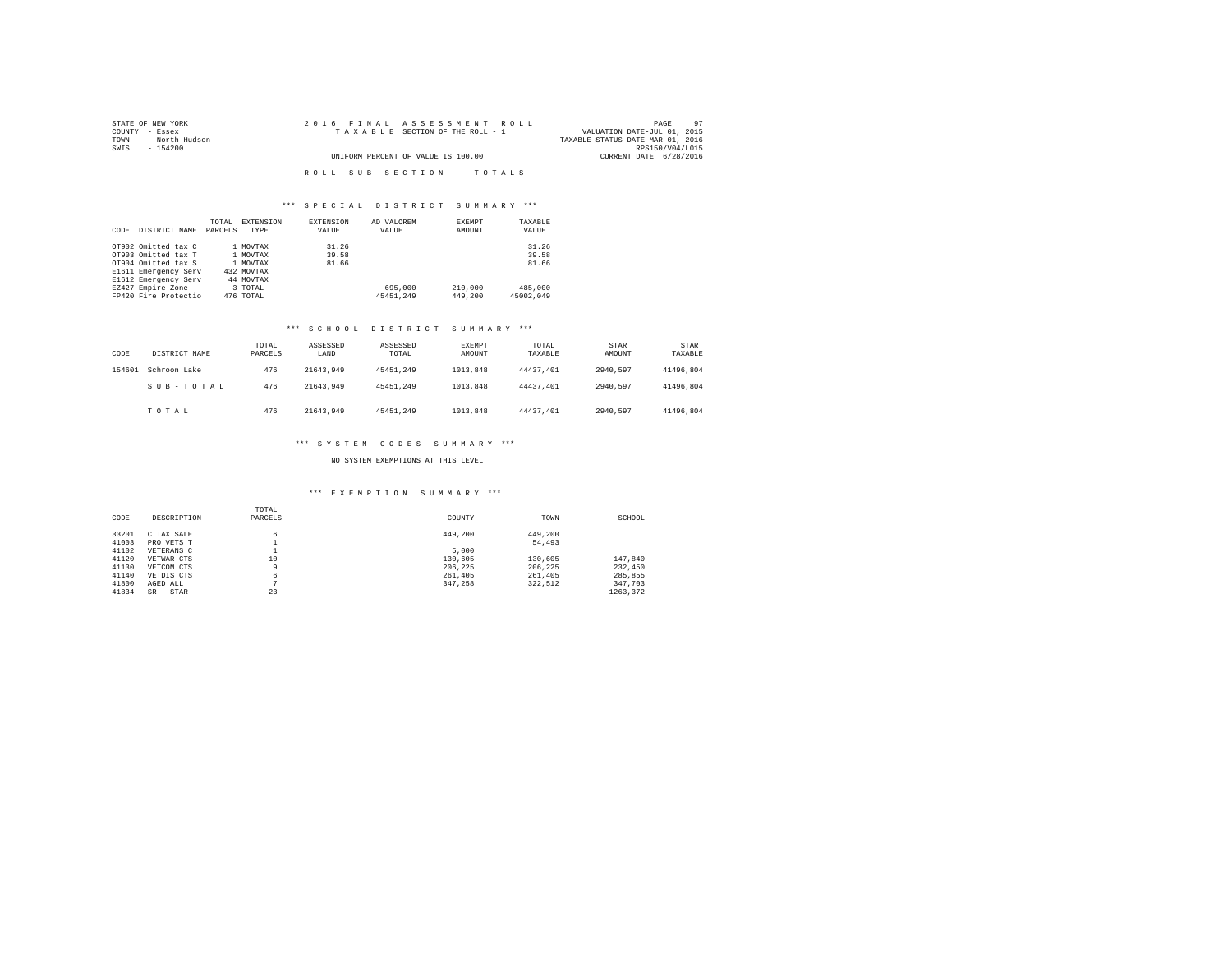| STATE OF NEW YORK   | 2016 FINAL ASSESSMENT ROLL         | 97<br>PAGE                       |
|---------------------|------------------------------------|----------------------------------|
| COUNTY - Essex      | TAXABLE SECTION OF THE ROLL - 1    | VALUATION DATE-JUL 01, 2015      |
| TOWN - North Hudson |                                    | TAXABLE STATUS DATE-MAR 01, 2016 |
| SWIS<br>- 154200    |                                    | RPS150/V04/L015                  |
|                     | UNIFORM PERCENT OF VALUE IS 100.00 | CURRENT DATE 6/28/2016           |
|                     |                                    |                                  |
|                     | ROLL SUB SECTION- - TOTALS         |                                  |

## \*\*\* S P E C I A L D I S T R I C T S U M M A R Y \*\*\*

|      |                      | TOTAL   | <b>EXTENSION</b> | <b>EXTENSION</b> | AD VALOREM | EXEMPT  | TAXABLE   |
|------|----------------------|---------|------------------|------------------|------------|---------|-----------|
| CODE | DISTRICT NAME        | PARCELS | TYPE             | VALUE            | VALUE      | AMOUNT  | VALUE     |
|      |                      |         |                  |                  |            |         |           |
|      | OT902 Omitted tax C  |         | 1 MOVTAX         | 31.26            |            |         | 31.26     |
|      | OT903 Omitted tax T  |         | 1 MOVTAX         | 39.58            |            |         | 39.58     |
|      | OT904 Omitted tax S  |         | 1 MOVTAX         | 81.66            |            |         | 81.66     |
|      | E1611 Emergency Serv |         | 432 MOVTAX       |                  |            |         |           |
|      | E1612 Emergency Serv |         | 44 MOVTAX        |                  |            |         |           |
|      | EZ427 Empire Zone    |         | 3 TOTAL          |                  | 695,000    | 210,000 | 485,000   |
|      | FP420 Fire Protectio |         | 476 TOTAL        |                  | 45451.249  | 449,200 | 45002.049 |

## \*\*\* S C H O O L D I S T R I C T S U M M A R Y \*\*\*

| CODE   | DISTRICT NAME | TOTAL<br>PARCELS | ASSESSED<br>LAND | ASSESSED<br>TOTAL | EXEMPT<br>AMOUNT | TOTAL<br>TAXABLE | STAR<br>AMOUNT | STAR<br>TAXABLE |
|--------|---------------|------------------|------------------|-------------------|------------------|------------------|----------------|-----------------|
| 154601 | Schroon Lake  | 476              | 21643.949        | 45451.249         | 1013,848         | 44437.401        | 2940.597       | 41496.804       |
|        | SUB-TOTAL     | 476              | 21643.949        | 45451.249         | 1013,848         | 44437.401        | 2940.597       | 41496.804       |
|        | TOTAL         | 476              | 21643.949        | 45451.249         | 1013,848         | 44437.401        | 2940.597       | 41496.804       |

## \*\*\* S Y S T E M C O D E S S U M M A R Y \*\*\*

## NO SYSTEM EXEMPTIONS AT THIS LEVEL

## \*\*\* E X E M P T I O N S U M M A R Y \*\*\*

|       |             | TOTAL   |         |         |          |
|-------|-------------|---------|---------|---------|----------|
| CODE  | DESCRIPTION | PARCELS | COUNTY  | TOWN    | SCHOOL   |
| 33201 | C TAX SALE  | 6       | 449,200 | 449.200 |          |
| 41003 | PRO VETS T  |         |         | 54,493  |          |
| 41102 | VETERANS C  |         | 5,000   |         |          |
| 41120 | VETWAR CTS  | 10      | 130,605 | 130,605 | 147.840  |
| 41130 | VETCOM CTS  | 9       | 206.225 | 206.225 | 232,450  |
| 41140 | VETDIS CTS  | 6       | 261,405 | 261,405 | 285,855  |
| 41800 | AGED ALL    | n       | 347.258 | 322.512 | 347.703  |
| 41834 | STAR<br>SR  | 23      |         |         | 1263.372 |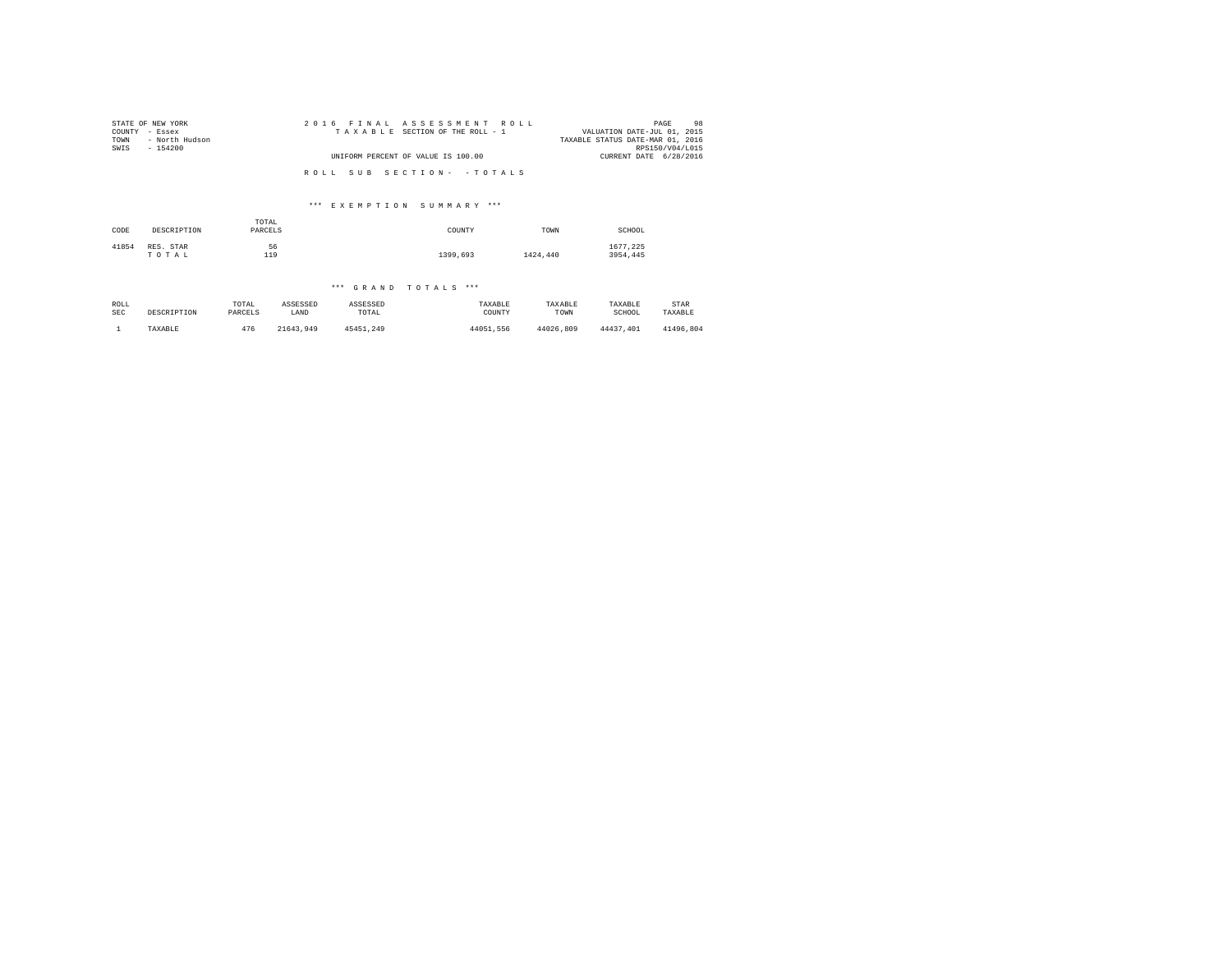| STATE OF NEW YORK<br>COUNTY - Essex<br>- North Hudson<br>TOWN<br>SWIS<br>$-154200$ | 2016 FINAL ASSESSMENT ROLL<br>TAXABLE SECTION OF THE ROLL - 1 | 98<br>PAGE<br>VALUATION DATE-JUL 01, 2015<br>TAXABLE STATUS DATE-MAR 01, 2016<br>RPS150/V04/L015 |
|------------------------------------------------------------------------------------|---------------------------------------------------------------|--------------------------------------------------------------------------------------------------|
|                                                                                    | UNIFORM PERCENT OF VALUE IS 100.00                            | CURRENT DATE 6/28/2016                                                                           |
|                                                                                    | ROLL SUB SECTION- - TOTALS                                    |                                                                                                  |

# \*\*\* E X E M P T I O N S U M M A R Y \*\*\*

| CODE  | DESCRIPTION        | TOTAL<br>PARCELS | COUNTY   | TOWN     | SCHOOL               |
|-------|--------------------|------------------|----------|----------|----------------------|
| 41854 | RES. STAR<br>TOTAL | 56<br>119        | 1399,693 | 1424,440 | 1677.225<br>3954.445 |

## \*\*\* G R A N D T O T A L S \*\*\*

| ROLL | DESCRIPTION | TOTAL   | ASSESSED  | ASSESSED  | TAXABLE   | TAXABLE   | TAXABLE   | STAR      |
|------|-------------|---------|-----------|-----------|-----------|-----------|-----------|-----------|
| SEC  |             | PARCELS | LAND      | TOTAL     | COUNTY    | TOWN      | SCHOOL    | TAXABLE   |
|      | TAXABLE     | 476     | 21643.949 | 45451.249 | 44051.556 | 44026.809 | 44437.401 | 41496.804 |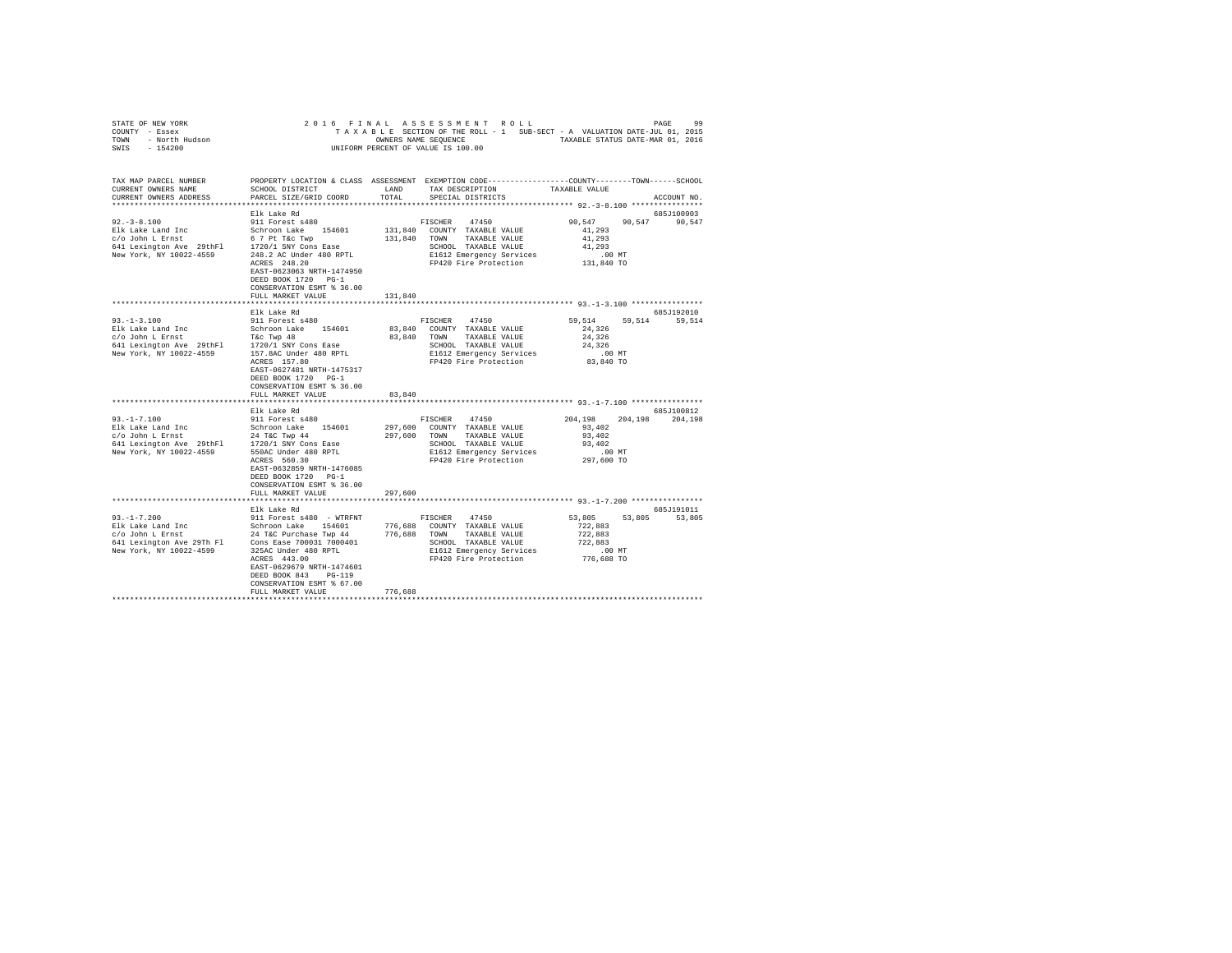| STATE OF NEW YORK<br>COUNTY - Essex<br>TOWN - North Hudson<br>SWIS - 154200                                                                                                                                                                                  | 2016 FINAL                                     |         | ASSESSMENT ROLL                                                                                  |                  | PAGE          | 99      |
|--------------------------------------------------------------------------------------------------------------------------------------------------------------------------------------------------------------------------------------------------------------|------------------------------------------------|---------|--------------------------------------------------------------------------------------------------|------------------|---------------|---------|
|                                                                                                                                                                                                                                                              |                                                |         | TAXABLE SECTION OF THE ROLL - 1 SUB-SECT - A VALUATION DATE-JUL 01, 2015                         |                  |               |         |
|                                                                                                                                                                                                                                                              |                                                |         | OWNERS NAME SEQUENCE TAXABLE STATUS DATE-MAR 01, 2016                                            |                  |               |         |
|                                                                                                                                                                                                                                                              |                                                |         | UNIFORM PERCENT OF VALUE IS 100.00                                                               |                  |               |         |
|                                                                                                                                                                                                                                                              |                                                |         |                                                                                                  |                  |               |         |
|                                                                                                                                                                                                                                                              |                                                |         |                                                                                                  |                  |               |         |
| TAX MAP PARCEL NUMBER                                                                                                                                                                                                                                        |                                                |         | PROPERTY LOCATION & CLASS ASSESSMENT EXEMPTION CODE----------------COUNTY-------TOWN------SCHOOL |                  |               |         |
| CURRENT OWNERS NAME                                                                                                                                                                                                                                          | SCHOOL DISTRICT                                | LAND    | TAX DESCRIPTION                                                                                  | TAXABLE VALUE    |               |         |
| CURRENT OWNERS ADDRESS                                                                                                                                                                                                                                       | PARCEL SIZE/GRID COORD                         | TOTAL   | SPECIAL DISTRICTS                                                                                |                  | ACCOUNT NO.   |         |
|                                                                                                                                                                                                                                                              |                                                |         |                                                                                                  |                  |               |         |
|                                                                                                                                                                                                                                                              | Elk Lake Rd                                    |         |                                                                                                  |                  | 685J100903    |         |
| $92. - 3 - 8.100$                                                                                                                                                                                                                                            | 911 Forest s480                                |         | FISCHER<br>47450                                                                                 | 90,547           | 90,547        | 90,547  |
| Elk Lake Land Inc<br>c/o John L Ernst                                                                                                                                                                                                                        | Schroon Lake 154601                            |         | 131,840 COUNTY TAXABLE VALUE                                                                     | 41,293<br>41,293 |               |         |
| 641 Lexington Ave 29thF1 1720/1 SNY Cons Ease                                                                                                                                                                                                                | 6 7 Pt T&c Twp                                 |         | 131,840 TOWN TAXABLE VALUE                                                                       | 41,293           |               |         |
| New York, NY 10022-4559                                                                                                                                                                                                                                      | 248.2 AC Under 480 RPTL                        |         | SCHOOL TAXABLE VALUE<br>E1612 Emergency Services                                                 | $.00$ MT         |               |         |
|                                                                                                                                                                                                                                                              | ACRES 248.20                                   |         | FP420 Fire Protection                                                                            | 131,840 TO       |               |         |
|                                                                                                                                                                                                                                                              | EAST-0623063 NRTH-1474950                      |         |                                                                                                  |                  |               |         |
|                                                                                                                                                                                                                                                              | DEED BOOK 1720 PG-1                            |         |                                                                                                  |                  |               |         |
|                                                                                                                                                                                                                                                              | CONSERVATION ESMT % 36.00                      |         |                                                                                                  |                  |               |         |
|                                                                                                                                                                                                                                                              | FULL MARKET VALUE                              | 131,840 |                                                                                                  |                  |               |         |
|                                                                                                                                                                                                                                                              |                                                |         |                                                                                                  |                  |               |         |
|                                                                                                                                                                                                                                                              | Elk Lake Rd                                    |         |                                                                                                  |                  | 685J192010    |         |
| $93. -1 - 3.100$                                                                                                                                                                                                                                             | 911 Forest s480                                |         | FISCHER 47450                                                                                    | 59,514           | 59,514 59,514 |         |
| Elk Lake Land Inc<br>c/o John L Ernst                                                                                                                                                                                                                        | Schroon Lake 154601                            |         | 83,840 COUNTY TAXABLE VALUE                                                                      | 24,326           |               |         |
|                                                                                                                                                                                                                                                              |                                                |         | 83,840 TOWN TAXABLE VALUE                                                                        | 24,326           |               |         |
|                                                                                                                                                                                                                                                              |                                                |         | SCHOOL TAXABLE VALUE                                                                             | 24,326           |               |         |
|                                                                                                                                                                                                                                                              |                                                |         | E1612 Emergency Services                                                                         | $.00$ MT         |               |         |
|                                                                                                                                                                                                                                                              | ACRES 157.80                                   |         | FP420 Fire Protection                                                                            | 83,840 TO        |               |         |
|                                                                                                                                                                                                                                                              | EAST-0627481 NRTH-1475317                      |         |                                                                                                  |                  |               |         |
|                                                                                                                                                                                                                                                              | DEED BOOK 1720 PG-1                            |         |                                                                                                  |                  |               |         |
|                                                                                                                                                                                                                                                              | CONSERVATION ESMT % 36.00                      |         |                                                                                                  |                  |               |         |
|                                                                                                                                                                                                                                                              | FULL MARKET VALUE                              | 83,840  |                                                                                                  |                  |               |         |
|                                                                                                                                                                                                                                                              | Elk Lake Rd                                    |         |                                                                                                  |                  | 685J100812    |         |
| $93. -1 - 7.100$                                                                                                                                                                                                                                             |                                                |         | 47450                                                                                            | 204,198 204,198  |               | 204,198 |
| 91.-1-7.100<br>Elk Lake Land Inc Schroon Lake 154601<br>$c/o$ John L Ernst 24 T&C Twp 44<br>641 Lexington Ave 29thFl 1720/1 SNY Cons Ease<br>New York, NY 10022-4559 550AC Under 480 RPTL                                                                    |                                                |         | FISCHER<br>297,600 COUNTY TAXABLE VALUE                                                          | 93,402           |               |         |
|                                                                                                                                                                                                                                                              |                                                |         | 297,600 TOWN<br>TAXABLE VALUE                                                                    | 93,402           |               |         |
|                                                                                                                                                                                                                                                              |                                                |         |                                                                                                  | 93,402           |               |         |
|                                                                                                                                                                                                                                                              |                                                |         | SCHOOL TAXABLE VALUE<br>E1612 Emergency Servic<br>E1612 Emergency Services                       | $.00$ MT         |               |         |
|                                                                                                                                                                                                                                                              | ACRES 560.30                                   |         | FP420 Fire Protection                                                                            | 297,600 TO       |               |         |
|                                                                                                                                                                                                                                                              | EAST-0632859 NRTH-1476085                      |         |                                                                                                  |                  |               |         |
|                                                                                                                                                                                                                                                              | DEED BOOK 1720 PG-1                            |         |                                                                                                  |                  |               |         |
|                                                                                                                                                                                                                                                              | CONSERVATION ESMT % 36.00                      |         |                                                                                                  |                  |               |         |
|                                                                                                                                                                                                                                                              | FULL MARKET VALUE                              | 297,600 |                                                                                                  |                  |               |         |
|                                                                                                                                                                                                                                                              |                                                |         |                                                                                                  |                  |               |         |
|                                                                                                                                                                                                                                                              | Elk Lake Rd                                    |         |                                                                                                  |                  | 685J191011    |         |
| $93. -1 - 7.200$                                                                                                                                                                                                                                             | 911 Forest s480 - WTRFNT                       |         | FISCHER<br>47450                                                                                 | 53,805           | 53,805 53,805 |         |
|                                                                                                                                                                                                                                                              |                                                |         | 776,688 COUNTY TAXABLE VALUE                                                                     | 722,883          |               |         |
|                                                                                                                                                                                                                                                              |                                                |         | 776,688 TOWN<br>TAXABLE VALUE                                                                    | 722,883          |               |         |
| Elk Lake Land Inc<br>$c$ /o John L Ernst<br>$c$ /o John L Ernst<br>$c$ /o John L Ernst<br>$c$ /o John L Ernst<br>$c$ /o John L Ernst<br>$c$ /o John L Ernst<br>$c$ /o John Ernst<br>$c$ /on East<br>$c$ /00031 7000401<br>$c$ /on East<br>$c$ /00031 7000401 |                                                |         | SCHOOL TAXABLE VALUE                                                                             | 722,883          |               |         |
| New York, NY 10022-4599                                                                                                                                                                                                                                      | 325AC Under 480 RPTL                           |         | E1612 Emergency Services                                                                         | .00 MT           |               |         |
|                                                                                                                                                                                                                                                              | ACRES 443.00                                   |         | FP420 Fire Protection                                                                            | 776,688 TO       |               |         |
|                                                                                                                                                                                                                                                              | EAST-0629679 NRTH-1474601                      |         |                                                                                                  |                  |               |         |
|                                                                                                                                                                                                                                                              | DEED BOOK 843<br>$PG-119$                      |         |                                                                                                  |                  |               |         |
|                                                                                                                                                                                                                                                              | CONSERVATION ESMT % 67.00<br>FULL MARKET VALUE | 776,688 |                                                                                                  |                  |               |         |
|                                                                                                                                                                                                                                                              |                                                |         |                                                                                                  |                  |               |         |
|                                                                                                                                                                                                                                                              |                                                |         |                                                                                                  |                  |               |         |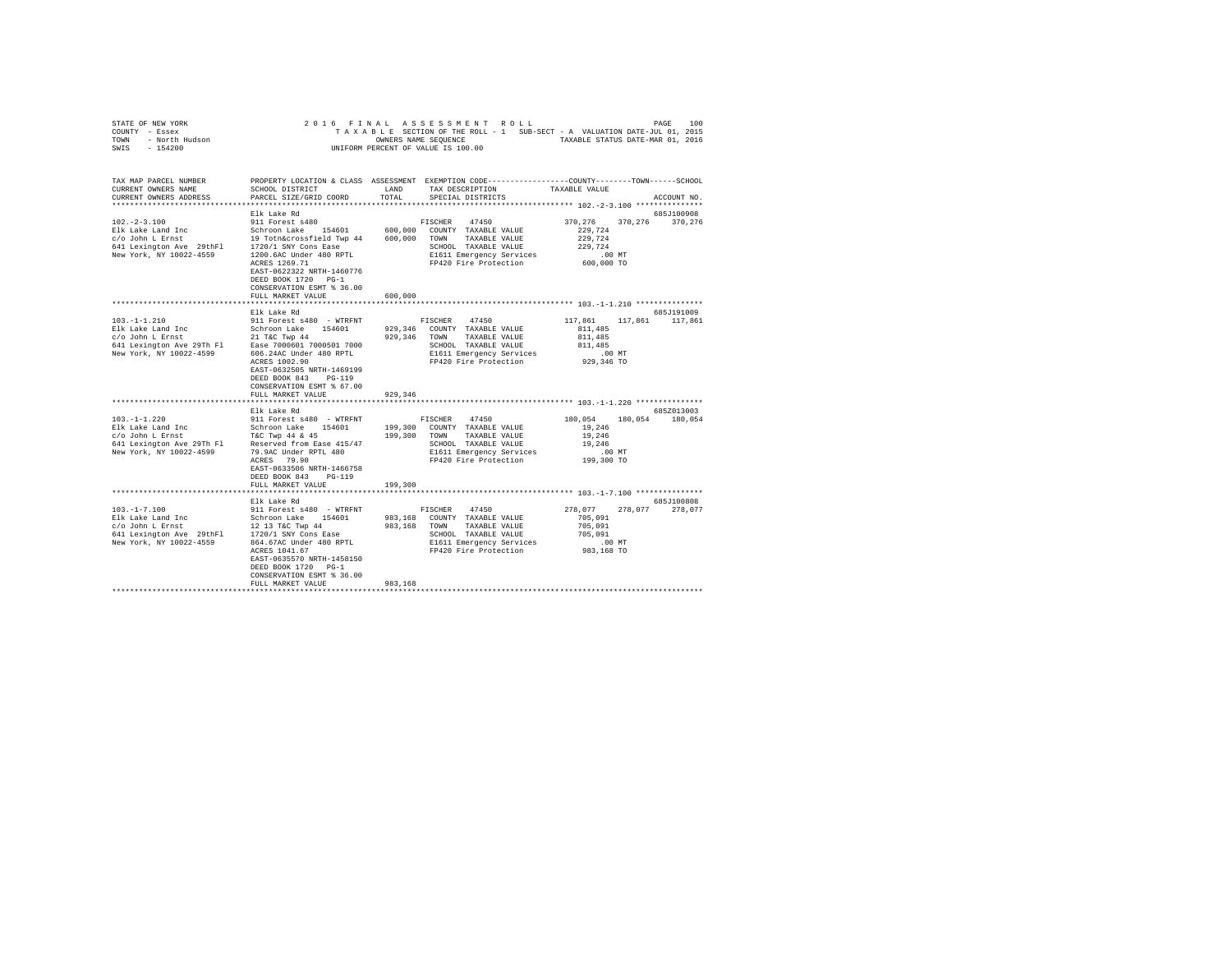| STATE OF NEW YORK<br>COUNTY - Essex<br>TOWN - North Hudson<br>SWIS - 154200                                                                                                                                            | 2016 FINAL                                                                                                                                                                                |         | ASSESSMENT ROLL<br>TAXABLE SECTION OF THE ROLL - 1 SUB-SECT - A VALUATION DATE-JUL 01, 2015<br>OWNERS NAME SEQUENCE TAXABLE STATUS DATE-MAR 01, 2016<br>UNIFORM PERCENT OF VALUE IS 100.00 |                                                                             | 100<br>PAGE           |
|------------------------------------------------------------------------------------------------------------------------------------------------------------------------------------------------------------------------|-------------------------------------------------------------------------------------------------------------------------------------------------------------------------------------------|---------|--------------------------------------------------------------------------------------------------------------------------------------------------------------------------------------------|-----------------------------------------------------------------------------|-----------------------|
| TAX MAP PARCEL NUMBER<br>CURRENT OWNERS NAME<br>CURRENT OWNERS ADDRESS                                                                                                                                                 | SCHOOL DISTRICT LAND<br>PARCEL SIZE/GRID COORD                                                                                                                                            | TOTAL   | PROPERTY LOCATION & CLASS ASSESSMENT EXEMPTION CODE----------------COUNTY-------TOWN-----SCHOOL<br>TAX DESCRIPTION<br>SPECIAL DISTRICTS                                                    | TAXABLE VALUE                                                               | ACCOUNT NO.           |
|                                                                                                                                                                                                                        |                                                                                                                                                                                           |         |                                                                                                                                                                                            |                                                                             |                       |
|                                                                                                                                                                                                                        | Elk Lake Rd                                                                                                                                                                               |         |                                                                                                                                                                                            |                                                                             | 685J100908            |
| $102. -2 - 3.100$                                                                                                                                                                                                      | 911 Forest s480<br>ACRES 1269.71<br>EAST-0622322 NRTH-1460776                                                                                                                             |         | FISCHER 47450<br>600,000 COUNTY TAXABLE VALUE<br>600,000 TOWN TAXABLE VALUE<br>SCHOOL TAXABLE VALUE<br>E1611 Emergency Services<br>FP420 Fire Protection                                   | 370,276<br>229,724<br>229,724<br>229.724<br>$.00$ MT<br>600,000 TO          | 370.276 370.276       |
|                                                                                                                                                                                                                        | DEED BOOK 1720 PG-1<br>CONSERVATION ESMT % 36.00<br>FULL MARKET VALUE                                                                                                                     | 600,000 |                                                                                                                                                                                            |                                                                             |                       |
|                                                                                                                                                                                                                        |                                                                                                                                                                                           |         |                                                                                                                                                                                            |                                                                             |                       |
|                                                                                                                                                                                                                        | Elk Lake Rd                                                                                                                                                                               |         |                                                                                                                                                                                            |                                                                             | 685J191009            |
| $103. -1 - 1.210$<br>Elk Lake Land Inc Schroon Lake 154601<br>c/o John L Ernst 21 T&C Twp 44<br>641 Lexington Ave 29Th F1 Ease 7000601 7000501 7000<br>Ease 7000601 7000501 7000<br>New York, NY 10022-4599            | 911 Forest s480 - WTRFNT<br>606.24AC Under 480 RPTL<br>ACRES 1002.90<br>EAST-0632505 NRTH-1469199<br>DEED BOOK 843 PG-119<br>CONSERVATION ESMT % 67.00                                    |         | 47450<br>FISCHER<br>929,346 COUNTY TAXABLE VALUE<br>929,346 TOWN TAXABLE VALUE<br>SCHOOL TAXABLE VALUE<br>E1611 Emergency Services<br>FP420 Fire Protection                                | 117,861<br>811,485<br>811,485<br>811,485<br>.00 MT<br>929,346 TO            | 117,861 117,861       |
|                                                                                                                                                                                                                        | FULL MARKET VALUE                                                                                                                                                                         | 929,346 |                                                                                                                                                                                            |                                                                             |                       |
|                                                                                                                                                                                                                        | Elk Lake Rd                                                                                                                                                                               |         |                                                                                                                                                                                            |                                                                             | 685Z013003            |
| $103. -1 - 1.220$                                                                                                                                                                                                      | 911 Forest s480 - WTRFNT<br>ACRES 79.90<br>EAST-0633506 NRTH-1466758<br>DEED BOOK 843 PG-119<br>FULL MARKET VALUE                                                                         | 199,300 | FISCHER<br>47450<br>199,300 COUNTY TAXABLE VALUE<br>199,300 TOWN TAXABLE VALUE<br>SCHOOL TAXABLE VALUE<br>E1611 Emergency Services<br>FP420 Fire Protection                                | 180.054<br>19,246<br>19,246<br>19,246<br>$.00$ MT<br>199,300 TO             | 180,054 180,054       |
|                                                                                                                                                                                                                        | ***********************                                                                                                                                                                   |         |                                                                                                                                                                                            | ********************************** 103.-1-7.100 ****************            |                       |
| $103. - 1 - 7.100$<br>10.1-17.1.1.00<br>Elk Lake Land Inc Schroon Lake 154601<br>C/o John L Ernst 12 13 T&C Twp 44<br>641 Lexington Ave 29thFl 1720/1 SNY Cons Ease<br>New York, NY 10022-4559 864.67AC Under 480 RPTL | Elk Lake Rd<br>911 Forest s480 - WTRFNT<br>864.67AC Under 480 RPTL<br>ACRES 1041.67<br>EAST-0635570 NRTH-1458150<br>DEED BOOK 1720 PG-1<br>CONSERVATION ESMT % 36.00<br>FULL MARKET VALUE | 983,168 | FISCHER<br>47450<br>983,168 COUNTY TAXABLE VALUE<br>983,168 TOWN<br>TAXABLE VALUE<br>SCHOOL TAXABLE VALUE<br>E1611 Emergency Services<br>FP420 Fire Protection                             | 278,077<br>278.077<br>705,091<br>705.091<br>705,091<br>.00 MT<br>983,168 TO | 685J100808<br>278.077 |
|                                                                                                                                                                                                                        |                                                                                                                                                                                           |         |                                                                                                                                                                                            |                                                                             |                       |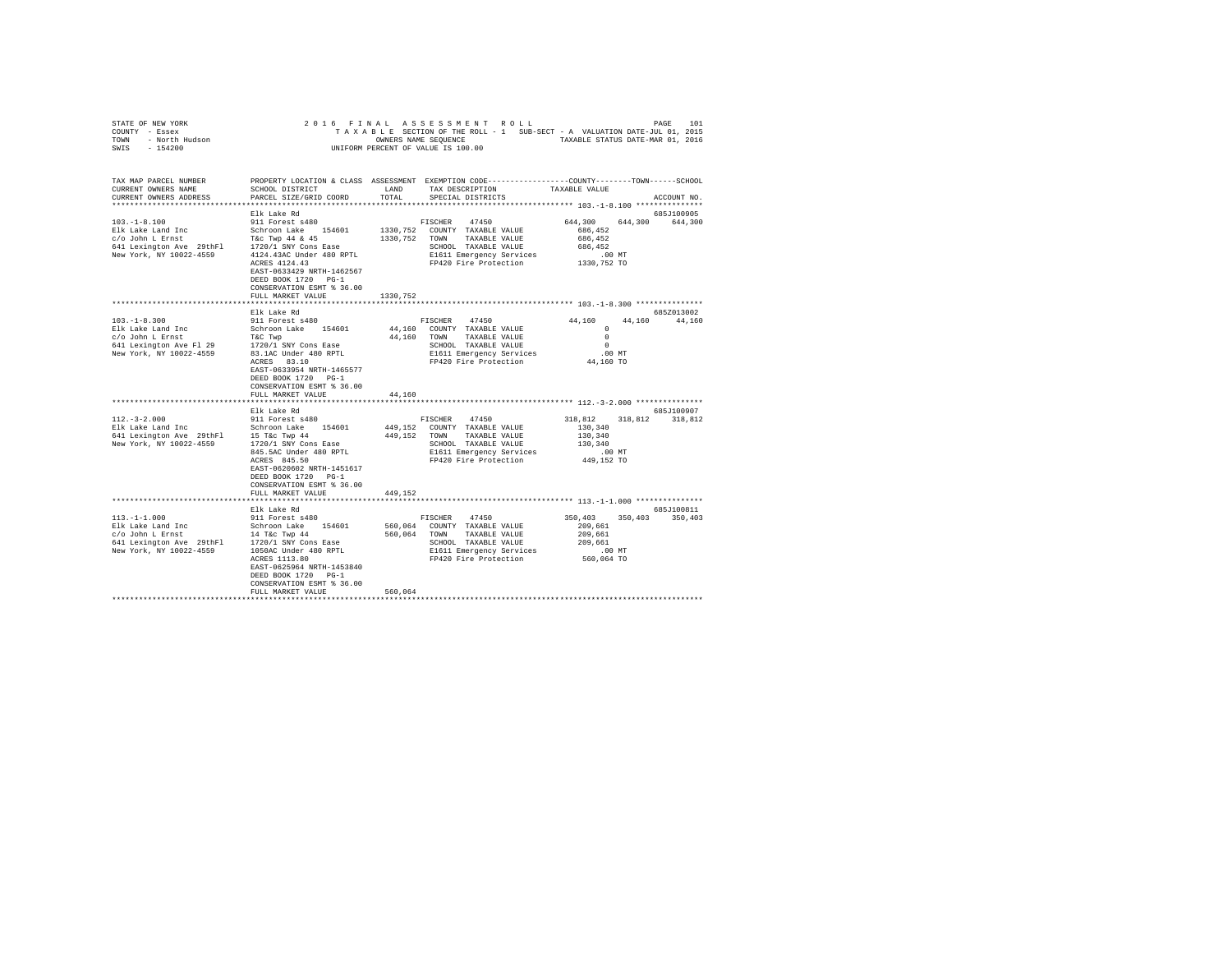| STATE OF NEW YORK<br>COUNNY - Essex<br>TOWN - North Hudson<br>SWIS - 154200                                                                                         |                                                  |          | 2016 FINAL ASSESSMENT ROLL<br>TAXABLE SECTION OF THE ROLL - 1 SUB-SECT - A VALUATION DATE-JUL 01, 2015 |                 |                 | 101<br>PAGE   |
|---------------------------------------------------------------------------------------------------------------------------------------------------------------------|--------------------------------------------------|----------|--------------------------------------------------------------------------------------------------------|-----------------|-----------------|---------------|
|                                                                                                                                                                     |                                                  |          | OWNERS NAME SEQUENCE TAXABLE STATUS DATE-MAR 01, 2016                                                  |                 |                 |               |
|                                                                                                                                                                     |                                                  |          | UNIFORM PERCENT OF VALUE IS 100.00                                                                     |                 |                 |               |
|                                                                                                                                                                     |                                                  |          |                                                                                                        |                 |                 |               |
| TAX MAP PARCEL NUMBER                                                                                                                                               |                                                  |          | PROPERTY LOCATION & CLASS ASSESSMENT EXEMPTION CODE---------------COUNTY-------TOWN------SCHOOL        |                 |                 |               |
| CURRENT OWNERS NAME                                                                                                                                                 | SCHOOL DISTRICT                                  | LAND     | TAX DESCRIPTION                                                                                        | TAXABLE VALUE   |                 |               |
| CURRENT OWNERS ADDRESS                                                                                                                                              | PARCEL SIZE/GRID COORD                           | TOTAL    | SPECIAL DISTRICTS                                                                                      |                 |                 | ACCOUNT NO.   |
|                                                                                                                                                                     |                                                  |          |                                                                                                        |                 |                 |               |
|                                                                                                                                                                     | Elk Lake Rd                                      |          |                                                                                                        |                 |                 | 685J100905    |
| $103. - 1 - 8.100$                                                                                                                                                  | 911 Forest s480                                  |          | FISCHER<br>47450                                                                                       | 644,300         | 644,300 644,300 |               |
| Elk Lake Land Inc                                                                                                                                                   | Schroon Lake 154601                              |          | 1330, 752 COUNTY TAXABLE VALUE                                                                         | 686,452         |                 |               |
| c/o John L Ernst                                                                                                                                                    | T&C Twp 44 & 45                                  |          | 1330, 752 TOWN TAXABLE VALUE                                                                           | 686.452         |                 |               |
| 641 Lexington Ave 29thFl                                                                                                                                            | 1720/1 SNY Cons Ease                             |          | SCHOOL TAXABLE VALUE                                                                                   | 686.452         |                 |               |
| New York, NY 10022-4559                                                                                                                                             | 4124.43AC Under 480 RPTL                         |          | E1611 Emergency Services                                                                               | $.00$ MT        |                 |               |
|                                                                                                                                                                     | ACRES 4124.43                                    |          | FP420 Fire Protection                                                                                  | 1330,752 TO     |                 |               |
|                                                                                                                                                                     | EAST-0633429 NRTH-1462567<br>DEED BOOK 1720 PG-1 |          |                                                                                                        |                 |                 |               |
|                                                                                                                                                                     | CONSERVATION ESMT % 36.00                        |          |                                                                                                        |                 |                 |               |
|                                                                                                                                                                     | FULL MARKET VALUE                                | 1330,752 |                                                                                                        |                 |                 |               |
|                                                                                                                                                                     |                                                  |          |                                                                                                        |                 |                 |               |
|                                                                                                                                                                     | Elk Lake Rd                                      |          |                                                                                                        |                 |                 | 685Z013002    |
| $103. -1 - 8.300$                                                                                                                                                   | 911 Forest s480                                  |          | FISCHER 47450                                                                                          | 44,160          |                 | 44,160 44,160 |
|                                                                                                                                                                     | Schroon Lake 154601                              |          | 44,160 COUNTY TAXABLE VALUE                                                                            | $^{\circ}$      |                 |               |
| Elk Lake Land Inc<br>c/o John L Ernst                                                                                                                               | T&C Twp                                          |          | 44,160 TOWN TAXABLE VALUE                                                                              | $\Omega$        |                 |               |
| 641 Lexington Ave Fl 29                                                                                                                                             | 1720/1 SNY Cons Ease                             |          | SCHOOL TAXABLE VALUE                                                                                   | $\circ$         |                 |               |
| New York, NY 10022-4559                                                                                                                                             | 83.1AC Under 480 RPTL                            |          | E1611 Emergency Services                                                                               | .00 MT          |                 |               |
|                                                                                                                                                                     | ACRES 83.10                                      |          | FP420 Fire Protection                                                                                  | 44,160 TO       |                 |               |
|                                                                                                                                                                     | EAST-0633954 NRTH-1465577                        |          |                                                                                                        |                 |                 |               |
|                                                                                                                                                                     | DEED BOOK 1720 PG-1                              |          |                                                                                                        |                 |                 |               |
|                                                                                                                                                                     | CONSERVATION ESMT % 36.00                        |          |                                                                                                        |                 |                 |               |
|                                                                                                                                                                     | FULL MARKET VALUE                                | 44,160   |                                                                                                        |                 |                 |               |
|                                                                                                                                                                     | Elk Lake Rd                                      |          |                                                                                                        |                 |                 | 685J100907    |
| $112. - 3 - 2.000$                                                                                                                                                  | 911 Forest s480                                  |          | FISCHER<br>47450                                                                                       | 318,812 318,812 |                 | 318,812       |
| Elk Lake Land Inc<br>Schroom Lake 154601<br>641 Lexington Ave 29thF1 15 T&c Twp 44<br>New York, NY 10022-4559 1720/1 SNY Cons Ease                                  |                                                  |          | 449.152 COUNTY TAXABLE VALUE                                                                           | 130,340         |                 |               |
|                                                                                                                                                                     |                                                  |          | 449,152 TOWN<br>TAXABLE VALUE                                                                          | 130,340         |                 |               |
|                                                                                                                                                                     |                                                  |          | SCHOOL TAXABLE VALUE                                                                                   | 130,340         |                 |               |
|                                                                                                                                                                     | 845.5AC Under 480 RPTL                           |          | E1611 Emergency Services                                                                               | $.00$ MT        |                 |               |
|                                                                                                                                                                     | ACRES 845.50                                     |          | FP420 Fire Protection                                                                                  | 449,152 TO      |                 |               |
|                                                                                                                                                                     | EAST-0620602 NRTH-1451617                        |          |                                                                                                        |                 |                 |               |
|                                                                                                                                                                     | DEED BOOK 1720 PG-1                              |          |                                                                                                        |                 |                 |               |
|                                                                                                                                                                     | CONSERVATION ESMT % 36.00                        |          |                                                                                                        |                 |                 |               |
|                                                                                                                                                                     | FULL MARKET VALUE                                | 449,152  |                                                                                                        |                 |                 |               |
|                                                                                                                                                                     | Elk Lake Rd                                      |          |                                                                                                        |                 |                 | 685J100811    |
| $113. - 1 - 1.000$                                                                                                                                                  | 911 Forest s480                                  |          | FISCHER<br>47450                                                                                       | 350,403         | 350,403         | 350,403       |
| Elk Lake Land Inc                                                                                                                                                   | Schroon Lake 154601                              |          | 560,064 COUNTY TAXABLE VALUE                                                                           | 209,661         |                 |               |
| EIK Lake Land Inc $\sim$ 0.000 $\sim$ 14 T&C Twp 44<br>641 Lexington Ave 29thF1 $\sim$ 1720/1 SNY Cons Ease<br>641 Lexington Ave 29thF1 $\sim$ 1720/1 SNY Cons Ease |                                                  |          | 560,064 TOWN<br>TAXABLE VALUE                                                                          | 209,661         |                 |               |
|                                                                                                                                                                     |                                                  |          | SCHOOL TAXABLE VALUE                                                                                   | 209,661         |                 |               |
| New York, NY 10022-4559                                                                                                                                             | 1050AC Under 480 RPTL                            |          | E1611 Emergency Services                                                                               | .00 MT          |                 |               |
|                                                                                                                                                                     | ACRES 1113.80                                    |          | FP420 Fire Protection                                                                                  | 560,064 TO      |                 |               |
|                                                                                                                                                                     | EAST-0625964 NRTH-1453840                        |          |                                                                                                        |                 |                 |               |
|                                                                                                                                                                     | DEED BOOK 1720 PG-1                              |          |                                                                                                        |                 |                 |               |
|                                                                                                                                                                     | CONSERVATION ESMT % 36.00                        |          |                                                                                                        |                 |                 |               |
|                                                                                                                                                                     | FULL MARKET VALUE                                | 560,064  |                                                                                                        |                 |                 |               |
|                                                                                                                                                                     |                                                  |          |                                                                                                        |                 |                 |               |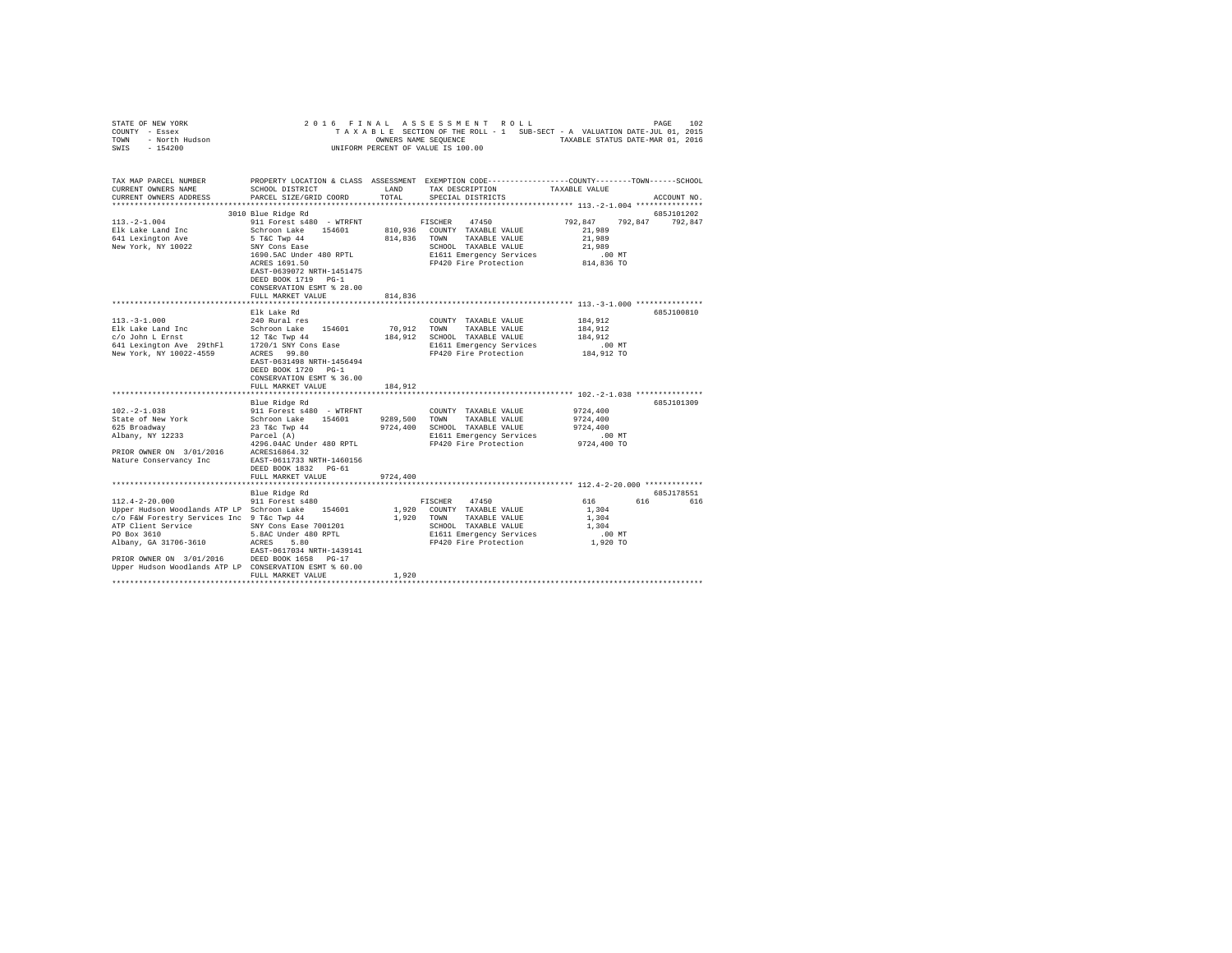| STATE OF NEW YORK<br>COUNTY - Essex<br>- Essen<br>- North Hudson<br>TOWN<br>SWIS<br>$-154200$                                                                                                                                                                                                     | 2016 FINAL                                                                                                                                                                                                                                                                                                                                                                                                                   |                                                                  | ASSESSMENT ROLL<br>TAXABLE SECTION OF THE ROLL - 1 SUB-SECT - A VALUATION DATE-JUL 01, 2015<br>OWNERS NAME SEQUENCE<br>UNIFORM PERCENT OF VALUE IS 100.00                                                                                                | TAXABLE STATUS DATE-MAR 01, 2016                                                                                       | 102<br>PAGE           |
|---------------------------------------------------------------------------------------------------------------------------------------------------------------------------------------------------------------------------------------------------------------------------------------------------|------------------------------------------------------------------------------------------------------------------------------------------------------------------------------------------------------------------------------------------------------------------------------------------------------------------------------------------------------------------------------------------------------------------------------|------------------------------------------------------------------|----------------------------------------------------------------------------------------------------------------------------------------------------------------------------------------------------------------------------------------------------------|------------------------------------------------------------------------------------------------------------------------|-----------------------|
| TAX MAP PARCEL NUMBER<br>CURRENT OWNERS NAME<br>CURRENT OWNERS ADDRESS                                                                                                                                                                                                                            | SCHOOL DISTRICT<br>PARCEL SIZE/GRID COORD                                                                                                                                                                                                                                                                                                                                                                                    | LAND<br>TOTAL                                                    | PROPERTY LOCATION & CLASS ASSESSMENT EXEMPTION CODE---------------COUNTY-------TOWN-----SCHOOL<br>TAX DESCRIPTION<br>SPECIAL DISTRICTS                                                                                                                   | TAXABLE VALUE                                                                                                          | ACCOUNT NO.           |
|                                                                                                                                                                                                                                                                                                   | 3010 Blue Ridge Rd                                                                                                                                                                                                                                                                                                                                                                                                           |                                                                  |                                                                                                                                                                                                                                                          |                                                                                                                        | 685J101202            |
| $113. -2 - 1.004$<br>Elk Lake Land Inc<br>641 Lexington Ave<br>New York, NY 10022                                                                                                                                                                                                                 | 911 Forest s480 - WTRFNT<br>Schroon Lake<br>154601<br>5 T&C Twp 44<br>SNY Cons Ease<br>1690.5AC Under 480 RPTL<br>ACRES 1691.50<br>EAST-0639072 NRTH-1451475<br>DEED BOOK 1719 PG-1<br>CONSERVATION ESMT % 28.00                                                                                                                                                                                                             | 810,936<br>814,836                                               | 47450<br>FISCHER<br>COUNTY TAXABLE VALUE<br>TAXABLE VALUE<br>TOWN<br>SCHOOL TAXABLE VALUE<br>E1611 Emergency Services<br>FP420 Fire Protection                                                                                                           | 792,847<br>21,989<br>21,989<br>21,989<br>.00MT<br>814,836 TO                                                           | 792.847<br>792,847    |
|                                                                                                                                                                                                                                                                                                   | FULL MARKET VALUE                                                                                                                                                                                                                                                                                                                                                                                                            | 814,836                                                          |                                                                                                                                                                                                                                                          |                                                                                                                        |                       |
|                                                                                                                                                                                                                                                                                                   | Elk Lake Rd                                                                                                                                                                                                                                                                                                                                                                                                                  |                                                                  |                                                                                                                                                                                                                                                          |                                                                                                                        | 685J100810            |
| $113. - 3 - 1.000$<br>Elk Lake Land Inc<br>c/o John L Ernst<br>641 Lexington Ave 29thFl<br>New York, NY 10022-4559<br>New York, NY 10022-4559<br>$102. -2 - 1.038$<br>State of New York<br>625 Broadway<br>Albany, NY 12233<br>PRIOR OWNER ON 3/01/2016<br>Nature Conservancy Inc                 | 240 Rural res<br>Schroon Lake 154601<br>12 T&c Twp 44<br>1720/1 SNY Cons Ease<br>ACRES 99.80<br>EAST-0631498 NRTH-1456494<br>DEED BOOK 1720 PG-1<br>CONSERVATION ESMT % 36.00<br>FULL MARKET VALUE<br>Blue Ridge Rd<br>911 Forest s480 - WTRFNT<br>Schroon Lake 154601<br>23 T&c Twp 44<br>Parcel (A)<br>4296.04AC Under 480 RPTL<br>ACRES16864.32<br>EAST-0611733 NRTH-1460156<br>DEED BOOK 1832 PG-61<br>FULL MARKET VALUE | 70,912<br>184,912<br>184,912<br>9289,500<br>9724,400<br>9724,400 | COUNTY TAXABLE VALUE<br>TOWN<br>TAXABLE VALUE<br>SCHOOL TAXABLE VALUE<br>E1611 Emergency Services<br>FP420 Fire Protection<br>COUNTY TAXABLE VALUE<br>TOWN<br>TAXABLE VALUE<br>SCHOOL TAXABLE VALUE<br>E1611 Emergency Services<br>FP420 Fire Protection | 184,912<br>184,912<br>184,912<br>$.00$ MT<br>184,912 TO<br>9724,400<br>9724,400<br>9724,400<br>$.00$ MT<br>9724,400 TO | 685J101309            |
|                                                                                                                                                                                                                                                                                                   |                                                                                                                                                                                                                                                                                                                                                                                                                              |                                                                  |                                                                                                                                                                                                                                                          |                                                                                                                        |                       |
| $112.4 - 2 - 20.000$<br>Upper Hudson Woodlands ATP LP Schroon Lake 154601<br>c/o F&W Forestry Services Inc 9 T&c Twp 44<br>ATP Client Service<br>PO Box 3610<br>Albany, GA 31706-3610<br>PRIOR OWNER ON 3/01/2016 DEED BOOK 1658 PG-17<br>Upper Hudson Woodlands ATP LP CONSERVATION ESMT % 60.00 | Blue Ridge Rd<br>911 Forest s480<br>SNY Cons Ease 7001201<br>5.8AC Under 480 RPTL<br>ACRES 5.80<br>EAST-0617034 NRTH-1439141                                                                                                                                                                                                                                                                                                 | 1,920<br>1,920                                                   | 47450<br>FISCHER<br>COUNTY TAXABLE VALUE<br>TAXABLE VALUE<br>TOWN<br>SCHOOL TAXABLE VALUE<br>E1611 Emergency Services<br>FP420 Fire Protection                                                                                                           | 616<br>1,304<br>1,304<br>1,304<br>.00 MT<br>1,920 TO                                                                   | 685J178551<br>616 616 |
|                                                                                                                                                                                                                                                                                                   | FULL MARKET VALUE                                                                                                                                                                                                                                                                                                                                                                                                            | 1,920                                                            |                                                                                                                                                                                                                                                          |                                                                                                                        |                       |
|                                                                                                                                                                                                                                                                                                   |                                                                                                                                                                                                                                                                                                                                                                                                                              |                                                                  |                                                                                                                                                                                                                                                          |                                                                                                                        |                       |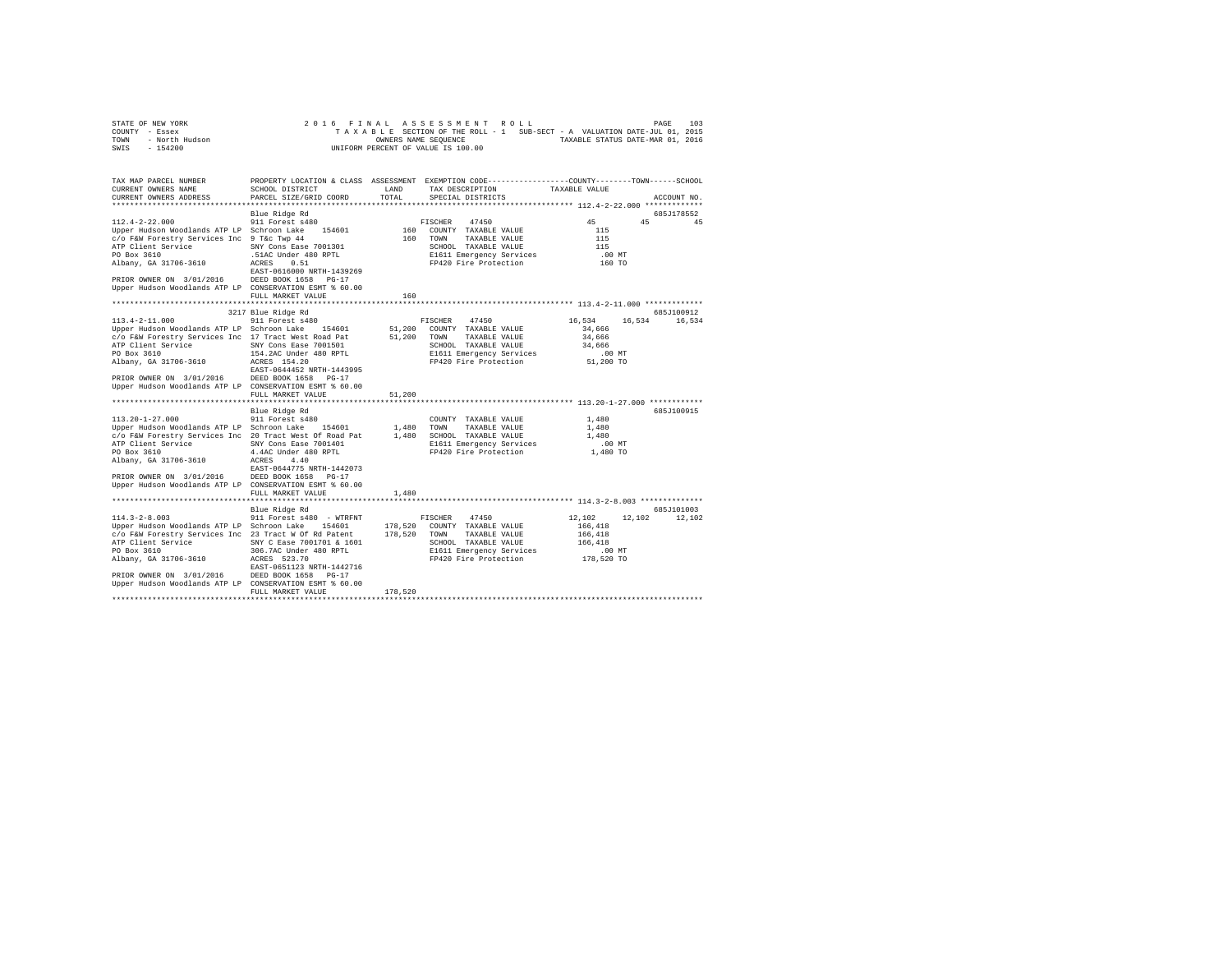|                | STATE OF NEW YORK |  |  |  |  | 2016 FINAL ASSESSMENT ROLL         |  |  |  |  |                                                                          | PAGE | 103 |
|----------------|-------------------|--|--|--|--|------------------------------------|--|--|--|--|--------------------------------------------------------------------------|------|-----|
| COUNTY - Essex |                   |  |  |  |  |                                    |  |  |  |  | TAXABLE SECTION OF THE ROLL - 1 SUB-SECT - A VALUATION DATE-JUL 01, 2015 |      |     |
| TOWN           | - North Hudson    |  |  |  |  | OWNERS NAME SEOUENCE               |  |  |  |  | TAXABLE STATUS DATE-MAR 01, 2016                                         |      |     |
| SWIS           | $-154200$         |  |  |  |  | UNIFORM PERCENT OF VALUE IS 100.00 |  |  |  |  |                                                                          |      |     |

| TAX MAP PARCEL NUMBER<br>CURRENT OWNERS NAME                                                                                                                                                                                                                                                                                                       | SCHOOL DISTRICT                                                                                                               | LAND    | PROPERTY LOCATION & CLASS ASSESSMENT EXEMPTION CODE---------------COUNTY-------TOWN------SCHOOL<br>TAX DESCRIPTION                                                  | TAXABLE VALUE                                                         |                      |
|----------------------------------------------------------------------------------------------------------------------------------------------------------------------------------------------------------------------------------------------------------------------------------------------------------------------------------------------------|-------------------------------------------------------------------------------------------------------------------------------|---------|---------------------------------------------------------------------------------------------------------------------------------------------------------------------|-----------------------------------------------------------------------|----------------------|
| CURRENT OWNERS ADDRESS                                                                                                                                                                                                                                                                                                                             | PARCEL SIZE/GRID COORD                                                                                                        | TOTAL   | SPECIAL DISTRICTS                                                                                                                                                   |                                                                       | ACCOUNT NO.          |
| $112.4 - 2 - 22.000$<br>Upper Hudson Woodlands ATP LP Schroon Lake 154601<br>c/o F&W Forestry Services Inc 9 T&c Twp 44<br>ATP Client Service 5NY Cons Ease 7001301<br>PO Box 3610<br>Albany, GA 31706-3610<br>PRIOR OWNER ON 3/01/2016 DEED BOOK 1658 PG-17<br>Upper Hudson Woodlands ATP LP CONSERVATION ESMT % 60.00                            | Blue Ridge Rd<br>911 Forest s480<br>.51AC Under 480 RPTL<br>ACRES     0.51<br>ACRES 0.51<br>EAST-0616000 NRTH-1439269         |         | FISCHER 47450<br>160 COUNTY TAXABLE VALUE<br>160 TOWN TAXABLE VALUE<br>SCHOOL TAXABLE VALUE<br>E1611 Emergency Services<br>FP420 Fire Protection                    | 45<br>45<br>115<br>115<br>115<br>.00 MT<br>160 TO                     | 685J178552<br>45     |
|                                                                                                                                                                                                                                                                                                                                                    | FULL MARKET VALUE                                                                                                             | 160     |                                                                                                                                                                     |                                                                       |                      |
| 113.4-2-11.000<br>Upper Hudson Woodlands ATP LP Schroon Lake 154601<br>c/o F&W Forestry Services Inc 17 Tract West Road Pat<br>ATP Client Service<br>PO Box 3610<br>Albany, GA 31706-3610<br>EAST-0644452 NRTH-1443995<br>PRIOR OWNER ON 3/01/2016 DEED BOOK 1658 PG-17<br>Upper Hudson Woodlands ATP LP CONSERVATION ESMT % 60.00                 | 3217 Blue Ridge Rd<br>911 Forest s480<br>SNY Cons Ease 7001501<br>154.2AC Under 480 RPTL<br>ACRES 154.20<br>FULL MARKET VALUE | 51,200  | FISCHER 47450<br>51,200 COUNTY TAXABLE VALUE<br>51,200 TOWN TAXABLE VALUE<br>SCHOOL TAXABLE VALUE<br>E1611 Emergency Services<br>FP420 Fire Protection              | 16,534<br>16.534<br>34,666<br>34,666<br>34,666<br>.00 MT<br>51,200 TO | 685J100912<br>16,534 |
|                                                                                                                                                                                                                                                                                                                                                    |                                                                                                                               |         |                                                                                                                                                                     |                                                                       |                      |
| 113.20-1-27.000<br>Upper Hudson Woodlands ATP LP Schroon Lake 154601 1,480 TOWN TAXABLE VALUE<br>c/o F&W Forestry Services Inc 20 Tract West Of Road Pat<br>PO Box 3610<br>Albany, GA 31706-3610<br>EAST-0644775 NRTH-1442073<br>PRIOR OWNER ON 3/01/2016 DEED BOOK 1658 PG-17<br>Upper Hudson Woodlands ATP LP CONSERVATION ESMT % 60.00          | Blue Ridge Rd<br>911 Forest s480<br>4.4AC Under 480 RPTL<br>ACRES 4.40                                                        |         | COUNTY TAXABLE VALUE<br>1,480 SCHOOL TAXABLE VALUE<br>E1611 Emergency Services<br>FP420 Fire Protection                                                             | 1,480<br>1,480<br>1,480<br>.00 MT<br>1,480 TO                         | 685J100915           |
|                                                                                                                                                                                                                                                                                                                                                    | FULL MARKET VALUE                                                                                                             | 1,480   |                                                                                                                                                                     |                                                                       |                      |
| $114.3 - 2 - 8.003$<br>Upper Hudson Woodlands ATP LP Schroon Lake 154601<br>c/o F&W Forestry Services Inc 23 Tract W Of Rd Patent<br>ATP Client Service 5NY C Ease 7001701 & 1601<br>PO Box 3610<br>Albany, GA 31706-3610 ACRES 523.70<br>PRIOR OWNER ON 3/01/2016 DEED BOOK 1658 PG-17<br>Upper Hudson Woodlands ATP LP CONSERVATION ESMT % 60.00 | Blue Ridge Rd<br>911 Forest s480 - WTRFNT<br>306.7AC Under 480 RPTL<br>EAST-0651123 NRTH-1442716<br>FULL MARKET VALUE         | 178,520 | FISCHER 47450<br>178,520 COUNTY TAXABLE VALUE<br>178,520 TOWN TAXABLE VALUE<br>SCHOOL TAXABLE VALUE<br>E1611 Emergency Services<br>FP420 Fire Protection 178,520 TO | 12,102<br>12,102<br>166,418<br>166,418<br>166,418<br>$.00$ MT         | 685J101003<br>12,102 |
|                                                                                                                                                                                                                                                                                                                                                    |                                                                                                                               |         |                                                                                                                                                                     |                                                                       |                      |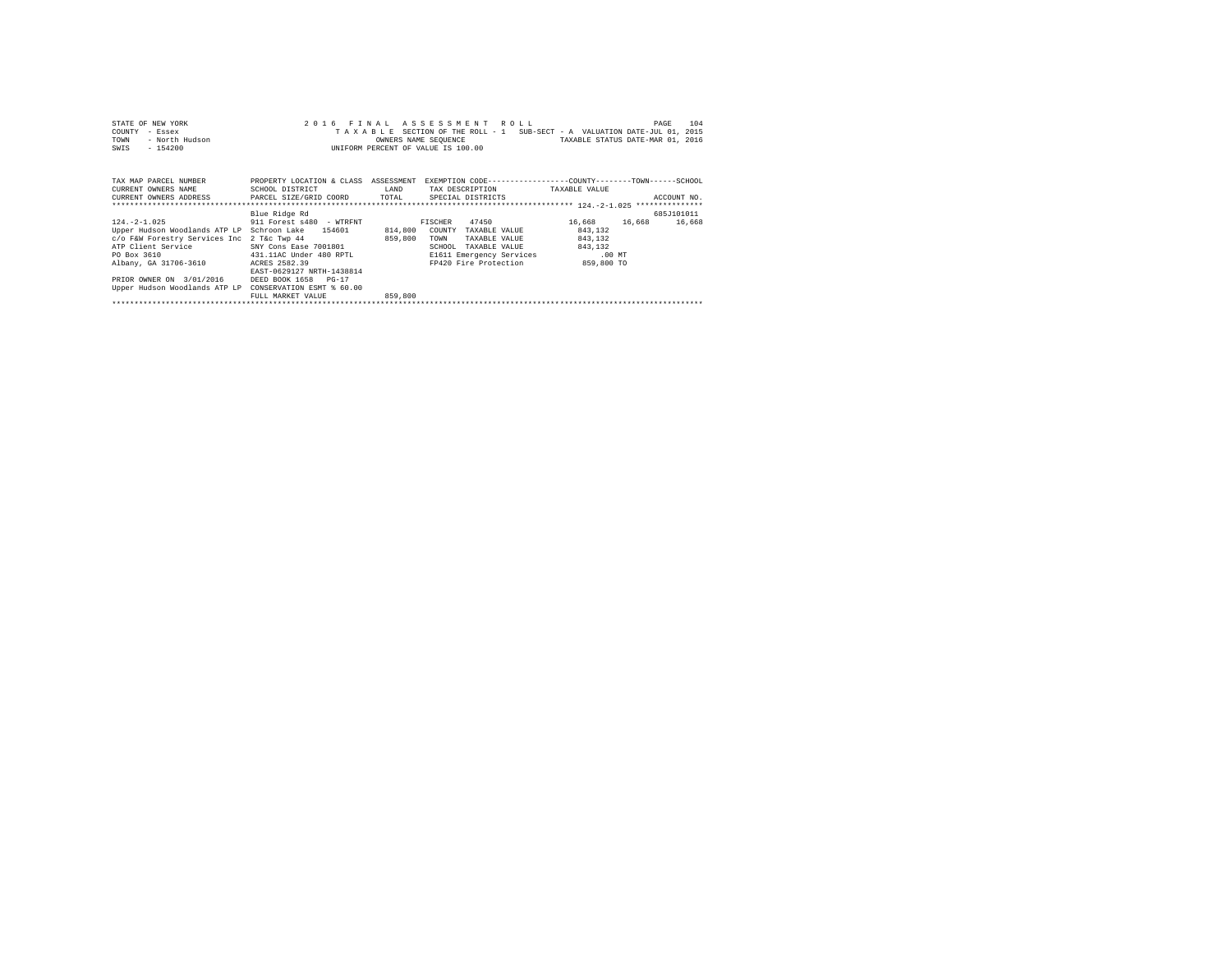| STATE OF NEW YORK                                                     |                                                                                                  |         | 2016 FINAL ASSESSMENT ROLL                                               |         | 104<br>PAGE |
|-----------------------------------------------------------------------|--------------------------------------------------------------------------------------------------|---------|--------------------------------------------------------------------------|---------|-------------|
| COUNTY<br>- Essex                                                     |                                                                                                  |         | TAXABLE SECTION OF THE ROLL - 1 SUB-SECT - A VALUATION DATE-JUL 01, 2015 |         |             |
| TOWN<br>- North Hudson                                                |                                                                                                  |         | OWNERS NAME SEQUENCE TANDER TAXABLE STATUS DATE-MAR 01, 2016             |         |             |
| $-154200$<br>SWIS                                                     |                                                                                                  |         | UNIFORM PERCENT OF VALUE IS 100.00                                       |         |             |
|                                                                       |                                                                                                  |         |                                                                          |         |             |
|                                                                       |                                                                                                  |         |                                                                          |         |             |
| TAX MAP PARCEL NUMBER                                                 | PROPERTY LOCATION & CLASS ASSESSMENT EXEMPTION CODE----------------COUNTY-------TOWN------SCHOOL |         |                                                                          |         |             |
| CURRENT OWNERS NAME SCHOOL DISTRICT                                   | <b>EAND</b>                                                                                      |         | TAX DESCRIPTION TAXABLE VALUE                                            |         |             |
| CURRENT OWNERS ADDRESS PARCEL SIZE/GRID COORD TOTAL SPECIAL DISTRICTS |                                                                                                  |         |                                                                          |         | ACCOUNT NO. |
|                                                                       |                                                                                                  |         |                                                                          |         |             |
|                                                                       | Blue Ridge Rd                                                                                    |         |                                                                          |         | 685J101011  |
| 124.-2-1.025 911 Forest s480 - WTRFNT                                 |                                                                                                  |         | FISCHER 47450 16,668 16,668                                              |         | 16,668      |
| Upper Hudson Woodlands ATP LP Schroon Lake 154601                     |                                                                                                  | 814,800 | COUNTY<br>TAXABLE VALUE                                                  | 843.132 |             |
| c/o F&W Forestry Services Inc 2 T&c Twp 44                            |                                                                                                  | 859,800 | TOWN<br>TAXABLE VALUE                                                    | 843.132 |             |
| ATP Client Service                                                    | SNY Cons Ease 7001801                                                                            |         | SCHOOL<br>TAXABLE VALUE                                                  | 843.132 |             |
| PO Box 3610 431.11AC Under 480 RPTL                                   |                                                                                                  |         | E1611 Emergency Services .00 MT                                          |         |             |
| Albany, GA 31706-3610                                                 | ACRES 2582.39                                                                                    |         | FP420 Fire Protection 859,800 TO                                         |         |             |
|                                                                       | EAST-0629127 NRTH-1438814                                                                        |         |                                                                          |         |             |
| PRIOR OWNER ON 3/01/2016                                              | DEED BOOK 1658 PG-17                                                                             |         |                                                                          |         |             |
| Upper Hudson Woodlands ATP LP CONSERVATION ESMT % 60.00               |                                                                                                  |         |                                                                          |         |             |
|                                                                       | FULL MARKET VALUE                                                                                | 859,800 |                                                                          |         |             |
|                                                                       |                                                                                                  |         |                                                                          |         |             |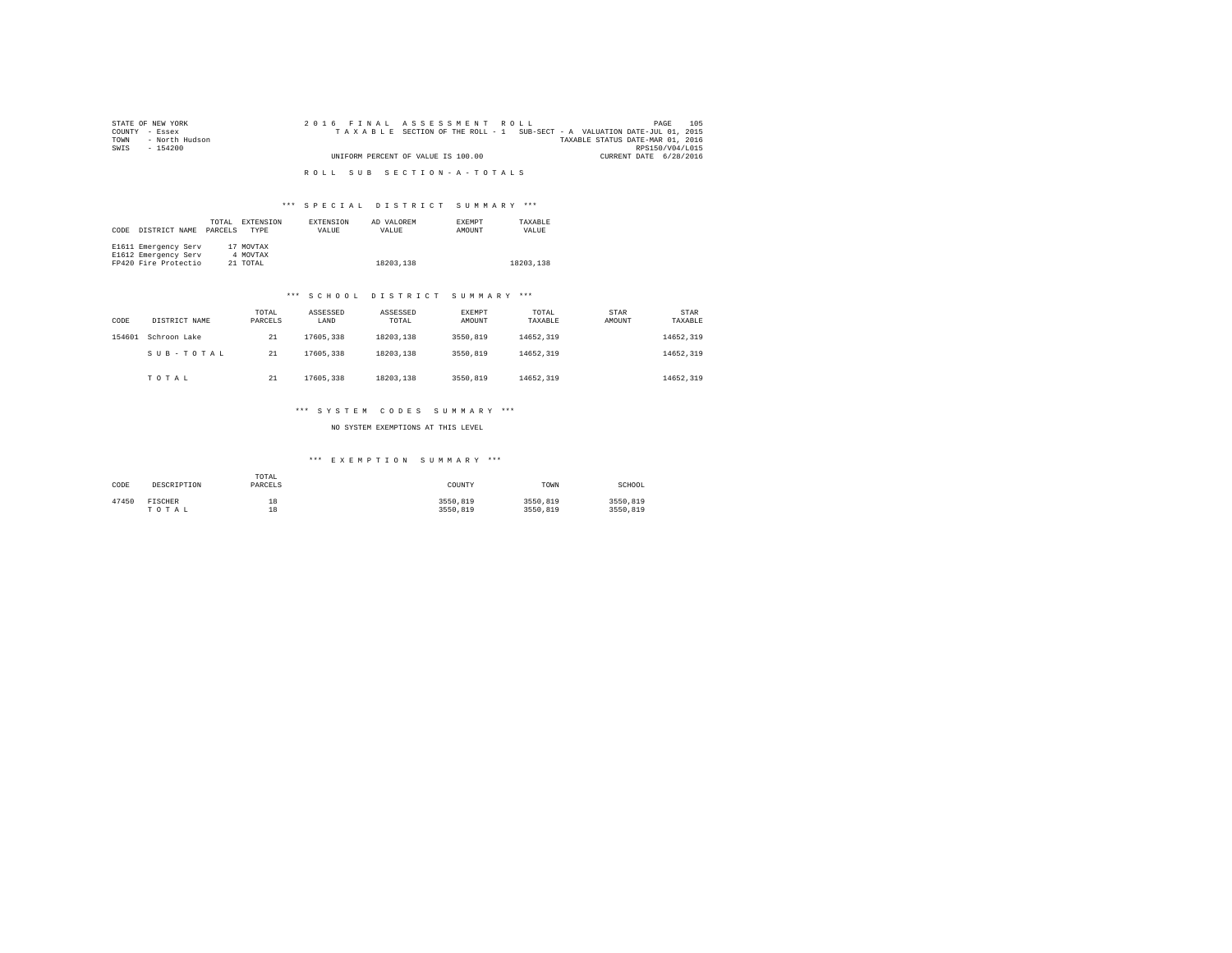| STATE OF NEW YORK      | 2016 FINAL ASSESSMENT ROLL                                               | 105<br>PAGE                      |
|------------------------|--------------------------------------------------------------------------|----------------------------------|
| COUNTY - Essex         | TAXABLE SECTION OF THE ROLL - 1 SUB-SECT - A VALUATION DATE-JUL 01, 2015 |                                  |
| - North Hudson<br>TOWN |                                                                          | TAXABLE STATUS DATE-MAR 01, 2016 |
| SWIS<br>- 154200       |                                                                          | RPS150/V04/L015                  |
|                        | UNIFORM PERCENT OF VALUE IS 100.00                                       | CURRENT DATE 6/28/2016           |
|                        |                                                                          |                                  |
|                        | ROLL SUB SECTION-A-TOTALS                                                |                                  |

## \*\*\* S P E C I A L D I S T R I C T S U M M A R Y \*\*\*

| CODE | DISTRICT NAME        | TOTAL<br>PARCELS | EXTENSION<br><b>TYPE</b> | <b>EXTENSION</b><br>VALUE | AD VALOREM<br>VALUE | <b>EXEMPT</b><br>AMOUNT | TAXABLE<br>VALUE |
|------|----------------------|------------------|--------------------------|---------------------------|---------------------|-------------------------|------------------|
|      | E1611 Emergency Serv | 17               | MOVTAX                   |                           |                     |                         |                  |
|      | E1612 Emergency Serv |                  | 4 MOVTAX                 |                           |                     |                         |                  |
|      | FP420 Fire Protectio |                  | 21 TOTAL                 |                           | 18203.138           |                         | 18203.138        |

#### \*\*\* S C H O O L D I S T R I C T S U M M A R Y \*\*\*

| CODE   | DISTRICT NAME | TOTAL<br>PARCELS | ASSESSED<br>LAND | ASSESSED<br>TOTAL | EXEMPT<br>AMOUNT | TOTAL<br>TAXABLE | STAR<br>AMOUNT | STAR<br>TAXABLE |
|--------|---------------|------------------|------------------|-------------------|------------------|------------------|----------------|-----------------|
| 154601 | Schroon Lake  | 21               | 17605.338        | 18203.138         | 3550,819         | 14652.319        |                | 14652.319       |
|        | SUB-TOTAL     | 21               | 17605.338        | 18203.138         | 3550,819         | 14652.319        |                | 14652.319       |
|        | TOTAL         | 21               | 17605.338        | 18203.138         | 3550,819         | 14652.319        |                | 14652.319       |

#### \*\*\* S Y S T E M C O D E S S U M M A R Y \*\*\*

NO SYSTEM EXEMPTIONS AT THIS LEVEL

## \*\*\* E X E M P T I O N S U M M A R Y \*\*\*

| CODE  | DESCRIPTION    | TOTAL<br>PARCELS | COUNTY   | TOWN     | SCHOOL   |
|-------|----------------|------------------|----------|----------|----------|
| 47450 | <b>FISCHER</b> | 18               | 3550.819 | 3550,819 | 3550.819 |
|       | TOTAL          | 18               | 3550.819 | 3550.819 | 3550,819 |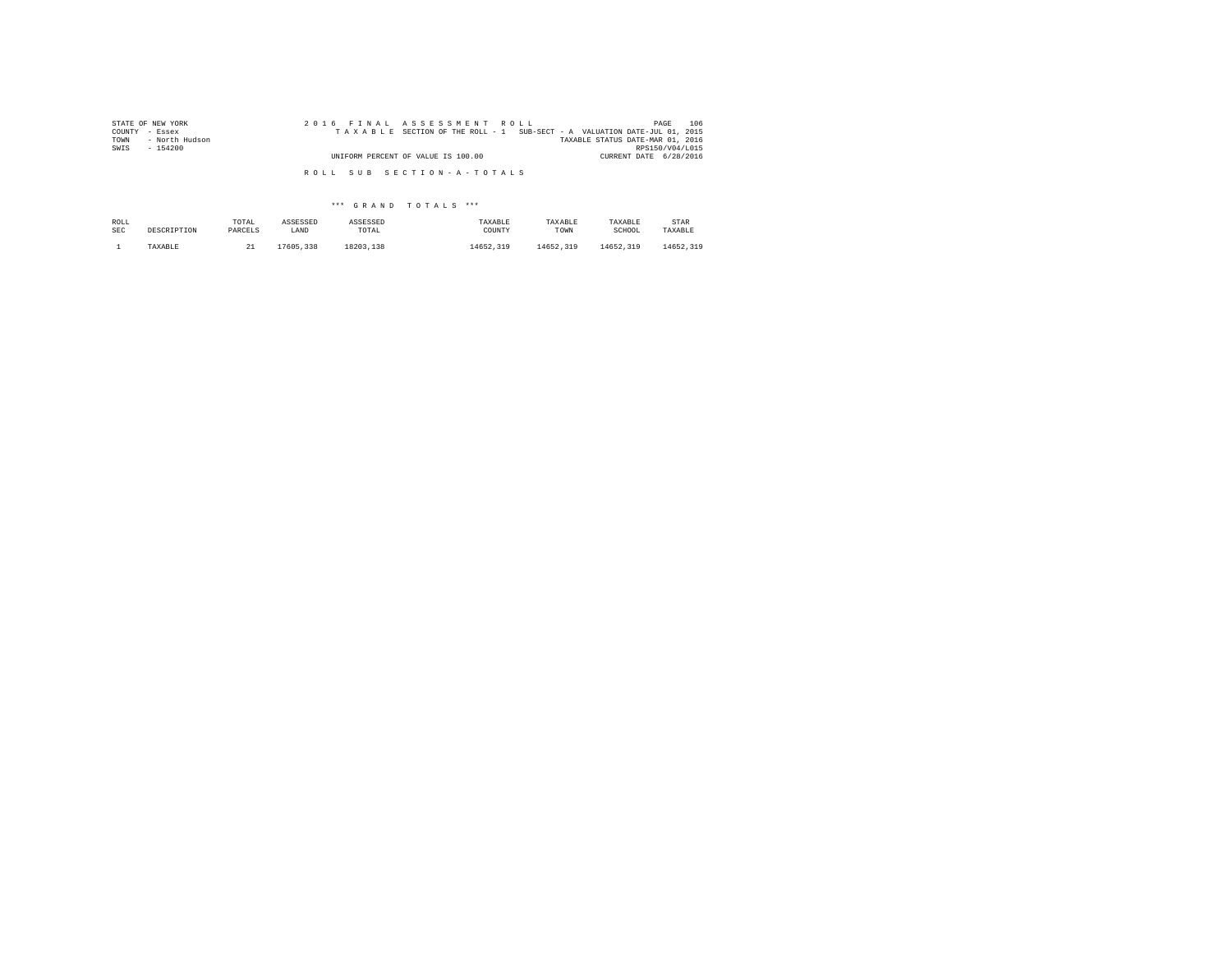| STATE OF NEW YORK                           | 2016 FINAL ASSESSMENT ROLL                                               | 106<br>PAGE            |
|---------------------------------------------|--------------------------------------------------------------------------|------------------------|
| COUNTY - Essex                              | TAXABLE SECTION OF THE ROLL - 1 SUB-SECT - A VALUATION DATE-JUL 01, 2015 |                        |
| - North Hudson<br>TOWN<br>SWIS<br>$-154200$ | TAXABLE STATUS DATE-MAR 01, 2016                                         | RPS150/V04/L015        |
|                                             | UNIFORM PERCENT OF VALUE IS 100.00                                       | CURRENT DATE 6/28/2016 |
|                                             |                                                                          |                        |
|                                             | ROLL SUB SECTION-A-TOTALS                                                |                        |

## \*\*\* G R A N D T O T A L S \*\*\*

| ROLL | DESCRIPTION | TOTAL   | ASSESSED  | ASSESSED  | TAXABLE   | TAXABLE   | TAXABLE   | STAR      |
|------|-------------|---------|-----------|-----------|-----------|-----------|-----------|-----------|
| SEC  |             | PARCELS | LAND      | TOTAL     | COUNTY    | TOWN      | SCHOOL    | TAXABLE   |
|      | TAXABLE     | --      | 17605,338 | 18203.138 | 14652.319 | 14652.319 | 14652.319 | 14652.319 |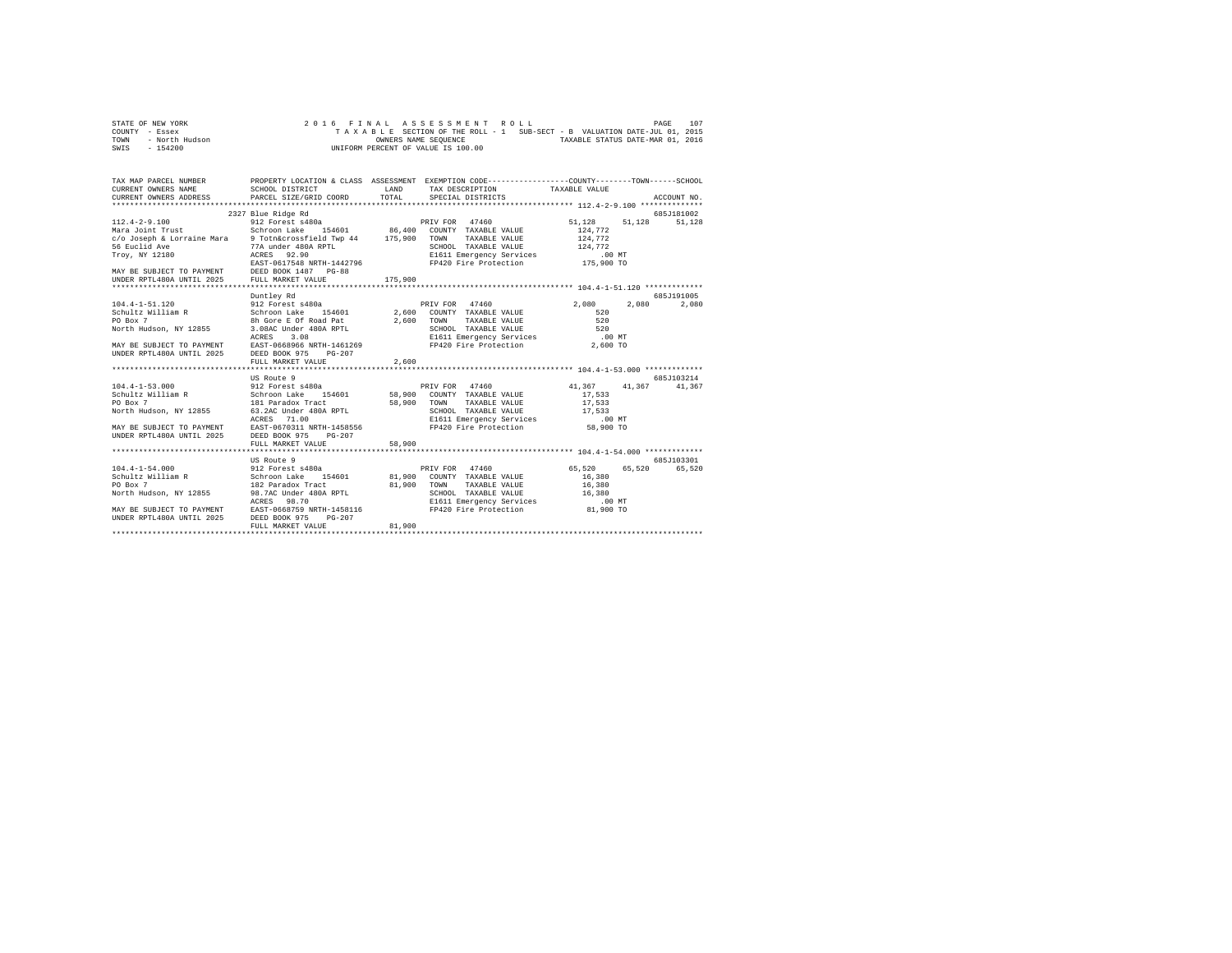|      | STATE OF NEW YORK |  |  |  | 2016 FINAL ASSESSMENT ROLL         |  |  |  |  |  |  |  |  |                                                                          |  | PAGE | 107 |
|------|-------------------|--|--|--|------------------------------------|--|--|--|--|--|--|--|--|--------------------------------------------------------------------------|--|------|-----|
|      | COUNTY - Essex    |  |  |  |                                    |  |  |  |  |  |  |  |  | TAXABLE SECTION OF THE ROLL - 1 SUB-SECT - B VALUATION DATE-JUL 01, 2015 |  |      |     |
| TOWN | - North Hudson    |  |  |  | OWNERS NAME SEOUENCE               |  |  |  |  |  |  |  |  | TAXABLE STATUS DATE-MAR 01, 2016                                         |  |      |     |
| SWIS | - 154200          |  |  |  | UNIFORM PERCENT OF VALUE IS 100.00 |  |  |  |  |  |  |  |  |                                                                          |  |      |     |

| TAX MAP PARCEL NUMBER PROPERTY LOCATION & CLASS ASSESSMENT EXEMPTION CODE--------------COUNTY-------TOWN-----SCHOOL<br>CURRENT OWNERS NAME SCHOOL DISTRICT<br>CURRENT OWNERS ADDRESS PARCEL SIZE/GRID COORD                                    |                    | LAND<br>TOTAL | TAX DESCRIPTION TAXABLE VALUE<br>SPECIAL DISTRICTS                |                                    | ACCOUNT NO.       |
|------------------------------------------------------------------------------------------------------------------------------------------------------------------------------------------------------------------------------------------------|--------------------|---------------|-------------------------------------------------------------------|------------------------------------|-------------------|
|                                                                                                                                                                                                                                                | 2327 Blue Ridge Rd |               |                                                                   |                                    | 685J181002        |
| $112.4 - 2 - 9.100$<br>Mara Joint Trust                                                                                                                                                                                                        |                    |               |                                                                   | 51, 128 51, 128 51, 128<br>124,772 |                   |
|                                                                                                                                                                                                                                                |                    |               | TAXABLE VALUE 124,772                                             |                                    |                   |
|                                                                                                                                                                                                                                                |                    |               |                                                                   |                                    |                   |
| c/o Joseph & Lorraine Mara هاموا المساحد المستخدم المستخدم و C/o Joseph & Lorraine Mara (2008)<br>56 Euclid Ave (2008) 77A under 480A RPTL<br>2007, NY 12180 (2008) ACRES (2009) 21611 E                                                       |                    |               |                                                                   |                                    |                   |
|                                                                                                                                                                                                                                                |                    |               |                                                                   |                                    |                   |
|                                                                                                                                                                                                                                                |                    |               |                                                                   |                                    |                   |
|                                                                                                                                                                                                                                                |                    |               |                                                                   |                                    |                   |
|                                                                                                                                                                                                                                                |                    |               |                                                                   |                                    |                   |
| COLOOL TAXABLE VALUE<br>Troy, NY 12180<br>Troy, NY 12180<br>MAY BE SUBJECT TO PAYMENT<br>EAST -0617548 NRTH-1442796<br>MAY BE SUBJECT TO PAYMENT<br>EAST -0617548 NRTH-1442796<br>MAY BE SUBJECT TO PAYMENT<br>DISPER PRILE PRILE PRILE PROPER |                    |               |                                                                   |                                    |                   |
|                                                                                                                                                                                                                                                | Duntlev Rd         |               |                                                                   |                                    | 685J191005        |
|                                                                                                                                                                                                                                                |                    |               |                                                                   |                                    | 2,080 2,080 2,080 |
|                                                                                                                                                                                                                                                |                    |               |                                                                   |                                    |                   |
|                                                                                                                                                                                                                                                |                    |               |                                                                   |                                    |                   |
|                                                                                                                                                                                                                                                |                    |               |                                                                   |                                    |                   |
|                                                                                                                                                                                                                                                |                    |               |                                                                   |                                    |                   |
|                                                                                                                                                                                                                                                |                    |               |                                                                   |                                    |                   |
|                                                                                                                                                                                                                                                |                    |               |                                                                   |                                    |                   |
| UNDER RPTL480A UNTIL 2025 DEED BOOK 975 PG-207                                                                                                                                                                                                 | FULL MARKET VALUE  | 2,600         |                                                                   |                                    |                   |
|                                                                                                                                                                                                                                                |                    |               |                                                                   |                                    |                   |
|                                                                                                                                                                                                                                                |                    |               |                                                                   |                                    |                   |
|                                                                                                                                                                                                                                                | US Route 9         |               |                                                                   |                                    | 685J103214        |
| 104.4-1-53.000 5012 Forest s480a PRIV FOR 47460 41,367 41,367 41,367 41,367<br>Schroon Lake 154601 58,900 COUNTY TAXABLE VALUE 17,533                                                                                                          |                    |               |                                                                   |                                    |                   |
|                                                                                                                                                                                                                                                |                    |               |                                                                   |                                    |                   |
| CONSIDER THE TRANSFORM ON THE SECTION TRANSLE VALUE 17,533<br>FO BOX 7 181 Paradox Tract 190 58,900 TOWN TAXABLE VALUE 17,533<br>North Hudson, NY 12855 6.3.2 ACRES 71.00 TL ESSENGE TRANSLE VERTICLES                                         |                    |               | TAXABLE VALUE                                                     |                                    |                   |
|                                                                                                                                                                                                                                                |                    |               |                                                                   |                                    |                   |
|                                                                                                                                                                                                                                                |                    |               |                                                                   |                                    |                   |
|                                                                                                                                                                                                                                                |                    |               |                                                                   |                                    |                   |
|                                                                                                                                                                                                                                                |                    |               |                                                                   |                                    |                   |
|                                                                                                                                                                                                                                                | FULL MARKET VALUE  | 58,900        |                                                                   |                                    |                   |
|                                                                                                                                                                                                                                                |                    |               |                                                                   |                                    |                   |
|                                                                                                                                                                                                                                                | US Route 9         |               |                                                                   |                                    | 685J103301        |
|                                                                                                                                                                                                                                                |                    |               |                                                                   |                                    |                   |
| 1991.1-12<br>Schroom Lake 154601 81,900 COUNTY TAXABLE VALUE 16,380<br>PO Box 7 182 Paradox Track 81,900 TOWN TAXABLE VALUE 16,380<br>PO Box 7 1825 98.7AC Under 480A RPTL SCHOOL TAXABLE VALUE 16,380<br>North Hudson, NY 12855 98.70         |                    |               |                                                                   |                                    |                   |
|                                                                                                                                                                                                                                                |                    |               |                                                                   |                                    |                   |
|                                                                                                                                                                                                                                                |                    |               |                                                                   |                                    |                   |
|                                                                                                                                                                                                                                                |                    |               |                                                                   |                                    |                   |
|                                                                                                                                                                                                                                                |                    |               | E1611 Emergency Services 00 MT<br>FP420 Fire Protection 81,900 TO |                                    |                   |
| MAY BE SUBJECT TO PAYMENT EAST-0668759 NRTH-1458116<br>UNDER RPTL480A UNTIL 2025 DEED BOOK 975 PG-207                                                                                                                                          |                    |               |                                                                   |                                    |                   |
|                                                                                                                                                                                                                                                |                    |               |                                                                   |                                    |                   |
|                                                                                                                                                                                                                                                | FULL MARKET VALUE  | 81,900        |                                                                   |                                    |                   |
|                                                                                                                                                                                                                                                |                    |               |                                                                   |                                    |                   |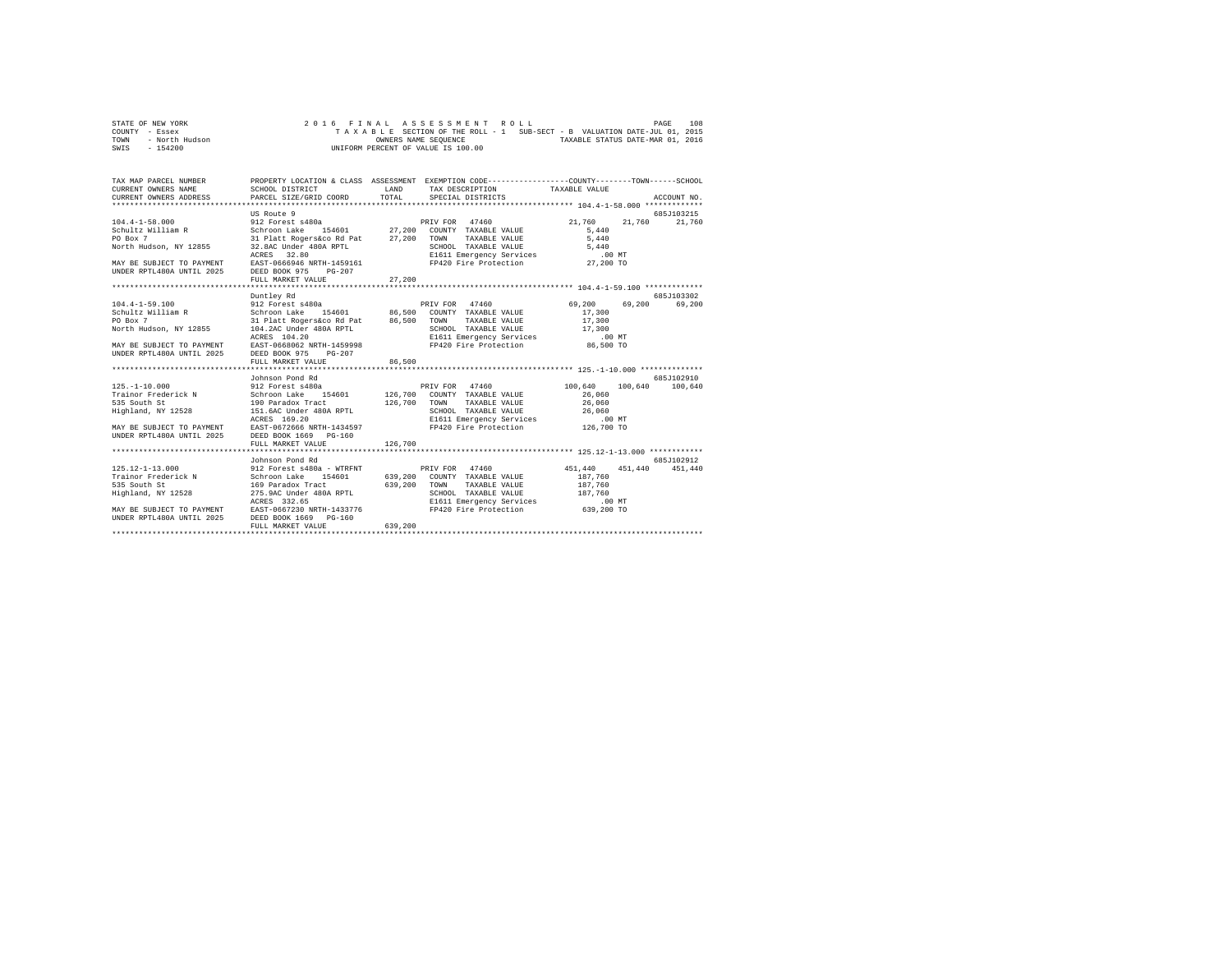|                | STATE OF NEW YORK |  |  |  |  | 2016 FINAL ASSESSMENT ROLL         |  |  |  |  |                                                                          | PAGE | 108 |
|----------------|-------------------|--|--|--|--|------------------------------------|--|--|--|--|--------------------------------------------------------------------------|------|-----|
| COUNTY - Essex |                   |  |  |  |  |                                    |  |  |  |  | TAXABLE SECTION OF THE ROLL - 1 SUB-SECT - B VALUATION DATE-JUL 01, 2015 |      |     |
| TOWN           | - North Hudson    |  |  |  |  | OWNERS NAME SEOUENCE               |  |  |  |  | TAXABLE STATUS DATE-MAR 01, 2016                                         |      |     |
| SWIS           | $-154200$         |  |  |  |  | UNIFORM PERCENT OF VALUE IS 100.00 |  |  |  |  |                                                                          |      |     |

| TAX MAP PARCEL NUMBER                                                                                                                                                                                                                      | PROPERTY LOCATION & CLASS ASSESSMENT EXEMPTION CODE----------------COUNTY-------TOWN------SCHOOL |         |  |               |
|--------------------------------------------------------------------------------------------------------------------------------------------------------------------------------------------------------------------------------------------|--------------------------------------------------------------------------------------------------|---------|--|---------------|
|                                                                                                                                                                                                                                            |                                                                                                  |         |  |               |
|                                                                                                                                                                                                                                            | US Route 9                                                                                       |         |  | 685J103215    |
|                                                                                                                                                                                                                                            |                                                                                                  |         |  | 21,760 21,760 |
|                                                                                                                                                                                                                                            |                                                                                                  |         |  |               |
|                                                                                                                                                                                                                                            |                                                                                                  |         |  |               |
|                                                                                                                                                                                                                                            |                                                                                                  |         |  |               |
|                                                                                                                                                                                                                                            |                                                                                                  |         |  |               |
|                                                                                                                                                                                                                                            |                                                                                                  |         |  |               |
| UNDER RPTL480A UNTIL 2025 DEED BOOK 975 PG-207                                                                                                                                                                                             |                                                                                                  |         |  |               |
|                                                                                                                                                                                                                                            | FULL MARKET VALUE                                                                                | 27,200  |  |               |
|                                                                                                                                                                                                                                            |                                                                                                  |         |  |               |
|                                                                                                                                                                                                                                            | Duntlev Rd                                                                                       |         |  | 685.7103302   |
| 104.4-1-59.100<br>2011 Excess 1480a<br>Schultz William R Schroon Lake 154601 86,500 COUNTY TAXABLE VALUE 17,300<br>2012 Forest 480a<br>2012 Part Regers Access 144601 86,500 TONY TAXABLE VALUE 17,300<br>2012 104.2AC Under 480A RPTL     |                                                                                                  |         |  |               |
|                                                                                                                                                                                                                                            |                                                                                                  |         |  |               |
|                                                                                                                                                                                                                                            |                                                                                                  |         |  |               |
|                                                                                                                                                                                                                                            |                                                                                                  |         |  |               |
|                                                                                                                                                                                                                                            |                                                                                                  |         |  |               |
|                                                                                                                                                                                                                                            |                                                                                                  |         |  |               |
|                                                                                                                                                                                                                                            |                                                                                                  |         |  |               |
|                                                                                                                                                                                                                                            | FULL MARKET VALUE 86,500                                                                         |         |  |               |
|                                                                                                                                                                                                                                            |                                                                                                  |         |  |               |
|                                                                                                                                                                                                                                            | Johnson Pond Rd                                                                                  |         |  | 685J102910    |
|                                                                                                                                                                                                                                            |                                                                                                  |         |  |               |
|                                                                                                                                                                                                                                            |                                                                                                  |         |  |               |
|                                                                                                                                                                                                                                            |                                                                                                  |         |  |               |
| 125.-1-10.000<br>125.-1-10.000<br>126.700 COUNTY TAXABLE VALUE 100,640 100,640 100,640<br>126.700 COUNTY TAXABLE VALUE 26,060<br>126.700 TAXABLE VALUE 26,060<br>126.700 TAXABLE VALUE 26,060 2600<br>126.700 TAXABLE VALUE 26,060<br>126. |                                                                                                  |         |  |               |
|                                                                                                                                                                                                                                            |                                                                                                  |         |  |               |
|                                                                                                                                                                                                                                            |                                                                                                  |         |  |               |
|                                                                                                                                                                                                                                            |                                                                                                  |         |  |               |
|                                                                                                                                                                                                                                            |                                                                                                  |         |  |               |
|                                                                                                                                                                                                                                            |                                                                                                  |         |  |               |
|                                                                                                                                                                                                                                            | Johnson Pond Rd                                                                                  |         |  | 685J102912    |
| 125.12-1-13.000 912 Forest s480a - WTRFNT PRIV FOR 47460 451,440 451,440 451,440 451,440                                                                                                                                                   |                                                                                                  |         |  |               |
|                                                                                                                                                                                                                                            |                                                                                                  |         |  |               |
|                                                                                                                                                                                                                                            |                                                                                                  |         |  |               |
|                                                                                                                                                                                                                                            |                                                                                                  |         |  |               |
|                                                                                                                                                                                                                                            |                                                                                                  |         |  |               |
| 123.14-1-123.000 COUNTY TAXABLE VALUE 197.760<br>Trainor Frederick N Schroon Lake 154601 639,200 COUNTY TAXABLE VALUE 187.760<br>535.900 COUNTY TAXABLE VALUE 187.760<br>189,200 COUNTY TAXABLE VALUE 187.760<br>189,200 COUNTY TAXABL     |                                                                                                  |         |  |               |
|                                                                                                                                                                                                                                            |                                                                                                  |         |  |               |
|                                                                                                                                                                                                                                            | FULL MARKET VALUE                                                                                | 639,200 |  |               |
|                                                                                                                                                                                                                                            |                                                                                                  |         |  |               |
|                                                                                                                                                                                                                                            |                                                                                                  |         |  |               |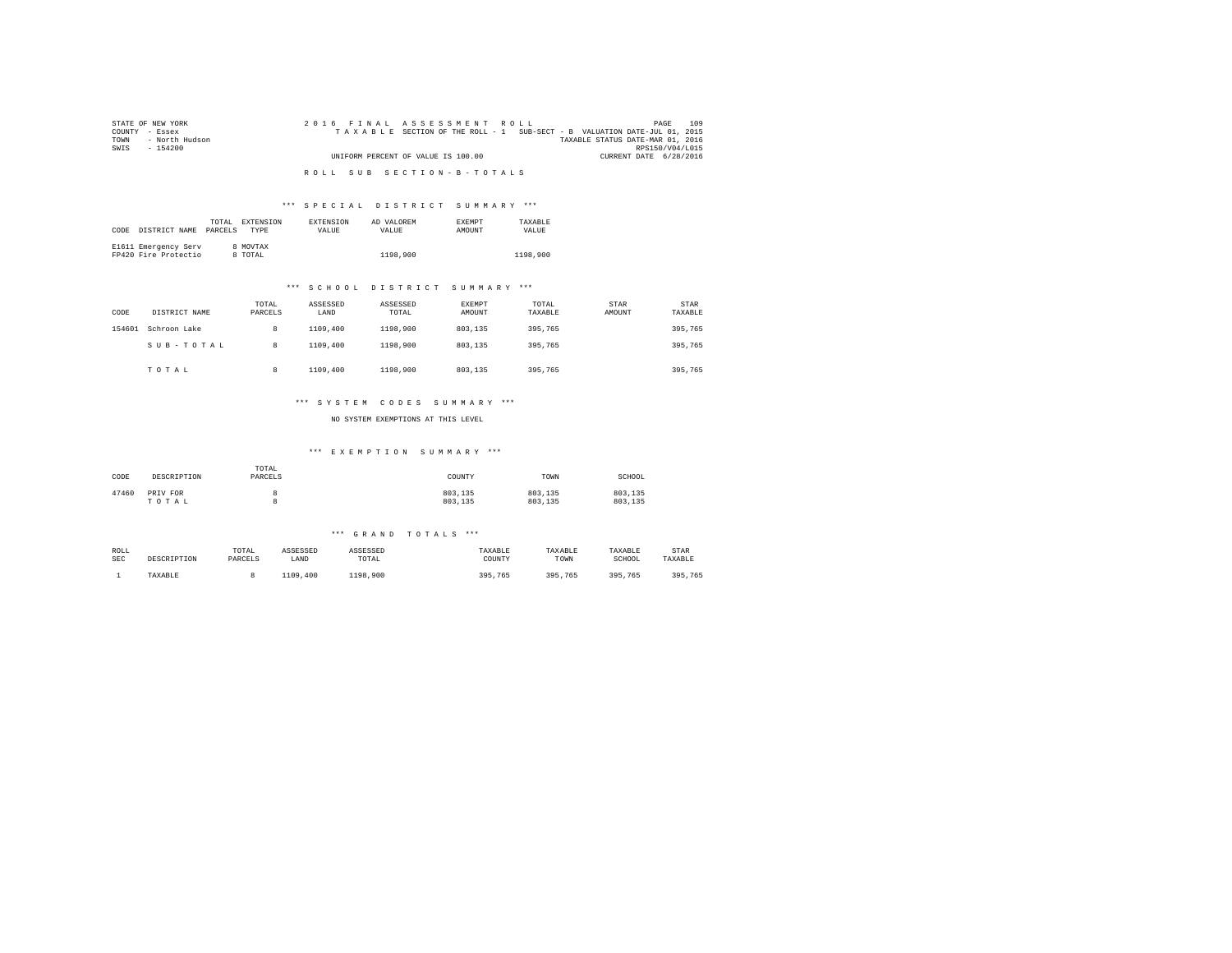| STATE OF NEW YORK      | 2016 FINAL ASSESSMENT ROLL                                               | 109<br>PAGE                      |
|------------------------|--------------------------------------------------------------------------|----------------------------------|
| COUNTY - Essex         | TAXABLE SECTION OF THE ROLL - 1 SUB-SECT - B VALUATION DATE-JUL 01, 2015 |                                  |
| - North Hudson<br>TOWN |                                                                          | TAXABLE STATUS DATE-MAR 01, 2016 |
| SWIS<br>- 154200       |                                                                          | RPS150/V04/L015                  |
|                        | UNIFORM PERCENT OF VALUE IS 100.00                                       | CURRENT DATE 6/28/2016           |
|                        |                                                                          |                                  |
|                        | ROLL SUB SECTION-B-TOTALS                                                |                                  |

### \*\*\* S P E C I A L D I S T R I C T S U M M A R Y \*\*\*

|      |                      | TOTAL.  | <b>EXTENSION</b> | <b>EXTENSION</b> | AD VALOREM | <b>EXEMPT</b> | TAXARLE  |
|------|----------------------|---------|------------------|------------------|------------|---------------|----------|
| CODE | DISTRICT NAME        | PARCELS | <b>TYPE</b>      | <b>VALUE</b>     | VALUE.     | <b>AMOUNT</b> | VALUE    |
|      |                      |         |                  |                  |            |               |          |
|      | E1611 Emergency Serv |         | 8 MOVTAX         |                  |            |               |          |
|      | FP420 Fire Protectio |         | TOTAL            |                  | 1198,900   |               | 1198,900 |

### \*\*\* S C H O O L D I S T R I C T S U M M A R Y \*\*\*

| CODE   | DISTRICT NAME | TOTAL<br>PARCELS | ASSESSED<br>LAND | ASSESSED<br>TOTAL | <b>EXEMPT</b><br>AMOUNT | TOTAL<br>TAXABLE | <b>STAR</b><br>AMOUNT | STAR<br>TAXABLE |
|--------|---------------|------------------|------------------|-------------------|-------------------------|------------------|-----------------------|-----------------|
| 154601 | Schroon Lake  | 8                | 1109,400         | 1198,900          | 803,135                 | 395,765          |                       | 395,765         |
|        | SUB-TOTAL     | 8                | 1109,400         | 1198,900          | 803,135                 | 395,765          |                       | 395,765         |
|        | TOTAL         | 8                | 1109,400         | 1198,900          | 803,135                 | 395,765          |                       | 395,765         |

### \*\*\* S Y S T E M C O D E S S U M M A R Y \*\*\*

NO SYSTEM EXEMPTIONS AT THIS LEVEL

### \*\*\* E X E M P T I O N S U M M A R Y \*\*\*

| CODE  | DESCRIPTION       | TOTAL<br>PARCELS | COUNTY             | TOWN               | SCHOOL             |
|-------|-------------------|------------------|--------------------|--------------------|--------------------|
| 47460 | PRIV FOR<br>TOTAL |                  | 803,135<br>803.135 | 803,135<br>803,135 | 803.135<br>803.135 |

#### \*\*\* G R A N D T O T A L S \*\*\*

| ROLL       | DESCRIPTION | TOTAL   | ASSESSED | ASSESSED | TAXABLE | TAXABLE | TAXABLE | STAR    |
|------------|-------------|---------|----------|----------|---------|---------|---------|---------|
| <b>SEC</b> |             | PARCELS | LAND     | TOTAL    | COUNTY  | TOWN    | SCHOOL  | TAXABLE |
|            | TAXABLE     |         | 1109,400 | 1198,900 | 395,765 | 395.765 | 395.765 | 395,765 |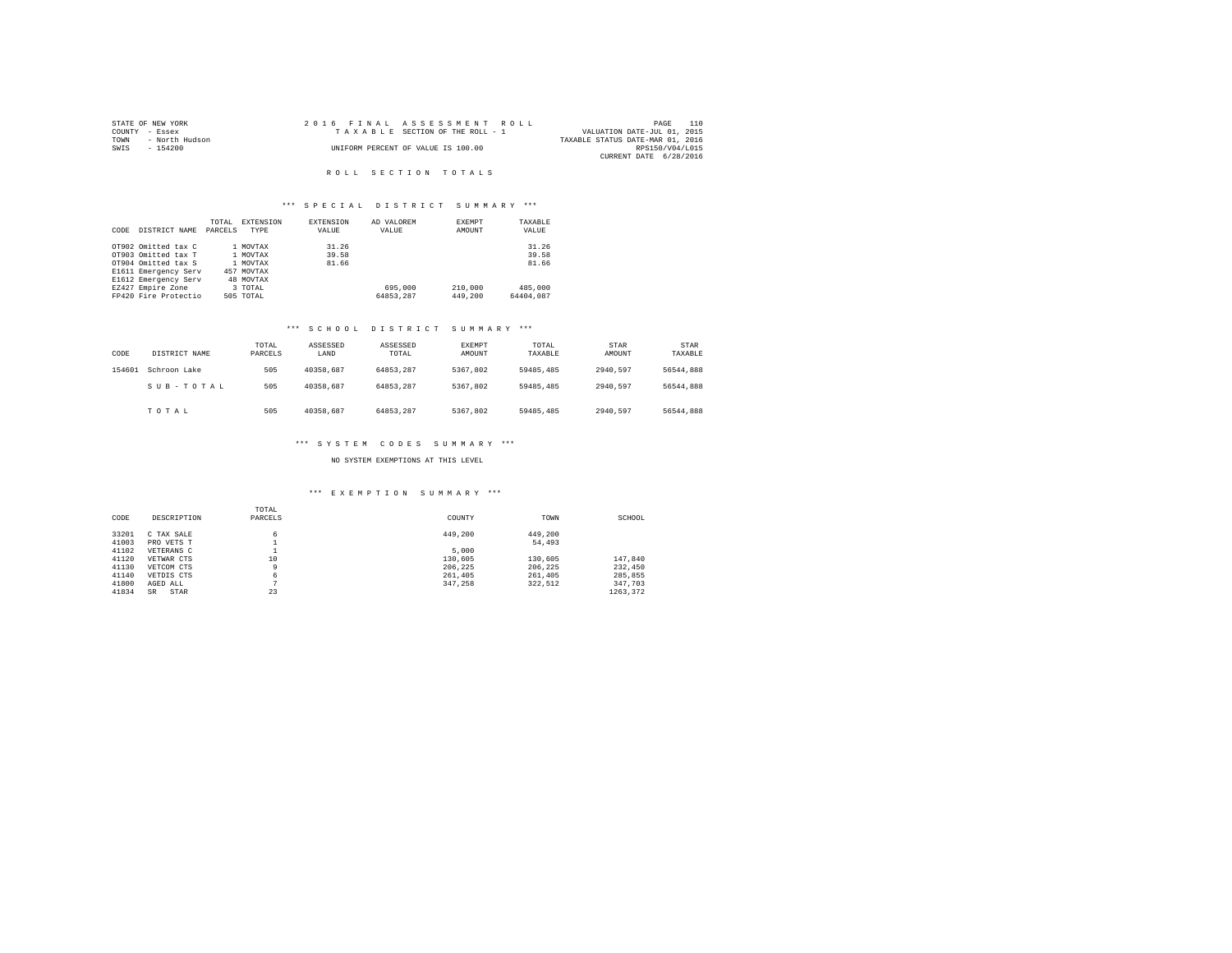| STATE OF NEW YORK      | 2016 FINAL ASSESSMENT ROLL         | 110<br>PAGE                      |
|------------------------|------------------------------------|----------------------------------|
| COUNTY - Essex         | TAXABLE SECTION OF THE ROLL - 1    | VALUATION DATE-JUL 01, 2015      |
| - North Hudson<br>TOWN |                                    | TAXABLE STATUS DATE-MAR 01, 2016 |
| SWIS<br>- 154200       | UNIFORM PERCENT OF VALUE IS 100.00 | RPS150/V04/L015                  |
|                        |                                    | CURRENT DATE 6/28/2016           |
|                        |                                    |                                  |

# R O L L S E C T I O N T O T A L S

## \*\*\* S P E C I A L D I S T R I C T S U M M A R Y \*\*\*

|      |                      | TOTAL   | EXTENSION  | <b>EXTENSION</b> | AD VALOREM | EXEMPT  | TAXABLE   |
|------|----------------------|---------|------------|------------------|------------|---------|-----------|
| CODE | DISTRICT NAME        | PARCELS | TYPE       | VALUE            | VALUE      | AMOUNT  | VALUE     |
|      |                      |         |            |                  |            |         |           |
|      | OT902 Omitted tax C  |         | 1 MOVTAX   | 31.26            |            |         | 31.26     |
|      | OT903 Omitted tax T  |         | 1 MOVTAX   | 39.58            |            |         | 39.58     |
|      | OT904 Omitted tax S  |         | 1 MOVTAX   | 81.66            |            |         | 81.66     |
|      | E1611 Emergency Serv |         | 457 MOVTAX |                  |            |         |           |
|      | E1612 Emergency Serv |         | 48 MOVTAX  |                  |            |         |           |
|      | EZ427 Empire Zone    |         | 3 TOTAL    |                  | 695,000    | 210,000 | 485,000   |
|      | FP420 Fire Protectio |         | 505 TOTAL  |                  | 64853.287  | 449,200 | 64404.087 |

### \*\*\* S C H O O L D I S T R I C T S U M M A R Y \*\*\*

| CODE   | DISTRICT NAME | TOTAL<br>PARCELS | ASSESSED<br>LAND | ASSESSED<br>TOTAL | EXEMPT<br>AMOUNT | TOTAL<br>TAXABLE | STAR<br>AMOUNT | STAR<br>TAXABLE |
|--------|---------------|------------------|------------------|-------------------|------------------|------------------|----------------|-----------------|
| 154601 | Schroon Lake  | 505              | 40358.687        | 64853.287         | 5367.802         | 59485,485        | 2940.597       | 56544,888       |
|        | SUB-TOTAL     | 505              | 40358.687        | 64853.287         | 5367.802         | 59485,485        | 2940.597       | 56544,888       |
|        | TOTAL         | 505              | 40358.687        | 64853.287         | 5367.802         | 59485,485        | 2940.597       | 56544,888       |

# \*\*\* S Y S T E M C O D E S S U M M A R Y \*\*\*

### NO SYSTEM EXEMPTIONS AT THIS LEVEL

#### \*\*\* E X E M P T I O N S U M M A R Y \*\*\*

|       |             | TOTAL   |         |         |          |
|-------|-------------|---------|---------|---------|----------|
| CODE  | DESCRIPTION | PARCELS | COUNTY  | TOWN    | SCHOOL   |
| 33201 | C TAX SALE  | 6       | 449,200 | 449.200 |          |
| 41003 | PRO VETS T  |         |         | 54,493  |          |
| 41102 | VETERANS C  |         | 5,000   |         |          |
| 41120 | VETWAR CTS  | 10      | 130,605 | 130,605 | 147.840  |
| 41130 | VETCOM CTS  | 9       | 206.225 | 206.225 | 232,450  |
| 41140 | VETDIS CTS  | 6       | 261,405 | 261,405 | 285,855  |
| 41800 | AGED ALL    | n       | 347.258 | 322.512 | 347.703  |
| 41834 | STAR<br>SR  | 23      |         |         | 1263.372 |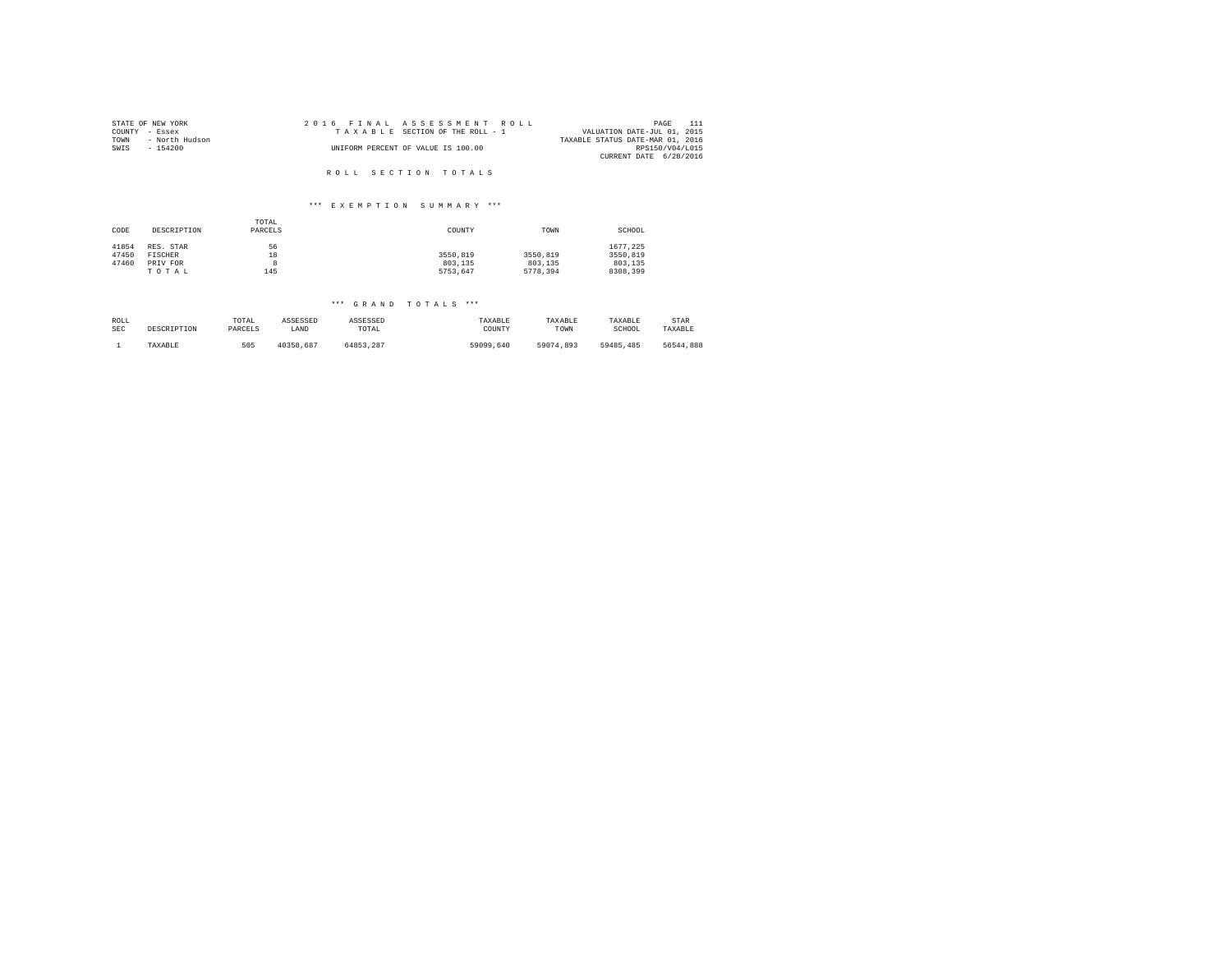| STATE OF NEW YORK      | 2016 FINAL ASSESSMENT ROLL         | 111<br>PAGE                      |
|------------------------|------------------------------------|----------------------------------|
| COUNTY - Essex         | TAXABLE SECTION OF THE ROLL - 1    | VALUATION DATE-JUL 01, 2015      |
| TOWN<br>- North Hudson |                                    | TAXABLE STATUS DATE-MAR 01, 2016 |
| SWIS<br>$-154200$      | UNIFORM PERCENT OF VALUE IS 100.00 | RPS150/V04/L015                  |
|                        |                                    | CURRENT DATE 6/28/2016           |
|                        |                                    |                                  |
|                        | ROLL SECTION TOTALS                |                                  |

### \*\*\* E X E M P T I O N S U M M A R Y \*\*\*

| CODE  | DESCRIPTION | TOTAL<br>PARCELS | COUNTY   | TOWN     | SCHOOL   |
|-------|-------------|------------------|----------|----------|----------|
| 41854 | RES. STAR   | 56               |          |          | 1677.225 |
| 47450 | FISCHER     | 18               | 3550.819 | 3550,819 | 3550,819 |
| 47460 | PRIV FOR    |                  | 803,135  | 803,135  | 803,135  |
|       | TOTAL       | 145              | 5753.647 | 5778.394 | 8308,399 |

### \*\*\* G R A N D T O T A L S \*\*\*

| ROLL       | DESCRIPTION | TOTAL   | ASSESSED  | ASSESSED  | TAXABLE   | TAXABLE   | TAXABLE   | STAR      |
|------------|-------------|---------|-----------|-----------|-----------|-----------|-----------|-----------|
| <b>SEC</b> |             | PARCELS | LAND      | TOTAL     | COUNTY    | TOWN      | SCHOOL    | TAXABLE   |
|            | TAXABLE     | 505     | 40358.687 | 64853.287 | 59099,640 | 59074.893 | 59485.485 | 56544.888 |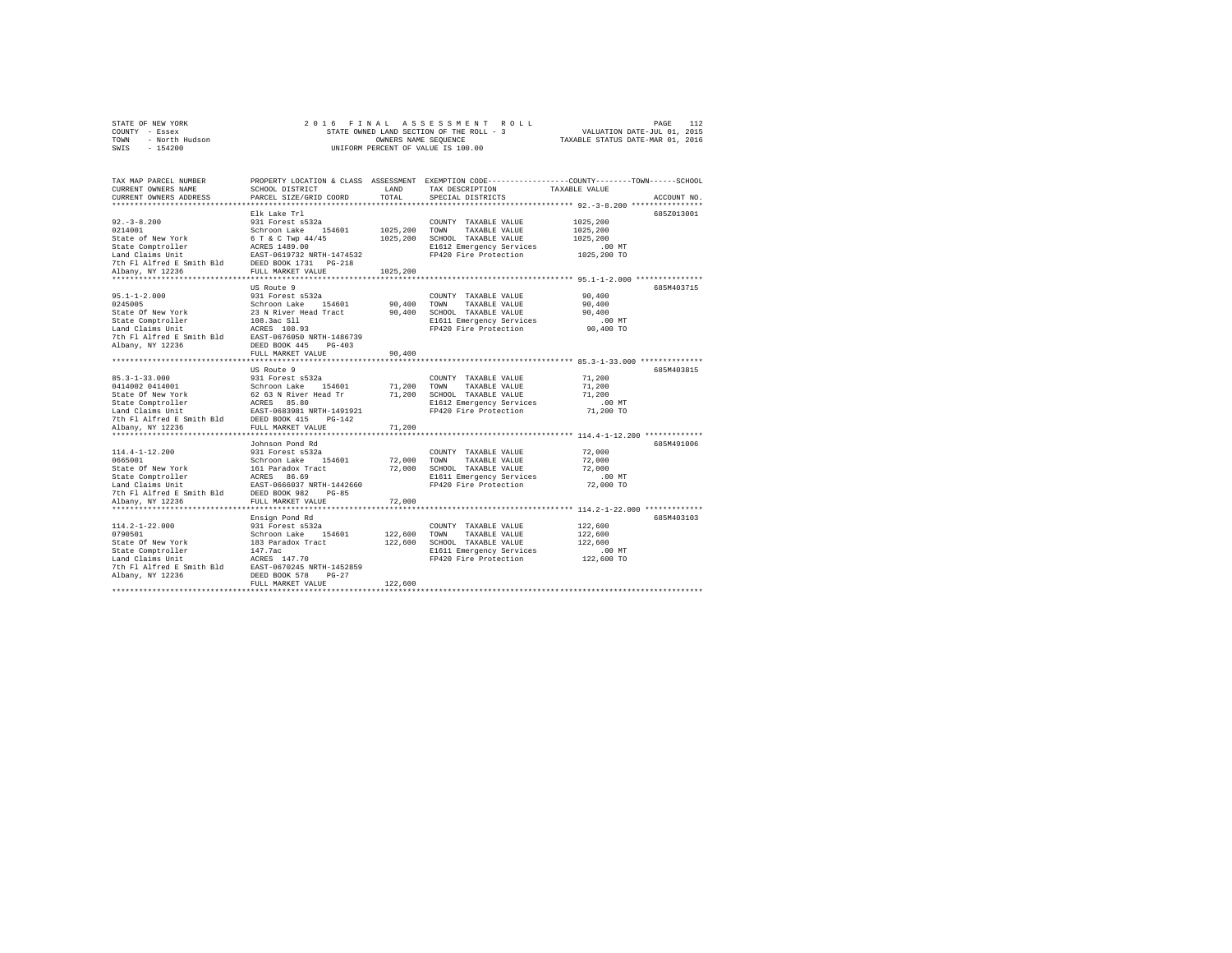|                | STATE OF NEW YORK |  |  |  | 2016 FINAL ASSESSMENT ROLL               |                                  | PAGE                        | 112 |
|----------------|-------------------|--|--|--|------------------------------------------|----------------------------------|-----------------------------|-----|
| COUNTY - Essex |                   |  |  |  | STATE OWNED LAND SECTION OF THE ROLL - 3 |                                  | VALUATION DATE-JUL 01, 2015 |     |
| TOWN           | - North Hudson    |  |  |  | OWNERS NAME SEOUENCE                     | TAXABLE STATUS DATE-MAR 01, 2016 |                             |     |
|                | SWIS - 154200     |  |  |  | UNIFORM PERCENT OF VALUE IS 100.00       |                                  |                             |     |

| TAX MAP PARCEL NUMBER                                                                                                                                                                                                                |                                                                                                                                                                                                                                 |             | PROPERTY LOCATION & CLASS ASSESSMENT EXEMPTION CODE---------------COUNTY-------TOWN------SCHOOL |                       |             |
|--------------------------------------------------------------------------------------------------------------------------------------------------------------------------------------------------------------------------------------|---------------------------------------------------------------------------------------------------------------------------------------------------------------------------------------------------------------------------------|-------------|-------------------------------------------------------------------------------------------------|-----------------------|-------------|
| CURRENT OWNERS NAME                                                                                                                                                                                                                  | SCHOOL DISTRICT                                                                                                                                                                                                                 | LAND        | TAX DESCRIPTION TAXABLE VALUE                                                                   |                       |             |
| CURRENT OWNERS ADDRESS                                                                                                                                                                                                               | PARCEL SIZE/GRID COORD                                                                                                                                                                                                          | TOTAL       | SPECIAL DISTRICTS                                                                               |                       | ACCOUNT NO. |
|                                                                                                                                                                                                                                      |                                                                                                                                                                                                                                 |             |                                                                                                 |                       |             |
|                                                                                                                                                                                                                                      | Elk Lake Trl                                                                                                                                                                                                                    |             |                                                                                                 |                       | 685Z013001  |
|                                                                                                                                                                                                                                      |                                                                                                                                                                                                                                 |             | COUNTY TAXABLE VALUE                                                                            | 1025,200              |             |
|                                                                                                                                                                                                                                      |                                                                                                                                                                                                                                 |             |                                                                                                 | 1025,200              |             |
|                                                                                                                                                                                                                                      |                                                                                                                                                                                                                                 |             |                                                                                                 | 1025,200              |             |
|                                                                                                                                                                                                                                      |                                                                                                                                                                                                                                 |             | E1612 Emergency Services                                                                        | 00 MT.<br>1025,200 TO |             |
|                                                                                                                                                                                                                                      |                                                                                                                                                                                                                                 |             | FP420 Fire Protection                                                                           |                       |             |
|                                                                                                                                                                                                                                      |                                                                                                                                                                                                                                 |             |                                                                                                 |                       |             |
|                                                                                                                                                                                                                                      |                                                                                                                                                                                                                                 |             |                                                                                                 |                       |             |
|                                                                                                                                                                                                                                      |                                                                                                                                                                                                                                 |             |                                                                                                 |                       |             |
|                                                                                                                                                                                                                                      | US Route 9                                                                                                                                                                                                                      |             |                                                                                                 |                       | 685M403715  |
| $95.1 - 1 - 2.000$                                                                                                                                                                                                                   | 931 Forest s532a                                                                                                                                                                                                                |             | COUNTY TAXABLE VALUE                                                                            | 90,400                |             |
| 0245005                                                                                                                                                                                                                              |                                                                                                                                                                                                                                 |             |                                                                                                 | 90,400                |             |
| State Of New York                                                                                                                                                                                                                    | 931 FORE SPACE 1991 A00 TOWN TAXABLE VALUE 23 N River Head Tract 90,400 SCHOOL TAXABLE VALUE 108.3ac S11<br>108.3ac S11 12 B611 B612 B613<br>108.3ac S11<br>E611 Emergency Services<br>RCRES 108.93 B6420 F1420 Fire Protection |             |                                                                                                 | 90,400                |             |
| State Comptroller                                                                                                                                                                                                                    |                                                                                                                                                                                                                                 |             | E1611 Emergency Services .00 MT                                                                 |                       |             |
| Land Claims Unit                                                                                                                                                                                                                     |                                                                                                                                                                                                                                 |             | FP420 Fire Protection                                                                           | 90,400 TO             |             |
|                                                                                                                                                                                                                                      |                                                                                                                                                                                                                                 |             |                                                                                                 |                       |             |
|                                                                                                                                                                                                                                      |                                                                                                                                                                                                                                 |             |                                                                                                 |                       |             |
|                                                                                                                                                                                                                                      | FULL MARKET VALUE                                                                                                                                                                                                               | 90,400      |                                                                                                 |                       |             |
|                                                                                                                                                                                                                                      |                                                                                                                                                                                                                                 |             |                                                                                                 |                       |             |
|                                                                                                                                                                                                                                      | US Route 9                                                                                                                                                                                                                      |             |                                                                                                 |                       | 685M403815  |
|                                                                                                                                                                                                                                      |                                                                                                                                                                                                                                 |             | COUNTY TAXABLE VALUE 71,200                                                                     |                       |             |
| 35.3-1-33.000 931 Forest s532a COUNTY TAXABLE VALUE<br>31 Forest s532a 20114001 931 Forest s532a 20117 71,200 TOWN TAXABLE VALUE<br>Schroon Lake 154601 71,200 TOWN TAXABLE VALUE<br>Schroon Lake 154601 71,200 SCHOOL TAXABLE VALUE |                                                                                                                                                                                                                                 |             |                                                                                                 | 71,200                |             |
|                                                                                                                                                                                                                                      |                                                                                                                                                                                                                                 |             |                                                                                                 | 71,200<br>$.00$ MT    |             |
|                                                                                                                                                                                                                                      |                                                                                                                                                                                                                                 |             |                                                                                                 | 71,200 TO             |             |
|                                                                                                                                                                                                                                      |                                                                                                                                                                                                                                 |             |                                                                                                 |                       |             |
|                                                                                                                                                                                                                                      |                                                                                                                                                                                                                                 |             |                                                                                                 |                       |             |
|                                                                                                                                                                                                                                      |                                                                                                                                                                                                                                 |             |                                                                                                 |                       |             |
|                                                                                                                                                                                                                                      | Johnson Pond Rd                                                                                                                                                                                                                 |             |                                                                                                 |                       | 685M491006  |
|                                                                                                                                                                                                                                      |                                                                                                                                                                                                                                 |             | COUNTY TAXABLE VALUE                                                                            | 72,000                |             |
|                                                                                                                                                                                                                                      |                                                                                                                                                                                                                                 | 72,000 TOWN | TAXABLE VALUE                                                                                   | 72,000                |             |
|                                                                                                                                                                                                                                      |                                                                                                                                                                                                                                 |             | 72,000 SCHOOL TAXABLE VALUE                                                                     | 72,000                |             |
|                                                                                                                                                                                                                                      |                                                                                                                                                                                                                                 |             |                                                                                                 | $.00$ MT              |             |
|                                                                                                                                                                                                                                      |                                                                                                                                                                                                                                 |             | E1611 Emergency Services<br>FP420 Fire Protection                                               | 72,000 TO             |             |
|                                                                                                                                                                                                                                      |                                                                                                                                                                                                                                 |             |                                                                                                 |                       |             |
|                                                                                                                                                                                                                                      |                                                                                                                                                                                                                                 | 72,000      |                                                                                                 |                       |             |
|                                                                                                                                                                                                                                      |                                                                                                                                                                                                                                 |             |                                                                                                 |                       |             |
|                                                                                                                                                                                                                                      | Ensign Pond Rd                                                                                                                                                                                                                  |             |                                                                                                 |                       | 685M403103  |
| $114.2 - 1 - 22.000$                                                                                                                                                                                                                 |                                                                                                                                                                                                                                 |             |                                                                                                 | 122,600               |             |
| 0790501                                                                                                                                                                                                                              |                                                                                                                                                                                                                                 |             |                                                                                                 | 122,600               |             |
| State Of New York                                                                                                                                                                                                                    | 931 Forest s532a (2001) 700 COUNTY TAXABLE VALUE<br>Schroon Lake 154601 122,600 TOWN TAXABLE VALUE<br>183 Paradox Tract 122,600 SCHOOL TAXABLE VALUE                                                                            |             |                                                                                                 | 122,600               |             |
|                                                                                                                                                                                                                                      |                                                                                                                                                                                                                                 |             |                                                                                                 |                       |             |
|                                                                                                                                                                                                                                      |                                                                                                                                                                                                                                 |             | E1611 Emergency Services<br>FP420 Fire Protection                                               | 00 MT.<br>122,600 TO  |             |
| State Comptroller 147.7ac<br>Land Claims Unit 147.70<br>7th F1 Alfred E Smith Bld 1585-0570245 NRTH-1452859<br>3lboau 17 1236                                                                                                        |                                                                                                                                                                                                                                 |             |                                                                                                 |                       |             |
| Albany, NY 12236                                                                                                                                                                                                                     | DEED BOOK 578 PG-27                                                                                                                                                                                                             |             |                                                                                                 |                       |             |
|                                                                                                                                                                                                                                      | FULL MARKET VALUE                                                                                                                                                                                                               | 122,600     |                                                                                                 |                       |             |
|                                                                                                                                                                                                                                      |                                                                                                                                                                                                                                 |             |                                                                                                 |                       |             |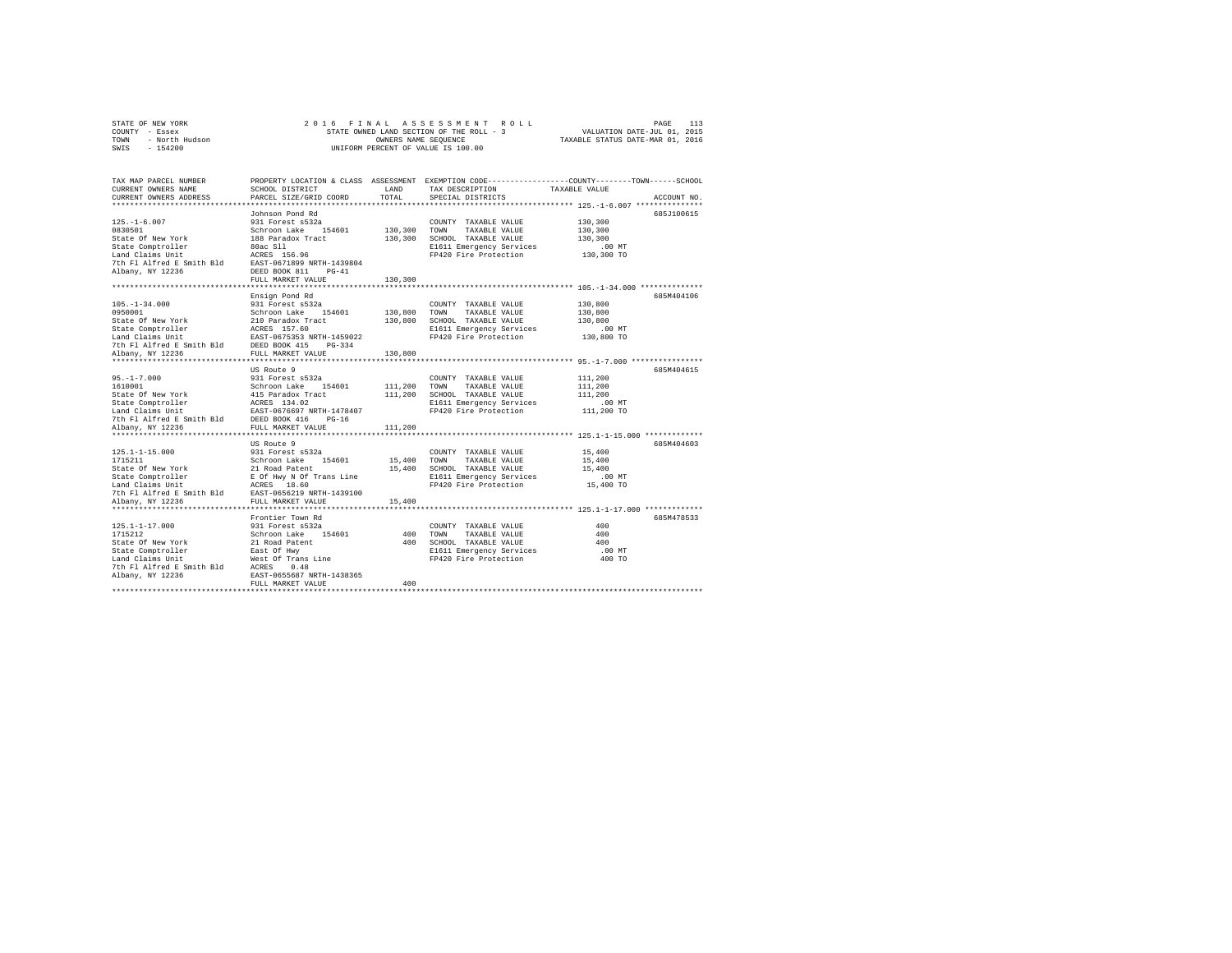| STATE OF NEW YORK      | 2016 FINAL ASSESSMENT ROLL               | 113<br>PAGE                      |
|------------------------|------------------------------------------|----------------------------------|
| COUNTY - Essex         | STATE OWNED LAND SECTION OF THE ROLL - 3 | VALUATION DATE-JUL 01, 2015      |
| - North Hudson<br>TOWN | OWNERS NAME SEOUENCE                     | TAXABLE STATUS DATE-MAR 01, 2016 |
| $-154200$<br>SWIS      | UNIFORM PERCENT OF VALUE IS 100.00       |                                  |
|                        |                                          |                                  |

| TAX MAP PARCEL NUMBER<br>CURRENT OWNERS NAME<br>CURRENT OWNERS ADDRESS | SCHOOL DISTRICT<br>PARCEL SIZE/GRID COORD        | LAND<br>TOTAL | TAX DESCRIPTION<br>SPECIAL DISTRICTS | PROPERTY LOCATION & CLASS ASSESSMENT EXEMPTION CODE----------------COUNTY-------TOWN-----SCHOOL<br>TAXABLE VALUE<br>ACCOUNT NO. |
|------------------------------------------------------------------------|--------------------------------------------------|---------------|--------------------------------------|---------------------------------------------------------------------------------------------------------------------------------|
| ************************                                               |                                                  |               |                                      |                                                                                                                                 |
|                                                                        | Johnson Pond Rd                                  |               |                                      | 685J100615                                                                                                                      |
| $125. - 1 - 6.007$                                                     | 931 Forest s532a                                 |               | COUNTY TAXABLE VALUE                 | 130,300                                                                                                                         |
| 0830501                                                                | Schroon Lake<br>154601                           | 130,300       | TOWN<br>TAXABLE VALUE                | 130,300                                                                                                                         |
| State Of New York                                                      | 188 Paradox Tract                                | 130,300       | SCHOOL TAXABLE VALUE                 | 130,300                                                                                                                         |
| State Comptroller                                                      | 80ac S11                                         |               | E1611 Emergency Services             | $.00$ MT                                                                                                                        |
| Land Claims Unit                                                       | ACRES 156.96                                     |               | FP420 Fire Protection                | 130,300 TO                                                                                                                      |
| 7th Fl Alfred E Smith Bld                                              | EAST-0671899 NRTH-1439804                        |               |                                      |                                                                                                                                 |
| Albany, NY 12236                                                       | DEED BOOK 811<br>$PG-41$                         |               |                                      |                                                                                                                                 |
|                                                                        | FULL MARKET VALUE                                | 130,300       |                                      |                                                                                                                                 |
|                                                                        | **************************                       |               |                                      | ****************************** 105.-1-34.000 **************                                                                     |
|                                                                        | Ensign Pond Rd                                   |               |                                      | 685M404106                                                                                                                      |
| $105. - 1 - 34.000$                                                    | 931 Forest s532a                                 |               | COUNTY TAXABLE VALUE                 | 130,800                                                                                                                         |
| 0950001                                                                | Schroon Lake 154601                              | 130,800       | TAXABLE VALUE<br>TOWN                | 130,800                                                                                                                         |
| State Of New York                                                      | 210 Paradox Tract                                | 130,800       | SCHOOL TAXABLE VALUE                 | 130,800                                                                                                                         |
| State Comptroller                                                      | ACRES 157.60                                     |               | E1611 Emergency Services             | .00 MT                                                                                                                          |
| Land Claims Unit                                                       | EAST-0675353 NRTH-1459022<br>DEED BOOK 415       |               | FP420 Fire Protection                | 130,800 TO                                                                                                                      |
| 7th Fl Alfred E Smith Bld                                              | $PG-334$                                         | 130,800       |                                      |                                                                                                                                 |
| Albany, NY 12236<br>**********************                             | FULL MARKET VALUE<br>*************************** |               |                                      |                                                                                                                                 |
|                                                                        | US Route 9                                       |               |                                      | 685M404615                                                                                                                      |
| $95. - 1 - 7.000$                                                      | 931 Forest s532a                                 |               | COUNTY TAXABLE VALUE                 | 111,200                                                                                                                         |
| 1610001                                                                | Schroon Lake 154601                              | 111,200       | TOWN<br>TAXABLE VALUE                | 111,200                                                                                                                         |
| State Of New York                                                      | 415 Paradox Tract                                | 111,200       | SCHOOL TAXABLE VALUE                 | 111,200                                                                                                                         |
| State Comptroller                                                      | ACRES 134.02                                     |               | E1611 Emergency Services             | $.00$ MT                                                                                                                        |
| Land Claims Unit                                                       | EAST-0676697 NRTH-1478407                        |               | FP420 Fire Protection                | 111,200 TO                                                                                                                      |
| 7th Fl Alfred E Smith Bld                                              | DEED BOOK 416<br>$PG-16$                         |               |                                      |                                                                                                                                 |
| Albany, NY 12236                                                       | FULL MARKET VALUE                                | 111,200       |                                      |                                                                                                                                 |
|                                                                        |                                                  |               |                                      |                                                                                                                                 |
|                                                                        | US Route 9                                       |               |                                      | 685M404603                                                                                                                      |
| $125.1 - 1 - 15.000$                                                   | 931 Forest s532a                                 |               | COUNTY TAXABLE VALUE                 | 15,400                                                                                                                          |
| 1715211                                                                | Schroon Lake 154601                              | 15,400        | TOWN<br>TAXABLE VALUE                | 15,400                                                                                                                          |
| State Of New York                                                      | 21 Road Patent                                   | 15,400        | SCHOOL TAXABLE VALUE                 | 15,400                                                                                                                          |
| State Comptroller                                                      | E Of Hwy N Of Trans Line                         |               | E1611 Emergency Services             | .00 MT                                                                                                                          |
| Land Claims Unit                                                       | ACRES 18.60                                      |               | FP420 Fire Protection                | 15,400 TO                                                                                                                       |
| 7th Fl Alfred E Smith Bld                                              | EAST-0656219 NRTH-1439100                        |               |                                      |                                                                                                                                 |
| Albany, NY 12236                                                       | FULL MARKET VALUE                                | 15,400        |                                      |                                                                                                                                 |
|                                                                        |                                                  |               |                                      |                                                                                                                                 |
|                                                                        | Frontier Town Rd                                 |               |                                      | 685M478533                                                                                                                      |
| $125.1 - 1 - 17.000$                                                   | 931 Forest s532a                                 |               | COUNTY TAXABLE VALUE                 | 400                                                                                                                             |
| 1715212                                                                | Schroon Lake 154601                              | 400           | TOWN<br>TAXABLE VALUE                | 400                                                                                                                             |
| State Of New York                                                      | 21 Road Patent                                   | 400           | SCHOOL TAXABLE VALUE                 | 400                                                                                                                             |
| State Comptroller                                                      | East Of Hwy                                      |               | E1611 Emergency Services             | .00 MT                                                                                                                          |
| Land Claims Unit<br>7th Fl Alfred E Smith Bld                          | West Of Trans Line<br>ACRES<br>0.48              |               | FP420 Fire Protection                | 400 TO                                                                                                                          |
| Albany, NY 12236                                                       | EAST-0655687 NRTH-1438365                        |               |                                      |                                                                                                                                 |
|                                                                        | FULL MARKET VALUE                                | 400           |                                      |                                                                                                                                 |
|                                                                        |                                                  |               |                                      |                                                                                                                                 |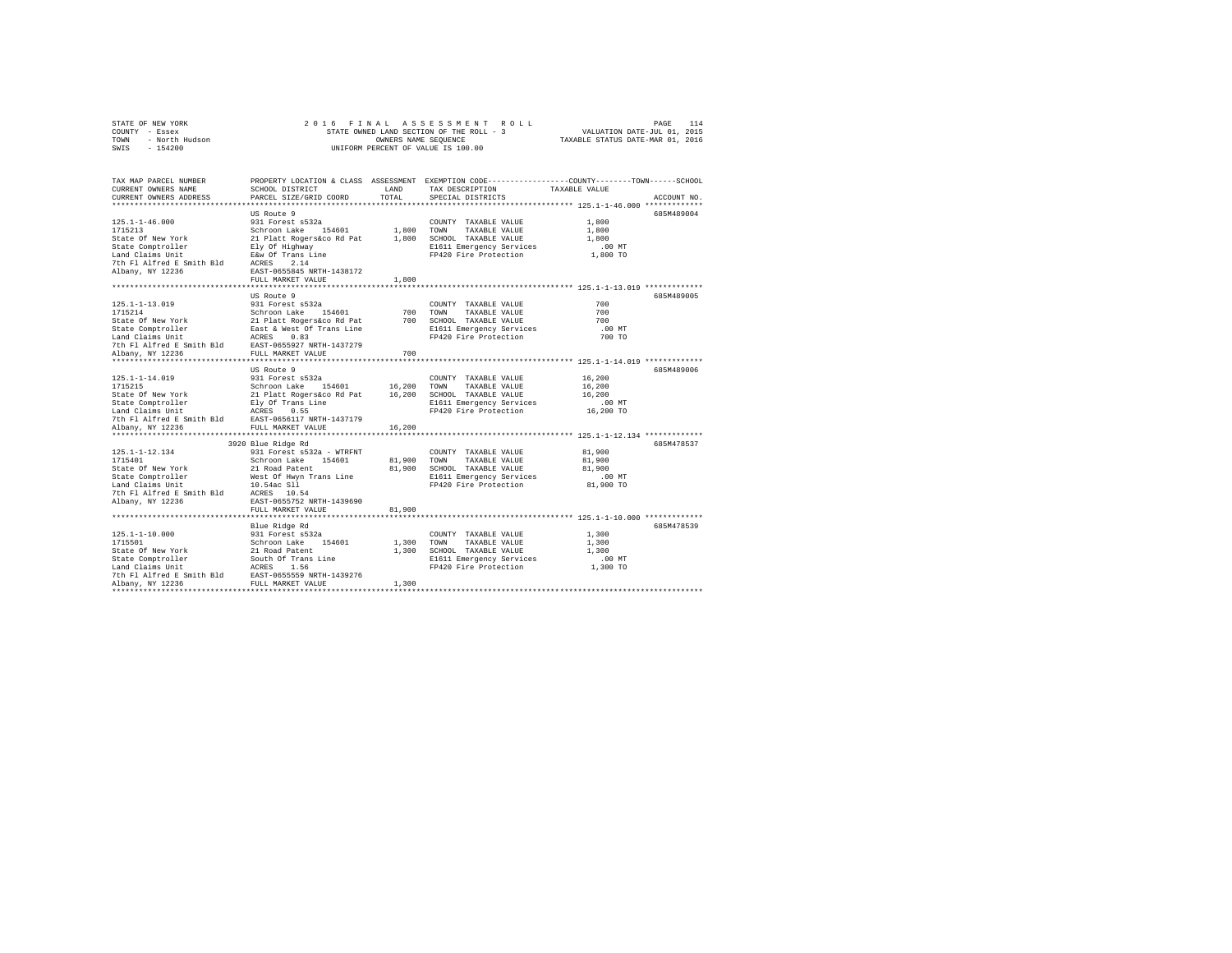| STATE OF NEW YORK      | 2016 FINAL ASSESSMENT ROLL               | 114<br>PAGE                      |
|------------------------|------------------------------------------|----------------------------------|
| COUNTY - Essex         | STATE OWNED LAND SECTION OF THE ROLL - 3 | VALUATION DATE-JUL 01, 2015      |
| - North Hudson<br>TOWN | OWNERS NAME SEOUENCE                     | TAXABLE STATUS DATE-MAR 01, 2016 |
| $-154200$<br>SWIS      | UNIFORM PERCENT OF VALUE IS 100.00       |                                  |

| TAX MAP PARCEL NUMBER<br>CURRENT OWNERS NAME                                                                                                                                                                                                       | SCHOOL DISTRICT        |        | LAND TAX DESCRIPTION                                               | PROPERTY LOCATION & CLASS ASSESSMENT EXEMPTION CODE---------------COUNTY-------TOWN------SCHOOL<br>TAXABLE VALUE |  |
|----------------------------------------------------------------------------------------------------------------------------------------------------------------------------------------------------------------------------------------------------|------------------------|--------|--------------------------------------------------------------------|------------------------------------------------------------------------------------------------------------------|--|
| CURRENT OWNERS ADDRESS                                                                                                                                                                                                                             | PARCEL SIZE/GRID COORD | TOTAL  | SPECIAL DISTRICTS                                                  | ACCOUNT NO.                                                                                                      |  |
|                                                                                                                                                                                                                                                    |                        |        |                                                                    |                                                                                                                  |  |
| 125.1-1-46.000<br>1715213<br>1715213<br>1715213<br>Schroon Lake 154601<br>Schroon Lake 154601<br>Schroon Lake 154601<br>21 Platt Rogerskoo Rd Pat 1,800 TOWN TAXABLE VALUE<br>State Comptroller<br>1810 CHANNE ELGIN ELGIN 2010<br>21 Platt Rogers | US Route 9             |        |                                                                    | 685M489004                                                                                                       |  |
|                                                                                                                                                                                                                                                    |                        |        | COUNTY TAXABLE VALUE                                               | 1,800                                                                                                            |  |
|                                                                                                                                                                                                                                                    |                        |        |                                                                    | 1,800                                                                                                            |  |
|                                                                                                                                                                                                                                                    |                        |        |                                                                    | 1,800                                                                                                            |  |
|                                                                                                                                                                                                                                                    |                        |        | E1611 Emergency Services 6.00 MT<br>FP420 Fire Protection 1,800 TO |                                                                                                                  |  |
|                                                                                                                                                                                                                                                    |                        |        |                                                                    |                                                                                                                  |  |
|                                                                                                                                                                                                                                                    |                        |        |                                                                    |                                                                                                                  |  |
|                                                                                                                                                                                                                                                    |                        |        |                                                                    |                                                                                                                  |  |
|                                                                                                                                                                                                                                                    | FULL MARKET VALUE      | 1,800  |                                                                    | ***************************** 125.1-1-13.019 *************                                                       |  |
|                                                                                                                                                                                                                                                    |                        |        |                                                                    |                                                                                                                  |  |
|                                                                                                                                                                                                                                                    | US Route 9             |        |                                                                    | 685M489005                                                                                                       |  |
|                                                                                                                                                                                                                                                    |                        |        | COUNTY TAXABLE VALUE                                               | 700                                                                                                              |  |
|                                                                                                                                                                                                                                                    |                        |        | 700 TOWN TAXABLE VALUE                                             | 700                                                                                                              |  |
|                                                                                                                                                                                                                                                    |                        |        | 700 SCHOOL TAXABLE VALUE                                           | 700                                                                                                              |  |
| 125.1-1-13.019<br>125.1-1-13.019<br>127.5214 0311 Forest s532a<br>127.5214 Schroon Lake 154601<br>127.521 Platt Rogers is 14601<br>128.54 & Mexico Mark 2031<br>128.532.721 NFTH 147279<br>128.571 Mark 2031<br>128.571 Mark 2039<br>128.571 Mar   |                        |        | E1611 Emergency Services                                           | .00 MT                                                                                                           |  |
|                                                                                                                                                                                                                                                    |                        |        | FP420 Fire Protection                                              | 700 TO                                                                                                           |  |
|                                                                                                                                                                                                                                                    |                        |        |                                                                    |                                                                                                                  |  |
|                                                                                                                                                                                                                                                    |                        | 700    |                                                                    |                                                                                                                  |  |
|                                                                                                                                                                                                                                                    |                        |        |                                                                    |                                                                                                                  |  |
|                                                                                                                                                                                                                                                    | US Route 9             |        | COUNTY TAXABLE VALUE 16,200                                        | 685M489006                                                                                                       |  |
|                                                                                                                                                                                                                                                    |                        |        |                                                                    |                                                                                                                  |  |
|                                                                                                                                                                                                                                                    |                        |        |                                                                    | 16,200<br>16,200                                                                                                 |  |
|                                                                                                                                                                                                                                                    |                        |        |                                                                    | $.00$ MT                                                                                                         |  |
|                                                                                                                                                                                                                                                    |                        |        | FP420 Fire Protection 16,200 TO                                    |                                                                                                                  |  |
|                                                                                                                                                                                                                                                    |                        |        |                                                                    |                                                                                                                  |  |
|                                                                                                                                                                                                                                                    |                        |        |                                                                    |                                                                                                                  |  |
|                                                                                                                                                                                                                                                    |                        |        |                                                                    |                                                                                                                  |  |
|                                                                                                                                                                                                                                                    | 3920 Blue Ridge Rd     |        |                                                                    | 685M478537                                                                                                       |  |
|                                                                                                                                                                                                                                                    |                        |        |                                                                    | 81,900                                                                                                           |  |
|                                                                                                                                                                                                                                                    |                        |        |                                                                    | 81,900                                                                                                           |  |
|                                                                                                                                                                                                                                                    |                        |        |                                                                    | 81,900                                                                                                           |  |
|                                                                                                                                                                                                                                                    |                        |        |                                                                    |                                                                                                                  |  |
| 125.1-1-12.134<br>125.1-1-12.134<br>125.1-1-12.134<br>127.15401<br>127.15401<br>128.1601<br>128.1.1990<br>128.1.1990<br>128.1.1990<br>128.1.1990<br>128.12990<br>128.11999<br>128.11999<br>128.11999<br>128.11999<br>128.11999<br>128.11999<br>    |                        |        | E1611 Emergency Services 00 MT<br>FP420 Fire Protection 81,900 TO  |                                                                                                                  |  |
|                                                                                                                                                                                                                                                    |                        |        |                                                                    |                                                                                                                  |  |
|                                                                                                                                                                                                                                                    |                        |        |                                                                    |                                                                                                                  |  |
|                                                                                                                                                                                                                                                    | FULL MARKET VALUE      | 81,900 |                                                                    |                                                                                                                  |  |
|                                                                                                                                                                                                                                                    |                        |        |                                                                    |                                                                                                                  |  |
|                                                                                                                                                                                                                                                    |                        |        |                                                                    | 685M478539                                                                                                       |  |
|                                                                                                                                                                                                                                                    |                        |        | COUNTY TAXABLE VALUE                                               | 1,300                                                                                                            |  |
|                                                                                                                                                                                                                                                    |                        |        | 1,300 TOWN TAXABLE VALUE                                           | 1,300                                                                                                            |  |
|                                                                                                                                                                                                                                                    |                        |        | 1,300 SCHOOL TAXABLE VALUE                                         | 1,300                                                                                                            |  |
|                                                                                                                                                                                                                                                    |                        |        | E1611 Emergency Services                                           | $.00$ MT                                                                                                         |  |
|                                                                                                                                                                                                                                                    |                        |        | FP420 Fire Protection                                              | 1,300 TO                                                                                                         |  |
|                                                                                                                                                                                                                                                    |                        |        |                                                                    |                                                                                                                  |  |
|                                                                                                                                                                                                                                                    |                        | 1,300  |                                                                    |                                                                                                                  |  |
|                                                                                                                                                                                                                                                    |                        |        |                                                                    |                                                                                                                  |  |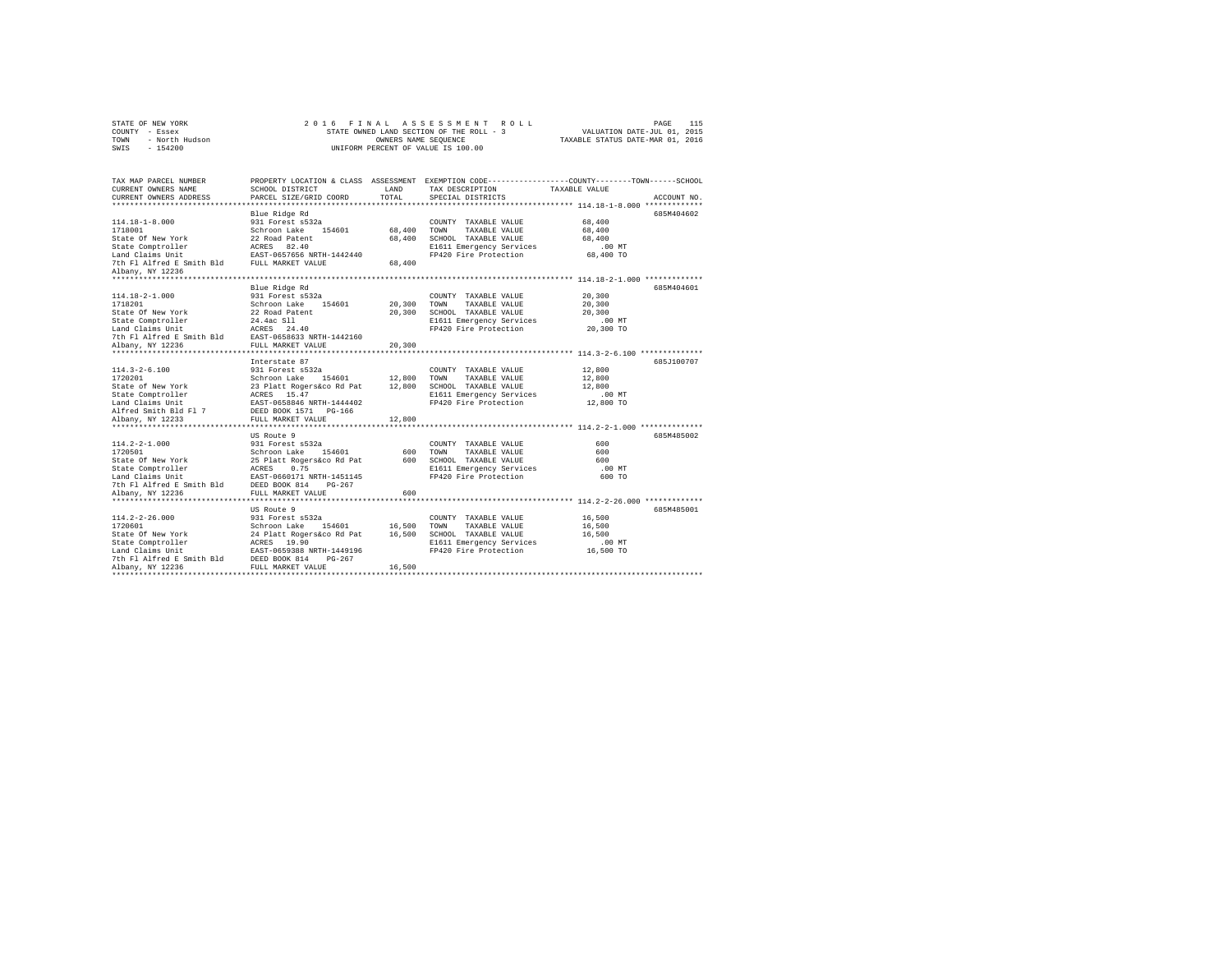| STATE OF NEW YORK      | 2016 FINAL ASSESSMENT ROLL               | 115<br>PAGE                      |
|------------------------|------------------------------------------|----------------------------------|
| COUNTY - Essex         | STATE OWNED LAND SECTION OF THE ROLL - 3 | VALUATION DATE-JUL 01, 2015      |
| - North Hudson<br>TOWN | OWNERS NAME SEOUENCE                     | TAXABLE STATUS DATE-MAR 01, 2016 |
| $-154200$<br>SWIS      | UNIFORM PERCENT OF VALUE IS 100.00       |                                  |

| TAX MAP PARCEL NUMBER                                                                                                                                                                                                    |                   |        |                                                                | PROPERTY LOCATION & CLASS ASSESSMENT EXEMPTION CODE---------------COUNTY-------TOWN------SCHOOL |
|--------------------------------------------------------------------------------------------------------------------------------------------------------------------------------------------------------------------------|-------------------|--------|----------------------------------------------------------------|-------------------------------------------------------------------------------------------------|
| CURRENT OWNERS NAME                                                                                                                                                                                                      | SCHOOL DISTRICT   | LAND   | TAX DESCRIPTION TAXABLE VALUE                                  |                                                                                                 |
| CURRENT OWNERS ADDRESS PARCEL SIZE/GRID COORD                                                                                                                                                                            |                   | TOTAL  | SPECIAL DISTRICTS                                              | ACCOUNT NO.                                                                                     |
|                                                                                                                                                                                                                          |                   |        |                                                                | 685M404602                                                                                      |
|                                                                                                                                                                                                                          | Blue Ridge Rd     |        |                                                                | 68,400                                                                                          |
| 114.18-1-8.000<br>231 Forest a<br>532a<br>231 Forest and 154601 68,400 TOWN TAXABLE VALUE State of New York 22 Road Patent 68,400 SCHOOL TAXABLE VALUE<br>State Comptroller acress 82.40 68,400 SCHOOL TAXABLE VALUE<br> |                   |        |                                                                | $68\,, 400$                                                                                     |
|                                                                                                                                                                                                                          |                   |        | 68,400 SCHOOL TAXABLE VALUE                                    | 68,400                                                                                          |
|                                                                                                                                                                                                                          |                   |        |                                                                |                                                                                                 |
|                                                                                                                                                                                                                          |                   |        | E1611 Emergency Services<br>FP420 Fire Protection              | $.00$ MT<br>68,400 TO                                                                           |
|                                                                                                                                                                                                                          |                   |        |                                                                |                                                                                                 |
| Albany, NY 12236                                                                                                                                                                                                         |                   |        |                                                                |                                                                                                 |
|                                                                                                                                                                                                                          |                   |        |                                                                |                                                                                                 |
|                                                                                                                                                                                                                          | Blue Ridge Rd     |        |                                                                | 685M404601                                                                                      |
| 114.18-2-1.000                                                                                                                                                                                                           | 931 Forest s532a  |        | COUNTY TAXABLE VALUE 20,300                                    |                                                                                                 |
|                                                                                                                                                                                                                          |                   |        |                                                                | 20,300                                                                                          |
| 1718201 - Schroon Lake 154601 - 20,300 TOWN TAXABLE VALUE<br>State Of New York - 22 Road Patent - 20,300 SCHOOL TAXABLE VALUE                                                                                            |                   |        |                                                                | 20,300                                                                                          |
|                                                                                                                                                                                                                          |                   |        | E1611 Emergency Services                                       | .00MT                                                                                           |
|                                                                                                                                                                                                                          |                   |        | FP420 Fire Protection                                          | 20,300 TO                                                                                       |
|                                                                                                                                                                                                                          |                   |        |                                                                |                                                                                                 |
| State Comptroller<br>14.4ac S11<br>Land Claims Unit 16 ACRES 24.40<br>7th Fl Alfred E Smith Bld<br>20236 FOLL MARKET VALUE<br>20236 FULL MARKET VALUE                                                                    |                   | 20,300 |                                                                |                                                                                                 |
|                                                                                                                                                                                                                          |                   |        |                                                                |                                                                                                 |
|                                                                                                                                                                                                                          | Interstate 87     |        |                                                                | 685.7100707                                                                                     |
|                                                                                                                                                                                                                          |                   |        | COUNTY TAXABLE VALUE 12,800                                    |                                                                                                 |
|                                                                                                                                                                                                                          |                   |        |                                                                | 12,800                                                                                          |
|                                                                                                                                                                                                                          |                   |        |                                                                | 12,800                                                                                          |
|                                                                                                                                                                                                                          |                   |        |                                                                | $.00$ MT                                                                                        |
|                                                                                                                                                                                                                          |                   |        | FP420 Fire Protection                                          | 12,800 TO                                                                                       |
|                                                                                                                                                                                                                          |                   |        |                                                                |                                                                                                 |
| Albany, NY 12233                                                                                                                                                                                                         |                   | 12,800 |                                                                |                                                                                                 |
|                                                                                                                                                                                                                          | FULL MARKET VALUE |        |                                                                |                                                                                                 |
|                                                                                                                                                                                                                          | US Route 9        |        |                                                                | 685M485002                                                                                      |
|                                                                                                                                                                                                                          |                   |        |                                                                | 600                                                                                             |
|                                                                                                                                                                                                                          |                   |        |                                                                | 600                                                                                             |
|                                                                                                                                                                                                                          |                   |        |                                                                | 600                                                                                             |
|                                                                                                                                                                                                                          |                   |        |                                                                |                                                                                                 |
|                                                                                                                                                                                                                          |                   |        | E1611 Emergency Services<br>FP420 Fire Protection              | $.00$ MT                                                                                        |
|                                                                                                                                                                                                                          |                   |        |                                                                | 600 TO                                                                                          |
|                                                                                                                                                                                                                          |                   |        |                                                                |                                                                                                 |
|                                                                                                                                                                                                                          |                   |        |                                                                |                                                                                                 |
|                                                                                                                                                                                                                          | US Route 9        |        |                                                                | 685M485001                                                                                      |
|                                                                                                                                                                                                                          |                   |        |                                                                |                                                                                                 |
|                                                                                                                                                                                                                          |                   |        |                                                                | 16,500                                                                                          |
|                                                                                                                                                                                                                          |                   |        | TAXABLE VALUE                                                  | 16,500                                                                                          |
|                                                                                                                                                                                                                          |                   |        | SCHOOL TAXABLE VALUE 16,500<br>E1611 Emergency Services 16,500 | 16,500                                                                                          |
|                                                                                                                                                                                                                          |                   |        |                                                                |                                                                                                 |
|                                                                                                                                                                                                                          |                   |        | FP420 Fire Protection                                          | 16,500 TO                                                                                       |
|                                                                                                                                                                                                                          |                   |        |                                                                |                                                                                                 |
|                                                                                                                                                                                                                          |                   |        |                                                                |                                                                                                 |
|                                                                                                                                                                                                                          |                   |        |                                                                |                                                                                                 |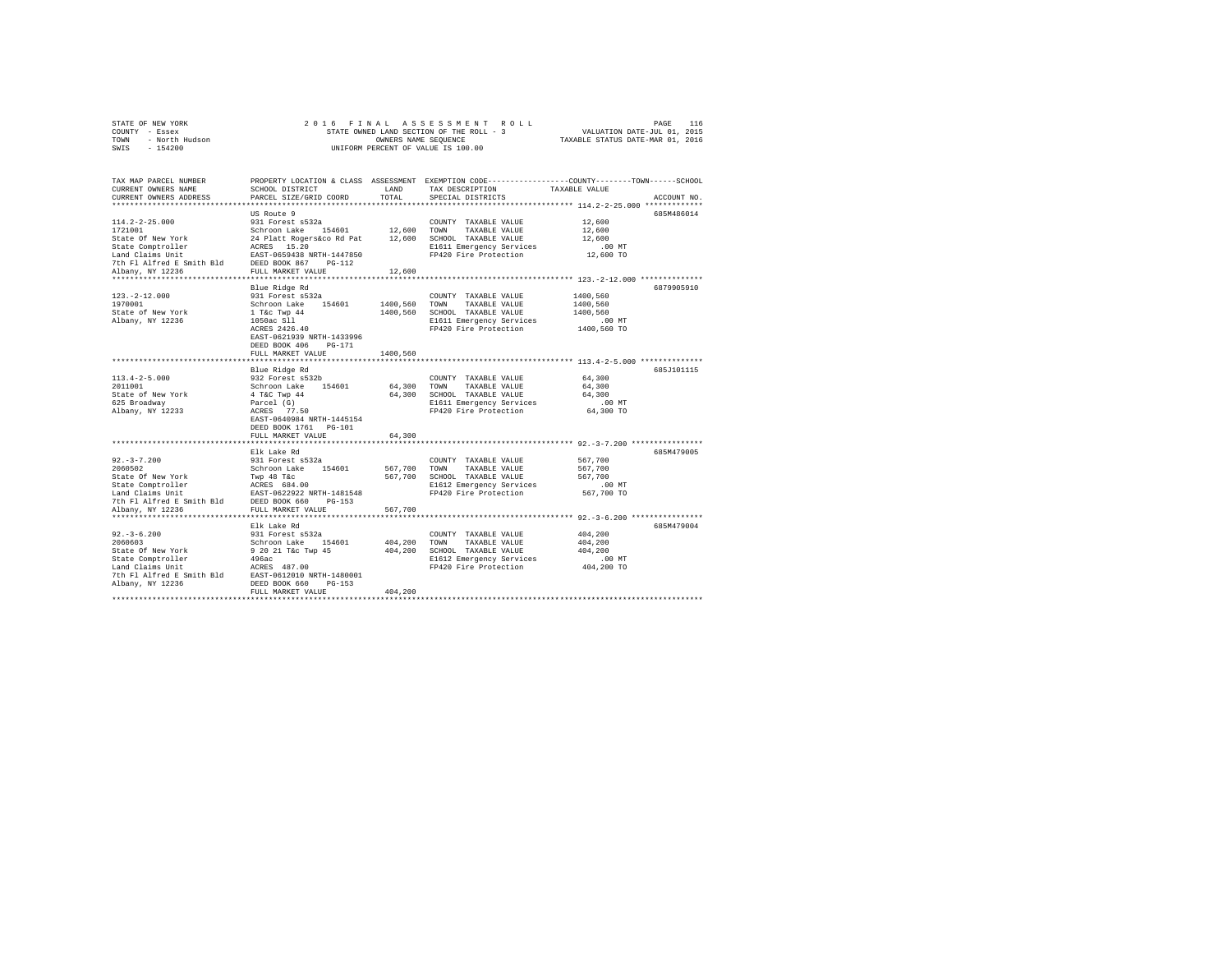|      | STATE OF NEW YORK |  | 2016 FINAL ASSESSMENT ROLL               |                                  | PAGE                        | 116 |
|------|-------------------|--|------------------------------------------|----------------------------------|-----------------------------|-----|
|      | COUNTY - Essex    |  | STATE OWNED LAND SECTION OF THE ROLL - 3 |                                  | VALUATION DATE-JUL 01, 2015 |     |
| TOWN | - North Hudson    |  | OWNERS NAME SEOUENCE                     | TAXABLE STATUS DATE-MAR 01, 2016 |                             |     |
|      | SWIS - 154200     |  | UNIFORM PERCENT OF VALUE IS 100.00       |                                  |                             |     |

| TAX MAP PARCEL NUMBER                        |                                                         |             | PROPERTY LOCATION & CLASS ASSESSMENT EXEMPTION CODE---------------COUNTY-------TOWN------SCHOOL |               |             |
|----------------------------------------------|---------------------------------------------------------|-------------|-------------------------------------------------------------------------------------------------|---------------|-------------|
| CURRENT OWNERS NAME                          | SCHOOL DISTRICT                                         | LAND        | TAX DESCRIPTION                                                                                 | TAXABLE VALUE |             |
| CURRENT OWNERS ADDRESS                       | PARCEL SIZE/GRID COORD                                  | TOTAL       | SPECIAL DISTRICTS                                                                               |               | ACCOUNT NO. |
|                                              |                                                         |             |                                                                                                 |               |             |
|                                              | US Route 9                                              |             |                                                                                                 |               | 685M486014  |
| $114.2 - 2 - 25.000$                         | 931 Forest s532a                                        |             | COUNTY TAXABLE VALUE                                                                            | 12,600        |             |
|                                              |                                                         |             |                                                                                                 | 12,600        |             |
|                                              |                                                         |             |                                                                                                 | 12,600        |             |
|                                              |                                                         |             | E1611 Emergency Services                                                                        | $.00$ MT      |             |
|                                              |                                                         |             | FP420 Fire Protection                                                                           | 12,600 TO     |             |
|                                              |                                                         |             |                                                                                                 |               |             |
|                                              |                                                         |             |                                                                                                 |               |             |
| ***********                                  |                                                         |             |                                                                                                 |               |             |
|                                              | Blue Ridge Rd                                           |             |                                                                                                 |               | 6879905910  |
| $123. - 2 - 12.000$                          | 931 Forest s532a                                        |             | COUNTY TAXABLE VALUE                                                                            | 1400,560      |             |
| 1970001                                      | Schroon Lake 154601                                     |             | 1400,560 TOWN TAXABLE VALUE                                                                     | 1400,560      |             |
| State of New York                            | 1 T&C Twp 44                                            | 1400,560    | SCHOOL TAXABLE VALUE                                                                            | 1400,560      |             |
| Albany, NY 12236                             | 1050ac Sll                                              |             | E1611 Emergency Services                                                                        | .00 MT        |             |
|                                              | ACRES 2426.40                                           |             | FP420 Fire Protection 1400,560 TO                                                               |               |             |
|                                              | EAST-0621939 NRTH-1433996                               |             |                                                                                                 |               |             |
|                                              | DEED BOOK 406 PG-171                                    |             |                                                                                                 |               |             |
|                                              | FULL MARKET VALUE                                       | 1400,560    |                                                                                                 |               |             |
|                                              |                                                         |             |                                                                                                 |               |             |
|                                              | Blue Ridge Rd                                           |             |                                                                                                 |               | 685J101115  |
| $113.4 - 2 - 5.000$                          | 932 Forest s532b<br>Schroon Lake 154601<br>4 T&C Twp 44 |             | COUNTY TAXABLE VALUE                                                                            | 64,300        |             |
| 2011001                                      |                                                         | 64,300 TOWN | TAXABLE VALUE                                                                                   | 64,300        |             |
| State of New York                            |                                                         |             | 64,300 SCHOOL TAXABLE VALUE                                                                     | 64,300        |             |
| 625 Broadway                                 | Parcel (G)                                              |             |                                                                                                 | $.00$ MT      |             |
| Albany, NY 12233                             | ACRES 77.50                                             |             | E1611 Emergency Services<br>FP420 Fire Protection                                               | 64,300 TO     |             |
|                                              | EAST-0640984 NRTH-1445154                               |             |                                                                                                 |               |             |
|                                              | DEED BOOK 1761 PG-101                                   |             |                                                                                                 |               |             |
|                                              | FULL MARKET VALUE                                       | 64,300      |                                                                                                 |               |             |
|                                              |                                                         |             |                                                                                                 |               |             |
|                                              | Elk Lake Rd                                             |             |                                                                                                 |               | 685M479005  |
| $92. - 3 - 7.200$                            | 931 Forest s532a                                        |             | COUNTY TAXABLE VALUE                                                                            | 567,700       |             |
| 2060502                                      | Schroon Lake 154601                                     |             | 567,700 TOWN TAXABLE VALUE                                                                      | 567,700       |             |
| State Of New York                            |                                                         |             | 567,700 SCHOOL TAXABLE VALUE                                                                    | 567,700       |             |
| State Comptroller                            |                                                         |             | E1612 Emergency Services                                                                        | $.00$ MT      |             |
| Land Claims Unit                             | Twp 48 T&c<br>ACRES 684.00<br>EAST-0622922 NRTH-1481548 |             | FP420 Fire Protection                                                                           | 567,700 TO    |             |
| 7th F1 Alfred E Smith Bld<br>Nhouse NY 12226 |                                                         |             |                                                                                                 |               |             |
| Albany, NY 12236                             | FULL MARKET VALUE                                       | 567,700     |                                                                                                 |               |             |
|                                              |                                                         |             |                                                                                                 |               |             |
|                                              | Elk Lake Rd                                             |             |                                                                                                 |               | 685M479004  |
| $92. - 3 - 6.200$                            | 931 Forest s532a                                        |             | COUNTY TAXABLE VALUE                                                                            | 404,200       |             |
| 2060603                                      |                                                         |             | 404,200 TOWN TAXABLE VALUE                                                                      | 404,200       |             |
| State Of New York                            | Schroon Lake 154601<br>9 20 21 T&c Twp 45               |             | 404,200 SCHOOL TAXABLE VALUE                                                                    | 404,200       |             |
|                                              | 496ac                                                   |             | E1612 Emergency Services                                                                        | .00 MT        |             |
|                                              |                                                         |             | FP420 Fire Protection                                                                           | 404,200 TO    |             |
|                                              |                                                         |             |                                                                                                 |               |             |
| Albany, NY 12236                             | DEED BOOK 660<br>PG-153                                 |             |                                                                                                 |               |             |
|                                              | FULL MARKET VALUE                                       | 404,200     |                                                                                                 |               |             |
|                                              |                                                         |             |                                                                                                 |               |             |
|                                              |                                                         |             |                                                                                                 |               |             |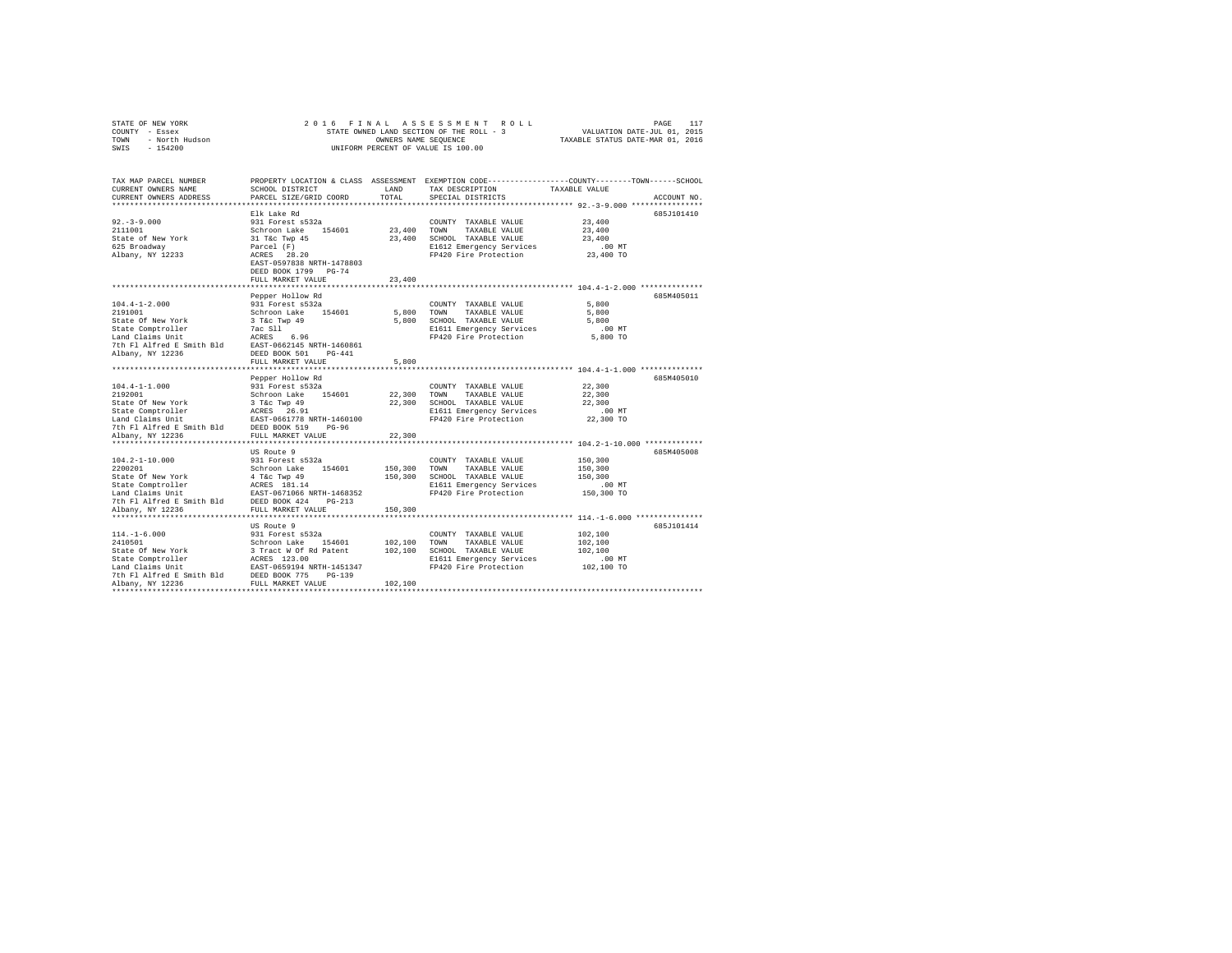|      | STATE OF NEW YORK |  | 2016 FINAL ASSESSMENT ROLL               |  |                                  | PAGE | 117 |
|------|-------------------|--|------------------------------------------|--|----------------------------------|------|-----|
|      | COUNTY - Essex    |  | STATE OWNED LAND SECTION OF THE ROLL - 3 |  | VALUATION DATE-JUL 01, 2015      |      |     |
| TOWN | - North Hudson    |  | OWNERS NAME SEOUENCE                     |  | TAXABLE STATUS DATE-MAR 01, 2016 |      |     |
| SWIS | $-154200$         |  | UNIFORM PERCENT OF VALUE IS 100.00       |  |                                  |      |     |

| SCHOOL DISTRICT<br>PARCEL SIZE/GRID COORD                          | LAND<br>TOTAL                                                                                                                                                                                                                                                                                                                                          | TAX DESCRIPTION<br>SPECIAL DISTRICTS                                                                                                                                                                                                                    | TAXABLE VALUE<br>ACCOUNT NO.                                                                                                                                                                                                                                                                                                                |
|--------------------------------------------------------------------|--------------------------------------------------------------------------------------------------------------------------------------------------------------------------------------------------------------------------------------------------------------------------------------------------------------------------------------------------------|---------------------------------------------------------------------------------------------------------------------------------------------------------------------------------------------------------------------------------------------------------|---------------------------------------------------------------------------------------------------------------------------------------------------------------------------------------------------------------------------------------------------------------------------------------------------------------------------------------------|
| Elk Lake Rd<br>DEED BOOK 1799 PG-74                                |                                                                                                                                                                                                                                                                                                                                                        | COUNTY TAXABLE VALUE<br>E1612 Emergency Services<br>FP420 Fire Protection                                                                                                                                                                               | 685J101410<br>23,400<br>23,400<br>23,400<br>$.00$ MT<br>23,400 TO                                                                                                                                                                                                                                                                           |
| FULL MARKET VALUE                                                  | 23,400                                                                                                                                                                                                                                                                                                                                                 |                                                                                                                                                                                                                                                         |                                                                                                                                                                                                                                                                                                                                             |
| Pepper Hollow Rd<br>DEED BOOK 501<br>$PG-441$<br>FULL MARKET VALUE | 5,800                                                                                                                                                                                                                                                                                                                                                  | COUNTY TAXABLE VALUE<br>TAXABLE VALUE<br>E1611 Emergency Services<br>FP420 Fire Protection                                                                                                                                                              | 685M405011<br>5,800<br>5,800<br>5,800<br>$.00$ MT<br>5,800 TO                                                                                                                                                                                                                                                                               |
|                                                                    |                                                                                                                                                                                                                                                                                                                                                        |                                                                                                                                                                                                                                                         |                                                                                                                                                                                                                                                                                                                                             |
| 931 Forest s532a<br>$PG-96$                                        | 22,300                                                                                                                                                                                                                                                                                                                                                 | COUNTY TAXABLE VALUE<br>TAXABLE VALUE<br>E1611 Emergency Services                                                                                                                                                                                       | 685M405010<br>22,300<br>22,300<br>22,300<br>$.00$ MT<br>22,300 TO                                                                                                                                                                                                                                                                           |
|                                                                    |                                                                                                                                                                                                                                                                                                                                                        |                                                                                                                                                                                                                                                         | ****************************** 104.2-1-10.000 *************                                                                                                                                                                                                                                                                                 |
| FULL MARKET VALUE                                                  | 150,300                                                                                                                                                                                                                                                                                                                                                | COUNTY TAXABLE VALUE<br>TAXABLE VALUE<br>E1611 Emergency Services<br>FP420 Fire Protection                                                                                                                                                              | 685M405008<br>150,300<br>150,300<br>150,300<br>$.00$ MT<br>150,300 TO                                                                                                                                                                                                                                                                       |
|                                                                    |                                                                                                                                                                                                                                                                                                                                                        |                                                                                                                                                                                                                                                         |                                                                                                                                                                                                                                                                                                                                             |
|                                                                    |                                                                                                                                                                                                                                                                                                                                                        | COUNTY TAXABLE VALUE<br>FP420 Fire Protection                                                                                                                                                                                                           | 685J101414<br>102,100<br>102,100<br>102,100<br>.00 MT<br>102,100 TO                                                                                                                                                                                                                                                                         |
|                                                                    | 931 Forest s532a<br>Schroon Lake 154601<br>31 T&c Twp 45<br>Parcel (F)<br>ACRES 28.20<br>EAST-0597838 NRTH-1478803<br>931 Forest s532a<br>Schroon Lake 154601<br>Pepper Hollow Rd<br>7th Fl Alfred E Smith Bld DEED BOOK 519<br>FULL MARKET VALUE<br>**************************<br>US Route 9<br>US Route 9<br>931 Forest s532a<br>Schroon Lake 154601 | State Of New York<br>State Comptroller<br>State Comptroller<br>Land Claims Unit<br>The Flatfred E Smith Bld<br>The Flatfred E Smith Bld<br>EAST-0662145 NRTH-1460861<br>Schroon Lake 154601<br>3 T&C Twp 49<br>ACRES 26.91<br>EAST-0661778 NRTH-1460100 | PROPERTY LOCATION & CLASS ASSESSMENT EXEMPTION CODE---------------COUNTY-------TOWN-----SCHOOL<br>23,400 TOWN TAXABLE VALUE<br>23,400 SCHOOL TAXABLE VALUE<br>5,800 TOWN<br>5,800 SCHOOL TAXABLE VALUE<br>22,300 TOWN<br>22,300 SCHOOL TAXABLE VALUE<br>FP420 Fire Protection<br>150,300 SCHOOL TAXABLE VALUE<br>102.100 TOWN TAXABLE VALUE |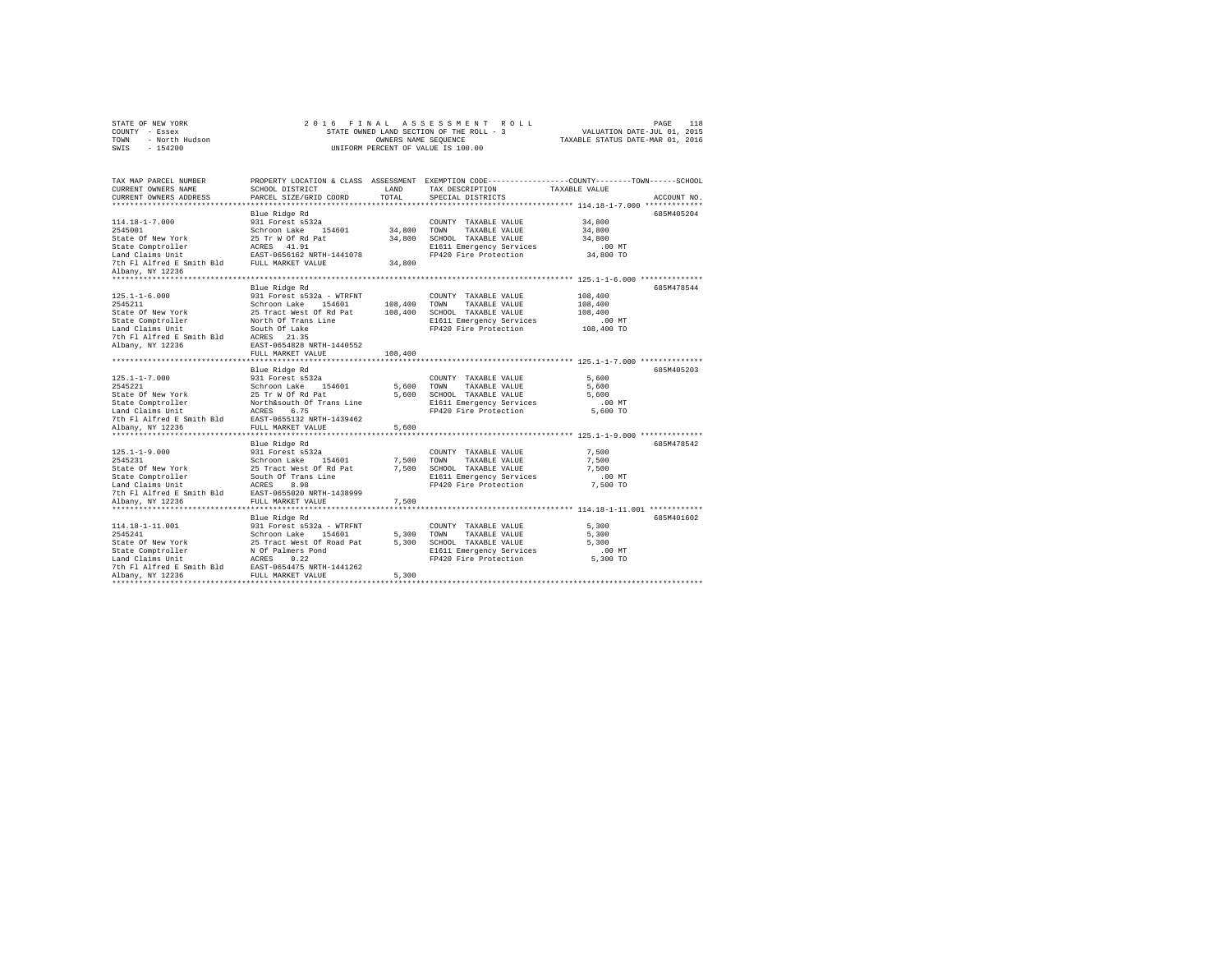|                | STATE OF NEW YORK |  |  |  | 2016 FINAL ASSESSMENT ROLL               | PAGE                             | 118 |
|----------------|-------------------|--|--|--|------------------------------------------|----------------------------------|-----|
| COUNTY - Essex |                   |  |  |  | STATE OWNED LAND SECTION OF THE ROLL - 3 | VALUATION DATE-JUL 01, 2015      |     |
| TOWN           | - North Hudson    |  |  |  | OWNERS NAME SEOUENCE                     | TAXABLE STATUS DATE-MAR 01, 2016 |     |
| SWIS - 154200  |                   |  |  |  | UNIFORM PERCENT OF VALUE IS 100.00       |                                  |     |

| TAX MAP PARCEL NUMBER<br>CURRENT OWNERS NAME<br>CURRENT OWNERS ADDRESS                                                                   | SCHOOL DISTRICT<br>PARCEL SIZE/GRID COORD | LAND<br>TOTAL | TAX DESCRIPTION<br>SPECIAL DISTRICTS                               | PROPERTY LOCATION & CLASS ASSESSMENT EXEMPTION CODE----------------COUNTY-------TOWN------SCHOOL<br>TAXABLE VALUE<br>ACCOUNT NO. |
|------------------------------------------------------------------------------------------------------------------------------------------|-------------------------------------------|---------------|--------------------------------------------------------------------|----------------------------------------------------------------------------------------------------------------------------------|
|                                                                                                                                          |                                           |               |                                                                    |                                                                                                                                  |
|                                                                                                                                          |                                           |               |                                                                    | 685M405204                                                                                                                       |
|                                                                                                                                          |                                           |               | COUNTY TAXABLE VALUE 34.800                                        |                                                                                                                                  |
|                                                                                                                                          |                                           |               |                                                                    | 34,800                                                                                                                           |
|                                                                                                                                          |                                           |               |                                                                    | 34,800                                                                                                                           |
|                                                                                                                                          |                                           |               |                                                                    | .00 MT<br>00 MT.<br>34,800 TO                                                                                                    |
|                                                                                                                                          |                                           |               |                                                                    |                                                                                                                                  |
| Albany, NY 12236                                                                                                                         |                                           |               |                                                                    |                                                                                                                                  |
|                                                                                                                                          | Blue Ridge Rd                             |               |                                                                    | 685M478544                                                                                                                       |
| $125.1 - 1 - 6.000$                                                                                                                      |                                           |               | COUNTY TAXABLE VALUE                                               | 108,400                                                                                                                          |
| 2545211                                                                                                                                  |                                           |               |                                                                    | 108,400                                                                                                                          |
|                                                                                                                                          |                                           |               |                                                                    | 108,400                                                                                                                          |
| State Of New York 25 Tract West Of Rd Pat 108,400 SCHOOL TAXABLE VALUE<br>State Comptroller North Of Trans Line 21611 Emergency Services |                                           |               |                                                                    | .00 MT                                                                                                                           |
|                                                                                                                                          |                                           |               | FP420 Fire Protection 108,400 TO                                   |                                                                                                                                  |
| Land Claims Unit South Of Lake<br>7th Fl Alfred E Smith Bld ACRES 21.35<br>Albany, NY 12236 EAST-0654828 NRTH-1440552                    |                                           |               |                                                                    |                                                                                                                                  |
|                                                                                                                                          |                                           |               |                                                                    |                                                                                                                                  |
|                                                                                                                                          | FULL MARKET VALUE                         | 108,400       |                                                                    |                                                                                                                                  |
|                                                                                                                                          |                                           |               |                                                                    |                                                                                                                                  |
|                                                                                                                                          | Blue Ridge Rd                             |               |                                                                    | 685M405203                                                                                                                       |
|                                                                                                                                          |                                           |               |                                                                    | 5,600                                                                                                                            |
|                                                                                                                                          |                                           |               |                                                                    | 5,600                                                                                                                            |
|                                                                                                                                          |                                           |               | E1611 Emergency Services                                           | 5,600<br>.00 MT                                                                                                                  |
|                                                                                                                                          |                                           |               | FP420 Fire Protection                                              | 5,600 TO                                                                                                                         |
| 7th Fl Alfred E Smith Bld EAST-0655132 NRTH-1439462                                                                                      |                                           |               |                                                                    |                                                                                                                                  |
|                                                                                                                                          |                                           |               |                                                                    |                                                                                                                                  |
|                                                                                                                                          |                                           |               |                                                                    |                                                                                                                                  |
|                                                                                                                                          |                                           |               |                                                                    | 685M478542                                                                                                                       |
|                                                                                                                                          |                                           |               | COUNTY TAXABLE VALUE 7,500                                         |                                                                                                                                  |
|                                                                                                                                          |                                           |               |                                                                    | 7,500                                                                                                                            |
|                                                                                                                                          |                                           |               |                                                                    | 7.500                                                                                                                            |
|                                                                                                                                          |                                           |               |                                                                    | $.00$ MT                                                                                                                         |
|                                                                                                                                          |                                           |               |                                                                    | 7,500 TO                                                                                                                         |
|                                                                                                                                          |                                           |               |                                                                    |                                                                                                                                  |
|                                                                                                                                          |                                           |               |                                                                    |                                                                                                                                  |
|                                                                                                                                          | Blue Ridge Rd                             |               |                                                                    | 685M401602                                                                                                                       |
| 114.18-1-11.001                                                                                                                          |                                           |               | COUNTY TAXABLE VALUE                                               | 5,300                                                                                                                            |
| 2545241                                                                                                                                  |                                           |               | TOWN<br>TAXABLE VALUE                                              | 5,300                                                                                                                            |
| State Of New York                                                                                                                        |                                           |               | 5,300 SCHOOL TAXABLE VALUE                                         | 5,300                                                                                                                            |
| State Comptroller                                                                                                                        |                                           |               | E1611 Emergency Services .00 MT<br>FP420 Fire Protection  5,300 TO |                                                                                                                                  |
| Land Claims Unit                                                                                                                         |                                           |               |                                                                    |                                                                                                                                  |
| 7th Fl Alfred E Smith Bld EAST-0654475 NRTH-1441262                                                                                      |                                           |               |                                                                    |                                                                                                                                  |
| Albany, NY 12236                                                                                                                         | FULL MARKET VALUE                         | 5,300         |                                                                    |                                                                                                                                  |
|                                                                                                                                          |                                           |               |                                                                    |                                                                                                                                  |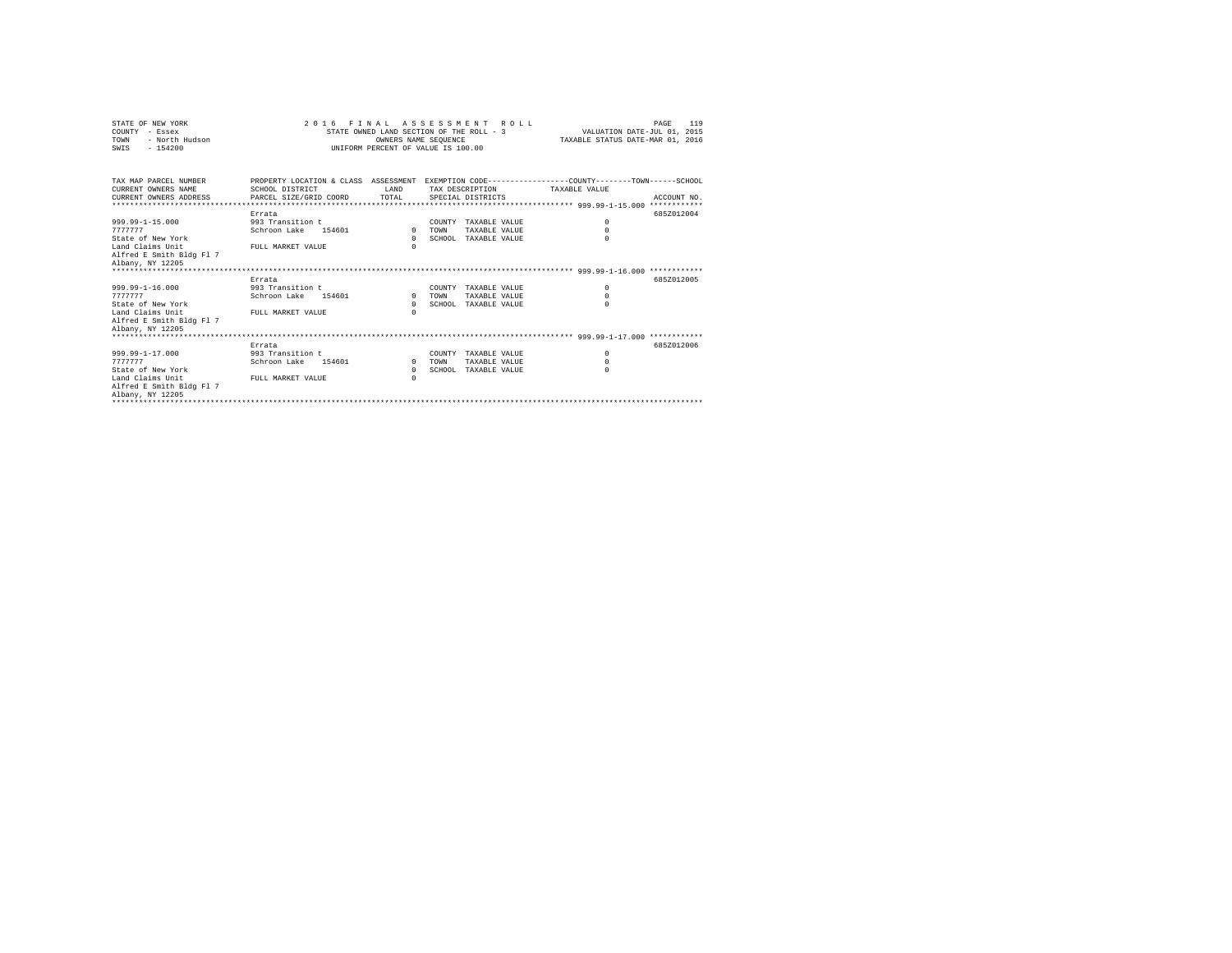| STATE OF NEW YORK<br>COUNTY - Essex<br>TOWN<br>- North Hudson<br>SWIS<br>$-154200$                                                                       | 2016 FINAL ASSESSMENT ROLL<br>STATE OWNED LAND SECTION OF THE ROLL - 3<br>INIFORM PERCENT OF VALUE IS 100.00                                 | VALUATION DATE-JUL 01, 2015<br>TAXABLE STATUS DATE-MAR 01, 2016 | 119<br>PAGE |                                                               |                                    |             |
|----------------------------------------------------------------------------------------------------------------------------------------------------------|----------------------------------------------------------------------------------------------------------------------------------------------|-----------------------------------------------------------------|-------------|---------------------------------------------------------------|------------------------------------|-------------|
| TAX MAP PARCEL NUMBER<br>CURRENT OWNERS NAME<br>CURRENT OWNERS ADDRESS                                                                                   | PROPERTY LOCATION & CLASS ASSESSMENT EXEMPTION CODE---------------COUNTY-------TOWN------SCHOOL<br>SCHOOL DISTRICT<br>PARCEL SIZE/GRID COORD | T.AND<br>TOTAL                                                  |             | SPECIAL DISTRICTS                                             | TAX DESCRIPTION TAXABLE VALUE      | ACCOUNT NO. |
|                                                                                                                                                          |                                                                                                                                              |                                                                 |             |                                                               |                                    |             |
| $999.99 - 1 - 15.000$<br>7777777<br>State of New York<br>Land Claims Unit<br>Alfred E Smith Bldg Fl 7<br>Albany, NY 12205<br>*************************** | Errata<br>993 Transition t<br>Schroon Lake 154601<br>FULL MARKET VALUE                                                                       | $\Omega$<br>$\Omega$<br>$\cap$                                  | TOWN        | COUNTY TAXABLE VALUE<br>TAXABLE VALUE<br>SCHOOL TAXABLE VALUE | $\Omega$<br>$\Omega$<br>$\Omega$   | 685Z012004  |
|                                                                                                                                                          | Errata                                                                                                                                       |                                                                 |             |                                                               |                                    | 6857012005  |
| $999.99 - 1 - 16.000$<br>7777777<br>State of New York<br>Land Claims Unit<br>Alfred E Smith Bldg Fl 7<br>Albany, NY 12205                                | 993 Transition t<br>Schroon Lake 154601<br>FULL MARKET VALUE                                                                                 | $\Omega$<br>$\Omega$<br>$\cap$                                  | TOWN        | COUNTY TAXABLE VALUE<br>TAXABLE VALUE<br>SCHOOL TAXABLE VALUE | $\Omega$<br>$\Omega$<br>$\Omega$   |             |
|                                                                                                                                                          | Errata                                                                                                                                       |                                                                 |             |                                                               |                                    | 685Z012006  |
| $999.99 - 1 - 17.000$<br>7777777<br>State of New York<br>Land Claims Unit<br>Alfred E Smith Bldg Fl 7<br>Albany, NY 12205                                | 993 Transition t<br>Schroon Lake<br>154601<br>FULL MARKET VALUE                                                                              | $\mathbf{r}$<br>$\Omega$<br>$\Omega$                            | TOWN        | COUNTY TAXABLE VALUE<br>TAXABLE VALUE<br>SCHOOL TAXABLE VALUE | $^{\circ}$<br>$\Omega$<br>$\Omega$ |             |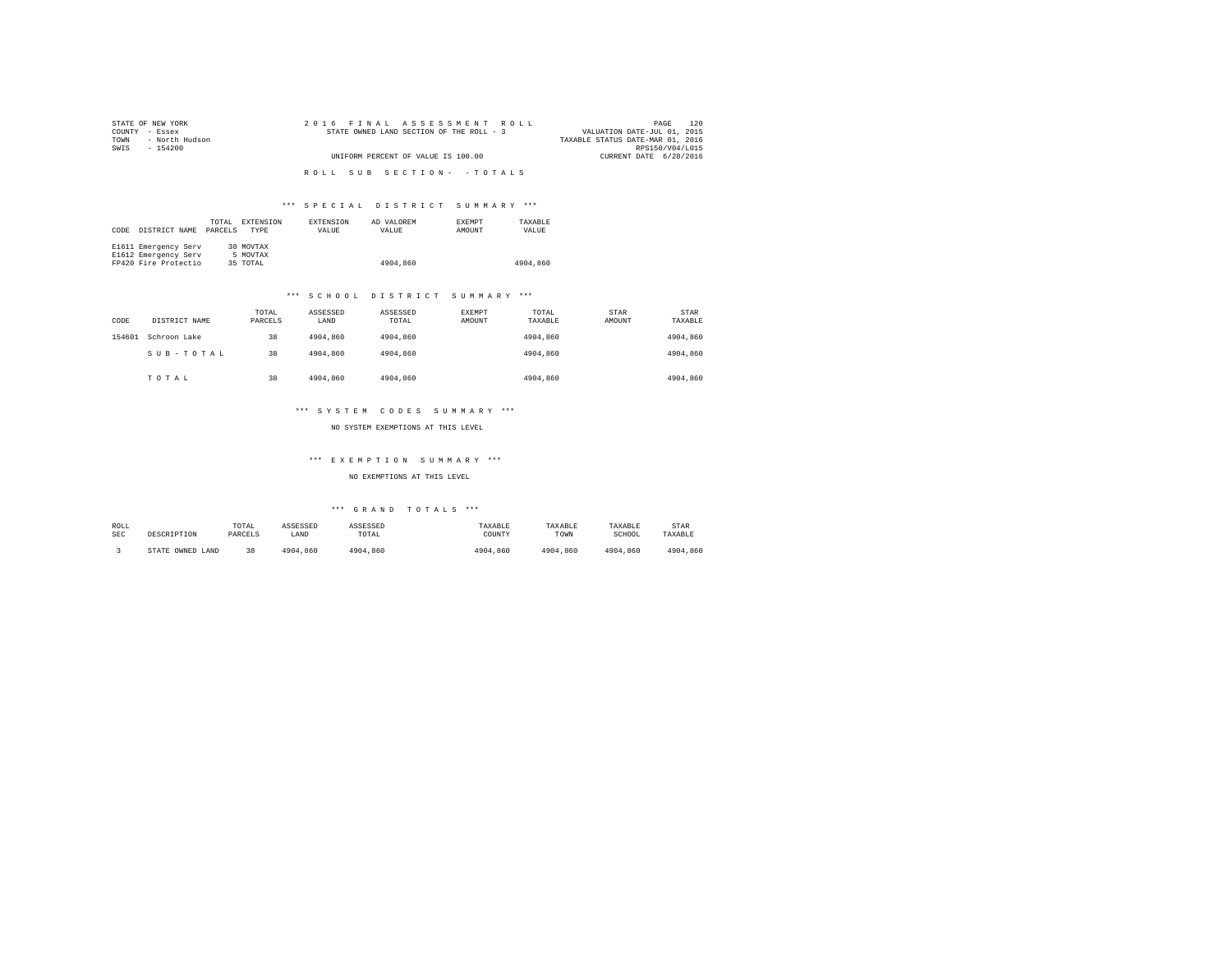| STATE OF NEW YORK      | 2016 FINAL ASSESSMENT ROLL               | 120<br>PAGE                      |
|------------------------|------------------------------------------|----------------------------------|
| COUNTY - Essex         | STATE OWNED LAND SECTION OF THE ROLL - 3 | VALUATION DATE-JUL 01, 2015      |
| - North Hudson<br>TOWN |                                          | TAXABLE STATUS DATE-MAR 01, 2016 |
| SWTS<br>- 154200       |                                          | RPS150/V04/L015                  |
|                        | UNIFORM PERCENT OF VALUE IS 100.00       | CURRENT DATE 6/28/2016           |
|                        |                                          |                                  |
|                        | ROLL SUB SECTION- - TOTALS               |                                  |
|                        |                                          |                                  |

### \*\*\* S P E C I A L D I S T R I C T S U M M A R Y \*\*\*

| CODE | DISTRICT NAME        | TOTAL<br>PARCELS | EXTENSION<br><b>TYPE</b> | <b>EXTENSION</b><br>VALUE | AD VALOREM<br>VALUE | <b>EXEMPT</b><br>AMOUNT | TAXARLE<br>VALUE |
|------|----------------------|------------------|--------------------------|---------------------------|---------------------|-------------------------|------------------|
|      | E1611 Emergency Serv |                  | 30 MOVTAX                |                           |                     |                         |                  |
|      | E1612 Emergency Serv |                  | 5 MOVTAX                 |                           |                     |                         |                  |
|      | FP420 Fire Protectio |                  | 35 TOTAL                 |                           | 4904,860            |                         | 4904,860         |

#### \*\*\* S C H O O L D I S T R I C T S U M M A R Y \*\*\*

| CODE   | DISTRICT NAME | TOTAL<br>PARCELS | ASSESSED<br>LAND | ASSESSED<br>TOTAL | EXEMPT<br>AMOUNT | TOTAL<br>TAXABLE | STAR<br>AMOUNT | STAR<br>TAXABLE |
|--------|---------------|------------------|------------------|-------------------|------------------|------------------|----------------|-----------------|
| 154601 | Schroon Lake  | 38               | 4904,860         | 4904,860          |                  | 4904,860         |                | 4904,860        |
|        | SUB-TOTAL     | 38               | 4904,860         | 4904,860          |                  | 4904,860         |                | 4904,860        |
|        | TOTAL         | 38               | 4904,860         | 4904,860          |                  | 4904,860         |                | 4904,860        |

#### \*\*\* S Y S T E M C O D E S S U M M A R Y \*\*\*

NO SYSTEM EXEMPTIONS AT THIS LEVEL

### \*\*\* E X E M P T I O N S U M M A R Y \*\*\*

NO EXEMPTIONS AT THIS LEVEL

### \*\*\* G R A N D T O T A L S \*\*\*

| ROLL       | DESCRIPTION      | TOTAL   | ASSESSED | ASSESSED | TAXABLE  | TAXABLE  | TAXABLE  | <b>STAR</b> |
|------------|------------------|---------|----------|----------|----------|----------|----------|-------------|
| <b>SEC</b> |                  | PARCELS | LAND     | TOTAL    | COUNTY   | TOWN     | SCHOOL   | TAXABLE     |
|            | STATE OWNED LAND | 38      | 4904,860 | 4904.860 | 4904.860 | 4904.860 | 4904.860 | 4904,860    |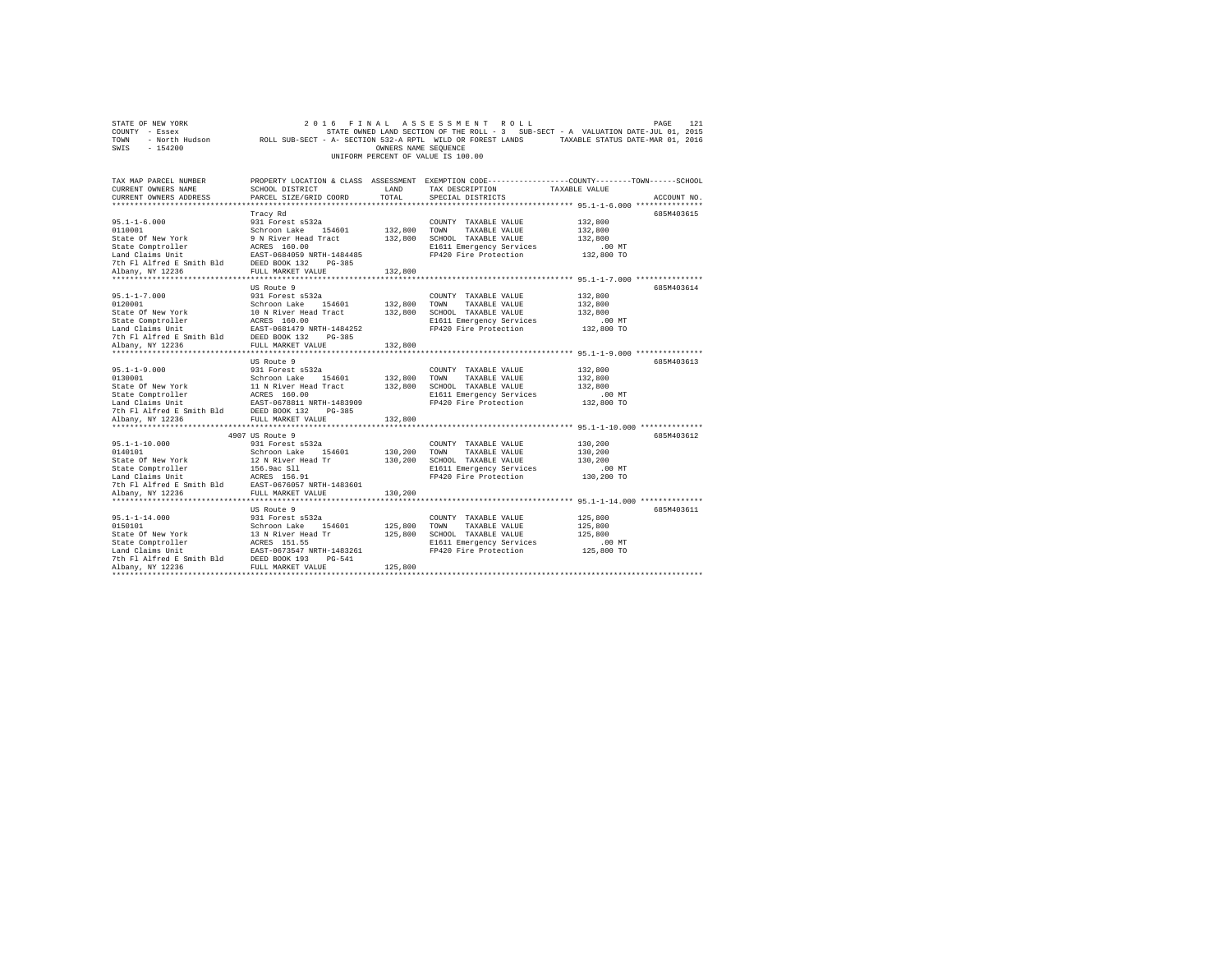| STATE OF NEW YORK                                                                                                                                                                                                                                                                                                                                                            | 2 0 1 6                        |                      | FINAL ASSESSMENT ROLL              | PAGE<br>121                                                                                                |
|------------------------------------------------------------------------------------------------------------------------------------------------------------------------------------------------------------------------------------------------------------------------------------------------------------------------------------------------------------------------------|--------------------------------|----------------------|------------------------------------|------------------------------------------------------------------------------------------------------------|
| COUNTY - Essex                                                                                                                                                                                                                                                                                                                                                               |                                |                      |                                    | STATE OWNED LAND SECTION OF THE ROLL - 3 SUB-SECT - A VALUATION DATE-JUL 01, 2015                          |
| TOWN                                                                                                                                                                                                                                                                                                                                                                         |                                |                      |                                    | - North Hudson ROLL SUB-SECT - A- SECTION 532-A RPTL WILD OR FOREST LANDS TAXABLE STATUS DATE-MAR 01, 2016 |
| SWIS<br>$-154200$                                                                                                                                                                                                                                                                                                                                                            |                                | OWNERS NAME SEQUENCE |                                    |                                                                                                            |
|                                                                                                                                                                                                                                                                                                                                                                              |                                |                      | UNIFORM PERCENT OF VALUE IS 100.00 |                                                                                                            |
|                                                                                                                                                                                                                                                                                                                                                                              |                                |                      |                                    |                                                                                                            |
|                                                                                                                                                                                                                                                                                                                                                                              |                                |                      |                                    |                                                                                                            |
| TAX MAP PARCEL NUMBER                                                                                                                                                                                                                                                                                                                                                        |                                |                      |                                    | PROPERTY LOCATION & CLASS ASSESSMENT EXEMPTION CODE---------------COUNTY-------TOWN-----SCHOOL             |
| CURRENT OWNERS NAME                                                                                                                                                                                                                                                                                                                                                          | <b>LAND</b><br>SCHOOL DISTRICT |                      | TAX DESCRIPTION                    | TAXABLE VALUE                                                                                              |
| CURRENT OWNERS ADDRESS                                                                                                                                                                                                                                                                                                                                                       | PARCEL SIZE/GRID COORD         | TOTAL                | SPECIAL DISTRICTS                  | ACCOUNT NO.                                                                                                |
|                                                                                                                                                                                                                                                                                                                                                                              |                                |                      |                                    |                                                                                                            |
|                                                                                                                                                                                                                                                                                                                                                                              | Tracy Rd                       |                      |                                    | 685M403615                                                                                                 |
| $95.1 - 1 - 6.000$                                                                                                                                                                                                                                                                                                                                                           | 931 Forest s532a               |                      | COUNTY TAXABLE VALUE               | 132,800                                                                                                    |
| 0110001                                                                                                                                                                                                                                                                                                                                                                      | Schroon Lake 154601            | 132,800 TOWN         | TAXABLE VALUE                      | 132,800                                                                                                    |
|                                                                                                                                                                                                                                                                                                                                                                              |                                |                      | 132,800 SCHOOL TAXABLE VALUE       | 132,800                                                                                                    |
| State of New York<br>State Comptroller<br>State Compton and Calins Unit<br>Land Claims Unit<br>Land Claims Unit<br>Land Claims Unit<br>The Fl Alfred E Smith Bld<br>DEED BOOK 132<br>POLARATE VALUE<br>Albany, NY 12236<br>PULL MARKET VALUE                                                                                                                                 |                                |                      | E1611 Emergency Services           | $.00$ MT                                                                                                   |
|                                                                                                                                                                                                                                                                                                                                                                              |                                |                      | FP420 Fire Protection              | 132,800 TO                                                                                                 |
|                                                                                                                                                                                                                                                                                                                                                                              |                                |                      |                                    |                                                                                                            |
|                                                                                                                                                                                                                                                                                                                                                                              |                                | 132,800              |                                    |                                                                                                            |
|                                                                                                                                                                                                                                                                                                                                                                              |                                |                      |                                    |                                                                                                            |
|                                                                                                                                                                                                                                                                                                                                                                              | US Route 9                     |                      |                                    | 685M403614                                                                                                 |
| $95.1 - 1 - 7.000$                                                                                                                                                                                                                                                                                                                                                           | 931 Forest s532a               |                      | COUNTY TAXABLE VALUE               | 132,800                                                                                                    |
| 0120001                                                                                                                                                                                                                                                                                                                                                                      | Schroon Lake 154601            | 132,800 TOWN         | TAXABLE VALUE                      | 132,800                                                                                                    |
|                                                                                                                                                                                                                                                                                                                                                                              |                                |                      | 132,800 SCHOOL TAXABLE VALUE       | 132,800                                                                                                    |
| State of New York<br>State Comptroller<br>State Compton In River Head Tract<br>Land Claims Unit<br>Land Claims Unit<br>Land Claims Unit<br>The Plance Pack of the Plance State Pook<br>The Plance State Plance New York<br>Plance Public NERE                                                                                                                                |                                |                      | E1611 Emergency Services           | $.00$ MT                                                                                                   |
|                                                                                                                                                                                                                                                                                                                                                                              |                                |                      | FP420 Fire Protection              | 132,800 TO                                                                                                 |
|                                                                                                                                                                                                                                                                                                                                                                              |                                |                      |                                    |                                                                                                            |
| Albany, NY 12236                                                                                                                                                                                                                                                                                                                                                             |                                | 132,800              |                                    |                                                                                                            |
|                                                                                                                                                                                                                                                                                                                                                                              | US Route 9                     |                      |                                    | 685M403613                                                                                                 |
| $95.1 - 1 - 9.000$                                                                                                                                                                                                                                                                                                                                                           | 931 Forest s532a               |                      | COUNTY TAXABLE VALUE               | 132,800                                                                                                    |
|                                                                                                                                                                                                                                                                                                                                                                              |                                |                      |                                    | 132,800                                                                                                    |
|                                                                                                                                                                                                                                                                                                                                                                              |                                |                      |                                    | 132,800                                                                                                    |
| $\begin{tabular}{l c c c c c} \hline $\text{013001}$ & $\text{013001}$ & $\text{510001}$ & $\text{520001}$ & $\text{013001}$ & $\text{013001}$ & $\text{013001}$ & $\text{013001}$ & $\text{013001}$ & $\text{013001}$ & $\text{013001}$ & $\text{013001}$ & $\text{013001}$ & $\text{013001}$ & $\text{013001}$ & $\text{013001}$ & $\text{013001}$ & $\text{013001}$ & $\$ |                                |                      |                                    | $.00$ MT                                                                                                   |
|                                                                                                                                                                                                                                                                                                                                                                              |                                |                      |                                    | 132,800 TO                                                                                                 |
|                                                                                                                                                                                                                                                                                                                                                                              |                                |                      |                                    |                                                                                                            |
|                                                                                                                                                                                                                                                                                                                                                                              |                                |                      |                                    |                                                                                                            |
|                                                                                                                                                                                                                                                                                                                                                                              |                                |                      |                                    |                                                                                                            |
|                                                                                                                                                                                                                                                                                                                                                                              | 4907 US Route 9                |                      |                                    | 685M403612                                                                                                 |
| $95.1 - 1 - 10.000$                                                                                                                                                                                                                                                                                                                                                          | 931 Forest s532a               |                      | COUNTY TAXABLE VALUE               | 130,200                                                                                                    |
| 0140101                                                                                                                                                                                                                                                                                                                                                                      | Schroon Lake 154601            | 130,200 TOWN         | TAXABLE VALUE                      | 130,200                                                                                                    |
| State Of New York                                                                                                                                                                                                                                                                                                                                                            | 12 N River Head Tr             |                      | 130,200 SCHOOL TAXABLE VALUE       | 130,200                                                                                                    |
|                                                                                                                                                                                                                                                                                                                                                                              |                                |                      | E1611 Emergency Services           | $.00$ MT                                                                                                   |
| State Comptroller<br>156.9ac S11<br>Land Claims Unit<br>156.9ac S11<br>2008 156.91<br>7th F1 Alfred E Smith Bld<br>2008 FULL MARKET VALUE<br>2018 2019 19123601<br>2019 192236                                                                                                                                                                                               |                                |                      | FP420 Fire Protection              | 130,200 TO                                                                                                 |
|                                                                                                                                                                                                                                                                                                                                                                              |                                |                      |                                    |                                                                                                            |
| Albany, NY 12236                                                                                                                                                                                                                                                                                                                                                             | FULL MARKET VALUE              | 130,200              |                                    |                                                                                                            |
|                                                                                                                                                                                                                                                                                                                                                                              |                                |                      |                                    |                                                                                                            |
|                                                                                                                                                                                                                                                                                                                                                                              | US Route 9                     |                      |                                    | 685M403611                                                                                                 |
| $95.1 - 1 - 14.000$                                                                                                                                                                                                                                                                                                                                                          | 931 Forest s532a               |                      | COUNTY TAXABLE VALUE               | 125,800                                                                                                    |
|                                                                                                                                                                                                                                                                                                                                                                              |                                | 125,800 TOWN         | TAXABLE VALUE                      | 125,800                                                                                                    |
|                                                                                                                                                                                                                                                                                                                                                                              |                                |                      | 125,800 SCHOOL TAXABLE VALUE       | 125,800                                                                                                    |
|                                                                                                                                                                                                                                                                                                                                                                              |                                |                      | E1611 Emergency Services           | .00 MT                                                                                                     |
|                                                                                                                                                                                                                                                                                                                                                                              |                                |                      | FP420 Fire Protection              | 125,800 TO                                                                                                 |
|                                                                                                                                                                                                                                                                                                                                                                              |                                |                      |                                    |                                                                                                            |
|                                                                                                                                                                                                                                                                                                                                                                              |                                | 125,800              |                                    |                                                                                                            |
|                                                                                                                                                                                                                                                                                                                                                                              |                                |                      |                                    |                                                                                                            |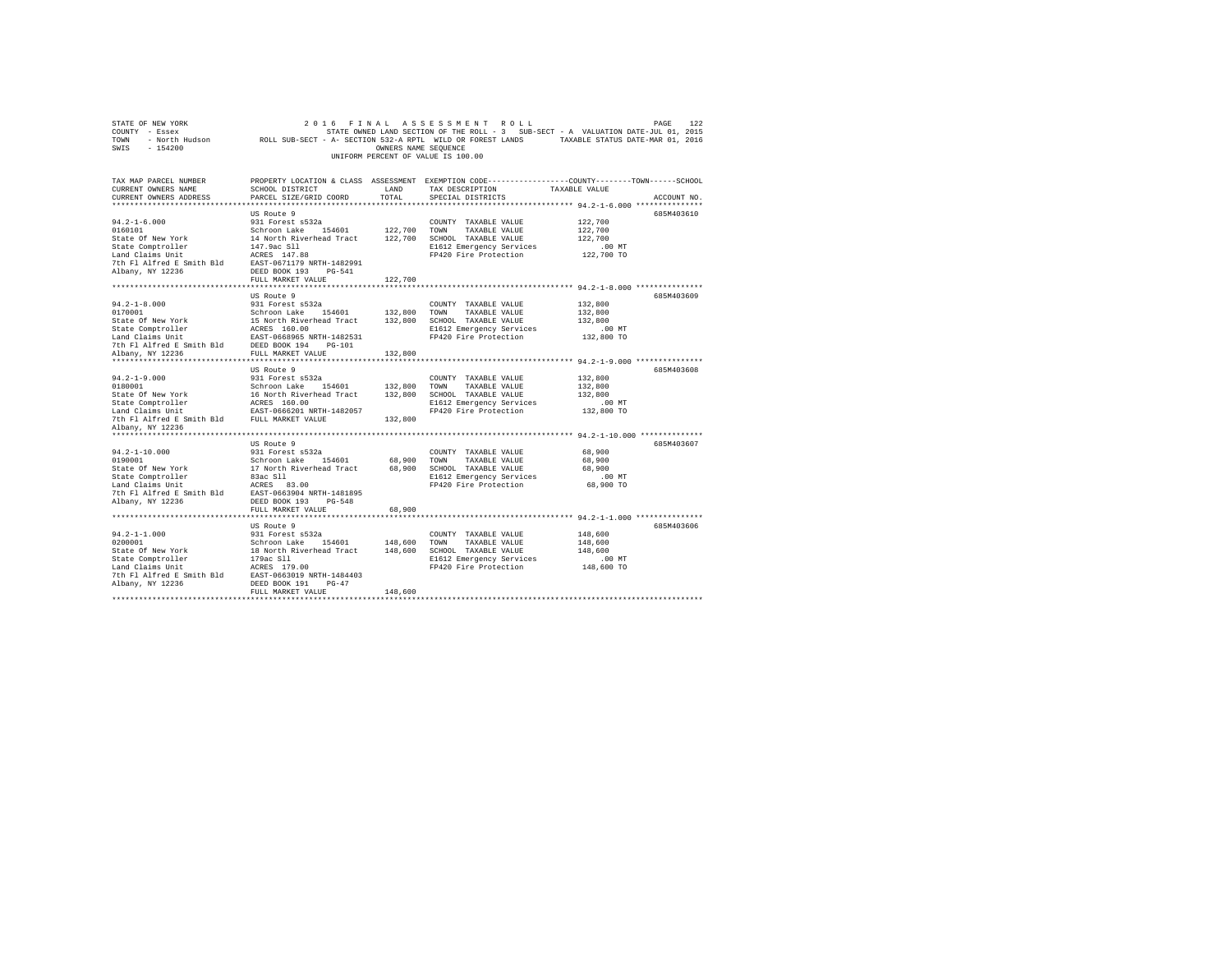| 2016 FINAL ASSESSMENT ROLL<br>2016 FINAL ASSESSMENT ROLL PAGE PAGE 122<br>COUNTY - Essex - SAMED STATE ON STATE ROLL TO A SUB-SECT - A VALUATION DATE-JUL 01, 2015<br>TOWN - North Hudson - ROLL SUB-SECT - A-SECTION 532-A RPTL WILD OR FOREST LANDS - TAXABLE ST<br>SWIS - 154200<br>OWNERS NAME SEOUENCE<br>UNIFORM PERCENT OF VALUE IS 100.00 |             |
|---------------------------------------------------------------------------------------------------------------------------------------------------------------------------------------------------------------------------------------------------------------------------------------------------------------------------------------------------|-------------|
| PROPERTY LOCATION & CLASS ASSESSMENT EXEMPTION CODE----------------COUNTY-------TOWN------SCHOOL<br>TAX MAP PARCEL NUMBER<br>SCHOOL DISTRICT<br>TAX DESCRIPTION TAXABLE VALUE<br>CURRENT OWNERS NAME<br>LAND<br>PARCEL SIZE/GRID COORD<br>TOTAL<br>CURRENT OWNERS ADDRESS<br>SPECIAL DISTRICTS                                                    | ACCOUNT NO. |
| US Route 9                                                                                                                                                                                                                                                                                                                                        | 685M403610  |
| 122,700<br>COUNTY TAXABLE VALUE<br>122,700                                                                                                                                                                                                                                                                                                        |             |
| 122,700                                                                                                                                                                                                                                                                                                                                           |             |
| E1612 Emergency Services<br>FP420 Fire Protection<br>$.00$ MT<br>122,700 TO                                                                                                                                                                                                                                                                       |             |
|                                                                                                                                                                                                                                                                                                                                                   |             |
| FULL MARKET VALUE<br>122,700                                                                                                                                                                                                                                                                                                                      |             |
| US Route 9                                                                                                                                                                                                                                                                                                                                        | 685M403609  |
| $94.2 - 1 - 8.000$<br>0170001<br>931 Forest s532a<br>COUNTY TAXABLE VALUE<br>132,800                                                                                                                                                                                                                                                              |             |
| 132,800                                                                                                                                                                                                                                                                                                                                           |             |
| 132,800                                                                                                                                                                                                                                                                                                                                           |             |
| $.00$ MT<br>E1612 Emergency Services<br>FP420 Fire Protection<br>132,800 TO                                                                                                                                                                                                                                                                       |             |
|                                                                                                                                                                                                                                                                                                                                                   |             |
| $\begin{tabular}{l c c c c c} \hline & $0170001$ & $0170001$ & $0170001$ & $132,800$ & $00001$ & $1400001$ \\ \hline \hline 0170001$ & $15$ & $15$ & $1600$ & $15$ & $1600$ & $132,800$ & $70001$ & $140001$ \\ \hline \hline 0140001$ & $1600$ & $1600$ & $1612$ & $2000$ & $1612$ & $2000$ & $20001$ & $7$                                      |             |
|                                                                                                                                                                                                                                                                                                                                                   | 685M403608  |
| US Route 9<br>132,800                                                                                                                                                                                                                                                                                                                             |             |
| 132,800                                                                                                                                                                                                                                                                                                                                           |             |
| 132,800                                                                                                                                                                                                                                                                                                                                           |             |
|                                                                                                                                                                                                                                                                                                                                                   |             |
| 7th Fl Alfred E Smith Bld FULL MARKET VALUE<br>132,800                                                                                                                                                                                                                                                                                            |             |
| Albany, NY 12236                                                                                                                                                                                                                                                                                                                                  |             |
|                                                                                                                                                                                                                                                                                                                                                   |             |
| US Route 9                                                                                                                                                                                                                                                                                                                                        | 685M403607  |
| $94.2 - 1 - 10.000$<br>931 Forest s532a<br>COUNTY TAXABLE VALUE<br>68,900<br>Schroon Lake 154601<br>0190001                                                                                                                                                                                                                                       |             |
| 68,900 TOWN<br>TAXABLE VALUE<br>68,900<br>68,900                                                                                                                                                                                                                                                                                                  |             |
| E1612 Emergency Services<br>$.00$ MT                                                                                                                                                                                                                                                                                                              |             |
| $68,900$ TO<br>FP420 Fire Protection                                                                                                                                                                                                                                                                                                              |             |
|                                                                                                                                                                                                                                                                                                                                                   |             |
| FULL MARKET VALUE<br>68,900                                                                                                                                                                                                                                                                                                                       |             |
| ************                                                                                                                                                                                                                                                                                                                                      |             |
| US Route 9                                                                                                                                                                                                                                                                                                                                        | 685M403606  |
| 148,600                                                                                                                                                                                                                                                                                                                                           |             |
| 148,600                                                                                                                                                                                                                                                                                                                                           |             |
| 148,600                                                                                                                                                                                                                                                                                                                                           |             |
| curve inner response that the series of the series of the series and the series of the series of the series of<br>E1612 Emergency Services (148,600 TO                                                                                                                                                                                            |             |
|                                                                                                                                                                                                                                                                                                                                                   |             |
| Albany, NY 12236<br>DEED BOOK 191 PG-47                                                                                                                                                                                                                                                                                                           |             |
| 148,600<br>FULL MARKET VALUE                                                                                                                                                                                                                                                                                                                      |             |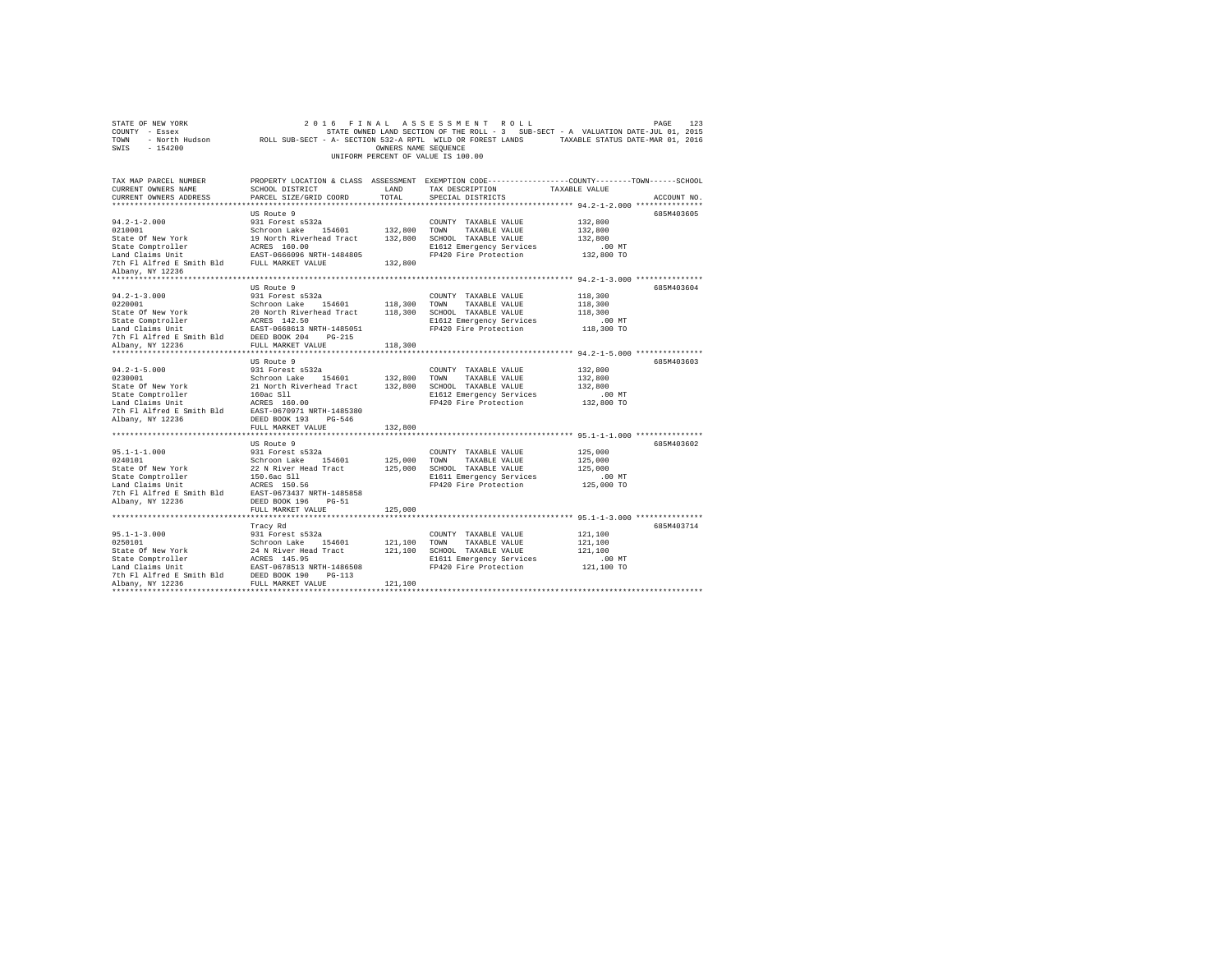| STATE OF NEW YORK<br>2016 FINAL ASSESSMENT ROLL PAGE 123<br>COUNTY - Essex - SAMED IAND SECTION OF THE ROLL -3 SUB-SECT - A VALUATION DATE-JUL 01, 2015<br>TOWN - North Hudson - ROLL SUB-SECT - A-SECTION 532-A RPTL WILD OR FOREST LANDS - TAXABLE STAT<br>SWIS - 154200                                                                                                                                                                                    |                                                     | OWNERS NAME SEQUENCE | 2016 FINAL ASSESSMENT ROLL<br>UNIFORM PERCENT OF VALUE IS 100.00                                                                        | PAGE                                                                                                           | 123 |
|---------------------------------------------------------------------------------------------------------------------------------------------------------------------------------------------------------------------------------------------------------------------------------------------------------------------------------------------------------------------------------------------------------------------------------------------------------------|-----------------------------------------------------|----------------------|-----------------------------------------------------------------------------------------------------------------------------------------|----------------------------------------------------------------------------------------------------------------|-----|
| TAX MAP PARCEL NUMBER<br>CURRENT OWNERS NAME<br>CURRENT OWNERS ADDRESS                                                                                                                                                                                                                                                                                                                                                                                        | SCHOOL DISTRICT<br>PARCEL SIZE/GRID COORD           | LAND<br>TOTAL        | TAX DESCRIPTION TAXABLE VALUE<br>SPECIAL DISTRICTS                                                                                      | PROPERTY LOCATION & CLASS ASSESSMENT EXEMPTION CODE---------------COUNTY-------TOWN------SCHOOL<br>ACCOUNT NO. |     |
| $94.2 - 1 - 2.000$<br>94.2-1-2.000<br>0210001<br>0210001<br>Schroom Lake 194601<br>20210001<br>2021001<br>2021001<br>2021001<br>2021001<br>2021001<br>2021001<br>2021001<br>2021001<br>2021001<br>202101<br>202101<br>20220<br>202101<br>20220<br>20210<br>20220<br>20220<br>20220<br>20220<br>20220<br>20220<br>20220<br>20220<br><br>7th Fl Alfred E Smith Bld FULL MARKET VALUE<br>Albany, NY 12236                                                        | US Route 9<br>931 Forest s532a                      | 132,800              | COUNTY TAXABLE VALUE<br>E1612 Emergency Services<br>FP420 Fire Protection                                                               | 685M403605<br>132,800<br>132,800<br>132,800<br>$.00$ MT<br>132,800 TO                                          |     |
| $\begin{tabular}{lllllllllll} \multicolumn{3}{c}{\textbf{0.1}} & \multicolumn{3}{c}{\textbf{0.1}} & \multicolumn{3}{c}{\textbf{0.1}} & \multicolumn{3}{c}{\textbf{0.1}} & \multicolumn{3}{c}{\textbf{0.1}} & \multicolumn{3}{c}{\textbf{0.1}} & \multicolumn{3}{c}{\textbf{0.1}} & \multicolumn{3}{c}{\textbf{0.1}} & \multicolumn{3}{c}{\textbf{0.1}} & \multicolumn{3}{c}{\textbf{0.1}} & \multicolumn{3}{c}{\textbf{0.1}} & \multicolumn{3}{c}{$           |                                                     |                      | E1612 Emergency Services<br>FP420 Fire Protection                                                                                       | 685M403604<br>118,300<br>118,300<br>118,300<br>.00 MT<br>118,300 TO                                            |     |
| $94.2 - 1 - 5.000$                                                                                                                                                                                                                                                                                                                                                                                                                                            | US Route 9<br>931 Forest s532a<br>FULL MARKET VALUE | 132,800              | COUNTY TAXABLE VALUE<br>E1612 Emergency Services<br>FP420 Fire Protection                                                               | 685M403603<br>132,800<br>132,800<br>132,800<br>.00 MT<br>132,800 TO                                            |     |
|                                                                                                                                                                                                                                                                                                                                                                                                                                                               |                                                     |                      |                                                                                                                                         |                                                                                                                |     |
|                                                                                                                                                                                                                                                                                                                                                                                                                                                               |                                                     |                      |                                                                                                                                         | 685M403602<br>125,000<br>125,000<br>125,000<br>$.00$ MT<br>125,000 TO                                          |     |
|                                                                                                                                                                                                                                                                                                                                                                                                                                                               | FULL MARKET VALUE                                   | 125,000              |                                                                                                                                         |                                                                                                                |     |
| $\begin{tabular}{l} 95.1-1-3.000 & \texttt{if} & \texttt{if} & \texttt{if} & \texttt{if} \\ 93.1\ \texttt{Forest}\ \texttt{6532a} \\ \texttt{State} & \texttt{Of} & \texttt{New York} \\ \texttt{State} & \texttt{Comptor} & \texttt{Set} & \texttt{Not} \\ \texttt{State} & \texttt{Comptor} & \texttt{Set} & \texttt{N} & \texttt{N} \\ \texttt{State} & \texttt{Comptor} & \texttt{ACRES} & 145.95 \\ \texttt{Each} & \texttt{Claing} & \texttt{Init} & \$ | Tracy Rd                                            | 121,100              | COUNTY TAXABLE VALUE<br>121,100 TOWN TAXABLE VALUE<br>121,100 SCHOOL TAXABLE VALUE<br>E1611 Emergency Services<br>FP420 Fire Protection | 685M403714<br>121,100<br>121,100<br>121,100<br>$.00$ MT<br>121,100 TO                                          |     |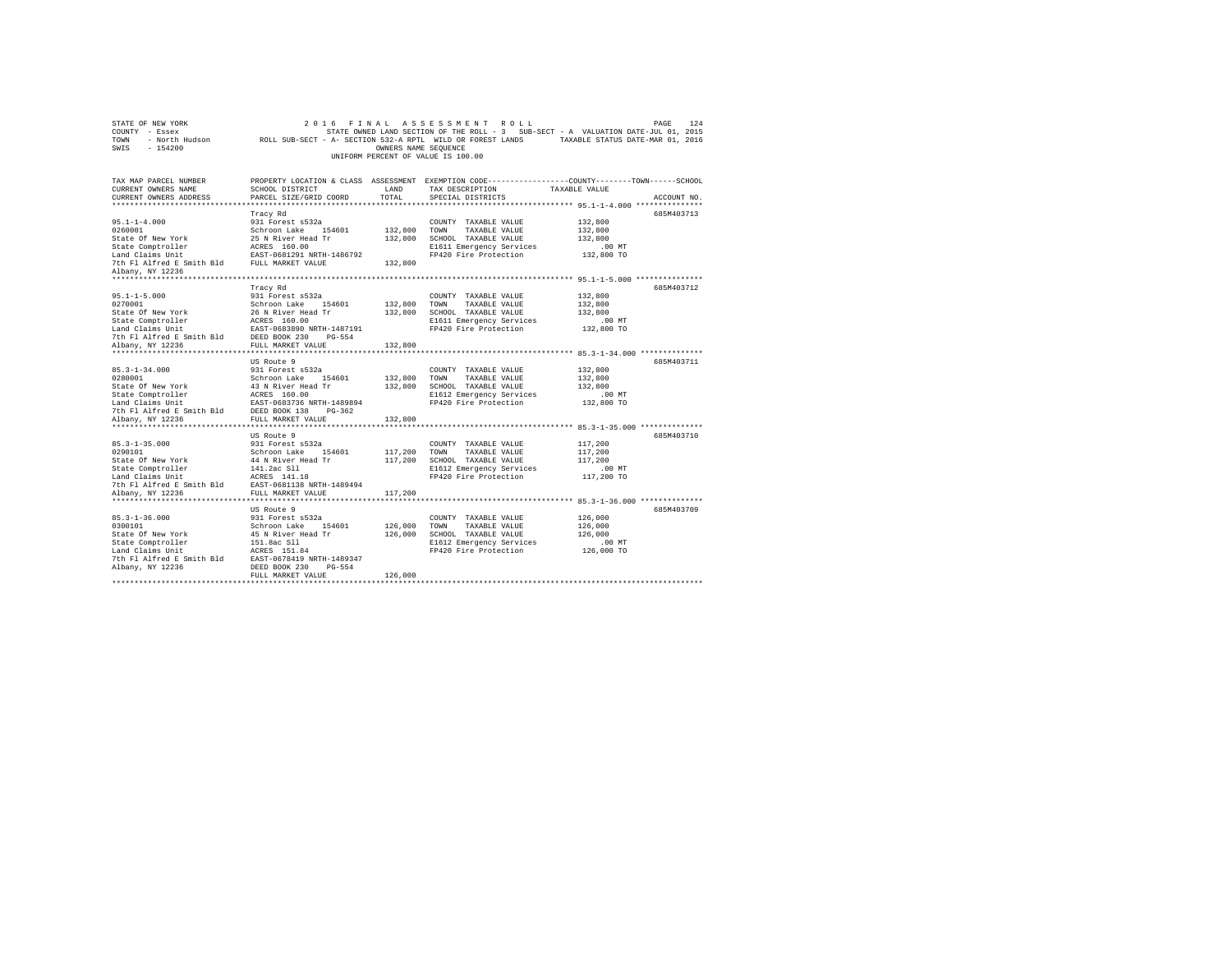| STATE OF NEW YORK<br>COUNTY - Essex<br>TOWN<br>SWIS - 154200                                                                                                   |                                                                                                                                                                        | OWNERS NAME SEQUENCE          | 2016 FINAL ASSESSMENT ROLL<br>UNIFORM PERCENT OF VALUE IS 100.00                                                                   | PAGE<br>124<br>STATE OWNED LAND SECTION OF THE ROLL - 3 SUB-SECT - A VALUATION DATE-JUL 01, 2015<br>- North Hudson ROLL SUB-SECT - A- SECTION 532-A RPTL WILD OR FOREST LANDS TAXABLE STATUS DATE-MAR 01, 2016 |
|----------------------------------------------------------------------------------------------------------------------------------------------------------------|------------------------------------------------------------------------------------------------------------------------------------------------------------------------|-------------------------------|------------------------------------------------------------------------------------------------------------------------------------|----------------------------------------------------------------------------------------------------------------------------------------------------------------------------------------------------------------|
| TAX MAP PARCEL NUMBER<br>CURRENT OWNERS NAME<br>CURRENT OWNERS ADDRESS                                                                                         | SCHOOL DISTRICT<br>PARCEL SIZE/GRID COORD                                                                                                                              | LAND<br>TOTAL                 | TAX DESCRIPTION<br>SPECIAL DISTRICTS                                                                                               | PROPERTY LOCATION & CLASS ASSESSMENT EXEMPTION CODE---------------COUNTY-------TOWN-----SCHOOL<br>TAXABLE VALUE<br>ACCOUNT NO.                                                                                 |
| $95.1 - 1 - 4.000$<br>0260001<br>State Of New York<br>State Comptroller<br>Land Claims Unit<br>The Fl Alfred E Smith Bld FULL MARKET VALUE<br>Albany, NY 12236 | Tracy Rd<br>931 Forest s532a<br>Schroon Lake 154601<br>25 N River Head Tr<br>ACRES 160.00<br>EAST-0681291 NRTH-1486792                                                 | 132,800<br>132,800<br>132,800 | COUNTY TAXABLE VALUE<br>TOWN<br>TAXABLE VALUE<br>SCHOOL TAXABLE VALUE<br>E1611 Emergency Services<br>FP420 Fire Protection         | 685M403713<br>132,800<br>132,800<br>132,800<br>$.00$ MT<br>132,800 TO                                                                                                                                          |
| $95.1 - 1 - 5.000$<br>0270001<br>State Of New York<br>State Comptroller<br>Land Claims Unit<br>7th Fl Alfred E Smith Bld                                       | Tracy Rd<br>931 Forest s532a<br>Schroon Lake 154601<br>26 N River Head Tr<br>ACRES 160.00<br>EAST-0683890 NRTH-1487191<br>DEED BOOK 230 PG-554<br>FULL MARKET VALUE    | 132,800<br>132,800            | COUNTY TAXABLE VALUE<br>TOWN<br>TAXABLE VALUE<br>SCHOOL TAXABLE VALUE<br>E1611 Emergency Services<br>FP420 Fire Protection         | 685M403712<br>132,800<br>132,800<br>132,800<br>.00 MT<br>132,800 TO                                                                                                                                            |
| Albany, NY 12236<br>$85.3 - 1 - 34.000$<br>0280001<br>State Of New York<br>State Comptroller<br>Land Claims Unit<br>7th Fl Alfred E Smith Bld                  | US Route 9<br>931 Forest s532a<br>Schroon Lake 154601<br>43 N River Head Tr<br>ACRES 160.00<br>EAST-0683736 NRTH-1489894<br>DEED BOOK 138 PG-362                       | 132,800<br>132,800            | COUNTY TAXABLE VALUE<br>TOWN<br>TAXABLE VALUE<br>132,800 SCHOOL TAXABLE VALUE<br>E1612 Emergency Services<br>FP420 Fire Protection | 685M403711<br>132,800<br>132,800<br>132,800<br>$.00$ MT<br>132,800 TO                                                                                                                                          |
| Albany, NY 12236<br>$85.3 - 1 - 35.000$<br>0290101<br>State Of New York<br>State Comptroller                                                                   | FULL MARKET VALUE<br>US Route 9<br>931 Forest s532a<br>Schroon Lake 154601<br>44 N River Head Tr<br>141.2ac Sll                                                        | 132,800<br>117,200<br>117,200 | COUNTY TAXABLE VALUE<br>TOWN<br>TAXABLE VALUE<br>SCHOOL TAXABLE VALUE<br>E1612 Emergency Services                                  | 685M403710<br>117,200<br>117,200<br>117,200<br>$.00$ MT                                                                                                                                                        |
| Land Claims Unit<br>7th Fl Alfred E Smith Bld<br>Albany, NY 12236<br>*******************                                                                       | ACRES 141.18<br>EAST-0681138 NRTH-1489494<br>FULL MARKET VALUE<br>*******************<br>US Route 9                                                                    | 117,200                       | FP420 Fire Protection                                                                                                              | 117,200 TO<br>************ 85.3-1-36.000 **************<br>685M403709                                                                                                                                          |
| $85.3 - 1 - 36.000$<br>0300101<br>State Of New York<br>State Comptroller<br>Land Claims Unit<br>7th Fl Alfred E Smith Bld<br>Albany, NY 12236                  | 931 Forest s532a<br>Schroon Lake 154601<br>45 N River Head Tr<br>151.8ac Sll<br>ACRES 151.84<br>EAST-0678419 NRTH-1489347<br>DEED BOOK 230 PG-554<br>FULL MARKET VALUE | 126,000<br>126,000<br>126,000 | COUNTY TAXABLE VALUE<br>TOWN<br>TAXABLE VALUE<br>SCHOOL TAXABLE VALUE<br>E1612 Emergency Services<br>FP420 Fire Protection         | 126,000<br>126,000<br>126,000<br>$.00$ MT<br>126,000 TO                                                                                                                                                        |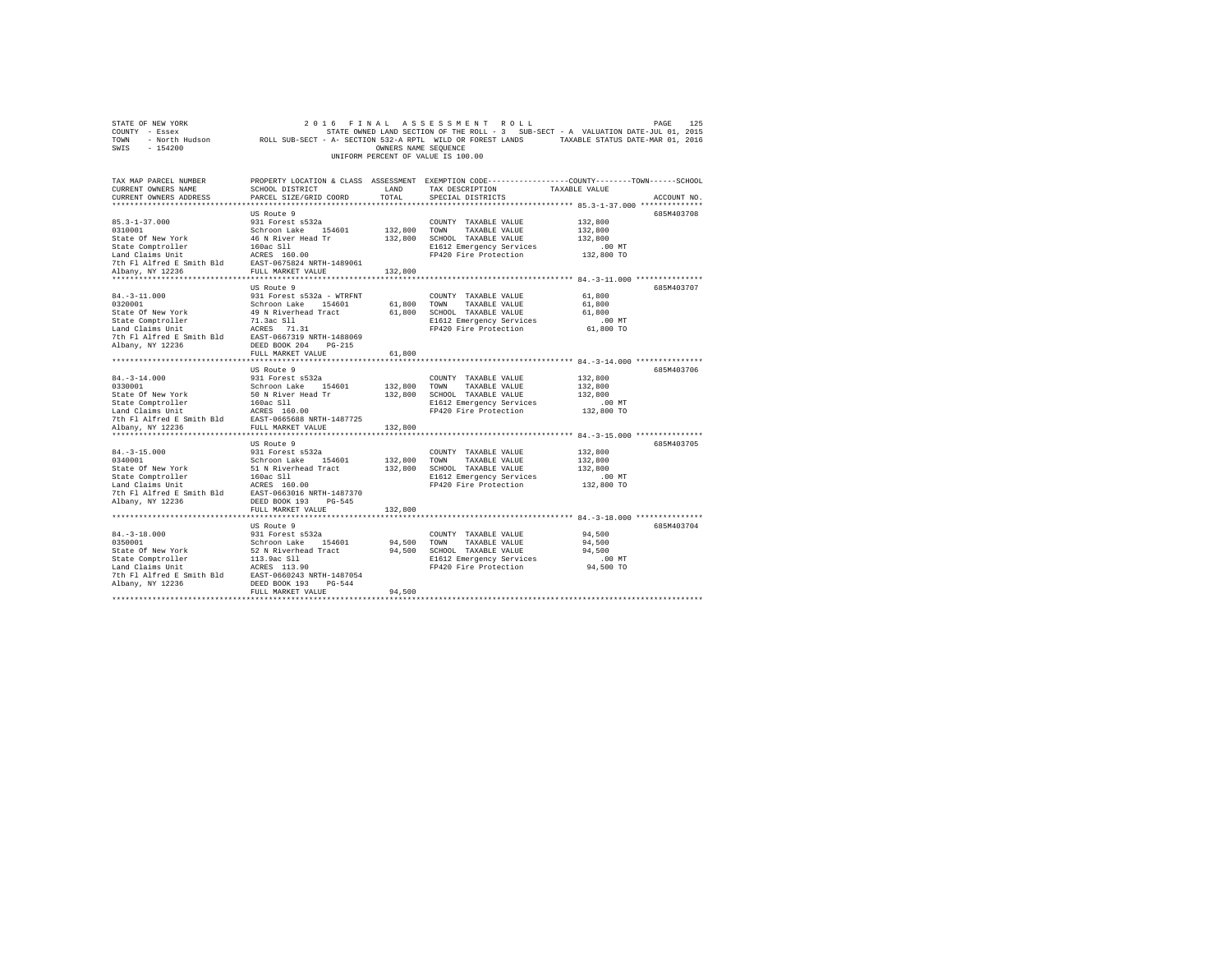| TOWN<br>- North Hudson<br>$-154200$<br>SWIS                                                                                                                                                                                              | ROLL SUB-SECT - A- SECTION 532-A RPTL WILD OR FOREST LANDS                       | OWNERS NAME SEQUENCE |                                    | TAXABLE STATUS DATE-MAR 01, 2016                                                                |  |
|------------------------------------------------------------------------------------------------------------------------------------------------------------------------------------------------------------------------------------------|----------------------------------------------------------------------------------|----------------------|------------------------------------|-------------------------------------------------------------------------------------------------|--|
|                                                                                                                                                                                                                                          |                                                                                  |                      | UNIFORM PERCENT OF VALUE IS 100.00 |                                                                                                 |  |
|                                                                                                                                                                                                                                          |                                                                                  |                      |                                    |                                                                                                 |  |
| TAX MAP PARCEL NUMBER                                                                                                                                                                                                                    |                                                                                  |                      |                                    | PROPERTY LOCATION & CLASS ASSESSMENT EXEMPTION CODE---------------COUNTY-------TOWN------SCHOOL |  |
| CURRENT OWNERS NAME                                                                                                                                                                                                                      | SCHOOL DISTRICT                                                                  | LAND                 | TAX DESCRIPTION                    | TAXABLE VALUE                                                                                   |  |
| CURRENT OWNERS ADDRESS                                                                                                                                                                                                                   | PARCEL SIZE/GRID COORD                                                           | TOTAL                | SPECIAL DISTRICTS                  | ACCOUNT NO.                                                                                     |  |
|                                                                                                                                                                                                                                          |                                                                                  |                      |                                    |                                                                                                 |  |
|                                                                                                                                                                                                                                          | US Route 9                                                                       |                      |                                    | 685M403708                                                                                      |  |
| $85.3 - 1 - 37.000$                                                                                                                                                                                                                      | 931 Forest s532a                                                                 |                      | COUNTY TAXABLE VALUE               | 132,800                                                                                         |  |
| 0310001                                                                                                                                                                                                                                  | Schroon Lake 154601                                                              | 132,800              | TAXABLE VALUE<br>TOWN              | 132,800                                                                                         |  |
| State Of New York                                                                                                                                                                                                                        | 46 N River Head Tr                                                               | 132,800              | SCHOOL TAXABLE VALUE               | 132,800                                                                                         |  |
| State Comptroller 160ac Sll<br>Land Claims Unit 1600.00<br>Tth Fl Alfred E Smith Bld 16857-0675824 NRTH-1489061                                                                                                                          |                                                                                  |                      | E1612 Emergency Services           | $.00$ MT                                                                                        |  |
|                                                                                                                                                                                                                                          |                                                                                  |                      | FP420 Fire Protection              | 132,800 TO                                                                                      |  |
|                                                                                                                                                                                                                                          |                                                                                  |                      |                                    |                                                                                                 |  |
| Albany, NY 12236                                                                                                                                                                                                                         | FULL MARKET VALUE                                                                | 132,800              |                                    |                                                                                                 |  |
|                                                                                                                                                                                                                                          | US Route 9                                                                       |                      |                                    | 685M403707                                                                                      |  |
| $84. - 3 - 11.000$                                                                                                                                                                                                                       | 931 Forest s532a - WTRFNT                                                        |                      | COUNTY TAXABLE VALUE               | 61,800                                                                                          |  |
| 0320001                                                                                                                                                                                                                                  | Schroon Lake 154601                                                              |                      | 61,800 TOWN TAXABLE VALUE          | 61,800                                                                                          |  |
| State Of New York                                                                                                                                                                                                                        | 49 N Riverhead Tract                                                             | 61,800               | SCHOOL TAXABLE VALUE               | 61,800                                                                                          |  |
| State Comptroller                                                                                                                                                                                                                        |                                                                                  |                      | E1612 Emergency Services           | $.00$ MT                                                                                        |  |
| Land Claims Unit                                                                                                                                                                                                                         | 71.3ac S11<br>ACRES 71.31                                                        |                      | FP420 Fire Protection              | 61,800 TO                                                                                       |  |
| 7th Fl Alfred E Smith Bld EAST-0667319 NRTH-1488069                                                                                                                                                                                      |                                                                                  |                      |                                    |                                                                                                 |  |
| Albany, NY 12236                                                                                                                                                                                                                         | DEED BOOK 204 PG-215                                                             |                      |                                    |                                                                                                 |  |
|                                                                                                                                                                                                                                          | FULL MARKET VALUE                                                                | 61,800               |                                    |                                                                                                 |  |
|                                                                                                                                                                                                                                          |                                                                                  |                      |                                    |                                                                                                 |  |
|                                                                                                                                                                                                                                          | US Route 9                                                                       |                      |                                    | 685M403706                                                                                      |  |
| $84. - 3 - 14.000$                                                                                                                                                                                                                       | 931 Forest s532a                                                                 |                      | COUNTY TAXABLE VALUE               | 132,800                                                                                         |  |
|                                                                                                                                                                                                                                          |                                                                                  | 132,800              | TOWN<br>TAXABLE VALUE              | 132,800                                                                                         |  |
|                                                                                                                                                                                                                                          |                                                                                  |                      | 132,800 SCHOOL TAXABLE VALUE       | 132,800                                                                                         |  |
|                                                                                                                                                                                                                                          |                                                                                  |                      | E1612 Emergency Services           | $.00$ MT                                                                                        |  |
|                                                                                                                                                                                                                                          |                                                                                  |                      | FP420 Fire Protection              | 132,800 TO                                                                                      |  |
|                                                                                                                                                                                                                                          |                                                                                  |                      |                                    |                                                                                                 |  |
| Albany, NY 12236<br>***************************                                                                                                                                                                                          | FULL MARKET VALUE                                                                | 132,800              |                                    |                                                                                                 |  |
|                                                                                                                                                                                                                                          |                                                                                  |                      |                                    | 685M403705                                                                                      |  |
| $84. - 3 - 15.000$                                                                                                                                                                                                                       | US Route 9<br>931 Forest s532a                                                   |                      | COUNTY TAXABLE VALUE               | 132,800                                                                                         |  |
| 0340001                                                                                                                                                                                                                                  | Schroon Lake 154601                                                              | 132,800 TOWN         | TAXABLE VALUE                      | 132,800                                                                                         |  |
|                                                                                                                                                                                                                                          |                                                                                  |                      | 132,800 SCHOOL TAXABLE VALUE       | 132,800                                                                                         |  |
|                                                                                                                                                                                                                                          |                                                                                  |                      | E1612 Emergency Services           | .00 MT                                                                                          |  |
| State of New York Sil N Riverhead Tract<br>State Comptroller (Same State Compton)<br>Is a CRES 160.00<br>State Comptroller (Samith Bld EAST-0663016 NRTH-1487370<br>7th F1 Alfred E Smith Bld EAST-0663016 NRTH-1487370<br>Albany, NY 12 |                                                                                  |                      | FP420 Fire Protection              | 132,800 TO                                                                                      |  |
|                                                                                                                                                                                                                                          |                                                                                  |                      |                                    |                                                                                                 |  |
|                                                                                                                                                                                                                                          |                                                                                  |                      |                                    |                                                                                                 |  |
|                                                                                                                                                                                                                                          | FULL MARKET VALUE                                                                | 132,800              |                                    |                                                                                                 |  |
|                                                                                                                                                                                                                                          |                                                                                  |                      |                                    |                                                                                                 |  |
|                                                                                                                                                                                                                                          | US Route 9                                                                       |                      |                                    | 685M403704                                                                                      |  |
| $84. - 3 - 18.000$                                                                                                                                                                                                                       | 931 Forest s532a                                                                 |                      | COUNTY TAXABLE VALUE               | 94,500                                                                                          |  |
| 0350001                                                                                                                                                                                                                                  | Schroon Lake 154601                                                              | 94,500               | TAXABLE VALUE<br>TOWN              | 94,500                                                                                          |  |
| State Of New York                                                                                                                                                                                                                        | 52 N Riverhead Tract<br>113.9ac Sll<br>ACRES 113.90<br>EAST-0660243 NRTH-1487054 | 94,500               | SCHOOL TAXABLE VALUE               | 94,500                                                                                          |  |
| State Comptroller                                                                                                                                                                                                                        |                                                                                  |                      | E1612 Emergency Services           | $.00$ MT                                                                                        |  |
| Land Claims Unit                                                                                                                                                                                                                         |                                                                                  |                      | FP420 Fire Protection              | 94,500 TO                                                                                       |  |
| 7th Fl Alfred E Smith Bld                                                                                                                                                                                                                |                                                                                  |                      |                                    |                                                                                                 |  |
| Albany, NY 12236                                                                                                                                                                                                                         | DEED BOOK 193 PG-544                                                             | 94,500               |                                    |                                                                                                 |  |
|                                                                                                                                                                                                                                          | FULL MARKET VALUE                                                                |                      |                                    |                                                                                                 |  |
|                                                                                                                                                                                                                                          |                                                                                  |                      |                                    |                                                                                                 |  |

STATE OF NEW YORK<br>COUNTY - ESSEX STATE ON A STATE OWNED LAND SECTION OF THE ROLL - 3 SUB-SECT - A VALUATION DATE-JUL 01, 2015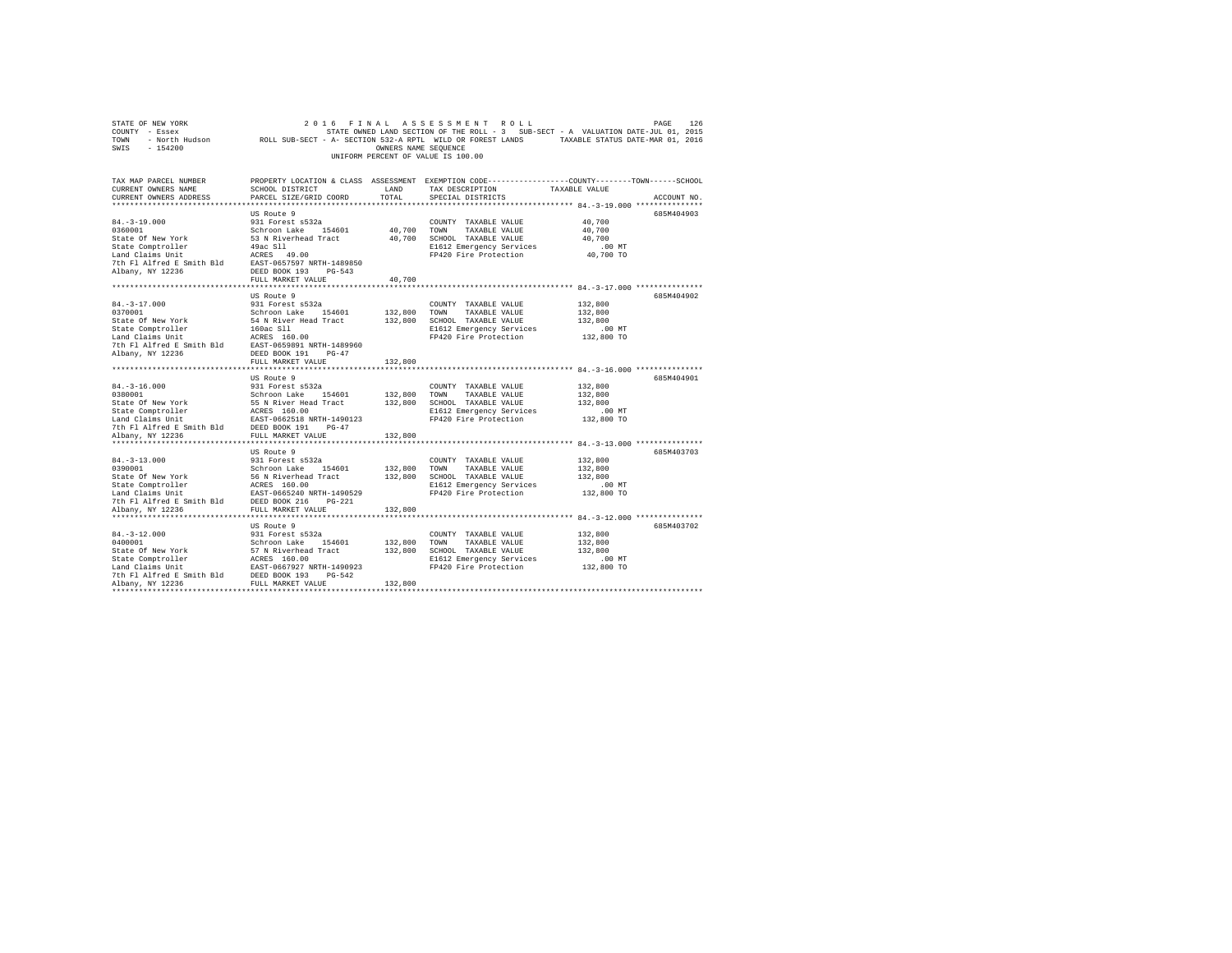|                                                                                                                                                                                                                                                                                                                                                                                                                                                                                                                                  |                                                                                  |               | UNIFORM PERCENT OF VALUE IS 100.00                                                                                                                         |                                                         |             |
|----------------------------------------------------------------------------------------------------------------------------------------------------------------------------------------------------------------------------------------------------------------------------------------------------------------------------------------------------------------------------------------------------------------------------------------------------------------------------------------------------------------------------------|----------------------------------------------------------------------------------|---------------|------------------------------------------------------------------------------------------------------------------------------------------------------------|---------------------------------------------------------|-------------|
| TAX MAP PARCEL NUMBER<br>CURRENT OWNERS NAME<br>CURRENT OWNERS ADDRESS                                                                                                                                                                                                                                                                                                                                                                                                                                                           | SCHOOL DISTRICT<br>PARCEL SIZE/GRID COORD                                        | LAND<br>TOTAL | PROPERTY LOCATION & CLASS ASSESSMENT EXEMPTION CODE---------------COUNTY-------TOWN------SCHOOL<br>TAX DESCRIPTION<br>SPECIAL DISTRICTS                    | TAXABLE VALUE                                           | ACCOUNT NO. |
| $84. - 3 - 19.000$<br>84.-3-19.000<br>0360001<br>State Of New York<br>State Comptroller<br>Land Claims Unit<br>For the same common control of the PDF of the F1 Alfred E Smith Bld<br>Albany, NY 12236 DEED BOOK 193 PG-543<br>Albany, NY 12236                                                                                                                                                                                                                                                                                  | US Route 9<br>931 Forest s532a<br>Schroon Lake 154601<br>49ac S11<br>ACRES 49.00 |               | COUNTY TAXABLE VALUE<br>40,700 TOWN TAXABLE VALUE<br>53 N Riverhead Tract 40,700 SCHOOL TAXABLE VALUE<br>E1612 Emergency Services<br>FP420 Fire Protection | 40,700<br>40,700<br>40,700<br>$.00$ MT<br>40,700 TO     | 685M404903  |
|                                                                                                                                                                                                                                                                                                                                                                                                                                                                                                                                  | FULL MARKET VALUE                                                                | 40,700        |                                                                                                                                                            |                                                         | 685M404902  |
| $84. - 3 - 17.000$<br>0370001                                                                                                                                                                                                                                                                                                                                                                                                                                                                                                    | US Route 9<br>931 Forest s532a<br>Schroon Lake 154601<br>FULL MARKET VALUE       | 132,800       | COUNTY TAXABLE VALUE<br>132,800 TOWN TAXABLE VALUE<br>132,800 SCHOOL TAXABLE VALUE<br>E1612 Emergency Services<br>FP420 Fire Protection                    | 132,800<br>132,800<br>132,800<br>$.00$ MT<br>132,800 TO |             |
| $84. - 3 - 16.000$                                                                                                                                                                                                                                                                                                                                                                                                                                                                                                               | US Route 9<br>931 Forest s532a                                                   |               | *********************************** 84.-3-16.000 ***************<br>COUNTY TAXABLE VALUE                                                                   | 132,800                                                 | 685M404901  |
| $\begin{tabular}{llllll} \bf 0380001 & & & & & & & & & \tt Stab01 & \\ \bf State & & & & & & & \tt Stab & & & \tt Estab & & \tt dest & & \tt Set & & \tt Heat & & \tt Actab & & \tt Heat & & \tt Actab & & \tt Actab & & \tt Actab & & \tt BAB & & \tt Actab & & \tt BAB & & \tt Actab & & \tt BAB & & \tt BAB & & \tt Set & & \tt BAB & & \tt Set & & \tt BAB & & \tt Set & & \tt BAB & & \tt Set & & \tt BAB & & \tt Set & & \tt BAB & & \tt Set & & \tt BAB & & \tt Set & & \tt BAB & & \tt Set$<br>7th Fl Alfred E Smith Bld | DEED BOOK 191 PG-47                                                              |               | 132,800 TOWN TAXABLE VALUE<br>132,800 SCHOOL TAXABLE VALUE<br>E1612 Emergency Services<br>FP420 Fire Protection                                            | 132,800<br>132,800<br>$.00$ MT<br>132,800 TO            |             |
| Albany, NY 12236<br>**********************                                                                                                                                                                                                                                                                                                                                                                                                                                                                                       | FULL MARKET VALUE<br>************************                                    | 132,800       |                                                                                                                                                            |                                                         |             |
|                                                                                                                                                                                                                                                                                                                                                                                                                                                                                                                                  | US Route 9                                                                       |               | E1612 Emergency Services<br>FP420 Fire Protection                                                                                                          | 132,800<br>132,800<br>132,800<br>$.00$ MT<br>132,800 TO | 685M403703  |
|                                                                                                                                                                                                                                                                                                                                                                                                                                                                                                                                  |                                                                                  |               |                                                                                                                                                            |                                                         |             |
| $84. -3 - 12.000$                                                                                                                                                                                                                                                                                                                                                                                                                                                                                                                | US Route 9<br>931 Forest s532a                                                   | 132,800       | COUNTY TAXABLE VALUE<br>132,800 TOWN TAXABLE VALUE<br>132,800 SCHOOL TAXABLE VALUE<br>E1612 Emergency Services<br>FP420 Fire Protection                    | 132,800<br>132,800<br>132,800<br>$.00$ MT<br>132,800 TO | 685M403702  |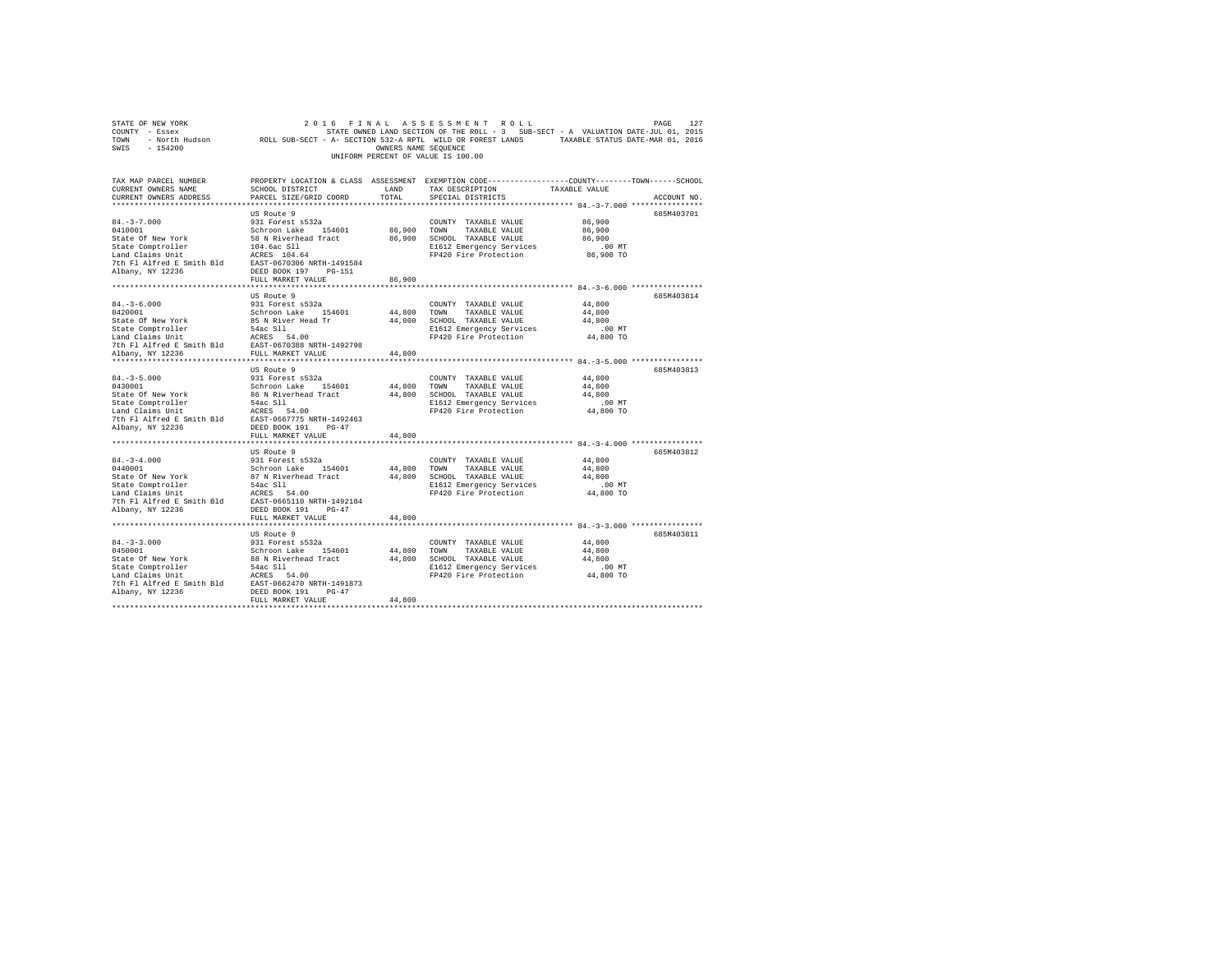| STATE OF NEW YORK<br>COUNTY - Essex<br>TOWN - North Hudson         ROLL SUB-SECT - A- SECTION 522-A RPTL WILD OR FOREST LANDS     TAXABLE STATUS DATE-MAR 01, 2016<br>SWIS - 154200                                                                                                                                                                                                                                                                                                                                            |                                                                                                                                 | OWNERS NAME SEQUENCE  | 2016 FINAL ASSESSMENT ROLL<br>UNIFORM PERCENT OF VALUE IS 100.00                                                                      |                                                       | 127<br>PAGE |
|--------------------------------------------------------------------------------------------------------------------------------------------------------------------------------------------------------------------------------------------------------------------------------------------------------------------------------------------------------------------------------------------------------------------------------------------------------------------------------------------------------------------------------|---------------------------------------------------------------------------------------------------------------------------------|-----------------------|---------------------------------------------------------------------------------------------------------------------------------------|-------------------------------------------------------|-------------|
| TAX MAP PARCEL NUMBER<br>CURRENT OWNERS NAME<br>CURRENT OWNERS ADDRESS                                                                                                                                                                                                                                                                                                                                                                                                                                                         | PROPERTY LOCATION & CLASS ASSESSMENT EXEMPTION CODE---------------COUNTY-------TOWN------SCHOOL<br>PARCEL SIZE/GRID COORD TOTAL |                       | SCHOOL DISTRICT LAND TAX DESCRIPTION TAXABLE VALUE<br>SPECIAL DISTRICTS                                                               |                                                       | ACCOUNT NO. |
| $84. - 3 - 7.000$<br>0410001<br>State Of New York<br>State Comptroller 194.6ac S11<br>Land Claims Unit 149.6ac S11<br>The F1 Alfred E Smith Bld EAST-0670306 NRTH-1491584<br>Albany, NY 12236                                                                                                                                                                                                                                                                                                                                  | US Route 9<br>931 Forest s532a<br>Schroon Lake 154601<br>58 N Riverhead Tract<br>DEED BOOK 197 PG-151<br>FULL MARKET VALUE      | 86,900 TOWN<br>86,900 | COUNTY TAXABLE VALUE<br>TAXABLE VALUE<br>86,900 SCHOOL TAXABLE VALUE<br>E1612 Emergency Services<br>FP420 Fire Protection             | 86,900<br>86,900<br>86,900<br>$.00$ MT<br>86,900 TO   | 685M403701  |
|                                                                                                                                                                                                                                                                                                                                                                                                                                                                                                                                |                                                                                                                                 |                       |                                                                                                                                       |                                                       |             |
| $84. - 3 - 6.000$<br>0420001<br>$\begin{tabular}{lcccc} State \,\, of \,\, New \,\, York & & & \,\, 85 \,\, N \,\, River \,\, Read \,\, Tr & & \,\, 44 \,, 800 & \,\, SCHOOL & \,\,TAXABLE \,\, VALUE \\ State \,\, Comptrol 1er & & \,\, 54 \, \,CRES & \,\, 511 & & \,\, 81612 \,\, Emergency \,\, Service \\ L1F & & & \,\, 5400 & & \,\, 8112 \,\, Emergency \,\, Service \\ L2F & & & \,\, 8112 \,\,Br \end{tabular}$<br>Phi F1 Alfred E Smith Bld<br>Tth F1 Alfred E Smith Bld<br>FULL MARKET VALUE<br>FULL MARKET VALUE | US Route 9<br>931 Forest s532a<br>Schroon Lake 154601                                                                           | 44.800 TOWN<br>44,800 | COUNTY TAXABLE VALUE<br>TAXABLE VALUE<br>E1612 Emergency Services<br>FP420 Fire Protection                                            | 44,800<br>44,800<br>44,800<br>$.00$ MT<br>44,800 TO   | 685M403814  |
|                                                                                                                                                                                                                                                                                                                                                                                                                                                                                                                                |                                                                                                                                 |                       |                                                                                                                                       |                                                       |             |
| $84. - 3 - 5.000$<br>0430001<br>State Of New York<br>State Comptroller 54ac S11<br>Land Claims Unit<br>Land Claims Unit<br>2 The Platford Essaith Bld<br>2 The Platford Essaith Bld<br>2 Rabany, NY 12236<br>2 DEED BOOK 191 PG-47                                                                                                                                                                                                                                                                                             | US Route 9<br>931 Forest s532a<br>Schroon Lake 154601<br>86 N Riverhead Tract 44,800 SCHOOL TAXABLE VALUE                       | 44,800<br>44,800      | COUNTY TAXABLE VALUE<br>TOWN<br>TAXABLE VALUE<br>E1612 Emergency Services<br>FP420 Fire Protection                                    | 44,800<br>44,800<br>44,800<br>$.00$ MT<br>$44,800$ TO | 685M403813  |
|                                                                                                                                                                                                                                                                                                                                                                                                                                                                                                                                | FULL MARKET VALUE                                                                                                               |                       |                                                                                                                                       |                                                       |             |
| $84. -3 - 4.000$<br>0440001<br>State Of New York<br>State Comptroller<br>1942 - State Comptroller<br>1942 - State Comptroller<br>1942 - The Flatfreed Essaith Bld<br>1952 - State Compton 1942<br>1958 - State Compton 1958<br>1958 - State Compton 1958<br>1958 - State Compton 1958<br>1958 - St                                                                                                                                                                                                                             | US Route 9<br>931 Forest s532a<br>Schroon Lake 154601<br>87 N Riverhead Tract<br>FULL MARKET VALUE                              | 44,800                | COUNTY TAXABLE VALUE<br>44,800 TOWN TAXABLE VALUE<br>44,800 SCHOOL TAXABLE VALUE<br>E1612 Emergency Services<br>FP420 Fire Protection | 44,800<br>44,800<br>44,800<br>$.00$ MT<br>44,800 TO   | 685M403812  |
|                                                                                                                                                                                                                                                                                                                                                                                                                                                                                                                                |                                                                                                                                 |                       |                                                                                                                                       |                                                       |             |
|                                                                                                                                                                                                                                                                                                                                                                                                                                                                                                                                | US Route 9<br>FULL MARKET VALUE                                                                                                 | 44,800                | E1612 Emergency Services<br>FP420 Fire Protection                                                                                     | 44,800<br>44,800<br>44,800<br>$.00$ MT<br>44,800 TO   | 685M403811  |
|                                                                                                                                                                                                                                                                                                                                                                                                                                                                                                                                |                                                                                                                                 |                       |                                                                                                                                       |                                                       |             |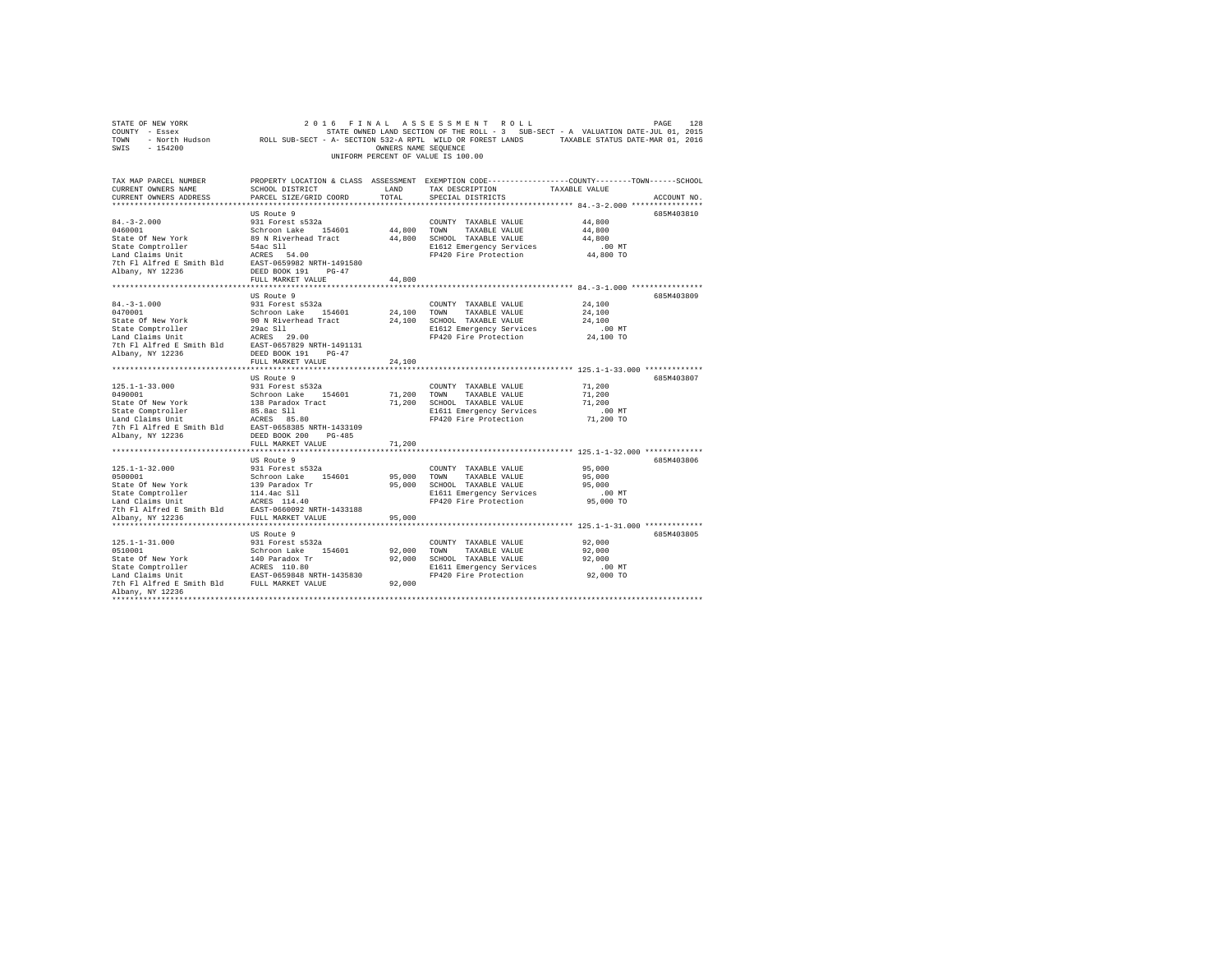| SWIS - 154200                                                                                                                                                                                                                                                                                                                      |                                           | OWNERS NAME SEQUENCE |                                                         |                                                                                                               |
|------------------------------------------------------------------------------------------------------------------------------------------------------------------------------------------------------------------------------------------------------------------------------------------------------------------------------------|-------------------------------------------|----------------------|---------------------------------------------------------|---------------------------------------------------------------------------------------------------------------|
|                                                                                                                                                                                                                                                                                                                                    |                                           |                      | UNIFORM PERCENT OF VALUE IS 100.00                      |                                                                                                               |
| TAX MAP PARCEL NUMBER<br>CURRENT OWNERS NAME<br>CURRENT OWNERS ADDRESS                                                                                                                                                                                                                                                             | SCHOOL DISTRICT<br>PARCEL SIZE/GRID COORD | TOTAL                | LAND TAX DESCRIPTION TAXABLE VALUE<br>SPECIAL DISTRICTS | PROPERTY LOCATION & CLASS ASSESSMENT EXEMPTION CODE---------------COUNTY-------TOWN-----SCHOOL<br>ACCOUNT NO. |
|                                                                                                                                                                                                                                                                                                                                    |                                           |                      |                                                         |                                                                                                               |
|                                                                                                                                                                                                                                                                                                                                    |                                           |                      |                                                         | 685M403810                                                                                                    |
|                                                                                                                                                                                                                                                                                                                                    |                                           |                      |                                                         | 44,800                                                                                                        |
|                                                                                                                                                                                                                                                                                                                                    |                                           |                      |                                                         | 44,800                                                                                                        |
|                                                                                                                                                                                                                                                                                                                                    |                                           |                      |                                                         | 44,800                                                                                                        |
|                                                                                                                                                                                                                                                                                                                                    |                                           |                      |                                                         | .00 MT<br>44,800 TO                                                                                           |
|                                                                                                                                                                                                                                                                                                                                    |                                           |                      | FP420 Fire Protection                                   |                                                                                                               |
|                                                                                                                                                                                                                                                                                                                                    |                                           |                      |                                                         |                                                                                                               |
|                                                                                                                                                                                                                                                                                                                                    | FULL MARKET VALUE                         | 44,800               |                                                         |                                                                                                               |
|                                                                                                                                                                                                                                                                                                                                    |                                           |                      |                                                         |                                                                                                               |
|                                                                                                                                                                                                                                                                                                                                    | US Route 9                                |                      |                                                         | 685M403809                                                                                                    |
| $84. - 3 - 1.000$                                                                                                                                                                                                                                                                                                                  | 931 Forest s532a                          |                      | COUNTY TAXABLE VALUE                                    | 24,100                                                                                                        |
|                                                                                                                                                                                                                                                                                                                                    |                                           |                      |                                                         | 24,100                                                                                                        |
|                                                                                                                                                                                                                                                                                                                                    |                                           |                      |                                                         | 24,100                                                                                                        |
|                                                                                                                                                                                                                                                                                                                                    |                                           |                      |                                                         | .00 MT                                                                                                        |
|                                                                                                                                                                                                                                                                                                                                    |                                           |                      | FP420 Fire Protection                                   | 24,100 TO                                                                                                     |
|                                                                                                                                                                                                                                                                                                                                    |                                           |                      |                                                         |                                                                                                               |
|                                                                                                                                                                                                                                                                                                                                    |                                           |                      |                                                         |                                                                                                               |
|                                                                                                                                                                                                                                                                                                                                    | FULL MARKET VALUE                         | 24,100               |                                                         |                                                                                                               |
|                                                                                                                                                                                                                                                                                                                                    |                                           |                      |                                                         |                                                                                                               |
|                                                                                                                                                                                                                                                                                                                                    | US Route 9<br>931 Forest s532a            |                      |                                                         | 685M403807<br>71,200                                                                                          |
|                                                                                                                                                                                                                                                                                                                                    |                                           |                      |                                                         | 71,200                                                                                                        |
|                                                                                                                                                                                                                                                                                                                                    |                                           |                      |                                                         | 71,200                                                                                                        |
|                                                                                                                                                                                                                                                                                                                                    |                                           |                      |                                                         | $.00$ MT                                                                                                      |
|                                                                                                                                                                                                                                                                                                                                    |                                           |                      |                                                         | 71,200 TO                                                                                                     |
|                                                                                                                                                                                                                                                                                                                                    |                                           |                      |                                                         |                                                                                                               |
|                                                                                                                                                                                                                                                                                                                                    |                                           |                      |                                                         |                                                                                                               |
|                                                                                                                                                                                                                                                                                                                                    | FULL MARKET VALUE                         | 71,200               |                                                         |                                                                                                               |
|                                                                                                                                                                                                                                                                                                                                    |                                           |                      |                                                         |                                                                                                               |
|                                                                                                                                                                                                                                                                                                                                    | US Route 9                                |                      |                                                         | 685M403806                                                                                                    |
|                                                                                                                                                                                                                                                                                                                                    |                                           |                      | COUNTY TAXABLE VALUE                                    | 95,000                                                                                                        |
| $[125.1\textrm{-}1\textrm{-}32.000 \qquad \qquad 931 \textrm{ Forests} \hspace{0.08cm} 532a \hspace{0.08cm} 532a \hspace{0.08cm} 532b0001 \hspace{0.08cm} 139 \hspace{0.08cm} 187c48.15 \hspace{0.08cm} 139 \hspace{0.08cm} 139 \hspace{0.08cm} 139 \hspace{0.08cm} 139 \hspace{0.08cm} 139 \hspace{0.08cm} 139 \hspace{0.08cm} 1$ |                                           |                      | 95,000 TOWN TAXABLE VALUE                               | 95,000                                                                                                        |
|                                                                                                                                                                                                                                                                                                                                    |                                           |                      | 95,000 SCHOOL TAXABLE VALUE<br>E1611 Emergency Services | 95,000                                                                                                        |
|                                                                                                                                                                                                                                                                                                                                    |                                           |                      |                                                         | 00 MT.<br>95,000 TO                                                                                           |
|                                                                                                                                                                                                                                                                                                                                    |                                           |                      | FP420 Fire Protection                                   |                                                                                                               |
|                                                                                                                                                                                                                                                                                                                                    |                                           | 95,000               |                                                         |                                                                                                               |
|                                                                                                                                                                                                                                                                                                                                    |                                           |                      |                                                         |                                                                                                               |
|                                                                                                                                                                                                                                                                                                                                    | US Route 9                                |                      |                                                         | 685M403805                                                                                                    |
|                                                                                                                                                                                                                                                                                                                                    |                                           |                      | COUNTY TAXABLE VALUE                                    | 92,000                                                                                                        |
|                                                                                                                                                                                                                                                                                                                                    |                                           |                      | 92,000 TOWN TAXABLE VALUE                               | 92,000                                                                                                        |
|                                                                                                                                                                                                                                                                                                                                    |                                           |                      | 92,000 SCHOOL TAXABLE VALUE                             | 92,000                                                                                                        |
|                                                                                                                                                                                                                                                                                                                                    |                                           |                      |                                                         | $.00$ MT                                                                                                      |
|                                                                                                                                                                                                                                                                                                                                    |                                           |                      | E1611 Emergency Services<br>FP420 Fire Protection       | 92,000 TO                                                                                                     |
|                                                                                                                                                                                                                                                                                                                                    |                                           | 92,000               |                                                         |                                                                                                               |
| Albany, NY 12236                                                                                                                                                                                                                                                                                                                   |                                           |                      |                                                         |                                                                                                               |
| **********************                                                                                                                                                                                                                                                                                                             |                                           |                      |                                                         |                                                                                                               |

STATE OF NEW YORK 2016 FINAL ASSESSMENT ROLL PAGE 128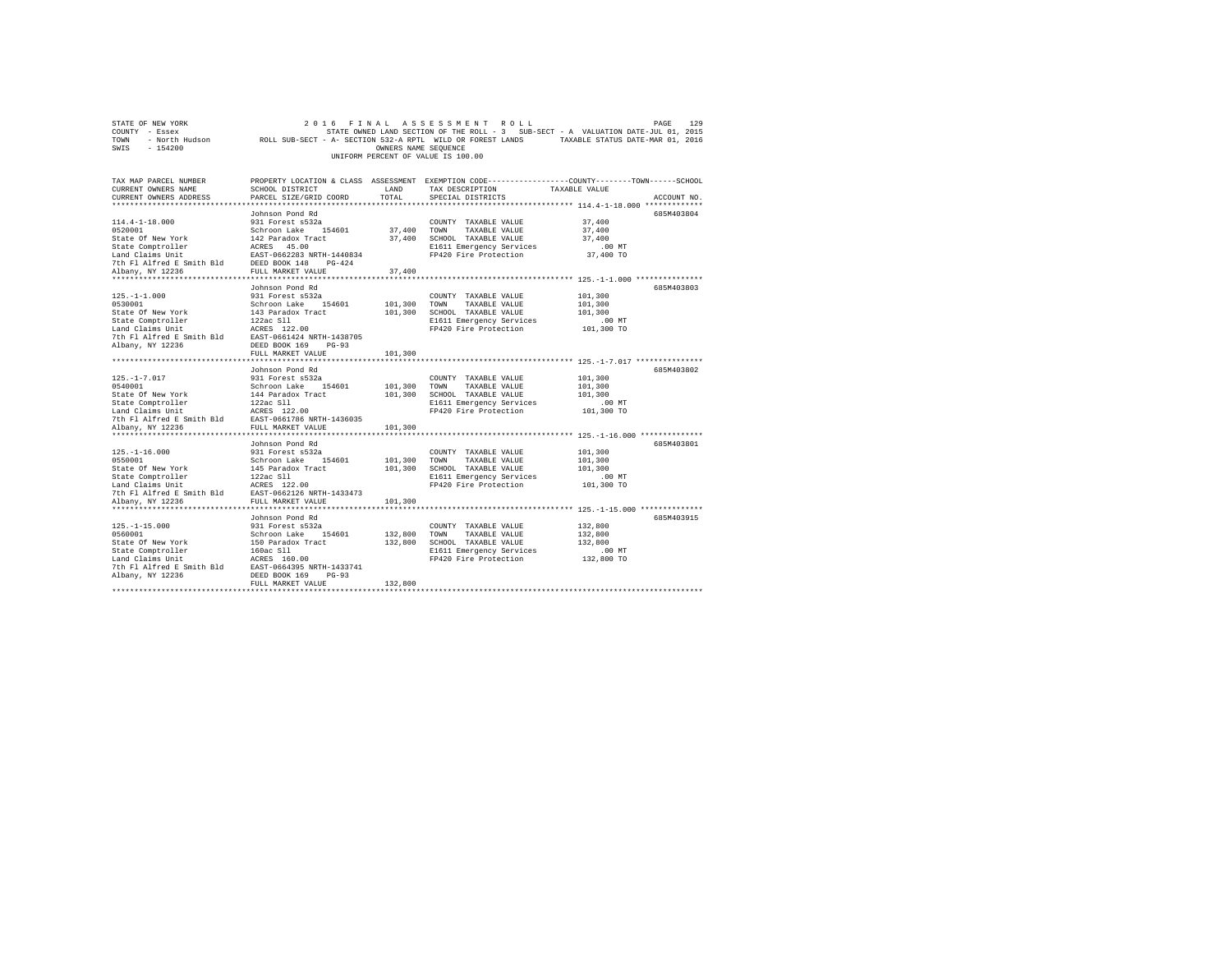| COUNTY - Essex<br>TOWN<br>SWIS<br>$-154200$                                                                                                                                                                                                                                    |                                                                                                                                                  | OWNERS NAME SEQUENCE          | UNIFORM PERCENT OF VALUE IS 100.00                                                                                                 | STATE OWNED LAND SECTION OF THE ROLL - 3 SUB-SECT - A VALUATION DATE-JUL 01, 2015<br>- North Hudson ROLL SUB-SECT - A- SECTION 532-A RPTL WILD OR FOREST LANDS TAXABLE STATUS DATE-MAR 01, 2016 |             |
|--------------------------------------------------------------------------------------------------------------------------------------------------------------------------------------------------------------------------------------------------------------------------------|--------------------------------------------------------------------------------------------------------------------------------------------------|-------------------------------|------------------------------------------------------------------------------------------------------------------------------------|-------------------------------------------------------------------------------------------------------------------------------------------------------------------------------------------------|-------------|
| TAX MAP PARCEL NUMBER<br>CURRENT OWNERS NAME<br>CURRENT OWNERS ADDRESS                                                                                                                                                                                                         | SCHOOL DISTRICT<br>PARCEL SIZE/GRID COORD                                                                                                        | LAND<br>TOTAL                 | TAX DESCRIPTION<br>SPECIAL DISTRICTS                                                                                               | PROPERTY LOCATION & CLASS ASSESSMENT EXEMPTION CODE---------------COUNTY-------TOWN------SCHOOL<br>TAXABLE VALUE                                                                                | ACCOUNT NO. |
| $114.4 - 1 - 18.000$<br>0520001<br>State Of New York $142$ Paradox Tract<br>State Comptroller AGRES 45.00<br>Land Claims Unit<br>The Fl Alfred E Smith Bld DEED BOOK 148<br>Pich Fl Alfred E Smith Bld DEED BOOK 148<br>Albany, NY 12236 FULL MARKET VALUE<br>Albany, NY 12236 | Johnson Pond Rd<br>931 Forest s532a<br>Schroon Lake 154601<br>FULL MARKET VALUE                                                                  | 37,400<br>37,400<br>37,400    | COUNTY TAXABLE VALUE<br>TOWN<br>TAXABLE VALUE<br>SCHOOL TAXABLE VALUE<br>E1611 Emergency Services<br>FP420 Fire Protection         | 685M403804<br>37,400<br>37,400<br>37,400<br>$.00$ MT<br>37,400 TO                                                                                                                               |             |
| $125. - 1 - 1.000$<br>0530001<br>State Of New York<br>State Comptroller<br>Land Claims Unit<br>7th Fl Alfred E Smith Bld EAST-0661424 NRTH-1438705<br>Albany, NY 12236                                                                                                         | Johnson Pond Rd<br>931 Forest s532a<br>Schroon Lake 154601<br>143 Paradox Tract<br>122ac Sll<br>ACRES 122.00<br>DEED BOOK 169 PG-93              | 101,300<br>101,300            | COUNTY TAXABLE VALUE<br>TOWN<br>TAXABLE VALUE<br>SCHOOL TAXABLE VALUE<br>E1611 Emergency Services<br>FP420 Fire Protection         | 685M403803<br>101,300<br>101,300<br>101,300<br>.00 MT<br>101,300 TO                                                                                                                             |             |
|                                                                                                                                                                                                                                                                                | FULL MARKET VALUE                                                                                                                                | 101,300                       |                                                                                                                                    |                                                                                                                                                                                                 |             |
| $125. - 1 - 7.017$<br>0540001<br>State Of New York<br>State Comptroller 122ac S11<br>Land Claims Unit 12.00 ACRES 122.00<br>7th Fl Alfred E Smith Bld 12.85T-0661786 NRTH-1436035                                                                                              | Johnson Pond Rd<br>931 Forest s532a<br>Schroon Lake 154601<br>144 Paradox Tract                                                                  | 101,300                       | COUNTY TAXABLE VALUE<br>TOWN<br>TAXABLE VALUE<br>101,300 SCHOOL TAXABLE VALUE<br>E1611 Emergency Services<br>FP420 Fire Protection | 685M403802<br>101,300<br>101,300<br>101,300<br>$.00$ MT<br>101,300 TO                                                                                                                           |             |
| Albany, NY 12236                                                                                                                                                                                                                                                               | FULL MARKET VALUE                                                                                                                                | 101,300                       |                                                                                                                                    |                                                                                                                                                                                                 |             |
| $125. - 1 - 16.000$<br>0550001<br>State Of New York<br>State Comptroller<br>122ac S11<br>Land Claims Unit<br>7th F1 Alfred E Smith Bld<br>EAST-0662126 NRTH-1433473<br>Albany, NY 12236                                                                                        | Johnson Pond Rd<br>931 Forest s532a<br>Schroon Lake 154601<br>145 Paradox Tract<br>FULL MARKET VALUE                                             | 101,300<br>101,300<br>101,300 | COUNTY TAXABLE VALUE<br>TAXABLE VALUE<br>TOWN<br>SCHOOL TAXABLE VALUE<br>E1611 Emergency Services<br>FP420 Fire Protection         | 685M403801<br>101,300<br>101,300<br>101,300<br>00 MT.<br>101,300 TO                                                                                                                             |             |
|                                                                                                                                                                                                                                                                                |                                                                                                                                                  |                               |                                                                                                                                    |                                                                                                                                                                                                 |             |
| $125. -1 - 15.000$<br>0560001<br>State Of New York<br>State Comptroller<br>Land Claims Unit<br>7th Fl Alfred E Smith Bld EAST-0664395 NRTH-1433741<br>Albany, NY 12236                                                                                                         | Johnson Pond Rd<br>931 Forest s532a<br>Schroon Lake 154601<br>150 Paradox Tract<br>160ac Sll<br>160ac S11<br>ACRES 160.00<br>DEED BOOK 169 PG-93 | 132,800<br>132,800            | COUNTY TAXABLE VALUE<br>TOWN<br>TAXABLE VALUE<br>SCHOOL TAXABLE VALUE<br>E1611 Emergency Services<br>FP420 Fire Protection         | 685M403915<br>132,800<br>132,800<br>132,800<br>.00 MT<br>132,800 TO                                                                                                                             |             |
|                                                                                                                                                                                                                                                                                | DIIT I MADVOR UAIHD                                                                                                                              | 122.900                       |                                                                                                                                    |                                                                                                                                                                                                 |             |

STATE OF NEW YORK 2016 FINAL ASSESSMENT ROLL PAGE 129

FULL MARKET VALUE 132,800 \*\*\*\*\*\*\*\*\*\*\*\*\*\*\*\*\*\*\*\*\*\*\*\*\*\*\*\*\*\*\*\*\*\*\*\*\*\*\*\*\*\*\*\*\*\*\*\*\*\*\*\*\*\*\*\*\*\*\*\*\*\*\*\*\*\*\*\*\*\*\*\*\*\*\*\*\*\*\*\*\*\*\*\*\*\*\*\*\*\*\*\*\*\*\*\*\*\*\*\*\*\*\*\*\*\*\*\*\*\*\*\*\*\*\*\*\*\*\*\*\*\*\*\*\*\*\*\*\*\*\*\*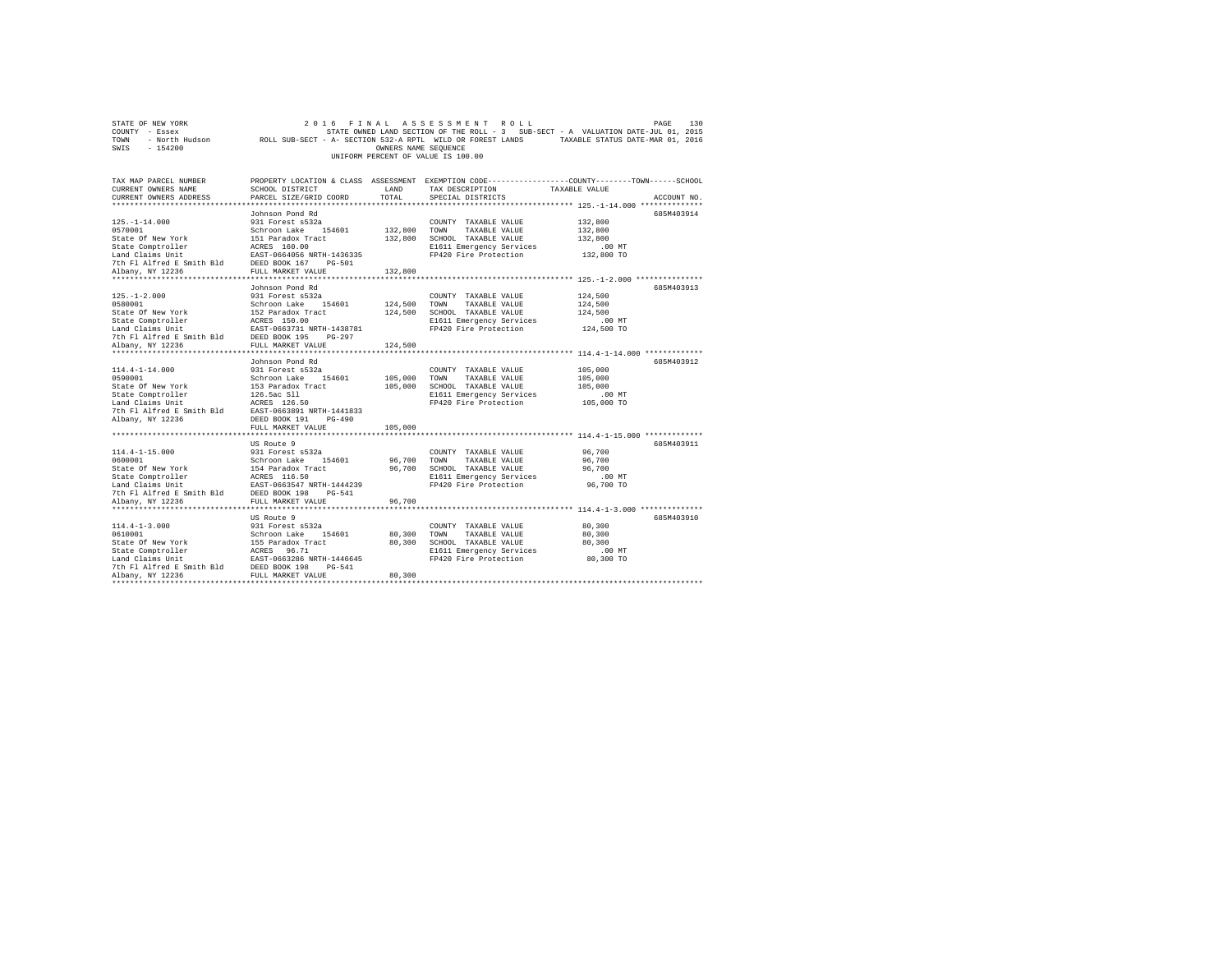| STATE OF NEW YORK<br>COUNTY - Essex<br>- North Hudson<br>TOWN<br>SWIS<br>$-154200$                                                                                                                 | 2 0 1 6<br>ROLL SUB-SECT - A- SECTION 532-A RPTL WILD OR FOREST LANDS                                                                                                                                                                     | FINAL<br>OWNERS NAME SEQUENCE               | ASSESSMENT ROLL<br>UNIFORM PERCENT OF VALUE IS 100.00                                                                      | 130<br>PAGE<br>STATE OWNED LAND SECTION OF THE ROLL - 3 SUB-SECT - A VALUATION DATE-JUL 01, 2015<br>TAXABLE STATUS DATE-MAR 01, 2016 |  |
|----------------------------------------------------------------------------------------------------------------------------------------------------------------------------------------------------|-------------------------------------------------------------------------------------------------------------------------------------------------------------------------------------------------------------------------------------------|---------------------------------------------|----------------------------------------------------------------------------------------------------------------------------|--------------------------------------------------------------------------------------------------------------------------------------|--|
| TAX MAP PARCEL NUMBER<br>CURRENT OWNERS NAME<br>CURRENT OWNERS ADDRESS                                                                                                                             | SCHOOL DISTRICT<br>PARCEL SIZE/GRID COORD                                                                                                                                                                                                 | LAND<br>TOTAL                               | TAX DESCRIPTION<br>SPECIAL DISTRICTS                                                                                       | PROPERTY LOCATION & CLASS ASSESSMENT EXEMPTION CODE---------------COUNTY-------TOWN-----SCHOOL<br>TAXABLE VALUE<br>ACCOUNT NO.       |  |
| $125. - 1 - 14.000$<br>0570001<br>State Of New York<br>State Comptroller<br>Land Claims Unit<br>7th Fl Alfred E Smith Bld<br>Albany, NY 12236                                                      | Johnson Pond Rd<br>931 Forest s532a<br>Schroon Lake<br>154601<br>151 Paradox Tract<br>ACRES 160.00<br>EAST-0664056 NRTH-1436335<br>DEED BOOK 167<br>PG-501<br>FULL MARKET VALUE                                                           | 132,800<br>132,800<br>132,800               | COUNTY TAXABLE VALUE<br>TOWN<br>TAXABLE VALUE<br>SCHOOL TAXABLE VALUE<br>E1611 Emergency Services<br>FP420 Fire Protection | 685M403914<br>132,800<br>132,800<br>132,800<br>.00MT<br>132,800 TO                                                                   |  |
| *********************<br>$125. - 1 - 2.000$<br>0580001<br>State Of New York<br>State Comptroller<br>Land Claims Unit<br>7th Fl Alfred E Smith Bld<br>Albany, NY 12236<br>************************* | **********************<br>Johnson Pond Rd<br>931 Forest s532a<br>Schroon Lake<br>154601<br>152 Paradox Tract<br>ACRES 150.00<br>EAST-0663731 NRTH-1438781<br>DEED BOOK 195<br>$PG-297$<br>FULL MARKET VALUE<br>************************** | **********<br>124,500<br>124,500<br>124,500 | COUNTY TAXABLE VALUE<br>TOWN<br>TAXABLE VALUE<br>SCHOOL TAXABLE VALUE<br>E1611 Emergency Services<br>FP420 Fire Protection | *************************** 125.-1-2.000 **************<br>685M403913<br>124,500<br>124,500<br>124,500<br>.00 MT<br>124,500 TO       |  |
| $114.4 - 1 - 14.000$<br>0590001<br>State Of New York<br>State Comptroller<br>Land Claims Unit<br>7th Fl Alfred E Smith Bld<br>Albany, NY 12236                                                     | Johnson Pond Rd<br>931 Forest s532a<br>Schroon Lake<br>154601<br>153 Paradox Tract<br>126.5ac S11<br>ACRES 126.50<br>EAST-0663891 NRTH-1441833<br>DEED BOOK 191<br>$PG-490$                                                               | 105,000<br>105,000                          | COUNTY TAXABLE VALUE<br>TOWN<br>TAXABLE VALUE<br>SCHOOL TAXABLE VALUE<br>E1611 Emergency Services<br>FP420 Fire Protection | 685M403912<br>105,000<br>105,000<br>105,000<br>$.00$ MT<br>105,000 TO                                                                |  |
| $114.4 - 1 - 15.000$<br>0600001<br>State Of New York<br>State Comptroller<br>Land Claims Unit<br>7th Fl Alfred E Smith Bld<br>Albany, NY 12236                                                     | FULL MARKET VALUE<br>US Route 9<br>931 Forest s532a<br>154601<br>Schroon Lake<br>154 Paradox Tract<br>ACRES 116.50<br>EAST-0663547 NRTH-1444239<br>DEED BOOK 198<br>$PG-541$<br>FULL MARKET VALUE                                         | 105,000<br>96,700<br>96,700<br>96,700       | COUNTY TAXABLE VALUE<br>TOWN<br>TAXABLE VALUE<br>SCHOOL TAXABLE VALUE<br>E1611 Emergency Services<br>FP420 Fire Protection | 685M403911<br>96,700<br>96,700<br>96,700<br>$.00$ MT<br>96,700 TO                                                                    |  |
| $114.4 - 1 - 3.000$<br>0610001<br>State Of New York<br>State Comptroller<br>Land Claims Unit<br>7th Fl Alfred E Smith Bld<br>Albany, NY 12236                                                      | US Route 9<br>931 Forest s532a<br>Schroon Lake<br>154601<br>155 Paradox Tract<br>ACRES 96.71<br>EAST-0663286 NRTH-1446645<br>DEED BOOK 198<br>$PG-541$<br>FULL MARKET VALUE                                                               | 80,300<br>80,300<br>80,300                  | COUNTY TAXABLE VALUE<br>TOWN<br>TAXABLE VALUE<br>SCHOOL TAXABLE VALUE<br>E1611 Emergency Services<br>FP420 Fire Protection | 685M403910<br>80,300<br>80,300<br>80,300<br>.00 MT<br>80,300 TO                                                                      |  |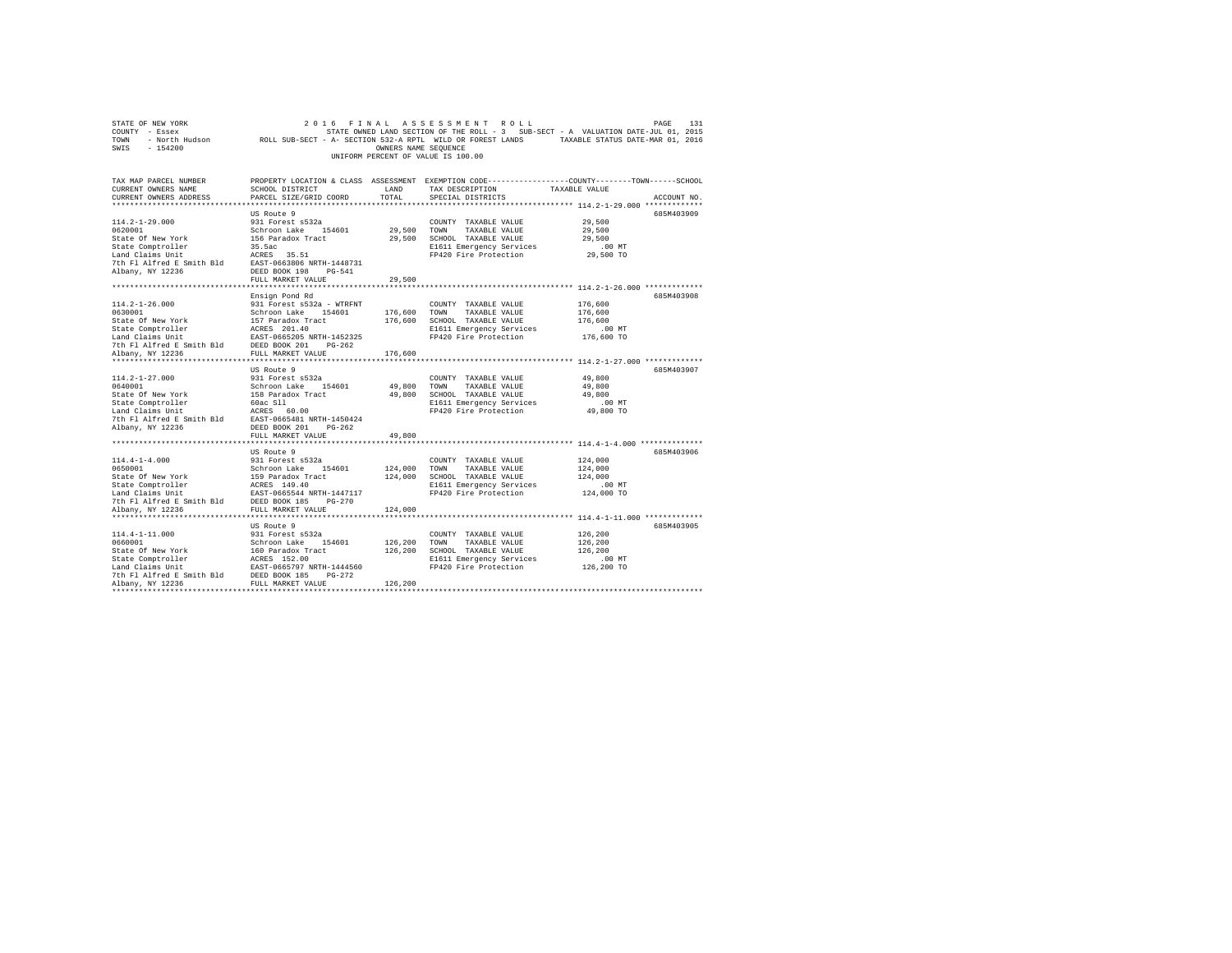| COUNTY - Essex                                                                                                                                                     |                                           |                      | STATE OWNED LAND SECTION OF THE ROLL - 3 SUB-SECT - A VALUATION DATE-JUL 01, 2015                          |                     |             |
|--------------------------------------------------------------------------------------------------------------------------------------------------------------------|-------------------------------------------|----------------------|------------------------------------------------------------------------------------------------------------|---------------------|-------------|
| TOWN                                                                                                                                                               |                                           |                      | - North Hudson Moll SUB-SECT - A- SECTION 532-A RPTL WILD OR FOREST LANDS TAXABLE STATUS DATE-MAR 01, 2016 |                     |             |
| SWIS<br>$-154200$                                                                                                                                                  |                                           | OWNERS NAME SEOUENCE |                                                                                                            |                     |             |
|                                                                                                                                                                    |                                           |                      | UNIFORM PERCENT OF VALUE IS 100.00                                                                         |                     |             |
|                                                                                                                                                                    |                                           |                      |                                                                                                            |                     |             |
|                                                                                                                                                                    |                                           |                      |                                                                                                            |                     |             |
| TAX MAP PARCEL NUMBER                                                                                                                                              |                                           |                      | PROPERTY LOCATION & CLASS ASSESSMENT EXEMPTION CODE----------------COUNTY-------TOWN-----SCHOOL            |                     |             |
| CURRENT OWNERS NAME                                                                                                                                                | SCHOOL DISTRICT                           | LAND                 | TAX DESCRIPTION                                                                                            | TAXABLE VALUE       |             |
| CURRENT OWNERS ADDRESS                                                                                                                                             | PARCEL SIZE/GRID COORD                    | TOTAL                | SPECIAL DISTRICTS                                                                                          |                     | ACCOUNT NO. |
|                                                                                                                                                                    |                                           |                      | *************************** 114.2-1-29.000 *************                                                   |                     |             |
|                                                                                                                                                                    | US Route 9                                |                      |                                                                                                            |                     | 685M403909  |
| $114.2 - 1 - 29.000$                                                                                                                                               | 931 Forest s532a                          |                      | COUNTY TAXABLE VALUE                                                                                       | 29,500              |             |
| 0620001                                                                                                                                                            |                                           | 29,500               | TOWN<br>TAXABLE VALUE                                                                                      | 29,500              |             |
| State Of New York                                                                                                                                                  | Schroon Lake 154601<br>156 Paradox Tract  | 29,500               | SCHOOL TAXABLE VALUE                                                                                       | 29,500              |             |
| State Comptroller                                                                                                                                                  | 35.5ac                                    |                      | E1611 Emergency Services                                                                                   | .00MT               |             |
|                                                                                                                                                                    |                                           |                      | FP420 Fire Protection                                                                                      | 29,500 TO           |             |
| $\begin{tabular}{lllll} \texttt{Land Claus Unit} & \texttt{ACRES} & 35.51 \\ \texttt{7th Fl Alfred E Smith Bd} & \texttt{EAST-0663806 NRTH-1448731} \end{tabular}$ |                                           |                      |                                                                                                            |                     |             |
| Albany, NY 12236                                                                                                                                                   | DEED BOOK 198 PG-541                      |                      |                                                                                                            |                     |             |
|                                                                                                                                                                    | FULL MARKET VALUE                         | 29,500               |                                                                                                            |                     |             |
| **************************                                                                                                                                         | ******************************            | *************        | ************************************ 114.2-1-26.000 *************                                          |                     |             |
|                                                                                                                                                                    | Ensign Pond Rd                            |                      |                                                                                                            |                     | 685M403908  |
| $114.2 - 1 - 26.000$                                                                                                                                               | 931 Forest s532a - WTRFNT                 |                      | COUNTY TAXABLE VALUE                                                                                       | 176,600             |             |
| 0630001                                                                                                                                                            | Schroon Lake 154601                       | 176,600              | TOWN<br>TAXABLE VALUE                                                                                      | 176,600             |             |
| State Of New York                                                                                                                                                  | 157 Paradox Tract                         | 176,600              | SCHOOL TAXABLE VALUE                                                                                       | 176,600             |             |
| State Comptroller                                                                                                                                                  |                                           |                      | E1611 Emergency Services                                                                                   | $.00$ MT            |             |
| Land Claims Unit                                                                                                                                                   | ACRES 201.40<br>EAST-0665205 NRTH-1452325 |                      | FP420 Fire Protection                                                                                      | 176,600 TO          |             |
| 7th Fl Alfred E Smith Bld DEED BOOK 201 PG-262                                                                                                                     |                                           |                      |                                                                                                            |                     |             |
| Albany, NY 12236                                                                                                                                                   | FULL MARKET VALUE                         | 176,600              |                                                                                                            |                     |             |
|                                                                                                                                                                    |                                           |                      |                                                                                                            |                     |             |
|                                                                                                                                                                    | US Route 9                                |                      |                                                                                                            |                     | 685M403907  |
| $114.2 - 1 - 27.000$                                                                                                                                               | 931 Forest s532a                          |                      | COUNTY TAXABLE VALUE                                                                                       | 49,800              |             |
| 0640001                                                                                                                                                            | Schroon Lake 154601                       | 49,800               | TOWN<br>TAXABLE VALUE                                                                                      | 49,800              |             |
| State Of New York                                                                                                                                                  | 158 Paradox Tract                         | 49,800               | SCHOOL TAXABLE VALUE                                                                                       | 49,800              |             |
|                                                                                                                                                                    |                                           |                      | E1611 Emergency Services                                                                                   | $.00$ MT            |             |
| State Comptroller 60ac S11<br>Land Claims Unit ACRES 60.00<br>7th Fl Alfred E Smith Bld EAST-0665481 NRTH-1450424                                                  |                                           |                      | FP420 Fire Protection                                                                                      | 49,800 TO           |             |
|                                                                                                                                                                    |                                           |                      |                                                                                                            |                     |             |
| Albany, NY 12236                                                                                                                                                   | DEED BOOK 201    PG-262                   |                      |                                                                                                            |                     |             |
|                                                                                                                                                                    | FULL MARKET VALUE                         | 49,800               |                                                                                                            |                     |             |
|                                                                                                                                                                    |                                           |                      |                                                                                                            |                     |             |
|                                                                                                                                                                    | US Route 9                                |                      |                                                                                                            |                     | 685M403906  |
| $114.4 - 1 - 4.000$                                                                                                                                                | 931 Forest s532a                          |                      |                                                                                                            | 124,000             |             |
|                                                                                                                                                                    |                                           | 124,000              | COUNTY TAXABLE VALUE                                                                                       | 124,000             |             |
|                                                                                                                                                                    |                                           | 124,000              | TOWN<br>TAXABLE VALUE<br>SCHOOL TAXABLE VALUE                                                              | 124,000             |             |
|                                                                                                                                                                    |                                           |                      |                                                                                                            |                     |             |
|                                                                                                                                                                    |                                           |                      | E1611 Emergency Services<br>FP420 Fire Protection                                                          | .00MT<br>124,000 TO |             |
|                                                                                                                                                                    |                                           |                      |                                                                                                            |                     |             |
|                                                                                                                                                                    |                                           |                      |                                                                                                            |                     |             |
| Albany, NY 12236                                                                                                                                                   | FULL MARKET VALUE                         | 124,000              |                                                                                                            |                     |             |
|                                                                                                                                                                    |                                           |                      |                                                                                                            |                     |             |
|                                                                                                                                                                    | US Route 9                                |                      |                                                                                                            |                     | 685M403905  |
| $114.4 - 1 - 11.000$                                                                                                                                               | 931 Forest s532a                          |                      | COUNTY TAXABLE VALUE                                                                                       | 126,200             |             |
|                                                                                                                                                                    |                                           | 126,200              | TOWN<br>TAXABLE VALUE                                                                                      | 126,200             |             |
|                                                                                                                                                                    |                                           | 126,200              | SCHOOL TAXABLE VALUE                                                                                       | 126,200             |             |
|                                                                                                                                                                    |                                           |                      | E1611 Emergency Services                                                                                   | $.00$ MT            |             |
|                                                                                                                                                                    |                                           |                      | FP420 Fire Protection                                                                                      | 126,200 TO          |             |
|                                                                                                                                                                    |                                           |                      |                                                                                                            |                     |             |
| **********************                                                                                                                                             |                                           | 126,200              |                                                                                                            |                     |             |
|                                                                                                                                                                    |                                           |                      |                                                                                                            |                     |             |

STATE OF NEW YORK 2016 FINAL ASSESSMENT ROLL PAGE 131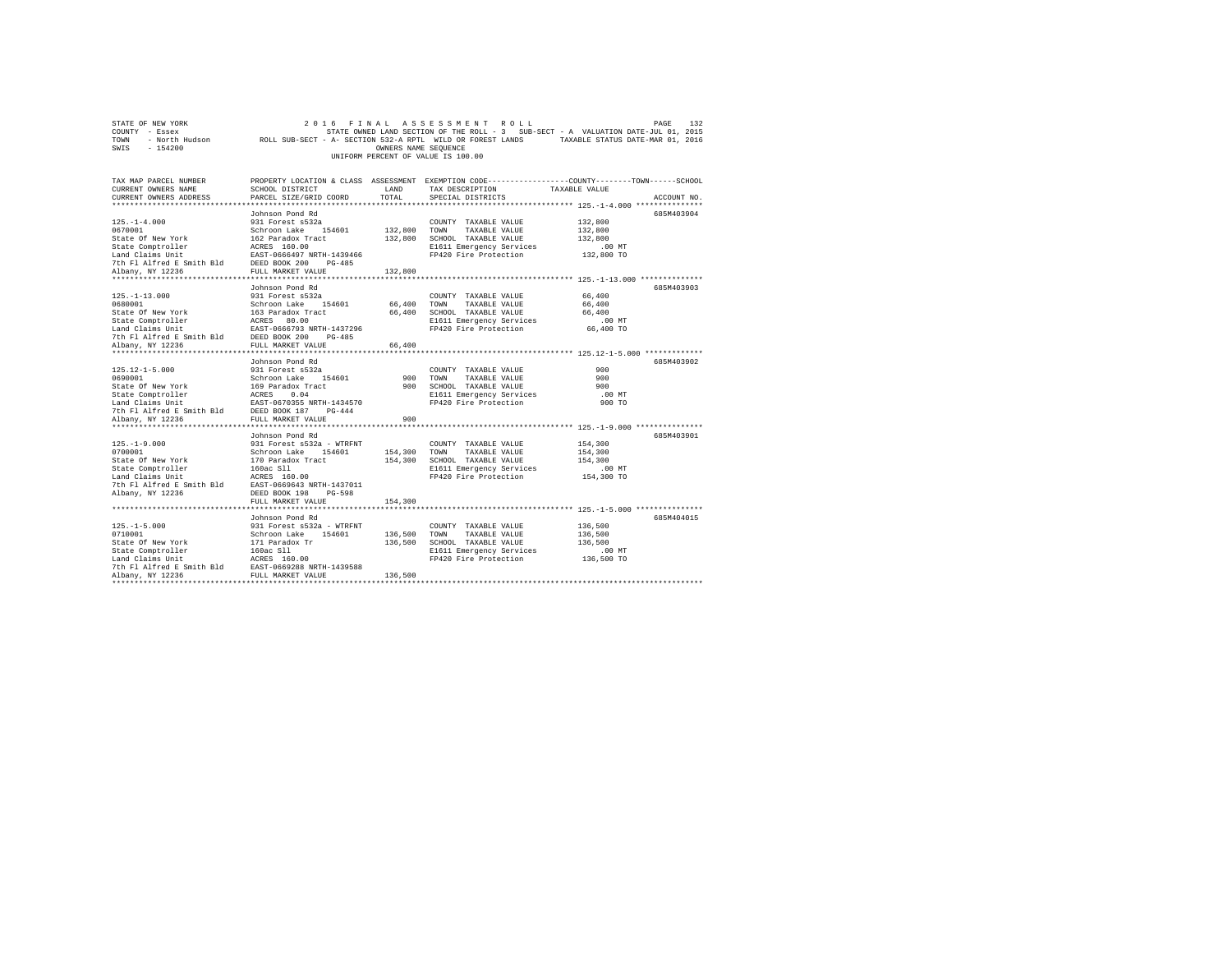|                                    | STATE OF NEW YORK |  |                                                            |  |  |  | 2016 FINAL ASSESSMENT ROLL |  |  |                                                                                   |  | PAGE                             | 132 |
|------------------------------------|-------------------|--|------------------------------------------------------------|--|--|--|----------------------------|--|--|-----------------------------------------------------------------------------------|--|----------------------------------|-----|
| COUNTY - Essex                     |                   |  |                                                            |  |  |  |                            |  |  | STATE OWNED LAND SECTION OF THE ROLL - 3 SUB-SECT - A VALUATION DATE-JUL 01, 2015 |  |                                  |     |
| TOWN                               | - North Hudson    |  | ROLL SUB-SECT - A- SECTION 532-A RPTL WILD OR FOREST LANDS |  |  |  |                            |  |  |                                                                                   |  | TAXABLE STATUS DATE-MAR 01, 2016 |     |
| SWIS                               | - 154200          |  |                                                            |  |  |  | OWNERS NAME SEOUENCE       |  |  |                                                                                   |  |                                  |     |
| UNIFORM PERCENT OF VALUE IS 100.00 |                   |  |                                                            |  |  |  |                            |  |  |                                                                                   |  |                                  |     |

| TAX MAP PARCEL NUMBER<br>CURRENT OWNERS NAME                                                                                                                                                                                                                                                                                                                                                                                  | SCHOOL DISTRICT                                                                                                                                                                                       | LAND                          | TAX DESCRIPTION                                                                                                                                                                                                                                              | PROPERTY LOCATION & CLASS ASSESSMENT EXEMPTION CODE---------------COUNTY-------TOWN------SCHOOL<br>TAXABLE VALUE               |
|-------------------------------------------------------------------------------------------------------------------------------------------------------------------------------------------------------------------------------------------------------------------------------------------------------------------------------------------------------------------------------------------------------------------------------|-------------------------------------------------------------------------------------------------------------------------------------------------------------------------------------------------------|-------------------------------|--------------------------------------------------------------------------------------------------------------------------------------------------------------------------------------------------------------------------------------------------------------|--------------------------------------------------------------------------------------------------------------------------------|
| CURRENT OWNERS ADDRESS                                                                                                                                                                                                                                                                                                                                                                                                        | PARCEL SIZE/GRID COORD                                                                                                                                                                                | TOTAL                         | SPECIAL DISTRICTS                                                                                                                                                                                                                                            | ACCOUNT NO.                                                                                                                    |
|                                                                                                                                                                                                                                                                                                                                                                                                                               | Johnson Pond Rd                                                                                                                                                                                       |                               |                                                                                                                                                                                                                                                              | 685M403904                                                                                                                     |
| $125. - 1 - 4.000$<br>1970<br>1970<br>1970<br>1970<br>1980<br>1980<br>1980<br>1980<br>1980<br>1980<br>1980<br>1980<br>1980<br>1980<br>1980<br>1980<br>1980<br>1980<br>1980<br>1980<br>1980<br>1980<br>1980<br>1980<br>1980<br>1980<br>1980<br>1980<br>1980<br>1980<br>1980<br>1980<br>1980<br>1980<br>1980<br>1980<br>1980<br>                                                                                                | 931 Forest s532a                                                                                                                                                                                      |                               | COUNTY TAXABLE VALUE<br>132,800 TOWN TAXABLE VALUE<br>132,800 SCHOOL TAXABLE VALUE<br>E1611 Emergency Services<br>FP420 Fire Protection                                                                                                                      | 132,800<br>132,800<br>132,800<br>$.00$ MT<br>132,800 TO                                                                        |
|                                                                                                                                                                                                                                                                                                                                                                                                                               |                                                                                                                                                                                                       | 132,800                       |                                                                                                                                                                                                                                                              |                                                                                                                                |
| $125. - 1 - 13.000$<br>12,-1-13.000<br>Schroon Lake 154601<br>Schroon Lake 154601<br>State Of New York 1563 Paradox Tract<br>State Comptroller 2025<br>2000<br>The Plaifred E Smith Bld DEED BOOK 200 PG-485<br>2017 PLA ALTER 20236<br>2027 PM: NARKET VALUE 20236<br>                                                                                                                                                       | Johnson Pond Rd<br>931 Forest s532a                                                                                                                                                                   | 66,400                        | COUNTY TAXABLE VALUE<br>TOWN<br>TAXABLE VALUE<br>66,400 SCHOOL TAXABLE VALUE<br>E1611 Emergency Services<br>FP420 Fire Protection                                                                                                                            | 685M403903<br>66,400<br>66,400<br>66,400<br>.00 MT<br>66,400 TO                                                                |
|                                                                                                                                                                                                                                                                                                                                                                                                                               |                                                                                                                                                                                                       | 66,400                        |                                                                                                                                                                                                                                                              |                                                                                                                                |
|                                                                                                                                                                                                                                                                                                                                                                                                                               |                                                                                                                                                                                                       |                               |                                                                                                                                                                                                                                                              |                                                                                                                                |
| 125.12-1-5.000<br>931 Forest as 22a<br>646010001 169 Paradox Track<br>State Of New York<br>169 Paradox Track<br>Exact Comptroller<br>Land Claims Unit<br>2007 169 PARTH-1434570<br>2010 FL ALTER 2007 187 PG-444<br>2010 PC-444<br>Albany, NY 12236<br>$125. - 1 - 9.000$<br>0700001<br>State Of New York<br>State Comptroller<br>Land Claims Unit<br>7th Fl Alfred E Smith Bld EAST-0669643 NRTH-1437011<br>Albany, NY 12236 | Johnson Pond Rd<br>FULL MARKET VALUE<br>Johnson Pond Rd<br>931 Forest s532a - WTRFNT<br>Schroon Lake 154601 154,300<br>170 Paradox Tract 154,300<br>160ac S11<br>ACRES 160.00<br>DEED BOOK 198 PG-598 | 900 TOWN<br>900               | COUNTY TAXABLE VALUE<br>TAXABLE VALUE<br>900 SCHOOL TAXABLE VALUE<br>E1611 Emergency Services<br>FP420 Fire Protection<br>COUNTY TAXABLE VALUE<br>TOWN<br>TAXABLE VALUE<br>154,300 SCHOOL TAXABLE VALUE<br>E1611 Emergency Services<br>FP420 Fire Protection | 685M403902<br>900<br>900<br>900<br>$.00$ MT<br>900 TO<br>685M403901<br>154,300<br>154,300<br>154,300<br>$.00$ MT<br>154,300 TO |
|                                                                                                                                                                                                                                                                                                                                                                                                                               |                                                                                                                                                                                                       |                               |                                                                                                                                                                                                                                                              |                                                                                                                                |
| $125. -1 - 5.000$<br>0710001<br>State Of New York<br>State Comptroller<br>Land Claims Unit<br>7th Fl Alfred E Smith Bld EAST-0669288 NRTH-1439588<br>Albany, NY 12236                                                                                                                                                                                                                                                         | Johnson Pond Rd<br>931 Forest s532a - WTRFNT<br>Schroon Lake 154601<br>171 Paradox Tr<br>160ac S11<br>ACRES 160.00<br>FULL MARKET VALUE                                                               | 136,500<br>136,500<br>136,500 | COUNTY TAXABLE VALUE<br>TOWN<br>TAXABLE VALUE<br>SCHOOL TAXABLE VALUE<br>E1611 Emergency Services<br>FP420 Fire Protection                                                                                                                                   | 685M404015<br>136,500<br>136,500<br>136,500<br>.00 MT<br>136,500 TO                                                            |
|                                                                                                                                                                                                                                                                                                                                                                                                                               | FULL MARKET VALUE                                                                                                                                                                                     | 154,300                       |                                                                                                                                                                                                                                                              |                                                                                                                                |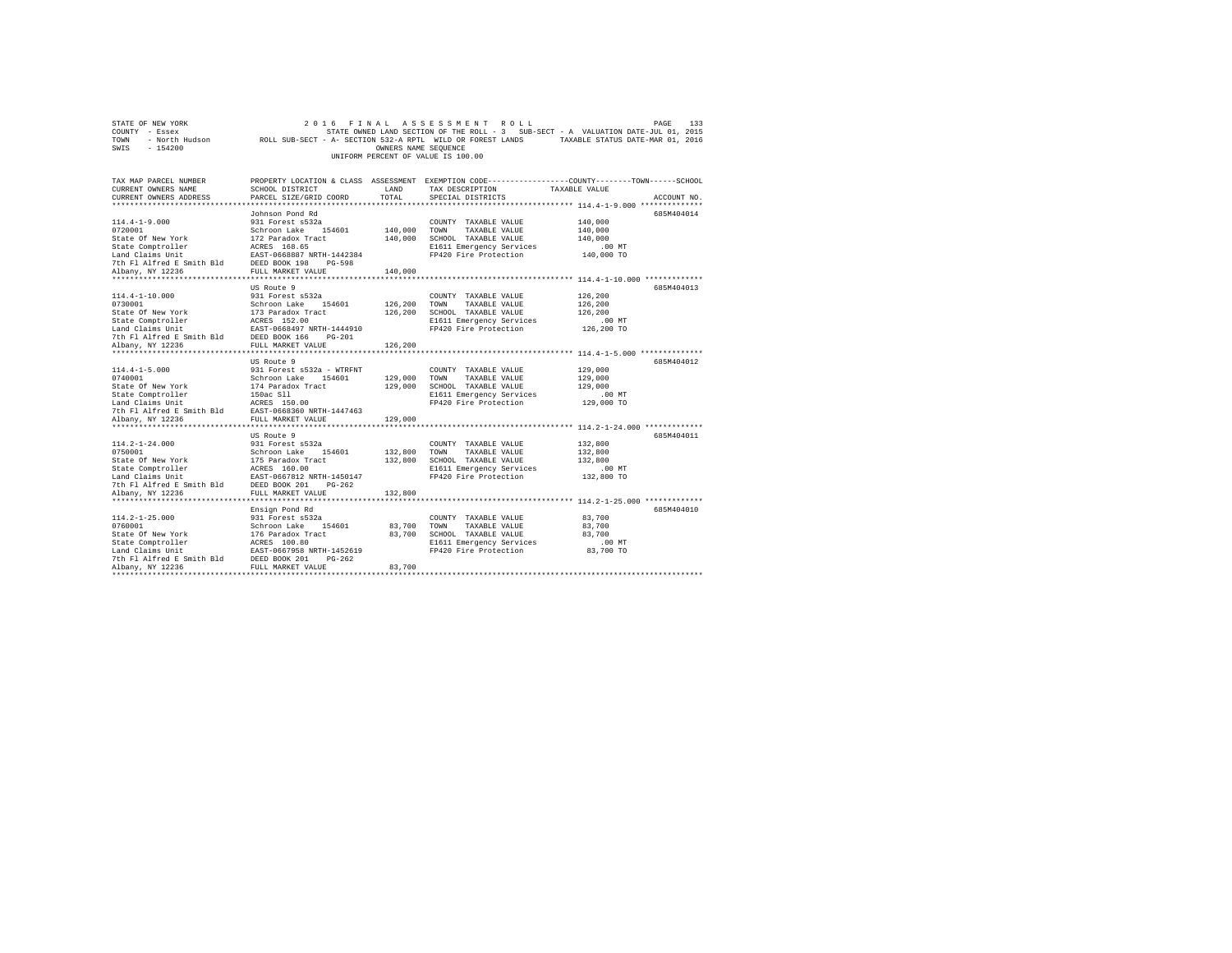| STATE OF NEW YORK                                                                                                                                                           | 2 0 1 6                                                                                                    |                      | FINAL ASSESSMENT ROLL              | PAGE                                                                                            | 133         |
|-----------------------------------------------------------------------------------------------------------------------------------------------------------------------------|------------------------------------------------------------------------------------------------------------|----------------------|------------------------------------|-------------------------------------------------------------------------------------------------|-------------|
| COUNTY - Essex                                                                                                                                                              |                                                                                                            |                      |                                    | STATE OWNED LAND SECTION OF THE ROLL - 3 SUB-SECT - A VALUATION DATE-JUL 01, 2015               |             |
| TOWN                                                                                                                                                                        | - North Hudson ROLL SUB-SECT - A- SECTION 532-A RPTL WILD OR FOREST LANDS TAXABLE STATUS DATE-MAR 01, 2016 |                      |                                    |                                                                                                 |             |
| SWIS<br>$-154200$                                                                                                                                                           |                                                                                                            | OWNERS NAME SEQUENCE |                                    |                                                                                                 |             |
|                                                                                                                                                                             |                                                                                                            |                      | UNIFORM PERCENT OF VALUE IS 100.00 |                                                                                                 |             |
|                                                                                                                                                                             |                                                                                                            |                      |                                    |                                                                                                 |             |
|                                                                                                                                                                             |                                                                                                            |                      |                                    |                                                                                                 |             |
| TAX MAP PARCEL NUMBER                                                                                                                                                       |                                                                                                            |                      |                                    | PROPERTY LOCATION & CLASS ASSESSMENT EXEMPTION CODE----------------COUNTY-------TOWN-----SCHOOL |             |
| CURRENT OWNERS NAME                                                                                                                                                         | <b>LAND</b><br>SCHOOL DISTRICT                                                                             |                      | TAX DESCRIPTION                    | TAXABLE VALUE                                                                                   |             |
| CURRENT OWNERS ADDRESS                                                                                                                                                      | PARCEL SIZE/GRID COORD                                                                                     | TOTAL                | SPECIAL DISTRICTS                  |                                                                                                 | ACCOUNT NO. |
|                                                                                                                                                                             |                                                                                                            |                      |                                    |                                                                                                 |             |
|                                                                                                                                                                             | Johnson Pond Rd                                                                                            |                      |                                    |                                                                                                 | 685M404014  |
| $114.4 - 1 - 9.000$                                                                                                                                                         | 931 Forest s532a                                                                                           |                      | COUNTY TAXABLE VALUE               | 140,000                                                                                         |             |
| 0720001                                                                                                                                                                     | Schroon Lake 154601                                                                                        | 140,000 TOWN         | TAXABLE VALUE                      | 140,000                                                                                         |             |
| State Of New York                                                                                                                                                           |                                                                                                            |                      | 140,000 SCHOOL TAXABLE VALUE       | 140,000                                                                                         |             |
| State Comptroller                                                                                                                                                           | 172 Paradox Tract<br>ACRES 168.65                                                                          |                      | E1611 Emergency Services           | $.00$ MT                                                                                        |             |
| Land Claims Unit                                                                                                                                                            | EAST-0668887 NRTH-1442384                                                                                  |                      | FP420 Fire Protection              | 140,000 TO                                                                                      |             |
| 7th Fl Alfred E Smith Bld DEED BOOK 198 PG-598                                                                                                                              |                                                                                                            |                      |                                    |                                                                                                 |             |
| Albany, NY 12236                                                                                                                                                            | FULL MARKET VALUE                                                                                          | 140,000              |                                    |                                                                                                 |             |
|                                                                                                                                                                             |                                                                                                            |                      |                                    |                                                                                                 |             |
|                                                                                                                                                                             | US Route 9                                                                                                 |                      |                                    |                                                                                                 | 685M404013  |
| $114.4 - 1 - 10.000$                                                                                                                                                        | 931 Forest s532a                                                                                           |                      | COUNTY TAXABLE VALUE               | 126,200                                                                                         |             |
| 0730001                                                                                                                                                                     | Schroon Lake 154601                                                                                        | 126,200 TOWN         | TAXABLE VALUE                      | 126,200                                                                                         |             |
| State Of New York                                                                                                                                                           |                                                                                                            | 126,200              | SCHOOL TAXABLE VALUE               | 126,200                                                                                         |             |
| State Comptroller                                                                                                                                                           | 173 Paradox Tract<br>ACRES 152.00                                                                          |                      | E1611 Emergency Services           | $.00$ MT                                                                                        |             |
|                                                                                                                                                                             |                                                                                                            |                      | FP420 Fire Protection              | 126,200 TO                                                                                      |             |
| Land Claims Unit<br>The EAST-0668497 NRTH-1444910<br>The PI Alfred E Smith Bld<br>DEED BOOK 166 PG-201                                                                      |                                                                                                            |                      |                                    |                                                                                                 |             |
| Albany, NY 12236                                                                                                                                                            | FULL MARKET VALUE                                                                                          | 126,200              |                                    |                                                                                                 |             |
|                                                                                                                                                                             |                                                                                                            |                      |                                    |                                                                                                 |             |
|                                                                                                                                                                             | US Route 9                                                                                                 |                      |                                    |                                                                                                 | 685M404012  |
| $114.4 - 1 - 5.000$                                                                                                                                                         | 931 Forest s532a - WTRFNT                                                                                  |                      | COUNTY TAXABLE VALUE               | 129,000                                                                                         |             |
| 0740001                                                                                                                                                                     | Schroon Lake 154601                                                                                        | 129,000 TOWN         | TAXABLE VALUE                      | 129,000                                                                                         |             |
|                                                                                                                                                                             |                                                                                                            | 129,000              | SCHOOL TAXABLE VALUE               | 129,000                                                                                         |             |
| State of New York 174 Paradox Tract<br>State Comptroller 150ac S11<br>ISOR S11<br>Land Claims Unit 150ac S11<br>2007<br>The F1 Alfred E Smith Bld RAST-0668360 NRTH-1447463 |                                                                                                            |                      | E1611 Emergency Services           | $.00$ MT                                                                                        |             |
|                                                                                                                                                                             |                                                                                                            |                      | FP420 Fire Protection              | 129,000 TO                                                                                      |             |
|                                                                                                                                                                             |                                                                                                            |                      |                                    |                                                                                                 |             |
| Albany, NY 12236                                                                                                                                                            | FULL MARKET VALUE                                                                                          | 129,000              |                                    |                                                                                                 |             |
|                                                                                                                                                                             |                                                                                                            |                      |                                    |                                                                                                 |             |
|                                                                                                                                                                             | US Route 9                                                                                                 |                      |                                    |                                                                                                 | 685M404011  |
| $114.2 - 1 - 24.000$                                                                                                                                                        | 931 Forest s532a                                                                                           |                      | COUNTY TAXABLE VALUE               | 132,800                                                                                         |             |
| 0750001                                                                                                                                                                     | Schroon Lake 154601                                                                                        | 132,800              | TOWN<br>TAXABLE VALUE              | 132,800                                                                                         |             |
|                                                                                                                                                                             |                                                                                                            |                      | 132,800 SCHOOL TAXABLE VALUE       | 132,800                                                                                         |             |
|                                                                                                                                                                             |                                                                                                            |                      | E1611 Emergency Services           | $.00$ MT                                                                                        |             |
|                                                                                                                                                                             |                                                                                                            |                      | FP420 Fire Protection              | 132,800 TO                                                                                      |             |
|                                                                                                                                                                             |                                                                                                            |                      |                                    |                                                                                                 |             |
| Albany, NY 12236                                                                                                                                                            | FULL MARKET VALUE                                                                                          | 132,800              |                                    |                                                                                                 |             |
|                                                                                                                                                                             |                                                                                                            |                      |                                    |                                                                                                 |             |
|                                                                                                                                                                             | Ensign Pond Rd                                                                                             |                      |                                    |                                                                                                 | 685M404010  |
| $114.2 - 1 - 25.000$                                                                                                                                                        | 931 Forest s532a                                                                                           |                      | COUNTY TAXABLE VALUE               | 83,700                                                                                          |             |
| 0760001                                                                                                                                                                     | Schroon Lake 154601                                                                                        | 83,700 TOWN          | TAXABLE VALUE                      | 83,700                                                                                          |             |
|                                                                                                                                                                             | 176 Paradox Tract                                                                                          |                      |                                    | 83,700                                                                                          |             |
| State Of New York                                                                                                                                                           |                                                                                                            |                      | 83,700 SCHOOL TAXABLE VALUE        |                                                                                                 |             |
|                                                                                                                                                                             |                                                                                                            |                      | E1611 Emergency Services           | .00 MT<br>83,700 TO                                                                             |             |
| State Comptroller<br>Land Claims Unit<br>Land Claims Unit<br>The F1 Alfred E Smith B1d<br>DEED BOOK 201 PG-262                                                              |                                                                                                            |                      | FP420 Fire Protection              |                                                                                                 |             |
|                                                                                                                                                                             |                                                                                                            | 83,700               |                                    |                                                                                                 |             |
| Albany, NY 12236                                                                                                                                                            | FULL MARKET VALUE                                                                                          |                      |                                    |                                                                                                 |             |
|                                                                                                                                                                             |                                                                                                            |                      |                                    |                                                                                                 |             |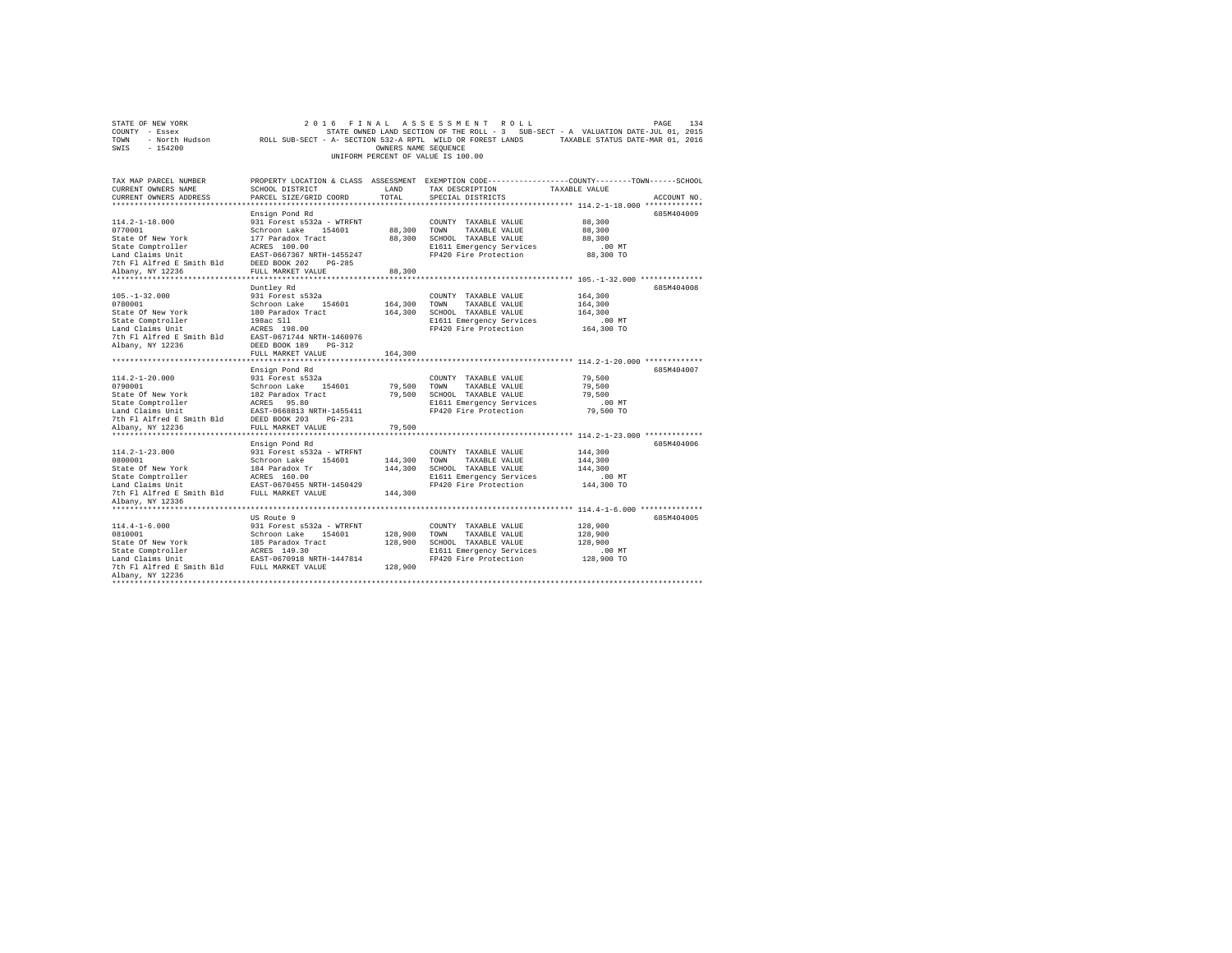|                                             |                                                                                                                                                                                                                                                                                                                                                                                                                                                                                                                                                                                                                                                                                                                                                                                                                                                                                                                                             |                                                                                                                                                                            | PAGE                                                                                                                                                                                                                                                                                                                                                                                                                                                                                                                                                                                                                                                                                                                                                                        | 134                                                                                                                                                                                                                                                                                                                                                                                                                                                                                                                                                                                                                                                                                                                                                 |
|---------------------------------------------|---------------------------------------------------------------------------------------------------------------------------------------------------------------------------------------------------------------------------------------------------------------------------------------------------------------------------------------------------------------------------------------------------------------------------------------------------------------------------------------------------------------------------------------------------------------------------------------------------------------------------------------------------------------------------------------------------------------------------------------------------------------------------------------------------------------------------------------------------------------------------------------------------------------------------------------------|----------------------------------------------------------------------------------------------------------------------------------------------------------------------------|-----------------------------------------------------------------------------------------------------------------------------------------------------------------------------------------------------------------------------------------------------------------------------------------------------------------------------------------------------------------------------------------------------------------------------------------------------------------------------------------------------------------------------------------------------------------------------------------------------------------------------------------------------------------------------------------------------------------------------------------------------------------------------|-----------------------------------------------------------------------------------------------------------------------------------------------------------------------------------------------------------------------------------------------------------------------------------------------------------------------------------------------------------------------------------------------------------------------------------------------------------------------------------------------------------------------------------------------------------------------------------------------------------------------------------------------------------------------------------------------------------------------------------------------------|
|                                             |                                                                                                                                                                                                                                                                                                                                                                                                                                                                                                                                                                                                                                                                                                                                                                                                                                                                                                                                             |                                                                                                                                                                            |                                                                                                                                                                                                                                                                                                                                                                                                                                                                                                                                                                                                                                                                                                                                                                             |                                                                                                                                                                                                                                                                                                                                                                                                                                                                                                                                                                                                                                                                                                                                                     |
|                                             |                                                                                                                                                                                                                                                                                                                                                                                                                                                                                                                                                                                                                                                                                                                                                                                                                                                                                                                                             |                                                                                                                                                                            |                                                                                                                                                                                                                                                                                                                                                                                                                                                                                                                                                                                                                                                                                                                                                                             |                                                                                                                                                                                                                                                                                                                                                                                                                                                                                                                                                                                                                                                                                                                                                     |
|                                             |                                                                                                                                                                                                                                                                                                                                                                                                                                                                                                                                                                                                                                                                                                                                                                                                                                                                                                                                             |                                                                                                                                                                            |                                                                                                                                                                                                                                                                                                                                                                                                                                                                                                                                                                                                                                                                                                                                                                             |                                                                                                                                                                                                                                                                                                                                                                                                                                                                                                                                                                                                                                                                                                                                                     |
|                                             |                                                                                                                                                                                                                                                                                                                                                                                                                                                                                                                                                                                                                                                                                                                                                                                                                                                                                                                                             |                                                                                                                                                                            |                                                                                                                                                                                                                                                                                                                                                                                                                                                                                                                                                                                                                                                                                                                                                                             |                                                                                                                                                                                                                                                                                                                                                                                                                                                                                                                                                                                                                                                                                                                                                     |
|                                             |                                                                                                                                                                                                                                                                                                                                                                                                                                                                                                                                                                                                                                                                                                                                                                                                                                                                                                                                             |                                                                                                                                                                            |                                                                                                                                                                                                                                                                                                                                                                                                                                                                                                                                                                                                                                                                                                                                                                             |                                                                                                                                                                                                                                                                                                                                                                                                                                                                                                                                                                                                                                                                                                                                                     |
|                                             |                                                                                                                                                                                                                                                                                                                                                                                                                                                                                                                                                                                                                                                                                                                                                                                                                                                                                                                                             |                                                                                                                                                                            |                                                                                                                                                                                                                                                                                                                                                                                                                                                                                                                                                                                                                                                                                                                                                                             |                                                                                                                                                                                                                                                                                                                                                                                                                                                                                                                                                                                                                                                                                                                                                     |
|                                             |                                                                                                                                                                                                                                                                                                                                                                                                                                                                                                                                                                                                                                                                                                                                                                                                                                                                                                                                             |                                                                                                                                                                            |                                                                                                                                                                                                                                                                                                                                                                                                                                                                                                                                                                                                                                                                                                                                                                             |                                                                                                                                                                                                                                                                                                                                                                                                                                                                                                                                                                                                                                                                                                                                                     |
|                                             |                                                                                                                                                                                                                                                                                                                                                                                                                                                                                                                                                                                                                                                                                                                                                                                                                                                                                                                                             |                                                                                                                                                                            |                                                                                                                                                                                                                                                                                                                                                                                                                                                                                                                                                                                                                                                                                                                                                                             |                                                                                                                                                                                                                                                                                                                                                                                                                                                                                                                                                                                                                                                                                                                                                     |
|                                             |                                                                                                                                                                                                                                                                                                                                                                                                                                                                                                                                                                                                                                                                                                                                                                                                                                                                                                                                             |                                                                                                                                                                            |                                                                                                                                                                                                                                                                                                                                                                                                                                                                                                                                                                                                                                                                                                                                                                             |                                                                                                                                                                                                                                                                                                                                                                                                                                                                                                                                                                                                                                                                                                                                                     |
|                                             |                                                                                                                                                                                                                                                                                                                                                                                                                                                                                                                                                                                                                                                                                                                                                                                                                                                                                                                                             |                                                                                                                                                                            |                                                                                                                                                                                                                                                                                                                                                                                                                                                                                                                                                                                                                                                                                                                                                                             |                                                                                                                                                                                                                                                                                                                                                                                                                                                                                                                                                                                                                                                                                                                                                     |
|                                             |                                                                                                                                                                                                                                                                                                                                                                                                                                                                                                                                                                                                                                                                                                                                                                                                                                                                                                                                             |                                                                                                                                                                            |                                                                                                                                                                                                                                                                                                                                                                                                                                                                                                                                                                                                                                                                                                                                                                             |                                                                                                                                                                                                                                                                                                                                                                                                                                                                                                                                                                                                                                                                                                                                                     |
|                                             |                                                                                                                                                                                                                                                                                                                                                                                                                                                                                                                                                                                                                                                                                                                                                                                                                                                                                                                                             |                                                                                                                                                                            |                                                                                                                                                                                                                                                                                                                                                                                                                                                                                                                                                                                                                                                                                                                                                                             |                                                                                                                                                                                                                                                                                                                                                                                                                                                                                                                                                                                                                                                                                                                                                     |
|                                             |                                                                                                                                                                                                                                                                                                                                                                                                                                                                                                                                                                                                                                                                                                                                                                                                                                                                                                                                             |                                                                                                                                                                            |                                                                                                                                                                                                                                                                                                                                                                                                                                                                                                                                                                                                                                                                                                                                                                             |                                                                                                                                                                                                                                                                                                                                                                                                                                                                                                                                                                                                                                                                                                                                                     |
|                                             |                                                                                                                                                                                                                                                                                                                                                                                                                                                                                                                                                                                                                                                                                                                                                                                                                                                                                                                                             |                                                                                                                                                                            |                                                                                                                                                                                                                                                                                                                                                                                                                                                                                                                                                                                                                                                                                                                                                                             |                                                                                                                                                                                                                                                                                                                                                                                                                                                                                                                                                                                                                                                                                                                                                     |
|                                             |                                                                                                                                                                                                                                                                                                                                                                                                                                                                                                                                                                                                                                                                                                                                                                                                                                                                                                                                             |                                                                                                                                                                            |                                                                                                                                                                                                                                                                                                                                                                                                                                                                                                                                                                                                                                                                                                                                                                             |                                                                                                                                                                                                                                                                                                                                                                                                                                                                                                                                                                                                                                                                                                                                                     |
|                                             |                                                                                                                                                                                                                                                                                                                                                                                                                                                                                                                                                                                                                                                                                                                                                                                                                                                                                                                                             |                                                                                                                                                                            |                                                                                                                                                                                                                                                                                                                                                                                                                                                                                                                                                                                                                                                                                                                                                                             |                                                                                                                                                                                                                                                                                                                                                                                                                                                                                                                                                                                                                                                                                                                                                     |
|                                             |                                                                                                                                                                                                                                                                                                                                                                                                                                                                                                                                                                                                                                                                                                                                                                                                                                                                                                                                             |                                                                                                                                                                            |                                                                                                                                                                                                                                                                                                                                                                                                                                                                                                                                                                                                                                                                                                                                                                             |                                                                                                                                                                                                                                                                                                                                                                                                                                                                                                                                                                                                                                                                                                                                                     |
|                                             |                                                                                                                                                                                                                                                                                                                                                                                                                                                                                                                                                                                                                                                                                                                                                                                                                                                                                                                                             |                                                                                                                                                                            |                                                                                                                                                                                                                                                                                                                                                                                                                                                                                                                                                                                                                                                                                                                                                                             |                                                                                                                                                                                                                                                                                                                                                                                                                                                                                                                                                                                                                                                                                                                                                     |
|                                             |                                                                                                                                                                                                                                                                                                                                                                                                                                                                                                                                                                                                                                                                                                                                                                                                                                                                                                                                             |                                                                                                                                                                            |                                                                                                                                                                                                                                                                                                                                                                                                                                                                                                                                                                                                                                                                                                                                                                             |                                                                                                                                                                                                                                                                                                                                                                                                                                                                                                                                                                                                                                                                                                                                                     |
|                                             |                                                                                                                                                                                                                                                                                                                                                                                                                                                                                                                                                                                                                                                                                                                                                                                                                                                                                                                                             |                                                                                                                                                                            |                                                                                                                                                                                                                                                                                                                                                                                                                                                                                                                                                                                                                                                                                                                                                                             |                                                                                                                                                                                                                                                                                                                                                                                                                                                                                                                                                                                                                                                                                                                                                     |
|                                             |                                                                                                                                                                                                                                                                                                                                                                                                                                                                                                                                                                                                                                                                                                                                                                                                                                                                                                                                             |                                                                                                                                                                            |                                                                                                                                                                                                                                                                                                                                                                                                                                                                                                                                                                                                                                                                                                                                                                             |                                                                                                                                                                                                                                                                                                                                                                                                                                                                                                                                                                                                                                                                                                                                                     |
|                                             |                                                                                                                                                                                                                                                                                                                                                                                                                                                                                                                                                                                                                                                                                                                                                                                                                                                                                                                                             |                                                                                                                                                                            |                                                                                                                                                                                                                                                                                                                                                                                                                                                                                                                                                                                                                                                                                                                                                                             |                                                                                                                                                                                                                                                                                                                                                                                                                                                                                                                                                                                                                                                                                                                                                     |
|                                             |                                                                                                                                                                                                                                                                                                                                                                                                                                                                                                                                                                                                                                                                                                                                                                                                                                                                                                                                             |                                                                                                                                                                            |                                                                                                                                                                                                                                                                                                                                                                                                                                                                                                                                                                                                                                                                                                                                                                             |                                                                                                                                                                                                                                                                                                                                                                                                                                                                                                                                                                                                                                                                                                                                                     |
|                                             |                                                                                                                                                                                                                                                                                                                                                                                                                                                                                                                                                                                                                                                                                                                                                                                                                                                                                                                                             |                                                                                                                                                                            |                                                                                                                                                                                                                                                                                                                                                                                                                                                                                                                                                                                                                                                                                                                                                                             |                                                                                                                                                                                                                                                                                                                                                                                                                                                                                                                                                                                                                                                                                                                                                     |
|                                             |                                                                                                                                                                                                                                                                                                                                                                                                                                                                                                                                                                                                                                                                                                                                                                                                                                                                                                                                             |                                                                                                                                                                            |                                                                                                                                                                                                                                                                                                                                                                                                                                                                                                                                                                                                                                                                                                                                                                             |                                                                                                                                                                                                                                                                                                                                                                                                                                                                                                                                                                                                                                                                                                                                                     |
|                                             |                                                                                                                                                                                                                                                                                                                                                                                                                                                                                                                                                                                                                                                                                                                                                                                                                                                                                                                                             |                                                                                                                                                                            |                                                                                                                                                                                                                                                                                                                                                                                                                                                                                                                                                                                                                                                                                                                                                                             |                                                                                                                                                                                                                                                                                                                                                                                                                                                                                                                                                                                                                                                                                                                                                     |
|                                             |                                                                                                                                                                                                                                                                                                                                                                                                                                                                                                                                                                                                                                                                                                                                                                                                                                                                                                                                             |                                                                                                                                                                            |                                                                                                                                                                                                                                                                                                                                                                                                                                                                                                                                                                                                                                                                                                                                                                             |                                                                                                                                                                                                                                                                                                                                                                                                                                                                                                                                                                                                                                                                                                                                                     |
|                                             |                                                                                                                                                                                                                                                                                                                                                                                                                                                                                                                                                                                                                                                                                                                                                                                                                                                                                                                                             |                                                                                                                                                                            |                                                                                                                                                                                                                                                                                                                                                                                                                                                                                                                                                                                                                                                                                                                                                                             |                                                                                                                                                                                                                                                                                                                                                                                                                                                                                                                                                                                                                                                                                                                                                     |
|                                             |                                                                                                                                                                                                                                                                                                                                                                                                                                                                                                                                                                                                                                                                                                                                                                                                                                                                                                                                             |                                                                                                                                                                            |                                                                                                                                                                                                                                                                                                                                                                                                                                                                                                                                                                                                                                                                                                                                                                             |                                                                                                                                                                                                                                                                                                                                                                                                                                                                                                                                                                                                                                                                                                                                                     |
|                                             |                                                                                                                                                                                                                                                                                                                                                                                                                                                                                                                                                                                                                                                                                                                                                                                                                                                                                                                                             |                                                                                                                                                                            |                                                                                                                                                                                                                                                                                                                                                                                                                                                                                                                                                                                                                                                                                                                                                                             |                                                                                                                                                                                                                                                                                                                                                                                                                                                                                                                                                                                                                                                                                                                                                     |
|                                             |                                                                                                                                                                                                                                                                                                                                                                                                                                                                                                                                                                                                                                                                                                                                                                                                                                                                                                                                             |                                                                                                                                                                            |                                                                                                                                                                                                                                                                                                                                                                                                                                                                                                                                                                                                                                                                                                                                                                             |                                                                                                                                                                                                                                                                                                                                                                                                                                                                                                                                                                                                                                                                                                                                                     |
|                                             |                                                                                                                                                                                                                                                                                                                                                                                                                                                                                                                                                                                                                                                                                                                                                                                                                                                                                                                                             |                                                                                                                                                                            |                                                                                                                                                                                                                                                                                                                                                                                                                                                                                                                                                                                                                                                                                                                                                                             |                                                                                                                                                                                                                                                                                                                                                                                                                                                                                                                                                                                                                                                                                                                                                     |
|                                             |                                                                                                                                                                                                                                                                                                                                                                                                                                                                                                                                                                                                                                                                                                                                                                                                                                                                                                                                             |                                                                                                                                                                            |                                                                                                                                                                                                                                                                                                                                                                                                                                                                                                                                                                                                                                                                                                                                                                             |                                                                                                                                                                                                                                                                                                                                                                                                                                                                                                                                                                                                                                                                                                                                                     |
|                                             |                                                                                                                                                                                                                                                                                                                                                                                                                                                                                                                                                                                                                                                                                                                                                                                                                                                                                                                                             |                                                                                                                                                                            |                                                                                                                                                                                                                                                                                                                                                                                                                                                                                                                                                                                                                                                                                                                                                                             |                                                                                                                                                                                                                                                                                                                                                                                                                                                                                                                                                                                                                                                                                                                                                     |
|                                             |                                                                                                                                                                                                                                                                                                                                                                                                                                                                                                                                                                                                                                                                                                                                                                                                                                                                                                                                             |                                                                                                                                                                            |                                                                                                                                                                                                                                                                                                                                                                                                                                                                                                                                                                                                                                                                                                                                                                             |                                                                                                                                                                                                                                                                                                                                                                                                                                                                                                                                                                                                                                                                                                                                                     |
|                                             |                                                                                                                                                                                                                                                                                                                                                                                                                                                                                                                                                                                                                                                                                                                                                                                                                                                                                                                                             |                                                                                                                                                                            |                                                                                                                                                                                                                                                                                                                                                                                                                                                                                                                                                                                                                                                                                                                                                                             |                                                                                                                                                                                                                                                                                                                                                                                                                                                                                                                                                                                                                                                                                                                                                     |
|                                             |                                                                                                                                                                                                                                                                                                                                                                                                                                                                                                                                                                                                                                                                                                                                                                                                                                                                                                                                             |                                                                                                                                                                            |                                                                                                                                                                                                                                                                                                                                                                                                                                                                                                                                                                                                                                                                                                                                                                             |                                                                                                                                                                                                                                                                                                                                                                                                                                                                                                                                                                                                                                                                                                                                                     |
|                                             |                                                                                                                                                                                                                                                                                                                                                                                                                                                                                                                                                                                                                                                                                                                                                                                                                                                                                                                                             |                                                                                                                                                                            |                                                                                                                                                                                                                                                                                                                                                                                                                                                                                                                                                                                                                                                                                                                                                                             |                                                                                                                                                                                                                                                                                                                                                                                                                                                                                                                                                                                                                                                                                                                                                     |
|                                             |                                                                                                                                                                                                                                                                                                                                                                                                                                                                                                                                                                                                                                                                                                                                                                                                                                                                                                                                             |                                                                                                                                                                            |                                                                                                                                                                                                                                                                                                                                                                                                                                                                                                                                                                                                                                                                                                                                                                             |                                                                                                                                                                                                                                                                                                                                                                                                                                                                                                                                                                                                                                                                                                                                                     |
|                                             |                                                                                                                                                                                                                                                                                                                                                                                                                                                                                                                                                                                                                                                                                                                                                                                                                                                                                                                                             |                                                                                                                                                                            |                                                                                                                                                                                                                                                                                                                                                                                                                                                                                                                                                                                                                                                                                                                                                                             |                                                                                                                                                                                                                                                                                                                                                                                                                                                                                                                                                                                                                                                                                                                                                     |
|                                             |                                                                                                                                                                                                                                                                                                                                                                                                                                                                                                                                                                                                                                                                                                                                                                                                                                                                                                                                             |                                                                                                                                                                            |                                                                                                                                                                                                                                                                                                                                                                                                                                                                                                                                                                                                                                                                                                                                                                             |                                                                                                                                                                                                                                                                                                                                                                                                                                                                                                                                                                                                                                                                                                                                                     |
|                                             |                                                                                                                                                                                                                                                                                                                                                                                                                                                                                                                                                                                                                                                                                                                                                                                                                                                                                                                                             |                                                                                                                                                                            |                                                                                                                                                                                                                                                                                                                                                                                                                                                                                                                                                                                                                                                                                                                                                                             |                                                                                                                                                                                                                                                                                                                                                                                                                                                                                                                                                                                                                                                                                                                                                     |
|                                             |                                                                                                                                                                                                                                                                                                                                                                                                                                                                                                                                                                                                                                                                                                                                                                                                                                                                                                                                             |                                                                                                                                                                            |                                                                                                                                                                                                                                                                                                                                                                                                                                                                                                                                                                                                                                                                                                                                                                             |                                                                                                                                                                                                                                                                                                                                                                                                                                                                                                                                                                                                                                                                                                                                                     |
|                                             |                                                                                                                                                                                                                                                                                                                                                                                                                                                                                                                                                                                                                                                                                                                                                                                                                                                                                                                                             |                                                                                                                                                                            |                                                                                                                                                                                                                                                                                                                                                                                                                                                                                                                                                                                                                                                                                                                                                                             |                                                                                                                                                                                                                                                                                                                                                                                                                                                                                                                                                                                                                                                                                                                                                     |
|                                             |                                                                                                                                                                                                                                                                                                                                                                                                                                                                                                                                                                                                                                                                                                                                                                                                                                                                                                                                             |                                                                                                                                                                            |                                                                                                                                                                                                                                                                                                                                                                                                                                                                                                                                                                                                                                                                                                                                                                             |                                                                                                                                                                                                                                                                                                                                                                                                                                                                                                                                                                                                                                                                                                                                                     |
|                                             |                                                                                                                                                                                                                                                                                                                                                                                                                                                                                                                                                                                                                                                                                                                                                                                                                                                                                                                                             |                                                                                                                                                                            |                                                                                                                                                                                                                                                                                                                                                                                                                                                                                                                                                                                                                                                                                                                                                                             |                                                                                                                                                                                                                                                                                                                                                                                                                                                                                                                                                                                                                                                                                                                                                     |
|                                             |                                                                                                                                                                                                                                                                                                                                                                                                                                                                                                                                                                                                                                                                                                                                                                                                                                                                                                                                             |                                                                                                                                                                            |                                                                                                                                                                                                                                                                                                                                                                                                                                                                                                                                                                                                                                                                                                                                                                             |                                                                                                                                                                                                                                                                                                                                                                                                                                                                                                                                                                                                                                                                                                                                                     |
|                                             |                                                                                                                                                                                                                                                                                                                                                                                                                                                                                                                                                                                                                                                                                                                                                                                                                                                                                                                                             |                                                                                                                                                                            |                                                                                                                                                                                                                                                                                                                                                                                                                                                                                                                                                                                                                                                                                                                                                                             |                                                                                                                                                                                                                                                                                                                                                                                                                                                                                                                                                                                                                                                                                                                                                     |
|                                             |                                                                                                                                                                                                                                                                                                                                                                                                                                                                                                                                                                                                                                                                                                                                                                                                                                                                                                                                             |                                                                                                                                                                            |                                                                                                                                                                                                                                                                                                                                                                                                                                                                                                                                                                                                                                                                                                                                                                             |                                                                                                                                                                                                                                                                                                                                                                                                                                                                                                                                                                                                                                                                                                                                                     |
|                                             |                                                                                                                                                                                                                                                                                                                                                                                                                                                                                                                                                                                                                                                                                                                                                                                                                                                                                                                                             |                                                                                                                                                                            |                                                                                                                                                                                                                                                                                                                                                                                                                                                                                                                                                                                                                                                                                                                                                                             |                                                                                                                                                                                                                                                                                                                                                                                                                                                                                                                                                                                                                                                                                                                                                     |
|                                             |                                                                                                                                                                                                                                                                                                                                                                                                                                                                                                                                                                                                                                                                                                                                                                                                                                                                                                                                             |                                                                                                                                                                            |                                                                                                                                                                                                                                                                                                                                                                                                                                                                                                                                                                                                                                                                                                                                                                             |                                                                                                                                                                                                                                                                                                                                                                                                                                                                                                                                                                                                                                                                                                                                                     |
|                                             |                                                                                                                                                                                                                                                                                                                                                                                                                                                                                                                                                                                                                                                                                                                                                                                                                                                                                                                                             |                                                                                                                                                                            |                                                                                                                                                                                                                                                                                                                                                                                                                                                                                                                                                                                                                                                                                                                                                                             |                                                                                                                                                                                                                                                                                                                                                                                                                                                                                                                                                                                                                                                                                                                                                     |
|                                             |                                                                                                                                                                                                                                                                                                                                                                                                                                                                                                                                                                                                                                                                                                                                                                                                                                                                                                                                             |                                                                                                                                                                            |                                                                                                                                                                                                                                                                                                                                                                                                                                                                                                                                                                                                                                                                                                                                                                             |                                                                                                                                                                                                                                                                                                                                                                                                                                                                                                                                                                                                                                                                                                                                                     |
| 7th Fl Alfred E Smith Bld FULL MARKET VALUE | 128,900                                                                                                                                                                                                                                                                                                                                                                                                                                                                                                                                                                                                                                                                                                                                                                                                                                                                                                                                     |                                                                                                                                                                            |                                                                                                                                                                                                                                                                                                                                                                                                                                                                                                                                                                                                                                                                                                                                                                             |                                                                                                                                                                                                                                                                                                                                                                                                                                                                                                                                                                                                                                                                                                                                                     |
|                                             | SCHOOL DISTRICT<br>PARCEL SIZE/GRID COORD<br>Ensign Pond Rd<br>931 Forest s532a - WTRFNT<br>Schroon Lake<br>154601<br>177 Paradox Tract<br>ACRES 100.00<br>EAST-0667367 NRTH-1455247<br>DEED BOOK 202<br>$PG-285$<br>FULL MARKET VALUE<br>**********************<br>Duntley Rd<br>931 Forest s532a<br>Schroon Lake 154601<br>180 Paradox Tract<br>198ac Sll<br>ACRES 198.00<br>EAST-0671744 NRTH-1460976<br>DEED BOOK 189<br>$PG-312$<br>FULL MARKET VALUE<br>Ensign Pond Rd<br>931 Forest s532a<br>Schroon Lake 154601<br>182 Paradox Tract<br>ACRES 95.80<br>EAST-0668813 NRTH-1455411<br>DEED BOOK 203<br>$PG-231$<br>FULL MARKET VALUE<br>Ensign Pond Rd<br>931 Forest s532a - WTRFNT<br>Schroon Lake 154601<br>184 Paradox Tr<br>ACRES 160.00<br>EAST-0670455 NRTH-1450429<br>FULL MARKET VALUE<br>US Route 9<br>931 Forest s532a - WTRFNT<br>Schroon Lake<br>154601<br>185 Paradox Tract<br>ACRES 149.30<br>EAST-0670918 NRTH-1447814 | FINAL<br>LAND<br>TOTAL<br>88,300<br>88,300<br>88,300<br>164,300<br>164,300<br>164,300<br>79,500<br>79,500<br>79,500<br>144,300<br>144,300<br>144,300<br>128,900<br>128,900 | ASSESSMENT ROLL<br>OWNERS NAME SEQUENCE<br>UNIFORM PERCENT OF VALUE IS 100.00<br>TAX DESCRIPTION<br>SPECIAL DISTRICTS<br>COUNTY TAXABLE VALUE<br>TOWN<br>TAXABLE VALUE<br>SCHOOL TAXABLE VALUE<br>E1611 Emergency Services<br>FP420 Fire Protection<br>COUNTY TAXABLE VALUE<br>TOWN<br>TAXABLE VALUE<br>SCHOOL TAXABLE VALUE<br>E1611 Emergency Services<br>FP420 Fire Protection<br>COUNTY TAXABLE VALUE<br>TOWN<br>TAXABLE VALUE<br>SCHOOL TAXABLE VALUE<br>E1611 Emergency Services<br>FP420 Fire Protection<br>COUNTY TAXABLE VALUE<br>TOWN<br>TAXABLE VALUE<br>SCHOOL TAXABLE VALUE<br>E1611 Emergency Services<br>FP420 Fire Protection<br>COUNTY TAXABLE VALUE<br>TOWN<br>TAXABLE VALUE<br>SCHOOL TAXABLE VALUE<br>E1611 Emergency Services<br>FP420 Fire Protection | 2 0 1 6<br>STATE OWNED LAND SECTION OF THE ROLL - 3 SUB-SECT - A VALUATION DATE-JUL 01, 2015<br>ROLL SUB-SECT - A- SECTION 532-A RPTL WILD OR FOREST LANDS TAXABLE STATUS DATE-MAR 01, 2016<br>PROPERTY LOCATION & CLASS ASSESSMENT EXEMPTION CODE---------------COUNTY-------TOWN-----SCHOOL<br>TAXABLE VALUE<br>ACCOUNT NO.<br>685M404009<br>88,300<br>88,300<br>88,300<br>$.00$ MT<br>88,300 TO<br>************************ 105.-1-32.000 **************<br>685M404008<br>164,300<br>164,300<br>164,300<br>.00 MT<br>164,300 TO<br>685M404007<br>79,500<br>79,500<br>79,500<br>.00MT<br>79,500 TO<br>685M404006<br>144,300<br>144,300<br>144,300<br>.00MT<br>144,300 TO<br>685M404005<br>128,900<br>128,900<br>128,900<br>$.00$ MT<br>128,900 TO |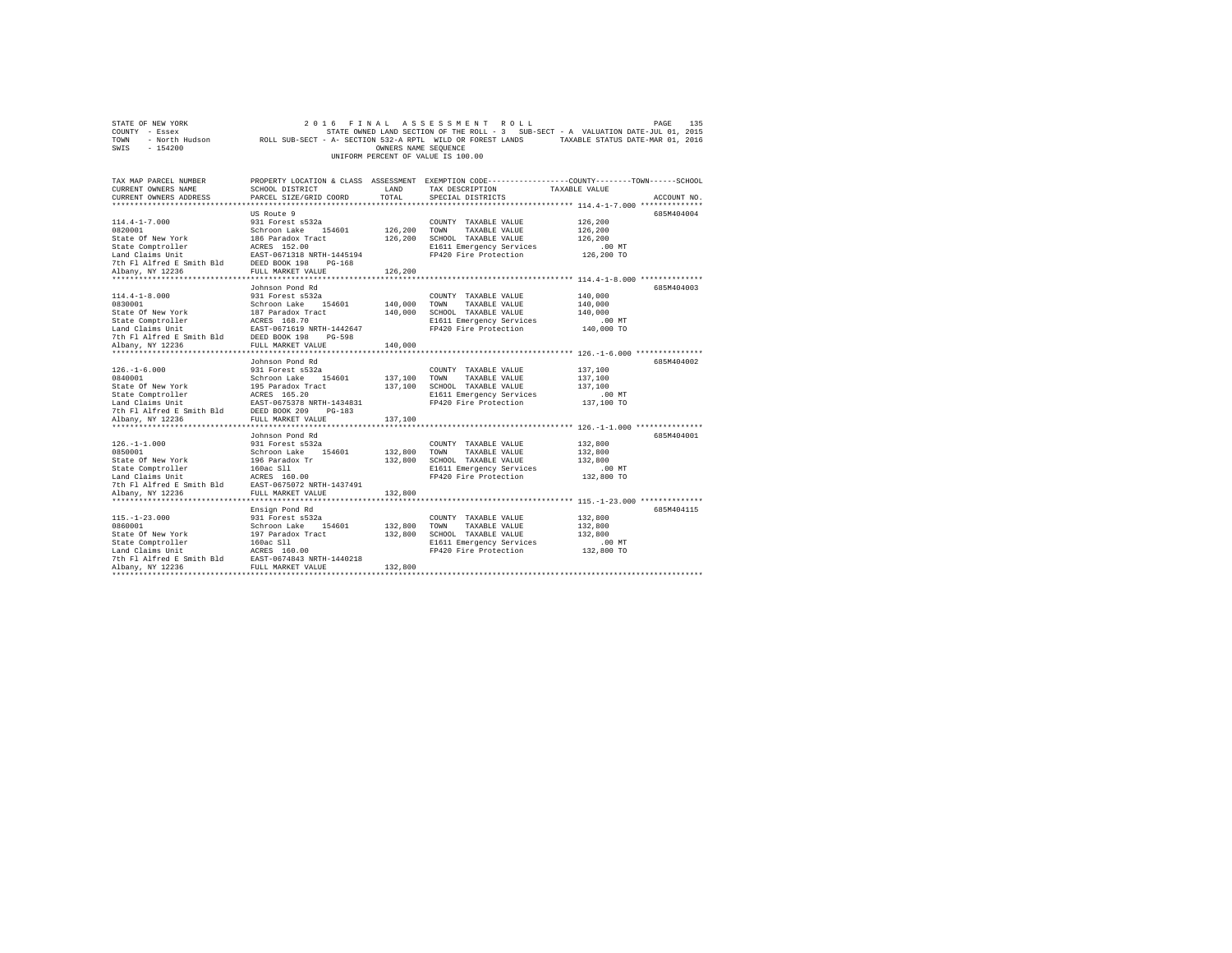|                                    | STATE OF NEW YORK |  |                                                            |  |  |  |                      |  | 2016 FINAL ASSESSMENT ROLL |                                                                                   | PAGE | 135 |
|------------------------------------|-------------------|--|------------------------------------------------------------|--|--|--|----------------------|--|----------------------------|-----------------------------------------------------------------------------------|------|-----|
| COUNTY - Essex                     |                   |  |                                                            |  |  |  |                      |  |                            | STATE OWNED LAND SECTION OF THE ROLL - 3 SUB-SECT - A VALUATION DATE-JUL 01, 2015 |      |     |
| TOWN                               | - North Hudson    |  | ROLL SUB-SECT - A- SECTION 532-A RPTL WILD OR FOREST LANDS |  |  |  |                      |  |                            | TAXABLE STATUS DATE-MAR 01, 2016                                                  |      |     |
| SWIS                               | - 154200          |  |                                                            |  |  |  | OWNERS NAME SEOUENCE |  |                            |                                                                                   |      |     |
| UNIFORM PERCENT OF VALUE IS 100.00 |                   |  |                                                            |  |  |  |                      |  |                            |                                                                                   |      |     |

| TAX MAP PARCEL NUMBER<br>CURRENT OWNERS NAME<br>CURRENT OWNERS ADDRESS                                                                                                                                                                                   | PROPERTY LOCATION & CLASS ASSESSMENT EXEMPTION CODE----------------COUNTY-------TOWN-----SCHOOL<br>SCHOOL DISTRICT<br>PARCEL SIZE/GRID COORD | LAND<br>TOTAL | TAX DESCRIPTION<br>SPECIAL DISTRICTS                            | TAXABLE VALUE        | ACCOUNT NO. |
|----------------------------------------------------------------------------------------------------------------------------------------------------------------------------------------------------------------------------------------------------------|----------------------------------------------------------------------------------------------------------------------------------------------|---------------|-----------------------------------------------------------------|----------------------|-------------|
|                                                                                                                                                                                                                                                          |                                                                                                                                              |               |                                                                 |                      |             |
|                                                                                                                                                                                                                                                          | US Route 9                                                                                                                                   |               |                                                                 |                      | 685M404004  |
| $114.4 - 1 - 7.000$                                                                                                                                                                                                                                      | 05 NORE 2008 2008<br>Schroon Lake 154601 126,200 TOWN TAXABLE VALUE<br>186 Paradox Tract 154601 126,200 SCHOOL TAXABLE VALUE                 |               | COUNTY TAXABLE VALUE                                            | 126,200              |             |
|                                                                                                                                                                                                                                                          |                                                                                                                                              |               |                                                                 |                      |             |
| 0820001<br>State Of New York                                                                                                                                                                                                                             |                                                                                                                                              |               |                                                                 | 126,200<br>126,200   |             |
|                                                                                                                                                                                                                                                          |                                                                                                                                              |               | E1611 Emergency Services                                        |                      |             |
|                                                                                                                                                                                                                                                          |                                                                                                                                              |               | FP420 Fire Protection                                           | 00 MT.<br>126,200 TO |             |
| State Comptroller<br>State Comptroller<br>Land Claims Unit<br>The Fl Alfred E Smith Bld<br>The Fl Alfred E Smith Bld<br>DEED BOOK 198<br>DEED BOOK 198<br>DEED DEED BOOK 198<br>DEED BOOK 198<br>DEED BOOK 198<br>DEED DEED BOOK 198<br>DEED BOOK 19     |                                                                                                                                              |               |                                                                 |                      |             |
| Albany, NY 12236                                                                                                                                                                                                                                         | FULL MARKET VALUE                                                                                                                            | 126,200       |                                                                 |                      |             |
| **********************                                                                                                                                                                                                                                   | ***************************                                                                                                                  | ************  | ********************************* 114.4-1-8.000 *************** |                      |             |
|                                                                                                                                                                                                                                                          | Johnson Pond Rd                                                                                                                              |               |                                                                 |                      | 685M404003  |
|                                                                                                                                                                                                                                                          |                                                                                                                                              |               |                                                                 |                      |             |
|                                                                                                                                                                                                                                                          |                                                                                                                                              |               |                                                                 |                      |             |
|                                                                                                                                                                                                                                                          |                                                                                                                                              |               |                                                                 |                      |             |
|                                                                                                                                                                                                                                                          |                                                                                                                                              |               |                                                                 | $.00$ MT             |             |
|                                                                                                                                                                                                                                                          |                                                                                                                                              |               |                                                                 | $140,000$ TO         |             |
|                                                                                                                                                                                                                                                          |                                                                                                                                              |               |                                                                 |                      |             |
| 114.4-1-8.000<br>9311 Forest s532a<br>9311 Forest s532a<br>9311 Forest s532a<br>9311 Forest s532a<br>9311 Forest s532a<br>931 Forest s532a<br>931 Forest s532a<br>931 Forest s532a<br>940,000<br>931 Forest s532a<br>940,000<br>931 Forest S532a<br>940, |                                                                                                                                              |               |                                                                 |                      |             |
|                                                                                                                                                                                                                                                          |                                                                                                                                              |               |                                                                 |                      |             |
|                                                                                                                                                                                                                                                          | Johnson Pond Rd                                                                                                                              |               |                                                                 |                      | 685M404002  |
|                                                                                                                                                                                                                                                          |                                                                                                                                              |               |                                                                 | 137,100              |             |
|                                                                                                                                                                                                                                                          |                                                                                                                                              |               |                                                                 |                      |             |
|                                                                                                                                                                                                                                                          |                                                                                                                                              |               |                                                                 |                      |             |
|                                                                                                                                                                                                                                                          |                                                                                                                                              |               |                                                                 |                      |             |
|                                                                                                                                                                                                                                                          |                                                                                                                                              |               |                                                                 |                      |             |
|                                                                                                                                                                                                                                                          |                                                                                                                                              |               |                                                                 |                      |             |
|                                                                                                                                                                                                                                                          |                                                                                                                                              |               |                                                                 |                      |             |
|                                                                                                                                                                                                                                                          |                                                                                                                                              |               |                                                                 |                      |             |
|                                                                                                                                                                                                                                                          | Johnson Pond Rd                                                                                                                              |               |                                                                 |                      | 685M404001  |
|                                                                                                                                                                                                                                                          |                                                                                                                                              |               |                                                                 |                      |             |
|                                                                                                                                                                                                                                                          |                                                                                                                                              |               |                                                                 |                      |             |
|                                                                                                                                                                                                                                                          |                                                                                                                                              |               |                                                                 |                      |             |
|                                                                                                                                                                                                                                                          |                                                                                                                                              |               |                                                                 |                      |             |
|                                                                                                                                                                                                                                                          |                                                                                                                                              |               |                                                                 |                      |             |
|                                                                                                                                                                                                                                                          |                                                                                                                                              |               |                                                                 |                      |             |
| 126.-1-1.000<br>331 Forest 532<br>0890001 Forest 532<br>26thco Of New York 196 Paradox Tr<br>Scate Of New York 196 Paradox Tr<br>132,800 TONN TAXABLE VALUE 132,800<br>26thco COUNTY TAXABLE VALUE 132,800<br>26thco COUNTY TAXABLE VALUE 13             |                                                                                                                                              |               |                                                                 |                      |             |
|                                                                                                                                                                                                                                                          | Ensign Pond Rd                                                                                                                               |               |                                                                 |                      | 685M404115  |
|                                                                                                                                                                                                                                                          |                                                                                                                                              |               | COUNTY TAXABLE VALUE                                            | 132,800              |             |
|                                                                                                                                                                                                                                                          |                                                                                                                                              | 132,800 TOWN  | TAXABLE VALUE                                                   | 132,800              |             |
|                                                                                                                                                                                                                                                          |                                                                                                                                              | 132,800       | SCHOOL TAXABLE VALUE                                            | 132,800              |             |
|                                                                                                                                                                                                                                                          |                                                                                                                                              |               | E1611 Emergency Services                                        |                      |             |
|                                                                                                                                                                                                                                                          |                                                                                                                                              |               | FP420 Fire Protection                                           | 00 MT.<br>132,800 TO |             |
|                                                                                                                                                                                                                                                          |                                                                                                                                              |               |                                                                 |                      |             |
| 115.-1-23.000<br>105.-1-23.000<br>031 Forest s532a<br>0360001 Scate of New York Schroom Lake 154601<br>5261 Comptroller 16000 Schroom Lake Compton<br>Land Claims Unit<br>27th Fl Alfred E Smith Bld EAST-0674443 NRTH-1440218<br>7th Fl Alf             |                                                                                                                                              | 132,800       |                                                                 |                      |             |
|                                                                                                                                                                                                                                                          |                                                                                                                                              |               |                                                                 |                      |             |
|                                                                                                                                                                                                                                                          |                                                                                                                                              |               |                                                                 |                      |             |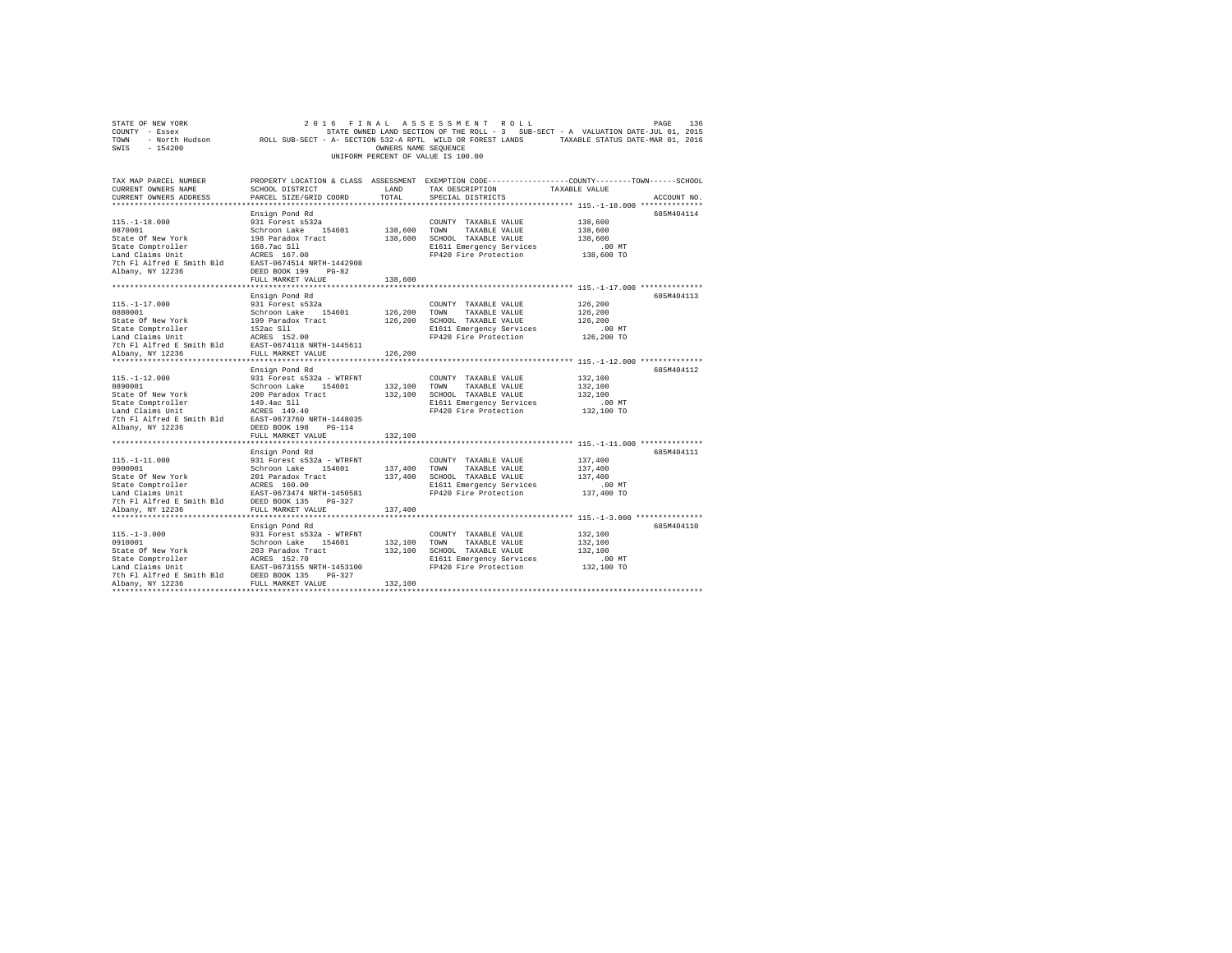|                                                                                                                                                                                                                                                                           |                                                                     |                          | UNIFORM PERCENT OF VALUE IS 100.00                                                                                                                 |                                                                                                               |
|---------------------------------------------------------------------------------------------------------------------------------------------------------------------------------------------------------------------------------------------------------------------------|---------------------------------------------------------------------|--------------------------|----------------------------------------------------------------------------------------------------------------------------------------------------|---------------------------------------------------------------------------------------------------------------|
| TAX MAP PARCEL NUMBER<br>CURRENT OWNERS NAME<br>CURRENT OWNERS ADDRESS                                                                                                                                                                                                    | SCHOOL DISTRICT<br>PARCEL SIZE/GRID COORD                           | TOTAL                    | LAND TAX DESCRIPTION TAXABLE VALUE<br>SPECIAL DISTRICTS                                                                                            | PROPERTY LOCATION & CLASS ASSESSMENT EXEMPTION CODE---------------COUNTY-------TOWN-----SCHOOL<br>ACCOUNT NO. |
| $115. - 1 - 18.000$<br>0870001<br>Schroon Lake 154601<br>State Comptroller 198 Paradox Tract<br>168.7ac Sll<br>Land Claims Unit<br>7th Fl Alfred E Smith Bld<br>2007 Paradox 199 Paradox 199<br>7th Fl Alfred E Smith Bld<br>2008 PDBED BOK 199<br>2008 PDBED BOK 199<br> | Ensign Pond Rd<br>931 Forest s532a                                  |                          | COUNTY TAXABLE VALUE<br>138,600 TOWN TAXABLE VALUE<br>138,600 SCHOOL TAXABLE VALUE<br>E1611 Emergency Services<br>FP420 Fire Protection            | 685M404114<br>138,600<br>138,600<br>138,600<br>.00 MT<br>138,600 TO                                           |
|                                                                                                                                                                                                                                                                           | FULL MARKET VALUE                                                   | 138,600                  |                                                                                                                                                    |                                                                                                               |
| 115. -1-17.000<br>113.1-17.1000<br>1980001 Schroon Lake 154601<br>Schroon Lake 154601<br>Schroon Lake 154601<br>199 Paradox Tract<br>Land Claims Unit<br>152ac S11<br>17th F1 Alfred E Smith Bld<br>The RCRES 152.00<br>20101 RCRES 152.00<br>20101 RCRES 152.00<br>20    | Ensign Pond Rd<br>931 Forest s532a                                  |                          | COUNTY TAXABLE VALUE<br>126,200 TOWN TAXABLE VALUE<br>126,200 SCHOOL TAXABLE VALUE<br>E1611 Emergency Services<br>FP420 Fire Protection            | 685M404113<br>126,200<br>126,200<br>126,200<br>$.00$ MT<br>$126, 200$ TO                                      |
| Albany, NY 12236                                                                                                                                                                                                                                                          | FULL MARKET VALUE                                                   | 126,200                  |                                                                                                                                                    |                                                                                                               |
| $115. - 1 - 12.000$<br>$\sim$ . $000$<br>Albany, NY 12236                                                                                                                                                                                                                 | Ensign Pond Rd<br>931 Forest s532a - WTRFNT<br>DEED BOOK 198 PG-114 |                          | COUNTY TAXABLE VALUE<br>132,100 TOWN TAXABLE VALUE<br>132,100 SCHOOL TAXABLE VALUE<br>E1611 Emergency Services<br>FP420 Fire Protection 132,100 TO | 685M404112<br>132,100<br>132,100<br>132,100<br>.00 MT                                                         |
| ***************************                                                                                                                                                                                                                                               | FULL MARKET VALUE<br>***************************                    | 132,100<br>************* |                                                                                                                                                    |                                                                                                               |
|                                                                                                                                                                                                                                                                           |                                                                     |                          | FP420 Fire Protection 137,400 TO                                                                                                                   | 685M404111<br>137,400<br>137,400<br>137,400<br>.00 MT                                                         |
|                                                                                                                                                                                                                                                                           |                                                                     |                          |                                                                                                                                                    |                                                                                                               |
| $115 - 1 - 3.000$                                                                                                                                                                                                                                                         | Ensign Pond Rd<br>931 Forest s532a - WTRFNT                         | 132,100                  | COUNTY TAXABLE VALUE<br>132,100 TOWN TAXABLE VALUE<br>132,100 SCHOOL TAXABLE VALUE<br>E1611 Emergency Services<br>FP420 Fire Protection            | 685M404110<br>132,100<br>132,100<br>132,100<br>.00 MT<br>132,100 TO                                           |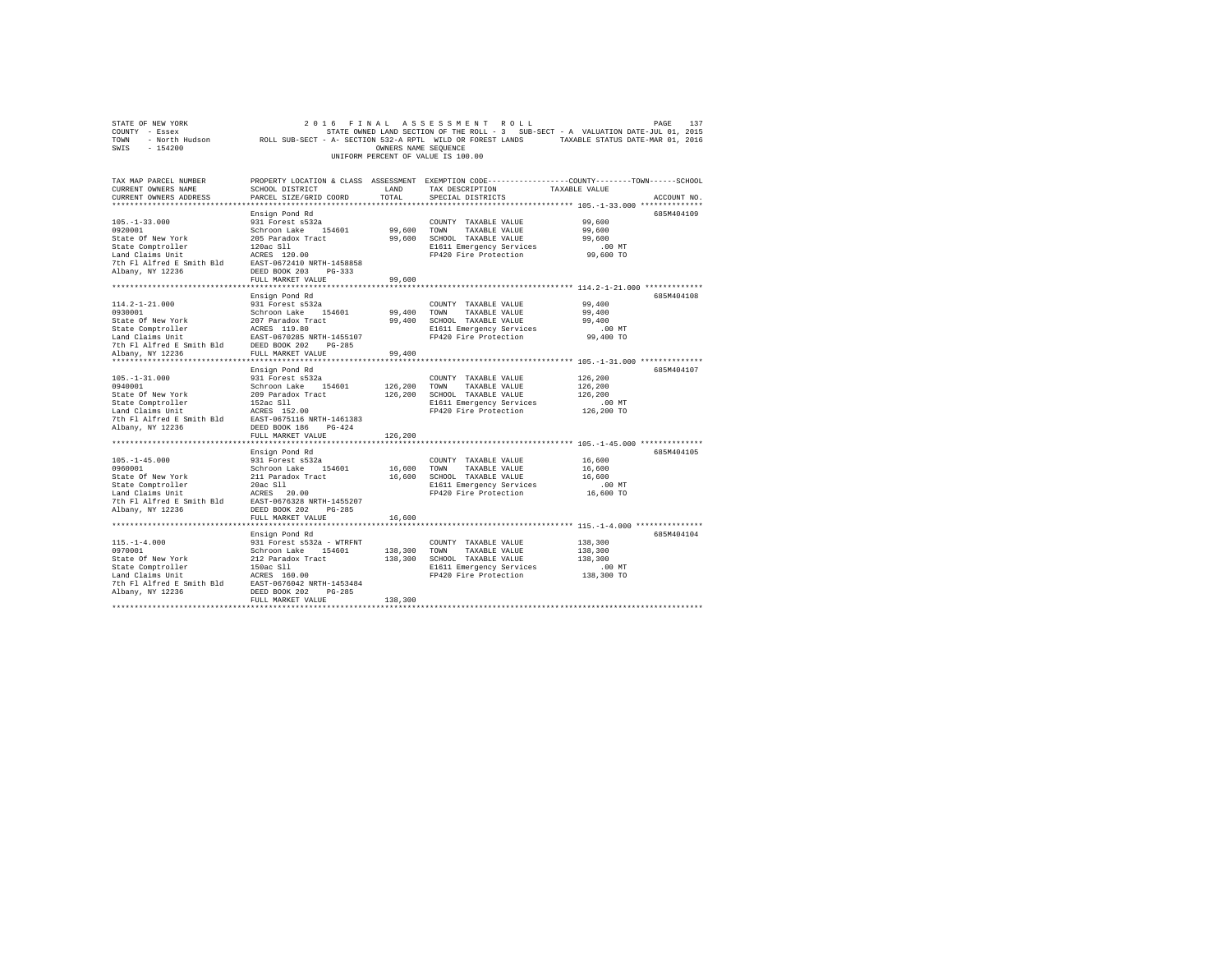|                                                                                                                                                                                                                                                                                                 |                                                                                                                             |                       | UNIFORM PERCENT OF VALUE IS 100.00                                                                                                      |                                                                                                                                 |
|-------------------------------------------------------------------------------------------------------------------------------------------------------------------------------------------------------------------------------------------------------------------------------------------------|-----------------------------------------------------------------------------------------------------------------------------|-----------------------|-----------------------------------------------------------------------------------------------------------------------------------------|---------------------------------------------------------------------------------------------------------------------------------|
| TAX MAP PARCEL NUMBER<br>CURRENT OWNERS NAME<br>CURRENT OWNERS ADDRESS                                                                                                                                                                                                                          | SCHOOL DISTRICT TAND TAX DESCRIPTION<br>PARCEL SIZE/GRID COORD                                                              | TOTAL                 | SPECIAL DISTRICTS                                                                                                                       | PROPERTY LOCATION & CLASS ASSESSMENT EXEMPTION CODE---------------COUNTY-------TOWN------SCHOOL<br>TAXABLE VALUE<br>ACCOUNT NO. |
| $105. - 1 - 33.000$<br>0920001<br>State Of New York<br>State Comptroller<br>120ac S11<br>Land Claims Unit<br>120ac S11<br>120ac S11<br>120ac S11<br>120ac S11<br>120ac S11<br>120ac S11<br>120ac S11<br>120ac S11<br>120ac S11<br>Albany, NY 12236                                              | Ensign Pond Rd<br>931 Forest s532a<br>Schroon Lake 154601<br>205 Paradox Tract<br>DEED BOOK 203 PG-333<br>FULL MARKET VALUE | 99,600 TOWN<br>99,600 | COUNTY TAXABLE VALUE<br>TAXABLE VALUE<br>99,600 SCHOOL TAXABLE VALUE<br>E1611 Emergency Services<br>FP420 Fire Protection               | 685M404109<br>99,600<br>99,600<br>99,600<br>$.00$ MT<br>99,600 TO                                                               |
|                                                                                                                                                                                                                                                                                                 |                                                                                                                             |                       |                                                                                                                                         |                                                                                                                                 |
| 114.2-1-21.000<br>0930001<br>Dependence of the Smith Bld<br>The Fl Alfred E Smith Bld<br>PULL MARKET VALUE                                                                                                                                                                                      | Ensign Pond Rd<br>931 Forest s532a<br>Schroon Lake 154601<br>EAST-0670285 NRTH-1455107                                      | 99,400                | COUNTY TAXABLE VALUE<br>99,400 TOWN TAXABLE VALUE<br>99,400 SCHOOL TAXABLE VALUE<br>E1611 Emergency Services<br>FP420 Fire Protection   | 685M404108<br>99,400<br>99,400<br>99,400<br>.00MT<br>99,400 TO                                                                  |
| $105. - 1 - 31.000$<br>0940001<br>State Of New York<br>State Orew For Her (1920)<br>State Comptroller (1920)<br>Land Claims Unit (1920)<br>2010<br>2011 EAST-0575116 NRTH-1461383<br>2021 EAST-0575116 (1930)<br>2021 EAST-0575116 (1930)<br>202216 (1932)<br>202216 (1932)<br>Albany, NY 12236 | Ensign Pond Rd<br>931 Forest s532a<br>Schroon Lake 154601<br>209 Paradox Tract<br>FULL MARKET VALUE                         | 126,200<br>126,200    | COUNTY TAXABLE VALUE<br>TOWN<br>TAXABLE VALUE<br>126,200 SCHOOL TAXABLE VALUE<br>E1611 Emergency Services<br>FP420 Fire Protection      | 685M404107<br>126,200<br>126,200<br>126,200<br>$.00$ MT<br>126,200 TO                                                           |
|                                                                                                                                                                                                                                                                                                 |                                                                                                                             |                       |                                                                                                                                         |                                                                                                                                 |
| $105. - 1 - 45.000$<br>0960001<br>State Of New York<br>State Comptroller 20ac S11<br>Land Claims Unit<br>7th F1 AIfred E Smith B1d<br>EAST-0676328 NRTH-1455207<br>21bany NY 12236<br>Albany, NY 12236                                                                                          | Ensign Pond Rd<br>931 Forest s532a<br>Schroon Lake 154601<br>211 Paradox Tract<br>DEED BOOK 202 PG-285<br>FULL MARKET VALUE | 16,600<br>16,600      | COUNTY TAXABLE VALUE<br>TOWN<br>TAXABLE VALUE<br>16,600 SCHOOL TAXABLE VALUE<br>E1611 Emergency Services<br>FP420 Fire Protection       | 685M404105<br>16,600<br>16,600<br>16,600<br>$.00$ MT<br>16,600 TO                                                               |
|                                                                                                                                                                                                                                                                                                 |                                                                                                                             |                       |                                                                                                                                         |                                                                                                                                 |
| $115. - 1 - 4.000$<br>0970001<br>State of New York 212 Baradox Tract<br>State Comptroller 212 Baradox Tract<br>150ac S11<br>Land Claims Unit ACRES 160.00<br>The Fl Alfred E Smith Bld EAST-0676042 NRTH-1453484<br>Albany, NY 12236                                                            | Ensign Pond Rd<br>931 Forest s532a - WTRFNT<br>Schroon Lake 154601<br>DEED BOOK 202 PG-285<br>FULL MARKET VALUE             | 138,300               | COUNTY TAXABLE VALUE<br>138,300 TOWN TAXABLE VALUE<br>138,300 SCHOOL TAXABLE VALUE<br>E1611 Emergency Services<br>FP420 Fire Protection | 685M404104<br>138,300<br>138,300<br>138,300<br>$.00$ MT<br>138,300 TO                                                           |
|                                                                                                                                                                                                                                                                                                 |                                                                                                                             |                       |                                                                                                                                         |                                                                                                                                 |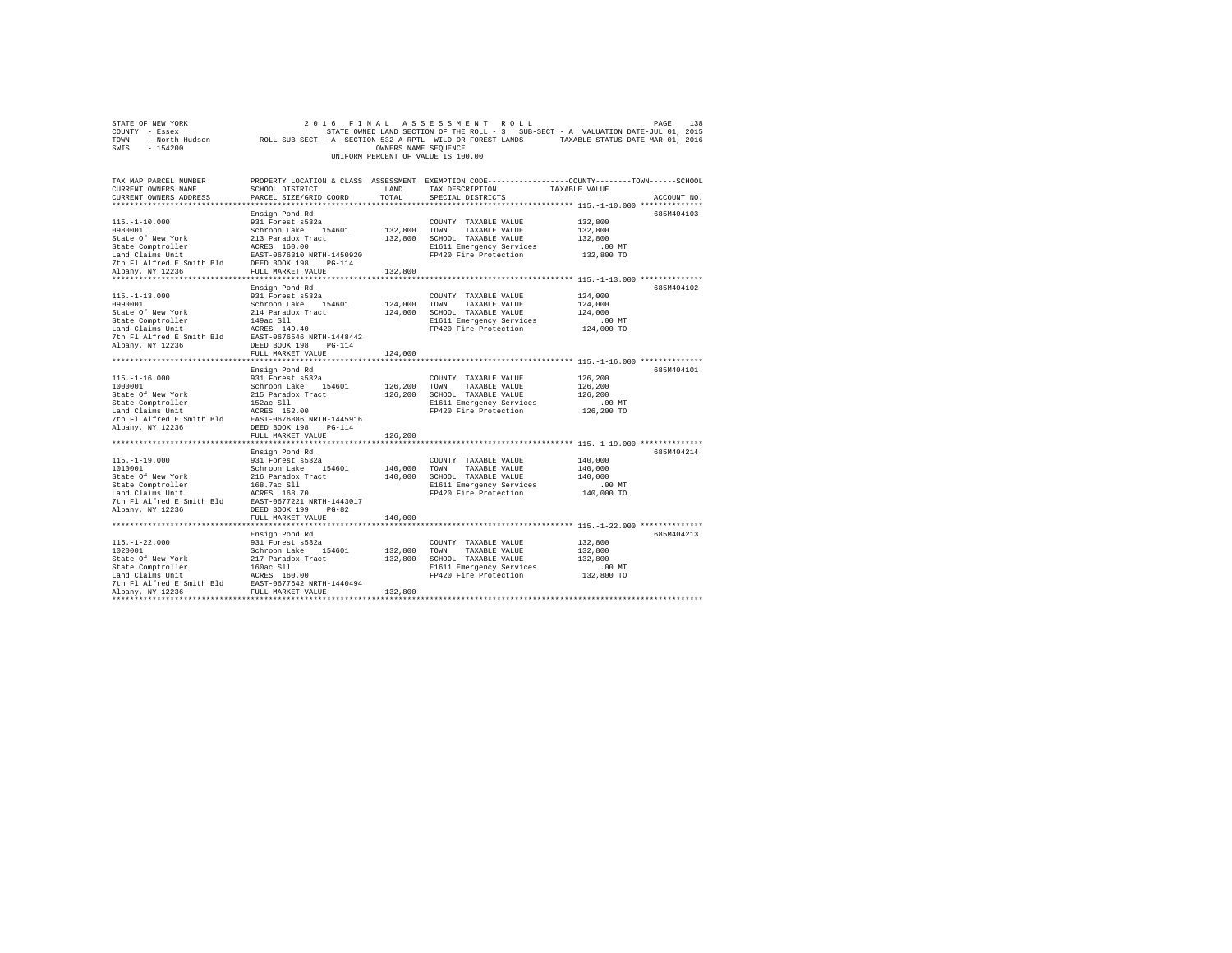| STATE OF NEW YORK                                                                                                                                                                                                                                    | 2 0 1 6                                        |                      | FINAL ASSESSMENT ROLL              | 138<br>PAGE                                                                                                     |
|------------------------------------------------------------------------------------------------------------------------------------------------------------------------------------------------------------------------------------------------------|------------------------------------------------|----------------------|------------------------------------|-----------------------------------------------------------------------------------------------------------------|
| COUNTY - Essex                                                                                                                                                                                                                                       |                                                |                      |                                    | STATE OWNED LAND SECTION OF THE ROLL - 3 SUB-SECT - A VALUATION DATE-JUL 01, 2015                               |
|                                                                                                                                                                                                                                                      |                                                |                      |                                    | TOWN - North Hudson ROLL SUB-SECT - A- SECTION 532-A RPTL WILD OR FOREST LANDS TAXABLE STATUS DATE-MAR 01, 2016 |
| $-154200$<br>SWIS                                                                                                                                                                                                                                    |                                                | OWNERS NAME SEQUENCE |                                    |                                                                                                                 |
|                                                                                                                                                                                                                                                      |                                                |                      | UNIFORM PERCENT OF VALUE IS 100.00 |                                                                                                                 |
|                                                                                                                                                                                                                                                      |                                                |                      |                                    |                                                                                                                 |
|                                                                                                                                                                                                                                                      |                                                |                      |                                    |                                                                                                                 |
| TAX MAP PARCEL NUMBER                                                                                                                                                                                                                                |                                                |                      |                                    | PROPERTY LOCATION & CLASS ASSESSMENT EXEMPTION CODE---------------COUNTY-------TOWN------SCHOOL                 |
| CURRENT OWNERS NAME                                                                                                                                                                                                                                  | SCHOOL DISTRICT                                | LAND                 | TAX DESCRIPTION                    | TAXABLE VALUE                                                                                                   |
| CURRENT OWNERS ADDRESS                                                                                                                                                                                                                               | PARCEL SIZE/GRID COORD                         | TOTAL                | SPECIAL DISTRICTS                  | ACCOUNT NO.                                                                                                     |
|                                                                                                                                                                                                                                                      |                                                |                      |                                    |                                                                                                                 |
|                                                                                                                                                                                                                                                      |                                                |                      |                                    | 685M404103                                                                                                      |
|                                                                                                                                                                                                                                                      | Ensign Pond Rd                                 |                      |                                    |                                                                                                                 |
| $115. - 1 - 10.000$                                                                                                                                                                                                                                  | 931 Forest s532a                               |                      | COUNTY TAXABLE VALUE               | 132,800                                                                                                         |
| 0980001                                                                                                                                                                                                                                              | Schroon Lake 154601                            | 132,800 TOWN         | TAXABLE VALUE                      | 132,800                                                                                                         |
|                                                                                                                                                                                                                                                      |                                                |                      | 132,800 SCHOOL TAXABLE VALUE       | 132,800                                                                                                         |
| 91000001 Mew York 213 Paradox Tract<br>State Of New York 213 Paradox Tract<br>State Comptroller 2015<br>2018 EAST 1056310 NRTH-1450920<br>7th F1 Alfred E Smith Bld<br>20236 FULL MARKET VALUE<br>20214 NDRD 20236                                   |                                                |                      | E1611 Emergency Services           | $.00$ MT                                                                                                        |
|                                                                                                                                                                                                                                                      |                                                |                      | FP420 Fire Protection              | 132,800 TO                                                                                                      |
|                                                                                                                                                                                                                                                      |                                                |                      |                                    |                                                                                                                 |
| Albany, NY 12236                                                                                                                                                                                                                                     | FULL MARKET VALUE                              | 132,800              |                                    |                                                                                                                 |
|                                                                                                                                                                                                                                                      |                                                |                      |                                    |                                                                                                                 |
|                                                                                                                                                                                                                                                      | Ensign Pond Rd                                 |                      |                                    | 685M404102                                                                                                      |
| $115. - 1 - 13.000$                                                                                                                                                                                                                                  | 931 Forest s532a                               |                      | COUNTY TAXABLE VALUE               | 124,000                                                                                                         |
| 0990001                                                                                                                                                                                                                                              | Schroon Lake 154601                            |                      | 124,000 TOWN TAXABLE VALUE         | 124,000                                                                                                         |
| State Of New York                                                                                                                                                                                                                                    | 214 Paradox Tract                              |                      | 124,000 SCHOOL TAXABLE VALUE       | 124,000                                                                                                         |
|                                                                                                                                                                                                                                                      |                                                |                      | E1611 Emergency Services           | $.00$ MT                                                                                                        |
| State Comptroller 149ac S11<br>Land Claims Unit 16 ACRES 149.40<br>7th Fl Alfred E Smith Bld EAST-0676546 NRTH-1448442<br>7th Fl Alfred E Smith Bld DEED BOOK 198 PG-114                                                                             |                                                |                      | FP420 Fire Protection              | 124,000 TO                                                                                                      |
|                                                                                                                                                                                                                                                      |                                                |                      |                                    |                                                                                                                 |
| Albany, NY 12236                                                                                                                                                                                                                                     | DEED BOOK 198 PG-114                           |                      |                                    |                                                                                                                 |
|                                                                                                                                                                                                                                                      | FULL MARKET VALUE                              | 124,000              |                                    |                                                                                                                 |
|                                                                                                                                                                                                                                                      |                                                |                      |                                    |                                                                                                                 |
|                                                                                                                                                                                                                                                      | Ensign Pond Rd                                 |                      |                                    | 685M404101                                                                                                      |
| $115. - 1 - 16.000$                                                                                                                                                                                                                                  | 931 Forest s532a                               |                      | COUNTY TAXABLE VALUE               | 126,200                                                                                                         |
| 1000001                                                                                                                                                                                                                                              | Schroon Lake 154601                            | 126,200              | TOWN                               | 126,200                                                                                                         |
|                                                                                                                                                                                                                                                      |                                                |                      | TAXABLE VALUE                      | 126,200                                                                                                         |
| State Of New York                                                                                                                                                                                                                                    |                                                | 126,200              | SCHOOL TAXABLE VALUE               |                                                                                                                 |
| State Comptroller                                                                                                                                                                                                                                    | 215 Paradox Tract<br>152ac Sll<br>ACRES 152.00 |                      | E1611 Emergency Services           | .00 MT                                                                                                          |
| Land Claims Unit                                                                                                                                                                                                                                     |                                                |                      | FP420 Fire Protection              | 126,200 TO                                                                                                      |
| 7th Fl Alfred E Smith Bld EAST-0676886 NRTH-1445916                                                                                                                                                                                                  |                                                |                      |                                    |                                                                                                                 |
| Albany, NY 12236                                                                                                                                                                                                                                     | DEED BOOK 198 PG-114                           |                      |                                    |                                                                                                                 |
|                                                                                                                                                                                                                                                      | FULL MARKET VALUE                              | 126,200              |                                    |                                                                                                                 |
|                                                                                                                                                                                                                                                      |                                                |                      |                                    |                                                                                                                 |
|                                                                                                                                                                                                                                                      | Ensign Pond Rd                                 |                      |                                    | 685M404214                                                                                                      |
| $115. - 1 - 19.000$                                                                                                                                                                                                                                  | 931 Forest s532a                               |                      | COUNTY TAXABLE VALUE               | 140,000                                                                                                         |
| 1010001                                                                                                                                                                                                                                              | Schroon Lake 154601                            | 140,000 TOWN         | TAXABLE VALUE                      | 140,000                                                                                                         |
| State Of New York<br>216 Paradox Tract<br>216 Paradox Tract<br>216 Paradox Tract<br>216 Paradox Tract<br>216 Paradox Tract<br>216 Paradox Tract<br>216 Paradox Tract<br>216 Paradox Tract<br>216 Paradox Tract<br>217 Ph Fl Alfred E Smith Bld<br>21 |                                                |                      | 140,000 SCHOOL TAXABLE VALUE       | 140,000                                                                                                         |
|                                                                                                                                                                                                                                                      |                                                |                      | E1611 Emergency Services           | $.00$ MT                                                                                                        |
|                                                                                                                                                                                                                                                      |                                                |                      | FP420 Fire Protection              | 140,000 TO                                                                                                      |
|                                                                                                                                                                                                                                                      |                                                |                      |                                    |                                                                                                                 |
| Albany, NY 12236                                                                                                                                                                                                                                     | DEED BOOK 199<br>$PG-82$                       |                      |                                    |                                                                                                                 |
|                                                                                                                                                                                                                                                      | FULL MARKET VALUE                              | 140,000              |                                    |                                                                                                                 |
|                                                                                                                                                                                                                                                      |                                                |                      |                                    |                                                                                                                 |
|                                                                                                                                                                                                                                                      | Ensign Pond Rd                                 |                      |                                    | 685M404213                                                                                                      |
|                                                                                                                                                                                                                                                      |                                                |                      | COUNTY TAXABLE VALUE               | 132,800                                                                                                         |
|                                                                                                                                                                                                                                                      |                                                |                      | 132,800 TOWN TAXABLE VALUE         | 132,800                                                                                                         |
|                                                                                                                                                                                                                                                      |                                                |                      | 132,800 SCHOOL TAXABLE VALUE       | 132,800                                                                                                         |
|                                                                                                                                                                                                                                                      |                                                |                      |                                    |                                                                                                                 |
|                                                                                                                                                                                                                                                      |                                                |                      | E1611 Emergency Services           | $.00$ MT                                                                                                        |
|                                                                                                                                                                                                                                                      |                                                |                      | FP420 Fire Protection              | 132,800 TO                                                                                                      |
| $[115,-1-22.000$ $1020001$ 1951–12.000<br>1020001 931 Forest s532a<br>Schroon Lake 154601<br>State Of New York 217 Paradox Tract<br>54601 217 Paradox Tract<br>160ac S11<br>17th F1 Alfred E Smith B1d<br>7th F1 Alfred E Smith B1d<br>EAST-06       |                                                |                      |                                    |                                                                                                                 |
| *************                                                                                                                                                                                                                                        |                                                | 132,800              |                                    |                                                                                                                 |
|                                                                                                                                                                                                                                                      |                                                |                      |                                    |                                                                                                                 |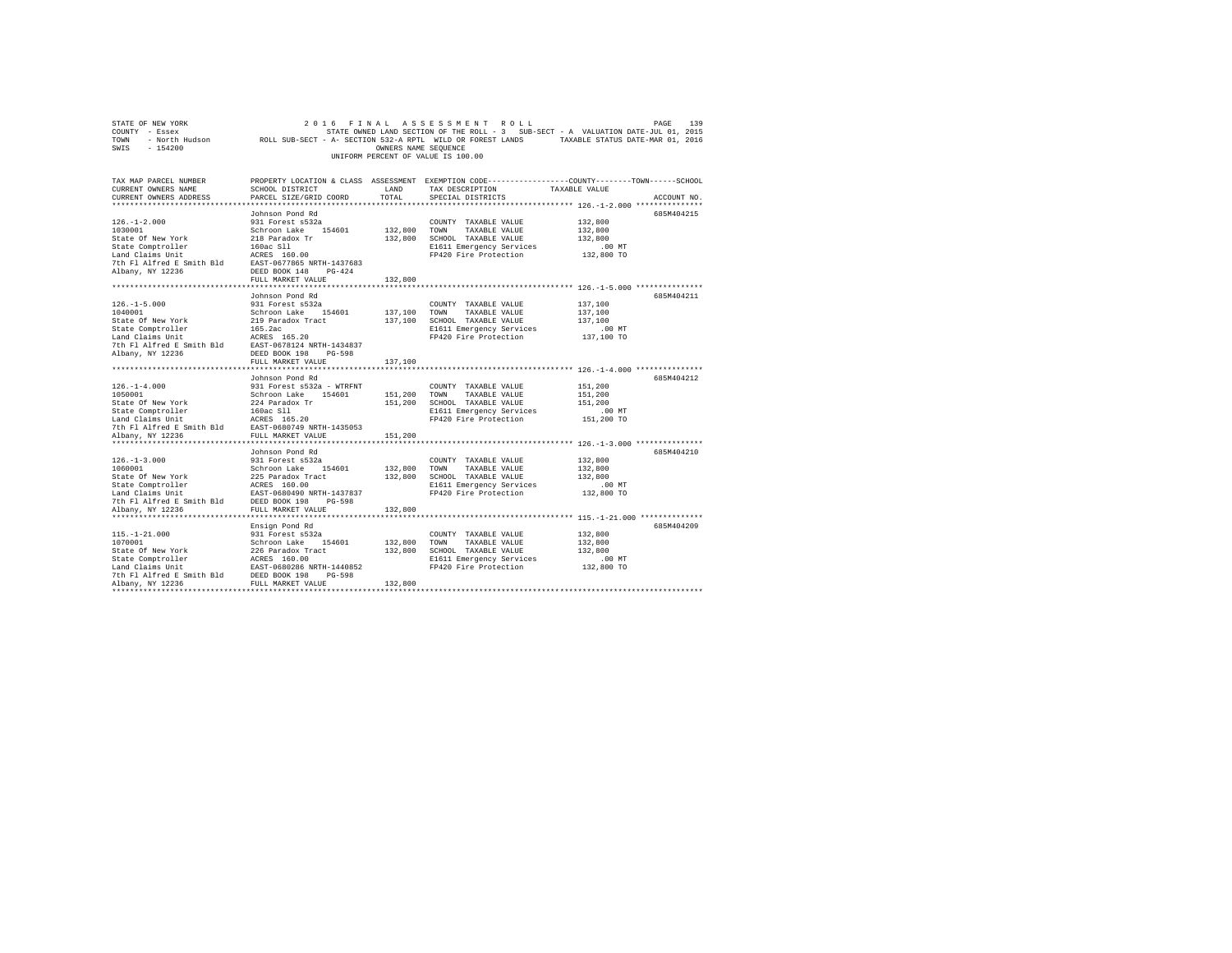| STATE OF NEW YORK<br>COUNTY - Essex<br>TOWN - North Hudson ROLL SUB-SECT - A- SECTION 532-A RPTL WILD OR FOREST LANDS - TAXABLE STATUS DATE-MAR 01, 2016<br>SWIS - 154200  |                                                                | OWNERS NAME SEQUENCE    | 2016 FINAL ASSESSMENT ROLL<br>STATE OWNED LAND SECTION OF THE ROLL - 3 SUB-SECT - A VALUATION DATE-JUL 01, 2015<br>UNIFORM PERCENT OF VALUE IS 100.00 |                        | 139<br>PAGE |
|----------------------------------------------------------------------------------------------------------------------------------------------------------------------------|----------------------------------------------------------------|-------------------------|-------------------------------------------------------------------------------------------------------------------------------------------------------|------------------------|-------------|
| TAX MAP PARCEL NUMBER<br>CURRENT OWNERS NAME                                                                                                                               | SCHOOL DISTRICT                                                | LAND                    | PROPERTY LOCATION & CLASS ASSESSMENT EXEMPTION CODE---------------COUNTY-------TOWN------SCHOOL<br>TAX DESCRIPTION                                    | TAXABLE VALUE          |             |
| CURRENT OWNERS ADDRESS                                                                                                                                                     | PARCEL SIZE/GRID COORD                                         | TOTAL                   | SPECIAL DISTRICTS                                                                                                                                     |                        | ACCOUNT NO. |
|                                                                                                                                                                            |                                                                |                         |                                                                                                                                                       |                        | 685M404215  |
| $126. - 1 - 2.000$                                                                                                                                                         | Johnson Pond Rd<br>931 Forest s532a                            |                         | COUNTY TAXABLE VALUE                                                                                                                                  | 132,800                |             |
| 1030001                                                                                                                                                                    | Schroon Lake 154601                                            | 132,800 TOWN            | TAXABLE VALUE                                                                                                                                         | 132,800                |             |
| State Of New York                                                                                                                                                          | 218 Paradox Tr                                                 |                         | 132,800 SCHOOL TAXABLE VALUE                                                                                                                          | 132,800                |             |
| State Comptroller 160ac S11<br>Land Claims Unit 160ac S11<br>7th F1 Alfred E Smith Bld EAST-0677865 NRTH-1437683                                                           |                                                                |                         | E1611 Emergency Services                                                                                                                              | $.00$ MT               |             |
|                                                                                                                                                                            |                                                                |                         | FP420 Fire Protection                                                                                                                                 | 132,800 TO             |             |
|                                                                                                                                                                            |                                                                |                         |                                                                                                                                                       |                        |             |
| Albany, NY 12236                                                                                                                                                           | DEED BOOK 148 PG-424                                           |                         |                                                                                                                                                       |                        |             |
|                                                                                                                                                                            | FULL MARKET VALUE                                              | 132,800                 |                                                                                                                                                       |                        |             |
|                                                                                                                                                                            |                                                                |                         |                                                                                                                                                       |                        |             |
|                                                                                                                                                                            | Johnson Pond Rd                                                |                         |                                                                                                                                                       |                        | 685M404211  |
| $126. - 1 - 5.000$                                                                                                                                                         | 931 Forest s532a                                               |                         | COUNTY TAXABLE VALUE                                                                                                                                  | 137,100                |             |
| 1040001                                                                                                                                                                    | Schroon Lake 154601                                            | 137,100                 | TAXABLE VALUE<br>TOWN                                                                                                                                 | 137,100                |             |
| State Of New York                                                                                                                                                          | 219 Paradox Tract                                              |                         | 137,100 SCHOOL TAXABLE VALUE                                                                                                                          | 137,100                |             |
|                                                                                                                                                                            |                                                                |                         | E1611 Emergency Services<br>FP420 Fire Protection                                                                                                     | $.00$ MT<br>137,100 TO |             |
|                                                                                                                                                                            |                                                                |                         |                                                                                                                                                       |                        |             |
| State Comptroller<br>Land Claims Unit<br>165.2ac<br>167.20<br>2010 EATTE AIFred E Smith Bld<br>2010 EAST-0678124 NRTH-1434837<br>2010 Nihany, NY 19936<br>Albany, NY 12236 | DEED BOOK 198 PG-598                                           |                         |                                                                                                                                                       |                        |             |
|                                                                                                                                                                            | FULL MARKET VALUE                                              | 137,100                 |                                                                                                                                                       |                        |             |
|                                                                                                                                                                            |                                                                |                         |                                                                                                                                                       |                        |             |
|                                                                                                                                                                            | Johnson Pond Rd                                                |                         |                                                                                                                                                       |                        | 685M404212  |
| $126. - 1 - 4.000$                                                                                                                                                         | 931 Forest s532a - WTRFNT                                      |                         | COUNTY TAXABLE VALUE                                                                                                                                  | 151,200                |             |
| 1050001                                                                                                                                                                    | Schroon Lake 154601                                            | 151,200 TOWN            | TAXABLE VALUE                                                                                                                                         | 151,200                |             |
| State Of New York                                                                                                                                                          | 224 Paradox Tr<br>224 Paradox Tr<br>160ac Sll<br>ACRES 165.20  |                         | 151,200 SCHOOL TAXABLE VALUE                                                                                                                          | 151,200                |             |
| State Of New --                                                                                                                                                            |                                                                |                         | E1611 Emergency Services                                                                                                                              | $.00$ MT               |             |
| Land Claims Unit                                                                                                                                                           |                                                                |                         | FP420 Fire Protection                                                                                                                                 | 151,200 TO             |             |
| 7th Fl Alfred E Smith Bld                                                                                                                                                  | EAST-0680749 NRTH-1435053                                      |                         |                                                                                                                                                       |                        |             |
| Albany, NY 12236                                                                                                                                                           | FULL MARKET VALUE                                              | 151,200                 |                                                                                                                                                       |                        |             |
|                                                                                                                                                                            | Johnson Pond Rd                                                |                         |                                                                                                                                                       |                        | 685M404210  |
| $126. - 1 - 3.000$                                                                                                                                                         | 931 Forest s532a                                               |                         | COUNTY TAXABLE VALUE                                                                                                                                  | 132,800                |             |
| 1060001                                                                                                                                                                    | Schroon Lake 154601                                            | 132,800                 | TOWN<br>TAXABLE VALUE                                                                                                                                 | 132,800                |             |
| State Of New York                                                                                                                                                          | 225 Paradox Tract<br>ACRES 160.00<br>EAST-0680490 NRTH-1437837 |                         | 132,800 SCHOOL TAXABLE VALUE                                                                                                                          | 132,800                |             |
| State Comptroller                                                                                                                                                          |                                                                |                         | E1611 Emergency Services                                                                                                                              | .00MT                  |             |
| Land Claims Unit                                                                                                                                                           |                                                                |                         | FP420 Fire Protection                                                                                                                                 | 132,800 TO             |             |
| 7th Fl Alfred E Smith Bld DEED BOOK 198 PG-598                                                                                                                             |                                                                |                         |                                                                                                                                                       |                        |             |
| Albany, NY 12236                                                                                                                                                           | FULL MARKET VALUE                                              | 132,800                 |                                                                                                                                                       |                        |             |
|                                                                                                                                                                            |                                                                |                         |                                                                                                                                                       |                        |             |
|                                                                                                                                                                            | Ensign Pond Rd                                                 |                         |                                                                                                                                                       |                        | 685M404209  |
| $115. - 1 - 21.000$                                                                                                                                                        | 931 Forest s532a                                               |                         | COUNTY TAXABLE VALUE                                                                                                                                  | 132,800                |             |
|                                                                                                                                                                            |                                                                | 132,800 TOWN<br>132,800 | TAXABLE VALUE                                                                                                                                         | 132,800<br>132,800     |             |
|                                                                                                                                                                            |                                                                |                         | SCHOOL TAXABLE VALUE<br>E1611 Emergency Services                                                                                                      | $.00$ MT               |             |
|                                                                                                                                                                            |                                                                |                         | FP420 Fire Protection                                                                                                                                 | 132,800 TO             |             |
|                                                                                                                                                                            |                                                                |                         |                                                                                                                                                       |                        |             |
| The Plain of Essaith Bld<br>2008 198 - Paper Book 198 - Paper Book<br>21 - PULL MARKET VALUE                                                                               |                                                                | 132,800                 |                                                                                                                                                       |                        |             |
|                                                                                                                                                                            |                                                                |                         |                                                                                                                                                       |                        |             |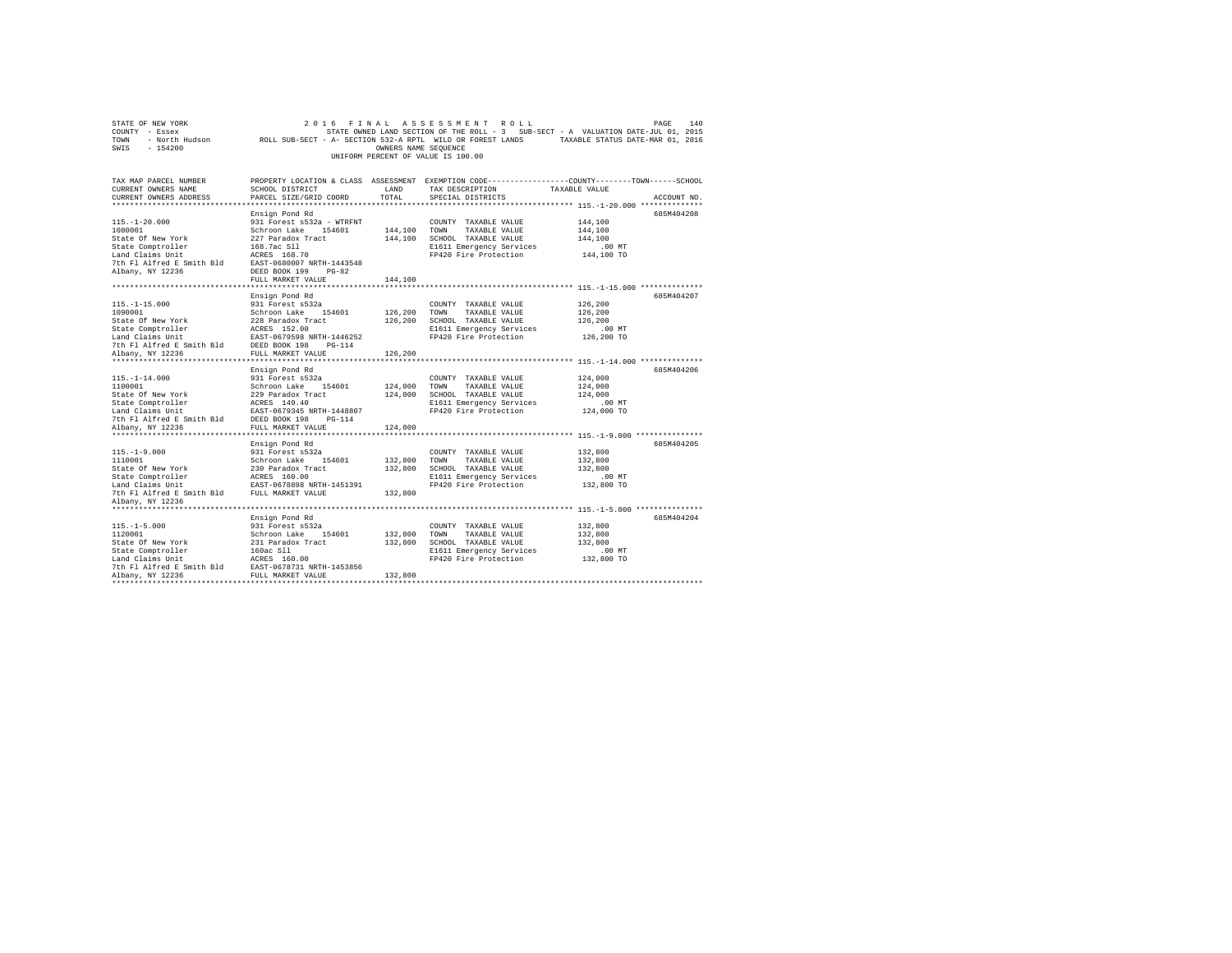| STATE OF NEW YORK<br>COUNTY - Essex<br>TOWN<br>$-154200$<br>SWIS                                                                                                                                                       |                                                                                                                                                                            | OWNERS NAME SEQUENCE          | 2016 FINAL ASSESSMENT ROLL<br>UNIFORM PERCENT OF VALUE IS 100.00                                                                   | PAGE<br>140<br>STATE OWNED LAND SECTION OF THE ROLL - 3 SUB-SECT - A VALUATION DATE-JUL 01, 2015<br>- North Hudson ROLL SUB-SECT - A- SECTION 532-A RPTL WILD OR FOREST LANDS TAXABLE STATUS DATE-MAR 01, 2016 |
|------------------------------------------------------------------------------------------------------------------------------------------------------------------------------------------------------------------------|----------------------------------------------------------------------------------------------------------------------------------------------------------------------------|-------------------------------|------------------------------------------------------------------------------------------------------------------------------------|----------------------------------------------------------------------------------------------------------------------------------------------------------------------------------------------------------------|
| TAX MAP PARCEL NUMBER<br>CURRENT OWNERS NAME<br>CURRENT OWNERS ADDRESS                                                                                                                                                 | SCHOOL DISTRICT<br>PARCEL SIZE/GRID COORD                                                                                                                                  | LAND<br>TOTAL                 | TAX DESCRIPTION<br>SPECIAL DISTRICTS                                                                                               | PROPERTY LOCATION & CLASS ASSESSMENT EXEMPTION CODE----------------COUNTY-------TOWN------SCHOOL<br>TAXABLE VALUE<br>ACCOUNT NO.                                                                               |
| $115. - 1 - 20.000$<br>1080001<br>State Of New York<br>State Comptroller<br>Land Claims Unit<br>7th Fl Alfred E Smith Bld<br>Albany, NY 12236                                                                          | Ensign Pond Rd<br>931 Forest s532a - WTRFNT<br>Schroon Lake 154601<br>227 Paradox Tract<br>168.7ac Sll<br>ACRES 168.70<br>EAST-0680007 NRTH-1443548<br>DEED BOOK 199 PG-82 | 144,100                       | COUNTY TAXABLE VALUE<br>TOWN<br>TAXABLE VALUE<br>144,100 SCHOOL TAXABLE VALUE<br>E1611 Emergency Services<br>FP420 Fire Protection | 685M404208<br>144,100<br>144,100<br>144,100<br>$.00$ MT<br>144,100 TO                                                                                                                                          |
|                                                                                                                                                                                                                        | FULL MARKET VALUE                                                                                                                                                          | 144,100                       |                                                                                                                                    |                                                                                                                                                                                                                |
| $115. - 1 - 15.000$<br>1090001<br>State Of New York<br>State Comptroller<br>Land Claims Unit<br>7th Fl Alfred E Smith Bld<br>Albany, NY 12236                                                                          | Ensign Pond Rd<br>931 Forest s532a<br>Schroon Lake 154601<br>228 Paradox Tract<br>ACRES 152.00<br>EAST-0679598 NRTH-1446252<br>DEED BOOK 198 PG-114<br>FULL MARKET VALUE   | 126,200<br>126,200<br>126,200 | COUNTY TAXABLE VALUE<br>TOWN<br>TAXABLE VALUE<br>SCHOOL TAXABLE VALUE<br>E1611 Emergency Services<br>FP420 Fire Protection         | 685M404207<br>126,200<br>126,200<br>126,200<br>$.00$ MT<br>126,200 TO                                                                                                                                          |
|                                                                                                                                                                                                                        |                                                                                                                                                                            |                               |                                                                                                                                    |                                                                                                                                                                                                                |
| $115. - 1 - 14.000$<br>1100001<br>State Of New York<br>State Comptroller<br>Land Claims Unit<br>7th Fl Alfred E Smith Bld                                                                                              | Ensign Pond Rd<br>931 Forest s532a<br>Schroon Lake 154601<br>229 Paradox Tract<br>ACRES 149.40<br>EAST-0679345 NRTH-1448807<br>DEED BOOK 198 PG-114                        | 124,000<br>124,000            | COUNTY TAXABLE VALUE<br>TOWN<br>TAXABLE VALUE<br>SCHOOL TAXABLE VALUE<br>E1611 Emergency Services<br>FP420 Fire Protection         | 685M404206<br>124,000<br>124,000<br>124,000<br>$.00$ MT<br>124,000 TO                                                                                                                                          |
| Albany, NY 12236                                                                                                                                                                                                       | FULL MARKET VALUE                                                                                                                                                          | 124,000                       |                                                                                                                                    |                                                                                                                                                                                                                |
| $115. - 1 - 9.000$<br>1110001<br>State Of New York<br>State Comptroller<br>Land Claims Unit<br>7th Fl Alfred E Smith Bld FULL MARKET VALUE<br>Albany, NY 12236                                                         | Ensign Pond Rd<br>931 Forest s532a<br>Schroon Lake 154601<br>230 Paradox Tract<br>ACRES 160.00<br>EAST-0678898 NRTH-1451391                                                | 132,800<br>132,800<br>132,800 | COUNTY TAXABLE VALUE<br>TOWN TAXABLE VALUE<br>SCHOOL TAXABLE VALUE<br>E1611 Emergency Services<br>FP420 Fire Protection            | 685M404205<br>132,800<br>132,800<br>132,800<br>$.00$ MT<br>132,800 TO                                                                                                                                          |
|                                                                                                                                                                                                                        |                                                                                                                                                                            |                               |                                                                                                                                    |                                                                                                                                                                                                                |
| $115. -1 - 5.000$<br>1120001<br>State Of New York<br>State Comptroller<br>$160ac$ S11<br>Land Claims Unit<br>7th Fl Alfred E Smith Bld EAST-0678731 NRTH-1453856<br>Albany, NY 12236                 FULL MARKET VALUE | Ensign Pond Rd<br>931 Forest s532a<br>Schroon Lake 154601<br>231 Paradox Tract<br>ACRES 160.00                                                                             | 132,800<br>132,800<br>132,800 | COUNTY TAXABLE VALUE<br>TOWN<br>TAXABLE VALUE<br>SCHOOL TAXABLE VALUE<br>E1611 Emergency Services<br>FP420 Fire Protection         | 685M404204<br>132,800<br>132,800<br>132,800<br>$.00$ MT<br>132,800 TO                                                                                                                                          |
|                                                                                                                                                                                                                        |                                                                                                                                                                            |                               |                                                                                                                                    |                                                                                                                                                                                                                |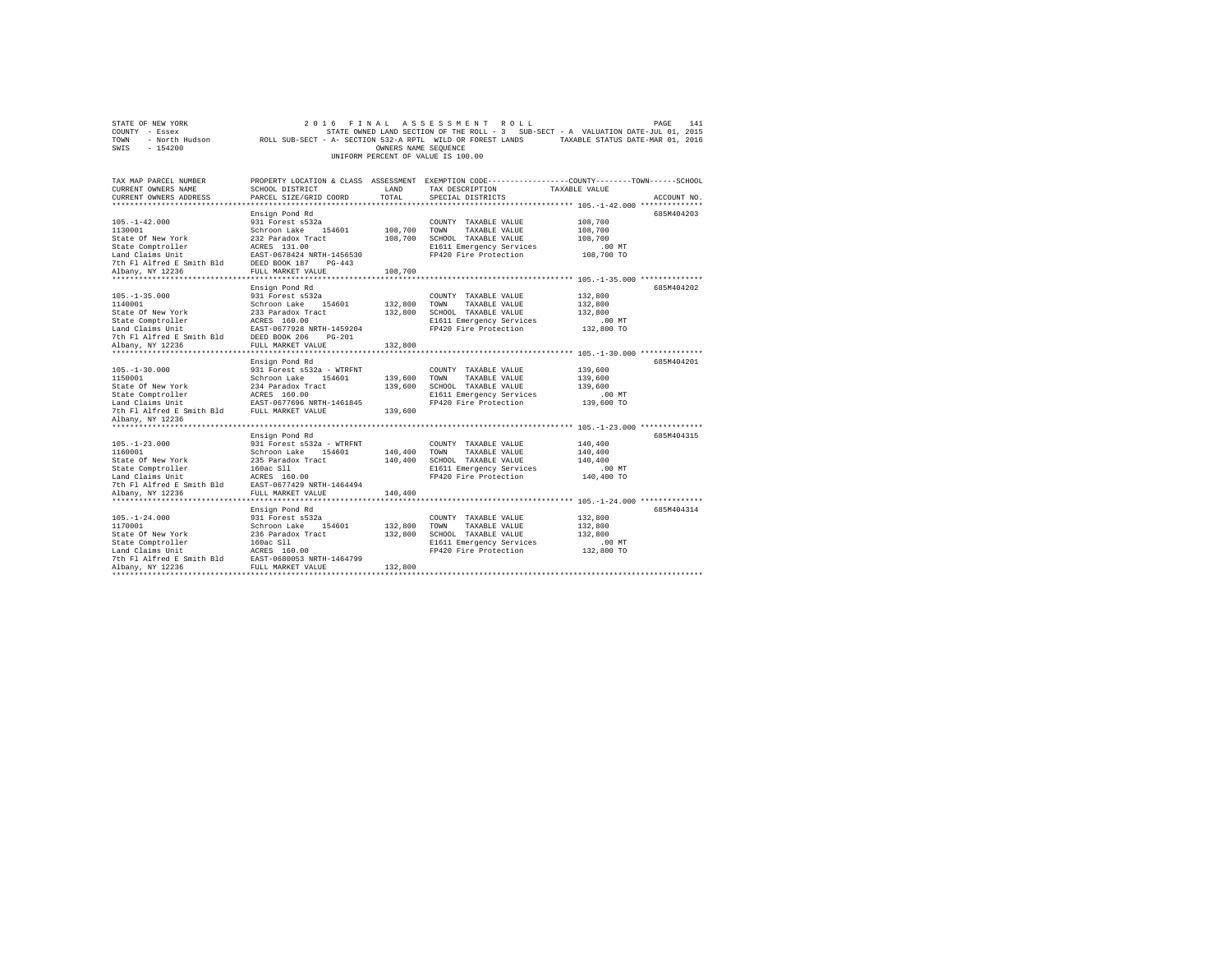| STATE OF NEW YORK                                                                                                                                                          | 2 0 1 6                                                   |                      | FINAL ASSESSMENT ROLL              | PAGE                                                                                                       | 141         |
|----------------------------------------------------------------------------------------------------------------------------------------------------------------------------|-----------------------------------------------------------|----------------------|------------------------------------|------------------------------------------------------------------------------------------------------------|-------------|
| COUNTY - Essex                                                                                                                                                             |                                                           |                      |                                    | STATE OWNED LAND SECTION OF THE ROLL - 3 SUB-SECT - A VALUATION DATE-JUL 01, 2015                          |             |
| TOWN                                                                                                                                                                       |                                                           |                      |                                    | - North Hudson ROLL SUB-SECT - A- SECTION 532-A RPTL WILD OR FOREST LANDS TAXABLE STATUS DATE-MAR 01, 2016 |             |
| SWIS<br>$-154200$                                                                                                                                                          |                                                           | OWNERS NAME SEQUENCE |                                    |                                                                                                            |             |
|                                                                                                                                                                            |                                                           |                      | UNIFORM PERCENT OF VALUE IS 100.00 |                                                                                                            |             |
|                                                                                                                                                                            |                                                           |                      |                                    |                                                                                                            |             |
|                                                                                                                                                                            |                                                           |                      |                                    |                                                                                                            |             |
| TAX MAP PARCEL NUMBER                                                                                                                                                      |                                                           |                      |                                    | PROPERTY LOCATION & CLASS ASSESSMENT EXEMPTION CODE---------------COUNTY-------TOWN------SCHOOL            |             |
| CURRENT OWNERS NAME                                                                                                                                                        | SCHOOL DISTRICT                                           | LAND                 | TAX DESCRIPTION                    | TAXABLE VALUE                                                                                              |             |
| CURRENT OWNERS ADDRESS                                                                                                                                                     | PARCEL SIZE/GRID COORD                                    | TOTAL                | SPECIAL DISTRICTS                  |                                                                                                            | ACCOUNT NO. |
|                                                                                                                                                                            |                                                           |                      |                                    |                                                                                                            |             |
|                                                                                                                                                                            | Ensign Pond Rd                                            |                      |                                    |                                                                                                            | 685M404203  |
| $105. - 1 - 42.000$                                                                                                                                                        | 931 Forest s532a                                          |                      | COUNTY TAXABLE VALUE               | 108,700                                                                                                    |             |
| 1130001                                                                                                                                                                    | Schroon Lake 154601                                       | 108,700 TOWN         | TAXABLE VALUE                      | 108,700                                                                                                    |             |
| State Of New York                                                                                                                                                          |                                                           |                      | 108,700 SCHOOL TAXABLE VALUE       | 108,700                                                                                                    |             |
| State Comptroller                                                                                                                                                          | 232 Paradox Tract<br>ACRES 131.00<br>EAST-0678424 NRTH-14 |                      | E1611 Emergency Services           | .00 MT                                                                                                     |             |
| Land Claims Unit                                                                                                                                                           | EAST-0678424 NRTH-1456530                                 |                      | FP420 Fire Protection              | 108,700 TO                                                                                                 |             |
| 7th Fl Alfred E Smith Bld DEED BOOK 187 PG-443                                                                                                                             |                                                           |                      |                                    |                                                                                                            |             |
| Albany, NY 12236                                                                                                                                                           | FULL MARKET VALUE                                         | 108,700              |                                    |                                                                                                            |             |
|                                                                                                                                                                            |                                                           |                      |                                    |                                                                                                            |             |
|                                                                                                                                                                            | Ensign Pond Rd                                            |                      |                                    |                                                                                                            | 685M404202  |
| $105. - 1 - 35.000$                                                                                                                                                        | 931 Forest s532a                                          |                      | COUNTY TAXABLE VALUE               | 132,800                                                                                                    |             |
| 1140001                                                                                                                                                                    | Schroon Lake 154601                                       | 132,800 TOWN         | TAXABLE VALUE                      | 132,800                                                                                                    |             |
|                                                                                                                                                                            |                                                           |                      | 132,800 SCHOOL TAXABLE VALUE       | 132,800                                                                                                    |             |
|                                                                                                                                                                            |                                                           |                      | E1611 Emergency Services           | $.00$ MT                                                                                                   |             |
|                                                                                                                                                                            | EAST-0677928 NRTH-1459204                                 |                      | FP420 Fire Protection              | 132,800 TO                                                                                                 |             |
|                                                                                                                                                                            | $PG-201$                                                  |                      |                                    |                                                                                                            |             |
| Albany, NY 12236                                                                                                                                                           | FULL MARKET VALUE                                         | 132,800              |                                    |                                                                                                            |             |
|                                                                                                                                                                            |                                                           |                      |                                    |                                                                                                            |             |
|                                                                                                                                                                            | Ensign Pond Rd                                            |                      |                                    |                                                                                                            | 685M404201  |
| $105. - 1 - 30.000$                                                                                                                                                        | 931 Forest s532a - WTRFNT                                 |                      | COUNTY TAXABLE VALUE               | 139,600                                                                                                    |             |
| 1150001                                                                                                                                                                    | Schroon Lake 154601                                       | 139,600 TOWN         | TAXABLE VALUE                      | 139,600                                                                                                    |             |
|                                                                                                                                                                            |                                                           |                      | 139,600 SCHOOL TAXABLE VALUE       | 139,600                                                                                                    |             |
| State of New York 214 Paradox Tract Camputoller 234 Paradox Tract Camputoller AGRES 160.00<br>State Comptroller AGRES 160.00<br>Land Claims Unit EAST-0677696 NRTH-1461845 |                                                           |                      | E1611 Emergency Services           | $.00$ MT                                                                                                   |             |
|                                                                                                                                                                            |                                                           |                      | FP420 Fire Protection              | 139,600 TO                                                                                                 |             |
| The FI Alfred E Smith Bld FULL MARKET VALUE                                                                                                                                |                                                           | 139,600              |                                    |                                                                                                            |             |
| Albany, NY 12236                                                                                                                                                           |                                                           |                      |                                    |                                                                                                            |             |
|                                                                                                                                                                            |                                                           |                      |                                    |                                                                                                            |             |
|                                                                                                                                                                            | Ensign Pond Rd                                            |                      |                                    |                                                                                                            | 685M404315  |
| $105. - 1 - 23.000$                                                                                                                                                        | 931 Forest s532a - WTRFNT                                 |                      | COUNTY TAXABLE VALUE               | 140,400                                                                                                    |             |
| 1160001                                                                                                                                                                    | Schroon Lake 154601                                       | 140,400 TOWN         | TAXABLE VALUE                      | 140,400                                                                                                    |             |
| State Of New York                                                                                                                                                          | 235 Paradox Tract                                         |                      | 140,400 SCHOOL TAXABLE VALUE       | 140,400                                                                                                    |             |
| State Comptroller                                                                                                                                                          | 160ac S11                                                 |                      | E1611 Emergency Services           | $.00$ MT                                                                                                   |             |
| Land Claims Unit                                                                                                                                                           | ACRES 160.00                                              |                      | FP420 Fire Protection              | 140,400 TO                                                                                                 |             |
| 7th Fl Alfred E Smith Bld                                                                                                                                                  | EAST-0677429 NRTH-1464494                                 |                      |                                    |                                                                                                            |             |
| Albany, NY 12236                                                                                                                                                           | FULL MARKET VALUE                                         | 140,400              |                                    |                                                                                                            |             |
|                                                                                                                                                                            |                                                           |                      |                                    |                                                                                                            |             |
|                                                                                                                                                                            | Ensign Pond Rd                                            |                      |                                    |                                                                                                            | 685M404314  |
| $105. - 1 - 24.000$                                                                                                                                                        | 931 Forest s532a                                          |                      | COUNTY TAXABLE VALUE               | 132,800                                                                                                    |             |
| 1170001                                                                                                                                                                    | Schroon Lake 154601                                       | 132,800              | TOWN<br>TAXABLE VALUE              | 132,800                                                                                                    |             |
|                                                                                                                                                                            | 236 Paradox Tract                                         | 132,800              |                                    | 132,800                                                                                                    |             |
| State Of New York                                                                                                                                                          |                                                           |                      | SCHOOL TAXABLE VALUE               |                                                                                                            |             |
| State Comptroller                                                                                                                                                          | 160ac Sll                                                 |                      | E1611 Emergency Services           | .00MT                                                                                                      |             |
| Land Claims Unit                                                                                                                                                           | ACRES 160.00                                              |                      | FP420 Fire Protection              | 132,800 TO                                                                                                 |             |
| 7th Fl Alfred E Smith Bld EAST-0680053 NRTH-1464799<br>albany NY 12236 FILL MARKET VALUE                                                                                   |                                                           |                      |                                    |                                                                                                            |             |
| Albany, NY 12236                                                                                                                                                           | FULL MARKET VALUE                                         | 132,800              |                                    |                                                                                                            |             |
|                                                                                                                                                                            |                                                           |                      |                                    |                                                                                                            |             |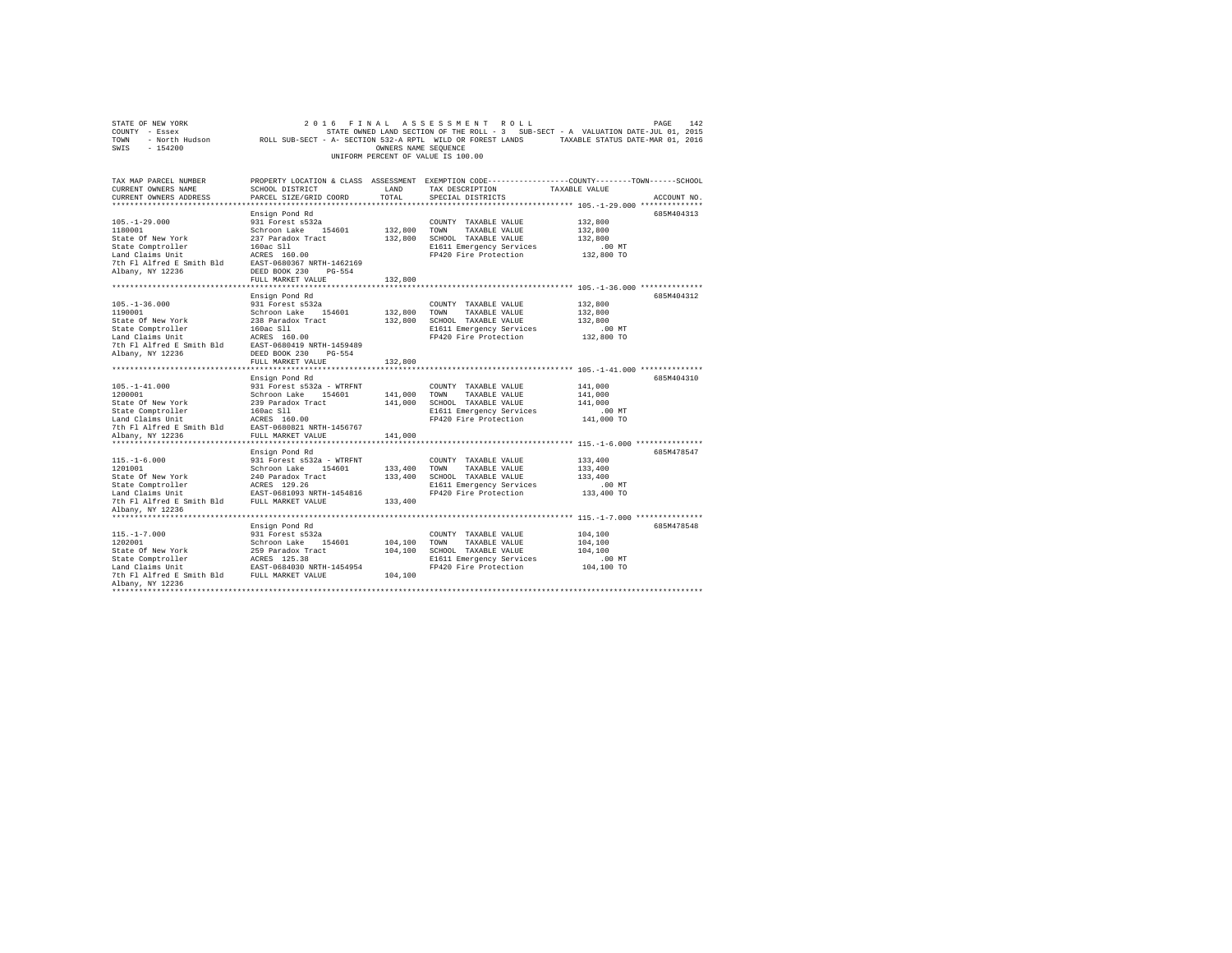| STATE OF NEW YORK<br>COUNTY - Essex<br>- North Hudson<br>TOWN<br>SWIS<br>$-154200$ | ROLL SUB-SECT - A- SECTION 532-A RPTL WILD OR FOREST LANDS TAXABLE STATUS DATE-MAR 01, 2016     | OWNERS NAME SEOUENCE | 2016 FINAL ASSESSMENT ROLL<br>STATE OWNED LAND SECTION OF THE ROLL - 3 SUB-SECT - A VALUATION DATE-JUL 01, 2015<br>UNIFORM PERCENT OF VALUE IS 100.00 |                                         | 142<br>PAGE |
|------------------------------------------------------------------------------------|-------------------------------------------------------------------------------------------------|----------------------|-------------------------------------------------------------------------------------------------------------------------------------------------------|-----------------------------------------|-------------|
| TAX MAP PARCEL NUMBER                                                              | PROPERTY LOCATION & CLASS ASSESSMENT EXEMPTION CODE---------------COUNTY-------TOWN------SCHOOL |                      |                                                                                                                                                       |                                         |             |
| CURRENT OWNERS NAME<br>CURRENT OWNERS ADDRESS                                      | SCHOOL DISTRICT<br>PARCEL SIZE/GRID COORD                                                       | LAND<br>TOTAL        | TAX DESCRIPTION<br>SPECIAL DISTRICTS                                                                                                                  | TAXABLE VALUE                           | ACCOUNT NO. |
|                                                                                    |                                                                                                 |                      |                                                                                                                                                       | ********** 105.-1-29.000 ************** |             |
|                                                                                    | Ensign Pond Rd                                                                                  |                      |                                                                                                                                                       |                                         | 685M404313  |
| $105. - 1 - 29.000$                                                                | 931 Forest s532a                                                                                |                      | COUNTY TAXABLE VALUE                                                                                                                                  | 132,800                                 |             |
| 1180001<br>State Of New York                                                       | Schroon Lake 154601<br>237 Paradox Tract                                                        | 132,800 TOWN         | TAXABLE VALUE<br>132,800 SCHOOL TAXABLE VALUE                                                                                                         | 132,800<br>132,800                      |             |
| State Comptroller                                                                  | 160ac Sll                                                                                       |                      | E1611 Emergency Services                                                                                                                              | .00MT                                   |             |
| Land Claims Unit                                                                   | ACRES 160.00                                                                                    |                      | FP420 Fire Protection                                                                                                                                 | 132,800 TO                              |             |
| 7th Fl Alfred E Smith Bld                                                          | EAST-0680367 NRTH-1462169                                                                       |                      |                                                                                                                                                       |                                         |             |
| Albany, NY 12236                                                                   | DEED BOOK 230 PG-554                                                                            |                      |                                                                                                                                                       |                                         |             |
|                                                                                    | FULL MARKET VALUE                                                                               | 132,800              |                                                                                                                                                       |                                         |             |
|                                                                                    |                                                                                                 |                      |                                                                                                                                                       |                                         |             |
|                                                                                    | Ensign Pond Rd                                                                                  |                      |                                                                                                                                                       |                                         | 685M404312  |
| $105. - 1 - 36.000$                                                                | 931 Forest s532a                                                                                |                      | COUNTY TAXABLE VALUE                                                                                                                                  | 132,800                                 |             |
| 1190001                                                                            | Schroon Lake 154601                                                                             | 132,800 TOWN         | TAXABLE VALUE                                                                                                                                         | 132,800                                 |             |
| State Of New York                                                                  | 238 Paradox Tract                                                                               |                      | 132,800 SCHOOL TAXABLE VALUE                                                                                                                          | 132,800                                 |             |
| State Comptroller                                                                  | 160ac Sll                                                                                       |                      | E1611 Emergency Services                                                                                                                              | $.00$ MT                                |             |
| Land Claims Unit                                                                   | ACRES 160.00                                                                                    |                      | FP420 Fire Protection                                                                                                                                 | 132,800 TO                              |             |
| 7th Fl Alfred E Smith Bld EAST-0680419 NRTH-1459489                                |                                                                                                 |                      |                                                                                                                                                       |                                         |             |
| Albany, NY 12236                                                                   | DEED BOOK 230 PG-554                                                                            |                      |                                                                                                                                                       |                                         |             |
|                                                                                    | FULL MARKET VALUE                                                                               | 132,800              |                                                                                                                                                       |                                         |             |
| ***********************                                                            |                                                                                                 |                      |                                                                                                                                                       |                                         |             |
|                                                                                    | Ensign Pond Rd                                                                                  |                      |                                                                                                                                                       |                                         | 685M404310  |
| $105. - 1 - 41.000$                                                                | 931 Forest s532a - WTRFNT                                                                       |                      | COUNTY TAXABLE VALUE                                                                                                                                  | 141,000                                 |             |
| 1200001                                                                            | Schroon Lake 154601                                                                             | 141,000 TOWN         | TAXABLE VALUE                                                                                                                                         | 141,000                                 |             |
| State Of New York                                                                  | 239 Paradox Tract                                                                               |                      | 141,000 SCHOOL TAXABLE VALUE                                                                                                                          | 141,000                                 |             |
| State Comptroller                                                                  | 160ac Sll                                                                                       |                      | E1611 Emergency Services                                                                                                                              | $.00$ MT                                |             |
| Land Claims Unit                                                                   | ACRES 160.00                                                                                    |                      | FP420 Fire Protection                                                                                                                                 | 141,000 TO                              |             |
| 7th Fl Alfred E Smith Bld                                                          | EAST-0680821 NRTH-1456767                                                                       |                      |                                                                                                                                                       |                                         |             |
| Albany, NY 12236                                                                   | FULL MARKET VALUE                                                                               | 141,000              |                                                                                                                                                       |                                         |             |
| **********************                                                             | ***************************                                                                     |                      |                                                                                                                                                       |                                         |             |
|                                                                                    | Ensign Pond Rd                                                                                  |                      |                                                                                                                                                       |                                         | 685M478547  |
| $115. - 1 - 6.000$                                                                 | 931 Forest s532a - WTRFNT                                                                       |                      | COUNTY TAXABLE VALUE                                                                                                                                  | 133,400                                 |             |
| 1201001<br>State Of New York                                                       | Schroon Lake 154601<br>240 Paradox Tract                                                        | 133,400 TOWN         | TAXABLE VALUE<br>133,400 SCHOOL TAXABLE VALUE                                                                                                         | 133,400<br>133,400                      |             |
| State Comptroller                                                                  | ACRES 129.26                                                                                    |                      | E1611 Emergency Services                                                                                                                              | $.00$ MT                                |             |
| Land Claims Unit                                                                   | EAST-0681093 NRTH-1454816                                                                       |                      | FP420 Fire Protection                                                                                                                                 | 133,400 TO                              |             |
| 7th Fl Alfred E Smith Bld                                                          | FULL MARKET VALUE                                                                               | 133,400              |                                                                                                                                                       |                                         |             |
| Albany, NY 12236                                                                   |                                                                                                 |                      |                                                                                                                                                       |                                         |             |
|                                                                                    |                                                                                                 |                      |                                                                                                                                                       |                                         |             |
|                                                                                    | Ensign Pond Rd                                                                                  |                      |                                                                                                                                                       |                                         | 685M478548  |
| $115. - 1 - 7.000$                                                                 | 931 Forest s532a                                                                                |                      | COUNTY TAXABLE VALUE                                                                                                                                  | 104,100                                 |             |
| 1202001                                                                            | Schroon Lake 154601                                                                             | 104,100 TOWN         | TAXABLE VALUE                                                                                                                                         | 104,100                                 |             |
| State Of New York                                                                  | 259 Paradox Tract                                                                               |                      | 104,100 SCHOOL TAXABLE VALUE                                                                                                                          | 104.100                                 |             |
|                                                                                    | ACRES 125.38                                                                                    |                      | E1611 Emergency Services                                                                                                                              | $.00$ MT                                |             |
| state Comptroller<br>Land Claims Unit                                              | EAST-0684030 NRTH-1454954                                                                       |                      | FP420 Fire Protection                                                                                                                                 | 104,100 TO                              |             |
| 7th Fl Alfred E Smith Bld                                                          | FULL MARKET VALUE                                                                               | 104,100              |                                                                                                                                                       |                                         |             |
| Albany, NY 12236                                                                   |                                                                                                 |                      |                                                                                                                                                       |                                         |             |
|                                                                                    |                                                                                                 |                      |                                                                                                                                                       |                                         |             |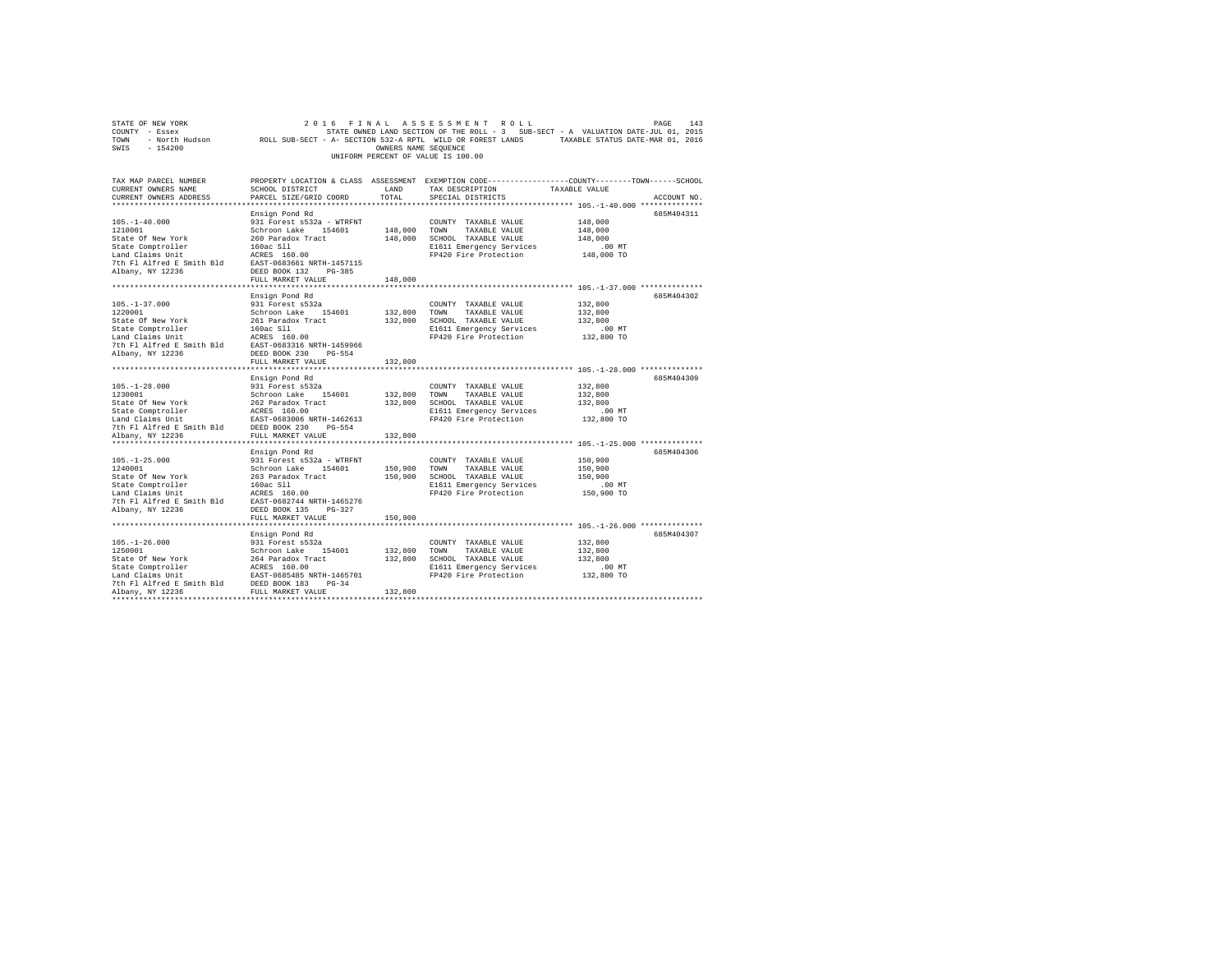| SWIS - 154200                                                                                                                                                                                                                                                                                     |                                                                  | OWNERS NAME SEOUENCE | UNIFORM PERCENT OF VALUE IS 100.00                                                                                                      | 2016 FINAL ASSESSMENT ROLL PAGE PAGE 143<br>COUNTY - Essex – SALUATION DATE-JULOI, 2015<br>TOWN – North Hudson – ROLL SUB-SECT - A-SECTION 532-A RPTL WILD OR FOREST LANDS – TAXABLE STATUS DATE-MAR 01, 2016 |
|---------------------------------------------------------------------------------------------------------------------------------------------------------------------------------------------------------------------------------------------------------------------------------------------------|------------------------------------------------------------------|----------------------|-----------------------------------------------------------------------------------------------------------------------------------------|---------------------------------------------------------------------------------------------------------------------------------------------------------------------------------------------------------------|
| TAX MAP PARCEL NUMBER<br>CURRENT OWNERS NAME<br>CURRENT OWNERS ADDRESS                                                                                                                                                                                                                            | SCHOOL DISTRICT LAND<br>PARCEL SIZE/GRID COORD TOTAL             |                      | TAX DESCRIPTION TAXABLE VALUE<br>SPECIAL DISTRICTS                                                                                      | PROPERTY LOCATION & CLASS ASSESSMENT EXEMPTION CODE---------------COUNTY-------TOWN------SCHOOL<br>ACCOUNT NO.                                                                                                |
| $105. - 1 - 40.000$<br>1210001<br>1210001<br>1210001 - Schroon Lake - 154601<br>State Of New York - 160ac S11<br>160ac S11<br>Land Claims Unit - 160ac S11<br>160ac S11<br>160ac S11<br>160ac S11<br>160ac S11<br>160ac S11<br>160ac S11<br>160ac S11<br>160ac S11<br>160ac S11<br>               | Ensign Pond Rd<br>931 Forest s532a - WTRFNT<br>FULL MARKET VALUE | 148,000              | COUNTY TAXABLE VALUE<br>148,000 TOWN TAXABLE VALUE<br>148,000 SCHOOL TAXABLE VALUE<br>E1611 Emergency Services<br>FP420 Fire Protection | 685M404311<br>148,000<br>148,000<br>148,000<br>.00 MT<br>148,000 TO                                                                                                                                           |
|                                                                                                                                                                                                                                                                                                   |                                                                  |                      |                                                                                                                                         |                                                                                                                                                                                                               |
| $105. - 1 - 37.000$<br>1220001<br>1220001<br>1220001<br>1220001<br>Schroon Lake 154601<br>Schroon Lake 154601<br>Schroon Lake 154601<br>Schroon Lake 15601<br>160x Schroon Lake 11<br>160x Schroon Lake 11<br>160x Schroon Lake 11<br>160x Schroon Lake 11<br>160x Schroon La<br>Albany, NY 12236 | Ensign Pond Rd<br>931 Forest s532a                               | 132,800 TOWN         | COUNTY TAXABLE VALUE<br>132,800 TOWN TAXABLE VALUE<br>132,800 SCHOOL TAXABLE VALUE                                                      | 685M404302<br>132,800<br>132,800<br>132,800                                                                                                                                                                   |
|                                                                                                                                                                                                                                                                                                   | FULL MARKET VALUE                                                | 132,800              |                                                                                                                                         |                                                                                                                                                                                                               |
|                                                                                                                                                                                                                                                                                                   |                                                                  |                      |                                                                                                                                         |                                                                                                                                                                                                               |
| 105.-1-28.000<br>107.001 = 331 Forest s532a<br>1230001<br>123001 = 341 Forest s532a<br>524ate Of New York<br>542 Faradox Tract<br>14231 declines units<br>162.001 = 462613<br>7th Fl Alfred E Smith Bld<br>7th Fl Alfred E Smith Bld<br>12236 = FU                                                | Ensign Pond Rd                                                   |                      | COUNTY TAXABLE VALUE<br>132,800 TOWN TAXABLE VALUE<br>132,800 SCHOOL TAXABLE VALUE<br>E1611 Emergency Services<br>FP420 Fire Protection | 685M404309<br>132,800<br>132,800<br>132,800<br>00 MT.<br>132,800 TO                                                                                                                                           |
|                                                                                                                                                                                                                                                                                                   |                                                                  |                      |                                                                                                                                         |                                                                                                                                                                                                               |
|                                                                                                                                                                                                                                                                                                   |                                                                  | 132,800              |                                                                                                                                         | 685M404306                                                                                                                                                                                                    |
|                                                                                                                                                                                                                                                                                                   |                                                                  |                      |                                                                                                                                         | 150,900<br>150,900<br>150,900<br>.00 MT<br>150,900 TO                                                                                                                                                         |
|                                                                                                                                                                                                                                                                                                   |                                                                  |                      |                                                                                                                                         |                                                                                                                                                                                                               |
|                                                                                                                                                                                                                                                                                                   | Ensign Pond Rd                                                   |                      |                                                                                                                                         | 685M404307                                                                                                                                                                                                    |
|                                                                                                                                                                                                                                                                                                   |                                                                  |                      | E1611 Emergency Services<br>FP420 Fire Protection                                                                                       | 132,800<br>132,800<br>132,800<br>00 MT.<br>132,800 TO                                                                                                                                                         |
|                                                                                                                                                                                                                                                                                                   |                                                                  |                      |                                                                                                                                         |                                                                                                                                                                                                               |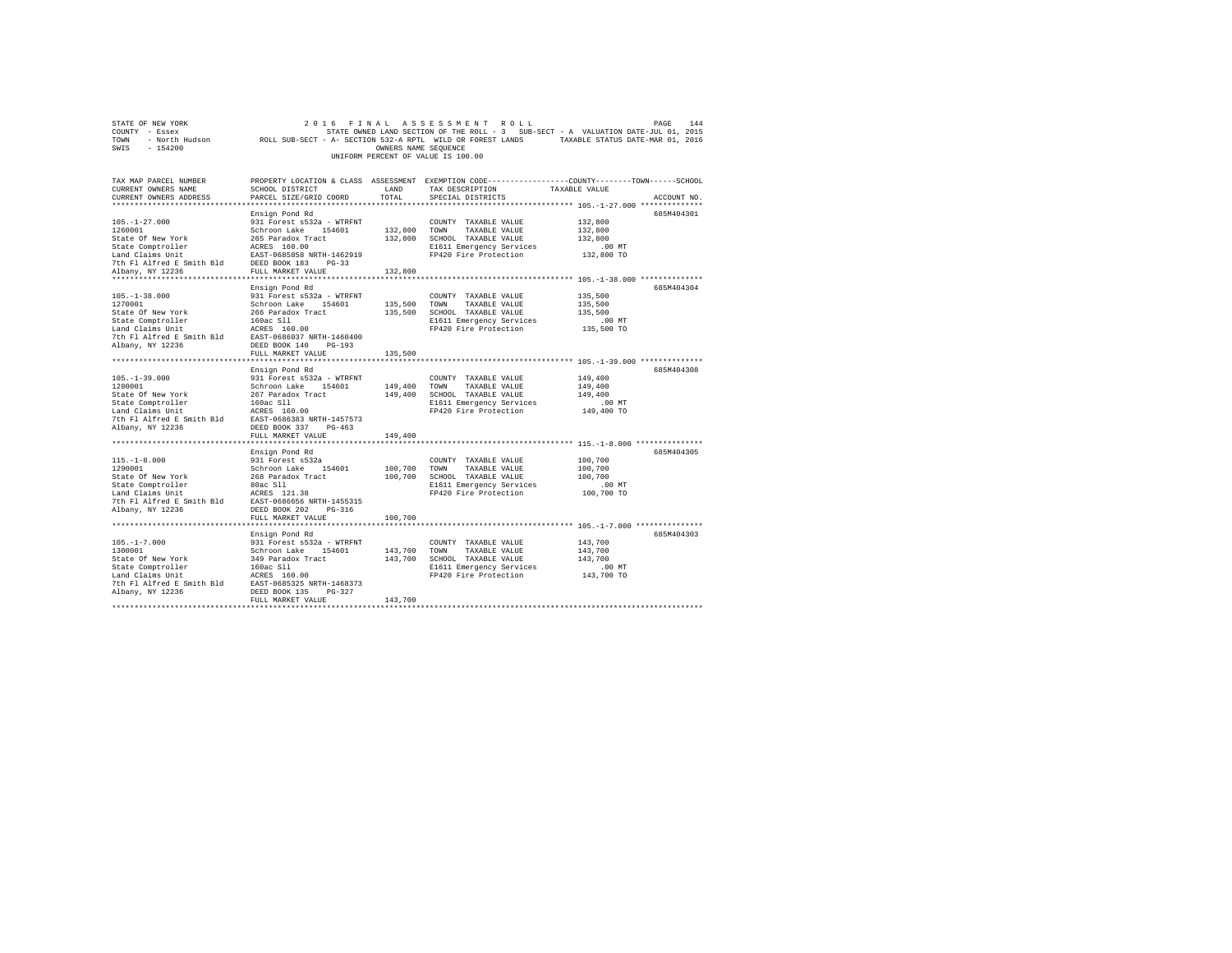| STATE OF NEW YORK<br>COUNTY - Essex<br>TOWN<br>$-154200$<br>SWIS            |                             | OWNERS NAME SEQUENCE | 2016 FINAL ASSESSMENT ROLL<br>STATE OWNED LAND SECTION OF THE ROLL - 3 SUB-SECT - A VALUATION DATE-JUL 01, 2015<br>- North Hudson ROLL SUB-SECT - A- SECTION 532-A RPTL WILD OR FOREST LANDS TAXABLE STATUS DATE-MAR 01, 2016<br>UNIFORM PERCENT OF VALUE IS 100.00 | PAGE     | 144         |
|-----------------------------------------------------------------------------|-----------------------------|----------------------|---------------------------------------------------------------------------------------------------------------------------------------------------------------------------------------------------------------------------------------------------------------------|----------|-------------|
| TAX MAP PARCEL NUMBER                                                       |                             |                      | PROPERTY LOCATION & CLASS ASSESSMENT EXEMPTION CODE---------------COUNTY-------TOWN------SCHOOL                                                                                                                                                                     |          |             |
| CURRENT OWNERS NAME                                                         | SCHOOL DISTRICT             | <b>LAND</b>          | TAX DESCRIPTION TAXABLE VALUE                                                                                                                                                                                                                                       |          |             |
| CURRENT OWNERS ADDRESS 6 PARCEL SIZE/GRID COORD 6 TOTAL 5 SPECIAL DISTRICTS |                             |                      |                                                                                                                                                                                                                                                                     |          | ACCOUNT NO. |
|                                                                             |                             |                      |                                                                                                                                                                                                                                                                     |          |             |
|                                                                             | Ensign Pond Rd              |                      |                                                                                                                                                                                                                                                                     |          | 685M404301  |
| $105, -1 - 27, 000$                                                         | 931 Forest s532a - WTRFNT   |                      | COUNTY TAXABLE VALUE                                                                                                                                                                                                                                                | 132,800  |             |
| 1260001                                                                     | Schroon Lake 154601 132,800 |                      | TOWN<br>TAXABLE VALUE                                                                                                                                                                                                                                               | 132,800  |             |
| State Of New York 265 Paradox Tract 132,800                                 |                             |                      | SCHOOL<br>TAXABLE VALUE                                                                                                                                                                                                                                             | 132,800  |             |
| State Comptroller ACRES 160.00                                              |                             |                      | E1611 Emergency Services .00 MT                                                                                                                                                                                                                                     |          |             |
| Land Claims Unit FAST-0685858 NRTH-1462919                                  |                             |                      | FP420 Fire Protection 132,800 TO                                                                                                                                                                                                                                    |          |             |
| 7th Fl Alfred E Smith Bld DEED BOOK 183 PG-33                               |                             |                      |                                                                                                                                                                                                                                                                     |          |             |
| Albany, NY 12236                                                            | FULL MARKET VALUE 132,800   |                      |                                                                                                                                                                                                                                                                     |          |             |
|                                                                             |                             |                      |                                                                                                                                                                                                                                                                     |          |             |
|                                                                             | Ensign Pond Rd              |                      |                                                                                                                                                                                                                                                                     |          | 685M404304  |
| $105. -1 - 38.000$                                                          | 931 Forest s532a - WTRFNT   |                      | COUNTY TAXABLE VALUE                                                                                                                                                                                                                                                | 135,500  |             |
| 1270001                                                                     | Schroon Lake 154601         | 135,500              | TOWN<br>TAXABLE VALUE                                                                                                                                                                                                                                               | 135,500  |             |
| State Of New York 266 Paradox Tract 135,500                                 |                             |                      | SCHOOL<br>TAXABLE VALUE                                                                                                                                                                                                                                             | 135,500  |             |
| State Comptroller                                                           | 160ac S11                   |                      | E1611 Emergency Services                                                                                                                                                                                                                                            | $.00$ MT |             |

| Ensign Pond Rd<br>685M404308<br>149,400<br>931 Forest s532a - WTRFNT<br>COUNTY TAXABLE VALUE<br>Schroon Lake 154601 149,400<br>TAXABLE VALUE<br>149,400<br>TOWN<br>267 Paradox Tract 149,400 SCHOOL TAXABLE VALUE<br>149,400<br>E1611 Emergency Services<br>160ac Sll<br>$.00$ MT<br>FP420 Fire Protection 149,400 TO<br>ACRES 160.00<br>7th Fl Alfred E Smith Bld<br>EAST-0686383 NRTH-1457573<br>DEED BOOK 337<br>$PG-463$<br>FULL MARKET VALUE 149,400<br>Ensign Pond Rd<br>685M404305<br>931 Forest s532a<br>COUNTY TAXABLE VALUE<br>100,700<br>Schroon Lake 154601 100,700 TOWN<br>TAXABLE VALUE<br>100,700<br>100,700 SCHOOL TAXABLE VALUE<br>100,700<br>268 Paradox Tract<br>.00 MT<br>80ac S11<br>E1611 Emergency Services<br>FP420 Fire Protection<br>100,700 TO<br>ACRES 121.38<br>7th Fl Alfred E Smith Bld EAST-0686656 NRTH-1455315<br>DEED BOOK 202<br>PG-316<br>100,700<br>FULL MARKET VALUE<br>685M404303<br>Ensign Pond Rd<br>$105. - 1 - 7.000$<br>931 Forest s532a - WTRFNT<br>COUNTY TAXABLE VALUE<br>143,700<br>Schroon Lake 154601 143.700 TOWN<br>TAXABLE VALUE<br>143,700<br>143,700 SCHOOL TAXABLE VALUE<br>349 Paradox Tract<br>143,700<br>E1611 Emergency Services<br>160ac S11<br>.00 MT<br>143,700 TO<br>ACRES 160.00<br>FP420 Fire Protection<br>7th Fl Alfred E Smith Bld EAST-0685325 NRTH-1468373<br>DEED BOOK 135 PG-327<br>143,700<br>FULL MARKET VALUE | State Comptroller<br>Land Claims Unit<br>7th Fl Alfred E Smith Bld EAST-0686037 NRTH-1460400<br>Albany, NY 12236 | 160ac Sll<br>ACRES 160.00<br>DEED BOOK 140 PG-193<br>FULL MARKET VALUE | 135,500 | E1611 Emergency Services<br>FP420 Fire Protection 135,500 TO | .00MT |  |
|--------------------------------------------------------------------------------------------------------------------------------------------------------------------------------------------------------------------------------------------------------------------------------------------------------------------------------------------------------------------------------------------------------------------------------------------------------------------------------------------------------------------------------------------------------------------------------------------------------------------------------------------------------------------------------------------------------------------------------------------------------------------------------------------------------------------------------------------------------------------------------------------------------------------------------------------------------------------------------------------------------------------------------------------------------------------------------------------------------------------------------------------------------------------------------------------------------------------------------------------------------------------------------------------------------------------------------------------------------------------------------------------|------------------------------------------------------------------------------------------------------------------|------------------------------------------------------------------------|---------|--------------------------------------------------------------|-------|--|
|                                                                                                                                                                                                                                                                                                                                                                                                                                                                                                                                                                                                                                                                                                                                                                                                                                                                                                                                                                                                                                                                                                                                                                                                                                                                                                                                                                                            | 105. -1-39.000<br>1280001<br>State Of New York<br>State Comptroller<br>Land Claims Unit<br>Albany, NY 12236      |                                                                        |         |                                                              |       |  |
|                                                                                                                                                                                                                                                                                                                                                                                                                                                                                                                                                                                                                                                                                                                                                                                                                                                                                                                                                                                                                                                                                                                                                                                                                                                                                                                                                                                            | $115. - 1 - 8.000$<br>1290001<br>State Of New York<br>State Comptroller<br>Land Claims Unit<br>Albany, NY 12236  |                                                                        |         |                                                              |       |  |
|                                                                                                                                                                                                                                                                                                                                                                                                                                                                                                                                                                                                                                                                                                                                                                                                                                                                                                                                                                                                                                                                                                                                                                                                                                                                                                                                                                                            |                                                                                                                  |                                                                        |         |                                                              |       |  |
|                                                                                                                                                                                                                                                                                                                                                                                                                                                                                                                                                                                                                                                                                                                                                                                                                                                                                                                                                                                                                                                                                                                                                                                                                                                                                                                                                                                            | 1300001<br>State Of New York<br>State Comptroller<br>Land Claims Unit<br>Albany, NY 12236                        |                                                                        |         |                                                              |       |  |
|                                                                                                                                                                                                                                                                                                                                                                                                                                                                                                                                                                                                                                                                                                                                                                                                                                                                                                                                                                                                                                                                                                                                                                                                                                                                                                                                                                                            |                                                                                                                  |                                                                        |         |                                                              |       |  |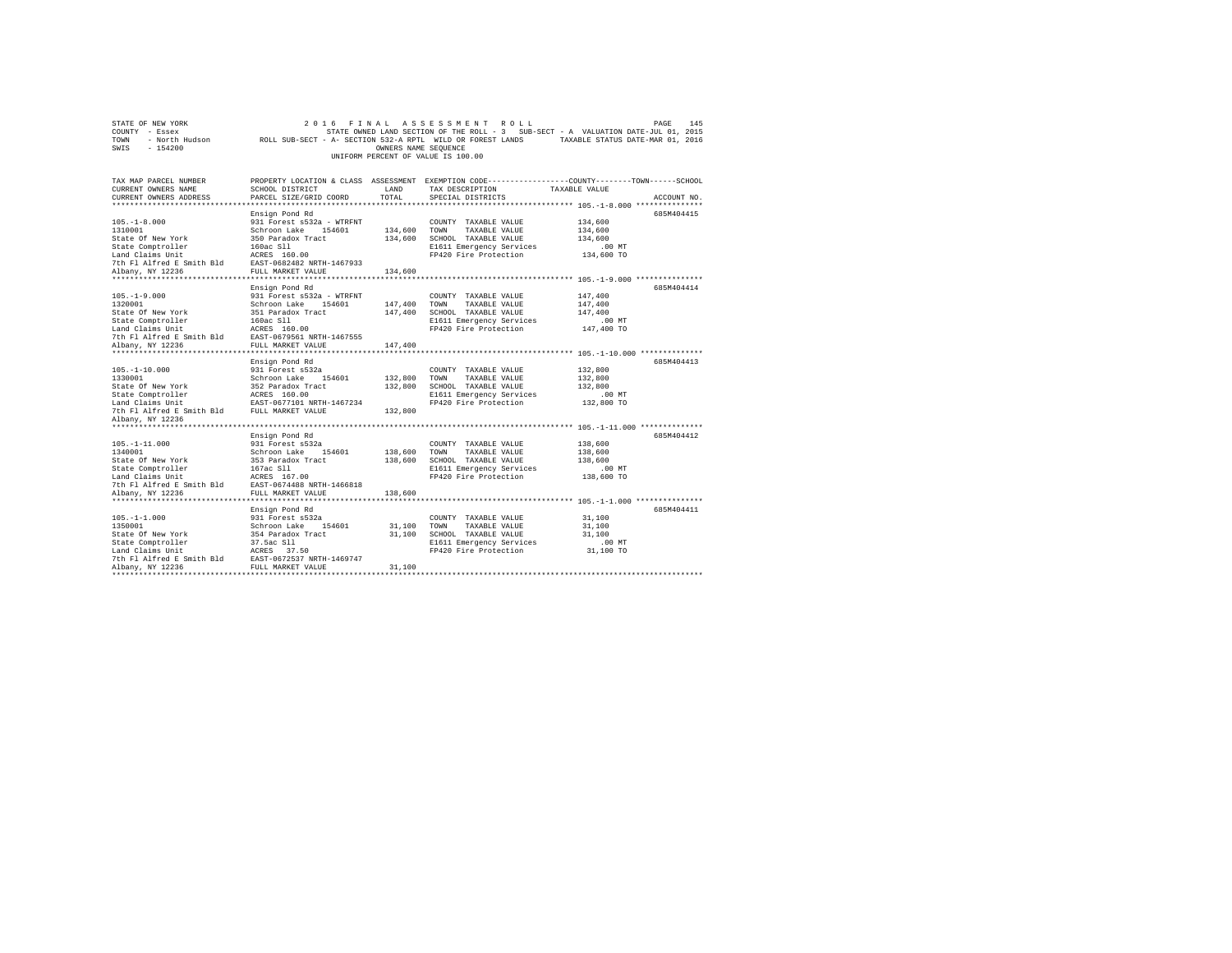|                | STATE OF NEW YORK |                                                            |  | 2016 FINAL ASSESSMENT ROLL         |  |  |                                                                                   |  | PAGE                             | 145 |
|----------------|-------------------|------------------------------------------------------------|--|------------------------------------|--|--|-----------------------------------------------------------------------------------|--|----------------------------------|-----|
| COUNTY - Essex |                   |                                                            |  |                                    |  |  | STATE OWNED LAND SECTION OF THE ROLL - 3 SUB-SECT - A VALUATION DATE-JUL 01, 2015 |  |                                  |     |
| TOWN           | - North Hudson    | ROLL SUB-SECT - A- SECTION 532-A RPTL WILD OR FOREST LANDS |  |                                    |  |  |                                                                                   |  | TAXABLE STATUS DATE-MAR 01, 2016 |     |
| SWIS           | - 154200          |                                                            |  | OWNERS NAME SEOUENCE               |  |  |                                                                                   |  |                                  |     |
|                |                   |                                                            |  | UNIFORM PERCENT OF VALUE IS 100.00 |  |  |                                                                                   |  |                                  |     |

| TAX MAP PARCEL NUMBER<br>CURRENT OWNERS NAME<br>CURRENT OWNERS ADDRESS | SCHOOL DISTRICT<br>PARCEL SIZE/GRID COORD             | <b>T.AND</b><br>TOTAL | PROPERTY LOCATION & CLASS ASSESSMENT EXEMPTION CODE---------------COUNTY-------TOWN------SCHOOL<br>TAX DESCRIPTION<br>SPECIAL DISTRICTS | TAXABLE VALUE | ACCOUNT NO. |
|------------------------------------------------------------------------|-------------------------------------------------------|-----------------------|-----------------------------------------------------------------------------------------------------------------------------------------|---------------|-------------|
|                                                                        |                                                       |                       |                                                                                                                                         |               |             |
|                                                                        | Ensign Pond Rd                                        |                       |                                                                                                                                         |               | 685M404415  |
| $105. - 1 - 8.000$                                                     | 931 Forest s532a - WTRFNT                             |                       | COUNTY TAXABLE VALUE                                                                                                                    | 134,600       |             |
| 1310001                                                                | Schroon Lake<br>154601                                | 134,600               | TOWN<br>TAXABLE VALUE                                                                                                                   | 134,600       |             |
| State Of New York                                                      | 350 Paradox Tract                                     | 134,600               | SCHOOL TAXABLE VALUE                                                                                                                    | 134,600       |             |
| State Comptroller                                                      | 160ac Sll                                             |                       | E1611 Emergency Services                                                                                                                | .00MT         |             |
| Land Claims Unit                                                       | ACRES 160.00                                          |                       | FP420 Fire Protection                                                                                                                   | 134,600 TO    |             |
| 7th Fl Alfred E Smith Bld EAST-0682482 NRTH-1467933                    |                                                       |                       |                                                                                                                                         |               |             |
| Albany, NY 12236                                                       | FULL MARKET VALUE                                     | 134,600               |                                                                                                                                         |               |             |
|                                                                        |                                                       |                       |                                                                                                                                         |               |             |
|                                                                        | Ensign Pond Rd                                        |                       |                                                                                                                                         |               | 685M404414  |
| $105. - 1 - 9.000$                                                     | 931 Forest s532a - WTRFNT                             |                       | COUNTY TAXABLE VALUE                                                                                                                    | 147,400       |             |
| 1320001                                                                | Schroon Lake 154601                                   | 147,400 TOWN          | TAXABLE VALUE                                                                                                                           | 147,400       |             |
| State Of New York                                                      | 351 Paradox Tract                                     | 147,400               | SCHOOL TAXABLE VALUE                                                                                                                    | 147,400       |             |
| State Comptroller                                                      | 160ac S11                                             |                       | E1611 Emergency Services                                                                                                                | $.00$ MT      |             |
| Land Claims Unit                                                       | ACRES 160.00                                          |                       | FP420 Fire Protection                                                                                                                   | 147,400 TO    |             |
| 7th Fl Alfred E Smith Bld EAST-0679561 NRTH-1467555                    |                                                       |                       |                                                                                                                                         |               |             |
| Albany, NY 12236                                                       | FULL MARKET VALUE                                     | 147,400               |                                                                                                                                         |               |             |
|                                                                        |                                                       |                       |                                                                                                                                         |               |             |
|                                                                        | Ensign Pond Rd                                        |                       |                                                                                                                                         |               | 685M404413  |
| $105. - 1 - 10.000$                                                    | 931 Forest s532a                                      |                       | COUNTY TAXABLE VALUE                                                                                                                    | 132,800       |             |
| 1330001                                                                | Schroon Lake 154601                                   | 132,800               | TOWN<br>TAXABLE VALUE                                                                                                                   | 132,800       |             |
| State Of New York                                                      | 352 Paradox Tract<br>ACRES 160.00                     | 132,800               | SCHOOL TAXABLE VALUE                                                                                                                    | 132,800       |             |
| State Comptroller                                                      |                                                       |                       | E1611 Emergency Services<br>FP420 Fire Protection                                                                                       | $.00$ MT      |             |
| Land Claims Unit<br>7th Fl Alfred E Smith Bld                          | EAST-0677101 NRTH-1467234<br>th Bld FULL MARKET VALUE | 132,800               |                                                                                                                                         | 132,800 TO    |             |
|                                                                        |                                                       |                       |                                                                                                                                         |               |             |
| Albany, NY 12236                                                       |                                                       |                       |                                                                                                                                         |               |             |
|                                                                        | Ensign Pond Rd                                        |                       |                                                                                                                                         |               | 685M404412  |
| $105. - 1 - 11.000$                                                    | 931 Forest s532a                                      |                       | COUNTY TAXABLE VALUE                                                                                                                    | 138,600       |             |
| 1340001                                                                | Schroon Lake<br>154601                                | 138,600               | TOWN<br>TAXABLE VALUE                                                                                                                   | 138,600       |             |
| State Of New York                                                      | 353 Paradox Tract                                     | 138,600               | SCHOOL TAXABLE VALUE                                                                                                                    | 138,600       |             |
| State Comptroller                                                      | 167ac Sll                                             |                       | E1611 Emergency Services                                                                                                                | $.00$ MT      |             |
| Land Claims Unit                                                       | ACRES 167.00                                          |                       | FP420 Fire Protection                                                                                                                   | 138,600 TO    |             |
| 7th Fl Alfred E Smith Bld EAST-0674488 NRTH-1466818                    |                                                       |                       |                                                                                                                                         |               |             |
| Albany, NY 12236                                                       | FULL MARKET VALUE                                     | 138,600               |                                                                                                                                         |               |             |
|                                                                        |                                                       |                       |                                                                                                                                         |               |             |
|                                                                        | Ensign Pond Rd                                        |                       |                                                                                                                                         |               | 685M404411  |
| $105. - 1 - 1.000$                                                     | 931 Forest s532a                                      |                       | COUNTY TAXABLE VALUE                                                                                                                    | 31,100        |             |
| 1350001                                                                | Schroon Lake 154601                                   | 31,100                | TOWN<br>TAXABLE VALUE                                                                                                                   | 31,100        |             |
| State Of New York                                                      | 354 Paradox Tract                                     | 31,100                | SCHOOL TAXABLE VALUE                                                                                                                    | 31,100        |             |
| State Comptroller                                                      | 37.5ac Sll                                            |                       | E1611 Emergency Services                                                                                                                | $.00$ MT      |             |
| Land Claims Unit                                                       | ACRES 37.50                                           |                       | FP420 Fire Protection                                                                                                                   | 31,100 TO     |             |
| 7th Fl Alfred E Smith Bld                                              | EAST-0672537 NRTH-1469747                             |                       |                                                                                                                                         |               |             |
| Albany, NY 12236                                                       | FULL MARKET VALUE                                     | 31,100                |                                                                                                                                         |               |             |
|                                                                        |                                                       |                       |                                                                                                                                         |               |             |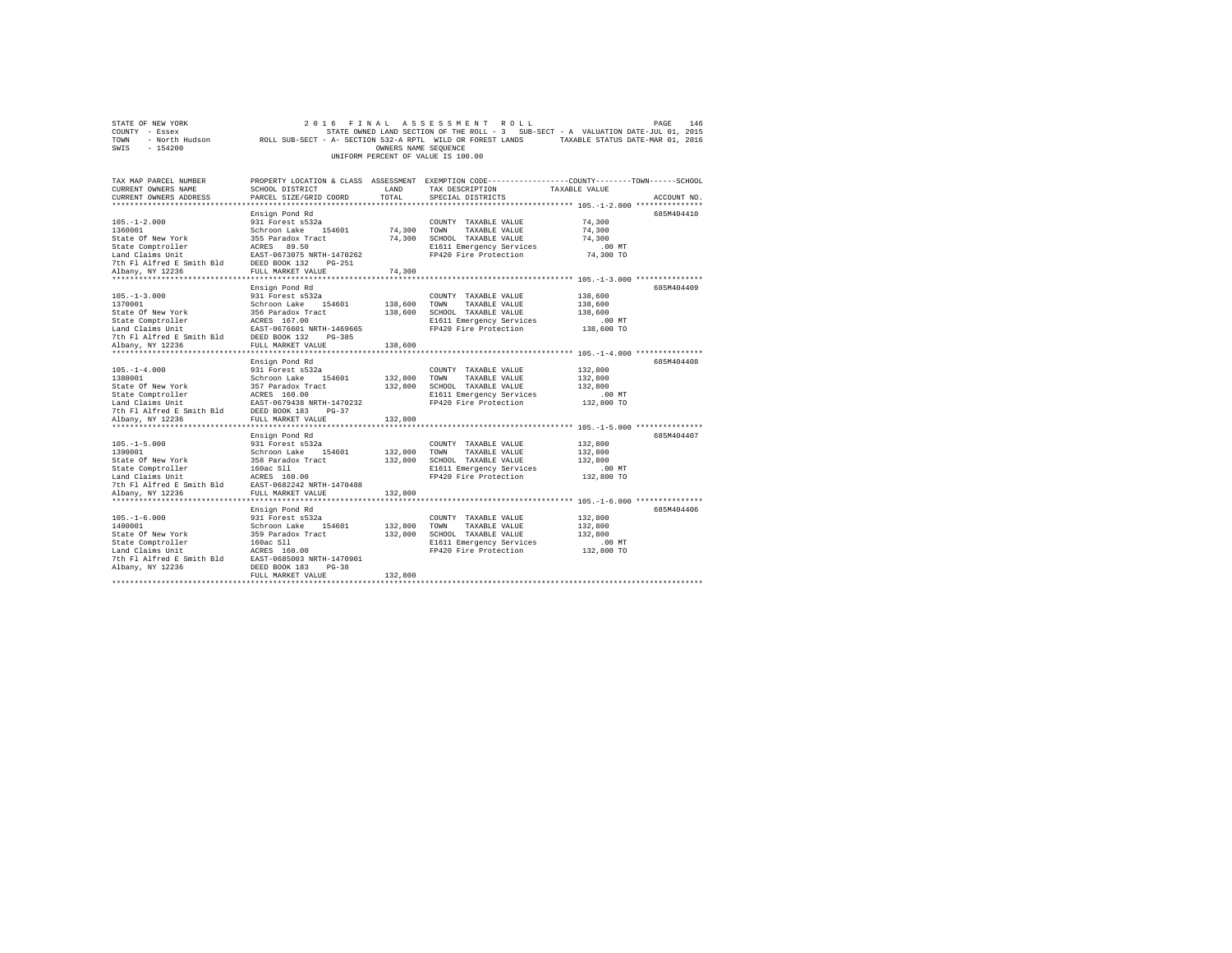| STATE OF NEW YORK<br>COUNTY<br>- Essex<br><b>TOWN</b><br>$-154200$<br>SWIS |                                                                                         | OWNERS NAME SEQUENCE | 2016 FINAL ASSESSMENT ROLL<br>UNIFORM PERCENT OF VALUE IS 100.00 | 146<br>PAGE<br>STATE OWNED LAND SECTION OF THE ROLL - 3 SUB-SECT - A VALUATION DATE-JUL 01, 2015<br>- North Hudson ROLL SUB-SECT - A- SECTION 532-A RPTL WILD OR FOREST LANDS TAXABLE STATUS DATE-MAR 01, 2016 |
|----------------------------------------------------------------------------|-----------------------------------------------------------------------------------------|----------------------|------------------------------------------------------------------|----------------------------------------------------------------------------------------------------------------------------------------------------------------------------------------------------------------|
| TAX MAP PARCEL NUMBER<br>CURRENT OWNERS NAME<br>CURRENT OWNERS ADDRESS     | PROPERTY LOCATION & CLASS ASSESSMENT<br>SCHOOL DISTRICT<br>PARCEL SIZE/GRID COORD TOTAL | LAND                 | TAX DESCRIPTION TAXABLE VALUE<br>SPECIAL DISTRICTS               | EXEMPTION CODE-----------------COUNTY-------TOWN------SCHOOL<br>ACCOUNT NO.                                                                                                                                    |
|                                                                            | Ensign Pond Rd                                                                          |                      |                                                                  | 685M404410                                                                                                                                                                                                     |
| $105, -1 - 2, 000$                                                         | 931 Forest s532a                                                                        |                      | COUNTY TAXABLE VALUE                                             | 74,300                                                                                                                                                                                                         |
| 1360001                                                                    | Schroon Lake 154601                                                                     | 74,300               | TOWN<br>TAXABLE VALUE                                            | 74,300                                                                                                                                                                                                         |
| State Of New York                                                          | 355 Paradox Tract                                                                       | 74.300               | SCHOOL<br>TAXABLE VALUE                                          | 74,300                                                                                                                                                                                                         |
| State Comptroller                                                          | ACRES 89.50                                                                             |                      | E1611 Emergency Services                                         | $.00$ MT                                                                                                                                                                                                       |
| Land Claims Unit                                                           | EAST-0673075 NRTH-1470262                                                               |                      | FP420 Fire Protection                                            | 74,300 TO                                                                                                                                                                                                      |
| 7th Fl Alfred E Smith Bld                                                  | DEED BOOK 132<br>$PG-251$                                                               |                      |                                                                  |                                                                                                                                                                                                                |
| Albany, NY 12236                                                           | FULL MARKET VALUE                                                                       | 74,300               |                                                                  |                                                                                                                                                                                                                |
|                                                                            |                                                                                         |                      |                                                                  | 685M404409                                                                                                                                                                                                     |
| $105. - 1 - 3.000$                                                         | Ensign Pond Rd<br>931 Forest s532a                                                      |                      | COUNTY<br>TAXABLE VALUE                                          | 138,600                                                                                                                                                                                                        |
| 1370001                                                                    | Schroon Lake 154601                                                                     | 138,600              | TOWN<br>TAXABLE VALUE                                            | 138,600                                                                                                                                                                                                        |
| State Of New York                                                          | 356 Paradox Tract                                                                       | 138,600              | SCHOOL<br>TAXABLE VALUE                                          | 138,600                                                                                                                                                                                                        |
|                                                                            |                                                                                         |                      |                                                                  |                                                                                                                                                                                                                |

| State Comptroller                                                                         | ACRES 167.00                   |         | E1611 Emergency Services         | $.00$ MT   |            |
|-------------------------------------------------------------------------------------------|--------------------------------|---------|----------------------------------|------------|------------|
|                                                                                           |                                |         | FP420 Fire Protection 138,600 TO |            |            |
|                                                                                           |                                |         |                                  |            |            |
|                                                                                           |                                |         |                                  |            |            |
|                                                                                           |                                |         |                                  |            |            |
|                                                                                           | Ensign Pond Rd                 |         |                                  |            | 685M404408 |
| $105. - 1 - 4.000$                                                                        | 931 Forest s532a               |         | COUNTY TAXABLE VALUE             | 132,800    |            |
| 1380001                                                                                   | 154601 132,800<br>Schroon Lake |         | TOWN<br>TAXABLE VALUE            | 132,800    |            |
| State Of New York                                                                         | 357 Paradox Tract              | 132,800 | SCHOOL TAXABLE VALUE             | 132,800    |            |
| State Comptroller                                                                         | ACRES 160.00                   |         | E1611 Emergency Services         | .00 MT     |            |
| Land Claims Unit                                                                          | EAST-0679438 NRTH-1470232      |         | FP420 Fire Protection            | 132,800 TO |            |
| 7th Fl Alfred E Smith Bld DEED BOOK 183                                                   | $PG-37$                        |         |                                  |            |            |
| Albany, NY 12236 FULL MARKET VALUE                                                        |                                | 132,800 |                                  |            |            |
|                                                                                           |                                |         |                                  |            |            |
|                                                                                           | Ensign Pond Rd                 |         |                                  |            | 685M404407 |
| $105. - 1 - 5.000$                                                                        | 931 Forest s532a               |         | COUNTY TAXABLE VALUE 132.800     |            |            |
| 1390001                                                                                   | Schroon Lake 154601 132,800    |         | TOWN<br>TAXABLE VALUE            | 132,800    |            |
| State Of New York                                                                         | 358 Paradox Tract              | 132,800 | SCHOOL TAXABLE VALUE             | 132,800    |            |
| State Comptroller                                                                         | 160ac S11                      |         | E1611 Emergency Services         | $.00$ MT   |            |
| Land Claims Unit                                                                          | ACRES 160.00                   |         | FP420 Fire Protection            | 132,800 TO |            |
|                                                                                           |                                |         |                                  |            |            |
| 7th F1 Alfred E Smith Bld EAST-0682242 NRTH-1470488<br>Albany, NY 12236 FULL MARKET VALUE |                                | 132,800 |                                  |            |            |
|                                                                                           |                                |         |                                  |            |            |
|                                                                                           | Ensign Pond Rd                 |         |                                  |            | 685M404406 |
| $105. - 1 - 6.000$                                                                        | 931 Forest s532a               |         | COUNTY TAXABLE VALUE             | 132,800    |            |
| 1400001                                                                                   | Schroon Lake 154601 132,800    |         | TOWN<br>TAXABLE VALUE            | 132,800    |            |
| State Of New York                                                                         | 359 Paradox Tract              | 132,800 | SCHOOL TAXABLE VALUE             | 132,800    |            |
| State Comptroller                                                                         | 160ac S11                      |         | E1611 Emergency Services         | .00MT      |            |
| Land Claims Unit                                                                          | ACRES 160.00                   |         | FP420 Fire Protection            | 132,800 TO |            |
| 7th Fl Alfred E Smith Bld EAST-0685003 NRTH-1470901                                       |                                |         |                                  |            |            |
| Albany, NY 12236                                                                          | DEED BOOK 183<br>$PG-38$       |         |                                  |            |            |
|                                                                                           | FULL MARKET VALUE              | 132,800 |                                  |            |            |
|                                                                                           |                                |         |                                  |            |            |
|                                                                                           |                                |         |                                  |            |            |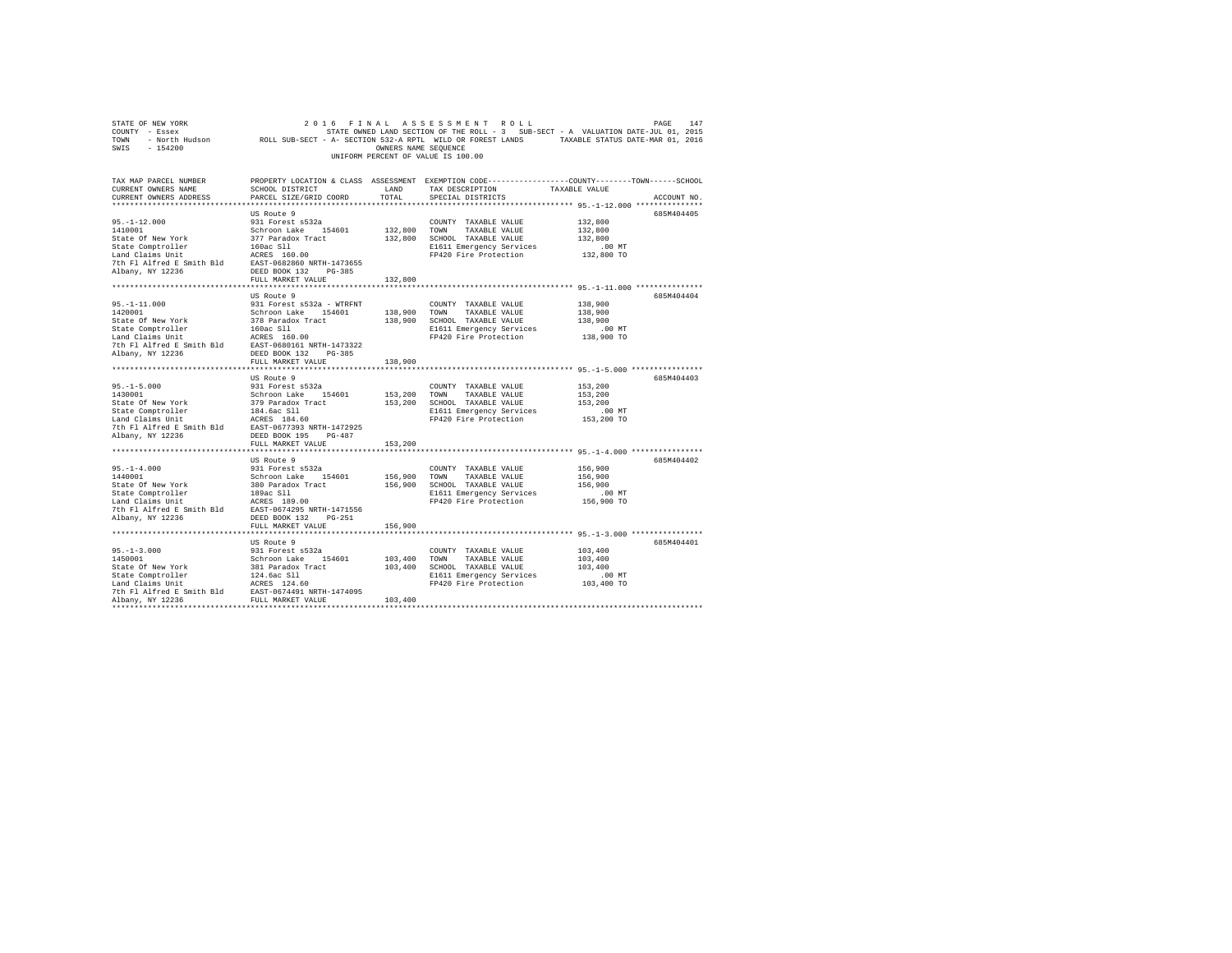|                                                                                                                                                                                                                                                 |                                           |               | COUNTY - Essex - STATE ON STATE ON STATE ON THE ROLL - 3 SUB-SECT - A VALUATION DATE-JUL 01, 2015<br>TONN - North Hudson - ROLL SUB-SECT - A- SECTION 532-A RPTL WILD OR FOREST LANDS - TAXABLE STATUS DATE-MAR 01, 2016<br>SWIS - 1 |                      |
|-------------------------------------------------------------------------------------------------------------------------------------------------------------------------------------------------------------------------------------------------|-------------------------------------------|---------------|--------------------------------------------------------------------------------------------------------------------------------------------------------------------------------------------------------------------------------------|----------------------|
|                                                                                                                                                                                                                                                 |                                           |               | UNIFORM PERCENT OF VALUE IS 100.00                                                                                                                                                                                                   |                      |
| TAX MAP PARCEL NUMBER<br>CURRENT OWNERS NAME<br>CURRENT OWNERS ADDRESS                                                                                                                                                                          | SCHOOL DISTRICT<br>PARCEL SIZE/GRID COORD | LAND<br>TOTAL | PROPERTY LOCATION & CLASS ASSESSMENT EXEMPTION CODE---------------COUNTY-------TOWN------SCHOOL<br>TAX DESCRIPTION TAXABLE VALUE<br>SPECIAL DISTRICTS                                                                                | ACCOUNT NO.          |
|                                                                                                                                                                                                                                                 |                                           |               |                                                                                                                                                                                                                                      |                      |
|                                                                                                                                                                                                                                                 | US Route 9                                |               |                                                                                                                                                                                                                                      | 685M404405           |
|                                                                                                                                                                                                                                                 |                                           |               | COUNTY TAXABLE VALUE 132,800                                                                                                                                                                                                         |                      |
|                                                                                                                                                                                                                                                 |                                           |               | COUNTY TAXABLE VALUE<br>132,800 TOWN TAXABLE VALUE                                                                                                                                                                                   | 132,800              |
|                                                                                                                                                                                                                                                 |                                           |               | 132,800 SCHOOL TAXABLE VALUE                                                                                                                                                                                                         | 132,800              |
|                                                                                                                                                                                                                                                 |                                           |               | E1611 Emergency Services<br>FP420 Fire Protection                                                                                                                                                                                    | .00 MT               |
|                                                                                                                                                                                                                                                 |                                           |               |                                                                                                                                                                                                                                      | 132,800 TO           |
|                                                                                                                                                                                                                                                 |                                           |               |                                                                                                                                                                                                                                      |                      |
|                                                                                                                                                                                                                                                 |                                           |               |                                                                                                                                                                                                                                      |                      |
|                                                                                                                                                                                                                                                 | FULL MARKET VALUE                         | 132,800       |                                                                                                                                                                                                                                      |                      |
|                                                                                                                                                                                                                                                 |                                           |               |                                                                                                                                                                                                                                      | 685M404404           |
|                                                                                                                                                                                                                                                 |                                           |               | COUNTY TAXABLE VALUE                                                                                                                                                                                                                 | 138,900              |
|                                                                                                                                                                                                                                                 |                                           |               | 138,900 TOWN TAXABLE VALUE                                                                                                                                                                                                           | 138,900              |
|                                                                                                                                                                                                                                                 |                                           |               | 138,900 SCHOOL TAXABLE VALUE                                                                                                                                                                                                         | 138,900              |
|                                                                                                                                                                                                                                                 |                                           |               |                                                                                                                                                                                                                                      |                      |
|                                                                                                                                                                                                                                                 |                                           |               | E1611 Emergency Services .00 MT<br>FP420 Fire Protection .018,900 TO                                                                                                                                                                 |                      |
|                                                                                                                                                                                                                                                 |                                           |               |                                                                                                                                                                                                                                      |                      |
|                                                                                                                                                                                                                                                 |                                           |               |                                                                                                                                                                                                                                      |                      |
|                                                                                                                                                                                                                                                 |                                           | 138,900       |                                                                                                                                                                                                                                      |                      |
|                                                                                                                                                                                                                                                 |                                           |               |                                                                                                                                                                                                                                      |                      |
|                                                                                                                                                                                                                                                 | US Route 9                                |               |                                                                                                                                                                                                                                      | 685M404403           |
|                                                                                                                                                                                                                                                 |                                           |               | COUNTY TAXABLE VALUE                                                                                                                                                                                                                 | 153,200              |
|                                                                                                                                                                                                                                                 |                                           |               | 153,200 TOWN TAXABLE VALUE<br>153,200 SCHOOL TAXABLE VALUE                                                                                                                                                                           | 153,200<br>153,200   |
|                                                                                                                                                                                                                                                 |                                           |               | E1611 Emergency Services                                                                                                                                                                                                             | .00 MT               |
| 95.-1-5.000<br>1430001 031 Forest s532a<br>1430001 031 Forest s532a<br>5tate Of New York 379 Paradox Tract<br>154601 1979 Paradox Tract<br>Land Claims Unit<br>144.6ac S11<br>171 Alfred E Smith Bld<br>27th F1 Alfred E Smith Bld<br>2827-0677 |                                           |               | FP420 Fire Protection                                                                                                                                                                                                                | 153,200 TO           |
|                                                                                                                                                                                                                                                 |                                           |               |                                                                                                                                                                                                                                      |                      |
| Albany, NY 12236                                                                                                                                                                                                                                | DEED BOOK 195 PG-487                      |               |                                                                                                                                                                                                                                      |                      |
|                                                                                                                                                                                                                                                 | FULL MARKET VALUE                         | 153,200       |                                                                                                                                                                                                                                      |                      |
|                                                                                                                                                                                                                                                 |                                           |               |                                                                                                                                                                                                                                      |                      |
| 95. $-1-4.000$                                                                                                                                                                                                                                  | US Route 9                                |               |                                                                                                                                                                                                                                      | 685M404402           |
|                                                                                                                                                                                                                                                 |                                           |               |                                                                                                                                                                                                                                      | 156,900              |
|                                                                                                                                                                                                                                                 |                                           |               |                                                                                                                                                                                                                                      | 156,900              |
|                                                                                                                                                                                                                                                 |                                           |               |                                                                                                                                                                                                                                      | 156,900              |
|                                                                                                                                                                                                                                                 |                                           |               |                                                                                                                                                                                                                                      | .00 MT<br>156,900 TO |
|                                                                                                                                                                                                                                                 |                                           |               |                                                                                                                                                                                                                                      |                      |
|                                                                                                                                                                                                                                                 |                                           |               |                                                                                                                                                                                                                                      |                      |
|                                                                                                                                                                                                                                                 | FULL MARKET VALUE                         | 156,900       |                                                                                                                                                                                                                                      |                      |
|                                                                                                                                                                                                                                                 |                                           |               |                                                                                                                                                                                                                                      |                      |
|                                                                                                                                                                                                                                                 | US Route 9                                |               |                                                                                                                                                                                                                                      | 685M404401           |
|                                                                                                                                                                                                                                                 |                                           |               |                                                                                                                                                                                                                                      | 103,400              |
|                                                                                                                                                                                                                                                 |                                           |               |                                                                                                                                                                                                                                      | 103,400              |
|                                                                                                                                                                                                                                                 |                                           |               |                                                                                                                                                                                                                                      | 103,400              |
|                                                                                                                                                                                                                                                 |                                           |               | E1611 Emergency Services                                                                                                                                                                                                             | 00 MT.<br>103,400 TO |
|                                                                                                                                                                                                                                                 |                                           |               | FP420 Fire Protection                                                                                                                                                                                                                |                      |
|                                                                                                                                                                                                                                                 |                                           |               |                                                                                                                                                                                                                                      |                      |
|                                                                                                                                                                                                                                                 |                                           |               |                                                                                                                                                                                                                                      |                      |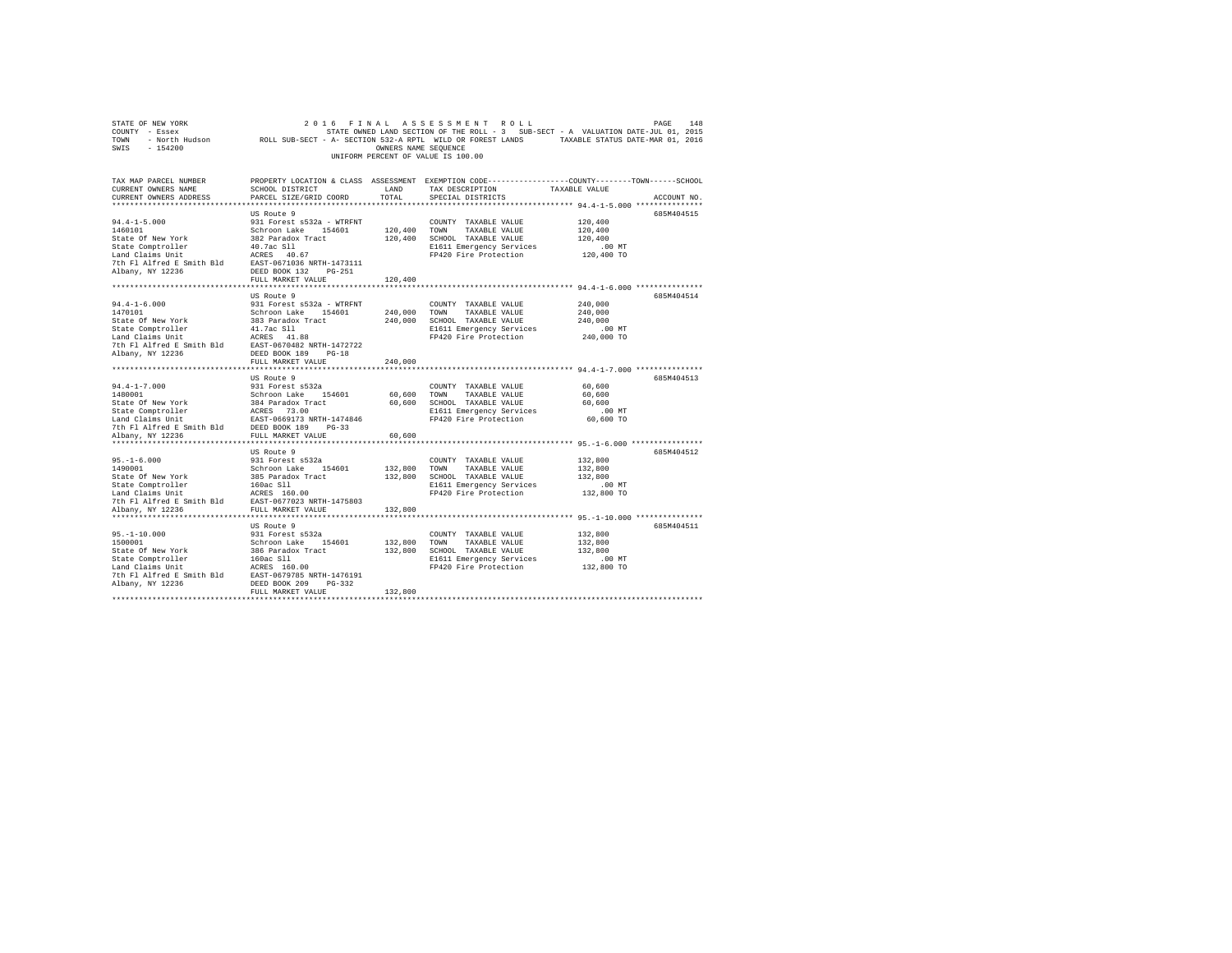| STATE OF NEW YORK                                                                                                      | 2 0 1 6<br>FINAL                                                                                           |                      | ASSESSMENT ROLL                                                                                 |               | 148<br>PAGE |
|------------------------------------------------------------------------------------------------------------------------|------------------------------------------------------------------------------------------------------------|----------------------|-------------------------------------------------------------------------------------------------|---------------|-------------|
| COUNTY - Essex                                                                                                         |                                                                                                            |                      | STATE OWNED LAND SECTION OF THE ROLL - 3 SUB-SECT - A VALUATION DATE-JUL 01, 2015               |               |             |
| TOWN                                                                                                                   | - North Hudson ROLL SUB-SECT - A- SECTION 532-A RPTL WILD OR FOREST LANDS TAXABLE STATUS DATE-MAR 01, 2016 |                      |                                                                                                 |               |             |
| $-154200$<br>SWIS                                                                                                      |                                                                                                            | OWNERS NAME SEQUENCE |                                                                                                 |               |             |
|                                                                                                                        |                                                                                                            |                      | UNIFORM PERCENT OF VALUE IS 100.00                                                              |               |             |
|                                                                                                                        |                                                                                                            |                      |                                                                                                 |               |             |
|                                                                                                                        |                                                                                                            |                      |                                                                                                 |               |             |
| TAX MAP PARCEL NUMBER                                                                                                  |                                                                                                            |                      | PROPERTY LOCATION & CLASS ASSESSMENT EXEMPTION CODE---------------COUNTY-------TOWN------SCHOOL |               |             |
|                                                                                                                        |                                                                                                            |                      |                                                                                                 |               |             |
| CURRENT OWNERS NAME                                                                                                    | SCHOOL DISTRICT                                                                                            | LAND                 | TAX DESCRIPTION                                                                                 | TAXABLE VALUE |             |
| CURRENT OWNERS ADDRESS                                                                                                 | PARCEL SIZE/GRID COORD                                                                                     | TOTAL                | SPECIAL DISTRICTS                                                                               |               | ACCOUNT NO. |
|                                                                                                                        |                                                                                                            |                      |                                                                                                 |               |             |
|                                                                                                                        | US Route 9                                                                                                 |                      |                                                                                                 |               | 685M404515  |
| $94.4 - 1 - 5.000$                                                                                                     | 931 Forest s532a - WTRFNT                                                                                  |                      | COUNTY TAXABLE VALUE                                                                            | 120,400       |             |
| 1460101                                                                                                                | Schroon Lake 154601                                                                                        | 120,400 TOWN         | TAXABLE VALUE                                                                                   | 120,400       |             |
| State Of New York                                                                                                      | 382 Paradox Tract                                                                                          | 120,400              | SCHOOL TAXABLE VALUE                                                                            | 120,400       |             |
| State Comptroller                                                                                                      | 40.7ac S11                                                                                                 |                      | E1611 Emergency Services                                                                        | $.00$ MT      |             |
| Land Claims Unit<br>The F1 AIfred E Smith B1d<br>The F1 AIfred E Smith B1d<br>Albany, NY 12236<br>DEED BOOK 132 PG-251 |                                                                                                            |                      | FP420 Fire Protection                                                                           | 120,400 TO    |             |
|                                                                                                                        |                                                                                                            |                      |                                                                                                 |               |             |
|                                                                                                                        |                                                                                                            |                      |                                                                                                 |               |             |
|                                                                                                                        |                                                                                                            |                      |                                                                                                 |               |             |
|                                                                                                                        | FULL MARKET VALUE                                                                                          | 120,400              |                                                                                                 |               |             |
|                                                                                                                        |                                                                                                            |                      |                                                                                                 |               |             |
|                                                                                                                        | US Route 9                                                                                                 |                      |                                                                                                 |               | 685M404514  |
| $94.4 - 1 - 6.000$                                                                                                     | 931 Forest s532a - WTRFNT                                                                                  |                      | COUNTY TAXABLE VALUE                                                                            | 240,000       |             |
| 1470101                                                                                                                | Schroon Lake 154601                                                                                        | 240,000 TOWN         | TAXABLE VALUE                                                                                   | 240,000       |             |
| State Of New York                                                                                                      | 383 Paradox Tract                                                                                          |                      | 240,000 SCHOOL TAXABLE VALUE                                                                    | 240,000       |             |
|                                                                                                                        | 41.7ac S11                                                                                                 |                      | E1611 Emergency Services                                                                        | $.00$ MT      |             |
| State Comptroller<br>Land Claims Unit                                                                                  |                                                                                                            |                      | FP420 Fire Protection                                                                           | 240,000 TO    |             |
|                                                                                                                        | EAST-0670482 NRTH-1472722                                                                                  |                      |                                                                                                 |               |             |
| adiu Chaims Unit<br>The FI Alfred E Smith Bld<br>EAST-0670482 N<br>Albany. NY 12226                                    | DEED BOOK 189 PG-18                                                                                        |                      |                                                                                                 |               |             |
| Albany, NY 12236                                                                                                       |                                                                                                            |                      |                                                                                                 |               |             |
|                                                                                                                        | FULL MARKET VALUE                                                                                          | 240,000              |                                                                                                 |               |             |
|                                                                                                                        |                                                                                                            |                      |                                                                                                 |               |             |
|                                                                                                                        | US Route 9                                                                                                 |                      |                                                                                                 |               | 685M404513  |
| $94.4 - 1 - 7.000$                                                                                                     | 931 Forest s532a                                                                                           |                      | COUNTY TAXABLE VALUE                                                                            | 60,600        |             |
|                                                                                                                        |                                                                                                            | 60,600               | TOWN<br>TAXABLE VALUE                                                                           | 60,600        |             |
|                                                                                                                        |                                                                                                            |                      | 60,600 SCHOOL TAXABLE VALUE                                                                     | 60,600        |             |
|                                                                                                                        |                                                                                                            |                      | E1611 Emergency Services                                                                        | $.00$ MT      |             |
|                                                                                                                        |                                                                                                            |                      | FP420 Fire Protection                                                                           | 60,600 TO     |             |
|                                                                                                                        |                                                                                                            |                      |                                                                                                 |               |             |
| Albany, NY 12236                                                                                                       |                                                                                                            | 60,600               |                                                                                                 |               |             |
|                                                                                                                        |                                                                                                            |                      |                                                                                                 |               |             |
|                                                                                                                        |                                                                                                            |                      |                                                                                                 |               |             |
|                                                                                                                        | US Route 9                                                                                                 |                      |                                                                                                 |               | 685M404512  |
| $95. - 1 - 6.000$                                                                                                      | 931 Forest s532a                                                                                           |                      | COUNTY TAXABLE VALUE                                                                            | 132,800       |             |
| 1490001                                                                                                                | Schroon Lake 154601                                                                                        | 132,800              | TOWN<br>TAXABLE VALUE                                                                           | 132,800       |             |
| State Of New York<br>State Comptroller<br>Land Claims Unit                                                             | 385 Paradox Tract<br>160ac Sll<br>ACRES 160.00                                                             |                      | 132,800 SCHOOL TAXABLE VALUE                                                                    | 132,800       |             |
|                                                                                                                        |                                                                                                            |                      | E1611 Emergency Services                                                                        | $.00$ MT      |             |
|                                                                                                                        |                                                                                                            |                      | FP420 Fire Protection                                                                           | 132,800 TO    |             |
| 7th Fl Alfred E Smith Bld EAST-0677023 NRTH-1475803                                                                    |                                                                                                            |                      |                                                                                                 |               |             |
| Albany, NY 12236                                                                                                       | FULL MARKET VALUE                                                                                          | 132,800              |                                                                                                 |               |             |
|                                                                                                                        |                                                                                                            |                      |                                                                                                 |               |             |
|                                                                                                                        | US Route 9                                                                                                 |                      |                                                                                                 |               | 685M404511  |
|                                                                                                                        |                                                                                                            |                      |                                                                                                 |               |             |
| $95. - 1 - 10.000$                                                                                                     | 931 Forest s532a                                                                                           |                      | COUNTY TAXABLE VALUE                                                                            | 132,800       |             |
| 1500001                                                                                                                | Schroon Lake 154601                                                                                        | 132,800              | TOWN<br>TAXABLE VALUE                                                                           | 132,800       |             |
| State Of New York                                                                                                      | 386 Paradox Tract                                                                                          |                      | 132,800 SCHOOL TAXABLE VALUE                                                                    | 132,800       |             |
| State Comptroller<br>Land Claims Unit                                                                                  | 160ac S11<br>ACRES 160.00                                                                                  |                      | E1611 Emergency Services                                                                        | $.00$ MT      |             |
|                                                                                                                        |                                                                                                            |                      | FP420 Fire Protection                                                                           | 132,800 TO    |             |
| 7th Fl Alfred E Smith Bld                                                                                              | EAST-0679785 NRTH-1476191                                                                                  |                      |                                                                                                 |               |             |
| Albany, NY 12236                                                                                                       | DEED BOOK 209<br>PG-332                                                                                    |                      |                                                                                                 |               |             |
|                                                                                                                        | FULL MARKET VALUE                                                                                          | 132,800              |                                                                                                 |               |             |
|                                                                                                                        |                                                                                                            |                      |                                                                                                 |               |             |
|                                                                                                                        |                                                                                                            |                      |                                                                                                 |               |             |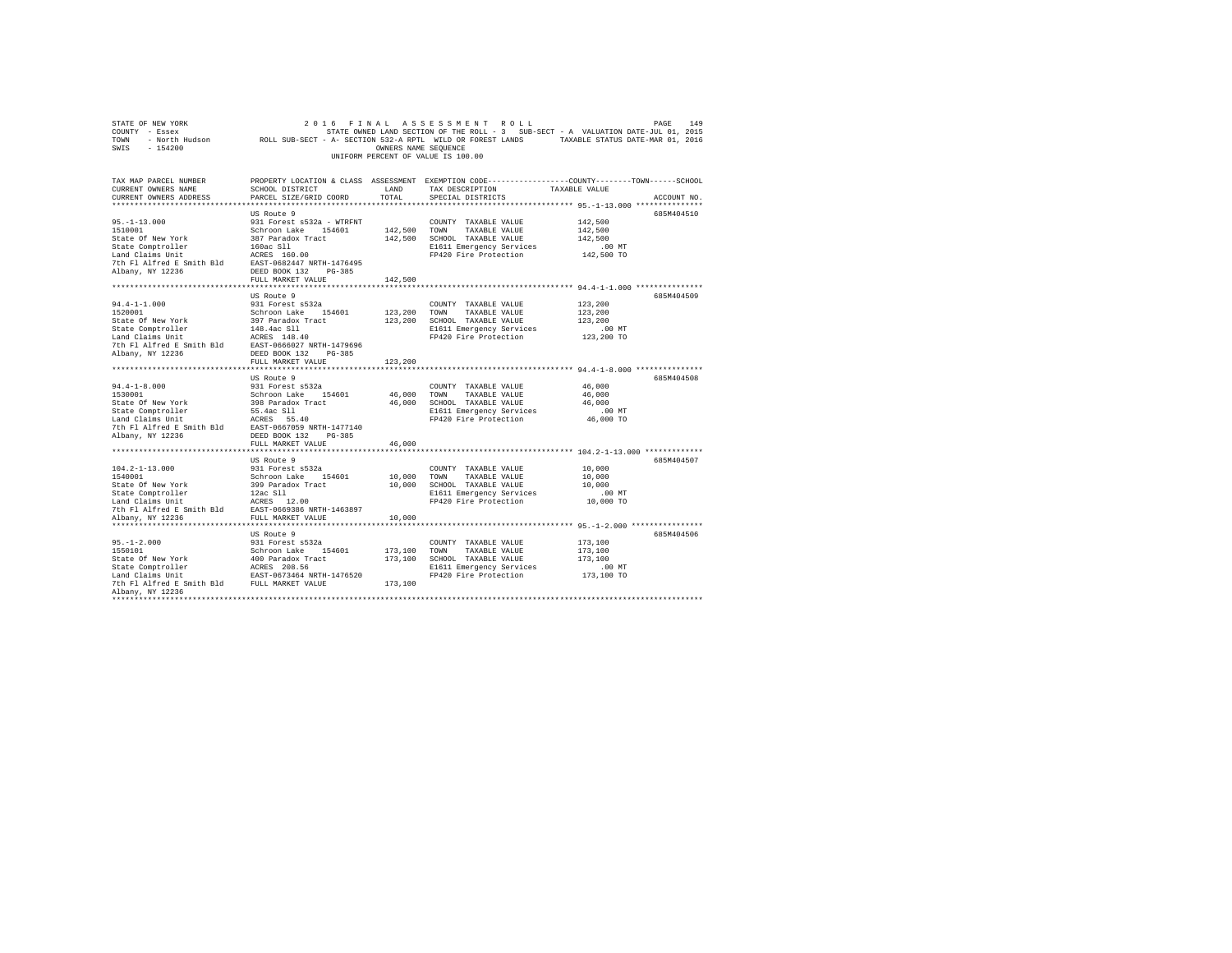|                                                                                                                                                                                                                                                                                                                                                                                                                                       |                              |         | UNIFORM PERCENT OF VALUE IS 100.00                      | COUNTY - ESSEX UNIT STATE OWNED LAND SECTION OF THE ROLL - 3 SUB-SECT - A VALUATION DATE-JUL 01, 2015<br>TOWN - NOCID HUGSON - ROLL SUB-SECT - A- SECTION S32-A RPTL WILD OR FOREST LANDS - TAXABLE STATUS DATE-MAR 01, 2016<br>SWIS |
|---------------------------------------------------------------------------------------------------------------------------------------------------------------------------------------------------------------------------------------------------------------------------------------------------------------------------------------------------------------------------------------------------------------------------------------|------------------------------|---------|---------------------------------------------------------|--------------------------------------------------------------------------------------------------------------------------------------------------------------------------------------------------------------------------------------|
|                                                                                                                                                                                                                                                                                                                                                                                                                                       |                              |         |                                                         |                                                                                                                                                                                                                                      |
| TAX MAP PARCEL NUMBER<br>CURRENT OWNERS NAME<br>CURRENT OWNERS ADDRESS                                                                                                                                                                                                                                                                                                                                                                | PARCEL SIZE/GRID COORD TOTAL |         | LAND TAX DESCRIPTION TAXABLE VALUE<br>SPECIAL DISTRICTS | PROPERTY LOCATION & CLASS ASSESSMENT EXEMPTION CODE----------------COUNTY--------TOWN------SCHOOL<br>SCHOOL DISTRICT T.and film for person tensor of the contration<br>ACCOUNT NO.                                                   |
|                                                                                                                                                                                                                                                                                                                                                                                                                                       |                              |         |                                                         |                                                                                                                                                                                                                                      |
|                                                                                                                                                                                                                                                                                                                                                                                                                                       | US Route 9                   |         |                                                         | 685M404510                                                                                                                                                                                                                           |
|                                                                                                                                                                                                                                                                                                                                                                                                                                       |                              |         | COUNTY TAXABLE VALUE                                    | 142,500                                                                                                                                                                                                                              |
|                                                                                                                                                                                                                                                                                                                                                                                                                                       |                              |         | 142,500 TOWN TAXABLE VALUE                              | 142,500                                                                                                                                                                                                                              |
|                                                                                                                                                                                                                                                                                                                                                                                                                                       |                              |         | 142,500 SCHOOL TAXABLE VALUE                            | 142,500                                                                                                                                                                                                                              |
|                                                                                                                                                                                                                                                                                                                                                                                                                                       |                              |         | E1611 Emergency Services                                | .00 MT                                                                                                                                                                                                                               |
|                                                                                                                                                                                                                                                                                                                                                                                                                                       |                              |         | FP420 Fire Protection                                   | 142,500 TO                                                                                                                                                                                                                           |
|                                                                                                                                                                                                                                                                                                                                                                                                                                       |                              |         |                                                         |                                                                                                                                                                                                                                      |
|                                                                                                                                                                                                                                                                                                                                                                                                                                       | FULL MARKET VALUE            | 142,500 |                                                         |                                                                                                                                                                                                                                      |
|                                                                                                                                                                                                                                                                                                                                                                                                                                       |                              |         |                                                         |                                                                                                                                                                                                                                      |
|                                                                                                                                                                                                                                                                                                                                                                                                                                       | US Route 9                   |         |                                                         | 685M404509                                                                                                                                                                                                                           |
|                                                                                                                                                                                                                                                                                                                                                                                                                                       |                              |         | COUNTY TAXABLE VALUE                                    | 123,200                                                                                                                                                                                                                              |
|                                                                                                                                                                                                                                                                                                                                                                                                                                       |                              |         | 123,200 TOWN TAXABLE VALUE                              | 123,200                                                                                                                                                                                                                              |
|                                                                                                                                                                                                                                                                                                                                                                                                                                       |                              |         | 123,200 SCHOOL TAXABLE VALUE                            | 123,200                                                                                                                                                                                                                              |
|                                                                                                                                                                                                                                                                                                                                                                                                                                       |                              |         | E1611 Emergency Services                                | .00MT                                                                                                                                                                                                                                |
|                                                                                                                                                                                                                                                                                                                                                                                                                                       |                              |         | FP420 Fire Protection                                   | 123,200 TO                                                                                                                                                                                                                           |
|                                                                                                                                                                                                                                                                                                                                                                                                                                       |                              |         |                                                         |                                                                                                                                                                                                                                      |
|                                                                                                                                                                                                                                                                                                                                                                                                                                       |                              |         |                                                         |                                                                                                                                                                                                                                      |
|                                                                                                                                                                                                                                                                                                                                                                                                                                       | FULL MARKET VALUE            | 123,200 |                                                         |                                                                                                                                                                                                                                      |
|                                                                                                                                                                                                                                                                                                                                                                                                                                       |                              |         |                                                         |                                                                                                                                                                                                                                      |
|                                                                                                                                                                                                                                                                                                                                                                                                                                       | US Route 9                   |         | COUNTY TAXABLE VALUE 46,000                             | 685M404508                                                                                                                                                                                                                           |
|                                                                                                                                                                                                                                                                                                                                                                                                                                       |                              |         |                                                         | 46,000                                                                                                                                                                                                                               |
|                                                                                                                                                                                                                                                                                                                                                                                                                                       |                              |         |                                                         | 46,000                                                                                                                                                                                                                               |
|                                                                                                                                                                                                                                                                                                                                                                                                                                       |                              |         |                                                         | $.00$ MT                                                                                                                                                                                                                             |
|                                                                                                                                                                                                                                                                                                                                                                                                                                       |                              |         |                                                         | 46,000 TO                                                                                                                                                                                                                            |
|                                                                                                                                                                                                                                                                                                                                                                                                                                       |                              |         |                                                         |                                                                                                                                                                                                                                      |
|                                                                                                                                                                                                                                                                                                                                                                                                                                       |                              |         |                                                         |                                                                                                                                                                                                                                      |
|                                                                                                                                                                                                                                                                                                                                                                                                                                       | FULL MARKET VALUE            | 46,000  |                                                         |                                                                                                                                                                                                                                      |
| $\begin{tabular}{lllllllllllll} $\textsc{101}$ & $\textsc{101}$ & $\textsc{101}$ & $\textsc{101}$ & $\textsc{101}$ & $\textsc{101}$ & $\textsc{101}$ & $\textsc{101}$ & $\textsc{101}$ & $\textsc{101}$ & $\textsc{101}$ & $\textsc{101}$ & $\textsc{101}$ & $\textsc{101}$ & $\textsc{101}$ & $\textsc{101}$ & $\textsc{101}$ & $\textsc{101}$ & $\textsc{101}$ & $\textsc{101}$ & $\textsc{101}$ & $\textsc{101}$ & $\textsc{101}$$ |                              |         |                                                         |                                                                                                                                                                                                                                      |
|                                                                                                                                                                                                                                                                                                                                                                                                                                       |                              |         |                                                         | 685M404507                                                                                                                                                                                                                           |
|                                                                                                                                                                                                                                                                                                                                                                                                                                       |                              |         |                                                         | 10,000                                                                                                                                                                                                                               |
|                                                                                                                                                                                                                                                                                                                                                                                                                                       |                              |         |                                                         | 10,000                                                                                                                                                                                                                               |
|                                                                                                                                                                                                                                                                                                                                                                                                                                       |                              |         |                                                         | 10,000                                                                                                                                                                                                                               |
|                                                                                                                                                                                                                                                                                                                                                                                                                                       |                              |         |                                                         | 00 MT.<br>10,000 TO                                                                                                                                                                                                                  |
|                                                                                                                                                                                                                                                                                                                                                                                                                                       |                              |         |                                                         |                                                                                                                                                                                                                                      |
|                                                                                                                                                                                                                                                                                                                                                                                                                                       |                              |         |                                                         |                                                                                                                                                                                                                                      |
|                                                                                                                                                                                                                                                                                                                                                                                                                                       |                              |         |                                                         |                                                                                                                                                                                                                                      |
|                                                                                                                                                                                                                                                                                                                                                                                                                                       | US Route 9                   |         |                                                         | 685M404506                                                                                                                                                                                                                           |
|                                                                                                                                                                                                                                                                                                                                                                                                                                       |                              |         |                                                         | 173,100                                                                                                                                                                                                                              |
|                                                                                                                                                                                                                                                                                                                                                                                                                                       |                              |         |                                                         | 173,100                                                                                                                                                                                                                              |
|                                                                                                                                                                                                                                                                                                                                                                                                                                       |                              |         |                                                         | 173,100                                                                                                                                                                                                                              |
|                                                                                                                                                                                                                                                                                                                                                                                                                                       |                              |         |                                                         | $.00$ MT                                                                                                                                                                                                                             |
|                                                                                                                                                                                                                                                                                                                                                                                                                                       |                              |         | E1611 Emergency Services<br>FP420 Fire Protection       | 173,100 TO                                                                                                                                                                                                                           |
|                                                                                                                                                                                                                                                                                                                                                                                                                                       |                              |         |                                                         |                                                                                                                                                                                                                                      |
| Albany, NY 12236<br>**********************                                                                                                                                                                                                                                                                                                                                                                                            |                              |         |                                                         |                                                                                                                                                                                                                                      |
|                                                                                                                                                                                                                                                                                                                                                                                                                                       |                              |         |                                                         |                                                                                                                                                                                                                                      |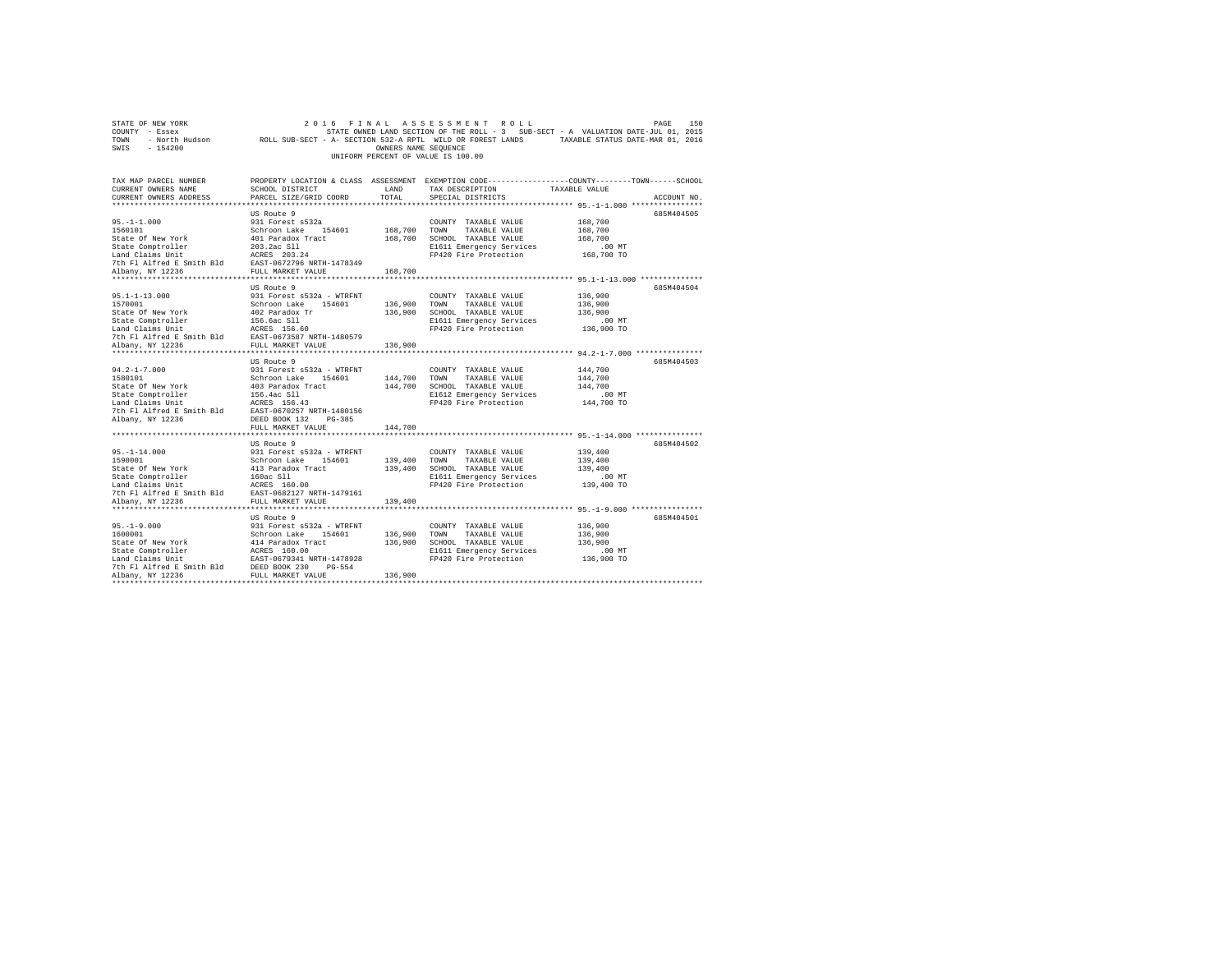| STATE OF NEW YORK<br>COUNTY - Essex<br>- North Hudson<br>TOWN<br>SWIS<br>$-154200$                                                                                                                    | 2016<br>ROLL SUB-SECT - A- SECTION 532-A RPTL WILD OR FOREST LANDS                                                                                                                                                                 | FINAL<br>OWNERS NAME SEQUENCE                | ASSESSMENT ROLL<br>STATE OWNED LAND SECTION OF THE ROLL - 3 SUB-SECT - A VALUATION DATE-JUL 01, 2015<br>UNIFORM PERCENT OF VALUE IS 100.00 | TAXABLE STATUS DATE-MAR 01, 2016                                                                                    | 150<br>PAGE |
|-------------------------------------------------------------------------------------------------------------------------------------------------------------------------------------------------------|------------------------------------------------------------------------------------------------------------------------------------------------------------------------------------------------------------------------------------|----------------------------------------------|--------------------------------------------------------------------------------------------------------------------------------------------|---------------------------------------------------------------------------------------------------------------------|-------------|
| TAX MAP PARCEL NUMBER<br>CURRENT OWNERS NAME<br>CURRENT OWNERS ADDRESS                                                                                                                                | SCHOOL DISTRICT<br>PARCEL SIZE/GRID COORD                                                                                                                                                                                          | LAND<br>TOTAL                                | PROPERTY LOCATION & CLASS ASSESSMENT EXEMPTION CODE---------------COUNTY-------TOWN-----SCHOOL<br>TAX DESCRIPTION<br>SPECIAL DISTRICTS     | TAXABLE VALUE                                                                                                       | ACCOUNT NO. |
| $95. -1 - 1.000$<br>1560101<br>State Of New York<br>State Comptroller<br>Land Claims Unit<br>7th Fl Alfred E Smith Bld<br>Albany, NY 12236                                                            | US Route 9<br>931 Forest s532a<br>Schroon Lake 154601<br>401 Paradox Tract<br>203.2ac S11<br>ACRES 203.24<br>EAST-0672796 NRTH-1478349<br>FULL MARKET VALUE                                                                        | 168,700<br>168,700<br>168,700                | COUNTY TAXABLE VALUE<br>TOWN<br>TAXABLE VALUE<br>SCHOOL TAXABLE VALUE<br>E1611 Emergency Services<br>FP420 Fire Protection                 | 168,700<br>168,700<br>168,700<br>$.00$ MT<br>168,700 TO                                                             | 685M404505  |
| ***********************<br>$95.1 - 1 - 13.000$<br>1570001<br>State Of New York<br>State Comptroller<br>Land Claims Unit<br>7th Fl Alfred E Smith Bld<br>Albany, NY 12236<br>************************* | ***********************<br>US Route 9<br>931 Forest s532a - WTRFNT<br>Schroon Lake<br>154601<br>402 Paradox Tr<br>156.6ac Sll<br>ACRES 156.60<br>EAST-0673587 NRTH-1480579<br>FULL MARKET VALUE<br>******************************* | ***********<br>136,900<br>136,900<br>136,900 | COUNTY TAXABLE VALUE<br>TOWN<br>TAXABLE VALUE<br>SCHOOL TAXABLE VALUE<br>E1611 Emergency Services<br>FP420 Fire Protection                 | *************************** 95.1-1-13.000 **************<br>136,900<br>136,900<br>136,900<br>$.00$ MT<br>136,900 TO | 685M404504  |
| $94.2 - 1 - 7.000$<br>1580101<br>State Of New York<br>State Comptroller<br>Land Claims Unit<br>7th Fl Alfred E Smith Bld<br>Albany, NY 12236                                                          | US Route 9<br>931 Forest s532a - WTRFNT<br>Schroon Lake<br>154601<br>403 Paradox Tract<br>156.4ac S11<br>ACRES 156.43<br>EAST-0670257 NRTH-1480156<br>DEED BOOK 132<br>$PG-385$                                                    | 144,700<br>144,700                           | COUNTY TAXABLE VALUE<br>TOWN<br>TAXABLE VALUE<br>SCHOOL TAXABLE VALUE<br>E1612 Emergency Services<br>FP420 Fire Protection                 | 144,700<br>144,700<br>144,700<br>$.00$ MT<br>144,700 TO                                                             | 685M404503  |
| $95. -1 - 14.000$<br>1590001<br>State Of New York<br>State Comptroller<br>Land Claims Unit<br>7th Fl Alfred E Smith Bld<br>Albany, NY 12236                                                           | FULL MARKET VALUE<br>US Route 9<br>931 Forest s532a - WTRFNT<br>Schroon Lake<br>154601<br>413 Paradox Tract<br>160ac S11<br>ACRES 160.00<br>EAST-0682127 NRTH-1479161<br>FULL MARKET VALUE                                         | 144,700<br>139,400<br>139,400<br>139,400     | COUNTY TAXABLE VALUE<br>TOWN<br>TAXABLE VALUE<br>SCHOOL TAXABLE VALUE<br>E1611 Emergency Services<br>FP420 Fire Protection                 | 139,400<br>139,400<br>139,400<br>$.00$ MT<br>139,400 TO                                                             | 685M404502  |
| **********************<br>$95. -1 - 9.000$<br>1600001<br>State Of New York<br>State Comptroller<br>Land Claims Unit<br>7th Fl Alfred E Smith Bld<br>Albany, NY 12236                                  | US Route 9<br>931 Forest s532a - WTRFNT<br>Schroon Lake<br>154601<br>414 Paradox Tract<br>ACRES 160.00<br>EAST-0679341 NRTH-1478928<br>DEED BOOK 230<br>PG-554<br>FULL MARKET VALUE                                                | 136,900<br>136,900<br>136,900                | COUNTY TAXABLE VALUE<br>TOWN<br>TAXABLE VALUE<br>SCHOOL TAXABLE VALUE<br>E1611 Emergency Services<br>FP420 Fire Protection                 | 136,900<br>136,900<br>136,900<br>$.00$ MT<br>136,900 TO                                                             | 685M404501  |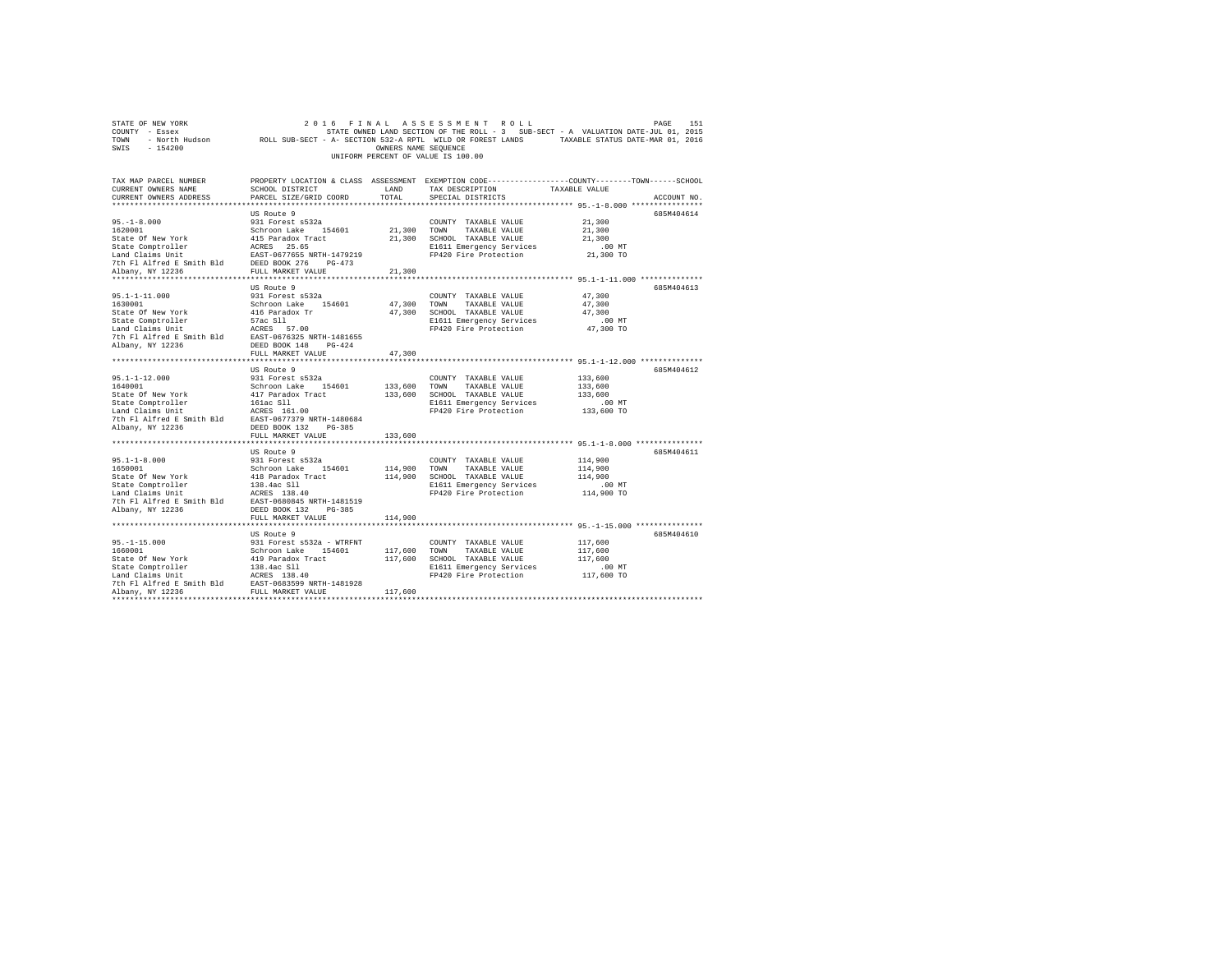| TOWN<br>- North Hudson<br>SWIS<br>$-154200$                                                                                                                                                                                       | ROLL SUB-SECT - A- SECTION 532-A RPTL WILD OR FOREST LANDS | OWNERS NAME SEQUENCE |                                    | TAXABLE STATUS DATE-MAR 01, 2016                                                                |
|-----------------------------------------------------------------------------------------------------------------------------------------------------------------------------------------------------------------------------------|------------------------------------------------------------|----------------------|------------------------------------|-------------------------------------------------------------------------------------------------|
|                                                                                                                                                                                                                                   |                                                            |                      | UNIFORM PERCENT OF VALUE IS 100.00 |                                                                                                 |
|                                                                                                                                                                                                                                   |                                                            |                      |                                    |                                                                                                 |
| TAX MAP PARCEL NUMBER                                                                                                                                                                                                             |                                                            |                      |                                    | PROPERTY LOCATION & CLASS ASSESSMENT EXEMPTION CODE---------------COUNTY-------TOWN------SCHOOL |
| CURRENT OWNERS NAME                                                                                                                                                                                                               | SCHOOL DISTRICT                                            | LAND                 | TAX DESCRIPTION                    | TAXABLE VALUE                                                                                   |
| CURRENT OWNERS ADDRESS                                                                                                                                                                                                            | PARCEL SIZE/GRID COORD                                     | TOTAL                | SPECIAL DISTRICTS                  | ACCOUNT NO.                                                                                     |
|                                                                                                                                                                                                                                   |                                                            |                      |                                    |                                                                                                 |
|                                                                                                                                                                                                                                   | US Route 9                                                 |                      |                                    | 685M404614                                                                                      |
| $95. - 1 - 8.000$                                                                                                                                                                                                                 | 931 Forest s532a                                           |                      | COUNTY TAXABLE VALUE               | 21,300                                                                                          |
| 1620001                                                                                                                                                                                                                           | Schroon Lake 154601                                        | 21,300 TOWN          | TAXABLE VALUE                      | 21,300                                                                                          |
| State of New York (15 Daradox Tract 15 Daradox Tract Controller (15 Daradox Tract 15 Daradox Tract 15 Daradox Tract 16 Daradox Tract 1479219 (16 Daradox Tract 1479219 (16 Daradox Tract 1479219 (16 Daradox Tract 15 Daradox     |                                                            |                      | 21,300 SCHOOL TAXABLE VALUE        | 21,300                                                                                          |
|                                                                                                                                                                                                                                   |                                                            |                      | E1611 Emergency Services           | $.00$ MT                                                                                        |
|                                                                                                                                                                                                                                   |                                                            |                      | FP420 Fire Protection              | 21,300 TO                                                                                       |
| Albany, NY 12236                                                                                                                                                                                                                  | FULL MARKET VALUE                                          | 21,300               |                                    |                                                                                                 |
|                                                                                                                                                                                                                                   |                                                            |                      |                                    |                                                                                                 |
|                                                                                                                                                                                                                                   | US Route 9                                                 |                      |                                    | 685M404613                                                                                      |
| $95.1 - 1 - 11.000$                                                                                                                                                                                                               | 931 Forest s532a                                           |                      | COUNTY TAXABLE VALUE               | 47,300                                                                                          |
| 1630001                                                                                                                                                                                                                           | Schroon Lake 154601                                        |                      | 47,300 TOWN TAXABLE VALUE          | 47,300                                                                                          |
|                                                                                                                                                                                                                                   |                                                            | 47,300               | SCHOOL TAXABLE VALUE               | 47,300                                                                                          |
|                                                                                                                                                                                                                                   |                                                            |                      | E1611 Emergency Services           | $.00$ MT                                                                                        |
|                                                                                                                                                                                                                                   |                                                            |                      | FP420 Fire Protection              | 47,300 TO                                                                                       |
|                                                                                                                                                                                                                                   |                                                            |                      |                                    |                                                                                                 |
|                                                                                                                                                                                                                                   |                                                            |                      |                                    |                                                                                                 |
|                                                                                                                                                                                                                                   | FULL MARKET VALUE                                          | 47,300               |                                    |                                                                                                 |
|                                                                                                                                                                                                                                   |                                                            |                      |                                    |                                                                                                 |
|                                                                                                                                                                                                                                   | US Route 9                                                 |                      |                                    | 685M404612                                                                                      |
| $95.1 - 1 - 12.000$                                                                                                                                                                                                               | 931 Forest s532a                                           |                      | COUNTY TAXABLE VALUE               | 133,600                                                                                         |
| 1640001                                                                                                                                                                                                                           | Schroon Lake 154601                                        | 133,600 TOWN         | TAXABLE VALUE                      | 133,600                                                                                         |
|                                                                                                                                                                                                                                   |                                                            |                      | 133,600 SCHOOL TAXABLE VALUE       | 133,600                                                                                         |
|                                                                                                                                                                                                                                   |                                                            |                      | E1611 Emergency Services           | .00 MT                                                                                          |
|                                                                                                                                                                                                                                   |                                                            |                      | FP420 Fire Protection              | 133,600 TO                                                                                      |
| From the Schedule Hall of Schedule 1914<br>State Of New York and Capital and Capital Islam Capital Islam Capital Islam Capital Capital Capital Capital Capital Capital Capital Capital Capital Capital Capital Capital Capital Ca |                                                            |                      |                                    |                                                                                                 |
| Albany, NY 12236                                                                                                                                                                                                                  | DEED BOOK 132 PG-385                                       | 133,600              |                                    |                                                                                                 |
|                                                                                                                                                                                                                                   | FULL MARKET VALUE<br>******************                    |                      |                                    | ********************** 95.1-1-8.000 **************                                              |
|                                                                                                                                                                                                                                   | US Route 9                                                 |                      |                                    | 685M404611                                                                                      |
| $95.1 - 1 - 8.000$                                                                                                                                                                                                                | 931 Forest s532a                                           |                      | COUNTY TAXABLE VALUE               | 114,900                                                                                         |
| 1650001                                                                                                                                                                                                                           | Schroon Lake 154601                                        | 114,900              | TOWN<br>TAXABLE VALUE              | 114,900                                                                                         |
|                                                                                                                                                                                                                                   |                                                            | 114,900              | SCHOOL TAXABLE VALUE               | 114,900                                                                                         |
|                                                                                                                                                                                                                                   |                                                            |                      | E1611 Emergency Services           | $.00$ MT                                                                                        |
|                                                                                                                                                                                                                                   |                                                            |                      | FP420 Fire Protection              | 114,900 TO                                                                                      |
|                                                                                                                                                                                                                                   |                                                            |                      |                                    |                                                                                                 |
| Albany, NY 12236                                                                                                                                                                                                                  | DEED BOOK 132 PG-385                                       |                      |                                    |                                                                                                 |
|                                                                                                                                                                                                                                   | FULL MARKET VALUE                                          | 114,900              |                                    |                                                                                                 |
|                                                                                                                                                                                                                                   |                                                            |                      |                                    |                                                                                                 |
|                                                                                                                                                                                                                                   | US Route 9                                                 |                      |                                    | 685M404610                                                                                      |
| $95. -1 - 15.000$                                                                                                                                                                                                                 | 931 Forest s532a - WTRFNT                                  |                      | COUNTY TAXABLE VALUE               | 117,600                                                                                         |
| 1660001                                                                                                                                                                                                                           | Schroon Lake 154601<br>419 Paradox Tract                   |                      | 117,600 TOWN<br>TAXABLE VALUE      | 117,600                                                                                         |
| State Of New York                                                                                                                                                                                                                 |                                                            |                      | 117,600 SCHOOL TAXABLE VALUE       | 117,600                                                                                         |
|                                                                                                                                                                                                                                   |                                                            |                      | E1611 Emergency Services           | $.00$ MT                                                                                        |
|                                                                                                                                                                                                                                   |                                                            |                      | FP420 Fire Protection              | 117,600 TO                                                                                      |
| State Comptroller 138.4ac S11<br>Land Claims Unit 12 ACRES 138.40<br>7th F1 Alfred E Smith Bld EAST-0683599 NRTH-1481928<br>21 Albany, NY 12236<br>Albany, NY 12236                                                               | FULL MARKET VALUE                                          | 117,600              |                                    |                                                                                                 |
|                                                                                                                                                                                                                                   |                                                            |                      |                                    |                                                                                                 |
|                                                                                                                                                                                                                                   |                                                            |                      |                                    |                                                                                                 |

STATE OF NEW YORK<br>COUNTY - Essex STATE ON A STATE OWNED LAND SECTION OF THE ROLL - 3 SUB-SECT - A VALUATION DATE-JUL 01, 2015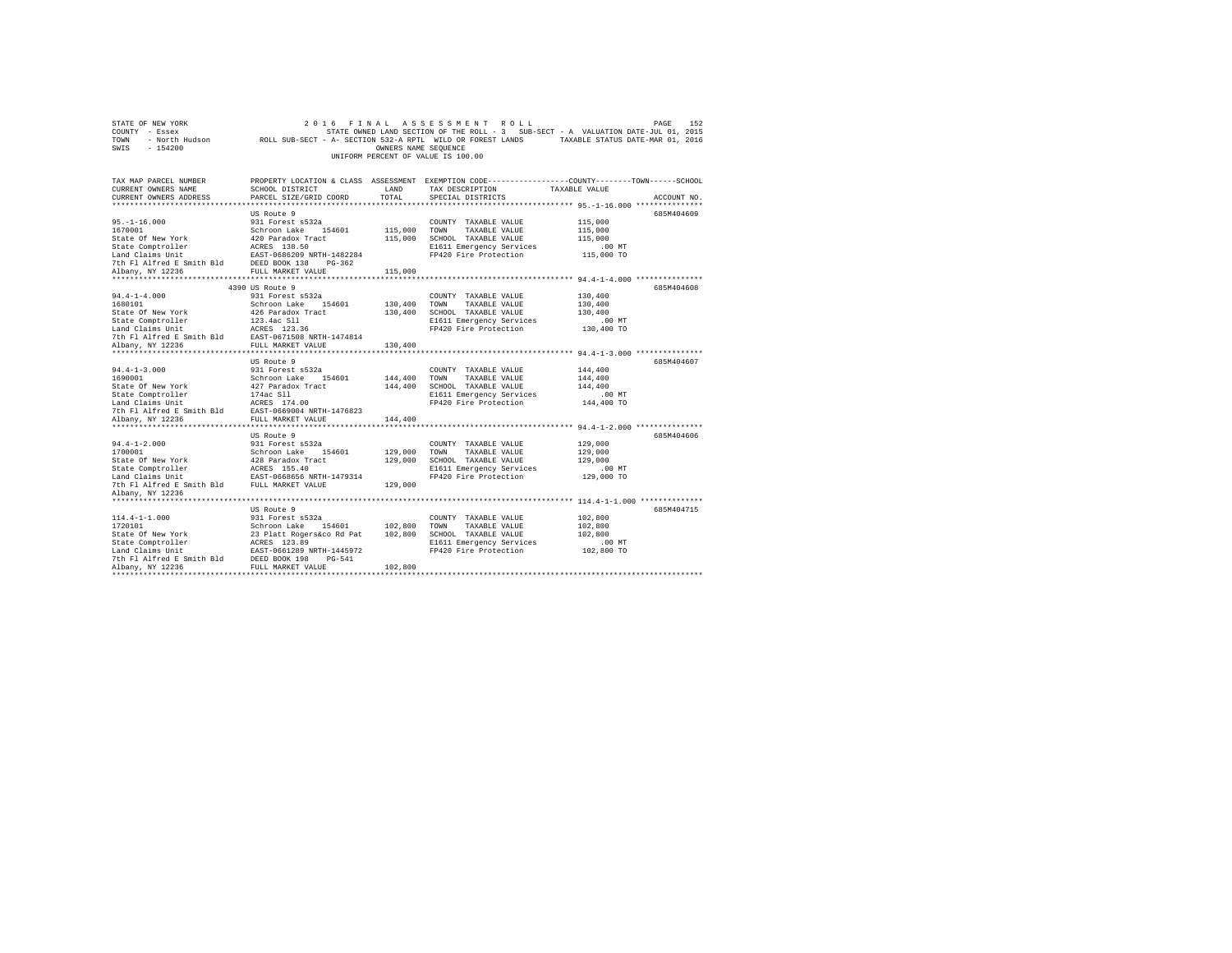| STATE OF NEW YORK                                                                                                                                                                                                                                                    | 2 0 1 6                        |                      | FINAL ASSESSMENT ROLL                             | PAGE                                                                                                       | 152 |
|----------------------------------------------------------------------------------------------------------------------------------------------------------------------------------------------------------------------------------------------------------------------|--------------------------------|----------------------|---------------------------------------------------|------------------------------------------------------------------------------------------------------------|-----|
| COUNTY - Essex                                                                                                                                                                                                                                                       |                                |                      |                                                   | STATE OWNED LAND SECTION OF THE ROLL - 3 SUB-SECT - A VALUATION DATE-JUL 01, 2015                          |     |
| TOWN                                                                                                                                                                                                                                                                 |                                |                      |                                                   | - North Hudson ROLL SUB-SECT - A- SECTION 532-A RPTL WILD OR FOREST LANDS TAXABLE STATUS DATE-MAR 01, 2016 |     |
| SWIS<br>$-154200$                                                                                                                                                                                                                                                    |                                | OWNERS NAME SEQUENCE |                                                   |                                                                                                            |     |
|                                                                                                                                                                                                                                                                      |                                |                      | UNIFORM PERCENT OF VALUE IS 100.00                |                                                                                                            |     |
|                                                                                                                                                                                                                                                                      |                                |                      |                                                   |                                                                                                            |     |
|                                                                                                                                                                                                                                                                      |                                |                      |                                                   |                                                                                                            |     |
| TAX MAP PARCEL NUMBER                                                                                                                                                                                                                                                |                                |                      |                                                   | PROPERTY LOCATION & CLASS ASSESSMENT EXEMPTION CODE---------------COUNTY-------TOWN------SCHOOL            |     |
| CURRENT OWNERS NAME                                                                                                                                                                                                                                                  | <b>LAND</b><br>SCHOOL DISTRICT |                      | TAX DESCRIPTION                                   | TAXABLE VALUE                                                                                              |     |
| CURRENT OWNERS ADDRESS                                                                                                                                                                                                                                               | PARCEL SIZE/GRID COORD         | TOTAL                | SPECIAL DISTRICTS                                 | ACCOUNT NO.                                                                                                |     |
|                                                                                                                                                                                                                                                                      |                                |                      |                                                   |                                                                                                            |     |
|                                                                                                                                                                                                                                                                      | US Route 9                     |                      |                                                   | 685M404609                                                                                                 |     |
| $95. - 1 - 16.000$                                                                                                                                                                                                                                                   | 931 Forest s532a               |                      | COUNTY TAXABLE VALUE                              | 115,000                                                                                                    |     |
| 1670001                                                                                                                                                                                                                                                              | Schroon Lake 154601            | 115,000 TOWN         | TAXABLE VALUE                                     | 115,000                                                                                                    |     |
| State Of New York<br>State Of New York 120 Paradox Tract<br>State Comptroller 1885 138.50<br>Land Claims Unit 1685 EAST-0686209 NRTH-1482284                                                                                                                         |                                |                      | 115,000 SCHOOL TAXABLE VALUE                      | 115,000                                                                                                    |     |
|                                                                                                                                                                                                                                                                      |                                |                      | E1611 Emergency Services                          | .00 MT                                                                                                     |     |
|                                                                                                                                                                                                                                                                      |                                |                      | FP420 Fire Protection                             | 115,000 TO                                                                                                 |     |
| DEED BOOK 138 PG-362<br>The Fl Alfred E Smith Bld BEED BOOK 138 PG-362<br>Albany. NY 12236 FULL MARKET VALUE                                                                                                                                                         |                                |                      |                                                   |                                                                                                            |     |
|                                                                                                                                                                                                                                                                      |                                | 115,000              |                                                   |                                                                                                            |     |
|                                                                                                                                                                                                                                                                      |                                |                      |                                                   |                                                                                                            |     |
|                                                                                                                                                                                                                                                                      | 4390 US Route 9                |                      |                                                   | 685M404608                                                                                                 |     |
| $94.4 - 1 - 4.000$                                                                                                                                                                                                                                                   | 931 Forest s532a               |                      | COUNTY TAXABLE VALUE                              | 130,400                                                                                                    |     |
| 1680101                                                                                                                                                                                                                                                              | Schroon Lake 154601            | 130,400 TOWN         | TAXABLE VALUE                                     | 130,400                                                                                                    |     |
| State Of New York                                                                                                                                                                                                                                                    | 426 Paradox Tract              |                      | 130,400 SCHOOL TAXABLE VALUE                      | 130,400                                                                                                    |     |
| State Comptroller                                                                                                                                                                                                                                                    | 123.4ac Sll                    |                      | E1611 Emergency Services                          | $.00$ MT                                                                                                   |     |
|                                                                                                                                                                                                                                                                      |                                |                      | FP420 Fire Protection                             | 130,400 TO                                                                                                 |     |
| State Computering 1998<br>Land Claims Unit<br>7th Fl Alfred E Smith Bld<br>EAST-0671508 NRTH-1474814<br>ENGLES AND THE MARGE VALUE                                                                                                                                   |                                |                      |                                                   |                                                                                                            |     |
| Albany, NY 12236                                                                                                                                                                                                                                                     | FULL MARKET VALUE              | 130,400              |                                                   |                                                                                                            |     |
|                                                                                                                                                                                                                                                                      |                                |                      |                                                   |                                                                                                            |     |
|                                                                                                                                                                                                                                                                      | US Route 9                     |                      |                                                   | 685M404607                                                                                                 |     |
| $94.4 - 1 - 3.000$                                                                                                                                                                                                                                                   | 931 Forest s532a               |                      | COUNTY TAXABLE VALUE                              | 144,400                                                                                                    |     |
| 1690001                                                                                                                                                                                                                                                              | Schroon Lake 154601            | 144,400 TOWN         | TAXABLE VALUE                                     | 144,400                                                                                                    |     |
| 1900011 State of New York 127 Paradox Tract<br>State Comptroller 1742 STAT 17401<br>State Comptroller 17462 SM 1740<br>Land Claims Unit 17462 Smith Bld<br>2021<br>The FI Alfred E Smith Bld<br>2021<br>2021<br>2021<br>2021                                         |                                |                      | 144,400 SCHOOL TAXABLE VALUE                      | 144,400                                                                                                    |     |
|                                                                                                                                                                                                                                                                      |                                |                      | E1611 Emergency Services<br>FP420 Fire Protection | $.00$ MT                                                                                                   |     |
|                                                                                                                                                                                                                                                                      |                                |                      |                                                   | 144,400 TO                                                                                                 |     |
|                                                                                                                                                                                                                                                                      |                                |                      |                                                   |                                                                                                            |     |
| Albany, NY 12236                                                                                                                                                                                                                                                     | FULL MARKET VALUE              | 144,400              |                                                   |                                                                                                            |     |
|                                                                                                                                                                                                                                                                      | US Route 9                     |                      |                                                   | 685M404606                                                                                                 |     |
| $94.4 - 1 - 2.000$                                                                                                                                                                                                                                                   | 931 Forest s532a               |                      | COUNTY TAXABLE VALUE                              | 129,000                                                                                                    |     |
|                                                                                                                                                                                                                                                                      |                                | 129,000 TOWN         | TAXABLE VALUE                                     | 129,000                                                                                                    |     |
|                                                                                                                                                                                                                                                                      |                                |                      | 129,000 SCHOOL TAXABLE VALUE                      | 129,000                                                                                                    |     |
|                                                                                                                                                                                                                                                                      |                                |                      | E1611 Emergency Services                          | $.00$ MT                                                                                                   |     |
|                                                                                                                                                                                                                                                                      |                                |                      | FP420 Fire Protection                             | 129,000 TO                                                                                                 |     |
|                                                                                                                                                                                                                                                                      |                                | 129,000              |                                                   |                                                                                                            |     |
| Albany, NY 12236                                                                                                                                                                                                                                                     |                                |                      |                                                   |                                                                                                            |     |
|                                                                                                                                                                                                                                                                      |                                |                      |                                                   |                                                                                                            |     |
|                                                                                                                                                                                                                                                                      | US Route 9                     |                      |                                                   | 685M404715                                                                                                 |     |
| $114.4 - 1 - 1.000$                                                                                                                                                                                                                                                  | 931 Forest s532a               |                      | COUNTY TAXABLE VALUE                              | 102,800                                                                                                    |     |
|                                                                                                                                                                                                                                                                      |                                | 102,800              | TOWN<br>TAXABLE VALUE                             | 102,800                                                                                                    |     |
|                                                                                                                                                                                                                                                                      |                                |                      | 102,800 SCHOOL TAXABLE VALUE                      | 102,800                                                                                                    |     |
|                                                                                                                                                                                                                                                                      |                                |                      | E1611 Emergency Services                          | $.00$ MT                                                                                                   |     |
|                                                                                                                                                                                                                                                                      |                                |                      | FP420 Fire Protection                             | 102,800 TO                                                                                                 |     |
|                                                                                                                                                                                                                                                                      |                                |                      |                                                   |                                                                                                            |     |
|                                                                                                                                                                                                                                                                      |                                |                      |                                                   |                                                                                                            |     |
| 1720101<br>1720101<br>1720101 Schroon Lake 154601<br>1720101 Schroon Lake 154601<br>1720101 Schroon Lake 154601<br>1720101 Schroon Lake 18261289 NRTH-1445972<br>17201 Carl 18201 172016<br>17201 NRTH PAIRT 2236<br>17201 NRTH PAIRT 2236<br>17<br>Albany, NY 12236 |                                | 102,800              |                                                   |                                                                                                            |     |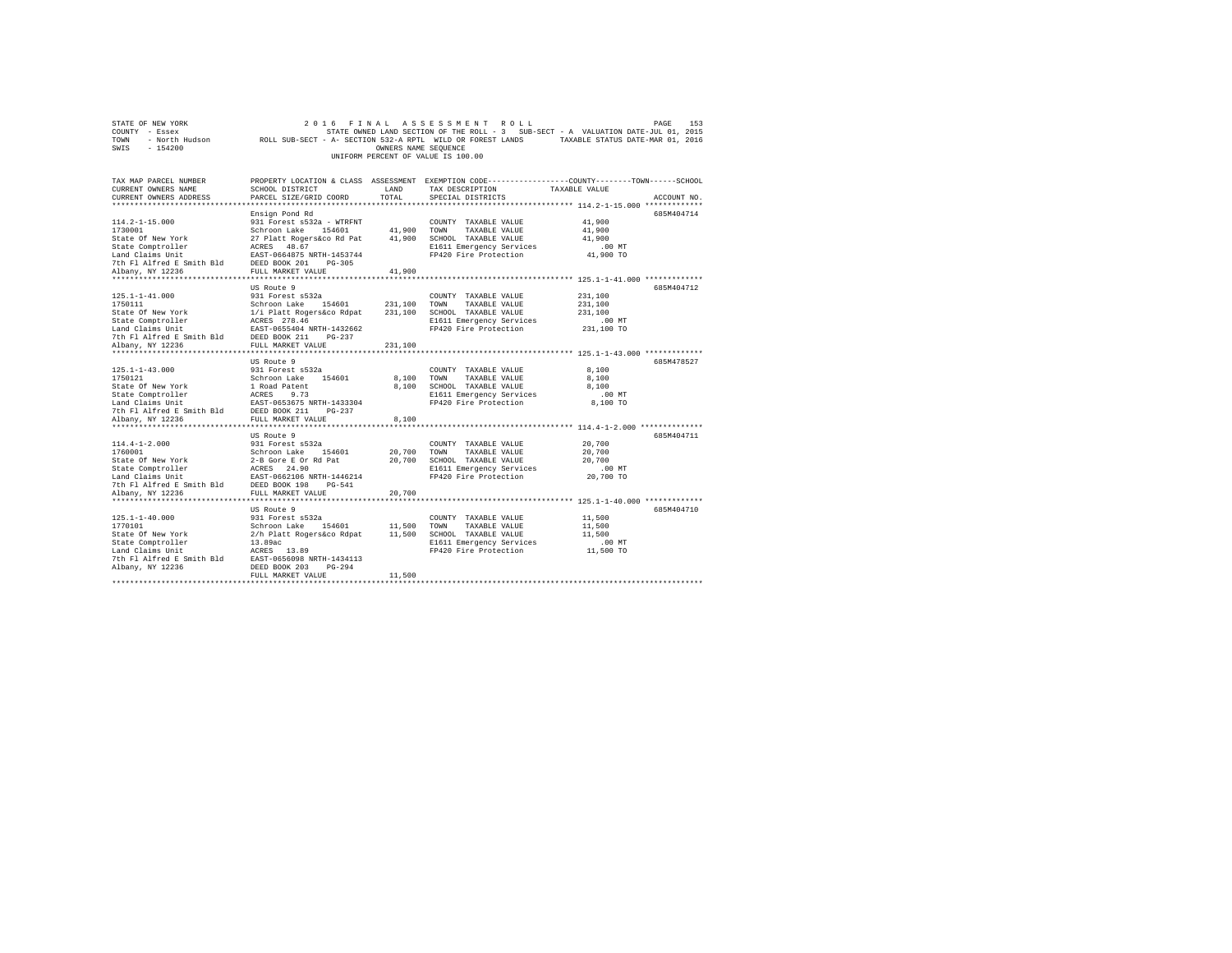| STATE OF NEW YORK         | 2016<br>FINAL                                                                                   |                      | ASSESSMENT<br>ROLL                 |                                                                                   | PAGE<br>153 |
|---------------------------|-------------------------------------------------------------------------------------------------|----------------------|------------------------------------|-----------------------------------------------------------------------------------|-------------|
| COUNTY - Essex            |                                                                                                 |                      |                                    | STATE OWNED LAND SECTION OF THE ROLL - 3 SUB-SECT - A VALUATION DATE-JUL 01, 2015 |             |
| - North Hudson<br>TOWN    | ROLL SUB-SECT - A- SECTION 532-A RPTL WILD OR FOREST LANDS                                      |                      |                                    | TAXABLE STATUS DATE-MAR 01, 2016                                                  |             |
| SWIS<br>$-154200$         |                                                                                                 | OWNERS NAME SEQUENCE |                                    |                                                                                   |             |
|                           |                                                                                                 |                      | UNIFORM PERCENT OF VALUE IS 100.00 |                                                                                   |             |
|                           |                                                                                                 |                      |                                    |                                                                                   |             |
|                           |                                                                                                 |                      |                                    |                                                                                   |             |
| TAX MAP PARCEL NUMBER     | PROPERTY LOCATION & CLASS ASSESSMENT EXEMPTION CODE---------------COUNTY-------TOWN------SCHOOL |                      |                                    |                                                                                   |             |
| CURRENT OWNERS NAME       | SCHOOL DISTRICT                                                                                 | LAND                 | TAX DESCRIPTION                    | TAXABLE VALUE                                                                     |             |
| CURRENT OWNERS ADDRESS    | PARCEL SIZE/GRID COORD                                                                          | TOTAL                | SPECIAL DISTRICTS                  |                                                                                   | ACCOUNT NO. |
|                           |                                                                                                 |                      |                                    |                                                                                   |             |
|                           | Ensign Pond Rd                                                                                  |                      |                                    |                                                                                   | 685M404714  |
| $114.2 - 1 - 15.000$      | 931 Forest s532a - WTRFNT                                                                       |                      | COUNTY TAXABLE VALUE               | 41,900                                                                            |             |
| 1730001                   | Schroon Lake<br>154601                                                                          | 41,900               | TOWN<br>TAXABLE VALUE              | 41,900                                                                            |             |
| State Of New York         | 27 Platt Rogers&co Rd Pat                                                                       | 41,900               | SCHOOL TAXABLE VALUE               | 41,900                                                                            |             |
| State Comptroller         | ACRES 48.67                                                                                     |                      | E1611 Emergency Services           | .00MT                                                                             |             |
|                           |                                                                                                 |                      |                                    |                                                                                   |             |
| Land Claims Unit          | EAST-0664875 NRTH-1453744                                                                       |                      | FP420 Fire Protection              | 41,900 TO                                                                         |             |
| 7th Fl Alfred E Smith Bld | DEED BOOK 201<br>$PG-305$                                                                       |                      |                                    |                                                                                   |             |
| Albany, NY 12236          | FULL MARKET VALUE                                                                               | 41,900               |                                    |                                                                                   |             |
| *******************       | ********************                                                                            |                      |                                    | ******************** 125.1-1-41.000 *************                                 |             |
|                           | US Route 9                                                                                      |                      |                                    |                                                                                   | 685M404712  |
| $125.1 - 1 - 41.000$      | 931 Forest s532a                                                                                |                      | COUNTY TAXABLE VALUE               | 231,100                                                                           |             |
| 1750111                   | Schroon Lake<br>154601                                                                          | 231,100              | TOWN<br>TAXABLE VALUE              | 231,100                                                                           |             |
| State Of New York         | 1/i Platt Rogers&co Rdpat                                                                       | 231,100              | SCHOOL TAXABLE VALUE               | 231,100                                                                           |             |
| State Comptroller         | ACRES 278.46                                                                                    |                      | E1611 Emergency Services           | $.00$ MT                                                                          |             |
| Land Claims Unit          | EAST-0655404 NRTH-1432662                                                                       |                      | FP420 Fire Protection              | 231,100 TO                                                                        |             |
| 7th Fl Alfred E Smith Bld | DEED BOOK 211<br>$PG-237$                                                                       |                      |                                    |                                                                                   |             |
| Albany, NY 12236          | FULL MARKET VALUE                                                                               | 231,100              |                                    |                                                                                   |             |
| ********************      | ********************                                                                            |                      |                                    | ******************************** 125.1-1-43.000 *************                     |             |
|                           | US Route 9                                                                                      |                      |                                    |                                                                                   | 685M478527  |
| $125.1 - 1 - 43.000$      | 931 Forest s532a                                                                                |                      | COUNTY TAXABLE VALUE               | 8,100                                                                             |             |
| 1750121                   | Schroon Lake<br>154601                                                                          | 8,100                | TOWN<br>TAXABLE VALUE              | 8,100                                                                             |             |
| State Of New York         | 1 Road Patent                                                                                   | 8,100                | SCHOOL TAXABLE VALUE               | 8,100                                                                             |             |
| State Comptroller         | ACRES<br>9.73                                                                                   |                      | E1611 Emergency Services           | $.00$ MT                                                                          |             |
| Land Claims Unit          | EAST-0653675 NRTH-1433304                                                                       |                      | FP420 Fire Protection              | 8,100 TO                                                                          |             |
| 7th Fl Alfred E Smith Bld | DEED BOOK 211<br>$PG-237$                                                                       |                      |                                    |                                                                                   |             |
| Albany, NY 12236          | FULL MARKET VALUE                                                                               | 8,100                |                                    |                                                                                   |             |
| *****************         | .                                                                                               |                      |                                    | ********* 114.4-1-2.000 ***************                                           |             |
|                           | US Route 9                                                                                      |                      |                                    |                                                                                   | 685M404711  |
|                           |                                                                                                 |                      |                                    |                                                                                   |             |
| $114.4 - 1 - 2.000$       | 931 Forest s532a                                                                                |                      | COUNTY TAXABLE VALUE               | 20,700                                                                            |             |
| 1760001                   | Schroon Lake<br>154601                                                                          | 20,700               | TAXABLE VALUE<br>TOWN              | 20,700                                                                            |             |
| State Of New York         | 2-B Gore E Or Rd Pat                                                                            | 20,700               | SCHOOL TAXABLE VALUE               | 20,700                                                                            |             |
| State Comptroller         | ACRES 24.90                                                                                     |                      | E1611 Emergency Services           | .00MT                                                                             |             |
| Land Claims Unit          | EAST-0662106 NRTH-1446214                                                                       |                      | FP420 Fire Protection              | 20,700 TO                                                                         |             |
| 7th Fl Alfred E Smith Bld | DEED BOOK 198<br>$PG-541$                                                                       |                      |                                    |                                                                                   |             |
| Albany, NY 12236          | FULL MARKET VALUE                                                                               | 20,700               |                                    |                                                                                   |             |
| ************************  | *****************************                                                                   |                      |                                    |                                                                                   |             |
|                           | US Route 9                                                                                      |                      |                                    |                                                                                   | 685M404710  |
| $125.1 - 1 - 40.000$      | 931 Forest s532a                                                                                |                      | COUNTY TAXABLE VALUE               | 11,500                                                                            |             |
| 1770101                   | Schroon Lake 154601                                                                             | 11,500               | TOWN<br>TAXABLE VALUE              | 11,500                                                                            |             |
| State Of New York         | 2/h Platt Rogers&co Rdpat                                                                       | 11,500               | SCHOOL TAXABLE VALUE               | 11,500                                                                            |             |
| State Comptroller         | 13.89ac                                                                                         |                      | E1611 Emergency Services           | $.00$ MT                                                                          |             |
| Land Claims Unit          | ACRES 13.89                                                                                     |                      | FP420 Fire Protection              | 11,500 TO                                                                         |             |
| 7th Fl Alfred E Smith Bld | EAST-0656098 NRTH-1434113                                                                       |                      |                                    |                                                                                   |             |
| Albany, NY 12236          | DEED BOOK 203<br>$PG-294$                                                                       |                      |                                    |                                                                                   |             |
|                           | FULL MARKET VALUE                                                                               | 11,500               |                                    |                                                                                   |             |
|                           |                                                                                                 |                      |                                    |                                                                                   |             |
|                           |                                                                                                 |                      |                                    |                                                                                   |             |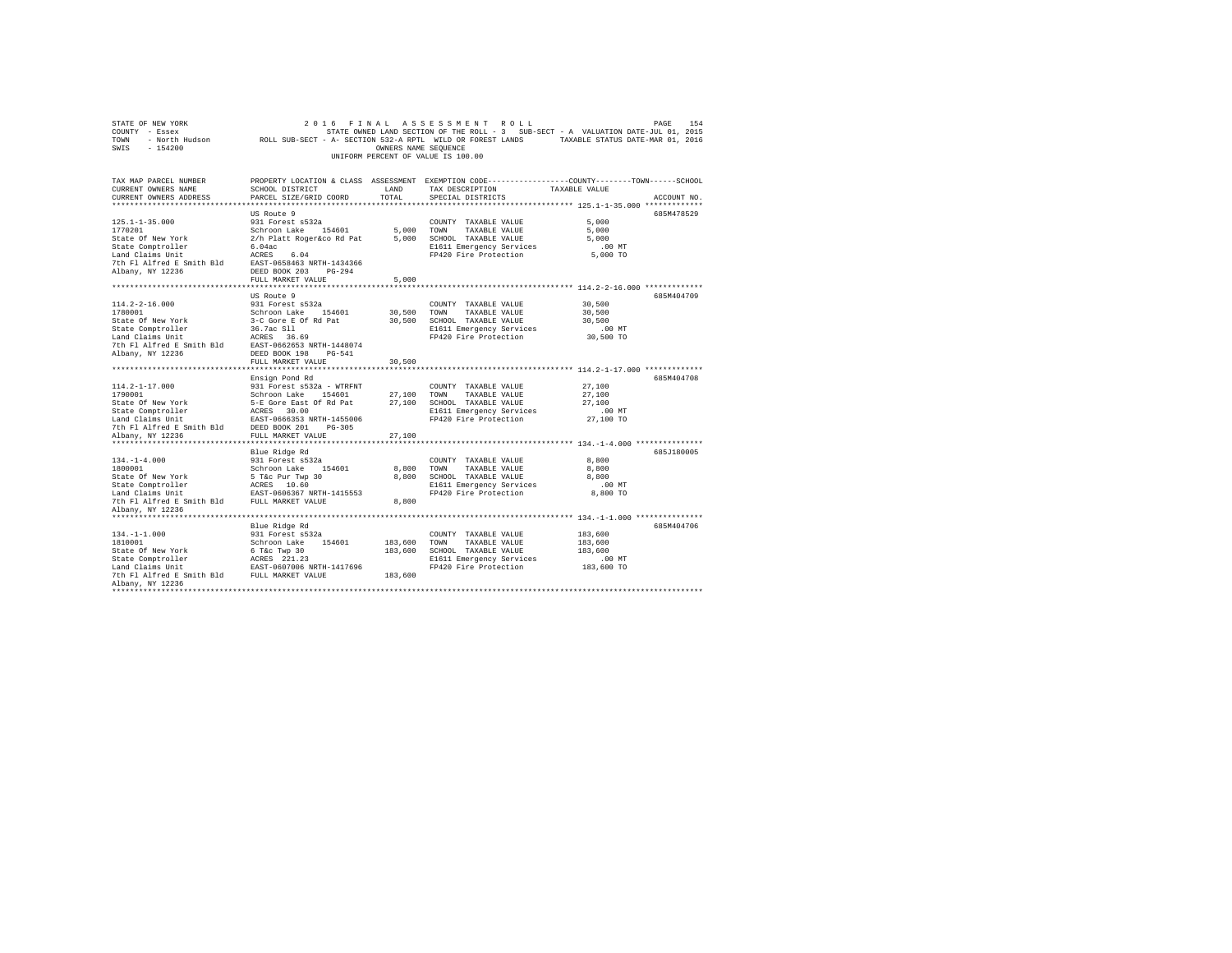| COUNTY - Essex<br>TOWN                                                                                                                                                                                                                                    |                             |                      | STATE OWNED LAND SECTION OF THE ROLL - 3 SUB-SECT - A VALUATION DATE-JUL 01, 2015                                      |                                                              |             |
|-----------------------------------------------------------------------------------------------------------------------------------------------------------------------------------------------------------------------------------------------------------|-----------------------------|----------------------|------------------------------------------------------------------------------------------------------------------------|--------------------------------------------------------------|-------------|
|                                                                                                                                                                                                                                                           |                             |                      | - North Hudson       ROLL SUB-SECT - A- SECTION 532-A RPTL WILD OR FOREST LANDS       TAXABLE STATUS DATE-MAR 01, 2016 |                                                              |             |
| SWIS<br>$-154200$                                                                                                                                                                                                                                         |                             | OWNERS NAME SEOUENCE |                                                                                                                        |                                                              |             |
|                                                                                                                                                                                                                                                           |                             |                      | UNIFORM PERCENT OF VALUE IS 100.00                                                                                     |                                                              |             |
|                                                                                                                                                                                                                                                           |                             |                      |                                                                                                                        |                                                              |             |
|                                                                                                                                                                                                                                                           |                             |                      |                                                                                                                        |                                                              |             |
| TAX MAP PARCEL NUMBER                                                                                                                                                                                                                                     |                             |                      | PROPERTY LOCATION & CLASS ASSESSMENT EXEMPTION CODE----------------COUNTY-------TOWN-----SCHOOL                        |                                                              |             |
| CURRENT OWNERS NAME                                                                                                                                                                                                                                       | SCHOOL DISTRICT             | LAND                 | TAX DESCRIPTION                                                                                                        | TAXABLE VALUE                                                |             |
| CURRENT OWNERS ADDRESS                                                                                                                                                                                                                                    | PARCEL SIZE/GRID COORD      | TOTAL                | SPECIAL DISTRICTS                                                                                                      |                                                              | ACCOUNT NO. |
|                                                                                                                                                                                                                                                           |                             |                      |                                                                                                                        | ******************************* 125.1-1-35.000 ************* |             |
|                                                                                                                                                                                                                                                           | US Route 9                  |                      |                                                                                                                        |                                                              | 685M478529  |
| $125.1 - 1 - 35.000$                                                                                                                                                                                                                                      | 931 Forest s532a            |                      | COUNTY TAXABLE VALUE                                                                                                   | 5,000                                                        |             |
| 1770201                                                                                                                                                                                                                                                   | Schroon Lake 154601         | 5,000                | TOWN<br>TAXABLE VALUE                                                                                                  | 5,000                                                        |             |
| State Of New York                                                                                                                                                                                                                                         | 2/h Platt Roger&co Rd Pat   |                      | 5,000 SCHOOL TAXABLE VALUE                                                                                             | 5.000                                                        |             |
| State Comptroller                                                                                                                                                                                                                                         | 6.04ac                      |                      | E1611 Emergency Services                                                                                               | .00MT                                                        |             |
| Land Claims Unit                                                                                                                                                                                                                                          | ACRES 6.04                  |                      | FP420 Fire Protection                                                                                                  | 5,000 TO                                                     |             |
| 7th Fl Alfred E Smith Bld                                                                                                                                                                                                                                 | EAST-0658463 NRTH-1434366   |                      |                                                                                                                        |                                                              |             |
| Albany, NY 12236                                                                                                                                                                                                                                          | DEED BOOK 203 PG-294        |                      |                                                                                                                        |                                                              |             |
|                                                                                                                                                                                                                                                           | FULL MARKET VALUE           | 5.000                |                                                                                                                        |                                                              |             |
| **************************                                                                                                                                                                                                                                | *************************** | ***********          | ***************************** 114.2-2-16.000 *************                                                             |                                                              |             |
|                                                                                                                                                                                                                                                           | US Route 9                  |                      |                                                                                                                        |                                                              | 685M404709  |
| $114.2 - 2 - 16.000$                                                                                                                                                                                                                                      | 931 Forest s532a            |                      | COUNTY TAXABLE VALUE                                                                                                   | 30,500                                                       |             |
| 1780001                                                                                                                                                                                                                                                   | Schroon Lake 154601         | 30,500               | TOWN<br>TAXABLE VALUE                                                                                                  | 30,500                                                       |             |
| State Of New York                                                                                                                                                                                                                                         | 3-C Gore E Of Rd Pat        |                      | 30,500 SCHOOL TAXABLE VALUE                                                                                            | 30,500                                                       |             |
| State Comptroller                                                                                                                                                                                                                                         | 36.7ac S11<br>ACRES 36.     |                      | E1611 Emergency Services                                                                                               | $.00$ MT                                                     |             |
| Land Claims Unit                                                                                                                                                                                                                                          | ACRES 36.69                 |                      | FP420 Fire Protection                                                                                                  | 30,500 TO                                                    |             |
| 7th F1 Alfred E Smith Bld EAST-0662653 NRTH-1448074                                                                                                                                                                                                       |                             |                      |                                                                                                                        |                                                              |             |
| Albany, NY 12236                                                                                                                                                                                                                                          | DEED BOOK 198 PG-541        |                      |                                                                                                                        |                                                              |             |
|                                                                                                                                                                                                                                                           | FULL MARKET VALUE           | 30,500               |                                                                                                                        |                                                              |             |
|                                                                                                                                                                                                                                                           |                             |                      |                                                                                                                        |                                                              |             |
|                                                                                                                                                                                                                                                           | Ensign Pond Rd              |                      |                                                                                                                        |                                                              | 685M404708  |
| $114.2 - 1 - 17.000$                                                                                                                                                                                                                                      | 931 Forest s532a - WTRFNT   |                      | COUNTY TAXABLE VALUE                                                                                                   | 27,100                                                       |             |
|                                                                                                                                                                                                                                                           |                             | 27,100 TOWN          | TAXABLE VALUE                                                                                                          | 27,100                                                       |             |
| 174.2-1-17.000<br>1790001 Schroom Lake 154601<br>1790001 Schroom Lake 154601<br>5-E Gore East of Rd Pat<br>State Omptvoller ACRES 30.00<br>Land Claims Unit<br>2007 CRES 30.00<br>2008 2011 PG-105<br>2012 PCLL MARKET VALUE<br>2013 PDED BORK 2          |                             |                      | 27,100 SCHOOL TAXABLE VALUE                                                                                            | 27,100                                                       |             |
|                                                                                                                                                                                                                                                           |                             |                      | E1611 Emergency Services                                                                                               | $.00$ MT                                                     |             |
|                                                                                                                                                                                                                                                           |                             |                      | FP420 Fire Protection                                                                                                  | 27,100 TO                                                    |             |
|                                                                                                                                                                                                                                                           |                             |                      |                                                                                                                        |                                                              |             |
|                                                                                                                                                                                                                                                           |                             | 27,100               |                                                                                                                        |                                                              |             |
|                                                                                                                                                                                                                                                           |                             |                      |                                                                                                                        |                                                              |             |
|                                                                                                                                                                                                                                                           | Blue Ridge Rd               |                      |                                                                                                                        |                                                              | 685J180005  |
| $134. - 1 - 4.000$                                                                                                                                                                                                                                        | 931 Forest s532a            |                      | COUNTY TAXABLE VALUE                                                                                                   | 8,800                                                        |             |
| 1800001                                                                                                                                                                                                                                                   | Schroon Lake 154601         | 8,800                | TOWN<br>TAXABLE VALUE                                                                                                  | 8,800                                                        |             |
| $\begin{tabular}{lcccc} State & 6f & New York & & & & 5\text{ Tac} & Dur & Two & 30\\ State & One & York & & & 5\text{ Tac} & Dur & Two & 30\\ Each & Complex & & ACRES & 10.60\\ Land & Clains & Unit & & & RAST-0606367 & NRTH-1415553\\ \end{tabular}$ |                             |                      | 8,800 SCHOOL TAXABLE VALUE                                                                                             | 8,800                                                        |             |
|                                                                                                                                                                                                                                                           |                             |                      | E1611 Emergency Services                                                                                               | $.00$ MT                                                     |             |
|                                                                                                                                                                                                                                                           |                             |                      | FP420 Fire Protection                                                                                                  | 8,800 TO                                                     |             |
| 7th Fl Alfred E Smith Bld FULL MARKET VALUE                                                                                                                                                                                                               |                             | 8,800                |                                                                                                                        |                                                              |             |
| Albany, NY 12236                                                                                                                                                                                                                                          |                             |                      |                                                                                                                        |                                                              |             |
| *******************                                                                                                                                                                                                                                       |                             |                      |                                                                                                                        |                                                              |             |
|                                                                                                                                                                                                                                                           | Blue Ridge Rd               |                      |                                                                                                                        |                                                              | 685M404706  |
| $134. -1 - 1.000$                                                                                                                                                                                                                                         | 931 Forest s532a            |                      | COUNTY TAXABLE VALUE                                                                                                   | 183,600                                                      |             |
| 1810001                                                                                                                                                                                                                                                   | Schroon Lake 154601         | 183,600              | TOWN<br>TAXABLE VALUE                                                                                                  | 183,600                                                      |             |
| State Of New York                                                                                                                                                                                                                                         | 6 T&c Twp 30                | 183,600              | SCHOOL TAXABLE VALUE                                                                                                   | 183,600                                                      |             |
|                                                                                                                                                                                                                                                           |                             |                      | E1611 Emergency Services                                                                                               | $.00$ MT                                                     |             |
| $\begin{tabular}{lllllll} \texttt{State Comptroller} & \texttt{ACRES} & 221.23 \\ \texttt{Land Claus Unit} & \texttt{ESST-0607006 NRTH-1417696} \\ \texttt{7th Fl Alfred E Smith Bld} & \texttt{FULL MARKET VALUE} \end{tabular}$                         |                             |                      | FP420 Fire Protection                                                                                                  | 183,600 TO                                                   |             |
|                                                                                                                                                                                                                                                           |                             | 183,600              |                                                                                                                        |                                                              |             |
| Albany, NY 12236                                                                                                                                                                                                                                          |                             |                      |                                                                                                                        |                                                              |             |
|                                                                                                                                                                                                                                                           |                             |                      |                                                                                                                        |                                                              |             |
|                                                                                                                                                                                                                                                           |                             |                      |                                                                                                                        |                                                              |             |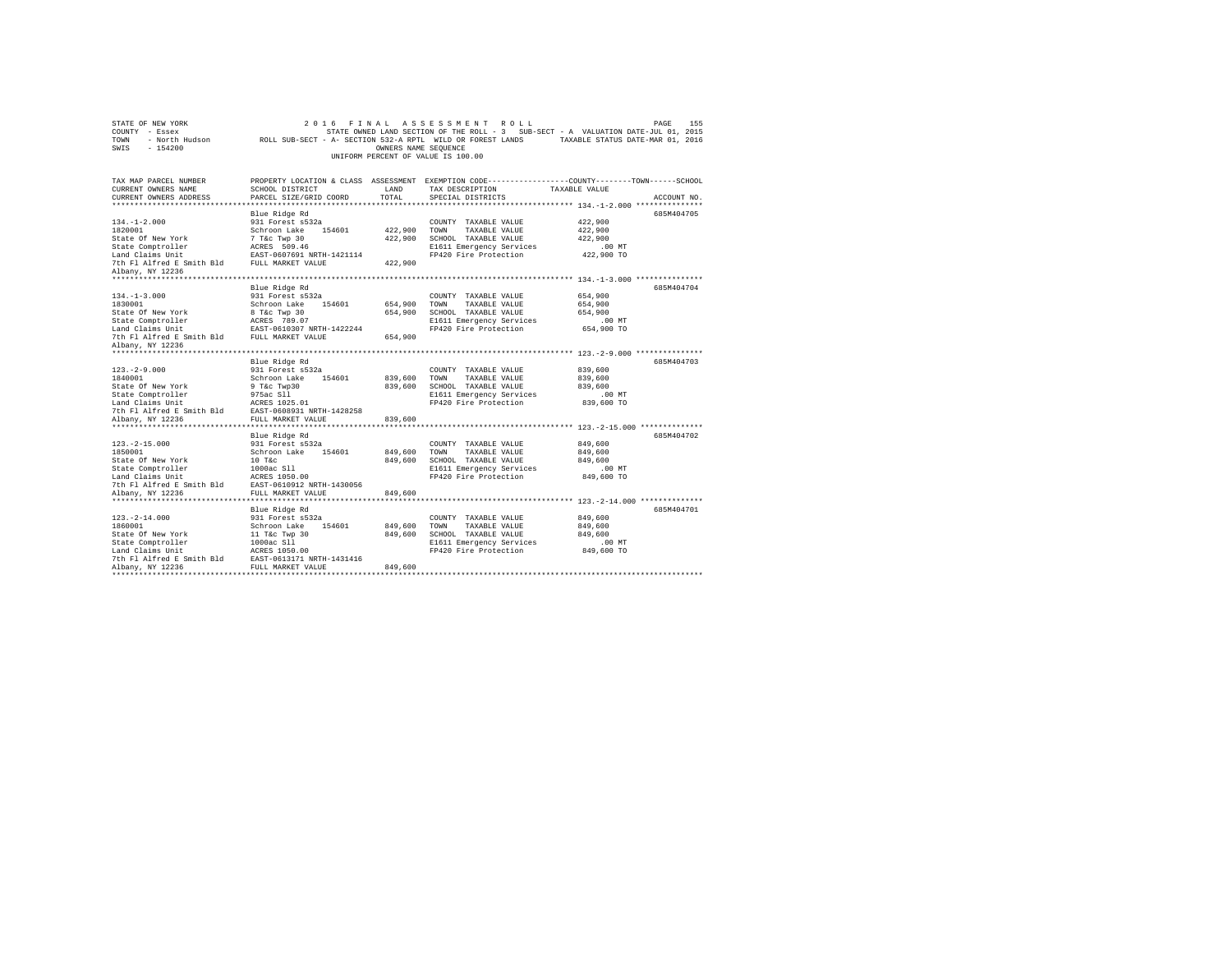| STATE OF NEW YORK<br>COUNTY - Essex<br>TOWN<br>SWIS<br>$-154200$                                                                                               | - North Hudson ROLL SUB-SECT - A- SECTION 532-A RPTL WILD OR FOREST LANDS                                                                             | OWNERS NAME SEQUENCE          | 2016 FINAL ASSESSMENT ROLL<br>UNIFORM PERCENT OF VALUE IS 100.00                                                           | PAGE<br>155<br>STATE OWNED LAND SECTION OF THE ROLL - 3 SUB-SECT - A VALUATION DATE-JUL 01, 2015<br>TAXABLE STATUS DATE-MAR 01, 2016 |
|----------------------------------------------------------------------------------------------------------------------------------------------------------------|-------------------------------------------------------------------------------------------------------------------------------------------------------|-------------------------------|----------------------------------------------------------------------------------------------------------------------------|--------------------------------------------------------------------------------------------------------------------------------------|
| TAX MAP PARCEL NUMBER<br>CURRENT OWNERS NAME<br>CURRENT OWNERS ADDRESS                                                                                         | SCHOOL DISTRICT<br>PARCEL SIZE/GRID COORD                                                                                                             | LAND<br>TOTAL                 | TAX DESCRIPTION<br>SPECIAL DISTRICTS                                                                                       | PROPERTY LOCATION & CLASS ASSESSMENT EXEMPTION CODE---------------COUNTY-------TOWN------SCHOOL<br>TAXABLE VALUE<br>ACCOUNT NO.      |
| $134. - 1 - 2.000$<br>1820001<br>State Of New York<br>State Comptroller<br>Land Claims Unit<br>7th Fl Alfred E Smith Bld FULL MARKET VALUE<br>Albany, NY 12236 | Blue Ridge Rd<br>931 Forest s532a<br>Schroon Lake 154601<br>7 T&c Twp 30<br>ACRES 509.46<br>EAST-0607691 NRTH-1421114                                 | 422,900<br>422,900<br>422,900 | COUNTY TAXABLE VALUE<br>TOWN<br>TAXABLE VALUE<br>SCHOOL TAXABLE VALUE<br>E1611 Emergency Services<br>FP420 Fire Protection | 685M404705<br>422,900<br>422,900<br>422,900<br>$.00$ MT<br>422,900 TO                                                                |
| $134. -1 - 3.000$<br>1830001<br>State Of New York<br>State Comptroller<br>Land Claims Unit                                                                     | Blue Ridge Rd<br>931 Forest s532a<br>Schroon Lake 154601<br>8 T&c Twp 30<br>ACRES 789.07<br>EAST-0610307 NRTH-1422244                                 | 654,900<br>654,900            | COUNTY TAXABLE VALUE<br>TOWN<br>TAXABLE VALUE<br>SCHOOL TAXABLE VALUE<br>E1611 Emergency Services<br>FP420 Fire Protection | 685M404704<br>654,900<br>654,900<br>654,900<br>$.00$ MT<br>654,900 TO                                                                |
| 7th Fl Alfred E Smith Bld FULL MARKET VALUE<br>Albany, NY 12236                                                                                                | Blue Ridge Rd                                                                                                                                         | 654,900                       |                                                                                                                            | 685M404703                                                                                                                           |
| $123. -2 - 9.000$<br>1840001<br>State Of New York<br>State Comptroller<br>Land Claims Unit<br>7th Fl Alfred E Smith Bld EAST-0608931 NRTH-1428258              | 931 Forest s532a<br>Schroon Lake 154601<br>9 T&c Twp30<br>975ac Sll<br>ACRES 1025.01                                                                  | 839,600<br>839,600            | COUNTY TAXABLE VALUE<br>TOWN<br>TAXABLE VALUE<br>SCHOOL TAXABLE VALUE<br>E1611 Emergency Services<br>FP420 Fire Protection | 839,600<br>839,600<br>839,600<br>$.00$ MT<br>839,600 TO                                                                              |
| Albany, NY 12236                                                                                                                                               | FULL MARKET VALUE                                                                                                                                     | 839,600                       |                                                                                                                            |                                                                                                                                      |
| $123. -2 - 15.000$<br>1850001<br>State Of New York<br>State Comptroller<br>Land Claims Unit<br>7th Fl Alfred E Smith Bld<br>Albany, NY 12236                   | Blue Ridge Rd<br>931 Forest s532a<br>Schroon Lake 154601<br>$10$ T&c<br>1000ac S11<br>ACRES 1050.00<br>EAST-0610912 NRTH-1430056<br>FULL MARKET VALUE | 849,600<br>849,600<br>849,600 | COUNTY TAXABLE VALUE<br>TOWN<br>TAXABLE VALUE<br>SCHOOL TAXABLE VALUE<br>E1611 Emergency Services<br>FP420 Fire Protection | 685M404702<br>849,600<br>849,600<br>849,600<br>.00 MT<br>849,600 TO                                                                  |
| ***********************                                                                                                                                        | Blue Ridge Rd                                                                                                                                         |                               |                                                                                                                            | 685M404701                                                                                                                           |
| $123. - 2 - 14.000$<br>1860001<br>State Of New York<br>State Comptroller<br>Land Claims Unit<br>7th Fl Alfred E Smith Bld<br>Albany, NY 12236                  | 931 Forest s532a<br>Schroon Lake<br>154601<br>11 T&c Twp 30<br>1000ac S11<br>ACRES 1050.00<br>EAST-0613171 NRTH-1431416<br>FULL MARKET VALUE          | 849,600<br>849,600<br>849,600 | COUNTY TAXABLE VALUE<br>TOWN<br>TAXABLE VALUE<br>SCHOOL TAXABLE VALUE<br>E1611 Emergency Services<br>FP420 Fire Protection | 849,600<br>849,600<br>849,600<br>.00MT<br>849,600 TO                                                                                 |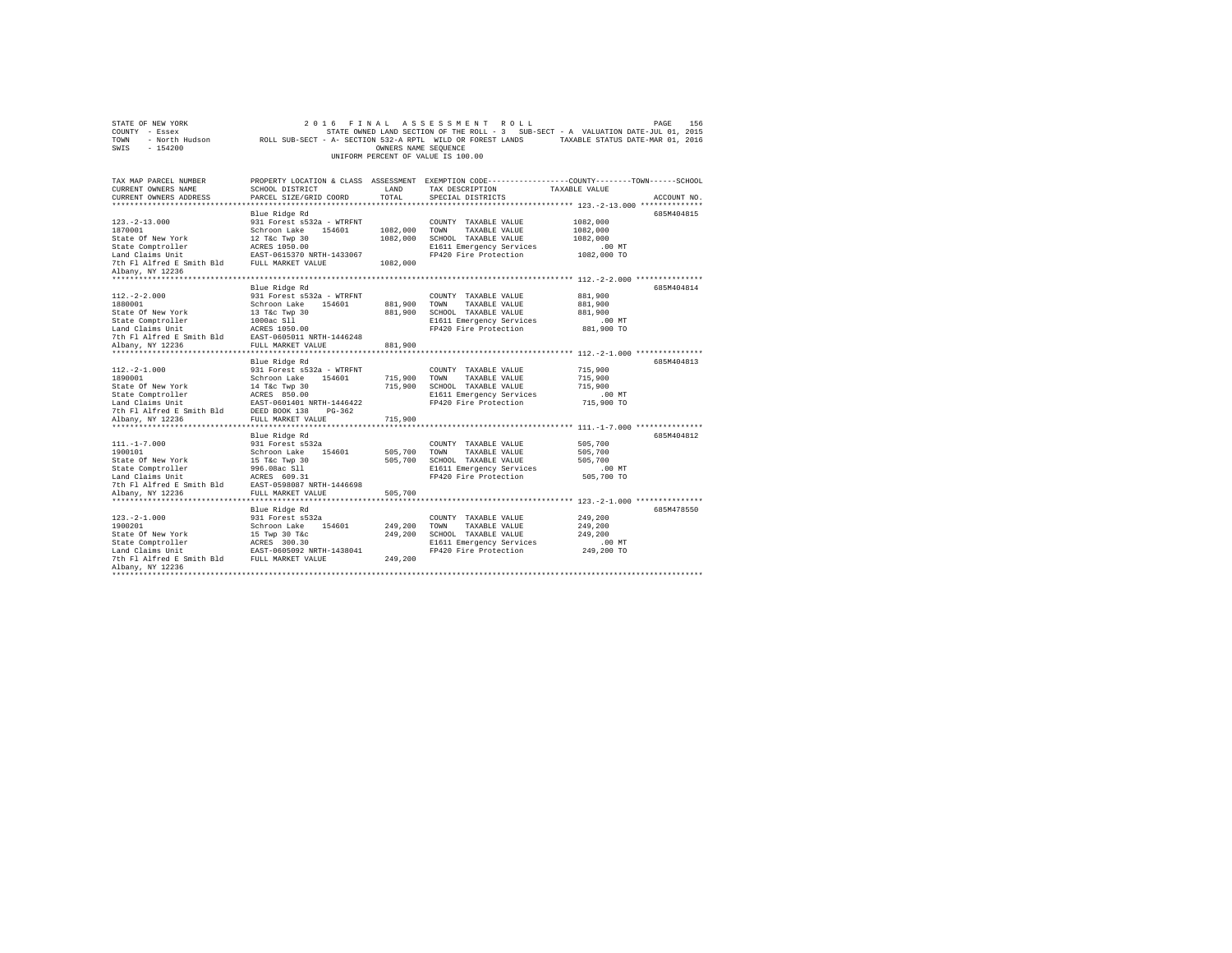| STATE OF NEW YORK                                                                                                                                                                                     | 2 0 1 6                                                                                                    |                      | FINAL ASSESSMENT ROLL                                                                          |               | PAGE<br>156 |
|-------------------------------------------------------------------------------------------------------------------------------------------------------------------------------------------------------|------------------------------------------------------------------------------------------------------------|----------------------|------------------------------------------------------------------------------------------------|---------------|-------------|
| COUNTY - Essex                                                                                                                                                                                        |                                                                                                            |                      | STATE OWNED LAND SECTION OF THE ROLL - 3 SUB-SECT - A VALUATION DATE-JUL 01, 2015              |               |             |
| TOWN                                                                                                                                                                                                  | - North Hudson ROLL SUB-SECT - A- SECTION 532-A RPTL WILD OR FOREST LANDS TAXABLE STATUS DATE-MAR 01, 2016 |                      |                                                                                                |               |             |
| SWIS<br>$-154200$                                                                                                                                                                                     |                                                                                                            | OWNERS NAME SEQUENCE |                                                                                                |               |             |
|                                                                                                                                                                                                       |                                                                                                            |                      | UNIFORM PERCENT OF VALUE IS 100.00                                                             |               |             |
|                                                                                                                                                                                                       |                                                                                                            |                      |                                                                                                |               |             |
|                                                                                                                                                                                                       |                                                                                                            |                      |                                                                                                |               |             |
| TAX MAP PARCEL NUMBER                                                                                                                                                                                 |                                                                                                            |                      | PROPERTY LOCATION & CLASS ASSESSMENT EXEMPTION CODE---------------COUNTY-------TOWN-----SCHOOL |               |             |
| CURRENT OWNERS NAME                                                                                                                                                                                   | SCHOOL DISTRICT                                                                                            | LAND                 | TAX DESCRIPTION                                                                                | TAXABLE VALUE |             |
| CURRENT OWNERS ADDRESS                                                                                                                                                                                | PARCEL SIZE/GRID COORD                                                                                     | TOTAL                | SPECIAL DISTRICTS                                                                              |               | ACCOUNT NO. |
|                                                                                                                                                                                                       |                                                                                                            |                      |                                                                                                |               |             |
|                                                                                                                                                                                                       | Blue Ridge Rd                                                                                              |                      |                                                                                                |               | 685M404815  |
| $123. - 2 - 13.000$                                                                                                                                                                                   | 931 Forest s532a - WTRFNT                                                                                  |                      | COUNTY TAXABLE VALUE                                                                           | 1082,000      |             |
| 1870001                                                                                                                                                                                               | Schroon Lake 154601                                                                                        | 1082,000 TOWN        | TAXABLE VALUE                                                                                  | 1082,000      |             |
| State Of New York                                                                                                                                                                                     | 12 T&c Twp 30                                                                                              |                      | 1082,000 SCHOOL TAXABLE VALUE                                                                  | 1082,000      |             |
| State Comptroller                                                                                                                                                                                     | ACRES 1050.00                                                                                              |                      | E1611 Emergency Services                                                                       | .00 MT        |             |
| Land Claims Unit                                                                                                                                                                                      | EAST-0615370 NRTH-1433067                                                                                  |                      | FP420 Fire Protection                                                                          | 1082,000 TO   |             |
| 7th Fl Alfred E Smith Bld FULL MARKET VALUE                                                                                                                                                           |                                                                                                            | 1082,000             |                                                                                                |               |             |
| Albany, NY 12236                                                                                                                                                                                      |                                                                                                            |                      |                                                                                                |               |             |
|                                                                                                                                                                                                       |                                                                                                            |                      |                                                                                                |               |             |
|                                                                                                                                                                                                       | Blue Ridge Rd                                                                                              |                      |                                                                                                |               | 685M404814  |
| $112. - 2 - 2.000$                                                                                                                                                                                    | 931 Forest s532a - WTRFNT                                                                                  |                      | COUNTY TAXABLE VALUE                                                                           | 881,900       |             |
| 1880001                                                                                                                                                                                               | Schroon Lake 154601                                                                                        | 881,900              | TOWN<br>TAXABLE VALUE                                                                          | 881,900       |             |
| State Of New York                                                                                                                                                                                     | 13 T&c Twp 30                                                                                              |                      | 881,900 SCHOOL TAXABLE VALUE                                                                   | 881,900       |             |
| State Comptroller                                                                                                                                                                                     | 1000ac Sll                                                                                                 |                      | E1611 Emergency Services                                                                       | $.00$ MT      |             |
| Land Claims Unit                                                                                                                                                                                      | ACRES 1050.00                                                                                              |                      | FP420 Fire Protection                                                                          | 881,900 TO    |             |
| 7th Fl Alfred E Smith Bld                                                                                                                                                                             | EAST-0605011 NRTH-1446248                                                                                  |                      |                                                                                                |               |             |
| Albany, NY 12236                                                                                                                                                                                      | FULL MARKET VALUE                                                                                          | 881,900              |                                                                                                |               |             |
|                                                                                                                                                                                                       |                                                                                                            |                      |                                                                                                |               |             |
|                                                                                                                                                                                                       | Blue Ridge Rd                                                                                              |                      |                                                                                                |               | 685M404813  |
| $112. -2 - 1.000$                                                                                                                                                                                     | 931 Forest s532a - WTRFNT                                                                                  |                      | COUNTY TAXABLE VALUE                                                                           | 715,900       |             |
| 1890001                                                                                                                                                                                               | Schroon Lake 154601                                                                                        | 715,900              | TOWN<br>TAXABLE VALUE                                                                          | 715,900       |             |
| State Of New York                                                                                                                                                                                     | 14 T&c Twp 30                                                                                              |                      | 715,900 SCHOOL TAXABLE VALUE                                                                   | 715,900       |             |
| State Comptroller                                                                                                                                                                                     | ACRES 850.00                                                                                               |                      | E1611 Emergency Services                                                                       | .00 MT        |             |
| State computuous<br>Land Claims Unit<br>The PESD BORE 138<br>The PI Alfred E Smith Bld<br>DEED BORE 138<br>PESD BORE 111 INCRET 114 INCRET 114 INCRET 114 INCRET 114 INCRET 114 INCRET 114 INCRET 114 | EAST-0601401 NRTH-1446422                                                                                  |                      | FP420 Fire Protection                                                                          | 715,900 TO    |             |
|                                                                                                                                                                                                       |                                                                                                            |                      |                                                                                                |               |             |
| Albany, NY 12236                                                                                                                                                                                      | FULL MARKET VALUE                                                                                          | 715,900              |                                                                                                |               |             |
|                                                                                                                                                                                                       |                                                                                                            |                      |                                                                                                |               |             |
|                                                                                                                                                                                                       | Blue Ridge Rd                                                                                              |                      |                                                                                                |               | 685M404812  |
| $111. -1 - 7.000$                                                                                                                                                                                     | 931 Forest s532a                                                                                           |                      | COUNTY TAXABLE VALUE                                                                           | 505,700       |             |
| 1900101                                                                                                                                                                                               | Schroon Lake 154601                                                                                        | 505,700              | TOWN<br>TAXABLE VALUE                                                                          | 505,700       |             |
| State Of New York                                                                                                                                                                                     | 15 T&c Twp 30                                                                                              |                      | 505,700 SCHOOL TAXABLE VALUE                                                                   | 505,700       |             |
| State Comptroller                                                                                                                                                                                     | 996.08ac Sll                                                                                               |                      | E1611 Emergency Services                                                                       | $.00$ MT      |             |
| Land Claims Unit                                                                                                                                                                                      | ACRES 609.31                                                                                               |                      | FP420 Fire Protection                                                                          | 505,700 TO    |             |
| 7th Fl Alfred E Smith Bld                                                                                                                                                                             | EAST-0598087 NRTH-1446698                                                                                  |                      |                                                                                                |               |             |
| Albany, NY 12236                                                                                                                                                                                      | FULL MARKET VALUE                                                                                          | 505,700              |                                                                                                |               |             |
|                                                                                                                                                                                                       |                                                                                                            |                      |                                                                                                |               |             |
|                                                                                                                                                                                                       | Blue Ridge Rd                                                                                              |                      |                                                                                                |               | 685M478550  |
| $123. - 2 - 1.000$                                                                                                                                                                                    | 931 Forest s532a                                                                                           |                      | COUNTY TAXABLE VALUE                                                                           | 249,200       |             |
| 1900201                                                                                                                                                                                               | Schroon Lake<br>154601                                                                                     | 249,200              | TOWN<br>TAXABLE VALUE                                                                          | 249,200       |             |
| State Of New York                                                                                                                                                                                     | 15 Twp 30 T&c                                                                                              | 249,200              | SCHOOL TAXABLE VALUE                                                                           | 249,200       |             |
| State Comptroller                                                                                                                                                                                     | ACRES 300.30                                                                                               |                      | E1611 Emergency Services                                                                       | $.00$ MT      |             |
|                                                                                                                                                                                                       |                                                                                                            |                      | FP420 Fire Protection                                                                          | 249,200 TO    |             |
| Land Claims Unit<br>EAST-0605092 NRTH-1438041<br>7th Fl Alfred E Smith Bld<br>FULL MARKET VALUE                                                                                                       |                                                                                                            | 249.200              |                                                                                                |               |             |
| Albany, NY 12236                                                                                                                                                                                      |                                                                                                            |                      |                                                                                                |               |             |
|                                                                                                                                                                                                       |                                                                                                            |                      |                                                                                                |               |             |
|                                                                                                                                                                                                       |                                                                                                            |                      |                                                                                                |               |             |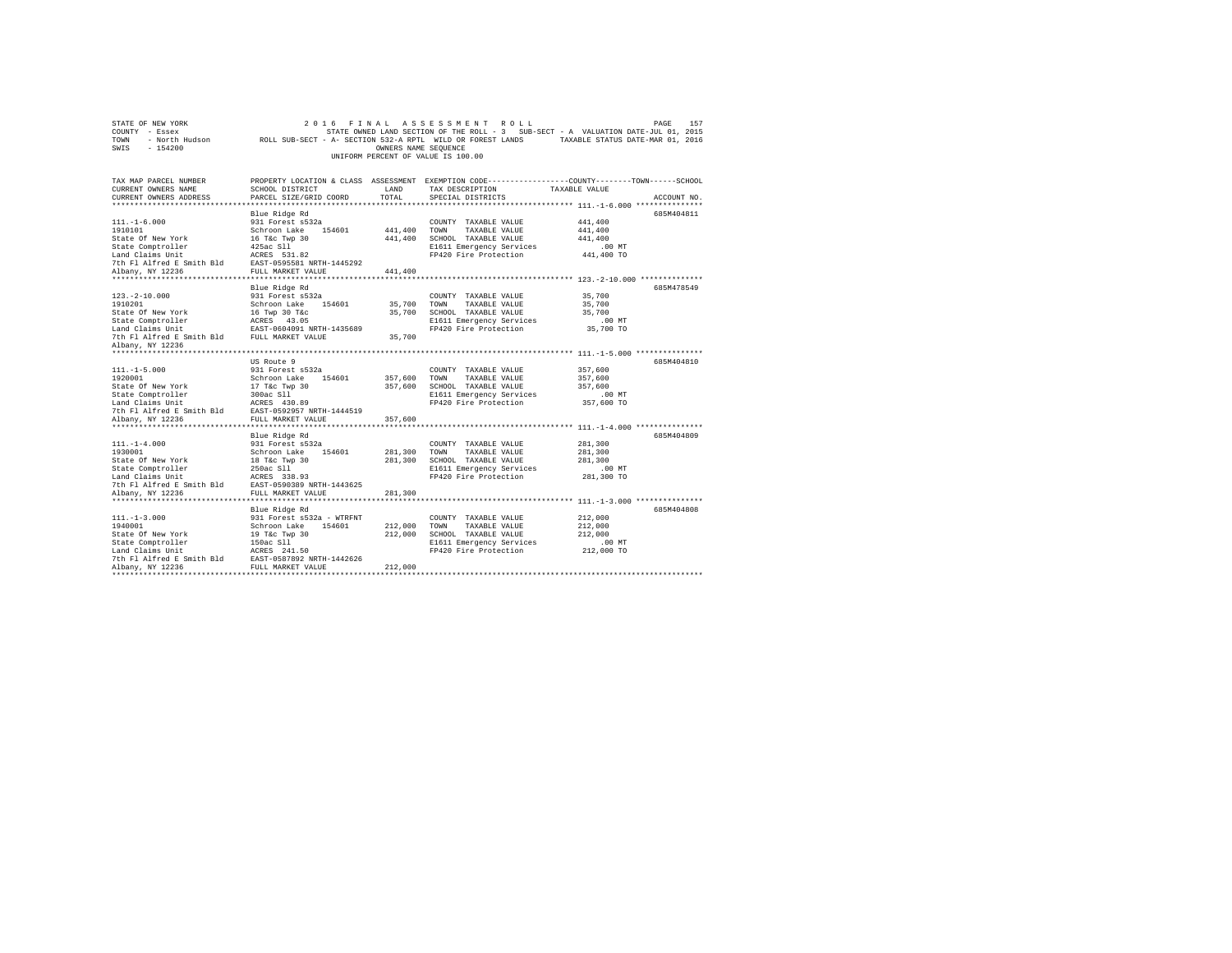| COUNTY - Essex<br>TOWN                                                  | - North Hudson Mark ROLL SUB-SECT - A- SECTION 532-A RPTL WILD OR FOREST LANDS TAXABLE STATUS DATE-MAR 01, 2016 |                      | STATE OWNED LAND SECTION OF THE ROLL - 3 SUB-SECT - A VALUATION DATE-JUL 01, 2015               |                      |             |
|-------------------------------------------------------------------------|-----------------------------------------------------------------------------------------------------------------|----------------------|-------------------------------------------------------------------------------------------------|----------------------|-------------|
| SWIS<br>$-154200$                                                       |                                                                                                                 | OWNERS NAME SEQUENCE |                                                                                                 |                      |             |
|                                                                         |                                                                                                                 |                      | UNIFORM PERCENT OF VALUE IS 100.00                                                              |                      |             |
|                                                                         |                                                                                                                 |                      |                                                                                                 |                      |             |
|                                                                         |                                                                                                                 |                      |                                                                                                 |                      |             |
| TAX MAP PARCEL NUMBER                                                   |                                                                                                                 |                      | PROPERTY LOCATION & CLASS ASSESSMENT EXEMPTION CODE----------------COUNTY-------TOWN-----SCHOOL |                      |             |
| CURRENT OWNERS NAME                                                     | SCHOOL DISTRICT                                                                                                 | LAND                 | TAX DESCRIPTION                                                                                 | TAXABLE VALUE        |             |
| CURRENT OWNERS ADDRESS                                                  | PARCEL SIZE/GRID COORD                                                                                          | TOTAL                | SPECIAL DISTRICTS                                                                               |                      | ACCOUNT NO. |
|                                                                         |                                                                                                                 |                      | ************************ 111.-1-6.000 ***************                                           |                      |             |
|                                                                         | Blue Ridge Rd                                                                                                   |                      |                                                                                                 |                      | 685M404811  |
| $111. - 1 - 6.000$                                                      | 931 Forest s532a                                                                                                |                      | COUNTY TAXABLE VALUE                                                                            | 441,400              |             |
| 1910101<br>State Of New York                                            | Schroon Lake 154601                                                                                             | 441,400<br>441,400   | TOWN<br>TAXABLE VALUE<br>SCHOOL TAXABLE VALUE                                                   | 441,400<br>441,400   |             |
|                                                                         | 16 T&c Twp 30                                                                                                   |                      |                                                                                                 |                      |             |
| State Comptroller                                                       | 425ac Sll<br>ACRES 531.82                                                                                       |                      | E1611 Emergency Services<br>FP420 Fire Protection                                               | .00 MT<br>441,400 TO |             |
| Land Claims Unit<br>7th Fl Alfred E Smith Bld                           |                                                                                                                 |                      |                                                                                                 |                      |             |
| Albany, NY 12236                                                        | EAST-0595581 NRTH-1445292<br>FULL MARKET VALUE                                                                  | 441,400              |                                                                                                 |                      |             |
|                                                                         |                                                                                                                 |                      |                                                                                                 |                      |             |
|                                                                         | Blue Ridge Rd                                                                                                   |                      |                                                                                                 |                      | 685M478549  |
| $123. - 2 - 10.000$                                                     | 931 Forest s532a                                                                                                |                      | COUNTY TAXABLE VALUE                                                                            | 35,700               |             |
| 1910201                                                                 | Schroon Lake 154601                                                                                             | 35,700               | TOWN<br>TAXABLE VALUE                                                                           | 35,700               |             |
| State Of New York                                                       | 16 Twp 30 T&c                                                                                                   | 35,700               | SCHOOL TAXABLE VALUE                                                                            | 35,700               |             |
| State Comptroller                                                       | ACRES 43.05                                                                                                     |                      | E1611 Emergency Services                                                                        | $.00$ MT             |             |
| Land Claims Unit                                                        | EAST-0604091 NRTH-1435689                                                                                       |                      | FP420 Fire Protection                                                                           | 35,700 TO            |             |
| 7th Fl Alfred E Smith Bld FULL MARKET VALUE                             |                                                                                                                 | 35,700               |                                                                                                 |                      |             |
| Albany, NY 12236                                                        |                                                                                                                 |                      |                                                                                                 |                      |             |
|                                                                         |                                                                                                                 |                      |                                                                                                 |                      |             |
|                                                                         | US Route 9                                                                                                      |                      |                                                                                                 |                      | 685M404810  |
| $111. -1 - 5.000$                                                       | 931 Forest s532a                                                                                                |                      | COUNTY TAXABLE VALUE                                                                            | 357,600              |             |
| 1920001                                                                 | Schroon Lake 154601                                                                                             | 357,600              | TOWN<br>TAXABLE VALUE                                                                           | 357,600              |             |
| State Of New York                                                       | 17 T&c Twp 30                                                                                                   | 357,600              | SCHOOL TAXABLE VALUE                                                                            | 357,600              |             |
| State Comptroller                                                       | 300ac Sll                                                                                                       |                      | E1611 Emergency Services                                                                        | $.00$ MT             |             |
| Land Claims Unit                                                        | ACRES 430.89                                                                                                    |                      | FP420 Fire Protection                                                                           | 357,600 TO           |             |
| 7th Fl Alfred E Smith Bld                                               | EAST-0592957 NRTH-1444519                                                                                       |                      |                                                                                                 |                      |             |
| Albany, NY 12236                                                        | FULL MARKET VALUE                                                                                               | 357,600              |                                                                                                 |                      |             |
|                                                                         |                                                                                                                 |                      |                                                                                                 |                      |             |
|                                                                         | Blue Ridge Rd                                                                                                   |                      |                                                                                                 |                      | 685M404809  |
| $111. - 1 - 4.000$                                                      | 931 Forest s532a                                                                                                |                      | COUNTY TAXABLE VALUE                                                                            | 281,300              |             |
| 1930001                                                                 | Schroon Lake 154601                                                                                             | 281,300              | TOWN<br>TAXABLE VALUE                                                                           | 281,300              |             |
| State Of New York                                                       | 18 T&c Twp 30<br>250ac Sll                                                                                      | 281,300              | SCHOOL TAXABLE VALUE                                                                            | 281,300              |             |
| State Comptroller                                                       |                                                                                                                 |                      | E1611 Emergency Services                                                                        | $.00$ MT             |             |
| Land Claims Unit                                                        | ACRES 338.93                                                                                                    |                      | FP420 Fire Protection                                                                           | 281,300 TO           |             |
| 7th Fl Alfred E Smith Bld EAST-0590389 NRTH-1443625                     |                                                                                                                 |                      |                                                                                                 |                      |             |
| Albany, NY 12236                                                        | FULL MARKET VALUE                                                                                               | 281,300              |                                                                                                 |                      |             |
|                                                                         |                                                                                                                 |                      |                                                                                                 |                      |             |
|                                                                         | Blue Ridge Rd                                                                                                   |                      |                                                                                                 |                      | 685M404808  |
| $111. -1 - 3.000$                                                       | 931 Forest s532a - WTRFNT                                                                                       |                      | COUNTY TAXABLE VALUE                                                                            | 212,000              |             |
| 1940001                                                                 | Schroon Lake 154601                                                                                             | 212,000              | TOWN<br>TAXABLE VALUE                                                                           | 212,000              |             |
| State Of New York                                                       | 19 T&c Twp 30                                                                                                   | 212,000              | SCHOOL TAXABLE VALUE                                                                            | 212,000              |             |
| State Comptroller                                                       | 150ac Sll<br>ACRES 241.50                                                                                       |                      | E1611 Emergency Services                                                                        | $.00$ MT             |             |
| Land Claims Unit<br>7th Fl Alfred E Smith Bld EAST-0587892 NRTH-1442626 |                                                                                                                 |                      | FP420 Fire Protection                                                                           | 212,000 TO           |             |
| Albany, NY 12236                                                        | FULL MARKET VALUE                                                                                               | 212,000              |                                                                                                 |                      |             |
| ***********                                                             |                                                                                                                 |                      |                                                                                                 |                      |             |
|                                                                         |                                                                                                                 |                      |                                                                                                 |                      |             |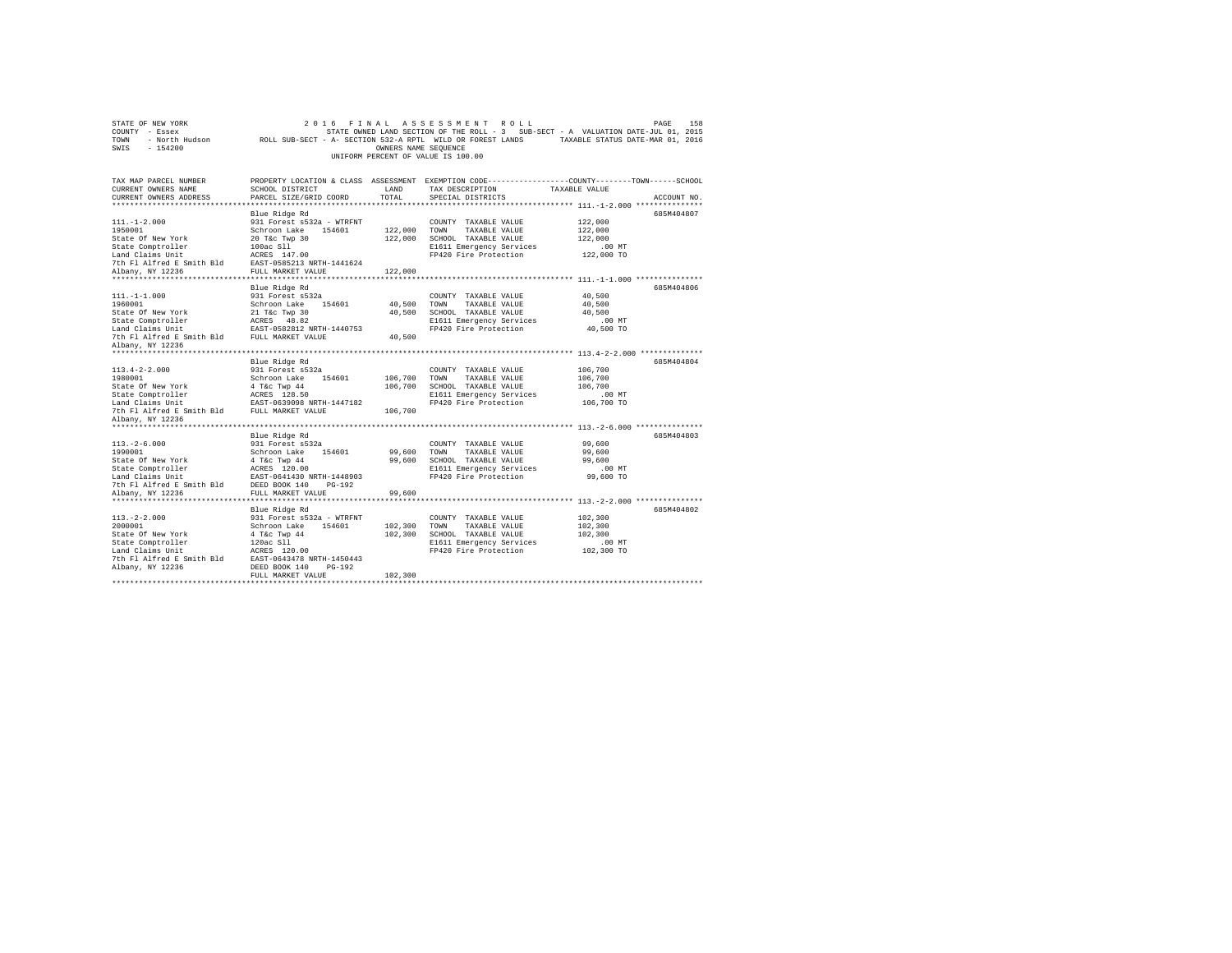| STATE OF NEW YORK<br>COUNTY - Essex<br>- North Hudson<br>TOWN | 2016<br>FINAL<br>ROLL SUB-SECT - A- SECTION 532-A RPTL WILD OR FOREST LANDS                    |                       | ASSESSMENT<br>ROLL<br>STATE OWNED LAND SECTION OF THE ROLL - 3 SUB-SECT - A VALUATION DATE-JUL 01, 2015 | TAXABLE STATUS DATE-MAR 01, 2016                     | 158<br>PAGE |
|---------------------------------------------------------------|------------------------------------------------------------------------------------------------|-----------------------|---------------------------------------------------------------------------------------------------------|------------------------------------------------------|-------------|
| SWIS<br>$-154200$                                             |                                                                                                | OWNERS NAME SEQUENCE  | UNIFORM PERCENT OF VALUE IS 100.00                                                                      |                                                      |             |
| TAX MAP PARCEL NUMBER                                         | PROPERTY LOCATION & CLASS ASSESSMENT EXEMPTION CODE---------------COUNTY-------TOWN-----SCHOOL |                       |                                                                                                         |                                                      |             |
| CURRENT OWNERS NAME<br>CURRENT OWNERS ADDRESS                 | SCHOOL DISTRICT<br>PARCEL SIZE/GRID COORD                                                      | LAND<br>TOTAL         | TAX DESCRIPTION<br>SPECIAL DISTRICTS                                                                    | TAXABLE VALUE                                        | ACCOUNT NO. |
|                                                               |                                                                                                |                       |                                                                                                         |                                                      |             |
|                                                               | Blue Ridge Rd                                                                                  |                       |                                                                                                         |                                                      | 685M404807  |
| $111. - 1 - 2.000$                                            | 931 Forest s532a - WTRFNT                                                                      |                       | COUNTY TAXABLE VALUE                                                                                    | 122,000                                              |             |
| 1950001                                                       | Schroon Lake<br>154601                                                                         | 122,000               | TOWN<br>TAXABLE VALUE                                                                                   | 122,000                                              |             |
| State Of New York                                             | 20 T&c Twp 30                                                                                  | 122,000               | SCHOOL TAXABLE VALUE                                                                                    | 122,000                                              |             |
| State Comptroller                                             | 100ac S11                                                                                      |                       | E1611 Emergency Services                                                                                | .00MT                                                |             |
| Land Claims Unit                                              | ACRES 147.00                                                                                   |                       | FP420 Fire Protection                                                                                   | 122,000 TO                                           |             |
| 7th Fl Alfred E Smith Bld                                     | EAST-0585213 NRTH-1441624                                                                      |                       |                                                                                                         |                                                      |             |
| Albany, NY 12236<br>*********************                     | FULL MARKET VALUE<br>*********************                                                     | 122,000<br>********** |                                                                                                         | *********************** 111.-1-1.000 *************** |             |
|                                                               | Blue Ridge Rd                                                                                  |                       |                                                                                                         |                                                      | 685M404806  |
| $111. - 1 - 1.000$                                            | 931 Forest s532a                                                                               |                       | COUNTY TAXABLE VALUE                                                                                    | 40,500                                               |             |
| 1960001                                                       | Schroon Lake<br>154601                                                                         | 40,500                | TOWN<br>TAXABLE VALUE                                                                                   | 40,500                                               |             |
| State Of New York                                             | 21 T&c Twp 30                                                                                  | 40,500                | SCHOOL TAXABLE VALUE                                                                                    | 40,500                                               |             |
| State Comptroller                                             | ACRES 48.82                                                                                    |                       | E1611 Emergency Services                                                                                | .00 MT                                               |             |
| Land Claims Unit                                              | EAST-0582812 NRTH-1440753                                                                      |                       | FP420 Fire Protection                                                                                   | 40,500 TO                                            |             |
| 7th Fl Alfred E Smith Bld                                     | FULL MARKET VALUE                                                                              | 40,500                |                                                                                                         |                                                      |             |
| Albany, NY 12236                                              |                                                                                                |                       |                                                                                                         |                                                      |             |
|                                                               |                                                                                                |                       |                                                                                                         |                                                      |             |
|                                                               | Blue Ridge Rd                                                                                  |                       |                                                                                                         |                                                      | 685M404804  |
| $113.4 - 2 - 2.000$<br>1980001                                | 931 Forest s532a<br>Schroon Lake<br>154601                                                     | 106,700               | COUNTY TAXABLE VALUE<br>TOWN<br>TAXABLE VALUE                                                           | 106,700<br>106,700                                   |             |
| State Of New York                                             | 4 T&c Twp 44                                                                                   | 106,700               | SCHOOL TAXABLE VALUE                                                                                    | 106,700                                              |             |
| State Comptroller                                             | ACRES 128.50                                                                                   |                       | E1611 Emergency Services                                                                                | .00MT                                                |             |
| Land Claims Unit                                              | EAST-0639098 NRTH-1447182                                                                      |                       | FP420 Fire Protection                                                                                   | 106,700 TO                                           |             |
| 7th Fl Alfred E Smith Bld                                     | FULL MARKET VALUE                                                                              | 106,700               |                                                                                                         |                                                      |             |
| Albany, NY 12236                                              |                                                                                                |                       |                                                                                                         |                                                      |             |
| *****************                                             |                                                                                                |                       |                                                                                                         | ************ 113.-2-6.000 ***************            |             |
|                                                               | Blue Ridge Rd                                                                                  |                       |                                                                                                         |                                                      | 685M404803  |
| $113. - 2 - 6.000$                                            | 931 Forest s532a                                                                               |                       | COUNTY TAXABLE VALUE                                                                                    | 99,600                                               |             |
| 1990001                                                       | Schroon Lake<br>154601                                                                         | 99,600                | TOWN<br>TAXABLE VALUE                                                                                   | 99,600<br>99,600                                     |             |
| State Of New York<br>State Comptroller                        | 4 T&c Twp 44<br>ACRES 120.00                                                                   | 99,600                | SCHOOL TAXABLE VALUE<br>E1611 Emergency Services                                                        | $.00$ MT                                             |             |
| Land Claims Unit                                              | EAST-0641430 NRTH-1448903                                                                      |                       | FP420 Fire Protection                                                                                   | 99,600 TO                                            |             |
| 7th Fl Alfred E Smith Bld                                     | DEED BOOK 140<br>$PG-192$                                                                      |                       |                                                                                                         |                                                      |             |
| Albany, NY 12236                                              | FULL MARKET VALUE                                                                              | 99,600                |                                                                                                         |                                                      |             |
|                                                               |                                                                                                |                       |                                                                                                         |                                                      |             |
|                                                               | Blue Ridge Rd                                                                                  |                       |                                                                                                         |                                                      | 685M404802  |
| $113. -2 - 2.000$                                             | 931 Forest s532a - WTRFNT                                                                      |                       | COUNTY TAXABLE VALUE                                                                                    | 102,300                                              |             |
| 2000001                                                       | Schroon Lake<br>154601                                                                         | 102,300               | TOWN<br>TAXABLE VALUE                                                                                   | 102,300                                              |             |
| State Of New York                                             | 4 T&c Twp 44                                                                                   | 102,300               | SCHOOL TAXABLE VALUE                                                                                    | 102,300                                              |             |
| State Comptroller                                             | 120ac S11                                                                                      |                       | E1611 Emergency Services                                                                                | $.00$ MT                                             |             |
| Land Claims Unit<br>7th Fl Alfred E Smith Bld                 | ACRES 120.00<br>EAST-0643478 NRTH-1450443                                                      |                       | FP420 Fire Protection                                                                                   | 102,300 TO                                           |             |
| Albany, NY 12236                                              | DEED BOOK 140<br>$PG-192$                                                                      |                       |                                                                                                         |                                                      |             |
|                                                               | FULL MARKET VALUE                                                                              | 102,300               |                                                                                                         |                                                      |             |
|                                                               |                                                                                                |                       |                                                                                                         |                                                      |             |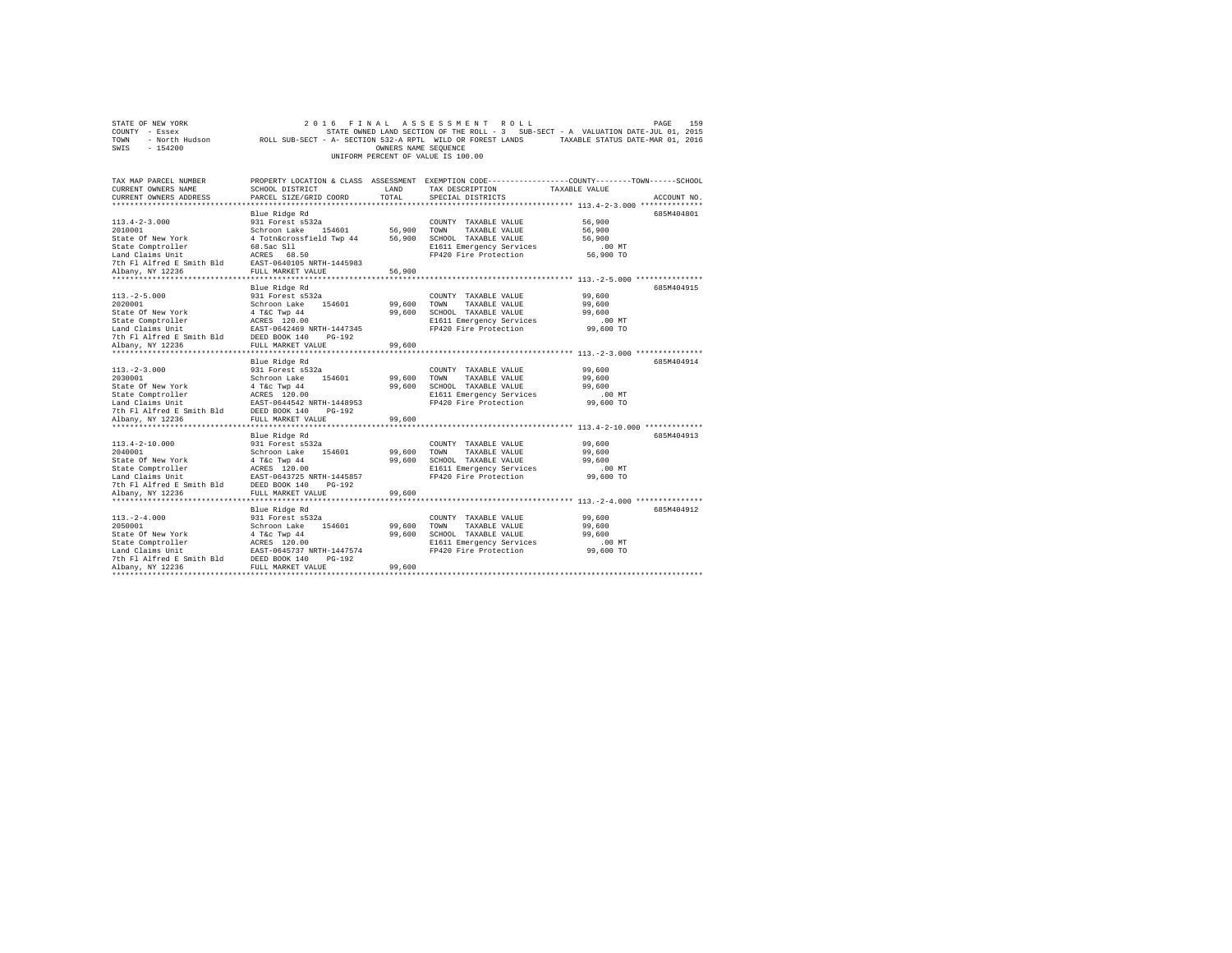|                | STATE OF NEW YORK |                                                            |  | 2016 FINAL ASSESSMENT ROLL         |  |  |                                                                                   |  | PAGE                             | 159 |
|----------------|-------------------|------------------------------------------------------------|--|------------------------------------|--|--|-----------------------------------------------------------------------------------|--|----------------------------------|-----|
| COUNTY - Essex |                   |                                                            |  |                                    |  |  | STATE OWNED LAND SECTION OF THE ROLL - 3 SUB-SECT - A VALUATION DATE-JUL 01, 2015 |  |                                  |     |
| TOWN           | - North Hudson    | ROLL SUB-SECT - A- SECTION 532-A RPTL WILD OR FOREST LANDS |  |                                    |  |  |                                                                                   |  | TAXABLE STATUS DATE-MAR 01, 2016 |     |
| SWIS           | - 154200          |                                                            |  | OWNERS NAME SEOUENCE               |  |  |                                                                                   |  |                                  |     |
|                |                   |                                                            |  | UNIFORM PERCENT OF VALUE IS 100.00 |  |  |                                                                                   |  |                                  |     |

| TAX MAP PARCEL NUMBER<br>CURRENT OWNERS NAME                                                                                                                                                                                          | SCHOOL DISTRICT                                          | LAND                | TAX DESCRIPTION                                   | PROPERTY LOCATION & CLASS ASSESSMENT EXEMPTION CODE----------------COUNTY-------TOWN-----SCHOOL<br>TAXABLE VALUE |
|---------------------------------------------------------------------------------------------------------------------------------------------------------------------------------------------------------------------------------------|----------------------------------------------------------|---------------------|---------------------------------------------------|------------------------------------------------------------------------------------------------------------------|
| CURRENT OWNERS ADDRESS                                                                                                                                                                                                                | PARCEL SIZE/GRID COORD                                   | TOTAL               | SPECIAL DISTRICTS                                 | ACCOUNT NO                                                                                                       |
|                                                                                                                                                                                                                                       | Blue Ridge Rd                                            |                     |                                                   | 685M404801                                                                                                       |
| $113.4 - 2 - 3.000$                                                                                                                                                                                                                   | 931 Forest s532a                                         |                     | COUNTY TAXABLE VALUE                              | 56,900                                                                                                           |
| 2010001                                                                                                                                                                                                                               | Schroon Lake 154601 56,900                               |                     | TOWN<br>TAXABLE VALUE                             | 56,900                                                                                                           |
| State Of New York                                                                                                                                                                                                                     | 4 Totn&crossfield Twp 44                                 | 56,900              | SCHOOL TAXABLE VALUE                              | 56,900                                                                                                           |
| State Comptroller                                                                                                                                                                                                                     |                                                          |                     | E1611 Emergency Services                          | $.00$ MT                                                                                                         |
| Land Claims Unit                                                                                                                                                                                                                      | 68.5ac S11<br>ACRES 68.50                                |                     | FP420 Fire Protection                             | 56,900 TO                                                                                                        |
| 7th Fl Alfred E Smith Bld EAST-0640105 NRTH-1445983                                                                                                                                                                                   |                                                          |                     |                                                   |                                                                                                                  |
| Albany, NY 12236                                                                                                                                                                                                                      | FULL MARKET VALUE                                        | 56,900              |                                                   |                                                                                                                  |
| *****************                                                                                                                                                                                                                     | ******************                                       |                     |                                                   | ******** 113.-2-5.000                                                                                            |
|                                                                                                                                                                                                                                       | Blue Ridge Rd                                            |                     |                                                   | 685M404915                                                                                                       |
| $113. - 2 - 5.000$                                                                                                                                                                                                                    | 931 Forest s532a                                         |                     | COUNTY TAXABLE VALUE                              | 99,600                                                                                                           |
| 2020001                                                                                                                                                                                                                               | Schroon Lake 154601                                      | 99,600              | TOWN<br>TAXABLE VALUE                             | 99,600                                                                                                           |
| State Of New York                                                                                                                                                                                                                     | 4 T&C Twp 44                                             | 99,600              | SCHOOL TAXABLE VALUE                              | 99,600                                                                                                           |
|                                                                                                                                                                                                                                       |                                                          |                     | E1611 Emergency Services                          | .00 MT                                                                                                           |
| State Comptroller<br>Land Claims Unit<br>The FI Alfred E Smith Bld<br>The FI Alfred E Smith Bld<br>DEED BOOK 140<br>DEED BOOK 140<br>Nikolah DEED BOOK 140<br>Nikolah DEED BOOK 140<br>Nikolah DEED BOOK 140<br>Nikolah DEED BOOK 140 |                                                          |                     | FP420 Fire Protection                             | 99,600 TO                                                                                                        |
|                                                                                                                                                                                                                                       |                                                          |                     |                                                   |                                                                                                                  |
| Albany, NY 12236                                                                                                                                                                                                                      | FULL MARKET VALUE                                        | 99,600              |                                                   |                                                                                                                  |
| *****************                                                                                                                                                                                                                     | ***********************                                  |                     |                                                   |                                                                                                                  |
|                                                                                                                                                                                                                                       | Blue Ridge Rd                                            |                     |                                                   | 685M404914                                                                                                       |
| $113. - 2 - 3.000$                                                                                                                                                                                                                    | 931 Forest s532a                                         |                     | COUNTY TAXABLE VALUE                              | 99,600                                                                                                           |
| 2030001                                                                                                                                                                                                                               | Schroon Lake 154601                                      | 99,600 TOWN         | TAXABLE VALUE                                     | 99,600                                                                                                           |
| State Of New York                                                                                                                                                                                                                     | 4 T&C Twp 44<br>ACRES 120.00                             |                     | 99.600 SCHOOL TAXABLE VALUE                       | 99,600                                                                                                           |
| State Comptroller                                                                                                                                                                                                                     |                                                          |                     | E1611 Emergency Services<br>FP420 Fire Protection | $.00$ MT<br>99,600 TO                                                                                            |
| Land Claims Unit<br>7th Fl Alfred E Smith Bld                                                                                                                                                                                         | EAST-0644542 NRTH-1448953<br>th Bld DEED BOOK 140 PG-192 |                     |                                                   |                                                                                                                  |
| Albany, NY 12236                                                                                                                                                                                                                      | FULL MARKET VALUE                                        | 99,600              |                                                   |                                                                                                                  |
|                                                                                                                                                                                                                                       | *************************                                | ******************* |                                                   | ********************** 113.4-2-10.000 ***********                                                                |
|                                                                                                                                                                                                                                       | Blue Ridge Rd                                            |                     |                                                   | 685M404913                                                                                                       |
| $113.4 - 2 - 10.000$                                                                                                                                                                                                                  | 931 Forest s532a                                         |                     | COUNTY TAXABLE VALUE                              | 99,600                                                                                                           |
| 2040001                                                                                                                                                                                                                               | 154601<br>Schroon Lake                                   | 99,600              | TOWN<br>TAXABLE VALUE                             | 99,600                                                                                                           |
| State Of New York                                                                                                                                                                                                                     | 4 T&c Twp 44                                             | 99,600              | SCHOOL TAXABLE VALUE                              | 99,600                                                                                                           |
| State Comptroller                                                                                                                                                                                                                     |                                                          |                     | E1611 Emergency Services                          | .00MT                                                                                                            |
| Land Claims Unit                                                                                                                                                                                                                      | ACRES 120.00<br>EAST-0643725 NRTH-1445857                |                     | FP420 Fire Protection                             | 99,600 TO                                                                                                        |
| 7th Fl Alfred E Smith Bld DEED BOOK 140                                                                                                                                                                                               | PG-192                                                   |                     |                                                   |                                                                                                                  |
| Albany, NY 12236                                                                                                                                                                                                                      | FULL MARKET VALUE                                        | 99,600              |                                                   |                                                                                                                  |
|                                                                                                                                                                                                                                       |                                                          |                     |                                                   |                                                                                                                  |
|                                                                                                                                                                                                                                       | Blue Ridge Rd                                            |                     |                                                   | 685M404912                                                                                                       |
| $113. - 2 - 4.000$                                                                                                                                                                                                                    | 931 Forest s532a                                         |                     | COUNTY TAXABLE VALUE                              | 99,600                                                                                                           |
| 2050001                                                                                                                                                                                                                               | Schroon Lake 154601                                      | 99,600              | TOWN<br>TAXABLE VALUE                             | 99,600                                                                                                           |
| State Of New York                                                                                                                                                                                                                     | 4 T&c Twp 44                                             | 99,600              | SCHOOL TAXABLE VALUE                              | 99,600                                                                                                           |
| State Comptroller                                                                                                                                                                                                                     | ACRES 120.00                                             |                     | E1611 Emergency Services                          | $.00$ MT                                                                                                         |
| Land Claims Unit                                                                                                                                                                                                                      | EAST-0645737 NRTH-1447574                                |                     | FP420 Fire Protection                             | 99,600 TO                                                                                                        |
| 7th Fl Alfred E Smith Bld                                                                                                                                                                                                             | DEED BOOK 140<br>$PG-192$                                |                     |                                                   |                                                                                                                  |
| Albany, NY 12236<br>*************************                                                                                                                                                                                         | FULL MARKET VALUE                                        | 99,600              |                                                   |                                                                                                                  |
|                                                                                                                                                                                                                                       |                                                          |                     |                                                   |                                                                                                                  |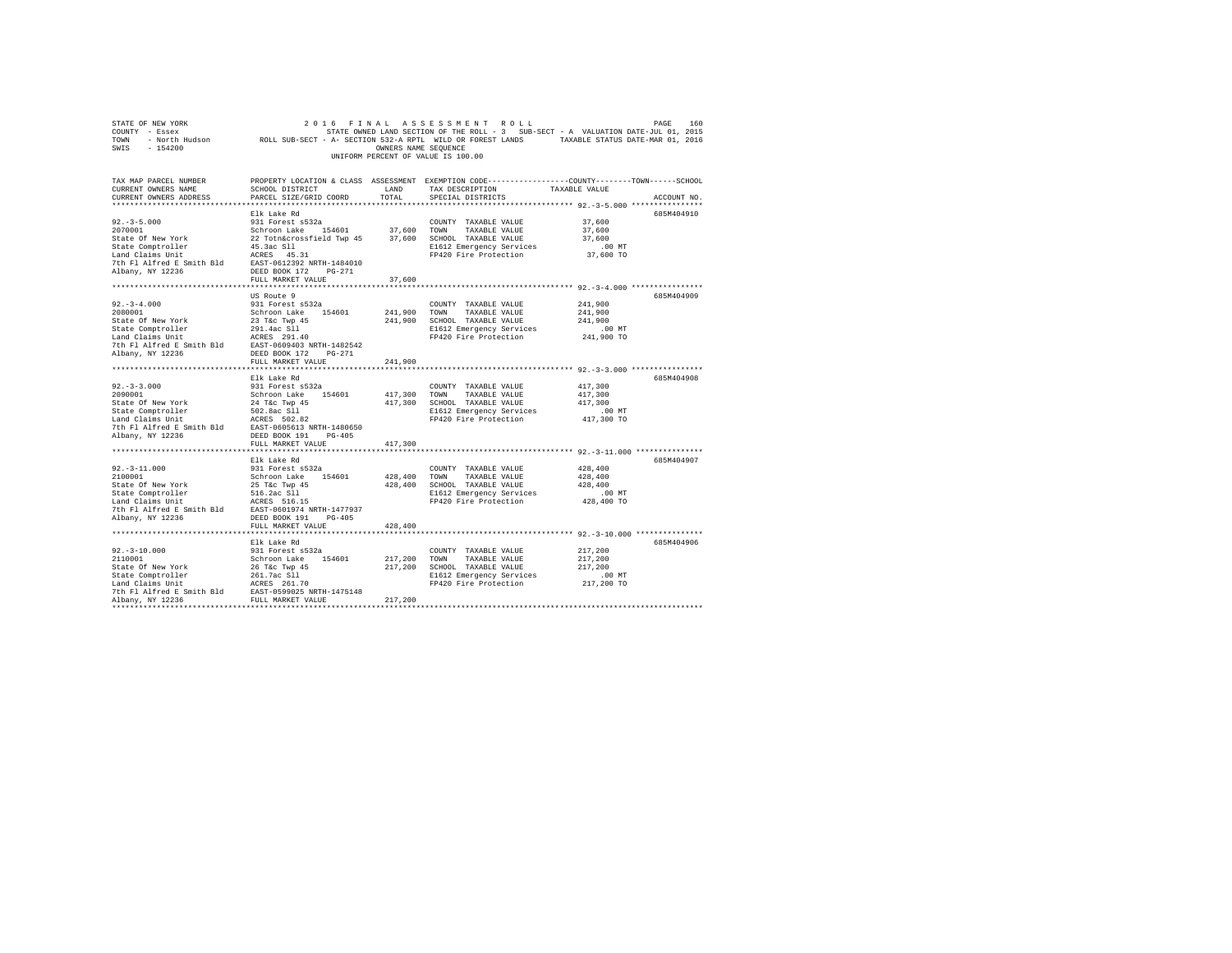| STATE OF NEW YORK<br>COUNTY - Essex COUNTY - ESSEX COUNTY - ESSEX COUNTY - ESSEX COUNTY - ESSEX COUNTY - ESSEX COUNTY - ESSEX COUN<br>2016 - North Hudson         ROLL SUB-SECT - A- SECTION 532-A RPTL WILD OR FOREST LANDS     TAXABLE STATUS DATE-M<br>SWIS - 154200 |                                                                                                                                          | OWNERS NAME SEQUENCE    | 2016 FINAL ASSESSMENT ROLL<br>UNIFORM PERCENT OF VALUE IS 100.00                                                                        |                                                                                                    | PAGE<br>160 |
|-------------------------------------------------------------------------------------------------------------------------------------------------------------------------------------------------------------------------------------------------------------------------|------------------------------------------------------------------------------------------------------------------------------------------|-------------------------|-----------------------------------------------------------------------------------------------------------------------------------------|----------------------------------------------------------------------------------------------------|-------------|
| TAX MAP PARCEL NUMBER<br>CURRENT OWNERS NAME<br>CURRENT OWNERS ADDRESS                                                                                                                                                                                                  | SCHOOL DISTRICT LAND<br>PARCEL SIZE/GRID COORD                                                                                           | TOTAL                   | PROPERTY LOCATION & CLASS ASSESSMENT EXEMPTION CODE---------------COUNTY-------TOWN------SCHOOL<br>TAX DESCRIPTION<br>SPECIAL DISTRICTS | TAXABLE VALUE                                                                                      | ACCOUNT NO. |
| $92. - 3 - 5.000$<br>2070001<br>State Of New York<br>State Comptroller<br>Land Claims Unit<br>7th Fl Alfred E Smith Bld EAST-0612392 NRTH-1484010<br>Albany, NY 12236                                                                                                   | Elk Lake Rd<br>931 Forest s532a<br>Schroon Lake 154601<br>22 Totn&crossfield Twp 45<br>45.3ac S11<br>ACRES 45.31<br>DEED BOOK 172 PG-271 | 37,600 TOWN             | COUNTY TAXABLE VALUE<br>TAXABLE VALUE<br>37,600 SCHOOL TAXABLE VALUE<br>E1612 Emergency Services<br>FP420 Fire Protection               | 37,600<br>37,600<br>37,600<br>$.00$ MT<br>37,600 TO                                                | 685M404910  |
|                                                                                                                                                                                                                                                                         | FULL MARKET VALUE                                                                                                                        | 37,600                  |                                                                                                                                         |                                                                                                    |             |
| $92. -3 - 4.000$<br>2080001<br>State Of New York<br>State Comptroller<br>Land Claims Unit<br>7th Fl Alfred E Smith Bld EAST-0609403 NRTH-1482542                                                                                                                        | US Route 9<br>931 Forest s532a<br>Schroon Lake 154601<br>23 T&c Twp 45<br>291.4ac Sll<br>ACRES 291.40                                    |                         | COUNTY TAXABLE VALUE<br>241,900 TOWN TAXABLE VALUE<br>241.900 SCHOOL TAXABLE VALUE<br>E1612 Emergency Services<br>FP420 Fire Protection | 241,900<br>241,900<br>241,900<br>$.00$ MT<br>241,900 TO                                            | 685M404909  |
| Albany, NY 12236                                                                                                                                                                                                                                                        | DEED BOOK 172 PG-271<br>FULL MARKET VALUE                                                                                                | 241,900                 |                                                                                                                                         |                                                                                                    |             |
|                                                                                                                                                                                                                                                                         |                                                                                                                                          |                         |                                                                                                                                         |                                                                                                    |             |
| $92. - 3 - 3.000$<br>2090001<br>State Of New York<br>State Comptroller<br>Land Claims Unit<br>7th Fl Alfred E Smith Bld EAST-0605613 NRTH-1480650<br>Albany, NY 12236                                                                                                   | Elk Lake Rd<br>931 Forest s532a<br>Schroon Lake 154601<br>24 T&c Twp 45<br>502.8ac Sll<br>ACRES 502.82<br>DEED BOOK 191 PG-405           | 417,300 TOWN            | COUNTY TAXABLE VALUE<br>TAXABLE VALUE<br>417,300 SCHOOL TAXABLE VALUE<br>E1612 Emergency Services<br>FP420 Fire Protection              | 417,300<br>417,300<br>417,300<br>$.00$ MT<br>417,300 TO                                            | 685M404908  |
|                                                                                                                                                                                                                                                                         | FULL MARKET VALUE                                                                                                                        | 417,300                 |                                                                                                                                         |                                                                                                    |             |
| $92. -3 - 11.000$<br>2100001<br>State Of New York<br>State Comptroller<br>Land Claims Unit<br>7th Fl Alfred E Smith Bld<br>EAST-0601974 NRTH-1477937<br>Albany, NY 12236                                                                                                | Elk Lake Rd<br>931 Forest s532a<br>Schroon Lake 154601<br>25 T&c Twp 45<br>516.2ac Sll<br>DEED BOOK 191 PG-405                           |                         | COUNTY TAXABLE VALUE<br>428,400 TOWN TAXABLE VALUE<br>428,400 SCHOOL TAXABLE VALUE<br>E1612 Emergency Services<br>FP420 Fire Protection | 428,400<br>428,400<br>428,400<br>.00MT<br>428,400 TO                                               | 685M404907  |
|                                                                                                                                                                                                                                                                         | FULL MARKET VALUE                                                                                                                        | 428,400                 |                                                                                                                                         |                                                                                                    |             |
| $92. - 3 - 10.000$<br>2110001<br>State Of New York<br>State Comptroller<br>Land Claims Unit<br>7th Fl Alfred E Smith Bld EAST-0599025 NRTH-1475148<br>Albany, NY 12236                                                                                                  | .<br>Elk Lake Rd<br>931 Forest s532a<br>Schroon Lake 154601<br>26 T&C Twp 45<br>261.7ac S11<br>ACRES 261.70<br>FULL MARKET VALUE         | 217,200 TOWN<br>217,200 | COUNTY TAXABLE VALUE<br>TAXABLE VALUE<br>217,200 SCHOOL TAXABLE VALUE<br>E1612 Emergency Services<br>FP420 Fire Protection              | ********** 92.-3-10.000 ***************<br>217,200<br>217,200<br>217,200<br>$.00$ MT<br>217,200 TO | 685M404906  |
|                                                                                                                                                                                                                                                                         |                                                                                                                                          |                         |                                                                                                                                         |                                                                                                    |             |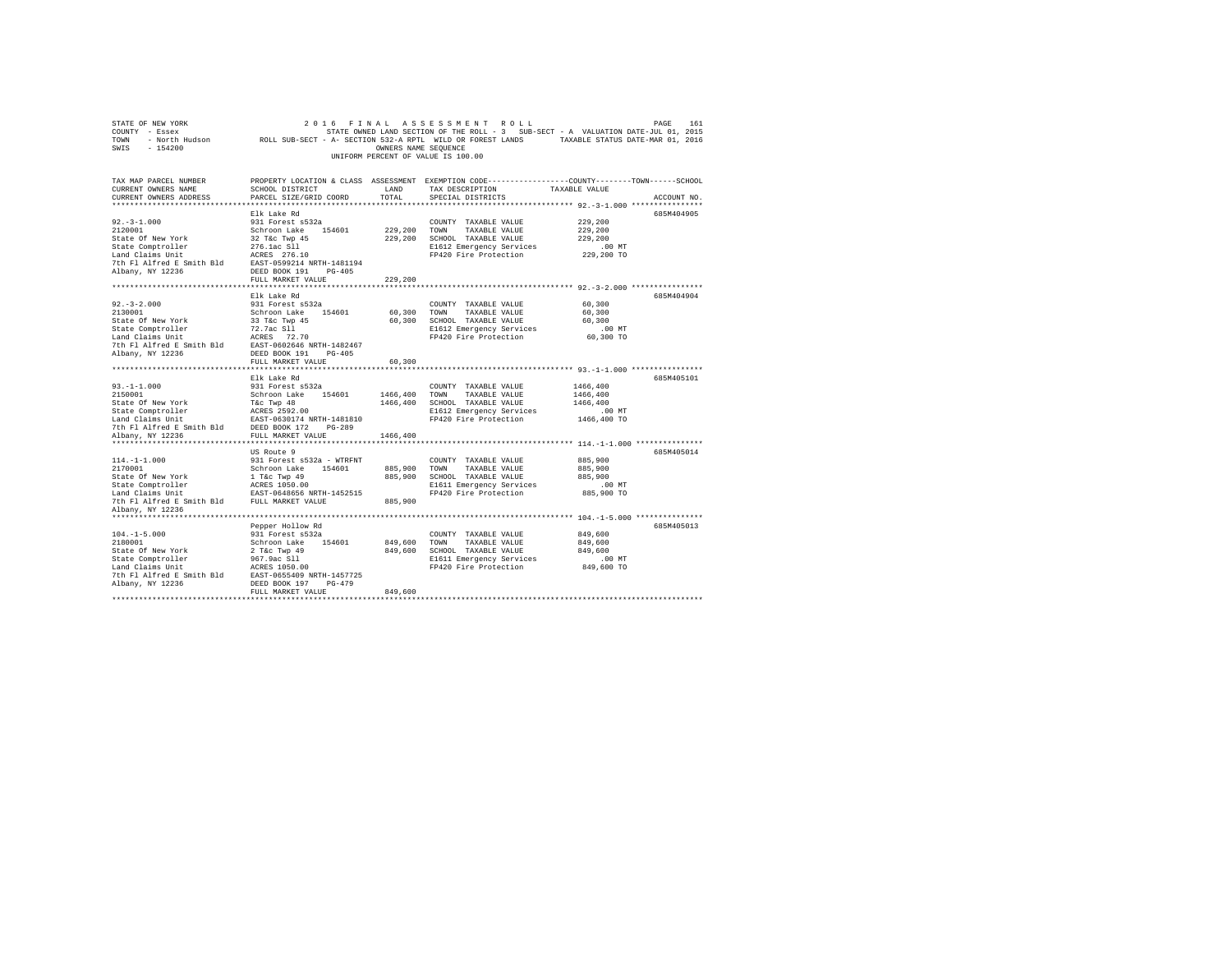| STATE OF NEW YORK<br>COUNTY - Essex<br>TOWN - NOrth Hudson         ROLL SUB-SECT - A- SECTION 532-A RPTL WILD OR FOREST LANDS     TAXABLE STATUS DATE-MAR 01, 2016<br>SWIS - 154200 |                                           | OWNERS NAME SEQUENCE | 2016 FINAL ASSESSMENT ROLL<br>UNIFORM PERCENT OF VALUE IS 100.00                                                   |                    | PAGE<br>161 |
|-------------------------------------------------------------------------------------------------------------------------------------------------------------------------------------|-------------------------------------------|----------------------|--------------------------------------------------------------------------------------------------------------------|--------------------|-------------|
| TAX MAP PARCEL NUMBER<br>CURRENT OWNERS NAME                                                                                                                                        | SCHOOL DISTRICT                           | LAND                 | PROPERTY LOCATION & CLASS ASSESSMENT EXEMPTION CODE---------------COUNTY-------TOWN------SCHOOL<br>TAX DESCRIPTION | TAXABLE VALUE      |             |
| CURRENT OWNERS ADDRESS                                                                                                                                                              | PARCEL SIZE/GRID COORD                    | TOTAL                | SPECIAL DISTRICTS                                                                                                  |                    | ACCOUNT NO. |
|                                                                                                                                                                                     |                                           |                      |                                                                                                                    |                    |             |
|                                                                                                                                                                                     | Elk Lake Rd                               |                      |                                                                                                                    |                    | 685M404905  |
| $92. -3 - 1.000$                                                                                                                                                                    | 931 Forest s532a                          |                      | COUNTY TAXABLE VALUE                                                                                               | 229,200            |             |
| 2120001                                                                                                                                                                             | Schroon Lake 154601                       |                      | 229,200 TOWN TAXABLE VALUE                                                                                         | 229,200            |             |
| State Of New York                                                                                                                                                                   | 32 T&c Twp 45                             |                      | 229,200 SCHOOL TAXABLE VALUE                                                                                       | 229,200            |             |
| State Comptroller                                                                                                                                                                   | 276.1ac S11<br>ACRES 276.10               |                      | E1612 Emergency Services                                                                                           | $.00$ MT           |             |
| Land Claims Unit                                                                                                                                                                    |                                           |                      | FP420 Fire Protection                                                                                              | 229,200 TO         |             |
| 7th Fl Alfred E Smith Bld EAST-0599214 NRTH-1481194<br>Albany, NY 12236                                                                                                             |                                           |                      |                                                                                                                    |                    |             |
|                                                                                                                                                                                     | DEED BOOK 191 PG-405<br>FULL MARKET VALUE | 229,200              |                                                                                                                    |                    |             |
|                                                                                                                                                                                     |                                           |                      |                                                                                                                    |                    |             |
|                                                                                                                                                                                     | Elk Lake Rd                               |                      |                                                                                                                    |                    | 685M404904  |
| $92. - 3 - 2.000$                                                                                                                                                                   | 931 Forest s532a                          |                      | COUNTY TAXABLE VALUE                                                                                               | 60,300             |             |
| 2130001                                                                                                                                                                             | Schroon Lake 154601                       |                      | 60,300 TOWN TAXABLE VALUE                                                                                          | 60,300             |             |
| State Of New York                                                                                                                                                                   | 33 T&c Twp 45                             |                      | 60,300 SCHOOL TAXABLE VALUE                                                                                        | 60,300             |             |
| State Comptroller                                                                                                                                                                   | 72.7ac S11<br>ACRES 72.70                 |                      | E1612 Emergency Services                                                                                           | $.00$ MT           |             |
| Land Claims Unit                                                                                                                                                                    |                                           |                      | FP420 Fire Protection                                                                                              | 60,300 TO          |             |
| 7th Fl Alfred E Smith Bld EAST-0602646 NRTH-1482467                                                                                                                                 |                                           |                      |                                                                                                                    |                    |             |
| Albany, NY 12236                                                                                                                                                                    | DEED BOOK 191 PG-405                      |                      |                                                                                                                    |                    |             |
|                                                                                                                                                                                     | FULL MARKET VALUE                         | 60,300               |                                                                                                                    |                    |             |
|                                                                                                                                                                                     | Elk Lake Rd                               |                      |                                                                                                                    |                    | 685M405101  |
| $93. -1 - 1.000$                                                                                                                                                                    | 931 Forest s532a                          |                      | COUNTY TAXABLE VALUE                                                                                               | 1466,400           |             |
| 2150001                                                                                                                                                                             | Schroon Lake 154601                       |                      | 1466,400 TOWN TAXABLE VALUE                                                                                        | 1466,400           |             |
| State Of New York                                                                                                                                                                   | T&C Twp 48                                |                      | 1466,400 SCHOOL TAXABLE VALUE                                                                                      | 1466,400           |             |
| State Comptroller<br>Land Claims Unit<br>EAST-0630174 NRTH-1481810                                                                                                                  |                                           |                      | E1612 Emergency Services                                                                                           | $.00$ MT           |             |
|                                                                                                                                                                                     |                                           |                      | FP420 Fire Protection                                                                                              | 1466,400 TO        |             |
| 7th Fl Alfred E Smith Bld DEED BOOK 172 PG-289                                                                                                                                      |                                           |                      |                                                                                                                    |                    |             |
| Albany, NY 12236                                                                                                                                                                    | FULL MARKET VALUE                         | 1466,400             |                                                                                                                    |                    |             |
|                                                                                                                                                                                     |                                           |                      |                                                                                                                    |                    |             |
|                                                                                                                                                                                     | US Route 9                                |                      |                                                                                                                    |                    | 685M405014  |
| $114. - 1 - 1.000$                                                                                                                                                                  | 931 Forest s532a - WTRFNT                 |                      | COUNTY TAXABLE VALUE                                                                                               | 885,900            |             |
| 2170001                                                                                                                                                                             | Schroon Lake 154601 885,900 TOWN          |                      | TAXABLE VALUE                                                                                                      | 885,900<br>885,900 |             |
| State Of New York<br>State Comptroller                                                                                                                                              | 1 T&C Twp 49<br>ACRES 1050.00             |                      | 885,900 SCHOOL TAXABLE VALUE<br>E1611 Emergency Services                                                           | $.00$ MT           |             |
| Land Claims Unit                                                                                                                                                                    | EAST-0648656 NRTH-1452515                 |                      | FP420 Fire Protection                                                                                              | 885,900 TO         |             |
| 7th Fl Alfred E Smith Bld FULL MARKET VALUE                                                                                                                                         |                                           | 885,900              |                                                                                                                    |                    |             |
| Albany, NY 12236                                                                                                                                                                    |                                           |                      |                                                                                                                    |                    |             |
|                                                                                                                                                                                     |                                           |                      |                                                                                                                    |                    |             |
|                                                                                                                                                                                     | Pepper Hollow Rd                          |                      |                                                                                                                    |                    | 685M405013  |
| $104. -1 - 5.000$                                                                                                                                                                   | 931 Forest s532a                          |                      | COUNTY TAXABLE VALUE                                                                                               | 849,600            |             |
| 2180001                                                                                                                                                                             | Schroon Lake 154601                       |                      | 849,600 TOWN<br>TAXABLE VALUE                                                                                      | 849,600            |             |
| State Of New York                                                                                                                                                                   | 2 T&C Twp 49                              |                      | 849,600 SCHOOL TAXABLE VALUE                                                                                       | 849,600            |             |
| State Comptroller                                                                                                                                                                   | 967.9ac Sll                               |                      | E1611 Emergency Services                                                                                           | $.00$ MT           |             |
| Land Claims Unit                                                                                                                                                                    | ACRES 1050.00                             |                      | FP420 Fire Protection                                                                                              | 849,600 TO         |             |
| 7th Fl Alfred E Smith Bld EAST-0655409 NRTH-1457725                                                                                                                                 |                                           |                      |                                                                                                                    |                    |             |
| Albany, NY 12236                                                                                                                                                                    | DEED BOOK 197 PG-479                      |                      |                                                                                                                    |                    |             |
|                                                                                                                                                                                     | FULL MARKET VALUE                         | 849,600              |                                                                                                                    |                    |             |
|                                                                                                                                                                                     |                                           |                      |                                                                                                                    |                    |             |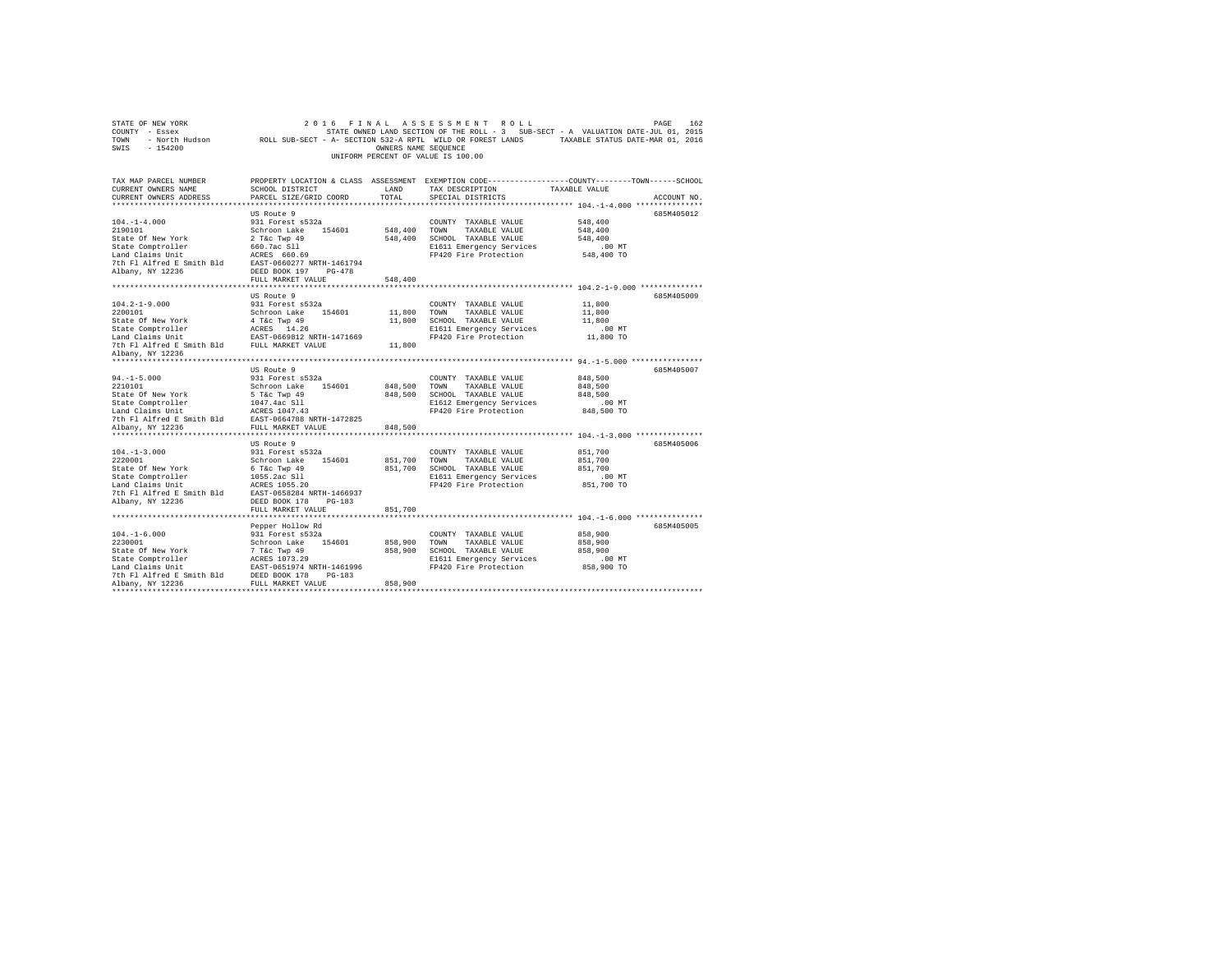| STATE OF NEW YORK<br>COUNTY - Essex<br>TOWN - North Hudson ROLL SUB-SECT - A- SECTION 532-A RPTL WILD OR FOREST LANDS TAXABLE STATUS DATE-MAR 01, 2016<br>SWIS - 154200 |                                                                                                 | OWNERS NAME SEOUENCE | 2016 FINAL ASSESSMENT ROLL<br>STATE OWNED LAND SECTION OF THE ROLL - 3 SUB-SECT - A VALUATION DATE-JUL 01, 2015<br>UNIFORM PERCENT OF VALUE IS 100.00 |                        | 162<br>PAGE |
|-------------------------------------------------------------------------------------------------------------------------------------------------------------------------|-------------------------------------------------------------------------------------------------|----------------------|-------------------------------------------------------------------------------------------------------------------------------------------------------|------------------------|-------------|
| TAX MAP PARCEL NUMBER                                                                                                                                                   | PROPERTY LOCATION & CLASS ASSESSMENT EXEMPTION CODE----------------COUNTY-------TOWN-----SCHOOL |                      |                                                                                                                                                       |                        |             |
| CURRENT OWNERS NAME<br>CURRENT OWNERS ADDRESS                                                                                                                           | SCHOOL DISTRICT<br>PARCEL SIZE/GRID COORD                                                       | LAND<br>TOTAL        | TAX DESCRIPTION                                                                                                                                       | TAXABLE VALUE          |             |
|                                                                                                                                                                         |                                                                                                 |                      | SPECIAL DISTRICTS<br>************************** 104.-1-4.000 ***************                                                                          |                        | ACCOUNT NO. |
|                                                                                                                                                                         | US Route 9                                                                                      |                      |                                                                                                                                                       |                        | 685M405012  |
| $104. - 1 - 4.000$                                                                                                                                                      | 931 Forest s532a                                                                                |                      | COUNTY TAXABLE VALUE                                                                                                                                  | 548,400                |             |
| 2190101                                                                                                                                                                 | Schroon Lake 154601                                                                             | 548,400 TOWN         | TAXABLE VALUE                                                                                                                                         | 548,400                |             |
| State Of New York                                                                                                                                                       | 2 T&C Twp 49<br>3 T&C Twp 49<br>660.7ac Sll                                                     |                      | 548,400 SCHOOL TAXABLE VALUE                                                                                                                          | 548,400                |             |
| State Comptroller                                                                                                                                                       |                                                                                                 |                      | E1611 Emergency Services                                                                                                                              | $.00$ MT               |             |
|                                                                                                                                                                         |                                                                                                 |                      | FP420 Fire Protection                                                                                                                                 | 548,400 TO             |             |
|                                                                                                                                                                         |                                                                                                 |                      |                                                                                                                                                       |                        |             |
| Albany, NY 12236                                                                                                                                                        | DEED BOOK 197 PG-478                                                                            |                      |                                                                                                                                                       |                        |             |
|                                                                                                                                                                         | FULL MARKET VALUE                                                                               | 548,400              |                                                                                                                                                       |                        |             |
|                                                                                                                                                                         |                                                                                                 |                      |                                                                                                                                                       |                        |             |
|                                                                                                                                                                         | US Route 9                                                                                      |                      |                                                                                                                                                       |                        | 685M405009  |
| $104.2 - 1 - 9.000$                                                                                                                                                     | 931 Forest s532a                                                                                |                      | COUNTY TAXABLE VALUE                                                                                                                                  | 11,800                 |             |
| 2200101                                                                                                                                                                 | Schroon Lake 154601                                                                             | 11,800               | TAXABLE VALUE<br>TOWN                                                                                                                                 | 11,800                 |             |
|                                                                                                                                                                         |                                                                                                 |                      | 11,800 SCHOOL TAXABLE VALUE                                                                                                                           | 11,800                 |             |
|                                                                                                                                                                         |                                                                                                 |                      | E1611 Emergency Services                                                                                                                              | $.00$ MT               |             |
|                                                                                                                                                                         |                                                                                                 |                      | FP420 Fire Protection                                                                                                                                 | 11,800 TO              |             |
|                                                                                                                                                                         |                                                                                                 | 11,800               |                                                                                                                                                       |                        |             |
| Albany, NY 12236                                                                                                                                                        |                                                                                                 |                      |                                                                                                                                                       |                        |             |
|                                                                                                                                                                         | US Route 9                                                                                      |                      |                                                                                                                                                       |                        | 685M405007  |
| $94. -1 - 5.000$                                                                                                                                                        | 931 Forest s532a                                                                                |                      | COUNTY TAXABLE VALUE                                                                                                                                  | 848,500                |             |
| 2210101                                                                                                                                                                 |                                                                                                 | 848,500              | TOWN<br>TAXABLE VALUE                                                                                                                                 | 848,500                |             |
| State Of New York                                                                                                                                                       |                                                                                                 |                      | 848,500 SCHOOL TAXABLE VALUE                                                                                                                          | 848,500                |             |
| State Comptroller                                                                                                                                                       | Schroon Lake 154601<br>5 T&c Twp 49<br>1047.4ac Sll                                             |                      | E1612 Emergency Services                                                                                                                              | $.00$ MT               |             |
| Land Claims Unit                                                                                                                                                        | 1047.4ac S11<br>ACRES 1047.43                                                                   |                      | FP420 Fire Protection                                                                                                                                 | 848,500 TO             |             |
|                                                                                                                                                                         |                                                                                                 |                      |                                                                                                                                                       |                        |             |
|                                                                                                                                                                         |                                                                                                 | 848,500              |                                                                                                                                                       |                        |             |
|                                                                                                                                                                         |                                                                                                 |                      |                                                                                                                                                       |                        |             |
|                                                                                                                                                                         | US Route 9                                                                                      |                      |                                                                                                                                                       |                        | 685M405006  |
| $104. -1 - 3.000$                                                                                                                                                       | 931 Forest s532a                                                                                |                      | COUNTY TAXABLE VALUE                                                                                                                                  | 851,700                |             |
| 2220001                                                                                                                                                                 | Schroon Lake 154601                                                                             | 851,700              | TOWN<br>TAXABLE VALUE                                                                                                                                 | 851,700                |             |
| State Of New York                                                                                                                                                       | 6 T&C Twp 49<br>1055.2ac S11<br>20000.1055.30                                                   |                      | 851,700 SCHOOL TAXABLE VALUE                                                                                                                          | 851,700                |             |
| State Comptroller                                                                                                                                                       |                                                                                                 |                      | E1611 Emergency Services                                                                                                                              | $.00$ MT               |             |
| Land Claims Unit                                                                                                                                                        | ACRES 1055.20                                                                                   |                      | FP420 Fire Protection                                                                                                                                 | 851,700 TO             |             |
| 7th Fl Alfred E Smith Bld EAST-0658284 NRTH-1466937                                                                                                                     |                                                                                                 |                      |                                                                                                                                                       |                        |             |
| Albany, NY 12236                                                                                                                                                        | DEED BOOK 178 PG-183                                                                            |                      |                                                                                                                                                       |                        |             |
|                                                                                                                                                                         | FULL MARKET VALUE                                                                               | 851,700              |                                                                                                                                                       |                        |             |
|                                                                                                                                                                         |                                                                                                 |                      |                                                                                                                                                       |                        |             |
|                                                                                                                                                                         | Pepper Hollow Rd                                                                                |                      |                                                                                                                                                       |                        | 685M405005  |
| $104. - 1 - 6.000$                                                                                                                                                      | 931 Forest s532a                                                                                |                      | COUNTY TAXABLE VALUE                                                                                                                                  | 858,900                |             |
| 2230001                                                                                                                                                                 | Schroon Lake 154601                                                                             | 858,900 TOWN         | TAXABLE VALUE                                                                                                                                         | 858,900<br>858.900     |             |
|                                                                                                                                                                         |                                                                                                 |                      | 858,900 SCHOOL TAXABLE VALUE<br>E1611 Emergency Services                                                                                              |                        |             |
|                                                                                                                                                                         |                                                                                                 |                      | FP420 Fire Protection                                                                                                                                 | $.00$ MT<br>858,900 TO |             |
|                                                                                                                                                                         |                                                                                                 |                      |                                                                                                                                                       |                        |             |
|                                                                                                                                                                         |                                                                                                 | 858,900              |                                                                                                                                                       |                        |             |
|                                                                                                                                                                         |                                                                                                 |                      |                                                                                                                                                       |                        |             |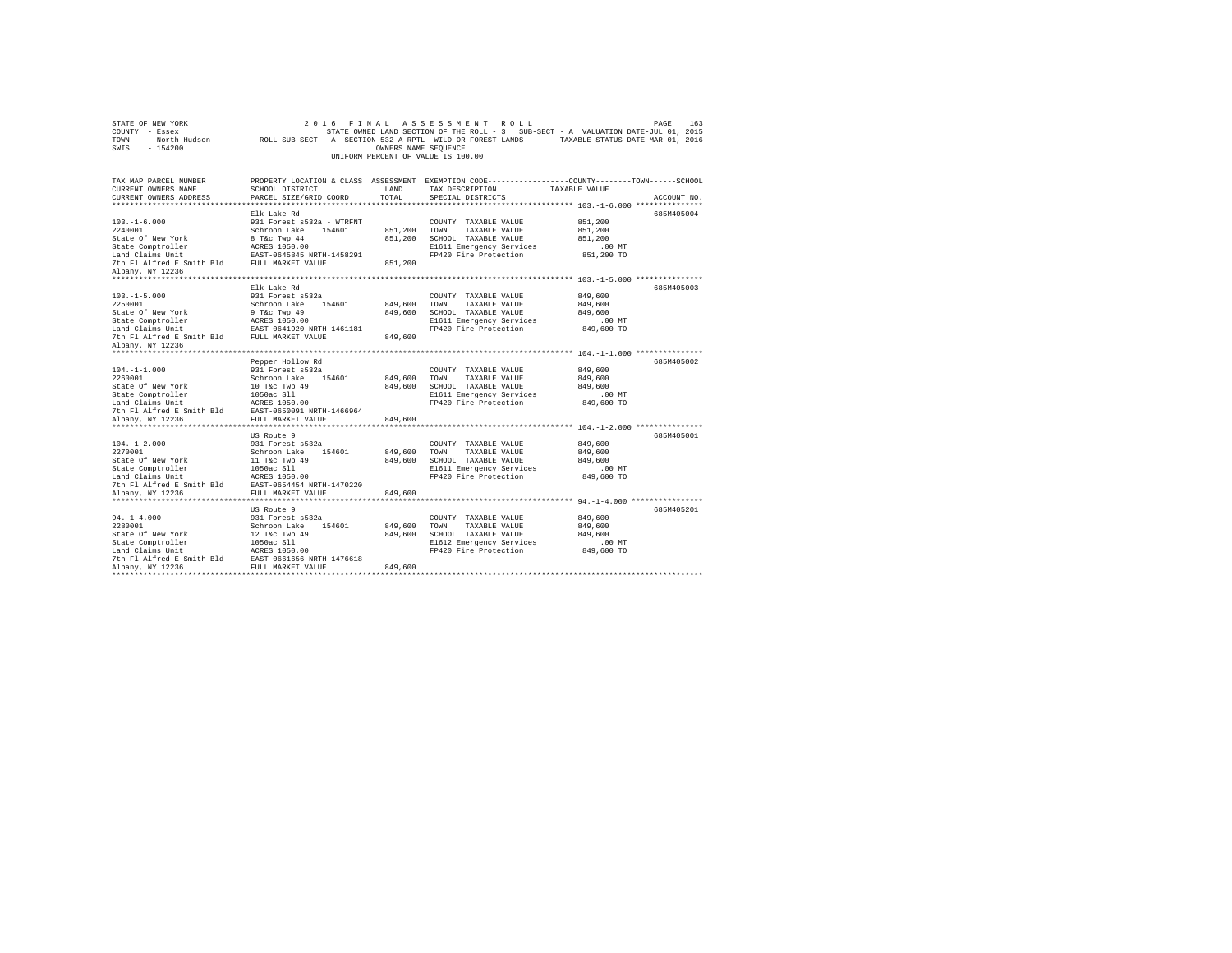| STATE OF NEW YORK<br>COUNTY - Essex<br>TOWN<br>SWIS<br>$-154200$                                                                                  | - North Hudson ROLL SUB-SECT - A- SECTION 532-A RPTL WILD OR FOREST LANDS                                                                                  | OWNERS NAME SEQUENCE          | 2016 FINAL ASSESSMENT ROLL<br>UNIFORM PERCENT OF VALUE IS 100.00                                                           | PAGE<br>163<br>STATE OWNED LAND SECTION OF THE ROLL - 3 SUB-SECT - A VALUATION DATE-JUL 01, 2015<br>TAXABLE STATUS DATE-MAR 01, 2016 |
|---------------------------------------------------------------------------------------------------------------------------------------------------|------------------------------------------------------------------------------------------------------------------------------------------------------------|-------------------------------|----------------------------------------------------------------------------------------------------------------------------|--------------------------------------------------------------------------------------------------------------------------------------|
| TAX MAP PARCEL NUMBER<br>CURRENT OWNERS NAME<br>CURRENT OWNERS ADDRESS                                                                            | SCHOOL DISTRICT<br>PARCEL SIZE/GRID COORD                                                                                                                  | LAND<br>TOTAL                 | TAX DESCRIPTION<br>SPECIAL DISTRICTS                                                                                       | PROPERTY LOCATION & CLASS ASSESSMENT EXEMPTION CODE---------------COUNTY-------TOWN------SCHOOL<br>TAXABLE VALUE<br>ACCOUNT NO.      |
|                                                                                                                                                   |                                                                                                                                                            |                               |                                                                                                                            |                                                                                                                                      |
| $103. - 1 - 6.000$<br>2240001<br>State Of New York<br>State Comptroller<br>Land Claims Unit<br>7th Fl Alfred E Smith Bld FULL MARKET VALUE        | Elk Lake Rd<br>931 Forest s532a - WTRFNT<br>Schroon Lake 154601<br>8 T&c Twp 44<br>ACRES 1050.00<br>EAST-0645845 NRTH-1458291                              | 851,200<br>851,200<br>851,200 | COUNTY TAXABLE VALUE<br>TOWN<br>TAXABLE VALUE<br>SCHOOL TAXABLE VALUE<br>E1611 Emergency Services<br>FP420 Fire Protection | 685M405004<br>851,200<br>851,200<br>851,200<br>$.00$ MT<br>851,200 TO                                                                |
| Albany, NY 12236                                                                                                                                  |                                                                                                                                                            |                               |                                                                                                                            |                                                                                                                                      |
|                                                                                                                                                   |                                                                                                                                                            |                               |                                                                                                                            |                                                                                                                                      |
| $103. -1 - 5.000$<br>2250001<br>State Of New York                                                                                                 | Elk Lake Rd<br>931 Forest s532a<br>Schroon Lake 154601<br>9 T&c Twp 49<br>ACRES 1050.00                                                                    | 849,600<br>849,600            | COUNTY TAXABLE VALUE<br>TOWN<br>TAXABLE VALUE<br>SCHOOL TAXABLE VALUE                                                      | 685M405003<br>849,600<br>849,600<br>849,600                                                                                          |
| State Comptroller<br>Land Claims Unit<br>7th Fl Alfred E Smith Bld<br>Albany, NY 12236                                                            | EAST-0641920 NRTH-1461181<br>FULL MARKET VALUE                                                                                                             | 849,600                       | E1611 Emergency Services<br>FP420 Fire Protection                                                                          | $.00$ MT<br>849,600 TO                                                                                                               |
|                                                                                                                                                   |                                                                                                                                                            |                               |                                                                                                                            |                                                                                                                                      |
| $104. -1 - 1.000$<br>2260001<br>State Of New York<br>State Comptroller<br>Land Claims Unit<br>7th Fl Alfred E Smith Bld EAST-0650091 NRTH-1466964 | Pepper Hollow Rd<br>931 Forest s532a<br>Schroon Lake 154601<br>10 T&c Twp 49<br>1050ac S11<br>ACRES 1050.00                                                | 849,600<br>849,600            | COUNTY TAXABLE VALUE<br>TOWN<br>TAXABLE VALUE<br>SCHOOL TAXABLE VALUE<br>E1611 Emergency Services<br>FP420 Fire Protection | 685M405002<br>849,600<br>849,600<br>849,600<br>$.00$ MT<br>849,600 TO                                                                |
| Albany, NY 12236                                                                                                                                  | FULL MARKET VALUE                                                                                                                                          | 849,600                       |                                                                                                                            |                                                                                                                                      |
| $104. - 1 - 2.000$<br>2270001<br>State Of New York<br>State Comptroller<br>Land Claims Unit<br>7th Fl Alfred E Smith Bld<br>Albany, NY 12236      | US Route 9<br>931 Forest s532a<br>Schroon Lake<br>154601<br>11 T&c Twp 49<br>1050ac S11<br>ACRES 1050.00<br>EAST-0654454 NRTH-1470220<br>FULL MARKET VALUE | 849,600<br>849,600<br>849,600 | COUNTY TAXABLE VALUE<br>TOWN<br>TAXABLE VALUE<br>SCHOOL TAXABLE VALUE<br>E1611 Emergency Services<br>FP420 Fire Protection | 685M405001<br>849,600<br>849,600<br>849,600<br>.00 MT<br>849,600 TO                                                                  |
| ************************                                                                                                                          | **************************                                                                                                                                 |                               |                                                                                                                            |                                                                                                                                      |
| $94. - 1 - 4.000$<br>2280001<br>State Of New York<br>State Comptroller<br>Land Claims Unit<br>7th Fl Alfred E Smith Bld<br>Albany, NY 12236       | US Route 9<br>931 Forest s532a<br>Schroon Lake<br>154601<br>12 T&c Twp 49<br>1050ac S11<br>ACRES 1050.00<br>EAST-0661656 NRTH-1476618<br>FULL MARKET VALUE | 849,600<br>849,600<br>849,600 | COUNTY TAXABLE VALUE<br>TOWN<br>TAXABLE VALUE<br>SCHOOL TAXABLE VALUE<br>E1612 Emergency Services<br>FP420 Fire Protection | 685M405201<br>849,600<br>849,600<br>849,600<br>.00MT<br>849,600 TO                                                                   |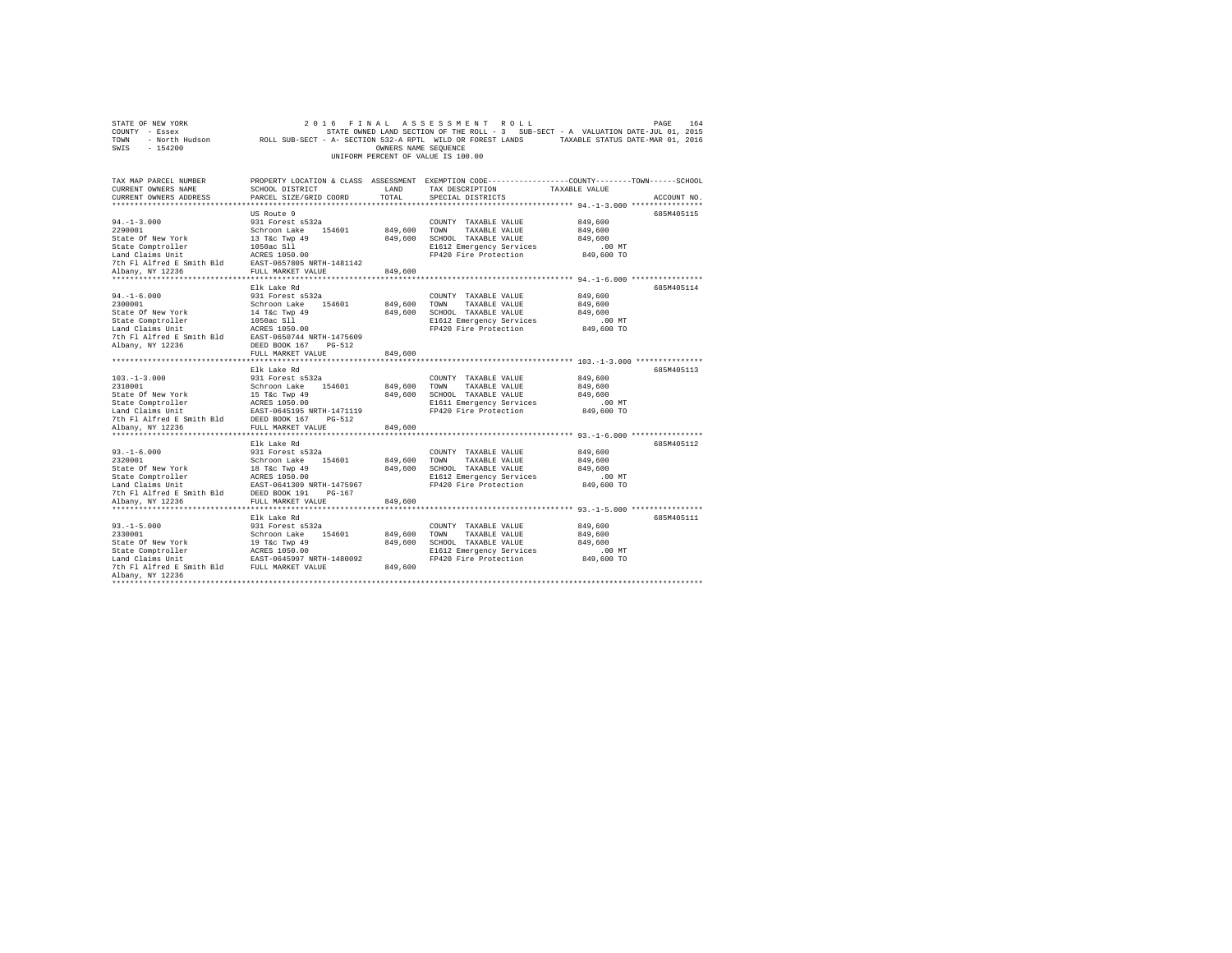| STATE OF NEW YORK                           | 2 0 1 6<br>FINAL          |                      | ASSESSMENT<br>ROLL                                                                                         |               | 164<br>PAGE |
|---------------------------------------------|---------------------------|----------------------|------------------------------------------------------------------------------------------------------------|---------------|-------------|
| COUNTY - Essex                              |                           |                      | STATE OWNED LAND SECTION OF THE ROLL - 3 SUB-SECT - A VALUATION DATE-JUL 01, 2015                          |               |             |
| TOWN                                        |                           |                      | - North Hudson ROLL SUB-SECT - A- SECTION 532-A RPTL WILD OR FOREST LANDS TAXABLE STATUS DATE-MAR 01, 2016 |               |             |
| SWIS<br>$-154200$                           |                           | OWNERS NAME SEQUENCE |                                                                                                            |               |             |
|                                             |                           |                      | UNIFORM PERCENT OF VALUE IS 100.00                                                                         |               |             |
|                                             |                           |                      |                                                                                                            |               |             |
|                                             |                           |                      |                                                                                                            |               |             |
| TAX MAP PARCEL NUMBER                       |                           |                      | PROPERTY LOCATION & CLASS ASSESSMENT EXEMPTION CODE---------------COUNTY-------TOWN-----SCHOOL             |               |             |
| CURRENT OWNERS NAME                         | SCHOOL DISTRICT           | LAND                 | TAX DESCRIPTION                                                                                            | TAXABLE VALUE |             |
| CURRENT OWNERS ADDRESS                      | PARCEL SIZE/GRID COORD    | TOTAL                | SPECIAL DISTRICTS                                                                                          |               | ACCOUNT NO. |
|                                             |                           |                      |                                                                                                            |               |             |
|                                             | US Route 9                |                      |                                                                                                            |               | 685M405115  |
| $94. -1 - 3.000$                            | 931 Forest s532a          |                      | COUNTY TAXABLE VALUE                                                                                       | 849,600       |             |
| 2290001                                     | Schroon Lake 154601       | 849,600              | TOWN<br>TAXABLE VALUE                                                                                      | 849,600       |             |
| State Of New York                           | 13 T&c Twp 49             | 849,600              | SCHOOL TAXABLE VALUE                                                                                       | 849,600       |             |
| State Comptroller                           | 1050ac S11                |                      | E1612 Emergency Services                                                                                   | .00MT         |             |
| Land Claims Unit                            | ACRES 1050.00             |                      | FP420 Fire Protection                                                                                      | 849,600 TO    |             |
| 7th Fl Alfred E Smith Bld                   | EAST-0657805 NRTH-1481142 |                      |                                                                                                            |               |             |
| Albany, NY 12236                            | FULL MARKET VALUE         | 849,600              |                                                                                                            |               |             |
| **********************                      | *********************     | ***********          |                                                                                                            |               |             |
|                                             | Elk Lake Rd               |                      |                                                                                                            |               | 685M405114  |
| $94. - 1 - 6.000$                           | 931 Forest s532a          |                      | COUNTY TAXABLE VALUE                                                                                       | 849,600       |             |
| 2300001                                     | Schroon Lake 154601       | 849,600              | TOWN<br>TAXABLE VALUE                                                                                      | 849,600       |             |
| State Of New York                           | 14 T&c Twp 49             | 849,600              | SCHOOL TAXABLE VALUE                                                                                       | 849,600       |             |
| State Comptroller                           | 1050ac S11                |                      | E1612 Emergency Services                                                                                   | .00 MT        |             |
| Land Claims Unit                            | ACRES 1050.00             |                      | FP420 Fire Protection                                                                                      | 849,600 TO    |             |
| 7th Fl Alfred E Smith Bld                   | EAST-0650744 NRTH-1475609 |                      |                                                                                                            |               |             |
| Albany, NY 12236                            | DEED BOOK 167<br>$PG-512$ |                      |                                                                                                            |               |             |
|                                             | FULL MARKET VALUE         | 849,600              |                                                                                                            |               |             |
|                                             |                           |                      |                                                                                                            |               |             |
|                                             | Elk Lake Rd               |                      |                                                                                                            |               | 685M405113  |
| $103. -1 - 3.000$                           | 931 Forest s532a          |                      | COUNTY TAXABLE VALUE                                                                                       | 849,600       |             |
| 2310001                                     | Schroon Lake<br>154601    | 849,600              | TOWN<br>TAXABLE VALUE                                                                                      | 849,600       |             |
| State Of New York                           | 15 T&c Twp 49             | 849,600              | SCHOOL TAXABLE VALUE                                                                                       | 849,600       |             |
| State Comptroller                           | ACRES 1050.00             |                      | E1611 Emergency Services                                                                                   | $.00$ MT      |             |
| Land Claims Unit                            | EAST-0645195 NRTH-1471119 |                      | FP420 Fire Protection                                                                                      | 849,600 TO    |             |
| 7th Fl Alfred E Smith Bld DEED BOOK 167     | PG-512                    |                      |                                                                                                            |               |             |
| Albany, NY 12236                            | FULL MARKET VALUE         | 849,600              |                                                                                                            |               |             |
|                                             |                           |                      |                                                                                                            |               |             |
|                                             | Elk Lake Rd               |                      |                                                                                                            |               | 685M405112  |
| $93. -1 - 6.000$                            | 931 Forest s532a          |                      | COUNTY TAXABLE VALUE                                                                                       | 849,600       |             |
| 2320001                                     | Schroon Lake<br>154601    | 849,600              | TAXABLE VALUE<br>TOWN                                                                                      | 849,600       |             |
| State Of New York                           | 18 T&c Twp 49             | 849,600              | SCHOOL TAXABLE VALUE                                                                                       | 849,600       |             |
| State Comptroller                           | ACRES 1050.00             |                      | E1612 Emergency Services                                                                                   | .00 MT        |             |
| Land Claims Unit                            | EAST-0641309 NRTH-1475967 |                      | FP420 Fire Protection                                                                                      | 849,600 TO    |             |
| 7th Fl Alfred E Smith Bld                   | DEED BOOK 191<br>$PG-167$ |                      |                                                                                                            |               |             |
| Albany, NY 12236                            | FULL MARKET VALUE         | 849,600              |                                                                                                            |               |             |
|                                             |                           |                      |                                                                                                            |               |             |
|                                             | Elk Lake Rd               |                      |                                                                                                            |               | 685M405111  |
| $93. -1 - 5.000$                            | 931 Forest s532a          |                      | COUNTY TAXABLE VALUE                                                                                       | 849,600       |             |
| 2330001                                     | Schroon Lake<br>154601    | 849,600              | TOWN<br>TAXABLE VALUE                                                                                      | 849,600       |             |
| State Of New York                           | 19 T&c Twp 49             | 849,600              | SCHOOL TAXABLE VALUE                                                                                       | 849,600       |             |
| State Comptroller                           | ACRES 1050.00             |                      | E1612 Emergency Services                                                                                   | .00 MT        |             |
| Land Claims Unit                            | EAST-0645997 NRTH-1480092 |                      | FP420 Fire Protection                                                                                      | 849,600 TO    |             |
| 7th Fl Alfred E Smith Bld FULL MARKET VALUE |                           | 849,600              |                                                                                                            |               |             |
| Albany, NY 12236                            |                           |                      |                                                                                                            |               |             |
|                                             |                           |                      |                                                                                                            |               |             |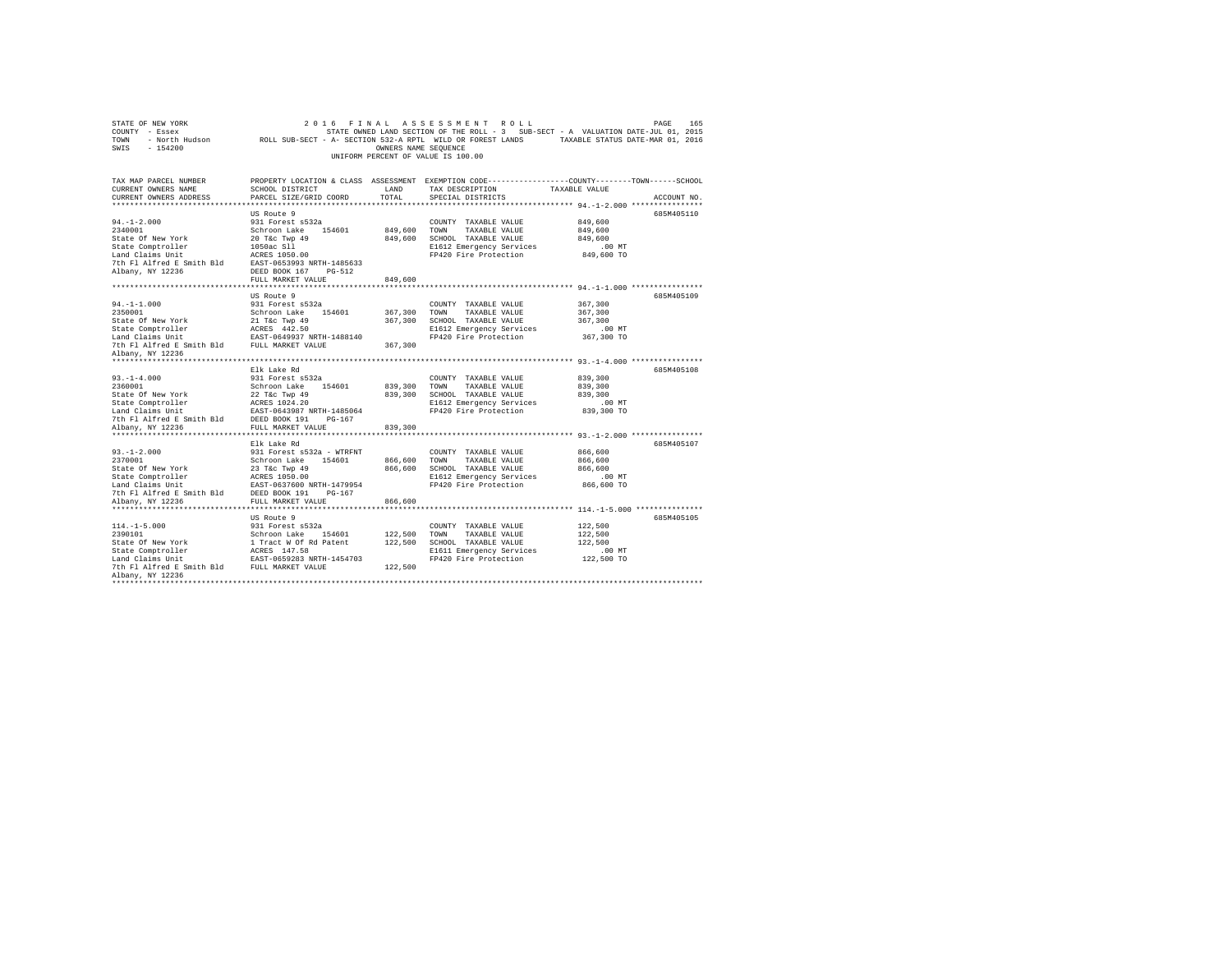| STATE OF NEW YORK<br>COUNTY - Essex<br>TOWN - North Hudson<br>SWIS - 154200 | ROLL SUB-SECT - A- SECTION 532-A RPTL WILD OR FOREST LANDS | OWNERS NAME SEQUENCE | 2016 FINAL ASSESSMENT ROLL<br>STATE OWNED LAND SECTION OF THE ROLL - 3 SUB-SECT - A VALUATION DATE-JUL 01, 2015<br>UNIFORM PERCENT OF VALUE IS 100.00 | TAXABLE STATUS DATE-MAR 01, 2016 | PAGE<br>165 |
|-----------------------------------------------------------------------------|------------------------------------------------------------|----------------------|-------------------------------------------------------------------------------------------------------------------------------------------------------|----------------------------------|-------------|
| TAX MAP PARCEL NUMBER                                                       |                                                            |                      | PROPERTY LOCATION & CLASS ASSESSMENT EXEMPTION CODE----------------COUNTY-------TOWN-----SCHOOL                                                       |                                  |             |
| CURRENT OWNERS NAME                                                         | SCHOOL DISTRICT                                            | LAND                 | TAX DESCRIPTION                                                                                                                                       | TAXABLE VALUE                    |             |
| CURRENT OWNERS ADDRESS                                                      | PARCEL SIZE/GRID COORD                                     | TOTAL                | SPECIAL DISTRICTS                                                                                                                                     |                                  | ACCOUNT NO. |
|                                                                             |                                                            |                      |                                                                                                                                                       |                                  |             |
|                                                                             | US Route 9                                                 |                      |                                                                                                                                                       |                                  | 685M405110  |
| $94. -1 - 2.000$                                                            | 931 Forest s532a                                           |                      | COUNTY TAXABLE VALUE                                                                                                                                  | 849,600                          |             |
| 2340001                                                                     | Schroon Lake 154601                                        | 849,600 TOWN         | TAXABLE VALUE                                                                                                                                         | 849,600                          |             |
| State Of New York                                                           | 20 T&c Twp 49                                              |                      | 849,600 SCHOOL TAXABLE VALUE                                                                                                                          | 849,600                          |             |
| State Comptroller                                                           | 1050ac S11<br>ACRES 1050.00                                |                      | E1612 Emergency Services                                                                                                                              | $.00$ MT<br>849,600 TO           |             |
| Land Claims Unit<br>7th Fl Alfred E Smith Bld                               | EAST-0653993 NRTH-1485633                                  |                      | FP420 Fire Protection                                                                                                                                 |                                  |             |
| Albany, NY 12236                                                            | DEED BOOK 167 PG-512                                       |                      |                                                                                                                                                       |                                  |             |
|                                                                             | FULL MARKET VALUE                                          | 849,600              |                                                                                                                                                       |                                  |             |
|                                                                             |                                                            |                      | .*********************************** 94.-1-1.000 ****************                                                                                     |                                  |             |
|                                                                             | US Route 9                                                 |                      |                                                                                                                                                       |                                  | 685M405109  |
| $94. -1 -1.000$                                                             | 931 Forest s532a                                           |                      | COUNTY TAXABLE VALUE                                                                                                                                  | 367,300                          |             |
| 2350001                                                                     | Schroon Lake 154601                                        | 367,300 TOWN         | TAXABLE VALUE                                                                                                                                         | 367,300                          |             |
| State Of New York                                                           | 21 T&c Twp 49                                              |                      | 367,300 SCHOOL TAXABLE VALUE                                                                                                                          | 367,300                          |             |
| State Comptroller                                                           | ACRES 442.50                                               |                      | E1612 Emergency Services                                                                                                                              | $.00$ MT                         |             |
| Land Claims Unit                                                            | EAST-0649937 NRTH-1488140                                  |                      | FP420 Fire Protection                                                                                                                                 | 367,300 TO                       |             |
| 7th Fl Alfred E Smith Bld                                                   | FULL MARKET VALUE                                          | 367,300              |                                                                                                                                                       |                                  |             |
| Albany, NY 12236                                                            |                                                            |                      |                                                                                                                                                       |                                  |             |
|                                                                             |                                                            |                      |                                                                                                                                                       |                                  |             |
|                                                                             | Elk Lake Rd                                                |                      |                                                                                                                                                       |                                  | 685M405108  |
| $93. -1 - 4.000$                                                            | 931 Forest s532a                                           |                      | COUNTY TAXABLE VALUE                                                                                                                                  | 839,300                          |             |
| 2360001                                                                     | Schroon Lake 154601                                        | 839,300              | TOWN<br>TAXABLE VALUE                                                                                                                                 | 839,300                          |             |
| State Of New York                                                           | 22 T&c Twp 49                                              |                      | 839,300 SCHOOL TAXABLE VALUE                                                                                                                          | 839,300                          |             |
| State Comptroller                                                           | ACRES 1024.20                                              |                      | E1612 Emergency Services                                                                                                                              | $.00$ MT                         |             |
| Land Claims Unit                                                            | EAST-0643987 NRTH-1485064                                  |                      | FP420 Fire Protection                                                                                                                                 | 839,300 TO                       |             |
| 7th Fl Alfred E Smith Bld DEED BOOK 191                                     | $PG-167$                                                   |                      |                                                                                                                                                       |                                  |             |
| Albany, NY 12236                                                            | FULL MARKET VALUE                                          | 839,300              |                                                                                                                                                       |                                  |             |
|                                                                             |                                                            |                      |                                                                                                                                                       |                                  |             |
|                                                                             | Elk Lake Rd                                                |                      |                                                                                                                                                       |                                  | 685M405107  |
| $93. -1 - 2.000$                                                            | 931 Forest s532a - WTRFNT                                  |                      | COUNTY TAXABLE VALUE                                                                                                                                  | 866,600                          |             |
| 2370001                                                                     | Schroon Lake 154601                                        | 866,600 TOWN         | TAXABLE VALUE                                                                                                                                         | 866,600                          |             |
| State Of New York                                                           | 23 T&c Twp 49                                              |                      | 866,600 SCHOOL TAXABLE VALUE                                                                                                                          | 866,600                          |             |
| State Comptroller                                                           | ACRES 1050.00                                              |                      | E1612 Emergency Services                                                                                                                              | $.00$ MT                         |             |
| Land Claims Unit                                                            | EAST-0637600 NRTH-1479954                                  |                      | FP420 Fire Protection                                                                                                                                 | 866,600 TO                       |             |
| 7th Fl Alfred E Smith Bld DEED BOOK 191 PG-167                              |                                                            |                      |                                                                                                                                                       |                                  |             |
| Albany, NY 12236                                                            | FULL MARKET VALUE                                          | 866,600              |                                                                                                                                                       |                                  |             |
|                                                                             |                                                            |                      |                                                                                                                                                       |                                  |             |
|                                                                             | US Route 9                                                 |                      |                                                                                                                                                       |                                  | 685M405105  |
| $114. -1 - 5.000$                                                           | 931 Forest s532a                                           |                      | COUNTY TAXABLE VALUE                                                                                                                                  | 122,500                          |             |
| 2390101                                                                     | Schroon Lake 154601                                        | 122,500              | TOWN<br>TAXABLE VALUE                                                                                                                                 | 122,500                          |             |
| State Of New York                                                           | 1 Tract W Of Rd Patent                                     | 122,500              | SCHOOL TAXABLE VALUE                                                                                                                                  | 122,500                          |             |
| State Comptroller                                                           | ACRES 147.58<br>EAST-0659283 NRTH-1454703                  |                      | E1611 Emergency Services                                                                                                                              | $.00$ MT                         |             |
| Land Claims Unit                                                            |                                                            |                      | FP420 Fire Protection                                                                                                                                 | 122,500 TO                       |             |
| 7th Fl Alfred E Smith Bld FULL MARKET VALUE                                 |                                                            | 122,500              |                                                                                                                                                       |                                  |             |
| Albany, NY 12236                                                            |                                                            |                      |                                                                                                                                                       |                                  |             |
|                                                                             |                                                            |                      |                                                                                                                                                       |                                  |             |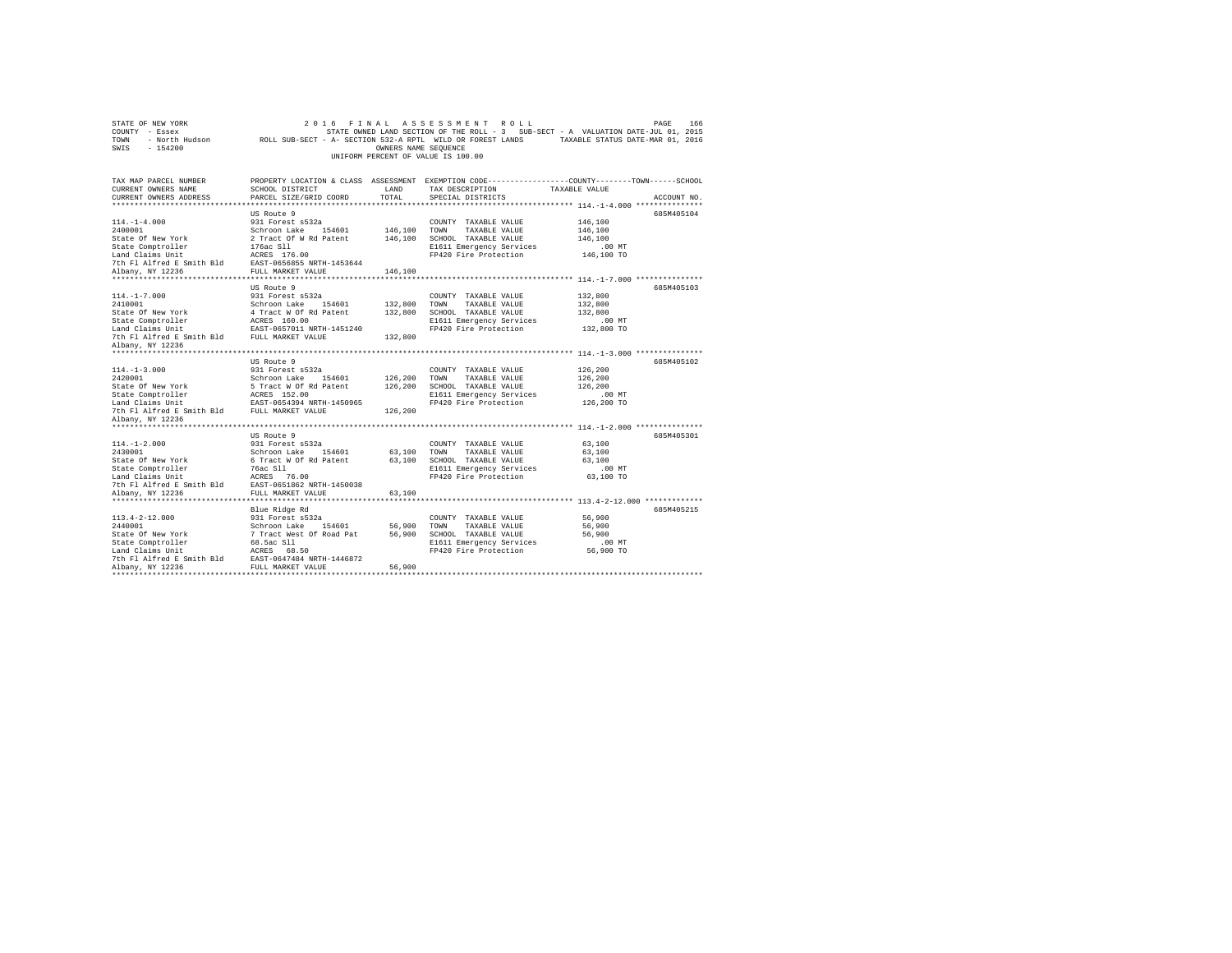|                                                                                                                                                                                                  |                                                                                                             |                                                                                                                            | PAGE<br>166<br>TAXABLE STATUS DATE-MAR 01, 2016                                                                                                                                                                                                                                                                                                                                             |
|--------------------------------------------------------------------------------------------------------------------------------------------------------------------------------------------------|-------------------------------------------------------------------------------------------------------------|----------------------------------------------------------------------------------------------------------------------------|---------------------------------------------------------------------------------------------------------------------------------------------------------------------------------------------------------------------------------------------------------------------------------------------------------------------------------------------------------------------------------------------|
| SCHOOL DISTRICT<br>PARCEL SIZE/GRID COORD                                                                                                                                                        | LAND<br>TOTAL                                                                                               | TAX DESCRIPTION<br>SPECIAL DISTRICTS                                                                                       | TAXABLE VALUE<br>ACCOUNT NO.                                                                                                                                                                                                                                                                                                                                                                |
|                                                                                                                                                                                                  |                                                                                                             |                                                                                                                            |                                                                                                                                                                                                                                                                                                                                                                                             |
| US Route 9<br>931 Forest s532a<br>Schroon Lake 154601<br>2 Tract Of W Rd Patent<br>176ac S11<br>ACRES 176.00<br>EAST-0656855 NRTH-1453644                                                        | 146,100<br>146,100                                                                                          | COUNTY TAXABLE VALUE<br>TOWN<br>TAXABLE VALUE<br>SCHOOL TAXABLE VALUE<br>E1611 Emergency Services<br>FP420 Fire Protection | 685M405104<br>146,100<br>146,100<br>146,100<br>$.00$ MT<br>146,100 TO                                                                                                                                                                                                                                                                                                                       |
| FULL MARKET VALUE                                                                                                                                                                                | 146,100                                                                                                     |                                                                                                                            |                                                                                                                                                                                                                                                                                                                                                                                             |
|                                                                                                                                                                                                  |                                                                                                             |                                                                                                                            |                                                                                                                                                                                                                                                                                                                                                                                             |
| US Route 9<br>931 Forest s532a<br>Schroon Lake 154601<br>4 Tract W Of Rd Patent<br>ACRES 160.00                                                                                                  | 132,800<br>132,800                                                                                          | COUNTY TAXABLE VALUE<br>TOWN<br>TAXABLE VALUE<br>SCHOOL TAXABLE VALUE<br>E1611 Emergency Services                          | 685M405103<br>132,800<br>132,800<br>132,800<br>$.00$ MT                                                                                                                                                                                                                                                                                                                                     |
| 7th Fl Alfred E Smith Bld<br>FULL MARKET VALUE                                                                                                                                                   | 132,800                                                                                                     |                                                                                                                            | 132,800 TO                                                                                                                                                                                                                                                                                                                                                                                  |
|                                                                                                                                                                                                  |                                                                                                             |                                                                                                                            | 685M405102                                                                                                                                                                                                                                                                                                                                                                                  |
| 931 Forest s532a<br>Schroon Lake 154601<br>5 Tract W Of Rd Patent<br>ACRES 152.00<br>EAST-0654394 NRTH-1450965                                                                                   | 126,200<br>126,200                                                                                          | COUNTY TAXABLE VALUE<br>TOWN<br>TAXABLE VALUE<br>SCHOOL TAXABLE VALUE<br>E1611 Emergency Services<br>FP420 Fire Protection | 126,200<br>126,200<br>126,200<br>.00 MT<br>126,200 TO                                                                                                                                                                                                                                                                                                                                       |
|                                                                                                                                                                                                  |                                                                                                             |                                                                                                                            |                                                                                                                                                                                                                                                                                                                                                                                             |
| US Route 9                                                                                                                                                                                       |                                                                                                             |                                                                                                                            | 685M405301                                                                                                                                                                                                                                                                                                                                                                                  |
| 931 Forest s532a<br>Schroon Lake 154601<br>6 Tract W Of Rd Patent<br>76ac Sll<br>ACRES 76.00<br>7th Fl Alfred E Smith Bld<br>EAST-0651862 NRTH-1450038                                           | 63,100                                                                                                      | COUNTY TAXABLE VALUE<br>TOWN<br>TAXABLE VALUE<br>SCHOOL TAXABLE VALUE<br>E1611 Emergency Services<br>FP420 Fire Protection | 63,100<br>63,100<br>63,100<br>.00 MT<br>63,100 TO                                                                                                                                                                                                                                                                                                                                           |
|                                                                                                                                                                                                  |                                                                                                             |                                                                                                                            | ********************************** 113.4-2-12.000 *************                                                                                                                                                                                                                                                                                                                             |
| Blue Ridge Rd<br>931 Forest s532a<br>Schroon Lake 154601<br>7 Tract West Of Road Pat<br>68.5ac S11<br>ACRES 68.50<br>7th Fl Alfred E Smith Bld<br>EAST-0647484 NRTH-1446872<br>FULL MARKET VALUE | 56,900<br>56,900                                                                                            | COUNTY TAXABLE VALUE<br>TOWN<br>TAXABLE VALUE<br>SCHOOL TAXABLE VALUE<br>E1611 Emergency Services<br>FP420 Fire Protection | 685M405215<br>56,900<br>56,900<br>56,900<br>.00MT<br>56,900 TO                                                                                                                                                                                                                                                                                                                              |
|                                                                                                                                                                                                  | EAST-0657011 NRTH-1451240<br>US Route 9<br>7th Fl Alfred E Smith Bld FULL MARKET VALUE<br>FULL MARKET VALUE | 126,200<br>63,100                                                                                                          | 2016 FINAL ASSESSMENT ROLL<br>STATE OWNED LAND SECTION OF THE ROLL - 3 SUB-SECT - A VALUATION DATE-JUL 01, 2015<br>ROLL SUB-SECT - A- SECTION 532-A RPTL WILD OR FOREST LANDS<br>OWNERS NAME SEQUENCE<br>UNIFORM PERCENT OF VALUE IS 100.00<br>PROPERTY LOCATION & CLASS ASSESSMENT EXEMPTION CODE---------------COUNTY-------TOWN------SCHOOL<br>FP420 Fire Protection<br>63,100<br>56,900 |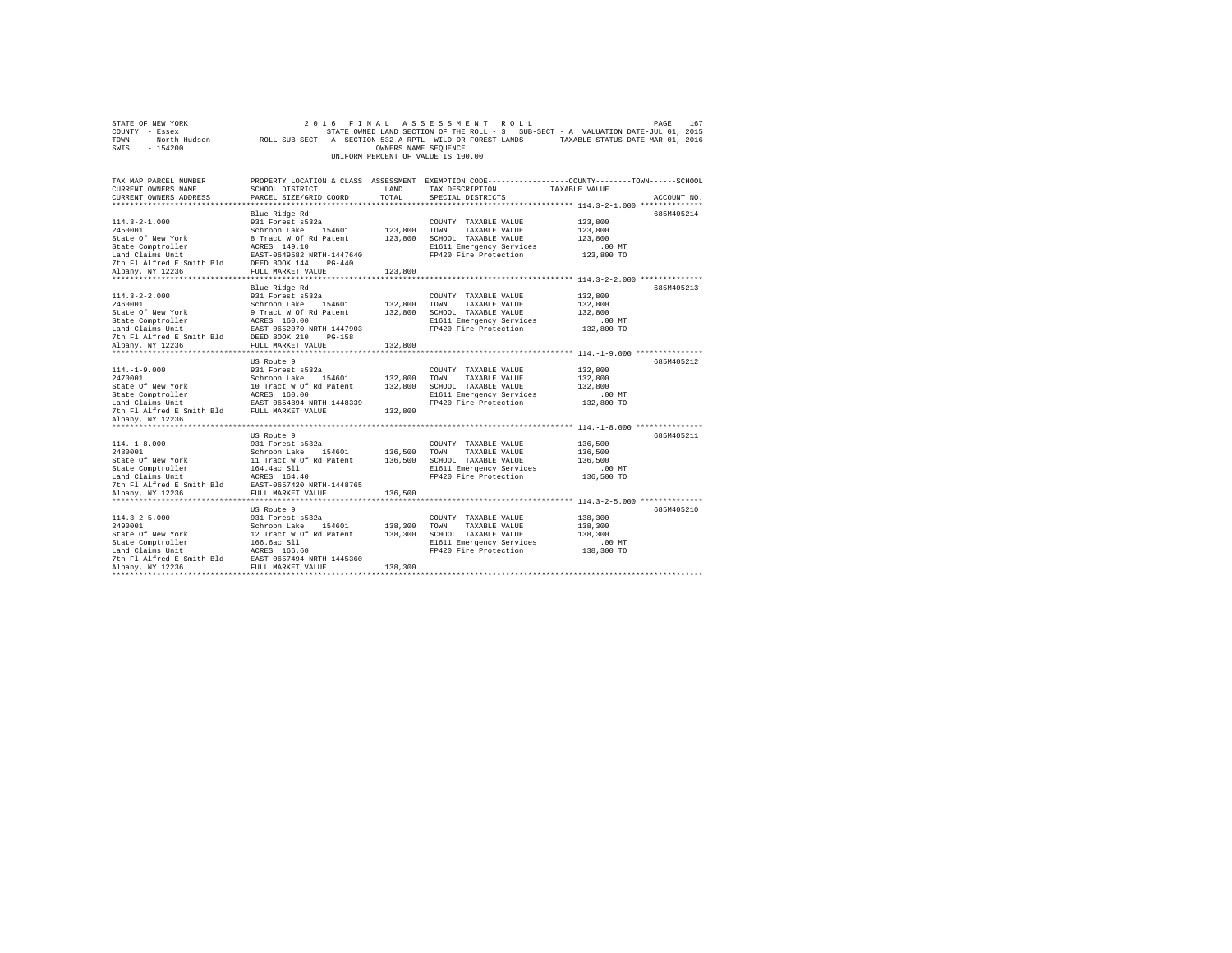| STATE OF NEW YORK                                   | 2 0 1 6                                 |                      | FINAL ASSESSMENT ROLL              | PAGE<br>167                                                                                                |  |
|-----------------------------------------------------|-----------------------------------------|----------------------|------------------------------------|------------------------------------------------------------------------------------------------------------|--|
| COUNTY - Essex                                      |                                         |                      |                                    | STATE OWNED LAND SECTION OF THE ROLL - 3 SUB-SECT - A VALUATION DATE-JUL 01, 2015                          |  |
| TOWN                                                |                                         |                      |                                    | - North Hudson ROLL SUB-SECT - A- SECTION 532-A RPTL WILD OR FOREST LANDS TAXABLE STATUS DATE-MAR 01, 2016 |  |
| SWIS<br>$-154200$                                   |                                         | OWNERS NAME SEQUENCE |                                    |                                                                                                            |  |
|                                                     |                                         |                      | UNIFORM PERCENT OF VALUE IS 100.00 |                                                                                                            |  |
|                                                     |                                         |                      |                                    |                                                                                                            |  |
|                                                     |                                         |                      |                                    |                                                                                                            |  |
| TAX MAP PARCEL NUMBER                               |                                         |                      |                                    | PROPERTY LOCATION & CLASS ASSESSMENT EXEMPTION CODE----------------COUNTY-------TOWN-----SCHOOL            |  |
| CURRENT OWNERS NAME                                 | SCHOOL DISTRICT                         | LAND                 | TAX DESCRIPTION                    | TAXABLE VALUE                                                                                              |  |
| CURRENT OWNERS ADDRESS                              | PARCEL SIZE/GRID COORD                  | TOTAL                | SPECIAL DISTRICTS                  | ACCOUNT NO.                                                                                                |  |
|                                                     |                                         |                      |                                    |                                                                                                            |  |
|                                                     | Blue Ridge Rd                           |                      |                                    | 685M405214                                                                                                 |  |
| $114.3 - 2 - 1.000$                                 | 931 Forest s532a                        |                      | COUNTY TAXABLE VALUE               | 123,800                                                                                                    |  |
| 2450001                                             | Schroon Lake 154601                     | 123,800 TOWN         | TAXABLE VALUE                      | 123,800                                                                                                    |  |
| State Of New York                                   | 8 Tract W Of Rd Patent                  |                      | 123,800 SCHOOL TAXABLE VALUE       | 123,800                                                                                                    |  |
| State Comptroller                                   | ACRES 149.10                            |                      | E1611 Emergency Services           | $.00$ MT                                                                                                   |  |
| Land Claims Unit                                    | EAST-0649582 NRTH-1447640               |                      | FP420 Fire Protection              | 123,800 TO                                                                                                 |  |
| 7th F1 Alfred E Smith Bld DEED BOOK 144 PG-440      |                                         |                      |                                    |                                                                                                            |  |
| Albany, NY 12236                                    | FULL MARKET VALUE                       | 123,800              |                                    |                                                                                                            |  |
|                                                     |                                         |                      |                                    |                                                                                                            |  |
|                                                     | Blue Ridge Rd                           |                      |                                    | 685M405213                                                                                                 |  |
| $114.3 - 2 - 2.000$                                 | 931 Forest s532a                        |                      | COUNTY TAXABLE VALUE               | 132,800                                                                                                    |  |
| 2460001                                             | Schroon Lake 154601                     | 132,800 TOWN         | TAXABLE VALUE                      | 132,800                                                                                                    |  |
| State Of New York                                   |                                         | 132,800              | SCHOOL TAXABLE VALUE               | 132,800                                                                                                    |  |
| State Comptroller                                   | 9 Tract W Of Rd Patent<br>ACRES 160.00  |                      | E1611 Emergency Services           | $.00$ MT                                                                                                   |  |
| Land Claims Unit                                    | EAST-0652070 NRTH-1447903               |                      | FP420 Fire Protection              | 132,800 TO                                                                                                 |  |
| 7th Fl Alfred E Smith Bld                           | DEED BOOK 210<br>$PG-158$               |                      |                                    |                                                                                                            |  |
| Albany, NY 12236                                    | FULL MARKET VALUE                       | 132,800              |                                    |                                                                                                            |  |
|                                                     |                                         |                      |                                    |                                                                                                            |  |
|                                                     | US Route 9                              |                      |                                    | 685M405212                                                                                                 |  |
| $114. - 1 - 9.000$                                  | 931 Forest s532a                        |                      | COUNTY TAXABLE VALUE               | 132,800                                                                                                    |  |
| 2470001                                             | Schroon Lake 154601                     | 132,800 TOWN         | TAXABLE VALUE                      | 132,800                                                                                                    |  |
| State Of New York                                   | 10 Tract W Of Rd Patent<br>ACRES 160.00 |                      | 132,800 SCHOOL TAXABLE VALUE       | 132,800                                                                                                    |  |
| State Comptroller                                   |                                         |                      | E1611 Emergency Services           | $.00$ MT                                                                                                   |  |
| Land Claims Unit EAST-0654894 NRTH-1448339          |                                         |                      | FP420 Fire Protection              | 132,800 TO                                                                                                 |  |
| 7th Fl Alfred E Smith Bld FULL MARKET VALUE         |                                         | 132,800              |                                    |                                                                                                            |  |
| Albany, NY 12236                                    |                                         |                      |                                    |                                                                                                            |  |
|                                                     |                                         |                      |                                    |                                                                                                            |  |
|                                                     | US Route 9                              |                      |                                    | 685M405211                                                                                                 |  |
| $114. -1 - 8.000$                                   | 931 Forest s532a                        |                      | COUNTY TAXABLE VALUE               | 136,500                                                                                                    |  |
| 2480001                                             | Schroon Lake 154601                     | 136,500              | TOWN<br>TAXABLE VALUE              | 136,500                                                                                                    |  |
| State Of New York                                   | 11 Tract W Of Rd Patent                 |                      | 136,500 SCHOOL TAXABLE VALUE       | 136,500                                                                                                    |  |
| State Comptroller                                   | 164.4ac Sll                             |                      | E1611 Emergency Services           | .00 MT                                                                                                     |  |
| Land Claims Unit                                    | ACRES 164.40                            |                      | FP420 Fire Protection              | 136,500 TO                                                                                                 |  |
| 7th Fl Alfred E Smith Bld                           | EAST-0657420 NRTH-1448765               |                      |                                    |                                                                                                            |  |
| Albany, NY 12236                                    | FULL MARKET VALUE                       | 136,500              |                                    |                                                                                                            |  |
|                                                     |                                         |                      |                                    |                                                                                                            |  |
|                                                     | US Route 9                              |                      |                                    | 685M405210                                                                                                 |  |
| $114.3 - 2 - 5.000$                                 | 931 Forest s532a                        |                      | COUNTY TAXABLE VALUE               | 138,300                                                                                                    |  |
| 2490001                                             | Schroon Lake 154601                     | 138,300              | TOWN<br>TAXABLE VALUE              | 138,300                                                                                                    |  |
| State Of New York                                   | 12 Tract W Of Rd Patent                 | 138,300              | SCHOOL TAXABLE VALUE               | 138,300                                                                                                    |  |
| State Comptroller                                   | 166.6ac Sll                             |                      | E1611 Emergency Services           | $.00$ MT                                                                                                   |  |
| Land Claims Unit                                    | ACRES 166.60                            |                      | FP420 Fire Protection              | 138,300 TO                                                                                                 |  |
| 7th Fl Alfred E Smith Bld EAST-0657494 NRTH-1445360 |                                         |                      |                                    |                                                                                                            |  |
| Albany, NY 12236                                    | FULL MARKET VALUE                       | 138,300              |                                    |                                                                                                            |  |
|                                                     |                                         |                      |                                    |                                                                                                            |  |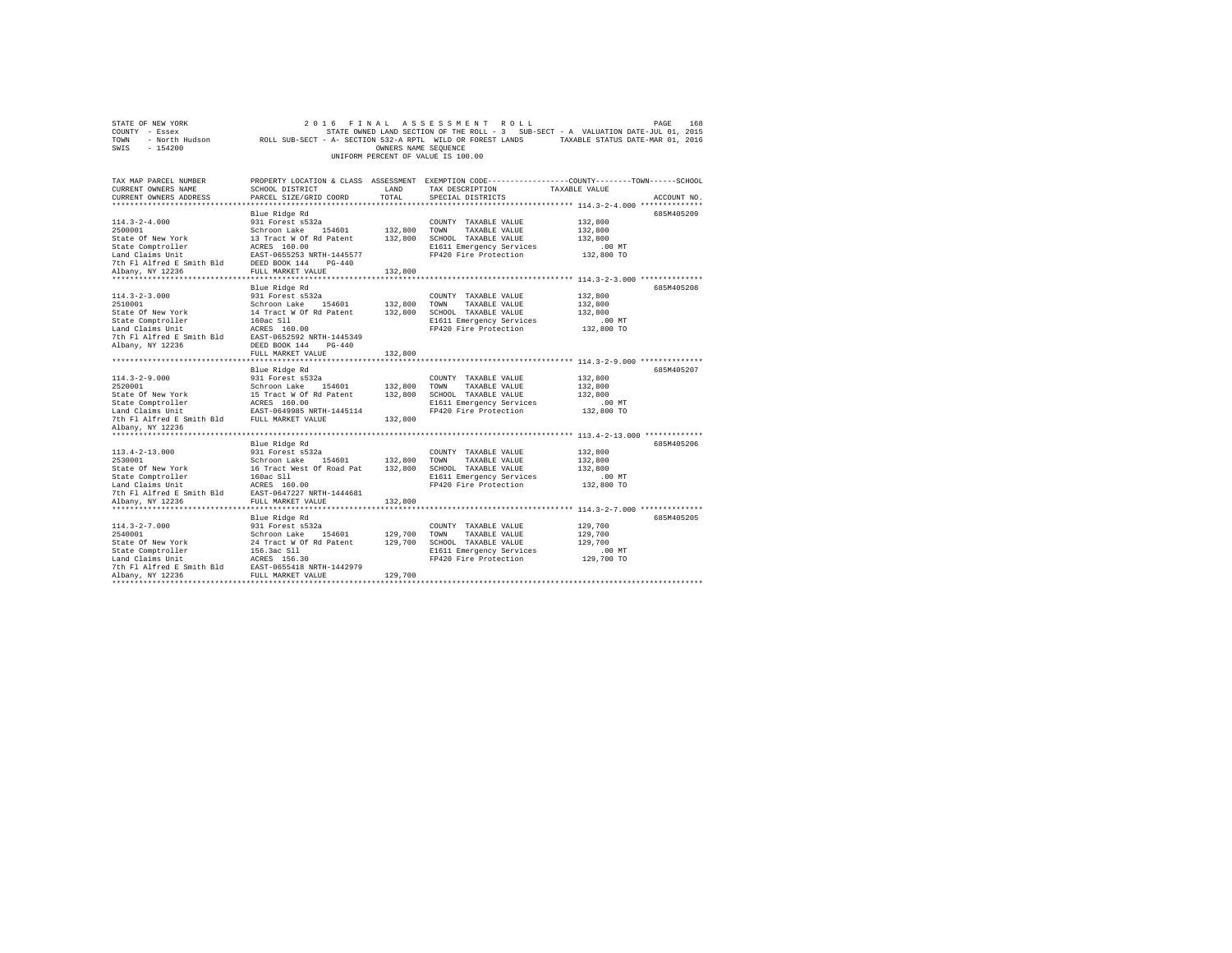| STATE OF NEW YORK                           | 2 0 1 6<br>FINAL                                           |                      | ASSESSMENT<br>ROLL                 | PAGE                                                                                            | 168         |
|---------------------------------------------|------------------------------------------------------------|----------------------|------------------------------------|-------------------------------------------------------------------------------------------------|-------------|
| COUNTY - Essex                              |                                                            |                      |                                    | STATE OWNED LAND SECTION OF THE ROLL - 3 SUB-SECT - A VALUATION DATE-JUL 01, 2015               |             |
| - North Hudson<br>TOWN                      | ROLL SUB-SECT - A- SECTION 532-A RPTL WILD OR FOREST LANDS |                      |                                    | TAXABLE STATUS DATE-MAR 01, 2016                                                                |             |
| SWIS<br>$-154200$                           |                                                            | OWNERS NAME SEQUENCE |                                    |                                                                                                 |             |
|                                             |                                                            |                      | UNIFORM PERCENT OF VALUE IS 100.00 |                                                                                                 |             |
|                                             |                                                            |                      |                                    |                                                                                                 |             |
|                                             |                                                            |                      |                                    |                                                                                                 |             |
| TAX MAP PARCEL NUMBER                       |                                                            |                      |                                    | PROPERTY LOCATION & CLASS ASSESSMENT EXEMPTION CODE----------------COUNTY-------TOWN-----SCHOOL |             |
| CURRENT OWNERS NAME                         | SCHOOL DISTRICT                                            | LAND                 | TAX DESCRIPTION                    | TAXABLE VALUE                                                                                   |             |
| CURRENT OWNERS ADDRESS                      | PARCEL SIZE/GRID COORD                                     | TOTAL                | SPECIAL DISTRICTS                  |                                                                                                 | ACCOUNT NO. |
|                                             |                                                            |                      |                                    |                                                                                                 |             |
|                                             | Blue Ridge Rd                                              |                      |                                    |                                                                                                 | 685M405209  |
| $114.3 - 2 - 4.000$                         | 931 Forest s532a                                           |                      | COUNTY TAXABLE VALUE               | 132,800                                                                                         |             |
| 2500001                                     | Schroon Lake<br>154601                                     | 132,800              | TOWN<br>TAXABLE VALUE              | 132,800                                                                                         |             |
| State Of New York                           | 13 Tract W Of Rd Patent                                    | 132,800              | SCHOOL TAXABLE VALUE               | 132,800                                                                                         |             |
| State Comptroller                           | ACRES 160.00                                               |                      | E1611 Emergency Services           | $.00$ MT                                                                                        |             |
| Land Claims Unit                            | EAST-0655253 NRTH-1445577                                  |                      | FP420 Fire Protection              | 132,800 TO                                                                                      |             |
| 7th Fl Alfred E Smith Bld                   | DEED BOOK 144<br>$PG-440$                                  |                      |                                    |                                                                                                 |             |
| Albany, NY 12236                            | FULL MARKET VALUE                                          | 132,800              |                                    |                                                                                                 |             |
| **********************                      | **********************                                     | **********           |                                    | **************************** 114.3-2-3.000 **************                                       |             |
|                                             | Blue Ridge Rd                                              |                      |                                    |                                                                                                 | 685M405208  |
| $114.3 - 2 - 3.000$                         | 931 Forest s532a                                           |                      | COUNTY TAXABLE VALUE               |                                                                                                 |             |
| 2510001                                     | Schroon Lake<br>154601                                     |                      | TOWN<br>TAXABLE VALUE              | 132,800                                                                                         |             |
|                                             |                                                            | 132,800              |                                    | 132,800                                                                                         |             |
| State Of New York                           | 14 Tract W Of Rd Patent                                    | 132,800              | SCHOOL TAXABLE VALUE               | 132,800                                                                                         |             |
| State Comptroller                           | 160ac S11                                                  |                      | E1611 Emergency Services           | .00 MT                                                                                          |             |
| Land Claims Unit                            | ACRES 160.00                                               |                      | FP420 Fire Protection              | 132,800 TO                                                                                      |             |
| 7th Fl Alfred E Smith Bld                   | EAST-0652592 NRTH-1445349                                  |                      |                                    |                                                                                                 |             |
| Albany, NY 12236                            | DEED BOOK 144<br>$PG-440$                                  |                      |                                    |                                                                                                 |             |
|                                             | FULL MARKET VALUE                                          | 132,800              |                                    |                                                                                                 |             |
|                                             |                                                            |                      |                                    |                                                                                                 |             |
|                                             | Blue Ridge Rd                                              |                      |                                    |                                                                                                 | 685M405207  |
| $114.3 - 2 - 9.000$                         | 931 Forest s532a                                           |                      | COUNTY TAXABLE VALUE               | 132,800                                                                                         |             |
| 2520001                                     | Schroon Lake<br>154601                                     | 132,800              | TOWN<br>TAXABLE VALUE              | 132,800                                                                                         |             |
| State Of New York                           | 15 Tract W Of Rd Patent                                    | 132,800              | SCHOOL TAXABLE VALUE               | 132,800                                                                                         |             |
| State Comptroller                           | ACRES 160.00                                               |                      | E1611 Emergency Services           | .00MT                                                                                           |             |
| Land Claims Unit                            | EAST-0649985 NRTH-1445114                                  |                      | FP420 Fire Protection              | 132,800 TO                                                                                      |             |
| 7th Fl Alfred E Smith Bld FULL MARKET VALUE |                                                            | 132,800              |                                    |                                                                                                 |             |
| Albany, NY 12236                            |                                                            |                      |                                    |                                                                                                 |             |
|                                             |                                                            |                      |                                    |                                                                                                 |             |
|                                             | Blue Ridge Rd                                              |                      |                                    |                                                                                                 | 685M405206  |
| $113.4 - 2 - 13.000$                        | 931 Forest s532a                                           |                      | COUNTY TAXABLE VALUE               | 132,800                                                                                         |             |
| 2530001                                     | 154601<br>Schroon Lake                                     | 132,800              | TAXABLE VALUE<br>TOWN              | 132,800                                                                                         |             |
| State Of New York                           | 16 Tract West Of Road Pat                                  | 132,800              | SCHOOL TAXABLE VALUE               | 132,800                                                                                         |             |
| State Comptroller                           | 160ac Sll                                                  |                      | E1611 Emergency Services           | .00 MT                                                                                          |             |
| Land Claims Unit                            | ACRES 160.00                                               |                      | FP420 Fire Protection              | 132,800 TO                                                                                      |             |
| 7th Fl Alfred E Smith Bld                   | EAST-0647227 NRTH-1444681                                  |                      |                                    |                                                                                                 |             |
| Albany, NY 12236                            | FULL MARKET VALUE                                          | 132,800              |                                    |                                                                                                 |             |
|                                             |                                                            |                      |                                    |                                                                                                 |             |
|                                             | Blue Ridge Rd                                              |                      |                                    |                                                                                                 | 685M405205  |
| $114.3 - 2 - 7.000$                         | 931 Forest s532a                                           |                      | COUNTY TAXABLE VALUE               | 129,700                                                                                         |             |
| 2540001                                     | Schroon Lake<br>154601                                     | 129,700              | TOWN<br>TAXABLE VALUE              | 129,700                                                                                         |             |
| State Of New York                           | 24 Tract W Of Rd Patent                                    | 129,700              | SCHOOL TAXABLE VALUE               | 129,700                                                                                         |             |
| State Comptroller                           | 156.3ac Sll                                                |                      | E1611 Emergency Services           | $.00$ MT                                                                                        |             |
| Land Claims Unit                            | ACRES 156.30                                               |                      | FP420 Fire Protection              | 129,700 TO                                                                                      |             |
| 7th Fl Alfred E Smith Bld                   | EAST-0655418 NRTH-1442979                                  |                      |                                    |                                                                                                 |             |
| Albany, NY 12236                            | FULL MARKET VALUE                                          | 129,700              |                                    |                                                                                                 |             |
|                                             |                                                            |                      |                                    |                                                                                                 |             |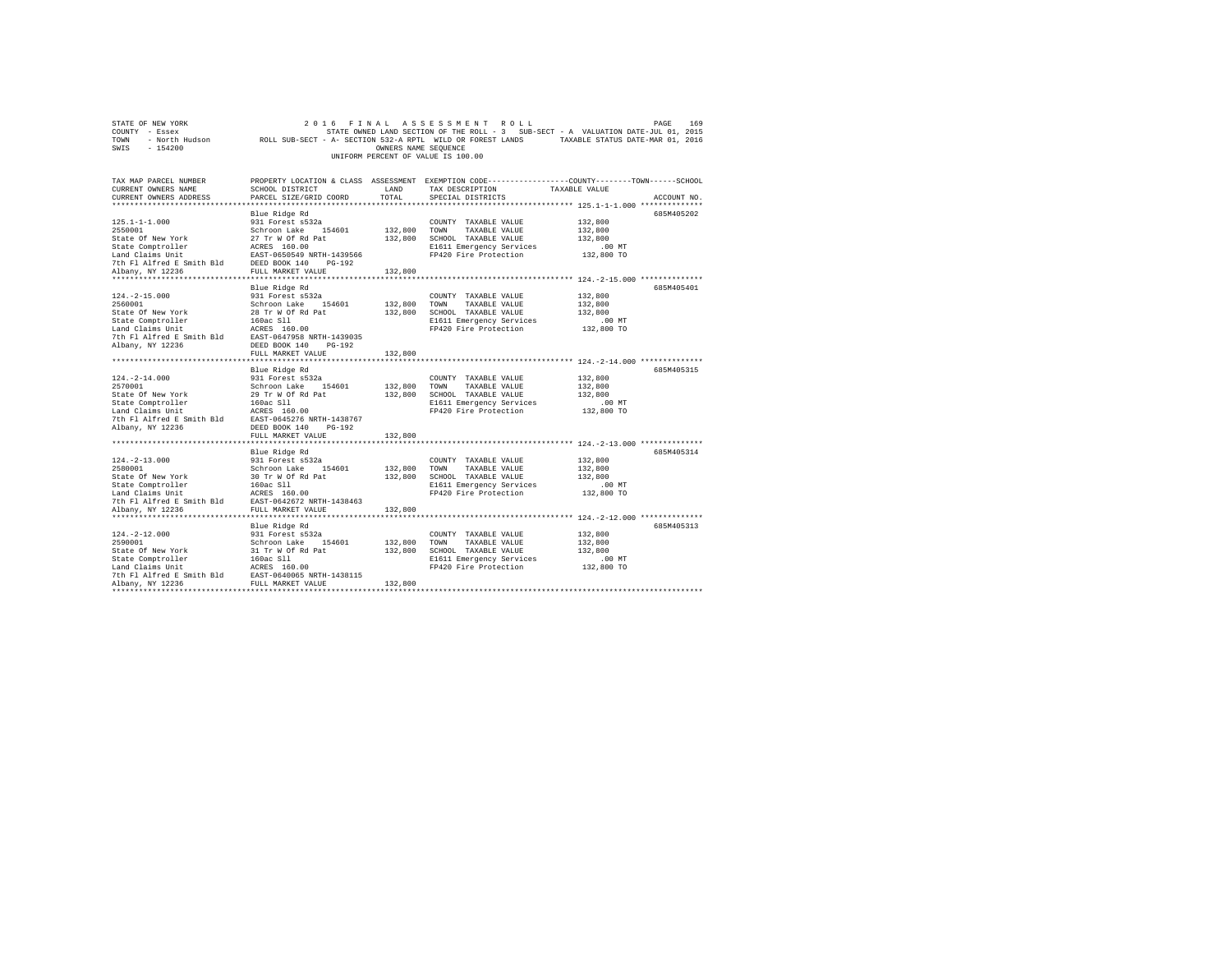| STATE OF NEW YORK                                                                                                                                                                                                                                                                                                                                                                                                                   | 2 0 1 6                |                      | FINAL ASSESSMENT ROLL                                               | PAGE                                                                                                            | 169 |
|-------------------------------------------------------------------------------------------------------------------------------------------------------------------------------------------------------------------------------------------------------------------------------------------------------------------------------------------------------------------------------------------------------------------------------------|------------------------|----------------------|---------------------------------------------------------------------|-----------------------------------------------------------------------------------------------------------------|-----|
| COUNTY - Essex                                                                                                                                                                                                                                                                                                                                                                                                                      |                        |                      |                                                                     | STATE OWNED LAND SECTION OF THE ROLL - 3 SUB-SECT - A VALUATION DATE-JUL 01, 2015                               |     |
|                                                                                                                                                                                                                                                                                                                                                                                                                                     |                        |                      |                                                                     | TOWN - North Hudson ROLL SUB-SECT - A- SECTION 532-A RPTL WILD OR FOREST LANDS TAXABLE STATUS DATE-MAR 01, 2016 |     |
| SWIS - 154200                                                                                                                                                                                                                                                                                                                                                                                                                       |                        | OWNERS NAME SEQUENCE |                                                                     |                                                                                                                 |     |
|                                                                                                                                                                                                                                                                                                                                                                                                                                     |                        |                      | UNIFORM PERCENT OF VALUE IS 100.00                                  |                                                                                                                 |     |
|                                                                                                                                                                                                                                                                                                                                                                                                                                     |                        |                      |                                                                     |                                                                                                                 |     |
| TAX MAP PARCEL NUMBER                                                                                                                                                                                                                                                                                                                                                                                                               |                        |                      |                                                                     | PROPERTY LOCATION & CLASS ASSESSMENT EXEMPTION CODE---------------COUNTY-------TOWN------SCHOOL                 |     |
| CURRENT OWNERS NAME                                                                                                                                                                                                                                                                                                                                                                                                                 | SCHOOL DISTRICT LAND   |                      | TAX DESCRIPTION                                                     | TAXABLE VALUE                                                                                                   |     |
| CURRENT OWNERS ADDRESS                                                                                                                                                                                                                                                                                                                                                                                                              | PARCEL SIZE/GRID COORD | TOTAL                | SPECIAL DISTRICTS                                                   | ACCOUNT NO.                                                                                                     |     |
|                                                                                                                                                                                                                                                                                                                                                                                                                                     |                        |                      |                                                                     |                                                                                                                 |     |
|                                                                                                                                                                                                                                                                                                                                                                                                                                     | Blue Ridge Rd          |                      |                                                                     | 685M405202                                                                                                      |     |
|                                                                                                                                                                                                                                                                                                                                                                                                                                     |                        |                      | COUNTY TAXABLE VALUE                                                | 132,800                                                                                                         |     |
|                                                                                                                                                                                                                                                                                                                                                                                                                                     |                        | 132,800 TOWN         | TAXABLE VALUE<br>132,800 SCHOOL TAXABLE VALUE                       | 132,800                                                                                                         |     |
|                                                                                                                                                                                                                                                                                                                                                                                                                                     |                        |                      |                                                                     | 132,800                                                                                                         |     |
|                                                                                                                                                                                                                                                                                                                                                                                                                                     |                        |                      | E1611 Emergency Services .00 MT<br>FP420 Fire Protection 132,800 TO |                                                                                                                 |     |
|                                                                                                                                                                                                                                                                                                                                                                                                                                     |                        |                      |                                                                     |                                                                                                                 |     |
|                                                                                                                                                                                                                                                                                                                                                                                                                                     |                        | 132,800              |                                                                     |                                                                                                                 |     |
|                                                                                                                                                                                                                                                                                                                                                                                                                                     |                        |                      |                                                                     |                                                                                                                 |     |
|                                                                                                                                                                                                                                                                                                                                                                                                                                     | Blue Ridge Rd          |                      |                                                                     | 685M405401                                                                                                      |     |
| $124. -2 - 15.000$                                                                                                                                                                                                                                                                                                                                                                                                                  | 931 Forest s532a       |                      | COUNTY TAXABLE VALUE                                                | 132,800                                                                                                         |     |
| 2560001                                                                                                                                                                                                                                                                                                                                                                                                                             | Schroon Lake 154601    | 132,800 TOWN         | TAXABLE VALUE                                                       | 132,800                                                                                                         |     |
|                                                                                                                                                                                                                                                                                                                                                                                                                                     |                        |                      | 132,800 SCHOOL TAXABLE VALUE                                        | 132,800                                                                                                         |     |
|                                                                                                                                                                                                                                                                                                                                                                                                                                     |                        |                      | E1611 Emergency Services                                            | .00 MT                                                                                                          |     |
|                                                                                                                                                                                                                                                                                                                                                                                                                                     |                        |                      | FP420 Fire Protection                                               | 132,800 TO                                                                                                      |     |
|                                                                                                                                                                                                                                                                                                                                                                                                                                     |                        |                      |                                                                     |                                                                                                                 |     |
|                                                                                                                                                                                                                                                                                                                                                                                                                                     |                        |                      |                                                                     |                                                                                                                 |     |
|                                                                                                                                                                                                                                                                                                                                                                                                                                     | FULL MARKET VALUE      | 132,800              |                                                                     |                                                                                                                 |     |
|                                                                                                                                                                                                                                                                                                                                                                                                                                     |                        |                      |                                                                     |                                                                                                                 |     |
|                                                                                                                                                                                                                                                                                                                                                                                                                                     | Blue Ridge Rd          |                      |                                                                     | 685M405315                                                                                                      |     |
| $124. - 2 - 14.000$                                                                                                                                                                                                                                                                                                                                                                                                                 | 931 Forest s532a       |                      | COUNTY TAXABLE VALUE                                                | 132,800                                                                                                         |     |
|                                                                                                                                                                                                                                                                                                                                                                                                                                     |                        | 132,800 TOWN         | TAXABLE VALUE                                                       | 132,800                                                                                                         |     |
|                                                                                                                                                                                                                                                                                                                                                                                                                                     |                        |                      | 132,800 SCHOOL TAXABLE VALUE                                        | 132,800                                                                                                         |     |
|                                                                                                                                                                                                                                                                                                                                                                                                                                     |                        |                      | E1611 Emergency Services<br>FP420 Fire Protection                   | $.00$ MT                                                                                                        |     |
|                                                                                                                                                                                                                                                                                                                                                                                                                                     |                        |                      |                                                                     | 132,800 TO                                                                                                      |     |
|                                                                                                                                                                                                                                                                                                                                                                                                                                     |                        |                      |                                                                     |                                                                                                                 |     |
|                                                                                                                                                                                                                                                                                                                                                                                                                                     | FULL MARKET VALUE      | 132,800              |                                                                     |                                                                                                                 |     |
|                                                                                                                                                                                                                                                                                                                                                                                                                                     |                        |                      |                                                                     |                                                                                                                 |     |
|                                                                                                                                                                                                                                                                                                                                                                                                                                     |                        |                      |                                                                     | 685M405314                                                                                                      |     |
|                                                                                                                                                                                                                                                                                                                                                                                                                                     |                        |                      | COUNTY TAXABLE VALUE                                                | 132,800                                                                                                         |     |
| $\begin{tabular}{lllllllll} $\texttt{x4$-2--13.000}$ & \texttt{rule Ridge Rd} & \texttt{31} & \texttt{931} & \texttt{pc1} & \texttt{852a} \\ \texttt{2580001} & 931\text{ Forest is} & 522\text{a} & \texttt{154601} \\ \texttt{State Computer } & 160\text{arc} & 30\text{ Tr W of R} & \texttt{164c} \\ \texttt{Isate Computer } & 160\text{arc} & 511 & \texttt{164c} & \texttt{164c} \\ \texttt{John T1 A Iired E Smith BId} &$ |                        |                      | 132,800 TOWN TAXABLE VALUE                                          | 132,800                                                                                                         |     |
|                                                                                                                                                                                                                                                                                                                                                                                                                                     |                        |                      | 132,800 SCHOOL TAXABLE VALUE                                        | 132,800                                                                                                         |     |
|                                                                                                                                                                                                                                                                                                                                                                                                                                     |                        |                      | E1611 Emergency Services                                            |                                                                                                                 |     |
|                                                                                                                                                                                                                                                                                                                                                                                                                                     |                        |                      | FP420 Fire Protection                                               | 00 MT.<br>132,800 TO                                                                                            |     |
|                                                                                                                                                                                                                                                                                                                                                                                                                                     |                        |                      |                                                                     |                                                                                                                 |     |
|                                                                                                                                                                                                                                                                                                                                                                                                                                     |                        | 132,800              |                                                                     |                                                                                                                 |     |
|                                                                                                                                                                                                                                                                                                                                                                                                                                     |                        |                      |                                                                     |                                                                                                                 |     |
|                                                                                                                                                                                                                                                                                                                                                                                                                                     | Blue Ridge Rd          |                      |                                                                     | 685M405313                                                                                                      |     |
|                                                                                                                                                                                                                                                                                                                                                                                                                                     |                        |                      | COUNTY TAXABLE VALUE                                                | 132,800                                                                                                         |     |
|                                                                                                                                                                                                                                                                                                                                                                                                                                     |                        | 132,800 TOWN         | TAXABLE VALUE                                                       | 132,800                                                                                                         |     |
|                                                                                                                                                                                                                                                                                                                                                                                                                                     |                        |                      | 132,800 SCHOOL TAXABLE VALUE                                        | 132,800                                                                                                         |     |
|                                                                                                                                                                                                                                                                                                                                                                                                                                     |                        |                      | E1611 Emergency Services                                            | $.00$ MT                                                                                                        |     |
|                                                                                                                                                                                                                                                                                                                                                                                                                                     |                        |                      | FP420 Fire Protection                                               | 132,800 TO                                                                                                      |     |
|                                                                                                                                                                                                                                                                                                                                                                                                                                     |                        | 132,800              |                                                                     |                                                                                                                 |     |
| $\begin{tabular}{lllllllllllll} \texttt{124.-2-12.000} & \texttt{pure Ridge Rd} & \texttt{Ed} & \texttt{931~Forest 8532a} \\ \texttt{2590001} & \texttt{931~Forest 8532a} \\ \texttt{State Of New York} & \texttt{31 Tr W 0F 0R 9at} \\ \texttt{State Computer} & \texttt{160a} & \texttt{511} \\ \texttt{Land Calam Sinit} & \texttt{ACRES 160.00} \\ \texttt{Path P1 A1fred B 2 Smith B1d} & \texttt{ACRSS 160.005 NRTH-1$        |                        |                      |                                                                     |                                                                                                                 |     |
|                                                                                                                                                                                                                                                                                                                                                                                                                                     |                        |                      |                                                                     |                                                                                                                 |     |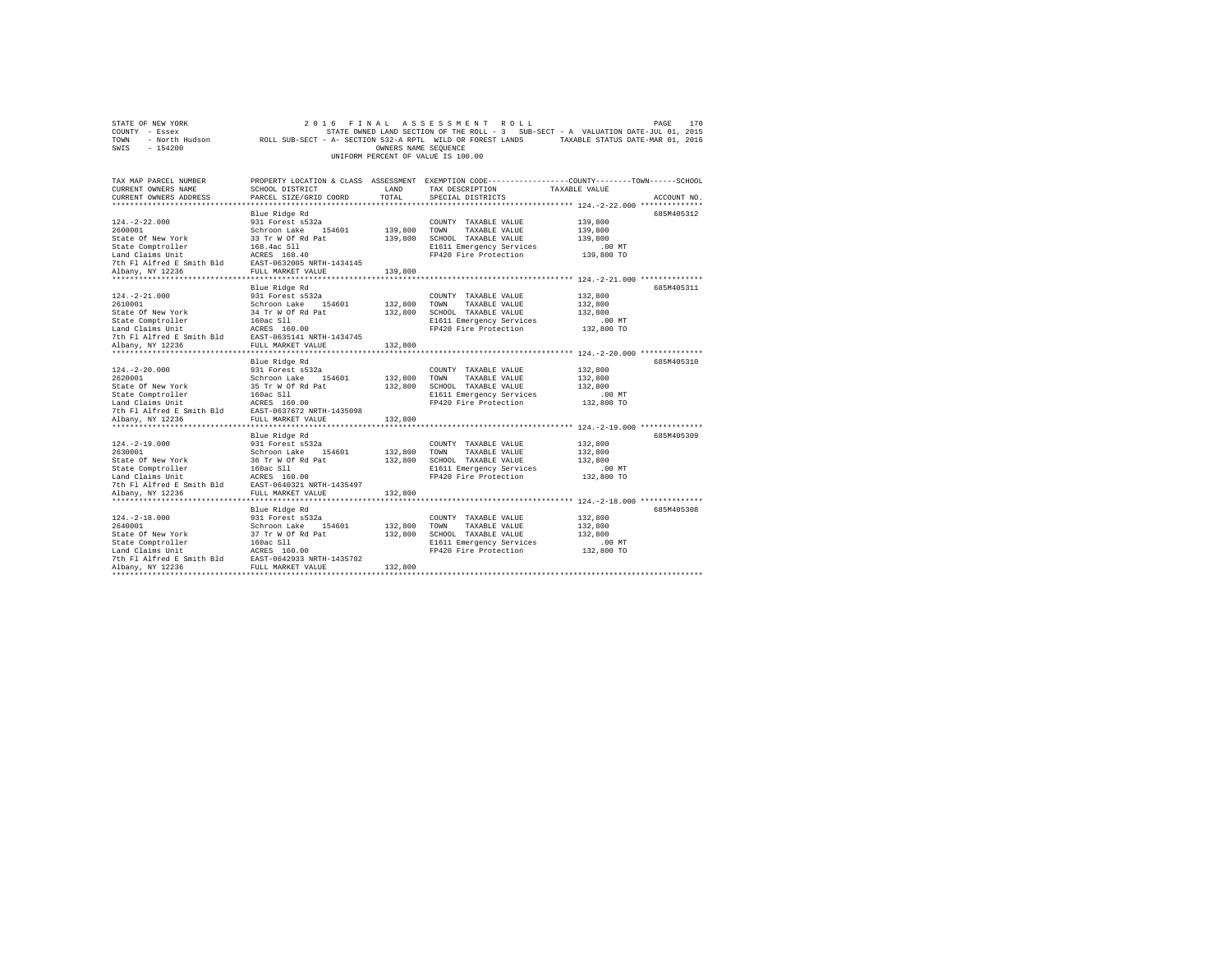| STATE OF NEW YORK                                                                                                                                                                                | 2016                                                                                                                              |                      | FINAL ASSESSMENT ROLL                                                             |               | PAGE<br>170 |
|--------------------------------------------------------------------------------------------------------------------------------------------------------------------------------------------------|-----------------------------------------------------------------------------------------------------------------------------------|----------------------|-----------------------------------------------------------------------------------|---------------|-------------|
| COUNTY - Essex                                                                                                                                                                                   |                                                                                                                                   |                      | STATE OWNED LAND SECTION OF THE ROLL - 3 SUB-SECT - A VALUATION DATE-JUL 01, 2015 |               |             |
| TOWN                                                                                                                                                                                             | - North Hudson ROLL SUB-SECT - A- SECTION 532-A RPTL WILD OR FOREST LANDS TAXABLE STATUS DATE-MAR 01, 2016                        |                      |                                                                                   |               |             |
| SWIS<br>$-154200$                                                                                                                                                                                |                                                                                                                                   | OWNERS NAME SEQUENCE |                                                                                   |               |             |
|                                                                                                                                                                                                  |                                                                                                                                   |                      | UNIFORM PERCENT OF VALUE IS 100.00                                                |               |             |
|                                                                                                                                                                                                  |                                                                                                                                   |                      |                                                                                   |               |             |
| TAX MAP PARCEL NUMBER                                                                                                                                                                            |                                                                                                                                   |                      |                                                                                   |               |             |
| CURRENT OWNERS NAME                                                                                                                                                                              | PROPERTY LOCATION & CLASS ASSESSMENT EXEMPTION CODE---------------COUNTY-------TOWN------SCHOOL<br><b>LAND</b><br>SCHOOL DISTRICT |                      | TAX DESCRIPTION                                                                   | TAXABLE VALUE |             |
| CURRENT OWNERS ADDRESS                                                                                                                                                                           | PARCEL SIZE/GRID COORD                                                                                                            | TOTAL                | SPECIAL DISTRICTS                                                                 |               | ACCOUNT NO. |
|                                                                                                                                                                                                  |                                                                                                                                   |                      |                                                                                   |               |             |
|                                                                                                                                                                                                  | Blue Ridge Rd                                                                                                                     |                      |                                                                                   |               | 685M405312  |
| $124. -2 - 22.000$                                                                                                                                                                               | 931 Forest s532a                                                                                                                  |                      | COUNTY TAXABLE VALUE                                                              | 139,800       |             |
| 2600001                                                                                                                                                                                          | Schroon Lake 154601                                                                                                               | 139,800 TOWN         | TAXABLE VALUE                                                                     | 139,800       |             |
| State Of New York                                                                                                                                                                                |                                                                                                                                   |                      | 139,800 SCHOOL TAXABLE VALUE                                                      | 139,800       |             |
| State Comptroller                                                                                                                                                                                | 33 Tr W Of Rd Pat<br>168.4ac Sll                                                                                                  |                      | E1611 Emergency Services                                                          | $.00$ MT      |             |
| Land Claims Unit                                                                                                                                                                                 | ACRES 168.40                                                                                                                      |                      | FP420 Fire Protection                                                             | 139,800 TO    |             |
| 7th Fl Alfred E Smith Bld EAST-0632005 NRTH-1434145                                                                                                                                              |                                                                                                                                   |                      |                                                                                   |               |             |
| Albany, NY 12236                                                                                                                                                                                 | FULL MARKET VALUE                                                                                                                 | 139,800              |                                                                                   |               |             |
|                                                                                                                                                                                                  |                                                                                                                                   |                      |                                                                                   |               |             |
|                                                                                                                                                                                                  | Blue Ridge Rd                                                                                                                     |                      |                                                                                   |               | 685M405311  |
| $124. - 2 - 21.000$                                                                                                                                                                              | 931 Forest s532a                                                                                                                  |                      | COUNTY TAXABLE VALUE                                                              | 132,800       |             |
| 2610001                                                                                                                                                                                          | Schroon Lake 154601                                                                                                               | 132,800 TOWN         | TAXABLE VALUE                                                                     | 132,800       |             |
| State Of New York                                                                                                                                                                                |                                                                                                                                   | 132,800              | SCHOOL TAXABLE VALUE                                                              | 132,800       |             |
| State Comptroller                                                                                                                                                                                | 34 Tr W Of Rd Pat<br>160ac Sll                                                                                                    |                      | E1611 Emergency Services                                                          | $.00$ MT      |             |
| Land Claims Unit ACRES 160.00                                                                                                                                                                    |                                                                                                                                   |                      | FP420 Fire Protection                                                             | 132,800 TO    |             |
| 7th Fl Alfred E Smith Bld                                                                                                                                                                        | EAST-0635141 NRTH-1434745                                                                                                         |                      |                                                                                   |               |             |
| Albany, NY 12236                                                                                                                                                                                 | FULL MARKET VALUE                                                                                                                 | 132,800              |                                                                                   |               |             |
|                                                                                                                                                                                                  |                                                                                                                                   |                      |                                                                                   |               |             |
|                                                                                                                                                                                                  | Blue Ridge Rd                                                                                                                     |                      |                                                                                   |               | 685M405310  |
| $124. - 2 - 20.000$                                                                                                                                                                              | 931 Forest s532a                                                                                                                  |                      | COUNTY TAXABLE VALUE                                                              | 132,800       |             |
| 2620001                                                                                                                                                                                          | Schroon Lake 154601                                                                                                               | 132,800 TOWN         | TAXABLE VALUE                                                                     | 132,800       |             |
|                                                                                                                                                                                                  |                                                                                                                                   |                      | 132,800 SCHOOL TAXABLE VALUE                                                      | 132,800       |             |
| State of New York 515 Tr W of Rd Pat<br>State Comptroller 150 π W of Rd Pat<br>State Comptroller 160ac 511<br>Land Claims Unit ARES 160.00<br>Th Fl Alfred E Smith Bld EAST-0637672 NRTH-1435098 |                                                                                                                                   |                      | E1611 Emergency Services                                                          | .00 MT        |             |
|                                                                                                                                                                                                  |                                                                                                                                   |                      | FP420 Fire Protection                                                             | 132,800 TO    |             |
|                                                                                                                                                                                                  |                                                                                                                                   |                      |                                                                                   |               |             |
| Albany, NY 12236                                                                                                                                                                                 | FULL MARKET VALUE                                                                                                                 | 132,800              |                                                                                   |               |             |
|                                                                                                                                                                                                  |                                                                                                                                   |                      |                                                                                   |               |             |
|                                                                                                                                                                                                  | Blue Ridge Rd                                                                                                                     |                      |                                                                                   |               | 685M405309  |
| $124. -2 - 19.000$                                                                                                                                                                               | 931 Forest s532a                                                                                                                  |                      | COUNTY TAXABLE VALUE                                                              | 132,800       |             |
| 2630001                                                                                                                                                                                          | Schroon Lake 154601                                                                                                               | 132,800              | TOWN<br>TAXABLE VALUE                                                             | 132,800       |             |
| State Of New York                                                                                                                                                                                | 36 Tr W Of Rd Pat<br>160ac Sll                                                                                                    |                      | 132,800 SCHOOL TAXABLE VALUE                                                      | 132,800       |             |
| State Comptroller                                                                                                                                                                                |                                                                                                                                   |                      | E1611 Emergency Services                                                          | $.00$ MT      |             |
| Land Claims Unit<br>7th F1 Alfred E Smith Bld<br>7th F1 Alfred E Smith Bld<br>EAST-0640321 N                                                                                                     |                                                                                                                                   |                      | FP420 Fire Protection                                                             | 132,800 TO    |             |
|                                                                                                                                                                                                  | EAST-0640321 NRTH-1435497                                                                                                         |                      |                                                                                   |               |             |
| Albany, NY 12236                                                                                                                                                                                 | FULL MARKET VALUE                                                                                                                 | 132,800              |                                                                                   |               |             |
|                                                                                                                                                                                                  |                                                                                                                                   |                      |                                                                                   |               |             |
|                                                                                                                                                                                                  | Blue Ridge Rd                                                                                                                     |                      |                                                                                   |               | 685M405308  |
| $124. - 2 - 18.000$                                                                                                                                                                              | 931 Forest s532a                                                                                                                  |                      | COUNTY TAXABLE VALUE                                                              | 132,800       |             |
| 2640001                                                                                                                                                                                          | Schroon Lake 1!<br>37 Tr W Of Rd Pat<br>Schroon Lake 154601                                                                       | 132,800              | TOWN<br>TAXABLE VALUE                                                             | 132,800       |             |
| State Of New York                                                                                                                                                                                |                                                                                                                                   | 132,800              | SCHOOL TAXABLE VALUE                                                              | 132,800       |             |
| State Comptroller                                                                                                                                                                                | 160ac Sll                                                                                                                         |                      | E1611 Emergency Services                                                          | .00MT         |             |
| Land Claims Unit                                                                                                                                                                                 | ACRES 160.00                                                                                                                      |                      | FP420 Fire Protection                                                             | 132,800 TO    |             |
| Fig. 12.11 and Example 12.12 and EXST-0642933 NRTH-1435782<br>The Flatfred Esmith Bld EAST-0642933 NRTH-1435782<br>Albany, NY 12236<br>Albany, NY 12236                                          | FULL MARKET VALUE                                                                                                                 | 132,800              |                                                                                   |               |             |
|                                                                                                                                                                                                  |                                                                                                                                   |                      |                                                                                   |               |             |
|                                                                                                                                                                                                  |                                                                                                                                   |                      |                                                                                   |               |             |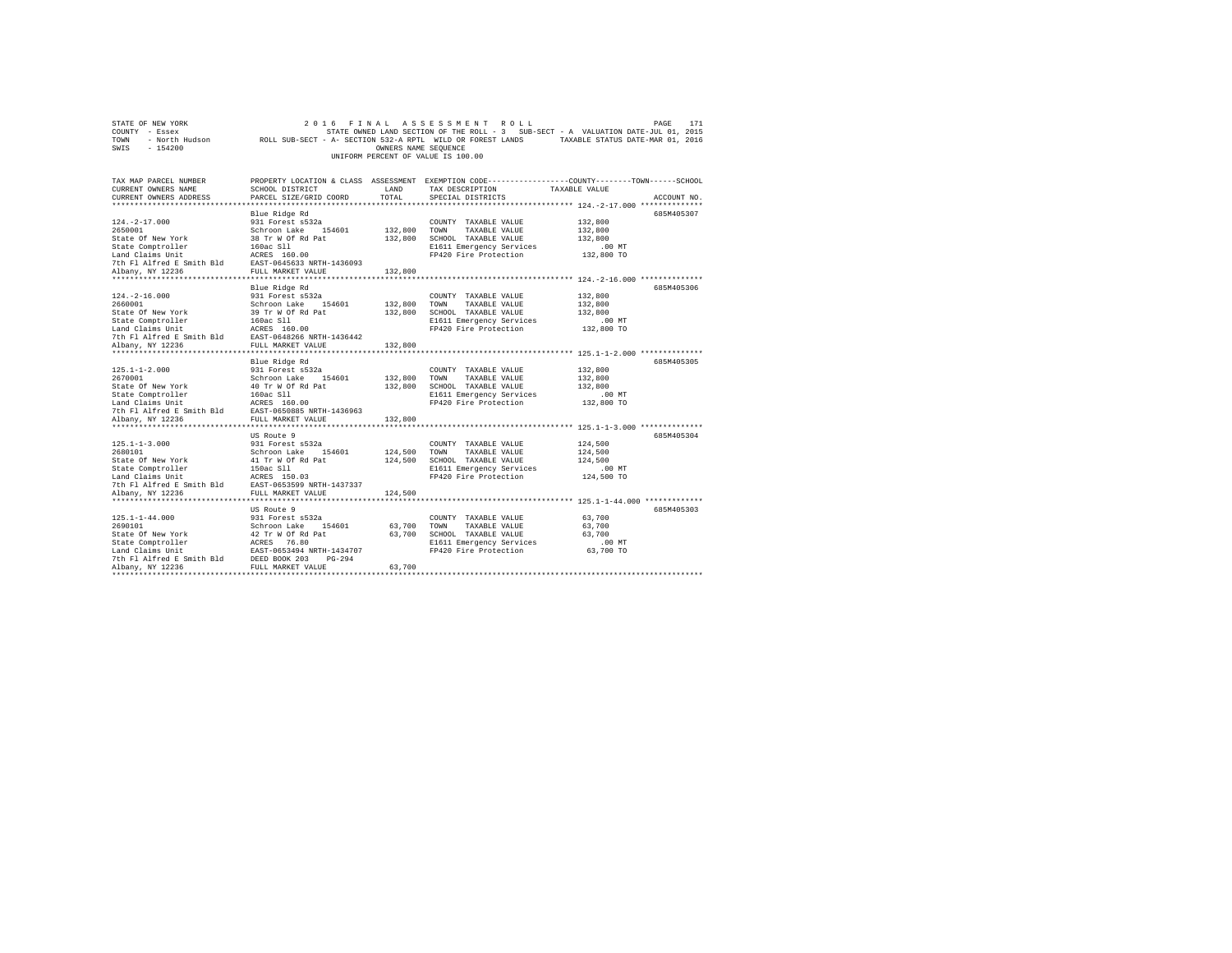| STATE OF NEW YORK                                                                                                                                                                                                                                                              | 2 0 1 6                        |                      | FINAL ASSESSMENT ROLL                             | PAGE                                                                                                       | 171 |
|--------------------------------------------------------------------------------------------------------------------------------------------------------------------------------------------------------------------------------------------------------------------------------|--------------------------------|----------------------|---------------------------------------------------|------------------------------------------------------------------------------------------------------------|-----|
| COUNTY - Essex                                                                                                                                                                                                                                                                 |                                |                      |                                                   | STATE OWNED LAND SECTION OF THE ROLL - 3 SUB-SECT - A VALUATION DATE-JUL 01, 2015                          |     |
| TOWN                                                                                                                                                                                                                                                                           |                                |                      |                                                   | - North Hudson ROLL SUB-SECT - A- SECTION 532-A RPTL WILD OR FOREST LANDS TAXABLE STATUS DATE-MAR 01, 2016 |     |
| SWIS<br>$-154200$                                                                                                                                                                                                                                                              |                                | OWNERS NAME SEQUENCE |                                                   |                                                                                                            |     |
|                                                                                                                                                                                                                                                                                |                                |                      | UNIFORM PERCENT OF VALUE IS 100.00                |                                                                                                            |     |
|                                                                                                                                                                                                                                                                                |                                |                      |                                                   |                                                                                                            |     |
|                                                                                                                                                                                                                                                                                |                                |                      |                                                   |                                                                                                            |     |
| TAX MAP PARCEL NUMBER                                                                                                                                                                                                                                                          |                                |                      |                                                   | PROPERTY LOCATION & CLASS ASSESSMENT EXEMPTION CODE---------------COUNTY-------TOWN-----SCHOOL             |     |
| CURRENT OWNERS NAME                                                                                                                                                                                                                                                            | SCHOOL DISTRICT                | LAND                 | TAX DESCRIPTION                                   | TAXABLE VALUE                                                                                              |     |
| CURRENT OWNERS ADDRESS                                                                                                                                                                                                                                                         | PARCEL SIZE/GRID COORD         | TOTAL                | SPECIAL DISTRICTS                                 | ACCOUNT NO.                                                                                                |     |
|                                                                                                                                                                                                                                                                                |                                |                      |                                                   |                                                                                                            |     |
|                                                                                                                                                                                                                                                                                | Blue Ridge Rd                  |                      |                                                   | 685M405307                                                                                                 |     |
| $124. - 2 - 17.000$                                                                                                                                                                                                                                                            | 931 Forest s532a               |                      | COUNTY TAXABLE VALUE                              | 132,800                                                                                                    |     |
| 2650001                                                                                                                                                                                                                                                                        | Schroon Lake 154601            | 132,800 TOWN         | TAXABLE VALUE                                     | 132,800                                                                                                    |     |
| State Of New York                                                                                                                                                                                                                                                              |                                |                      | 132,800 SCHOOL TAXABLE VALUE                      | 132,800                                                                                                    |     |
| State Comptroller                                                                                                                                                                                                                                                              | 38 Tr W Of Rd Pat<br>160ac Sll |                      | E1611 Emergency Services                          | .00 MT                                                                                                     |     |
| Land Claims Unit ACRES 160.00                                                                                                                                                                                                                                                  |                                |                      | FP420 Fire Protection                             | 132,800 TO                                                                                                 |     |
| 7th Fl Alfred E Smith Bld EAST-0645633 NRTH-1436093                                                                                                                                                                                                                            |                                |                      |                                                   |                                                                                                            |     |
| Albany, NY 12236                                                                                                                                                                                                                                                               | FULL MARKET VALUE              | 132,800              |                                                   |                                                                                                            |     |
|                                                                                                                                                                                                                                                                                |                                |                      |                                                   |                                                                                                            |     |
|                                                                                                                                                                                                                                                                                | Blue Ridge Rd                  |                      |                                                   | 685M405306                                                                                                 |     |
| $124. - 2 - 16.000$                                                                                                                                                                                                                                                            | 931 Forest s532a               |                      | COUNTY TAXABLE VALUE                              | 132,800                                                                                                    |     |
| 2660001                                                                                                                                                                                                                                                                        | Schroon Lake 154601            | 132,800 TOWN         | TAXABLE VALUE                                     | 132,800                                                                                                    |     |
| State Of New York                                                                                                                                                                                                                                                              | 39 Tr W Of Rd Pat<br>160ac Sll |                      | 132,800 SCHOOL TAXABLE VALUE                      | 132,800                                                                                                    |     |
| State Comptroller                                                                                                                                                                                                                                                              |                                |                      | E1611 Emergency Services                          | $.00$ MT                                                                                                   |     |
|                                                                                                                                                                                                                                                                                |                                |                      | FP420 Fire Protection                             | 132,800 TO                                                                                                 |     |
| State computerior and the state of the state of the state of the state of the state of the state of the state of the state of the state of the state of the state of the state of the state of the state of the state of the s                                                 |                                |                      |                                                   |                                                                                                            |     |
| Albany, NY 12236                                                                                                                                                                                                                                                               | FULL MARKET VALUE              | 132,800              |                                                   |                                                                                                            |     |
|                                                                                                                                                                                                                                                                                |                                |                      |                                                   |                                                                                                            |     |
|                                                                                                                                                                                                                                                                                | Blue Ridge Rd                  |                      |                                                   | 685M405305                                                                                                 |     |
| $125.1 - 1 - 2.000$                                                                                                                                                                                                                                                            | 931 Forest s532a               |                      | COUNTY TAXABLE VALUE                              | 132,800                                                                                                    |     |
| 2670001                                                                                                                                                                                                                                                                        | Schroon Lake 154601            | 132,800 TOWN         | TAXABLE VALUE                                     | 132,800                                                                                                    |     |
|                                                                                                                                                                                                                                                                                |                                |                      | 132,800 SCHOOL TAXABLE VALUE                      | 132,800                                                                                                    |     |
| State of New York 301 outbox and the State Constant Constant 160 and Capital 160 and Capital Constant 160 and Capital Constant Constant Constant Constant Constant Constant Constant Constant Constant Constant Constant Const                                                 |                                |                      | E1611 Emergency Services                          | $.00$ MT                                                                                                   |     |
|                                                                                                                                                                                                                                                                                |                                |                      | FP420 Fire Protection                             | 132,800 TO                                                                                                 |     |
|                                                                                                                                                                                                                                                                                |                                |                      |                                                   |                                                                                                            |     |
| Albany, NY 12236                                                                                                                                                                                                                                                               | FULL MARKET VALUE              | 132,800              |                                                   |                                                                                                            |     |
|                                                                                                                                                                                                                                                                                |                                |                      |                                                   |                                                                                                            |     |
|                                                                                                                                                                                                                                                                                | US Route 9                     |                      |                                                   | 685M405304                                                                                                 |     |
| $125.1 - 1 - 3.000$                                                                                                                                                                                                                                                            | 931 Forest s532a               |                      | COUNTY TAXABLE VALUE                              | 124,500                                                                                                    |     |
| 2680101                                                                                                                                                                                                                                                                        | Schroon Lake 154601            | 124,500              | TOWN<br>TAXABLE VALUE                             | 124,500                                                                                                    |     |
| State Of New York                                                                                                                                                                                                                                                              | 41 Tr W Of Rd Pat              |                      | 124,500 SCHOOL TAXABLE VALUE                      | 124,500                                                                                                    |     |
|                                                                                                                                                                                                                                                                                |                                |                      | E1611 Emergency Services                          | $.00$ MT                                                                                                   |     |
|                                                                                                                                                                                                                                                                                |                                |                      | FP420 Fire Protection                             | 124,500 TO                                                                                                 |     |
|                                                                                                                                                                                                                                                                                |                                |                      |                                                   |                                                                                                            |     |
| Albany, NY 12236                                                                                                                                                                                                                                                               | FULL MARKET VALUE              | 124,500              |                                                   |                                                                                                            |     |
|                                                                                                                                                                                                                                                                                |                                |                      |                                                   |                                                                                                            |     |
|                                                                                                                                                                                                                                                                                | US Route 9                     |                      |                                                   | 685M405303                                                                                                 |     |
| $125.1 - 1 - 44.000$                                                                                                                                                                                                                                                           | 931 Forest s532a               |                      | COUNTY TAXABLE VALUE                              | 63,700                                                                                                     |     |
|                                                                                                                                                                                                                                                                                |                                | 63,700               | TOWN<br>TAXABLE VALUE                             | 63,700                                                                                                     |     |
|                                                                                                                                                                                                                                                                                |                                |                      | 63,700 SCHOOL TAXABLE VALUE                       | 63,700                                                                                                     |     |
|                                                                                                                                                                                                                                                                                |                                |                      |                                                   |                                                                                                            |     |
|                                                                                                                                                                                                                                                                                |                                |                      | E1611 Emergency Services<br>FP420 Fire Protection | .00 MT<br>63,700 TO                                                                                        |     |
|                                                                                                                                                                                                                                                                                |                                |                      |                                                   |                                                                                                            |     |
| 2690101<br>2690101<br>2690101<br>Schroon Lake 154601<br>Schroon Lake 154601<br>Schroon Lake 154601<br>Schroon Lake 154601<br>Schroon Schroon 203<br>2681<br>27 76.80<br>Land Claims Unit 26.857-0653494<br>NETH-1434707<br>27 12 12 236<br>2012 12 236<br><br>Albany, NY 12236 |                                | 63,700               |                                                   |                                                                                                            |     |
|                                                                                                                                                                                                                                                                                |                                |                      |                                                   |                                                                                                            |     |
|                                                                                                                                                                                                                                                                                |                                |                      |                                                   |                                                                                                            |     |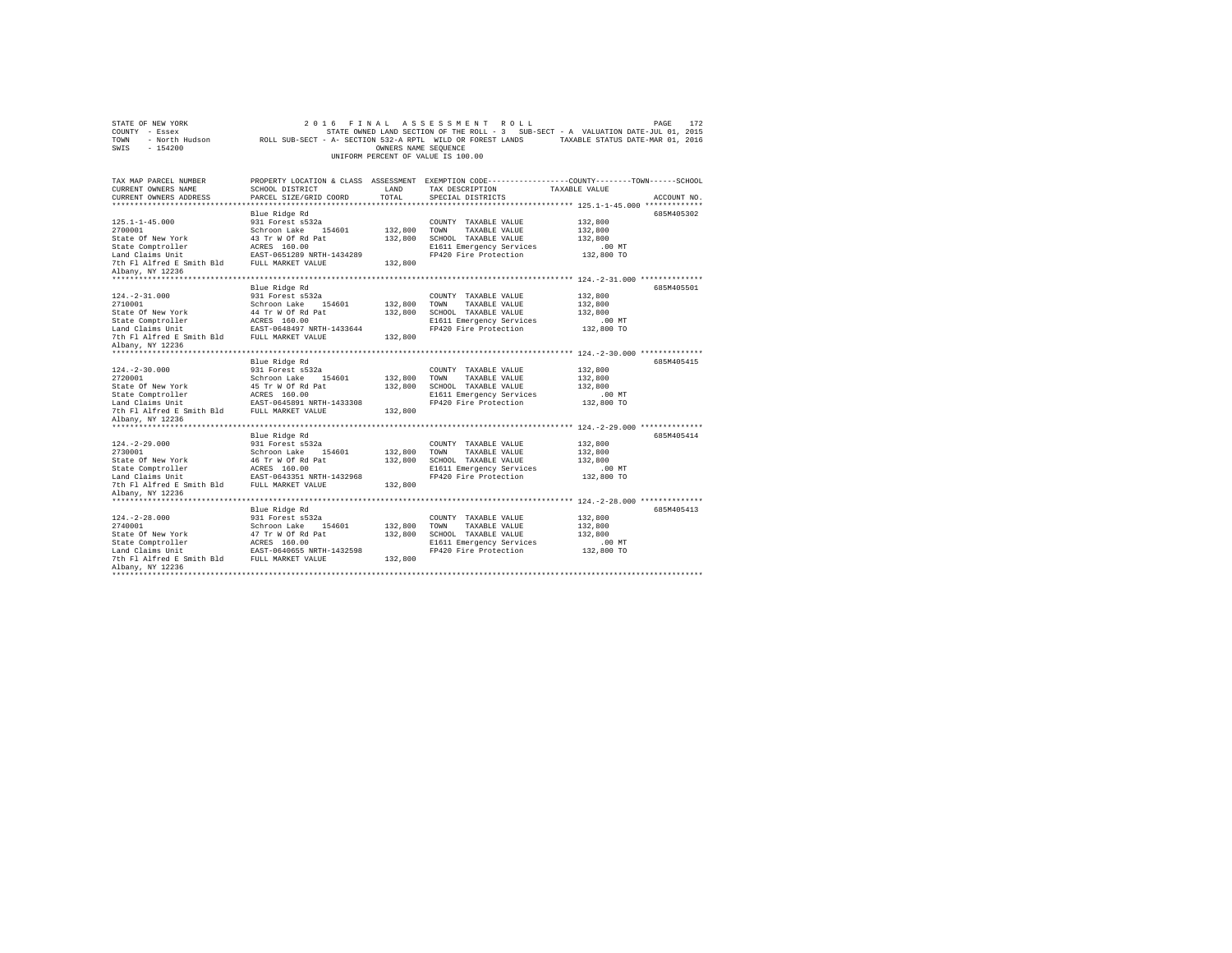| STATE OF NEW YORK<br>COUNTY - Essex<br>TOWN<br>- North Hudson<br>SWIS<br>$-154200$ | ROLL SUB-SECT - A- SECTION 532-A RPTL WILD OR FOREST LANDS | OWNERS NAME SEQUENCE | 2016 FINAL ASSESSMENT ROLL<br>UNIFORM PERCENT OF VALUE IS 100.00 | PAGE<br>172<br>STATE OWNED LAND SECTION OF THE ROLL - 3 SUB-SECT - A VALUATION DATE-JUL 01, 2015<br>TAXABLE STATUS DATE-MAR 01, 2016 |  |
|------------------------------------------------------------------------------------|------------------------------------------------------------|----------------------|------------------------------------------------------------------|--------------------------------------------------------------------------------------------------------------------------------------|--|
| TAX MAP PARCEL NUMBER<br>CURRENT OWNERS NAME                                       | SCHOOL DISTRICT                                            | LAND                 | TAX DESCRIPTION                                                  | PROPERTY LOCATION & CLASS ASSESSMENT EXEMPTION CODE---------------COUNTY-------TOWN------SCHOOL<br>TAXABLE VALUE                     |  |
| CURRENT OWNERS ADDRESS                                                             | PARCEL SIZE/GRID COORD                                     | TOTAL                | SPECIAL DISTRICTS                                                | ACCOUNT NO.                                                                                                                          |  |
|                                                                                    | Blue Ridge Rd                                              |                      |                                                                  | 685M405302                                                                                                                           |  |
| $125.1 - 1 - 45.000$                                                               | 931 Forest s532a                                           |                      | COUNTY TAXABLE VALUE                                             | 132,800                                                                                                                              |  |
| 2700001                                                                            | Schroon Lake 154601                                        | 132,800              | TOWN<br>TAXABLE VALUE                                            | 132,800                                                                                                                              |  |
| State Of New York                                                                  | 43 Tr W Of Rd Pat                                          | 132,800              | SCHOOL TAXABLE VALUE                                             | 132,800                                                                                                                              |  |
| State Comptroller                                                                  | ACRES 160.00                                               |                      | E1611 Emergency Services                                         | .00MT                                                                                                                                |  |
| Land Claims Unit                                                                   | EAST-0651289 NRTH-1434289                                  |                      | FP420 Fire Protection                                            | 132,800 TO                                                                                                                           |  |
| 7th Fl Alfred E Smith Bld FULL MARKET VALUE                                        |                                                            | 132,800              |                                                                  |                                                                                                                                      |  |
| Albany, NY 12236                                                                   |                                                            |                      |                                                                  |                                                                                                                                      |  |
|                                                                                    | Blue Ridge Rd                                              |                      |                                                                  | 685M405501                                                                                                                           |  |
| $124. -2 - 31.000$                                                                 | 931 Forest s532a                                           |                      | COUNTY TAXABLE VALUE                                             | 132,800                                                                                                                              |  |
| 2710001                                                                            | Schroon Lake 154601                                        | 132,800              | TAXABLE VALUE<br>TOWN                                            | 132,800                                                                                                                              |  |
| State Of New York                                                                  | 44 Tr W Of Rd Pat                                          | 132,800              | SCHOOL TAXABLE VALUE                                             | 132,800                                                                                                                              |  |
| State Comptroller                                                                  | ACRES 160.00                                               |                      | E1611 Emergency Services                                         | $.00$ MT                                                                                                                             |  |
| Land Claims Unit                                                                   | EAST-0648497 NRTH-1433644                                  |                      | FP420 Fire Protection                                            | 132,800 TO                                                                                                                           |  |
| 7th Fl Alfred E Smith Bld                                                          | FULL MARKET VALUE                                          | 132,800              |                                                                  |                                                                                                                                      |  |
| Albany, NY 12236                                                                   |                                                            |                      |                                                                  |                                                                                                                                      |  |
|                                                                                    | Blue Ridge Rd                                              |                      |                                                                  | 685M405415                                                                                                                           |  |
| $124. -2 - 30.000$                                                                 | 931 Forest s532a                                           |                      | COUNTY TAXABLE VALUE                                             | 132,800                                                                                                                              |  |
| 2720001                                                                            | Schroon Lake 154601                                        | 132,800              | TOWN<br>TAXABLE VALUE                                            | 132,800                                                                                                                              |  |
| State Of New York                                                                  | 45 Tr W Of Rd Pat                                          | 132,800              | SCHOOL TAXABLE VALUE                                             | 132,800                                                                                                                              |  |
| State Comptroller                                                                  | ACRES 160.00                                               |                      | E1611 Emergency Services                                         | $.00$ MT                                                                                                                             |  |
| Land Claims Unit                                                                   | EAST-0645891 NRTH-1433308                                  |                      | FP420 Fire Protection                                            | 132,800 TO                                                                                                                           |  |
| 7th Fl Alfred E Smith Bld FULL MARKET VALUE                                        |                                                            | 132,800              |                                                                  |                                                                                                                                      |  |
| Albany, NY 12236<br>*********************                                          |                                                            |                      |                                                                  |                                                                                                                                      |  |
|                                                                                    | Blue Ridge Rd                                              |                      |                                                                  | 685M405414                                                                                                                           |  |
| $124. -2 - 29.000$                                                                 | 931 Forest s532a                                           |                      | COUNTY TAXABLE VALUE                                             | 132,800                                                                                                                              |  |
| 2730001                                                                            | Schroon Lake 154601                                        | 132,800              | TOWN<br>TAXABLE VALUE                                            | 132,800                                                                                                                              |  |
| State Of New York                                                                  | 46 Tr W Of Rd Pat                                          | 132,800              | SCHOOL TAXABLE VALUE                                             | 132,800                                                                                                                              |  |
| State Comptroller                                                                  | ACRES 160.00                                               |                      | E1611 Emergency Services                                         | .00 MT                                                                                                                               |  |
| Land Claims Unit                                                                   | EAST-0643351 NRTH-1432968                                  |                      | FP420 Fire Protection                                            | 132,800 TO                                                                                                                           |  |
| 7th Fl Alfred E Smith Bld FULL MARKET VALUE                                        |                                                            | 132,800              |                                                                  |                                                                                                                                      |  |
| Albany, NY 12236<br>********************                                           |                                                            |                      |                                                                  |                                                                                                                                      |  |
|                                                                                    | Blue Ridge Rd                                              |                      |                                                                  | 685M405413                                                                                                                           |  |
| $124. - 2 - 28.000$                                                                | 931 Forest s532a                                           |                      | COUNTY TAXABLE VALUE                                             | 132,800                                                                                                                              |  |
| 2740001                                                                            | Schroon Lake<br>154601                                     | 132,800              | TAXABLE VALUE<br>TOWN                                            | 132,800                                                                                                                              |  |
| State Of New York                                                                  | 47 Tr W Of Rd Pat                                          | 132,800              | SCHOOL TAXABLE VALUE                                             | 132,800                                                                                                                              |  |
| State Comptroller                                                                  | ACRES 160.00                                               |                      | E1611 Emergency Services                                         | .00MT                                                                                                                                |  |
| Land Claims Unit                                                                   | EAST-0640655 NRTH-1432598                                  |                      | FP420 Fire Protection                                            | 132,800 TO                                                                                                                           |  |
| 7th Fl Alfred E Smith Bld FULL MARKET VALUE                                        |                                                            | 132,800              |                                                                  |                                                                                                                                      |  |
| Albany, NY 12236                                                                   |                                                            |                      |                                                                  |                                                                                                                                      |  |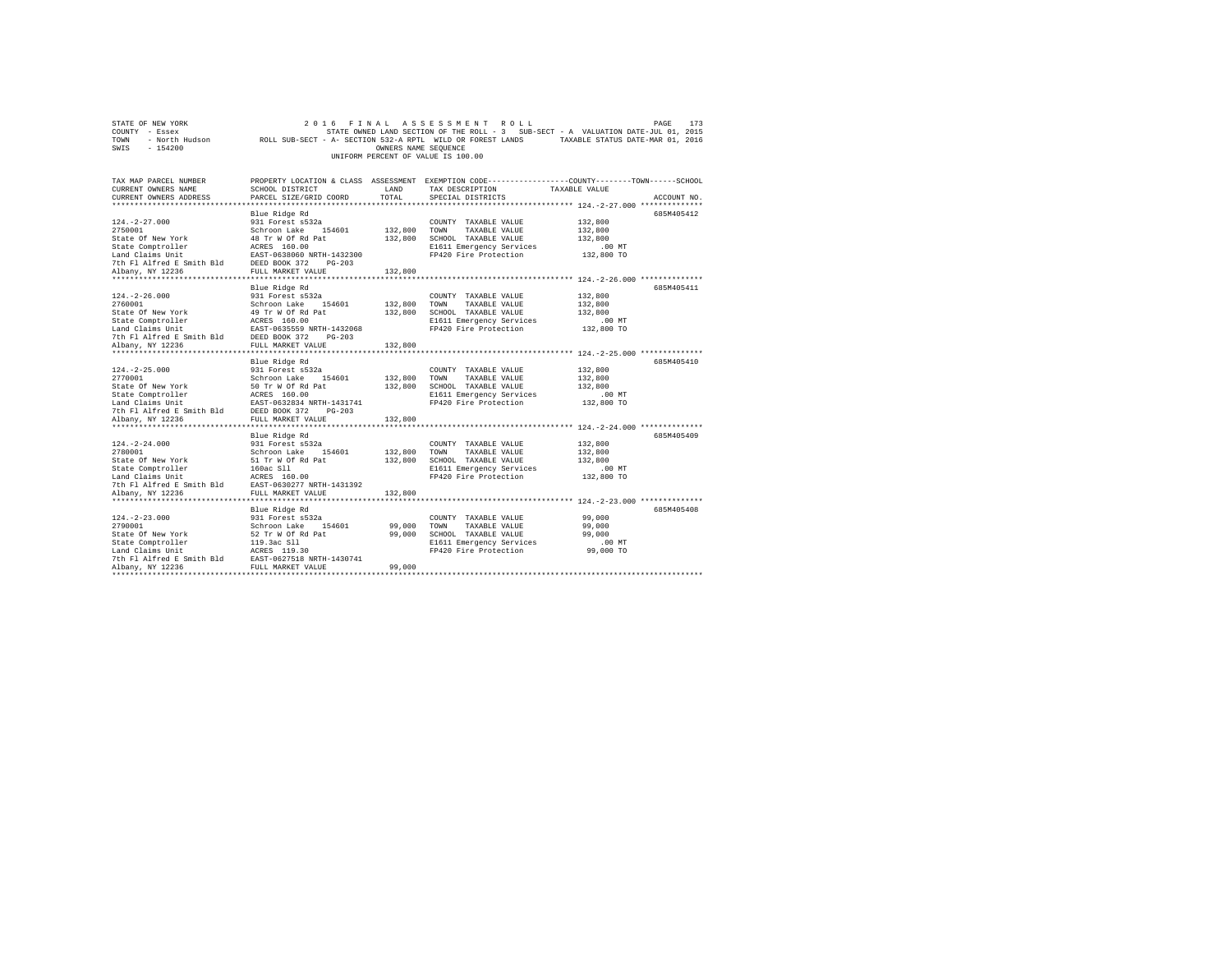| STATE OF NEW YORK                  | 2016 FINAL ASSESSMENT ROLL                                                                     | 173<br>PAGE |  |  |  |
|------------------------------------|------------------------------------------------------------------------------------------------|-------------|--|--|--|
| COUNTY<br>- Essex                  | STATE OWNED LAND SECTION OF THE ROLL - 3 SUB-SECT - A VALUATION DATE-JUL 01, 2015              |             |  |  |  |
| - North Hudson<br>TOWN             | ROLL SUB-SECT - A- SECTION 532-A RPTL WILD OR FOREST LANDS<br>TAXABLE STATUS DATE-MAR 01, 2016 |             |  |  |  |
| $-154200$<br>SWIS                  | OWNERS NAME SEOUENCE                                                                           |             |  |  |  |
| UNIFORM PERCENT OF VALUE IS 100.00 |                                                                                                |             |  |  |  |
|                                    |                                                                                                |             |  |  |  |
|                                    |                                                                                                |             |  |  |  |
| TAX MAP PARCEL NUMBER              | PROPERTY LOCATION & CLASS ASSESSMENT EXEMPTION CODE---------------COUNTY-------TOWN----        | -SCHOOL     |  |  |  |

| CURRENT OWNERS NAME       | SCHOOL DISTRICT           | LAND    | TAX DESCRIPTION                                     | TAXABLE VALUE                             |             |
|---------------------------|---------------------------|---------|-----------------------------------------------------|-------------------------------------------|-------------|
| CURRENT OWNERS ADDRESS    | PARCEL SIZE/GRID COORD    | TOTAL   | SPECIAL DISTRICTS                                   |                                           | ACCOUNT NO. |
|                           |                           |         |                                                     |                                           |             |
|                           | Blue Ridge Rd             |         |                                                     |                                           | 685M405412  |
| $124. -2 - 27.000$        | 931 Forest s532a          |         | COUNTY TAXABLE VALUE                                | 132,800                                   |             |
| 2750001                   | Schroon Lake<br>154601    | 132,800 | TOWN<br>TAXABLE VALUE                               | 132,800                                   |             |
| State Of New York         | 48 Tr W Of Rd Pat         | 132,800 | SCHOOL TAXABLE VALUE                                | 132,800                                   |             |
| State Comptroller         | ACRES 160.00              |         | E1611 Emergency Services                            | $.00$ MT                                  |             |
| Land Claims Unit          | EAST-0638060 NRTH-1432300 |         | FP420 Fire Protection                               | 132,800 TO                                |             |
| 7th Fl Alfred E Smith Bld | DEED BOOK 372<br>$PG-203$ |         |                                                     |                                           |             |
| Albany, NY 12236          | FULL MARKET VALUE         | 132,800 |                                                     |                                           |             |
| *************             | ************************  |         |                                                     | ************** 124.-2-26.000 ************ |             |
|                           | Blue Ridge Rd             |         |                                                     |                                           | 685M405411  |
| $124. -2 - 26.000$        | 931 Forest s532a          |         | COUNTY TAXABLE VALUE                                | 132,800                                   |             |
| 2760001                   | Schroon Lake<br>154601    | 132,800 | TOWN<br>TAXABLE VALUE                               | 132,800                                   |             |
| State Of New York         | 49 Tr W Of Rd Pat         | 132,800 | SCHOOL TAXABLE VALUE                                | 132,800                                   |             |
| State Comptroller         | ACRES 160.00              |         | E1611 Emergency Services                            | $.00$ MT                                  |             |
| Land Claims Unit          | EAST-0635559 NRTH-1432068 |         | FP420 Fire Protection                               | 132,800 TO                                |             |
| 7th Fl Alfred E Smith Bld | DEED BOOK 372<br>$PG-203$ |         |                                                     |                                           |             |
|                           |                           |         |                                                     |                                           |             |
| Albany, NY 12236          | FULL MARKET VALUE         | 132,800 |                                                     |                                           |             |
|                           |                           |         |                                                     |                                           |             |
|                           | Blue Ridge Rd             |         |                                                     |                                           | 685M405410  |
| $124. -2 - 25.000$        | 931 Forest s532a          |         | COUNTY TAXABLE VALUE                                | 132,800                                   |             |
| 2770001                   | Schroon Lake<br>154601    | 132,800 | TOWN<br>TAXABLE VALUE                               | 132,800                                   |             |
| State Of New York         | 50 Tr W Of Rd Pat         | 132,800 | SCHOOL TAXABLE VALUE                                | 132,800                                   |             |
| State Comptroller         | ACRES 160.00              |         | E1611 Emergency Services                            | $.00$ MT                                  |             |
| Land Claims Unit          | EAST-0632834 NRTH-1431741 |         | FP420 Fire Protection                               | 132,800 TO                                |             |
| 7th Fl Alfred E Smith Bld | DEED BOOK 372<br>$PG-203$ |         |                                                     |                                           |             |
| Albany, NY 12236          | FULL MARKET VALUE         | 132,800 |                                                     |                                           |             |
|                           | ************************* |         |                                                     |                                           |             |
|                           | Blue Ridge Rd             |         |                                                     |                                           | 685M405409  |
| $124. - 2 - 24.000$       | 931 Forest s532a          |         | COUNTY TAXABLE VALUE                                | 132,800                                   |             |
| 2780001                   | Schroon Lake<br>154601    | 132,800 | TAXABLE VALUE<br>TOWN                               | 132,800                                   |             |
| State Of New York         | 51 Tr W Of Rd Pat         | 132,800 | SCHOOL TAXABLE VALUE                                | 132,800                                   |             |
| State Comptroller         | 160ac S11                 |         | E1611 Emergency Services                            | $.00$ MT                                  |             |
| Land Claims Unit          | ACRES 160.00              |         | FP420 Fire Protection                               | 132,800 TO                                |             |
| 7th Fl Alfred E Smith Bld | EAST-0630277 NRTH-1431392 |         |                                                     |                                           |             |
| Albany, NY 12236          | FULL MARKET VALUE         | 132,800 |                                                     |                                           |             |
|                           | ************************* |         | ************************ 124.-2-23.000 ************ |                                           |             |
|                           | Blue Ridge Rd             |         |                                                     |                                           | 685M405408  |
| $124. - 2 - 23.000$       | 931 Forest s532a          |         | COUNTY TAXABLE VALUE                                | 99,000                                    |             |
| 2790001                   | Schroon Lake<br>154601    | 99,000  | TOWN<br>TAXABLE VALUE                               | 99,000                                    |             |
| State Of New York         | 52 Tr W Of Rd Pat         | 99,000  | SCHOOL TAXABLE VALUE                                | 99,000                                    |             |
| State Comptroller         | 119.3ac S11               |         | E1611 Emergency Services                            | .00 MT                                    |             |
| Land Claims Unit          | ACRES 119.30              |         | FP420 Fire Protection                               | 99,000 TO                                 |             |
| 7th Fl Alfred E Smith Bld | EAST-0627518 NRTH-1430741 |         |                                                     |                                           |             |
| Albany, NY 12236          | FULL MARKET VALUE         | 99,000  |                                                     |                                           |             |
|                           |                           |         |                                                     |                                           |             |
|                           |                           |         |                                                     |                                           |             |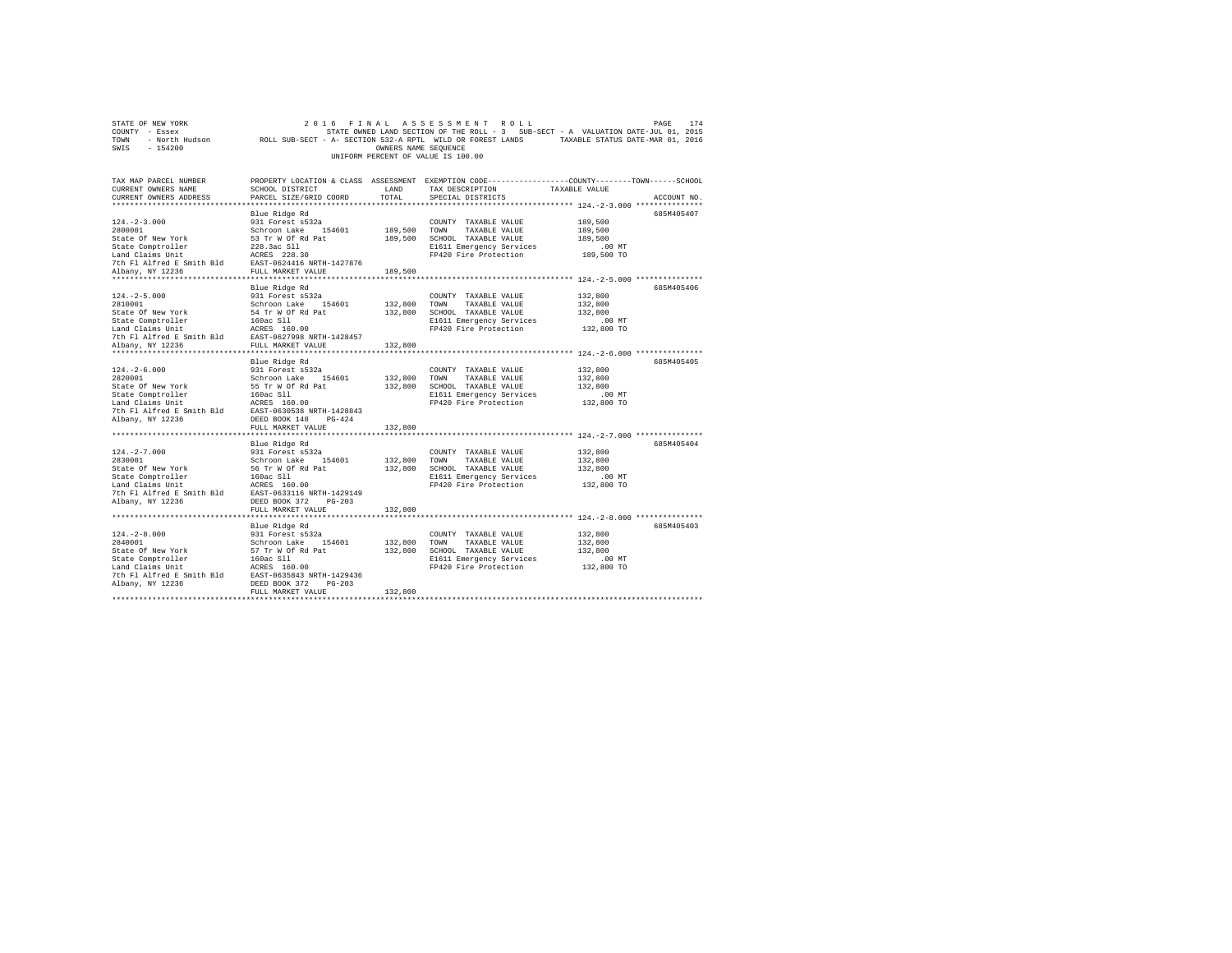| STATE OF NEW YORK                                                                                                                                                                                                                                | 2016                                                         |                      | FINAL ASSESSMENT ROLL                                                                                      |               | 174<br>PAGE |
|--------------------------------------------------------------------------------------------------------------------------------------------------------------------------------------------------------------------------------------------------|--------------------------------------------------------------|----------------------|------------------------------------------------------------------------------------------------------------|---------------|-------------|
| COUNTY - Essex                                                                                                                                                                                                                                   |                                                              |                      | STATE OWNED LAND SECTION OF THE ROLL - 3 SUB-SECT - A VALUATION DATE-JUL 01, 2015                          |               |             |
| TOWN                                                                                                                                                                                                                                             |                                                              |                      | - North Hudson MOLL SUB-SECT - A- SECTION 532-A RPTL WILD OR FOREST LANDS TAXABLE STATUS DATE-MAR 01, 2016 |               |             |
| $-154200$<br>SWIS                                                                                                                                                                                                                                |                                                              | OWNERS NAME SEQUENCE |                                                                                                            |               |             |
|                                                                                                                                                                                                                                                  |                                                              |                      | UNIFORM PERCENT OF VALUE IS 100.00                                                                         |               |             |
|                                                                                                                                                                                                                                                  |                                                              |                      |                                                                                                            |               |             |
|                                                                                                                                                                                                                                                  |                                                              |                      |                                                                                                            |               |             |
|                                                                                                                                                                                                                                                  |                                                              |                      |                                                                                                            |               |             |
| TAX MAP PARCEL NUMBER                                                                                                                                                                                                                            |                                                              |                      | PROPERTY LOCATION & CLASS ASSESSMENT EXEMPTION CODE---------------COUNTY-------TOWN-----SCHOOL             |               |             |
| CURRENT OWNERS NAME                                                                                                                                                                                                                              | SCHOOL DISTRICT                                              | LAND                 | TAX DESCRIPTION                                                                                            | TAXABLE VALUE |             |
| CURRENT OWNERS ADDRESS                                                                                                                                                                                                                           | PARCEL SIZE/GRID COORD                                       | TOTAL                | SPECIAL DISTRICTS                                                                                          |               | ACCOUNT NO. |
|                                                                                                                                                                                                                                                  |                                                              |                      |                                                                                                            |               |             |
|                                                                                                                                                                                                                                                  | Blue Ridge Rd                                                |                      |                                                                                                            |               | 685M405407  |
| $124. -2 - 3.000$                                                                                                                                                                                                                                | 931 Forest s532a                                             |                      | COUNTY TAXABLE VALUE                                                                                       | 189,500       |             |
| 2800001                                                                                                                                                                                                                                          | Schroon Lake 154601                                          | 189,500 TOWN         |                                                                                                            |               |             |
|                                                                                                                                                                                                                                                  |                                                              |                      | TAXABLE VALUE                                                                                              | 189,500       |             |
|                                                                                                                                                                                                                                                  |                                                              |                      | 189.500 SCHOOL TAXABLE VALUE                                                                               | 189,500       |             |
| State Of New York<br>S1 Tr W Of Rd Pat<br>State Comptroller<br>Land Claims Unit<br>The Plating Capital Recent Property<br>The Plating Capital Recent Property<br>The Plating NY 12236<br>TULL MARKET VALUE<br>TULL MARKET VALUE<br>TULL MARKET V |                                                              |                      | E1611 Emergency Services                                                                                   | $.00$ MT      |             |
|                                                                                                                                                                                                                                                  |                                                              |                      | FP420 Fire Protection                                                                                      | 189,500 TO    |             |
|                                                                                                                                                                                                                                                  |                                                              |                      |                                                                                                            |               |             |
|                                                                                                                                                                                                                                                  |                                                              | 189,500              |                                                                                                            |               |             |
|                                                                                                                                                                                                                                                  |                                                              |                      |                                                                                                            |               |             |
|                                                                                                                                                                                                                                                  | Blue Ridge Rd                                                |                      |                                                                                                            |               | 685M405406  |
| $124. - 2 - 5.000$                                                                                                                                                                                                                               | 931 Forest s532a                                             |                      | COUNTY TAXABLE VALUE                                                                                       | 132,800       |             |
| 2810001                                                                                                                                                                                                                                          |                                                              |                      | TOWN TAXABLE VALUE                                                                                         |               |             |
|                                                                                                                                                                                                                                                  | Schroon Lake 154601                                          | 132,800              |                                                                                                            | 132,800       |             |
| State Of New York                                                                                                                                                                                                                                | 54 Tr W Of Rd Pat                                            | 132,800              | SCHOOL TAXABLE VALUE                                                                                       | 132,800       |             |
|                                                                                                                                                                                                                                                  |                                                              |                      | E1611 Emergency Services                                                                                   | $.00$ MT      |             |
| State Comptroller 160ac S11<br>Land Claims Unit 160.00<br>7th Fl Alfred E Smith Bld BAST-0627998 NRTH-1428457<br>7th Fl Alfred E Smith Bld<br>FULL MARKET VALUE                                                                                  |                                                              |                      | FP420 Fire Protection                                                                                      | 132,800 TO    |             |
|                                                                                                                                                                                                                                                  |                                                              |                      |                                                                                                            |               |             |
| Albany, NY 12236                                                                                                                                                                                                                                 | FULL MARKET VALUE                                            | 132,800              |                                                                                                            |               |             |
|                                                                                                                                                                                                                                                  |                                                              |                      |                                                                                                            |               |             |
|                                                                                                                                                                                                                                                  | Blue Ridge Rd                                                |                      |                                                                                                            |               | 685M405405  |
|                                                                                                                                                                                                                                                  | $931$ Forest $s532a$                                         |                      |                                                                                                            |               |             |
| 124.-2-6.000<br>2820001                                                                                                                                                                                                                          |                                                              |                      | COUNTY TAXABLE VALUE                                                                                       | 132,800       |             |
|                                                                                                                                                                                                                                                  | Schroon Lake 154601                                          | 132,800              | TOWN<br>TAXABLE VALUE                                                                                      | 132,800       |             |
|                                                                                                                                                                                                                                                  |                                                              |                      | 132,800 SCHOOL TAXABLE VALUE                                                                               | 132,800       |             |
|                                                                                                                                                                                                                                                  |                                                              |                      | E1611 Emergency Services                                                                                   | $.00$ MT      |             |
|                                                                                                                                                                                                                                                  |                                                              |                      | FP420 Fire Protection                                                                                      | 132,800 TO    |             |
|                                                                                                                                                                                                                                                  |                                                              |                      |                                                                                                            |               |             |
| Albany, NY 12236                                                                                                                                                                                                                                 | $PG-424$<br>DEED BOOK 148                                    |                      |                                                                                                            |               |             |
|                                                                                                                                                                                                                                                  | FULL MARKET VALUE                                            | 132,800              |                                                                                                            |               |             |
|                                                                                                                                                                                                                                                  |                                                              |                      |                                                                                                            |               |             |
|                                                                                                                                                                                                                                                  |                                                              |                      |                                                                                                            |               | 685M405404  |
|                                                                                                                                                                                                                                                  | Blue Ridge Rd                                                |                      |                                                                                                            |               |             |
| $124. -2 - 7.000$                                                                                                                                                                                                                                |                                                              |                      | COUNTY TAXABLE VALUE                                                                                       | 132,800       |             |
| 2830001                                                                                                                                                                                                                                          |                                                              | 132,800              | TOWN TAXABLE VALUE                                                                                         | 132,800       |             |
| State Of New York                                                                                                                                                                                                                                | 931 Forest s532a<br>Schroon Lake 154601<br>56 Tr W Of Rd Pat | 132,800              | SCHOOL TAXABLE VALUE                                                                                       | 132,800       |             |
| State Comptroller<br>Land Claims Unit<br>Land Claims Unit<br>160ac S11<br>2010<br>2025<br>20236 DEED BOOK 372 PG-203                                                                                                                             |                                                              |                      | E1611 Emergency Services                                                                                   | $.00$ MT      |             |
|                                                                                                                                                                                                                                                  |                                                              |                      | FP420 Fire Protection                                                                                      | 132,800 TO    |             |
|                                                                                                                                                                                                                                                  |                                                              |                      |                                                                                                            |               |             |
| Albany, NY 12236                                                                                                                                                                                                                                 | DEED BOOK 372 PG-203                                         |                      |                                                                                                            |               |             |
|                                                                                                                                                                                                                                                  | FULL MARKET VALUE                                            | 132,800              |                                                                                                            |               |             |
|                                                                                                                                                                                                                                                  |                                                              |                      |                                                                                                            |               |             |
|                                                                                                                                                                                                                                                  |                                                              |                      |                                                                                                            |               |             |
|                                                                                                                                                                                                                                                  | Blue Ridge Rd                                                |                      |                                                                                                            |               | 685M405403  |
| $124. - 2 - 8.000$                                                                                                                                                                                                                               | 931 Forest s532a                                             |                      | COUNTY TAXABLE VALUE                                                                                       | 132,800       |             |
| 2840001                                                                                                                                                                                                                                          | Schroon Lake 154601                                          | 132,800              | TOWN<br>TAXABLE VALUE                                                                                      | 132,800       |             |
|                                                                                                                                                                                                                                                  |                                                              |                      | 132,800 SCHOOL TAXABLE VALUE                                                                               | 132,800       |             |
|                                                                                                                                                                                                                                                  |                                                              |                      | E1611 Emergency Services                                                                                   | $.00$ MT      |             |
|                                                                                                                                                                                                                                                  |                                                              |                      | FP420 Fire Protection                                                                                      | 132,800 TO    |             |
| State of New York 57 Tr W Of Ra Patt 160 CM State Comptroller 160 can controller and Claims Unit 160 can controller that the Rank 7th F1 Alfred E Smith Bld EAST-0635843 NRTH-1429436                                                            |                                                              |                      |                                                                                                            |               |             |
| Albany, NY 12236                                                                                                                                                                                                                                 | DEED BOOK 372 PG-203                                         |                      |                                                                                                            |               |             |
|                                                                                                                                                                                                                                                  |                                                              | 132,800              |                                                                                                            |               |             |
|                                                                                                                                                                                                                                                  | FULL MARKET VALUE                                            |                      |                                                                                                            |               |             |
|                                                                                                                                                                                                                                                  |                                                              |                      |                                                                                                            |               |             |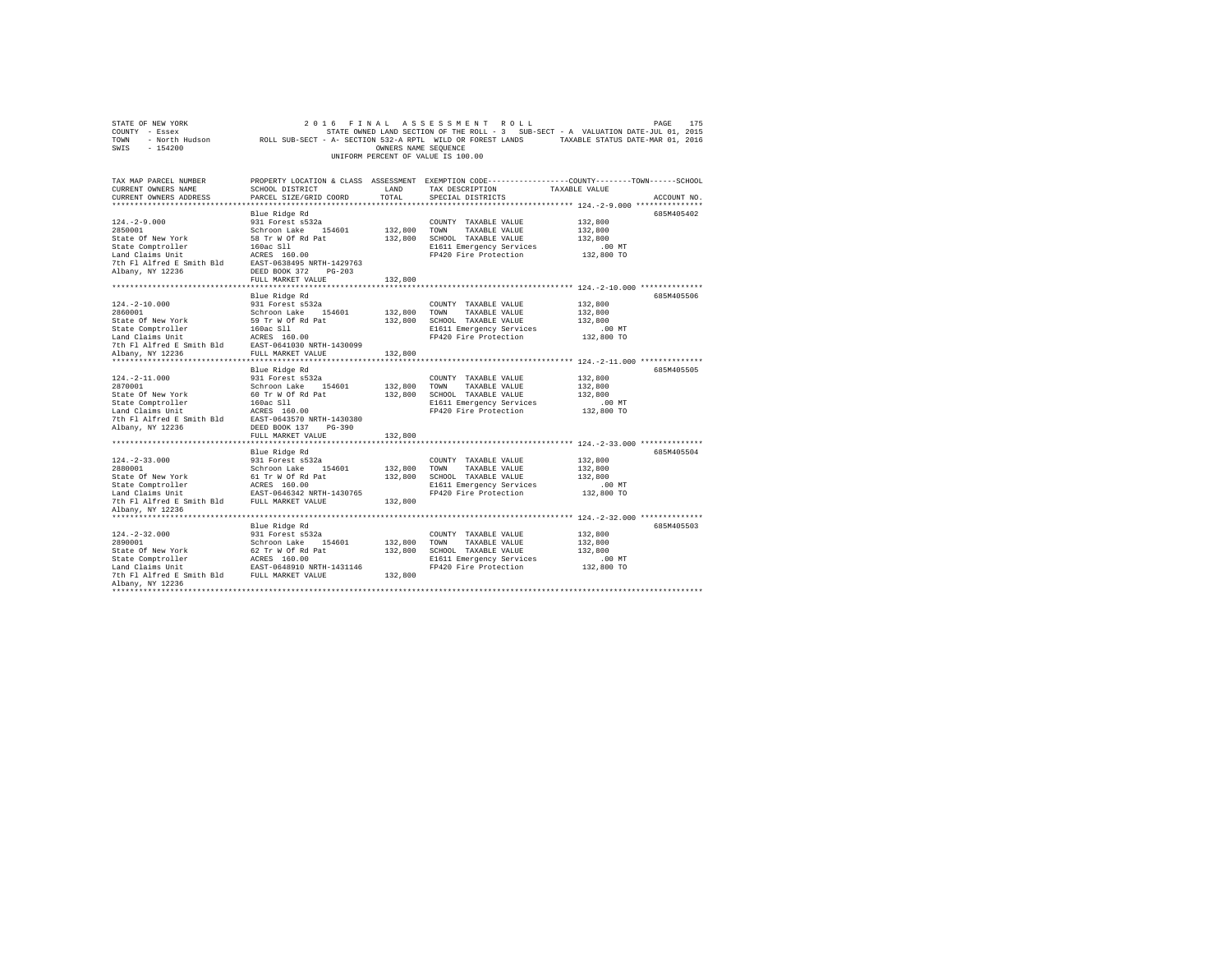| STATE OF NEW YORK<br>COUNTY - Essex<br>TOWN<br>SWIS<br>$-154200$                                                                                                                                                                                                                                                                                             |                                                                                                                    | OWNERS NAME SEOUENCE          | 2016 FINAL ASSESSMENT ROLL<br>UNIFORM PERCENT OF VALUE IS 100.00                                                                        | PAGE<br>175<br>STATE OWNED LAND SECTION OF THE ROLL - 3 SUB-SECT - A VALUATION DATE-JUL 01, 2015<br>- North Hudson MOLL SUB-SECT - A- SECTION 532-A RPTL WILD OR FOREST LANDS TAXABLE STATUS DATE-MAR 01, 2016 |
|--------------------------------------------------------------------------------------------------------------------------------------------------------------------------------------------------------------------------------------------------------------------------------------------------------------------------------------------------------------|--------------------------------------------------------------------------------------------------------------------|-------------------------------|-----------------------------------------------------------------------------------------------------------------------------------------|----------------------------------------------------------------------------------------------------------------------------------------------------------------------------------------------------------------|
| TAX MAP PARCEL NUMBER<br>CURRENT OWNERS NAME<br>CURRENT OWNERS ADDRESS<br>************************                                                                                                                                                                                                                                                           | SCHOOL DISTRICT<br>PARCEL SIZE/GRID COORD                                                                          | LAND<br>TOTAL                 | TAX DESCRIPTION<br>SPECIAL DISTRICTS                                                                                                    | PROPERTY LOCATION & CLASS ASSESSMENT EXEMPTION CODE---------------COUNTY-------TOWN------SCHOOL<br>TAXABLE VALUE<br>ACCOUNT NO.<br>******************** 124.-2-9.000 ***************                           |
| $124. -2 - 9.000$<br>2850001<br>State Of New York<br>State Comptroller<br>Land Claims Unit<br>$\begin{tabular}{llllll} \texttt{Land Claus Unit} & \texttt{ACRES} & 160.00 \\ \texttt{7th Fl Alfred E Smith Bd} & \texttt{EAST-0638495 NRTH-1429763} \end{tabular}$<br>Albany, NY 12236                                                                       | Blue Ridge Rd<br>931 Forest s532a<br>Schroon Lake 154601<br>58 Tr W Of Rd Pat<br>160ac Sll<br>DEED BOOK 372 PG-203 |                               | COUNTY TAXABLE VALUE<br>132,800 TOWN TAXABLE VALUE<br>132,800 SCHOOL TAXABLE VALUE<br>E1611 Emergency Services<br>FP420 Fire Protection | 685M405402<br>132,800<br>132,800<br>132,800<br>$.00$ MT<br>132,800 TO                                                                                                                                          |
|                                                                                                                                                                                                                                                                                                                                                              | FULL MARKET VALUE                                                                                                  | 132,800                       |                                                                                                                                         |                                                                                                                                                                                                                |
| $124. - 2 - 10.000$<br>2860001<br>State Of New York<br>State Comptroller<br>Land Claims Unit<br>Land Claims Unit<br>7th Fl Alfred E Smith Bld<br>EAST-0641030 NRTH-1430099                                                                                                                                                                                   | Blue Ridge Rd<br>931 Forest s532a<br>Schroon Lake 154601<br>59 Tr W Of Rd Pat                                      | 132,800                       | COUNTY TAXABLE VALUE<br>TOWN<br>TAXABLE VALUE<br>132,800 SCHOOL TAXABLE VALUE<br>E1611 Emergency Services<br>FP420 Fire Protection      | 685M405506<br>132,800<br>132,800<br>132,800<br>$.00$ MT<br>132,800 TO                                                                                                                                          |
| Albany, NY 12236                                                                                                                                                                                                                                                                                                                                             | FULL MARKET VALUE                                                                                                  | 132,800                       |                                                                                                                                         |                                                                                                                                                                                                                |
| $124. - 2 - 11.000$<br>Albany, NY 12236                                                                                                                                                                                                                                                                                                                      | Blue Ridge Rd<br>931 Forest s532a<br>DEED BOOK 137 PG-390                                                          | 132,800                       | COUNTY TAXABLE VALUE<br>TOWN<br>TAXABLE VALUE<br>132,800 SCHOOL TAXABLE VALUE<br>E1611 Emergency Services<br>FP420 Fire Protection      | 685M405505<br>132,800<br>132,800<br>132,800<br>$.00$ MT<br>132,800 TO                                                                                                                                          |
|                                                                                                                                                                                                                                                                                                                                                              | FULL MARKET VALUE                                                                                                  | 132,800                       |                                                                                                                                         |                                                                                                                                                                                                                |
| $124. - 2 - 33.000$<br>2880001<br>Albany, NY 12236                                                                                                                                                                                                                                                                                                           | Blue Ridge Rd<br>931 Forest s532a<br>Schroon Lake 154601                                                           | 132,800<br>132,800<br>132,800 | COUNTY TAXABLE VALUE<br>TOWN TAXABLE VALUE<br>SCHOOL TAXABLE VALUE<br>E1611 Emergency Services<br>FP420 Fire Protection                 | 685M405504<br>132,800<br>132,800<br>132,800<br>$.00$ MT<br>132,800 TO                                                                                                                                          |
|                                                                                                                                                                                                                                                                                                                                                              |                                                                                                                    |                               |                                                                                                                                         |                                                                                                                                                                                                                |
| $124. - 2 - 32.000$<br>2890001<br>State Of New York<br>State Comptroller<br>Land Claims Unit<br>The Comptroller<br>The PLASS 160.00<br>The PLASS 160.00<br>The PLASS 160.00<br>The PLASS 160.00<br>The PLASS 160.00<br>PLASS 160.00<br>PLASS 160.00<br>PLASS 160.00<br>PLASS 160.00<br>PLASS 160.00<br>PLASS 16<br>Albany, NY 12236<br>********************* | Blue Ridge Rd<br>931 Forest s532a<br>Schroon Lake 154601<br>62 Tr W Of Rd Pat                                      | 132,800                       | COUNTY TAXABLE VALUE<br>132,800 TOWN TAXABLE VALUE<br>132,800 SCHOOL TAXABLE VALUE<br>E1611 Emergency Services<br>FP420 Fire Protection | 685M405503<br>132,800<br>132,800<br>132.800<br>$.00$ MT<br>132,800 TO                                                                                                                                          |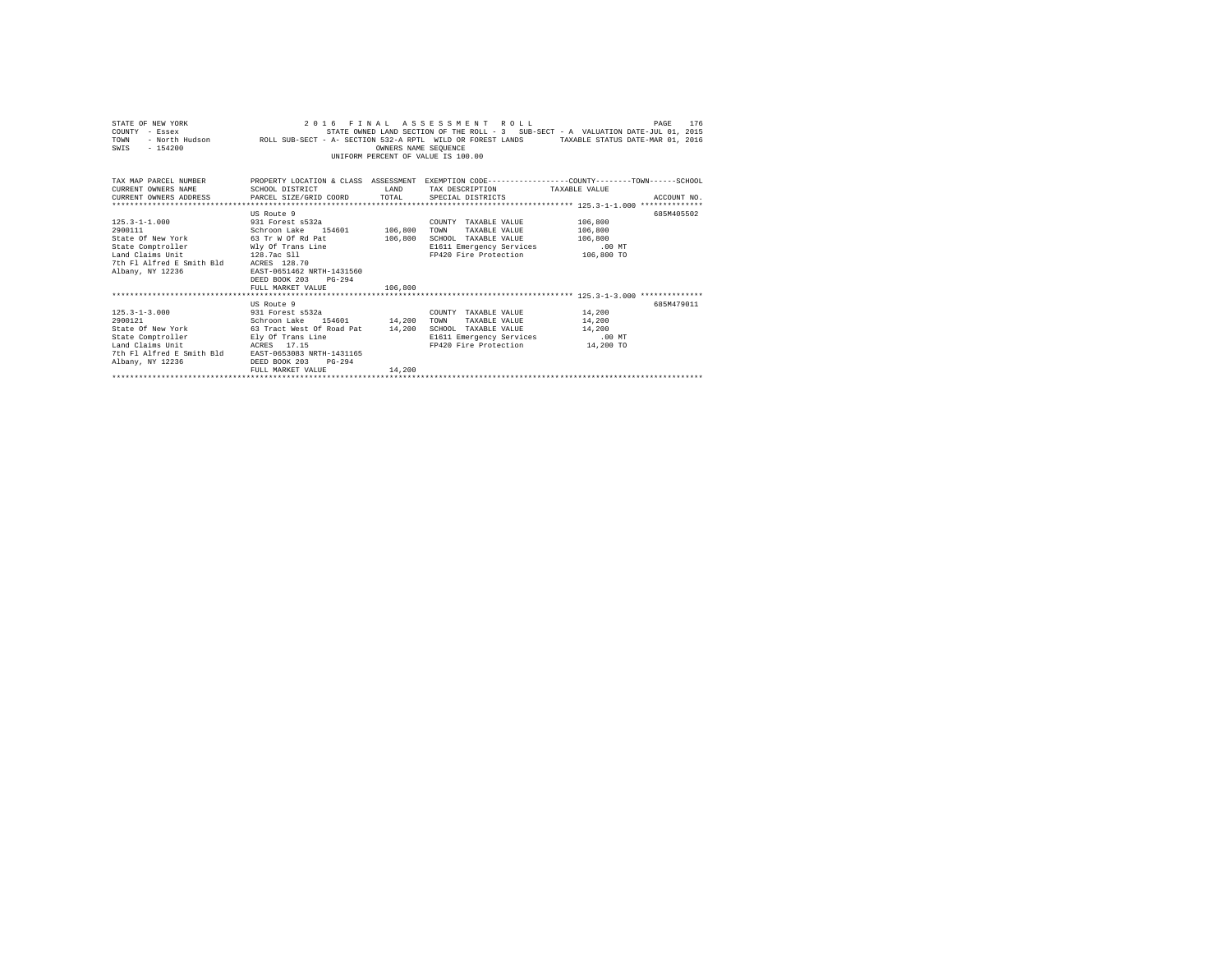| STATE OF NEW YORK<br>COUNTY - Essex<br>TOWN<br>$-154200$<br>SWIS                                                         | STATE OWNED LAND SECTION OF THE ROLL - 3 SUB-SECT - A VALUATION DATE-JUL U1, 2015 - " - A VALUATION DATE - AU<br>FRAMBLE STATUS DATE-MAR 01, 2016 - ROLL SUB-SECT - A- SECTION 532-A RPTL WILD OR FOREST LANDS | OWNERS NAME SEQUENCE | 2016 FINAL ASSESSMENT ROLL<br>STATE OWNED LAND SECTION OF THE ROLL - 3 SUB-SECT - A VALUATION DATE-JUL 01, 2015<br>UNIFORM PERCENT OF VALUE IS 100.00 |         | 176<br>PAGE |  |
|--------------------------------------------------------------------------------------------------------------------------|----------------------------------------------------------------------------------------------------------------------------------------------------------------------------------------------------------------|----------------------|-------------------------------------------------------------------------------------------------------------------------------------------------------|---------|-------------|--|
| TAX MAP PARCEL NUMBER THE PROPERTY LOCATION & CLASS ASSESSMENT EXEMPTION CODE--------------COUNTY-------TOWN------SCHOOL |                                                                                                                                                                                                                |                      |                                                                                                                                                       |         |             |  |
| CURRENT OWNERS NAME                                                                                                      | SCHOOL DISTRICT                                                                                                                                                                                                |                      | LAND TAX DESCRIPTION TAXABLE VALUE                                                                                                                    |         |             |  |
| CURRENT OWNERS ADDRESS PARCEL SIZE/GRID COORD TOTAL SPECIAL DISTRICTS                                                    |                                                                                                                                                                                                                |                      |                                                                                                                                                       |         | ACCOUNT NO. |  |
|                                                                                                                          |                                                                                                                                                                                                                |                      |                                                                                                                                                       |         |             |  |
|                                                                                                                          | US Route 9                                                                                                                                                                                                     |                      |                                                                                                                                                       |         | 685M405502  |  |
| 125.3-1-1.000 931 Forest s532a                                                                                           |                                                                                                                                                                                                                |                      | COUNTY TAXABLE VALUE 106,800                                                                                                                          |         |             |  |
| 2900111                                                                                                                  | Schroon Lake 154601 106,800                                                                                                                                                                                    |                      | TAXABLE VALUE 106,800<br>TOWN                                                                                                                         |         |             |  |
| State Of New York 63 Tr W Of Rd Pat                                                                                      |                                                                                                                                                                                                                | 106,800              | SCHOOL TAXABLE VALUE                                                                                                                                  | 106,800 |             |  |
| State Comptroller Mly Of Trans Line<br>In Claims Unit (128.7ac Sll)                                                      |                                                                                                                                                                                                                |                      | E1611 Emergency Services                                                                                                                              | .00 MT  |             |  |
| 128.7ac S11                                                                                                              |                                                                                                                                                                                                                |                      | FP420 Fire Protection 106,800 TO                                                                                                                      |         |             |  |
| 7th Fl Alfred E Smith Bld ACRES 128.70                                                                                   |                                                                                                                                                                                                                |                      |                                                                                                                                                       |         |             |  |
| Albany, NY 12236                                                                                                         | EAST-0651462 NRTH-1431560                                                                                                                                                                                      |                      |                                                                                                                                                       |         |             |  |
|                                                                                                                          | DEED BOOK 203 PG-294                                                                                                                                                                                           |                      |                                                                                                                                                       |         |             |  |
|                                                                                                                          | FULL MARKET VALUE 106,800                                                                                                                                                                                      |                      |                                                                                                                                                       |         |             |  |
|                                                                                                                          | US Route 9                                                                                                                                                                                                     |                      |                                                                                                                                                       |         | 685M479011  |  |
| 125.3-1-3.000 931 Forest s532a                                                                                           |                                                                                                                                                                                                                |                      | COUNTY TAXABLE VALUE 14,200                                                                                                                           |         |             |  |
| 2900121                                                                                                                  | Schroon Lake 154601 14,200                                                                                                                                                                                     |                      | TOWN<br>TAXABLE VALUE 14,200                                                                                                                          |         |             |  |
| State Of New York 63 Tract West Of Road Pat 14,200 SCHOOL TAXABLE VALUE 14,200                                           |                                                                                                                                                                                                                |                      |                                                                                                                                                       |         |             |  |
| State Comptroller Ely Of Trans Line                                                                                      |                                                                                                                                                                                                                |                      | E1611 Emergency Services .00 MT                                                                                                                       |         |             |  |
| Land Claims Unit                                                                                                         | ACRES 17.15                                                                                                                                                                                                    |                      | FP420 Fire Protection 14,200 TO                                                                                                                       |         |             |  |
| 7th Fl Alfred E Smith Bld EAST-0653083 NRTH-1431165                                                                      |                                                                                                                                                                                                                |                      |                                                                                                                                                       |         |             |  |
| Albany, NY 12236                                                                                                         | DEED BOOK 203<br>$PG-294$                                                                                                                                                                                      |                      |                                                                                                                                                       |         |             |  |
|                                                                                                                          | FULL MARKET VALUE                                                                                                                                                                                              | 14,200               |                                                                                                                                                       |         |             |  |
|                                                                                                                          |                                                                                                                                                                                                                |                      |                                                                                                                                                       |         |             |  |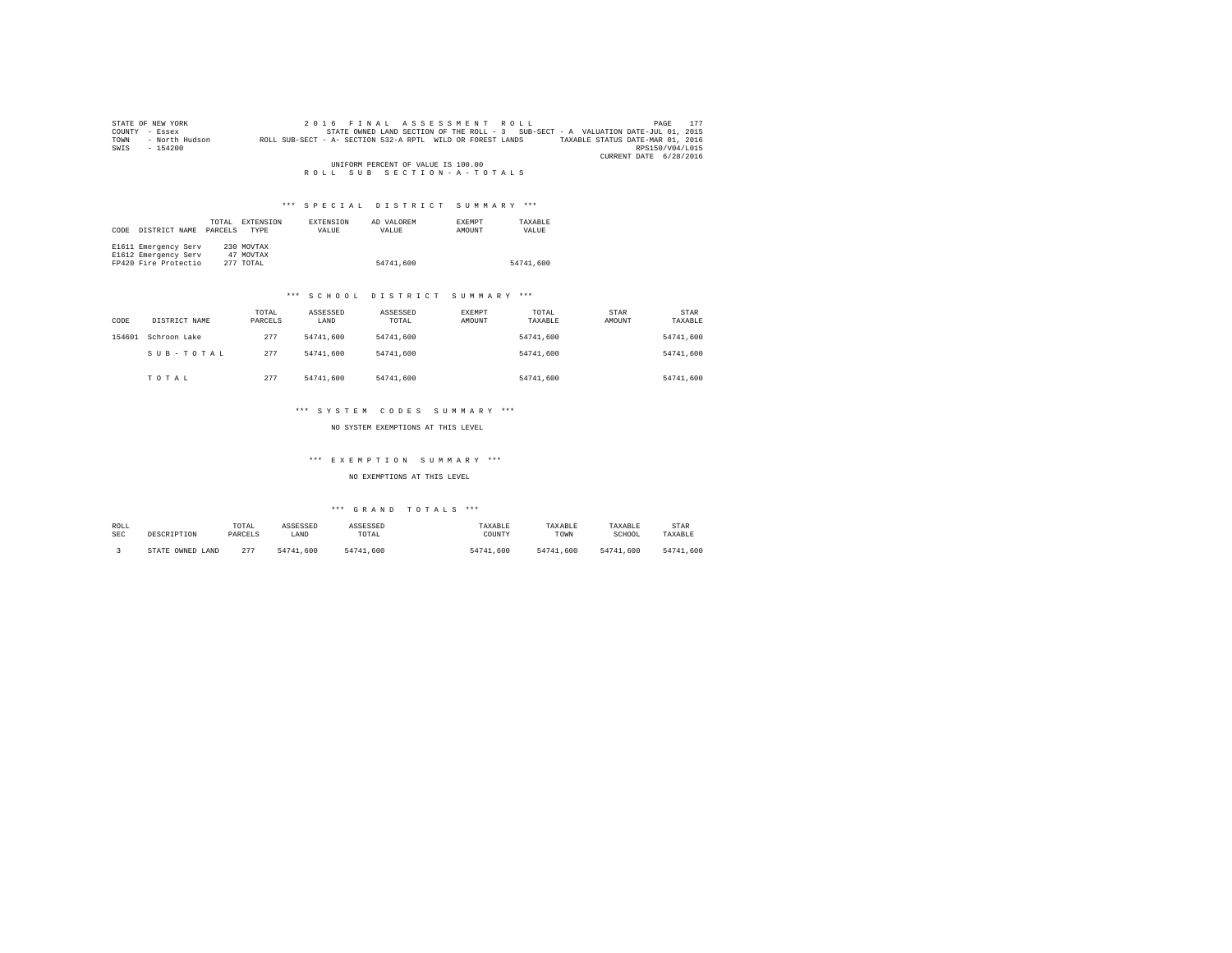|                                    | STATE OF NEW YORK | 2016 FINAL ASSESSMENT ROLL                                                                     | 177<br>PAGE            |  |  |
|------------------------------------|-------------------|------------------------------------------------------------------------------------------------|------------------------|--|--|
| COUNTY                             | - Essex           | STATE OWNED LAND SECTION OF THE ROLL - 3 SUB-SECT - A VALUATION DATE-JUL 01, 2015              |                        |  |  |
| TOWN                               | - North Hudson    | TAXABLE STATUS DATE-MAR 01, 2016<br>ROLL SUB-SECT - A- SECTION 532-A RPTL WILD OR FOREST LANDS |                        |  |  |
| SWIS                               | $-154200$         |                                                                                                | RPS150/V04/L015        |  |  |
|                                    |                   |                                                                                                | CURRENT DATE 6/28/2016 |  |  |
| UNIFORM PERCENT OF VALUE IS 100.00 |                   |                                                                                                |                        |  |  |
|                                    |                   | ROLL SUB SECTION-A-TOTALS                                                                      |                        |  |  |

# \*\*\* S P E C I A L D I S T R I C T S U M M A R Y \*\*\*

|      |                      | TOTAL   | EXTENSION  | <b>EXTENSION</b> | AD VALOREM | <b>EXEMPT</b> | TAXABLE   |
|------|----------------------|---------|------------|------------------|------------|---------------|-----------|
| CODE | DISTRICT NAME        | PARCELS | TYPE       | VALUE            | VALUE      | AMOUNT        | VALUE     |
|      |                      |         |            |                  |            |               |           |
|      | E1611 Emergency Serv |         | 230 MOVTAX |                  |            |               |           |
|      | E1612 Emergency Serv |         | 47 MOVTAX  |                  |            |               |           |
|      | FP420 Fire Protectio |         | 277 TOTAL  |                  | 54741.600  |               | 54741.600 |

## \*\*\* S C H O O L D I S T R I C T S U M M A R Y \*\*\*

| CODE   | DISTRICT NAME | TOTAL<br>PARCELS | ASSESSED<br>LAND | ASSESSED<br>TOTAL | EXEMPT<br>AMOUNT | TOTAL<br>TAXABLE | STAR<br>AMOUNT | <b>STAR</b><br>TAXABLE |
|--------|---------------|------------------|------------------|-------------------|------------------|------------------|----------------|------------------------|
| 154601 | Schroon Lake  | 277              | 54741,600        | 54741,600         |                  | 54741.600        |                | 54741.600              |
|        | SUB-TOTAL     | 277              | 54741,600        | 54741,600         |                  | 54741.600        |                | 54741.600              |
|        | TOTAL         | 277              | 54741.600        | 54741,600         |                  | 54741.600        |                | 54741.600              |

## \*\*\* S Y S T E M C O D E S S U M M A R Y \*\*\*

NO SYSTEM EXEMPTIONS AT THIS LEVEL

# \*\*\* E X E M P T I O N S U M M A R Y \*\*\*

NO EXEMPTIONS AT THIS LEVEL

# \*\*\* G R A N D T O T A L S \*\*\*

| ROLL | DESCRIPTION            | TOTAL   | ASSESSED  | ASSESSED  | TAXABLE   | TAXABLE   | TAXABLE   | STAR      |
|------|------------------------|---------|-----------|-----------|-----------|-----------|-----------|-----------|
| SEC  |                        | PARCELS | LAND      | TOTAL     | COUNTY    | TOWN      | SCHOOL    | TAXABLE   |
|      | OWNED<br>LAND<br>STATE | 277     | 54741.600 | 54741.600 | 54741,600 | 54741.600 | 54741.600 | 54741.600 |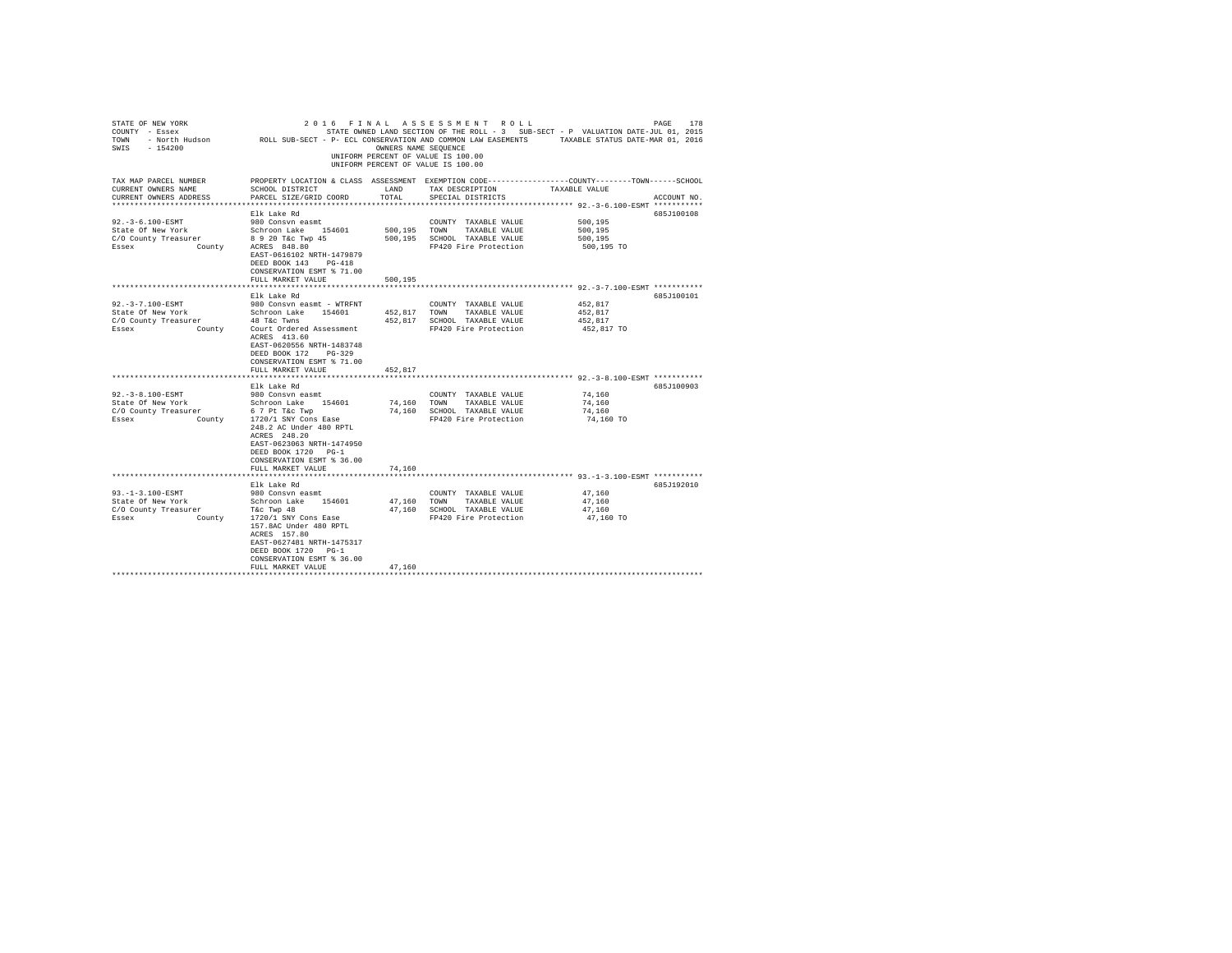| STATE OF NEW YORK<br>COUNTY - ESSEX<br>COUNTY - ESSEX CONFERENT IN STATE OWNER LAND SECTION OF THE ROLL - 3 SUB-SECT - P VALUATION DATE-JUL U1, 2015<br>TOWN - North Hudson     ROLL SUB-SECT - P- ECL CONSERVATION AND COUNCON LAW EASEMENTS TAXABLE STA<br>SWIS - 154200 |                                                                                                                                                                                                                              | OWNERS NAME SEOUENCE | 2016 FINAL ASSESSMENT ROLL<br>UNIFORM PERCENT OF VALUE IS 100.00<br>UNIFORM PERCENT OF VALUE IS 100.00 |                                                              | PAGE<br>178 |
|----------------------------------------------------------------------------------------------------------------------------------------------------------------------------------------------------------------------------------------------------------------------------|------------------------------------------------------------------------------------------------------------------------------------------------------------------------------------------------------------------------------|----------------------|--------------------------------------------------------------------------------------------------------|--------------------------------------------------------------|-------------|
| TAX MAP PARCEL NUMBER<br>CURRENT OWNERS NAME<br>CURRENT OWNERS ADDRESS                                                                                                                                                                                                     | PROPERTY LOCATION & CLASS ASSESSMENT EXEMPTION CODE---------------COUNTY-------TOWN------SCHOOL<br>SCHOOL DISTRICT<br>PARCEL SIZE/GRID COORD                                                                                 | LAND<br>TOTAL        | TAX DESCRIPTION<br>SPECIAL DISTRICTS                                                                   | TAXABLE VALUE                                                | ACCOUNT NO. |
|                                                                                                                                                                                                                                                                            |                                                                                                                                                                                                                              |                      |                                                                                                        |                                                              |             |
| 92. - 3-6.100-ESMT                                                                                                                                                                                                                                                         | Elk Lake Rd<br>980 Consvn easmt                                                                                                                                                                                              |                      | COUNTY TAXABLE VALUE                                                                                   | 500,195                                                      | 685J100108  |
|                                                                                                                                                                                                                                                                            |                                                                                                                                                                                                                              |                      | 500,195 TOWN TAXABLE VALUE                                                                             | 500,195                                                      |             |
|                                                                                                                                                                                                                                                                            |                                                                                                                                                                                                                              |                      | 500,195 SCHOOL TAXABLE VALUE                                                                           | 500,195                                                      |             |
| State Of New York Schroon Lake 154601<br>C/O County Treasurer 8920 T& 1984<br>Essex County ACRES 848.80                                                                                                                                                                    | EAST-0616102 NRTH-1479879<br>DEED BOOK 143 PG-418<br>CONSERVATION ESMT % 71.00                                                                                                                                               |                      | FP420 Fire Protection                                                                                  | 500,195 TO                                                   |             |
|                                                                                                                                                                                                                                                                            | FULL MARKET VALUE                                                                                                                                                                                                            | 500,195              |                                                                                                        |                                                              |             |
|                                                                                                                                                                                                                                                                            |                                                                                                                                                                                                                              |                      |                                                                                                        |                                                              |             |
| 92. - 3 - 7.100 - ESMT                                                                                                                                                                                                                                                     | Elk Lake Rd<br>980 Consvn easmt - WTRFNT                                                                                                                                                                                     |                      | COUNTY TAXABLE VALUE                                                                                   | 452,817                                                      | 685J100101  |
| State Of New York                                                                                                                                                                                                                                                          | Schroon Lake 154601                                                                                                                                                                                                          |                      | 452.817 TOWN TAXABLE VALUE                                                                             | 452.817                                                      |             |
| C/O County Treasurer                                                                                                                                                                                                                                                       | 48 T&c Twns                                                                                                                                                                                                                  |                      | 452,817 SCHOOL TAXABLE VALUE                                                                           | 452.817                                                      |             |
| Essex                                                                                                                                                                                                                                                                      | County Court Ordered Assessment<br>ACRES 413.60<br>EAST-0620556 NRTH-1483748<br>DEED BOOK 172 PG-329<br>CONSERVATION ESMT % 71.00                                                                                            |                      | FP420 Fire Protection                                                                                  | 452,817 TO                                                   |             |
|                                                                                                                                                                                                                                                                            | FULL MARKET VALUE                                                                                                                                                                                                            | 452,817              |                                                                                                        |                                                              |             |
|                                                                                                                                                                                                                                                                            |                                                                                                                                                                                                                              |                      |                                                                                                        | ******************************* 92.-3-8.100-ESMT *********** |             |
| $92. -3 - 8.100 - ESMT$                                                                                                                                                                                                                                                    | Elk Lake Rd<br>980 Consvn easmt                                                                                                                                                                                              |                      | COUNTY TAXABLE VALUE                                                                                   | 74,160                                                       | 685J100903  |
| State Of New York                                                                                                                                                                                                                                                          |                                                                                                                                                                                                                              |                      | 74,160 TOWN TAXABLE VALUE                                                                              | 74,160                                                       |             |
| C/O County Treasurer                                                                                                                                                                                                                                                       | Schroon Lake 154601<br>6 7 Pt T&c Twp                                                                                                                                                                                        |                      | 74,160 SCHOOL TAXABLE VALUE                                                                            | 74,160                                                       |             |
| Essex County 1720/1 SNY Cons Ease                                                                                                                                                                                                                                          | 248.2 AC Under 480 RPTL<br>ACRES 248.20<br>EAST-0623063 NRTH-1474950<br>DEED BOOK 1720 PG-1<br>CONSERVATION ESMT % 36.00                                                                                                     |                      | FP420 Fire Protection                                                                                  | 74,160 TO                                                    |             |
|                                                                                                                                                                                                                                                                            | FULL MARKET VALUE                                                                                                                                                                                                            | 74,160               |                                                                                                        |                                                              |             |
|                                                                                                                                                                                                                                                                            | *****************                                                                                                                                                                                                            |                      |                                                                                                        | **************************** 93.-1-3.100-ESMT ***********    |             |
| 93. -1-3.100-ESMT                                                                                                                                                                                                                                                          | Elk Lake Rd<br>980 Consvn easmt                                                                                                                                                                                              |                      | COUNTY TAXABLE VALUE                                                                                   | 47.160                                                       | 685J192010  |
|                                                                                                                                                                                                                                                                            |                                                                                                                                                                                                                              |                      | 47,160 TOWN TAXABLE VALUE                                                                              | 47,160                                                       |             |
| State Of New York<br>C/O County Treasurer                                                                                                                                                                                                                                  |                                                                                                                                                                                                                              |                      | 47,160 SCHOOL TAXABLE VALUE                                                                            | 47,160                                                       |             |
| Essex                                                                                                                                                                                                                                                                      | New York Southern Hake 154601<br>Exp Treasurer Schroon Lake 154601<br>County 1720/1 SNY Cons Fase<br>157.8AC Under 480 RPTL<br>ACRES 157.80<br>EAST-0627481 NRTH-1475317<br>DEED BOOK 1720 PG-1<br>CONSERVATION ESMT % 36.00 |                      | FP420 Fire Protection                                                                                  | 47,160 TO                                                    |             |
|                                                                                                                                                                                                                                                                            | FULL MARKET VALUE                                                                                                                                                                                                            | 47.160               |                                                                                                        |                                                              |             |
|                                                                                                                                                                                                                                                                            |                                                                                                                                                                                                                              |                      |                                                                                                        |                                                              |             |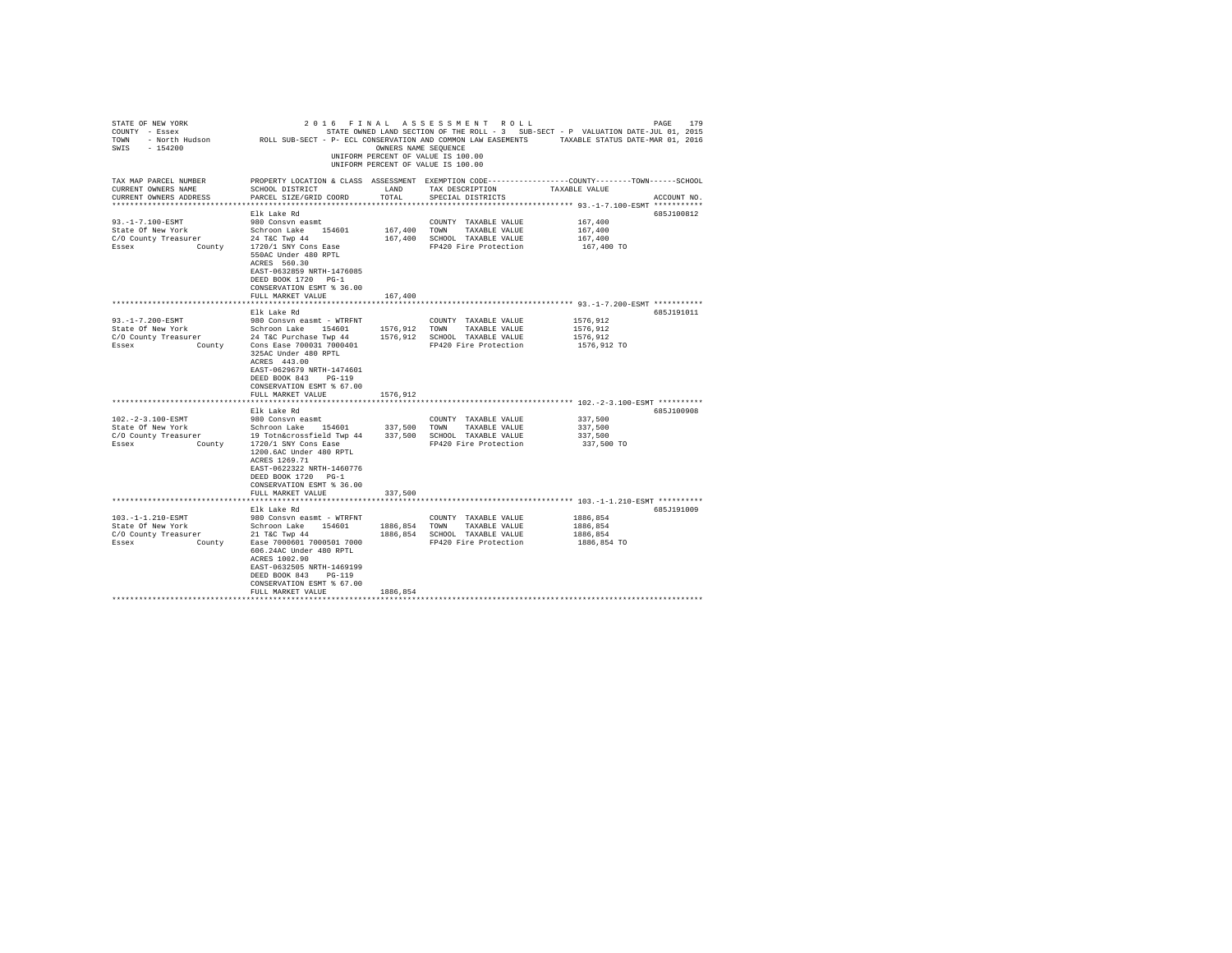| STATE OF NEW YORK<br>COUNTY - Essex<br>TOWN<br>$-154200$<br>SWIS                                                                                                               | - North Hudson MCDL SUB-SECT - P- ECL CONSERVATION AND COMMON LAW EASEMENTS                                                                                                                                                                                                                                                                                                                                                             | OWNERS NAME SEOUENCE                                   | 2016 FINAL ASSESSMENT ROLL<br>STATE OWNED LAND SECTION OF THE ROLL - 3 SUB-SECT - P VALUATION DATE-JUL 01, 2015<br>UNIFORM PERCENT OF VALUE IS 100.00<br>UNIFORM PERCENT OF VALUE IS 100.00      | TAXABLE STATUS DATE-MAR 01, 2016                                                               | 179<br>PAGE              |
|--------------------------------------------------------------------------------------------------------------------------------------------------------------------------------|-----------------------------------------------------------------------------------------------------------------------------------------------------------------------------------------------------------------------------------------------------------------------------------------------------------------------------------------------------------------------------------------------------------------------------------------|--------------------------------------------------------|--------------------------------------------------------------------------------------------------------------------------------------------------------------------------------------------------|------------------------------------------------------------------------------------------------|--------------------------|
| TAX MAP PARCEL NUMBER<br>CURRENT OWNERS NAME<br>CURRENT OWNERS ADDRESS<br>************************                                                                             | PROPERTY LOCATION & CLASS ASSESSMENT EXEMPTION CODE----------------COUNTY-------TOWN-----SCHOOL<br>SCHOOL DISTRICT<br>PARCEL SIZE/GRID COORD                                                                                                                                                                                                                                                                                            | LAND<br>TOTAL                                          | TAX DESCRIPTION<br>SPECIAL DISTRICTS                                                                                                                                                             | TAXABLE VALUE                                                                                  | ACCOUNT NO.              |
|                                                                                                                                                                                | Elk Lake Rd                                                                                                                                                                                                                                                                                                                                                                                                                             |                                                        |                                                                                                                                                                                                  |                                                                                                | 685J100812               |
| $93. -1 - 7.100 - ESMT$<br>State Of New York<br>C/O County Treasurer<br>Essex<br>County                                                                                        | 980 Consyn easmt<br>Schroon Lake 154601<br>24 T&C Twp 44<br>1720/1 SNY Cons Ease<br>550AC Under 480 RPTL<br>ACRES 560.30<br>EAST-0632859 NRTH-1476085<br>DEED BOOK 1720 PG-1<br>CONSERVATION ESMT % 36.00                                                                                                                                                                                                                               | 167,400<br>167,400                                     | COUNTY TAXABLE VALUE<br>TOWN<br>TAXABLE VALUE<br>SCHOOL TAXABLE VALUE<br>FP420 Fire Protection                                                                                                   | 167,400<br>167,400<br>167,400<br>167,400 TO                                                    |                          |
|                                                                                                                                                                                | FULL MARKET VALUE                                                                                                                                                                                                                                                                                                                                                                                                                       | 167,400                                                |                                                                                                                                                                                                  |                                                                                                |                          |
|                                                                                                                                                                                |                                                                                                                                                                                                                                                                                                                                                                                                                                         |                                                        |                                                                                                                                                                                                  |                                                                                                |                          |
| $93. -1 - 7.200 - ESMT$<br>State Of New York<br>C/O County Treasurer<br>County<br>Essex<br>102. - 2-3.100-ESMT<br>State Of New York<br>C/O County Treasurer<br>Essex<br>County | Elk Lake Rd<br>980 Consvn easmt - WTRFNT<br>Schroon Lake<br>154601<br>24 T&C Purchase Twp 44<br>Cons Ease 700031 7000401<br>325AC Under 480 RPTL<br>ACRES 443.00<br>EAST-0629679 NRTH-1474601<br>$PG-119$<br>DEED BOOK 843<br>CONSERVATION ESMT % 67.00<br>FULL MARKET VALUE<br>Elk Lake Rd<br>980 Consvn easmt<br>Schroon Lake 154601<br>19 Totn&crossfield Twp 44<br>1720/1 SNY Cons Ease<br>1200.6AC Under 480 RPTL<br>ACRES 1269.71 | 1576,912<br>1576,912<br>1576.912<br>337,500<br>337,500 | COUNTY TAXABLE VALUE<br>TOWN<br>TAXABLE VALUE<br>SCHOOL TAXABLE VALUE<br>FP420 Fire Protection<br>COUNTY TAXABLE VALUE<br>TOWN<br>TAXABLE VALUE<br>SCHOOL TAXABLE VALUE<br>FP420 Fire Protection | 1576,912<br>1576,912<br>1576,912<br>1576,912 TO<br>337,500<br>337,500<br>337,500<br>337,500 TO | 685J191011<br>685J100908 |
|                                                                                                                                                                                | EAST-0622322 NRTH-1460776<br>DEED BOOK 1720 PG-1<br>CONSERVATION ESMT % 36.00<br>FULL MARKET VALUE                                                                                                                                                                                                                                                                                                                                      | 337,500                                                |                                                                                                                                                                                                  |                                                                                                |                          |
|                                                                                                                                                                                | Elk Lake Rd                                                                                                                                                                                                                                                                                                                                                                                                                             |                                                        |                                                                                                                                                                                                  |                                                                                                | 685J191009               |
| 103. -1-1.210-ESMT<br>State Of New York<br>C/O County Treasurer<br>Essex<br>County                                                                                             | 980 Consyn easmt - WTRFNT<br>Schroon Lake 154601<br>21 T&C Twp 44<br>Ease 7000601 7000501 7000<br>606.24AC Under 480 RPTL<br>ACRES 1002.90<br>EAST-0632505 NRTH-1469199<br>DEED BOOK 843<br>$PG-119$<br>CONSERVATION ESMT % 67.00<br>FULL MARKET VALUE                                                                                                                                                                                  | 1886,854<br>1886,854<br>1886,854                       | COUNTY TAXABLE VALUE<br>TOWN<br>TAXABLE VALUE<br>SCHOOL TAXABLE VALUE<br>FP420 Fire Protection                                                                                                   | 1886,854<br>1886,854<br>1886,854<br>1886,854 TO                                                |                          |
|                                                                                                                                                                                |                                                                                                                                                                                                                                                                                                                                                                                                                                         |                                                        |                                                                                                                                                                                                  |                                                                                                |                          |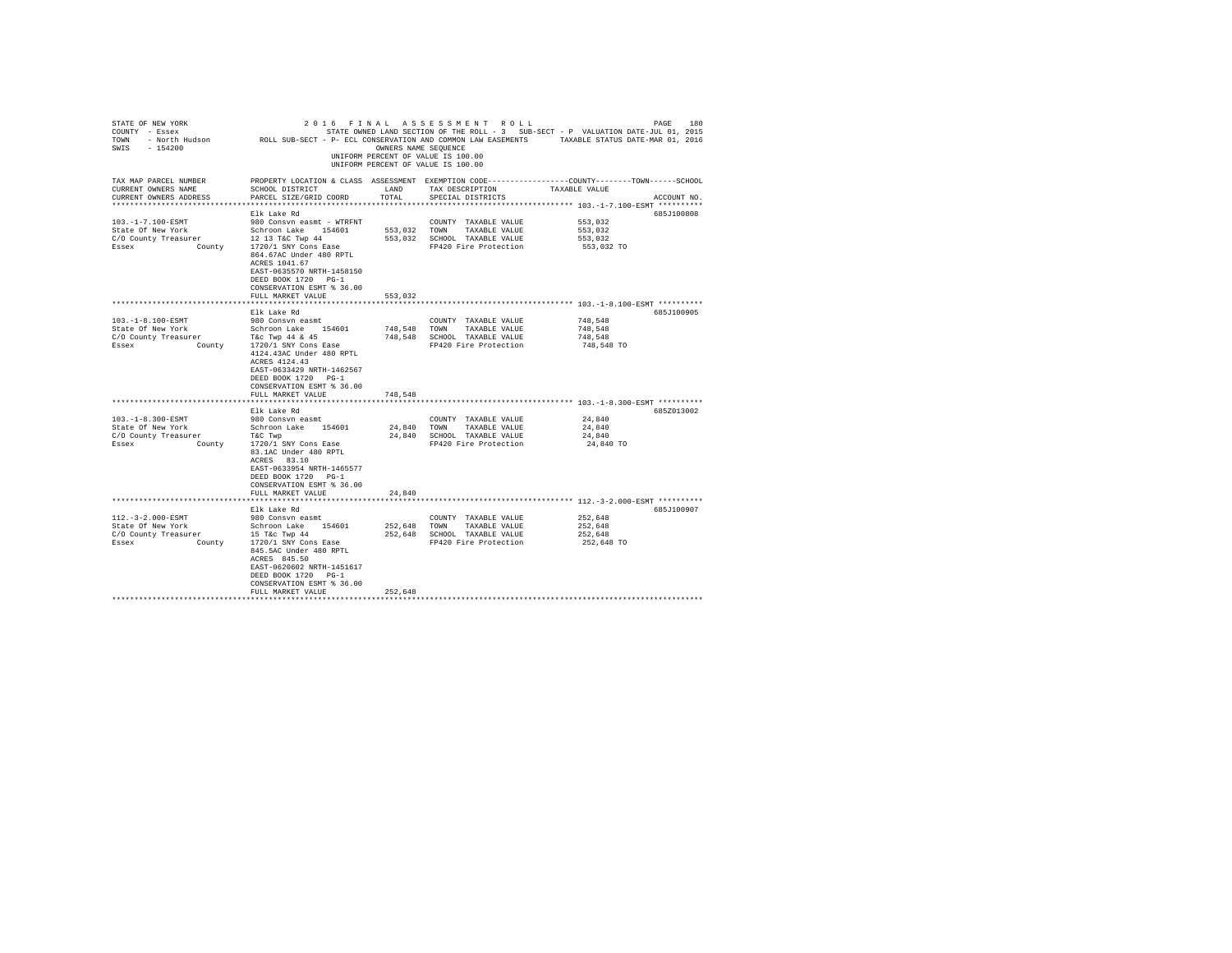| STATE OF NEW YORK<br>COUNTY - Essex<br>TOWN<br>$-154200$<br>SWIS                                                                                                              | - North Hudson MOLL SUB-SECT - P- ECL CONSERVATION AND COMMON LAW EASEMENTS                                                                                                                                                                                                                                                                                                                                                                                                | OWNERS NAME SEOUENCE                         | 2016 FINAL ASSESSMENT ROLL<br>STATE OWNED LAND SECTION OF THE ROLL - 3 SUB-SECT - P VALUATION DATE-JUL 01, 2015<br>UNIFORM PERCENT OF VALUE IS 100.00<br>UNIFORM PERCENT OF VALUE IS 100.00     | TAXABLE STATUS DATE-MAR 01, 2016                                                       | PAGE<br>180              |
|-------------------------------------------------------------------------------------------------------------------------------------------------------------------------------|----------------------------------------------------------------------------------------------------------------------------------------------------------------------------------------------------------------------------------------------------------------------------------------------------------------------------------------------------------------------------------------------------------------------------------------------------------------------------|----------------------------------------------|-------------------------------------------------------------------------------------------------------------------------------------------------------------------------------------------------|----------------------------------------------------------------------------------------|--------------------------|
| TAX MAP PARCEL NUMBER<br>CURRENT OWNERS NAME<br>CURRENT OWNERS ADDRESS<br>*************************                                                                           | PROPERTY LOCATION & CLASS ASSESSMENT EXEMPTION CODE---------------COUNTY-------TOWN------SCHOOL<br>SCHOOL DISTRICT<br>PARCEL SIZE/GRID COORD                                                                                                                                                                                                                                                                                                                               | LAND<br>TOTAL                                | TAX DESCRIPTION<br>SPECIAL DISTRICTS                                                                                                                                                            | TAXABLE VALUE                                                                          | ACCOUNT NO.              |
|                                                                                                                                                                               |                                                                                                                                                                                                                                                                                                                                                                                                                                                                            |                                              |                                                                                                                                                                                                 |                                                                                        |                          |
| $103. -1 - 7.100 - ESMT$<br>State Of New York<br>C/O County Treasurer<br>Essex<br>County                                                                                      | Elk Lake Rd<br>980 Consyn easmt - WTRFNT<br>Schroon Lake 154601<br>12 13 T&C Twp 44<br>1720/1 SNY Cons Ease<br>864.67AC Under 480 RPTL<br>ACRES 1041.67<br>EAST-0635570 NRTH-1458150<br>DEED BOOK 1720 PG-1<br>CONSERVATION ESMT % 36.00                                                                                                                                                                                                                                   | 553.032<br>553.032                           | COUNTY TAXABLE VALUE<br>TOWN<br>TAXABLE VALUE<br>SCHOOL TAXABLE VALUE<br>FP420 Fire Protection                                                                                                  | 553,032<br>553,032<br>553.032<br>553,032 TO                                            | 685J100808               |
|                                                                                                                                                                               | FULL MARKET VALUE                                                                                                                                                                                                                                                                                                                                                                                                                                                          | 553,032                                      |                                                                                                                                                                                                 |                                                                                        |                          |
|                                                                                                                                                                               |                                                                                                                                                                                                                                                                                                                                                                                                                                                                            |                                              |                                                                                                                                                                                                 |                                                                                        |                          |
| $103. -1 - 8.100 - ESMT$<br>State Of New York<br>C/O County Treasurer<br>Essex<br>County<br>103.-1-8.300-ESMT<br>State Of New York<br>C/O County Treasurer<br>Essex<br>County | Elk Lake Rd<br>980 Consvn easmt<br>Schroon Lake 154601<br>T&c Twp 44 & 45<br>1720/1 SNY Cons Ease<br>4124.43AC Under 480 RPTL<br>ACRES 4124.43<br>EAST-0633429 NRTH-1462567<br>DEED BOOK 1720 PG-1<br>CONSERVATION ESMT % 36.00<br>FULL MARKET VALUE<br>Elk Lake Rd<br>980 Consvn easmt<br>Schroon Lake 154601<br>T&C Twp<br>1720/1 SNY Cons Ease<br>83.1AC Under 480 RPTL<br>ACRES 83.10<br>EAST-0633954 NRTH-1465577<br>DEED BOOK 1720 PG-1<br>CONSERVATION ESMT % 36.00 | 748,548<br>748,548<br>748.548<br>24.840 TOWN | COUNTY TAXABLE VALUE<br>TOWN<br>TAXABLE VALUE<br>SCHOOL TAXABLE VALUE<br>FP420 Fire Protection<br>COUNTY TAXABLE VALUE<br>TAXABLE VALUE<br>24,840 SCHOOL TAXABLE VALUE<br>FP420 Fire Protection | 748.548<br>748,548<br>748,548<br>748,548 TO<br>24,840<br>24,840<br>24,840<br>24,840 TO | 685J100905<br>685Z013002 |
|                                                                                                                                                                               | FULL MARKET VALUE                                                                                                                                                                                                                                                                                                                                                                                                                                                          | 24,840                                       |                                                                                                                                                                                                 |                                                                                        |                          |
|                                                                                                                                                                               |                                                                                                                                                                                                                                                                                                                                                                                                                                                                            |                                              |                                                                                                                                                                                                 |                                                                                        | 685J100907               |
| $112. - 3 - 2.000 - ESMT$<br>State Of New York<br>C/O County Treasurer<br>Essex<br>County                                                                                     | Elk Lake Rd<br>980 Consyn easmt<br>Schroon Lake 154601<br>15 T&c Twp 44<br>1720/1 SNY Cons Ease<br>845.5AC Under 480 RPTL<br>ACRES 845.50<br>EAST-0620602 NRTH-1451617<br>DEED BOOK 1720 PG-1<br>CONSERVATION ESMT % 36.00<br>FULL MARKET VALUE                                                                                                                                                                                                                            | 252,648<br>252,648<br>252,648                | COUNTY TAXABLE VALUE<br>TOWN<br>TAXABLE VALUE<br>SCHOOL TAXABLE VALUE<br>FP420 Fire Protection                                                                                                  | 252,648<br>252,648<br>252,648<br>252,648 TO                                            |                          |
|                                                                                                                                                                               |                                                                                                                                                                                                                                                                                                                                                                                                                                                                            |                                              |                                                                                                                                                                                                 |                                                                                        |                          |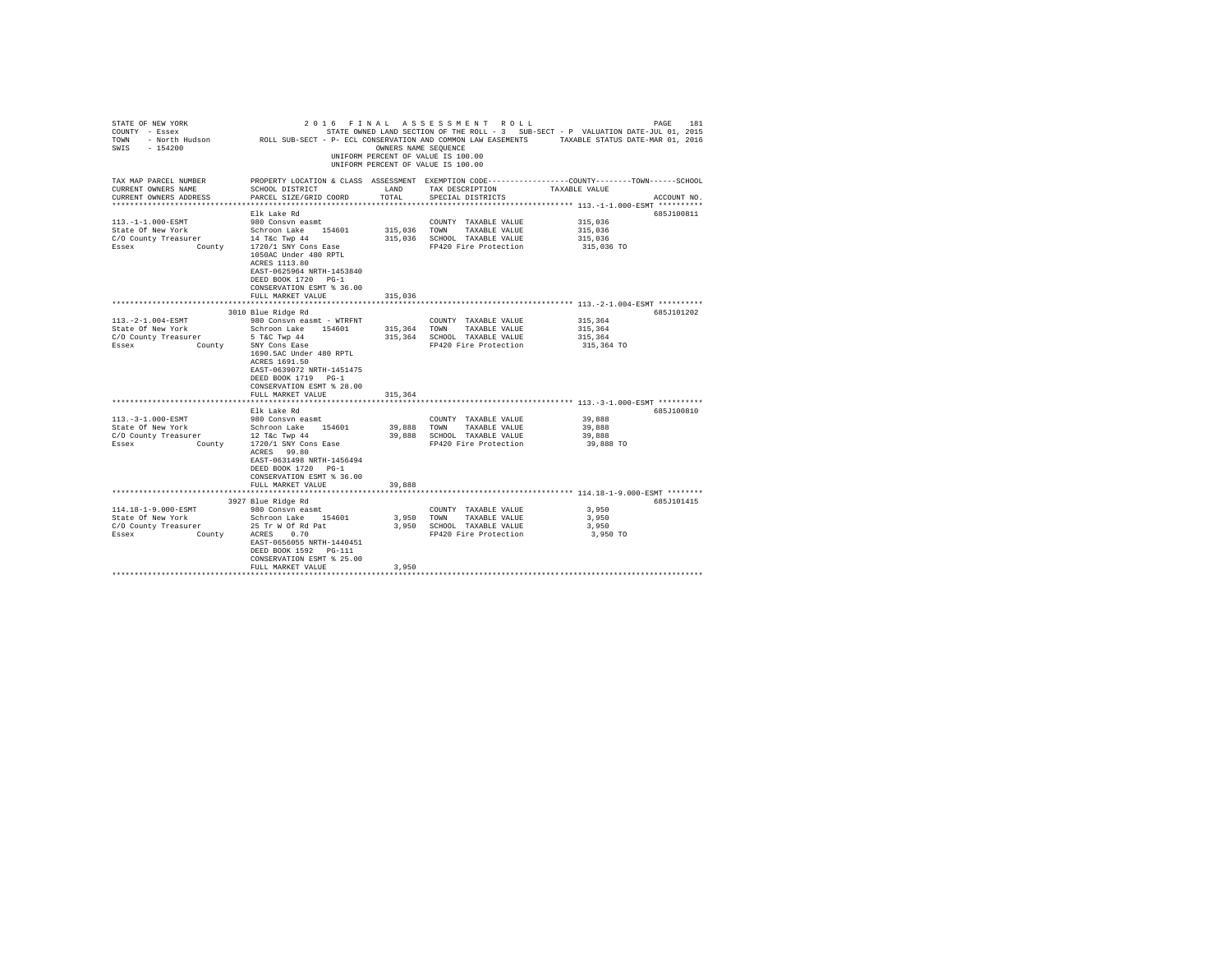| PROPERTY LOCATION & CLASS ASSESSMENT EXEMPTION CODE---------------COUNTY-------TOWN-----SCHOOL<br>SCHOOL DISTRICT<br>LAND<br>TAX DESCRIPTION<br>TAXABLE VALUE<br>PARCEL SIZE/GRID COORD<br>TOTAL<br>SPECIAL DISTRICTS<br>ACCOUNT NO.<br>************************* 113.-1-1.000-ESMT **********<br>Elk Lake Rd<br>685J100811<br>113. -1-1.000-ESMT<br>980 Consvn easmt<br>315,036<br>COUNTY TAXABLE VALUE<br>State Of New York Schroon Lake 154601<br>C/O County Treasurer 14 Tac Twp 44<br>Essex County 1720/1 SNY Cons Ease<br>315,036 TOWN<br>315,036<br>TAXABLE VALUE<br>315,036 SCHOOL TAXABLE VALUE<br>315,036<br>FP420 Fire Protection<br>315,036 TO<br>1050AC Under 480 RPTL<br>ACRES 1113.80<br>EAST-0625964 NRTH-1453840<br>DEED BOOK 1720 PG-1<br>CONSERVATION ESMT % 36.00<br>FULL MARKET VALUE<br>315,036<br>*************************** 113.-2-1.004-ESMT **********<br>*************************<br>3010 Blue Ridge Rd<br>685J101202<br>113. - 2 - 1.004 - ESMT<br>980 Consvn easmt - WTRFNT<br>315,364<br>COUNTY TAXABLE VALUE<br>State Of New York<br>Schroon Lake 154601<br>5 T&C Twp 44<br>SNY Cons Ease<br>315,364 TOWN TAXABLE VALUE<br>315,364<br>C/O County Treasurer<br>315,364 SCHOOL TAXABLE VALUE<br>315,364<br>Essex County<br>FP420 Fire Protection<br>315,364 TO<br>1690.5AC Under 480 RPTL<br>ACRES 1691.50<br>EAST-0639072 NRTH-1451475<br>DEED BOOK 1719 PG-1<br>CONSERVATION ESMT % 28.00<br>FULL MARKET VALUE<br>315,364<br>*************************** 113.-3-1.000-ESMT **********<br>***********************<br>Elk Lake Rd<br>685J100810<br>113. - 3-1.000-ESMT<br>980 Consvn easmt<br>39,888<br>COUNTY TAXABLE VALUE<br>Schroon Lake 154601<br>12 T&c Twp 44<br>State Of New York<br>39,888<br>TOWN TAXABLE VALUE<br>39,888<br>C/O County Treasurer<br>39,888 SCHOOL TAXABLE VALUE<br>39,888<br>Essex County 1720/1 SNY Cons Ease<br>FP420 Fire Protection<br>39,888 TO<br>ACRES 99.80<br>EAST-0631498 NRTH-1456494<br>DEED BOOK 1720 PG-1<br>CONSERVATION ESMT % 36.00<br>39,888<br>FULL MARKET VALUE<br>3927 Blue Ridge Rd<br>685.7101415<br>114.18-1-9.000-ESMT<br>980 Consvn easmt<br>3,950<br>COUNTY TAXABLE VALUE<br>Schroon Lake 154601<br>State Of New York<br>3,950 TOWN<br>TAXABLE VALUE<br>3,950<br>CO County Treasurer and The Treasurer and the Section of the CO County Treasurer 25 Tr W Of Rd Pat 3,950 SCHOOL TAXABLE VALUE<br>3,950<br>3,950 TO<br>EAST-0656055 NRTH-1440451<br>DEED BOOK 1592 PG-111<br>CONSERVATION ESMT % 25.00<br>3,950<br>FULL MARKET VALUE | STATE OF NEW YORK<br>COUNTY - Essex<br>COUNT - BOEK HUGSON - ROLL SUB-SECT - P- ECL CONSERVATION AND COMMON LAW EASEMENTS - TAXABLE STATUS DATE-WAR 01, 2016<br>SWIS - 154200 | OWNERS NAME SEQUENCE | 2016 FINAL ASSESSMENT ROLL<br>STATE OWNED LAND SECTION OF THE ROLL - 3 SUB-SECT - P VALUATION DATE-JUL 01, 2015<br>UNIFORM PERCENT OF VALUE IS 100.00<br>UNIFORM PERCENT OF VALUE IS 100.00 | PAGE<br>181 |
|---------------------------------------------------------------------------------------------------------------------------------------------------------------------------------------------------------------------------------------------------------------------------------------------------------------------------------------------------------------------------------------------------------------------------------------------------------------------------------------------------------------------------------------------------------------------------------------------------------------------------------------------------------------------------------------------------------------------------------------------------------------------------------------------------------------------------------------------------------------------------------------------------------------------------------------------------------------------------------------------------------------------------------------------------------------------------------------------------------------------------------------------------------------------------------------------------------------------------------------------------------------------------------------------------------------------------------------------------------------------------------------------------------------------------------------------------------------------------------------------------------------------------------------------------------------------------------------------------------------------------------------------------------------------------------------------------------------------------------------------------------------------------------------------------------------------------------------------------------------------------------------------------------------------------------------------------------------------------------------------------------------------------------------------------------------------------------------------------------------------------------------------------------------------------------------------------------------------------------------------------------------------------------------------------------------------------------------------------------------------------------------------------------------------------------------------------------------------------------------------------------------------------|-------------------------------------------------------------------------------------------------------------------------------------------------------------------------------|----------------------|---------------------------------------------------------------------------------------------------------------------------------------------------------------------------------------------|-------------|
|                                                                                                                                                                                                                                                                                                                                                                                                                                                                                                                                                                                                                                                                                                                                                                                                                                                                                                                                                                                                                                                                                                                                                                                                                                                                                                                                                                                                                                                                                                                                                                                                                                                                                                                                                                                                                                                                                                                                                                                                                                                                                                                                                                                                                                                                                                                                                                                                                                                                                                                           | TAX MAP PARCEL NUMBER<br>CURRENT OWNERS NAME<br>CURRENT OWNERS ADDRESS                                                                                                        |                      |                                                                                                                                                                                             |             |
|                                                                                                                                                                                                                                                                                                                                                                                                                                                                                                                                                                                                                                                                                                                                                                                                                                                                                                                                                                                                                                                                                                                                                                                                                                                                                                                                                                                                                                                                                                                                                                                                                                                                                                                                                                                                                                                                                                                                                                                                                                                                                                                                                                                                                                                                                                                                                                                                                                                                                                                           |                                                                                                                                                                               |                      |                                                                                                                                                                                             |             |
|                                                                                                                                                                                                                                                                                                                                                                                                                                                                                                                                                                                                                                                                                                                                                                                                                                                                                                                                                                                                                                                                                                                                                                                                                                                                                                                                                                                                                                                                                                                                                                                                                                                                                                                                                                                                                                                                                                                                                                                                                                                                                                                                                                                                                                                                                                                                                                                                                                                                                                                           |                                                                                                                                                                               |                      |                                                                                                                                                                                             |             |
|                                                                                                                                                                                                                                                                                                                                                                                                                                                                                                                                                                                                                                                                                                                                                                                                                                                                                                                                                                                                                                                                                                                                                                                                                                                                                                                                                                                                                                                                                                                                                                                                                                                                                                                                                                                                                                                                                                                                                                                                                                                                                                                                                                                                                                                                                                                                                                                                                                                                                                                           |                                                                                                                                                                               |                      |                                                                                                                                                                                             |             |
|                                                                                                                                                                                                                                                                                                                                                                                                                                                                                                                                                                                                                                                                                                                                                                                                                                                                                                                                                                                                                                                                                                                                                                                                                                                                                                                                                                                                                                                                                                                                                                                                                                                                                                                                                                                                                                                                                                                                                                                                                                                                                                                                                                                                                                                                                                                                                                                                                                                                                                                           |                                                                                                                                                                               |                      |                                                                                                                                                                                             |             |
|                                                                                                                                                                                                                                                                                                                                                                                                                                                                                                                                                                                                                                                                                                                                                                                                                                                                                                                                                                                                                                                                                                                                                                                                                                                                                                                                                                                                                                                                                                                                                                                                                                                                                                                                                                                                                                                                                                                                                                                                                                                                                                                                                                                                                                                                                                                                                                                                                                                                                                                           |                                                                                                                                                                               |                      |                                                                                                                                                                                             |             |
|                                                                                                                                                                                                                                                                                                                                                                                                                                                                                                                                                                                                                                                                                                                                                                                                                                                                                                                                                                                                                                                                                                                                                                                                                                                                                                                                                                                                                                                                                                                                                                                                                                                                                                                                                                                                                                                                                                                                                                                                                                                                                                                                                                                                                                                                                                                                                                                                                                                                                                                           |                                                                                                                                                                               |                      |                                                                                                                                                                                             |             |
|                                                                                                                                                                                                                                                                                                                                                                                                                                                                                                                                                                                                                                                                                                                                                                                                                                                                                                                                                                                                                                                                                                                                                                                                                                                                                                                                                                                                                                                                                                                                                                                                                                                                                                                                                                                                                                                                                                                                                                                                                                                                                                                                                                                                                                                                                                                                                                                                                                                                                                                           |                                                                                                                                                                               |                      |                                                                                                                                                                                             |             |
|                                                                                                                                                                                                                                                                                                                                                                                                                                                                                                                                                                                                                                                                                                                                                                                                                                                                                                                                                                                                                                                                                                                                                                                                                                                                                                                                                                                                                                                                                                                                                                                                                                                                                                                                                                                                                                                                                                                                                                                                                                                                                                                                                                                                                                                                                                                                                                                                                                                                                                                           |                                                                                                                                                                               |                      |                                                                                                                                                                                             |             |
|                                                                                                                                                                                                                                                                                                                                                                                                                                                                                                                                                                                                                                                                                                                                                                                                                                                                                                                                                                                                                                                                                                                                                                                                                                                                                                                                                                                                                                                                                                                                                                                                                                                                                                                                                                                                                                                                                                                                                                                                                                                                                                                                                                                                                                                                                                                                                                                                                                                                                                                           |                                                                                                                                                                               |                      |                                                                                                                                                                                             |             |
|                                                                                                                                                                                                                                                                                                                                                                                                                                                                                                                                                                                                                                                                                                                                                                                                                                                                                                                                                                                                                                                                                                                                                                                                                                                                                                                                                                                                                                                                                                                                                                                                                                                                                                                                                                                                                                                                                                                                                                                                                                                                                                                                                                                                                                                                                                                                                                                                                                                                                                                           |                                                                                                                                                                               |                      |                                                                                                                                                                                             |             |
|                                                                                                                                                                                                                                                                                                                                                                                                                                                                                                                                                                                                                                                                                                                                                                                                                                                                                                                                                                                                                                                                                                                                                                                                                                                                                                                                                                                                                                                                                                                                                                                                                                                                                                                                                                                                                                                                                                                                                                                                                                                                                                                                                                                                                                                                                                                                                                                                                                                                                                                           |                                                                                                                                                                               |                      |                                                                                                                                                                                             |             |
|                                                                                                                                                                                                                                                                                                                                                                                                                                                                                                                                                                                                                                                                                                                                                                                                                                                                                                                                                                                                                                                                                                                                                                                                                                                                                                                                                                                                                                                                                                                                                                                                                                                                                                                                                                                                                                                                                                                                                                                                                                                                                                                                                                                                                                                                                                                                                                                                                                                                                                                           |                                                                                                                                                                               |                      |                                                                                                                                                                                             |             |
|                                                                                                                                                                                                                                                                                                                                                                                                                                                                                                                                                                                                                                                                                                                                                                                                                                                                                                                                                                                                                                                                                                                                                                                                                                                                                                                                                                                                                                                                                                                                                                                                                                                                                                                                                                                                                                                                                                                                                                                                                                                                                                                                                                                                                                                                                                                                                                                                                                                                                                                           |                                                                                                                                                                               |                      |                                                                                                                                                                                             |             |
|                                                                                                                                                                                                                                                                                                                                                                                                                                                                                                                                                                                                                                                                                                                                                                                                                                                                                                                                                                                                                                                                                                                                                                                                                                                                                                                                                                                                                                                                                                                                                                                                                                                                                                                                                                                                                                                                                                                                                                                                                                                                                                                                                                                                                                                                                                                                                                                                                                                                                                                           |                                                                                                                                                                               |                      |                                                                                                                                                                                             |             |
|                                                                                                                                                                                                                                                                                                                                                                                                                                                                                                                                                                                                                                                                                                                                                                                                                                                                                                                                                                                                                                                                                                                                                                                                                                                                                                                                                                                                                                                                                                                                                                                                                                                                                                                                                                                                                                                                                                                                                                                                                                                                                                                                                                                                                                                                                                                                                                                                                                                                                                                           |                                                                                                                                                                               |                      |                                                                                                                                                                                             |             |
|                                                                                                                                                                                                                                                                                                                                                                                                                                                                                                                                                                                                                                                                                                                                                                                                                                                                                                                                                                                                                                                                                                                                                                                                                                                                                                                                                                                                                                                                                                                                                                                                                                                                                                                                                                                                                                                                                                                                                                                                                                                                                                                                                                                                                                                                                                                                                                                                                                                                                                                           |                                                                                                                                                                               |                      |                                                                                                                                                                                             |             |
|                                                                                                                                                                                                                                                                                                                                                                                                                                                                                                                                                                                                                                                                                                                                                                                                                                                                                                                                                                                                                                                                                                                                                                                                                                                                                                                                                                                                                                                                                                                                                                                                                                                                                                                                                                                                                                                                                                                                                                                                                                                                                                                                                                                                                                                                                                                                                                                                                                                                                                                           |                                                                                                                                                                               |                      |                                                                                                                                                                                             |             |
|                                                                                                                                                                                                                                                                                                                                                                                                                                                                                                                                                                                                                                                                                                                                                                                                                                                                                                                                                                                                                                                                                                                                                                                                                                                                                                                                                                                                                                                                                                                                                                                                                                                                                                                                                                                                                                                                                                                                                                                                                                                                                                                                                                                                                                                                                                                                                                                                                                                                                                                           |                                                                                                                                                                               |                      |                                                                                                                                                                                             |             |
|                                                                                                                                                                                                                                                                                                                                                                                                                                                                                                                                                                                                                                                                                                                                                                                                                                                                                                                                                                                                                                                                                                                                                                                                                                                                                                                                                                                                                                                                                                                                                                                                                                                                                                                                                                                                                                                                                                                                                                                                                                                                                                                                                                                                                                                                                                                                                                                                                                                                                                                           |                                                                                                                                                                               |                      |                                                                                                                                                                                             |             |
|                                                                                                                                                                                                                                                                                                                                                                                                                                                                                                                                                                                                                                                                                                                                                                                                                                                                                                                                                                                                                                                                                                                                                                                                                                                                                                                                                                                                                                                                                                                                                                                                                                                                                                                                                                                                                                                                                                                                                                                                                                                                                                                                                                                                                                                                                                                                                                                                                                                                                                                           |                                                                                                                                                                               |                      |                                                                                                                                                                                             |             |
|                                                                                                                                                                                                                                                                                                                                                                                                                                                                                                                                                                                                                                                                                                                                                                                                                                                                                                                                                                                                                                                                                                                                                                                                                                                                                                                                                                                                                                                                                                                                                                                                                                                                                                                                                                                                                                                                                                                                                                                                                                                                                                                                                                                                                                                                                                                                                                                                                                                                                                                           |                                                                                                                                                                               |                      |                                                                                                                                                                                             |             |
|                                                                                                                                                                                                                                                                                                                                                                                                                                                                                                                                                                                                                                                                                                                                                                                                                                                                                                                                                                                                                                                                                                                                                                                                                                                                                                                                                                                                                                                                                                                                                                                                                                                                                                                                                                                                                                                                                                                                                                                                                                                                                                                                                                                                                                                                                                                                                                                                                                                                                                                           |                                                                                                                                                                               |                      |                                                                                                                                                                                             |             |
|                                                                                                                                                                                                                                                                                                                                                                                                                                                                                                                                                                                                                                                                                                                                                                                                                                                                                                                                                                                                                                                                                                                                                                                                                                                                                                                                                                                                                                                                                                                                                                                                                                                                                                                                                                                                                                                                                                                                                                                                                                                                                                                                                                                                                                                                                                                                                                                                                                                                                                                           |                                                                                                                                                                               |                      |                                                                                                                                                                                             |             |
|                                                                                                                                                                                                                                                                                                                                                                                                                                                                                                                                                                                                                                                                                                                                                                                                                                                                                                                                                                                                                                                                                                                                                                                                                                                                                                                                                                                                                                                                                                                                                                                                                                                                                                                                                                                                                                                                                                                                                                                                                                                                                                                                                                                                                                                                                                                                                                                                                                                                                                                           |                                                                                                                                                                               |                      |                                                                                                                                                                                             |             |
|                                                                                                                                                                                                                                                                                                                                                                                                                                                                                                                                                                                                                                                                                                                                                                                                                                                                                                                                                                                                                                                                                                                                                                                                                                                                                                                                                                                                                                                                                                                                                                                                                                                                                                                                                                                                                                                                                                                                                                                                                                                                                                                                                                                                                                                                                                                                                                                                                                                                                                                           |                                                                                                                                                                               |                      |                                                                                                                                                                                             |             |
|                                                                                                                                                                                                                                                                                                                                                                                                                                                                                                                                                                                                                                                                                                                                                                                                                                                                                                                                                                                                                                                                                                                                                                                                                                                                                                                                                                                                                                                                                                                                                                                                                                                                                                                                                                                                                                                                                                                                                                                                                                                                                                                                                                                                                                                                                                                                                                                                                                                                                                                           |                                                                                                                                                                               |                      |                                                                                                                                                                                             |             |
|                                                                                                                                                                                                                                                                                                                                                                                                                                                                                                                                                                                                                                                                                                                                                                                                                                                                                                                                                                                                                                                                                                                                                                                                                                                                                                                                                                                                                                                                                                                                                                                                                                                                                                                                                                                                                                                                                                                                                                                                                                                                                                                                                                                                                                                                                                                                                                                                                                                                                                                           |                                                                                                                                                                               |                      |                                                                                                                                                                                             |             |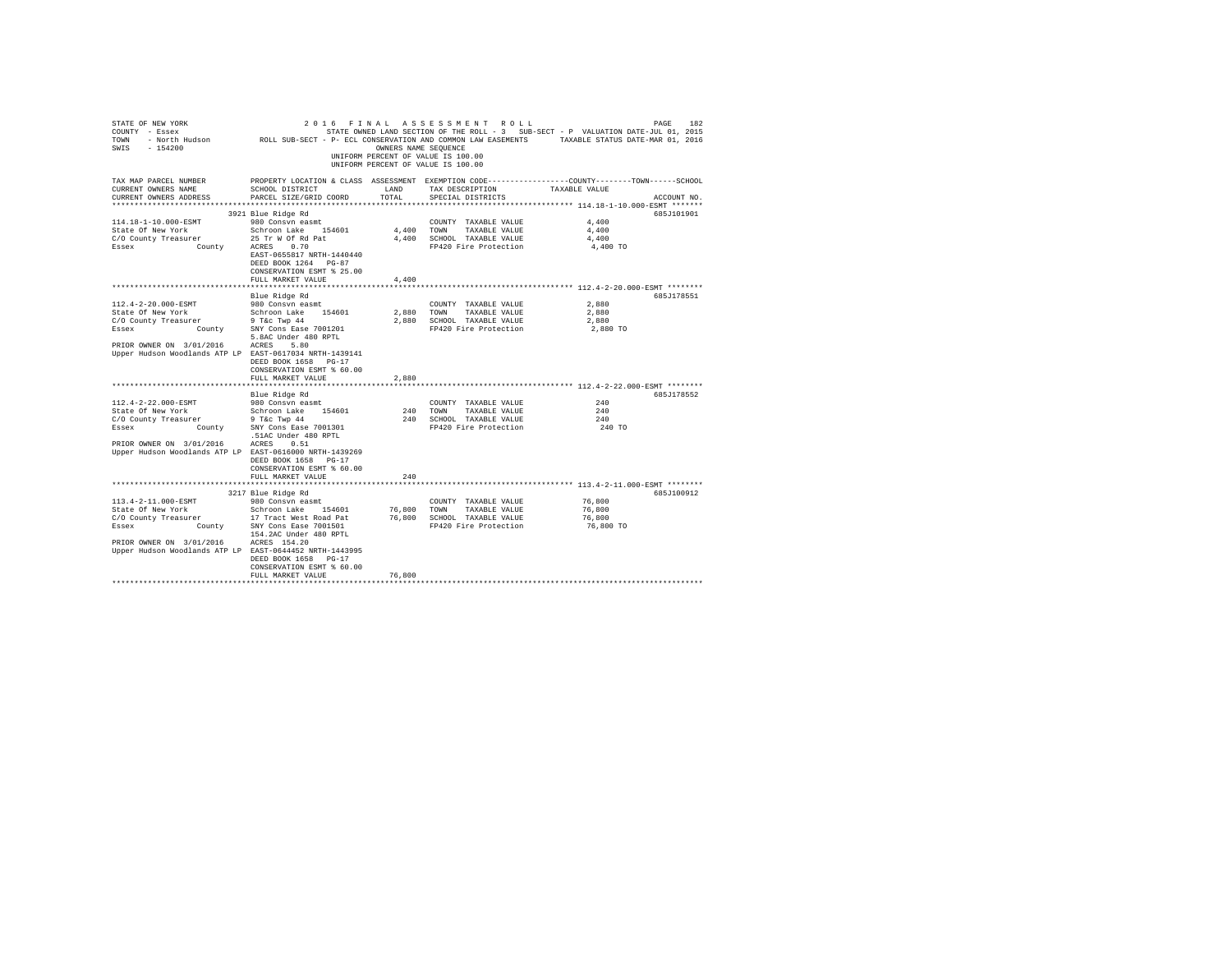| STATE OF NEW YORK<br>COUNTY - Essex<br>TOWN<br>SWIS<br>$-154200$                    | - North Hudson MCLL SUB-SECT - P- ECL CONSERVATION AND COMMON LAW EASEMENTS TAXABLE STATUS DATE-MAR 01, 2016                                | OWNERS NAME SEQUENCE | 2016 FINAL ASSESSMENT ROLL<br>UNIFORM PERCENT OF VALUE IS 100.00<br>UNIFORM PERCENT OF VALUE IS 100.00 | STATE OWNED LAND SECTION OF THE ROLL - 3 SUB-SECT - P VALUATION DATE-JUL 01, 2015 | PAGE<br>182 |
|-------------------------------------------------------------------------------------|---------------------------------------------------------------------------------------------------------------------------------------------|----------------------|--------------------------------------------------------------------------------------------------------|-----------------------------------------------------------------------------------|-------------|
| TAX MAP PARCEL NUMBER<br>CURRENT OWNERS NAME<br>CURRENT OWNERS ADDRESS              | PROPERTY LOCATION & CLASS ASSESSMENT EXEMPTION CODE---------------COUNTY-------TOWN-----SCHOOL<br>SCHOOL DISTRICT<br>PARCEL SIZE/GRID COORD | LAND<br>TOTAL        | TAX DESCRIPTION<br>SPECIAL DISTRICTS                                                                   | TAXABLE VALUE                                                                     | ACCOUNT NO. |
|                                                                                     |                                                                                                                                             |                      |                                                                                                        |                                                                                   |             |
|                                                                                     | 3921 Blue Ridge Rd                                                                                                                          |                      |                                                                                                        |                                                                                   | 685J101901  |
| 114.18-1-10.000-ESMT                                                                | 980 Consvn easmt                                                                                                                            |                      | COUNTY TAXABLE VALUE                                                                                   | 4,400                                                                             |             |
| State Of New York                                                                   | Schroon Lake 154601                                                                                                                         | 4,400 TOWN           | TAXABLE VALUE                                                                                          | 4,400                                                                             |             |
| C/O County Treasurer                                                                | 25 Tr W Of Rd Pat                                                                                                                           |                      | 4,400 SCHOOL TAXABLE VALUE                                                                             | 4,400                                                                             |             |
| Essex<br>County                                                                     | ACRES 0.70<br>EAST-0655817 NRTH-1440440<br>DEED BOOK 1264 PG-87<br>CONSERVATION ESMT % 25.00<br>FULL MARKET VALUE                           | 4,400                | FP420 Fire Protection                                                                                  | 4,400 TO                                                                          |             |
|                                                                                     |                                                                                                                                             |                      |                                                                                                        |                                                                                   |             |
|                                                                                     | Blue Ridge Rd                                                                                                                               |                      |                                                                                                        |                                                                                   | 685J178551  |
| 112.4-2-20.000-ESMT                                                                 | 980 Consvn easmt                                                                                                                            |                      | COUNTY TAXABLE VALUE                                                                                   | 2,880                                                                             |             |
| State Of New York                                                                   | Schroon Lake 154601                                                                                                                         | 2,880                | TAXABLE VALUE<br>TOWN                                                                                  | 2,880                                                                             |             |
| C/O County Treasurer                                                                | 9 T&c Twp 44                                                                                                                                | 2,880                | SCHOOL TAXABLE VALUE                                                                                   | 2,880                                                                             |             |
| Essex                                                                               | County SNY Cons Ease 7001201<br>5.8AC Under 480 RPTL                                                                                        |                      | FP420 Fire Protection                                                                                  | 2,880 TO                                                                          |             |
| PRIOR OWNER ON 3/01/2016<br>Upper Hudson Woodlands ATP LP EAST-0617034 NRTH-1439141 | ACRES<br>5.80<br>DEED BOOK 1658 PG-17<br>CONSERVATION ESMT % 60.00<br>FULL MARKET VALUE                                                     | 2,880                |                                                                                                        |                                                                                   |             |
|                                                                                     |                                                                                                                                             |                      |                                                                                                        |                                                                                   |             |
|                                                                                     | Blue Ridge Rd                                                                                                                               |                      |                                                                                                        |                                                                                   | 685J178552  |
| 112.4-2-22.000-ESMT<br>State Of New York                                            | 980 Consyn easmt<br>Schroon Lake 154601                                                                                                     | 240                  | COUNTY TAXABLE VALUE<br>TOWN<br>TAXABLE VALUE                                                          | 240<br>240                                                                        |             |
| C/O County Treasurer                                                                |                                                                                                                                             | 240                  | SCHOOL TAXABLE VALUE                                                                                   | 240                                                                               |             |
| Essex                                                                               | er 9 T&c Twp 44<br>County SNY Cons Ease 7001301<br>.51AC Under 480 RPTL                                                                     |                      | FP420 Fire Protection                                                                                  | 240 TO                                                                            |             |
| PRIOR OWNER ON 3/01/2016<br>Upper Hudson Woodlands ATP LP EAST-0616000 NRTH-1439269 | ACRES 0.51<br>DEED BOOK 1658 PG-17<br>CONSERVATION ESMT % 60.00<br>FULL MARKET VALUE                                                        | 240                  |                                                                                                        |                                                                                   |             |
|                                                                                     |                                                                                                                                             |                      |                                                                                                        |                                                                                   |             |
|                                                                                     | 3217 Blue Ridge Rd                                                                                                                          |                      |                                                                                                        |                                                                                   | 685J100912  |
| 113.4-2-11.000-ESMT                                                                 | 980 Consyn easmt                                                                                                                            |                      | COUNTY TAXABLE VALUE                                                                                   | 76,800                                                                            |             |
| State Of New York                                                                   | Schroon Lake 154601                                                                                                                         | 76,800               | TOWN<br>TAXABLE VALUE                                                                                  | 76,800                                                                            |             |
| C/O County Treasurer                                                                | 17 Tract West Road Pat                                                                                                                      | 76,800               | SCHOOL TAXABLE VALUE                                                                                   | 76,800                                                                            |             |
| County<br>Essex                                                                     | SNY Cons Ease 7001501                                                                                                                       |                      | FP420 Fire Protection                                                                                  | 76,800 TO                                                                         |             |
| PRIOR OWNER ON 3/01/2016                                                            | 154.2AC Under 480 RPTL<br>ACRES 154.20                                                                                                      |                      |                                                                                                        |                                                                                   |             |
| Upper Hudson Woodlands ATP LP EAST-0644452 NRTH-1443995                             | DEED BOOK 1658 PG-17<br>CONSERVATION ESMT % 60.00                                                                                           |                      |                                                                                                        |                                                                                   |             |
|                                                                                     | FULL MARKET VALUE                                                                                                                           | 76,800               |                                                                                                        |                                                                                   |             |
|                                                                                     |                                                                                                                                             |                      |                                                                                                        |                                                                                   |             |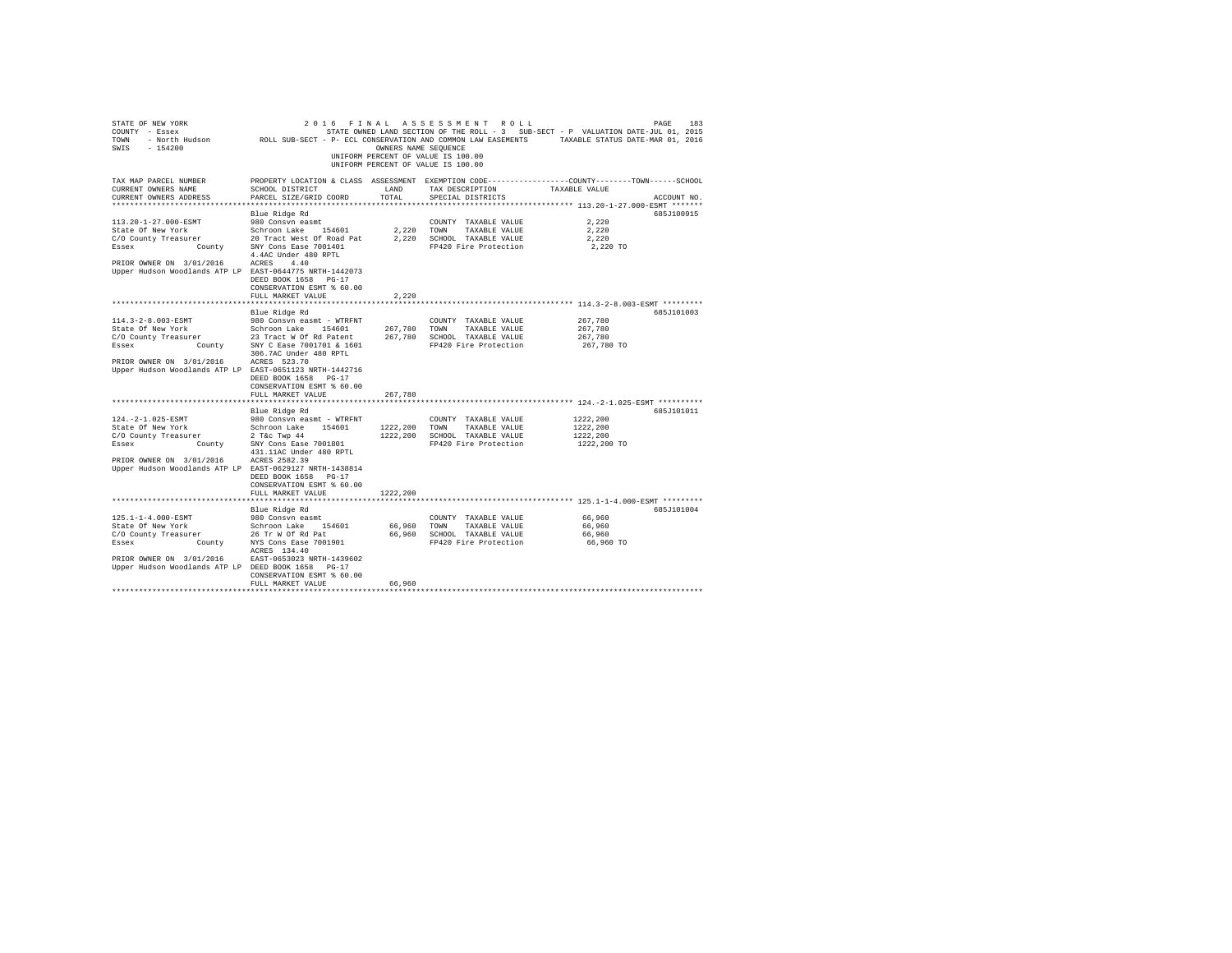| STATE OF NEW YORK<br>COUNTY - Essex<br>TOWN<br>$-154200$<br>SWIS                                                                                                           | - North Hudson MOLL SUB-SECT - P- ECL CONSERVATION AND COMMON LAW EASEMENTS                                                                                                                    | OWNERS NAME SEQUENCE                  | 2016 FINAL ASSESSMENT ROLL<br>STATE OWNED LAND SECTION OF THE ROLL - 3 SUB-SECT - P VALUATION DATE-JUL 01, 2015<br>UNIFORM PERCENT OF VALUE IS 100.00<br>UNIFORM PERCENT OF VALUE IS 100.00 | TAXABLE STATUS DATE-MAR 01, 2016                                           | PAGE<br>183 |
|----------------------------------------------------------------------------------------------------------------------------------------------------------------------------|------------------------------------------------------------------------------------------------------------------------------------------------------------------------------------------------|---------------------------------------|---------------------------------------------------------------------------------------------------------------------------------------------------------------------------------------------|----------------------------------------------------------------------------|-------------|
| TAX MAP PARCEL NUMBER<br>CURRENT OWNERS NAME<br>CURRENT OWNERS ADDRESS<br>********************                                                                             | PROPERTY LOCATION & CLASS ASSESSMENT EXEMPTION CODE---------------COUNTY-------TOWN------SCHOOL<br>SCHOOL DISTRICT<br>PARCEL SIZE/GRID COORD                                                   | LAND<br>TOTAL.<br>******************* | TAX DESCRIPTION<br>SPECIAL DISTRICTS                                                                                                                                                        | TAXABLE VALUE<br>**************************** 113.20-1-27.000-ESMT ******* | ACCOUNT NO. |
|                                                                                                                                                                            | Blue Ridge Rd                                                                                                                                                                                  |                                       |                                                                                                                                                                                             |                                                                            | 685J100915  |
| 113.20-1-27.000-ESMT<br>State Of New York<br>C/O County Treasurer<br>Essex<br>PRIOR OWNER ON 3/01/2016                                                                     | 980 Consvn easmt<br>Schroon Lake 154601<br>er 20 Tract West Of Road Pat<br>County SNY Cons Ease 7001401<br>4.4AC Under 480 RPTL<br>ACRES 4.40                                                  | 2,220<br>2,220                        | COUNTY TAXABLE VALUE<br>TOWN<br>TAXABLE VALUE<br>SCHOOL TAXABLE VALUE<br>FP420 Fire Protection                                                                                              | 2,220<br>2.220<br>2,220<br>2,220 TO                                        |             |
| Upper Hudson Woodlands ATP LP EAST-0644775 NRTH-1442073                                                                                                                    | DEED BOOK 1658 PG-17<br>CONSERVATION ESMT % 60.00<br>FULL MARKET VALUE                                                                                                                         | 2.220                                 |                                                                                                                                                                                             |                                                                            |             |
|                                                                                                                                                                            |                                                                                                                                                                                                | ************                          |                                                                                                                                                                                             | ********************************* 114.3-2-8.003-ESMT *********             |             |
| 114.3-2-8.003-ESMT<br>State Of New York<br>C/O County Treasurer<br>Essex<br>County                                                                                         | Blue Ridge Rd<br>980 Consyn easmt - WTRFNT<br>Schroon Lake 154601<br>23 Tract W Of Rd Patent<br>SNY C Ease 7001701 & 1601<br>306.7AC Under 480 RPTL                                            | 267,780<br>267.780                    | COUNTY TAXABLE VALUE<br>TOWN<br>TAXABLE VALUE<br>SCHOOL TAXABLE VALUE<br>FP420 Fire Protection                                                                                              | 267.780<br>267,780<br>267,780<br>267,780 TO                                | 685J101003  |
| PRIOR OWNER ON 3/01/2016<br>Upper Hudson Woodlands ATP LP EAST-0651123 NRTH-1442716                                                                                        | ACRES 523.70<br>DEED BOOK 1658 PG-17<br>CONSERVATION ESMT % 60.00<br>FULL MARKET VALUE                                                                                                         | 267.780                               |                                                                                                                                                                                             |                                                                            |             |
|                                                                                                                                                                            | Blue Ridge Rd                                                                                                                                                                                  |                                       |                                                                                                                                                                                             |                                                                            | 685J101011  |
| 124. - 2-1.025-ESMT<br>State Of New York<br>C/O County Treasurer<br>County<br>Essex<br>PRIOR OWNER ON 3/01/2016<br>Upper Hudson Woodlands ATP LP EAST-0629127 NRTH-1438814 | 980 Consvn easmt - WTRFNT<br>Schroon Lake 154601<br>$2$ T&c Twp $44$<br>SNY Cons Ease 7001801<br>431.11AC Under 480 RPTL<br>ACRES 2582.39<br>DEED BOOK 1658 PG-17<br>CONSERVATION ESMT % 60.00 | 1222,200<br>1222,200                  | COUNTY TAXABLE VALUE<br>TAXABLE VALUE<br>TOWN<br>SCHOOL TAXABLE VALUE<br>FP420 Fire Protection                                                                                              | 1222,200<br>1222,200<br>1222.200<br>1222,200 TO                            |             |
|                                                                                                                                                                            | FULL MARKET VALUE                                                                                                                                                                              | 1222,200                              |                                                                                                                                                                                             |                                                                            |             |
|                                                                                                                                                                            |                                                                                                                                                                                                |                                       |                                                                                                                                                                                             |                                                                            |             |
| 125.1-1-4.000-ESMT<br>State Of New York<br>C/O County Treasurer<br>Essex<br>PRIOR OWNER ON 3/01/2016<br>Upper Hudson Woodlands ATP LP DEED BOOK 1658 PG-17                 | Blue Ridge Rd<br>980 Consvn easmt<br>Schroon Lake 154601<br>er 26 Tr W Of Rd Pat<br>County NYS Cons Ease 7001901<br>ACRES 134.40<br>EAST-0653023 NRTH-1439602<br>CONSERVATION ESMT % 60.00     | 66,960<br>66,960                      | COUNTY TAXABLE VALUE<br>TOWN<br>TAXABLE VALUE<br>SCHOOL TAXABLE VALUE<br>FP420 Fire Protection                                                                                              | 66,960<br>66,960<br>66,960<br>66,960 TO                                    | 685J101004  |
|                                                                                                                                                                            | FULL MARKET VALUE                                                                                                                                                                              | 66.960                                |                                                                                                                                                                                             |                                                                            |             |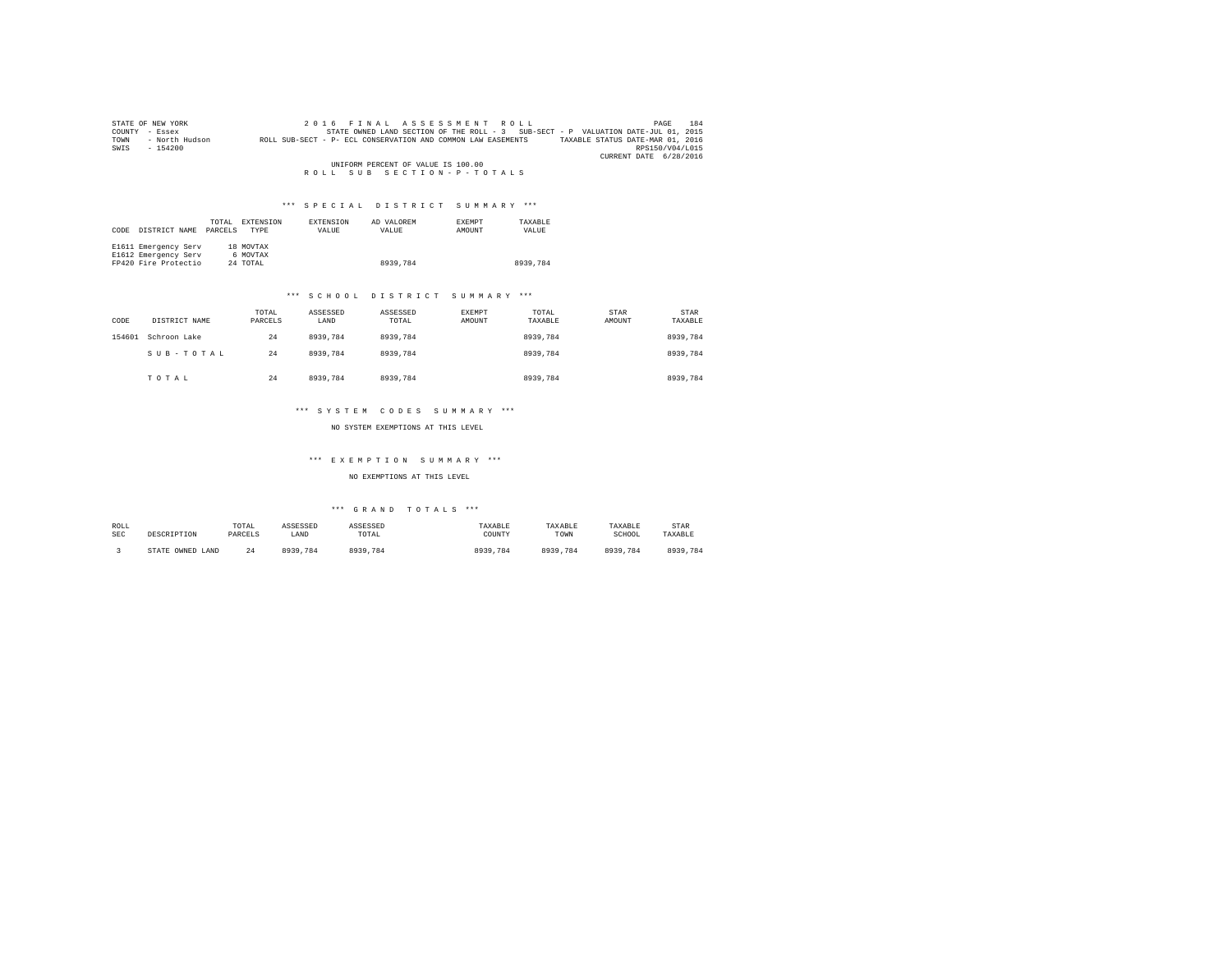| STATE OF NEW YORK |                                                                                |  | 2016 FINAL ASSESSMENT ROLL         |  |                                                                                   |                        | PAGE | 184 |
|-------------------|--------------------------------------------------------------------------------|--|------------------------------------|--|-----------------------------------------------------------------------------------|------------------------|------|-----|
| COUNTY<br>- Essex |                                                                                |  |                                    |  | STATE OWNED LAND SECTION OF THE ROLL - 3 SUB-SECT - P VALUATION DATE-JUL 01, 2015 |                        |      |     |
| TOWN              | - North Hudson<br>ROLL SUB-SECT - P- ECL CONSERVATION AND COMMON LAW EASEMENTS |  |                                    |  | TAXABLE STATUS DATE-MAR 01, 2016                                                  |                        |      |     |
| SWIS<br>$-154200$ |                                                                                |  |                                    |  |                                                                                   | RPS150/V04/L015        |      |     |
|                   |                                                                                |  |                                    |  |                                                                                   | CURRENT DATE 6/28/2016 |      |     |
|                   |                                                                                |  | UNIFORM PERCENT OF VALUE IS 100.00 |  |                                                                                   |                        |      |     |
|                   |                                                                                |  | ROLL SUB SECTION-P-TOTALS          |  |                                                                                   |                        |      |     |

| CODE | DISTRICT NAME        | TOTAL<br>PARCELS | EXTENSION<br>TYPE | EXTENSION<br>VALUE | AD VALOREM<br>VALUE | <b>EXEMPT</b><br>AMOUNT | TAXABLE<br>VALUE |
|------|----------------------|------------------|-------------------|--------------------|---------------------|-------------------------|------------------|
|      | E1611 Emergency Serv |                  | 18 MOVTAX         |                    |                     |                         |                  |
|      | E1612 Emergency Serv |                  | 6 MOVTAX          |                    |                     |                         |                  |
|      | FP420 Fire Protectio |                  | 24 TOTAL          |                    | 8939,784            |                         | 8939,784         |

#### \*\*\* S C H O O L D I S T R I C T S U M M A R Y \*\*\*

| CODE   | DISTRICT NAME | TOTAL<br>PARCELS | ASSESSED<br>LAND | ASSESSED<br>TOTAL | <b>EXEMPT</b><br>AMOUNT | TOTAL<br>TAXABLE | STAR<br>AMOUNT | <b>STAR</b><br>TAXABLE |
|--------|---------------|------------------|------------------|-------------------|-------------------------|------------------|----------------|------------------------|
| 154601 | Schroon Lake  | 24               | 8939.784         | 8939.784          |                         | 8939,784         |                | 8939.784               |
|        | SUB-TOTAL     | 24               | 8939.784         | 8939,784          |                         | 8939,784         |                | 8939,784               |
|        | TOTAL         | 24               | 8939,784         | 8939.784          |                         | 8939,784         |                | 8939,784               |

#### \*\*\* S Y S T E M C O D E S S U M M A R Y \*\*\*

NO SYSTEM EXEMPTIONS AT THIS LEVEL

# \*\*\* E X E M P T I O N S U M M A R Y \*\*\*

### NO EXEMPTIONS AT THIS LEVEL

| ROLL       | DESCRIPTION      | TOTAL   | ASSESSED     | ASSESSED | TAXABLE  | TAXABLE  | TAXABLE  | STAR     |
|------------|------------------|---------|--------------|----------|----------|----------|----------|----------|
| <b>SEC</b> |                  | PARCELS | LAND         | TOTAL    | COUNTY   | TOWN     | SCHOOL   | TAXABLE  |
|            | STATE OWNED LAND | - 7     | 0020<br>.784 | 8939.784 | 8939,784 | 8939.784 | 8939,784 | 8939,784 |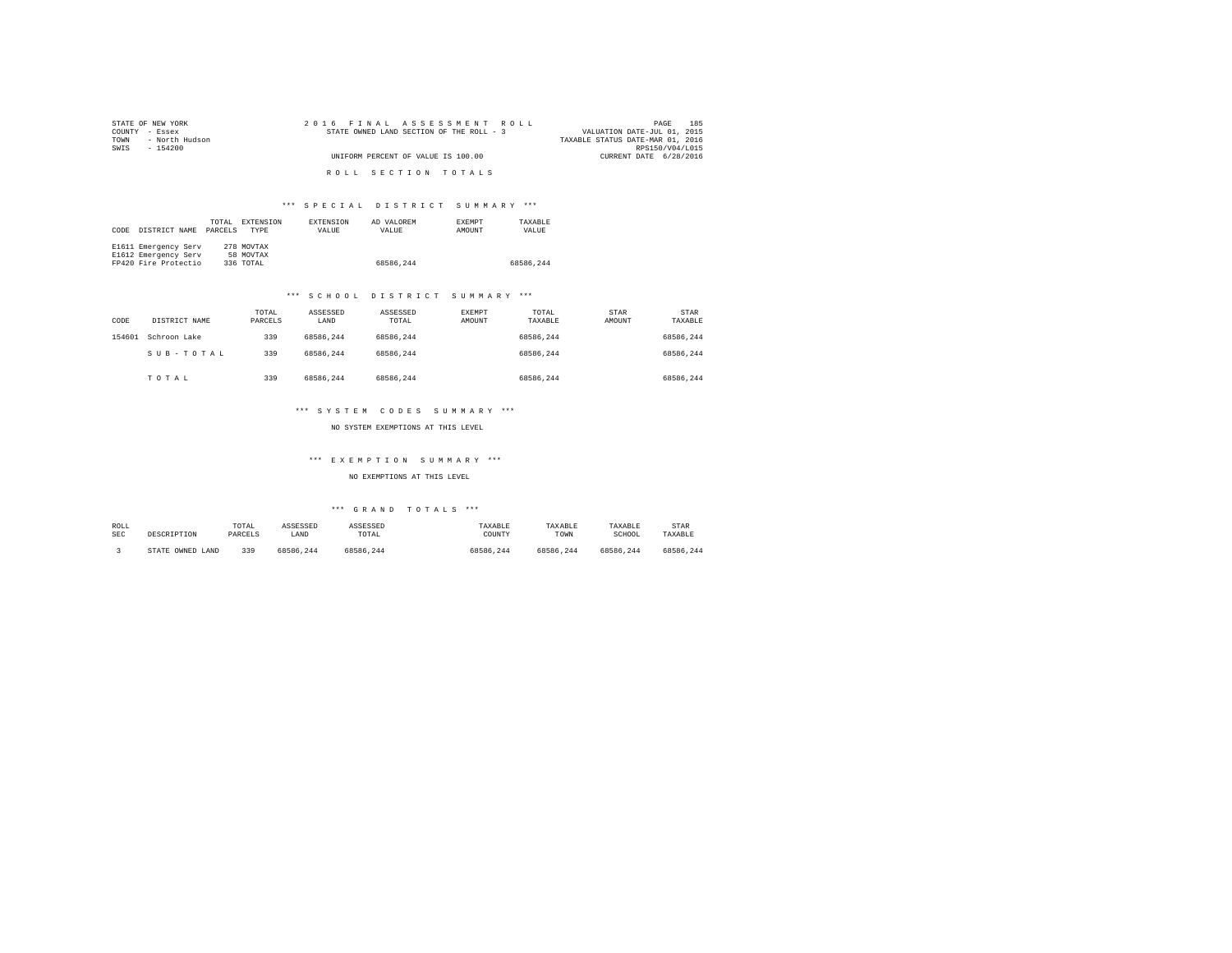| STATE OF NEW YORK      | 2016 FINAL ASSESSMENT ROLL               | 185<br>PAGE                      |
|------------------------|------------------------------------------|----------------------------------|
| COUNTY - Essex         | STATE OWNED LAND SECTION OF THE ROLL - 3 | VALUATION DATE-JUL 01, 2015      |
| - North Hudson<br>TOWN |                                          | TAXABLE STATUS DATE-MAR 01, 2016 |
| SWIS<br>- 154200       |                                          | RPS150/V04/L015                  |
|                        | UNIFORM PERCENT OF VALUE IS 100.00       | CURRENT DATE 6/28/2016           |
|                        |                                          |                                  |
|                        | ROLL SECTION TOTALS                      |                                  |

| CODE | DISTRICT NAME        | TOTAL<br>PARCELS | EXTENSION<br><b>TYPE</b> | <b>EXTENSION</b><br>VALUE | AD VALOREM<br>VALUE | <b>EXEMPT</b><br>AMOUNT | TAXARLE<br>VALUE |
|------|----------------------|------------------|--------------------------|---------------------------|---------------------|-------------------------|------------------|
|      | E1611 Emergency Serv |                  | 278 MOVTAX               |                           |                     |                         |                  |
|      | E1612 Emergency Serv |                  | 58 MOVTAX                |                           |                     |                         |                  |
|      | FP420 Fire Protectio |                  | 336 TOTAL                |                           | 68586.244           |                         | 68586.244        |

#### \*\*\* S C H O O L D I S T R I C T S U M M A R Y \*\*\*

| CODE   | DISTRICT NAME | TOTAL<br>PARCELS | ASSESSED<br>LAND | ASSESSED<br>TOTAL | <b>EXEMPT</b><br>AMOUNT | TOTAL<br>TAXABLE | STAR<br>AMOUNT | <b>STAR</b><br>TAXABLE |
|--------|---------------|------------------|------------------|-------------------|-------------------------|------------------|----------------|------------------------|
| 154601 | Schroon Lake  | 339              | 68586.244        | 68586.244         |                         | 68586.244        |                | 68586.244              |
|        | SUB-TOTAL     | 339              | 68586.244        | 68586.244         |                         | 68586.244        |                | 68586.244              |
|        | TOTAL         | 339              | 68586.244        | 68586.244         |                         | 68586.244        |                | 68586.244              |

#### \*\*\* S Y S T E M C O D E S S U M M A R Y \*\*\*

NO SYSTEM EXEMPTIONS AT THIS LEVEL

# \*\*\* E X E M P T I O N S U M M A R Y \*\*\*

NO EXEMPTIONS AT THIS LEVEL

| ROLL       | DESCRIPTION      | TOTAL   | ASSESSED  | ASSESSED  | TAXABLE   | TAXABLE   | TAXABLE   | STAR      |
|------------|------------------|---------|-----------|-----------|-----------|-----------|-----------|-----------|
| <b>SEC</b> |                  | PARCELS | LAND      | TOTAL     | COUNTY    | TOWN      | SCHOOL    | TAXABLE   |
|            | STATE OWNED LAND | 339     | 68586.244 | 68586.244 | 68586.244 | 68586.244 | 68586.244 | 68586.244 |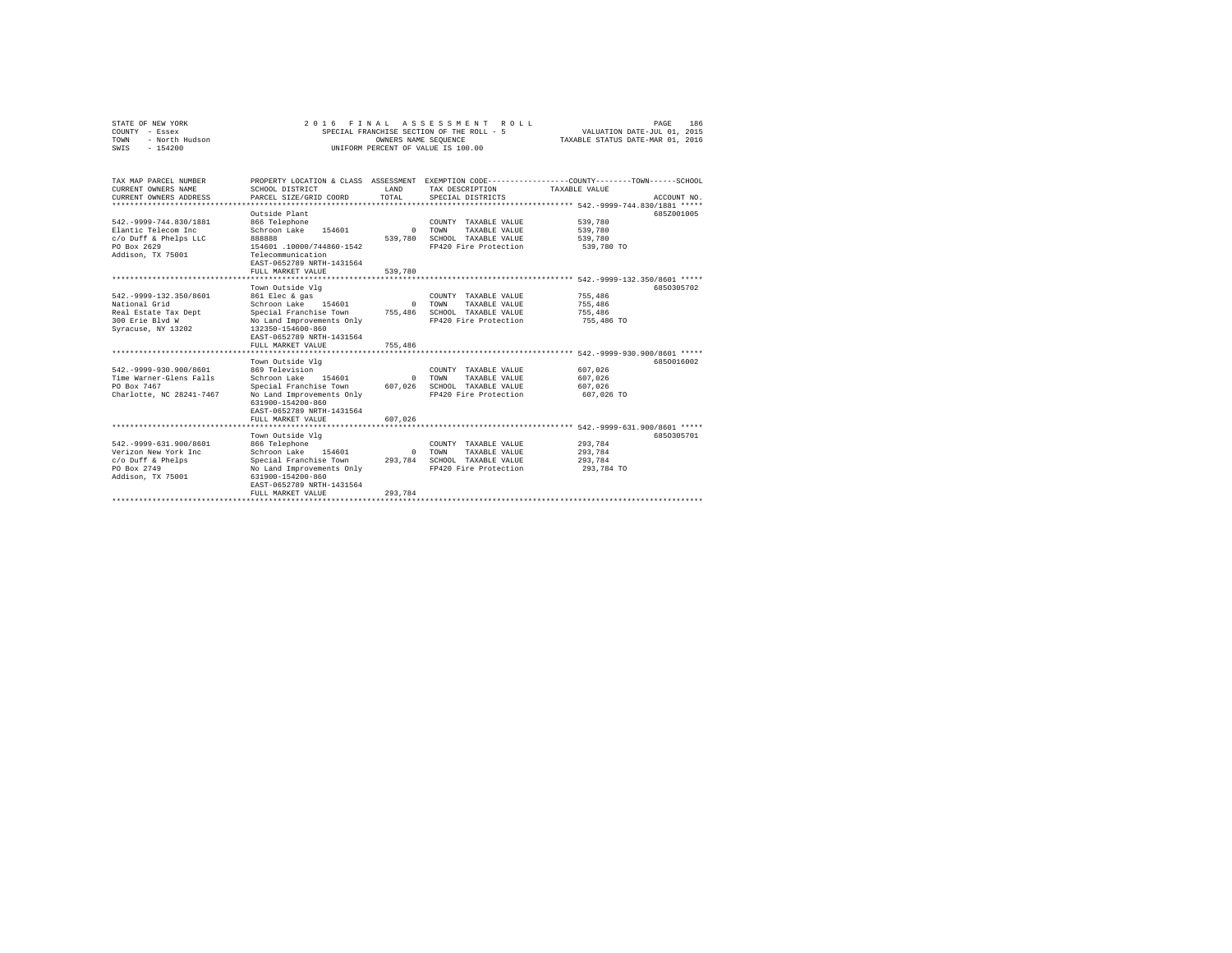| STATE OF NEW YORK      | 2016 FINAL ASSESSMENT ROLL                | 186<br>PAGE                      |
|------------------------|-------------------------------------------|----------------------------------|
| COUNTY<br>- Essex      | SPECIAL FRANCHISE SECTION OF THE ROLL - 5 | VALUATION DATE-JUL 01, 2015      |
| - North Hudson<br>TOWN | OWNERS NAME SEOUENCE                      | TAXABLE STATUS DATE-MAR 01, 2016 |
| $-154200$<br>SWIS      | UNIFORM PERCENT OF VALUE IS 100.00        |                                  |

| TAX MAP PARCEL NUMBER<br>CURRENT OWNERS NAME<br>CURRENT OWNERS ADDRESS                                                                                                                                       | PROPERTY LOCATION & CLASS ASSESSMENT<br>SCHOOL DISTRICT<br>PARCEL SIZE/GRID COORD                                                                                                                                                                                                                                                                                    | LAND<br>TOTAL                                         | EXEMPTION CODE-----------------COUNTY-------TOWN------SCHOOL<br>TAX DESCRIPTION<br>SPECIAL DISTRICTS                                                                                             | TAXABLE VALUE<br>*********** 542.-9999-744.830/1881 *****                                                                                 | ACCOUNT NO.              |
|--------------------------------------------------------------------------------------------------------------------------------------------------------------------------------------------------------------|----------------------------------------------------------------------------------------------------------------------------------------------------------------------------------------------------------------------------------------------------------------------------------------------------------------------------------------------------------------------|-------------------------------------------------------|--------------------------------------------------------------------------------------------------------------------------------------------------------------------------------------------------|-------------------------------------------------------------------------------------------------------------------------------------------|--------------------------|
| 542. - 9999-744.830/1881<br>Elantic Telecom Inc<br>c/o Duff & Phelps LLC<br>PO Box 2629<br>Addison, TX 75001                                                                                                 | Outside Plant<br>866 Telephone<br>Schroon Lake<br>154601<br>888888<br>154601 .10000/744860-1542<br>Telecommunication<br>EAST-0652789 NRTH-1431564<br>FULL MARKET VALUE                                                                                                                                                                                               | $\Omega$<br>539,780<br>539,780                        | COUNTY TAXABLE VALUE<br>TOWN<br>TAXABLE VALUE<br>SCHOOL TAXABLE VALUE<br>FP420 Fire Protection                                                                                                   | 539,780<br>539,780<br>539,780<br>539,780 TO                                                                                               | 685Z001005               |
|                                                                                                                                                                                                              | *************************                                                                                                                                                                                                                                                                                                                                            |                                                       |                                                                                                                                                                                                  | **************** 542.-9999-132.350/8601 *****                                                                                             |                          |
| 542. - 9999-132.350/8601<br>National Grid<br>Real Estate Tax Dept<br>300 Erie Blvd W<br>Syracuse, NY 13202<br>542. - 9999-930.900/8601<br>Time Warner-Glens Falls<br>PO Box 7467<br>Charlotte, NC 28241-7467 | Town Outside Vlg<br>861 Elec & gas<br>Schroon Lake<br>154601<br>Special Franchise Town<br>No Land Improvements Only<br>132350-154600-860<br>EAST-0652789 NRTH-1431564<br>FULL MARKET VALUE<br>**************************<br>Town Outside Vlg<br>869 Television<br>Schroon Lake<br>154601<br>Special Franchise Town<br>No Land Improvements Only<br>631900-154200-860 | $\Omega$<br>755,486<br>755,486<br>$\Omega$<br>607.026 | COUNTY TAXABLE VALUE<br>TOWN<br>TAXABLE VALUE<br>SCHOOL TAXABLE VALUE<br>FP420 Fire Protection<br>COUNTY TAXABLE VALUE<br>TOWN<br>TAXABLE VALUE<br>SCHOOL TAXABLE VALUE<br>FP420 Fire Protection | 755,486<br>755,486<br>755,486<br>755,486 TO<br>************** 542.-9999-930.900/8601 *****<br>607.026<br>607,026<br>607.026<br>607,026 TO | 6850305702<br>6850016002 |
|                                                                                                                                                                                                              | EAST-0652789 NRTH-1431564<br>FULL MARKET VALUE                                                                                                                                                                                                                                                                                                                       | 607.026                                               |                                                                                                                                                                                                  |                                                                                                                                           |                          |
| 542. - 9999-631.900/8601<br>Verizon New York Inc<br>c/o Duff & Phelps<br>PO Box 2749<br>Addison, TX 75001                                                                                                    | ************************<br>Town Outside Vlg<br>866 Telephone<br>Schroon Lake<br>154601<br>Special Franchise Town<br>No Land Improvements Only<br>631900-154200-860<br>EAST-0652789 NRTH-1431564<br>FULL MARKET VALUE                                                                                                                                                | $\Omega$<br>293.784<br>293.784                        | **************************** 542.-9999-631.900/8601 *****<br>COUNTY TAXABLE VALUE<br>TOWN<br>TAXABLE VALUE<br>SCHOOL TAXABLE VALUE<br>FP420 Fire Protection                                      | 293.784<br>293.784<br>293,784<br>293,784 TO                                                                                               | 6850305701               |
|                                                                                                                                                                                                              |                                                                                                                                                                                                                                                                                                                                                                      |                                                       |                                                                                                                                                                                                  |                                                                                                                                           |                          |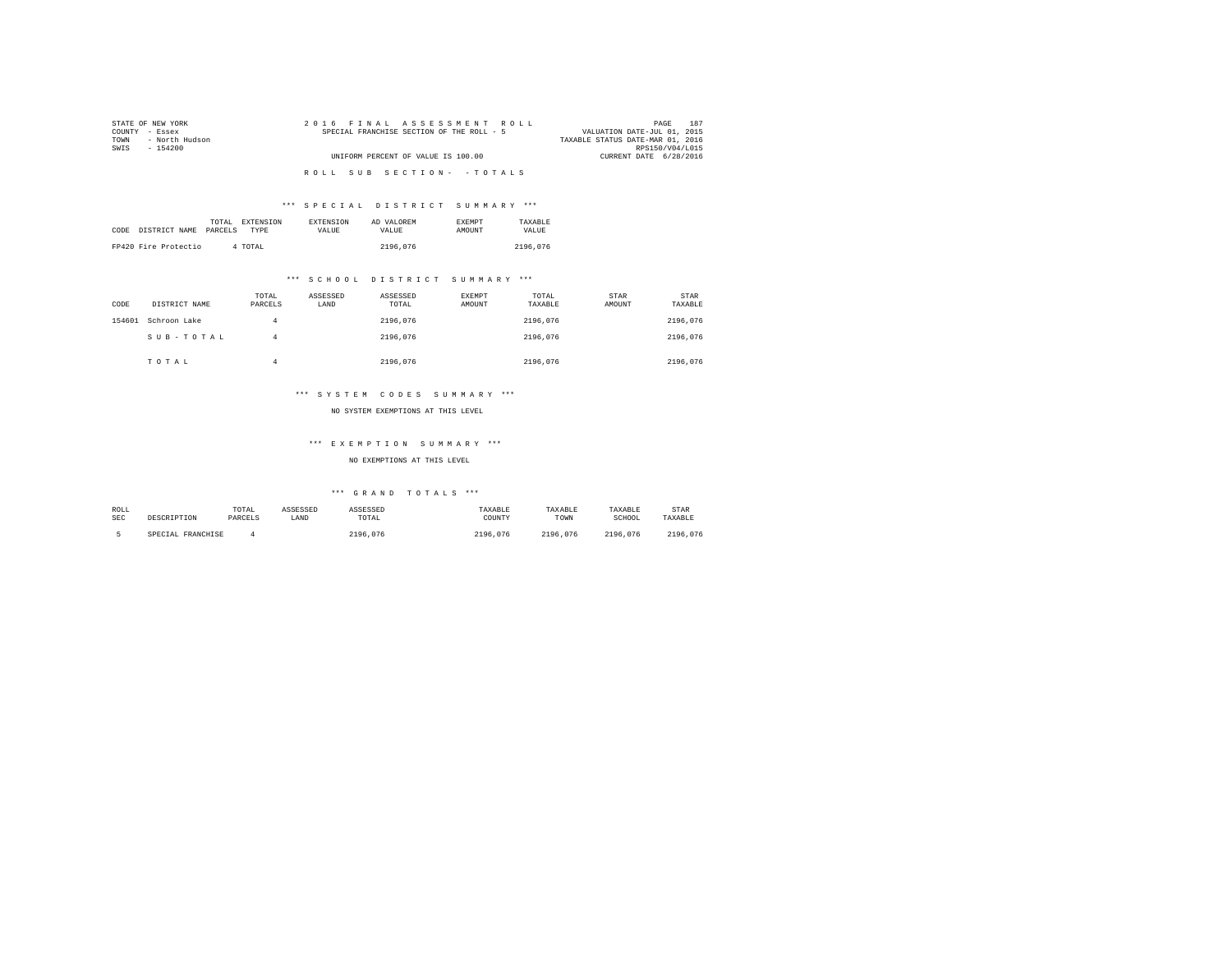| STATE OF NEW YORK      | 2016 FINAL ASSESSMENT ROLL                | 187<br>PAGE                      |
|------------------------|-------------------------------------------|----------------------------------|
| COUNTY - Essex         | SPECIAL FRANCHISE SECTION OF THE ROLL - 5 | VALUATION DATE-JUL 01, 2015      |
| - North Hudson<br>TOWN |                                           | TAXABLE STATUS DATE-MAR 01, 2016 |
| SWTS<br>- 154200       |                                           | RPS150/V04/L015                  |
|                        | UNIFORM PERCENT OF VALUE IS 100.00        | CURRENT DATE 6/28/2016           |
|                        |                                           |                                  |
|                        | ROLL SUB SECTION- - TOTALS                |                                  |

|      |                      | TOTAL   | <b>EXTENSION</b> | <b>EXTENSION</b> | AD VALOREM | <b>EXEMPT</b> | TAXARLE  |
|------|----------------------|---------|------------------|------------------|------------|---------------|----------|
| CODE | DISTRICT NAME        | PARCELS | TYPE             | <b>VALUE</b>     | VALUE.     | AMOUNT        | VALUE    |
|      |                      |         |                  |                  |            |               |          |
|      | FP420 Fire Protectio |         | 4 TOTAL          |                  | 2196.076   |               | 2196,076 |

# \*\*\* S C H O O L D I S T R I C T S U M M A R Y \*\*\*

| CODE   | DISTRICT NAME | TOTAL<br>PARCELS | ASSESSED<br>LAND | ASSESSED<br>TOTAL | EXEMPT<br>AMOUNT | TOTAL<br>TAXABLE | STAR<br>AMOUNT | <b>STAR</b><br>TAXABLE |
|--------|---------------|------------------|------------------|-------------------|------------------|------------------|----------------|------------------------|
| 154601 | Schroon Lake  | 4                |                  | 2196.076          |                  | 2196.076         |                | 2196.076               |
|        | SUB-TOTAL     | 4                |                  | 2196.076          |                  | 2196.076         |                | 2196.076               |
|        | TOTAL         | 4                |                  | 2196.076          |                  | 2196.076         |                | 2196.076               |

# \*\*\* S Y S T E M C O D E S S U M M A R Y \*\*\*

NO SYSTEM EXEMPTIONS AT THIS LEVEL

# \*\*\* E X E M P T I O N S U M M A R Y \*\*\*

NO EXEMPTIONS AT THIS LEVEL

| ROLL       |                   | TOTAL   | ASSESSED | <b>ASSESSED</b>                              | TAXABLE  | TAXABLE  | TAXABLE  | STAR     |
|------------|-------------------|---------|----------|----------------------------------------------|----------|----------|----------|----------|
| <b>SEC</b> | DESCRIPTION       | PARCELS | LAND     | TOTAL<br>the contract of the contract of the | COUNTY   | TOWN     | SCHOOL   | TAXABLE  |
|            | SPECIAL FRANCHISE |         |          | 2196.076                                     | 2196.076 | 2196.076 | 2196.076 | 2196,076 |
|            |                   |         |          |                                              |          |          |          |          |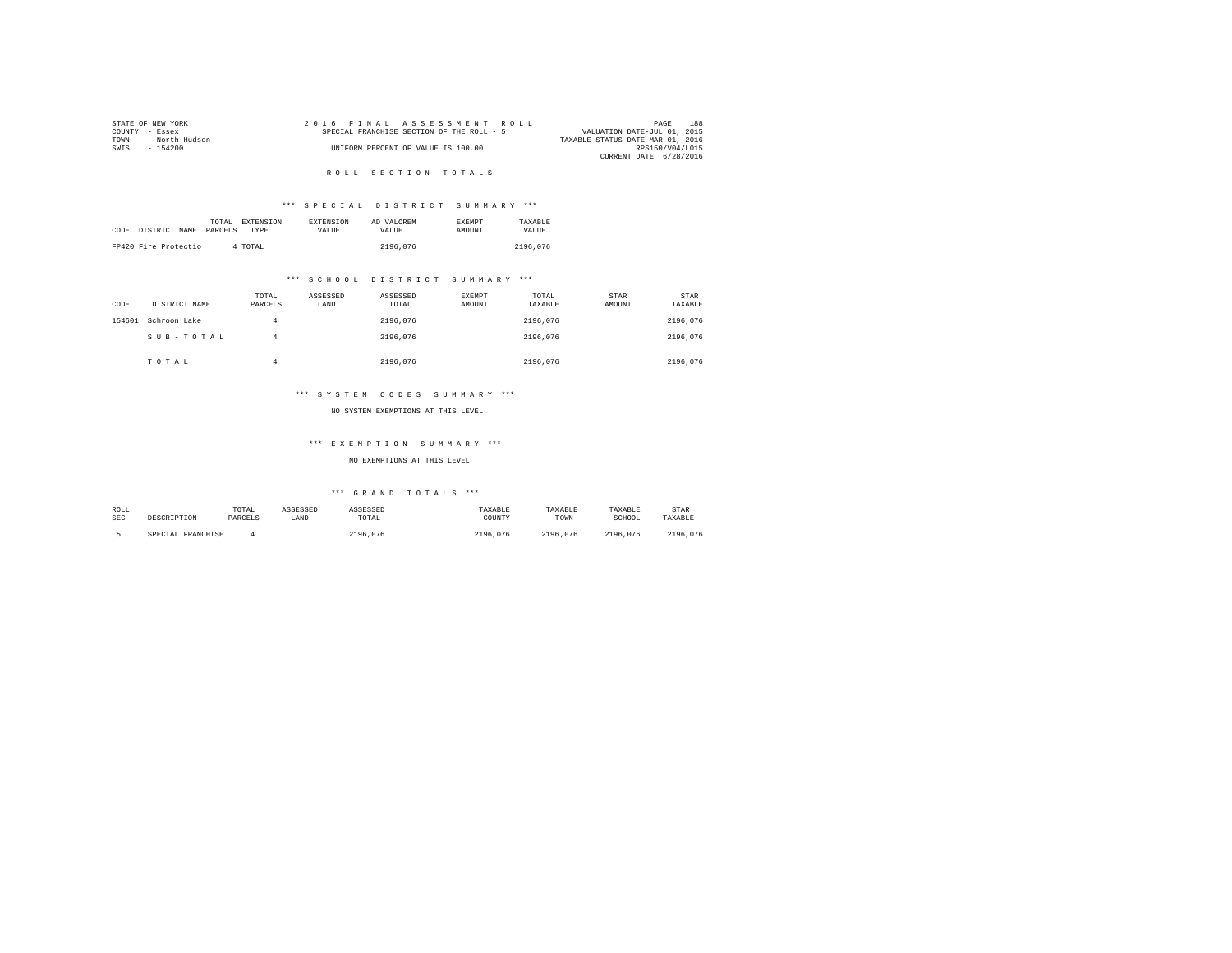|                | STATE OF NEW YORK |  | 2016 FINAL ASSESSMENT ROLL                |  |  |                                  | PAGE            | 188 |
|----------------|-------------------|--|-------------------------------------------|--|--|----------------------------------|-----------------|-----|
| COUNTY - Essex |                   |  | SPECIAL FRANCHISE SECTION OF THE ROLL - 5 |  |  | VALUATION DATE-JUL 01, 2015      |                 |     |
| TOWN           | - North Hudson    |  |                                           |  |  | TAXABLE STATUS DATE-MAR 01, 2016 |                 |     |
| SWIS           | - 154200          |  | UNIFORM PERCENT OF VALUE IS 100.00        |  |  |                                  | RPS150/V04/L015 |     |
|                |                   |  |                                           |  |  | CURRENT DATE 6/28/2016           |                 |     |
|                |                   |  |                                           |  |  |                                  |                 |     |

# ROLL SECTION TOTALS

# \*\*\* S P E C I A L D I S T R I C T S U M M A R Y \*\*\*

| CODE | DISTRICT NAME        | TOTAL<br>PARCELS | <b>EXTENSION</b><br><b>TYPE</b> | <b>EXTENSION</b><br>VALUE | AD VALOREM<br>VALUE | <b>EXEMPT</b><br><b>AMOUNT</b> | TAXARLE<br>VALUE |  |
|------|----------------------|------------------|---------------------------------|---------------------------|---------------------|--------------------------------|------------------|--|
|      | FP420 Fire Protectio |                  | 4 TOTAL                         |                           | 2196,076            |                                | 2196.076         |  |

# \*\*\* S C H O O L D I S T R I C T S U M M A R Y \*\*\*

| CODE   | DISTRICT NAME | TOTAL<br>PARCELS | ASSESSED<br>LAND | ASSESSED<br>TOTAL | EXEMPT<br>AMOUNT | TOTAL<br>TAXABLE | STAR<br>AMOUNT | <b>STAR</b><br>TAXABLE |
|--------|---------------|------------------|------------------|-------------------|------------------|------------------|----------------|------------------------|
| 154601 | Schroon Lake  | 4                |                  | 2196.076          |                  | 2196.076         |                | 2196.076               |
|        | SUB-TOTAL     | 4                |                  | 2196.076          |                  | 2196.076         |                | 2196.076               |
|        | TOTAL         |                  |                  | 2196.076          |                  | 2196.076         |                | 2196.076               |

# \*\*\* S Y S T E M C O D E S S U M M A R Y \*\*\*

#### NO SYSTEM EXEMPTIONS AT THIS LEVEL

# \*\*\* E X E M P T I O N S U M M A R Y \*\*\*

# NO EXEMPTIONS AT THIS LEVEL

| ROLL       |                   | TOTAL   | ASSESSED | ASSESSED     | TAXABLE  | TAXABLE  | TAXABLE  | STAR     |
|------------|-------------------|---------|----------|--------------|----------|----------|----------|----------|
| <b>SEC</b> | DESCRIPTION       | PARCELS | LAND     | TOTAL        | COUNTY   | TOWN     | SCHOOL   | TAXABLE  |
|            |                   |         |          |              |          |          |          |          |
|            | SPECIAL FRANCHISE |         |          | 2196<br>.076 | 2196.076 | 2196.076 | 2196.076 | 2196.076 |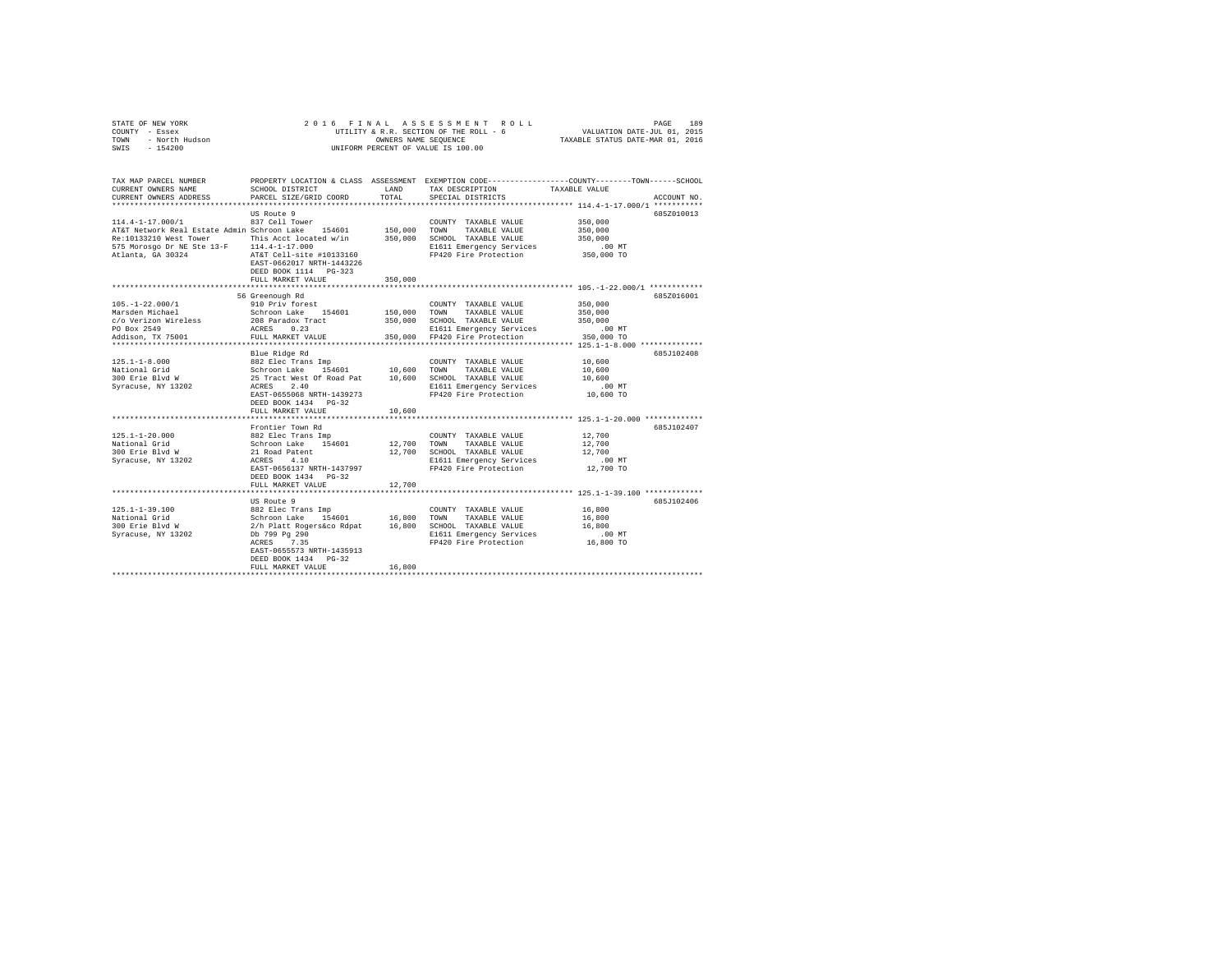|      | STATE OF NEW YORK |  | 2016 FINAL ASSESSMENT ROLL             | PAGE                             | 189 |
|------|-------------------|--|----------------------------------------|----------------------------------|-----|
|      | COUNTY - Essex    |  | UTILITY & R.R. SECTION OF THE ROLL - 6 | VALUATION DATE-JUL 01, 2015      |     |
| TOWN | - North Hudson    |  | OWNERS NAME SEOUENCE                   | TAXABLE STATUS DATE-MAR 01, 2016 |     |
| SWIS | $-154200$         |  | UNIFORM PERCENT OF VALUE IS 100.00     |                                  |     |

| TAX MAP PARCEL NUMBER                                                         | PROPERTY LOCATION & CLASS ASSESSMENT EXEMPTION CODE---------------COUNTY-------TOWN------SCHOOL                                                                                                                                                                                                                                                                                                                |         |                                      |                  |             |
|-------------------------------------------------------------------------------|----------------------------------------------------------------------------------------------------------------------------------------------------------------------------------------------------------------------------------------------------------------------------------------------------------------------------------------------------------------------------------------------------------------|---------|--------------------------------------|------------------|-------------|
| CURRENT OWNERS NAME                                                           | SCHOOL DISTRICT                                                                                                                                                                                                                                                                                                                                                                                                | LAND    | TAX DESCRIPTION TAXABLE VALUE        |                  |             |
| CURRENT OWNERS ADDRESS                                                        | PARCEL SIZE/GRID COORD                                                                                                                                                                                                                                                                                                                                                                                         | TOTAL   | SPECIAL DISTRICTS                    |                  | ACCOUNT NO. |
|                                                                               |                                                                                                                                                                                                                                                                                                                                                                                                                |         |                                      |                  |             |
|                                                                               | US Route 9                                                                                                                                                                                                                                                                                                                                                                                                     |         |                                      |                  | 685Z010013  |
| 114.4-1-17.000/1                                                              | 837 Cell Tower                                                                                                                                                                                                                                                                                                                                                                                                 |         | COUNTY TAXABLE VALUE                 | 350,000          |             |
| AT&T Network Real Estate Admin Schroon Lake 154601 150,000 TOWN TAXABLE VALUE |                                                                                                                                                                                                                                                                                                                                                                                                                |         |                                      | 350,000          |             |
| Re:10133210 West Tower This Acct located w/in 350,000 SCHOOL TAXABLE VALUE    |                                                                                                                                                                                                                                                                                                                                                                                                                |         |                                      | 350,000          |             |
| 575 Morosgo Dr NE Ste 13-F 114.4-1-17.000                                     |                                                                                                                                                                                                                                                                                                                                                                                                                |         | E1611 Emergency Services             | .00 MT           |             |
| Atlanta, GA 30324 AT&T Cell-site #10133160                                    |                                                                                                                                                                                                                                                                                                                                                                                                                |         | FP420 Fire Protection 350,000 TO     |                  |             |
|                                                                               | EAST-0662017 NRTH-1443226                                                                                                                                                                                                                                                                                                                                                                                      |         |                                      |                  |             |
|                                                                               | DEED BOOK 1114 PG-323                                                                                                                                                                                                                                                                                                                                                                                          |         |                                      |                  |             |
|                                                                               | FULL MARKET VALUE                                                                                                                                                                                                                                                                                                                                                                                              | 350,000 |                                      |                  |             |
|                                                                               |                                                                                                                                                                                                                                                                                                                                                                                                                |         |                                      |                  |             |
|                                                                               | 56 Greenough Rd                                                                                                                                                                                                                                                                                                                                                                                                |         |                                      |                  | 6857016001  |
| $105. - 1 - 22.000/1$                                                         |                                                                                                                                                                                                                                                                                                                                                                                                                |         | COUNTY TAXABLE VALUE                 | 350,000          |             |
| Marsden Michael                                                               | 910 Priv forest<br>Schroon Lake 154601                                                                                                                                                                                                                                                                                                                                                                         |         | 150,000 TOWN TAXABLE VALUE           | 350,000          |             |
| c/o Verizon Wireless 208 Paradox Tract                                        |                                                                                                                                                                                                                                                                                                                                                                                                                |         | 350,000 SCHOOL TAXABLE VALUE 350,000 |                  |             |
| PO Box 2549                                                                   | ACRES 0.23                                                                                                                                                                                                                                                                                                                                                                                                     |         | E1611 Emergency Services             | . 00 MT          |             |
| Addison, TX 75001                                                             | FULL MARKET VALUE                                                                                                                                                                                                                                                                                                                                                                                              |         | 350,000 FP420 Fire Protection        | 350,000 TO       |             |
|                                                                               |                                                                                                                                                                                                                                                                                                                                                                                                                |         |                                      |                  |             |
|                                                                               | Blue Ridge Rd                                                                                                                                                                                                                                                                                                                                                                                                  |         |                                      |                  | 685J102408  |
|                                                                               |                                                                                                                                                                                                                                                                                                                                                                                                                |         |                                      | 10,600           |             |
|                                                                               |                                                                                                                                                                                                                                                                                                                                                                                                                |         |                                      |                  |             |
|                                                                               |                                                                                                                                                                                                                                                                                                                                                                                                                |         |                                      | 10,600<br>10,600 |             |
|                                                                               |                                                                                                                                                                                                                                                                                                                                                                                                                |         | E1611 Emergency Services .00 MT      |                  |             |
|                                                                               | EAST-0655068 NRTH-1439273                                                                                                                                                                                                                                                                                                                                                                                      |         |                                      | 10,600 TO        |             |
|                                                                               | DEED BOOK 1434 PG-32                                                                                                                                                                                                                                                                                                                                                                                           |         | FP420 Fire Protection                |                  |             |
|                                                                               |                                                                                                                                                                                                                                                                                                                                                                                                                | 10,600  |                                      |                  |             |
|                                                                               | FULL MARKET VALUE                                                                                                                                                                                                                                                                                                                                                                                              |         |                                      |                  |             |
|                                                                               |                                                                                                                                                                                                                                                                                                                                                                                                                |         |                                      |                  |             |
|                                                                               | Frontier Town Rd                                                                                                                                                                                                                                                                                                                                                                                               |         |                                      |                  | 685.T102407 |
| $125.1 - 1 - 20.000$                                                          | 882 Elec Trans Imp                                                                                                                                                                                                                                                                                                                                                                                             |         | COUNTY TAXABLE VALUE 12,700          |                  |             |
| National Grid                                                                 | Schroon Lake 154601<br>21 Road Patent                                                                                                                                                                                                                                                                                                                                                                          |         | 12,700 TOWN TAXABLE VALUE            | 12,700           |             |
| 300 Erie Blyd W                                                               |                                                                                                                                                                                                                                                                                                                                                                                                                |         | 12,700 SCHOOL TAXABLE VALUE 12,700   |                  |             |
| Syracuse, NY 13202                                                            | ACRES 4.10                                                                                                                                                                                                                                                                                                                                                                                                     |         | E1611 Emergency Services             | .00 MT           |             |
|                                                                               | EAST-0656137 NRTH-1437997                                                                                                                                                                                                                                                                                                                                                                                      |         | FP420 Fire Protection 12.700 TO      |                  |             |
|                                                                               | DEED BOOK 1434 PG-32                                                                                                                                                                                                                                                                                                                                                                                           |         |                                      |                  |             |
|                                                                               | FULL MARKET VALUE                                                                                                                                                                                                                                                                                                                                                                                              | 12,700  |                                      |                  |             |
|                                                                               |                                                                                                                                                                                                                                                                                                                                                                                                                |         |                                      |                  |             |
|                                                                               | US Route 9                                                                                                                                                                                                                                                                                                                                                                                                     |         |                                      |                  | 685J102406  |
| $125.1 - 1 - 39.100$                                                          | $\begin{tabular}{lcccccc} 882 \; {\tt Elec \; Trans \; Imp} & & & & \; \text{COUNTY \; TAXABLE \; VALUE} & & & 16,800 \\ \text{Schron Lake} & 154601 & 16,800 & \text{TOWN} & \text{TXABLE VALUE} & & 16,800 \\ 2/h \; {\tt Plet \; Regerséco \; Rdpat} & 16,800 & \text{SCHOD. TAXABLE \; VALUE} & & 16,800 \\ \text{Db 799 \; Pg \; 290 & & & 100 \; MT \; RAXBLE \; VSEVices & & 0.00 \; MT \; RAXBLE \; V$ |         |                                      |                  |             |
| National Grid                                                                 |                                                                                                                                                                                                                                                                                                                                                                                                                |         |                                      |                  |             |
| 300 Erie Blvd W<br>Syracuse, NY 13202                                         |                                                                                                                                                                                                                                                                                                                                                                                                                |         |                                      |                  |             |
|                                                                               |                                                                                                                                                                                                                                                                                                                                                                                                                |         |                                      |                  |             |
|                                                                               | ACRES 7.35                                                                                                                                                                                                                                                                                                                                                                                                     |         | FP420 Fire Protection 16,800 TO      |                  |             |
|                                                                               | EAST-0655573 NRTH-1435913                                                                                                                                                                                                                                                                                                                                                                                      |         |                                      |                  |             |
|                                                                               | DEED BOOK 1434 PG-32                                                                                                                                                                                                                                                                                                                                                                                           |         |                                      |                  |             |
|                                                                               | FULL MARKET VALUE                                                                                                                                                                                                                                                                                                                                                                                              | 16,800  |                                      |                  |             |
|                                                                               |                                                                                                                                                                                                                                                                                                                                                                                                                |         |                                      |                  |             |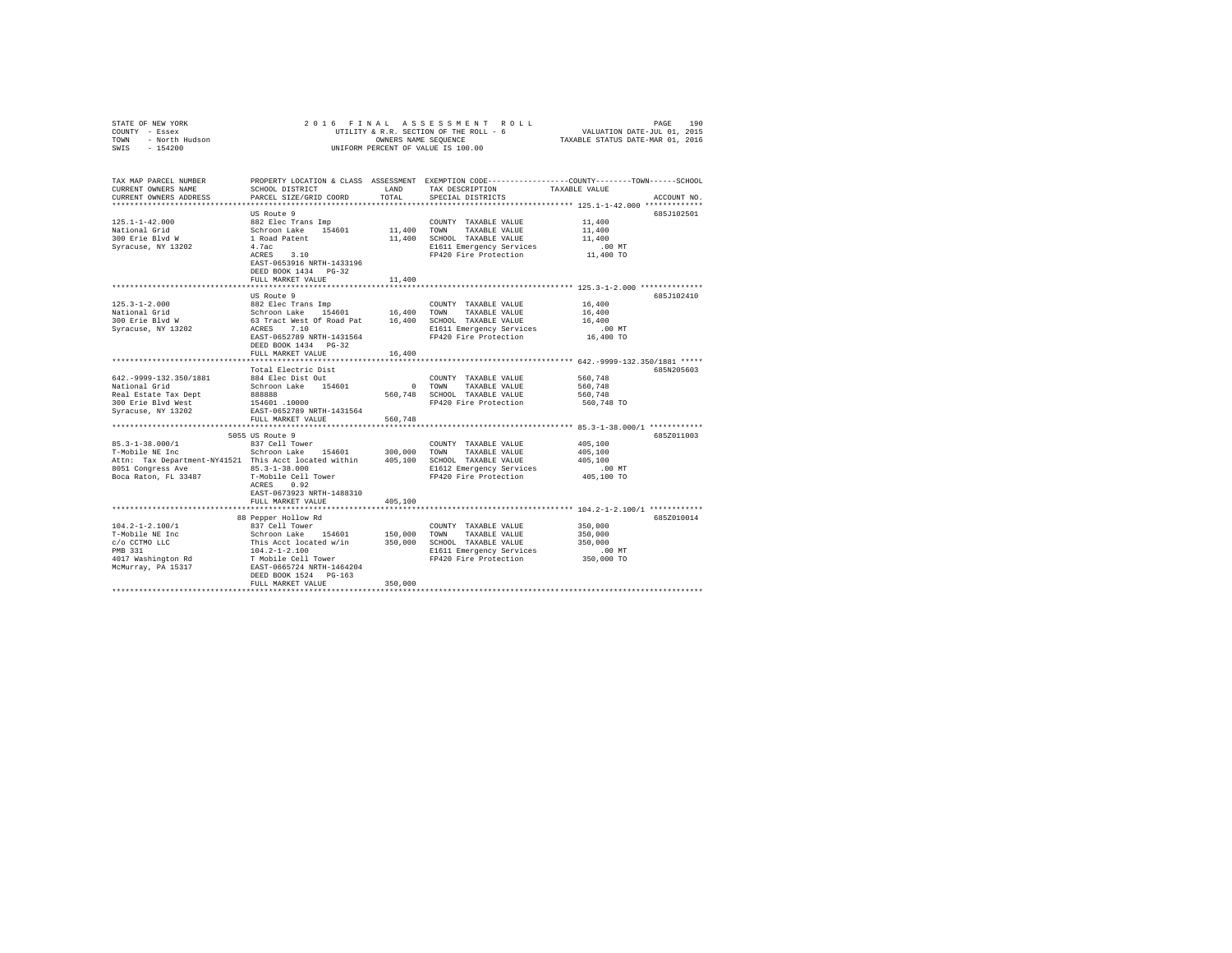|                                                                                                                                                                                                                                                                                                                                                                             |                                                                                                                                                                                                   |              | 2016 FINAL ASSESSMENT ROLL                                                                            | PAGE<br>וס דואמנו איז איז דואר איז די 190 ב-190 בית 190 ב-1919 ב-1918 ב-1918 ב-1918 ב-1918 ב-1918 ב-1918 ב-1<br>UTILITY & F.R. SECTION OF THE ROLL - 6<br>TAXABLE STATTUS DATE-MAR 01, 2016 | 190 |
|-----------------------------------------------------------------------------------------------------------------------------------------------------------------------------------------------------------------------------------------------------------------------------------------------------------------------------------------------------------------------------|---------------------------------------------------------------------------------------------------------------------------------------------------------------------------------------------------|--------------|-------------------------------------------------------------------------------------------------------|---------------------------------------------------------------------------------------------------------------------------------------------------------------------------------------------|-----|
| TAX MAP PARCEL NUMBER<br>CURRENT OWNERS NAME<br>CURRENT OWNERS ADDRESS                                                                                                                                                                                                                                                                                                      | SCHOOL DISTRICT<br>PARCEL SIZE/GRID COORD                                                                                                                                                         | TOTAL        | LAND TAX DESCRIPTION TAXABLE VALUE<br>SPECIAL DISTRICTS                                               | PROPERTY LOCATION & CLASS ASSESSMENT EXEMPTION CODE---------------COUNTY-------TOWN-----SCHOOL<br>ACCOUNT NO.                                                                               |     |
|                                                                                                                                                                                                                                                                                                                                                                             | US Route 9<br>$ACRES$ 3.10<br>EAST-0653916 NRTH-1433196<br>DEED BOOK 1434 PG-32                                                                                                                   |              | 11,400 SCHOOL TAXABLE VALUE<br>E1611 Emergency Services<br>FP420 Fire Protection                      | 685J102501<br>11,400<br>11,400<br>11,400<br>.00 MT<br>11,400 TO                                                                                                                             |     |
| $125.3 - 1 - 2.000$<br>National Grid<br>300 Erie Blvd W<br>Syracuse, NY 13202                                                                                                                                                                                                                                                                                               | FULL MARKET VALUE<br>--<br>Schroon Lake 154601 16,400 TOWNY TAXABLE VALUE<br>Schroon Lake 154601 16,400 TOWN TAXABLE VALUE<br>63 Tract West Of Road Pat 16,400 SCHOOL TAXABLE VALUE<br>ACRES 7.10 | 11,400       | COUNTY TAXABLE VALUE 16,400                                                                           | 685J102410<br>16,400<br>16,400                                                                                                                                                              |     |
|                                                                                                                                                                                                                                                                                                                                                                             | EAST-0652789 NRTH-1431564<br>DEED BOOK 1434 PG-32<br>FULL MARKET VALUE 16,400<br>Total Electric Dist                                                                                              |              | FP420 Fire Protection                                                                                 | .00 MT.<br>16,400 TO<br>685N205603                                                                                                                                                          |     |
| 642. - 9999-132. 350/1881<br>National Grid<br>Real Estate Tax Dept<br>300 Erie Blvd West<br>Syracuse, NY 13202                                                                                                                                                                                                                                                              | 884 Elec Dist Out<br>EAST-0652789 NRTH-1431564<br>FULL MARKET VALUE                                                                                                                               | 560.748      | COUNTY TAXABLE VALUE<br>0 TOWN TAXABLE VALUE<br>560,748 SCHOOL TAXABLE VALUE<br>FP420 Fire Protection | 560,748<br>560.748<br>560.748<br>560,748 TO                                                                                                                                                 |     |
|                                                                                                                                                                                                                                                                                                                                                                             | 5055 US Route 9                                                                                                                                                                                   |              |                                                                                                       | 685Z011003                                                                                                                                                                                  |     |
| $85.3 - 1 - 38.000 / 1$<br>85.3-1-38.000/1<br>T-Mobile NE Inc<br>95.5-1-50.000/1 MADE Schroon Lake 154601 300,000 TOWN TAXABLE VALUE<br>T-Mobile NE Inc Schroon Lake 154601 300,000 TOWN TAXABLE VALUE<br>Attn: Tax Department-NY41521 This Acct located within 405,100 SCHOOL TAXABLE VALUE<br>8051 Congress Ave 85.3-1-38.000<br>Boca Raton, FL 33487 T-Mobile Cell Tower | 837 Cell Tower<br>ACRES 0.92                                                                                                                                                                      |              | COUNTY TAXABLE VALUE                                                                                  | 405,100<br>405,100<br>405,100<br>.00 MT                                                                                                                                                     |     |
|                                                                                                                                                                                                                                                                                                                                                                             | EAST-0673923 NRTH-1488310<br>FULL MARKET VALUE                                                                                                                                                    | 405,100<br>. |                                                                                                       |                                                                                                                                                                                             |     |
| $104.2 - 1 - 2.100/1$<br>T-Mobile NE Inc                                                                                                                                                                                                                                                                                                                                    | 88 Pepper Hollow Rd<br>837 Cell Tower<br>Schroon Lake 154601 150,000 TOWN TAXABLE VALUE<br>This Acct located w/in 350,000 SCHOOL TAXABLE VALUE<br>DEED BOOK 1524 PG-163<br>FULL MARKET VALUE      | 350,000      | COUNTY TAXABLE VALUE                                                                                  | 685Z010014<br>350,000<br>350,000                                                                                                                                                            |     |
|                                                                                                                                                                                                                                                                                                                                                                             |                                                                                                                                                                                                   |              |                                                                                                       |                                                                                                                                                                                             |     |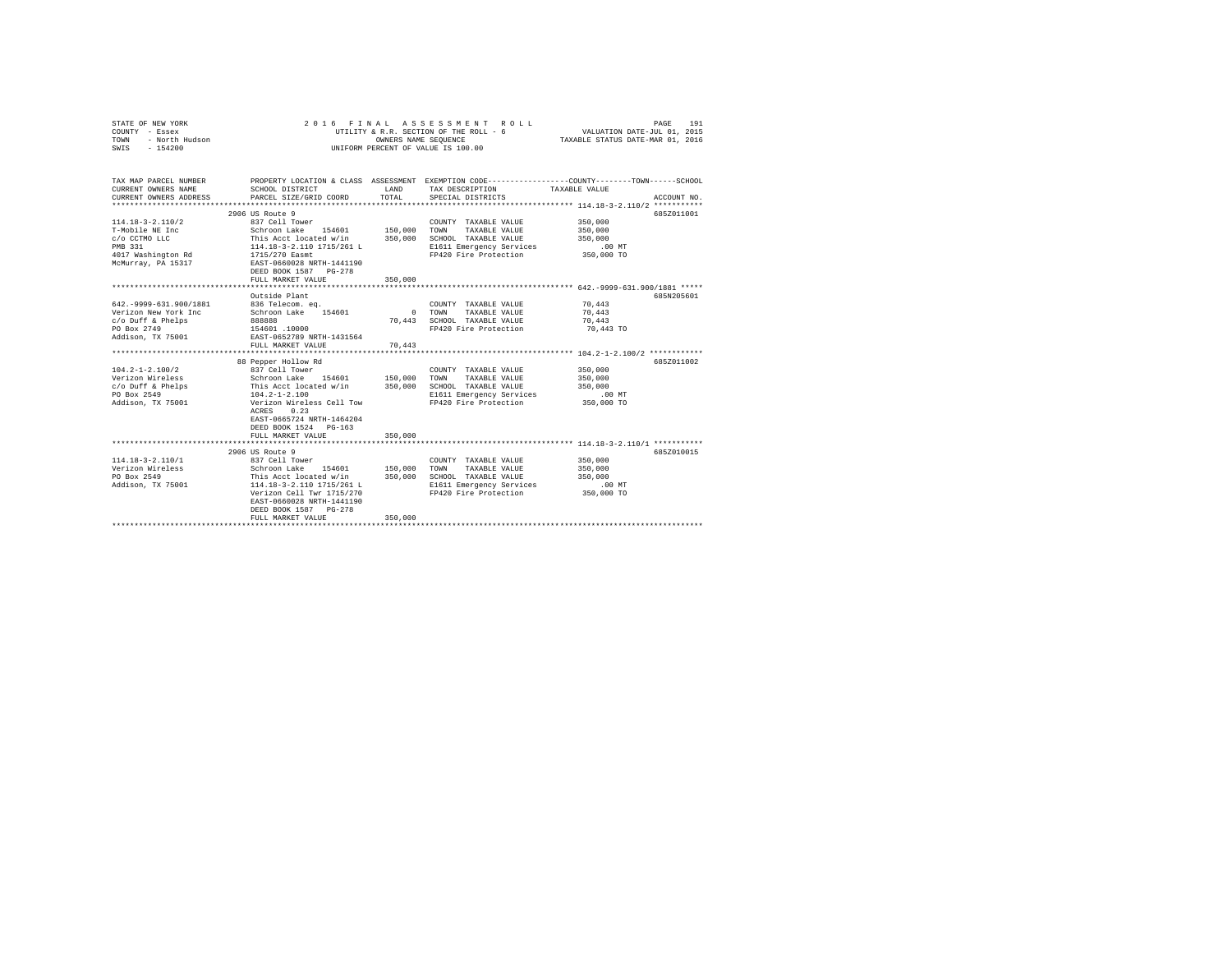| STATE OF NEW YORK<br>COUNTY - Essex<br>TOWN<br>- North Hudson<br>SWIS<br>$-154200$                                | 2016<br>FINAL                                                                                                                                                                                                           | ASSESSMENT<br>ROLL<br>UTILITY & R.R. SECTION OF THE ROLL - 6<br>OWNERS NAME SEQUENCE<br>UNIFORM PERCENT OF VALUE IS 100.00 | 191<br>PAGE<br>VALUATION DATE-JUL 01, 2015<br>TAXABLE STATUS DATE-MAR 01, 2016                                             |                                                                                                                                 |
|-------------------------------------------------------------------------------------------------------------------|-------------------------------------------------------------------------------------------------------------------------------------------------------------------------------------------------------------------------|----------------------------------------------------------------------------------------------------------------------------|----------------------------------------------------------------------------------------------------------------------------|---------------------------------------------------------------------------------------------------------------------------------|
| TAX MAP PARCEL NUMBER<br>CURRENT OWNERS NAME<br>CURRENT OWNERS ADDRESS                                            | SCHOOL DISTRICT<br>PARCEL SIZE/GRID COORD                                                                                                                                                                               | LAND<br>TOTAL                                                                                                              | TAX DESCRIPTION<br>SPECIAL DISTRICTS                                                                                       | PROPERTY LOCATION & CLASS ASSESSMENT EXEMPTION CODE---------------COUNTY-------TOWN------SCHOOL<br>TAXABLE VALUE<br>ACCOUNT NO. |
|                                                                                                                   |                                                                                                                                                                                                                         |                                                                                                                            |                                                                                                                            |                                                                                                                                 |
| $114.18 - 3 - 2.110/2$<br>T-Mobile NE Inc<br>c/o CCTMO LLC<br>PMB 331<br>4017 Washington Rd<br>McMurray, PA 15317 | 2906 US Route 9<br>837 Cell Tower<br>Schroon Lake 154601<br>This Acct located w/in<br>114.18-3-2.110 1715/261 L<br>1715/270 Easmt<br>EAST-0660028 NRTH-1441190<br>DEED BOOK 1587 PG-278<br>FULL MARKET VALUE            | 150,000<br>350,000<br>350,000                                                                                              | COUNTY TAXABLE VALUE<br>TOWN<br>TAXABLE VALUE<br>SCHOOL TAXABLE VALUE<br>E1611 Emergency Services<br>FP420 Fire Protection | 685Z011001<br>350,000<br>350,000<br>350,000<br>$.00$ MT<br>350,000 TO                                                           |
|                                                                                                                   |                                                                                                                                                                                                                         |                                                                                                                            |                                                                                                                            |                                                                                                                                 |
| 642. - 9999-631.900/1881<br>Verizon New York Inc<br>c/o Duff & Phelps<br>PO Box 2749<br>Addison, TX 75001         | Outside Plant<br>836 Telecom, ea.<br>Schroon Lake 154601<br>888888<br>154601.10000<br>EAST-0652789 NRTH-1431564<br>FULL MARKET VALUE<br>88 Pepper Hollow Rd                                                             | $\Omega$<br>70.443<br>70,443                                                                                               | COUNTY TAXABLE VALUE<br>TOWN<br>TAXABLE VALUE<br>SCHOOL TAXABLE VALUE<br>FP420 Fire Protection                             | 685N205601<br>70,443<br>70,443<br>70,443<br>70,443 TO<br>685Z011002                                                             |
| $104.2 - 1 - 2.100/2$<br>Verizon Wireless<br>c/o Duff & Phelps<br>PO Box 2549<br>Addison, TX 75001                | 837 Cell Tower<br>Schroon Lake 154601<br>This Acct located w/in<br>104.2-1-2.100<br>Verizon Wireless Cell Tow<br>0.23<br>ACRES<br>EAST-0665724 NRTH-1464204<br>DEED BOOK 1524 PG-163<br>FULL MARKET VALUE               | 150,000<br>350,000<br>350,000                                                                                              | COUNTY TAXABLE VALUE<br>TOWN<br>TAXABLE VALUE<br>SCHOOL TAXABLE VALUE<br>E1611 Emergency Services<br>FP420 Fire Protection | 350,000<br>350,000<br>350,000<br>$.00$ MT<br>350,000 TO                                                                         |
|                                                                                                                   |                                                                                                                                                                                                                         |                                                                                                                            |                                                                                                                            |                                                                                                                                 |
| $114.18 - 3 - 2.110/1$<br>Verizon Wireless<br>PO Box 2549<br>Addison, TX 75001                                    | 2906 US Route 9<br>837 Cell Tower<br>Schroon Lake 154601<br>This Acct located w/in<br>114.18-3-2.110 1715/261 L<br>Verizon Cell Twr 1715/270<br>EAST-0660028 NRTH-1441190<br>DEED BOOK 1587 PG-278<br>FULL MARKET VALUE | 150,000<br>350,000<br>350,000                                                                                              | COUNTY TAXABLE VALUE<br>TOWN<br>TAXABLE VALUE<br>SCHOOL TAXABLE VALUE<br>E1611 Emergency Services<br>FP420 Fire Protection | 685Z010015<br>350,000<br>350,000<br>350,000<br>.00MT<br>350,000 TO                                                              |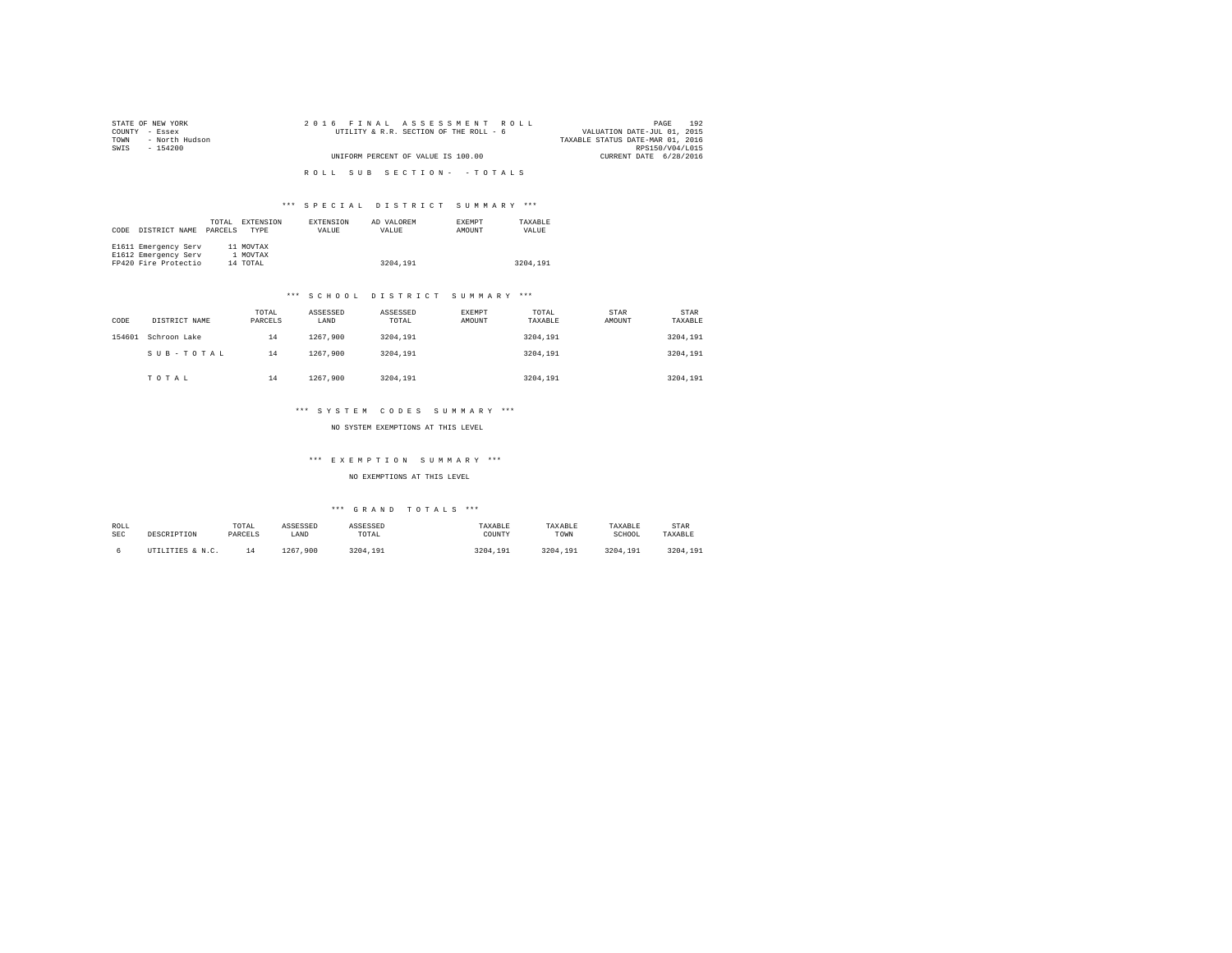| STATE OF NEW YORK      | 2016 FINAL ASSESSMENT ROLL             | 192<br>PAGE                      |
|------------------------|----------------------------------------|----------------------------------|
| COUNTY - Essex         | UTILITY & R.R. SECTION OF THE ROLL - 6 | VALUATION DATE-JUL 01, 2015      |
| - North Hudson<br>TOWN |                                        | TAXABLE STATUS DATE-MAR 01, 2016 |
| SWTS<br>- 154200       |                                        | RPS150/V04/L015                  |
|                        | UNIFORM PERCENT OF VALUE IS 100.00     | CURRENT DATE 6/28/2016           |
|                        |                                        |                                  |
|                        | ROLL SUB SECTION- - TOTALS             |                                  |
|                        |                                        |                                  |

| CODE | DISTRICT NAME        | TOTAL<br>PARCELS | <b>EXTENSION</b><br><b>TYPE</b> | <b>EXTENSION</b><br>VALUE | AD VALOREM<br>VALUE | <b>EXEMPT</b><br>AMOUNT | TAXARLE<br>VALUE |
|------|----------------------|------------------|---------------------------------|---------------------------|---------------------|-------------------------|------------------|
|      | E1611 Emergency Serv |                  | 11 MOVTAX                       |                           |                     |                         |                  |
|      | E1612 Emergency Serv |                  | 1 MOVTAX                        |                           |                     |                         |                  |
|      | FP420 Fire Protectio |                  | 14 TOTAL                        |                           | 3204,191            |                         | 3204,191         |

#### \*\*\* S C H O O L D I S T R I C T S U M M A R Y \*\*\*

| CODE   | DISTRICT NAME | TOTAL<br>PARCELS | ASSESSED<br>LAND | ASSESSED<br>TOTAL | EXEMPT<br>AMOUNT | TOTAL<br>TAXABLE | <b>STAR</b><br>AMOUNT | STAR<br>TAXABLE |
|--------|---------------|------------------|------------------|-------------------|------------------|------------------|-----------------------|-----------------|
| 154601 | Schroon Lake  | 14               | 1267.900         | 3204.191          |                  | 3204.191         |                       | 3204,191        |
|        | SUB-TOTAL     | 14               | 1267.900         | 3204.191          |                  | 3204,191         |                       | 3204,191        |
|        | TOTAL         | 14               | 1267.900         | 3204.191          |                  | 3204,191         |                       | 3204,191        |

#### \*\*\* S Y S T E M C O D E S S U M M A R Y \*\*\*

NO SYSTEM EXEMPTIONS AT THIS LEVEL

# \*\*\* E X E M P T I O N S U M M A R Y \*\*\*

### NO EXEMPTIONS AT THIS LEVEL

| ROLL       | DESCRIPTION      | TOTAL   | ASSESSED     | ASSESSED | TAXABLE  | TAXABLE  | TAXABLE  | STAR     |
|------------|------------------|---------|--------------|----------|----------|----------|----------|----------|
| <b>SEC</b> |                  | PARCELS | LAND         | TOTAL    | COUNTY   | TOWN     | SCHOOL   | TAXABLE  |
|            | UTILITIES & N.C. |         | 1267<br>.900 | 3204.191 | 3204.191 | 3204.191 | 3204,191 | 3204,191 |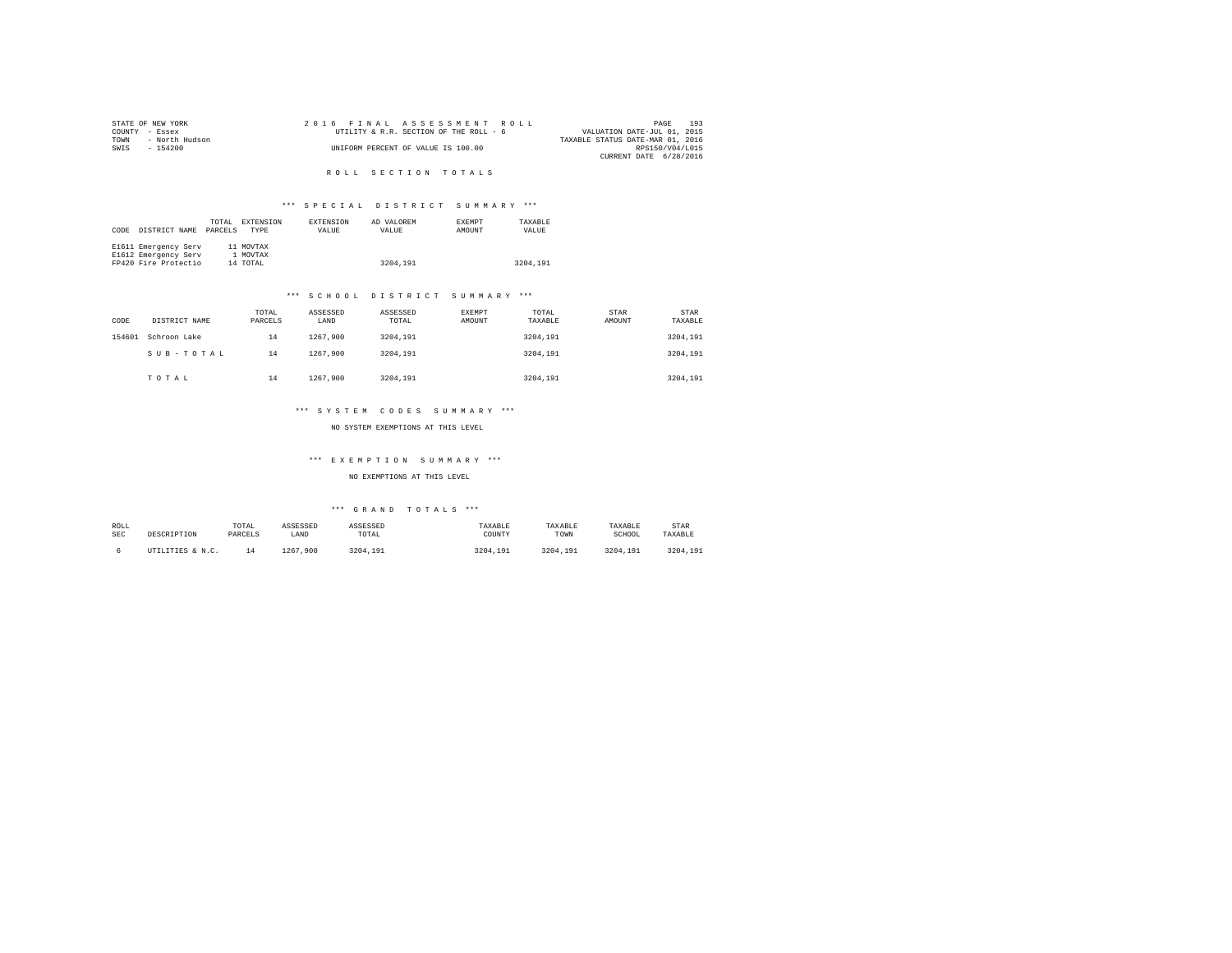| STATE OF NEW YORK |                |  |  | 2016 FINAL ASSESSMENT ROLL             |  |                                  | PAGE            | 193 |
|-------------------|----------------|--|--|----------------------------------------|--|----------------------------------|-----------------|-----|
| COUNTY - Essex    |                |  |  | UTILITY & R.R. SECTION OF THE ROLL - 6 |  | VALUATION DATE-JUL 01, 2015      |                 |     |
| TOWN              | - North Hudson |  |  |                                        |  | TAXABLE STATUS DATE-MAR 01, 2016 |                 |     |
| SWIS              | $-154200$      |  |  | UNIFORM PERCENT OF VALUE IS 100.00     |  |                                  | RPS150/V04/L015 |     |
|                   |                |  |  |                                        |  | CURRENT DATE 6/28/2016           |                 |     |
|                   |                |  |  |                                        |  |                                  |                 |     |

R O L L S E C T I O N T O T A L S

# \*\*\* S P E C I A L D I S T R I C T S U M M A R Y \*\*\*

|      |                      | TOTAL   | EXTENSION   | <b>EXTENSION</b> | AD VALOREM | <b>EXEMPT</b> | TAXARLE  |
|------|----------------------|---------|-------------|------------------|------------|---------------|----------|
| CODE | DISTRICT NAME        | PARCELS | <b>TYPE</b> | VALUE            | VALUE      | AMOUNT        | VALUE    |
|      |                      |         |             |                  |            |               |          |
|      | E1611 Emergency Serv |         | 11 MOVTAX   |                  |            |               |          |
|      | E1612 Emergency Serv |         | 1 MOVTAX    |                  |            |               |          |
|      | FP420 Fire Protectio |         | 14 TOTAL    |                  | 3204.191   |               | 3204.191 |

#### \*\*\* S C H O O L D I S T R I C T S U M M A R Y \*\*\*

| CODE   | DISTRICT NAME | TOTAL<br>PARCELS | ASSESSED<br>LAND | ASSESSED<br>TOTAL | EXEMPT<br>AMOUNT | TOTAL<br>TAXABLE | STAR<br>AMOUNT | <b>STAR</b><br>TAXABLE |
|--------|---------------|------------------|------------------|-------------------|------------------|------------------|----------------|------------------------|
| 154601 | Schroon Lake  | 14               | 1267.900         | 3204.191          |                  | 3204,191         |                | 3204.191               |
|        | SUB-TOTAL     | 14               | 1267.900         | 3204.191          |                  | 3204,191         |                | 3204.191               |
|        | TOTAL         | 14               | 1267.900         | 3204.191          |                  | 3204,191         |                | 3204.191               |

#### \*\*\* S Y S T E M C O D E S S U M M A R Y \*\*\*

NO SYSTEM EXEMPTIONS AT THIS LEVEL

# \*\*\* E X E M P T I O N S U M M A R Y \*\*\*

### NO EXEMPTIONS AT THIS LEVEL

| ROLL       | DESCRIPTION      | TOTAL   | ASSESSED     | ASSESSED | TAXABLE  | TAXABLE  | TAXABLE  | STAR     |
|------------|------------------|---------|--------------|----------|----------|----------|----------|----------|
| <b>SEC</b> |                  | PARCELS | LAND         | TOTAL    | COUNTY   | TOWN     | SCHOOL   | TAXABLE  |
|            | UTILITIES & N.C. |         | 1267<br>.900 | 3204.191 | 3204.191 | 3204.191 | 3204,191 | 3204,191 |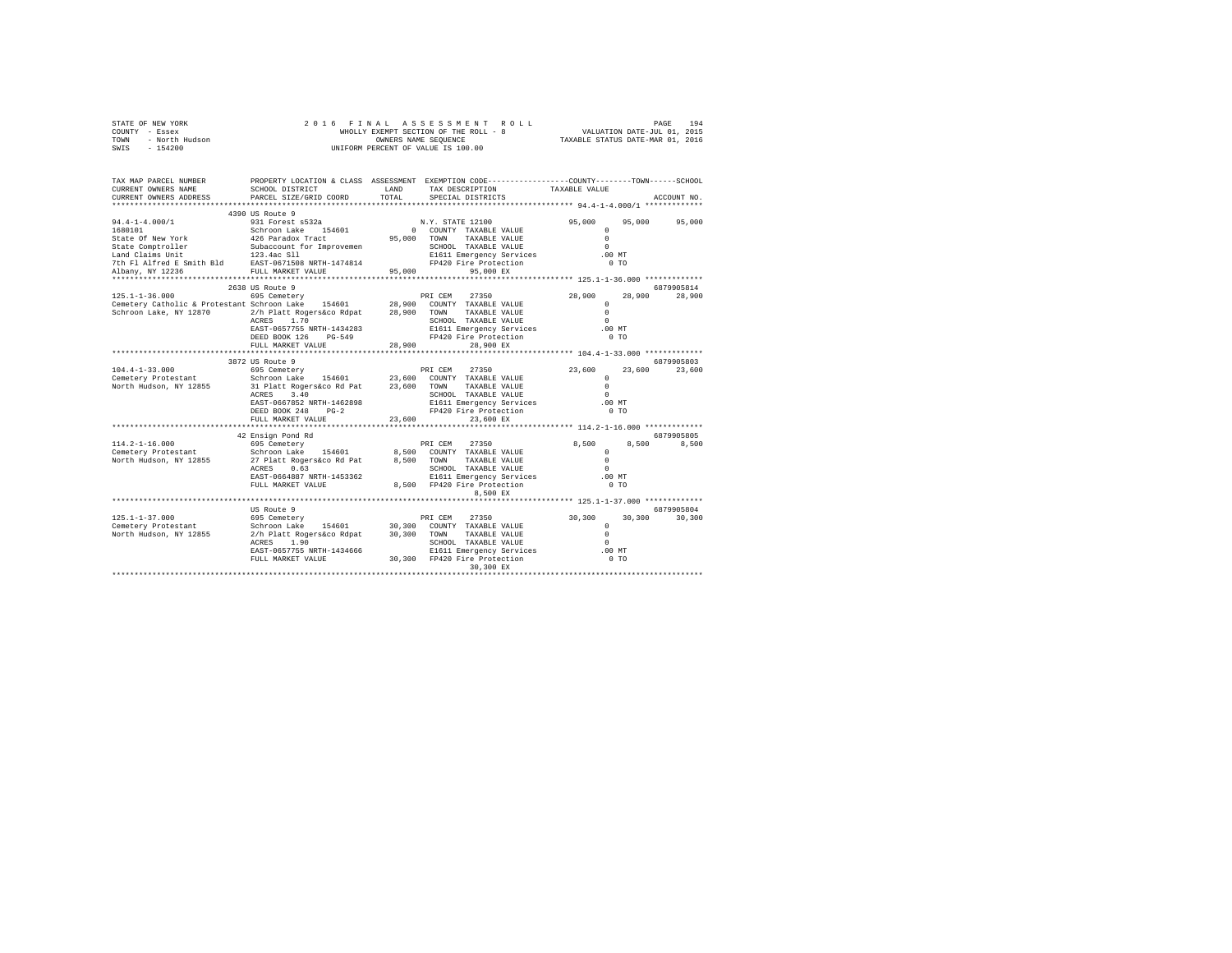|      | STATE OF NEW YORK | 2016 FINAL ASSESSMENT ROLL            | 194<br>PAGE                      |
|------|-------------------|---------------------------------------|----------------------------------|
|      | COUNTY - Essex    | WHOLLY EXEMPT SECTION OF THE ROLL - 8 | VALUATION DATE-JUL 01, 2015      |
| TOWN | - North Hudson    | OWNERS NAME SEOUENCE                  | TAXABLE STATUS DATE-MAR 01, 2016 |
| SWIS | - 154200          | UNIFORM PERCENT OF VALUE IS 100.00    |                                  |

| TAX MAP PARCEL NUMBER<br>CURRENT OWNERS NAME                                                                                                                                                                                             | SCHOOL DISTRICT                                                                                         | LAND   | PROPERTY LOCATION & CLASS ASSESSMENT EXEMPTION CODE----------------COUNTY-------TOWN------SCHOOL<br>TAX DESCRIPTION                                        | TAXABLE VALUE                                                                        |                      |
|------------------------------------------------------------------------------------------------------------------------------------------------------------------------------------------------------------------------------------------|---------------------------------------------------------------------------------------------------------|--------|------------------------------------------------------------------------------------------------------------------------------------------------------------|--------------------------------------------------------------------------------------|----------------------|
| CURRENT OWNERS ADDRESS                                                                                                                                                                                                                   | PARCEL SIZE/GRID COORD                                                                                  | TOTAL  | SPECIAL DISTRICTS                                                                                                                                          |                                                                                      | ACCOUNT NO.          |
| 7th Fl Alfred E Smith Bld BAST-0671508 NRTH-1474814 PP420 Fire Protection<br>Albany, NY 12236                                                                                                                                            | FULL MARKET VALUE                                                                                       | 95,000 | 95,000 EX                                                                                                                                                  | 95,000 95,000 95,000<br>$^{\circ}$<br>$\Omega$<br>$\cap$<br>.00 MT<br>0 <sub>T</sub> |                      |
| 125.1-1-36.000         695 Cemetery              PRI CEM   27350<br>Cemetery Catholic & Protestant Schroon Lake   154601      28,900  COUNTY TAXABLE VALUE<br>Schroon Lake, NY 12870 2/h Platt Rogers&co Rdpat 28,900 TOWN TAXABLE VALUE | 2638 US Route 9<br>ACRES 1.70<br>EAST-0657755 NRTH-1434283<br>DEED BOOK 126 PG-549<br>FULL MARKET VALUE | 28,900 | 27350 7<br>SCHOOL TAXABLE VALUE<br>E1611 Emergency Services .00 MT<br>FP420 Fire Protection<br>28,900 EX                                                   | 28,900<br>28,900<br>$\Omega$<br>$\Omega$<br>$\Omega$<br>0 <sub>T</sub>               | 6879905814<br>28,900 |
|                                                                                                                                                                                                                                          | 3872 US Route 9                                                                                         |        |                                                                                                                                                            |                                                                                      | 6879905803           |
| $104.4 - 1 - 33.000$<br>Cemetery Protestant<br>North Hudson, NY 12855 31 Platt Rogers&co Rd Pat 23,600 TOWN                                                                                                                              | ACRES 3.40<br>EAST-0667852 NRTH-1462898<br>DEED BOOK 248 PG-2<br>FULL MARKET VALUE                      | 23,600 | TAXABLE VALUE<br>SCHOOL TAXABLE VALUE<br>E1611 Emergency Services .00 MT<br>FP420 Fire Protection<br>23,600 EX                                             | 23,600 23,600<br>$\Omega$<br>$\Omega$<br>$\Omega$<br>0 <sub>T</sub>                  | 23,600               |
|                                                                                                                                                                                                                                          |                                                                                                         |        |                                                                                                                                                            |                                                                                      |                      |
|                                                                                                                                                                                                                                          | 42 Ensign Pond Rd<br>ACRES 0.63<br><br>EAST-0664887 NRTH-1453362<br>FULL MARKET VALUE                   |        | SCHOOL TAXABLE VALUE<br>E1611 Emergency Services<br>8,500 FP420 Fire Protection<br>8,500 EX                                                                | 8,500<br>8,500<br>$\Omega$<br>$\Omega$<br>$\cap$<br>$.00$ MT<br>0.70                 | 6879905805<br>8,500  |
|                                                                                                                                                                                                                                          |                                                                                                         |        |                                                                                                                                                            |                                                                                      |                      |
| 125.1-1-37.000                                                                                                                                                                                                                           | US Route 9<br>695 Cemetery<br>ACRES 1.90                                                                |        | PRI CEM 27350<br>SCHOOL TAXABLE VALUE<br>EAST-0657755 NRTH-1434666 E1611 Emergency Services<br>FULL MARKET VALUE 30,300 FP420 Fire Protection<br>30,300 EX | 30,300<br>30,300<br>$^{\circ}$<br>$\Omega$<br>$\Omega$<br>.00MT<br>$0$ TO            | 6879905804<br>30,300 |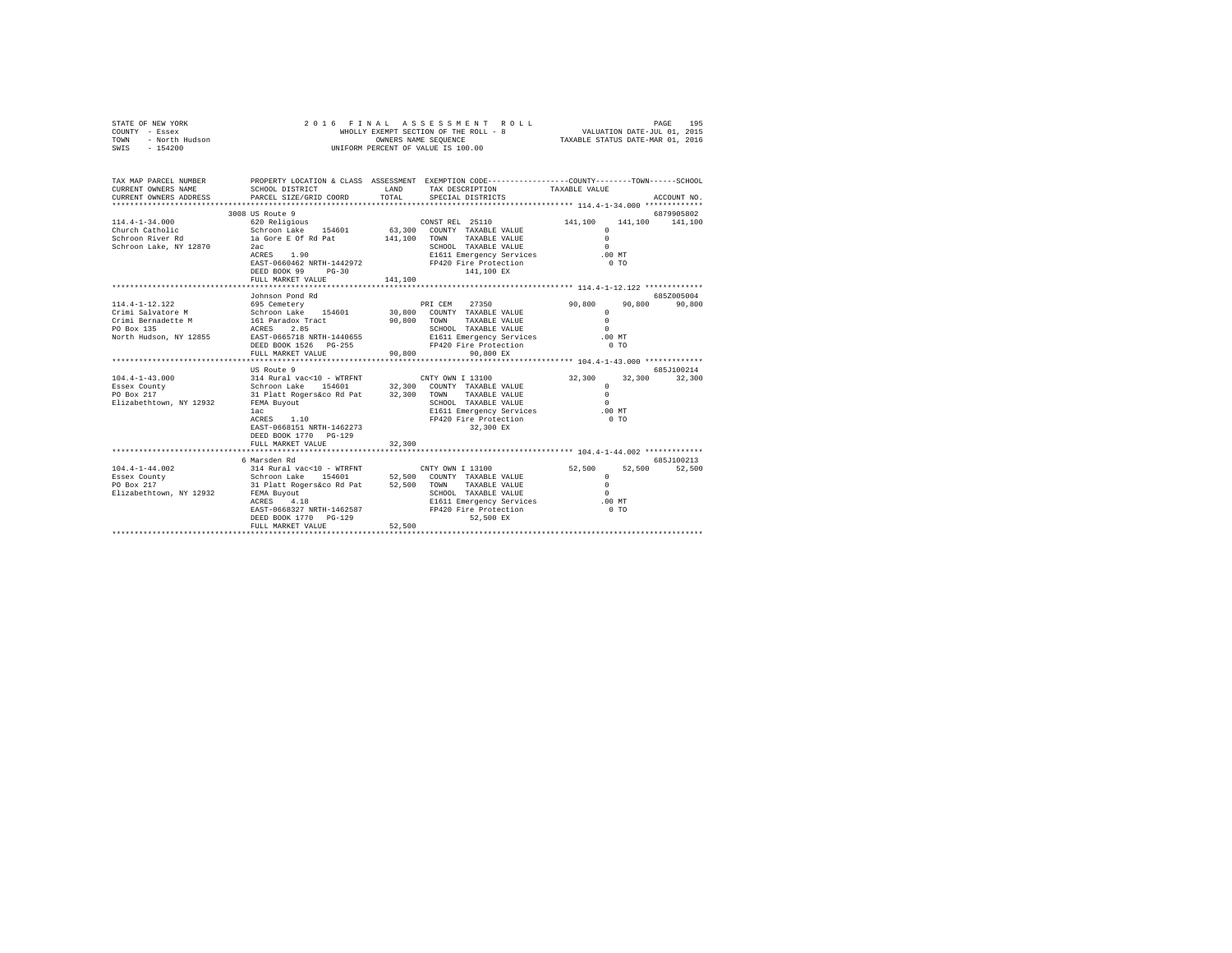| STATE OF NEW YORK<br>COUNTY - Essex<br>- Essex<br>- North Hudson<br>TOWN<br>$-154200$<br>SWIS                                                                                      | 2016 FINAL ASSESSMENT ROLL<br>$\begin{tabular}{lllllllll} \hline \texttt{PAGE} & 195 \\ \texttt{VALUATION DATE-JUL} & 01\texttt{,} & 2015 \\ \texttt{maxmin} & \texttt{maxmin} & \texttt{S} \\ \hline \end{tabular}$<br>WHOLLY EXEMPT SECTION OF THE ROLL - 8<br>OWNERS NAME SEQUENCE<br>UNIFORM PERCENT OF VALUE IS 100.00 |                    |                                                                                                                                                                                                                                                                                                                             |                                                                                                                                                    |                                              |  |  |  |  |  |
|------------------------------------------------------------------------------------------------------------------------------------------------------------------------------------|-----------------------------------------------------------------------------------------------------------------------------------------------------------------------------------------------------------------------------------------------------------------------------------------------------------------------------|--------------------|-----------------------------------------------------------------------------------------------------------------------------------------------------------------------------------------------------------------------------------------------------------------------------------------------------------------------------|----------------------------------------------------------------------------------------------------------------------------------------------------|----------------------------------------------|--|--|--|--|--|
| TAX MAP PARCEL NUMBER<br>CURRENT OWNERS NAME<br>CURRENT OWNERS ADDRESS<br>***********************                                                                                  | SCHOOL DISTRICT<br>PARCEL SIZE/GRID COORD                                                                                                                                                                                                                                                                                   | LAND<br>TOTAL      | PROPERTY LOCATION & CLASS ASSESSMENT EXEMPTION CODE---------------COUNTY-------TOWN-----SCHOOL<br>TAX DESCRIPTION<br>SPECIAL DISTRICTS                                                                                                                                                                                      | TAXABLE VALUE                                                                                                                                      | ACCOUNT NO.                                  |  |  |  |  |  |
| $114.4 - 1 - 34.000$<br>Church Catholic<br>Schroon River Rd<br>Schroon Lake, NY 12870                                                                                              | 3008 US Route 9<br>620 Religious<br>Schroon Lake 154601 63,300<br>la Gore E Of Rd Pat<br>2ac<br>ACRES 1.90<br>EAST-0660462 NRTH-1442972<br>DEED BOOK 99 PG-30<br>FULL MARKET VALUE                                                                                                                                          | 141,100<br>141,100 | CONST REL 25110<br>COUNTY TAXABLE VALUE<br>TOWN<br>TAXABLE VALUE<br>SCHOOL TAXABLE VALUE<br>E1611 Emergency Services<br>FP420 Fire Protection<br>141,100 EX                                                                                                                                                                 | 141,100<br>$\Omega$<br>$\Omega$<br>$\Omega$<br>$.00$ MT<br>0 <sub>T</sub>                                                                          | 6879905802<br>141,100 141,100                |  |  |  |  |  |
|                                                                                                                                                                                    |                                                                                                                                                                                                                                                                                                                             |                    |                                                                                                                                                                                                                                                                                                                             |                                                                                                                                                    |                                              |  |  |  |  |  |
| 114.4-1-12.122<br>Crimi Salvatore M<br>Crimi Bernadette M<br>PO Box 135<br>North Hudson, NY 12855<br>$104.4 - 1 - 43.000$<br>Essex County<br>PO Box 217<br>Elizabethtown, NY 12932 | Johnson Pond Rd<br>695 Cemetery<br>Schroon Lake 154601<br>161 Paradox Tract<br>ACRES<br>2.85<br>EAST-0665718 NRTH-1440655<br>DEED BOOK 1526 PG-255<br>FULL MARKET VALUE<br>US Route 9<br>314 Rural vac<10 - WTRFNT<br>Schroon Lake 154601<br>31 Platt Rogers&co Rd Pat 32,300<br>FEMA Buyout<br>lac<br>ACRES 1.10           | 90,800<br>90,800   | 27350<br>PRI CEM<br>30,800 COUNTY TAXABLE VALUE<br>TOWN<br>TAXABLE VALUE<br>SCHOOL TAXABLE VALUE<br>E1611 Emergency Services<br>FP420 Fire Protection<br>90.800 EX<br>CNTY OWN I 13100<br>32,300 COUNTY TAXABLE VALUE<br>TOWN<br>TAXABLE VALUE<br>SCHOOL TAXABLE VALUE<br>E1611 Emergency Services<br>FP420 Fire Protection | 90,800<br>90,800<br>$\Omega$<br>$\cap$<br>$\Omega$<br>$.00$ MT<br>0.70<br>32,300<br>32,300<br>$\cap$<br>$\Omega$<br>$\Omega$<br>$.00$ MT<br>$0$ TO | 685Z005004<br>90,800<br>685J100214<br>32,300 |  |  |  |  |  |
|                                                                                                                                                                                    | EAST-0668151 NRTH-1462273<br>DEED BOOK 1770 PG-129<br>FULL MARKET VALUE                                                                                                                                                                                                                                                     | 32,300             | 32,300 EX                                                                                                                                                                                                                                                                                                                   |                                                                                                                                                    |                                              |  |  |  |  |  |
| $104.4 - 1 - 44.002$<br>Essex County<br>PO Box 217<br>Elizabethtown, NY 12932                                                                                                      | 6 Marsden Rd<br>314 Rural vac<10 - WTRFNT<br>Schroon Lake 154601<br>31 Platt Rogers&co Rd Pat<br>FEMA Buyout<br>4.18<br>ACRES<br>EAST-0668327 NRTH-1462587<br>DEED BOOK 1770 PG-129<br>FULL MARKET VALUE                                                                                                                    | 52,500<br>52,500   | CNTY OWN I 13100<br>52,500 COUNTY TAXABLE VALUE<br>TAXABLE VALUE<br>TOWN<br>SCHOOL TAXABLE VALUE<br>E1611 Emergency Services<br>FP420 Fire Protection<br>52,500 EX                                                                                                                                                          | 52,500<br>52,500<br>$\Omega$<br>$\Omega$<br>$\Omega$<br>$.00$ MT<br>0 <sub>T</sub>                                                                 | 685J100213<br>52,500                         |  |  |  |  |  |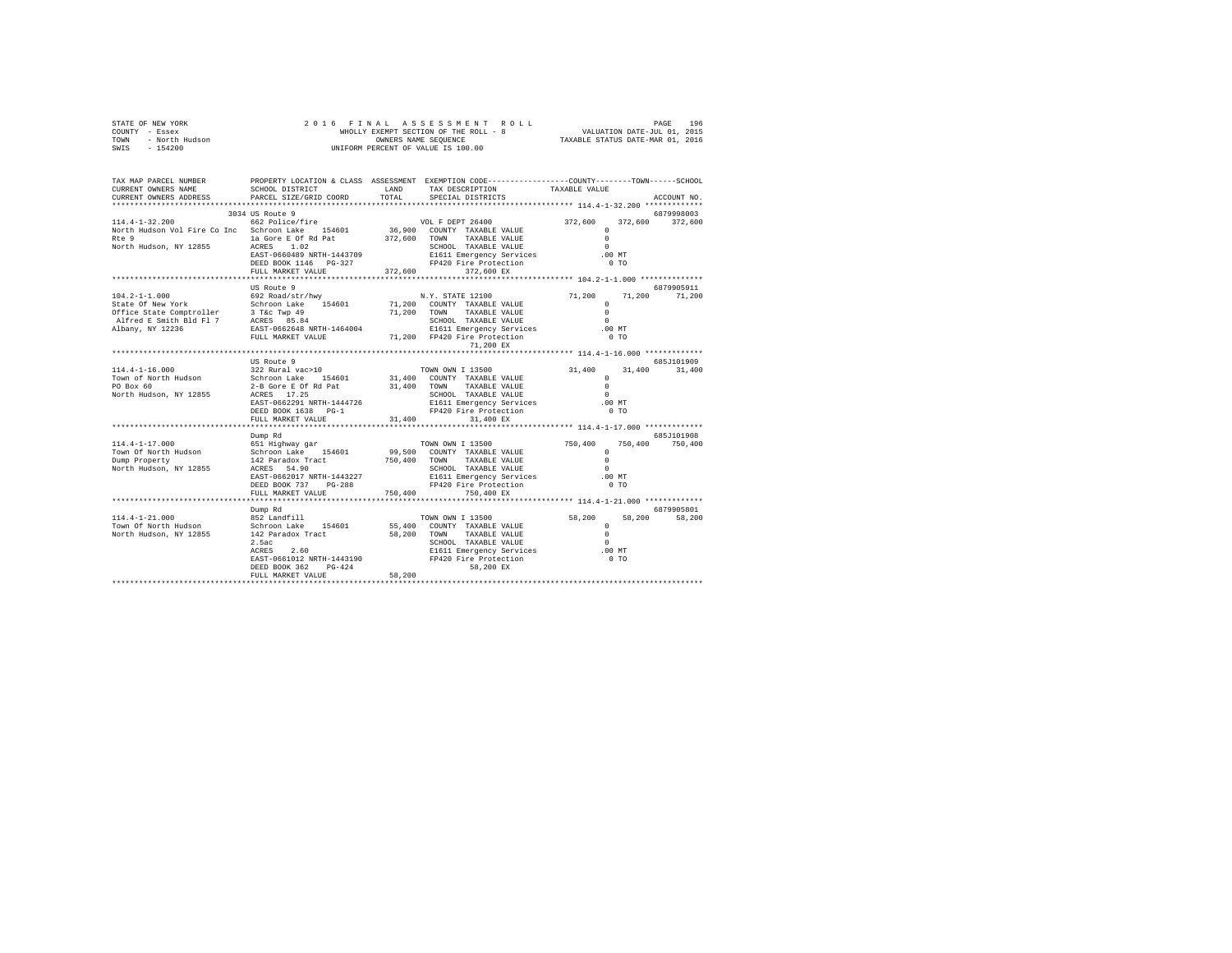|      | STATE OF NEW YORK |  |  |  | 2016 FINAL ASSESSMENT ROLL            | PAGE                             | 196 |
|------|-------------------|--|--|--|---------------------------------------|----------------------------------|-----|
|      | COUNTY - Essex    |  |  |  | WHOLLY EXEMPT SECTION OF THE ROLL - 8 | VALUATION DATE-JUL 01, 2015      |     |
| TOWN | - North Hudson    |  |  |  | OWNERS NAME SEOUENCE                  | TAXABLE STATUS DATE-MAR 01, 2016 |     |
| SWIS | - 154200          |  |  |  | UNIFORM PERCENT OF VALUE IS 100.00    |                                  |     |

| TAX MAP PARCEL NUMBER<br>CURRENT OWNERS NAME<br>CURRENT OWNERS ADDRESS                                                                                            | SCHOOL DISTRICT<br>PARCEL SIZE/GRID COORD                                                                                                                                                                                                                      | LAND<br>TOTAL | PROPERTY LOCATION & CLASS ASSESSMENT EXEMPTION CODE----------------COUNTY--------TOWN-----SCHOOL<br>TAX DESCRIPTION TAXABLE VALUE<br>SPECIAL DISTRICTS |                                                          | ACCOUNT NO.   |
|-------------------------------------------------------------------------------------------------------------------------------------------------------------------|----------------------------------------------------------------------------------------------------------------------------------------------------------------------------------------------------------------------------------------------------------------|---------------|--------------------------------------------------------------------------------------------------------------------------------------------------------|----------------------------------------------------------|---------------|
|                                                                                                                                                                   |                                                                                                                                                                                                                                                                |               |                                                                                                                                                        |                                                          |               |
|                                                                                                                                                                   | 3034 US Route 9                                                                                                                                                                                                                                                |               | VOL F DEPT 26400 0 372,600 372,600 372,600                                                                                                             |                                                          | 6879998003    |
| 114.4-1-32.200 662 Police/fire VOL FUBER 20400 2011<br>North Hudson Vol Fire Co Inc Schroon Lake 154601 36,900 COUNTY TAXABLE VALUE<br>272.600 TOWN TAXABLE VALUE | la Gore E Of Rd Pat                                                                                                                                                                                                                                            |               | 372,600 TOWN TAXABLE VALUE                                                                                                                             | $\circ$<br>$\Omega$                                      |               |
| North Hudson, NY 12855 ACRES 1.02                                                                                                                                 |                                                                                                                                                                                                                                                                |               | SCHOOL TAXABLE VALUE                                                                                                                                   | $\cap$                                                   |               |
|                                                                                                                                                                   | EAST-0660489 NRTH-1443709<br>DEED BOOK 1146 PG-327<br>FULL MARKET VALUE                                                                                                                                                                                        | 372,600       | E1611 Emergency Services<br>FP420 Fire Protection<br>372,600 EX                                                                                        | .00MT<br>0 <sub>T</sub>                                  |               |
|                                                                                                                                                                   |                                                                                                                                                                                                                                                                | ************  |                                                                                                                                                        | ************************** 104.2-1-1.000 *************** |               |
|                                                                                                                                                                   | US Route 9                                                                                                                                                                                                                                                     |               |                                                                                                                                                        |                                                          | 6879905911    |
| $104.2 - 1 - 1.000$<br>104.2-1-1.000<br>State Of New York                                                                                                         | 692 Road/str/hwy M.Y. STATE 12100<br>Schroon Lake 154601 71,200 COUNTY TAXABLE VALUE                                                                                                                                                                           |               |                                                                                                                                                        | 71,200<br>71,200<br>$\Omega$                             | 71,200        |
|                                                                                                                                                                   |                                                                                                                                                                                                                                                                |               | TAXABLE VALUE                                                                                                                                          | $\circ$                                                  |               |
| Office State Comptroller 3 T&c Twp 49 71,200 TOWN Alfred E Smith Bld Fl 7 ACRES 85.84                                                                             |                                                                                                                                                                                                                                                                |               | SCHOOL TAXABLE VALUE                                                                                                                                   | $\bigcap$                                                |               |
| Albany, NY 12236                                                                                                                                                  |                                                                                                                                                                                                                                                                |               | E1611 Emergency Services .00 MT                                                                                                                        |                                                          |               |
|                                                                                                                                                                   | ACRES 85.84 SCHOOL TAXABLE VALUE<br>EAST-0662648 NRTH-1464004 E1611 Emergency Service<br>FULL MARKET VALUE 71,200 FP420 Fire Protection                                                                                                                        |               |                                                                                                                                                        | 0 <sub>T</sub>                                           |               |
|                                                                                                                                                                   |                                                                                                                                                                                                                                                                |               | 71,200 EX                                                                                                                                              |                                                          |               |
|                                                                                                                                                                   | US Route 9                                                                                                                                                                                                                                                     |               |                                                                                                                                                        |                                                          | 685J101909    |
| $114.4 - 1 - 16.000$                                                                                                                                              | 322 Rural vac>10                                                                                                                                                                                                                                               |               | TOWN OWN I 13500                                                                                                                                       | 31,400                                                   | 31,400 31,400 |
| Town of North Hudson                                                                                                                                              | Schroon Lake 154601<br>2-B Gore E Of Rd Pat                                                                                                                                                                                                                    |               | 31,400 COUNTY TAXABLE VALUE<br>31,400 TOWN TAXABLE VALUE                                                                                               | $\circ$                                                  |               |
| PO Box 60                                                                                                                                                         |                                                                                                                                                                                                                                                                |               |                                                                                                                                                        | $\Omega$                                                 |               |
| North Hudson, NY 12855                                                                                                                                            | ACRES 17.25                                                                                                                                                                                                                                                    |               |                                                                                                                                                        |                                                          |               |
|                                                                                                                                                                   | DEED BOOK 1638 PG-1                                                                                                                                                                                                                                            |               | FP420 Fire Protection                                                                                                                                  | 0 <sub>T</sub>                                           |               |
|                                                                                                                                                                   | FULL MARKET VALUE                                                                                                                                                                                                                                              | 31,400        | 31,400 EX                                                                                                                                              |                                                          |               |
|                                                                                                                                                                   | ***********************                                                                                                                                                                                                                                        |               |                                                                                                                                                        |                                                          |               |
|                                                                                                                                                                   |                                                                                                                                                                                                                                                                |               |                                                                                                                                                        |                                                          | 685J101908    |
|                                                                                                                                                                   |                                                                                                                                                                                                                                                                |               |                                                                                                                                                        | 750.400 750.400 750.400<br>$\Omega$                      |               |
|                                                                                                                                                                   |                                                                                                                                                                                                                                                                |               |                                                                                                                                                        | $\Omega$                                                 |               |
|                                                                                                                                                                   |                                                                                                                                                                                                                                                                |               |                                                                                                                                                        | $\Omega$                                                 |               |
|                                                                                                                                                                   | EAST-0662017 NRTH-1443227                                                                                                                                                                                                                                      |               | E1611 Emergency Services<br>FP420 Fire Protection                                                                                                      | $.00$ MT                                                 |               |
|                                                                                                                                                                   | DEED BOOK 737<br>PG-288                                                                                                                                                                                                                                        |               |                                                                                                                                                        | 0 <sub>T</sub>                                           |               |
|                                                                                                                                                                   | FULL MARKET VALUE<br>********************                                                                                                                                                                                                                      | 750,400       | 750,400 EX                                                                                                                                             |                                                          |               |
|                                                                                                                                                                   | Dump Rd                                                                                                                                                                                                                                                        |               |                                                                                                                                                        |                                                          | 6879905801    |
| $114.4 - 1 - 21.000$                                                                                                                                              | andfill<br>Reference and the schroon Lake 154601 55,4                                                                                                                                                                                                          |               |                                                                                                                                                        |                                                          | 58,200        |
| Town Of North Hudson                                                                                                                                              |                                                                                                                                                                                                                                                                |               |                                                                                                                                                        |                                                          |               |
| North Hudson, NY 12855 142 Paradox Tract 58,200                                                                                                                   |                                                                                                                                                                                                                                                                |               | TOWN OWN I 13500 58,200 58,200<br>55,400 COUNTY TAXABLE VALUE 58,200 59,200<br>58,200 TOWN TAXABLE VALUE 0                                             |                                                          |               |
|                                                                                                                                                                   | 2.5ac                                                                                                                                                                                                                                                          |               | SCHOOL TAXABLE VALUE                                                                                                                                   | $\sim$                                                   |               |
|                                                                                                                                                                   | $\begin{array}{lllllllllllll} \text{X-BG} & \text{SLOH} & \text{SLOH} & \text{MAD} & \text{MAD} \\ \text{ACRES} & 2.60 & \text{E1611} & \text{Emegency Service} \\ \text{EAST-0661012 NRTH-1443190} & & \text{FP420 Fire Protocol} & \text{SETIC} \end{array}$ |               | E1611 Emergency Services .00 MT                                                                                                                        | 0 <sub>T</sub>                                           |               |
|                                                                                                                                                                   | DEED BOOK 362<br>$PG-424$                                                                                                                                                                                                                                      |               | 58,200 EX                                                                                                                                              |                                                          |               |
|                                                                                                                                                                   | FULL MARKET VALUE                                                                                                                                                                                                                                              | 58,200        |                                                                                                                                                        |                                                          |               |
|                                                                                                                                                                   |                                                                                                                                                                                                                                                                |               |                                                                                                                                                        |                                                          |               |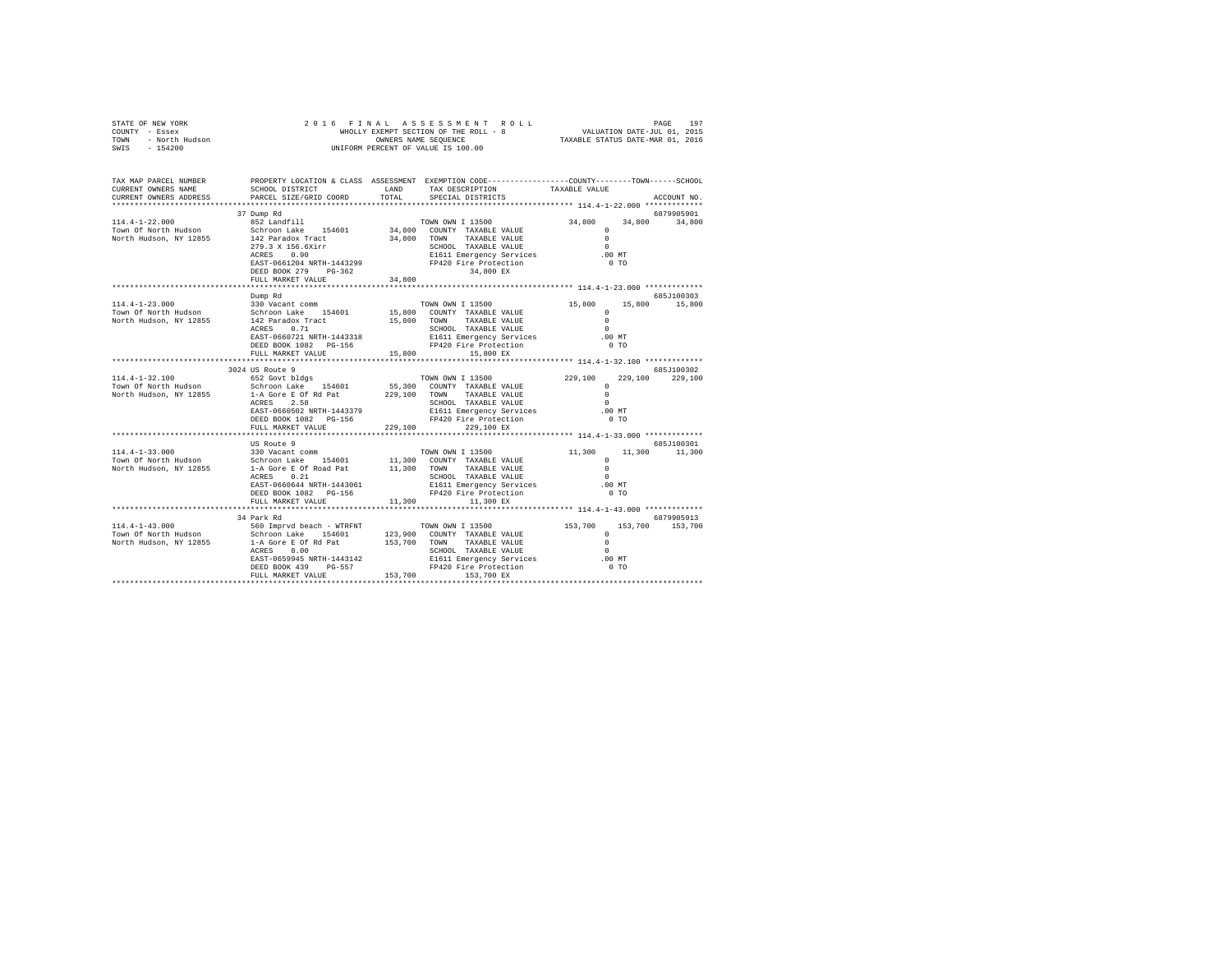|                                                          |                                 |                                                                                                                               |                          |  |                                                                                                                                                                                                                                                                                                                                                                                                                                                                                |                                                                                                                                                                                                                                                                                                     | ACCOUNT NO.                                                                                                                                                                                                                                                                                                                                                                                                                                                                                                                           |
|----------------------------------------------------------|---------------------------------|-------------------------------------------------------------------------------------------------------------------------------|--------------------------|--|--------------------------------------------------------------------------------------------------------------------------------------------------------------------------------------------------------------------------------------------------------------------------------------------------------------------------------------------------------------------------------------------------------------------------------------------------------------------------------|-----------------------------------------------------------------------------------------------------------------------------------------------------------------------------------------------------------------------------------------------------------------------------------------------------|---------------------------------------------------------------------------------------------------------------------------------------------------------------------------------------------------------------------------------------------------------------------------------------------------------------------------------------------------------------------------------------------------------------------------------------------------------------------------------------------------------------------------------------|
| 852 Landfill                                             |                                 |                                                                                                                               |                          |  |                                                                                                                                                                                                                                                                                                                                                                                                                                                                                |                                                                                                                                                                                                                                                                                                     | 6879905901                                                                                                                                                                                                                                                                                                                                                                                                                                                                                                                            |
|                                                          |                                 |                                                                                                                               |                          |  |                                                                                                                                                                                                                                                                                                                                                                                                                                                                                |                                                                                                                                                                                                                                                                                                     |                                                                                                                                                                                                                                                                                                                                                                                                                                                                                                                                       |
| Dump Rd                                                  |                                 |                                                                                                                               |                          |  |                                                                                                                                                                                                                                                                                                                                                                                                                                                                                |                                                                                                                                                                                                                                                                                                     | 685.7100303                                                                                                                                                                                                                                                                                                                                                                                                                                                                                                                           |
|                                                          |                                 |                                                                                                                               |                          |  |                                                                                                                                                                                                                                                                                                                                                                                                                                                                                |                                                                                                                                                                                                                                                                                                     |                                                                                                                                                                                                                                                                                                                                                                                                                                                                                                                                       |
|                                                          |                                 |                                                                                                                               |                          |  |                                                                                                                                                                                                                                                                                                                                                                                                                                                                                |                                                                                                                                                                                                                                                                                                     |                                                                                                                                                                                                                                                                                                                                                                                                                                                                                                                                       |
| 3024 US Route 9                                          |                                 |                                                                                                                               |                          |  |                                                                                                                                                                                                                                                                                                                                                                                                                                                                                |                                                                                                                                                                                                                                                                                                     | 685-7100302                                                                                                                                                                                                                                                                                                                                                                                                                                                                                                                           |
| 652 Govt bldgs<br>ACRES 2.58<br>DEED BOOK 1082    PG-156 |                                 |                                                                                                                               |                          |  | $\sim$ 0                                                                                                                                                                                                                                                                                                                                                                                                                                                                       |                                                                                                                                                                                                                                                                                                     |                                                                                                                                                                                                                                                                                                                                                                                                                                                                                                                                       |
|                                                          |                                 |                                                                                                                               |                          |  |                                                                                                                                                                                                                                                                                                                                                                                                                                                                                |                                                                                                                                                                                                                                                                                                     |                                                                                                                                                                                                                                                                                                                                                                                                                                                                                                                                       |
| US Route 9<br>ACRES 0.21<br>DEED BOOK 1082 PG-156        |                                 |                                                                                                                               |                          |  | $\sim$                                                                                                                                                                                                                                                                                                                                                                                                                                                                         |                                                                                                                                                                                                                                                                                                     | 685J100301<br>11,300 11,300                                                                                                                                                                                                                                                                                                                                                                                                                                                                                                           |
|                                                          |                                 |                                                                                                                               |                          |  |                                                                                                                                                                                                                                                                                                                                                                                                                                                                                |                                                                                                                                                                                                                                                                                                     |                                                                                                                                                                                                                                                                                                                                                                                                                                                                                                                                       |
| 34 Park Rd                                               |                                 |                                                                                                                               |                          |  |                                                                                                                                                                                                                                                                                                                                                                                                                                                                                |                                                                                                                                                                                                                                                                                                     | 6879905913                                                                                                                                                                                                                                                                                                                                                                                                                                                                                                                            |
|                                                          | 37 Dump Rd<br>FULL MARKET VALUE | CURRENT OWNERS ADDRESS PARCEL SIZE/GRID COORD TOTAL<br>$ACRES$ 0.90<br>EAST-0660502 NRTH-1443379<br>EAST-0660644 NRTH-1443061 | FULL MARKET VALUE 34,800 |  | SPECIAL DISTRICTS<br>34,800 EX<br>FULL MARKET VALUE $15.800$ $15.800$ EX<br>TOWN OWN I 13500<br>Schroon Lake 154601 55,300 COUNTY TAXABLE VALUE<br>1-A Gore E of Rd Pat 229,100 TOWN TAXABLE VALUE<br>ACRE 2 5 8 229,100 TOWN TAXABLE VALUE<br>229,100 229,100 EX<br>330 Vacant comm<br>Schroon Lake 154601 11,300 COUNTY TAXABLE VALUE<br>1-4 Gore E of Road Pat 11,300 TOWN TAXABLE VALUE<br>1-7 C 231 COUNTY SCHOOL TAXABLE VALUE<br>FULL MARKET VALUE $11,300$ $11,300$ EX | SCHOOL DISTRICT                     LAND        TAX DESCRIPTION                 TAXABLE VALUE<br>TOWN OWN I 13500<br>SCHOOL TAXABLE VALUE<br>E1611 Emergency Services<br>FP420 Fire Protection<br>SCHOOL TAXABLE VALUE<br>SCHOOL TAXABLE VALUE<br>E1611 Emergency Services<br>FP420 Fire Protection | TAX MAP PARCEL NUMBER PROPERTY LOCATION & CLASS ASSESSMENT EXEMPTION CODE---------------COUNTY-------TOWN------SCHOOL<br>34,800 34,800 34,800<br>11111-12-2.000<br>Town Of North Hudson Schroon Lake 154601 34,800 COUNTY TAXABLE VALUE 0<br>North Hudson, NY 12855 142 Paradox Tract 34,800 TOWN TAXABLE VALUE 0<br>TOWN OWN I 13500 15,800 15,800 15,800<br>$\begin{array}{cccc} 229,100 & & 229,100 & & 229,100 \\ & & 0 & & & \\ 0 & & & & \end{array}$<br>.00 MT<br>0 <sub>T</sub><br>ALUE 11,300 0<br>ALUE 0<br>.00MT<br>$0$ TO |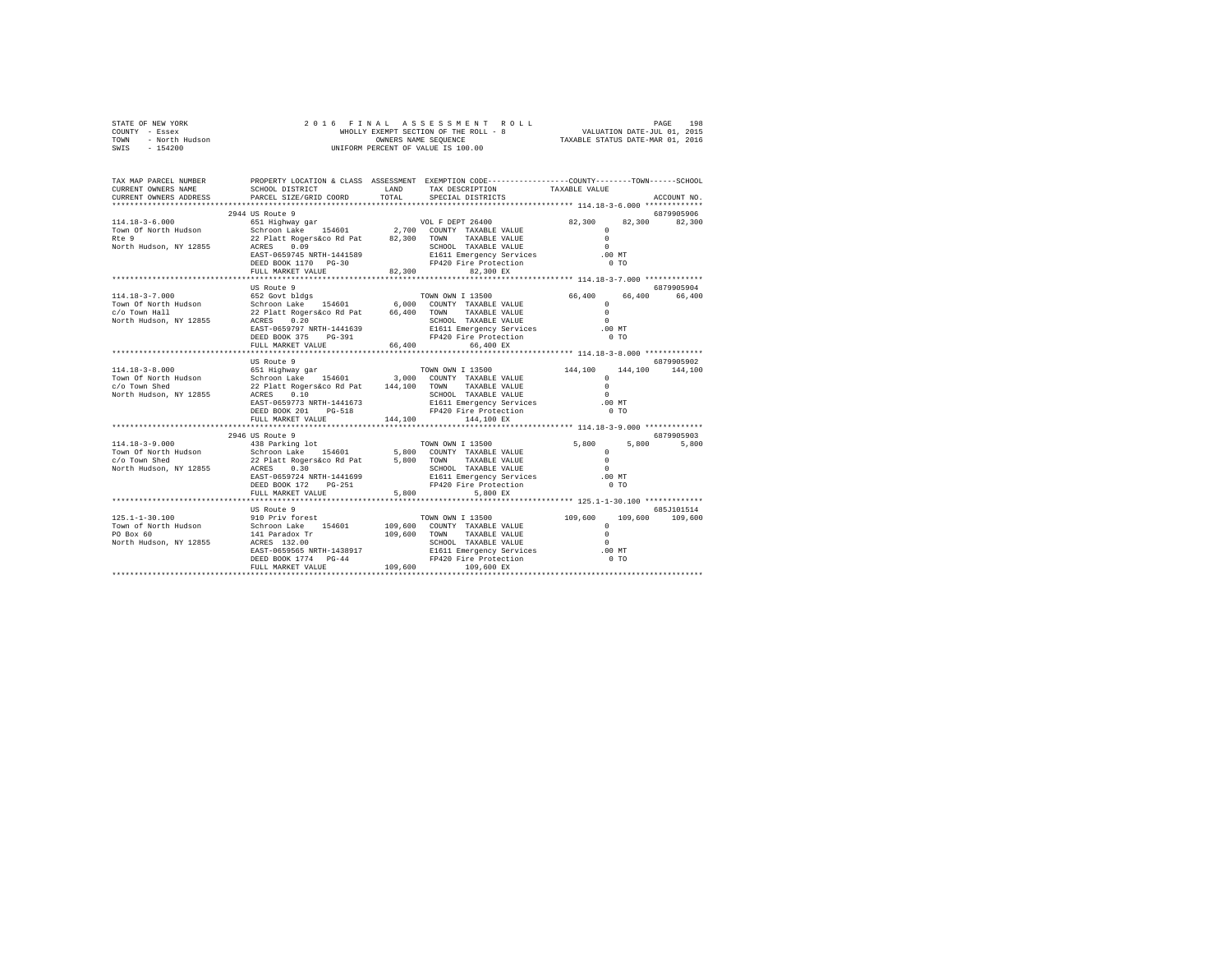| STATE OF NEW YORK      | 2016 FINAL ASSESSMENT ROLL            | 198<br>PAGE                      |
|------------------------|---------------------------------------|----------------------------------|
| COUNTY<br>- Essex      | WHOLLY EXEMPT SECTION OF THE ROLL - 8 | VALUATION DATE-JUL 01, 2015      |
| - North Hudson<br>TOWN | OWNERS NAME SEOUENCE                  | TAXABLE STATUS DATE-MAR 01, 2016 |
| $-154200$<br>SWIS      | UNIFORM PERCENT OF VALUE IS 100.00    |                                  |

| TAX MAP PARCEL NUMBER<br>CURRENT OWNERS NAME | SCHOOL DISTRICT                                                                                                                                                                                                                                                                                          | LAND   | PROPERTY LOCATION & CLASS ASSESSMENT EXEMPTION CODE---------------COUNTY-------TOWN------SCHOOL<br>TAX DESCRIPTION | TAXABLE VALUE           |                 |
|----------------------------------------------|----------------------------------------------------------------------------------------------------------------------------------------------------------------------------------------------------------------------------------------------------------------------------------------------------------|--------|--------------------------------------------------------------------------------------------------------------------|-------------------------|-----------------|
| CURRENT OWNERS ADDRESS                       | PARCEL SIZE/GRID COORD                                                                                                                                                                                                                                                                                   | TOTAL  | SPECIAL DISTRICTS                                                                                                  |                         | ACCOUNT NO.     |
|                                              |                                                                                                                                                                                                                                                                                                          |        |                                                                                                                    |                         | 6879905906      |
|                                              |                                                                                                                                                                                                                                                                                                          |        |                                                                                                                    | 82,300 82,300 82,300    |                 |
|                                              |                                                                                                                                                                                                                                                                                                          |        |                                                                                                                    | $\circ$                 |                 |
|                                              |                                                                                                                                                                                                                                                                                                          |        |                                                                                                                    | $\Omega$                |                 |
|                                              |                                                                                                                                                                                                                                                                                                          |        |                                                                                                                    | $\sim$ 0                |                 |
|                                              | EAST-0659745 NRTH-1441589                                                                                                                                                                                                                                                                                |        | E1611 Emergency Services                                                                                           | .00MT                   |                 |
|                                              | DEED BOOK 1170 PG-30                                                                                                                                                                                                                                                                                     |        | FP420 Fire Protection                                                                                              | $0$ TO                  |                 |
|                                              | FULL MARKET VALUE                                                                                                                                                                                                                                                                                        | 82.300 | 82.300 EX                                                                                                          |                         |                 |
|                                              |                                                                                                                                                                                                                                                                                                          |        |                                                                                                                    |                         |                 |
|                                              | US Route 9                                                                                                                                                                                                                                                                                               |        |                                                                                                                    |                         | 6879905904      |
|                                              | 114.18-3-7.000 652 Govt bidgs<br>Town Of North Hudson S2 Govt bidgs 154601 6,000 COUNTY TAXABLE VALUE 6<br>C/O Town Hall Schroon Lake 22 Platt Rogers 60 84 66,400 TOWN TAXABLE VALUE 0<br>North Hudson, NY 12855 ACRES 0.20<br>North Huds                                                               |        |                                                                                                                    | 66,400 66,400           | 66,400          |
|                                              |                                                                                                                                                                                                                                                                                                          |        |                                                                                                                    |                         |                 |
|                                              |                                                                                                                                                                                                                                                                                                          |        |                                                                                                                    |                         |                 |
|                                              |                                                                                                                                                                                                                                                                                                          |        |                                                                                                                    |                         |                 |
|                                              |                                                                                                                                                                                                                                                                                                          |        | SCHOOL TAXABLE VALUE 0<br>E1611 Emergency Services 0.00 MT                                                         |                         |                 |
|                                              | DEED BOOK 375 PG-391                                                                                                                                                                                                                                                                                     |        |                                                                                                                    | $0$ TO                  |                 |
|                                              | FULL MARKET VALUE                                                                                                                                                                                                                                                                                        | 66,400 | $FP420$ Fire Protection<br>$\frac{66}{100}$ FY<br>66,400 EX                                                        |                         |                 |
|                                              |                                                                                                                                                                                                                                                                                                          |        |                                                                                                                    |                         |                 |
|                                              | US Route 9                                                                                                                                                                                                                                                                                               |        |                                                                                                                    |                         | 6879905902      |
| $114.18 - 3 - 8.000$                         |                                                                                                                                                                                                                                                                                                          |        | TOWN OWN I 13500                                                                                                   | 144,100 144,100 144,100 |                 |
| Town Of North Hudson                         |                                                                                                                                                                                                                                                                                                          |        |                                                                                                                    | $\Omega$                |                 |
| c/o Town Shed                                |                                                                                                                                                                                                                                                                                                          |        |                                                                                                                    | $\Omega$                |                 |
| North Hudson, NY 12855                       |                                                                                                                                                                                                                                                                                                          |        |                                                                                                                    | $\sim$                  |                 |
|                                              | EAST-0659773 NRTH-1441673                                                                                                                                                                                                                                                                                |        | SCHOOL TAXABLE VALUE<br>E1611 Emergency Services<br>FP420 Fire Protection                                          | .00 MT                  |                 |
|                                              | DEED BOOK 201 PG-518                                                                                                                                                                                                                                                                                     |        | FP420 Fire Protection                                                                                              | 0 <sub>T</sub>          |                 |
|                                              | FULL MARKET VALUE 144,100                                                                                                                                                                                                                                                                                |        | 144,100 EX                                                                                                         |                         |                 |
|                                              |                                                                                                                                                                                                                                                                                                          |        |                                                                                                                    |                         |                 |
|                                              | 114.18-13-9 (19946 US Route 9<br>1046 US Route 9<br>1047.18-2-9.000 COUNTY TAXABLE VALUE<br>104800 Schroon Lake 154601 5,800 COUNTY TAXABLE VALUE<br>107.18 SCHOOL TAXABLE VALUE<br>107.18.18.18.19.100 COUNTY TAXABLE VALUE<br>10800 SCHO                                                               |        |                                                                                                                    |                         | 6879905903      |
|                                              |                                                                                                                                                                                                                                                                                                          |        |                                                                                                                    | 5,800<br>5,800          | 5,800           |
|                                              |                                                                                                                                                                                                                                                                                                          |        |                                                                                                                    | $^{\circ}$              |                 |
|                                              |                                                                                                                                                                                                                                                                                                          |        |                                                                                                                    | $\Omega$                |                 |
|                                              |                                                                                                                                                                                                                                                                                                          |        | SCHOOL TAXABLE VALUE                                                                                               | $\Omega$                |                 |
|                                              |                                                                                                                                                                                                                                                                                                          |        |                                                                                                                    | .00MT                   |                 |
|                                              |                                                                                                                                                                                                                                                                                                          |        | E1611 Emergency Services<br>FP420 Fire Protection                                                                  | $0$ TO                  |                 |
|                                              |                                                                                                                                                                                                                                                                                                          |        |                                                                                                                    |                         |                 |
|                                              |                                                                                                                                                                                                                                                                                                          |        |                                                                                                                    |                         |                 |
|                                              | US Route 9                                                                                                                                                                                                                                                                                               |        |                                                                                                                    |                         | 685J101514      |
| $125.1 - 1 - 30.100$                         | 910 Priv forest                                                                                                                                                                                                                                                                                          |        | TOWN OWN I 13500                                                                                                   | 109,600                 | 109,600 109,600 |
|                                              |                                                                                                                                                                                                                                                                                                          |        |                                                                                                                    |                         |                 |
|                                              |                                                                                                                                                                                                                                                                                                          |        |                                                                                                                    |                         |                 |
|                                              |                                                                                                                                                                                                                                                                                                          |        |                                                                                                                    |                         |                 |
|                                              |                                                                                                                                                                                                                                                                                                          |        |                                                                                                                    |                         |                 |
|                                              |                                                                                                                                                                                                                                                                                                          |        |                                                                                                                    |                         |                 |
|                                              | $\begin{tabular}{lllllllllll} \textsc{19.3} & 1.1-3.01 & 109, 600 & 0.00087 & 1038 & 109, 600 & 1038 \\ \textsc{19.3} & 1.1-3.01 & 109 & 1091 & 1091 & 1098 \\ \textsc{19.3} & 60 & 60 & 10 & 1091 & 1091 & 1091 & 1091 \\ \textsc{19.3} & 60 & 60 & 10 & 10 & 1091 & 1091 & 1091 \\ \textsc{19.3} & 60$ |        |                                                                                                                    |                         |                 |
|                                              |                                                                                                                                                                                                                                                                                                          |        |                                                                                                                    |                         |                 |
|                                              |                                                                                                                                                                                                                                                                                                          |        |                                                                                                                    |                         |                 |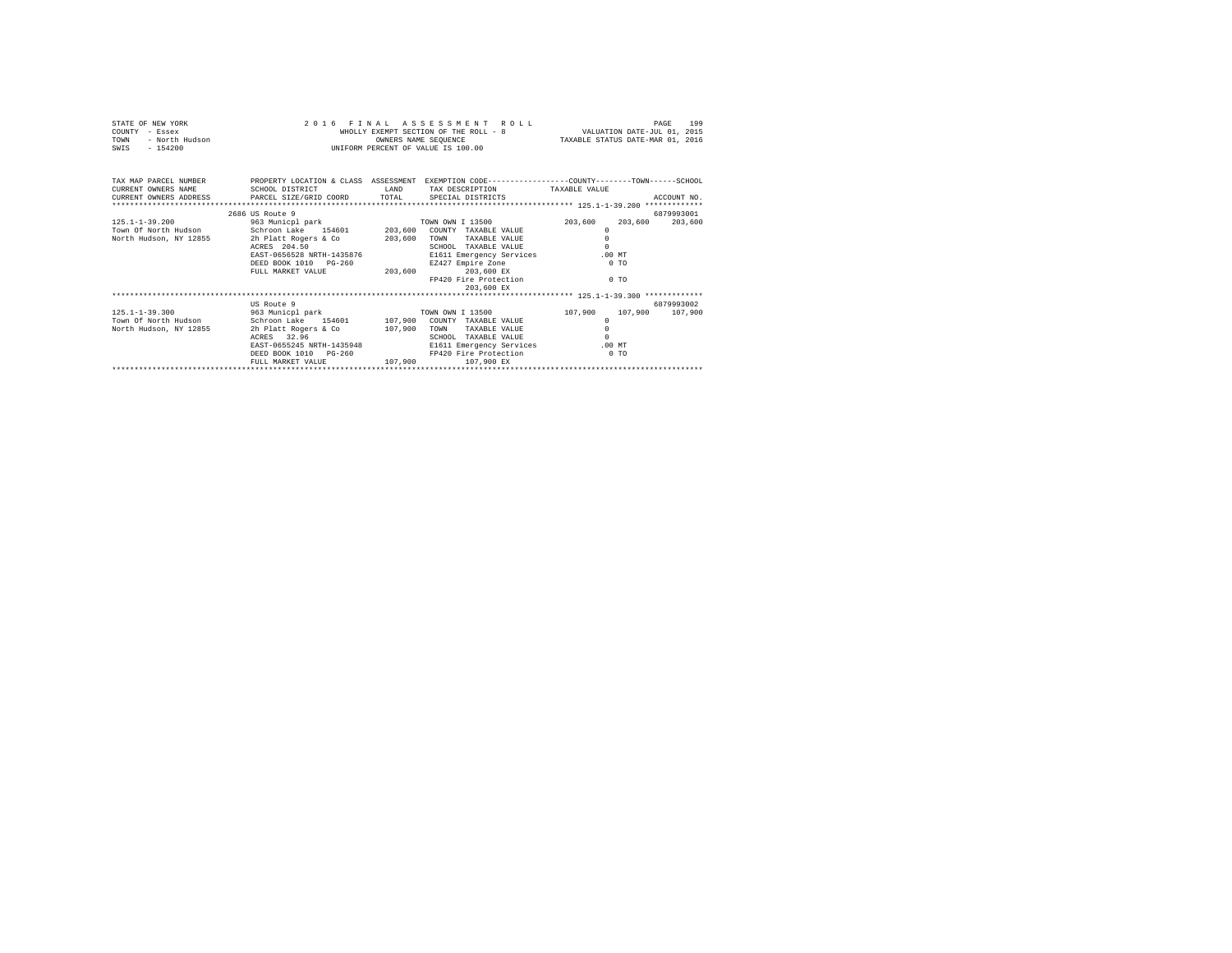| STATE OF NEW YORK<br>NEW YORK<br>- Essex<br>- Morth Hudson<br>- Indian<br>COUNTY - Essex<br>TOWN<br>$-154200$<br>SWIS |                                                                                                 |         | 2016 FINAL ASSESSMENT ROLL<br>WHOLLY EXEMPT SECTION OF THE ROLL - 8 VALUATION DATE-JUL 01, 2015<br>OWNERS NAME SEQUENCE TAXABLE STATUS DATE-MAR 01, 2016<br>UNIFORM PERCENT OF VALUE IS 100.00 |          |                 | 199<br>PAGE |  |  |
|-----------------------------------------------------------------------------------------------------------------------|-------------------------------------------------------------------------------------------------|---------|------------------------------------------------------------------------------------------------------------------------------------------------------------------------------------------------|----------|-----------------|-------------|--|--|
| TAX MAP PARCEL NUMBER                                                                                                 | PROPERTY LOCATION & CLASS ASSESSMENT EXEMPTION CODE---------------COUNTY-------TOWN------SCHOOL |         |                                                                                                                                                                                                |          |                 |             |  |  |
| CURRENT OWNERS NAME                                                                                                   | SCHOOL DISTRICT                                                                                 |         | LAND TAX DESCRIPTION TAXABLE VALUE                                                                                                                                                             |          |                 |             |  |  |
| CURRENT OWNERS ADDRESS 6 PARCEL SIZE/GRID COORD 6 TOTAL SPECIAL DISTRICTS                                             |                                                                                                 |         |                                                                                                                                                                                                |          |                 | ACCOUNT NO. |  |  |
|                                                                                                                       |                                                                                                 |         |                                                                                                                                                                                                |          |                 |             |  |  |
|                                                                                                                       | 2686 US Route 9                                                                                 |         |                                                                                                                                                                                                |          |                 | 6879993001  |  |  |
|                                                                                                                       |                                                                                                 |         |                                                                                                                                                                                                | 203,600  | 203,600         | 203,600     |  |  |
|                                                                                                                       |                                                                                                 |         |                                                                                                                                                                                                | $\Omega$ |                 |             |  |  |
| North Hudson, NY 12855                                                                                                |                                                                                                 |         |                                                                                                                                                                                                | $\Omega$ |                 |             |  |  |
|                                                                                                                       | ACRES 204.50                                                                                    |         | SCHOOL TAXABLE VALUE                                                                                                                                                                           | $\Omega$ |                 |             |  |  |
|                                                                                                                       | EAST-0656528 NRTH-1435876 E1611 Emergency Services                                              |         |                                                                                                                                                                                                | .00MT    |                 |             |  |  |
|                                                                                                                       | DEED BOOK 1010 PG-260 BZ427 Empire Zone                                                         |         |                                                                                                                                                                                                |          | 0.70            |             |  |  |
|                                                                                                                       | FULL MARKET VALUE $203.600$ $203.600$ EX                                                        |         |                                                                                                                                                                                                |          |                 |             |  |  |
|                                                                                                                       |                                                                                                 |         | FP420 Fire Protection                                                                                                                                                                          | $0$ TO   |                 |             |  |  |
|                                                                                                                       |                                                                                                 |         | 203,600 EX                                                                                                                                                                                     |          |                 |             |  |  |
|                                                                                                                       | US Route 9                                                                                      |         |                                                                                                                                                                                                |          |                 | 6879993002  |  |  |
|                                                                                                                       |                                                                                                 |         |                                                                                                                                                                                                |          |                 |             |  |  |
| $125.1 - 1 - 39.300$<br>Town Of North Hudson Schroon Lake 154601 107,900 COUNTY TAXABLE VALUE                         | 963 Municpl park 6 700 TOWN OWN I 13500 107,900                                                 |         |                                                                                                                                                                                                | $\Omega$ | 107,900 107,900 |             |  |  |
| North Hudson, NY 12855                                                                                                |                                                                                                 |         |                                                                                                                                                                                                | $\Omega$ |                 |             |  |  |
|                                                                                                                       | ACRES 32.96                                                                                     |         | SCHOOL TAXABLE VALUE                                                                                                                                                                           |          |                 |             |  |  |
|                                                                                                                       | EAST-0655245 NRTH-1435948 E1611 Emergency Services                                              |         |                                                                                                                                                                                                |          | $.00$ MT        |             |  |  |
|                                                                                                                       | DEED BOOK 1010 PG-260 FP420 Fire Protection                                                     |         |                                                                                                                                                                                                | $0$ TO   |                 |             |  |  |
|                                                                                                                       | FULL MARKET VALUE                                                                               | 107,900 | 107,900 EX                                                                                                                                                                                     |          |                 |             |  |  |
|                                                                                                                       |                                                                                                 |         |                                                                                                                                                                                                |          |                 |             |  |  |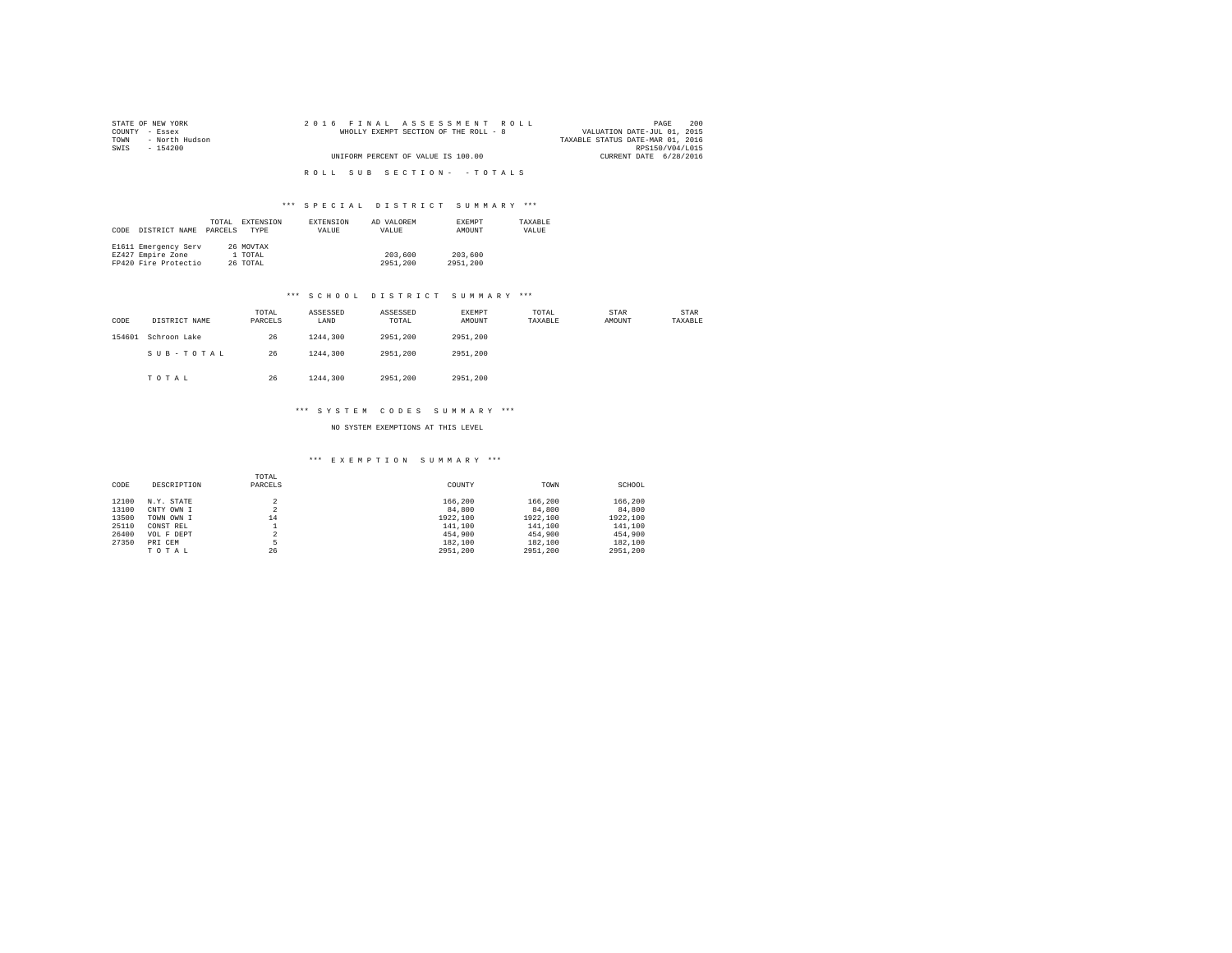| STATE OF NEW YORK      | 2016 FINAL ASSESSMENT ROLL            | 200<br>PAGE                      |
|------------------------|---------------------------------------|----------------------------------|
| COUNTY - Essex         | WHOLLY EXEMPT SECTION OF THE ROLL - 8 | VALUATION DATE-JUL 01, 2015      |
| - North Hudson<br>TOWN |                                       | TAXABLE STATUS DATE-MAR 01, 2016 |
| SWIS<br>- 154200       |                                       | RPS150/V04/L015                  |
|                        | UNIFORM PERCENT OF VALUE IS 100.00    | CURRENT DATE 6/28/2016           |
|                        |                                       |                                  |
|                        | ROLL SUB SECTION- - TOTALS            |                                  |

| CODE | DISTRICT NAME        | TOTAL<br>PARCELS | EXTENSION<br><b>TYPE</b> | EXTENSION<br>VALUE | AD VALOREM<br>VALUE | <b>EXEMPT</b><br>AMOUNT | TAXARLE<br>VALUE |
|------|----------------------|------------------|--------------------------|--------------------|---------------------|-------------------------|------------------|
|      | E1611 Emergency Serv |                  | 26 MOVTAX                |                    |                     |                         |                  |
|      | EZ427 Empire Zone    |                  | 1 TOTAL                  |                    | 203,600             | 203,600                 |                  |
|      | FP420 Fire Protectio |                  | 26 TOTAL                 |                    | 2951,200            | 2951,200                |                  |

#### \*\*\* S C H O O L D I S T R I C T S U M M A R Y \*\*\*

| CODE   | DISTRICT NAME | TOTAL<br>PARCELS | ASSESSED<br>LAND | ASSESSED<br>TOTAL | <b>EXEMPT</b><br>AMOUNT | TOTAL<br>TAXABLE | STAR<br>AMOUNT | STAR<br>TAXABLE |
|--------|---------------|------------------|------------------|-------------------|-------------------------|------------------|----------------|-----------------|
| 154601 | Schroon Lake  | 26               | 1244,300         | 2951,200          | 2951.200                |                  |                |                 |
|        | SUB-TOTAL     | 26               | 1244,300         | 2951,200          | 2951,200                |                  |                |                 |
|        | TOTAL         | 26               | 1244,300         | 2951,200          | 2951,200                |                  |                |                 |

#### \*\*\* S Y S T E M C O D E S S U M M A R Y \*\*\*

NO SYSTEM EXEMPTIONS AT THIS LEVEL

| CODE  | DESCRIPTION | TOTAL<br>PARCELS | COUNTY   | TOWN     | SCHOOL   |
|-------|-------------|------------------|----------|----------|----------|
| 12100 | N.Y. STATE  | $\overline{a}$   | 166,200  | 166,200  | 166,200  |
| 13100 | CNTY OWN I  | 2                | 84,800   | 84,800   | 84,800   |
| 13500 | TOWN OWN I  | 14               | 1922,100 | 1922,100 | 1922,100 |
| 25110 | CONST REL   |                  | 141,100  | 141,100  | 141,100  |
| 26400 | VOL F DEPT  | $\overline{a}$   | 454,900  | 454,900  | 454,900  |
| 27350 | PRI CEM     |                  | 182,100  | 182,100  | 182,100  |
|       | TOTAL       | 26               | 2951.200 | 2951,200 | 2951,200 |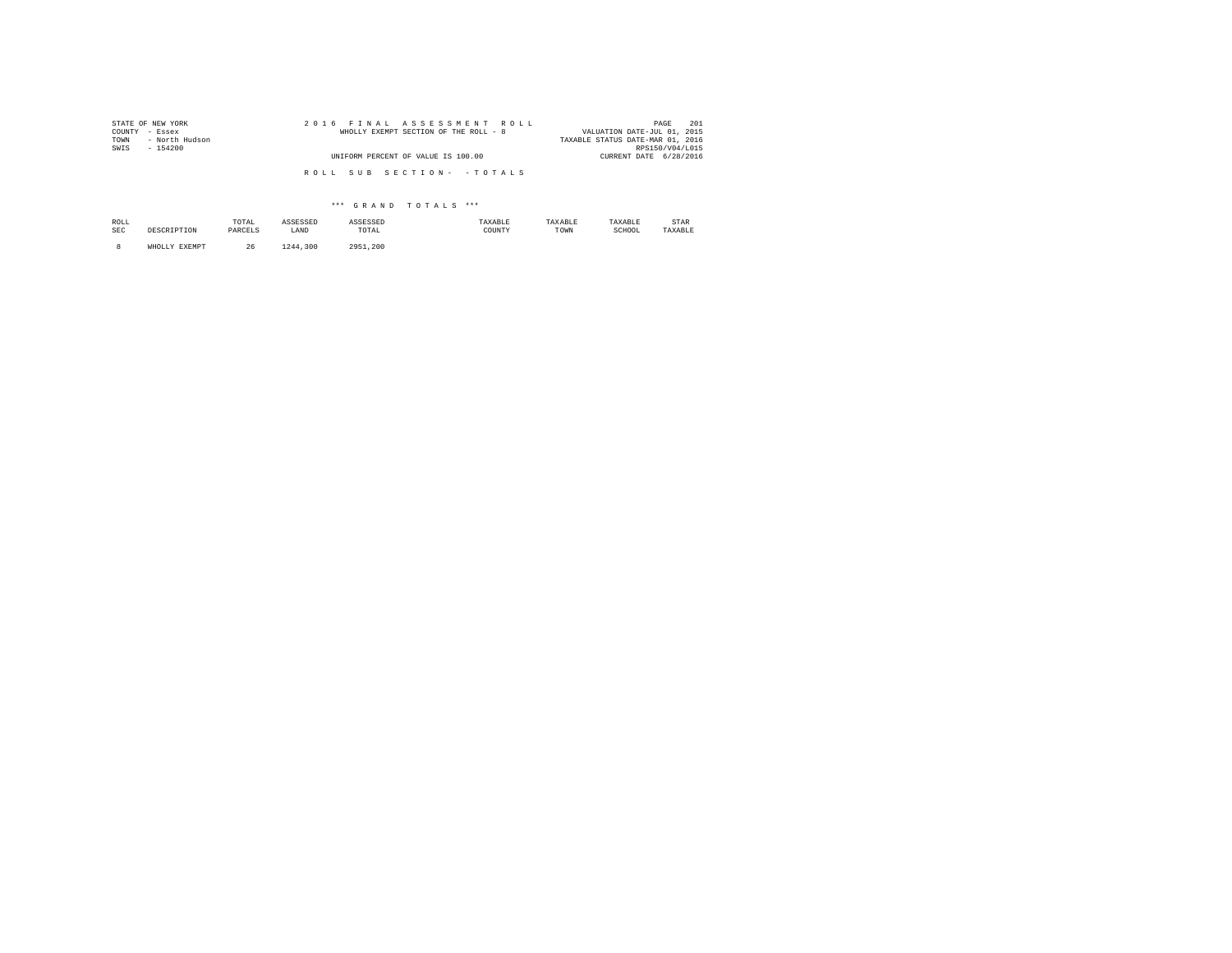| STATE OF NEW YORK      | 2016 FINAL ASSESSMENT ROLL            | 201<br>PAGE                      |
|------------------------|---------------------------------------|----------------------------------|
| COUNTY - Essex         | WHOLLY EXEMPT SECTION OF THE ROLL - 8 | VALUATION DATE-JUL 01, 2015      |
| - North Hudson<br>TOWN |                                       | TAXABLE STATUS DATE-MAR 01, 2016 |
| SWIS<br>$-154200$      |                                       | RPS150/V04/L015                  |
|                        | UNIFORM PERCENT OF VALUE IS 100.00    | CURRENT DATE 6/28/2016           |
|                        |                                       |                                  |
|                        | ROLL SUB SECTION- - TOTALS            |                                  |
|                        |                                       |                                  |

| ROLL<br><b>SEC</b> | DECCET DETON     | TOTAL<br>the contract of the contract of the<br>PARCELS | ASSESSED<br>LAND | ASSESSED<br>TOTAL | TAXABLE<br>COUNTY | TAXABLE<br>TOWN | TAXABLE<br>SCHOOL | STAR<br>TAXABLE |
|--------------------|------------------|---------------------------------------------------------|------------------|-------------------|-------------------|-----------------|-------------------|-----------------|
|                    | EXEMPT<br>WHOLLY | 26                                                      | .300<br>1244     | 2951.200          |                   |                 |                   |                 |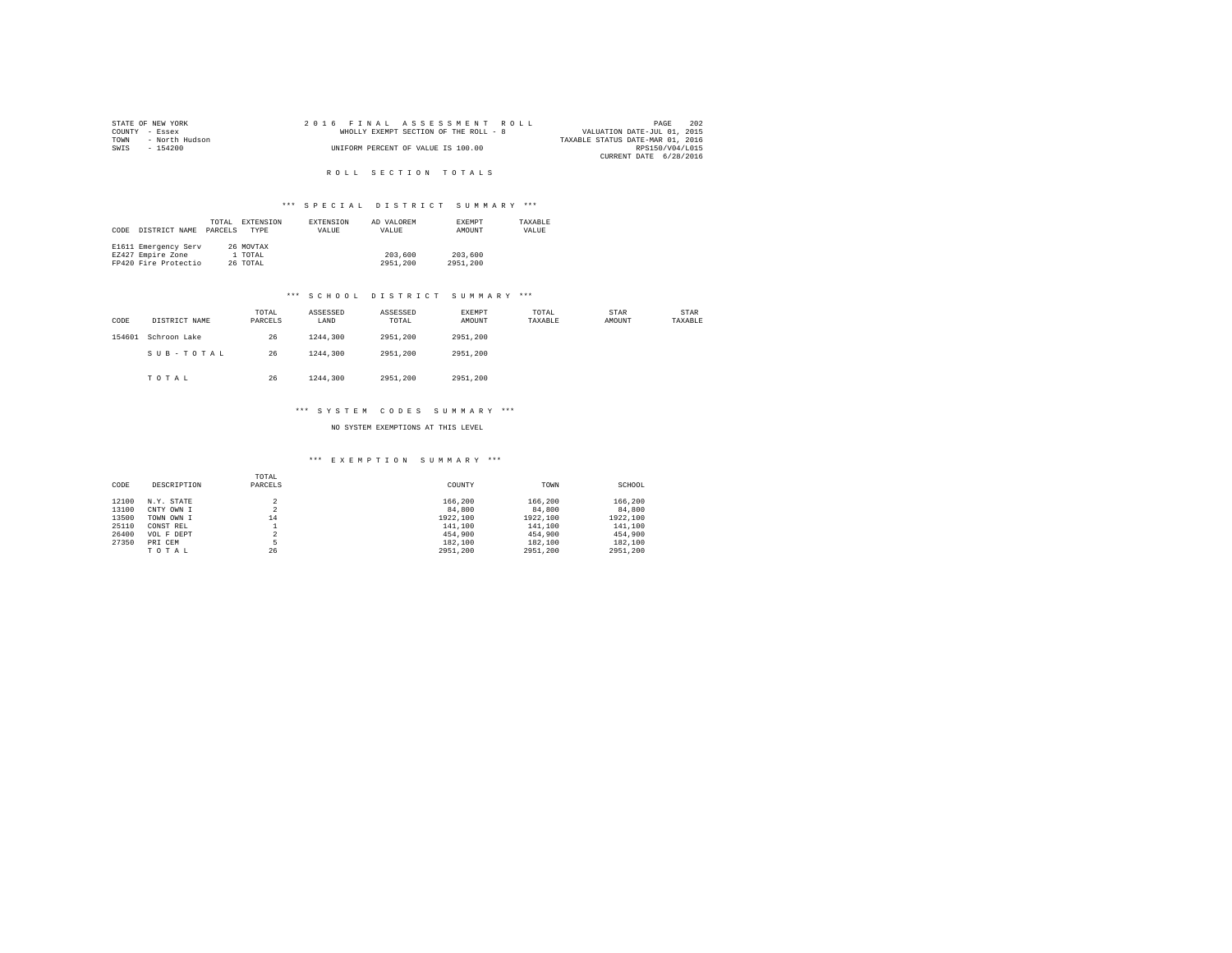| STATE OF NEW YORK      | 2016 FINAL ASSESSMENT ROLL            | 202<br>PAGE                      |
|------------------------|---------------------------------------|----------------------------------|
| COUNTY - Essex         | WHOLLY EXEMPT SECTION OF THE ROLL - 8 | VALUATION DATE-JUL 01, 2015      |
| - North Hudson<br>TOWN |                                       | TAXABLE STATUS DATE-MAR 01, 2016 |
| SWIS<br>$-154200$      | UNIFORM PERCENT OF VALUE IS 100.00    | RPS150/V04/L015                  |
|                        |                                       | CURRENT DATE 6/28/2016           |

R O L L S E C T I O N T O T A L S

# \*\*\* S P E C I A L D I S T R I C T S U M M A R Y \*\*\*

|      |                      | TOTAL   | EXTENSION | EXTENSION | AD VALOREM | <b>EXEMPT</b> | TAXARLE |
|------|----------------------|---------|-----------|-----------|------------|---------------|---------|
| CODE | DISTRICT NAME        | PARCELS | TYPE      | VALUE     | VALUE      | AMOUNT        | VALUE   |
|      | E1611 Emergency Serv |         | 26 MOVTAX |           |            |               |         |
|      |                      |         |           |           |            |               |         |
|      | EZ427 Empire Zone    |         | 1 TOTAL   |           | 203,600    | 203,600       |         |
|      | FP420 Fire Protectio |         | 26 TOTAL  |           | 2951,200   | 2951,200      |         |

#### \*\*\* S C H O O L D I S T R I C T S U M M A R Y \*\*\*

| CODE   | DISTRICT NAME | TOTAL<br>PARCELS | ASSESSED<br>LAND | ASSESSED<br>TOTAL | <b>EXEMPT</b><br>AMOUNT | TOTAL<br>TAXABLE | STAR<br>AMOUNT | STAR<br>TAXABLE |
|--------|---------------|------------------|------------------|-------------------|-------------------------|------------------|----------------|-----------------|
| 154601 | Schroon Lake  | 26               | 1244,300         | 2951,200          | 2951,200                |                  |                |                 |
|        | SUB-TOTAL     | 26               | 1244,300         | 2951,200          | 2951.200                |                  |                |                 |
|        | TOTAL         | 26               | 1244,300         | 2951,200          | 2951.200                |                  |                |                 |

#### \*\*\* S Y S T E M C O D E S S U M M A R Y \*\*\*

NO SYSTEM EXEMPTIONS AT THIS LEVEL

| CODE  | DESCRIPTION | TOTAL<br>PARCELS | COUNTY   | TOWN     | SCHOOL   |
|-------|-------------|------------------|----------|----------|----------|
| 12100 | N.Y. STATE  | $\overline{2}$   | 166,200  | 166.200  | 166,200  |
| 13100 | CNTY OWN I  | 2                | 84,800   | 84,800   | 84,800   |
| 13500 | TOWN OWN I  | 14               | 1922.100 | 1922,100 | 1922.100 |
| 25110 | CONST REL   |                  | 141,100  | 141,100  | 141,100  |
| 26400 | VOL F DEPT  | $\overline{2}$   | 454,900  | 454,900  | 454,900  |
| 27350 | PRI CEM     |                  | 182,100  | 182,100  | 182,100  |
|       | TOTAL       | 26               | 2951.200 | 2951.200 | 2951,200 |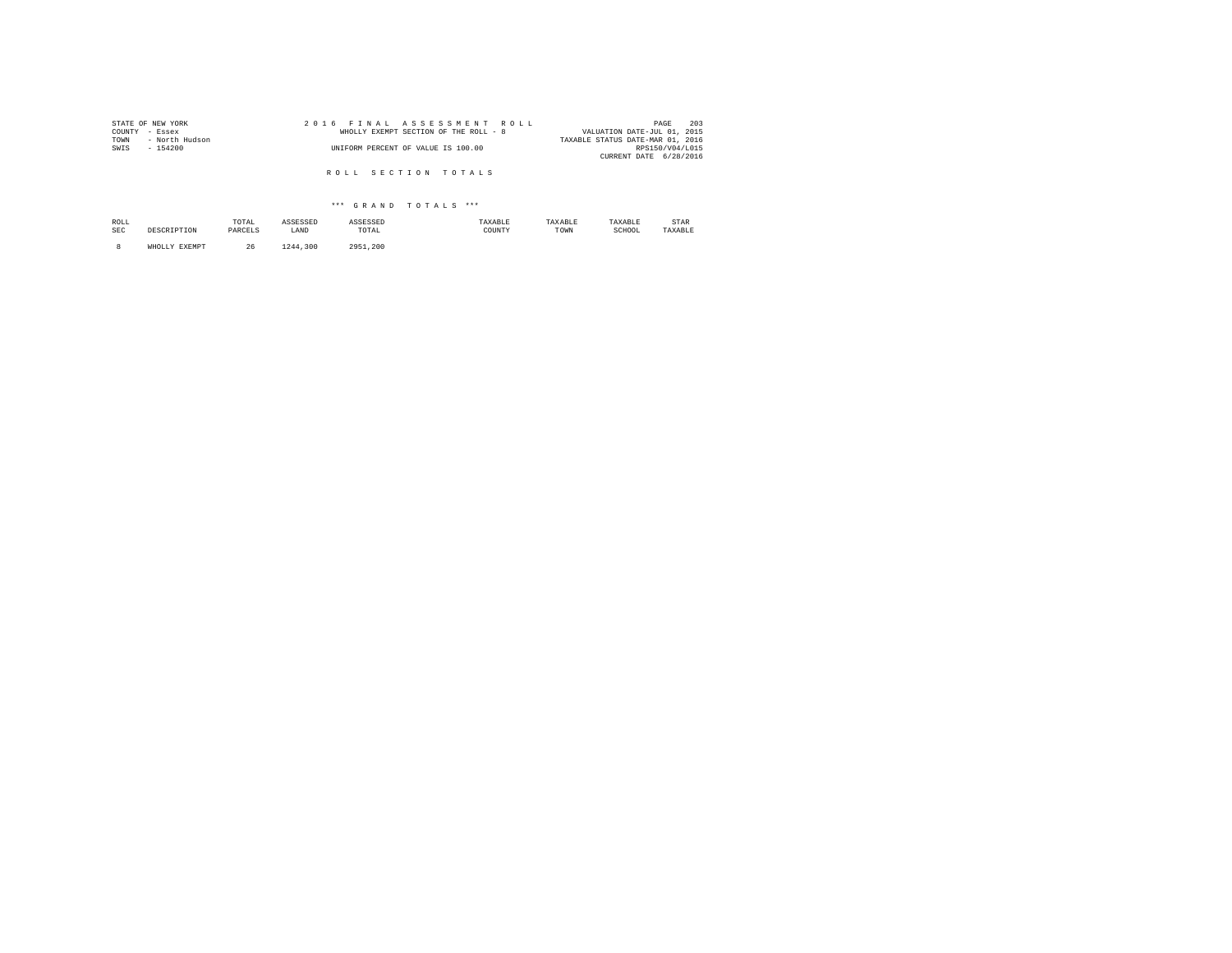| STATE OF NEW YORK      | 2016 FINAL ASSESSMENT ROLL            | 203<br>PAGE                      |
|------------------------|---------------------------------------|----------------------------------|
| COUNTY - Essex         | WHOLLY EXEMPT SECTION OF THE ROLL - 8 | VALUATION DATE-JUL 01, 2015      |
| TOWN<br>- North Hudson |                                       | TAXABLE STATUS DATE-MAR 01, 2016 |
| SWIS<br>$-154200$      | UNIFORM PERCENT OF VALUE IS 100.00    | RPS150/V04/L015                  |
|                        |                                       | CURRENT DATE 6/28/2016           |
|                        |                                       |                                  |
|                        | ROLL SECTION TOTALS                   |                                  |

| ROLL<br><b>SEC</b> | DECCETBETOM<br>11 1 2 3 4 U 2 | TOTAL<br>the contract of the contract of the contract of<br>PARCELS<br>_______ | <b>Accrectr</b><br>لمتفادي<br>LAND | ASSESSED<br>TOTAL<br>the contract of the contract of the contract of | 'AXABLE<br>COUNTY | TAXABLE<br>TOWN | TAXABLE<br>SCHOOL<br>. | STAR<br>TAXABLE |
|--------------------|-------------------------------|--------------------------------------------------------------------------------|------------------------------------|----------------------------------------------------------------------|-------------------|-----------------|------------------------|-----------------|
|                    |                               | 26                                                                             | .300<br>1244<br>---                | 295<br>. . 200                                                       |                   |                 |                        |                 |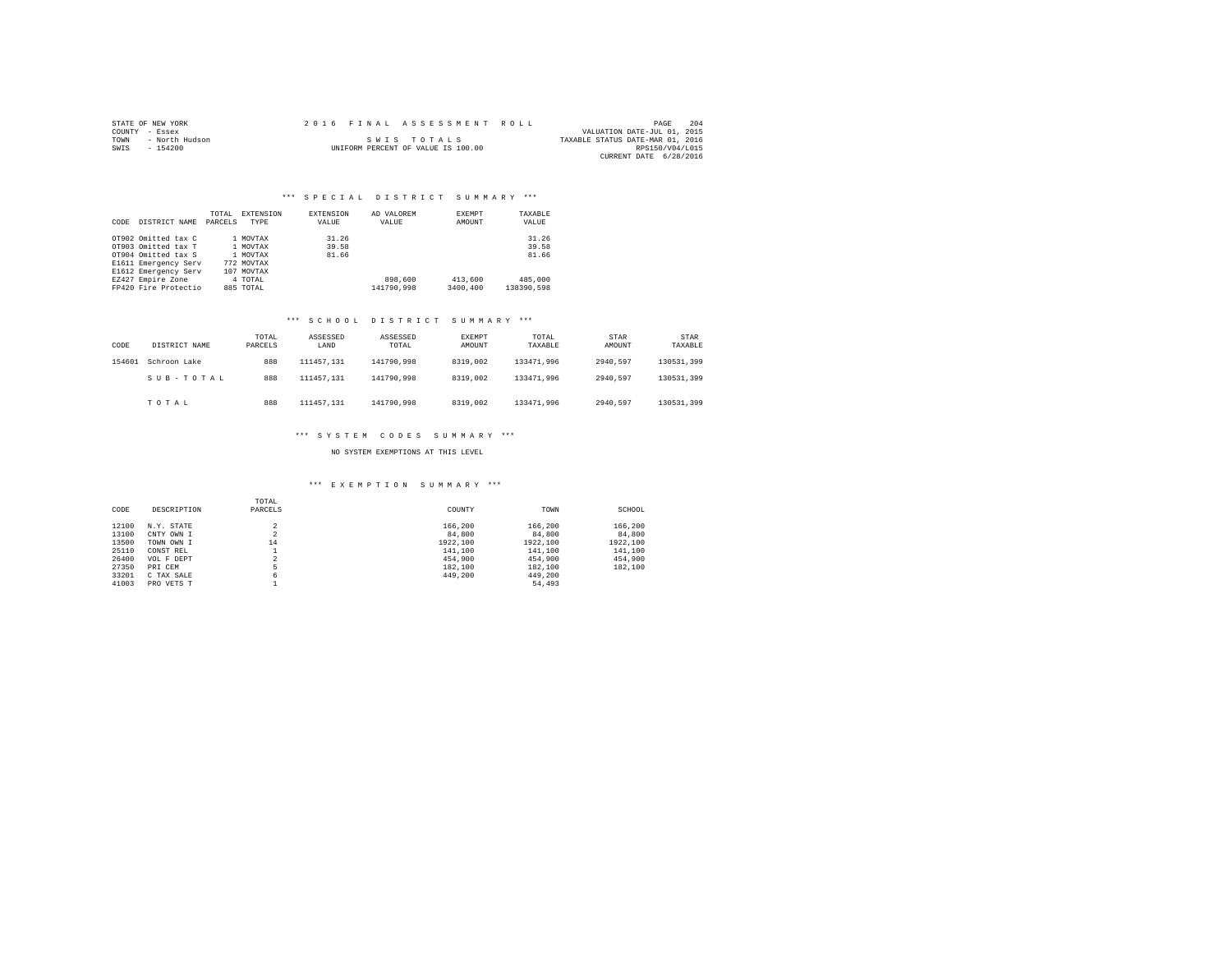|                | STATE OF NEW YORK |  |  |  |  |                                    |  | 2016 FINAL ASSESSMENT ROLL |  |                                  | PAGE                   | 204 |
|----------------|-------------------|--|--|--|--|------------------------------------|--|----------------------------|--|----------------------------------|------------------------|-----|
| COUNTY - Essex |                   |  |  |  |  |                                    |  |                            |  | VALUATION DATE-JUL 01, 2015      |                        |     |
| TOWN           | - North Hudson    |  |  |  |  | SWIS TOTALS                        |  |                            |  | TAXABLE STATUS DATE-MAR 01, 2016 |                        |     |
| SWIS           | - 154200          |  |  |  |  | UNIFORM PERCENT OF VALUE IS 100.00 |  |                            |  |                                  | RPS150/V04/L015        |     |
|                |                   |  |  |  |  |                                    |  |                            |  |                                  | CURRENT DATE 6/28/2016 |     |

## \*\*\* SPECIAL DISTRICT SUMMARY \*\*\*

| CODE | DISTRICT NAME        | TOTAL<br>PARCELS | EXTENSION<br>TYPE | EXTENSION<br>VALUE | AD VALOREM<br>VALUE | EXEMPT<br>AMOUNT | TAXABLE<br>VALUE |
|------|----------------------|------------------|-------------------|--------------------|---------------------|------------------|------------------|
|      | OT902 Omitted tax C  |                  | 1 MOVTAX          | 31.26              |                     |                  | 31.26            |
|      | OT903 Omitted tax T  |                  | 1 MOVTAX          | 39.58              |                     |                  | 39.58            |
|      | OT904 Omitted tax S  |                  | 1 MOVTAX          | 81.66              |                     |                  | 81.66            |
|      | E1611 Emergency Serv |                  | 772 MOVTAX        |                    |                     |                  |                  |
|      | E1612 Emergency Serv |                  | 107 MOVTAX        |                    |                     |                  |                  |
|      | EZ427 Empire Zone    |                  | 4 TOTAL           |                    | 898,600             | 413,600          | 485,000          |
|      | FP420 Fire Protectio |                  | 885 TOTAL         |                    | 141790.998          | 3400.400         | 138390.598       |

#### \*\*\* S C H O O L D I S T R I C T S U M M A R Y \*\*\*

| CODE   | DISTRICT NAME | TOTAL<br>PARCELS | ASSESSED<br>LAND | ASSESSED<br>TOTAL | <b>EXEMPT</b><br>AMOUNT | TOTAL<br>TAXABLE | STAR<br>AMOUNT | STAR<br>TAXABLE |  |
|--------|---------------|------------------|------------------|-------------------|-------------------------|------------------|----------------|-----------------|--|
| 154601 | Schroon Lake  | 888              | 111457.131       | 141790.998        | 8319,002                | 133471.996       | 2940.597       | 130531.399      |  |
|        | SUB-TOTAL     | 888              | 111457.131       | 141790.998        | 8319,002                | 133471.996       | 2940.597       | 130531,399      |  |
|        | TOTAL         | 888              | 111457.131       | 141790.998        | 8319,002                | 133471.996       | 2940.597       | 130531,399      |  |

#### \*\*\* S Y S T E M C O D E S S U M M A R Y \*\*\*

NO SYSTEM EXEMPTIONS AT THIS LEVEL

| CODE  | DESCRIPTION | TOTAL<br>PARCELS              | COUNTY   | TOWN     | SCHOOL   |
|-------|-------------|-------------------------------|----------|----------|----------|
| 12100 | N.Y. STATE  | n                             | 166,200  | 166,200  | 166,200  |
| 13100 | CNTY OWN I  | $\overline{\phantom{a}}$<br>× | 84,800   | 84,800   | 84,800   |
| 13500 | TOWN OWN I  | 14                            | 1922,100 | 1922.100 | 1922,100 |
| 25110 | CONST REL   |                               | 141,100  | 141,100  | 141,100  |
| 26400 | VOL F DEPT  | n                             | 454,900  | 454,900  | 454,900  |
| 27350 | PRI CEM     | 5                             | 182,100  | 182,100  | 182,100  |
| 33201 | C TAX SALE  | 6                             | 449,200  | 449,200  |          |
| 41003 | PRO VETS T  |                               |          | 54,493   |          |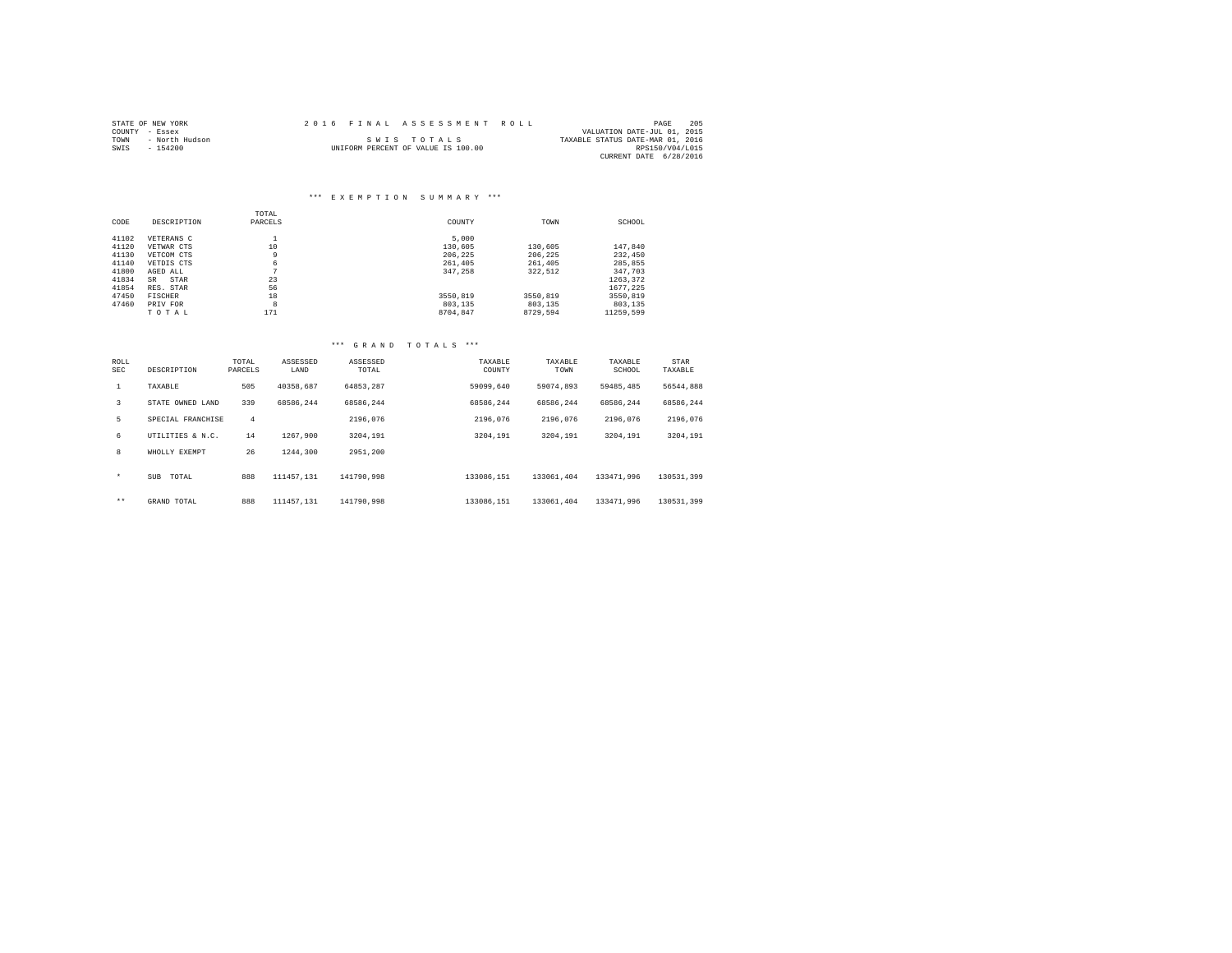|                | STATE OF NEW YORK |  | 2016 FINAL ASSESSMENT ROLL         |                                  | PAGE            | 205 |
|----------------|-------------------|--|------------------------------------|----------------------------------|-----------------|-----|
| COUNTY - Essex |                   |  |                                    | VALUATION DATE-JUL 01, 2015      |                 |     |
| TOWN           | - North Hudson    |  | SWIS TOTALS                        | TAXABLE STATUS DATE-MAR 01, 2016 |                 |     |
| SWIS           | $-154200$         |  | UNIFORM PERCENT OF VALUE IS 100.00 |                                  | RPS150/V04/L015 |     |
|                |                   |  |                                    | CURRENT DATE 6/28/2016           |                 |     |

# \*\*\* E X E M P T I O N S U M M A R Y \*\*\*

|       |             | TOTAL   |          |          |           |
|-------|-------------|---------|----------|----------|-----------|
| CODE  | DESCRIPTION | PARCELS | COUNTY   | TOWN     | SCHOOL    |
| 41102 | VETERANS C  | ᆂ       | 5,000    |          |           |
| 41120 | VETWAR CTS  | 10      | 130,605  | 130,605  | 147.840   |
| 41130 | VETCOM CTS  | 9       | 206.225  | 206.225  | 232,450   |
| 41140 | VETDIS CTS  | 6       | 261,405  | 261,405  | 285,855   |
| 41800 | AGED ALL    | $\sim$  | 347.258  | 322,512  | 347,703   |
| 41834 | STAR<br>SR. | 23      |          |          | 1263.372  |
| 41854 | RES. STAR   | 56      |          |          | 1677.225  |
| 47450 | FISCHER     | 18      | 3550,819 | 3550.819 | 3550,819  |
| 47460 | PRIV FOR    | 8       | 803,135  | 803,135  | 803,135   |
|       | TOTAL       | 171     | 8704.847 | 8729.594 | 11259.599 |

| ROLL<br><b>SEC</b> | DESCRIPTION         | TOTAL<br>PARCELS | ASSESSED<br>LAND | ASSESSED<br>TOTAL | TAXABLE<br>COUNTY | TAXABLE<br>TOWN | TAXABLE<br>SCHOOL | STAR<br>TAXABLE |
|--------------------|---------------------|------------------|------------------|-------------------|-------------------|-----------------|-------------------|-----------------|
| $\mathbf{1}$       | TAXABLE             | 505              | 40358.687        | 64853.287         | 59099.640         | 59074.893       | 59485.485         | 56544.888       |
| 3                  | STATE OWNED LAND    | 339              | 68586.244        | 68586.244         | 68586.244         | 68586.244       | 68586.244         | 68586.244       |
| 5                  | SPECIAL FRANCHISE   | 4                |                  | 2196.076          | 2196.076          | 2196.076        | 2196.076          | 2196.076        |
| 6                  | UTILITIES & N.C.    | 14               | 1267.900         | 3204,191          | 3204.191          | 3204,191        | 3204,191          | 3204.191        |
| 8                  | WHOLLY EXEMPT       | 26               | 1244,300         | 2951.200          |                   |                 |                   |                 |
| $\star$            | <b>SUB</b><br>TOTAL | 888              | 111457.131       | 141790.998        | 133086.151        | 133061.404      | 133471.996        | 130531.399      |
| $***$              | GRAND TOTAL         | 888              | 111457.131       | 141790.998        | 133086.151        | 133061.404      | 133471.996        | 130531.399      |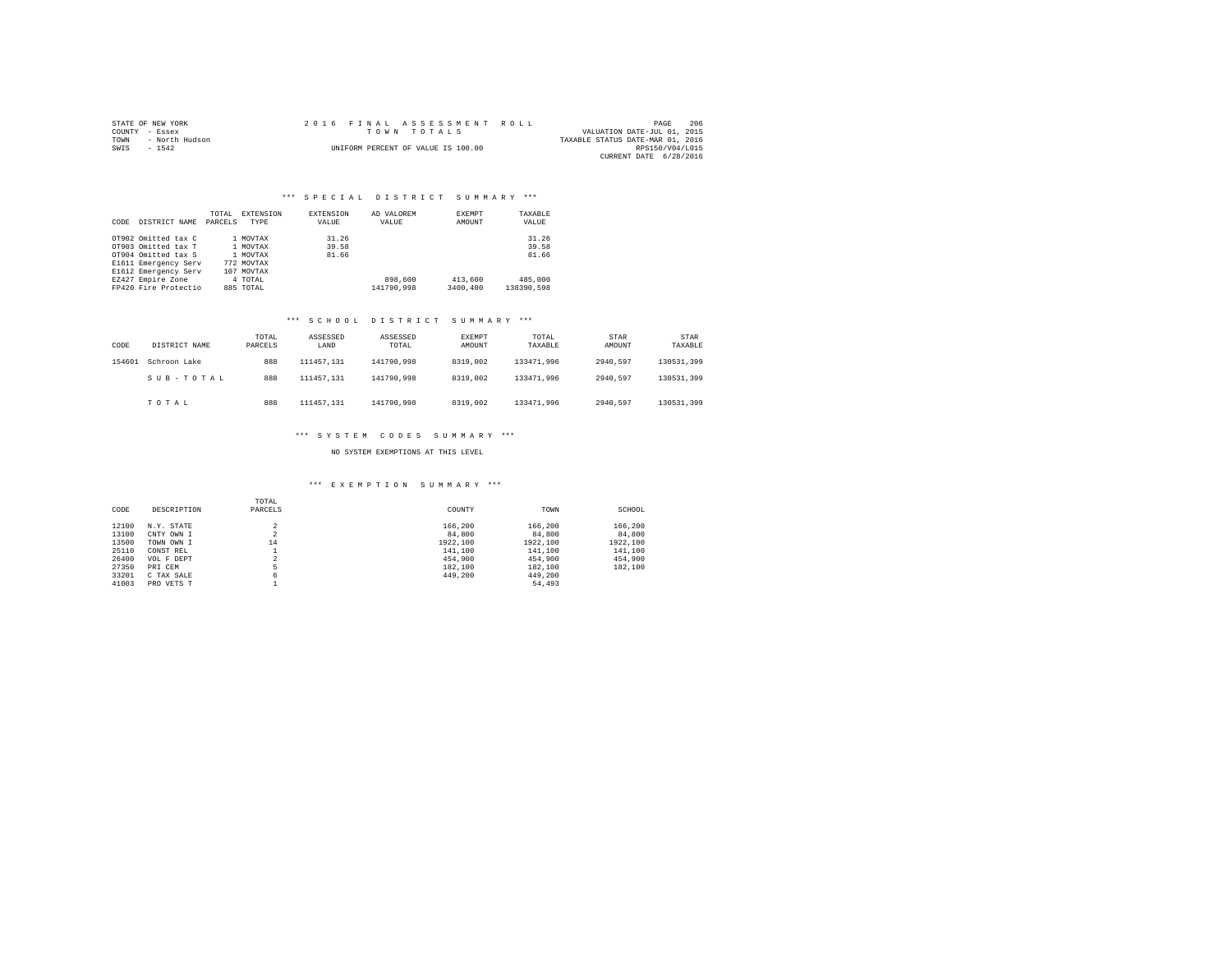| STATE OF NEW YORK      | 2016 FINAL ASSESSMENT ROLL         | 206<br>PAGE                      |
|------------------------|------------------------------------|----------------------------------|
| COUNTY - Essex         | TOWN TOTALS                        | VALUATION DATE-JUL 01, 2015      |
| - North Hudson<br>TOWN |                                    | TAXABLE STATUS DATE-MAR 01, 2016 |
| SWIS<br>$-1542$        | UNIFORM PERCENT OF VALUE IS 100.00 | RPS150/V04/L015                  |
|                        |                                    | CURRENT DATE 6/28/2016           |

| CODE | DISTRICT NAME        | TOTAL<br>PARCELS | EXTENSION<br>TYPE | EXTENSION<br>VALUE | AD VALOREM<br>VALUE | EXEMPT<br>AMOUNT | TAXABLE<br>VALUE |
|------|----------------------|------------------|-------------------|--------------------|---------------------|------------------|------------------|
|      | OT902 Omitted tax C  |                  | 1 MOVTAX          | 31.26              |                     |                  | 31.26            |
|      | OT903 Omitted tax T  |                  | 1 MOVTAX          | 39.58              |                     |                  | 39.58            |
|      | OT904 Omitted tax S  |                  | 1 MOVTAX          | 81.66              |                     |                  | 81.66            |
|      | E1611 Emergency Serv |                  | 772 MOVTAX        |                    |                     |                  |                  |
|      | E1612 Emergency Serv |                  | 107 MOVTAX        |                    |                     |                  |                  |
|      | EZ427 Empire Zone    |                  | 4 TOTAL           |                    | 898,600             | 413,600          | 485,000          |
|      | FP420 Fire Protectio |                  | 885 TOTAL         |                    | 141790.998          | 3400,400         | 138390.598       |

#### \*\*\* S C H O O L D I S T R I C T S U M M A R Y \*\*\*

| CODE   | DISTRICT NAME | TOTAL<br>PARCELS | ASSESSED<br>LAND | ASSESSED<br>TOTAL | <b>EXEMPT</b><br>AMOUNT | TOTAL<br>TAXABLE | STAR<br>AMOUNT | STAR<br>TAXABLE |  |
|--------|---------------|------------------|------------------|-------------------|-------------------------|------------------|----------------|-----------------|--|
| 154601 | Schroon Lake  | 888              | 111457.131       | 141790.998        | 8319,002                | 133471.996       | 2940.597       | 130531.399      |  |
|        | SUB-TOTAL     | 888              | 111457.131       | 141790.998        | 8319,002                | 133471.996       | 2940.597       | 130531,399      |  |
|        | TOTAL         | 888              | 111457.131       | 141790.998        | 8319,002                | 133471.996       | 2940.597       | 130531,399      |  |

#### \*\*\* S Y S T E M C O D E S S U M M A R Y \*\*\*

NO SYSTEM EXEMPTIONS AT THIS LEVEL

| CODE  | DESCRIPTION | TOTAL<br>PARCELS | COUNTY   | TOWN     | SCHOOL   |
|-------|-------------|------------------|----------|----------|----------|
| 12100 | N.Y. STATE  | $\sim$           | 166,200  | 166,200  | 166,200  |
| 13100 | CNTY OWN I  | $\sim$<br>۷      | 84,800   | 84,800   | 84,800   |
| 13500 | TOWN OWN I  | 14               | 1922,100 | 1922.100 | 1922,100 |
| 25110 | CONST REL   |                  | 141,100  | 141,100  | 141,100  |
| 26400 | VOL F DEPT  | 2                | 454,900  | 454,900  | 454,900  |
| 27350 | PRI CEM     | 5                | 182,100  | 182,100  | 182,100  |
| 33201 | C TAX SALE  | 6                | 449,200  | 449,200  |          |
| 41003 | PRO VETS T  |                  |          | 54,493   |          |